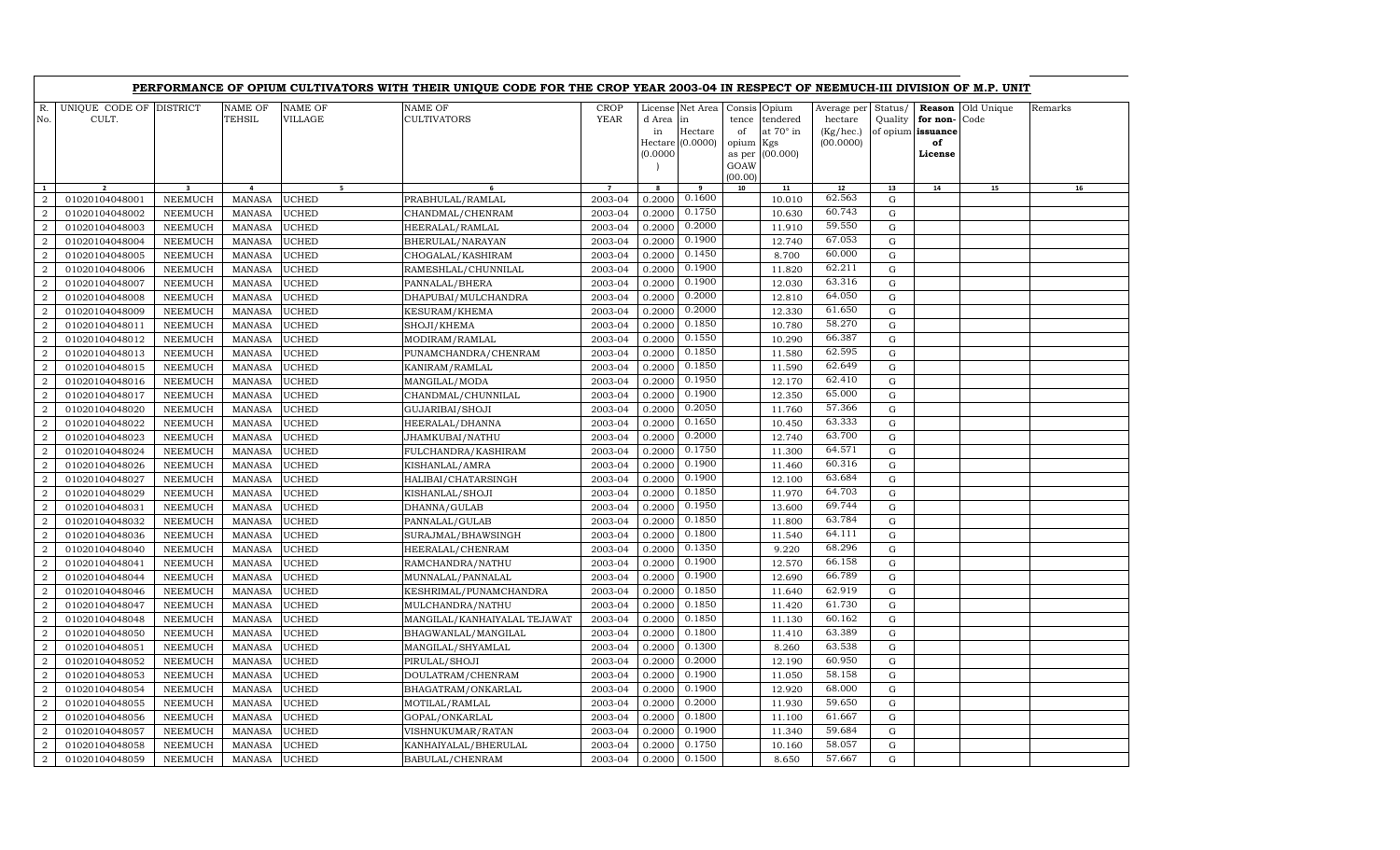|                  |                                  |                         |                                 |                    | PERFORMANCE OF OPIUM CULTIVATORS WITH THEIR UNIQUE CODE FOR THE CROP YEAR 2003-04 IN RESPECT OF NEEMUCH-III DIVISION OF M.P. UNIT |                            |                          |                                                       |                                                        |                                                 |                                                  |                    |                                                          |                    |         |
|------------------|----------------------------------|-------------------------|---------------------------------|--------------------|-----------------------------------------------------------------------------------------------------------------------------------|----------------------------|--------------------------|-------------------------------------------------------|--------------------------------------------------------|-------------------------------------------------|--------------------------------------------------|--------------------|----------------------------------------------------------|--------------------|---------|
| R.<br>No.        | UNIQUE CODE OF DISTRICT<br>CULT. |                         | <b>NAME OF</b><br><b>TEHSIL</b> | NAME OF<br>VILLAGE | NAME OF<br><b>CULTIVATORS</b>                                                                                                     | <b>CROP</b><br><b>YEAR</b> | d Area<br>in<br>(0.0000) | License Net Area<br>in<br>Hectare<br>Hectare (0.0000) | Consis Opium<br>tence<br>of<br>opium<br>as per<br>GOAW | tendered<br>at $70^\circ$ in<br>Kgs<br>(00.000) | Average per<br>hectare<br>(Kg/hec.)<br>(00.0000) | Status/<br>Quality | Reason<br>for non-<br>of opium issuance<br>of<br>License | Old Unique<br>Code | Remarks |
| $\mathbf{1}$     |                                  | $\overline{\mathbf{a}}$ | $\overline{4}$                  | 5 <sup>7</sup>     |                                                                                                                                   | $\overline{7}$             | 8                        | 9                                                     | (00.00)<br>10                                          | 11                                              | 12                                               | 13                 | 14                                                       | 15                 | 16      |
| $\overline{2}$   | 01020104048001                   | <b>NEEMUCH</b>          | <b>MANASA</b>                   | UCHED              | PRABHULAL/RAMLAL                                                                                                                  | 2003-04                    | 0.2000                   | 0.1600                                                |                                                        | 10.010                                          | 62.563                                           | G                  |                                                          |                    |         |
| $\overline{2}$   | 01020104048002                   | <b>NEEMUCH</b>          | <b>MANASA</b>                   | <b>UCHED</b>       | CHANDMAL/CHENRAM                                                                                                                  | 2003-04                    | 0.2000                   | 0.1750                                                |                                                        | 10.630                                          | 60.743                                           | $\mathbf G$        |                                                          |                    |         |
| $\overline{2}$   | 01020104048003                   | <b>NEEMUCH</b>          | <b>MANASA</b>                   | <b>UCHED</b>       | HEERALAL/RAMLAL                                                                                                                   | 2003-04                    | 0.2000                   | 0.2000                                                |                                                        | 11.910                                          | 59.550                                           | G                  |                                                          |                    |         |
| $\overline{a}$   | 01020104048004                   | NEEMUCH                 | <b>MANASA</b>                   | <b>UCHED</b>       | BHERULAL/NARAYAN                                                                                                                  | 2003-04                    | 0.2000                   | 0.1900                                                |                                                        | 12.740                                          | 67.053                                           | $\mathbf G$        |                                                          |                    |         |
| $\overline{2}$   | 01020104048005                   | <b>NEEMUCH</b>          | MANASA                          | <b>UCHED</b>       | CHOGALAL/KASHIRAM                                                                                                                 | 2003-04                    | 0.2000                   | 0.1450                                                |                                                        | 8.700                                           | 60.000                                           | G                  |                                                          |                    |         |
| $\overline{a}$   | 01020104048006                   | NEEMUCH                 | <b>MANASA</b>                   | UCHED              | RAMESHLAL/CHUNNILAL                                                                                                               | 2003-04                    | 0.2000                   | 0.1900                                                |                                                        | 11.820                                          | 62.211                                           | $\mathbf G$        |                                                          |                    |         |
| $\overline{2}$   | 01020104048007                   | <b>NEEMUCH</b>          | <b>MANASA</b>                   | UCHED              | PANNALAL/BHERA                                                                                                                    | 2003-04                    | 0.2000                   | 0.1900                                                |                                                        | 12.030                                          | 63.316                                           | G                  |                                                          |                    |         |
| $\overline{a}$   | 01020104048008                   | <b>NEEMUCH</b>          | <b>MANASA</b>                   | <b>UCHED</b>       | DHAPUBAI/MULCHANDRA                                                                                                               | 2003-04                    | 0.2000                   | 0.2000                                                |                                                        | 12.810                                          | 64.050                                           | $\mathbf G$        |                                                          |                    |         |
| $\overline{2}$   | 01020104048009                   | <b>NEEMUCH</b>          | <b>MANASA</b>                   | UCHED              | KESURAM/KHEMA                                                                                                                     | 2003-04                    | 0.2000                   | 0.2000                                                |                                                        | 12.330                                          | 61.650                                           | G                  |                                                          |                    |         |
| $\overline{a}$   | 01020104048011                   | <b>NEEMUCH</b>          | <b>MANASA</b>                   | UCHED              | SHOJI/KHEMA                                                                                                                       | 2003-04                    | 0.2000                   | 0.1850                                                |                                                        | 10.780                                          | 58.270                                           | $\mathbf G$        |                                                          |                    |         |
| $\overline{2}$   | 01020104048012                   | NEEMUCH                 | <b>MANASA</b>                   | UCHED              | MODIRAM/RAMLAL                                                                                                                    | 2003-04                    | 0.2000                   | 0.1550                                                |                                                        | 10.290                                          | 66.387                                           | G                  |                                                          |                    |         |
| $\overline{2}$   | 01020104048013                   | NEEMUCH                 | <b>MANASA</b>                   | UCHED              | PUNAMCHANDRA/CHENRAM                                                                                                              | 2003-04                    | 0.2000                   | 0.1850                                                |                                                        | 11.580                                          | 62.595                                           | $\mathbf G$        |                                                          |                    |         |
| $\overline{2}$   | 01020104048015                   | NEEMUCH                 | <b>MANASA</b>                   | UCHED              | KANIRAM/RAMLAL                                                                                                                    | 2003-04                    | 0.2000                   | 0.1850                                                |                                                        | 11.590                                          | 62.649                                           | G                  |                                                          |                    |         |
| $\overline{2}$   | 01020104048016                   | NEEMUCH                 | <b>MANASA</b>                   | <b>UCHED</b>       | MANGILAL/MODA                                                                                                                     | 2003-04                    | 0.2000                   | 0.1950                                                |                                                        | 12.170                                          | 62.410                                           | $\mathbf G$        |                                                          |                    |         |
| $\overline{2}$   | 01020104048017                   | <b>NEEMUCH</b>          | <b>MANASA</b>                   | UCHED              | CHANDMAL/CHUNNILAL                                                                                                                | 2003-04                    | 0.2000                   | 0.1900                                                |                                                        | 12.350                                          | 65.000                                           | G                  |                                                          |                    |         |
| $\overline{2}$   | 01020104048020                   | <b>NEEMUCH</b>          | <b>MANASA</b>                   | <b>UCHED</b>       | GUJARIBAI/SHOJI                                                                                                                   | 2003-04                    | 0.2000                   | 0.2050                                                |                                                        | 11.760                                          | 57.366                                           | $\mathbf G$        |                                                          |                    |         |
| $\overline{2}$   | 01020104048022                   | <b>NEEMUCH</b>          | <b>MANASA</b>                   | UCHED              | HEERALAL/DHANNA                                                                                                                   | 2003-04                    | 0.2000                   | 0.1650                                                |                                                        | 10.450                                          | 63.333                                           | G                  |                                                          |                    |         |
| $\overline{2}$   | 01020104048023                   | <b>NEEMUCH</b>          | <b>MANASA</b>                   | UCHED              | JHAMKUBAI/NATHU                                                                                                                   | 2003-04                    | 0.2000                   | 0.2000                                                |                                                        | 12.740                                          | 63.700                                           | $\mathbf G$        |                                                          |                    |         |
| $\overline{2}$   | 01020104048024                   | <b>NEEMUCH</b>          | <b>MANASA</b>                   | UCHED              | FULCHANDRA/KASHIRAM                                                                                                               | 2003-04                    | 0.2000                   | 0.1750                                                |                                                        | 11.300                                          | 64.571                                           | G                  |                                                          |                    |         |
| $\boldsymbol{2}$ | 01020104048026                   | <b>NEEMUCH</b>          | <b>MANASA</b>                   | UCHED              | KISHANLAL/AMRA                                                                                                                    | 2003-04                    | 0.2000                   | 0.1900                                                |                                                        | 11.460                                          | 60.316                                           | $\mathbf G$        |                                                          |                    |         |
| $\overline{2}$   | 01020104048027                   | NEEMUCH                 | <b>MANASA</b>                   | UCHED              | HALIBAI/CHATARSINGH                                                                                                               | 2003-04                    | 0.2000                   | 0.1900                                                |                                                        | 12.100                                          | 63.684                                           | G                  |                                                          |                    |         |
| $\boldsymbol{2}$ | 01020104048029                   | <b>NEEMUCH</b>          | MANASA                          | UCHED              | KISHANLAL/SHOJI                                                                                                                   | 2003-04                    | 0.2000                   | 0.1850                                                |                                                        | 11.970                                          | 64.703                                           | G                  |                                                          |                    |         |
| $\overline{2}$   | 01020104048031                   | NEEMUCH                 | <b>MANASA</b>                   | <b>UCHED</b>       | DHANNA/GULAB                                                                                                                      | 2003-04                    | 0.2000                   | 0.1950                                                |                                                        | 13.600                                          | 69.744                                           | $\mathbf G$        |                                                          |                    |         |
| $\overline{2}$   | 01020104048032                   | <b>NEEMUCH</b>          | <b>MANASA</b>                   | <b>UCHED</b>       | PANNALAL/GULAB                                                                                                                    | 2003-04                    | 0.2000                   | 0.1850                                                |                                                        | 11.800                                          | 63.784                                           | G                  |                                                          |                    |         |
| $\overline{a}$   | 01020104048036                   | NEEMUCH                 | <b>MANASA</b>                   | <b>UCHED</b>       | SURAJMAL/BHAWSINGH                                                                                                                | 2003-04                    | 0.2000                   | 0.1800                                                |                                                        | 11.540                                          | 64.111                                           | $\mathbf G$        |                                                          |                    |         |
| $\overline{a}$   | 01020104048040                   | <b>NEEMUCH</b>          | <b>MANASA</b>                   | UCHED              | HEERALAL/CHENRAM                                                                                                                  | 2003-04                    | 0.2000                   | 0.1350                                                |                                                        | 9.220                                           | 68.296                                           | G                  |                                                          |                    |         |
| $\overline{a}$   | 01020104048041                   | <b>NEEMUCH</b>          | <b>MANASA</b>                   | UCHED              | RAMCHANDRA/NATHU                                                                                                                  | 2003-04                    | 0.2000                   | 0.1900                                                |                                                        | 12.570                                          | 66.158                                           | $\mathbf G$        |                                                          |                    |         |
| $\overline{a}$   | 01020104048044                   | <b>NEEMUCH</b>          | <b>MANASA</b>                   | UCHED              | MUNNALAL/PANNALAL                                                                                                                 | 2003-04                    | 0.2000                   | 0.1900                                                |                                                        | 12.690                                          | 66.789                                           | G                  |                                                          |                    |         |
| $\overline{a}$   | 01020104048046                   | <b>NEEMUCH</b>          | <b>MANASA</b>                   | UCHED              | KESHRIMAL/PUNAMCHANDRA                                                                                                            | 2003-04                    | 0.2000                   | 0.1850                                                |                                                        | 11.640                                          | 62.919                                           | $\mathbf G$        |                                                          |                    |         |
| $\overline{2}$   | 01020104048047                   | NEEMUCH                 | <b>MANASA</b>                   | UCHED              | MULCHANDRA/NATHU                                                                                                                  | 2003-04                    | 0.2000                   | 0.1850                                                |                                                        | 11.420                                          | 61.730                                           | G                  |                                                          |                    |         |
| $\overline{a}$   | 01020104048048                   | <b>NEEMUCH</b>          | <b>MANASA</b>                   | UCHED              | MANGILAL/KANHAIYALAL TEJAWAT                                                                                                      | 2003-04                    | 0.2000                   | 0.1850                                                |                                                        | 11.130                                          | 60.162                                           | G                  |                                                          |                    |         |
| $\overline{a}$   | 01020104048050                   | <b>NEEMUCH</b>          | <b>MANASA</b>                   | UCHED              | BHAGWANLAL/MANGILAL                                                                                                               | 2003-04                    | 0.2000                   | 0.1800                                                |                                                        | 11.410                                          | 63.389                                           | G                  |                                                          |                    |         |
| $\overline{a}$   | 01020104048051                   | <b>NEEMUCH</b>          | <b>MANASA</b>                   | <b>UCHED</b>       | MANGILAL/SHYAMLAL                                                                                                                 | 2003-04                    | 0.2000                   | 0.1300                                                |                                                        | 8.260                                           | 63.538                                           | $\mathbf G$        |                                                          |                    |         |
| $\overline{2}$   | 01020104048052                   | NEEMUCH                 | <b>MANASA</b>                   | UCHED              | PIRULAL/SHOJI                                                                                                                     | 2003-04                    | 0.2000                   | 0.2000                                                |                                                        | 12.190                                          | 60.950                                           | G                  |                                                          |                    |         |
| $\overline{2}$   | 01020104048053                   | <b>NEEMUCH</b>          | <b>MANASA</b>                   | <b>UCHED</b>       | DOULATRAM/CHENRAM                                                                                                                 | 2003-04                    | 0.2000                   | 0.1900                                                |                                                        | 11.050                                          | 58.158                                           | $\mathbf G$        |                                                          |                    |         |
| $\overline{2}$   | 01020104048054                   | <b>NEEMUCH</b>          | <b>MANASA</b>                   | UCHED              | BHAGATRAM/ONKARLAL                                                                                                                | 2003-04                    | 0.2000                   | 0.1900                                                |                                                        | 12.920                                          | 68.000                                           | $\mathbf G$        |                                                          |                    |         |
| $\overline{2}$   | 01020104048055                   | <b>NEEMUCH</b>          | <b>MANASA</b>                   | UCHED              | MOTILAL/RAMLAL                                                                                                                    | 2003-04                    | 0.2000                   | 0.2000                                                |                                                        | 11.930                                          | 59.650                                           | $\mathbf G$        |                                                          |                    |         |
| $\overline{2}$   | 01020104048056                   | <b>NEEMUCH</b>          | <b>MANASA</b>                   | <b>JCHED</b>       | GOPAL/ONKARLAL                                                                                                                    | 2003-04                    | 0.2000                   | 0.1800                                                |                                                        | 11.100                                          | 61.667                                           | G                  |                                                          |                    |         |
| $\overline{2}$   | 01020104048057                   | <b>NEEMUCH</b>          | <b>MANASA</b>                   | <b>JCHED</b>       | VISHNUKUMAR/RATAN                                                                                                                 | 2003-04                    | 0.2000                   | 0.1900                                                |                                                        | 11.340                                          | 59.684                                           | $\mathbf G$        |                                                          |                    |         |
| $\overline{2}$   | 01020104048058                   | <b>NEEMUCH</b>          | <b>MANASA</b>                   | <b>JCHED</b>       | KANHAIYALAL/BHERULAL                                                                                                              | 2003-04                    | 0.2000                   | 0.1750                                                |                                                        | 10.160                                          | 58.057                                           | G                  |                                                          |                    |         |
| $\overline{a}$   | 01020104048059                   | NEEMUCH                 | MANASA                          | <b>UCHED</b>       | BABULAL/CHENRAM                                                                                                                   | 2003-04                    | 0.2000                   | 0.1500                                                |                                                        | 8.650                                           | 57.667                                           | $\mathbf G$        |                                                          |                    |         |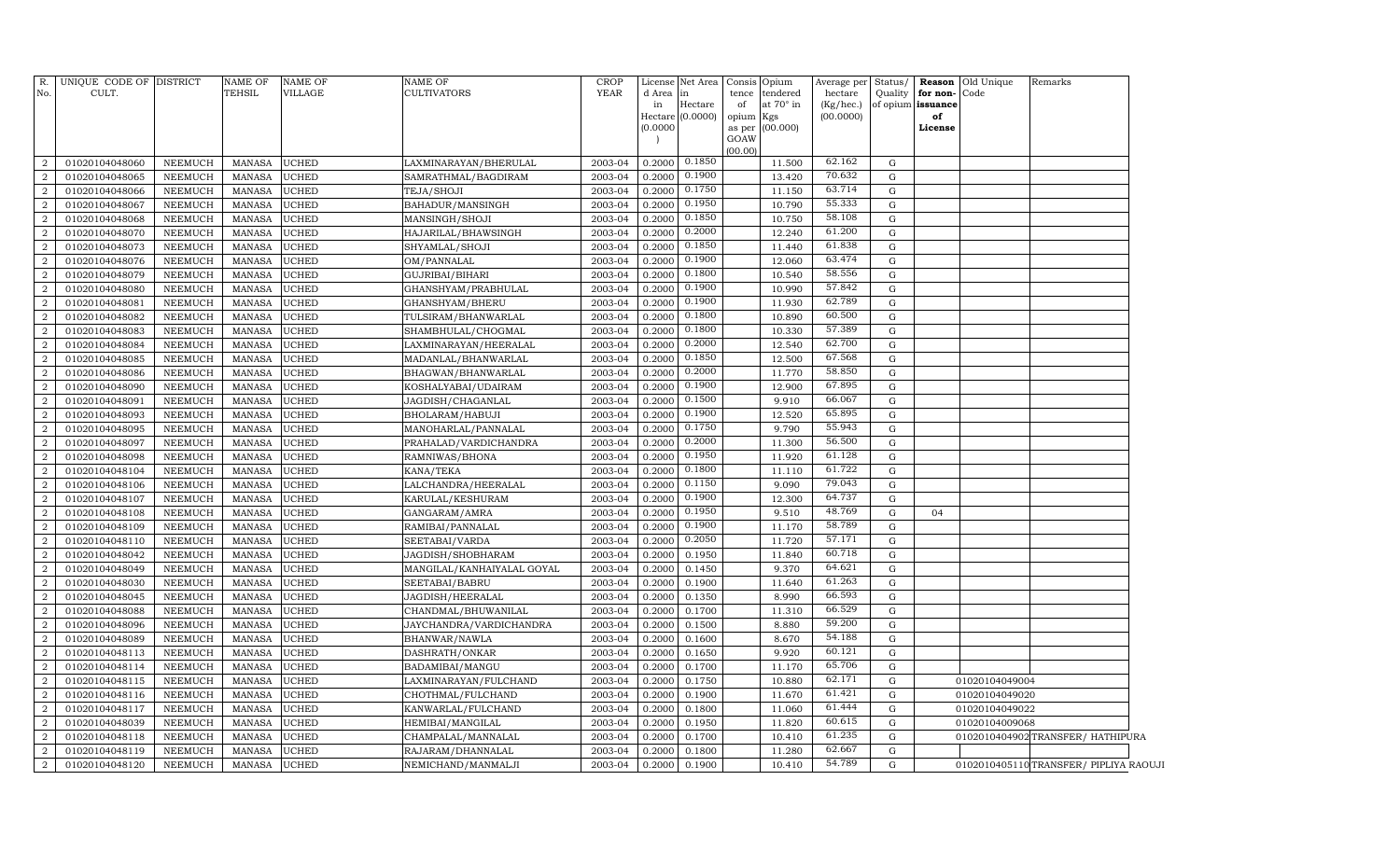| GOAW<br>(00.00)<br>62.162<br>0.1850<br>01020104048060<br><b>UCHED</b><br>2003-04<br>0.2000<br>11.500<br>G<br>2<br>NEEMUCH<br><b>MANASA</b><br>LAXMINARAYAN/BHERULAL<br>0.1900<br>70.632<br><b>MANASA</b><br><b>UCHED</b><br>2003-04<br>0.2000<br>13.420<br>G<br>$\overline{2}$<br>01020104048065<br>NEEMUCH<br>SAMRATHMAL/BAGDIRAM<br>63.714<br>0.1750<br>01020104048066<br>2003-04<br>11.150<br>$\overline{2}$<br>NEEMUCH<br><b>MANASA</b><br><b>UCHED</b><br>TEJA/SHOJI<br>0.2000<br>G<br>55.333<br>0.1950<br><b>UCHED</b><br>10.790<br>$\overline{2}$<br>01020104048067<br>NEEMUCH<br><b>MANASA</b><br>BAHADUR/MANSINGH<br>2003-04<br>0.2000<br>G<br>0.1850<br>58.108<br>2<br><b>UCHED</b><br>2003-04<br>0.2000<br>10.750<br>01020104048068<br><b>NEEMUCH</b><br><b>MANASA</b><br>MANSINGH/SHOJI<br>G<br>0.2000<br>61.200<br>2003-04<br>12.240<br>$\overline{2}$<br>01020104048070<br>NEEMUCH<br><b>MANASA</b><br><b>UCHED</b><br>HAJARILAL/BHAWSINGH<br>0.2000<br>G<br>0.1850<br>61.838<br>$\overline{2}$<br>2003-04<br>0.2000<br>01020104048073<br><b>NEEMUCH</b><br><b>MANASA</b><br><b>UCHED</b><br>SHYAMLAL/SHOJI<br>11.440<br>G<br>0.1900<br>63.474<br>$\overline{2}$<br>01020104048076<br>NEEMUCH<br><b>MANASA</b><br><b>UCHED</b><br>OM/PANNALAL<br>2003-04<br>0.2000<br>12.060<br>G<br>58.556<br>0.1800<br>2<br>2003-04<br>0.2000<br>10.540<br>01020104048079<br><b>NEEMUCH</b><br><b>MANASA</b><br><b>UCHED</b><br>GUJRIBAI/BIHARI<br>G<br>0.1900<br>57.842<br>$\overline{2}$<br>2003-04<br>0.2000<br>G<br>01020104048080<br>NEEMUCH<br><b>MANASA</b><br><b>UCHED</b><br>GHANSHYAM/PRABHULAL<br>10.990<br>62.789<br>0.1900<br>2<br>01020104048081<br><b>UCHED</b><br>2003-04<br>0.2000<br>11.930<br>NEEMUCH<br><b>MANASA</b><br>GHANSHYAM/BHERU<br>G<br>0.1800<br>60.500<br>$\boldsymbol{2}$<br>01020104048082<br><b>NEEMUCH</b><br><b>MANASA</b><br><b>UCHED</b><br>TULSIRAM/BHANWARLAL<br>2003-04<br>0.2000<br>10.890<br>G<br>57.389<br>0.1800<br>$\boldsymbol{2}$<br>2003-04<br>01020104048083<br><b>NEEMUCH</b><br><b>MANASA</b><br><b>UCHED</b><br>SHAMBHULAL/CHOGMAL<br>0.2000<br>10.330<br>G<br>0.2000<br>62.700<br>$\overline{2}$<br>01020104048084<br>NEEMUCH<br><b>MANASA</b><br><b>UCHED</b><br>LAXMINARAYAN/HEERALAL<br>2003-04<br>0.2000<br>12.540<br>G<br>0.1850<br>67.568<br>$\overline{2}$<br>01020104048085<br><b>NEEMUCH</b><br><b>MANASA</b><br><b>UCHED</b><br>MADANLAL/BHANWARLAL<br>2003-04<br>0.2000<br>12.500<br>G<br>0.2000<br>58.850<br>$\boldsymbol{2}$<br>01020104048086<br>NEEMUCH<br><b>MANASA</b><br><b>UCHED</b><br>2003-04<br>0.2000<br>11.770<br>G<br>BHAGWAN/BHANWARLAL<br>0.1900<br>67.895<br>$\overline{2}$<br>01020104048090<br><b>NEEMUCH</b><br><b>MANASA</b><br><b>UCHED</b><br>KOSHALYABAI/UDAIRAM<br>2003-04<br>0.2000<br>12.900<br>${\rm G}$<br>0.1500<br>66.067<br>$\boldsymbol{2}$<br>01020104048091<br>NEEMUCH<br><b>MANASA</b><br><b>UCHED</b><br>2003-04<br>0.2000<br>9.910<br>${\rm G}$<br>JAGDISH/CHAGANLAL<br>0.1900<br>65.895<br>$\boldsymbol{2}$<br>01020104048093<br>NEEMUCH<br>MANASA<br><b>UCHED</b><br>2003-04<br>0.2000<br>12.520<br>${\rm G}$<br>BHOLARAM/HABUJI<br>0.1750<br>55.943<br>$\boldsymbol{2}$<br>01020104048095<br>NEEMUCH<br><b>MANASA</b><br><b>UCHED</b><br>MANOHARLAL/PANNALAL<br>2003-04<br>0.2000<br>9.790<br>${\rm G}$<br>0.2000<br>56.500<br>$\overline{2}$<br>NEEMUCH<br><b>UCHED</b><br>2003-04<br>0.2000<br>11.300<br>G<br>01020104048097<br><b>MANASA</b><br>PRAHALAD/VARDICHANDRA<br>0.1950<br>61.128<br>NEEMUCH<br><b>UCHED</b><br>0.2000<br>11.920<br>G<br>$\overline{a}$<br>01020104048098<br><b>MANASA</b><br>RAMNIWAS/BHONA<br>2003-04<br>61.722<br>0.1800<br>$\overline{2}$<br><b>NEEMUCH</b><br><b>UCHED</b><br>KANA/TEKA<br>2003-04<br>0.2000<br>11.110<br>G<br>01020104048104<br><b>MANASA</b><br>0.1150<br>79.043<br>$\overline{2}$<br><b>NEEMUCH</b><br><b>MANASA</b><br><b>UCHED</b><br>LALCHANDRA/HEERALAL<br>9.090<br>${\rm G}$<br>01020104048106<br>2003-04<br>0.2000<br>64.737<br>0.1900<br>$\overline{2}$<br>01020104048107<br><b>NEEMUCH</b><br><b>MANASA</b><br><b>UCHED</b><br>KARULAL/KESHURAM<br>2003-04<br>0.2000<br>12.300<br>G<br>0.1950<br>48.769<br><b>NEEMUCH</b><br><b>UCHED</b><br>0.2000<br>9.510<br>$\overline{2}$<br>01020104048108<br><b>MANASA</b><br>GANGARAM/AMRA<br>2003-04<br>G<br>04<br>58.789<br>0.1900<br>$\overline{2}$<br>01020104048109<br>NEEMUCH<br><b>MANASA</b><br><b>UCHED</b><br>RAMIBAI/PANNALAL<br>2003-04<br>0.2000<br>11.170<br>G<br>0.2050<br>57.171<br>${\rm G}$<br>$\boldsymbol{2}$<br>01020104048110<br>NEEMUCH<br><b>MANASA</b><br><b>UCHED</b><br>2003-04<br>0.2000<br>11.720<br>SEETABAI/VARDA<br>60.718<br>$\overline{2}$<br>01020104048042<br><b>NEEMUCH</b><br><b>MANASA</b><br><b>UCHED</b><br>JAGDISH/SHOBHARAM<br>2003-04<br>0.2000<br>0.1950<br>11.840<br>G<br>$\overline{2}$<br>64.621<br>${\rm G}$<br>01020104048049<br>NEEMUCH<br><b>MANASA</b><br><b>UCHED</b><br>MANGILAL/KANHAIYALAL GOYAL<br>2003-04<br>0.2000<br>0.1450<br>9.370<br>61.263<br>$\overline{2}$<br>${\rm G}$<br>01020104048030<br>NEEMUCH<br><b>MANASA</b><br><b>UCHED</b><br>SEETABAI/BABRU<br>2003-04<br>0.2000<br>0.1900<br>11.640<br>66.593<br>${\rm G}$<br>$\boldsymbol{2}$<br>01020104048045<br>NEEMUCH<br><b>MANASA</b><br><b>UCHED</b><br>2003-04<br>0.2000<br>0.1350<br>8.990<br>JAGDISH/HEERALAL<br>66.529<br>${\rm G}$<br>$\overline{a}$<br>01020104048088<br><b>NEEMUCH</b><br><b>MANASA</b><br><b>UCHED</b><br>CHANDMAL/BHUWANILAL<br>2003-04<br>0.2000<br>0.1700<br>11.310<br>59.200<br>${\rm G}$<br>$\boldsymbol{2}$<br>01020104048096<br>NEEMUCH<br><b>MANASA</b><br>UCHED<br>JAYCHANDRA/VARDICHANDRA<br>0.2000<br>0.1500<br>8.880<br>2003-04<br>54.188<br>${\rm G}$<br>$\overline{2}$<br>01020104048089<br>NEEMUCH<br><b>MANASA</b><br><b>UCHED</b><br>BHANWAR/NAWLA<br>2003-04<br>0.2000<br>0.1600<br>8.670<br>60.121<br>$\boldsymbol{2}$<br>${\rm G}$<br>01020104048113<br>NEEMUCH<br><b>MANASA</b><br>UCHED<br>2003-04<br>0.2000<br>0.1650<br>9.920<br>DASHRATH/ONKAR<br>65.706<br>$\boldsymbol{2}$<br>01020104048114<br>NEEMUCH<br><b>MANASA</b><br>UCHED<br>2003-04<br>0.2000<br>0.1700<br>11.170<br>G<br>BADAMIBAI/MANGU<br>62.171<br>$\boldsymbol{2}$<br>01020104048115<br>NEEMUCH<br><b>MANASA</b><br>UCHED<br>0.1750<br>10.880<br>$\mathbf G$<br>LAXMINARAYAN/FULCHAND<br>2003-04<br>0.2000<br>01020104049004<br>61.421<br>$\boldsymbol{2}$<br>01020104048116<br>NEEMUCH<br><b>MANASA</b><br>UCHED<br>CHOTHMAL/FULCHAND<br>2003-04<br>0.2000<br>0.1900<br>11.670<br>G<br>01020104049020<br>61.444<br>$\boldsymbol{2}$<br>01020104048117<br>NEEMUCH<br><b>MANASA</b><br>UCHED<br>2003-04<br>0.2000<br>0.1800<br>11.060<br>G<br>KANWARLAL/FULCHAND<br>01020104049022<br>$\boldsymbol{2}$<br>60.615<br>01020104048039<br>0.1950<br>G<br>NEEMUCH<br><b>MANASA</b><br>UCHED<br>HEMIBAI/MANGILAL<br>2003-04<br>0.2000<br>11.820<br>01020104009068<br>61.235<br>$\overline{2}$<br>UCHED<br>G<br>0102010404902 TRANSFER/ HATHIPURA<br>01020104048118<br><b>NEEMUCH</b><br><b>MANASA</b><br>CHAMPALAL/MANNALAL<br>2003-04<br>0.2000<br>0.1700<br>10.410 | R.<br>No. | UNIQUE CODE OF DISTRICT<br>CULT. | <b>NAME OF</b><br><b>TEHSIL</b> | <b>NAME OF</b><br><b>VILLAGE</b> | <b>NAME OF</b><br>CULTIVATORS | <b>CROP</b><br><b>YEAR</b> | d Area<br>in<br>(0.0000) | License Net Area<br> in<br>Hectare<br>Hectare (0.0000) | Consis<br>tence<br>of<br>opium<br>as per | Opium<br>tendered<br>at 70° in<br>Kgs<br>(00.000) | Average per<br>hectare<br>(Kg/hec.)<br>(00.0000) | Status/<br>Quality | for non-<br>of opium issuance<br>of<br>License | Reason Old Unique<br>Code | Remarks |
|---------------------------------------------------------------------------------------------------------------------------------------------------------------------------------------------------------------------------------------------------------------------------------------------------------------------------------------------------------------------------------------------------------------------------------------------------------------------------------------------------------------------------------------------------------------------------------------------------------------------------------------------------------------------------------------------------------------------------------------------------------------------------------------------------------------------------------------------------------------------------------------------------------------------------------------------------------------------------------------------------------------------------------------------------------------------------------------------------------------------------------------------------------------------------------------------------------------------------------------------------------------------------------------------------------------------------------------------------------------------------------------------------------------------------------------------------------------------------------------------------------------------------------------------------------------------------------------------------------------------------------------------------------------------------------------------------------------------------------------------------------------------------------------------------------------------------------------------------------------------------------------------------------------------------------------------------------------------------------------------------------------------------------------------------------------------------------------------------------------------------------------------------------------------------------------------------------------------------------------------------------------------------------------------------------------------------------------------------------------------------------------------------------------------------------------------------------------------------------------------------------------------------------------------------------------------------------------------------------------------------------------------------------------------------------------------------------------------------------------------------------------------------------------------------------------------------------------------------------------------------------------------------------------------------------------------------------------------------------------------------------------------------------------------------------------------------------------------------------------------------------------------------------------------------------------------------------------------------------------------------------------------------------------------------------------------------------------------------------------------------------------------------------------------------------------------------------------------------------------------------------------------------------------------------------------------------------------------------------------------------------------------------------------------------------------------------------------------------------------------------------------------------------------------------------------------------------------------------------------------------------------------------------------------------------------------------------------------------------------------------------------------------------------------------------------------------------------------------------------------------------------------------------------------------------------------------------------------------------------------------------------------------------------------------------------------------------------------------------------------------------------------------------------------------------------------------------------------------------------------------------------------------------------------------------------------------------------------------------------------------------------------------------------------------------------------------------------------------------------------------------------------------------------------------------------------------------------------------------------------------------------------------------------------------------------------------------------------------------------------------------------------------------------------------------------------------------------------------------------------------------------------------------------------------------------------------------------------------------------------------------------------------------------------------------------------------------------------------------------------------------------------------------------------------------------------------------------------------------------------------------------------------------------------------------------------------------------------------------------------------------------------------------------------------------------------------------------------------------------------------------------------------------------------------------------------------------------------------------------------------------------------------------------------------------------------------------------------------------------------------------------------------------------------------------------------------------------------------------------------------------------------------------------------------------------------------------------------------------------------------------------------------------------------------------------------------------------------------------------------------------------------------------------------------------------------------------------------------------------------------------------------------------------------------------------------------------------------------------------------------------------------------------------------------------------------------------------------------------------------------------------------------------------------------------------------------------------------------------------------------------------------------------------------------------------------------------------------------------------------------------------------------------------------------------------------------------------------------------------------|-----------|----------------------------------|---------------------------------|----------------------------------|-------------------------------|----------------------------|--------------------------|--------------------------------------------------------|------------------------------------------|---------------------------------------------------|--------------------------------------------------|--------------------|------------------------------------------------|---------------------------|---------|
|                                                                                                                                                                                                                                                                                                                                                                                                                                                                                                                                                                                                                                                                                                                                                                                                                                                                                                                                                                                                                                                                                                                                                                                                                                                                                                                                                                                                                                                                                                                                                                                                                                                                                                                                                                                                                                                                                                                                                                                                                                                                                                                                                                                                                                                                                                                                                                                                                                                                                                                                                                                                                                                                                                                                                                                                                                                                                                                                                                                                                                                                                                                                                                                                                                                                                                                                                                                                                                                                                                                                                                                                                                                                                                                                                                                                                                                                                                                                                                                                                                                                                                                                                                                                                                                                                                                                                                                                                                                                                                                                                                                                                                                                                                                                                                                                                                                                                                                                                                                                                                                                                                                                                                                                                                                                                                                                                                                                                                                                                                                                                                                                                                                                                                                                                                                                                                                                                                                                                                                                                                                                                                                                                                                                                                                                                                                                                                                                                                                                                                                                                                                                                                                                                                                                                                                                                                                                                                                                                                                                                                                                                                                     |           |                                  |                                 |                                  |                               |                            |                          |                                                        |                                          |                                                   |                                                  |                    |                                                |                           |         |
|                                                                                                                                                                                                                                                                                                                                                                                                                                                                                                                                                                                                                                                                                                                                                                                                                                                                                                                                                                                                                                                                                                                                                                                                                                                                                                                                                                                                                                                                                                                                                                                                                                                                                                                                                                                                                                                                                                                                                                                                                                                                                                                                                                                                                                                                                                                                                                                                                                                                                                                                                                                                                                                                                                                                                                                                                                                                                                                                                                                                                                                                                                                                                                                                                                                                                                                                                                                                                                                                                                                                                                                                                                                                                                                                                                                                                                                                                                                                                                                                                                                                                                                                                                                                                                                                                                                                                                                                                                                                                                                                                                                                                                                                                                                                                                                                                                                                                                                                                                                                                                                                                                                                                                                                                                                                                                                                                                                                                                                                                                                                                                                                                                                                                                                                                                                                                                                                                                                                                                                                                                                                                                                                                                                                                                                                                                                                                                                                                                                                                                                                                                                                                                                                                                                                                                                                                                                                                                                                                                                                                                                                                                                     |           |                                  |                                 |                                  |                               |                            |                          |                                                        |                                          |                                                   |                                                  |                    |                                                |                           |         |
|                                                                                                                                                                                                                                                                                                                                                                                                                                                                                                                                                                                                                                                                                                                                                                                                                                                                                                                                                                                                                                                                                                                                                                                                                                                                                                                                                                                                                                                                                                                                                                                                                                                                                                                                                                                                                                                                                                                                                                                                                                                                                                                                                                                                                                                                                                                                                                                                                                                                                                                                                                                                                                                                                                                                                                                                                                                                                                                                                                                                                                                                                                                                                                                                                                                                                                                                                                                                                                                                                                                                                                                                                                                                                                                                                                                                                                                                                                                                                                                                                                                                                                                                                                                                                                                                                                                                                                                                                                                                                                                                                                                                                                                                                                                                                                                                                                                                                                                                                                                                                                                                                                                                                                                                                                                                                                                                                                                                                                                                                                                                                                                                                                                                                                                                                                                                                                                                                                                                                                                                                                                                                                                                                                                                                                                                                                                                                                                                                                                                                                                                                                                                                                                                                                                                                                                                                                                                                                                                                                                                                                                                                                                     |           |                                  |                                 |                                  |                               |                            |                          |                                                        |                                          |                                                   |                                                  |                    |                                                |                           |         |
|                                                                                                                                                                                                                                                                                                                                                                                                                                                                                                                                                                                                                                                                                                                                                                                                                                                                                                                                                                                                                                                                                                                                                                                                                                                                                                                                                                                                                                                                                                                                                                                                                                                                                                                                                                                                                                                                                                                                                                                                                                                                                                                                                                                                                                                                                                                                                                                                                                                                                                                                                                                                                                                                                                                                                                                                                                                                                                                                                                                                                                                                                                                                                                                                                                                                                                                                                                                                                                                                                                                                                                                                                                                                                                                                                                                                                                                                                                                                                                                                                                                                                                                                                                                                                                                                                                                                                                                                                                                                                                                                                                                                                                                                                                                                                                                                                                                                                                                                                                                                                                                                                                                                                                                                                                                                                                                                                                                                                                                                                                                                                                                                                                                                                                                                                                                                                                                                                                                                                                                                                                                                                                                                                                                                                                                                                                                                                                                                                                                                                                                                                                                                                                                                                                                                                                                                                                                                                                                                                                                                                                                                                                                     |           |                                  |                                 |                                  |                               |                            |                          |                                                        |                                          |                                                   |                                                  |                    |                                                |                           |         |
|                                                                                                                                                                                                                                                                                                                                                                                                                                                                                                                                                                                                                                                                                                                                                                                                                                                                                                                                                                                                                                                                                                                                                                                                                                                                                                                                                                                                                                                                                                                                                                                                                                                                                                                                                                                                                                                                                                                                                                                                                                                                                                                                                                                                                                                                                                                                                                                                                                                                                                                                                                                                                                                                                                                                                                                                                                                                                                                                                                                                                                                                                                                                                                                                                                                                                                                                                                                                                                                                                                                                                                                                                                                                                                                                                                                                                                                                                                                                                                                                                                                                                                                                                                                                                                                                                                                                                                                                                                                                                                                                                                                                                                                                                                                                                                                                                                                                                                                                                                                                                                                                                                                                                                                                                                                                                                                                                                                                                                                                                                                                                                                                                                                                                                                                                                                                                                                                                                                                                                                                                                                                                                                                                                                                                                                                                                                                                                                                                                                                                                                                                                                                                                                                                                                                                                                                                                                                                                                                                                                                                                                                                                                     |           |                                  |                                 |                                  |                               |                            |                          |                                                        |                                          |                                                   |                                                  |                    |                                                |                           |         |
|                                                                                                                                                                                                                                                                                                                                                                                                                                                                                                                                                                                                                                                                                                                                                                                                                                                                                                                                                                                                                                                                                                                                                                                                                                                                                                                                                                                                                                                                                                                                                                                                                                                                                                                                                                                                                                                                                                                                                                                                                                                                                                                                                                                                                                                                                                                                                                                                                                                                                                                                                                                                                                                                                                                                                                                                                                                                                                                                                                                                                                                                                                                                                                                                                                                                                                                                                                                                                                                                                                                                                                                                                                                                                                                                                                                                                                                                                                                                                                                                                                                                                                                                                                                                                                                                                                                                                                                                                                                                                                                                                                                                                                                                                                                                                                                                                                                                                                                                                                                                                                                                                                                                                                                                                                                                                                                                                                                                                                                                                                                                                                                                                                                                                                                                                                                                                                                                                                                                                                                                                                                                                                                                                                                                                                                                                                                                                                                                                                                                                                                                                                                                                                                                                                                                                                                                                                                                                                                                                                                                                                                                                                                     |           |                                  |                                 |                                  |                               |                            |                          |                                                        |                                          |                                                   |                                                  |                    |                                                |                           |         |
|                                                                                                                                                                                                                                                                                                                                                                                                                                                                                                                                                                                                                                                                                                                                                                                                                                                                                                                                                                                                                                                                                                                                                                                                                                                                                                                                                                                                                                                                                                                                                                                                                                                                                                                                                                                                                                                                                                                                                                                                                                                                                                                                                                                                                                                                                                                                                                                                                                                                                                                                                                                                                                                                                                                                                                                                                                                                                                                                                                                                                                                                                                                                                                                                                                                                                                                                                                                                                                                                                                                                                                                                                                                                                                                                                                                                                                                                                                                                                                                                                                                                                                                                                                                                                                                                                                                                                                                                                                                                                                                                                                                                                                                                                                                                                                                                                                                                                                                                                                                                                                                                                                                                                                                                                                                                                                                                                                                                                                                                                                                                                                                                                                                                                                                                                                                                                                                                                                                                                                                                                                                                                                                                                                                                                                                                                                                                                                                                                                                                                                                                                                                                                                                                                                                                                                                                                                                                                                                                                                                                                                                                                                                     |           |                                  |                                 |                                  |                               |                            |                          |                                                        |                                          |                                                   |                                                  |                    |                                                |                           |         |
|                                                                                                                                                                                                                                                                                                                                                                                                                                                                                                                                                                                                                                                                                                                                                                                                                                                                                                                                                                                                                                                                                                                                                                                                                                                                                                                                                                                                                                                                                                                                                                                                                                                                                                                                                                                                                                                                                                                                                                                                                                                                                                                                                                                                                                                                                                                                                                                                                                                                                                                                                                                                                                                                                                                                                                                                                                                                                                                                                                                                                                                                                                                                                                                                                                                                                                                                                                                                                                                                                                                                                                                                                                                                                                                                                                                                                                                                                                                                                                                                                                                                                                                                                                                                                                                                                                                                                                                                                                                                                                                                                                                                                                                                                                                                                                                                                                                                                                                                                                                                                                                                                                                                                                                                                                                                                                                                                                                                                                                                                                                                                                                                                                                                                                                                                                                                                                                                                                                                                                                                                                                                                                                                                                                                                                                                                                                                                                                                                                                                                                                                                                                                                                                                                                                                                                                                                                                                                                                                                                                                                                                                                                                     |           |                                  |                                 |                                  |                               |                            |                          |                                                        |                                          |                                                   |                                                  |                    |                                                |                           |         |
|                                                                                                                                                                                                                                                                                                                                                                                                                                                                                                                                                                                                                                                                                                                                                                                                                                                                                                                                                                                                                                                                                                                                                                                                                                                                                                                                                                                                                                                                                                                                                                                                                                                                                                                                                                                                                                                                                                                                                                                                                                                                                                                                                                                                                                                                                                                                                                                                                                                                                                                                                                                                                                                                                                                                                                                                                                                                                                                                                                                                                                                                                                                                                                                                                                                                                                                                                                                                                                                                                                                                                                                                                                                                                                                                                                                                                                                                                                                                                                                                                                                                                                                                                                                                                                                                                                                                                                                                                                                                                                                                                                                                                                                                                                                                                                                                                                                                                                                                                                                                                                                                                                                                                                                                                                                                                                                                                                                                                                                                                                                                                                                                                                                                                                                                                                                                                                                                                                                                                                                                                                                                                                                                                                                                                                                                                                                                                                                                                                                                                                                                                                                                                                                                                                                                                                                                                                                                                                                                                                                                                                                                                                                     |           |                                  |                                 |                                  |                               |                            |                          |                                                        |                                          |                                                   |                                                  |                    |                                                |                           |         |
|                                                                                                                                                                                                                                                                                                                                                                                                                                                                                                                                                                                                                                                                                                                                                                                                                                                                                                                                                                                                                                                                                                                                                                                                                                                                                                                                                                                                                                                                                                                                                                                                                                                                                                                                                                                                                                                                                                                                                                                                                                                                                                                                                                                                                                                                                                                                                                                                                                                                                                                                                                                                                                                                                                                                                                                                                                                                                                                                                                                                                                                                                                                                                                                                                                                                                                                                                                                                                                                                                                                                                                                                                                                                                                                                                                                                                                                                                                                                                                                                                                                                                                                                                                                                                                                                                                                                                                                                                                                                                                                                                                                                                                                                                                                                                                                                                                                                                                                                                                                                                                                                                                                                                                                                                                                                                                                                                                                                                                                                                                                                                                                                                                                                                                                                                                                                                                                                                                                                                                                                                                                                                                                                                                                                                                                                                                                                                                                                                                                                                                                                                                                                                                                                                                                                                                                                                                                                                                                                                                                                                                                                                                                     |           |                                  |                                 |                                  |                               |                            |                          |                                                        |                                          |                                                   |                                                  |                    |                                                |                           |         |
|                                                                                                                                                                                                                                                                                                                                                                                                                                                                                                                                                                                                                                                                                                                                                                                                                                                                                                                                                                                                                                                                                                                                                                                                                                                                                                                                                                                                                                                                                                                                                                                                                                                                                                                                                                                                                                                                                                                                                                                                                                                                                                                                                                                                                                                                                                                                                                                                                                                                                                                                                                                                                                                                                                                                                                                                                                                                                                                                                                                                                                                                                                                                                                                                                                                                                                                                                                                                                                                                                                                                                                                                                                                                                                                                                                                                                                                                                                                                                                                                                                                                                                                                                                                                                                                                                                                                                                                                                                                                                                                                                                                                                                                                                                                                                                                                                                                                                                                                                                                                                                                                                                                                                                                                                                                                                                                                                                                                                                                                                                                                                                                                                                                                                                                                                                                                                                                                                                                                                                                                                                                                                                                                                                                                                                                                                                                                                                                                                                                                                                                                                                                                                                                                                                                                                                                                                                                                                                                                                                                                                                                                                                                     |           |                                  |                                 |                                  |                               |                            |                          |                                                        |                                          |                                                   |                                                  |                    |                                                |                           |         |
|                                                                                                                                                                                                                                                                                                                                                                                                                                                                                                                                                                                                                                                                                                                                                                                                                                                                                                                                                                                                                                                                                                                                                                                                                                                                                                                                                                                                                                                                                                                                                                                                                                                                                                                                                                                                                                                                                                                                                                                                                                                                                                                                                                                                                                                                                                                                                                                                                                                                                                                                                                                                                                                                                                                                                                                                                                                                                                                                                                                                                                                                                                                                                                                                                                                                                                                                                                                                                                                                                                                                                                                                                                                                                                                                                                                                                                                                                                                                                                                                                                                                                                                                                                                                                                                                                                                                                                                                                                                                                                                                                                                                                                                                                                                                                                                                                                                                                                                                                                                                                                                                                                                                                                                                                                                                                                                                                                                                                                                                                                                                                                                                                                                                                                                                                                                                                                                                                                                                                                                                                                                                                                                                                                                                                                                                                                                                                                                                                                                                                                                                                                                                                                                                                                                                                                                                                                                                                                                                                                                                                                                                                                                     |           |                                  |                                 |                                  |                               |                            |                          |                                                        |                                          |                                                   |                                                  |                    |                                                |                           |         |
|                                                                                                                                                                                                                                                                                                                                                                                                                                                                                                                                                                                                                                                                                                                                                                                                                                                                                                                                                                                                                                                                                                                                                                                                                                                                                                                                                                                                                                                                                                                                                                                                                                                                                                                                                                                                                                                                                                                                                                                                                                                                                                                                                                                                                                                                                                                                                                                                                                                                                                                                                                                                                                                                                                                                                                                                                                                                                                                                                                                                                                                                                                                                                                                                                                                                                                                                                                                                                                                                                                                                                                                                                                                                                                                                                                                                                                                                                                                                                                                                                                                                                                                                                                                                                                                                                                                                                                                                                                                                                                                                                                                                                                                                                                                                                                                                                                                                                                                                                                                                                                                                                                                                                                                                                                                                                                                                                                                                                                                                                                                                                                                                                                                                                                                                                                                                                                                                                                                                                                                                                                                                                                                                                                                                                                                                                                                                                                                                                                                                                                                                                                                                                                                                                                                                                                                                                                                                                                                                                                                                                                                                                                                     |           |                                  |                                 |                                  |                               |                            |                          |                                                        |                                          |                                                   |                                                  |                    |                                                |                           |         |
|                                                                                                                                                                                                                                                                                                                                                                                                                                                                                                                                                                                                                                                                                                                                                                                                                                                                                                                                                                                                                                                                                                                                                                                                                                                                                                                                                                                                                                                                                                                                                                                                                                                                                                                                                                                                                                                                                                                                                                                                                                                                                                                                                                                                                                                                                                                                                                                                                                                                                                                                                                                                                                                                                                                                                                                                                                                                                                                                                                                                                                                                                                                                                                                                                                                                                                                                                                                                                                                                                                                                                                                                                                                                                                                                                                                                                                                                                                                                                                                                                                                                                                                                                                                                                                                                                                                                                                                                                                                                                                                                                                                                                                                                                                                                                                                                                                                                                                                                                                                                                                                                                                                                                                                                                                                                                                                                                                                                                                                                                                                                                                                                                                                                                                                                                                                                                                                                                                                                                                                                                                                                                                                                                                                                                                                                                                                                                                                                                                                                                                                                                                                                                                                                                                                                                                                                                                                                                                                                                                                                                                                                                                                     |           |                                  |                                 |                                  |                               |                            |                          |                                                        |                                          |                                                   |                                                  |                    |                                                |                           |         |
|                                                                                                                                                                                                                                                                                                                                                                                                                                                                                                                                                                                                                                                                                                                                                                                                                                                                                                                                                                                                                                                                                                                                                                                                                                                                                                                                                                                                                                                                                                                                                                                                                                                                                                                                                                                                                                                                                                                                                                                                                                                                                                                                                                                                                                                                                                                                                                                                                                                                                                                                                                                                                                                                                                                                                                                                                                                                                                                                                                                                                                                                                                                                                                                                                                                                                                                                                                                                                                                                                                                                                                                                                                                                                                                                                                                                                                                                                                                                                                                                                                                                                                                                                                                                                                                                                                                                                                                                                                                                                                                                                                                                                                                                                                                                                                                                                                                                                                                                                                                                                                                                                                                                                                                                                                                                                                                                                                                                                                                                                                                                                                                                                                                                                                                                                                                                                                                                                                                                                                                                                                                                                                                                                                                                                                                                                                                                                                                                                                                                                                                                                                                                                                                                                                                                                                                                                                                                                                                                                                                                                                                                                                                     |           |                                  |                                 |                                  |                               |                            |                          |                                                        |                                          |                                                   |                                                  |                    |                                                |                           |         |
|                                                                                                                                                                                                                                                                                                                                                                                                                                                                                                                                                                                                                                                                                                                                                                                                                                                                                                                                                                                                                                                                                                                                                                                                                                                                                                                                                                                                                                                                                                                                                                                                                                                                                                                                                                                                                                                                                                                                                                                                                                                                                                                                                                                                                                                                                                                                                                                                                                                                                                                                                                                                                                                                                                                                                                                                                                                                                                                                                                                                                                                                                                                                                                                                                                                                                                                                                                                                                                                                                                                                                                                                                                                                                                                                                                                                                                                                                                                                                                                                                                                                                                                                                                                                                                                                                                                                                                                                                                                                                                                                                                                                                                                                                                                                                                                                                                                                                                                                                                                                                                                                                                                                                                                                                                                                                                                                                                                                                                                                                                                                                                                                                                                                                                                                                                                                                                                                                                                                                                                                                                                                                                                                                                                                                                                                                                                                                                                                                                                                                                                                                                                                                                                                                                                                                                                                                                                                                                                                                                                                                                                                                                                     |           |                                  |                                 |                                  |                               |                            |                          |                                                        |                                          |                                                   |                                                  |                    |                                                |                           |         |
|                                                                                                                                                                                                                                                                                                                                                                                                                                                                                                                                                                                                                                                                                                                                                                                                                                                                                                                                                                                                                                                                                                                                                                                                                                                                                                                                                                                                                                                                                                                                                                                                                                                                                                                                                                                                                                                                                                                                                                                                                                                                                                                                                                                                                                                                                                                                                                                                                                                                                                                                                                                                                                                                                                                                                                                                                                                                                                                                                                                                                                                                                                                                                                                                                                                                                                                                                                                                                                                                                                                                                                                                                                                                                                                                                                                                                                                                                                                                                                                                                                                                                                                                                                                                                                                                                                                                                                                                                                                                                                                                                                                                                                                                                                                                                                                                                                                                                                                                                                                                                                                                                                                                                                                                                                                                                                                                                                                                                                                                                                                                                                                                                                                                                                                                                                                                                                                                                                                                                                                                                                                                                                                                                                                                                                                                                                                                                                                                                                                                                                                                                                                                                                                                                                                                                                                                                                                                                                                                                                                                                                                                                                                     |           |                                  |                                 |                                  |                               |                            |                          |                                                        |                                          |                                                   |                                                  |                    |                                                |                           |         |
|                                                                                                                                                                                                                                                                                                                                                                                                                                                                                                                                                                                                                                                                                                                                                                                                                                                                                                                                                                                                                                                                                                                                                                                                                                                                                                                                                                                                                                                                                                                                                                                                                                                                                                                                                                                                                                                                                                                                                                                                                                                                                                                                                                                                                                                                                                                                                                                                                                                                                                                                                                                                                                                                                                                                                                                                                                                                                                                                                                                                                                                                                                                                                                                                                                                                                                                                                                                                                                                                                                                                                                                                                                                                                                                                                                                                                                                                                                                                                                                                                                                                                                                                                                                                                                                                                                                                                                                                                                                                                                                                                                                                                                                                                                                                                                                                                                                                                                                                                                                                                                                                                                                                                                                                                                                                                                                                                                                                                                                                                                                                                                                                                                                                                                                                                                                                                                                                                                                                                                                                                                                                                                                                                                                                                                                                                                                                                                                                                                                                                                                                                                                                                                                                                                                                                                                                                                                                                                                                                                                                                                                                                                                     |           |                                  |                                 |                                  |                               |                            |                          |                                                        |                                          |                                                   |                                                  |                    |                                                |                           |         |
|                                                                                                                                                                                                                                                                                                                                                                                                                                                                                                                                                                                                                                                                                                                                                                                                                                                                                                                                                                                                                                                                                                                                                                                                                                                                                                                                                                                                                                                                                                                                                                                                                                                                                                                                                                                                                                                                                                                                                                                                                                                                                                                                                                                                                                                                                                                                                                                                                                                                                                                                                                                                                                                                                                                                                                                                                                                                                                                                                                                                                                                                                                                                                                                                                                                                                                                                                                                                                                                                                                                                                                                                                                                                                                                                                                                                                                                                                                                                                                                                                                                                                                                                                                                                                                                                                                                                                                                                                                                                                                                                                                                                                                                                                                                                                                                                                                                                                                                                                                                                                                                                                                                                                                                                                                                                                                                                                                                                                                                                                                                                                                                                                                                                                                                                                                                                                                                                                                                                                                                                                                                                                                                                                                                                                                                                                                                                                                                                                                                                                                                                                                                                                                                                                                                                                                                                                                                                                                                                                                                                                                                                                                                     |           |                                  |                                 |                                  |                               |                            |                          |                                                        |                                          |                                                   |                                                  |                    |                                                |                           |         |
|                                                                                                                                                                                                                                                                                                                                                                                                                                                                                                                                                                                                                                                                                                                                                                                                                                                                                                                                                                                                                                                                                                                                                                                                                                                                                                                                                                                                                                                                                                                                                                                                                                                                                                                                                                                                                                                                                                                                                                                                                                                                                                                                                                                                                                                                                                                                                                                                                                                                                                                                                                                                                                                                                                                                                                                                                                                                                                                                                                                                                                                                                                                                                                                                                                                                                                                                                                                                                                                                                                                                                                                                                                                                                                                                                                                                                                                                                                                                                                                                                                                                                                                                                                                                                                                                                                                                                                                                                                                                                                                                                                                                                                                                                                                                                                                                                                                                                                                                                                                                                                                                                                                                                                                                                                                                                                                                                                                                                                                                                                                                                                                                                                                                                                                                                                                                                                                                                                                                                                                                                                                                                                                                                                                                                                                                                                                                                                                                                                                                                                                                                                                                                                                                                                                                                                                                                                                                                                                                                                                                                                                                                                                     |           |                                  |                                 |                                  |                               |                            |                          |                                                        |                                          |                                                   |                                                  |                    |                                                |                           |         |
|                                                                                                                                                                                                                                                                                                                                                                                                                                                                                                                                                                                                                                                                                                                                                                                                                                                                                                                                                                                                                                                                                                                                                                                                                                                                                                                                                                                                                                                                                                                                                                                                                                                                                                                                                                                                                                                                                                                                                                                                                                                                                                                                                                                                                                                                                                                                                                                                                                                                                                                                                                                                                                                                                                                                                                                                                                                                                                                                                                                                                                                                                                                                                                                                                                                                                                                                                                                                                                                                                                                                                                                                                                                                                                                                                                                                                                                                                                                                                                                                                                                                                                                                                                                                                                                                                                                                                                                                                                                                                                                                                                                                                                                                                                                                                                                                                                                                                                                                                                                                                                                                                                                                                                                                                                                                                                                                                                                                                                                                                                                                                                                                                                                                                                                                                                                                                                                                                                                                                                                                                                                                                                                                                                                                                                                                                                                                                                                                                                                                                                                                                                                                                                                                                                                                                                                                                                                                                                                                                                                                                                                                                                                     |           |                                  |                                 |                                  |                               |                            |                          |                                                        |                                          |                                                   |                                                  |                    |                                                |                           |         |
|                                                                                                                                                                                                                                                                                                                                                                                                                                                                                                                                                                                                                                                                                                                                                                                                                                                                                                                                                                                                                                                                                                                                                                                                                                                                                                                                                                                                                                                                                                                                                                                                                                                                                                                                                                                                                                                                                                                                                                                                                                                                                                                                                                                                                                                                                                                                                                                                                                                                                                                                                                                                                                                                                                                                                                                                                                                                                                                                                                                                                                                                                                                                                                                                                                                                                                                                                                                                                                                                                                                                                                                                                                                                                                                                                                                                                                                                                                                                                                                                                                                                                                                                                                                                                                                                                                                                                                                                                                                                                                                                                                                                                                                                                                                                                                                                                                                                                                                                                                                                                                                                                                                                                                                                                                                                                                                                                                                                                                                                                                                                                                                                                                                                                                                                                                                                                                                                                                                                                                                                                                                                                                                                                                                                                                                                                                                                                                                                                                                                                                                                                                                                                                                                                                                                                                                                                                                                                                                                                                                                                                                                                                                     |           |                                  |                                 |                                  |                               |                            |                          |                                                        |                                          |                                                   |                                                  |                    |                                                |                           |         |
|                                                                                                                                                                                                                                                                                                                                                                                                                                                                                                                                                                                                                                                                                                                                                                                                                                                                                                                                                                                                                                                                                                                                                                                                                                                                                                                                                                                                                                                                                                                                                                                                                                                                                                                                                                                                                                                                                                                                                                                                                                                                                                                                                                                                                                                                                                                                                                                                                                                                                                                                                                                                                                                                                                                                                                                                                                                                                                                                                                                                                                                                                                                                                                                                                                                                                                                                                                                                                                                                                                                                                                                                                                                                                                                                                                                                                                                                                                                                                                                                                                                                                                                                                                                                                                                                                                                                                                                                                                                                                                                                                                                                                                                                                                                                                                                                                                                                                                                                                                                                                                                                                                                                                                                                                                                                                                                                                                                                                                                                                                                                                                                                                                                                                                                                                                                                                                                                                                                                                                                                                                                                                                                                                                                                                                                                                                                                                                                                                                                                                                                                                                                                                                                                                                                                                                                                                                                                                                                                                                                                                                                                                                                     |           |                                  |                                 |                                  |                               |                            |                          |                                                        |                                          |                                                   |                                                  |                    |                                                |                           |         |
|                                                                                                                                                                                                                                                                                                                                                                                                                                                                                                                                                                                                                                                                                                                                                                                                                                                                                                                                                                                                                                                                                                                                                                                                                                                                                                                                                                                                                                                                                                                                                                                                                                                                                                                                                                                                                                                                                                                                                                                                                                                                                                                                                                                                                                                                                                                                                                                                                                                                                                                                                                                                                                                                                                                                                                                                                                                                                                                                                                                                                                                                                                                                                                                                                                                                                                                                                                                                                                                                                                                                                                                                                                                                                                                                                                                                                                                                                                                                                                                                                                                                                                                                                                                                                                                                                                                                                                                                                                                                                                                                                                                                                                                                                                                                                                                                                                                                                                                                                                                                                                                                                                                                                                                                                                                                                                                                                                                                                                                                                                                                                                                                                                                                                                                                                                                                                                                                                                                                                                                                                                                                                                                                                                                                                                                                                                                                                                                                                                                                                                                                                                                                                                                                                                                                                                                                                                                                                                                                                                                                                                                                                                                     |           |                                  |                                 |                                  |                               |                            |                          |                                                        |                                          |                                                   |                                                  |                    |                                                |                           |         |
|                                                                                                                                                                                                                                                                                                                                                                                                                                                                                                                                                                                                                                                                                                                                                                                                                                                                                                                                                                                                                                                                                                                                                                                                                                                                                                                                                                                                                                                                                                                                                                                                                                                                                                                                                                                                                                                                                                                                                                                                                                                                                                                                                                                                                                                                                                                                                                                                                                                                                                                                                                                                                                                                                                                                                                                                                                                                                                                                                                                                                                                                                                                                                                                                                                                                                                                                                                                                                                                                                                                                                                                                                                                                                                                                                                                                                                                                                                                                                                                                                                                                                                                                                                                                                                                                                                                                                                                                                                                                                                                                                                                                                                                                                                                                                                                                                                                                                                                                                                                                                                                                                                                                                                                                                                                                                                                                                                                                                                                                                                                                                                                                                                                                                                                                                                                                                                                                                                                                                                                                                                                                                                                                                                                                                                                                                                                                                                                                                                                                                                                                                                                                                                                                                                                                                                                                                                                                                                                                                                                                                                                                                                                     |           |                                  |                                 |                                  |                               |                            |                          |                                                        |                                          |                                                   |                                                  |                    |                                                |                           |         |
|                                                                                                                                                                                                                                                                                                                                                                                                                                                                                                                                                                                                                                                                                                                                                                                                                                                                                                                                                                                                                                                                                                                                                                                                                                                                                                                                                                                                                                                                                                                                                                                                                                                                                                                                                                                                                                                                                                                                                                                                                                                                                                                                                                                                                                                                                                                                                                                                                                                                                                                                                                                                                                                                                                                                                                                                                                                                                                                                                                                                                                                                                                                                                                                                                                                                                                                                                                                                                                                                                                                                                                                                                                                                                                                                                                                                                                                                                                                                                                                                                                                                                                                                                                                                                                                                                                                                                                                                                                                                                                                                                                                                                                                                                                                                                                                                                                                                                                                                                                                                                                                                                                                                                                                                                                                                                                                                                                                                                                                                                                                                                                                                                                                                                                                                                                                                                                                                                                                                                                                                                                                                                                                                                                                                                                                                                                                                                                                                                                                                                                                                                                                                                                                                                                                                                                                                                                                                                                                                                                                                                                                                                                                     |           |                                  |                                 |                                  |                               |                            |                          |                                                        |                                          |                                                   |                                                  |                    |                                                |                           |         |
|                                                                                                                                                                                                                                                                                                                                                                                                                                                                                                                                                                                                                                                                                                                                                                                                                                                                                                                                                                                                                                                                                                                                                                                                                                                                                                                                                                                                                                                                                                                                                                                                                                                                                                                                                                                                                                                                                                                                                                                                                                                                                                                                                                                                                                                                                                                                                                                                                                                                                                                                                                                                                                                                                                                                                                                                                                                                                                                                                                                                                                                                                                                                                                                                                                                                                                                                                                                                                                                                                                                                                                                                                                                                                                                                                                                                                                                                                                                                                                                                                                                                                                                                                                                                                                                                                                                                                                                                                                                                                                                                                                                                                                                                                                                                                                                                                                                                                                                                                                                                                                                                                                                                                                                                                                                                                                                                                                                                                                                                                                                                                                                                                                                                                                                                                                                                                                                                                                                                                                                                                                                                                                                                                                                                                                                                                                                                                                                                                                                                                                                                                                                                                                                                                                                                                                                                                                                                                                                                                                                                                                                                                                                     |           |                                  |                                 |                                  |                               |                            |                          |                                                        |                                          |                                                   |                                                  |                    |                                                |                           |         |
|                                                                                                                                                                                                                                                                                                                                                                                                                                                                                                                                                                                                                                                                                                                                                                                                                                                                                                                                                                                                                                                                                                                                                                                                                                                                                                                                                                                                                                                                                                                                                                                                                                                                                                                                                                                                                                                                                                                                                                                                                                                                                                                                                                                                                                                                                                                                                                                                                                                                                                                                                                                                                                                                                                                                                                                                                                                                                                                                                                                                                                                                                                                                                                                                                                                                                                                                                                                                                                                                                                                                                                                                                                                                                                                                                                                                                                                                                                                                                                                                                                                                                                                                                                                                                                                                                                                                                                                                                                                                                                                                                                                                                                                                                                                                                                                                                                                                                                                                                                                                                                                                                                                                                                                                                                                                                                                                                                                                                                                                                                                                                                                                                                                                                                                                                                                                                                                                                                                                                                                                                                                                                                                                                                                                                                                                                                                                                                                                                                                                                                                                                                                                                                                                                                                                                                                                                                                                                                                                                                                                                                                                                                                     |           |                                  |                                 |                                  |                               |                            |                          |                                                        |                                          |                                                   |                                                  |                    |                                                |                           |         |
|                                                                                                                                                                                                                                                                                                                                                                                                                                                                                                                                                                                                                                                                                                                                                                                                                                                                                                                                                                                                                                                                                                                                                                                                                                                                                                                                                                                                                                                                                                                                                                                                                                                                                                                                                                                                                                                                                                                                                                                                                                                                                                                                                                                                                                                                                                                                                                                                                                                                                                                                                                                                                                                                                                                                                                                                                                                                                                                                                                                                                                                                                                                                                                                                                                                                                                                                                                                                                                                                                                                                                                                                                                                                                                                                                                                                                                                                                                                                                                                                                                                                                                                                                                                                                                                                                                                                                                                                                                                                                                                                                                                                                                                                                                                                                                                                                                                                                                                                                                                                                                                                                                                                                                                                                                                                                                                                                                                                                                                                                                                                                                                                                                                                                                                                                                                                                                                                                                                                                                                                                                                                                                                                                                                                                                                                                                                                                                                                                                                                                                                                                                                                                                                                                                                                                                                                                                                                                                                                                                                                                                                                                                                     |           |                                  |                                 |                                  |                               |                            |                          |                                                        |                                          |                                                   |                                                  |                    |                                                |                           |         |
|                                                                                                                                                                                                                                                                                                                                                                                                                                                                                                                                                                                                                                                                                                                                                                                                                                                                                                                                                                                                                                                                                                                                                                                                                                                                                                                                                                                                                                                                                                                                                                                                                                                                                                                                                                                                                                                                                                                                                                                                                                                                                                                                                                                                                                                                                                                                                                                                                                                                                                                                                                                                                                                                                                                                                                                                                                                                                                                                                                                                                                                                                                                                                                                                                                                                                                                                                                                                                                                                                                                                                                                                                                                                                                                                                                                                                                                                                                                                                                                                                                                                                                                                                                                                                                                                                                                                                                                                                                                                                                                                                                                                                                                                                                                                                                                                                                                                                                                                                                                                                                                                                                                                                                                                                                                                                                                                                                                                                                                                                                                                                                                                                                                                                                                                                                                                                                                                                                                                                                                                                                                                                                                                                                                                                                                                                                                                                                                                                                                                                                                                                                                                                                                                                                                                                                                                                                                                                                                                                                                                                                                                                                                     |           |                                  |                                 |                                  |                               |                            |                          |                                                        |                                          |                                                   |                                                  |                    |                                                |                           |         |
|                                                                                                                                                                                                                                                                                                                                                                                                                                                                                                                                                                                                                                                                                                                                                                                                                                                                                                                                                                                                                                                                                                                                                                                                                                                                                                                                                                                                                                                                                                                                                                                                                                                                                                                                                                                                                                                                                                                                                                                                                                                                                                                                                                                                                                                                                                                                                                                                                                                                                                                                                                                                                                                                                                                                                                                                                                                                                                                                                                                                                                                                                                                                                                                                                                                                                                                                                                                                                                                                                                                                                                                                                                                                                                                                                                                                                                                                                                                                                                                                                                                                                                                                                                                                                                                                                                                                                                                                                                                                                                                                                                                                                                                                                                                                                                                                                                                                                                                                                                                                                                                                                                                                                                                                                                                                                                                                                                                                                                                                                                                                                                                                                                                                                                                                                                                                                                                                                                                                                                                                                                                                                                                                                                                                                                                                                                                                                                                                                                                                                                                                                                                                                                                                                                                                                                                                                                                                                                                                                                                                                                                                                                                     |           |                                  |                                 |                                  |                               |                            |                          |                                                        |                                          |                                                   |                                                  |                    |                                                |                           |         |
|                                                                                                                                                                                                                                                                                                                                                                                                                                                                                                                                                                                                                                                                                                                                                                                                                                                                                                                                                                                                                                                                                                                                                                                                                                                                                                                                                                                                                                                                                                                                                                                                                                                                                                                                                                                                                                                                                                                                                                                                                                                                                                                                                                                                                                                                                                                                                                                                                                                                                                                                                                                                                                                                                                                                                                                                                                                                                                                                                                                                                                                                                                                                                                                                                                                                                                                                                                                                                                                                                                                                                                                                                                                                                                                                                                                                                                                                                                                                                                                                                                                                                                                                                                                                                                                                                                                                                                                                                                                                                                                                                                                                                                                                                                                                                                                                                                                                                                                                                                                                                                                                                                                                                                                                                                                                                                                                                                                                                                                                                                                                                                                                                                                                                                                                                                                                                                                                                                                                                                                                                                                                                                                                                                                                                                                                                                                                                                                                                                                                                                                                                                                                                                                                                                                                                                                                                                                                                                                                                                                                                                                                                                                     |           |                                  |                                 |                                  |                               |                            |                          |                                                        |                                          |                                                   |                                                  |                    |                                                |                           |         |
|                                                                                                                                                                                                                                                                                                                                                                                                                                                                                                                                                                                                                                                                                                                                                                                                                                                                                                                                                                                                                                                                                                                                                                                                                                                                                                                                                                                                                                                                                                                                                                                                                                                                                                                                                                                                                                                                                                                                                                                                                                                                                                                                                                                                                                                                                                                                                                                                                                                                                                                                                                                                                                                                                                                                                                                                                                                                                                                                                                                                                                                                                                                                                                                                                                                                                                                                                                                                                                                                                                                                                                                                                                                                                                                                                                                                                                                                                                                                                                                                                                                                                                                                                                                                                                                                                                                                                                                                                                                                                                                                                                                                                                                                                                                                                                                                                                                                                                                                                                                                                                                                                                                                                                                                                                                                                                                                                                                                                                                                                                                                                                                                                                                                                                                                                                                                                                                                                                                                                                                                                                                                                                                                                                                                                                                                                                                                                                                                                                                                                                                                                                                                                                                                                                                                                                                                                                                                                                                                                                                                                                                                                                                     |           |                                  |                                 |                                  |                               |                            |                          |                                                        |                                          |                                                   |                                                  |                    |                                                |                           |         |
|                                                                                                                                                                                                                                                                                                                                                                                                                                                                                                                                                                                                                                                                                                                                                                                                                                                                                                                                                                                                                                                                                                                                                                                                                                                                                                                                                                                                                                                                                                                                                                                                                                                                                                                                                                                                                                                                                                                                                                                                                                                                                                                                                                                                                                                                                                                                                                                                                                                                                                                                                                                                                                                                                                                                                                                                                                                                                                                                                                                                                                                                                                                                                                                                                                                                                                                                                                                                                                                                                                                                                                                                                                                                                                                                                                                                                                                                                                                                                                                                                                                                                                                                                                                                                                                                                                                                                                                                                                                                                                                                                                                                                                                                                                                                                                                                                                                                                                                                                                                                                                                                                                                                                                                                                                                                                                                                                                                                                                                                                                                                                                                                                                                                                                                                                                                                                                                                                                                                                                                                                                                                                                                                                                                                                                                                                                                                                                                                                                                                                                                                                                                                                                                                                                                                                                                                                                                                                                                                                                                                                                                                                                                     |           |                                  |                                 |                                  |                               |                            |                          |                                                        |                                          |                                                   |                                                  |                    |                                                |                           |         |
|                                                                                                                                                                                                                                                                                                                                                                                                                                                                                                                                                                                                                                                                                                                                                                                                                                                                                                                                                                                                                                                                                                                                                                                                                                                                                                                                                                                                                                                                                                                                                                                                                                                                                                                                                                                                                                                                                                                                                                                                                                                                                                                                                                                                                                                                                                                                                                                                                                                                                                                                                                                                                                                                                                                                                                                                                                                                                                                                                                                                                                                                                                                                                                                                                                                                                                                                                                                                                                                                                                                                                                                                                                                                                                                                                                                                                                                                                                                                                                                                                                                                                                                                                                                                                                                                                                                                                                                                                                                                                                                                                                                                                                                                                                                                                                                                                                                                                                                                                                                                                                                                                                                                                                                                                                                                                                                                                                                                                                                                                                                                                                                                                                                                                                                                                                                                                                                                                                                                                                                                                                                                                                                                                                                                                                                                                                                                                                                                                                                                                                                                                                                                                                                                                                                                                                                                                                                                                                                                                                                                                                                                                                                     |           |                                  |                                 |                                  |                               |                            |                          |                                                        |                                          |                                                   |                                                  |                    |                                                |                           |         |
|                                                                                                                                                                                                                                                                                                                                                                                                                                                                                                                                                                                                                                                                                                                                                                                                                                                                                                                                                                                                                                                                                                                                                                                                                                                                                                                                                                                                                                                                                                                                                                                                                                                                                                                                                                                                                                                                                                                                                                                                                                                                                                                                                                                                                                                                                                                                                                                                                                                                                                                                                                                                                                                                                                                                                                                                                                                                                                                                                                                                                                                                                                                                                                                                                                                                                                                                                                                                                                                                                                                                                                                                                                                                                                                                                                                                                                                                                                                                                                                                                                                                                                                                                                                                                                                                                                                                                                                                                                                                                                                                                                                                                                                                                                                                                                                                                                                                                                                                                                                                                                                                                                                                                                                                                                                                                                                                                                                                                                                                                                                                                                                                                                                                                                                                                                                                                                                                                                                                                                                                                                                                                                                                                                                                                                                                                                                                                                                                                                                                                                                                                                                                                                                                                                                                                                                                                                                                                                                                                                                                                                                                                                                     |           |                                  |                                 |                                  |                               |                            |                          |                                                        |                                          |                                                   |                                                  |                    |                                                |                           |         |
|                                                                                                                                                                                                                                                                                                                                                                                                                                                                                                                                                                                                                                                                                                                                                                                                                                                                                                                                                                                                                                                                                                                                                                                                                                                                                                                                                                                                                                                                                                                                                                                                                                                                                                                                                                                                                                                                                                                                                                                                                                                                                                                                                                                                                                                                                                                                                                                                                                                                                                                                                                                                                                                                                                                                                                                                                                                                                                                                                                                                                                                                                                                                                                                                                                                                                                                                                                                                                                                                                                                                                                                                                                                                                                                                                                                                                                                                                                                                                                                                                                                                                                                                                                                                                                                                                                                                                                                                                                                                                                                                                                                                                                                                                                                                                                                                                                                                                                                                                                                                                                                                                                                                                                                                                                                                                                                                                                                                                                                                                                                                                                                                                                                                                                                                                                                                                                                                                                                                                                                                                                                                                                                                                                                                                                                                                                                                                                                                                                                                                                                                                                                                                                                                                                                                                                                                                                                                                                                                                                                                                                                                                                                     |           |                                  |                                 |                                  |                               |                            |                          |                                                        |                                          |                                                   |                                                  |                    |                                                |                           |         |
|                                                                                                                                                                                                                                                                                                                                                                                                                                                                                                                                                                                                                                                                                                                                                                                                                                                                                                                                                                                                                                                                                                                                                                                                                                                                                                                                                                                                                                                                                                                                                                                                                                                                                                                                                                                                                                                                                                                                                                                                                                                                                                                                                                                                                                                                                                                                                                                                                                                                                                                                                                                                                                                                                                                                                                                                                                                                                                                                                                                                                                                                                                                                                                                                                                                                                                                                                                                                                                                                                                                                                                                                                                                                                                                                                                                                                                                                                                                                                                                                                                                                                                                                                                                                                                                                                                                                                                                                                                                                                                                                                                                                                                                                                                                                                                                                                                                                                                                                                                                                                                                                                                                                                                                                                                                                                                                                                                                                                                                                                                                                                                                                                                                                                                                                                                                                                                                                                                                                                                                                                                                                                                                                                                                                                                                                                                                                                                                                                                                                                                                                                                                                                                                                                                                                                                                                                                                                                                                                                                                                                                                                                                                     |           |                                  |                                 |                                  |                               |                            |                          |                                                        |                                          |                                                   |                                                  |                    |                                                |                           |         |
|                                                                                                                                                                                                                                                                                                                                                                                                                                                                                                                                                                                                                                                                                                                                                                                                                                                                                                                                                                                                                                                                                                                                                                                                                                                                                                                                                                                                                                                                                                                                                                                                                                                                                                                                                                                                                                                                                                                                                                                                                                                                                                                                                                                                                                                                                                                                                                                                                                                                                                                                                                                                                                                                                                                                                                                                                                                                                                                                                                                                                                                                                                                                                                                                                                                                                                                                                                                                                                                                                                                                                                                                                                                                                                                                                                                                                                                                                                                                                                                                                                                                                                                                                                                                                                                                                                                                                                                                                                                                                                                                                                                                                                                                                                                                                                                                                                                                                                                                                                                                                                                                                                                                                                                                                                                                                                                                                                                                                                                                                                                                                                                                                                                                                                                                                                                                                                                                                                                                                                                                                                                                                                                                                                                                                                                                                                                                                                                                                                                                                                                                                                                                                                                                                                                                                                                                                                                                                                                                                                                                                                                                                                                     |           |                                  |                                 |                                  |                               |                            |                          |                                                        |                                          |                                                   |                                                  |                    |                                                |                           |         |
|                                                                                                                                                                                                                                                                                                                                                                                                                                                                                                                                                                                                                                                                                                                                                                                                                                                                                                                                                                                                                                                                                                                                                                                                                                                                                                                                                                                                                                                                                                                                                                                                                                                                                                                                                                                                                                                                                                                                                                                                                                                                                                                                                                                                                                                                                                                                                                                                                                                                                                                                                                                                                                                                                                                                                                                                                                                                                                                                                                                                                                                                                                                                                                                                                                                                                                                                                                                                                                                                                                                                                                                                                                                                                                                                                                                                                                                                                                                                                                                                                                                                                                                                                                                                                                                                                                                                                                                                                                                                                                                                                                                                                                                                                                                                                                                                                                                                                                                                                                                                                                                                                                                                                                                                                                                                                                                                                                                                                                                                                                                                                                                                                                                                                                                                                                                                                                                                                                                                                                                                                                                                                                                                                                                                                                                                                                                                                                                                                                                                                                                                                                                                                                                                                                                                                                                                                                                                                                                                                                                                                                                                                                                     |           |                                  |                                 |                                  |                               |                            |                          |                                                        |                                          |                                                   |                                                  |                    |                                                |                           |         |
|                                                                                                                                                                                                                                                                                                                                                                                                                                                                                                                                                                                                                                                                                                                                                                                                                                                                                                                                                                                                                                                                                                                                                                                                                                                                                                                                                                                                                                                                                                                                                                                                                                                                                                                                                                                                                                                                                                                                                                                                                                                                                                                                                                                                                                                                                                                                                                                                                                                                                                                                                                                                                                                                                                                                                                                                                                                                                                                                                                                                                                                                                                                                                                                                                                                                                                                                                                                                                                                                                                                                                                                                                                                                                                                                                                                                                                                                                                                                                                                                                                                                                                                                                                                                                                                                                                                                                                                                                                                                                                                                                                                                                                                                                                                                                                                                                                                                                                                                                                                                                                                                                                                                                                                                                                                                                                                                                                                                                                                                                                                                                                                                                                                                                                                                                                                                                                                                                                                                                                                                                                                                                                                                                                                                                                                                                                                                                                                                                                                                                                                                                                                                                                                                                                                                                                                                                                                                                                                                                                                                                                                                                                                     |           |                                  |                                 |                                  |                               |                            |                          |                                                        |                                          |                                                   |                                                  |                    |                                                |                           |         |
|                                                                                                                                                                                                                                                                                                                                                                                                                                                                                                                                                                                                                                                                                                                                                                                                                                                                                                                                                                                                                                                                                                                                                                                                                                                                                                                                                                                                                                                                                                                                                                                                                                                                                                                                                                                                                                                                                                                                                                                                                                                                                                                                                                                                                                                                                                                                                                                                                                                                                                                                                                                                                                                                                                                                                                                                                                                                                                                                                                                                                                                                                                                                                                                                                                                                                                                                                                                                                                                                                                                                                                                                                                                                                                                                                                                                                                                                                                                                                                                                                                                                                                                                                                                                                                                                                                                                                                                                                                                                                                                                                                                                                                                                                                                                                                                                                                                                                                                                                                                                                                                                                                                                                                                                                                                                                                                                                                                                                                                                                                                                                                                                                                                                                                                                                                                                                                                                                                                                                                                                                                                                                                                                                                                                                                                                                                                                                                                                                                                                                                                                                                                                                                                                                                                                                                                                                                                                                                                                                                                                                                                                                                                     |           |                                  |                                 |                                  |                               |                            |                          |                                                        |                                          |                                                   |                                                  |                    |                                                |                           |         |
| 62.667<br>$\overline{2}$<br>G<br>01020104048119<br><b>NEEMUCH</b><br><b>MANASA</b><br><b>UCHED</b><br>RAJARAM / DHANNALAL<br>2003-04<br>0.2000<br>0.1800<br>11.280                                                                                                                                                                                                                                                                                                                                                                                                                                                                                                                                                                                                                                                                                                                                                                                                                                                                                                                                                                                                                                                                                                                                                                                                                                                                                                                                                                                                                                                                                                                                                                                                                                                                                                                                                                                                                                                                                                                                                                                                                                                                                                                                                                                                                                                                                                                                                                                                                                                                                                                                                                                                                                                                                                                                                                                                                                                                                                                                                                                                                                                                                                                                                                                                                                                                                                                                                                                                                                                                                                                                                                                                                                                                                                                                                                                                                                                                                                                                                                                                                                                                                                                                                                                                                                                                                                                                                                                                                                                                                                                                                                                                                                                                                                                                                                                                                                                                                                                                                                                                                                                                                                                                                                                                                                                                                                                                                                                                                                                                                                                                                                                                                                                                                                                                                                                                                                                                                                                                                                                                                                                                                                                                                                                                                                                                                                                                                                                                                                                                                                                                                                                                                                                                                                                                                                                                                                                                                                                                                  |           |                                  |                                 |                                  |                               |                            |                          |                                                        |                                          |                                                   |                                                  |                    |                                                |                           |         |
| 54.789<br>$\overline{a}$<br>NEEMUCH<br><b>UCHED</b><br>2003-04<br>0.2000<br>0.1900<br>10.410<br>G<br>0102010405110TRANSFER/ PIPLIYA RAOUJI<br>01020104048120<br><b>MANASA</b><br>NEMICHAND/MANMALJI                                                                                                                                                                                                                                                                                                                                                                                                                                                                                                                                                                                                                                                                                                                                                                                                                                                                                                                                                                                                                                                                                                                                                                                                                                                                                                                                                                                                                                                                                                                                                                                                                                                                                                                                                                                                                                                                                                                                                                                                                                                                                                                                                                                                                                                                                                                                                                                                                                                                                                                                                                                                                                                                                                                                                                                                                                                                                                                                                                                                                                                                                                                                                                                                                                                                                                                                                                                                                                                                                                                                                                                                                                                                                                                                                                                                                                                                                                                                                                                                                                                                                                                                                                                                                                                                                                                                                                                                                                                                                                                                                                                                                                                                                                                                                                                                                                                                                                                                                                                                                                                                                                                                                                                                                                                                                                                                                                                                                                                                                                                                                                                                                                                                                                                                                                                                                                                                                                                                                                                                                                                                                                                                                                                                                                                                                                                                                                                                                                                                                                                                                                                                                                                                                                                                                                                                                                                                                                                 |           |                                  |                                 |                                  |                               |                            |                          |                                                        |                                          |                                                   |                                                  |                    |                                                |                           |         |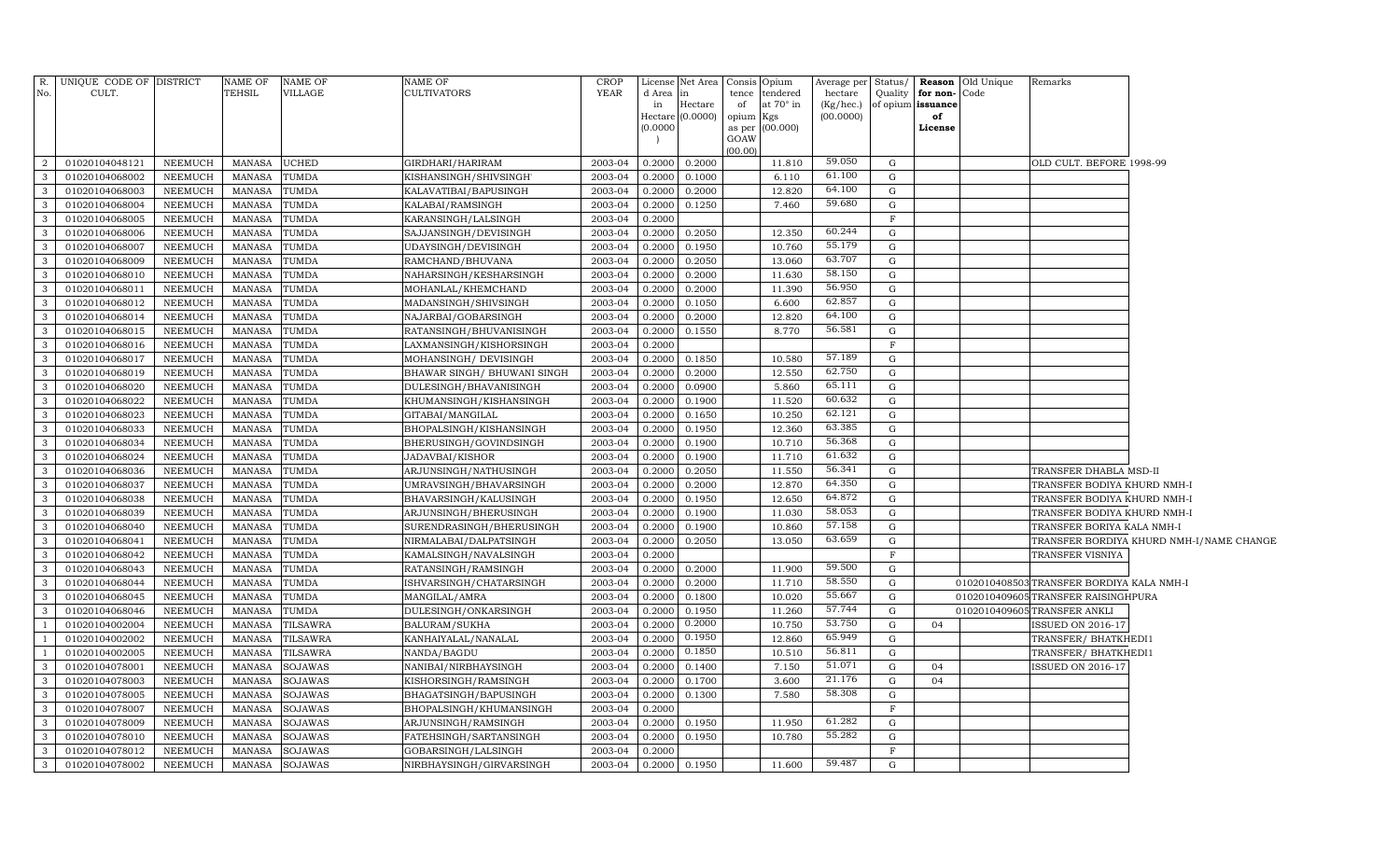|                                  | R. UNIQUE CODE OF DISTRICT       |                           | NAME OF                        | <b>NAME OF</b>            | NAME OF                                      | <b>CROP</b>        |                  | License Net Area            | Consis Opium    |                  | Average per            | Status/      |                         | <b>Reason</b> Old Unique<br>Remarks      |                                          |
|----------------------------------|----------------------------------|---------------------------|--------------------------------|---------------------------|----------------------------------------------|--------------------|------------------|-----------------------------|-----------------|------------------|------------------------|--------------|-------------------------|------------------------------------------|------------------------------------------|
| No.                              | CULT.                            |                           | <b>TEHSIL</b>                  | VILLAGE                   | CULTIVATORS                                  | YEAR               | d Area           |                             | tence           | tendered         | hectare                | Quality      | for non-Code            |                                          |                                          |
|                                  |                                  |                           |                                |                           |                                              |                    | in               | Hectare<br>Hectare (0.0000) | of<br>opium Kgs | at $70^\circ$ in | (Kg/hec.)<br>(00.0000) |              | of opium issuance<br>of |                                          |                                          |
|                                  |                                  |                           |                                |                           |                                              |                    | (0.0000)         |                             |                 | as per (00.000)  |                        |              | License                 |                                          |                                          |
|                                  |                                  |                           |                                |                           |                                              |                    |                  |                             | GOAW            |                  |                        |              |                         |                                          |                                          |
| 2                                | 01020104048121                   | <b>NEEMUCH</b>            | <b>MANASA</b>                  | <b>UCHED</b>              | GIRDHARI/HARIRAM                             | 2003-04            | 0.2000           | 0.2000                      | (00.00)         | 11.810           | 59.050                 | G            |                         | OLD CULT. BEFORE 1998-99                 |                                          |
| $\mathbf{3}$                     | 01020104068002                   | <b>NEEMUCH</b>            | <b>MANASA</b>                  | TUMDA                     | KISHANSINGH/SHIVSINGH'                       | 2003-04            | 0.2000           | 0.1000                      |                 | 6.110            | 61.100                 | G            |                         |                                          |                                          |
| $\mathbf{3}$                     | 01020104068003                   | NEEMUCH                   | <b>MANASA</b>                  | <b>TUMDA</b>              | KALAVATIBAI/BAPUSINGH                        | 2003-04            | 0.2000           | 0.2000                      |                 | 12.820           | 64.100                 | G            |                         |                                          |                                          |
| $\overline{\mathbf{3}}$          | 01020104068004                   | <b>NEEMUCH</b>            | <b>MANASA</b>                  | <b>TUMDA</b>              | KALABAI/RAMSINGH                             | 2003-04            | 0.2000           | 0.1250                      |                 | 7.460            | 59.680                 | G            |                         |                                          |                                          |
| $\overline{\mathbf{3}}$          | 01020104068005                   | <b>NEEMUCH</b>            | <b>MANASA</b>                  | <b>TUMDA</b>              | KARANSINGH/LALSINGH                          | 2003-04            | 0.2000           |                             |                 |                  |                        | $\mathbf{F}$ |                         |                                          |                                          |
| $\overline{\mathbf{3}}$          | 01020104068006                   | <b>NEEMUCH</b>            | <b>MANASA</b>                  | TUMDA                     | SAJJANSINGH/DEVISINGH                        | 2003-04            | 0.2000           | 0.2050                      |                 | 12.350           | 60.244                 | G            |                         |                                          |                                          |
| $\overline{\mathbf{3}}$          | 01020104068007                   | NEEMUCH                   | <b>MANASA</b>                  | <b>TUMDA</b>              | UDAYSINGH/DEVISINGH                          | 2003-04            | 0.2000           | 0.1950                      |                 | 10.760           | 55.179                 | G            |                         |                                          |                                          |
| $\overline{\mathbf{3}}$          | 01020104068009                   | <b>NEEMUCH</b>            | <b>MANASA</b>                  | <b>TUMDA</b>              | RAMCHAND/BHUVANA                             | 2003-04            | 0.2000           | 0.2050                      |                 | 13.060           | 63.707                 | G            |                         |                                          |                                          |
| $\mathbf{3}$                     | 01020104068010                   | NEEMUCH                   | <b>MANASA</b>                  | <b>TUMDA</b>              | NAHARSINGH/KESHARSINGH                       | 2003-04            | 0.2000           | 0.2000                      |                 | 11.630           | 58.150                 | G            |                         |                                          |                                          |
| $\mathbf{3}$                     | 01020104068011                   | NEEMUCH                   | <b>MANASA</b>                  | <b>TUMDA</b>              | MOHANLAL/KHEMCHAND                           | 2003-04            | 0.2000           | 0.2000                      |                 | 11.390           | 56.950                 | G            |                         |                                          |                                          |
| $\overline{\mathbf{3}}$          | 01020104068012                   | <b>NEEMUCH</b>            | <b>MANASA</b>                  | <b>TUMDA</b>              | MADANSINGH/SHIVSINGH                         | 2003-04            | 0.2000           | 0.1050                      |                 | 6.600            | 62.857                 | G            |                         |                                          |                                          |
| $\overline{3}$                   | 01020104068014                   | NEEMUCH                   | <b>MANASA</b>                  | TUMDA                     | NAJARBAI/GOBARSINGH                          | 2003-04            | 0.2000           | 0.2000                      |                 | 12.820           | 64.100                 | G            |                         |                                          |                                          |
| $\mathbf{3}$                     | 01020104068015                   | <b>NEEMUCH</b>            | <b>MANASA</b>                  | <b>TUMDA</b>              | RATANSINGH/BHUVANISINGH                      | 2003-04            | 0.2000           | 0.1550                      |                 | 8.770            | 56.581                 | G            |                         |                                          |                                          |
| $\overline{3}$                   | 01020104068016                   | NEEMUCH                   | <b>MANASA</b>                  | TUMDA                     | LAXMANSINGH/KISHORSINGH                      | 2003-04            | 0.2000           |                             |                 |                  |                        | $\mathbf F$  |                         |                                          |                                          |
| $\mathbf{3}$                     | 01020104068017                   | <b>NEEMUCH</b>            | <b>MANASA</b>                  | <b>TUMDA</b>              | MOHANSINGH/ DEVISINGH                        | 2003-04            | 0.2000           | 0.1850                      |                 | 10.580           | 57.189                 | G            |                         |                                          |                                          |
| $\overline{3}$                   | 01020104068019                   | NEEMUCH                   | <b>MANASA</b>                  | TUMDA                     | BHAWAR SINGH/ BHUWANI SINGH                  | 2003-04            | 0.2000           | 0.2000                      |                 | 12.550           | 62.750                 | $\mathbf G$  |                         |                                          |                                          |
| $\mathbf{3}$                     | 01020104068020                   | NEEMUCH                   | <b>MANASA</b>                  | <b>TUMDA</b>              | DULESINGH/BHAVANISINGH                       | 2003-04            | 0.2000           | 0.0900                      |                 | 5.860            | 65.111                 | $\mathbf G$  |                         |                                          |                                          |
| $\mathbf{3}$                     | 01020104068022                   | NEEMUCH                   | <b>MANASA</b>                  | TUMDA                     | KHUMANSINGH/KISHANSINGH                      | 2003-04            | 0.2000           | 0.1900                      |                 | 11.520           | 60.632                 | $\mathbf G$  |                         |                                          |                                          |
| $\mathbf{3}$                     | 01020104068023                   | NEEMUCH                   | <b>MANASA</b>                  | TUMDA                     | GITABAI/MANGILAL                             | 2003-04            | 0.2000           | 0.1650                      |                 | 10.250           | 62.121                 | $\mathbf G$  |                         |                                          |                                          |
| $\mathbf{3}$                     | 01020104068033                   | NEEMUCH                   | <b>MANASA</b>                  | TUMDA                     | BHOPALSINGH/KISHANSINGH                      | 2003-04            | 0.2000           | 0.1950                      |                 | 12.360           | 63.385                 | G            |                         |                                          |                                          |
| $\overline{\mathbf{3}}$          | 01020104068034                   | NEEMUCH                   | MANASA                         | TUMDA                     | BHERUSINGH/GOVINDSINGH                       | 2003-04            | 0.2000           | 0.1900                      |                 | 10.710           | 56.368                 | $\mathbf G$  |                         |                                          |                                          |
| $\overline{\mathbf{3}}$          | 01020104068024                   | NEEMUCH                   | <b>MANASA</b>                  | TUMDA                     | JADAVBAI/KISHOR                              | 2003-04            | 0.2000           | 0.1900                      |                 | 11.710           | 61.632                 | G            |                         |                                          |                                          |
| $\overline{\mathbf{3}}$          | 01020104068036                   | NEEMUCH                   | MANASA                         | TUMDA                     | ARJUNSINGH/NATHUSINGH                        | 2003-04            | 0.2000           | 0.2050                      |                 | 11.550           | 56.341                 | $\mathbf G$  |                         | TRANSFER DHABLA MSD-II                   |                                          |
| $\overline{\mathbf{3}}$          | 01020104068037                   | NEEMUCH                   | MANASA                         | TUMDA                     | UMRAVSINGH/BHAVARSINGH                       | 2003-04            | 0.2000           | 0.2000                      |                 | 12.870           | 64.350                 | $\mathbf G$  |                         | TRANSFER BODIYA KHURD NMH-I              |                                          |
| $\overline{\mathbf{3}}$          | 01020104068038                   | NEEMUCH                   | MANASA                         | TUMDA                     | BHAVARSINGH/KALUSINGH                        | 2003-04            | 0.2000           | 0.1950                      |                 | 12.650           | 64.872                 | $\mathbf G$  |                         | TRANSFER BODIYA KHURD NMH-I              |                                          |
| $\overline{\mathbf{3}}$          | 01020104068039                   | <b>NEEMUCH</b>            | <b>MANASA</b>                  | TUMDA                     | ARJUNSINGH/BHERUSINGH                        | 2003-04            | 0.2000           | 0.1900                      |                 | 11.030           | 58.053                 | G            |                         | TRANSFER BODIYA KHURD NMH-I              |                                          |
| $\overline{\mathbf{3}}$          | 01020104068040                   | NEEMUCH                   | MANASA                         | TUMDA                     | SURENDRASINGH/BHERUSINGH                     | 2003-04            | 0.2000           | 0.1900                      |                 | 10.860           | 57.158                 | G            |                         | TRANSFER BORIYA KALA NMH-I               |                                          |
| $\overline{\mathbf{3}}$          | 01020104068041                   | NEEMUCH                   | <b>MANASA</b>                  | TUMDA                     | NIRMALABAI/DALPATSINGH                       | 2003-04            | 0.2000           | 0.2050                      |                 | 13.050           | 63.659                 | G            |                         |                                          | TRANSFER BORDIYA KHURD NMH-I/NAME CHANGE |
| $\overline{\mathbf{3}}$          | 01020104068042                   | NEEMUCH                   | MANASA                         | TUMDA                     | KAMALSINGH/NAVALSINGH                        | 2003-04            | 0.2000           |                             |                 |                  |                        | F            |                         | TRANSFER VISNIYA                         |                                          |
| $\mathbf{3}$                     | 01020104068043                   | NEEMUCH                   | <b>MANASA</b>                  | TUMDA                     | RATANSINGH/RAMSINGH                          | 2003-04            | 0.2000           | 0.2000                      |                 | 11.900           | 59.500                 | G            |                         |                                          |                                          |
| $\overline{3}$                   | 01020104068044                   | NEEMUCH                   | <b>MANASA</b>                  | TUMDA                     | SHVARSINGH/CHATARSINGH                       | 2003-04            | 0.2000           | 0.2000                      |                 | 11.710           | 58.550                 | G            |                         | 0102010408503TRANSFER BORDIYA KALA NMH-I |                                          |
| $\mathbf{3}$                     | 01020104068045                   | <b>NEEMUCH</b>            | <b>MANASA</b>                  | TUMDA                     | MANGILAL/AMRA                                | 2003-04            | 0.2000           | 0.1800                      |                 | 10.020           | 55.667                 | G            |                         | 0102010409605 TRANSFER RAISINGHPURA      |                                          |
| $\overline{\mathbf{3}}$          | 01020104068046                   | NEEMUCH                   | MANASA                         | TUMDA                     | DULESINGH/ONKARSINGH                         | 2003-04            | 0.2000           | 0.1950                      |                 | 11.260           | 57.744<br>53.750       | G            |                         | 0102010409605 TRANSFER ANKLI             |                                          |
| <sup>1</sup>                     | 01020104002004                   | <b>NEEMUCH</b>            | <b>MANASA</b>                  | TILSAWRA                  | BALURAM/SUKHA                                | 2003-04            | 0.200            | 0.2000                      |                 | 10.750           | 65.949                 | G            | 04                      | ISSUED ON 2016-17                        |                                          |
| $\overline{1}$                   | 01020104002002                   | NEEMUCH                   | <b>MANASA</b>                  | TILSAWRA                  | KANHAIYALAL/NANALAL                          | 2003-04            | 0.2000           | 0.1950<br>0.1850            |                 | 12.860           | 56.811                 | G            |                         | TRANSFER/ BHATKHEDI1                     |                                          |
| $\overline{1}$                   | 01020104002005                   | NEEMUCH                   | <b>MANASA</b>                  | <b>TILSAWRA</b>           | NANDA/BAGDU                                  | 2003-04            | 0.2000           |                             |                 | 10.510           | 51.071                 | G            |                         | TRANSFER/ BHATKHEDI1                     |                                          |
| $\overline{3}$<br>$\overline{3}$ | 01020104078001<br>01020104078003 | NEEMUCH<br><b>NEEMUCH</b> | <b>MANASA</b><br><b>MANASA</b> | SOJAWAS<br><b>SOJAWAS</b> | NANIBAI/NIRBHAYSINGH<br>KISHORSINGH/RAMSINGH | 2003-04<br>2003-04 | 0.2000<br>0.2000 | 0.1400<br>0.1700            |                 | 7.150<br>3.600   | 21.176                 | G<br>G       | 04<br>04                | <b>ISSUED ON 2016-17</b>                 |                                          |
| $\overline{\mathbf{3}}$          | 01020104078005                   | <b>NEEMUCH</b>            | <b>MANASA</b>                  | <b>SOJAWAS</b>            | BHAGATSINGH/BAPUSINGH                        | 2003-04            | 0.2000           | 0.1300                      |                 | 7.580            | 58.308                 | G            |                         |                                          |                                          |
| $\overline{3}$                   | 01020104078007                   | <b>NEEMUCH</b>            | <b>MANASA</b>                  | <b>SOJAWAS</b>            | BHOPALSINGH/KHUMANSINGH                      | 2003-04            | 0.2000           |                             |                 |                  |                        | F            |                         |                                          |                                          |
| $\overline{3}$                   | 01020104078009                   | <b>NEEMUCH</b>            | <b>MANASA</b>                  | <b>SOJAWAS</b>            | ARJUNSINGH/RAMSINGH                          | 2003-04            | 0.2000           | 0.1950                      |                 | 11.950           | 61.282                 | G            |                         |                                          |                                          |
| $\overline{3}$                   | 01020104078010                   | <b>NEEMUCH</b>            | <b>MANASA</b>                  | <b>SOJAWAS</b>            | FATEHSINGH/SARTANSINGH                       | 2003-04            | 0.2000           | 0.1950                      |                 | 10.780           | 55.282                 | G            |                         |                                          |                                          |
| $\overline{\mathbf{3}}$          | 01020104078012                   | <b>NEEMUCH</b>            | <b>MANASA</b>                  | <b>SOJAWAS</b>            | GOBARSINGH/LALSINGH                          | 2003-04            | 0.2000           |                             |                 |                  |                        | F            |                         |                                          |                                          |
| $\mathbf{3}$                     | 01020104078002                   | NEEMUCH                   |                                | MANASA SOJAWAS            | NIRBHAYSINGH/GIRVARSINGH                     | 2003-04            | 0.2000           | 0.1950                      |                 | 11.600           | 59.487                 | G            |                         |                                          |                                          |
|                                  |                                  |                           |                                |                           |                                              |                    |                  |                             |                 |                  |                        |              |                         |                                          |                                          |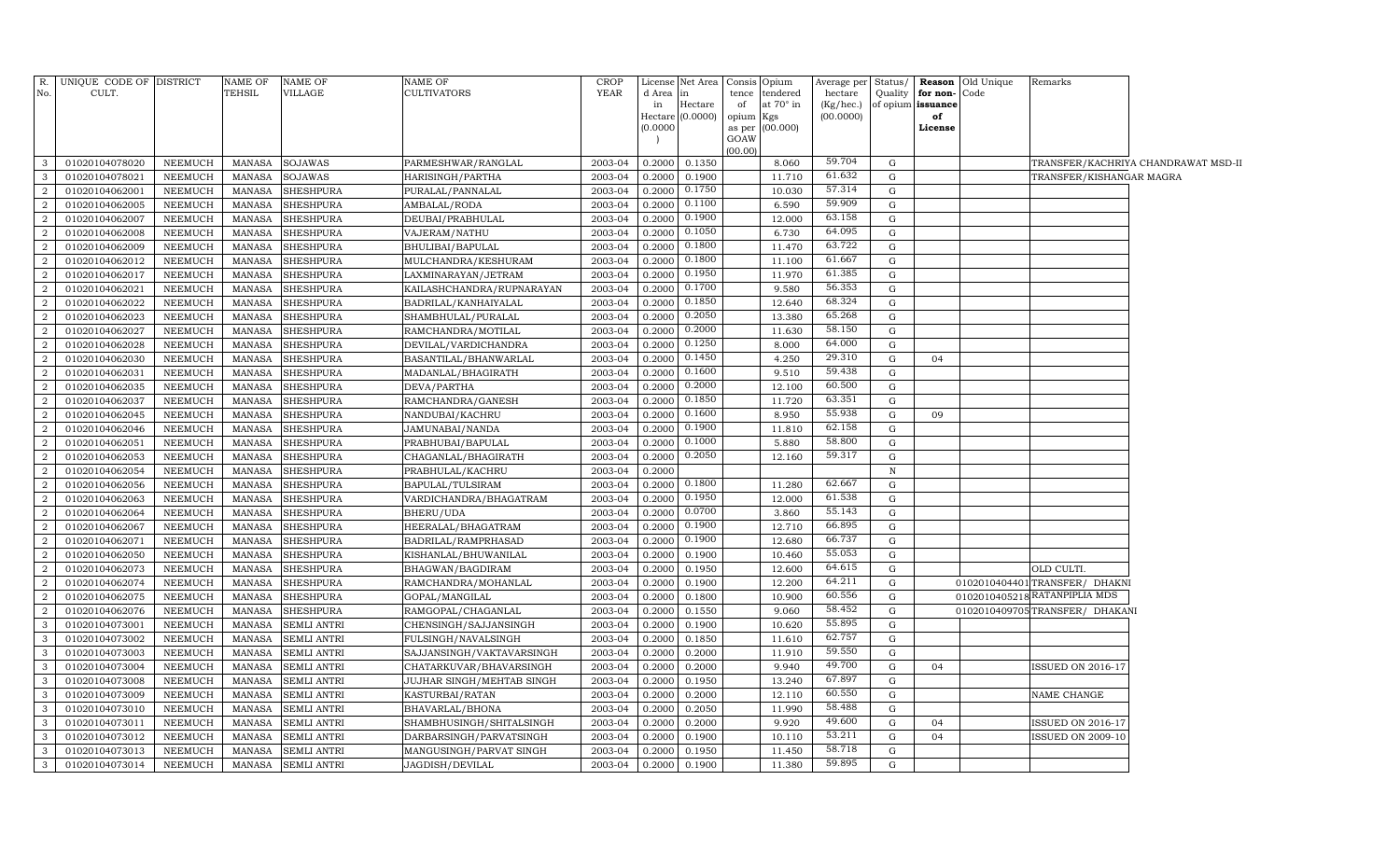| R.                               | UNIQUE CODE OF DISTRICT          |                           | <b>NAME OF</b>          | NAME OF                                  | NAME OF                                             | <b>CROP</b>        |                  | License Net Area            |             | Consis Opium            | Average per            | Status/      | Reason                  | Old Unique | Remarks                                       |                                     |
|----------------------------------|----------------------------------|---------------------------|-------------------------|------------------------------------------|-----------------------------------------------------|--------------------|------------------|-----------------------------|-------------|-------------------------|------------------------|--------------|-------------------------|------------|-----------------------------------------------|-------------------------------------|
| No.                              | CULT.                            |                           | TEHSIL                  | <b>VILLAGE</b>                           | <b>CULTIVATORS</b>                                  | <b>YEAR</b>        | d Area           | lin                         |             | tence tendered          | hectare                | Quality      | for non-                | Code       |                                               |                                     |
|                                  |                                  |                           |                         |                                          |                                                     |                    | in               | Hectare<br>Hectare (0.0000) | of<br>opium | at $70^\circ$ in<br>Kgs | (Kg/hec.)<br>(00.0000) |              | of opium issuance<br>of |            |                                               |                                     |
|                                  |                                  |                           |                         |                                          |                                                     |                    | (0.0000)         |                             |             | as per (00.000)         |                        |              | License                 |            |                                               |                                     |
|                                  |                                  |                           |                         |                                          |                                                     |                    |                  |                             | GOAW        |                         |                        |              |                         |            |                                               |                                     |
|                                  |                                  |                           |                         |                                          |                                                     |                    |                  |                             | (00.00)     |                         |                        |              |                         |            |                                               |                                     |
| 3                                | 01020104078020                   | NEEMUCH                   | MANASA                  | <b>SOJAWAS</b>                           | PARMESHWAR/RANGLAL                                  | 2003-04            | 0.2000           | 0.1350                      |             | 8.060                   | 59.704                 | G            |                         |            |                                               | TRANSFER/KACHRIYA CHANDRAWAT MSD-II |
| 3                                | 01020104078021                   | NEEMUCH                   | MANASA                  | <b>SOJAWAS</b>                           | HARISINGH/PARTHA                                    | 2003-04            | 0.2000           | 0.1900<br>0.1750            |             | 11.710                  | 61.632<br>57.314       | G            |                         |            | TRANSFER/KISHANGAR MAGRA                      |                                     |
| $\overline{2}$                   | 01020104062001                   | <b>NEEMUCH</b>            | MANASA                  | <b>SHESHPURA</b>                         | PURALAL/PANNALAL                                    | 2003-04            | 0.2000           | 0.1100                      |             | 10.030                  | 59.909                 | G            |                         |            |                                               |                                     |
| $\overline{a}$                   | 01020104062005                   | <b>NEEMUCH</b>            | MANASA                  | <b>SHESHPURA</b>                         | AMBALAL/RODA                                        | 2003-04            | 0.2000           | 0.1900                      |             | 6.590                   | 63.158                 | G            |                         |            |                                               |                                     |
| $\overline{2}$                   | 01020104062007                   | <b>NEEMUCH</b>            | MANASA                  | <b>SHESHPURA</b>                         | DEUBAI/PRABHULAL                                    | 2003-04            | 0.2000           | 0.1050                      |             | 12.000                  | 64.095                 | G<br>G       |                         |            |                                               |                                     |
| $\overline{a}$<br>$\overline{2}$ | 01020104062008<br>01020104062009 | <b>NEEMUCH</b><br>NEEMUCH | MANASA<br>MANASA        | <b>SHESHPURA</b><br><b>SHESHPURA</b>     | VAJERAM/NATHU<br>BHULIBAI/BAPULAL                   | 2003-04<br>2003-04 | 0.2000<br>0.2000 | 0.1800                      |             | 6.730<br>11.470         | 63.722                 | G            |                         |            |                                               |                                     |
| $\overline{a}$                   | 01020104062012                   | NEEMUCH                   | MANASA                  | <b>SHESHPURA</b>                         |                                                     | 2003-04            | 0.2000           | 0.1800                      |             | 11.100                  | 61.667                 | G            |                         |            |                                               |                                     |
| $\overline{2}$                   | 01020104062017                   | NEEMUCH                   | MANASA                  | <b>SHESHPURA</b>                         | MULCHANDRA/KESHURAM<br>LAXMINARAYAN/JETRAM          | 2003-04            | 0.2000           | 0.1950                      |             | 11.970                  | 61.385                 | G            |                         |            |                                               |                                     |
| $\overline{2}$                   | 01020104062021                   | <b>NEEMUCH</b>            | <b>MANASA</b>           | <b>SHESHPURA</b>                         | KAILASHCHANDRA/RUPNARAYAN                           | 2003-04            | 0.2000           | 0.1700                      |             | 9.580                   | 56.353                 | $\mathbf G$  |                         |            |                                               |                                     |
| 2                                | 01020104062022                   | <b>NEEMUCH</b>            | <b>MANASA</b>           | <b>SHESHPURA</b>                         | BADRILAL/KANHAIYALAL                                | 2003-04            | 0.2000           | 0.1850                      |             | 12.640                  | 68.324                 | G            |                         |            |                                               |                                     |
| $\overline{a}$                   | 01020104062023                   | <b>NEEMUCH</b>            | MANASA                  | <b>SHESHPURA</b>                         | SHAMBHULAL/PURALAL                                  | 2003-04            | 0.2000           | 0.2050                      |             | 13.380                  | 65.268                 | $\mathbf G$  |                         |            |                                               |                                     |
| $\overline{2}$                   | 01020104062027                   | <b>NEEMUCH</b>            | MANASA                  | <b>SHESHPURA</b>                         | RAMCHANDRA/MOTILAL                                  | 2003-04            | 0.2000           | 0.2000                      |             | 11.630                  | 58.150                 | G            |                         |            |                                               |                                     |
| $\overline{a}$                   | 01020104062028                   | <b>NEEMUCH</b>            | MANASA                  | <b>SHESHPURA</b>                         | DEVILAL/VARDICHANDRA                                | 2003-04            | 0.2000           | 0.1250                      |             | 8.000                   | 64.000                 | G            |                         |            |                                               |                                     |
| $\overline{2}$                   | 01020104062030                   | <b>NEEMUCH</b>            | <b>MANASA</b>           | <b>SHESHPURA</b>                         | BASANTILAL/BHANWARLAL                               | 2003-04            | 0.2000           | 0.1450                      |             | 4.250                   | 29.310                 | $\mathbf G$  | 04                      |            |                                               |                                     |
| $\overline{a}$                   | 01020104062031                   | <b>NEEMUCH</b>            | MANASA                  | <b>SHESHPURA</b>                         | MADANLAL/BHAGIRATH                                  | 2003-04            | 0.2000           | 0.1600                      |             | 9.510                   | 59.438                 | G            |                         |            |                                               |                                     |
| $\overline{2}$                   | 01020104062035                   | NEEMUCH                   | MANASA                  | <b>SHESHPURA</b>                         | DEVA/PARTHA                                         | 2003-04            | 0.2000           | 0.2000                      |             | 12.100                  | 60.500                 | G            |                         |            |                                               |                                     |
| $\overline{a}$                   | 01020104062037                   | NEEMUCH                   | MANASA                  | SHESHPURA                                | RAMCHANDRA/GANESH                                   | 2003-04            | 0.2000           | 0.1850                      |             | 11.720                  | 63.351                 | G            |                         |            |                                               |                                     |
| $\overline{a}$                   | 01020104062045                   | NEEMUCH                   | MANASA                  | <b>SHESHPURA</b>                         | NANDUBAI/KACHRU                                     | 2003-04            | 0.2000           | 0.1600                      |             | 8.950                   | 55.938                 | G            | 09                      |            |                                               |                                     |
| $\overline{2}$                   | 01020104062046                   | NEEMUCH                   | MANASA                  | <b>SHESHPURA</b>                         | JAMUNABAI/NANDA                                     | 2003-04            | 0.2000           | 0.1900                      |             | 11.810                  | 62.158                 | G            |                         |            |                                               |                                     |
| $\overline{2}$                   | 01020104062051                   | <b>NEEMUCH</b>            | MANASA                  | <b>SHESHPURA</b>                         | PRABHUBAI/BAPULAL                                   | 2003-04            | 0.2000           | 0.1000                      |             | 5.880                   | 58.800                 | G            |                         |            |                                               |                                     |
| $\overline{2}$                   | 01020104062053                   | <b>NEEMUCH</b>            | <b>MANASA</b>           | SHESHPURA                                | CHAGANLAL/BHAGIRATH                                 | 2003-04            | 0.2000           | 0.2050                      |             | 12.160                  | 59.317                 | ${\rm G}$    |                         |            |                                               |                                     |
| $\overline{2}$                   | 01020104062054                   | NEEMUCH                   | <b>MANASA</b>           | <b>SHESHPURA</b>                         | PRABHULAL/KACHRU                                    | 2003-04            | 0.2000           |                             |             |                         |                        | $\, {\rm N}$ |                         |            |                                               |                                     |
| $\overline{2}$                   | 01020104062056                   | <b>NEEMUCH</b>            | MANASA                  | <b>SHESHPURA</b>                         | BAPULAL/TULSIRAM                                    | 2003-04            | 0.2000           | 0.1800                      |             | 11.280                  | 62.667                 | $\mathbf G$  |                         |            |                                               |                                     |
| $\overline{2}$                   | 01020104062063                   | <b>NEEMUCH</b>            | <b>MANASA</b>           | <b>SHESHPURA</b>                         | VARDICHANDRA/BHAGATRAM                              | 2003-04            | 0.2000           | 0.1950                      |             | 12.000                  | 61.538                 | G            |                         |            |                                               |                                     |
| $\overline{2}$                   | 01020104062064                   | <b>NEEMUCH</b>            | MANASA                  | <b>SHESHPURA</b>                         | BHERU/UDA                                           | 2003-04            | 0.2000           | 0.0700                      |             | 3.860                   | 55.143                 | G            |                         |            |                                               |                                     |
| $\overline{2}$                   | 01020104062067                   | <b>NEEMUCH</b>            | MANASA                  | <b>SHESHPURA</b>                         | HEERALAL/BHAGATRAM                                  | 2003-04            | 0.2000           | 0.1900                      |             | 12.710                  | 66.895                 | ${\rm G}$    |                         |            |                                               |                                     |
| $\overline{a}$                   | 01020104062071                   | NEEMUCH                   | MANASA                  | <b>SHESHPURA</b>                         | BADRILAL/RAMPRHASAD                                 | 2003-04            | 0.2000           | 0.1900                      |             | 12.680                  | 66.737                 | G            |                         |            |                                               |                                     |
| $\overline{2}$                   | 01020104062050                   | NEEMUCH                   | MANASA                  | <b>SHESHPURA</b>                         | KISHANLAL/BHUWANILAL                                | 2003-04            | 0.2000           | 0.1900                      |             | 10.460                  | 55.053                 | G            |                         |            |                                               |                                     |
| $\overline{2}$                   | 01020104062073                   | NEEMUCH                   | MANASA                  | <b>SHESHPURA</b>                         | BHAGWAN/BAGDIRAM                                    | 2003-04            | 0.2000           | 0.1950                      |             | 12.600                  | 64.615                 | ${\rm G}$    |                         |            | OLD CULTI.                                    |                                     |
| $\overline{2}$                   | 01020104062074                   | NEEMUCH                   | MANASA                  | SHESHPURA                                | RAMCHANDRA/MOHANLAL                                 | 2003-04            | 0.2000           | 0.1900                      |             | 12.200                  | 64.211                 | ${\rm G}$    |                         |            | 0102010404401 TRANSFER/ DHAKNI                |                                     |
| $\overline{2}$                   | 01020104062075                   | NEEMUCH                   | MANASA                  | SHESHPURA                                | GOPAL/MANGILAL                                      | 2003-04            | 0.2000           | 0.1800                      |             | 10.900                  | 60.556                 | G            |                         |            | 0102010405218 RATANPIPLIA MDS                 |                                     |
| $\overline{2}$                   | 01020104062076                   | NEEMUCH                   | MANASA                  | SHESHPURA                                | RAMGOPAL/CHAGANLAL                                  | 2003-04            | 0.2000           | 0.1550                      |             | 9.060                   | 58.452                 | ${\rm G}$    |                         |            | 0102010409705TRANSFER/ DHAKANI                |                                     |
| 3                                | 01020104073001                   | NEEMUCH                   | <b>MANASA</b>           | SEMLI ANTRI                              | CHENSINGH/SAJJANSINGH                               | 2003-04            | 0.2000           | 0.1900                      |             | 10.620                  | 55.895                 | ${\rm G}$    |                         |            |                                               |                                     |
| 3                                | 01020104073002                   | <b>NEEMUCH</b>            | <b>MANASA</b>           | <b>SEMLI ANTRI</b>                       | FULSINGH/NAVALSINGH                                 | 2003-04            | 0.2000           | 0.1850                      |             | 11.610                  | 62.757                 | G            |                         |            |                                               |                                     |
| 3                                | 01020104073003                   | NEEMUCH                   | <b>MANASA</b>           | <b>SEMLI ANTRI</b>                       | SAJJANSINGH/VAKTAVARSINGH                           | 2003-04            | 0.2000           | 0.2000                      |             | 11.910                  | 59.550                 | G            |                         |            |                                               |                                     |
| 3                                | 01020104073004                   | <b>NEEMUCH</b>            | MANASA                  | <b>SEMLI ANTRI</b>                       | CHATARKUVAR/BHAVARSINGH                             | 2003-04            | 0.2000           | 0.2000                      |             | 9.940                   | 49.700<br>67.897       | G            | 04                      |            | <b>ISSUED ON 2016-17</b>                      |                                     |
| 3                                | 01020104073008                   | <b>NEEMUCH</b>            | <b>MANASA</b>           | <b>SEMLI ANTRI</b>                       | JUJHAR SINGH/MEHTAB SINGH                           | 2003-04            | 0.2000           | 0.1950                      |             | 13.240                  | 60.550                 | G            |                         |            |                                               |                                     |
| 3                                | 01020104073009                   | <b>NEEMUCH</b>            | <b>MANASA</b>           | <b>SEMLI ANTRI</b>                       | KASTURBAI/RATAN                                     | 2003-04            | 0.2000           | 0.2000                      |             | 12.110                  | 58.488                 | G<br>G       |                         |            | NAME CHANGE                                   |                                     |
| 3<br>3                           | 01020104073010                   | <b>NEEMUCH</b>            | MANASA                  | <b>SEMLI ANTRI</b>                       | BHAVARLAL/BHONA                                     | 2003-04<br>2003-04 | 0.2000           | 0.2050<br>0.2000            |             | 11.990<br>9.920         | 49.600                 |              |                         |            |                                               |                                     |
| 3                                | 01020104073011<br>01020104073012 | NEEMUCH<br>NEEMUCH        | MANASA<br><b>MANASA</b> | <b>SEMLI ANTRI</b><br><b>SEMLI ANTRI</b> | SHAMBHUSINGH/SHITALSINGH<br>DARBARSINGH/PARVATSINGH | 2003-04            | 0.2000<br>0.2000 | 0.1900                      |             | 10.110                  | 53.211                 | G<br>G       | 04<br>04                |            | ISSUED ON 2016-17<br><b>ISSUED ON 2009-10</b> |                                     |
| 3                                | 01020104073013                   | NEEMUCH                   | <b>MANASA</b>           | SEMLI ANTRI                              | MANGUSINGH/PARVAT SINGH                             | 2003-04            | 0.2000           | 0.1950                      |             | 11.450                  | 58.718                 | $\mathbf{G}$ |                         |            |                                               |                                     |
| $\mathbf{3}$                     | 01020104073014                   | NEEMUCH                   | MANASA                  | <b>SEMLI ANTRI</b>                       | JAGDISH/DEVILAL                                     | 2003-04            | 0.2000           | 0.1900                      |             | 11.380                  | 59.895                 | $\mathbf{G}$ |                         |            |                                               |                                     |
|                                  |                                  |                           |                         |                                          |                                                     |                    |                  |                             |             |                         |                        |              |                         |            |                                               |                                     |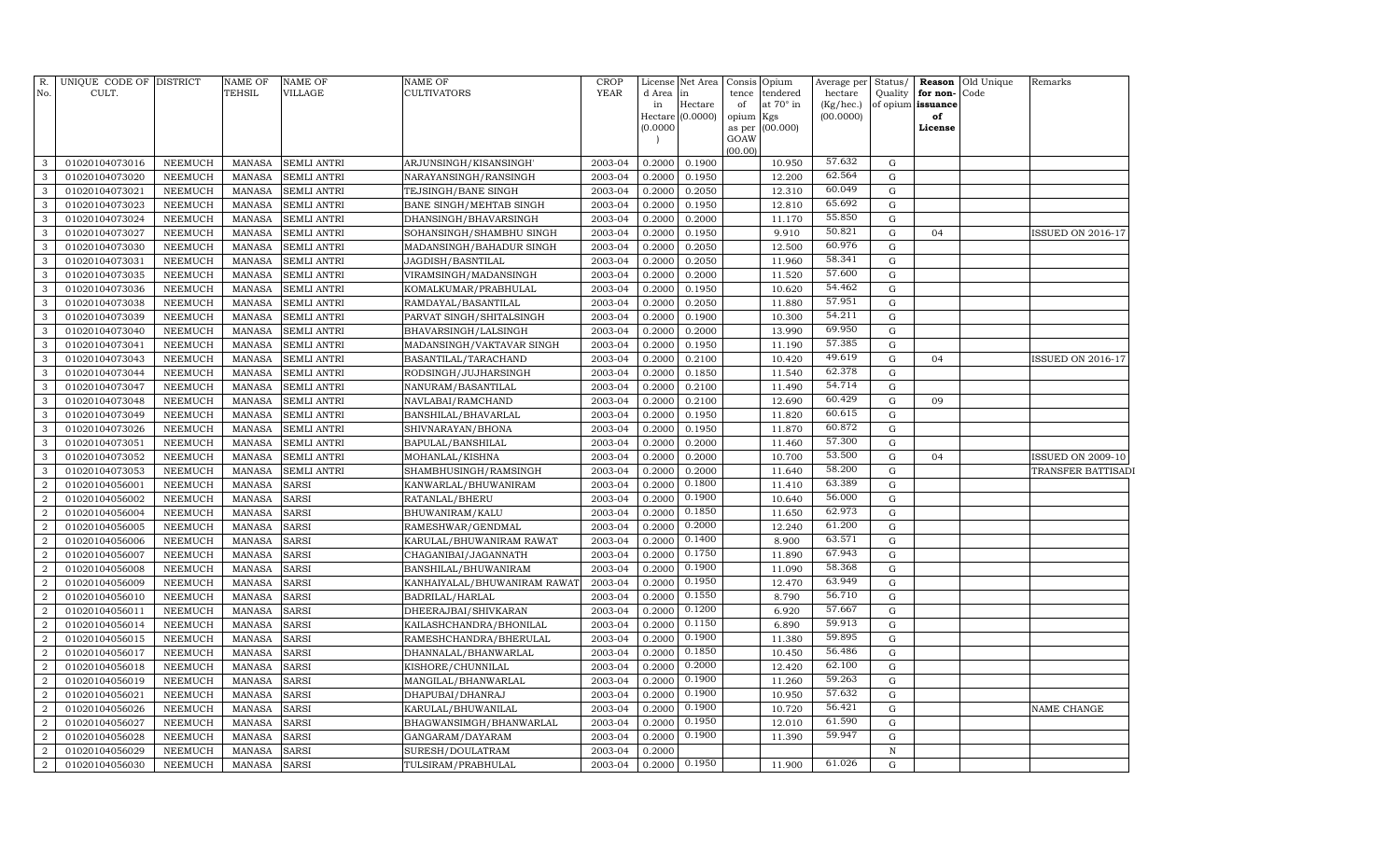| R.<br>No.      | UNIQUE CODE OF DISTRICT<br>CULT. |                                  | <b>NAME OF</b><br>TEHSIL | <b>NAME OF</b><br><b>VILLAGE</b>  | NAME OF<br>CULTIVATORS                           | <b>CROP</b><br><b>YEAR</b> | d Area<br>in<br>(0.0000) | License Net Area<br>in<br>Hectare<br>Hectare (0.0000) | Consis<br>tence<br>of<br>opium<br>as per<br>GOAW | Opium<br>tendered<br>at 70° in<br>Kgs<br>(00.000) | Average per<br>hectare<br>(Kg/hec.)<br>(00.0000) | Status/      | Quality for non-<br>of opium issuance<br>of<br>License | <b>Reason</b> Old Unique<br>Code | Remarks                  |
|----------------|----------------------------------|----------------------------------|--------------------------|-----------------------------------|--------------------------------------------------|----------------------------|--------------------------|-------------------------------------------------------|--------------------------------------------------|---------------------------------------------------|--------------------------------------------------|--------------|--------------------------------------------------------|----------------------------------|--------------------------|
|                |                                  |                                  |                          |                                   |                                                  |                            |                          |                                                       | (00.00)                                          |                                                   |                                                  |              |                                                        |                                  |                          |
| 3              | 01020104073016                   | <b>NEEMUCH</b>                   | <b>MANASA</b>            | <b>SEMLI ANTRI</b>                | ARJUNSINGH/KISANSINGH                            | 2003-04                    | 0.2000                   | 0.1900                                                |                                                  | 10.950                                            | 57.632                                           | G            |                                                        |                                  |                          |
| 3              | 01020104073020                   | <b>NEEMUCH</b>                   | <b>MANASA</b>            | <b>SEMLI ANTRI</b>                | NARAYANSINGH/RANSINGH                            | 2003-04                    | 0.2000                   | 0.1950                                                |                                                  | 12.200                                            | 62.564                                           | G            |                                                        |                                  |                          |
| 3              | 01020104073021                   | <b>NEEMUCH</b>                   | MANASA                   | <b>SEMLI ANTRI</b>                | TEJSINGH/BANE SINGH                              | 2003-04                    | 0.2000                   | 0.2050                                                |                                                  | 12.310                                            | 60.049                                           | G            |                                                        |                                  |                          |
| 3              | 01020104073023                   | <b>NEEMUCH</b>                   | <b>MANASA</b>            | SEMLI ANTRI                       | BANE SINGH/MEHTAB SINGH                          | 2003-04                    | 0.2000                   | 0.1950                                                |                                                  | 12.810                                            | 65.692                                           | G            |                                                        |                                  |                          |
| 3              | 01020104073024                   | <b>NEEMUCH</b>                   | <b>MANASA</b>            | <b>SEMLI ANTRI</b>                | DHANSINGH/BHAVARSINGH                            | 2003-04                    | 0.2000                   | 0.2000                                                |                                                  | 11.170                                            | 55.850                                           | G            |                                                        |                                  |                          |
| 3              | 01020104073027                   | <b>NEEMUCH</b>                   | <b>MANASA</b>            | SEMLI ANTRI                       | SOHANSINGH/SHAMBHU SINGH                         | 2003-04                    | 0.2000                   | 0.1950                                                |                                                  | 9.910                                             | 50.821                                           | G            | 04                                                     |                                  | ISSUED ON 2016-17        |
| 3              | 01020104073030                   | <b>NEEMUCH</b>                   | <b>MANASA</b>            | SEMLI ANTRI                       | MADANSINGH/BAHADUR SINGH                         | 2003-04                    | 0.2000                   | 0.2050                                                |                                                  | 12.500                                            | 60.976<br>58.341                                 | G            |                                                        |                                  |                          |
| 3              | 01020104073031                   | <b>NEEMUCH</b>                   | <b>MANASA</b>            | SEMLI ANTRI                       | JAGDISH/BASNTILAL                                | 2003-04                    | 0.2000                   | 0.2050                                                |                                                  | 11.960                                            | 57.600                                           | G            |                                                        |                                  |                          |
| 3              | 01020104073035                   | <b>NEEMUCH</b>                   | <b>MANASA</b>            | SEMLI ANTRI                       | VIRAMSINGH/MADANSINGH                            | 2003-04                    | 0.2000                   | 0.2000                                                |                                                  | 11.520                                            | 54.462                                           | G            |                                                        |                                  |                          |
| 3              | 01020104073036                   | <b>NEEMUCH</b>                   | <b>MANASA</b>            | SEMLI ANTRI                       | KOMALKUMAR/PRABHULAL                             | 2003-04                    | 0.2000                   | 0.1950                                                |                                                  | 10.620                                            | 57.951                                           | G            |                                                        |                                  |                          |
| 3<br>3         | 01020104073038<br>01020104073039 | <b>NEEMUCH</b><br><b>NEEMUCH</b> | <b>MANASA</b><br>MANASA  | SEMLI ANTRI<br><b>SEMLI ANTRI</b> | RAMDAYAL/BASANTILAL                              | 2003-04<br>2003-04         | 0.2000<br>0.2000         | 0.2050<br>0.1900                                      |                                                  | 11.880<br>10.300                                  | 54.211                                           | G<br>G       |                                                        |                                  |                          |
| 3              | 01020104073040                   | <b>NEEMUCH</b>                   | <b>MANASA</b>            | <b>SEMLI ANTRI</b>                | PARVAT SINGH/SHITALSINGH<br>BHAVARSINGH/LALSINGH | 2003-04                    | 0.2000                   | 0.2000                                                |                                                  | 13.990                                            | 69.950                                           | G            |                                                        |                                  |                          |
| 3              | 01020104073041                   | <b>NEEMUCH</b>                   | <b>MANASA</b>            | SEMLI ANTRI                       | MADANSINGH/VAKTAVAR SINGH                        | 2003-04                    | 0.2000                   | 0.1950                                                |                                                  | 11.190                                            | 57.385                                           | G            |                                                        |                                  |                          |
| 3              | 01020104073043                   | <b>NEEMUCH</b>                   | <b>MANASA</b>            | <b>SEMLI ANTRI</b>                | BASANTILAL/TARACHAND                             | 2003-04                    | 0.2000                   | 0.2100                                                |                                                  | 10.420                                            | 49.619                                           | G            | 04                                                     |                                  | ISSUED ON 2016-17        |
| 3              | 01020104073044                   | <b>NEEMUCH</b>                   | <b>MANASA</b>            | SEMLI ANTRI                       | RODSINGH/JUJHARSINGH                             | 2003-04                    | 0.2000                   | 0.1850                                                |                                                  | 11.540                                            | 62.378                                           | G            |                                                        |                                  |                          |
| 3              | 01020104073047                   | <b>NEEMUCH</b>                   | <b>MANASA</b>            | SEMLI ANTRI                       | NANURAM/BASANTILAL                               | 2003-04                    | 0.2000                   | 0.2100                                                |                                                  | 11.490                                            | 54.714                                           | G            |                                                        |                                  |                          |
| 3              | 01020104073048                   | <b>NEEMUCH</b>                   | <b>MANASA</b>            | SEMLI ANTRI                       | NAVLABAI/RAMCHAND                                | 2003-04                    | 0.2000                   | 0.2100                                                |                                                  | 12.690                                            | 60.429                                           | G            | 09                                                     |                                  |                          |
| 3              | 01020104073049                   | <b>NEEMUCH</b>                   | <b>MANASA</b>            | SEMLI ANTRI                       | BANSHILAL/BHAVARLAL                              | 2003-04                    | 0.2000                   | 0.1950                                                |                                                  | 11.820                                            | 60.615                                           | ${\rm G}$    |                                                        |                                  |                          |
| 3              | 01020104073026                   | <b>NEEMUCH</b>                   | <b>MANASA</b>            | SEMLI ANTRI                       | SHIVNARAYAN/BHONA                                | 2003-04                    | 0.2000                   | 0.1950                                                |                                                  | 11.870                                            | 60.872                                           | G            |                                                        |                                  |                          |
| 3              | 01020104073051                   | <b>NEEMUCH</b>                   | <b>MANASA</b>            | SEMLI ANTRI                       | BAPULAL/BANSHILAL                                | 2003-04                    | 0.2000                   | 0.2000                                                |                                                  | 11.460                                            | 57.300                                           | G            |                                                        |                                  |                          |
| 3              | 01020104073052                   | <b>NEEMUCH</b>                   | MANASA                   | <b>SEMLI ANTRI</b>                | MOHANLAL/KISHNA                                  | 2003-04                    | 0.2000                   | 0.2000                                                |                                                  | 10.700                                            | 53.500                                           | G            | 04                                                     |                                  | <b>ISSUED ON 2009-10</b> |
| 3              | 01020104073053                   | <b>NEEMUCH</b>                   | <b>MANASA</b>            | SEMLI ANTRI                       | SHAMBHUSINGH/RAMSINGH                            | 2003-04                    | 0.2000                   | 0.2000                                                |                                                  | 11.640                                            | 58.200                                           | G            |                                                        |                                  | TRANSFER BATTISADI       |
| $\overline{2}$ | 01020104056001                   | <b>NEEMUCH</b>                   | <b>MANASA</b>            | SARSI                             | KANWARLAL/BHUWANIRAM                             | 2003-04                    | 0.2000                   | 0.1800                                                |                                                  | 11.410                                            | 63.389                                           | G            |                                                        |                                  |                          |
| $\overline{2}$ | 01020104056002                   | <b>NEEMUCH</b>                   | <b>MANASA</b>            | SARSI                             | RATANLAL/BHERU                                   | 2003-04                    | 0.2000                   | 0.1900                                                |                                                  | 10.640                                            | 56.000                                           | G            |                                                        |                                  |                          |
| $\overline{2}$ | 01020104056004                   | <b>NEEMUCH</b>                   | <b>MANASA</b>            | <b>SARSI</b>                      | BHUWANIRAM/KALU                                  | 2003-04                    | 0.2000                   | 0.1850                                                |                                                  | 11.650                                            | 62.973                                           | G            |                                                        |                                  |                          |
| $\overline{2}$ | 01020104056005                   | <b>NEEMUCH</b>                   | <b>MANASA</b>            | SARSI                             | RAMESHWAR/GENDMAL                                | 2003-04                    | 0.2000                   | 0.2000                                                |                                                  | 12.240                                            | 61.200                                           | G            |                                                        |                                  |                          |
| $\overline{2}$ | 01020104056006                   | <b>NEEMUCH</b>                   | <b>MANASA</b>            | <b>SARSI</b>                      | KARULAL/BHUWANIRAM RAWAT                         | 2003-04                    | 0.2000                   | 0.1400                                                |                                                  | 8.900                                             | 63.571                                           | G            |                                                        |                                  |                          |
| 2              | 01020104056007                   | <b>NEEMUCH</b>                   | <b>MANASA</b>            | SARSI                             | CHAGANIBAI/JAGANNATH                             | 2003-04                    | 0.2000                   | 0.1750                                                |                                                  | 11.890                                            | 67.943                                           | ${\rm G}$    |                                                        |                                  |                          |
| $\overline{2}$ | 01020104056008                   | <b>NEEMUCH</b>                   | <b>MANASA</b>            | SARSI                             | BANSHILAL/BHUWANIRAM                             | 2003-04                    | 0.2000                   | 0.1900                                                |                                                  | 11.090                                            | 58.368                                           | G            |                                                        |                                  |                          |
| $\overline{2}$ | 01020104056009                   | <b>NEEMUCH</b>                   | <b>MANASA</b>            | SARSI                             | KANHAIYALAL/BHUWANIRAM RAWAT                     | 2003-04                    | 0.2000                   | 0.1950                                                |                                                  | 12.470                                            | 63.949                                           | G            |                                                        |                                  |                          |
| $\overline{2}$ | 01020104056010                   | <b>NEEMUCH</b>                   | MANASA                   | SARSI                             | BADRILAL/HARLAL                                  | 2003-04                    | 0.2000                   | 0.1550                                                |                                                  | 8.790                                             | 56.710                                           | G            |                                                        |                                  |                          |
| $\overline{2}$ | 01020104056011                   | <b>NEEMUCH</b>                   | <b>MANASA</b>            | SARSI                             | DHEERAJBAI/SHIVKARAN                             | 2003-04                    | 0.2000                   | 0.1200                                                |                                                  | 6.920                                             | 57.667                                           | G            |                                                        |                                  |                          |
| $\overline{2}$ | 01020104056014                   | <b>NEEMUCH</b>                   | <b>MANASA</b>            | SARSI                             | KAILASHCHANDRA/BHONILAL                          | 2003-04                    | 0.2000                   | 0.1150                                                |                                                  | 6.890                                             | 59.913                                           | G            |                                                        |                                  |                          |
| $\overline{2}$ | 01020104056015                   | NEEMUCH                          | <b>MANASA</b>            | SARSI                             | RAMESHCHANDRA/BHERULAL                           | 2003-04                    | 0.2000                   | 0.1900                                                |                                                  | 11.380                                            | 59.895                                           | G            |                                                        |                                  |                          |
| $\overline{2}$ | 01020104056017                   | <b>NEEMUCH</b>                   | <b>MANASA</b>            | SARSI                             | DHANNALAL/BHANWARLAL                             | 2003-04                    | 0.2000                   | 0.1850                                                |                                                  | 10.450                                            | 56.486                                           | G            |                                                        |                                  |                          |
| $\overline{2}$ | 01020104056018                   | <b>NEEMUCH</b>                   | <b>MANASA</b>            | SARSI                             | KISHORE/CHUNNILAL                                | 2003-04                    | 0.2000                   | 0.2000                                                |                                                  | 12.420                                            | 62.100                                           | G            |                                                        |                                  |                          |
| $\overline{2}$ | 01020104056019                   | <b>NEEMUCH</b>                   | <b>MANASA</b>            | SARSI                             | MANGILAL/BHANWARLAL                              | 2003-04                    | 0.2000                   | 0.1900                                                |                                                  | 11.260                                            | 59.263                                           | G            |                                                        |                                  |                          |
| $\overline{2}$ | 01020104056021                   | <b>NEEMUCH</b>                   | <b>MANASA</b>            | SARSI                             | DHAPUBAI/DHANRAJ                                 | 2003-04                    | 0.2000                   | 0.1900                                                |                                                  | 10.950                                            | 57.632                                           | ${\rm G}$    |                                                        |                                  |                          |
| $\overline{2}$ | 01020104056026                   | <b>NEEMUCH</b>                   | <b>MANASA</b>            | SARSI                             | KARULAL/BHUWANILAL                               | 2003-04                    | 0.2000                   | 0.1900                                                |                                                  | 10.720                                            | 56.421                                           | G            |                                                        |                                  | NAME CHANGE              |
| $\overline{2}$ | 01020104056027                   | <b>NEEMUCH</b>                   | <b>MANASA</b>            | SARSI                             | BHAGWANSIMGH/BHANWARLAL                          | 2003-04                    | 0.2000                   | 0.1950                                                |                                                  | 12.010                                            | 61.590                                           | ${\rm G}$    |                                                        |                                  |                          |
| $\overline{2}$ | 01020104056028                   | <b>NEEMUCH</b>                   | <b>MANASA</b>            | SARSI                             | GANGARAM/DAYARAM                                 | 2003-04                    | 0.2000                   | 0.1900                                                |                                                  | 11.390                                            | 59.947                                           | G            |                                                        |                                  |                          |
| $\overline{2}$ | 01020104056029                   | <b>NEEMUCH</b>                   | <b>MANASA</b>            | SARSI                             | SURESH/DOULATRAM                                 | 2003-04                    | 0.2000                   |                                                       |                                                  |                                                   |                                                  | $\, {\rm N}$ |                                                        |                                  |                          |
| $\overline{a}$ | 01020104056030                   | NEEMUCH                          | MANASA                   | <b>SARSI</b>                      | TULSIRAM/PRABHULAL                               | 2003-04                    |                          | 0.2000 0.1950                                         |                                                  | 11.900                                            | 61.026                                           | G            |                                                        |                                  |                          |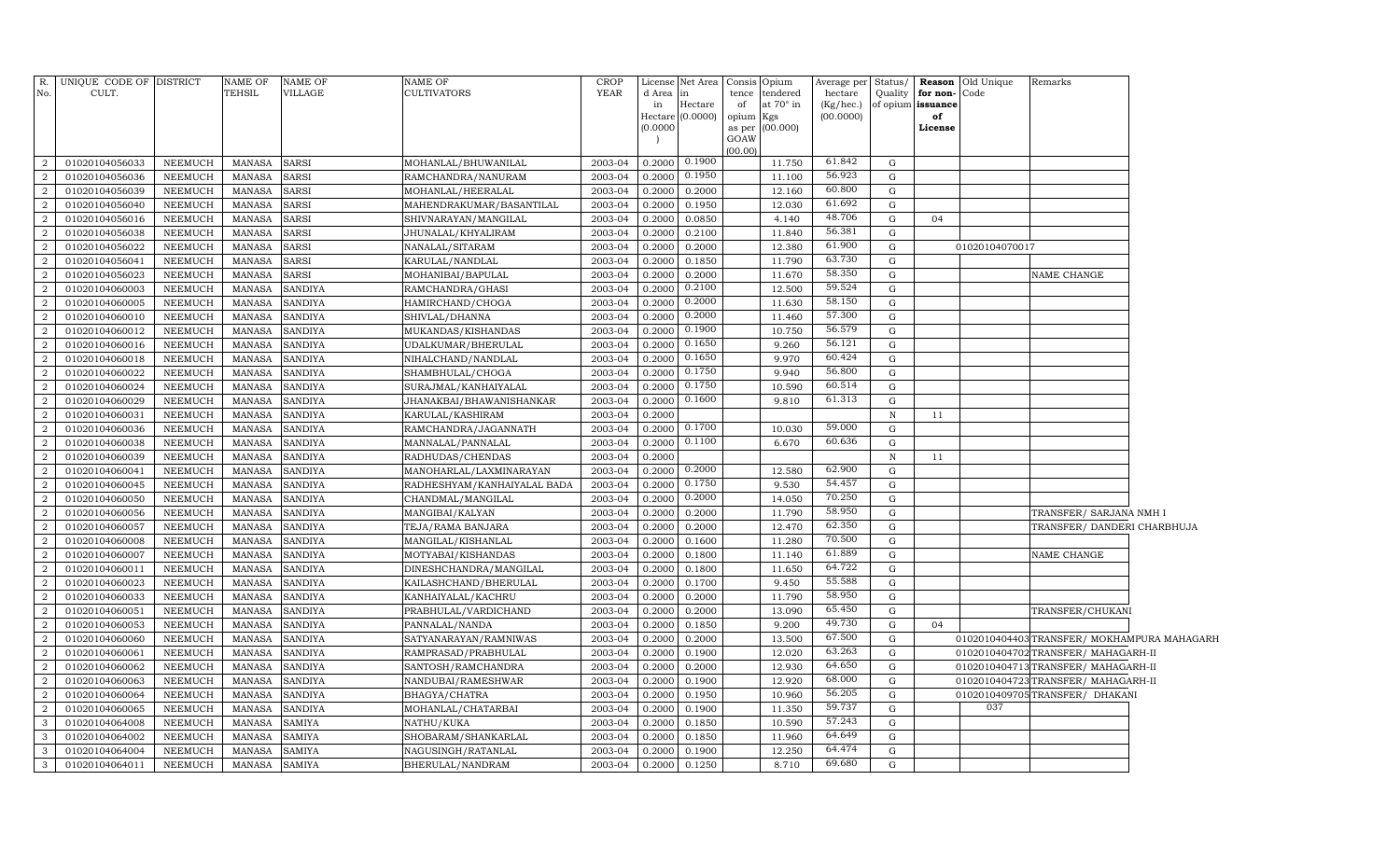| R.               | UNIQUE CODE OF DISTRICT |         | <b>NAME OF</b> | <b>NAME OF</b> | NAME OF                     | <b>CROP</b> | License  | Net Area   Consis   Opium |           |                 | Average per | Status/      |                   | <b>Reason</b> Old Unique | Remarks                                   |  |
|------------------|-------------------------|---------|----------------|----------------|-----------------------------|-------------|----------|---------------------------|-----------|-----------------|-------------|--------------|-------------------|--------------------------|-------------------------------------------|--|
| No.              | CULT.                   |         | <b>TEHSIL</b>  | VILLAGE        | CULTIVATORS                 | YEAR        | d Area   | l in                      |           | tence tendered  | hectare     | Quality      | for non-          | Code                     |                                           |  |
|                  |                         |         |                |                |                             |             | in       | Hectare                   | of        | at 70° in       | (Kg/hec.)   |              | of opium issuance |                          |                                           |  |
|                  |                         |         |                |                |                             |             | Hectare  | (0.0000)                  | opium Kgs |                 | (00.0000)   |              | of                |                          |                                           |  |
|                  |                         |         |                |                |                             |             | (0.0000) |                           | GOAW      | as per (00.000) |             |              | License           |                          |                                           |  |
|                  |                         |         |                |                |                             |             |          |                           | (00.00)   |                 |             |              |                   |                          |                                           |  |
| $\overline{2}$   | 01020104056033          | NEEMUCH | <b>MANASA</b>  | <b>SARSI</b>   | MOHANLAL/BHUWANILAL         | 2003-04     | 0.2000   | 0.1900                    |           | 11.750          | 61.842      | G            |                   |                          |                                           |  |
| $\overline{2}$   | 01020104056036          | NEEMUCH | <b>MANASA</b>  | <b>SARSI</b>   | RAMCHANDRA/NANURAM          | 2003-04     | 0.2000   | 0.1950                    |           | 11.100          | 56.923      | G            |                   |                          |                                           |  |
| $\overline{2}$   | 01020104056039          | NEEMUCH | <b>MANASA</b>  | <b>SARSI</b>   | MOHANLAL/HEERALAL           | 2003-04     | 0.2000   | 0.2000                    |           | 12.160          | 60.800      | G            |                   |                          |                                           |  |
| $\overline{2}$   | 01020104056040          | NEEMUCH | <b>MANASA</b>  | <b>SARSI</b>   | MAHENDRAKUMAR/BASANTILAL    | 2003-04     | 0.2000   | 0.1950                    |           | 12.030          | 61.692      | G            |                   |                          |                                           |  |
| $\overline{2}$   | 01020104056016          | NEEMUCH | <b>MANASA</b>  | <b>SARSI</b>   | SHIVNARAYAN/MANGILAL        | 2003-04     | 0.2000   | 0.0850                    |           | 4.140           | 48.706      | G            | 04                |                          |                                           |  |
| $\overline{2}$   | 01020104056038          | NEEMUCH | <b>MANASA</b>  | <b>SARSI</b>   | JHUNALAL/KHYALIRAM          | 2003-04     | 0.2000   | 0.2100                    |           | 11.840          | 56.381      | G            |                   |                          |                                           |  |
| $\overline{2}$   | 01020104056022          | NEEMUCH | <b>MANASA</b>  | <b>SARSI</b>   | NANALAL/SITARAM             | 2003-04     | 0.2000   | 0.2000                    |           | 12.380          | 61.900      | G            |                   | 01020104070017           |                                           |  |
| $\overline{2}$   | 01020104056041          | NEEMUCH | <b>MANASA</b>  | <b>SARSI</b>   | KARULAL/NANDLAL             | 2003-04     | 0.2000   | 0.1850                    |           | 11.790          | 63.730      | G            |                   |                          |                                           |  |
| $\overline{2}$   | 01020104056023          | NEEMUCH | <b>MANASA</b>  | <b>SARSI</b>   | MOHANIBAI/BAPULAL           | 2003-04     | 0.2000   | 0.2000                    |           | 11.670          | 58.350      | G            |                   |                          | NAME CHANGE                               |  |
| $\overline{2}$   | 01020104060003          | NEEMUCH | <b>MANASA</b>  | <b>SANDIYA</b> | RAMCHANDRA/GHASI            | 2003-04     | 0.2000   | 0.2100                    |           | 12.500          | 59.524      | G            |                   |                          |                                           |  |
| $\overline{2}$   | 01020104060005          | NEEMUCH | <b>MANASA</b>  | <b>SANDIYA</b> | HAMIRCHAND/CHOGA            | 2003-04     | 0.2000   | 0.2000                    |           | 11.630          | 58.150      | G            |                   |                          |                                           |  |
| $\overline{2}$   | 01020104060010          | NEEMUCH | MANASA         | <b>SANDIYA</b> | SHIVLAL/DHANNA              | 2003-04     | 0.2000   | 0.2000                    |           | 11.460          | 57.300      | G            |                   |                          |                                           |  |
| $\overline{2}$   | 01020104060012          | NEEMUCH | <b>MANASA</b>  | <b>SANDIYA</b> | MUKANDAS/KISHANDAS          | 2003-04     | 0.2000   | 0.1900                    |           | 10.750          | 56.579      | G            |                   |                          |                                           |  |
| $\overline{2}$   | 01020104060016          | NEEMUCH | <b>MANASA</b>  | <b>SANDIYA</b> | UDALKUMAR/BHERULAL          | 2003-04     | 0.2000   | 0.1650                    |           | 9.260           | 56.121      | G            |                   |                          |                                           |  |
| 2                | 01020104060018          | NEEMUCH | <b>MANASA</b>  | <b>SANDIYA</b> | NIHALCHAND/NANDLAL          | 2003-04     | 0.2000   | 0.1650                    |           | 9.970           | 60.424      | G            |                   |                          |                                           |  |
| $\overline{2}$   | 01020104060022          | NEEMUCH | <b>MANASA</b>  | <b>SANDIYA</b> | SHAMBHULAL/CHOGA            | 2003-04     | 0.2000   | 0.1750                    |           | 9.940           | 56.800      | G            |                   |                          |                                           |  |
| $\overline{2}$   | 01020104060024          | NEEMUCH | <b>MANASA</b>  | <b>SANDIYA</b> | SURAJMAL/KANHAIYALAL        | 2003-04     | 0.2000   | 0.1750                    |           | 10.590          | 60.514      | G            |                   |                          |                                           |  |
| $\overline{2}$   | 01020104060029          | NEEMUCH | <b>MANASA</b>  | <b>SANDIYA</b> | JHANAKBAI/BHAWANISHANKAR    | 2003-04     | 0.2000   | 0.1600                    |           | 9.810           | 61.313      | G            |                   |                          |                                           |  |
| $\overline{2}$   | 01020104060031          | NEEMUCH | <b>MANASA</b>  | <b>SANDIYA</b> | KARULAL/KASHIRAM            | 2003-04     | 0.2000   |                           |           |                 |             | $\mathbb N$  | 11                |                          |                                           |  |
| $\overline{2}$   | 01020104060036          | NEEMUCH | <b>MANASA</b>  | <b>SANDIYA</b> | RAMCHANDRA/JAGANNATH        | 2003-04     | 0.2000   | 0.1700                    |           | 10.030          | 59.000      | G            |                   |                          |                                           |  |
| $\overline{2}$   | 01020104060038          | NEEMUCH | <b>MANASA</b>  | <b>SANDIYA</b> | MANNALAL/PANNALAL           | 2003-04     | 0.2000   | 0.1100                    |           | 6.670           | 60.636      | G            |                   |                          |                                           |  |
| $\overline{2}$   | 01020104060039          | NEEMUCH | <b>MANASA</b>  | <b>SANDIYA</b> | RADHUDAS/CHENDAS            | 2003-04     | 0.2000   |                           |           |                 |             | $\, {\bf N}$ | 11                |                          |                                           |  |
| $\overline{2}$   | 01020104060041          | NEEMUCH | <b>MANASA</b>  | <b>SANDIYA</b> | MANOHARLAL/LAXMINARAYAN     | 2003-04     | 0.2000   | 0.2000                    |           | 12.580          | 62.900      | G            |                   |                          |                                           |  |
| $\overline{2}$   | 01020104060045          | NEEMUCH | <b>MANASA</b>  | <b>SANDIYA</b> | RADHESHYAM/KANHAIYALAL BADA | 2003-04     | 0.2000   | 0.1750                    |           | 9.530           | 54.457      | G            |                   |                          |                                           |  |
| $\overline{2}$   | 01020104060050          | NEEMUCH | <b>MANASA</b>  | <b>SANDIYA</b> | CHANDMAL/MANGILAL           | 2003-04     | 0.2000   | 0.2000                    |           | 14.050          | 70.250      | G            |                   |                          |                                           |  |
| $\boldsymbol{2}$ | 01020104060056          | NEEMUCH | <b>MANASA</b>  | <b>SANDIYA</b> | MANGIBAI/KALYAN             | 2003-04     | 0.2000   | 0.2000                    |           | 11.790          | 58.950      | G            |                   |                          | TRANSFER/ SARJANA NMH I                   |  |
| $\boldsymbol{2}$ | 01020104060057          | NEEMUCH | <b>MANASA</b>  | <b>SANDIYA</b> | TEJA/RAMA BANJARA           | 2003-04     | 0.2000   | 0.2000                    |           | 12.470          | 62.350      | ${\rm G}$    |                   |                          | TRANSFER/ DANDERI CHARBHUJA               |  |
| $\boldsymbol{2}$ | 01020104060008          | NEEMUCH | <b>MANASA</b>  | <b>SANDIYA</b> | MANGILAL/KISHANLAL          | 2003-04     | 0.2000   | 0.1600                    |           | 11.280          | 70.500      | G            |                   |                          |                                           |  |
| 2                | 01020104060007          | NEEMUCH | <b>MANASA</b>  | <b>SANDIYA</b> | MOTYABAI/KISHANDAS          | 2003-04     | 0.2000   | 0.1800                    |           | 11.140          | 61.889      | ${\rm G}$    |                   |                          | NAME CHANGE                               |  |
| $\overline{2}$   | 01020104060011          | NEEMUCH | <b>MANASA</b>  | <b>SANDIYA</b> | DINESHCHANDRA/MANGILAL      | 2003-04     | 0.2000   | 0.1800                    |           | 11.650          | 64.722      | G            |                   |                          |                                           |  |
| $\overline{2}$   | 01020104060023          | NEEMUCH | <b>MANASA</b>  | <b>SANDIYA</b> | KAILASHCHAND/BHERULAL       | 2003-04     | 0.2000   | 0.1700                    |           | 9.450           | 55.588      | ${\rm G}$    |                   |                          |                                           |  |
| $\overline{2}$   | 01020104060033          | NEEMUCH | <b>MANASA</b>  | <b>SANDIYA</b> | KANHAIYALAL/KACHRU          | 2003-04     | 0.2000   | 0.2000                    |           | 11.790          | 58.950      | G            |                   |                          |                                           |  |
| $\overline{2}$   | 01020104060051          | NEEMUCH | <b>MANASA</b>  | <b>SANDIYA</b> | PRABHULAL/VARDICHAND        | 2003-04     | 0.2000   | 0.2000                    |           | 13.090          | 65.450      | G            |                   |                          | TRANSFER/CHUKANI                          |  |
| $\overline{2}$   | 01020104060053          | NEEMUCH | <b>MANASA</b>  | <b>SANDIYA</b> | PANNALAL/NANDA              | 2003-04     | 0.2000   | 0.1850                    |           | 9.200           | 49.730      | G            | 04                |                          |                                           |  |
| $\overline{2}$   | 01020104060060          | NEEMUCH | <b>MANASA</b>  | <b>SANDIYA</b> | SATYANARAYAN/RAMNIWAS       | 2003-04     | 0.2000   | 0.2000                    |           | 13.500          | 67.500      | G            |                   |                          | 0102010404403TRANSFER/MOKHAMPURA MAHAGARH |  |
| $\overline{2}$   | 01020104060061          | NEEMUCH | <b>MANASA</b>  | <b>SANDIYA</b> | RAMPRASAD/PRABHULAL         | 2003-04     | 0.2000   | 0.1900                    |           | 12.020          | 63.263      | G            |                   |                          | 0102010404702 TRANSFER/ MAHAGARH-II       |  |
| $\overline{2}$   | 01020104060062          | NEEMUCH | <b>MANASA</b>  | <b>SANDIYA</b> | SANTOSH/RAMCHANDRA          | 2003-04     | 0.2000   | 0.2000                    |           | 12.930          | 64.650      | G            |                   |                          | 0102010404713TRANSFER/MAHAGARH-II         |  |
| $\overline{2}$   | 01020104060063          | NEEMUCH | <b>MANASA</b>  | <b>SANDIYA</b> | NANDUBAI/RAMESHWAR          | 2003-04     | 0.2000   | 0.1900                    |           | 12.920          | 68.000      | G            |                   |                          | 0102010404723TRANSFER/MAHAGARH-II         |  |
| $\overline{2}$   | 01020104060064          | NEEMUCH | <b>MANASA</b>  | <b>SANDIYA</b> | BHAGYA/CHATRA               | 2003-04     | 0.2000   | 0.1950                    |           | 10.960          | 56.205      | ${\rm G}$    |                   |                          | 0102010409705TRANSFER/ DHAKANI            |  |
| $\overline{2}$   | 01020104060065          | NEEMUCH | <b>MANASA</b>  | <b>SANDIYA</b> | MOHANLAL/CHATARBAI          | 2003-04     | 0.2000   | 0.1900                    |           | 11.350          | 59.737      | G            |                   | 037                      |                                           |  |
| 3                | 01020104064008          | NEEMUCH | <b>MANASA</b>  | <b>SAMIYA</b>  | NATHU/KUKA                  | 2003-04     | 0.2000   | 0.1850                    |           | 10.590          | 57.243      | ${\rm G}$    |                   |                          |                                           |  |
| 3                | 01020104064002          | NEEMUCH | <b>MANASA</b>  | <b>SAMIYA</b>  | SHOBARAM/SHANKARLAL         | 2003-04     | 0.2000   | 0.1850                    |           | 11.960          | 64.649      | G            |                   |                          |                                           |  |
| 3                | 01020104064004          | NEEMUCH | <b>MANASA</b>  | <b>SAMIYA</b>  | NAGUSINGH/RATANLAL          | 2003-04     | 0.2000   | 0.1900                    |           | 12.250          | 64.474      | G            |                   |                          |                                           |  |
| $\mathbf{3}$     | 01020104064011          | NEEMUCH | <b>MANASA</b>  | <b>SAMIYA</b>  | BHERULAL/NANDRAM            | 2003-04     | 0.2000   | 0.1250                    |           | 8.710           | 69.680      | G            |                   |                          |                                           |  |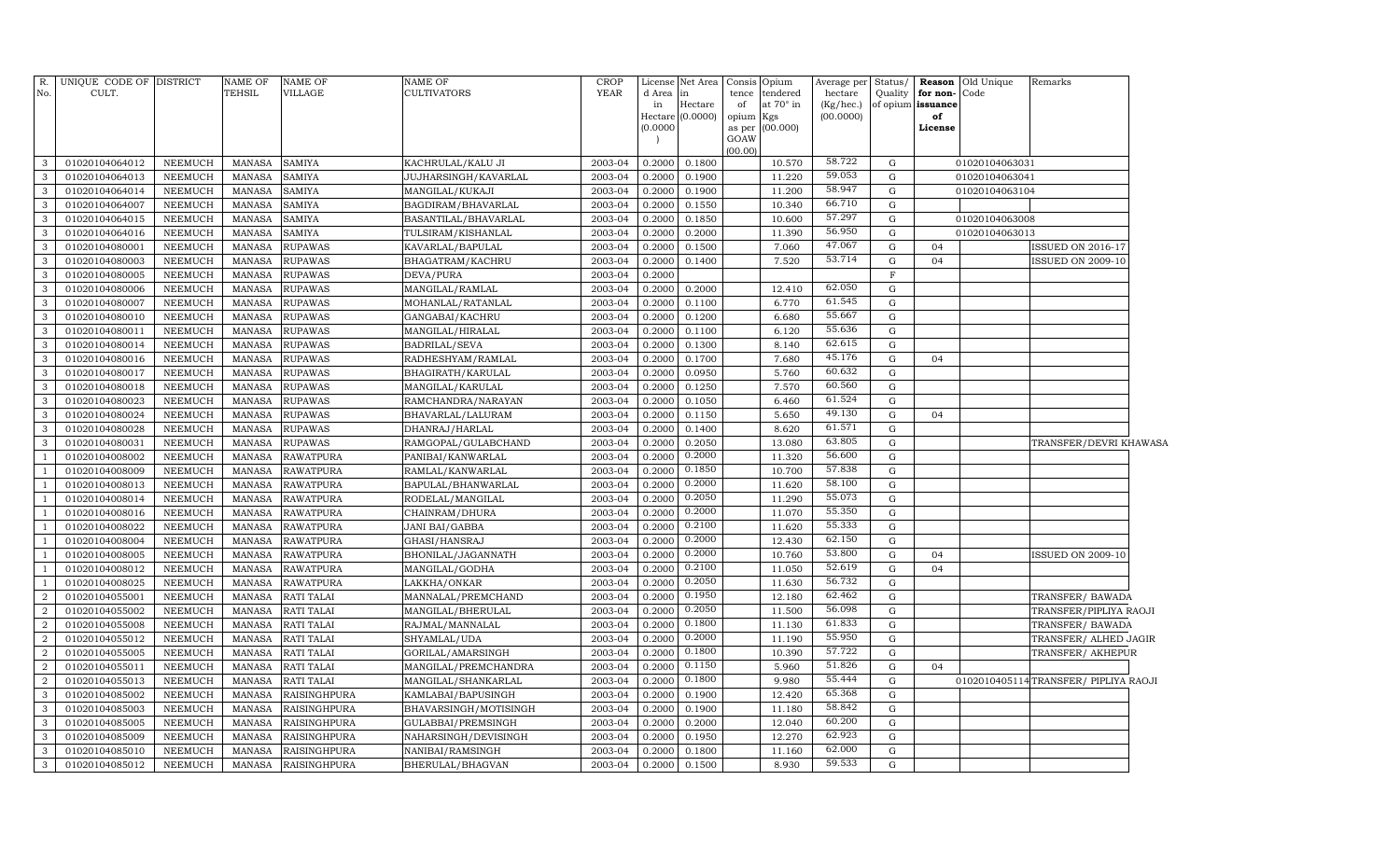| R.<br>No.         | UNIQUE CODE OF DISTRICT<br>CULT. |                    | <b>NAME OF</b><br>TEHSIL | <b>NAME OF</b><br>VILLAGE      | <b>NAME OF</b><br>CULTIVATORS                    | <b>CROP</b><br><b>YEAR</b> | d Area in<br>in<br>Hectare<br>(0.0000) | License Net Area<br>Hectare<br>(0.0000) | Consis<br>tence<br>of<br>opium<br>GOAW | Opium<br>tendered<br>at 70° in<br>Kgs<br>as per (00.000) | Average per<br>hectare<br>(Kg/hec.)<br>(00.0000) | Status/<br>Quality<br>of opium | Reason<br>for non-<br>issuance<br>of<br>License | Old Unique<br>Code               | Remarks                              |  |
|-------------------|----------------------------------|--------------------|--------------------------|--------------------------------|--------------------------------------------------|----------------------------|----------------------------------------|-----------------------------------------|----------------------------------------|----------------------------------------------------------|--------------------------------------------------|--------------------------------|-------------------------------------------------|----------------------------------|--------------------------------------|--|
|                   |                                  |                    |                          |                                |                                                  |                            | 0.2000                                 | 0.1800                                  | (00.00)                                | 10.570                                                   | 58.722                                           | G                              |                                                 |                                  |                                      |  |
| 3<br>$\mathbf{3}$ | 01020104064012<br>01020104064013 | NEEMUCH<br>NEEMUCH | MANASA<br>MANASA         | <b>SAMIYA</b><br><b>SAMIYA</b> | KACHRULAL/KALU JI<br><b>JUJHARSINGH/KAVARLAL</b> | 2003-04<br>2003-04         | 0.2000                                 | 0.1900                                  |                                        | 11.220                                                   | 59.053                                           | G                              |                                                 | 01020104063031<br>01020104063041 |                                      |  |
| 3                 | 01020104064014                   | NEEMUCH            | MANASA                   | <b>SAMIYA</b>                  | MANGILAL/KUKAJI                                  | 2003-04                    | 0.2000                                 | 0.1900                                  |                                        | 11.200                                                   | 58.947                                           | G                              |                                                 | 01020104063104                   |                                      |  |
| 3                 | 01020104064007                   | NEEMUCH            | MANASA                   | <b>SAMIYA</b>                  |                                                  | 2003-04                    | 0.2000                                 | 0.1550                                  |                                        | 10.340                                                   | 66.710                                           | G                              |                                                 |                                  |                                      |  |
| 3                 | 01020104064015                   | NEEMUCH            | MANASA                   | <b>SAMIYA</b>                  | BAGDIRAM/BHAVARLAL<br>BASANTILAL/BHAVARLAL       | 2003-04                    | 0.2000                                 | 0.1850                                  |                                        | 10.600                                                   | 57.297                                           | G                              |                                                 | 01020104063008                   |                                      |  |
| 3                 | 01020104064016                   | NEEMUCH            | MANASA                   | <b>SAMIYA</b>                  | TULSIRAM/KISHANLAL                               | 2003-04                    | 0.2000                                 | 0.2000                                  |                                        | 11.390                                                   | 56.950                                           | G                              |                                                 | 01020104063013                   |                                      |  |
| $\mathbf{3}$      | 01020104080001                   | NEEMUCH            | <b>MANASA</b>            | <b>RUPAWAS</b>                 | KAVARLAL/BAPULAL                                 | 2003-04                    | 0.2000                                 | 0.1500                                  |                                        | 7.060                                                    | 47.067                                           | G                              | 04                                              |                                  | ISSUED ON 2016-17                    |  |
| $\mathbf{3}$      | 01020104080003                   | NEEMUCH            | MANASA                   | <b>RUPAWAS</b>                 | BHAGATRAM/KACHRU                                 | 2003-04                    | 0.2000                                 | 0.1400                                  |                                        | 7.520                                                    | 53.714                                           | ${\rm G}$                      | 04                                              |                                  | <b>ISSUED ON 2009-10</b>             |  |
| $\mathbf{3}$      | 01020104080005                   | NEEMUCH            | MANASA                   | <b>RUPAWAS</b>                 | DEVA/PURA                                        | 2003-04                    | 0.2000                                 |                                         |                                        |                                                          |                                                  | $\mathbf F$                    |                                                 |                                  |                                      |  |
| $\mathbf{3}$      | 01020104080006                   | NEEMUCH            | MANASA                   | <b>RUPAWAS</b>                 | MANGILAL/RAMLAL                                  | 2003-04                    | 0.2000                                 | 0.2000                                  |                                        | 12.410                                                   | 62.050                                           | G                              |                                                 |                                  |                                      |  |
| $\mathbf{3}$      | 01020104080007                   | NEEMUCH            | MANASA                   | <b>RUPAWAS</b>                 | MOHANLAL/RATANLAL                                | 2003-04                    | 0.2000                                 | 0.1100                                  |                                        | 6.770                                                    | 61.545                                           | G                              |                                                 |                                  |                                      |  |
| $\mathbf{3}$      | 01020104080010                   | NEEMUCH            | <b>MANASA</b>            | <b>RUPAWAS</b>                 | GANGABAI/KACHRU                                  | 2003-04                    | 0.2000                                 | 0.1200                                  |                                        | 6.680                                                    | 55.667                                           | G                              |                                                 |                                  |                                      |  |
| 3                 | 01020104080011                   | NEEMUCH            | MANASA                   | <b>RUPAWAS</b>                 | MANGILAL/HIRALAL                                 | 2003-04                    | 0.2000                                 | 0.1100                                  |                                        | 6.120                                                    | 55.636                                           | G                              |                                                 |                                  |                                      |  |
| 3                 | 01020104080014                   | NEEMUCH            | MANASA                   | <b>RUPAWAS</b>                 | BADRILAL/SEVA                                    | 2003-04                    | 0.2000                                 | 0.1300                                  |                                        | 8.140                                                    | 62.615                                           | G                              |                                                 |                                  |                                      |  |
| $\mathbf{3}$      | 01020104080016                   | NEEMUCH            | MANASA                   | <b>RUPAWAS</b>                 | RADHESHYAM/RAMLAL                                | 2003-04                    | 0.2000                                 | 0.1700                                  |                                        | 7.680                                                    | 45.176                                           | G                              | 04                                              |                                  |                                      |  |
| $\mathbf{3}$      | 01020104080017                   | NEEMUCH            | MANASA                   | <b>RUPAWAS</b>                 | BHAGIRATH/KARULAL                                | 2003-04                    | 0.2000                                 | 0.0950                                  |                                        | 5.760                                                    | 60.632                                           | $\mathbf G$                    |                                                 |                                  |                                      |  |
| $\mathbf{3}$      | 01020104080018                   | NEEMUCH            | MANASA                   | <b>RUPAWAS</b>                 | MANGILAL/KARULAL                                 | 2003-04                    | 0.2000                                 | 0.1250                                  |                                        | 7.570                                                    | 60.560                                           | $\mathbf G$                    |                                                 |                                  |                                      |  |
| $\mathbf{3}$      | 01020104080023                   | NEEMUCH            | MANASA                   | <b>RUPAWAS</b>                 | RAMCHANDRA/NARAYAN                               | 2003-04                    | 0.2000                                 | 0.1050                                  |                                        | 6.460                                                    | 61.524                                           | G                              |                                                 |                                  |                                      |  |
| $\mathbf{3}$      | 01020104080024                   | NEEMUCH            | <b>MANASA</b>            | <b>RUPAWAS</b>                 | BHAVARLAL/LALURAM                                | 2003-04                    | 0.2000                                 | 0.1150                                  |                                        | 5.650                                                    | 49.130                                           | ${\rm G}$                      | 04                                              |                                  |                                      |  |
| $\mathbf{3}$      | 01020104080028                   | NEEMUCH            | <b>MANASA</b>            | <b>RUPAWAS</b>                 | DHANRAJ/HARLAL                                   | 2003-04                    | 0.2000                                 | 0.1400                                  |                                        | 8.620                                                    | 61.571                                           | G                              |                                                 |                                  |                                      |  |
| 3                 | 01020104080031                   | NEEMUCH            | MANASA                   | <b>RUPAWAS</b>                 | RAMGOPAL/GULABCHAND                              | 2003-04                    | 0.2000                                 | 0.2050                                  |                                        | 13.080                                                   | 63.805                                           | G                              |                                                 |                                  | TRANSFER/DEVRI KHAWASA               |  |
| -1                | 01020104008002                   | NEEMUCH            | MANASA                   | <b>RAWATPURA</b>               | PANIBAI/KANWARLAL                                | 2003-04                    | 0.2000                                 | 0.2000                                  |                                        | 11.320                                                   | 56.600                                           | G                              |                                                 |                                  |                                      |  |
| -1                | 01020104008009                   | NEEMUCH            | MANASA                   | <b>RAWATPURA</b>               | RAMLAL/KANWARLAL                                 | 2003-04                    | 0.2000                                 | 0.1850                                  |                                        | 10.700                                                   | 57.838                                           | $\mathbf G$                    |                                                 |                                  |                                      |  |
| -1                | 01020104008013                   | NEEMUCH            | MANASA                   | <b>RAWATPURA</b>               | BAPULAL/BHANWARLAL                               | 2003-04                    | 0.2000                                 | 0.2000                                  |                                        | 11.620                                                   | 58.100                                           | $\mathbf G$                    |                                                 |                                  |                                      |  |
| $\overline{1}$    | 01020104008014                   | <b>NEEMUCH</b>     | MANASA                   | <b>RAWATPURA</b>               | RODELAL/MANGILAL                                 | 2003-04                    | 0.2000                                 | 0.2050                                  |                                        | 11.290                                                   | 55.073                                           | $\mathbf G$                    |                                                 |                                  |                                      |  |
| -1                | 01020104008016                   | NEEMUCH            | MANASA                   | <b>RAWATPURA</b>               | CHAINRAM/DHURA                                   | 2003-04                    | 0.2000                                 | 0.2000                                  |                                        | 11.070                                                   | 55.350                                           | G                              |                                                 |                                  |                                      |  |
| $\overline{1}$    | 01020104008022                   | NEEMUCH            | <b>MANASA</b>            | <b>RAWATPURA</b>               | JANI BAI/GABBA                                   | 2003-04                    | 0.2000                                 | 0.2100                                  |                                        | 11.620                                                   | 55.333                                           | ${\rm G}$                      |                                                 |                                  |                                      |  |
| -1                | 01020104008004                   | NEEMUCH            | MANASA                   | <b>RAWATPURA</b>               | GHASI/HANSRAJ                                    | 2003-04                    | 0.2000                                 | 0.2000                                  |                                        | 12.430                                                   | 62.150                                           | G                              |                                                 |                                  |                                      |  |
| $\overline{1}$    | 01020104008005                   | NEEMUCH            | <b>MANASA</b>            | <b>RAWATPURA</b>               | BHONILAL/JAGANNATH                               | 2003-04                    | 0.2000                                 | 0.2000                                  |                                        | 10.760                                                   | 53.800                                           | ${\rm G}$                      | 04                                              |                                  | <b>ISSUED ON 2009-10</b>             |  |
| -1                | 01020104008012                   | NEEMUCH            | MANASA                   | <b>RAWATPURA</b>               | MANGILAL/GODHA                                   | 2003-04                    | 0.2000                                 | 0.2100                                  |                                        | 11.050                                                   | 52.619                                           | G                              | 04                                              |                                  |                                      |  |
| -1                | 01020104008025                   | NEEMUCH            | MANASA                   | <b>RAWATPURA</b>               | LAKKHA/ONKAR                                     | 2003-04                    | 0.2000                                 | 0.2050                                  |                                        | 11.630                                                   | 56.732                                           | $\mathbf G$                    |                                                 |                                  |                                      |  |
| $\overline{2}$    | 01020104055001                   | NEEMUCH            | <b>MANASA</b>            | RATI TALAI                     | MANNALAL/PREMCHAND                               | 2003-04                    | 0.2000                                 | 0.1950                                  |                                        | 12.180                                                   | 62.462                                           | $\mathbf G$                    |                                                 |                                  | TRANSFER/ BAWADA                     |  |
| $\overline{a}$    | 01020104055002                   | <b>NEEMUCH</b>     | MANASA                   | <b>RATI TALAI</b>              | MANGILAL/BHERULAL                                | 2003-04                    | 0.2000                                 | 0.2050                                  |                                        | 11.500                                                   | 56.098                                           | $\mathbf G$                    |                                                 |                                  | TRANSFER/PIPLIYA RAOJI               |  |
| $\overline{2}$    | 01020104055008                   | NEEMUCH            | MANASA                   | <b>RATI TALAI</b>              | RAJMAL/MANNALAL                                  | 2003-04                    | 0.2000                                 | 0.1800                                  |                                        | 11.130                                                   | 61.833                                           | G                              |                                                 |                                  | TRANSFER/BAWADA                      |  |
| $\overline{a}$    | 01020104055012                   | NEEMUCH            | <b>MANASA</b>            | RATI TALAI                     | SHYAMLAL/UDA                                     | 2003-04                    | 0.2000                                 | 0.2000                                  |                                        | 11.190                                                   | 55.950                                           | G                              |                                                 |                                  | TRANSFER/ ALHED JAGIR                |  |
| $\overline{2}$    | 01020104055005                   | NEEMUCH            | MANASA                   | <b>RATI TALAI</b>              | GORILAL/AMARSINGH                                | 2003-04                    | 0.2000                                 | 0.1800                                  |                                        | 10.390                                                   | 57.722                                           | G                              |                                                 |                                  | TRANSFER/ AKHEPUR                    |  |
| $\overline{a}$    | 01020104055011                   | NEEMUCH            | MANASA                   | RATI TALAI                     | MANGILAL/PREMCHANDRA                             | 2003-04                    | 0.2000                                 | 0.1150                                  |                                        | 5.960                                                    | 51.826                                           | G                              | 04                                              |                                  |                                      |  |
| $\overline{2}$    | 01020104055013                   | NEEMUCH            | <b>MANASA</b>            | <b>RATI TALAI</b>              | MANGILAL/SHANKARLAL                              | 2003-04                    | 0.2000                                 | 0.1800                                  |                                        | 9.980                                                    | 55.444                                           | G                              |                                                 |                                  | 0102010405114TRANSFER/ PIPLIYA RAOJI |  |
| 3                 | 01020104085002                   | <b>NEEMUCH</b>     | <b>MANASA</b>            | RAISINGHPURA                   | KAMLABAI/BAPUSINGH                               | 2003-04                    | 0.2000                                 | 0.1900                                  |                                        | 12.420                                                   | 65.368                                           | $\mathbf G$                    |                                                 |                                  |                                      |  |
| $\mathbf{3}$      | 01020104085003                   | NEEMUCH            | <b>MANASA</b>            | RAISINGHPURA                   | BHAVARSINGH/MOTISINGH                            | 2003-04                    | 0.2000                                 | 0.1900                                  |                                        | 11.180                                                   | 58.842                                           | $\mathbf G$                    |                                                 |                                  |                                      |  |
| $\mathbf{3}$      | 01020104085005                   | <b>NEEMUCH</b>     | MANASA                   | <b>RAISINGHPURA</b>            | GULABBAI/PREMSINGH                               | 2003-04                    | 0.2000                                 | 0.2000                                  |                                        | 12.040                                                   | 60.200                                           | G                              |                                                 |                                  |                                      |  |
| $\mathbf{3}$      | 01020104085009                   | NEEMUCH            | MANASA                   | RAISINGHPURA                   | NAHARSINGH/DEVISINGH                             | 2003-04                    | 0.2000                                 | 0.1950                                  |                                        | 12.270                                                   | 62.923                                           | G                              |                                                 |                                  |                                      |  |
| $\mathbf{3}$      | 01020104085010                   | NEEMUCH            | MANASA                   | <b>RAISINGHPURA</b>            | NANIBAI/RAMSINGH                                 | 2003-04                    | 0.2000                                 | 0.1800                                  |                                        | 11.160                                                   | 62.000                                           | G                              |                                                 |                                  |                                      |  |
| $\mathbf{3}$      | 01020104085012                   | NEEMUCH            | MANASA                   | <b>RAISINGHPURA</b>            | BHERULAL/BHAGVAN                                 | 2003-04                    | 0.2000                                 | 0.1500                                  |                                        | 8.930                                                    | 59.533                                           | $\mathbf G$                    |                                                 |                                  |                                      |  |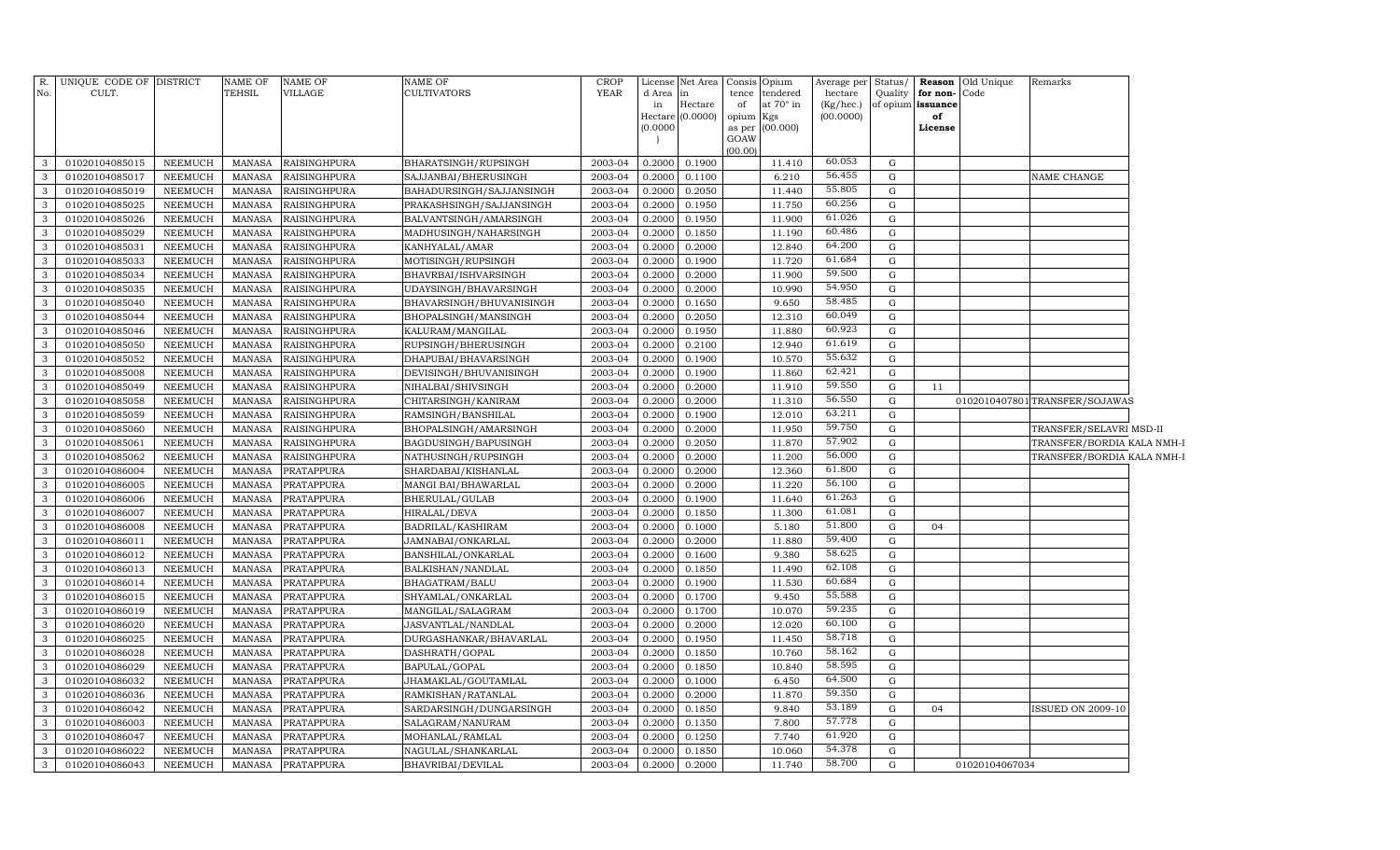| R.           | UNIQUE CODE OF DISTRICT |                | <b>NAME OF</b> | <b>NAME OF</b>      | NAME OF                  | <b>CROP</b> |              | License Net Area Consis Opium |             |                       | Average per          | Status/           |                  | <b>Reason</b> Old Unique | Remarks                       |  |
|--------------|-------------------------|----------------|----------------|---------------------|--------------------------|-------------|--------------|-------------------------------|-------------|-----------------------|----------------------|-------------------|------------------|--------------------------|-------------------------------|--|
| No.          | CULT.                   |                | TEHSIL         | VILLAGE             | <b>CULTIVATORS</b>       | YEAR        | d Area<br>in | in<br>Hectare                 | tence<br>of | tendered<br>at 70° in | hectare<br>(Kg/hec.) | of opium issuance | Quality for non- | Code                     |                               |  |
|              |                         |                |                |                     |                          |             |              | Hectare (0.0000)              | opium Kgs   |                       | (00.0000)            |                   | of               |                          |                               |  |
|              |                         |                |                |                     |                          |             | (0.0000)     |                               |             | as per (00.000)       |                      |                   | License          |                          |                               |  |
|              |                         |                |                |                     |                          |             |              |                               | GOAW        |                       |                      |                   |                  |                          |                               |  |
| 3            | 01020104085015          | NEEMUCH        | MANASA         | <b>RAISINGHPURA</b> | BHARATSINGH/RUPSINGH     | 2003-04     | 0.2000       | 0.1900                        | (00.00)     | 11.410                | 60.053               | G                 |                  |                          |                               |  |
| 3            | 01020104085017          | <b>NEEMUCH</b> | MANASA         | <b>RAISINGHPURA</b> | SAJJANBAI/BHERUSINGH     | 2003-04     | 0.2000       | 0.1100                        |             | 6.210                 | 56.455               | G                 |                  |                          | NAME CHANGE                   |  |
| 3            | 01020104085019          | <b>NEEMUCH</b> | <b>MANASA</b>  | <b>RAISINGHPURA</b> | BAHADURSINGH/SAJJANSINGH | 2003-04     | 0.2000       | 0.2050                        |             | 11.440                | 55.805               | G                 |                  |                          |                               |  |
| 3            | 01020104085025          | <b>NEEMUCH</b> | <b>MANASA</b>  | RAISINGHPURA        | PRAKASHSINGH/SAJJANSINGH | 2003-04     | 0.2000       | 0.1950                        |             | 11.750                | 60.256               | G                 |                  |                          |                               |  |
| 3            | 01020104085026          | <b>NEEMUCH</b> | <b>MANASA</b>  | RAISINGHPURA        | BALVANTSINGH/AMARSINGH   | 2003-04     | 0.2000       | 0.1950                        |             | 11.900                | 61.026               | G                 |                  |                          |                               |  |
| 3            | 01020104085029          | <b>NEEMUCH</b> | <b>MANASA</b>  | RAISINGHPURA        | MADHUSINGH/NAHARSINGH    | 2003-04     | 0.2000       | 0.1850                        |             | 11.190                | 60.486               | G                 |                  |                          |                               |  |
| 3            | 01020104085031          | <b>NEEMUCH</b> | <b>MANASA</b>  | RAISINGHPURA        | KANHYALAL/AMAR           | 2003-04     | 0.2000       | 0.2000                        |             | 12.840                | 64.200               | G                 |                  |                          |                               |  |
| 3            | 01020104085033          | <b>NEEMUCH</b> | <b>MANASA</b>  | RAISINGHPURA        | MOTISINGH/RUPSINGH       | 2003-04     | 0.2000       | 0.1900                        |             | 11.720                | 61.684               | G                 |                  |                          |                               |  |
| 3            | 01020104085034          | <b>NEEMUCH</b> | <b>MANASA</b>  | RAISINGHPURA        | BHAVRBAI/ISHVARSINGH     | 2003-04     | 0.2000       | 0.2000                        |             | 11.900                | 59.500               | G                 |                  |                          |                               |  |
| 3            | 01020104085035          | NEEMUCH        | <b>MANASA</b>  | RAISINGHPURA        | UDAYSINGH/BHAVARSINGH    | 2003-04     | 0.2000       | 0.2000                        |             | 10.990                | 54.950               | G                 |                  |                          |                               |  |
| 3            | 01020104085040          | <b>NEEMUCH</b> | <b>MANASA</b>  | RAISINGHPURA        | BHAVARSINGH/BHUVANISINGH | 2003-04     | 0.2000       | 0.1650                        |             | 9.650                 | 58.485               | G                 |                  |                          |                               |  |
| 3            | 01020104085044          | NEEMUCH        | <b>MANASA</b>  | RAISINGHPURA        | BHOPALSINGH/MANSINGH     | 2003-04     | 0.2000       | 0.2050                        |             | 12.310                | 60.049               | G                 |                  |                          |                               |  |
| 3            | 01020104085046          | <b>NEEMUCH</b> | <b>MANASA</b>  | RAISINGHPURA        | KALURAM/MANGILAL         | 2003-04     | 0.2000       | 0.1950                        |             | 11.880                | 60.923               | G                 |                  |                          |                               |  |
| 3            | 01020104085050          | NEEMUCH        | <b>MANASA</b>  | RAISINGHPURA        | RUPSINGH/BHERUSINGH      | 2003-04     | 0.2000       | 0.2100                        |             | 12.940                | 61.619               | G                 |                  |                          |                               |  |
| 3            | 01020104085052          | <b>NEEMUCH</b> | MANASA         | RAISINGHPURA        | DHAPUBAI/BHAVARSINGH     | 2003-04     | 0.2000       | 0.1900                        |             | 10.570                | 55.632               | G                 |                  |                          |                               |  |
| 3            | 01020104085008          | NEEMUCH        | <b>MANASA</b>  | RAISINGHPURA        | DEVISINGH/BHUVANISINGH   | 2003-04     | 0.2000       | 0.1900                        |             | 11.860                | 62.421               | G                 |                  |                          |                               |  |
| 3            | 01020104085049          | NEEMUCH        | <b>MANASA</b>  | RAISINGHPURA        | NIHALBAI/SHIVSINGH       | 2003-04     | 0.2000       | 0.2000                        |             | 11.910                | 59.550               | G                 | 11               |                          |                               |  |
| 3            | 01020104085058          | NEEMUCH        | MANASA         | RAISINGHPURA        | CHITARSINGH/KANIRAM      | 2003-04     | 0.2000       | 0.2000                        |             | 11.310                | 56.550               | G                 |                  |                          | 0102010407801TRANSFER/SOJAWAS |  |
| 3            | 01020104085059          | <b>NEEMUCH</b> | <b>MANASA</b>  | RAISINGHPURA        | RAMSINGH/BANSHILAL       | 2003-04     | 0.2000       | 0.1900                        |             | 12.010                | 63.211               | G                 |                  |                          |                               |  |
| 3            | 01020104085060          | NEEMUCH        | <b>MANASA</b>  | RAISINGHPURA        | BHOPALSINGH/AMARSINGH    | 2003-04     | 0.2000       | 0.2000                        |             | 11.950                | 59.750               | $\mathbf{G}$      |                  |                          | TRANSFER/SELAVRI MSD-II       |  |
| 3            | 01020104085061          | <b>NEEMUCH</b> | <b>MANASA</b>  | RAISINGHPURA        | BAGDUSINGH/BAPUSINGH     | 2003-04     | 0.2000       | 0.2050                        |             | 11.870                | 57.902               | G                 |                  |                          | TRANSFER/BORDIA KALA NMH-I    |  |
| 3            | 01020104085062          | NEEMUCH        | MANASA         | RAISINGHPURA        | NATHUSINGH/RUPSINGH      | 2003-04     | 0.2000       | 0.2000                        |             | 11.200                | 56.000               | $\mathbf G$       |                  |                          | TRANSFER/BORDIA KALA NMH-1    |  |
| 3            | 01020104086004          | NEEMUCH        | MANASA         | PRATAPPURA          | SHARDABAI/KISHANLAL      | 2003-04     | 0.2000       | 0.2000                        |             | 12.360                | 61.800               | $\mathbf G$       |                  |                          |                               |  |
| 3            | 01020104086005          | NEEMUCH        | <b>MANASA</b>  | PRATAPPURA          | MANGI BAI/BHAWARLAL      | 2003-04     | 0.2000       | 0.2000                        |             | 11.220                | 56.100               | $\mathbf G$       |                  |                          |                               |  |
| 3            | 01020104086006          | <b>NEEMUCH</b> | MANASA         | PRATAPPURA          | BHERULAL/GULAB           | 2003-04     | 0.2000       | 0.1900                        |             | 11.640                | 61.263               | G                 |                  |                          |                               |  |
| 3            | 01020104086007          | NEEMUCH        | <b>MANASA</b>  | PRATAPPURA          | HIRALAL/DEVA             | 2003-04     | 0.2000       | 0.1850                        |             | 11.300                | 61.081               | $\mathbf G$       |                  |                          |                               |  |
| 3            | 01020104086008          | NEEMUCH        | <b>MANASA</b>  | PRATAPPURA          | BADRILAL/KASHIRAM        | 2003-04     | 0.2000       | 0.1000                        |             | 5.180                 | 51.800               | $\mathbf G$       | 04               |                          |                               |  |
| 3            | 01020104086011          | <b>NEEMUCH</b> | <b>MANASA</b>  | PRATAPPURA          | JAMNABAI/ONKARLAL        | 2003-04     | 0.2000       | 0.2000                        |             | 11.880                | 59.400               | $\mathbf G$       |                  |                          |                               |  |
| 3            | 01020104086012          | <b>NEEMUCH</b> | <b>MANASA</b>  | PRATAPPURA          | BANSHILAL/ONKARLAL       | 2003-04     | 0.2000       | 0.1600                        |             | 9.380                 | 58.625               | G                 |                  |                          |                               |  |
| 3            | 01020104086013          | <b>NEEMUCH</b> | <b>MANASA</b>  | <b>PRATAPPURA</b>   | BALKISHAN/NANDLAL        | 2003-04     | 0.2000       | 0.1850                        |             | 11.490                | 62.108               | G                 |                  |                          |                               |  |
| 3            | 01020104086014          | NEEMUCH        | <b>MANASA</b>  | <b>PRATAPPURA</b>   | BHAGATRAM/BALU           | 2003-04     | 0.2000       | 0.1900                        |             | 11.530                | 60.684               | G                 |                  |                          |                               |  |
| 3            | 01020104086015          | <b>NEEMUCH</b> | <b>MANASA</b>  | PRATAPPURA          | SHYAMLAL/ONKARLAL        | 2003-04     | 0.2000       | 0.1700                        |             | 9.450                 | 55.588               | G                 |                  |                          |                               |  |
| 3            | 01020104086019          | NEEMUCH        | MANASA         | PRATAPPURA          | MANGILAL/SALAGRAM        | 2003-04     | 0.2000       | 0.1700                        |             | 10.070                | 59.235               | G                 |                  |                          |                               |  |
| 3            | 01020104086020          | <b>NEEMUCH</b> | <b>MANASA</b>  | PRATAPPURA          | JASVANTLAL/NANDLAL       | 2003-04     | 0.2000       | 0.2000                        |             | 12.020                | 60.100               | G                 |                  |                          |                               |  |
| 3            | 01020104086025          | <b>NEEMUCH</b> | <b>MANASA</b>  | PRATAPPURA          | DURGASHANKAR/BHAVARLAL   | 2003-04     | 0.2000       | 0.1950                        |             | 11.450                | 58.718               | G                 |                  |                          |                               |  |
| 3            | 01020104086028          | <b>NEEMUCH</b> | <b>MANASA</b>  | <b>PRATAPPURA</b>   | DASHRATH/GOPAL           | 2003-04     | 0.2000       | 0.1850                        |             | 10.760                | 58.162               | G                 |                  |                          |                               |  |
| 3            | 01020104086029          | <b>NEEMUCH</b> | <b>MANASA</b>  | PRATAPPURA          | BAPULAL/GOPAL            | 2003-04     | 0.2000       | 0.1850                        |             | 10.840                | 58.595               | G                 |                  |                          |                               |  |
| 3            | 01020104086032          | <b>NEEMUCH</b> | <b>MANASA</b>  | PRATAPPURA          | JHAMAKLAL/GOUTAMLAL      | 2003-04     | 0.2000       | 0.1000                        |             | 6.450                 | 64.500               | G                 |                  |                          |                               |  |
| 3            | 01020104086036          | <b>NEEMUCH</b> | <b>MANASA</b>  | PRATAPPURA          | RAMKISHAN/RATANLAL       | 2003-04     | 0.2000       | 0.2000                        |             | 11.870                | 59.350<br>53.189     | G                 |                  |                          |                               |  |
| 3            | 01020104086042          | <b>NEEMUCH</b> | <b>MANASA</b>  | PRATAPPURA          | SARDARSINGH/DUNGARSINGH  | 2003-04     | 0.2000       | 0.1850                        |             | 9.840                 | 57.778               | G                 | 04               |                          | <b>ISSUED ON 2009-10</b>      |  |
| 3            | 01020104086003          | NEEMUCH        | <b>MANASA</b>  | PRATAPPURA          | SALAGRAM/NANURAM         | 2003-04     | 0.2000       | 0.1350                        |             | 7.800                 | 61.920               | G                 |                  |                          |                               |  |
| 3            | 01020104086047          | <b>NEEMUCH</b> | <b>MANASA</b>  | PRATAPPURA          | MOHANLAL/RAMLAL          | 2003-04     | 0.2000       | 0.1250                        |             | 7.740                 | 54.378               | $\mathbf G$       |                  |                          |                               |  |
| 3            | 01020104086022          | <b>NEEMUCH</b> | <b>MANASA</b>  | PRATAPPURA          | NAGULAL/SHANKARLAL       | 2003-04     | 0.2000       | 0.1850                        |             | 10.060                | 58.700               | G                 |                  |                          |                               |  |
| $\mathbf{3}$ | 01020104086043          | <b>NEEMUCH</b> | MANASA         | <b>PRATAPPURA</b>   | BHAVRIBAI/DEVILAL        | 2003-04     | 0.2000       | 0.2000                        |             | 11.740                |                      | $\mathbf G$       |                  | 01020104067034           |                               |  |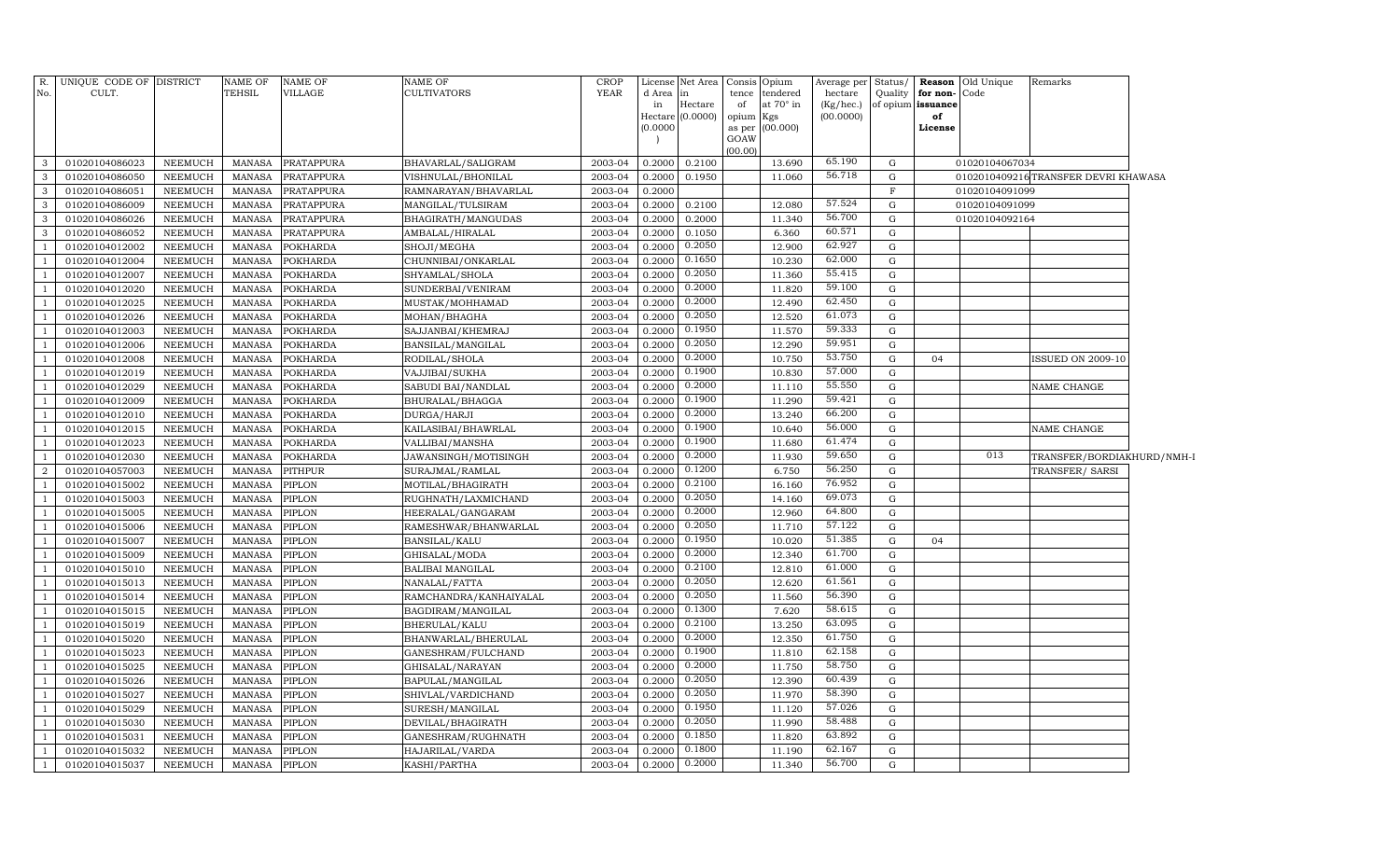| R.             | UNIQUE CODE OF DISTRICT |                | <b>NAME OF</b> | NAME OF           | NAME OF                 | <b>CROP</b> | License      | Net Area      | Consis Opium |                       | Average per Status/  |             |                                   | Reason Old Unique | Remarks                             |  |
|----------------|-------------------------|----------------|----------------|-------------------|-------------------------|-------------|--------------|---------------|--------------|-----------------------|----------------------|-------------|-----------------------------------|-------------------|-------------------------------------|--|
| No.            | CULT.                   |                | <b>TEHSIL</b>  | VILLAGE           | <b>CULTIVATORS</b>      | <b>YEAR</b> | d Area<br>in | in<br>Hectare | tence<br>of  | tendered<br>at 70° in | hectare<br>(Kg/hec.) | Quality     | for non-Code<br>of opium issuance |                   |                                     |  |
|                |                         |                |                |                   |                         |             | Hectare      | (0.0000)      | opium Kgs    |                       | (00.0000)            |             | of                                |                   |                                     |  |
|                |                         |                |                |                   |                         |             | (0.0000)     |               |              | as per (00.000)       |                      |             | License                           |                   |                                     |  |
|                |                         |                |                |                   |                         |             |              |               | GOAW         |                       |                      |             |                                   |                   |                                     |  |
| 3              | 01020104086023          | NEEMUCH        | MANASA         | <b>PRATAPPURA</b> | BHAVARLAL/SALIGRAM      | 2003-04     | 0.2000       | 0.2100        | (00.00)      | 13.690                | 65.190               | G           |                                   | 01020104067034    |                                     |  |
| $\mathbf{3}$   | 01020104086050          | NEEMUCH        | <b>MANASA</b>  | PRATAPPURA        | VISHNULAL/BHONILAL      | 2003-04     | 0.2000       | 0.1950        |              | 11.060                | 56.718               | G           |                                   |                   | 0102010409216TRANSFER DEVRI KHAWASA |  |
| 3              | 01020104086051          | NEEMUCH        | <b>MANASA</b>  | PRATAPPURA        | RAMNARAYAN/BHAVARLAL    | 2003-04     | 0.2000       |               |              |                       |                      | $\mathbf F$ |                                   | 01020104091099    |                                     |  |
| 3              | 01020104086009          | NEEMUCH        | <b>MANASA</b>  | PRATAPPURA        | MANGILAL/TULSIRAM       | 2003-04     | 0.2000       | 0.2100        |              | 12.080                | 57.524               | G           |                                   | 01020104091099    |                                     |  |
| 3              | 01020104086026          | NEEMUCH        | <b>MANASA</b>  | PRATAPPURA        | BHAGIRATH/MANGUDAS      | 2003-04     | 0.2000       | 0.2000        |              | 11.340                | 56.700               | G           |                                   | 01020104092164    |                                     |  |
| $\mathbf{3}$   | 01020104086052          | NEEMUCH        | MANASA         | PRATAPPURA        | AMBALAL/HIRALAL         | 2003-04     | 0.2000       | 0.1050        |              | 6.360                 | 60.571               | $\mathbf G$ |                                   |                   |                                     |  |
|                | 01020104012002          | NEEMUCH        | <b>MANASA</b>  | POKHARDA          | SHOJI/MEGHA             | 2003-04     | 0.2000       | 0.2050        |              | 12.900                | 62.927               | $\mathbf G$ |                                   |                   |                                     |  |
| <sup>1</sup>   | 01020104012004          | NEEMUCH        | <b>MANASA</b>  | <b>POKHARDA</b>   | CHUNNIBAI/ONKARLAL      | 2003-04     | 0.2000       | 0.1650        |              | 10.230                | 62.000               | G           |                                   |                   |                                     |  |
|                | 01020104012007          | <b>NEEMUCH</b> | <b>MANASA</b>  | <b>POKHARDA</b>   | SHYAMLAL/SHOLA          | 2003-04     | 0.2000       | 0.2050        |              | 11.360                | 55.415               | G           |                                   |                   |                                     |  |
| $\mathbf{1}$   | 01020104012020          | <b>NEEMUCH</b> | <b>MANASA</b>  | <b>POKHARDA</b>   | SUNDERBAI/VENIRAM       | 2003-04     | 0.2000       | 0.2000        |              | 11.820                | 59.100               | $\mathbf G$ |                                   |                   |                                     |  |
|                | 01020104012025          | <b>NEEMUCH</b> | <b>MANASA</b>  | <b>POKHARDA</b>   | MUSTAK/MOHHAMAD         | 2003-04     | 0.2000       | 0.2000        |              | 12.490                | 62.450               | G           |                                   |                   |                                     |  |
| <sup>1</sup>   | 01020104012026          | NEEMUCH        | MANASA         | <b>POKHARDA</b>   | MOHAN/BHAGHA            | 2003-04     | 0.2000       | 0.2050        |              | 12.520                | 61.073               | G           |                                   |                   |                                     |  |
|                | 01020104012003          | <b>NEEMUCH</b> | <b>MANASA</b>  | <b>POKHARDA</b>   | SAJJANBAI/KHEMRAJ       | 2003-04     | 0.2000       | 0.1950        |              | 11.570                | 59.333               | G           |                                   |                   |                                     |  |
| $\mathbf{1}$   | 01020104012006          | NEEMUCH        | MANASA         | <b>POKHARDA</b>   | BANSILAL/MANGILAL       | 2003-04     | 0.2000       | 0.2050        |              | 12.290                | 59.951               | G           |                                   |                   |                                     |  |
|                | 01020104012008          | NEEMUCH        | <b>MANASA</b>  | <b>POKHARDA</b>   | RODILAL/SHOLA           | 2003-04     | 0.2000       | 0.2000        |              | 10.750                | 53.750               | G           | 04                                |                   | ISSUED ON 2009-10                   |  |
| <sup>1</sup>   | 01020104012019          | NEEMUCH        | <b>MANASA</b>  | <b>POKHARDA</b>   | VAJJIBAI/SUKHA          | 2003-04     | 0.2000       | 0.1900        |              | 10.830                | 57.000               | $\mathbf G$ |                                   |                   |                                     |  |
|                | 01020104012029          | NEEMUCH        | <b>MANASA</b>  | <b>POKHARDA</b>   | SABUDI BAI/NANDLAL      | 2003-04     | 0.2000       | 0.2000        |              | 11.110                | 55.550               | G           |                                   |                   | NAME CHANGE                         |  |
| <sup>1</sup>   | 01020104012009          | NEEMUCH        | <b>MANASA</b>  | <b>POKHARDA</b>   | BHURALAL/BHAGGA         | 2003-04     | 0.2000       | 0.1900        |              | 11.290                | 59.421               | G           |                                   |                   |                                     |  |
|                | 01020104012010          | <b>NEEMUCH</b> | <b>MANASA</b>  | <b>POKHARDA</b>   | DURGA/HARJI             | 2003-04     | 0.2000       | 0.2000        |              | 13.240                | 66.200               | G           |                                   |                   |                                     |  |
| -1             | 01020104012015          | <b>NEEMUCH</b> | <b>MANASA</b>  | <b>POKHARDA</b>   | KAILASIBAI/BHAWRLAL     | 2003-04     | 0.2000       | 0.1900        |              | 10.640                | 56.000               | G           |                                   |                   | NAME CHANGE                         |  |
| $\overline{1}$ | 01020104012023          | NEEMUCH        | <b>MANASA</b>  | <b>POKHARDA</b>   | VALLIBAI/MANSHA         | 2003-04     | 0.2000       | 0.1900        |              | 11.680                | 61.474               | G           |                                   |                   |                                     |  |
| <sup>1</sup>   | 01020104012030          | NEEMUCH        | MANASA         | <b>POKHARDA</b>   | JAWANSINGH/MOTISINGH    | 2003-04     | 0.2000       | 0.2000        |              | 11.930                | 59.650               | G           |                                   | 013               | TRANSFER/BORDIAKHURD/NMH-I          |  |
| $\overline{2}$ | 01020104057003          | NEEMUCH        | <b>MANASA</b>  | PITHPUR           | SURAJMAL/RAMLAL         | 2003-04     | 0.2000       | 0.1200        |              | 6.750                 | 56.250               | G           |                                   |                   | TRANSFER/ SARSI                     |  |
| -1             | 01020104015002          | NEEMUCH        | <b>MANASA</b>  | PIPLON            | MOTILAL/BHAGIRATH       | 2003-04     | 0.2000       | 0.2100        |              | 16.160                | 76.952               | G           |                                   |                   |                                     |  |
|                | 01020104015003          | NEEMUCH        | <b>MANASA</b>  | PIPLON            | RUGHNATH/LAXMICHAND     | 2003-04     | 0.2000       | 0.2050        |              | 14.160                | 69.073               | G           |                                   |                   |                                     |  |
| -1             | 01020104015005          | NEEMUCH        | <b>MANASA</b>  | PIPLON            | HEERALAL/GANGARAM       | 2003-04     | 0.2000       | 0.2000        |              | 12.960                | 64.800               | $\mathbf G$ |                                   |                   |                                     |  |
|                | 01020104015006          | NEEMUCH        | <b>MANASA</b>  | PIPLON            | RAMESHWAR/BHANWARLAL    | 2003-04     | 0.2000       | 0.2050        |              | 11.710                | 57.122               | G           |                                   |                   |                                     |  |
| <sup>1</sup>   | 01020104015007          | NEEMUCH        | <b>MANASA</b>  | PIPLON            | BANSILAL/KALU           | 2003-04     | 0.2000       | 0.1950        |              | 10.020                | 51.385               | G           | 04                                |                   |                                     |  |
|                | 01020104015009          | <b>NEEMUCH</b> | <b>MANASA</b>  | PIPLON            | GHISALAL/MODA           | 2003-04     | 0.2000       | 0.2000        |              | 12.340                | 61.700               | G           |                                   |                   |                                     |  |
| <sup>1</sup>   | 01020104015010          | NEEMUCH        | MANASA         | PIPLON            | <b>BALIBAI MANGILAL</b> | 2003-04     | 0.2000       | 0.2100        |              | 12.810                | 61.000               | G           |                                   |                   |                                     |  |
| <sup>1</sup>   | 01020104015013          | NEEMUCH        | <b>MANASA</b>  | PIPLON            | NANALAL/FATTA           | 2003-04     | 0.2000       | 0.2050        |              | 12.620                | 61.561               | G           |                                   |                   |                                     |  |
| <sup>1</sup>   | 01020104015014          | NEEMUCH        | <b>MANASA</b>  | PIPLON            | RAMCHANDRA/KANHAIYALAL  | 2003-04     | 0.2000       | 0.2050        |              | 11.560                | 56.390               | G           |                                   |                   |                                     |  |
|                | 01020104015015          | NEEMUCH        | <b>MANASA</b>  | PIPLON            | BAGDIRAM/MANGILAL       | 2003-04     | 0.2000       | 0.1300        |              | 7.620                 | 58.615               | G           |                                   |                   |                                     |  |
| $\mathbf{1}$   | 01020104015019          | NEEMUCH        | <b>MANASA</b>  | PIPLON            | BHERULAL/KALU           | 2003-04     | 0.2000       | 0.2100        |              | 13.250                | 63.095               | G           |                                   |                   |                                     |  |
|                | 01020104015020          | NEEMUCH        | <b>MANASA</b>  | PIPLON            | BHANWARLAL/BHERULAL     | 2003-04     | 0.2000       | 0.2000        |              | 12.350                | 61.750               | G           |                                   |                   |                                     |  |
| <sup>1</sup>   | 01020104015023          | NEEMUCH        | <b>MANASA</b>  | PIPLON            | GANESHRAM/FULCHAND      | 2003-04     | 0.2000       | 0.1900        |              | 11.810                | 62.158               | $\mathbf G$ |                                   |                   |                                     |  |
|                | 01020104015025          | NEEMUCH        | <b>MANASA</b>  | PIPLON            | GHISALAL/NARAYAN        | 2003-04     | 0.2000       | 0.2000        |              | 11.750                | 58.750               | G           |                                   |                   |                                     |  |
|                | 01020104015026          | NEEMUCH        | <b>MANASA</b>  | PIPLON            | BAPULAL/MANGILAL        | 2003-04     | 0.2000       | 0.2050        |              | 12.390                | 60.439               | G           |                                   |                   |                                     |  |
| $\overline{1}$ | 01020104015027          | NEEMUCH        | <b>MANASA</b>  | <b>PIPLON</b>     | SHIVLAL/VARDICHAND      | 2003-04     | 0.2000       | 0.2050        |              | 11.970                | 58.390               | G           |                                   |                   |                                     |  |
| <sup>1</sup>   | 01020104015029          | NEEMUCH        | MANASA         | PIPLON            | SURESH/MANGILAL         | 2003-04     | 0.2000       | 0.1950        |              | 11.120                | 57.026               | G           |                                   |                   |                                     |  |
|                | 01020104015030          | NEEMUCH        | <b>MANASA</b>  | PIPLON            | DEVILAL/BHAGIRATH       | 2003-04     | 0.2000       | 0.2050        |              | 11.990                | 58.488               | G           |                                   |                   |                                     |  |
| <sup>1</sup>   | 01020104015031          | NEEMUCH        | <b>MANASA</b>  | PIPLON            | GANESHRAM/RUGHNATH      | 2003-04     | 0.2000       | 0.1850        |              | 11.820                | 63.892               | G           |                                   |                   |                                     |  |
| -1             | 01020104015032          | NEEMUCH        | MANASA         | PIPLON            | HAJARILAL/VARDA         | 2003-04     | 0.2000       | 0.1800        |              | 11.190                | 62.167<br>56.700     | G           |                                   |                   |                                     |  |
| $\overline{1}$ | 01020104015037          | NEEMUCH        | MANASA         | PIPLON            | KASHI/PARTHA            | 2003-04     | 0.2000       | 0.2000        |              | 11.340                |                      | G           |                                   |                   |                                     |  |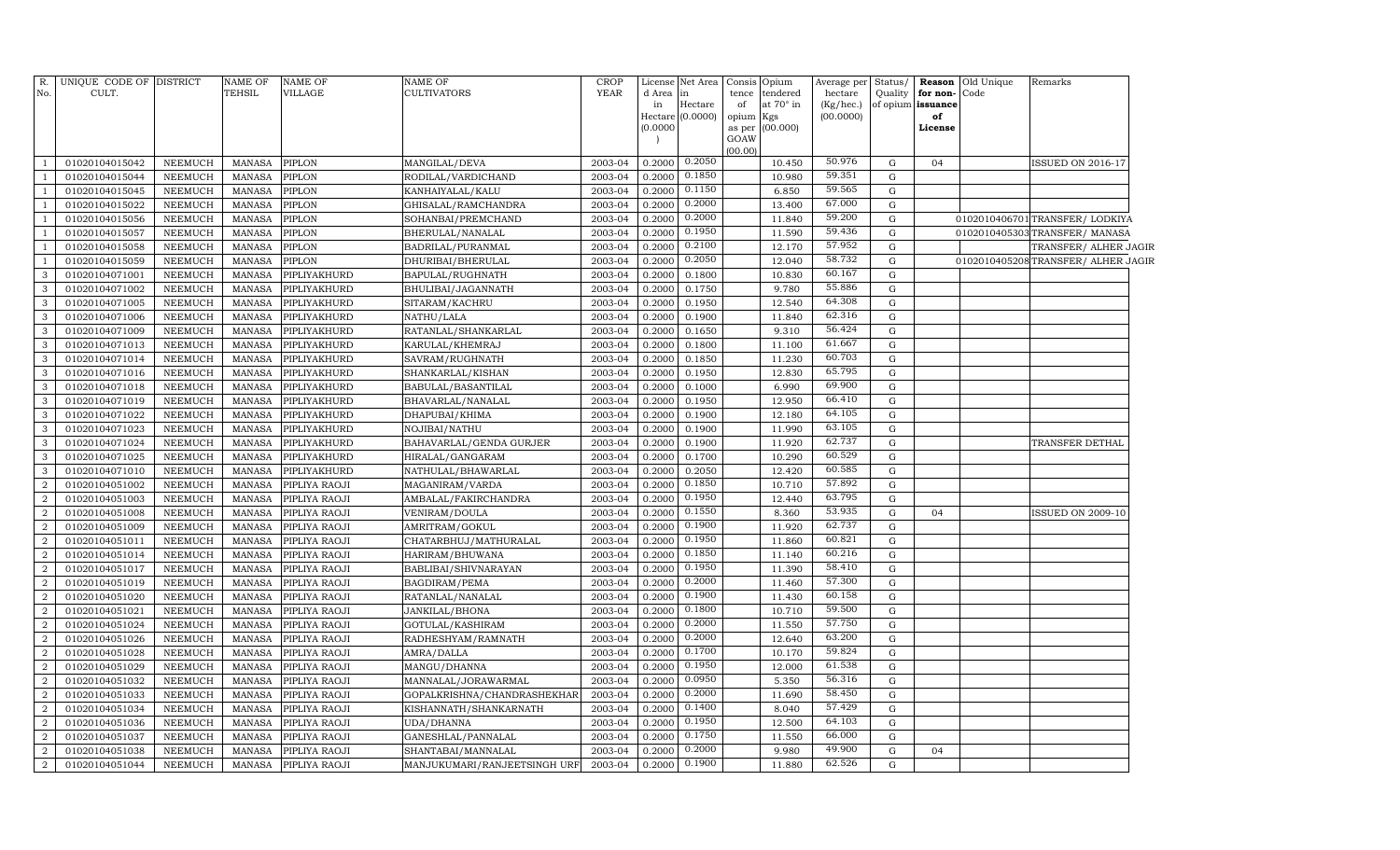| R.<br>No.        | UNIQUE CODE OF DISTRICT<br>CULT. |                | <b>NAME OF</b><br>TEHSIL | NAME OF<br>VILLAGE | NAME OF<br>CULTIVATORS       | <b>CROP</b><br><b>YEAR</b> | d Area in<br>in<br>(0.0000) | License Net Area<br>Hectare<br>Hectare (0.0000) | Consis<br>tence<br>of<br>opium<br>as per<br>GOAW | Opium<br>tendered<br>at 70° in<br>Kgs<br>(00.000) | Average per<br>hectare<br>(Kg/hec.)<br>(00.0000) | Status/ | Quality for non-Code<br>of opium issuance<br>of<br>License | <b>Reason</b> Old Unique | Remarks                            |  |
|------------------|----------------------------------|----------------|--------------------------|--------------------|------------------------------|----------------------------|-----------------------------|-------------------------------------------------|--------------------------------------------------|---------------------------------------------------|--------------------------------------------------|---------|------------------------------------------------------------|--------------------------|------------------------------------|--|
|                  |                                  |                |                          |                    |                              |                            |                             |                                                 | (00.00)                                          |                                                   |                                                  |         |                                                            |                          |                                    |  |
|                  | 01020104015042                   | <b>NEEMUCH</b> | <b>MANASA</b>            | <b>PIPLON</b>      | MANGILAL/DEVA                | 2003-04                    | 0.2000                      | 0.2050                                          |                                                  | 10.450                                            | 50.976                                           | G       | 04                                                         |                          | <b>ISSUED ON 2016-17</b>           |  |
|                  | 01020104015044                   | <b>NEEMUCH</b> | <b>MANASA</b>            | PIPLON             | RODILAL/VARDICHAND           | 2003-04                    | 0.2000                      | 0.1850                                          |                                                  | 10.980                                            | 59.351                                           | G       |                                                            |                          |                                    |  |
| $\overline{1}$   | 01020104015045                   | <b>NEEMUCH</b> | <b>MANASA</b>            | <b>PIPLON</b>      | KANHAIYALAL/KALU             | 2003-04                    | 0.2000                      | 0.1150                                          |                                                  | 6.850                                             | 59.565                                           | G       |                                                            |                          |                                    |  |
| $\overline{1}$   | 01020104015022                   | <b>NEEMUCH</b> | MANASA                   | PIPLON             | GHISALAL/RAMCHANDRA          | 2003-04                    | 0.2000                      | 0.2000                                          |                                                  | 13.400                                            | 67.000                                           | G       |                                                            |                          |                                    |  |
| $\overline{1}$   | 01020104015056                   | <b>NEEMUCH</b> | <b>MANASA</b>            | PIPLON             | SOHANBAI/PREMCHAND           | 2003-04                    | 0.2000                      | 0.2000                                          |                                                  | 11.840                                            | 59.200                                           | G       |                                                            |                          | 0102010406701 TRANSFER/LODKIYA     |  |
| $\overline{1}$   | 01020104015057                   | <b>NEEMUCH</b> | <b>MANASA</b>            | <b>PIPLON</b>      | BHERULAL/NANALAL             | 2003-04                    | 0.2000                      | 0.1950                                          |                                                  | 11.590                                            | 59.436                                           | G       |                                                            |                          | 0102010405303 TRANSFER/ MANASA     |  |
| $\overline{1}$   | 01020104015058                   | <b>NEEMUCH</b> | <b>MANASA</b>            | <b>PIPLON</b>      | BADRILAL/PURANMAL            | 2003-04                    | 0.2000                      | 0.2100                                          |                                                  | 12.170                                            | 57.952                                           | G       |                                                            |                          | TRANSFER/ ALHER JAGIR              |  |
| $\mathbf{1}$     | 01020104015059                   | <b>NEEMUCH</b> | <b>MANASA</b>            | PIPLON             | DHURIBAI/BHERULAL            | 2003-04                    | 0.2000                      | 0.2050                                          |                                                  | 12.040                                            | 58.732                                           | G       |                                                            |                          | 0102010405208TRANSFER/ ALHER JAGIR |  |
| 3                | 01020104071001                   | <b>NEEMUCH</b> | <b>MANASA</b>            | PIPLIYAKHURD       | BAPULAL/RUGHNATH             | 2003-04                    | 0.2000                      | 0.1800                                          |                                                  | 10.830                                            | 60.167                                           | G       |                                                            |                          |                                    |  |
| $\mathbf{3}$     | 01020104071002                   | <b>NEEMUCH</b> | <b>MANASA</b>            | PIPLIYAKHURD       | BHULIBAI/JAGANNATH           | 2003-04                    | 0.2000                      | 0.1750                                          |                                                  | 9.780                                             | 55.886                                           | G       |                                                            |                          |                                    |  |
| 3                | 01020104071005                   | NEEMUCH        | <b>MANASA</b>            | PIPLIYAKHURD       | SITARAM/KACHRU               | 2003-04                    | 0.2000                      | 0.1950                                          |                                                  | 12.540                                            | 64.308                                           | G       |                                                            |                          |                                    |  |
| $\mathbf{3}$     | 01020104071006                   | <b>NEEMUCH</b> | MANASA                   | PIPLIYAKHURD       | NATHU/LALA                   | 2003-04                    | 0.2000                      | 0.1900                                          |                                                  | 11.840                                            | 62.316                                           | G       |                                                            |                          |                                    |  |
| 3                | 01020104071009                   | <b>NEEMUCH</b> | <b>MANASA</b>            | PIPLIYAKHURD       | RATANLAL/SHANKARLAL          | 2003-04                    | 0.2000                      | 0.1650                                          |                                                  | 9.310                                             | 56.424                                           | G       |                                                            |                          |                                    |  |
| 3                | 01020104071013                   | <b>NEEMUCH</b> | MANASA                   | PIPLIYAKHURD       | KARULAL/KHEMRAJ              | 2003-04                    | 0.2000                      | 0.1800                                          |                                                  | 11.100                                            | 61.667                                           | G       |                                                            |                          |                                    |  |
| 3                | 01020104071014                   | NEEMUCH        | <b>MANASA</b>            | PIPLIYAKHURD       | SAVRAM/RUGHNATH              | 2003-04                    | 0.2000                      | 0.1850                                          |                                                  | 11.230                                            | 60.703                                           | G       |                                                            |                          |                                    |  |
| 3                | 01020104071016                   | NEEMUCH        | <b>MANASA</b>            | PIPLIYAKHURD       | SHANKARLAL/KISHAN            | 2003-04                    | 0.2000                      | 0.1950                                          |                                                  | 12.830                                            | 65.795                                           | G       |                                                            |                          |                                    |  |
| 3                | 01020104071018                   | <b>NEEMUCH</b> | <b>MANASA</b>            | PIPLIYAKHURD       | BABULAL/BASANTILAL           | 2003-04                    | 0.2000                      | 0.1000                                          |                                                  | 6.990                                             | 69.900                                           | G       |                                                            |                          |                                    |  |
| 3                | 01020104071019                   | <b>NEEMUCH</b> | <b>MANASA</b>            | PIPLIYAKHURD       | BHAVARLAL/NANALAL            | 2003-04                    | 0.2000                      | 0.1950                                          |                                                  | 12.950                                            | 66.410                                           | G       |                                                            |                          |                                    |  |
| 3                | 01020104071022                   | <b>NEEMUCH</b> | <b>MANASA</b>            | PIPLIYAKHURD       | DHAPUBAI/KHIMA               | 2003-04                    | 0.2000                      | 0.1900                                          |                                                  | 12.180                                            | 64.105                                           | G       |                                                            |                          |                                    |  |
| $\mathbf{3}$     | 01020104071023                   | <b>NEEMUCH</b> | <b>MANASA</b>            | PIPLIYAKHURD       | NOJIBAI/NATHU                | 2003-04                    | 0.2000                      | 0.1900                                          |                                                  | 11.990                                            | 63.105                                           | G       |                                                            |                          |                                    |  |
| 3                | 01020104071024                   | NEEMUCH        | <b>MANASA</b>            | PIPLIYAKHURD       | BAHAVARLAL/GENDA GURJER      | 2003-04                    | 0.2000                      | 0.1900                                          |                                                  | 11.920                                            | 62.737                                           | G       |                                                            |                          | TRANSFER DETHAL                    |  |
| 3                | 01020104071025                   | <b>NEEMUCH</b> | MANASA                   | PIPLIYAKHURD       | HIRALAL/GANGARAM             | 2003-04                    | 0.2000                      | 0.1700                                          |                                                  | 10.290                                            | 60.529                                           | G       |                                                            |                          |                                    |  |
| 3                | 01020104071010                   | <b>NEEMUCH</b> | <b>MANASA</b>            | PIPLIYAKHURD       | NATHULAL/BHAWARLAL           | 2003-04                    | 0.2000                      | 0.2050                                          |                                                  | 12.420                                            | 60.585                                           | G       |                                                            |                          |                                    |  |
| $\overline{2}$   | 01020104051002                   | <b>NEEMUCH</b> | <b>MANASA</b>            | PIPLIYA RAOJI      | MAGANIRAM/VARDA              | 2003-04                    | 0.2000                      | 0.1850                                          |                                                  | 10.710                                            | 57.892                                           | G       |                                                            |                          |                                    |  |
| $\overline{2}$   | 01020104051003                   | <b>NEEMUCH</b> | <b>MANASA</b>            | PIPLIYA RAOJI      | AMBALAL/FAKIRCHANDRA         | 2003-04                    | 0.2000                      | 0.1950                                          |                                                  | 12.440                                            | 63.795                                           | G       |                                                            |                          |                                    |  |
| $\boldsymbol{2}$ | 01020104051008                   | <b>NEEMUCH</b> | <b>MANASA</b>            | PIPLIYA RAOJI      | VENIRAM/DOULA                | 2003-04                    | 0.2000                      | 0.1550                                          |                                                  | 8.360                                             | 53.935                                           | G       | 04                                                         |                          | <b>ISSUED ON 2009-10</b>           |  |
| $\overline{a}$   | 01020104051009                   | <b>NEEMUCH</b> | <b>MANASA</b>            | PIPLIYA RAOJI      | AMRITRAM/GOKUL               | 2003-04                    | 0.2000                      | 0.1900                                          |                                                  | 11.920                                            | 62.737                                           | G       |                                                            |                          |                                    |  |
| $\boldsymbol{2}$ | 01020104051011                   | <b>NEEMUCH</b> | <b>MANASA</b>            | PIPLIYA RAOJI      | CHATARBHUJ/MATHURALAL        | 2003-04                    | 0.2000                      | 0.1950                                          |                                                  | 11.860                                            | 60.821                                           | G       |                                                            |                          |                                    |  |
| $\overline{2}$   | 01020104051014                   | <b>NEEMUCH</b> | <b>MANASA</b>            | PIPLIYA RAOJI      | HARIRAM/BHUWANA              | 2003-04                    | 0.2000                      | 0.1850                                          |                                                  | 11.140                                            | 60.216                                           | G       |                                                            |                          |                                    |  |
| $\overline{2}$   | 01020104051017                   | <b>NEEMUCH</b> | <b>MANASA</b>            | PIPLIYA RAOJI      | BABLIBAI/SHIVNARAYAN         | 2003-04                    | 0.2000                      | 0.1950                                          |                                                  | 11.390                                            | 58.410                                           | G       |                                                            |                          |                                    |  |
| $\overline{2}$   | 01020104051019                   | <b>NEEMUCH</b> | <b>MANASA</b>            | PIPLIYA RAOJI      | BAGDIRAM/PEMA                | 2003-04                    | 0.2000                      | 0.2000                                          |                                                  | 11.460                                            | 57.300                                           | G       |                                                            |                          |                                    |  |
| $\overline{2}$   | 01020104051020                   | <b>NEEMUCH</b> | <b>MANASA</b>            | PIPLIYA RAOJI      | RATANLAL/NANALAL             | 2003-04                    | 0.2000                      | 0.1900                                          |                                                  | 11.430                                            | 60.158                                           | G       |                                                            |                          |                                    |  |
| $\overline{a}$   | 01020104051021                   | <b>NEEMUCH</b> | <b>MANASA</b>            | PIPLIYA RAOJI      | JANKILAL/BHONA               | 2003-04                    | 0.2000                      | 0.1800                                          |                                                  | 10.710                                            | 59.500                                           | G       |                                                            |                          |                                    |  |
| $\overline{2}$   | 01020104051024                   | <b>NEEMUCH</b> | <b>MANASA</b>            | PIPLIYA RAOJI      | GOTULAL/KASHIRAM             | 2003-04                    | 0.2000                      | 0.2000                                          |                                                  | 11.550                                            | 57.750                                           | G       |                                                            |                          |                                    |  |
| $\overline{2}$   | 01020104051026                   | <b>NEEMUCH</b> | <b>MANASA</b>            | PIPLIYA RAOJI      | RADHESHYAM/RAMNATH           | 2003-04                    | 0.2000                      | 0.2000                                          |                                                  | 12.640                                            | 63.200                                           | G       |                                                            |                          |                                    |  |
| $\boldsymbol{2}$ | 01020104051028                   | NEEMUCH        | <b>MANASA</b>            | PIPLIYA RAOJI      | AMRA/DALLA                   | 2003-04                    | 0.2000                      | 0.1700                                          |                                                  | 10.170                                            | 59.824                                           | G       |                                                            |                          |                                    |  |
| $\boldsymbol{2}$ | 01020104051029                   | <b>NEEMUCH</b> | <b>MANASA</b>            | PIPLIYA RAOJI      | MANGU/DHANNA                 | 2003-04                    | 0.2000                      | 0.1950                                          |                                                  | 12.000                                            | 61.538                                           | G       |                                                            |                          |                                    |  |
| $\boldsymbol{2}$ | 01020104051032                   | NEEMUCH        | <b>MANASA</b>            | PIPLIYA RAOJI      | MANNALAL/JORAWARMAL          | 2003-04                    | 0.2000                      | 0.0950                                          |                                                  | 5.350                                             | 56.316                                           | G       |                                                            |                          |                                    |  |
| $\overline{2}$   | 01020104051033                   | <b>NEEMUCH</b> | <b>MANASA</b>            | PIPLIYA RAOJI      | GOPALKRISHNA/CHANDRASHEKHAR  | 2003-04                    | 0.2000                      | 0.2000                                          |                                                  | 11.690                                            | 58.450                                           | G       |                                                            |                          |                                    |  |
| $\overline{2}$   | 01020104051034                   | NEEMUCH        | <b>MANASA</b>            | PIPLIYA RAOJI      | KISHANNATH/SHANKARNATH       | 2003-04                    | 0.2000                      | 0.1400                                          |                                                  | 8.040                                             | 57.429                                           | G       |                                                            |                          |                                    |  |
| $\overline{2}$   | 01020104051036                   | <b>NEEMUCH</b> | <b>MANASA</b>            | PIPLIYA RAOJI      | UDA/DHANNA                   | 2003-04                    | 0.2000                      | 0.1950                                          |                                                  | 12.500                                            | 64.103                                           | G       |                                                            |                          |                                    |  |
| $\overline{a}$   | 01020104051037                   | NEEMUCH        | <b>MANASA</b>            | PIPLIYA RAOJI      | GANESHLAL/PANNALAL           | 2003-04                    | 0.2000                      | 0.1750                                          |                                                  | 11.550                                            | 66.000                                           | G       |                                                            |                          |                                    |  |
| $\overline{2}$   | 01020104051038                   | <b>NEEMUCH</b> | <b>MANASA</b>            | PIPLIYA RAOJI      | SHANTABAI/MANNALAL           | 2003-04                    | 0.2000                      | 0.2000                                          |                                                  | 9.980                                             | 49.900                                           | G       | 04                                                         |                          |                                    |  |
| $\overline{a}$   | 01020104051044                   | <b>NEEMUCH</b> | MANASA                   | PIPLIYA RAOJI      | MANJUKUMARI/RANJEETSINGH URF | 2003-04                    | 0.2000                      | 0.1900                                          |                                                  | 11.880                                            | 62.526                                           | G       |                                                            |                          |                                    |  |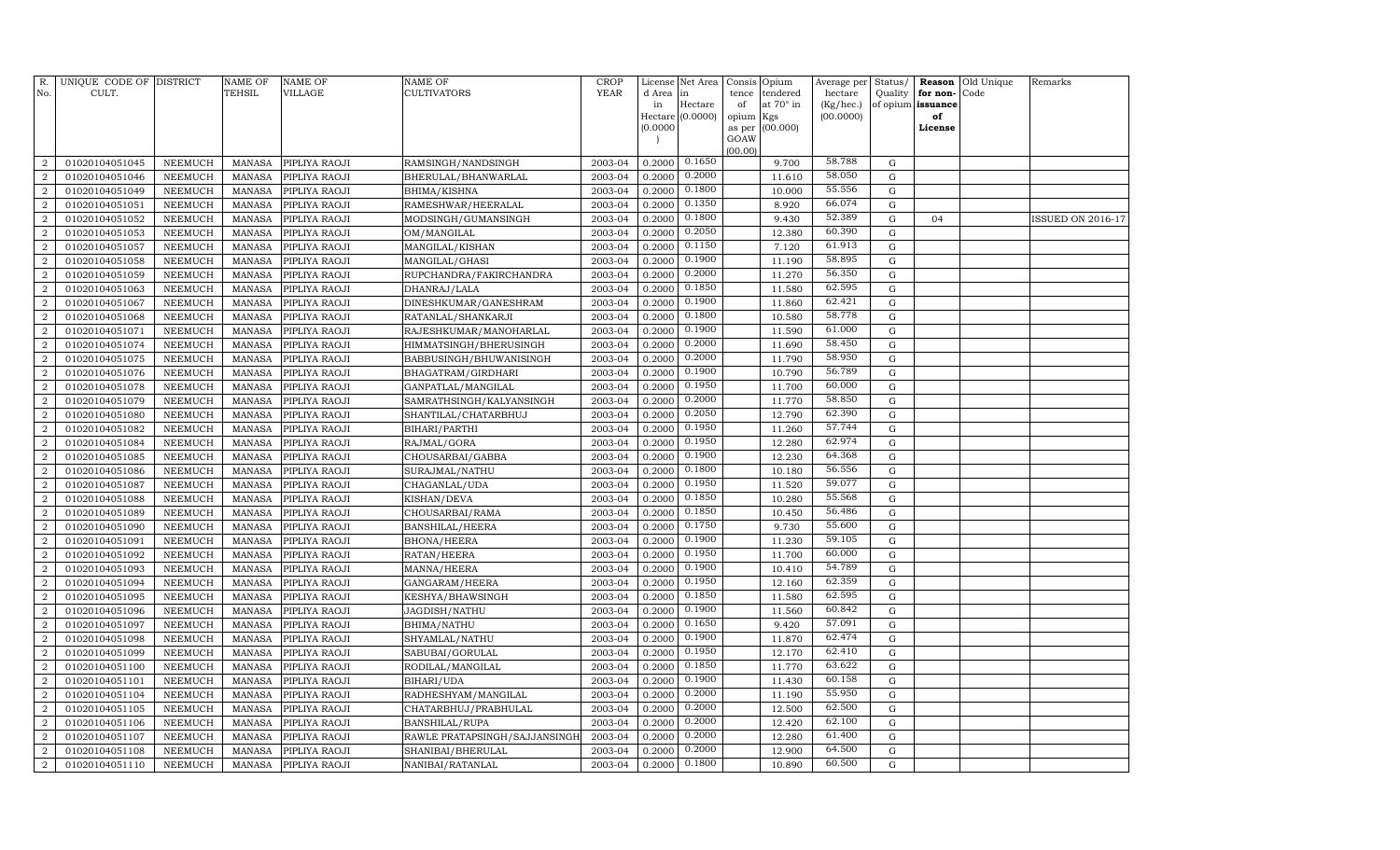| R.<br>No.                        | UNIQUE CODE OF DISTRICT<br>CULT. |                                  | NAME OF<br>TEHSIL       | <b>NAME OF</b><br>VILLAGE      | <b>NAME OF</b><br>CULTIVATORS      | CROP<br><b>YEAR</b> | License<br>d Area | Net Area<br>in   | Consis<br>tence | Opium<br>tendered | Average per<br>hectare | Status/<br>Quality         | Reason<br>for non- | Old Unique<br>Code | Remarks                  |
|----------------------------------|----------------------------------|----------------------------------|-------------------------|--------------------------------|------------------------------------|---------------------|-------------------|------------------|-----------------|-------------------|------------------------|----------------------------|--------------------|--------------------|--------------------------|
|                                  |                                  |                                  |                         |                                |                                    |                     | in                | Hectare          | of              | at 70° in         | (Kg/hec.)              | of opium                   | issuance           |                    |                          |
|                                  |                                  |                                  |                         |                                |                                    |                     | (0.0000)          | Hectare (0.0000) | opium<br>as per | Kgs<br>(00.000)   | (00.0000)              |                            | of<br>License      |                    |                          |
|                                  |                                  |                                  |                         |                                |                                    |                     |                   |                  | GOAW            |                   |                        |                            |                    |                    |                          |
|                                  |                                  |                                  |                         |                                |                                    |                     |                   |                  | (00.00)         |                   |                        |                            |                    |                    |                          |
| $\overline{2}$                   | 01020104051045                   | NEEMUCH                          | MANASA                  | PIPLIYA RAOJI                  | RAMSINGH/NANDSINGH                 | 2003-04             | 0.2000            | 0.1650           |                 | 9.700             | 58.788                 | G                          |                    |                    |                          |
| $\overline{2}$                   | 01020104051046                   | <b>NEEMUCH</b>                   | <b>MANASA</b>           | PIPLIYA RAOJI                  | BHERULAL/BHANWARLAL                | 2003-04             | 0.2000            | 0.2000           |                 | 11.610            | 58.050                 | $\mathbf G$                |                    |                    |                          |
| 2                                | 01020104051049                   | <b>NEEMUCH</b>                   | MANASA                  | PIPLIYA RAOJI                  | BHIMA/KISHNA                       | 2003-04             | 0.2000            | 0.1800           |                 | 10.000            | 55.556                 | G                          |                    |                    |                          |
| $\overline{2}$                   | 01020104051051                   | <b>NEEMUCH</b>                   | MANASA                  | PIPLIYA RAOJI                  | RAMESHWAR/HEERALAL                 | 2003-04             | 0.2000            | 0.1350           |                 | 8.920             | 66.074                 | G                          |                    |                    |                          |
| $\overline{a}$                   | 01020104051052                   | <b>NEEMUCH</b>                   | <b>MANASA</b>           | PIPLIYA RAOJI                  | MODSINGH/GUMANSINGH                | 2003-04             | 0.2000            | 0.1800           |                 | 9.430             | 52.389                 | G                          | 04                 |                    | <b>ISSUED ON 2016-17</b> |
| $\overline{2}$                   | 01020104051053                   | <b>NEEMUCH</b>                   | <b>MANASA</b>           | PIPLIYA RAOJI                  | OM/MANGILAL                        | 2003-04             | 0.2000            | 0.2050           |                 | 12.380            | 60.390                 | $\mathbf G$                |                    |                    |                          |
| $\overline{a}$                   | 01020104051057                   | <b>NEEMUCH</b>                   | <b>MANASA</b>           | PIPLIYA RAOJI                  | MANGILAL/KISHAN                    | 2003-04             | 0.2000            | 0.1150           |                 | 7.120             | 61.913                 | $\mathbf G$                |                    |                    |                          |
| $\overline{a}$                   | 01020104051058                   | <b>NEEMUCH</b>                   | MANASA                  | PIPLIYA RAOJI                  | MANGILAL/GHASI                     | 2003-04             | 0.2000            | 0.1900           |                 | 11.190            | 58.895                 | $\mathbf G$                |                    |                    |                          |
| $\overline{a}$                   | 01020104051059                   | <b>NEEMUCH</b>                   | MANASA                  | PIPLIYA RAOJI                  | RUPCHANDRA/FAKIRCHANDRA            | 2003-04             | 0.2000            | 0.2000           |                 | 11.270            | 56.350                 | $\mathbf G$                |                    |                    |                          |
| $\overline{a}$                   | 01020104051063                   | <b>NEEMUCH</b>                   | MANASA                  | PIPLIYA RAOJI                  | DHANRAJ/LALA                       | 2003-04             | 0.2000            | 0.1850           |                 | 11.580            | 62.595                 | ${\rm G}$                  |                    |                    |                          |
| $\overline{a}$                   | 01020104051067                   | <b>NEEMUCH</b>                   | <b>MANASA</b>           | PIPLIYA RAOJI                  | DINESHKUMAR/GANESHRAM              | 2003-04             | 0.2000            | 0.1900           |                 | 11.860            | 62.421<br>58.778       | ${\rm G}$                  |                    |                    |                          |
| $\overline{2}$                   | 01020104051068                   | <b>NEEMUCH</b>                   | MANASA                  | PIPLIYA RAOJI                  | RATANLAL/SHANKARJI                 | 2003-04             | 0.2000            | 0.1800<br>0.1900 |                 | 10.580            | 61.000                 | G                          |                    |                    |                          |
| $\overline{a}$                   | 01020104051071                   | <b>NEEMUCH</b>                   | <b>MANASA</b>           | PIPLIYA RAOJI                  | RAJESHKUMAR/MANOHARLAL             | 2003-04             | 0.2000            | 0.2000           |                 | 11.590            | 58.450                 | G                          |                    |                    |                          |
| $\overline{2}$                   | 01020104051074                   | <b>NEEMUCH</b>                   | <b>MANASA</b>           | PIPLIYA RAOJI                  | HIMMATSINGH/BHERUSINGH             | 2003-04             | 0.2000            | 0.2000           |                 | 11.690            | 58.950                 | $\mathbf G$                |                    |                    |                          |
| $\overline{a}$                   | 01020104051075                   | <b>NEEMUCH</b>                   | <b>MANASA</b>           | PIPLIYA RAOJI                  | BABBUSINGH/BHUWANISINGH            | 2003-04             | 0.2000            | 0.1900           |                 | 11.790            | 56.789                 | $\mathbf G$                |                    |                    |                          |
| $\overline{2}$                   | 01020104051076                   | <b>NEEMUCH</b>                   | MANASA                  | PIPLIYA RAOJI                  | BHAGATRAM / GIRDHARI               | 2003-04             | 0.2000            | 0.1950           |                 | 10.790            | 60.000                 | $\mathbf G$                |                    |                    |                          |
| $\overline{a}$                   | 01020104051078                   | <b>NEEMUCH</b>                   | <b>MANASA</b>           | PIPLIYA RAOJI                  | GANPATLAL/MANGILAL                 | 2003-04             | 0.2000            | 0.2000           |                 | 11.700            | 58.850                 | $\mathbf G$                |                    |                    |                          |
| $\overline{a}$                   | 01020104051079                   | <b>NEEMUCH</b>                   | MANASA                  | PIPLIYA RAOJI                  | SAMRATHSINGH/KALYANSINGH           | 2003-04             | 0.2000            | 0.2050           |                 | 11.770            | 62.390                 | ${\rm G}$                  |                    |                    |                          |
| $\overline{2}$                   | 01020104051080                   | <b>NEEMUCH</b>                   | <b>MANASA</b>           | PIPLIYA RAOJI                  | SHANTILAL/CHATARBHUJ               | 2003-04             | 0.2000            | 0.1950           |                 | 12.790            | 57.744                 | $\mathbf G$                |                    |                    |                          |
| $\overline{a}$                   | 01020104051082                   | <b>NEEMUCH</b>                   | <b>MANASA</b>           | PIPLIYA RAOJI                  | BIHARI/PARTHI                      | 2003-04             | 0.2000            | 0.1950           |                 | 11.260            | 62.974                 | ${\rm G}$                  |                    |                    |                          |
| $\overline{a}$                   | 01020104051084                   | <b>NEEMUCH</b>                   | <b>MANASA</b>           | PIPLIYA RAOJI                  | RAJMAL/GORA                        | 2003-04             | 0.2000            | 0.1900           |                 | 12.280            | 64.368                 | G                          |                    |                    |                          |
| $\overline{2}$                   | 01020104051085                   | <b>NEEMUCH</b>                   | MANASA                  | PIPLIYA RAOJI                  | CHOUSARBAI/GABBA                   | 2003-04             | 0.2000            | 0.1800           |                 | 12.230            | 56.556                 | G                          |                    |                    |                          |
| $\overline{2}$                   | 01020104051086                   | <b>NEEMUCH</b><br><b>NEEMUCH</b> | <b>MANASA</b>           | PIPLIYA RAOJI                  | SURAJMAL/NATHU                     | 2003-04             | 0.2000<br>0.2000  | 0.1950           |                 | 10.180<br>11.520  | 59.077                 | $\mathbf G$<br>$\mathbf G$ |                    |                    |                          |
| $\overline{2}$<br>$\overline{a}$ | 01020104051087<br>01020104051088 | <b>NEEMUCH</b>                   | MANASA<br><b>MANASA</b> | PIPLIYA RAOJI<br>PIPLIYA RAOJI | CHAGANLAL/UDA<br>KISHAN/DEVA       | 2003-04<br>2003-04  | 0.2000            | 0.1850           |                 | 10.280            | 55.568                 | $\mathbf G$                |                    |                    |                          |
| $\overline{a}$                   | 01020104051089                   | <b>NEEMUCH</b>                   | MANASA                  |                                |                                    | 2003-04             | 0.2000            | 0.1850           |                 | 10.450            | 56.486                 | G                          |                    |                    |                          |
| $\overline{a}$                   | 01020104051090                   | <b>NEEMUCH</b>                   | <b>MANASA</b>           | PIPLIYA RAOJI<br>PIPLIYA RAOJI | CHOUSARBAI/RAMA<br>BANSHILAL/HEERA | 2003-04             | 0.2000            | 0.1750           |                 | 9.730             | 55.600                 | $\mathbf G$                |                    |                    |                          |
| $\overline{a}$                   | 01020104051091                   | <b>NEEMUCH</b>                   | <b>MANASA</b>           |                                |                                    | 2003-04             | 0.2000            | 0.1900           |                 | 11.230            | 59.105                 | ${\rm G}$                  |                    |                    |                          |
| 2                                | 01020104051092                   | <b>NEEMUCH</b>                   | <b>MANASA</b>           | PIPLIYA RAOJI<br>PIPLIYA RAOJI | <b>BHONA/HEERA</b><br>RATAN/HEERA  | 2003-04             | 0.2000            | 0.1950           |                 | 11.700            | 60.000                 | $\mathbf G$                |                    |                    |                          |
| $\overline{2}$                   | 01020104051093                   | <b>NEEMUCH</b>                   | <b>MANASA</b>           | PIPLIYA RAOJI                  | MANNA/HEERA                        | 2003-04             | 0.2000            | 0.1900           |                 | 10.410            | 54.789                 | G                          |                    |                    |                          |
| $\overline{2}$                   | 01020104051094                   | <b>NEEMUCH</b>                   | <b>MANASA</b>           | PIPLIYA RAOJI                  | GANGARAM/HEERA                     | 2003-04             | 0.2000            | 0.1950           |                 | 12.160            | 62.359                 | $\mathbf G$                |                    |                    |                          |
| $\overline{2}$                   | 01020104051095                   | <b>NEEMUCH</b>                   | MANASA                  | PIPLIYA RAOJI                  | KESHYA/BHAWSINGH                   | 2003-04             | 0.2000            | 0.1850           |                 | 11.580            | 62.595                 | $\mathbf G$                |                    |                    |                          |
| $\overline{a}$                   | 01020104051096                   | <b>NEEMUCH</b>                   | <b>MANASA</b>           | PIPLIYA RAOJI                  | JAGDISH/NATHU                      | 2003-04             | 0.2000            | 0.1900           |                 | 11.560            | 60.842                 | $\mathbf G$                |                    |                    |                          |
| $\overline{2}$                   | 01020104051097                   | <b>NEEMUCH</b>                   | <b>MANASA</b>           | PIPLIYA RAOJI                  | BHIMA/NATHU                        | 2003-04             | 0.2000            | 0.1650           |                 | 9.420             | 57.091                 | G                          |                    |                    |                          |
| $\overline{a}$                   | 01020104051098                   | <b>NEEMUCH</b>                   | <b>MANASA</b>           | PIPLIYA RAOJI                  | SHYAMLAL/NATHU                     | 2003-04             | 0.2000            | 0.1900           |                 | 11.870            | 62.474                 | ${\rm G}$                  |                    |                    |                          |
| $\overline{a}$                   | 01020104051099                   | <b>NEEMUCH</b>                   | <b>MANASA</b>           | PIPLIYA RAOJI                  | SABUBAI/GORULAL                    | 2003-04             | 0.2000            | 0.1950           |                 | 12.170            | 62.410                 | $\mathbf G$                |                    |                    |                          |
| $\overline{a}$                   | 01020104051100                   | <b>NEEMUCH</b>                   | <b>MANASA</b>           | PIPLIYA RAOJI                  | RODILAL/MANGILAL                   | 2003-04             | 0.2000            | 0.1850           |                 | 11.770            | 63.622                 | $\mathbf G$                |                    |                    |                          |
| $\overline{a}$                   | 01020104051101                   | <b>NEEMUCH</b>                   | <b>MANASA</b>           | PIPLIYA RAOJI                  | BIHARI/UDA                         | 2003-04             | 0.2000            | 0.1900           |                 | 11.430            | 60.158                 | $\mathbf G$                |                    |                    |                          |
| $\overline{a}$                   | 01020104051104                   | <b>NEEMUCH</b>                   | <b>MANASA</b>           | PIPLIYA RAOJI                  | RADHESHYAM/MANGILAL                | 2003-04             | 0.2000            | 0.2000           |                 | 11.190            | 55.950                 | $\mathbf G$                |                    |                    |                          |
| $\overline{2}$                   | 01020104051105                   | <b>NEEMUCH</b>                   | <b>MANASA</b>           | PIPLIYA RAOJI                  | CHATARBHUJ/PRABHULAL               | 2003-04             | 0.2000            | 0.2000           |                 | 12.500            | 62.500                 | $\mathbf G$                |                    |                    |                          |
| $\overline{a}$                   | 01020104051106                   | <b>NEEMUCH</b>                   | <b>MANASA</b>           | PIPLIYA RAOJI                  | <b>BANSHILAL/RUPA</b>              | 2003-04             | 0.2000            | 0.2000           |                 | 12.420            | 62.100                 | G                          |                    |                    |                          |
| $\overline{2}$                   | 01020104051107                   | <b>NEEMUCH</b>                   | <b>MANASA</b>           | PIPLIYA RAOJI                  | RAWLE PRATAPSINGH/SAJJANSINGH      | 2003-04             | 0.2000            | 0.2000           |                 | 12.280            | 61.400                 | $\mathbf G$                |                    |                    |                          |
| $\overline{a}$                   | 01020104051108                   | <b>NEEMUCH</b>                   | MANASA                  | PIPLIYA RAOJI                  | SHANIBAI/BHERULAL                  | 2003-04             | 0.2000            | 0.2000           |                 | 12.900            | 64.500                 | G                          |                    |                    |                          |
| $\overline{a}$                   | 01020104051110                   | NEEMUCH                          | MANASA                  | PIPLIYA RAOJI                  | NANIBAI/RATANLAL                   | 2003-04             | 0.2000            | 0.1800           |                 | 10.890            | 60.500                 | $\mathbf G$                |                    |                    |                          |
|                                  |                                  |                                  |                         |                                |                                    |                     |                   |                  |                 |                   |                        |                            |                    |                    |                          |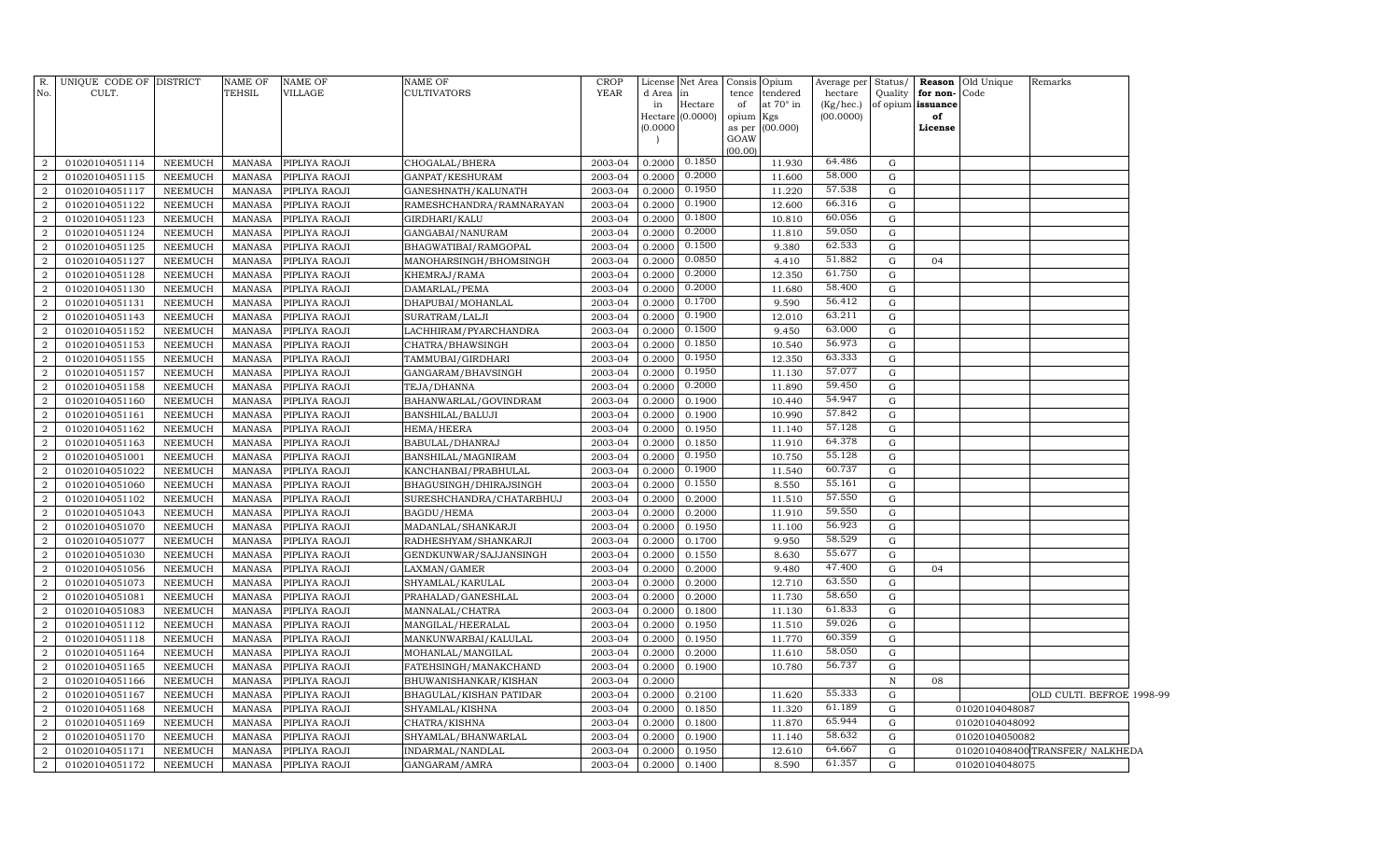| $R$ .                              | UNIQUE CODE OF DISTRICT          |                                  | <b>NAME OF</b>   | <b>NAME OF</b>                 | <b>NAME OF</b>                                 | <b>CROP</b><br><b>YEAR</b> |                  | License Net Area | Consis Opium |                       | Average per <b> </b> | Status/     |                                  | <b>Reason</b> Old Unique | Remarks                   |  |
|------------------------------------|----------------------------------|----------------------------------|------------------|--------------------------------|------------------------------------------------|----------------------------|------------------|------------------|--------------|-----------------------|----------------------|-------------|----------------------------------|--------------------------|---------------------------|--|
| No.                                | CULT.                            |                                  | TEHSIL           | VILLAGE                        | <b>CULTIVATORS</b>                             |                            | d Area<br>in     | in<br>Hectare    | tence<br>of  | tendered<br>at 70° in | hectare<br>(Kg/hec.) | Quality     | for non-<br>of opium issuance    | Code                     |                           |  |
|                                    |                                  |                                  |                  |                                |                                                |                            |                  | Hectare (0.0000) | opium Kgs    |                       | (00.0000)            |             | of                               |                          |                           |  |
|                                    |                                  |                                  |                  |                                |                                                |                            | (0.0000)         |                  |              | as per (00.000)       |                      |             | License                          |                          |                           |  |
|                                    |                                  |                                  |                  |                                |                                                |                            |                  |                  | GOAW         |                       |                      |             |                                  |                          |                           |  |
| $\overline{2}$                     | 01020104051114                   | NEEMUCH                          | MANASA           | PIPLIYA RAOJI                  | CHOGALAL/BHERA                                 | 2003-04                    | 0.2000           | 0.1850           | (00.00)      | 11.930                | 64.486               | G           |                                  |                          |                           |  |
| $\overline{2}$                     | 01020104051115                   | <b>NEEMUCH</b>                   | MANASA           | PIPLIYA RAOJI                  | GANPAT/KESHURAM                                | 2003-04                    | 0.2000           | 0.2000           |              | 11.600                | 58.000               | G           |                                  |                          |                           |  |
| $\overline{2}$                     | 01020104051117                   | NEEMUCH                          | MANASA           | PIPLIYA RAOJI                  | GANESHNATH/KALUNATH                            | 2003-04                    | 0.2000           | 0.1950           |              | 11.220                | 57.538               | ${\rm G}$   |                                  |                          |                           |  |
| $\overline{2}$                     | 01020104051122                   | NEEMUCH                          | MANASA           | PIPLIYA RAOJI                  | RAMESHCHANDRA/RAMNARAYAN                       | 2003-04                    | 0.2000           | 0.1900           |              | 12.600                | 66.316               | $\mathbf G$ |                                  |                          |                           |  |
| $\overline{2}$                     | 01020104051123                   | <b>NEEMUCH</b>                   | MANASA           | PIPLIYA RAOJI                  | GIRDHARI/KALU                                  | 2003-04                    | 0.2000           | 0.1800           |              | 10.810                | 60.056               | $\mathbf G$ |                                  |                          |                           |  |
| $\overline{2}$                     | 01020104051124                   | <b>NEEMUCH</b>                   | MANASA           | PIPLIYA RAOJI                  | GANGABAI/NANURAM                               | 2003-04                    | 0.2000           | 0.2000           |              | 11.810                | 59.050               | $\mathbf G$ |                                  |                          |                           |  |
| $\overline{2}$                     | 01020104051125                   | <b>NEEMUCH</b>                   | MANASA           | PIPLIYA RAOJI                  | BHAGWATIBAI/RAMGOPAL                           | 2003-04                    | 0.2000           | 0.1500           |              | 9.380                 | 62.533               | $\mathbf G$ |                                  |                          |                           |  |
| $\overline{2}$                     | 01020104051127                   | <b>NEEMUCH</b>                   | MANASA           | PIPLIYA RAOJI                  | MANOHARSINGH/BHOMSINGH                         | 2003-04                    | 0.2000           | 0.0850           |              | 4.410                 | 51.882               | ${\rm G}$   | 04                               |                          |                           |  |
| $\overline{2}$                     | 01020104051128                   | <b>NEEMUCH</b>                   | MANASA           | PIPLIYA RAOJI                  | KHEMRAJ/RAMA                                   | 2003-04                    | 0.2000           | 0.2000           |              | 12.350                | 61.750               | G           |                                  |                          |                           |  |
| $\overline{2}$                     | 01020104051130                   | <b>NEEMUCH</b>                   | MANASA           | PIPLIYA RAOJI                  | DAMARLAL/PEMA                                  | 2003-04                    | 0.2000           | 0.2000           |              | 11.680                | 58.400               | $\mathbf G$ |                                  |                          |                           |  |
| $\overline{2}$                     | 01020104051131                   | <b>NEEMUCH</b>                   | MANASA           | PIPLIYA RAOJI                  | DHAPUBAI/MOHANLAL                              | 2003-04                    | 0.2000           | 0.1700           |              | 9.590                 | 56.412               | ${\rm G}$   |                                  |                          |                           |  |
| $\overline{2}$                     | 01020104051143                   | <b>NEEMUCH</b>                   | MANASA           | PIPLIYA RAOJI                  | SURATRAM/LALJI                                 | 2003-04                    | 0.2000           | 0.1900           |              | 12.010                | 63.211               | $\mathbf G$ |                                  |                          |                           |  |
| $\overline{2}$                     | 01020104051152                   | <b>NEEMUCH</b>                   | <b>MANASA</b>    | PIPLIYA RAOJI                  | LACHHIRAM/PYARCHANDRA                          | 2003-04                    | 0.2000           | 0.1500           |              | 9.450                 | 63.000               | ${\rm G}$   |                                  |                          |                           |  |
| $\overline{2}$                     | 01020104051153                   | <b>NEEMUCH</b>                   | MANASA           | PIPLIYA RAOJI                  | CHATRA/BHAWSINGH                               | 2003-04                    | 0.2000           | 0.1850           |              | 10.540                | 56.973               | $\mathbf G$ |                                  |                          |                           |  |
| $\overline{2}$                     | 01020104051155                   | <b>NEEMUCH</b>                   | <b>MANASA</b>    | PIPLIYA RAOJI                  | TAMMUBAI/GIRDHARI                              | 2003-04                    | 0.2000           | 0.1950           |              | 12.350                | 63.333               | G           |                                  |                          |                           |  |
| $\overline{2}$                     | 01020104051157                   | <b>NEEMUCH</b>                   | MANASA           | PIPLIYA RAOJI                  | GANGARAM/BHAVSINGH                             | 2003-04                    | 0.2000           | 0.1950           |              | 11.130                | 57.077               | ${\rm G}$   |                                  |                          |                           |  |
| $\overline{a}$                     | 01020104051158                   | <b>NEEMUCH</b>                   | MANASA           | PIPLIYA RAOJI                  | TEJA/DHANNA                                    | 2003-04                    | 0.2000           | 0.2000           |              | 11.890                | 59.450               | G           |                                  |                          |                           |  |
| $\overline{2}$                     | 01020104051160                   | <b>NEEMUCH</b>                   | <b>MANASA</b>    | PIPLIYA RAOJI                  | BAHANWARLAL/GOVINDRAM                          | 2003-04                    | 0.2000           | 0.1900           |              | 10.440                | 54.947               | G           |                                  |                          |                           |  |
| $\overline{a}$                     | 01020104051161                   | <b>NEEMUCH</b>                   | MANASA           | PIPLIYA RAOJI                  | BANSHILAL/BALUJI                               | 2003-04                    | 0.2000           | 0.1900           |              | 10.990                | 57.842               | ${\bf G}$   |                                  |                          |                           |  |
| $\overline{2}$                     | 01020104051162                   | <b>NEEMUCH</b>                   | <b>MANASA</b>    | PIPLIYA RAOJI                  | HEMA/HEERA                                     | 2003-04                    | 0.2000           | 0.1950           |              | 11.140                | 57.128               | G           |                                  |                          |                           |  |
| $\overline{2}$                     | 01020104051163                   | <b>NEEMUCH</b>                   | <b>MANASA</b>    | PIPLIYA RAOJI                  | BABULAL/DHANRAJ                                | 2003-04                    | 0.2000           | 0.1850           |              | 11.910                | 64.378               | G           |                                  |                          |                           |  |
| $\overline{2}$                     | 01020104051001                   | <b>NEEMUCH</b>                   | <b>MANASA</b>    | PIPLIYA RAOJI                  | BANSHILAL/MAGNIRAM                             | 2003-04                    | 0.2000           | 0.1950           |              | 10.750                | 55.128               | G           |                                  |                          |                           |  |
| $\overline{2}$                     | 01020104051022                   | <b>NEEMUCH</b>                   | <b>MANASA</b>    | PIPLIYA RAOJI                  | KANCHANBAI/PRABHULAL                           | 2003-04                    | 0.2000           | 0.1900           |              | 11.540                | 60.737               | G           |                                  |                          |                           |  |
| $\overline{2}$                     | 01020104051060                   | <b>NEEMUCH</b>                   | <b>MANASA</b>    | PIPLIYA RAOJI                  | BHAGUSINGH/DHIRAJSINGH                         | 2003-04                    | 0.2000           | 0.1550           |              | 8.550                 | 55.161               | G           |                                  |                          |                           |  |
| $\overline{2}$                     | 01020104051102                   | <b>NEEMUCH</b>                   | MANASA           | PIPLIYA RAOJI                  | SURESHCHANDRA/CHATARBHUJ                       | 2003-04                    | 0.2000           | 0.2000           |              | 11.510                | 57.550               | G           |                                  |                          |                           |  |
| $\overline{2}$                     | 01020104051043                   | <b>NEEMUCH</b>                   | <b>MANASA</b>    | PIPLIYA RAOJI                  | BAGDU/HEMA                                     | 2003-04                    | 0.2000           | 0.2000           |              | 11.910                | 59.550               | G           |                                  |                          |                           |  |
| $\overline{a}$                     | 01020104051070                   | NEEMUCH                          | MANASA           | PIPLIYA RAOJI                  | MADANLAL/SHANKARJI                             | 2003-04                    | 0.2000           | 0.1950           |              | 11.100                | 56.923               | G           |                                  |                          |                           |  |
| $\overline{2}$                     | 01020104051077                   | <b>NEEMUCH</b>                   | <b>MANASA</b>    | PIPLIYA RAOJI                  | RADHESHYAM / SHANKARJI                         | 2003-04                    | 0.2000           | 0.1700           |              | 9.950                 | 58.529               | G           |                                  |                          |                           |  |
| $\overline{2}$                     | 01020104051030                   | <b>NEEMUCH</b>                   | <b>MANASA</b>    | PIPLIYA RAOJI                  | GENDKUNWAR/SAJJANSINGH                         | 2003-04                    | 0.2000           | 0.1550           |              | 8.630                 | 55.677               | G           |                                  |                          |                           |  |
| $\boldsymbol{2}$                   | 01020104051056                   | <b>NEEMUCH</b>                   | <b>MANASA</b>    | PIPLIYA RAOJI                  | LAXMAN/GAMER                                   | 2003-04                    | 0.2000           | 0.2000           |              | 9.480                 | 47.400               | G           | 04                               |                          |                           |  |
| $\overline{a}$                     | 01020104051073                   | <b>NEEMUCH</b>                   | <b>MANASA</b>    | PIPLIYA RAOJI                  | SHYAMLAL/KARULAL                               | 2003-04                    | 0.2000           | 0.2000           |              | 12.710                | 63.550               | G           |                                  |                          |                           |  |
| $\overline{2}$                     | 01020104051081                   | <b>NEEMUCH</b>                   | <b>MANASA</b>    | PIPLIYA RAOJI                  | PRAHALAD/GANESHLAL                             | 2003-04                    | 0.2000           | 0.2000           |              | 11.730                | 58.650<br>61.833     | G           |                                  |                          |                           |  |
| $\overline{a}$                     | 01020104051083                   | NEEMUCH                          | MANASA           | PIPLIYA RAOJI                  | MANNALAL/CHATRA                                | 2003-04                    | 0.2000           | 0.1800           |              | 11.130                | 59.026               | G           |                                  |                          |                           |  |
| $\boldsymbol{2}$<br>$\overline{a}$ | 01020104051112                   | <b>NEEMUCH</b>                   | MANASA           | PIPLIYA RAOJI                  | MANGILAL/HEERALAL                              | 2003-04                    | 0.2000           | 0.1950           |              | 11.510                | 60.359               | G           |                                  |                          |                           |  |
|                                    | 01020104051118                   | <b>NEEMUCH</b>                   | MANASA           | PIPLIYA RAOJI                  | MANKUNWARBAI/KALULAL                           | 2003-04                    | 0.2000           | 0.1950           |              | 11.770                | 58.050               | G           |                                  |                          |                           |  |
| $\overline{a}$                     | 01020104051164                   | <b>NEEMUCH</b>                   | MANASA           | PIPLIYA RAOJI                  | MOHANLAL/MANGILAL                              | 2003-04                    | 0.2000           | 0.2000           |              | 11.610                | 56.737               | $\mathbf G$ |                                  |                          |                           |  |
| $\overline{a}$<br>$\overline{a}$   | 01020104051165<br>01020104051166 | <b>NEEMUCH</b><br><b>NEEMUCH</b> | MANASA<br>MANASA | PIPLIYA RAOJI<br>PIPLIYA RAOJI | FATEHSINGH/MANAKCHAND<br>BHUWANISHANKAR/KISHAN | 2003-04<br>2003-04         | 0.2000<br>0.2000 | 0.1900           |              | 10.780                |                      | G<br>N      | 08                               |                          |                           |  |
| 2                                  | 01020104051167                   | <b>NEEMUCH</b>                   | <b>MANASA</b>    | PIPLIYA RAOJI                  |                                                | 2003-04                    | 0.2000           | 0.2100           |              | 11.620                | 55.333               | G           |                                  |                          | OLD CULTI. BEFROE 1998-99 |  |
| 2                                  | 01020104051168                   | <b>NEEMUCH</b>                   | <b>MANASA</b>    | PIPLIYA RAOJI                  | BHAGULAL/KISHAN PATIDAR                        | 2003-04                    | 0.2000           | 0.1850           |              | 11.320                | 61.189               | G           |                                  |                          |                           |  |
| 2                                  | 01020104051169                   | <b>NEEMUCH</b>                   | MANASA           | PIPLIYA RAOJI                  | SHYAMLAL/KISHNA<br>CHATRA/KISHNA               | 2003-04                    | 0.2000           | 0.1800           |              | 11.870                | 65.944               | $\mathbf G$ | 01020104048087<br>01020104048092 |                          |                           |  |
| $\overline{2}$                     | 01020104051170                   | <b>NEEMUCH</b>                   | <b>MANASA</b>    | PIPLIYA RAOJI                  | SHYAMLAL/BHANWARLAL                            | 2003-04                    | 0.2000           | 0.1900           |              | 11.140                | 58.632               | $\mathbf G$ | 01020104050082                   |                          |                           |  |
| $\overline{2}$                     | 01020104051171                   | <b>NEEMUCH</b>                   | <b>MANASA</b>    | PIPLIYA RAOJI                  | INDARMAL/NANDLAL                               | 2003-04                    | 0.2000           | 0.1950           |              | 12.610                | 64.667               | G           | 0102010408400TRANSFER/NALKHEDA   |                          |                           |  |
| $\overline{a}$                     | 01020104051172                   | <b>NEEMUCH</b>                   | MANASA           | PIPLIYA RAOJI                  | GANGARAM/AMRA                                  | 2003-04                    | 0.2000           | 0.1400           |              | 8.590                 | 61.357               | G           |                                  | 01020104048075           |                           |  |
|                                    |                                  |                                  |                  |                                |                                                |                            |                  |                  |              |                       |                      |             |                                  |                          |                           |  |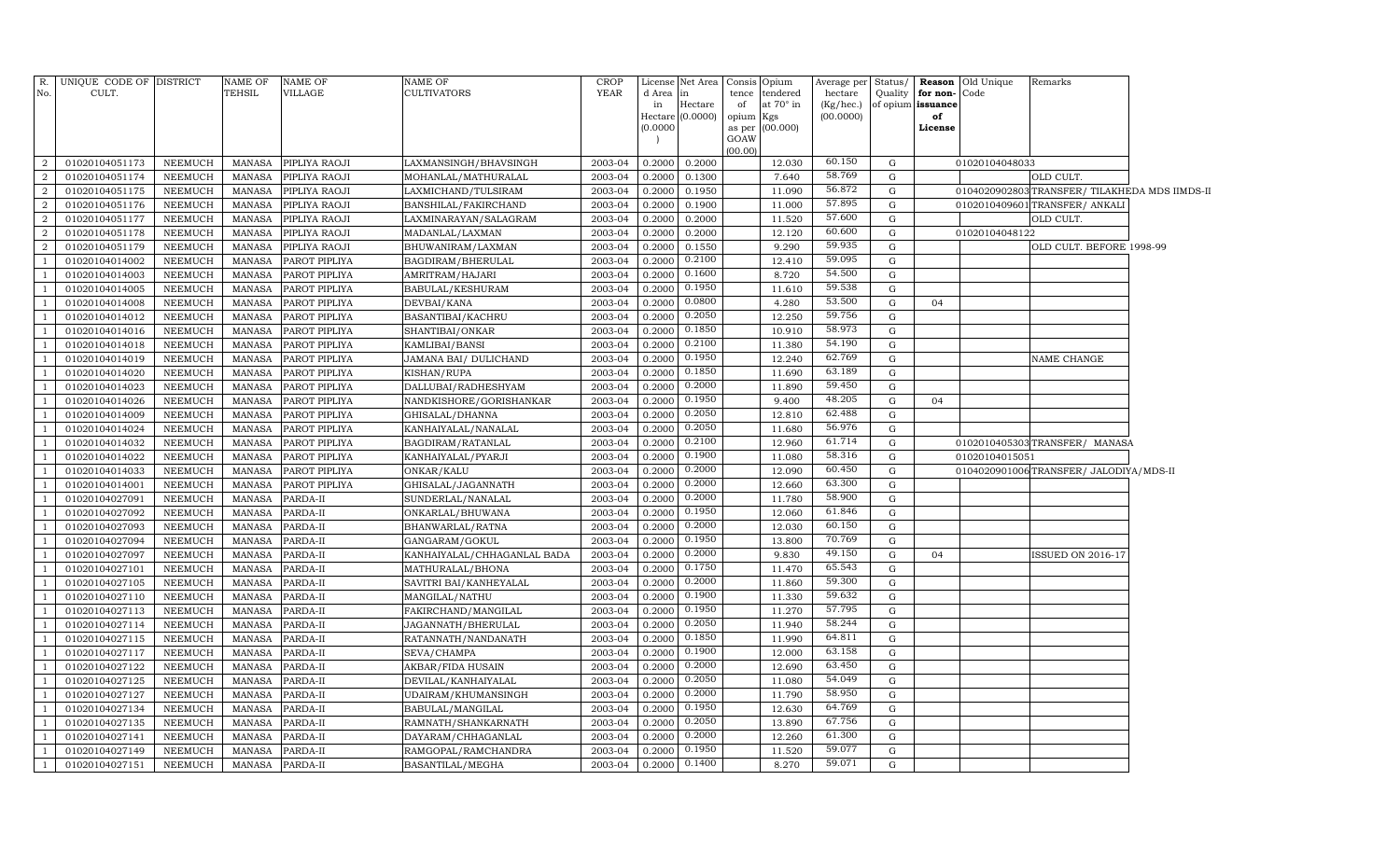|                | R. UNIQUE CODE OF DISTRICT |                | NAME OF       | NAME OF       | <b>NAME OF</b>              | <b>CROP</b> |           | License Net Area | Consis              | Opium            | Average per | Status/     |                   | <b>Reason</b> Old Unique | Remarks                                        |  |
|----------------|----------------------------|----------------|---------------|---------------|-----------------------------|-------------|-----------|------------------|---------------------|------------------|-------------|-------------|-------------------|--------------------------|------------------------------------------------|--|
| No.            | CULT.                      |                | TEHSIL        | VILLAGE       | <b>CULTIVATORS</b>          | <b>YEAR</b> | d Area in |                  | tence               | tendered         | hectare     | Quality     | for non-Code      |                          |                                                |  |
|                |                            |                |               |               |                             |             | in        | Hectare          | of                  | at $70^\circ$ in | (Kg/hec.)   |             | of opium issuance |                          |                                                |  |
|                |                            |                |               |               |                             |             | (0.0000)  | Hectare (0.0000) | opium Kgs<br>as per | (00.000)         | (00.0000)   |             | of<br>License     |                          |                                                |  |
|                |                            |                |               |               |                             |             |           |                  | GOAW                |                  |             |             |                   |                          |                                                |  |
|                |                            |                |               |               |                             |             |           |                  | (00.00)             |                  |             |             |                   |                          |                                                |  |
| $\overline{2}$ | 01020104051173             | NEEMUCH        | MANASA        | PIPLIYA RAOJI | LAXMANSINGH/BHAVSINGH       | 2003-04     | 0.2000    | 0.2000           |                     | 12.030           | 60.150      | G           |                   | 01020104048033           |                                                |  |
| $\overline{2}$ | 01020104051174             | NEEMUCH        | <b>MANASA</b> | PIPLIYA RAOJI | MOHANLAL/MATHURALAL         | 2003-04     | 0.2000    | 0.1300           |                     | 7.640            | 58.769      | G           |                   |                          | OLD CULT.                                      |  |
| $\overline{2}$ | 01020104051175             | NEEMUCH        | <b>MANASA</b> | PIPLIYA RAOJI | LAXMICHAND/TULSIRAM         | 2003-04     | 0.2000    | 0.1950           |                     | 11.090           | 56.872      | ${\rm G}$   |                   |                          | 0104020902803 TRANSFER/ TILAKHEDA MDS IIMDS-II |  |
| $\overline{2}$ | 01020104051176             | NEEMUCH        | <b>MANASA</b> | PIPLIYA RAOJI | BANSHILAL/FAKIRCHAND        | 2003-04     | 0.2000    | 0.1900           |                     | 11.000           | 57.895      | G           |                   |                          | 0102010409601 TRANSFER/ ANKALI                 |  |
| $\overline{2}$ | 01020104051177             | NEEMUCH        | <b>MANASA</b> | PIPLIYA RAOJI | LAXMINARAYAN/SALAGRAM       | 2003-04     | 0.2000    | 0.2000           |                     | 11.520           | 57.600      | G           |                   |                          | OLD CULT.                                      |  |
| $\overline{2}$ | 01020104051178             | NEEMUCH        | <b>MANASA</b> | PIPLIYA RAOJI | MADANLAL/LAXMAN             | 2003-04     | 0.2000    | 0.2000           |                     | 12.120           | 60.600      | G           |                   | 01020104048122           |                                                |  |
| $\overline{2}$ | 01020104051179             | NEEMUCH        | <b>MANASA</b> | PIPLIYA RAOJI | BHUWANIRAM/LAXMAN           | 2003-04     | 0.2000    | 0.1550           |                     | 9.290            | 59.935      | G           |                   |                          | OLD CULT. BEFORE 1998-99                       |  |
| -1             | 01020104014002             | NEEMUCH        | <b>MANASA</b> | PAROT PIPLIYA | BAGDIRAM/BHERULAL           | 2003-04     | 0.2000    | 0.2100           |                     | 12.410           | 59.095      | G           |                   |                          |                                                |  |
|                | 01020104014003             | <b>NEEMUCH</b> | <b>MANASA</b> | PAROT PIPLIYA | AMRITRAM/HAJARI             | 2003-04     | 0.2000    | 0.1600           |                     | 8.720            | 54.500      | $\mathbf G$ |                   |                          |                                                |  |
|                | 01020104014005             | NEEMUCH        | <b>MANASA</b> | PAROT PIPLIYA | BABULAL/KESHURAM            | 2003-04     | 0.2000    | 0.1950           |                     | 11.610           | 59.538      | G           |                   |                          |                                                |  |
|                | 01020104014008             | NEEMUCH        | <b>MANASA</b> | PAROT PIPLIYA | DEVBAI/KANA                 | 2003-04     | 0.2000    | 0.0800           |                     | 4.280            | 53.500      | G           | 04                |                          |                                                |  |
| $\overline{1}$ | 01020104014012             | NEEMUCH        | <b>MANASA</b> | PAROT PIPLIYA | BASANTIBAI/KACHRU           | 2003-04     | 0.2000    | 0.2050           |                     | 12.250           | 59.756      | G           |                   |                          |                                                |  |
| $\overline{1}$ | 01020104014016             | NEEMUCH        | <b>MANASA</b> | PAROT PIPLIYA | SHANTIBAI/ONKAR             | 2003-04     | 0.2000    | 0.1850           |                     | 10.910           | 58.973      | G           |                   |                          |                                                |  |
|                | 01020104014018             | NEEMUCH        | <b>MANASA</b> | PAROT PIPLIYA | KAMLIBAI/BANSI              | 2003-04     | 0.2000    | 0.2100           |                     | 11.380           | 54.190      | G           |                   |                          |                                                |  |
| $\overline{1}$ | 01020104014019             | NEEMUCH        | <b>MANASA</b> | PAROT PIPLIYA | JAMANA BAI / DULICHAND      | 2003-04     | 0.2000    | 0.1950           |                     | 12.240           | 62.769      | G           |                   |                          | NAME CHANGE                                    |  |
| $\overline{1}$ | 01020104014020             | <b>NEEMUCH</b> | <b>MANASA</b> | PAROT PIPLIYA | KISHAN/RUPA                 | 2003-04     | 0.2000    | 0.1850           |                     | 11.690           | 63.189      | G           |                   |                          |                                                |  |
|                | 01020104014023             | <b>NEEMUCH</b> | <b>MANASA</b> | PAROT PIPLIYA | DALLUBAI/RADHESHYAM         | 2003-04     | 0.2000    | 0.2000           |                     | 11.890           | 59.450      | G           |                   |                          |                                                |  |
|                | 01020104014026             | NEEMUCH        | <b>MANASA</b> | PAROT PIPLIYA | NANDKISHORE/GORISHANKAR     | 2003-04     | 0.2000    | 0.1950           |                     | 9.400            | 48.205      | G           | 04                |                          |                                                |  |
|                | 01020104014009             | NEEMUCH        | <b>MANASA</b> | PAROT PIPLIYA | GHISALAL/DHANNA             | 2003-04     | 0.2000    | 0.2050           |                     | 12.810           | 62.488      | G           |                   |                          |                                                |  |
|                | 01020104014024             | NEEMUCH        | <b>MANASA</b> | PAROT PIPLIYA | KANHAIYALAL/NANALAL         | 2003-04     | 0.2000    | 0.2050           |                     | 11.680           | 56.976      | G           |                   |                          |                                                |  |
|                | 01020104014032             | NEEMUCH        | <b>MANASA</b> | PAROT PIPLIYA | BAGDIRAM/RATANLAL           | 2003-04     | 0.2000    | 0.2100           |                     | 12.960           | 61.714      | G           |                   |                          | 0102010405303TRANSFER/ MANASA                  |  |
| $\overline{1}$ | 01020104014022             | <b>NEEMUCH</b> | <b>MANASA</b> | PAROT PIPLIYA | KANHAIYALAL/PYARJI          | 2003-04     | 0.2000    | 0.1900           |                     | 11.080           | 58.316      | G           |                   | 01020104015051           |                                                |  |
|                | 01020104014033             | <b>NEEMUCH</b> | <b>MANASA</b> | PAROT PIPLIYA | ONKAR/KALU                  | 2003-04     | 0.2000    | 0.2000           |                     | 12.090           | 60.450      | G           |                   |                          | 0104020901006TRANSFER/JALODIYA/MDS-II          |  |
|                | 01020104014001             | NEEMUCH        | <b>MANASA</b> | PAROT PIPLIYA | GHISALAL/JAGANNATH          | 2003-04     | 0.2000    | 0.2000           |                     | 12.660           | 63.300      | G           |                   |                          |                                                |  |
|                | 01020104027091             | NEEMUCH        | <b>MANASA</b> | PARDA-II      | SUNDERLAL/NANALAL           | 2003-04     | 0.2000    | 0.2000           |                     | 11.780           | 58.900      | G           |                   |                          |                                                |  |
|                | 01020104027092             | NEEMUCH        | <b>MANASA</b> | PARDA-II      | ONKARLAL/BHUWANA            | 2003-04     | 0.2000    | 0.1950           |                     | 12.060           | 61.846      | G           |                   |                          |                                                |  |
|                | 01020104027093             | NEEMUCH        | <b>MANASA</b> | PARDA-II      | BHANWARLAL/RATNA            | 2003-04     | 0.2000    | 0.2000           |                     | 12.030           | 60.150      | G           |                   |                          |                                                |  |
| $\overline{1}$ | 01020104027094             | NEEMUCH        | <b>MANASA</b> | PARDA-II      | GANGARAM/GOKUL              | 2003-04     | 0.2000    | 0.1950           |                     | 13.800           | 70.769      | G           |                   |                          |                                                |  |
|                | 01020104027097             | NEEMUCH        | <b>MANASA</b> | PARDA-II      | KANHAIYALAL/CHHAGANLAL BADA | 2003-04     | 0.2000    | 0.2000           |                     | 9.830            | 49.150      | $\mathbf G$ | 04                |                          | ISSUED ON 2016-17                              |  |
|                | 01020104027101             | NEEMUCH        | <b>MANASA</b> | PARDA-II      | MATHURALAL/BHONA            | 2003-04     | 0.2000    | 0.1750           |                     | 11.470           | 65.543      | G           |                   |                          |                                                |  |
|                | 01020104027105             | NEEMUCH        | <b>MANASA</b> | PARDA-II      | SAVITRI BAI/KANHEYALAL      | 2003-04     | 0.2000    | 0.2000           |                     | 11.860           | 59.300      | G           |                   |                          |                                                |  |
|                | 01020104027110             | NEEMUCH        | <b>MANASA</b> | PARDA-II      | MANGILAL/NATHU              | 2003-04     | 0.2000    | 0.1900           |                     | 11.330           | 59.632      | G           |                   |                          |                                                |  |
|                | 01020104027113             | NEEMUCH        | <b>MANASA</b> | PARDA-II      | FAKIRCHAND/MANGILAL         | 2003-04     | 0.2000    | 0.1950           |                     | 11.270           | 57.795      | G           |                   |                          |                                                |  |
| $\overline{1}$ | 01020104027114             | NEEMUCH        | <b>MANASA</b> | PARDA-II      | JAGANNATH/BHERULAL          | 2003-04     | 0.2000    | 0.2050           |                     | 11.940           | 58.244      | G           |                   |                          |                                                |  |
|                | 01020104027115             | <b>NEEMUCH</b> | <b>MANASA</b> | PARDA-II      | RATANNATH/NANDANATH         | 2003-04     | 0.2000    | 0.1850           |                     | 11.990           | 64.811      | $\mathbf G$ |                   |                          |                                                |  |
|                | 01020104027117             | NEEMUCH        | <b>MANASA</b> | PARDA-II      | SEVA/CHAMPA                 | 2003-04     | 0.2000    | 0.1900           |                     | 12.000           | 63.158      | G           |                   |                          |                                                |  |
|                | 01020104027122             | NEEMUCH        | <b>MANASA</b> | PARDA-II      | AKBAR/FIDA HUSAIN           | 2003-04     | 0.2000    | 0.2000           |                     | 12.690           | 63.450      | $\mathbf G$ |                   |                          |                                                |  |
|                | 01020104027125             | NEEMUCH        | <b>MANASA</b> | PARDA-II      | DEVILAL/KANHAIYALAL         | 2003-04     | 0.2000    | 0.2050           |                     | 11.080           | 54.049      | G           |                   |                          |                                                |  |
|                | 01020104027127             | NEEMUCH        | <b>MANASA</b> | PARDA-II      | UDAIRAM/KHUMANSINGH         | 2003-04     | 0.2000    | 0.2000           |                     | 11.790           | 58.950      | G           |                   |                          |                                                |  |
|                | 01020104027134             | NEEMUCH        | <b>MANASA</b> | PARDA-II      | BABULAL/MANGILAL            | 2003-04     | 0.2000    | 0.1950           |                     | 12.630           | 64.769      | G           |                   |                          |                                                |  |
| $\overline{1}$ | 01020104027135             | <b>NEEMUCH</b> | <b>MANASA</b> | PARDA-II      | RAMNATH/SHANKARNATH         | 2003-04     | 0.2000    | 0.2050           |                     | 13.890           | 67.756      | $\mathbf G$ |                   |                          |                                                |  |
|                | 01020104027141             | NEEMUCH        | <b>MANASA</b> | PARDA-II      | DAYARAM/CHHAGANLAL          | 2003-04     | 0.2000    | 0.2000           |                     | 12.260           | 61.300      | G           |                   |                          |                                                |  |
|                | 01020104027149             | NEEMUCH        | <b>MANASA</b> | PARDA-II      | RAMGOPAL/RAMCHANDRA         | 2003-04     | 0.2000    | 0.1950           |                     | 11.520           | 59.077      | G           |                   |                          |                                                |  |
| $\overline{1}$ | 01020104027151             | NEEMUCH        | MANASA        | PARDA-II      | BASANTILAL/MEGHA            | 2003-04     | 0.2000    | 0.1400           |                     | 8.270            | 59.071      | G           |                   |                          |                                                |  |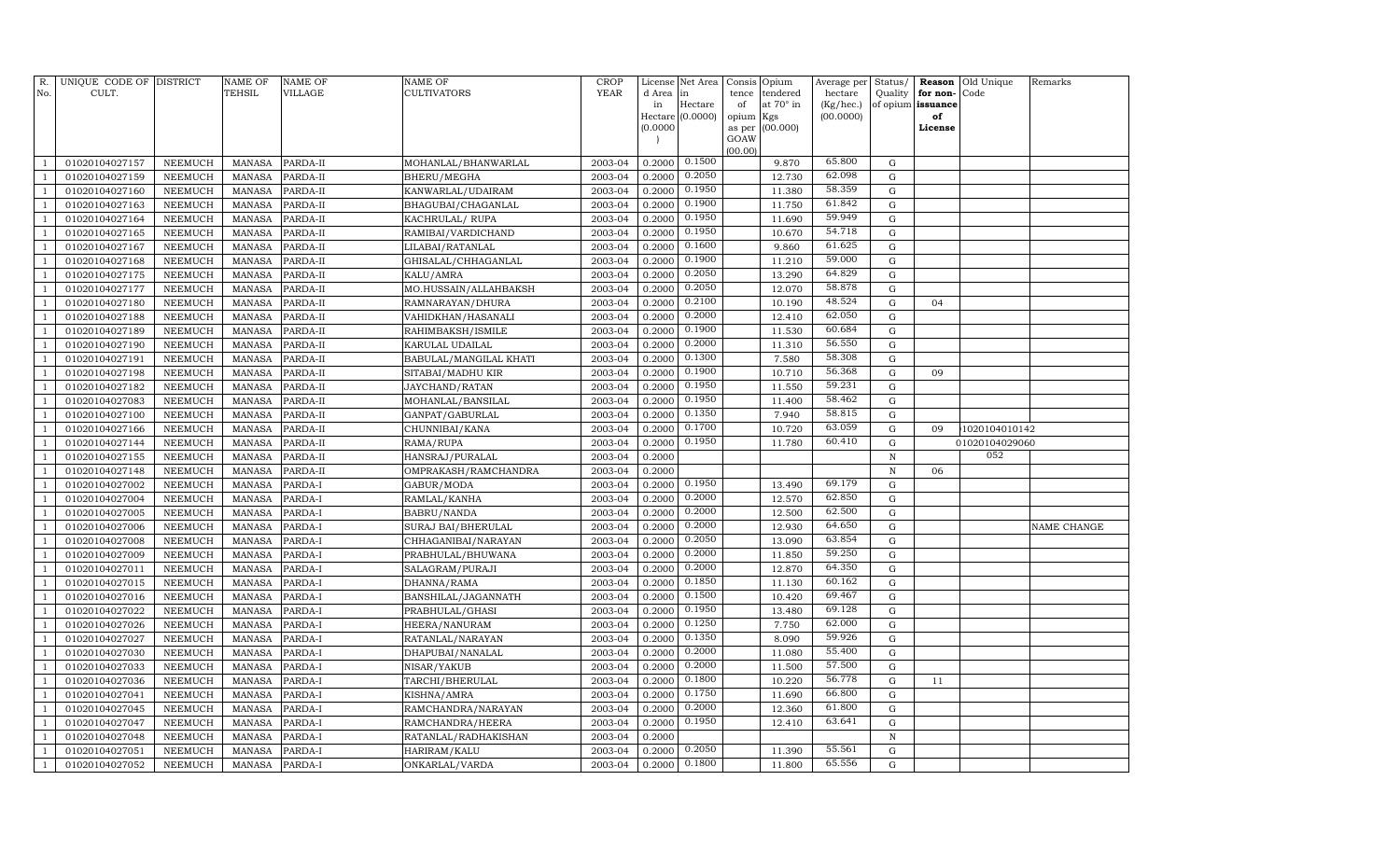| R.<br>No.    | UNIQUE CODE OF DISTRICT<br>CULT. |                           | <b>NAME OF</b><br>TEHSIL       | <b>NAME OF</b><br><b>VILLAGE</b> | <b>NAME OF</b><br><b>CULTIVATORS</b>   | <b>CROP</b><br><b>YEAR</b> | License<br>d Area<br>in<br>(0.0000) | Net Area<br>in<br>Hectare<br>Hectare (0.0000) | Consis<br>tence<br>of<br>opium<br>as per<br>GOAW | Opium<br>tendered<br>at $70^\circ$ in<br>Kgs<br>(00.000) | Average per<br>hectare<br>(Kg/hec.)<br>(00.0000) | Status/<br>Quality<br>of opium | Reason<br>for non-<br>issuance<br>of<br>License | Old Unique<br>Code | Remarks     |
|--------------|----------------------------------|---------------------------|--------------------------------|----------------------------------|----------------------------------------|----------------------------|-------------------------------------|-----------------------------------------------|--------------------------------------------------|----------------------------------------------------------|--------------------------------------------------|--------------------------------|-------------------------------------------------|--------------------|-------------|
|              |                                  |                           |                                |                                  |                                        |                            |                                     |                                               | (00.00)                                          |                                                          |                                                  |                                |                                                 |                    |             |
|              | 01020104027157                   | NEEMUCH                   | <b>MANASA</b>                  | PARDA-II                         | MOHANLAL/BHANWARLAL                    | 2003-04                    | 0.2000                              | 0.1500                                        |                                                  | 9.870                                                    | 65.800                                           | G                              |                                                 |                    |             |
|              | 01020104027159                   | NEEMUCH                   | <b>MANASA</b>                  | PARDA-II                         | BHERU/MEGHA                            | 2003-04                    | 0.2000                              | 0.2050                                        |                                                  | 12.730                                                   | 62.098                                           | $\mathbf G$                    |                                                 |                    |             |
|              | 01020104027160                   | NEEMUCH                   | <b>MANASA</b>                  | PARDA-II                         | KANWARLAL/UDAIRAM                      | 2003-04                    | 0.2000                              | 0.1950                                        |                                                  | 11.380                                                   | 58.359                                           | G                              |                                                 |                    |             |
|              | 01020104027163                   | NEEMUCH                   | MANASA                         | PARDA-II                         | BHAGUBAI/CHAGANLAL                     | 2003-04                    | 0.2000                              | 0.1900                                        |                                                  | 11.750                                                   | 61.842                                           | G                              |                                                 |                    |             |
|              | 01020104027164                   | NEEMUCH                   | <b>MANASA</b>                  | PARDA-II                         | KACHRULAL/RUPA                         | 2003-04                    | 0.2000                              | 0.1950                                        |                                                  | 11.690                                                   | 59.949                                           | G                              |                                                 |                    |             |
|              | 01020104027165                   | <b>NEEMUCH</b>            | <b>MANASA</b>                  | PARDA-II                         | RAMIBAI/VARDICHAND                     | 2003-04                    | 0.2000                              | 0.1950                                        |                                                  | 10.670                                                   | 54.718                                           | $\mathbf G$                    |                                                 |                    |             |
|              | 01020104027167                   | <b>NEEMUCH</b>            | <b>MANASA</b>                  | PARDA-II                         | LILABAI/RATANLAL                       | 2003-04                    | 0.2000                              | 0.1600                                        |                                                  | 9.860                                                    | 61.625                                           | $\mathbf G$                    |                                                 |                    |             |
|              | 01020104027168                   | NEEMUCH                   | <b>MANASA</b>                  | PARDA-II                         | GHISALAL/CHHAGANLAL                    | 2003-04                    | 0.2000                              | 0.1900                                        |                                                  | 11.210                                                   | 59.000                                           | $\mathbf G$                    |                                                 |                    |             |
|              | 01020104027175                   | NEEMUCH                   | <b>MANASA</b>                  | PARDA-II                         | KALU/AMRA                              | 2003-04                    | 0.2000                              | 0.2050                                        |                                                  | 13.290                                                   | 64.829                                           | $\mathbf G$                    |                                                 |                    |             |
|              | 01020104027177                   | <b>NEEMUCH</b>            | <b>MANASA</b>                  | PARDA-II                         | MO.HUSSAIN/ALLAHBAKSH                  | 2003-04                    | 0.2000                              | 0.2050                                        |                                                  | 12.070                                                   | 58.878                                           | $\mathbf G$                    |                                                 |                    |             |
|              | 01020104027180                   | NEEMUCH                   | <b>MANASA</b>                  | PARDA-II                         | RAMNARAYAN/DHURA                       | 2003-04                    | 0.2000                              | 0.2100                                        |                                                  | 10.190                                                   | 48.524                                           | ${\rm G}$                      | 04                                              |                    |             |
|              | 01020104027188                   | NEEMUCH                   | <b>MANASA</b>                  | PARDA-II                         | VAHIDKHAN/HASANALI                     | 2003-04                    | 0.2000                              | 0.2000                                        |                                                  | 12.410                                                   | 62.050                                           | G                              |                                                 |                    |             |
|              | 01020104027189                   | NEEMUCH                   | MANASA                         | PARDA-II                         | RAHIMBAKSH/ISMILE                      | 2003-04                    | 0.2000                              | 0.1900                                        |                                                  | 11.530                                                   | 60.684                                           | G                              |                                                 |                    |             |
|              | 01020104027190                   | <b>NEEMUCH</b>            | <b>MANASA</b>                  | PARDA-II                         | KARULAL UDAILAL                        | 2003-04                    | 0.2000                              | 0.2000                                        |                                                  | 11.310                                                   | 56.550                                           | $\mathbf G$                    |                                                 |                    |             |
|              | 01020104027191                   | <b>NEEMUCH</b>            | <b>MANASA</b>                  | PARDA-II                         | BABULAL/MANGILAL KHATI                 | 2003-04                    | 0.2000                              | 0.1300                                        |                                                  | 7.580                                                    | 58.308                                           | $\mathbf G$                    |                                                 |                    |             |
|              | 01020104027198                   | <b>NEEMUCH</b>            | <b>MANASA</b>                  | PARDA-II                         | SITABAI/MADHU KIR                      | 2003-04                    | 0.2000                              | 0.1900                                        |                                                  | 10.710                                                   | 56.368                                           | G                              | 09                                              |                    |             |
|              | 01020104027182                   | NEEMUCH                   | <b>MANASA</b>                  | PARDA-II                         | JAYCHAND/RATAN                         | 2003-04                    | 0.2000                              | 0.1950                                        |                                                  | 11.550                                                   | 59.231                                           | $\mathbf G$                    |                                                 |                    |             |
|              | 01020104027083                   | NEEMUCH                   | <b>MANASA</b>                  | PARDA-II                         | MOHANLAL/BANSILAL                      | 2003-04                    | 0.2000                              | 0.1950                                        |                                                  | 11.400                                                   | 58.462                                           | ${\rm G}$                      |                                                 |                    |             |
|              | 01020104027100                   | NEEMUCH                   | <b>MANASA</b>                  | PARDA-II                         | GANPAT/GABURLAL                        | 2003-04                    | 0.2000                              | 0.1350                                        |                                                  | 7.940                                                    | 58.815                                           | $\mathbf G$                    |                                                 |                    |             |
|              | 01020104027166                   | NEEMUCH                   | <b>MANASA</b>                  | PARDA-II                         | CHUNNIBAI/KANA                         | 2003-04                    | 0.2000                              | 0.1700                                        |                                                  | 10.720                                                   | 63.059                                           | ${\rm G}$                      | 09                                              | 1020104010142      |             |
|              | 01020104027144                   | NEEMUCH                   | MANASA                         | PARDA-II                         | RAMA/RUPA                              | 2003-04                    | 0.2000                              | 0.1950                                        |                                                  | 11.780                                                   | 60.410                                           | G                              |                                                 | 01020104029060     |             |
|              | 01020104027155                   | <b>NEEMUCH</b>            | <b>MANASA</b>                  | PARDA-II                         | HANSRAJ/PURALAL                        | 2003-04                    | 0.2000                              |                                               |                                                  |                                                          |                                                  | $\mathbb N$                    |                                                 | 052                |             |
|              | 01020104027148                   | <b>NEEMUCH</b>            | <b>MANASA</b>                  | PARDA-II                         | OMPRAKASH/RAMCHANDRA                   | 2003-04                    | 0.2000                              |                                               |                                                  |                                                          |                                                  | N                              | 06                                              |                    |             |
|              | 01020104027002                   | <b>NEEMUCH</b>            | MANASA                         | PARDA-I                          | GABUR/MODA                             | 2003-04                    | 0.2000                              | 0.1950                                        |                                                  | 13.490                                                   | 69.179                                           | $\mathbf G$                    |                                                 |                    |             |
|              | 01020104027004                   | NEEMUCH                   | <b>MANASA</b>                  | PARDA-I                          | RAMLAL/KANHA                           | 2003-04                    | 0.2000                              | 0.2000                                        |                                                  | 12.570                                                   | 62.850                                           | $\mathbf G$                    |                                                 |                    |             |
|              | 01020104027005                   | NEEMUCH                   | <b>MANASA</b>                  | PARDA-I                          | <b>BABRU/NANDA</b>                     | 2003-04                    | 0.2000                              | 0.2000                                        |                                                  | 12.500                                                   | 62.500                                           | G                              |                                                 |                    |             |
|              | 01020104027006                   | NEEMUCH                   | <b>MANASA</b>                  | PARDA-I                          | SURAJ BAI/BHERULAL                     | 2003-04                    | 0.2000                              | 0.2000                                        |                                                  | 12.930                                                   | 64.650                                           | $\mathbf G$                    |                                                 |                    | NAME CHANGE |
|              | 01020104027008                   | NEEMUCH                   | <b>MANASA</b>                  | PARDA-I                          | CHHAGANIBAI/NARAYAN                    | 2003-04                    | 0.2000                              | 0.2050<br>0.2000                              |                                                  | 13.090                                                   | 63.854<br>59.250                                 | ${\rm G}$                      |                                                 |                    |             |
|              | 01020104027009                   | NEEMUCH                   | <b>MANASA</b>                  | PARDA-I                          | PRABHULAL/BHUWANA                      | 2003-04                    | 0.2000                              | 0.2000                                        |                                                  | 11.850                                                   | 64.350                                           | $\mathbf G$                    |                                                 |                    |             |
|              | 01020104027011<br>01020104027015 | NEEMUCH<br><b>NEEMUCH</b> | <b>MANASA</b><br><b>MANASA</b> | PARDA-I<br>PARDA-I               | SALAGRAM/PURAJI                        | 2003-04<br>2003-04         | 0.2000<br>0.2000                    | 0.1850                                        |                                                  | 12.870<br>11.130                                         | 60.162                                           | G<br>$\mathbf G$               |                                                 |                    |             |
|              | 01020104027016                   | <b>NEEMUCH</b>            | <b>MANASA</b>                  |                                  | DHANNA/RAMA                            | 2003-04                    | 0.2000                              | 0.1500                                        |                                                  | 10.420                                                   | 69.467                                           | $\mathbf G$                    |                                                 |                    |             |
|              | 01020104027022                   | NEEMUCH                   | <b>MANASA</b>                  | PARDA-I<br>PARDA-I               | BANSHILAL/JAGANNATH<br>PRABHULAL/GHASI | 2003-04                    | 0.2000                              | 0.1950                                        |                                                  | 13.480                                                   | 69.128                                           | $\mathbf G$                    |                                                 |                    |             |
|              | 01020104027026                   | <b>NEEMUCH</b>            | <b>MANASA</b>                  | PARDA-I                          | HEERA/NANURAM                          | 2003-04                    | 0.2000                              | 0.1250                                        |                                                  | 7.750                                                    | 62.000                                           | G                              |                                                 |                    |             |
|              | 01020104027027                   | NEEMUCH                   | <b>MANASA</b>                  | PARDA-I                          | RATANLAL/NARAYAN                       | 2003-04                    | 0.2000                              | 0.1350                                        |                                                  | 8.090                                                    | 59.926                                           | $\mathbf G$                    |                                                 |                    |             |
|              | 01020104027030                   | NEEMUCH                   | <b>MANASA</b>                  | PARDA-I                          | DHAPUBAI/NANALAL                       | 2003-04                    | 0.2000                              | 0.2000                                        |                                                  | 11.080                                                   | 55.400                                           | $\mathbf G$                    |                                                 |                    |             |
|              | 01020104027033                   | NEEMUCH                   | <b>MANASA</b>                  | PARDA-I                          | NISAR/YAKUB                            | 2003-04                    | 0.2000                              | 0.2000                                        |                                                  | 11.500                                                   | 57.500                                           | $\mathbf G$                    |                                                 |                    |             |
|              | 01020104027036                   | NEEMUCH                   | <b>MANASA</b>                  | PARDA-I                          | TARCHI/BHERULAL                        | 2003-04                    | 0.2000                              | 0.1800                                        |                                                  | 10.220                                                   | 56.778                                           | G                              | 11                                              |                    |             |
|              | 01020104027041                   | <b>NEEMUCH</b>            | <b>MANASA</b>                  | PARDA-I                          | KISHNA/AMRA                            | 2003-04                    | 0.2000                              | 0.1750                                        |                                                  | 11.690                                                   | 66.800                                           | $\mathbf G$                    |                                                 |                    |             |
|              | 01020104027045                   | <b>NEEMUCH</b>            | <b>MANASA</b>                  | PARDA-I                          | RAMCHANDRA/NARAYAN                     | 2003-04                    | 0.2000                              | 0.2000                                        |                                                  | 12.360                                                   | 61.800                                           | $\mathbf G$                    |                                                 |                    |             |
|              | 01020104027047                   | NEEMUCH                   | <b>MANASA</b>                  | PARDA-I                          | RAMCHANDRA/HEERA                       | 2003-04                    | 0.2000                              | 0.1950                                        |                                                  | 12.410                                                   | 63.641                                           | G                              |                                                 |                    |             |
|              | 01020104027048                   | <b>NEEMUCH</b>            | <b>MANASA</b>                  | PARDA-I                          | RATANLAL/RADHAKISHAN                   | 2003-04                    | 0.2000                              |                                               |                                                  |                                                          |                                                  | $\,$ N                         |                                                 |                    |             |
|              | 01020104027051                   | NEEMUCH                   | <b>MANASA</b>                  | PARDA-I                          | HARIRAM/KALU                           | 2003-04                    | 0.2000                              | 0.2050                                        |                                                  | 11.390                                                   | 55.561                                           | G                              |                                                 |                    |             |
| $\mathbf{1}$ | 01020104027052                   | NEEMUCH                   | MANASA                         | PARDA-I                          | ONKARLAL/VARDA                         | 2003-04                    | 0.2000                              | 0.1800                                        |                                                  | 11.800                                                   | 65.556                                           | $\mathbf G$                    |                                                 |                    |             |
|              |                                  |                           |                                |                                  |                                        |                            |                                     |                                               |                                                  |                                                          |                                                  |                                |                                                 |                    |             |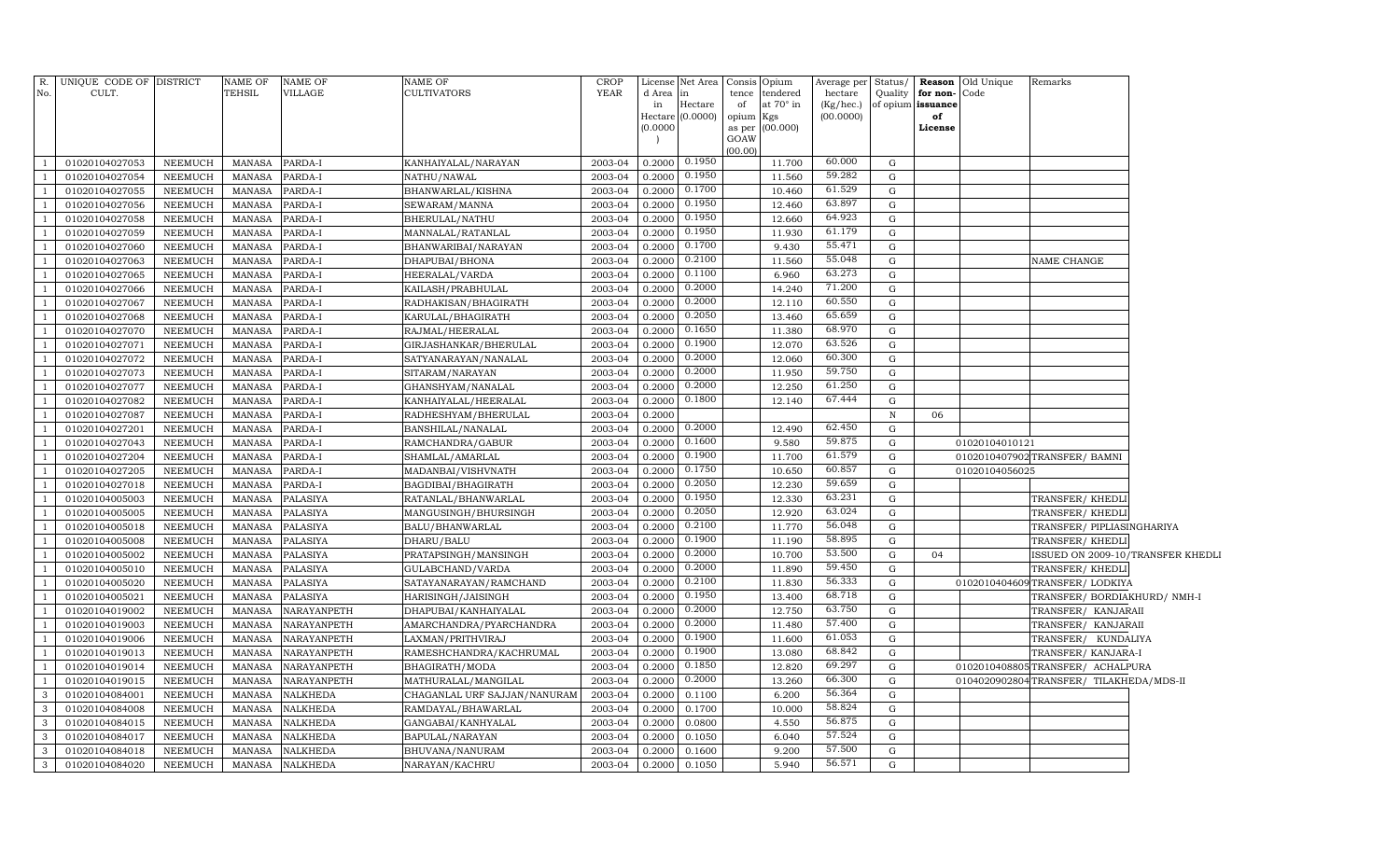| R.             | UNIQUE CODE OF DISTRICT |                | NAME OF       | NAME OF         | NAME OF                      | <b>CROP</b> | License      | Net Area            |             | Consis Opium          | Average per Status/    |              |                               | <b>Reason</b> Old Unique | Remarks                                |  |
|----------------|-------------------------|----------------|---------------|-----------------|------------------------------|-------------|--------------|---------------------|-------------|-----------------------|------------------------|--------------|-------------------------------|--------------------------|----------------------------------------|--|
| No.            | CULT.                   |                | <b>TEHSIL</b> | VILLAGE         | <b>CULTIVATORS</b>           | <b>YEAR</b> | d Area<br>in | in                  | tence<br>of | tendered<br>at 70° in | hectare                | Quality      | for non-<br>of opium issuance | Code                     |                                        |  |
|                |                         |                |               |                 |                              |             | Hectare      | Hectare<br>(0.0000) | opium Kgs   |                       | (Kg/hec.)<br>(00.0000) |              | of                            |                          |                                        |  |
|                |                         |                |               |                 |                              |             | (0.0000)     |                     |             | as per (00.000)       |                        |              | License                       |                          |                                        |  |
|                |                         |                |               |                 |                              |             |              |                     | GOAW        |                       |                        |              |                               |                          |                                        |  |
|                | 01020104027053          | NEEMUCH        | <b>MANASA</b> | PARDA-I         | KANHAIYALAL/NARAYAN          | 2003-04     | 0.2000       | 0.1950              | (00.00)     | 11.700                | 60.000                 | G            |                               |                          |                                        |  |
|                | 01020104027054          | NEEMUCH        | <b>MANASA</b> | PARDA-I         | NATHU/NAWAL                  | 2003-04     | 0.2000       | 0.1950              |             | 11.560                | 59.282                 | G            |                               |                          |                                        |  |
|                | 01020104027055          | NEEMUCH        | <b>MANASA</b> | PARDA-I         | BHANWARLAL/KISHNA            | 2003-04     | 0.2000       | 0.1700              |             | 10.460                | 61.529                 | G            |                               |                          |                                        |  |
|                | 01020104027056          | NEEMUCH        | <b>MANASA</b> | PARDA-I         | SEWARAM/MANNA                | 2003-04     | 0.2000       | 0.1950              |             | 12.460                | 63.897                 | G            |                               |                          |                                        |  |
|                | 01020104027058          | NEEMUCH        | <b>MANASA</b> | PARDA-I         | BHERULAL/NATHU               | 2003-04     | 0.2000       | 0.1950              |             | 12.660                | 64.923                 | G            |                               |                          |                                        |  |
|                | 01020104027059          | NEEMUCH        | <b>MANASA</b> | PARDA-I         | MANNALAL/RATANLAL            | 2003-04     | 0.2000       | 0.1950              |             | 11.930                | 61.179                 | G            |                               |                          |                                        |  |
|                | 01020104027060          | NEEMUCH        | <b>MANASA</b> | PARDA-I         | BHANWARIBAI/NARAYAN          | 2003-04     | 0.2000       | 0.1700              |             | 9.430                 | 55.471                 | G            |                               |                          |                                        |  |
|                | 01020104027063          | NEEMUCH        | <b>MANASA</b> | PARDA-I         | DHAPUBAI/BHONA               | 2003-04     | 0.2000       | 0.2100              |             | 11.560                | 55.048                 | G            |                               |                          | NAME CHANGE                            |  |
|                | 01020104027065          | NEEMUCH        | <b>MANASA</b> | PARDA-I         | HEERALAL/VARDA               | 2003-04     | 0.2000       | 0.1100              |             | 6.960                 | 63.273                 | G            |                               |                          |                                        |  |
|                | 01020104027066          | NEEMUCH        | <b>MANASA</b> | PARDA-I         | KAILASH/PRABHULAL            | 2003-04     | 0.2000       | 0.2000              |             | 14.240                | 71.200                 | G            |                               |                          |                                        |  |
|                | 01020104027067          | NEEMUCH        | <b>MANASA</b> | PARDA-I         | RADHAKISAN/BHAGIRATH         | 2003-04     | 0.2000       | 0.2000              |             | 12.110                | 60.550                 | G            |                               |                          |                                        |  |
| $\mathbf{1}$   | 01020104027068          | NEEMUCH        | <b>MANASA</b> | PARDA-I         | KARULAL/BHAGIRATH            | 2003-04     | 0.2000       | 0.2050              |             | 13.460                | 65.659                 | G            |                               |                          |                                        |  |
| $\mathbf{1}$   | 01020104027070          | NEEMUCH        | <b>MANASA</b> | PARDA-I         | RAJMAL/HEERALAL              | 2003-04     | 0.2000       | 0.1650              |             | 11.380                | 68.970                 | G            |                               |                          |                                        |  |
| $\mathbf{1}$   | 01020104027071          | NEEMUCH        | <b>MANASA</b> | PARDA-I         | GIRJASHANKAR/BHERULAL        | 2003-04     | 0.2000       | 0.1900              |             | 12.070                | 63.526                 | G            |                               |                          |                                        |  |
| $\mathbf{1}$   | 01020104027072          | NEEMUCH        | <b>MANASA</b> | PARDA-I         | SATYANARAYAN/NANALAL         | 2003-04     | 0.2000       | 0.2000              |             | 12.060                | 60.300                 | G            |                               |                          |                                        |  |
| $\mathbf{1}$   | 01020104027073          | NEEMUCH        | <b>MANASA</b> | PARDA-I         | SITARAM / NARAYAN            | 2003-04     | 0.2000       | 0.2000              |             | 11.950                | 59.750                 | G            |                               |                          |                                        |  |
| $\overline{1}$ | 01020104027077          | NEEMUCH        | <b>MANASA</b> | PARDA-I         | GHANSHYAM/NANALAL            | 2003-04     | 0.2000       | 0.2000              |             | 12.250                | 61.250                 | G            |                               |                          |                                        |  |
|                | 01020104027082          | NEEMUCH        | <b>MANASA</b> | PARDA-I         | KANHAIYALAL/HEERALAL         | 2003-04     | 0.2000       | 0.1800              |             | 12.140                | 67.444                 | $\mathbf G$  |                               |                          |                                        |  |
|                | 01020104027087          | <b>NEEMUCH</b> | <b>MANASA</b> | PARDA-I         | RADHESHYAM/BHERULAL          | 2003-04     | 0.2000       |                     |             |                       |                        | $\, {\bf N}$ | 06                            |                          |                                        |  |
|                | 01020104027201          | NEEMUCH        | MANASA        | PARDA-I         | BANSHILAL/NANALAL            | 2003-04     | 0.2000       | 0.2000              |             | 12.490                | 62.450                 | G            |                               |                          |                                        |  |
|                | 01020104027043          | NEEMUCH        | <b>MANASA</b> | PARDA-I         | RAMCHANDRA/GABUR             | 2003-04     | 0.2000       | 0.1600              |             | 9.580                 | 59.875                 | G            |                               | 01020104010121           |                                        |  |
|                | 01020104027204          | NEEMUCH        | <b>MANASA</b> | PARDA-I         | SHAMLAL/AMARLAL              | 2003-04     | 0.2000       | 0.1900              |             | 11.700                | 61.579                 | G            |                               |                          | 0102010407902 TRANSFER/ BAMNI          |  |
|                | 01020104027205          | NEEMUCH        | MANASA        | PARDA-I         | MADANBAI/VISHVNATH           | 2003-04     | 0.2000       | 0.1750              |             | 10.650                | 60.857                 | ${\rm G}$    |                               | 01020104056025           |                                        |  |
|                | 01020104027018          | NEEMUCH        | MANASA        | PARDA-I         | BAGDIBAI/BHAGIRATH           | 2003-04     | 0.2000       | 0.2050              |             | 12.230                | 59.659                 | $\mathbf G$  |                               |                          |                                        |  |
|                | 01020104005003          | NEEMUCH        | <b>MANASA</b> | PALASIYA        | RATANLAL/BHANWARLAL          | 2003-04     | 0.2000       | 0.1950              |             | 12.330                | 63.231                 | ${\rm G}$    |                               |                          | TRANSFER/ KHEDLI                       |  |
|                | 01020104005005          | NEEMUCH        | <b>MANASA</b> | PALASIYA        | MANGUSINGH/BHURSINGH         | 2003-04     | 0.2000       | 0.2050              |             | 12.920                | 63.024                 | G            |                               |                          | TRANSFER/ KHEDLI                       |  |
|                | 01020104005018          | NEEMUCH        | <b>MANASA</b> | PALASIYA        | BALU/BHANWARLAL              | 2003-04     | 0.2000       | 0.2100              |             | 11.770                | 56.048                 | G            |                               |                          | TRANSFER/ PIPLIASINGHARIYA             |  |
|                | 01020104005008          | NEEMUCH        | <b>MANASA</b> | PALASIYA        | DHARU/BALU                   | 2003-04     | 0.2000       | 0.1900              |             | 11.190                | 58.895                 | $\mathbf{G}$ |                               |                          | TRANSFER/KHEDLI                        |  |
|                | 01020104005002          | NEEMUCH        | <b>MANASA</b> | PALASIYA        | PRATAPSINGH/MANSINGH         | 2003-04     | 0.2000       | 0.2000              |             | 10.700                | 53.500                 | G            | 04                            |                          | SSUED ON 2009-10/TRANSFER KHEDLI       |  |
|                | 01020104005010          | NEEMUCH        | <b>MANASA</b> | PALASIYA        | GULABCHAND/VARDA             | 2003-04     | 0.2000       | 0.2000              |             | 11.890                | 59.450                 | G            |                               |                          | TRANSFER/KHEDLI                        |  |
|                | 01020104005020          | NEEMUCH        | <b>MANASA</b> | PALASIYA        | SATAYANARAYAN/RAMCHAND       | 2003-04     | 0.2000       | 0.2100              |             | 11.830                | 56.333                 | G            |                               |                          | 0102010404609 TRANSFER/ LODKIYA        |  |
|                | 01020104005021          | NEEMUCH        | <b>MANASA</b> | PALASIYA        | HARISINGH/JAISINGH           | 2003-04     | 0.2000       | 0.1950              |             | 13.400                | 68.718                 | $\mathbf G$  |                               |                          | TRANSFER/BORDIAKHURD/NMH-I             |  |
|                | 01020104019002          | NEEMUCH        | <b>MANASA</b> | NARAYANPETH     | DHAPUBAI/KANHAIYALAL         | 2003-04     | 0.2000       | 0.2000              |             | 12.750                | 63.750                 | G            |                               |                          | TRANSFER/ KANJARAII                    |  |
|                | 01020104019003          | NEEMUCH        | <b>MANASA</b> | NARAYANPETH     | AMARCHANDRA/PYARCHANDRA      | 2003-04     | 0.2000       | 0.2000              |             | 11.480                | 57.400                 | G            |                               |                          | TRANSFER/ KANJARAII                    |  |
|                | 01020104019006          | NEEMUCH        | <b>MANASA</b> | NARAYANPETH     | LAXMAN/PRITHVIRAJ            | 2003-04     | 0.2000       | 0.1900              |             | 11.600                | 61.053                 | G            |                               |                          | TRANSFER/ KUNDALIYA                    |  |
|                | 01020104019013          | NEEMUCH        | <b>MANASA</b> | NARAYANPETH     | RAMESHCHANDRA/KACHRUMAL      | 2003-04     | 0.2000       | 0.1900              |             | 13.080                | 68.842                 | G            |                               |                          | TRANSFER/ KANJARA-I                    |  |
|                | 01020104019014          | <b>NEEMUCH</b> | <b>MANASA</b> | NARAYANPETH     | BHAGIRATH/MODA               | 2003-04     | 0.2000       | 0.1850              |             | 12.820                | 69.297                 | G            |                               | 010201040880             | 5TRANSFER/ ACHALPURA                   |  |
|                | 01020104019015          | <b>NEEMUCH</b> | <b>MANASA</b> | NARAYANPETH     | MATHURALAL/MANGILAL          | 2003-04     | 0.2000       | 0.2000              |             | 13.260                | 66.300                 | G            |                               |                          | 0104020902804TRANSFER/TILAKHEDA/MDS-II |  |
| 3              | 01020104084001          | <b>NEEMUCH</b> | <b>MANASA</b> | NALKHEDA        | CHAGANLAL URF SAJJAN/NANURAM | 2003-04     | 0.2000       | 0.1100              |             | 6.200                 | 56.364                 | $\mathbf G$  |                               |                          |                                        |  |
| 3              | 01020104084008          | <b>NEEMUCH</b> | <b>MANASA</b> | <b>NALKHEDA</b> | RAMDAYAL/BHAWARLAL           | 2003-04     | 0.2000       | 0.1700              |             | 10.000                | 58.824                 | $\mathbf G$  |                               |                          |                                        |  |
| 3              | 01020104084015          | <b>NEEMUCH</b> | <b>MANASA</b> | <b>NALKHEDA</b> | GANGABAI/KANHYALAL           | 2003-04     | 0.2000       | 0.0800              |             | 4.550                 | 56.875                 | $\mathbf G$  |                               |                          |                                        |  |
| 3              | 01020104084017          | <b>NEEMUCH</b> | <b>MANASA</b> | <b>NALKHEDA</b> | BAPULAL/NARAYAN              | 2003-04     | 0.2000       | 0.1050              |             | 6.040                 | 57.524                 | $\mathbf G$  |                               |                          |                                        |  |
| $\mathbf{3}$   | 01020104084018          | NEEMUCH        | <b>MANASA</b> | <b>NALKHEDA</b> | BHUVANA/NANURAM              | 2003-04     | 0.2000       | 0.1600              |             | 9.200                 | 57.500                 | $\mathbf G$  |                               |                          |                                        |  |
| $\mathbf{3}$   | 01020104084020          | NEEMUCH        | <b>MANASA</b> | <b>NALKHEDA</b> | NARAYAN/KACHRU               | 2003-04     | 0.2000       | 0.1050              |             | 5.940                 | 56.571                 | $\mathbf G$  |                               |                          |                                        |  |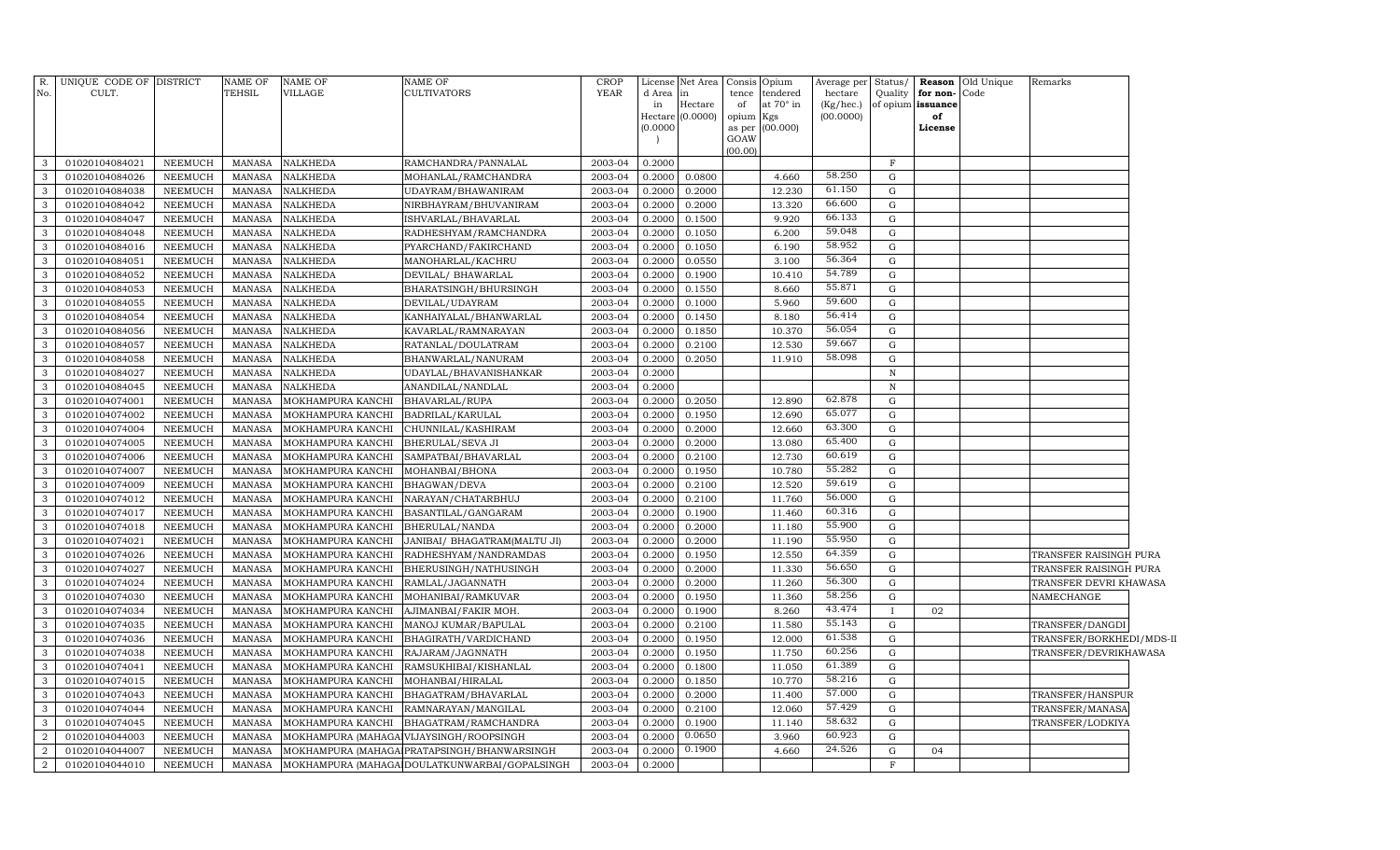| R.<br>No.      | UNIQUE CODE OF DISTRICT<br>CULT. |                | <b>NAME OF</b><br>TEHSIL | <b>NAME OF</b><br><b>VILLAGE</b> | <b>NAME OF</b><br><b>CULTIVATORS</b>          | <b>CROP</b><br><b>YEAR</b> | License<br>d Area   | Net Area<br>in | tence          | Consis Opium<br>tendered | Average per Status/<br>hectare | Quality      | for non-Code      | <b>Reason</b> Old Unique | Remarks                  |  |
|----------------|----------------------------------|----------------|--------------------------|----------------------------------|-----------------------------------------------|----------------------------|---------------------|----------------|----------------|--------------------------|--------------------------------|--------------|-------------------|--------------------------|--------------------------|--|
|                |                                  |                |                          |                                  |                                               |                            | in                  | Hectare        | of             | at 70° in                | (Kg/hec.)                      |              | of opium issuance |                          |                          |  |
|                |                                  |                |                          |                                  |                                               |                            | Hectare<br>(0.0000) | (0.0000)       | opium Kgs      | (00.000)                 | (00.0000)                      |              | of<br>License     |                          |                          |  |
|                |                                  |                |                          |                                  |                                               |                            |                     |                | as per<br>GOAW |                          |                                |              |                   |                          |                          |  |
|                |                                  |                |                          |                                  |                                               |                            |                     |                | (00.00)        |                          |                                |              |                   |                          |                          |  |
| $\mathbf{3}$   | 01020104084021                   | NEEMUCH        | MANASA                   | <b>NALKHEDA</b>                  | RAMCHANDRA/PANNALAL                           | 2003-04                    | 0.2000              |                |                |                          |                                | $\mathbf{F}$ |                   |                          |                          |  |
| $\mathbf{3}$   | 01020104084026                   | <b>NEEMUCH</b> | MANASA                   | <b>NALKHEDA</b>                  | MOHANLAL/RAMCHANDRA                           | 2003-04                    | 0.2000              | 0.0800         |                | 4.660                    | 58.250                         | G            |                   |                          |                          |  |
| $\mathbf{3}$   | 01020104084038                   | <b>NEEMUCH</b> | MANASA                   | <b>NALKHEDA</b>                  | UDAYRAM/BHAWANIRAM                            | 2003-04                    | 0.2000              | 0.2000         |                | 12.230                   | 61.150                         | $\mathbf G$  |                   |                          |                          |  |
| $\mathbf{3}$   | 01020104084042                   | NEEMUCH        | MANASA                   | <b>NALKHEDA</b>                  | NIRBHAYRAM/BHUVANIRAM                         | 2003-04                    | 0.2000              | 0.2000         |                | 13.320                   | 66.600                         | $\mathbf G$  |                   |                          |                          |  |
| $\mathbf{3}$   | 01020104084047                   | <b>NEEMUCH</b> | MANASA                   | <b>NALKHEDA</b>                  | ISHVARLAL/BHAVARLAL                           | 2003-04                    | 0.2000              | 0.1500         |                | 9.920                    | 66.133                         | $\mathbf G$  |                   |                          |                          |  |
| $\mathbf{3}$   | 01020104084048                   | <b>NEEMUCH</b> | MANASA                   | <b>NALKHEDA</b>                  | RADHESHYAM/RAMCHANDRA                         | 2003-04                    | 0.2000              | 0.1050         |                | 6.200                    | 59.048                         | $\mathbf G$  |                   |                          |                          |  |
| $\mathbf{3}$   | 01020104084016                   | <b>NEEMUCH</b> | MANASA                   | <b>NALKHEDA</b>                  | PYARCHAND/FAKIRCHAND                          | 2003-04                    | 0.2000              | 0.1050         |                | 6.190                    | 58.952                         | $\mathbf G$  |                   |                          |                          |  |
| $\mathbf{3}$   | 01020104084051                   | <b>NEEMUCH</b> | MANASA                   | <b>NALKHEDA</b>                  | MANOHARLAL/KACHRU                             | 2003-04                    | 0.2000              | 0.0550         |                | 3.100                    | 56.364                         | $\mathbf G$  |                   |                          |                          |  |
| $\mathbf{3}$   | 01020104084052                   | <b>NEEMUCH</b> | MANASA                   | <b>NALKHEDA</b>                  | DEVILAL/ BHAWARLAL                            | 2003-04                    | 0.2000              | 0.1900         |                | 10.410                   | 54.789                         | G            |                   |                          |                          |  |
| $\mathbf{3}$   | 01020104084053                   | <b>NEEMUCH</b> | <b>MANASA</b>            | <b>NALKHEDA</b>                  | BHARATSINGH/BHURSINGH                         | 2003-04                    | 0.2000              | 0.1550         |                | 8.660                    | 55.871                         | G            |                   |                          |                          |  |
| $\mathbf{3}$   | 01020104084055                   | <b>NEEMUCH</b> | MANASA                   | <b>NALKHEDA</b>                  | DEVILAL/UDAYRAM                               | 2003-04                    | 0.2000              | 0.1000         |                | 5.960                    | 59.600                         | ${\rm G}$    |                   |                          |                          |  |
| $\mathbf{3}$   | 01020104084054                   | NEEMUCH        | MANASA                   | <b>NALKHEDA</b>                  | KANHAIYALAL/BHANWARLAL                        | 2003-04                    | 0.2000              | 0.1450         |                | 8.180                    | 56.414                         | $\mathbf G$  |                   |                          |                          |  |
| $\mathbf{3}$   | 01020104084056                   | <b>NEEMUCH</b> | MANASA                   | <b>NALKHEDA</b>                  | KAVARLAL/RAMNARAYAN                           | 2003-04                    | 0.2000              | 0.1850         |                | 10.370                   | 56.054                         | G            |                   |                          |                          |  |
| $\mathbf{3}$   | 01020104084057                   | <b>NEEMUCH</b> | MANASA                   | <b>NALKHEDA</b>                  | RATANLAL/DOULATRAM                            | 2003-04                    | 0.2000              | 0.2100         |                | 12.530                   | 59.667                         | G            |                   |                          |                          |  |
| $\mathbf{3}$   | 01020104084058                   | <b>NEEMUCH</b> | MANASA                   | <b>NALKHEDA</b>                  | BHANWARLAL/NANURAM                            | 2003-04                    | 0.2000              | 0.2050         |                | 11.910                   | 58.098                         | ${\rm G}$    |                   |                          |                          |  |
| $\mathbf{3}$   | 01020104084027                   | <b>NEEMUCH</b> | MANASA                   | <b>NALKHEDA</b>                  | UDAYLAL/BHAVANISHANKAR                        | 2003-04                    | 0.2000              |                |                |                          |                                | $\,$ N       |                   |                          |                          |  |
| $\mathbf{3}$   | 01020104084045                   | <b>NEEMUCH</b> | MANASA                   | <b>NALKHEDA</b>                  | ANANDILAL/NANDLAL                             | 2003-04                    | 0.2000              |                |                |                          |                                | $\, {\rm N}$ |                   |                          |                          |  |
| $\mathbf{3}$   | 01020104074001                   | <b>NEEMUCH</b> | <b>MANASA</b>            | MOKHAMPURA KANCHI                | BHAVARLAL/RUPA                                | 2003-04                    | 0.2000              | 0.2050         |                | 12.890                   | 62.878                         | ${\rm G}$    |                   |                          |                          |  |
| $\mathbf{3}$   | 01020104074002                   | <b>NEEMUCH</b> | <b>MANASA</b>            | MOKHAMPURA KANCHI                | BADRILAL/KARULAL                              | 2003-04                    | 0.2000              | 0.1950         |                | 12.690                   | 65.077                         | ${\rm G}$    |                   |                          |                          |  |
| $\mathbf{3}$   | 01020104074004                   | <b>NEEMUCH</b> | <b>MANASA</b>            | MOKHAMPURA KANCHI                | CHUNNILAL/KASHIRAM                            | 2003-04                    | 0.2000              | 0.2000         |                | 12.660                   | 63.300                         | $\mathbf G$  |                   |                          |                          |  |
| $\mathbf{3}$   | 01020104074005                   | <b>NEEMUCH</b> | <b>MANASA</b>            | MOKHAMPURA KANCHI                | BHERULAL/SEVA JI                              | 2003-04                    | 0.2000              | 0.2000         |                | 13.080                   | 65.400                         | ${\rm G}$    |                   |                          |                          |  |
| $\mathbf{3}$   | 01020104074006                   | <b>NEEMUCH</b> | <b>MANASA</b>            | MOKHAMPURA KANCHI                | SAMPATBAI/BHAVARLAL                           | 2003-04                    | 0.2000              | 0.2100         |                | 12.730                   | 60.619                         | ${\rm G}$    |                   |                          |                          |  |
| $\mathbf{3}$   | 01020104074007                   | <b>NEEMUCH</b> | <b>MANASA</b>            | MOKHAMPURA KANCHI                | MOHANBAI/BHONA                                | 2003-04                    | 0.2000              | 0.1950         |                | 10.780                   | 55.282                         | ${\rm G}$    |                   |                          |                          |  |
| $\mathbf{3}$   | 01020104074009                   | <b>NEEMUCH</b> | $\mbox{MANASA}$          | MOKHAMPURA KANCHI                | BHAGWAN/DEVA                                  | 2003-04                    | 0.2000              | 0.2100         |                | 12.520                   | 59.619                         | $\mathbf G$  |                   |                          |                          |  |
| $\mathbf{3}$   | 01020104074012                   | <b>NEEMUCH</b> | <b>MANASA</b>            | MOKHAMPURA KANCHI                | NARAYAN/CHATARBHUJ                            | 2003-04                    | 0.2000              | 0.2100         |                | 11.760                   | 56.000                         | ${\rm G}$    |                   |                          |                          |  |
| $\mathbf{3}$   | 01020104074017                   | <b>NEEMUCH</b> | <b>MANASA</b>            | MOKHAMPURA KANCHI                | BASANTILAL/GANGARAM                           | 2003-04                    | 0.2000              | 0.1900         |                | 11.460                   | 60.316                         | $\mathbf G$  |                   |                          |                          |  |
| $\mathbf{3}$   | 01020104074018                   | <b>NEEMUCH</b> | <b>MANASA</b>            | MOKHAMPURA KANCHI                | <b>BHERULAL/NANDA</b>                         | 2003-04                    | 0.2000              | 0.2000         |                | 11.180                   | 55.900                         | ${\rm G}$    |                   |                          |                          |  |
| $\mathbf{3}$   | 01020104074021                   | <b>NEEMUCH</b> | <b>MANASA</b>            | MOKHAMPURA KANCHI                | JANIBAI/ BHAGATRAM(MALTU JI)                  | 2003-04                    | 0.2000              | 0.2000         |                | 11.190                   | 55.950                         | G            |                   |                          |                          |  |
| $\mathbf{3}$   | 01020104074026                   | <b>NEEMUCH</b> | <b>MANASA</b>            | MOKHAMPURA KANCHI                | RADHESHYAM/NANDRAMDAS                         | 2003-04                    | 0.2000              | 0.1950         |                | 12.550                   | 64.359                         | ${\rm G}$    |                   |                          | TRANSFER RAISINGH PURA   |  |
| $\mathbf{3}$   | 01020104074027                   | <b>NEEMUCH</b> | <b>MANASA</b>            | MOKHAMPURA KANCHI                | BHERUSINGH/NATHUSINGH                         | 2003-04                    | 0.2000              | 0.2000         |                | 11.330                   | 56.650                         | ${\rm G}$    |                   |                          | TRANSFER RAISINGH PURA   |  |
| $\mathbf{3}$   | 01020104074024                   | <b>NEEMUCH</b> | MANASA                   | MOKHAMPURA KANCHI                | RAMLAL/JAGANNATH                              | 2003-04                    | 0.2000              | 0.2000         |                | 11.260                   | 56.300                         | ${\rm G}$    |                   |                          | TRANSFER DEVRI KHAWASA   |  |
| $\mathbf{3}$   | 01020104074030                   | <b>NEEMUCH</b> | <b>MANASA</b>            | MOKHAMPURA KANCHI                | MOHANIBAI/RAMKUVAR                            | 2003-04                    | 0.2000              | 0.1950         |                | 11.360                   | 58.256                         | G            |                   |                          | NAMECHANGE               |  |
| $\mathbf{3}$   | 01020104074034                   | NEEMUCH        | <b>MANASA</b>            | MOKHAMPURA KANCHI                | AJIMANBAI/FAKIR MOH.                          | 2003-04                    | 0.2000              | 0.1900         |                | 8.260                    | 43.474                         | $\mathbf{I}$ | 02                |                          |                          |  |
| $\mathbf{3}$   | 01020104074035                   | NEEMUCH        | <b>MANASA</b>            | MOKHAMPURA KANCHI                | MANOJ KUMAR/BAPULAL                           | 2003-04                    | 0.2000              | 0.2100         |                | 11.580                   | 55.143                         | G            |                   |                          | TRANSFER/DANGDI          |  |
| $\mathbf{3}$   | 01020104074036                   | <b>NEEMUCH</b> | <b>MANASA</b>            | MOKHAMPURA KANCHI                | BHAGIRATH/VARDICHAND                          | 2003-04                    | 0.2000              | 0.1950         |                | 12.000                   | 61.538                         | G            |                   |                          | TRANSFER/BORKHEDI/MDS-II |  |
| $\mathbf{3}$   | 01020104074038                   | <b>NEEMUCH</b> | <b>MANASA</b>            | MOKHAMPURA KANCHI                | RAJARAM/JAGNNATH                              | 2003-04                    | 0.2000              | 0.1950         |                | 11.750                   | 60.256                         | G            |                   |                          | TRANSFER/DEVRIKHAWASA    |  |
| $\mathbf{3}$   | 01020104074041                   | <b>NEEMUCH</b> | <b>MANASA</b>            | MOKHAMPURA KANCHI                | RAMSUKHIBAI/KISHANLAL                         | 2003-04                    | 0.2000              | 0.1800         |                | 11.050                   | 61.389                         | ${\rm G}$    |                   |                          |                          |  |
| $\mathbf{3}$   | 01020104074015                   | <b>NEEMUCH</b> | <b>MANASA</b>            | MOKHAMPURA KANCHI                | MOHANBAI/HIRALAL                              | 2003-04                    | 0.2000              | 0.1850         |                | 10.770                   | 58.216                         | ${\rm G}$    |                   |                          |                          |  |
| $\mathbf{3}$   | 01020104074043                   | <b>NEEMUCH</b> | <b>MANASA</b>            | MOKHAMPURA KANCHI                | BHAGATRAM/BHAVARLAL                           | 2003-04                    | 0.2000              | 0.2000         |                | 11.400                   | 57.000                         | ${\rm G}$    |                   |                          | TRANSFER/HANSPUR         |  |
| $\mathbf{3}$   | 01020104074044                   | NEEMUCH        | <b>MANASA</b>            | MOKHAMPURA KANCHI                | RAMNARAYAN/MANGILAL                           | 2003-04                    | 0.2000              | 0.2100         |                | 12.060                   | 57.429                         | ${\rm G}$    |                   |                          | TRANSFER/MANASA          |  |
| $\mathbf{3}$   | 01020104074045                   | <b>NEEMUCH</b> | <b>MANASA</b>            | MOKHAMPURA KANCHI                | BHAGATRAM/RAMCHANDRA                          | 2003-04                    | 0.2000              | 0.1900         |                | 11.140                   | 58.632                         | ${\rm G}$    |                   |                          | TRANSFER/LODKIYA         |  |
| $\overline{2}$ | 01020104044003                   | <b>NEEMUCH</b> | <b>MANASA</b>            |                                  | MOKHAMPURA (MAHAGA VIJAYSINGH/ROOPSINGH       | 2003-04                    | 0.2000              | 0.0650         |                | 3.960                    | 60.923                         | ${\rm G}$    |                   |                          |                          |  |
| $\overline{2}$ | 01020104044007                   | <b>NEEMUCH</b> | <b>MANASA</b>            |                                  | MOKHAMPURA (MAHAGA PRATAPSINGH/BHANWARSINGH   | 2003-04                    | 0.2000              | 0.1900         |                | 4.660                    | 24.526                         | ${\rm G}$    | 04                |                          |                          |  |
| $\overline{a}$ | 01020104044010                   | <b>NEEMUCH</b> | MANASA                   |                                  | MOKHAMPURA (MAHAGA DOULATKUNWARBAI/GOPALSINGH | 2003-04                    | 0.2000              |                |                |                          |                                | F            |                   |                          |                          |  |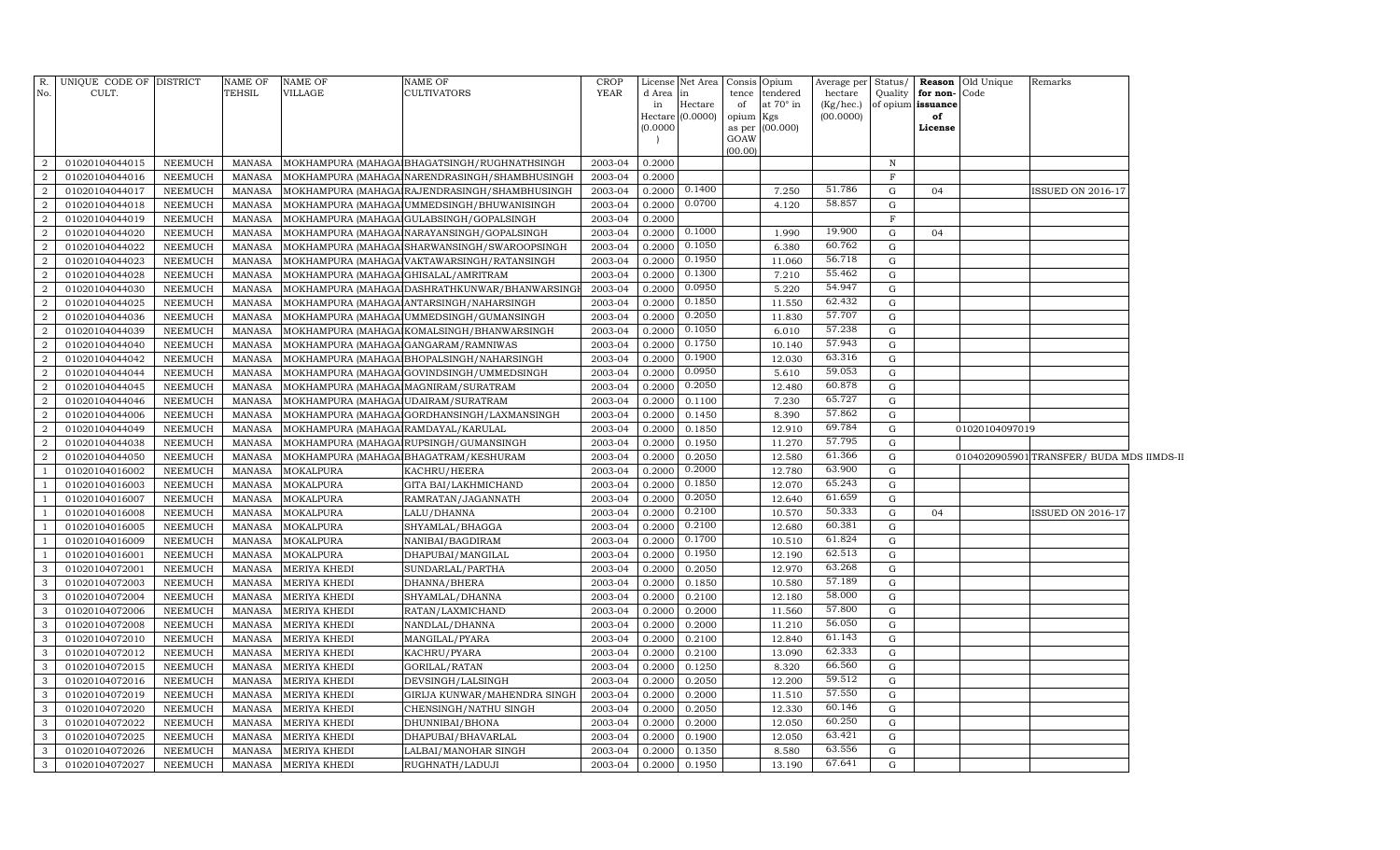| R.<br>No.           | UNIQUE CODE OF DISTRICT<br>CULT. |                           | NAME OF<br>TEHSIL | <b>NAME OF</b><br><b>VILLAGE</b>     | <b>NAME OF</b><br><b>CULTIVATORS</b>           | <b>CROP</b><br>YEAR | d Area           | License Net Area<br>in | Consis<br>tence | Opium<br>tendered | Average per<br>hectare | Status/     | Quality for non-Code | <b>Reason</b> Old Unique | Remarks                                   |  |
|---------------------|----------------------------------|---------------------------|-------------------|--------------------------------------|------------------------------------------------|---------------------|------------------|------------------------|-----------------|-------------------|------------------------|-------------|----------------------|--------------------------|-------------------------------------------|--|
|                     |                                  |                           |                   |                                      |                                                |                     | in               | Hectare                | of              | at 70° in         | (Kg/hec.)              |             | of opium issuance    |                          |                                           |  |
|                     |                                  |                           |                   |                                      |                                                |                     |                  | Hectare $(0.0000)$     | opium Kgs       |                   | (00.0000)              |             | of                   |                          |                                           |  |
|                     |                                  |                           |                   |                                      |                                                |                     | (0.0000)         |                        | as per<br>GOAW  | (00.000)          |                        |             | License              |                          |                                           |  |
|                     |                                  |                           |                   |                                      |                                                |                     |                  |                        | (00.00)         |                   |                        |             |                      |                          |                                           |  |
| $\overline{2}$      | 01020104044015                   | NEEMUCH                   | MANASA            |                                      | MOKHAMPURA (MAHAGA BHAGATSINGH / RUGHNATHSINGH | 2003-04             | 0.2000           |                        |                 |                   |                        | N           |                      |                          |                                           |  |
| $\overline{a}$      | 01020104044016                   | NEEMUCH                   | MANASA            |                                      | MOKHAMPURA (MAHAGA NARENDRASINGH/SHAMBHUSINGH  | 2003-04             | 0.2000           |                        |                 |                   |                        | F           |                      |                          |                                           |  |
| $\overline{a}$      | 01020104044017                   | NEEMUCH                   | MANASA            |                                      | MOKHAMPURA (MAHAGA RAJENDRASINGH/SHAMBHUSINGH  | 2003-04             | 0.2000           | 0.1400                 |                 | 7.250             | 51.786                 | $\mathbf G$ | 04                   |                          | <b>ISSUED ON 2016-17</b>                  |  |
| $\overline{a}$      | 01020104044018                   | <b>NEEMUCH</b>            | MANASA            |                                      | MOKHAMPURA (MAHAGA UMMEDSINGH/BHUWANISINGH     | 2003-04             | 0.2000           | 0.0700                 |                 | 4.120             | 58.857                 | G           |                      |                          |                                           |  |
| $\overline{a}$      | 01020104044019                   | <b>NEEMUCH</b>            | MANASA            |                                      | MOKHAMPURA (MAHAGA GULABSINGH/GOPALSINGH       | 2003-04             | 0.2000           |                        |                 |                   |                        | $\mathbf F$ |                      |                          |                                           |  |
| $\overline{a}$      | 01020104044020                   | <b>NEEMUCH</b>            | MANASA            |                                      | MOKHAMPURA (MAHAGA NARAYANSINGH/GOPALSINGH     | 2003-04             | 0.2000           | 0.1000                 |                 | 1.990             | 19.900                 | $\mathbf G$ | 04                   |                          |                                           |  |
| $\overline{a}$      | 01020104044022                   | <b>NEEMUCH</b>            | MANASA            |                                      | MOKHAMPURA (MAHAGA SHARWANSINGH/SWAROOPSINGH   | 2003-04             | 0.2000           | 0.1050                 |                 | 6.380             | 60.762                 | G           |                      |                          |                                           |  |
| $\overline{2}$      | 01020104044023                   | <b>NEEMUCH</b>            | MANASA            |                                      | MOKHAMPURA (MAHAGA VAKTAWARSINGH/RATANSINGH    | 2003-04             | 0.2000           | 0.1950                 |                 | 11.060            | 56.718                 | $\mathbf G$ |                      |                          |                                           |  |
| 2                   | 01020104044028                   | <b>NEEMUCH</b>            | <b>MANASA</b>     | MOKHAMPURA (MAHAGA GHISALAL/AMRITRAM |                                                | 2003-04             | 0.2000           | 0.1300                 |                 | 7.210             | 55.462                 | G           |                      |                          |                                           |  |
| $\overline{a}$      | 01020104044030                   | <b>NEEMUCH</b>            | <b>MANASA</b>     |                                      | MOKHAMPURA (MAHAGA DASHRATHKUNWAR/BHANWARSING  | 2003-04             | 0.2000           | 0.0950                 |                 | 5.220             | 54.947<br>62.432       | $\mathbf G$ |                      |                          |                                           |  |
| $\overline{2}$<br>2 | 01020104044025                   | <b>NEEMUCH</b>            | <b>MANASA</b>     |                                      | MOKHAMPURA (MAHAGA ANTARSINGH/NAHARSINGH       | 2003-04             | 0.2000           | 0.1850<br>0.2050       |                 | 11.550            | 57.707                 | G           |                      |                          |                                           |  |
| 2                   | 01020104044036                   | <b>NEEMUCH</b>            | MANASA            |                                      | MOKHAMPURA (MAHAGA UMMEDSINGH/GUMANSINGH       | 2003-04<br>2003-04  | 0.2000           | 0.1050                 |                 | 11.830            | 57.238                 | G<br>G      |                      |                          |                                           |  |
| $\overline{a}$      | 01020104044039<br>01020104044040 | <b>NEEMUCH</b><br>NEEMUCH | MANASA<br>MANASA  |                                      | MOKHAMPURA (MAHAGA KOMALSINGH/BHANWARSINGH     | 2003-04             | 0.2000<br>0.2000 | 0.1750                 |                 | 6.010<br>10.140   | 57.943                 | G           |                      |                          |                                           |  |
| $\overline{2}$      | 01020104044042                   | <b>NEEMUCH</b>            | <b>MANASA</b>     | MOKHAMPURA (MAHAGA GANGARAM/RAMNIWAS | MOKHAMPURA (MAHAGA BHOPALSINGH/NAHARSINGH      | 2003-04             | 0.2000           | 0.1900                 |                 | 12.030            | 63.316                 | $\mathbf G$ |                      |                          |                                           |  |
| $\overline{a}$      | 01020104044044                   | <b>NEEMUCH</b>            | <b>MANASA</b>     |                                      | MOKHAMPURA (MAHAGA GOVINDSINGH/UMMEDSINGH      | 2003-04             | 0.2000           | 0.0950                 |                 | 5.610             | 59.053                 | G           |                      |                          |                                           |  |
| $\overline{2}$      | 01020104044045                   | <b>NEEMUCH</b>            | <b>MANASA</b>     | MOKHAMPURA (MAHAGA MAGNIRAM/SURATRAM |                                                | 2003-04             | 0.2000           | 0.2050                 |                 | 12.480            | 60.878                 | $\mathbf G$ |                      |                          |                                           |  |
| $\overline{2}$      | 01020104044046                   | NEEMUCH                   | <b>MANASA</b>     | MOKHAMPURA (MAHAGA UDAIRAM/SURATRAM  |                                                | 2003-04             | 0.2000           | 0.1100                 |                 | 7.230             | 65.727                 | G           |                      |                          |                                           |  |
| $\overline{2}$      | 01020104044006                   | <b>NEEMUCH</b>            | MANASA            |                                      | MOKHAMPURA (MAHAGA GORDHANSINGH/LAXMANSINGH    | 2003-04             | 0.2000           | 0.1450                 |                 | 8.390             | 57.862                 | $\mathbf G$ |                      |                          |                                           |  |
| $\overline{2}$      | 01020104044049                   | <b>NEEMUCH</b>            | <b>MANASA</b>     | MOKHAMPURA (MAHAGA RAMDAYAL/KARULAL  |                                                | 2003-04             | 0.2000           | 0.1850                 |                 | 12.910            | 69.784                 | G           |                      | 01020104097019           |                                           |  |
| $\overline{2}$      | 01020104044038                   | <b>NEEMUCH</b>            | <b>MANASA</b>     |                                      | MOKHAMPURA (MAHAGA RUPSINGH/GUMANSINGH         | 2003-04             | 0.2000           | 0.1950                 |                 | 11.270            | 57.795                 | G           |                      |                          |                                           |  |
| $\overline{2}$      | 01020104044050                   | <b>NEEMUCH</b>            | <b>MANASA</b>     |                                      | MOKHAMPURA (MAHAGA BHAGATRAM/KESHURAM          | 2003-04             | 0.2000           | 0.2050                 |                 | 12.580            | 61.366                 | $\mathbf G$ |                      |                          | 0104020905901 TRANSFER/ BUDA MDS IIMDS-II |  |
|                     | 01020104016002                   | <b>NEEMUCH</b>            | <b>MANASA</b>     | <b>MOKALPURA</b>                     | KACHRU/HEERA                                   | 2003-04             | 0.2000           | 0.2000                 |                 | 12.780            | 63.900                 | G           |                      |                          |                                           |  |
|                     | 01020104016003                   | <b>NEEMUCH</b>            | MANASA            | <b>MOKALPURA</b>                     | GITA BAI/LAKHMICHAND                           | 2003-04             | 0.2000           | 0.1850                 |                 | 12.070            | 65.243                 | $\mathbf G$ |                      |                          |                                           |  |
|                     | 01020104016007                   | <b>NEEMUCH</b>            | MANASA            | <b>MOKALPURA</b>                     | RAMRATAN/JAGANNATH                             | 2003-04             | 0.2000           | 0.2050                 |                 | 12.640            | 61.659                 | G           |                      |                          |                                           |  |
|                     | 01020104016008                   | <b>NEEMUCH</b>            | <b>MANASA</b>     | <b>MOKALPURA</b>                     | LALU/DHANNA                                    | 2003-04             | 0.2000           | 0.2100                 |                 | 10.570            | 50.333                 | G           | 04                   |                          | <b>ISSUED ON 2016-17</b>                  |  |
|                     | 01020104016005                   | <b>NEEMUCH</b>            | MANASA            | <b>MOKALPURA</b>                     | SHYAMLAL/BHAGGA                                | 2003-04             | 0.2000           | 0.2100                 |                 | 12.680            | 60.381                 | $\mathbf G$ |                      |                          |                                           |  |
|                     | 01020104016009                   | <b>NEEMUCH</b>            | MANASA            | <b>MOKALPURA</b>                     | NANIBAI/BAGDIRAM                               | 2003-04             | 0.2000           | 0.1700                 |                 | 10.510            | 61.824                 | $\mathbf G$ |                      |                          |                                           |  |
|                     | 01020104016001                   | <b>NEEMUCH</b>            | <b>MANASA</b>     | <b>MOKALPURA</b>                     | DHAPUBAI/MANGILAL                              | 2003-04             | 0.2000           | 0.1950                 |                 | 12.190            | 62.513                 | G           |                      |                          |                                           |  |
| 3                   | 01020104072001                   | <b>NEEMUCH</b>            | <b>MANASA</b>     | <b>MERIYA KHEDI</b>                  | SUNDARLAL/PARTHA                               | 2003-04             | 0.2000           | 0.2050                 |                 | 12.970            | 63.268                 | G           |                      |                          |                                           |  |
| 3                   | 01020104072003                   | <b>NEEMUCH</b>            | <b>MANASA</b>     | <b>MERIYA KHEDI</b>                  | DHANNA/BHERA                                   | 2003-04             | 0.2000           | 0.1850                 |                 | 10.580            | 57.189                 | G           |                      |                          |                                           |  |
| 3                   | 01020104072004                   | <b>NEEMUCH</b>            | <b>MANASA</b>     | <b>MERIYA KHEDI</b>                  | SHYAMLAL/DHANNA                                | 2003-04             | 0.2000           | 0.2100                 |                 | 12.180            | 58.000                 | G           |                      |                          |                                           |  |
| 3                   | 01020104072006                   | <b>NEEMUCH</b>            | MANASA            | <b>MERIYA KHEDI</b>                  | RATAN/LAXMICHAND                               | 2003-04             | 0.2000           | 0.2000                 |                 | 11.560            | 57.800                 | G           |                      |                          |                                           |  |
| 3                   | 01020104072008                   | <b>NEEMUCH</b>            | <b>MANASA</b>     | <b>MERIYA KHEDI</b>                  | NANDLAL/DHANNA                                 | 2003-04             | 0.2000           | 0.2000                 |                 | 11.210            | 56.050                 | G           |                      |                          |                                           |  |
| 3                   | 01020104072010                   | <b>NEEMUCH</b>            | <b>MANASA</b>     | <b>MERIYA KHEDI</b>                  | MANGILAL/PYARA                                 | 2003-04             | 0.2000           | 0.2100                 |                 | 12.840            | 61.143                 | G           |                      |                          |                                           |  |
| 3                   | 01020104072012                   | <b>NEEMUCH</b>            | <b>MANASA</b>     | <b>MERIYA KHEDI</b>                  | KACHRU/PYARA                                   | 2003-04             | 0.2000           | 0.2100                 |                 | 13.090            | 62.333                 | G           |                      |                          |                                           |  |
| 3                   | 01020104072015                   | <b>NEEMUCH</b>            | <b>MANASA</b>     | <b>MERIYA KHEDI</b>                  | GORILAL/RATAN                                  | 2003-04             | 0.2000           | 0.1250                 |                 | 8.320             | 66.560                 | G           |                      |                          |                                           |  |
| 3                   | 01020104072016                   | <b>NEEMUCH</b>            | <b>MANASA</b>     | <b>MERIYA KHEDI</b>                  | DEVSINGH/LALSINGH                              | 2003-04             | 0.2000           | 0.2050                 |                 | 12.200            | 59.512                 | G           |                      |                          |                                           |  |
| 3                   | 01020104072019                   | <b>NEEMUCH</b>            | <b>MANASA</b>     | <b>MERIYA KHEDI</b>                  | GIRIJA KUNWAR/MAHENDRA SINGH                   | 2003-04             | 0.2000           | 0.2000                 |                 | 11.510            | 57.550                 | G           |                      |                          |                                           |  |
| 3                   | 01020104072020                   | <b>NEEMUCH</b>            | <b>MANASA</b>     | MERIYA KHEDI                         | CHENSINGH/NATHU SINGH                          | 2003-04             | 0.2000           | 0.2050                 |                 | 12.330            | 60.146                 | G           |                      |                          |                                           |  |
| 3                   | 01020104072022                   | NEEMUCH                   | <b>MANASA</b>     | <b>MERIYA KHEDI</b>                  | DHUNNIBAI/BHONA                                | 2003-04             | 0.2000           | 0.2000                 |                 | 12.050            | 60.250                 | G           |                      |                          |                                           |  |
| 3                   | 01020104072025                   | <b>NEEMUCH</b>            | <b>MANASA</b>     | <b>MERIYA KHEDI</b>                  | DHAPUBAI/BHAVARLAL                             | 2003-04             | 0.2000           | 0.1900                 |                 | 12.050            | 63.421                 | $\mathbf G$ |                      |                          |                                           |  |
| 3                   | 01020104072026                   | <b>NEEMUCH</b>            | <b>MANASA</b>     | <b>MERIYA KHEDI</b>                  | LALBAI/MANOHAR SINGH                           | 2003-04             | 0.2000           | 0.1350                 |                 | 8.580             | 63.556                 | G           |                      |                          |                                           |  |
| $\mathbf{3}$        | 01020104072027                   | <b>NEEMUCH</b>            | MANASA            | <b>MERIYA KHEDI</b>                  | RUGHNATH/LADUJI                                | 2003-04             | 0.2000           | 0.1950                 |                 | 13.190            | 67.641                 | G           |                      |                          |                                           |  |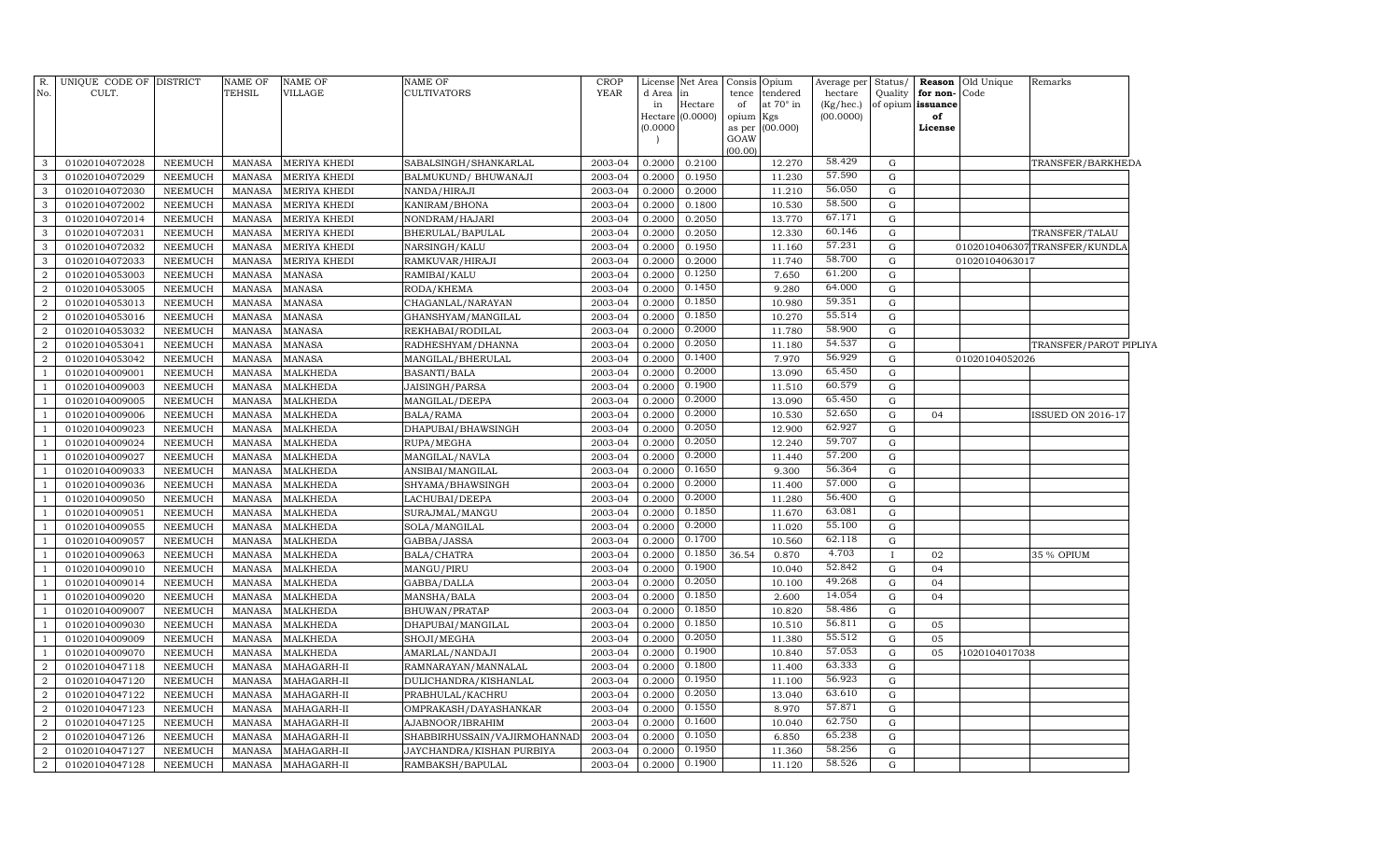| R.<br>No.      | UNIQUE CODE OF DISTRICT<br>CULT. |                | <b>NAME OF</b><br>TEHSIL | NAME OF<br>VILLAGE  | NAME OF<br>CULTIVATORS       | CROP<br><b>YEAR</b> | License<br>d Area<br>in<br>(0.0000) | Net Area<br>in<br>Hectare<br>Hectare (0.0000) | Consis<br>tence<br>of<br>opium Kgs<br>as per<br>GOAW | Opium<br>tendered<br>at 70° in<br>(00.000) | Average per<br>hectare<br>(Kg/hec.)<br>(00.0000) | Status/<br>Quality | for non-<br>of opium issuance<br>of<br>License | Reason Old Unique<br>Code | Remarks                      |  |
|----------------|----------------------------------|----------------|--------------------------|---------------------|------------------------------|---------------------|-------------------------------------|-----------------------------------------------|------------------------------------------------------|--------------------------------------------|--------------------------------------------------|--------------------|------------------------------------------------|---------------------------|------------------------------|--|
| 3              | 01020104072028                   | NEEMUCH        | <b>MANASA</b>            | MERIYA KHEDI        | SABALSINGH/SHANKARLAL        | 2003-04             | 0.2000                              | 0.2100                                        | (00.00)                                              | 12.270                                     | 58.429                                           | ${\rm G}$          |                                                |                           | TRANSFER/BARKHEDA            |  |
| 3              | 01020104072029                   | NEEMUCH        | MANASA                   | MERIYA KHEDI        | BALMUKUND/BHUWANAJI          | 2003-04             | 0.2000                              | 0.1950                                        |                                                      | 11.230                                     | 57.590                                           | ${\rm G}$          |                                                |                           |                              |  |
| 3              | 01020104072030                   | <b>NEEMUCH</b> | <b>MANASA</b>            | <b>MERIYA KHEDI</b> | NANDA/HIRAJI                 | 2003-04             | 0.2000                              | 0.2000                                        |                                                      | 11.210                                     | 56.050                                           | ${\rm G}$          |                                                |                           |                              |  |
| 3              | 01020104072002                   | <b>NEEMUCH</b> | <b>MANASA</b>            | MERIYA KHEDI        | KANIRAM/BHONA                | 2003-04             | 0.2000                              | 0.1800                                        |                                                      | 10.530                                     | 58.500                                           | G                  |                                                |                           |                              |  |
| 3              | 01020104072014                   | <b>NEEMUCH</b> | <b>MANASA</b>            | MERIYA KHEDI        | NONDRAM/HAJARI               | 2003-04             | 0.2000                              | 0.2050                                        |                                                      | 13.770                                     | 67.171                                           | G                  |                                                |                           |                              |  |
| 3              | 01020104072031                   | <b>NEEMUCH</b> | <b>MANASA</b>            | MERIYA KHEDI        | BHERULAL/BAPULAL             | 2003-04             | 0.2000                              | 0.2050                                        |                                                      | 12.330                                     | 60.146                                           | G                  |                                                |                           | TRANSFER/TALAU               |  |
| 3              | 01020104072032                   | <b>NEEMUCH</b> | <b>MANASA</b>            | MERIYA KHEDI        | NARSINGH/KALU                | 2003-04             | 0.2000                              | 0.1950                                        |                                                      | 11.160                                     | 57.231                                           | G                  |                                                |                           | 0102010406307TRANSFER/KUNDLA |  |
| 3              | 01020104072033                   | NEEMUCH        | <b>MANASA</b>            | MERIYA KHEDI        | RAMKUVAR/HIRAJI              | 2003-04             | 0.2000                              | 0.2000                                        |                                                      | 11.740                                     | 58.700                                           | ${\rm G}$          |                                                | 01020104063017            |                              |  |
| 2              | 01020104053003                   | NEEMUCH        | <b>MANASA</b>            | <b>MANASA</b>       | RAMIBAI/KALU                 | 2003-04             | 0.2000                              | 0.1250                                        |                                                      | 7.650                                      | 61.200                                           | ${\rm G}$          |                                                |                           |                              |  |
| $\overline{a}$ | 01020104053005                   | NEEMUCH        | MANASA                   | <b>MANASA</b>       | RODA/KHEMA                   | 2003-04             | 0.2000                              | 0.1450                                        |                                                      | 9.280                                      | 64.000                                           | G                  |                                                |                           |                              |  |
| $\overline{a}$ | 01020104053013                   | <b>NEEMUCH</b> | <b>MANASA</b>            | <b>MANASA</b>       | CHAGANLAL/NARAYAN            | 2003-04             | 0.2000                              | 0.1850                                        |                                                      | 10.980                                     | 59.351                                           | ${\rm G}$          |                                                |                           |                              |  |
| $\overline{a}$ | 01020104053016                   | <b>NEEMUCH</b> | <b>MANASA</b>            | <b>MANASA</b>       | GHANSHYAM/MANGILAL           | 2003-04             | 0.2000                              | 0.1850                                        |                                                      | 10.270                                     | 55.514                                           | G                  |                                                |                           |                              |  |
| $\overline{a}$ | 01020104053032                   | <b>NEEMUCH</b> | <b>MANASA</b>            | <b>MANASA</b>       | REKHABAI/RODILAL             | 2003-04             | 0.2000                              | 0.2000                                        |                                                      | 11.780                                     | 58.900                                           | G                  |                                                |                           |                              |  |
| $\overline{a}$ | 01020104053041                   | <b>NEEMUCH</b> | <b>MANASA</b>            | <b>MANASA</b>       | RADHESHYAM/DHANNA            | 2003-04             | 0.2000                              | 0.2050                                        |                                                      | 11.180                                     | 54.537                                           | G                  |                                                |                           | TRANSFER/PAROT PIPLIYA       |  |
| $\overline{a}$ | 01020104053042                   | <b>NEEMUCH</b> | <b>MANASA</b>            | <b>MANASA</b>       | MANGILAL/BHERULAL            | 2003-04             | 0.2000                              | 0.1400                                        |                                                      | 7.970                                      | 56.929                                           | ${\rm G}$          |                                                | 01020104052026            |                              |  |
| $\overline{1}$ | 01020104009001                   | NEEMUCH        | <b>MANASA</b>            | <b>MALKHEDA</b>     | BASANTI/BALA                 | 2003-04             | 0.2000                              | 0.2000                                        |                                                      | 13.090                                     | 65.450                                           | G                  |                                                |                           |                              |  |
|                | 01020104009003                   | NEEMUCH        | MANASA                   | <b>MALKHEDA</b>     | JAISINGH/PARSA               | 2003-04             | 0.2000                              | 0.1900                                        |                                                      | 11.510                                     | 60.579                                           | G                  |                                                |                           |                              |  |
| $\overline{1}$ | 01020104009005                   | <b>NEEMUCH</b> | <b>MANASA</b>            | <b>MALKHEDA</b>     | MANGILAL/DEEPA               | 2003-04             | 0.2000                              | 0.2000                                        |                                                      | 13.090                                     | 65.450                                           | G                  |                                                |                           |                              |  |
| $\overline{1}$ | 01020104009006                   | <b>NEEMUCH</b> | <b>MANASA</b>            | <b>MALKHEDA</b>     | BALA/RAMA                    | 2003-04             | 0.2000                              | 0.2000                                        |                                                      | 10.530                                     | 52.650                                           | ${\rm G}$          | 04                                             |                           | <b>ISSUED ON 2016-17</b>     |  |
| -1             | 01020104009023                   | <b>NEEMUCH</b> | <b>MANASA</b>            | <b>MALKHEDA</b>     | DHAPUBAI/BHAWSINGH           | 2003-04             | 0.2000                              | 0.2050                                        |                                                      | 12.900                                     | 62.927                                           | $\mathbf G$        |                                                |                           |                              |  |
| $\overline{1}$ | 01020104009024                   | <b>NEEMUCH</b> | <b>MANASA</b>            | <b>MALKHEDA</b>     | RUPA/MEGHA                   | 2003-04             | 0.2000                              | 0.2050                                        |                                                      | 12.240                                     | 59.707                                           | G                  |                                                |                           |                              |  |
| 1              | 01020104009027                   | <b>NEEMUCH</b> | <b>MANASA</b>            | <b>MALKHEDA</b>     | MANGILAL/NAVLA               | 2003-04             | 0.2000                              | 0.2000                                        |                                                      | 11.440                                     | 57.200                                           | G                  |                                                |                           |                              |  |
| $\mathbf{1}$   | 01020104009033                   | NEEMUCH        | <b>MANASA</b>            | <b>MALKHEDA</b>     | ANSIBAI/MANGILAL             | 2003-04             | 0.2000                              | 0.1650                                        |                                                      | 9.300                                      | 56.364                                           | ${\rm G}$          |                                                |                           |                              |  |
| -1             | 01020104009036                   | NEEMUCH        | <b>MANASA</b>            | <b>MALKHEDA</b>     | SHYAMA/BHAWSINGH             | 2003-04             | 0.2000                              | 0.2000                                        |                                                      | 11.400                                     | 57.000                                           | G                  |                                                |                           |                              |  |
| 1              | 01020104009050                   | <b>NEEMUCH</b> | <b>MANASA</b>            | <b>MALKHEDA</b>     | LACHUBAI/DEEPA               | 2003-04             | 0.2000                              | 0.2000                                        |                                                      | 11.280                                     | 56.400                                           | G                  |                                                |                           |                              |  |
| -1             | 01020104009051                   | <b>NEEMUCH</b> | <b>MANASA</b>            | <b>MALKHEDA</b>     | SURAJMAL/MANGU               | 2003-04             | 0.2000                              | 0.1850                                        |                                                      | 11.670                                     | 63.081                                           | ${\rm G}$          |                                                |                           |                              |  |
| $\mathbf{1}$   | 01020104009055                   | <b>NEEMUCH</b> | <b>MANASA</b>            | <b>MALKHEDA</b>     | SOLA/MANGILAL                | 2003-04             | 0.2000                              | 0.2000                                        |                                                      | 11.020                                     | 55.100                                           | ${\rm G}$          |                                                |                           |                              |  |
| $\overline{1}$ | 01020104009057                   | <b>NEEMUCH</b> | <b>MANASA</b>            | <b>MALKHEDA</b>     | GABBA/JASSA                  | 2003-04             | 0.2000                              | 0.1700                                        |                                                      | 10.560                                     | 62.118                                           | ${\rm G}$          |                                                |                           |                              |  |
| 1              | 01020104009063                   | <b>NEEMUCH</b> | <b>MANASA</b>            | <b>MALKHEDA</b>     | BALA/CHATRA                  | 2003-04             | 0.2000                              | 0.1850                                        | 36.54                                                | 0.870                                      | 4.703                                            | $\mathbf{I}$       | 02                                             |                           | 35 % OPIUM                   |  |
| $\overline{1}$ | 01020104009010                   | <b>NEEMUCH</b> | <b>MANASA</b>            | <b>MALKHEDA</b>     | MANGU/PIRU                   | 2003-04             | 0.2000                              | 0.1900                                        |                                                      | 10.040                                     | 52.842                                           | G                  | 04                                             |                           |                              |  |
| $\mathbf{1}$   | 01020104009014                   | NEEMUCH        | <b>MANASA</b>            | MALKHEDA            | GABBA/DALLA                  | 2003-04             | 0.2000                              | 0.2050                                        |                                                      | 10.100                                     | 49.268                                           | G                  | 04                                             |                           |                              |  |
| -1             | 01020104009020                   | <b>NEEMUCH</b> | <b>MANASA</b>            | MALKHEDA            | MANSHA/BALA                  | 2003-04             | 0.2000                              | 0.1850                                        |                                                      | 2.600                                      | 14.054                                           | G                  | 04                                             |                           |                              |  |
|                | 01020104009007                   | <b>NEEMUCH</b> | <b>MANASA</b>            | <b>MALKHEDA</b>     | BHUWAN/PRATAP                | 2003-04             | 0.2000                              | 0.1850                                        |                                                      | 10.820                                     | 58.486                                           | ${\rm G}$          |                                                |                           |                              |  |
| -1             | 01020104009030                   | <b>NEEMUCH</b> | <b>MANASA</b>            | <b>MALKHEDA</b>     | DHAPUBAI/MANGILAL            | 2003-04             | 0.2000                              | 0.1850                                        |                                                      | 10.510                                     | 56.811                                           | $\mathbf G$        | 05                                             |                           |                              |  |
|                | 01020104009009                   | <b>NEEMUCH</b> | <b>MANASA</b>            | <b>MALKHEDA</b>     | SHOJI/MEGHA                  | 2003-04             | 0.2000                              | 0.2050                                        |                                                      | 11.380                                     | 55.512                                           | ${\rm G}$          | 05                                             |                           |                              |  |
| $\overline{1}$ | 01020104009070                   | <b>NEEMUCH</b> | <b>MANASA</b>            | <b>MALKHEDA</b>     | AMARLAL/NANDAJI              | 2003-04             | 0.2000                              | 0.1900                                        |                                                      | 10.840                                     | 57.053                                           | G                  | 05                                             | 1020104017038             |                              |  |
| $\overline{a}$ | 01020104047118                   | <b>NEEMUCH</b> | <b>MANASA</b>            | MAHAGARH-II         | RAMNARAYAN/MANNALAL          | 2003-04             | 0.2000                              | 0.1800                                        |                                                      | 11.400                                     | 63.333                                           | G                  |                                                |                           |                              |  |
| $\overline{a}$ | 01020104047120                   | <b>NEEMUCH</b> | <b>MANASA</b>            | MAHAGARH-II         | DULICHANDRA/KISHANLAL        | 2003-04             | 0.2000                              | 0.1950                                        |                                                      | 11.100                                     | 56.923                                           | G                  |                                                |                           |                              |  |
| 2              | 01020104047122                   | <b>NEEMUCH</b> | <b>MANASA</b>            | MAHAGARH-II         | PRABHULAL/KACHRU             | 2003-04             | 0.2000                              | 0.2050                                        |                                                      | 13.040                                     | 63.610                                           | G                  |                                                |                           |                              |  |
| $\overline{2}$ | 01020104047123                   | <b>NEEMUCH</b> | <b>MANASA</b>            | MAHAGARH-II         | OMPRAKASH/DAYASHANKAR        | 2003-04             | 0.2000                              | 0.1550                                        |                                                      | 8.970                                      | 57.871                                           | ${\rm G}$          |                                                |                           |                              |  |
| $\overline{a}$ | 01020104047125                   | <b>NEEMUCH</b> | <b>MANASA</b>            | MAHAGARH-II         | AJABNOOR/IBRAHIM             | 2003-04             | 0.2000                              | 0.1600                                        |                                                      | 10.040                                     | 62.750                                           | G                  |                                                |                           |                              |  |
| $\overline{a}$ | 01020104047126                   | NEEMUCH        | <b>MANASA</b>            | MAHAGARH-II         | SHABBIRHUSSAIN/VAJIRMOHANNAI | 2003-04             | 0.2000                              | 0.1050                                        |                                                      | 6.850                                      | 65.238                                           | G                  |                                                |                           |                              |  |
| $\overline{2}$ | 01020104047127                   | <b>NEEMUCH</b> | <b>MANASA</b>            | MAHAGARH-II         | JAYCHANDRA/KISHAN PURBIYA    | 2003-04             | 0.2000                              | 0.1950                                        |                                                      | 11.360                                     | 58.256                                           | ${\rm G}$          |                                                |                           |                              |  |
| $\overline{a}$ | 01020104047128                   | NEEMUCH        | MANASA                   | MAHAGARH-II         | RAMBAKSH/BAPULAL             | 2003-04             | 0.2000                              | 0.1900                                        |                                                      | 11.120                                     | 58.526                                           | G                  |                                                |                           |                              |  |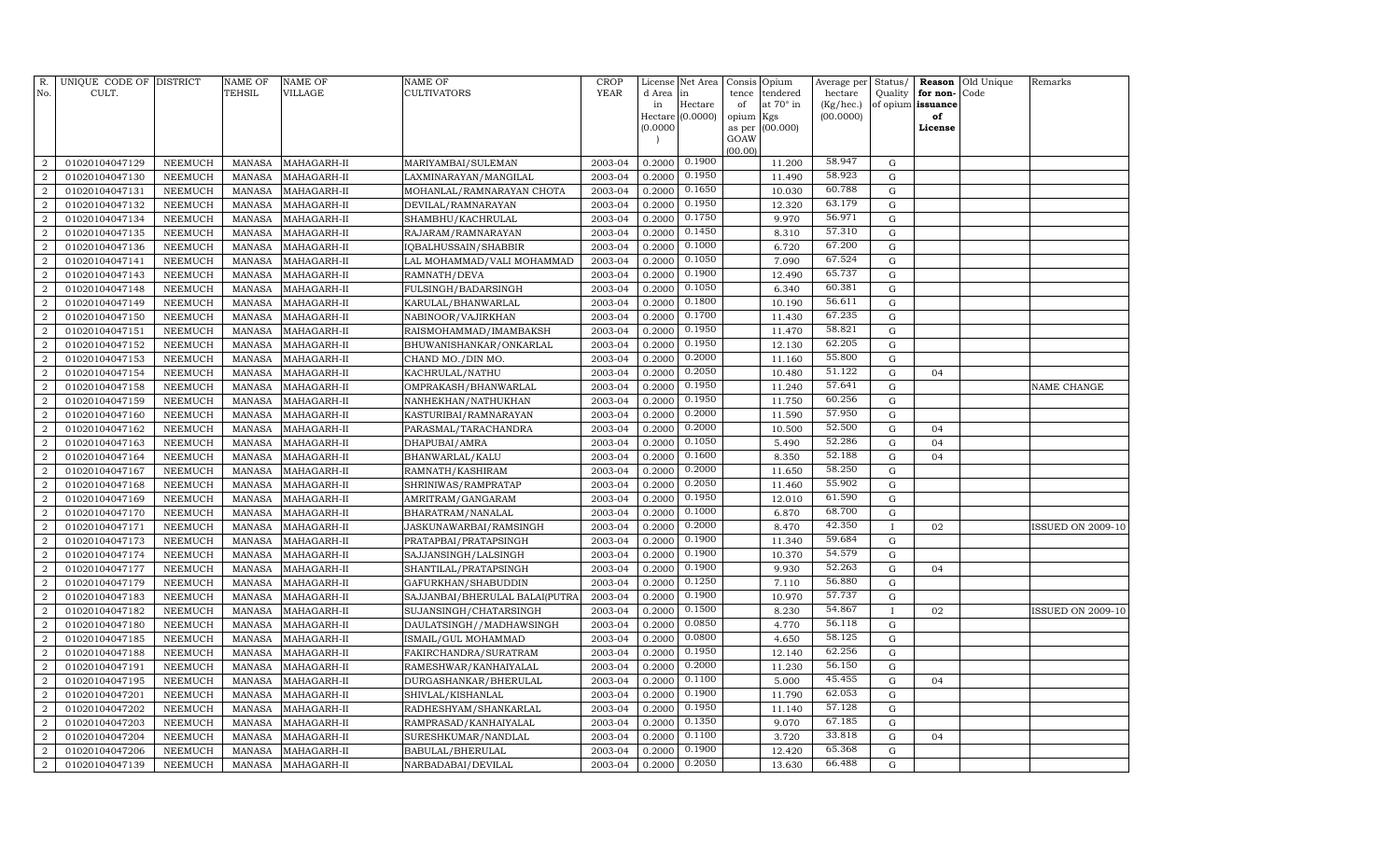| R.                               | UNIQUE CODE OF DISTRICT          |                           | <b>NAME OF</b>                 | <b>NAME OF</b>             | NAME OF                                        | <b>CROP</b>        | License          | Net Area         | Consis      | Opium                 | Average per             | Status/          | Reason                        | Old Unique | Remarks                  |
|----------------------------------|----------------------------------|---------------------------|--------------------------------|----------------------------|------------------------------------------------|--------------------|------------------|------------------|-------------|-----------------------|-------------------------|------------------|-------------------------------|------------|--------------------------|
| No.                              | CULT.                            |                           | <b>TEHSIL</b>                  | VILLAGE                    | CULTIVATORS                                    | <b>YEAR</b>        | d Area<br>in     | in<br>Hectare    | tence<br>of | tendered<br>at 70° in | hectare<br>$(Kg/$ hec.) | Quality          | for non-<br>of opium issuance | Code       |                          |
|                                  |                                  |                           |                                |                            |                                                |                    |                  | Hectare (0.0000) | opium       | Kgs                   | (00.0000)               |                  | of                            |            |                          |
|                                  |                                  |                           |                                |                            |                                                |                    | (0.0000)         |                  | as per      | (00.000)              |                         |                  | License                       |            |                          |
|                                  |                                  |                           |                                |                            |                                                |                    |                  |                  | GOAW        |                       |                         |                  |                               |            |                          |
| $\overline{2}$                   | 01020104047129                   | NEEMUCH                   | <b>MANASA</b>                  | MAHAGARH-II                | MARIYAMBAI/SULEMAN                             | 2003-04            | 0.2000           | 0.1900           | (00.00)     | 11.200                | 58.947                  | G                |                               |            |                          |
| $\overline{2}$                   | 01020104047130                   | NEEMUCH                   | <b>MANASA</b>                  | MAHAGARH-II                | LAXMINARAYAN/MANGILAL                          | 2003-04            | 0.2000           | 0.1950           |             | 11.490                | 58.923                  | $\mathbf G$      |                               |            |                          |
| $\overline{a}$                   | 01020104047131                   | NEEMUCH                   | <b>MANASA</b>                  | MAHAGARH-II                | MOHANLAL/RAMNARAYAN CHOTA                      | 2003-04            | 0.2000           | 0.1650           |             | 10.030                | 60.788                  | G                |                               |            |                          |
| $\overline{a}$                   | 01020104047132                   | NEEMUCH                   | <b>MANASA</b>                  | MAHAGARH-II                | DEVILAL/RAMNARAYAN                             | 2003-04            | 0.2000           | 0.1950           |             | 12.320                | 63.179                  | G                |                               |            |                          |
| 2                                | 01020104047134                   | <b>NEEMUCH</b>            | <b>MANASA</b>                  | MAHAGARH-II                | SHAMBHU/KACHRULAL                              | 2003-04            | 0.2000           | 0.1750           |             | 9.970                 | 56.971                  | G                |                               |            |                          |
| $\overline{2}$                   | 01020104047135                   | <b>NEEMUCH</b>            | <b>MANASA</b>                  | MAHAGARH-II                | RAJARAM/RAMNARAYAN                             | 2003-04            | 0.2000           | 0.1450           |             | 8.310                 | 57.310                  | G                |                               |            |                          |
| $\overline{2}$                   | 01020104047136                   | <b>NEEMUCH</b>            | <b>MANASA</b>                  | MAHAGARH-II                | IQBALHUSSAIN/SHABBIR                           | 2003-04            | 0.2000           | 0.1000           |             | 6.720                 | 67.200                  | G                |                               |            |                          |
| $\overline{2}$                   | 01020104047141                   | <b>NEEMUCH</b>            | <b>MANASA</b>                  | MAHAGARH-II                | LAL MOHAMMAD/VALI MOHAMMAD                     | 2003-04            | 0.2000           | 0.1050           |             | 7.090                 | 67.524                  | $\mathbf G$      |                               |            |                          |
| $\overline{2}$                   | 01020104047143                   | NEEMUCH                   | <b>MANASA</b>                  | MAHAGARH-II                | RAMNATH/DEVA                                   | 2003-04            | 0.2000           | 0.1900           |             | 12.490                | 65.737                  | $\mathbf G$      |                               |            |                          |
| $\overline{2}$                   | 01020104047148                   | <b>NEEMUCH</b>            | <b>MANASA</b>                  | MAHAGARH-II                | FULSINGH/BADARSINGH                            | 2003-04            | 0.2000           | 0.1050           |             | 6.340                 | 60.381                  | $\mathbf G$      |                               |            |                          |
| $\overline{a}$                   | 01020104047149                   | NEEMUCH                   | <b>MANASA</b>                  | MAHAGARH-II                | KARULAL/BHANWARLAL                             | 2003-04            | 0.2000           | 0.1800           |             | 10.190                | 56.611                  | $\mathbf G$      |                               |            |                          |
| $\overline{2}$                   | 01020104047150                   | <b>NEEMUCH</b>            | <b>MANASA</b>                  | MAHAGARH-II                | NABINOOR/VAJIRKHAN                             | 2003-04            | 0.2000           | 0.1700           |             | 11.430                | 67.235                  | $\mathbf G$      |                               |            |                          |
| $\overline{a}$                   | 01020104047151                   | <b>NEEMUCH</b>            | <b>MANASA</b>                  | MAHAGARH-II                | RAISMOHAMMAD/IMAMBAKSH                         | 2003-04            | 0.2000           | 0.1950           |             | 11.470                | 58.821                  | G                |                               |            |                          |
| $\overline{2}$                   | 01020104047152                   | <b>NEEMUCH</b>            | <b>MANASA</b>                  | MAHAGARH-II                | BHUWANISHANKAR/ONKARLAL                        | 2003-04            | 0.2000           | 0.1950           |             | 12.130                | 62.205                  | G                |                               |            |                          |
| 2                                | 01020104047153                   | NEEMUCH                   | <b>MANASA</b>                  | MAHAGARH-II                | CHAND MO./DIN MO.                              | 2003-04            | 0.2000           | 0.2000           |             | 11.160                | 55.800                  | G                |                               |            |                          |
| $\overline{2}$                   | 01020104047154                   | <b>NEEMUCH</b>            | <b>MANASA</b>                  | MAHAGARH-II                | KACHRULAL/NATHU                                | 2003-04            | 0.2000           | 0.2050           |             | 10.480                | 51.122                  | G                | 04                            |            |                          |
| 2                                | 01020104047158                   | NEEMUCH                   | <b>MANASA</b>                  | MAHAGARH-II                | OMPRAKASH/BHANWARLAL                           | 2003-04            | 0.2000           | 0.1950           |             | 11.240                | 57.641                  | G                |                               |            | NAME CHANGE              |
| $\overline{2}$                   | 01020104047159                   | <b>NEEMUCH</b>            | <b>MANASA</b>                  | MAHAGARH-II                | NANHEKHAN/NATHUKHAN                            | 2003-04            | 0.2000           | 0.1950           |             | 11.750                | 60.256                  | $\mathbf G$      |                               |            |                          |
| $\overline{a}$                   | 01020104047160                   | NEEMUCH                   | <b>MANASA</b>                  | MAHAGARH-II                | KASTURIBAI/RAMNARAYAN                          | 2003-04            | 0.2000           | 0.2000           |             | 11.590                | 57.950                  | $\mathbf G$      |                               |            |                          |
| $\overline{2}$                   | 01020104047162                   | <b>NEEMUCH</b>            | <b>MANASA</b>                  | MAHAGARH-II                | PARASMAL/TARACHANDRA                           | 2003-04            | 0.2000           | 0.2000           |             | 10.500                | 52.500                  | $\mathbf G$      | 04                            |            |                          |
| $\overline{2}$                   | 01020104047163                   | NEEMUCH                   | <b>MANASA</b>                  | MAHAGARH-II                | DHAPUBAI/AMRA                                  | 2003-04            | 0.2000           | 0.1050           |             | 5.490                 | 52.286                  | ${\rm G}$        | 04                            |            |                          |
| $\overline{2}$                   | 01020104047164                   | NEEMUCH                   | <b>MANASA</b>                  | MAHAGARH-II                | BHANWARLAL/KALU                                | 2003-04            | 0.2000           | 0.1600           |             | 8.350                 | 52.188                  | G                | 04                            |            |                          |
| $\overline{a}$                   | 01020104047167                   | <b>NEEMUCH</b>            | <b>MANASA</b>                  | MAHAGARH-II                | RAMNATH/KASHIRAM                               | 2003-04            | 0.2000           | 0.2000           |             | 11.650                | 58.250                  | G                |                               |            |                          |
| $\overline{2}$                   | 01020104047168                   | <b>NEEMUCH</b>            | <b>MANASA</b>                  | MAHAGARH-II                | SHRINIWAS/RAMPRATAP                            | 2003-04            | 0.2000           | 0.2050           |             | 11.460                | 55.902                  | G                |                               |            |                          |
| 2                                | 01020104047169                   | <b>NEEMUCH</b>            | <b>MANASA</b>                  | MAHAGARH-II                | AMRITRAM/GANGARAM                              | 2003-04            | 0.2000           | 0.1950           |             | 12.010                | 61.590                  | G                |                               |            |                          |
| $\overline{2}$                   | 01020104047170                   | NEEMUCH                   | <b>MANASA</b>                  | MAHAGARH-II                | BHARATRAM/NANALAL                              | 2003-04            | 0.2000           | 0.1000           |             | 6.870                 | 68.700                  | G                |                               |            |                          |
| 2                                | 01020104047171                   | NEEMUCH                   | <b>MANASA</b>                  | MAHAGARH-II                | JASKUNAWARBAI/RAMSINGH                         | 2003-04            | 0.2000           | 0.2000           |             | 8.470                 | 42.350                  | $\mathbf{I}$     | 02                            |            | <b>ISSUED ON 2009-10</b> |
| $\overline{2}$                   | 01020104047173                   | <b>NEEMUCH</b>            | <b>MANASA</b>                  | MAHAGARH-II                | PRATAPBAI/PRATAPSINGH                          | 2003-04            | 0.2000           | 0.1900           |             | 11.340                | 59.684                  | $\mathbf G$      |                               |            |                          |
| $\overline{a}$                   | 01020104047174                   | NEEMUCH                   | <b>MANASA</b>                  | MAHAGARH-II                | SAJJANSINGH/LALSINGH                           | 2003-04            | 0.2000           | 0.1900           |             | 10.370                | 54.579                  | $\mathbf G$      |                               |            |                          |
| $\overline{2}$                   | 01020104047177                   | NEEMUCH                   | <b>MANASA</b>                  | MAHAGARH-II                | SHANTILAL/PRATAPSINGH                          | 2003-04            | 0.2000           | 0.1900           |             | 9.930                 | 52.263                  | G                | 04                            |            |                          |
| $\overline{2}$                   | 01020104047179                   | <b>NEEMUCH</b>            | <b>MANASA</b>                  | MAHAGARH-II                | GAFURKHAN/SHABUDDIN                            | 2003-04            | 0.2000           | 0.1250           |             | 7.110                 | 56.880                  | $\mathbf G$      |                               |            |                          |
| $\overline{2}$                   | 01020104047183                   | NEEMUCH                   | <b>MANASA</b>                  | MAHAGARH-II                | SAJJANBAI/BHERULAL BALAI(PUTRA                 | 2003-04            | 0.2000           | 0.1900           |             | 10.970                | 57.737                  | G                |                               |            |                          |
| $\overline{2}$                   | 01020104047182                   | NEEMUCH                   | <b>MANASA</b>                  | MAHAGARH-II                | SUJANSINGH/CHATARSINGH                         | 2003-04            | 0.2000           | 0.1500<br>0.0850 |             | 8.230                 | 54.867                  | $\mathbf I$      | 02                            |            | <b>ISSUED ON 2009-10</b> |
| $\overline{2}$                   | 01020104047180                   | <b>NEEMUCH</b>            | <b>MANASA</b>                  | MAHAGARH-II                | DAULATSINGH//MADHAWSINGH                       | 2003-04            | 0.2000           | 0.0800           |             | 4.770                 | 56.118<br>58.125        | G                |                               |            |                          |
| $\overline{2}$                   | 01020104047185                   | NEEMUCH                   | <b>MANASA</b>                  | MAHAGARH-II                | ISMAIL/GUL MOHAMMAD                            | 2003-04            | 0.2000           | 0.1950           |             | 4.650                 | 62.256                  | G                |                               |            |                          |
| $\overline{2}$                   | 01020104047188                   | NEEMUCH                   | <b>MANASA</b>                  | MAHAGARH-II                | FAKIRCHANDRA/SURATRAM                          | 2003-04            | 0.2000           | 0.2000           |             | 12.140                | 56.150                  | G                |                               |            |                          |
| $\overline{a}$<br>$\overline{2}$ | 01020104047191<br>01020104047195 | NEEMUCH<br><b>NEEMUCH</b> | <b>MANASA</b><br><b>MANASA</b> | MAHAGARH-II<br>MAHAGARH-II | RAMESHWAR/KANHAIYALAL<br>DURGASHANKAR/BHERULAL | 2003-04<br>2003-04 | 0.2000<br>0.2000 | 0.1100           |             | 11.230<br>5.000       | 45.455                  | G<br>$\mathbf G$ | 04                            |            |                          |
| $\overline{2}$                   | 01020104047201                   | NEEMUCH                   | <b>MANASA</b>                  | MAHAGARH-II                | SHIVLAL/KISHANLAL                              | 2003-04            | 0.2000           | 0.1900           |             | 11.790                | 62.053                  | $\mathbf G$      |                               |            |                          |
| $\overline{2}$                   | 01020104047202                   | NEEMUCH                   | <b>MANASA</b>                  | MAHAGARH-II                | RADHESHYAM/SHANKARLAL                          | 2003-04            | 0.2000           | 0.1950           |             | 11.140                | 57.128                  | G                |                               |            |                          |
| $\overline{2}$                   | 01020104047203                   | <b>NEEMUCH</b>            | <b>MANASA</b>                  | MAHAGARH-II                | RAMPRASAD/KANHAIYALAL                          | 2003-04            | 0.2000           | 0.1350           |             | 9.070                 | 67.185                  | G                |                               |            |                          |
| $\overline{2}$                   | 01020104047204                   | NEEMUCH                   | <b>MANASA</b>                  | MAHAGARH-II                | SURESHKUMAR/NANDLAL                            | 2003-04            | 0.2000           | 0.1100           |             | 3.720                 | 33.818                  | G                | 04                            |            |                          |
| $\overline{2}$                   | 01020104047206                   | <b>NEEMUCH</b>            | <b>MANASA</b>                  | MAHAGARH-II                | BABULAL/BHERULAL                               | 2003-04            | 0.2000           | 0.1900           |             | 12.420                | 65.368                  | G                |                               |            |                          |
| $\overline{2}$                   | 01020104047139                   | NEEMUCH                   | MANASA                         | MAHAGARH-II                | NARBADABAI/DEVILAL                             | 2003-04            | 0.2000           | 0.2050           |             | 13.630                | 66.488                  | G                |                               |            |                          |
|                                  |                                  |                           |                                |                            |                                                |                    |                  |                  |             |                       |                         |                  |                               |            |                          |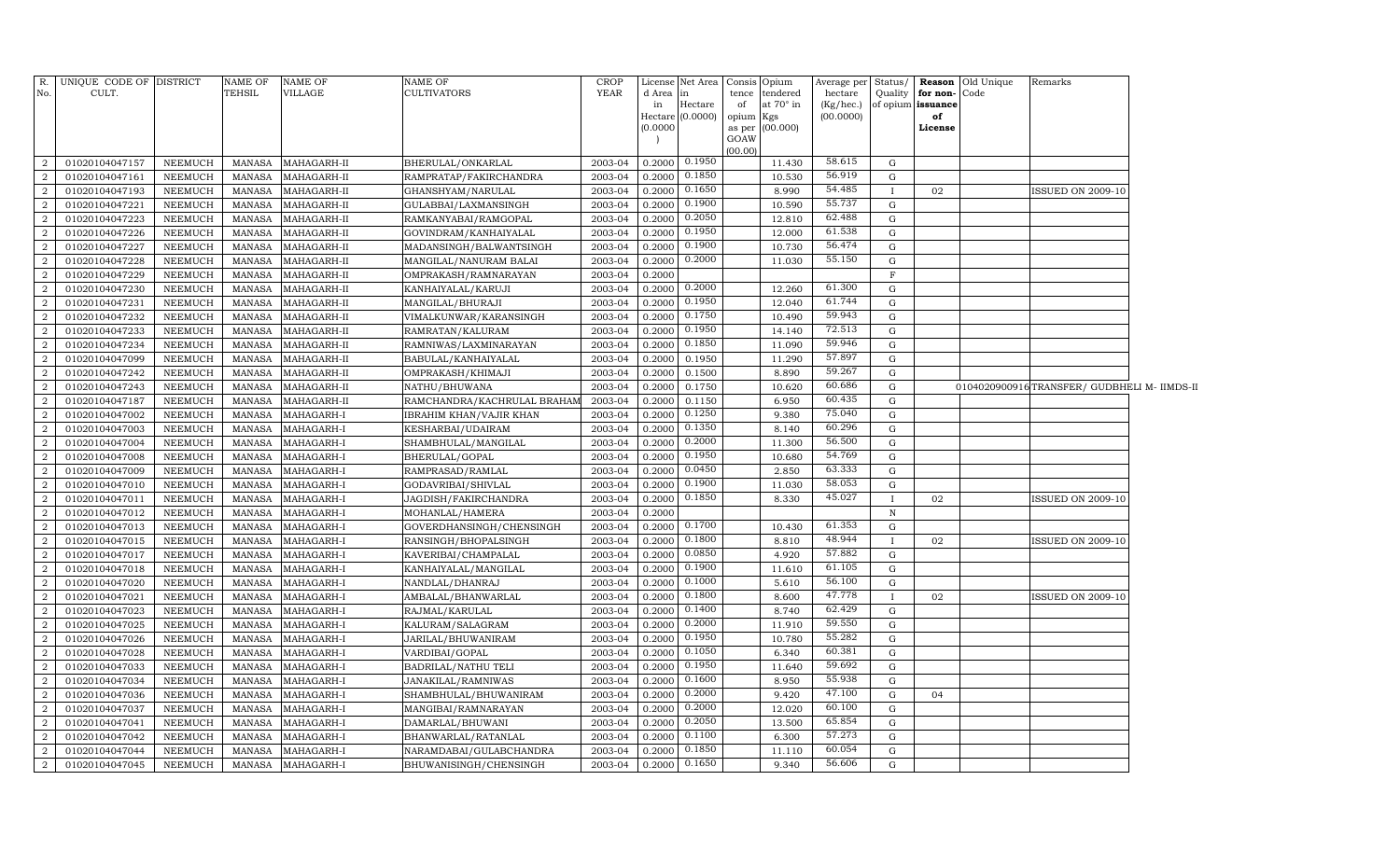| R.<br>No.        | UNIQUE CODE OF DISTRICT<br>CULT. |                | <b>NAME OF</b><br><b>TEHSIL</b> | NAME OF<br>VILLAGE | NAME OF<br>CULTIVATORS      | <b>CROP</b><br><b>YEAR</b> | License<br>d Area | Net Area<br>in     | Consis Opium<br>tence | tendered        | Average per Status/<br>hectare | Quality      | for non-Code      | <b>Reason</b> Old Unique | Remarks                                     |  |
|------------------|----------------------------------|----------------|---------------------------------|--------------------|-----------------------------|----------------------------|-------------------|--------------------|-----------------------|-----------------|--------------------------------|--------------|-------------------|--------------------------|---------------------------------------------|--|
|                  |                                  |                |                                 |                    |                             |                            | in                | Hectare            | of                    | at 70° in       | (Kg/hec.)                      |              | of opium issuance |                          |                                             |  |
|                  |                                  |                |                                 |                    |                             |                            |                   | Hectare $(0.0000)$ | opium Kgs             |                 | (00.0000)                      |              | of                |                          |                                             |  |
|                  |                                  |                |                                 |                    |                             |                            | (0.0000)          |                    |                       | as per (00.000) |                                |              | License           |                          |                                             |  |
|                  |                                  |                |                                 |                    |                             |                            |                   |                    | GOAW<br>(00.00)       |                 |                                |              |                   |                          |                                             |  |
| 2                | 01020104047157                   | NEEMUCH        | MANASA                          | MAHAGARH-II        | BHERULAL/ONKARLAL           | 2003-04                    | 0.2000            | 0.1950             |                       | 11.430          | 58.615                         | G            |                   |                          |                                             |  |
| $\overline{2}$   | 01020104047161                   | NEEMUCH        | MANASA                          | MAHAGARH-II        | RAMPRATAP/FAKIRCHANDRA      | 2003-04                    | 0.2000            | 0.1850             |                       | 10.530          | 56.919                         | G            |                   |                          |                                             |  |
| $\overline{2}$   | 01020104047193                   | NEEMUCH        | MANASA                          | MAHAGARH-II        | GHANSHYAM/NARULAL           | 2003-04                    | 0.2000            | 0.1650             |                       | 8.990           | 54.485                         | $\mathbf I$  | 02                |                          | <b>ISSUED ON 2009-10</b>                    |  |
| $\overline{2}$   | 01020104047221                   | NEEMUCH        | MANASA                          | MAHAGARH-II        | GULABBAI/LAXMANSINGH        | 2003-04                    | 0.2000            | 0.1900             |                       | 10.590          | 55.737                         | $\mathbf G$  |                   |                          |                                             |  |
| $\overline{2}$   | 01020104047223                   | NEEMUCH        | MANASA                          | MAHAGARH-II        | RAMKANYABAI/RAMGOPAL        | 2003-04                    | 0.2000            | 0.2050             |                       | 12.810          | 62.488                         | G            |                   |                          |                                             |  |
| $\overline{2}$   | 01020104047226                   | NEEMUCH        | MANASA                          | MAHAGARH-II        | GOVINDRAM/KANHAIYALAL       | 2003-04                    | 0.2000            | 0.1950             |                       | 12.000          | 61.538                         | $\mathbf G$  |                   |                          |                                             |  |
| $\boldsymbol{2}$ | 01020104047227                   | NEEMUCH        | <b>MANASA</b>                   | MAHAGARH-II        | MADANSINGH/BALWANTSINGH     | 2003-04                    | 0.2000            | 0.1900             |                       | 10.730          | 56.474                         | G            |                   |                          |                                             |  |
| $\boldsymbol{2}$ | 01020104047228                   | NEEMUCH        | MANASA                          | MAHAGARH-II        | MANGILAL/NANURAM BALAI      | 2003-04                    | 0.2000            | 0.2000             |                       | 11.030          | 55.150                         | G            |                   |                          |                                             |  |
| $\overline{2}$   | 01020104047229                   | NEEMUCH        | MANASA                          | MAHAGARH-II        | OMPRAKASH/RAMNARAYAN        | 2003-04                    | 0.2000            |                    |                       |                 |                                | $\mathbf F$  |                   |                          |                                             |  |
| $\overline{2}$   | 01020104047230                   | NEEMUCH        | <b>MANASA</b>                   | MAHAGARH-II        | KANHAIYALAL/KARUJI          | 2003-04                    | 0.2000            | 0.2000             |                       | 12.260          | 61.300                         | G            |                   |                          |                                             |  |
| $\overline{2}$   | 01020104047231                   | <b>NEEMUCH</b> | <b>MANASA</b>                   | MAHAGARH-II        | MANGILAL/BHURAJI            | 2003-04                    | 0.2000            | 0.1950             |                       | 12.040          | 61.744                         | G            |                   |                          |                                             |  |
| $\overline{2}$   | 01020104047232                   | NEEMUCH        | <b>MANASA</b>                   | MAHAGARH-II        | VIMALKUNWAR/KARANSINGH      | 2003-04                    | 0.2000            | 0.1750             |                       | 10.490          | 59.943                         | G            |                   |                          |                                             |  |
| $\overline{2}$   | 01020104047233                   | <b>NEEMUCH</b> | MANASA                          | MAHAGARH-II        | RAMRATAN/KALURAM            | 2003-04                    | 0.2000            | 0.1950             |                       | 14.140          | 72.513                         | G            |                   |                          |                                             |  |
| $\overline{2}$   | 01020104047234                   | NEEMUCH        | <b>MANASA</b>                   | MAHAGARH-II        | RAMNIWAS/LAXMINARAYAN       | 2003-04                    | 0.2000            | 0.1850             |                       | 11.090          | 59.946                         | G            |                   |                          |                                             |  |
| $\overline{2}$   | 01020104047099                   | NEEMUCH        | MANASA                          | MAHAGARH-II        | BABULAL/KANHAIYALAL         | 2003-04                    | 0.2000            | 0.1950             |                       | 11.290          | 57.897                         | G            |                   |                          |                                             |  |
| $\overline{2}$   | 01020104047242                   | NEEMUCH        | MANASA                          | MAHAGARH-II        | OMPRAKASH/KHIMAJI           | 2003-04                    | 0.2000            | 0.1500             |                       | 8.890           | 59.267                         | G            |                   |                          |                                             |  |
| $\overline{2}$   | 01020104047243                   | NEEMUCH        | MANASA                          | MAHAGARH-II        | NATHU/BHUWANA               | 2003-04                    | 0.2000            | 0.1750             |                       | 10.620          | 60.686                         | ${\rm G}$    |                   |                          | 0104020900916TRANSFER/ GUDBHELI M- IIMDS-II |  |
| $\overline{2}$   | 01020104047187                   | NEEMUCH        | <b>MANASA</b>                   | MAHAGARH-II        | RAMCHANDRA/KACHRULAL BRAHAM | 2003-04                    | 0.2000            | 0.1150             |                       | 6.950           | 60.435                         | G            |                   |                          |                                             |  |
| $\overline{2}$   | 01020104047002                   | NEEMUCH        | <b>MANASA</b>                   | MAHAGARH-I         | IBRAHIM KHAN/VAJIR KHAN     | 2003-04                    | 0.2000            | 0.1250             |                       | 9.380           | 75.040                         | ${\rm G}$    |                   |                          |                                             |  |
| $\boldsymbol{2}$ | 01020104047003                   | NEEMUCH        | <b>MANASA</b>                   | MAHAGARH-I         | KESHARBAI/UDAIRAM           | 2003-04                    | 0.2000            | 0.1350             |                       | 8.140           | 60.296                         | G            |                   |                          |                                             |  |
| $\overline{2}$   | 01020104047004                   | NEEMUCH        | <b>MANASA</b>                   | MAHAGARH-I         | SHAMBHULAL/MANGILAL         | 2003-04                    | 0.2000            | 0.2000             |                       | 11.300          | 56.500                         | G            |                   |                          |                                             |  |
| $\overline{2}$   | 01020104047008                   | NEEMUCH        | MANASA                          | MAHAGARH-I         | BHERULAL/GOPAL              | 2003-04                    | 0.2000            | 0.1950             |                       | 10.680          | 54.769                         | G            |                   |                          |                                             |  |
| $\overline{2}$   | 01020104047009                   | <b>NEEMUCH</b> | <b>MANASA</b>                   | MAHAGARH-I         | RAMPRASAD/RAMLAL            | 2003-04                    | 0.2000            | 0.0450             |                       | 2.850           | 63.333                         | ${\rm G}$    |                   |                          |                                             |  |
| $\overline{2}$   | 01020104047010                   | <b>NEEMUCH</b> | MANASA                          | MAHAGARH-I         | GODAVRIBAI/SHIVLAL          | 2003-04                    | 0.2000            | 0.1900             |                       | 11.030          | 58.053                         | G            |                   |                          |                                             |  |
| $\overline{2}$   | 01020104047011                   | NEEMUCH        | <b>MANASA</b>                   | MAHAGARH-I         | JAGDISH/FAKIRCHANDRA        | 2003-04                    | 0.2000            | 0.1850             |                       | 8.330           | 45.027                         | $\mathbf{I}$ | 02                |                          | <b>ISSUED ON 2009-10</b>                    |  |
| $\overline{2}$   | 01020104047012                   | NEEMUCH        | MANASA                          | MAHAGARH-I         | MOHANLAL/HAMERA             | 2003-04                    | 0.2000            |                    |                       |                 |                                | $\, {\rm N}$ |                   |                          |                                             |  |
| $\overline{2}$   | 01020104047013                   | <b>NEEMUCH</b> | <b>MANASA</b>                   | MAHAGARH-I         | GOVERDHANSINGH/CHENSINGH    | 2003-04                    | 0.2000            | 0.1700             |                       | 10.430          | 61.353                         | G            |                   |                          |                                             |  |
| $\overline{2}$   | 01020104047015                   | NEEMUCH        | <b>MANASA</b>                   | MAHAGARH-I         | RANSINGH/BHOPALSINGH        | 2003-04                    | 0.2000            | 0.1800             |                       | 8.810           | 48.944                         |              | 02                |                          | <b>ISSUED ON 2009-10</b>                    |  |
| $\overline{2}$   | 01020104047017                   | <b>NEEMUCH</b> | <b>MANASA</b>                   | MAHAGARH-I         | KAVERIBAI/CHAMPALAL         | 2003-04                    | 0.2000            | 0.0850             |                       | 4.920           | 57.882                         | ${\rm G}$    |                   |                          |                                             |  |
| $\overline{2}$   | 01020104047018                   | NEEMUCH        | <b>MANASA</b>                   | MAHAGARH-I         | KANHAIYALAL/MANGILAL        | 2003-04                    | 0.2000            | 0.1900             |                       | 11.610          | 61.105                         | G            |                   |                          |                                             |  |
| $\overline{2}$   | 01020104047020                   | NEEMUCH        | MANASA                          | MAHAGARH-I         | NANDLAL/DHANRAJ             | 2003-04                    | 0.2000            | 0.1000             |                       | 5.610           | 56.100                         | ${\rm G}$    |                   |                          |                                             |  |
| $\overline{2}$   | 01020104047021                   | NEEMUCH        | <b>MANASA</b>                   | MAHAGARH-I         | AMBALAL/BHANWARLAL          | 2003-04                    | 0.2000            | 0.1800             |                       | 8.600           | 47.778                         |              | 02                |                          | <b>ISSUED ON 2009-10</b>                    |  |
| $\overline{2}$   | 01020104047023                   | NEEMUCH        | MANASA                          | MAHAGARH-I         | RAJMAL/KARULAL              | 2003-04                    | 0.2000            | 0.1400             |                       | 8.740           | 62.429                         | G            |                   |                          |                                             |  |
| $\overline{2}$   | 01020104047025                   | NEEMUCH        | <b>MANASA</b>                   | MAHAGARH-I         | KALURAM / SALAGRAM          | 2003-04                    | 0.2000            | 0.2000             |                       | 11.910          | 59.550                         | G            |                   |                          |                                             |  |
| $\overline{2}$   | 01020104047026                   | <b>NEEMUCH</b> | MANASA                          | MAHAGARH-I         | JARILAL/BHUWANIRAM          | 2003-04                    | 0.2000            | 0.1950             |                       | 10.780          | 55.282                         | ${\rm G}$    |                   |                          |                                             |  |
| 2                | 01020104047028                   | NEEMUCH        | <b>MANASA</b>                   | MAHAGARH-I         | VARDIBAI/GOPAL              | 2003-04                    | 0.2000            | 0.1050             |                       | 6.340           | 60.381                         | G            |                   |                          |                                             |  |
| $\overline{2}$   | 01020104047033                   | NEEMUCH        | <b>MANASA</b>                   | MAHAGARH-I         | BADRILAL/NATHU TELI         | 2003-04                    | 0.2000            | 0.1950             |                       | 11.640          | 59.692                         | G            |                   |                          |                                             |  |
| $\overline{2}$   | 01020104047034                   | NEEMUCH        | <b>MANASA</b>                   | MAHAGARH-I         | JANAKILAL/RAMNIWAS          | 2003-04                    | 0.2000            | 0.1600             |                       | 8.950           | 55.938                         | G            |                   |                          |                                             |  |
| $\overline{2}$   | 01020104047036                   | NEEMUCH        | <b>MANASA</b>                   | MAHAGARH-I         | SHAMBHULAL/BHUWANIRAM       | 2003-04                    | 0.2000            | 0.2000             |                       | 9.420           | 47.100                         | G            | 04                |                          |                                             |  |
| $\overline{2}$   | 01020104047037                   | NEEMUCH        | <b>MANASA</b>                   | MAHAGARH-I         | MANGIBAI/RAMNARAYAN         | 2003-04                    | 0.2000            | 0.2000             |                       | 12.020          | 60.100                         | G            |                   |                          |                                             |  |
| $\mathcal{D}$    | 01020104047041                   | NEEMUCH        | <b>MANASA</b>                   | MAHAGARH-I         | DAMARLAL/BHUWANI            | 2003-04                    | 0.2000            | 0.2050             |                       | 13.500          | 65.854                         | G            |                   |                          |                                             |  |
| $\overline{2}$   | 01020104047042                   | NEEMUCH        | <b>MANASA</b>                   | MAHAGARH-I         | BHANWARLAL/RATANLAL         | 2003-04                    | 0.2000            | 0.1100             |                       | 6.300           | 57.273                         | G            |                   |                          |                                             |  |
| $\overline{2}$   | 01020104047044                   | <b>NEEMUCH</b> | <b>MANASA</b>                   | MAHAGARH-I         | NARAMDABAI/GULABCHANDRA     | 2003-04                    | 0.2000            | 0.1850             |                       | 11.110          | 60.054                         | G            |                   |                          |                                             |  |
| $\overline{2}$   | 01020104047045                   | <b>NEEMUCH</b> | MANASA                          | MAHAGARH-I         | BHUWANISINGH/CHENSINGH      | 2003-04                    | 0.2000            | 0.1650             |                       | 9.340           | 56.606                         | G            |                   |                          |                                             |  |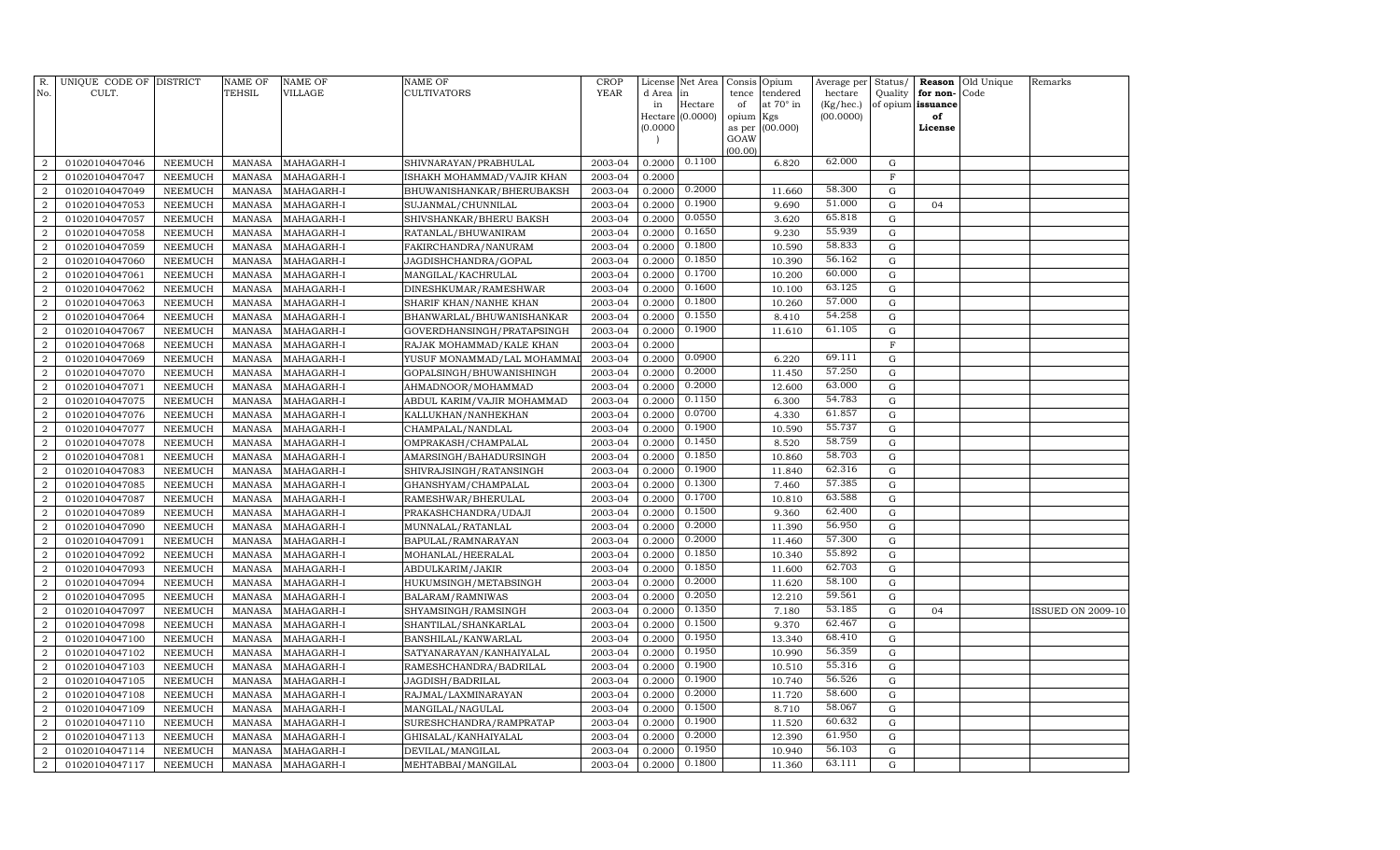| R.<br>No.      | UNIQUE CODE OF DISTRICT<br>CULT. |                | NAME OF<br>TEHSIL | <b>NAME OF</b><br>VILLAGE | <b>NAME OF</b><br>CULTIVATORS | <b>CROP</b><br><b>YEAR</b> | License<br>d Area | Net Area<br>in   | Consis<br>tence | Opium<br>tendered | Average per<br>hectare | Status/<br>Quality | Reason<br>for non- | Old Unique<br>Code | Remarks                  |
|----------------|----------------------------------|----------------|-------------------|---------------------------|-------------------------------|----------------------------|-------------------|------------------|-----------------|-------------------|------------------------|--------------------|--------------------|--------------------|--------------------------|
|                |                                  |                |                   |                           |                               |                            | in                | Hectare          | of              | at 70° in         | $(Kg/$ hec. $)$        | of opium           | issuance           |                    |                          |
|                |                                  |                |                   |                           |                               |                            |                   | Hectare (0.0000) | opium           | Kgs               | (00.0000)              |                    | of                 |                    |                          |
|                |                                  |                |                   |                           |                               |                            | (0.0000)          |                  | as per          | (00.000)          |                        |                    | License            |                    |                          |
|                |                                  |                |                   |                           |                               |                            |                   |                  | GOAW<br>(00.00) |                   |                        |                    |                    |                    |                          |
| $\overline{2}$ | 01020104047046                   | NEEMUCH        | <b>MANASA</b>     | MAHAGARH-I                | SHIVNARAYAN/PRABHULAL         | 2003-04                    | 0.2000            | 0.1100           |                 | 6.820             | 62.000                 | G                  |                    |                    |                          |
| $\overline{2}$ | 01020104047047                   | <b>NEEMUCH</b> | <b>MANASA</b>     | MAHAGARH-I                | ISHAKH MOHAMMAD/VAJIR KHAN    | 2003-04                    | 0.2000            |                  |                 |                   |                        | $\mathbf F$        |                    |                    |                          |
| 2              | 01020104047049                   | <b>NEEMUCH</b> | MANASA            | MAHAGARH-I                | BHUWANISHANKAR/BHERUBAKSH     | 2003-04                    | 0.2000            | 0.2000           |                 | 11.660            | 58.300                 | G                  |                    |                    |                          |
| $\overline{2}$ | 01020104047053                   | <b>NEEMUCH</b> | <b>MANASA</b>     | MAHAGARH-I                | SUJANMAL/CHUNNILAL            | 2003-04                    | 0.2000            | 0.1900           |                 | 9.690             | 51.000                 | G                  | 04                 |                    |                          |
| $\overline{a}$ | 01020104047057                   | <b>NEEMUCH</b> | <b>MANASA</b>     | MAHAGARH-I                | SHIVSHANKAR/BHERU BAKSH       | 2003-04                    | 0.2000            | 0.0550           |                 | 3.620             | 65.818                 | G                  |                    |                    |                          |
| $\overline{2}$ | 01020104047058                   | <b>NEEMUCH</b> | <b>MANASA</b>     | MAHAGARH-I                | RATANLAL/BHUWANIRAM           | 2003-04                    | 0.2000            | 0.1650           |                 | 9.230             | 55.939                 | G                  |                    |                    |                          |
| $\overline{a}$ | 01020104047059                   | <b>NEEMUCH</b> | <b>MANASA</b>     | MAHAGARH-I                | FAKIRCHANDRA/NANURAM          | 2003-04                    | 0.2000            | 0.1800           |                 | 10.590            | 58.833                 | $\mathbf G$        |                    |                    |                          |
| $\overline{a}$ | 01020104047060                   | <b>NEEMUCH</b> | <b>MANASA</b>     | MAHAGARH-I                | JAGDISHCHANDRA/GOPAL          | 2003-04                    | 0.2000            | 0.1850           |                 | 10.390            | 56.162                 | $\mathbf G$        |                    |                    |                          |
| $\overline{a}$ | 01020104047061                   | <b>NEEMUCH</b> | <b>MANASA</b>     | MAHAGARH-I                | MANGILAL/KACHRULAL            | 2003-04                    | 0.2000            | 0.1700           |                 | 10.200            | 60.000                 | $\mathbf G$        |                    |                    |                          |
| $\overline{a}$ | 01020104047062                   | <b>NEEMUCH</b> | <b>MANASA</b>     | MAHAGARH-I                | DINESHKUMAR/RAMESHWAR         | 2003-04                    | 0.2000            | 0.1600           |                 | 10.100            | 63.125                 | ${\rm G}$          |                    |                    |                          |
| $\overline{a}$ | 01020104047063                   | <b>NEEMUCH</b> | <b>MANASA</b>     | MAHAGARH-I                | SHARIF KHAN/NANHE KHAN        | 2003-04                    | 0.2000            | 0.1800           |                 | 10.260            | 57.000                 | G                  |                    |                    |                          |
| $\overline{2}$ | 01020104047064                   | <b>NEEMUCH</b> | <b>MANASA</b>     | MAHAGARH-I                | BHANWARLAL/BHUWANISHANKAR     | 2003-04                    | 0.2000            | 0.1550           |                 | 8.410             | 54.258                 | $\mathbf G$        |                    |                    |                          |
| $\overline{a}$ | 01020104047067                   | <b>NEEMUCH</b> | <b>MANASA</b>     | MAHAGARH-I                | GOVERDHANSINGH/PRATAPSINGH    | 2003-04                    | 0.2000            | 0.1900           |                 | 11.610            | 61.105                 | G                  |                    |                    |                          |
| $\overline{2}$ | 01020104047068                   | <b>NEEMUCH</b> | <b>MANASA</b>     | MAHAGARH-I                | RAJAK MOHAMMAD/KALE KHAN      | 2003-04                    | 0.2000            |                  |                 |                   |                        | $\rm F$            |                    |                    |                          |
| $\overline{a}$ | 01020104047069                   | <b>NEEMUCH</b> | <b>MANASA</b>     | MAHAGARH-I                | YUSUF MONAMMAD/LAL MOHAMMA    | 2003-04                    | 0.2000            | 0.0900           |                 | 6.220             | 69.111                 | $\mathbf G$        |                    |                    |                          |
| $\overline{2}$ | 01020104047070                   | <b>NEEMUCH</b> | <b>MANASA</b>     | MAHAGARH-I                | GOPALSINGH/BHUWANISHINGH      | 2003-04                    | 0.2000            | 0.2000           |                 | 11.450            | 57.250                 | G                  |                    |                    |                          |
| $\overline{a}$ | 01020104047071                   | <b>NEEMUCH</b> | <b>MANASA</b>     | MAHAGARH-I                | AHMADNOOR/MOHAMMAD            | 2003-04                    | 0.2000            | 0.2000           |                 | 12.600            | 63.000                 | $\mathbf G$        |                    |                    |                          |
| $\overline{a}$ | 01020104047075                   | <b>NEEMUCH</b> | <b>MANASA</b>     | MAHAGARH-I                | ABDUL KARIM/VAJIR MOHAMMAD    | 2003-04                    | 0.2000            | 0.1150           |                 | 6.300             | 54.783                 | ${\rm G}$          |                    |                    |                          |
| $\overline{2}$ | 01020104047076                   | <b>NEEMUCH</b> | <b>MANASA</b>     | MAHAGARH-I                | KALLUKHAN/NANHEKHAN           | 2003-04                    | 0.2000            | 0.0700           |                 | 4.330             | 61.857                 | $\mathbf G$        |                    |                    |                          |
| $\overline{2}$ | 01020104047077                   | <b>NEEMUCH</b> | <b>MANASA</b>     | MAHAGARH-I                | CHAMPALAL/NANDLAL             | 2003-04                    | 0.2000            | 0.1900           |                 | 10.590            | 55.737                 | G                  |                    |                    |                          |
| $\overline{a}$ | 01020104047078                   | <b>NEEMUCH</b> | <b>MANASA</b>     | MAHAGARH-I                | OMPRAKASH/CHAMPALAL           | 2003-04                    | 0.2000            | 0.1450           |                 | 8.520             | 58.759                 | G                  |                    |                    |                          |
| $\overline{2}$ | 01020104047081                   | <b>NEEMUCH</b> | <b>MANASA</b>     | MAHAGARH-I                | AMARSINGH/BAHADURSINGH        | 2003-04                    | 0.2000            | 0.1850           |                 | 10.860            | 58.703                 | G                  |                    |                    |                          |
| $\overline{2}$ | 01020104047083                   | NEEMUCH        | <b>MANASA</b>     | MAHAGARH-I                | SHIVRAJSINGH/RATANSINGH       | 2003-04                    | 0.2000            | 0.1900           |                 | 11.840            | 62.316                 | G                  |                    |                    |                          |
| $\overline{2}$ | 01020104047085                   | <b>NEEMUCH</b> | <b>MANASA</b>     | MAHAGARH-I                | GHANSHYAM/CHAMPALAL           | 2003-04                    | 0.2000            | 0.1300           |                 | 7.460             | 57.385                 | $\mathbf G$        |                    |                    |                          |
| $\overline{a}$ | 01020104047087                   | <b>NEEMUCH</b> | <b>MANASA</b>     | MAHAGARH-I                | RAMESHWAR/BHERULAL            | 2003-04                    | 0.2000            | 0.1700           |                 | 10.810            | 63.588                 | $\mathbf G$        |                    |                    |                          |
| $\overline{a}$ | 01020104047089                   | <b>NEEMUCH</b> | <b>MANASA</b>     | MAHAGARH-I                | PRAKASHCHANDRA/UDAJI          | 2003-04                    | 0.2000            | 0.1500           |                 | 9.360             | 62.400                 | G                  |                    |                    |                          |
| $\overline{a}$ | 01020104047090                   | <b>NEEMUCH</b> | <b>MANASA</b>     | MAHAGARH-I                | MUNNALAL/RATANLAL             | 2003-04                    | 0.2000            | 0.2000           |                 | 11.390            | 56.950                 | $\mathbf G$        |                    |                    |                          |
| $\overline{2}$ | 01020104047091                   | <b>NEEMUCH</b> | <b>MANASA</b>     | MAHAGARH-I                | BAPULAL/RAMNARAYAN            | 2003-04                    | 0.2000            | 0.2000           |                 | 11.460            | 57.300                 | $\mathbf G$        |                    |                    |                          |
| 2              | 01020104047092                   | <b>NEEMUCH</b> | <b>MANASA</b>     | MAHAGARH-I                | MOHANLAL/HEERALAL             | 2003-04                    | 0.2000            | 0.1850           |                 | 10.340            | 55.892                 | G                  |                    |                    |                          |
| $\overline{2}$ | 01020104047093                   | <b>NEEMUCH</b> | <b>MANASA</b>     | MAHAGARH-I                | ABDULKARIM/JAKIR              | 2003-04                    | 0.2000            | 0.1850           |                 | 11.600            | 62.703                 | G                  |                    |                    |                          |
| 2              | 01020104047094                   | <b>NEEMUCH</b> | <b>MANASA</b>     | MAHAGARH-I                | HUKUMSINGH/METABSINGH         | 2003-04                    | 0.2000            | 0.2000           |                 | 11.620            | 58.100                 | G                  |                    |                    |                          |
| $\overline{2}$ | 01020104047095                   | <b>NEEMUCH</b> | <b>MANASA</b>     | MAHAGARH-I                | BALARAM/RAMNIWAS              | 2003-04                    | 0.2000            | 0.2050           |                 | 12.210            | 59.561                 | $\mathbf G$        |                    |                    |                          |
| $\overline{a}$ | 01020104047097                   | NEEMUCH        | <b>MANASA</b>     | MAHAGARH-I                | SHYAMSINGH/RAMSINGH           | 2003-04                    | 0.2000            | 0.1350           |                 | 7.180             | 53.185                 | $\mathbf G$        | 04                 |                    | <b>ISSUED ON 2009-10</b> |
| $\overline{2}$ | 01020104047098                   | <b>NEEMUCH</b> | <b>MANASA</b>     | MAHAGARH-I                | SHANTILAL/SHANKARLAL          | 2003-04                    | 0.2000            | 0.1500           |                 | 9.370             | 62.467                 | G                  |                    |                    |                          |
| $\overline{a}$ | 01020104047100                   | <b>NEEMUCH</b> | <b>MANASA</b>     | MAHAGARH-I                | BANSHILAL/KANWARLAL           | 2003-04                    | 0.2000            | 0.1950           |                 | 13.340            | 68.410                 | G                  |                    |                    |                          |
| $\overline{a}$ | 01020104047102                   | <b>NEEMUCH</b> | <b>MANASA</b>     | MAHAGARH-I                | SATYANARAYAN/KANHAIYALAL      | 2003-04                    | 0.2000            | 0.1950           |                 | 10.990            | 56.359                 | G                  |                    |                    |                          |
| $\overline{a}$ | 01020104047103                   | NEEMUCH        | <b>MANASA</b>     | MAHAGARH-I                | RAMESHCHANDRA/BADRILAL        | 2003-04                    | 0.2000            | 0.1900           |                 | 10.510            | 55.316                 | G                  |                    |                    |                          |
| $\overline{a}$ | 01020104047105                   | <b>NEEMUCH</b> | <b>MANASA</b>     | MAHAGARH-I                | JAGDISH/BADRILAL              | 2003-04                    | 0.2000            | 0.1900           |                 | 10.740            | 56.526                 | $\mathbf G$        |                    |                    |                          |
| $\overline{a}$ | 01020104047108                   | <b>NEEMUCH</b> | <b>MANASA</b>     | MAHAGARH-I                | RAJMAL/LAXMINARAYAN           | 2003-04                    | 0.2000            | 0.2000<br>0.1500 |                 | 11.720            | 58.600<br>58.067       | $\mathbf G$        |                    |                    |                          |
| $\overline{2}$ | 01020104047109                   | <b>NEEMUCH</b> | <b>MANASA</b>     | MAHAGARH-I                | MANGILAL/NAGULAL              | 2003-04                    | 0.2000            |                  |                 | 8.710             |                        | $\mathbf G$        |                    |                    |                          |
| $\overline{a}$ | 01020104047110                   | NEEMUCH        | <b>MANASA</b>     | MAHAGARH-I                | SURESHCHANDRA/RAMPRATAP       | 2003-04                    | 0.2000            | 0.1900<br>0.2000 |                 | 11.520            | 60.632<br>61.950       | G                  |                    |                    |                          |
| $\overline{2}$ | 01020104047113                   | <b>NEEMUCH</b> | <b>MANASA</b>     | MAHAGARH-I                | GHISALAL/KANHAIYALAL          | 2003-04                    | 0.2000            | 0.1950           |                 | 12.390            | 56.103                 | G                  |                    |                    |                          |
| $\overline{a}$ | 01020104047114                   | NEEMUCH        | <b>MANASA</b>     | MAHAGARH-I                | DEVILAL/MANGILAL              | 2003-04                    | 0.2000            | 0.1800           |                 | 10.940            | 63.111                 | G                  |                    |                    |                          |
| $\overline{a}$ | 01020104047117                   | NEEMUCH        | MANASA            | MAHAGARH-I                | MEHTABBAI/MANGILAL            | 2003-04                    | 0.2000            |                  |                 | 11.360            |                        | $\mathbf G$        |                    |                    |                          |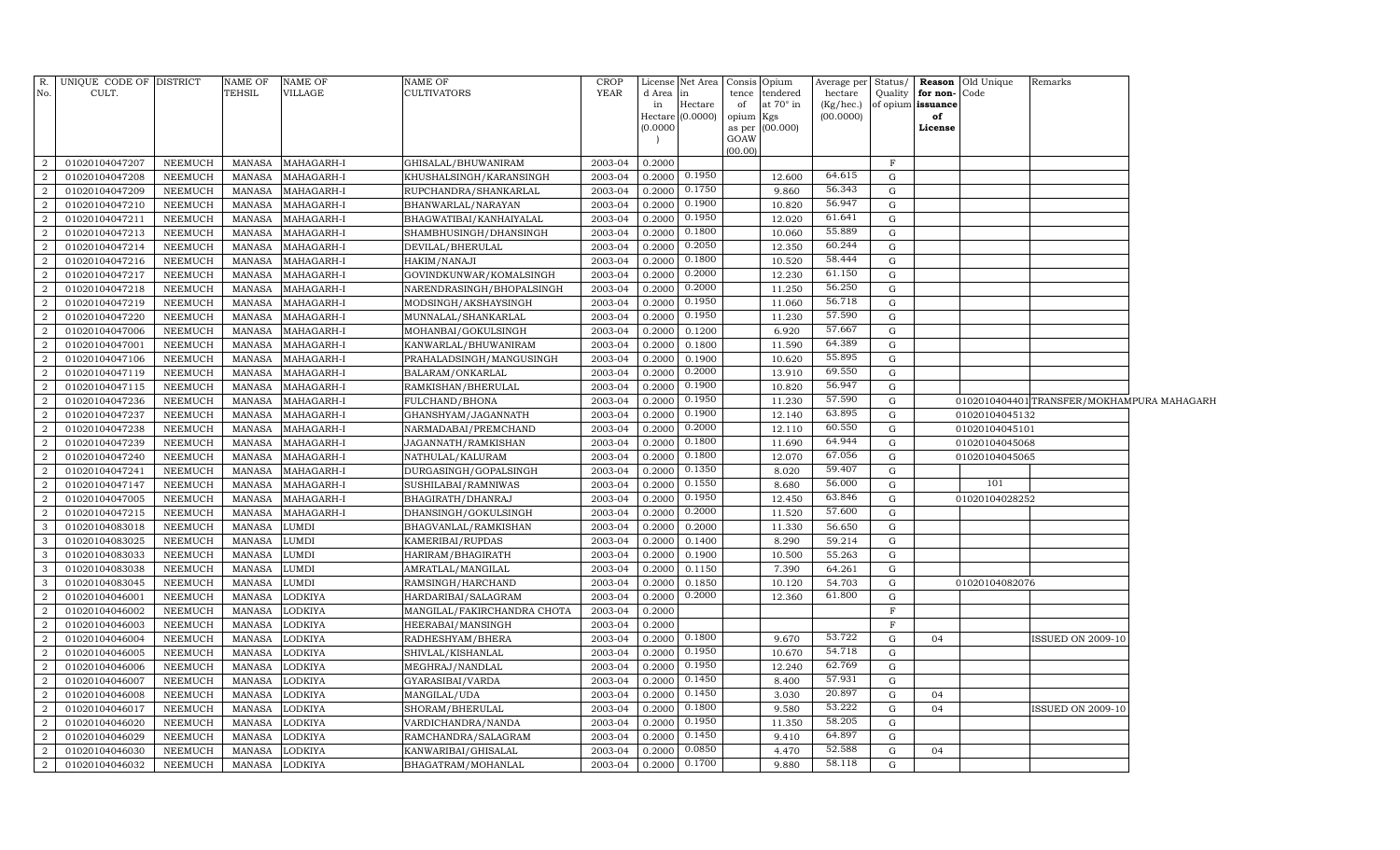| R.                               | UNIQUE CODE OF DISTRICT          |                                  | NAME OF                        | NAME OF            | <b>NAME OF</b>                   | <b>CROP</b>        |                  | License Net Area   Consis   Opium |             |                       | Average per          | Status/                    |                                   | <b>Reason</b> Old Unique | Remarks                                    |  |
|----------------------------------|----------------------------------|----------------------------------|--------------------------------|--------------------|----------------------------------|--------------------|------------------|-----------------------------------|-------------|-----------------------|----------------------|----------------------------|-----------------------------------|--------------------------|--------------------------------------------|--|
| No.                              | CULT.                            |                                  | TEHSIL                         | <b>VILLAGE</b>     | <b>CULTIVATORS</b>               | <b>YEAR</b>        | d Area<br>in     | $\ln$<br>Hectare                  | tence<br>of | tendered<br>at 70° in | hectare<br>(Kg/hec.) | Quality                    | for non-Code<br>of opium issuance |                          |                                            |  |
|                                  |                                  |                                  |                                |                    |                                  |                    |                  | Hectare (0.0000)                  | opium Kgs   |                       | (00.0000)            |                            | of                                |                          |                                            |  |
|                                  |                                  |                                  |                                |                    |                                  |                    | (0.0000)         |                                   |             | as per (00.000)       |                      |                            | License                           |                          |                                            |  |
|                                  |                                  |                                  |                                |                    |                                  |                    |                  |                                   | GOAW        |                       |                      |                            |                                   |                          |                                            |  |
| $\overline{2}$                   | 01020104047207                   | <b>NEEMUCH</b>                   | MANASA                         | MAHAGARH-I         | GHISALAL/BHUWANIRAM              | 2003-04            | 0.2000           |                                   | (00.00)     |                       |                      | $\mathbf F$                |                                   |                          |                                            |  |
| $\overline{2}$                   | 01020104047208                   | NEEMUCH                          | <b>MANASA</b>                  | MAHAGARH-I         | KHUSHALSINGH/KARANSINGH          | 2003-04            | 0.2000           | 0.1950                            |             | 12.600                | 64.615               | G                          |                                   |                          |                                            |  |
| $\overline{2}$                   | 01020104047209                   | <b>NEEMUCH</b>                   | <b>MANASA</b>                  | MAHAGARH-I         | RUPCHANDRA/SHANKARLAL            | 2003-04            | 0.2000           | 0.1750                            |             | 9.860                 | 56.343               | G                          |                                   |                          |                                            |  |
| $\overline{a}$                   | 01020104047210                   | NEEMUCH                          | <b>MANASA</b>                  | MAHAGARH-I         | BHANWARLAL/NARAYAN               | 2003-04            | 0.2000           | 0.1900                            |             | 10.820                | 56.947               | G                          |                                   |                          |                                            |  |
| $\overline{2}$                   | 01020104047211                   | <b>NEEMUCH</b>                   | <b>MANASA</b>                  | MAHAGARH-I         | BHAGWATIBAI/KANHAIYALAL          | 2003-04            | 0.2000           | 0.1950                            |             | 12.020                | 61.641               | G                          |                                   |                          |                                            |  |
| $\overline{a}$                   | 01020104047213                   | <b>NEEMUCH</b>                   | <b>MANASA</b>                  | MAHAGARH-I         | SHAMBHUSINGH/DHANSINGH           | 2003-04            | 0.2000           | 0.1800                            |             | 10.060                | 55.889               | G                          |                                   |                          |                                            |  |
| $\overline{2}$                   | 01020104047214                   | <b>NEEMUCH</b>                   | <b>MANASA</b>                  | MAHAGARH-I         | DEVILAL/BHERULAL                 | 2003-04            | 0.2000           | 0.2050                            |             | 12.350                | 60.244               | G                          |                                   |                          |                                            |  |
| $\overline{2}$                   | 01020104047216                   | <b>NEEMUCH</b>                   | <b>MANASA</b>                  | MAHAGARH-I         | HAKIM/NANAJI                     | 2003-04            | 0.2000           | 0.1800                            |             | 10.520                | 58.444               | G                          |                                   |                          |                                            |  |
| $\overline{2}$                   | 01020104047217                   | <b>NEEMUCH</b>                   | <b>MANASA</b>                  | MAHAGARH-I         | GOVINDKUNWAR/KOMALSINGH          | 2003-04            | 0.2000           | 0.2000                            |             | 12.230                | 61.150               | $\mathbf G$                |                                   |                          |                                            |  |
| $\overline{2}$                   | 01020104047218                   | <b>NEEMUCH</b>                   | <b>MANASA</b>                  | MAHAGARH-I         | NARENDRASINGH/BHOPALSINGH        | 2003-04            | 0.2000           | 0.2000                            |             | 11.250                | 56.250               | G                          |                                   |                          |                                            |  |
| $\overline{2}$                   | 01020104047219                   | <b>NEEMUCH</b>                   | <b>MANASA</b>                  | MAHAGARH-I         | MODSINGH/AKSHAYSINGH             | 2003-04            | 0.2000           | 0.1950                            |             | 11.060                | 56.718               | G                          |                                   |                          |                                            |  |
| $\overline{2}$                   | 01020104047220                   | <b>NEEMUCH</b>                   | <b>MANASA</b>                  | MAHAGARH-I         | MUNNALAL/SHANKARLAL              | 2003-04            | 0.2000           | 0.1950                            |             | 11.230                | 57.590               | G                          |                                   |                          |                                            |  |
| $\overline{2}$                   | 01020104047006                   | <b>NEEMUCH</b>                   | <b>MANASA</b>                  | MAHAGARH-I         | MOHANBAI/GOKULSINGH              | 2003-04            | 0.2000           | 0.1200                            |             | 6.920                 | 57.667               | G                          |                                   |                          |                                            |  |
| $\overline{2}$                   | 01020104047001                   | <b>NEEMUCH</b>                   | <b>MANASA</b>                  | MAHAGARH-I         | KANWARLAL/BHUWANIRAM             | 2003-04            | 0.2000           | 0.1800                            |             | 11.590                | 64.389               | G                          |                                   |                          |                                            |  |
| $\overline{2}$                   | 01020104047106                   | <b>NEEMUCH</b>                   | MANASA                         | MAHAGARH-I         | PRAHALADSINGH/MANGUSINGH         | 2003-04            | 0.2000           | 0.1900                            |             | 10.620                | 55.895               | $\mathbf G$                |                                   |                          |                                            |  |
| $\overline{2}$                   | 01020104047119                   | <b>NEEMUCH</b>                   | <b>MANASA</b>                  | MAHAGARH-I         | BALARAM/ONKARLAL                 | 2003-04            | 0.2000           | 0.2000                            |             | 13.910                | 69.550               | G                          |                                   |                          |                                            |  |
| $\overline{2}$                   | 01020104047115                   | <b>NEEMUCH</b>                   | <b>MANASA</b>                  | MAHAGARH-I         | RAMKISHAN/BHERULAL               | 2003-04            | 0.2000           | 0.1900                            |             | 10.820                | 56.947               | G                          |                                   |                          |                                            |  |
| $\overline{2}$                   | 01020104047236                   | NEEMUCH                          | <b>MANASA</b>                  | MAHAGARH-I         | FULCHAND/BHONA                   | 2003-04            | 0.2000           | 0.1950                            |             | 11.230                | 57.590               | G                          |                                   |                          | 0102010404401 TRANSFER/MOKHAMPURA MAHAGARH |  |
| $\overline{2}$                   | 01020104047237                   | NEEMUCH                          | <b>MANASA</b>                  | MAHAGARH-I         | GHANSHYAM/JAGANNATH              | 2003-04            | 0.2000           | 0.1900                            |             | 12.140                | 63.895               | G                          |                                   | 01020104045132           |                                            |  |
| $\overline{2}$                   | 01020104047238                   | <b>NEEMUCH</b>                   | MANASA                         | MAHAGARH-I         | NARMADABAI/PREMCHAND             | 2003-04            | 0.2000           | 0.2000                            |             | 12.110                | 60.550               | G                          |                                   | 01020104045101           |                                            |  |
| $\overline{2}$                   | 01020104047239                   | <b>NEEMUCH</b>                   | <b>MANASA</b>                  | MAHAGARH-I         | JAGANNATH/RAMKISHAN              | 2003-04            | 0.2000           | 0.1800                            |             | 11.690                | 64.944               | G                          |                                   | 01020104045068           |                                            |  |
| $\overline{2}$                   | 01020104047240                   | <b>NEEMUCH</b>                   | <b>MANASA</b>                  | MAHAGARH-I         | NATHULAL/KALURAM                 | 2003-04            | 0.2000           | 0.1800                            |             | 12.070                | 67.056               | G                          |                                   | 01020104045065           |                                            |  |
| $\overline{2}$                   | 01020104047241                   | <b>NEEMUCH</b>                   | <b>MANASA</b>                  | MAHAGARH-I         | DURGASINGH/GOPALSINGH            | 2003-04            | 0.2000           | 0.1350                            |             | 8.020                 | 59.407               | $\mathbf G$                |                                   |                          |                                            |  |
| $\overline{2}$                   | 01020104047147                   | <b>NEEMUCH</b>                   | <b>MANASA</b>                  | MAHAGARH-I         | SUSHILABAI/RAMNIWAS              | 2003-04            | 0.2000           | 0.1550                            |             | 8.680                 | 56.000               | G                          |                                   | 101                      |                                            |  |
| $\overline{2}$                   | 01020104047005                   | <b>NEEMUCH</b>                   | <b>MANASA</b>                  | MAHAGARH-I         | BHAGIRATH/DHANRAJ                | 2003-04            | 0.2000           | 0.1950                            |             | 12.450                | 63.846               | G                          |                                   | 01020104028252           |                                            |  |
| $\overline{2}$                   | 01020104047215                   | <b>NEEMUCH</b>                   | <b>MANASA</b>                  | MAHAGARH-I         | DHANSINGH/GOKULSINGH             | 2003-04            | 0.2000           | 0.2000                            |             | 11.520                | 57.600               | G                          |                                   |                          |                                            |  |
| 3                                | 01020104083018                   | <b>NEEMUCH</b>                   | <b>MANASA</b>                  | LUMDI              | BHAGVANLAL/RAMKISHAN             | 2003-04            | 0.2000           | 0.2000                            |             | 11.330                | 56.650               | G                          |                                   |                          |                                            |  |
| 3                                | 01020104083025                   | <b>NEEMUCH</b>                   | <b>MANASA</b>                  | LUMDI              | KAMERIBAI/RUPDAS                 | 2003-04            | 0.2000           | 0.1400                            |             | 8.290                 | 59.214               | G                          |                                   |                          |                                            |  |
| 3                                | 01020104083033                   | <b>NEEMUCH</b>                   | <b>MANASA</b>                  | LUMDI              | HARIRAM/BHAGIRATH                | 2003-04            | 0.2000           | 0.1900                            |             | 10.500                | 55.263               | G                          |                                   |                          |                                            |  |
| 3                                | 01020104083038                   | <b>NEEMUCH</b>                   | <b>MANASA</b>                  | LUMDI              | AMRATLAL/MANGILAL                | 2003-04            | 0.2000           | 0.1150                            |             | 7.390                 | 64.261               | G                          |                                   |                          |                                            |  |
| 3                                | 01020104083045                   | <b>NEEMUCH</b>                   | <b>MANASA</b>                  | LUMDI              | RAMSINGH/HARCHAND                | 2003-04            | 0.2000           | 0.1850                            |             | 10.120                | 54.703               | G                          |                                   | 01020104082076           |                                            |  |
| $\overline{2}$                   | 01020104046001                   | <b>NEEMUCH</b>                   | <b>MANASA</b>                  | LODKIYA            | HARDARIBAI/SALAGRAM              | 2003-04            | 0.2000           | 0.2000                            |             | 12.360                | 61.800               | G                          |                                   |                          |                                            |  |
| $\overline{2}$                   | 01020104046002                   | <b>NEEMUCH</b>                   | <b>MANASA</b>                  | LODKIYA            | MANGILAL/FAKIRCHANDRA CHOTA      | 2003-04            | 0.2000           |                                   |             |                       |                      | $\mathbf{F}$               |                                   |                          |                                            |  |
| $\overline{2}$                   | 01020104046003                   | <b>NEEMUCH</b>                   | <b>MANASA</b>                  | LODKIYA            | HEERABAI/MANSINGH                | 2003-04            | 0.2000           | 0.1800                            |             |                       | 53.722               | $\mathbf{F}$               |                                   |                          |                                            |  |
| $\overline{2}$                   | 01020104046004                   | <b>NEEMUCH</b>                   | <b>MANASA</b>                  | LODKIYA            | RADHESHYAM/BHERA                 | 2003-04            | 0.2000           | 0.1950                            |             | 9.670                 | 54.718               | $\mathbf G$                | 04                                |                          | SSUED ON 2009-10                           |  |
| $\overline{2}$                   | 01020104046005                   | <b>NEEMUCH</b>                   | <b>MANASA</b>                  | LODKIYA            | SHIVLAL/KISHANLAL                | 2003-04            | 0.2000           | 0.1950                            |             | 10.670                | 62.769               | G                          |                                   |                          |                                            |  |
| $\overline{2}$<br>$\overline{2}$ | 01020104046006                   | <b>NEEMUCH</b>                   | <b>MANASA</b>                  | LODKIYA            | MEGHRAJ/NANDLAL                  | 2003-04            | 0.2000<br>0.2000 | 0.1450                            |             | 12.240<br>8.400       | 57.931               | $\mathbf G$<br>$\mathbf G$ |                                   |                          |                                            |  |
| $\overline{2}$                   | 01020104046007<br>01020104046008 | <b>NEEMUCH</b><br><b>NEEMUCH</b> | <b>MANASA</b><br><b>MANASA</b> | LODKIYA<br>LODKIYA | GYARASIBAI/VARDA<br>MANGILAL/UDA | 2003-04<br>2003-04 | 0.2000           | 0.1450                            |             | 3.030                 | 20.897               | G                          | 04                                |                          |                                            |  |
| $\overline{2}$                   | 01020104046017                   | <b>NEEMUCH</b>                   | <b>MANASA</b>                  | LODKIYA            | SHORAM/BHERULAL                  | 2003-04            | 0.2000           | 0.1800                            |             | 9.580                 | 53.222               | G                          | 04                                |                          | <b>ISSUED ON 2009-10</b>                   |  |
| $\overline{2}$                   | 01020104046020                   | <b>NEEMUCH</b>                   | <b>MANASA</b>                  | LODKIYA            | VARDICHANDRA/NANDA               | 2003-04            | 0.2000           | 0.1950                            |             | 11.350                | 58.205               | G                          |                                   |                          |                                            |  |
| $\overline{2}$                   | 01020104046029                   | <b>NEEMUCH</b>                   | <b>MANASA</b>                  | LODKIYA            | RAMCHANDRA/SALAGRAM              | 2003-04            | 0.2000           | 0.1450                            |             | 9.410                 | 64.897               | G                          |                                   |                          |                                            |  |
| 2                                | 01020104046030                   | <b>NEEMUCH</b>                   | <b>MANASA</b>                  | LODKIYA            | KANWARIBAI/GHISALAL              | 2003-04            | 0.2000           | 0.0850                            |             | 4.470                 | 52.588               | G                          | 04                                |                          |                                            |  |
| $\overline{a}$                   | 01020104046032                   | <b>NEEMUCH</b>                   | <b>MANASA</b>                  | <b>LODKIYA</b>     | BHAGATRAM / MOHANLAL             | 2003-04            | 0.2000           | 0.1700                            |             | 9.880                 | 58.118               | G                          |                                   |                          |                                            |  |
|                                  |                                  |                                  |                                |                    |                                  |                    |                  |                                   |             |                       |                      |                            |                                   |                          |                                            |  |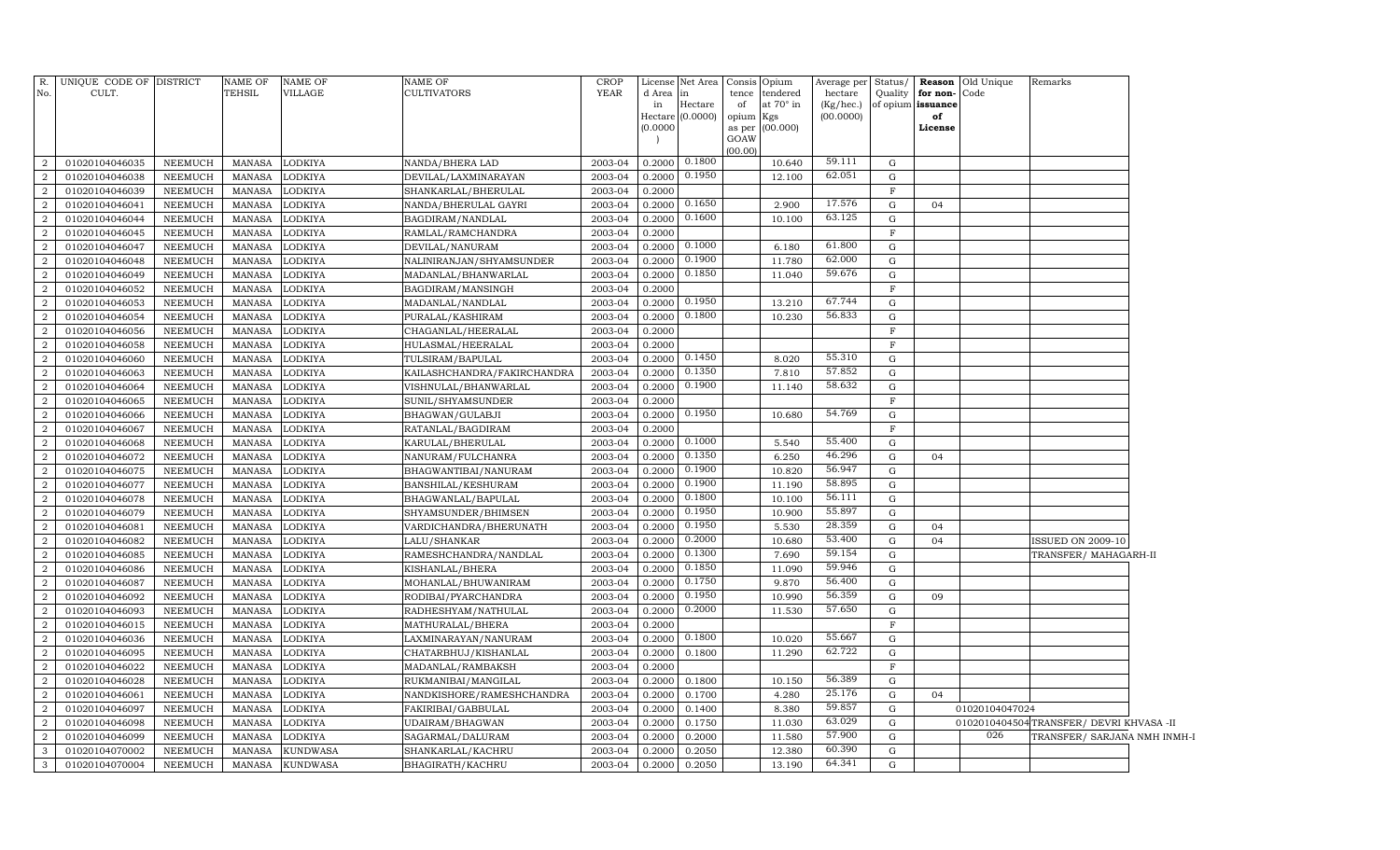| No.            | R. UNIQUE CODE OF DISTRICT<br>CULT. |                           | <b>NAME OF</b><br><b>TEHSIL</b> | <b>NAME OF</b><br>VILLAGE | NAME OF<br>CULTIVATORS                | <b>CROP</b><br><b>YEAR</b> | d Area           | License Net Area<br>in | Consis Opium<br>tence | tendered         | Average per<br>hectare | Status/          | Quality for non-Code | <b>Reason</b> Old Unique | Remarks                               |  |
|----------------|-------------------------------------|---------------------------|---------------------------------|---------------------------|---------------------------------------|----------------------------|------------------|------------------------|-----------------------|------------------|------------------------|------------------|----------------------|--------------------------|---------------------------------------|--|
|                |                                     |                           |                                 |                           |                                       |                            | in               | Hectare                | of                    | at $70^\circ$ in | (Kg/hec.)              |                  | of opium issuance    |                          |                                       |  |
|                |                                     |                           |                                 |                           |                                       |                            | Hectare          | (0.0000)               | opium Kgs             |                  | (00.0000)              |                  | of                   |                          |                                       |  |
|                |                                     |                           |                                 |                           |                                       |                            | (0.0000)         |                        |                       | as per (00.000)  |                        |                  | License              |                          |                                       |  |
|                |                                     |                           |                                 |                           |                                       |                            |                  |                        | GOAW<br>(00.00)       |                  |                        |                  |                      |                          |                                       |  |
| 2              | 01020104046035                      | NEEMUCH                   | <b>MANASA</b>                   | <b>LODKIYA</b>            | NANDA/BHERA LAD                       | 2003-04                    | 0.2000           | 0.1800                 |                       | 10.640           | 59.111                 | G                |                      |                          |                                       |  |
| $\overline{2}$ | 01020104046038                      | NEEMUCH                   | MANASA                          | LODKIYA                   | DEVILAL/LAXMINARAYAN                  | 2003-04                    | 0.2000           | 0.1950                 |                       | 12.100           | 62.051                 | G                |                      |                          |                                       |  |
| $\overline{2}$ | 01020104046039                      | <b>NEEMUCH</b>            | <b>MANASA</b>                   | <b>LODKIYA</b>            | SHANKARLAL/BHERULAL                   | 2003-04                    | 0.2000           |                        |                       |                  |                        | F                |                      |                          |                                       |  |
| $\overline{2}$ | 01020104046041                      | <b>NEEMUCH</b>            | <b>MANASA</b>                   | <b>LODKIYA</b>            | NANDA/BHERULAL GAYRI                  | 2003-04                    | 0.2000           | 0.1650                 |                       | 2.900            | 17.576                 | G                | 04                   |                          |                                       |  |
| $\overline{2}$ | 01020104046044                      | <b>NEEMUCH</b>            | <b>MANASA</b>                   | <b>LODKIYA</b>            | BAGDIRAM/NANDLAL                      | 2003-04                    | 0.2000           | 0.1600                 |                       | 10.100           | 63.125                 | G                |                      |                          |                                       |  |
| $\overline{2}$ | 01020104046045                      | <b>NEEMUCH</b>            | <b>MANASA</b>                   | LODKIYA                   | RAMLAL/RAMCHANDRA                     | 2003-04                    | 0.2000           |                        |                       |                  |                        | $_{\rm F}$       |                      |                          |                                       |  |
| $\overline{2}$ | 01020104046047                      | <b>NEEMUCH</b>            | <b>MANASA</b>                   | <b>LODKIYA</b>            | DEVILAL/NANURAM                       | 2003-04                    | 0.2000           | 0.1000                 |                       | 6.180            | 61.800                 | G                |                      |                          |                                       |  |
| $\overline{2}$ | 01020104046048                      | <b>NEEMUCH</b>            | <b>MANASA</b>                   | LODKIYA                   | NALINIRANJAN/SHYAMSUNDER              | 2003-04                    | 0.2000           | 0.1900                 |                       | 11.780           | 62.000                 | G                |                      |                          |                                       |  |
| 2              | 01020104046049                      | <b>NEEMUCH</b>            | <b>MANASA</b>                   | LODKIYA                   | MADANLAL/BHANWARLAL                   | 2003-04                    | 0.2000           | 0.1850                 |                       | 11.040           | 59.676                 | G                |                      |                          |                                       |  |
| 2              | 01020104046052                      | <b>NEEMUCH</b>            | <b>MANASA</b>                   | LODKIYA                   | BAGDIRAM/MANSINGH                     | 2003-04                    | 0.2000           |                        |                       |                  |                        | F                |                      |                          |                                       |  |
| $\overline{2}$ | 01020104046053                      | <b>NEEMUCH</b>            | <b>MANASA</b>                   | LODKIYA                   | MADANLAL/NANDLAL                      | 2003-04                    | 0.2000           | 0.1950                 |                       | 13.210           | 67.744                 | $\mathbf G$      |                      |                          |                                       |  |
| $\overline{2}$ | 01020104046054                      | NEEMUCH                   | <b>MANASA</b>                   | LODKIYA                   | PURALAL/KASHIRAM                      | 2003-04                    | 0.2000           | 0.1800                 |                       | 10.230           | 56.833                 | G                |                      |                          |                                       |  |
| $\overline{2}$ | 01020104046056                      | <b>NEEMUCH</b>            | <b>MANASA</b>                   | LODKIYA                   | CHAGANLAL/HEERALAL                    | 2003-04                    | 0.2000           |                        |                       |                  |                        | F                |                      |                          |                                       |  |
| $\overline{2}$ | 01020104046058                      | <b>NEEMUCH</b>            | <b>MANASA</b>                   | LODKIYA                   | HULASMAL/HEERALAL                     | 2003-04                    | 0.2000           |                        |                       |                  |                        | F                |                      |                          |                                       |  |
| $\overline{2}$ | 01020104046060                      | <b>NEEMUCH</b>            | <b>MANASA</b>                   | LODKIYA                   | TULSIRAM/BAPULAL                      | 2003-04                    | 0.2000           | 0.1450                 |                       | 8.020            | 55.310                 | G                |                      |                          |                                       |  |
| $\overline{2}$ | 01020104046063                      | <b>NEEMUCH</b>            | <b>MANASA</b>                   | LODKIYA                   | KAILASHCHANDRA/FAKIRCHANDRA           | 2003-04                    | 0.2000           | 0.1350                 |                       | 7.810            | 57.852                 | G                |                      |                          |                                       |  |
| $\overline{2}$ | 01020104046064                      | <b>NEEMUCH</b>            | <b>MANASA</b>                   | LODKIYA                   | VISHNULAL/BHANWARLAL                  | 2003-04                    | 0.2000           | 0.1900                 |                       | 11.140           | 58.632                 | G                |                      |                          |                                       |  |
| $\overline{2}$ | 01020104046065                      | <b>NEEMUCH</b>            | <b>MANASA</b>                   | LODKIYA                   | SUNIL/SHYAMSUNDER                     | 2003-04                    | 0.2000           |                        |                       |                  |                        | F                |                      |                          |                                       |  |
| $\overline{2}$ | 01020104046066                      | <b>NEEMUCH</b>            | <b>MANASA</b>                   | LODKIYA                   | BHAGWAN/GULABJI                       | 2003-04                    | 0.2000           | 0.1950                 |                       | 10.680           | 54.769                 | G                |                      |                          |                                       |  |
| $\overline{2}$ | 01020104046067                      | <b>NEEMUCH</b>            | <b>MANASA</b>                   | LODKIYA                   | RATANLAL/BAGDIRAM                     | 2003-04                    | 0.2000           |                        |                       |                  |                        | F                |                      |                          |                                       |  |
| $\overline{2}$ | 01020104046068                      | <b>NEEMUCH</b>            | <b>MANASA</b>                   | LODKIYA                   | KARULAL/BHERULAL                      | 2003-04                    | 0.2000           | 0.1000                 |                       | 5.540            | 55.400                 | G                |                      |                          |                                       |  |
|                | 01020104046072                      | <b>NEEMUCH</b>            | <b>MANASA</b>                   | LODKIYA                   | NANURAM/FULCHANRA                     | 2003-04                    | 0.2000           | 0.1350                 |                       | 6.250            | 46.296                 | G                | 04                   |                          |                                       |  |
| $\overline{2}$ | 01020104046075                      | <b>NEEMUCH</b>            | <b>MANASA</b>                   | LODKIYA                   | BHAGWANTIBAI/NANURAM                  | 2003-04                    | 0.2000           | 0.1900                 |                       | 10.820           | 56.947                 | G                |                      |                          |                                       |  |
|                | 01020104046077                      | NEEMUCH                   | <b>MANASA</b>                   | LODKIYA                   | BANSHILAL/KESHURAM                    | 2003-04                    | 0.2000           | 0.1900                 |                       | 11.190           | 58.895                 | G                |                      |                          |                                       |  |
| $\overline{2}$ | 01020104046078                      | <b>NEEMUCH</b>            | <b>MANASA</b>                   | LODKIYA                   | BHAGWANLAL/BAPULAL                    | 2003-04                    | 0.2000           | 0.1800                 |                       | 10.100           | 56.111                 | G                |                      |                          |                                       |  |
|                | 01020104046079                      | NEEMUCH                   | <b>MANASA</b>                   | LODKIYA                   | SHYAMSUNDER/BHIMSEN                   | 2003-04                    | 0.2000           | 0.1950                 |                       | 10.900           | 55.897                 | G                |                      |                          |                                       |  |
| $\mathcal{D}$  | 01020104046081                      | <b>NEEMUCH</b>            | <b>MANASA</b>                   | LODKIYA                   | VARDICHANDRA/BHERUNATH                | 2003-04                    | 0.2000           | 0.1950                 |                       | 5.530            | 28.359                 | G                | 04                   |                          |                                       |  |
| $\overline{2}$ | 01020104046082                      | NEEMUCH                   | <b>MANASA</b>                   | LODKIYA                   | LALU/SHANKAR                          | 2003-04                    | 0.2000           | 0.2000                 |                       | 10.680           | 53.400                 | G                | 04                   |                          | <b>ISSUED ON 2009-10</b>              |  |
| $\mathcal{D}$  | 01020104046085                      | <b>NEEMUCH</b>            | <b>MANASA</b>                   | LODKIYA                   | RAMESHCHANDRA/NANDLAL                 | 2003-04                    | 0.2000           | 0.1300                 |                       | 7.690            | 59.154                 | G                |                      |                          | TRANSFER/MAHAGARH-II                  |  |
| $\mathcal{D}$  | 01020104046086                      | <b>NEEMUCH</b>            | <b>MANASA</b>                   | LODKIYA                   | KISHANLAL/BHERA                       | 2003-04                    | 0.2000           | 0.1850                 |                       | 11.090           | 59.946                 | G                |                      |                          |                                       |  |
| $\mathcal{D}$  | 01020104046087                      | NEEMUCH                   | <b>MANASA</b>                   | LODKIYA                   | MOHANLAL/BHUWANIRAM                   | 2003-04                    | 0.2000           | 0.1750                 |                       | 9.870            | 56.400                 | G                |                      |                          |                                       |  |
| $\mathcal{D}$  | 01020104046092                      | NEEMUCH                   | <b>MANASA</b>                   | LODKIYA                   | RODIBAI/PYARCHANDRA                   | 2003-04                    | 0.2000           | 0.1950                 |                       | 10.990           | 56.359                 | G                | 09                   |                          |                                       |  |
| $\mathcal{D}$  | 01020104046093                      | <b>NEEMUCH</b>            | <b>MANASA</b>                   | LODKIYA                   | RADHESHYAM/NATHULAL                   | 2003-04                    | 0.2000           | 0.2000                 |                       | 11.530           | 57.650                 | G                |                      |                          |                                       |  |
| $\mathcal{D}$  | 01020104046015                      | NEEMUCH                   | <b>MANASA</b>                   | LODKIYA                   | MATHURALAL/BHERA                      | 2003-04                    | 0.2000           |                        |                       |                  |                        | F                |                      |                          |                                       |  |
| $\overline{2}$ | 01020104046036                      | NEEMUCH                   | <b>MANASA</b>                   | LODKIYA                   | LAXMINARAYAN/NANURAM                  | 2003-04                    | 0.2000           | 0.1800                 |                       | 10.020           | 55.667                 | G                |                      |                          |                                       |  |
| $\overline{2}$ | 01020104046095                      | NEEMUCH                   | <b>MANASA</b>                   | LODKIYA                   | CHATARBHUJ/KISHANLAL                  | 2003-04                    | 0.2000           | 0.1800                 |                       | 11.290           | 62.722                 | G                |                      |                          |                                       |  |
| $\mathcal{D}$  | 01020104046022                      | NEEMUCH                   | <b>MANASA</b>                   | LODKIYA                   | MADANLAL/RAMBAKSH                     | 2003-04                    | 0.2000           |                        |                       |                  |                        | $\mathbf F$      |                      |                          |                                       |  |
| $\overline{2}$ | 01020104046028                      | NEEMUCH                   | <b>MANASA</b>                   | LODKIYA                   | RUKMANIBAI/MANGILAL                   | 2003-04                    | 0.2000           | 0.1800                 |                       | 10.150           | 56.389                 | G                |                      |                          |                                       |  |
| 2              | 01020104046061                      | NEEMUCH                   | MANASA                          | <b>LODKIYA</b>            | NANDKISHORE/RAMESHCHANDRA             | 2003-04                    | 0.2000           | 0.1700                 |                       | 4.280            | 25.176<br>59.857       | $\mathbf G$      | 04                   |                          |                                       |  |
| 2              | 01020104046097                      | <b>NEEMUCH</b>            | <b>MANASA</b>                   | <b>LODKIYA</b>            | FAKIRIBAI/GABBULAL                    | 2003-04                    | 0.2000           | 0.1400                 |                       | 8.380            | 63.029                 | G                |                      | 01020104047024           |                                       |  |
| 2<br>2         | 01020104046098                      | <b>NEEMUCH</b>            | <b>MANASA</b>                   | LODKIYA                   | UDAIRAM/BHAGWAN                       | 2003-04                    | 0.2000           | 0.1750                 |                       | 11.030<br>11.580 | 57.900                 | $\mathbf G$<br>G |                      | 026                      | 0102010404504TRANSFER/DEVRI KHVASA-II |  |
| 3              | 01020104046099<br>01020104070002    | NEEMUCH<br><b>NEEMUCH</b> | <b>MANASA</b>                   | LODKIYA                   | SAGARMAL/DALURAM<br>SHANKARLAL/KACHRU | 2003-04<br>2003-04         | 0.2000<br>0.2000 | 0.2000<br>0.2050       |                       | 12.380           | 60.390                 | G                |                      |                          | TRANSFER/ SARJANA NMH INMH-I          |  |
|                |                                     |                           | <b>MANASA</b>                   | <b>KUNDWASA</b>           |                                       | 2003-04                    |                  |                        |                       | 13.190           | 64.341                 | G                |                      |                          |                                       |  |
| 3              | 01020104070004                      | NEEMUCH                   | MANASA                          | <b>KUNDWASA</b>           | BHAGIRATH/KACHRU                      |                            | 0.2000           | 0.2050                 |                       |                  |                        |                  |                      |                          |                                       |  |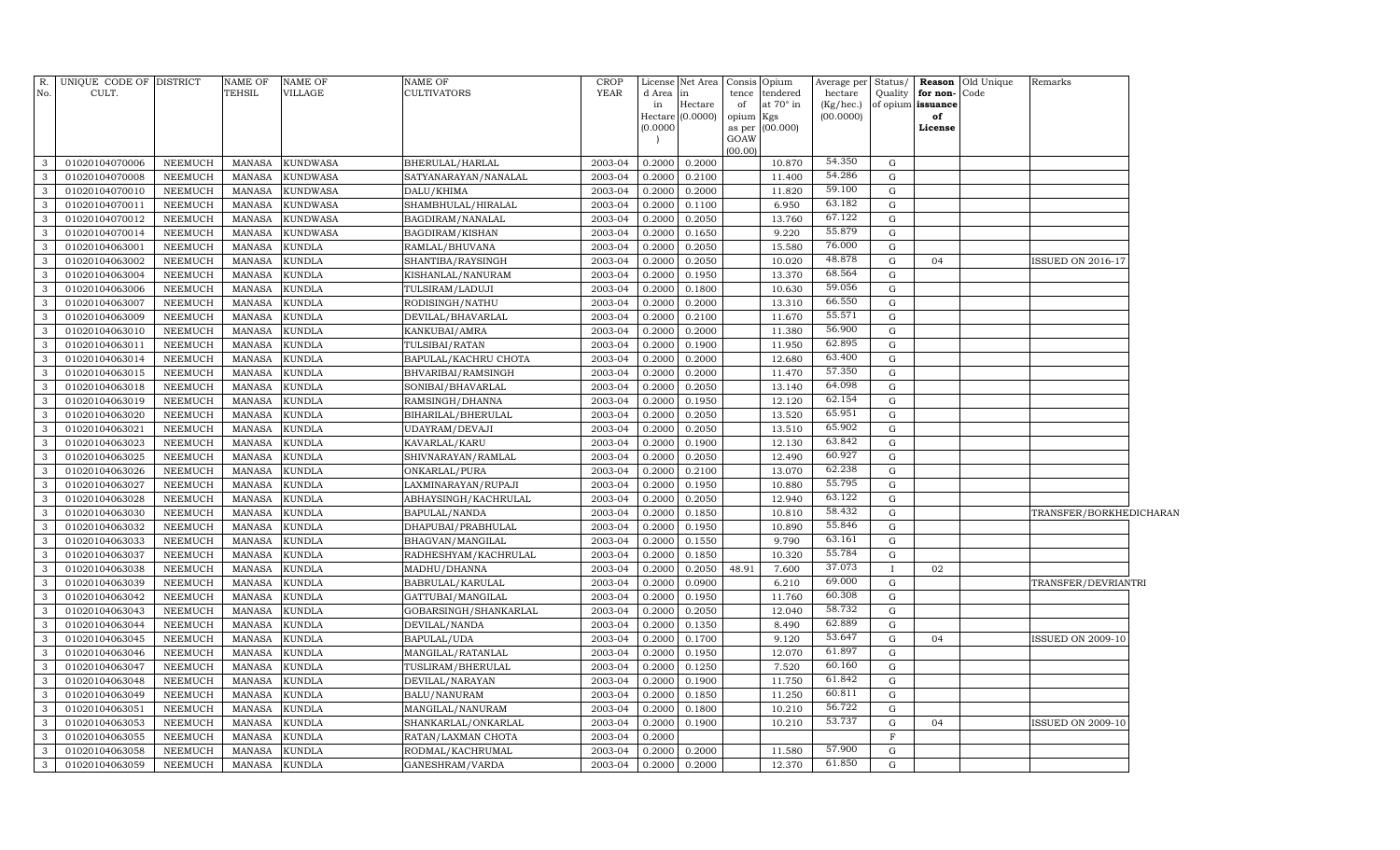| No.<br>d Area<br>tendered<br>hectare<br>Quality<br>for non-<br>Code<br>tence<br>in<br>of opium issuance<br>Hectare<br>of<br>at 70° in<br>(Kg/hec.)<br>in<br>(00.0000)<br>(0.0000)<br>of<br>opium<br>Hectare<br>Kgs<br>(0.0000)<br>(00.000)<br>as per<br>License<br>GOAW<br>(00.00)<br>54.350<br>0.2000<br>01020104070006<br><b>KUNDWASA</b><br>BHERULAL/HARLAL<br>2003-04<br>0.2000<br>10.870<br>G<br>NEEMUCH<br>MANASA<br>3<br>54.286<br>${\rm G}$<br>01020104070008<br>MANASA<br><b>KUNDWASA</b><br>2003-04<br>0.2000<br>0.2100<br>11.400<br>3<br><b>NEEMUCH</b><br>SATYANARAYAN/NANALAL<br>59.100<br>DALU/KHIMA<br>2003-04<br>0.2000<br>11.820<br>G<br>3<br>01020104070010<br><b>NEEMUCH</b><br>MANASA<br><b>KUNDWASA</b><br>0.2000<br>63.182<br><b>KUNDWASA</b><br>SHAMBHULAL/HIRALAL<br>2003-04<br>0.1100<br>6.950<br>$\mathbf G$<br>01020104070011<br>NEEMUCH<br>MANASA<br>0.2000<br>3<br>67.122<br>01020104070012<br><b>NEEMUCH</b><br>MANASA<br><b>KUNDWASA</b><br>BAGDIRAM/NANALAL<br>2003-04<br>0.2050<br>13.760<br>$\mathbf G$<br>3<br>0.2000<br>55.879<br>01020104070014<br>2003-04<br>0.1650<br>9.220<br>$\mathbf G$<br>3<br><b>NEEMUCH</b><br>MANASA<br><b>KUNDWASA</b><br><b>BAGDIRAM/KISHAN</b><br>0.2000<br>76.000<br>01020104063001<br><b>KUNDLA</b><br>RAMLAL/BHUVANA<br>2003-04<br>0.2050<br>15.580<br>${\rm G}$<br>3<br><b>NEEMUCH</b><br>MANASA<br>0.2000<br>48.878<br>01020104063002<br><b>KUNDLA</b><br>2003-04<br>0.2050<br>10.020<br>${\rm G}$<br>3<br><b>NEEMUCH</b><br>MANASA<br>SHANTIBA/RAYSINGH<br>0.2000<br>04<br><b>ISSUED ON 2016-17</b><br>68.564<br>${\rm G}$<br>01020104063004<br><b>KUNDLA</b><br>2003-04<br>0.1950<br>13.370<br>3<br><b>NEEMUCH</b><br>MANASA<br>KISHANLAL/NANURAM<br>0.2000<br>59.056<br>01020104063006<br><b>KUNDLA</b><br>2003-04<br>0.1800<br>10.630<br>${\rm G}$<br>3<br><b>NEEMUCH</b><br>MANASA<br>TULSIRAM/LADUJI<br>0.2000<br>66.550<br>01020104063007<br><b>KUNDLA</b><br>2003-04<br>0.2000<br>13.310<br>${\rm G}$<br>3<br><b>NEEMUCH</b><br>MANASA<br>RODISINGH/NATHU<br>0.2000<br>55.571<br>11.670<br>${\rm G}$<br>3<br>01020104063009<br><b>NEEMUCH</b><br><b>MANASA</b><br><b>KUNDLA</b><br>DEVILAL/BHAVARLAL<br>2003-04<br>0.2000<br>0.2100<br>56.900<br>2003-04<br>0.2000<br>11.380<br>${\rm G}$<br>3<br>01020104063010<br><b>NEEMUCH</b><br><b>MANASA</b><br><b>KUNDLA</b><br>KANKUBAI/AMRA<br>0.2000<br>62.895<br>11.950<br>${\rm G}$<br>01020104063011<br><b>NEEMUCH</b><br>MANASA<br><b>KUNDLA</b><br>TULSIBAI/RATAN<br>2003-04<br>0.2000<br>0.1900<br>3<br>63.400<br>2003-04<br>12.680<br>${\rm G}$<br>3<br>01020104063014<br><b>NEEMUCH</b><br><b>MANASA</b><br><b>KUNDLA</b><br>BAPULAL/KACHRU CHOTA<br>0.2000<br>0.2000<br>57.350<br>11.470<br>${\rm G}$<br>01020104063015<br><b>NEEMUCH</b><br>MANASA<br><b>KUNDLA</b><br>BHVARIBAI/RAMSINGH<br>2003-04<br>0.2000<br>0.2000<br>3<br>64.098<br>2003-04<br>${\rm G}$<br>01020104063018<br><b>NEEMUCH</b><br><b>MANASA</b><br><b>KUNDLA</b><br>SONIBAI/BHAVARLAL<br>0.2000<br>0.2050<br>13.140<br>3<br>62.154<br>12.120<br>${\rm G}$<br>01020104063019<br><b>NEEMUCH</b><br><b>MANASA</b><br><b>KUNDLA</b><br>RAMSINGH/DHANNA<br>2003-04<br>0.2000<br>0.1950<br>3<br>65.951<br>2003-04<br>13.520<br>${\rm G}$<br>3<br>01020104063020<br><b>NEEMUCH</b><br><b>MANASA</b><br><b>KUNDLA</b><br>BIHARILAL/BHERULAL<br>0.2000<br>0.2050<br>65.902<br>${\bf G}$<br>13.510<br>01020104063021<br><b>NEEMUCH</b><br><b>MANASA</b><br><b>KUNDLA</b><br>UDAYRAM/DEVAJI<br>2003-04<br>0.2000<br>0.2050<br>3<br>2003-04<br>12.130<br>63.842<br>G<br>01020104063023<br><b>NEEMUCH</b><br>MANASA<br><b>KUNDLA</b><br>KAVARLAL/KARU<br>0.2000<br>0.1900<br>3<br>60.927<br>12.490<br>${\rm G}$<br>01020104063025<br><b>NEEMUCH</b><br><b>MANASA</b><br><b>KUNDLA</b><br>SHIVNARAYAN/RAMLAL<br>2003-04<br>0.2000<br>0.2050<br>3<br>62.238<br>2003-04<br>G<br>01020104063026<br><b>NEEMUCH</b><br><b>KUNDLA</b><br>0.2000<br>0.2100<br>13.070<br>3<br><b>MANASA</b><br>ONKARLAL/PURA<br>55.795<br>10.880<br>${\rm G}$<br>01020104063027<br><b>NEEMUCH</b><br><b>MANASA</b><br><b>KUNDLA</b><br>2003-04<br>0.2000<br>0.1950<br>3<br>LAXMINARAYAN/RUPAJI<br>63.122<br>2003-04<br>12.940<br>${\bf G}$<br>01020104063028<br><b>NEEMUCH</b><br><b>MANASA</b><br><b>KUNDLA</b><br>ABHAYSINGH/KACHRULAL<br>0.2000<br>0.2050<br>3<br>58.432<br>${\rm G}$<br>2003-04<br>0.1850<br>10.810<br>3<br>01020104063030<br>NEEMUCH<br><b>MANASA</b><br><b>KUNDLA</b><br>BAPULAL/NANDA<br>0.2000<br>TRANSFER/BORKHEDICHARAN<br>55.846<br>G<br>3<br>2003-04<br>0.1950<br>10.890<br>01020104063032<br>NEEMUCH<br><b>MANASA</b><br><b>KUNDLA</b><br>DHAPUBAI/PRABHULAL<br>0.2000<br>63.161<br>G<br><b>KUNDLA</b><br>2003-04<br>0.1550<br>9.790<br>01020104063033<br>NEEMUCH<br><b>MANASA</b><br>BHAGVAN/MANGILAL<br>0.2000<br>3<br>55.784<br>2003-04<br>10.320<br>${\rm G}$<br>01020104063037<br><b>NEEMUCH</b><br><b>MANASA</b><br><b>KUNDLA</b><br>RADHESHYAM/KACHRULAL<br>0.2000<br>0.1850<br>3<br>37.073<br><b>KUNDLA</b><br>2003-04<br>7.600<br>3<br>01020104063038<br>NEEMUCH<br><b>MANASA</b><br>MADHU/DHANNA<br>0.2000<br>0.2050<br>48.91<br>02<br>69.000<br>2003-04<br>6.210<br>G<br>3<br>01020104063039<br>NEEMUCH<br><b>MANASA</b><br><b>KUNDLA</b><br>BABRULAL/KARULAL<br>0.2000<br>0.0900<br>TRANSFER/DEVRIANTRI<br>60.308<br>${\rm G}$<br><b>KUNDLA</b><br>11.760<br>01020104063042<br><b>NEEMUCH</b><br><b>MANASA</b><br>GATTUBAI/MANGILAL<br>2003-04<br>0.2000<br>0.1950<br>3<br>58.732<br>G<br><b>KUNDLA</b><br>2003-04<br>0.2050<br>12.040<br>3<br>01020104063043<br>NEEMUCH<br><b>MANASA</b><br>GOBARSINGH/SHANKARLAL<br>0.2000<br>62.889<br>G<br><b>KUNDLA</b><br>0.1350<br>01020104063044<br>NEEMUCH<br><b>MANASA</b><br>DEVILAL/NANDA<br>2003-04<br>0.2000<br>8.490<br>3<br>53.647<br>01020104063045<br><b>KUNDLA</b><br>BAPULAL/UDA<br>2003-04<br>0.1700<br>G<br>NEEMUCH<br><b>MANASA</b><br>0.2000<br>9.120<br><b>ISSUED ON 2009-10</b><br>3<br>04<br>61.897<br>12.070<br>${\rm G}$<br>01020104063046<br>NEEMUCH<br><b>KUNDLA</b><br>2003-04<br>0.2000<br>0.1950<br>3<br><b>MANASA</b><br>MANGILAL/RATANLAL<br>60.160<br>2003-04<br>7.520<br>${\rm G}$<br>3<br>01020104063047<br>NEEMUCH<br><b>KUNDLA</b><br>TUSLIRAM/BHERULAL<br>0.2000<br>0.1250<br><b>MANASA</b><br>61.842<br>${\rm G}$<br>11.750<br>3<br>01020104063048<br><b>NEEMUCH</b><br><b>MANASA</b><br>KUNDLA<br>DEVILAL/NARAYAN<br>2003-04<br>0.2000<br>0.1900<br>11.250<br>60.811<br>${\rm G}$<br>3<br>01020104063049<br>NEEMUCH<br><b>MANASA</b><br>KUNDLA<br>BALU/NANURAM<br>2003-04<br>0.2000<br>0.1850<br>56.722<br>10.210<br>$\mathbf G$<br>01020104063051<br>NEEMUCH<br><b>MANASA</b><br>KUNDLA<br>2003-04<br>0.2000<br>0.1800<br>3<br>MANGILAL/NANURAM<br>53.737<br>$\mathbf G$<br>3<br>01020104063053<br>KUNDLA<br>2003-04<br>10.210<br><b>NEEMUCH</b><br><b>MANASA</b><br>SHANKARLAL/ONKARLAL<br>0.2000<br>0.1900<br>04<br>ISSUED ON 2009-10<br><b>NEEMUCH</b><br>KUNDLA<br>0.2000<br>$\mathbf F$<br>3<br>01020104063055<br><b>MANASA</b><br>RATAN/LAXMAN CHOTA<br>2003-04<br>57.900<br>11.580<br>$\mathbf G$<br>3<br>01020104063058<br>NEEMUCH<br>KUNDLA<br>RODMAL/KACHRUMAL<br>2003-04<br>0.2000<br><b>MANASA</b><br>0.2000<br>61.850<br>0.2000<br>$\mathbf G$<br><b>NEEMUCH</b><br>MANASA<br><b>KUNDLA</b><br>2003-04<br>0.2000<br>12.370<br>01020104063059 | R.           | UNIQUE CODE OF DISTRICT | <b>NAME OF</b> | <b>NAME OF</b> | NAME OF         | <b>CROP</b> | License | Net Area | Consis | Opium | Average per | Status/ | <b>Reason</b> Old Unique | Remarks |  |
|---------------------------------------------------------------------------------------------------------------------------------------------------------------------------------------------------------------------------------------------------------------------------------------------------------------------------------------------------------------------------------------------------------------------------------------------------------------------------------------------------------------------------------------------------------------------------------------------------------------------------------------------------------------------------------------------------------------------------------------------------------------------------------------------------------------------------------------------------------------------------------------------------------------------------------------------------------------------------------------------------------------------------------------------------------------------------------------------------------------------------------------------------------------------------------------------------------------------------------------------------------------------------------------------------------------------------------------------------------------------------------------------------------------------------------------------------------------------------------------------------------------------------------------------------------------------------------------------------------------------------------------------------------------------------------------------------------------------------------------------------------------------------------------------------------------------------------------------------------------------------------------------------------------------------------------------------------------------------------------------------------------------------------------------------------------------------------------------------------------------------------------------------------------------------------------------------------------------------------------------------------------------------------------------------------------------------------------------------------------------------------------------------------------------------------------------------------------------------------------------------------------------------------------------------------------------------------------------------------------------------------------------------------------------------------------------------------------------------------------------------------------------------------------------------------------------------------------------------------------------------------------------------------------------------------------------------------------------------------------------------------------------------------------------------------------------------------------------------------------------------------------------------------------------------------------------------------------------------------------------------------------------------------------------------------------------------------------------------------------------------------------------------------------------------------------------------------------------------------------------------------------------------------------------------------------------------------------------------------------------------------------------------------------------------------------------------------------------------------------------------------------------------------------------------------------------------------------------------------------------------------------------------------------------------------------------------------------------------------------------------------------------------------------------------------------------------------------------------------------------------------------------------------------------------------------------------------------------------------------------------------------------------------------------------------------------------------------------------------------------------------------------------------------------------------------------------------------------------------------------------------------------------------------------------------------------------------------------------------------------------------------------------------------------------------------------------------------------------------------------------------------------------------------------------------------------------------------------------------------------------------------------------------------------------------------------------------------------------------------------------------------------------------------------------------------------------------------------------------------------------------------------------------------------------------------------------------------------------------------------------------------------------------------------------------------------------------------------------------------------------------------------------------------------------------------------------------------------------------------------------------------------------------------------------------------------------------------------------------------------------------------------------------------------------------------------------------------------------------------------------------------------------------------------------------------------------------------------------------------------------------------------------------------------------------------------------------------------------------------------------------------------------------------------------------------------------------------------------------------------------------------------------------------------------------------------------------------------------------------------------------------------------------------------------------------------------------------------------------------------------------------------------------------------------------------------------------------------------------------------------------------------------------------------------------------------------------------------------------------------------------------------------------------------------------------------------------------------------------------------------------------------------------------------------------------------------------------------------------------------------------------------------------------------------------------------------------------------------------------------------------------------------------------------------------------------------------------------------------------------------------------------------------------------------------------------------------------------------------------------------------------------------------------------------------------------------------------------------|--------------|-------------------------|----------------|----------------|-----------------|-------------|---------|----------|--------|-------|-------------|---------|--------------------------|---------|--|
|                                                                                                                                                                                                                                                                                                                                                                                                                                                                                                                                                                                                                                                                                                                                                                                                                                                                                                                                                                                                                                                                                                                                                                                                                                                                                                                                                                                                                                                                                                                                                                                                                                                                                                                                                                                                                                                                                                                                                                                                                                                                                                                                                                                                                                                                                                                                                                                                                                                                                                                                                                                                                                                                                                                                                                                                                                                                                                                                                                                                                                                                                                                                                                                                                                                                                                                                                                                                                                                                                                                                                                                                                                                                                                                                                                                                                                                                                                                                                                                                                                                                                                                                                                                                                                                                                                                                                                                                                                                                                                                                                                                                                                                                                                                                                                                                                                                                                                                                                                                                                                                                                                                                                                                                                                                                                                                                                                                                                                                                                                                                                                                                                                                                                                                                                                                                                                                                                                                                                                                                                                                                                                                                                                                                                                                                                                                                                                                                                                                                                                                                                                                                                                                                                                                                                                                                                                                                                                                                                                                                                                                                                                                                                                                                                                                                                                                                                   |              | CULT.                   | <b>TEHSIL</b>  | <b>VILLAGE</b> | CULTIVATORS     | <b>YEAR</b> |         |          |        |       |             |         |                          |         |  |
|                                                                                                                                                                                                                                                                                                                                                                                                                                                                                                                                                                                                                                                                                                                                                                                                                                                                                                                                                                                                                                                                                                                                                                                                                                                                                                                                                                                                                                                                                                                                                                                                                                                                                                                                                                                                                                                                                                                                                                                                                                                                                                                                                                                                                                                                                                                                                                                                                                                                                                                                                                                                                                                                                                                                                                                                                                                                                                                                                                                                                                                                                                                                                                                                                                                                                                                                                                                                                                                                                                                                                                                                                                                                                                                                                                                                                                                                                                                                                                                                                                                                                                                                                                                                                                                                                                                                                                                                                                                                                                                                                                                                                                                                                                                                                                                                                                                                                                                                                                                                                                                                                                                                                                                                                                                                                                                                                                                                                                                                                                                                                                                                                                                                                                                                                                                                                                                                                                                                                                                                                                                                                                                                                                                                                                                                                                                                                                                                                                                                                                                                                                                                                                                                                                                                                                                                                                                                                                                                                                                                                                                                                                                                                                                                                                                                                                                                                   |              |                         |                |                |                 |             |         |          |        |       |             |         |                          |         |  |
|                                                                                                                                                                                                                                                                                                                                                                                                                                                                                                                                                                                                                                                                                                                                                                                                                                                                                                                                                                                                                                                                                                                                                                                                                                                                                                                                                                                                                                                                                                                                                                                                                                                                                                                                                                                                                                                                                                                                                                                                                                                                                                                                                                                                                                                                                                                                                                                                                                                                                                                                                                                                                                                                                                                                                                                                                                                                                                                                                                                                                                                                                                                                                                                                                                                                                                                                                                                                                                                                                                                                                                                                                                                                                                                                                                                                                                                                                                                                                                                                                                                                                                                                                                                                                                                                                                                                                                                                                                                                                                                                                                                                                                                                                                                                                                                                                                                                                                                                                                                                                                                                                                                                                                                                                                                                                                                                                                                                                                                                                                                                                                                                                                                                                                                                                                                                                                                                                                                                                                                                                                                                                                                                                                                                                                                                                                                                                                                                                                                                                                                                                                                                                                                                                                                                                                                                                                                                                                                                                                                                                                                                                                                                                                                                                                                                                                                                                   |              |                         |                |                |                 |             |         |          |        |       |             |         |                          |         |  |
|                                                                                                                                                                                                                                                                                                                                                                                                                                                                                                                                                                                                                                                                                                                                                                                                                                                                                                                                                                                                                                                                                                                                                                                                                                                                                                                                                                                                                                                                                                                                                                                                                                                                                                                                                                                                                                                                                                                                                                                                                                                                                                                                                                                                                                                                                                                                                                                                                                                                                                                                                                                                                                                                                                                                                                                                                                                                                                                                                                                                                                                                                                                                                                                                                                                                                                                                                                                                                                                                                                                                                                                                                                                                                                                                                                                                                                                                                                                                                                                                                                                                                                                                                                                                                                                                                                                                                                                                                                                                                                                                                                                                                                                                                                                                                                                                                                                                                                                                                                                                                                                                                                                                                                                                                                                                                                                                                                                                                                                                                                                                                                                                                                                                                                                                                                                                                                                                                                                                                                                                                                                                                                                                                                                                                                                                                                                                                                                                                                                                                                                                                                                                                                                                                                                                                                                                                                                                                                                                                                                                                                                                                                                                                                                                                                                                                                                                                   |              |                         |                |                |                 |             |         |          |        |       |             |         |                          |         |  |
|                                                                                                                                                                                                                                                                                                                                                                                                                                                                                                                                                                                                                                                                                                                                                                                                                                                                                                                                                                                                                                                                                                                                                                                                                                                                                                                                                                                                                                                                                                                                                                                                                                                                                                                                                                                                                                                                                                                                                                                                                                                                                                                                                                                                                                                                                                                                                                                                                                                                                                                                                                                                                                                                                                                                                                                                                                                                                                                                                                                                                                                                                                                                                                                                                                                                                                                                                                                                                                                                                                                                                                                                                                                                                                                                                                                                                                                                                                                                                                                                                                                                                                                                                                                                                                                                                                                                                                                                                                                                                                                                                                                                                                                                                                                                                                                                                                                                                                                                                                                                                                                                                                                                                                                                                                                                                                                                                                                                                                                                                                                                                                                                                                                                                                                                                                                                                                                                                                                                                                                                                                                                                                                                                                                                                                                                                                                                                                                                                                                                                                                                                                                                                                                                                                                                                                                                                                                                                                                                                                                                                                                                                                                                                                                                                                                                                                                                                   |              |                         |                |                |                 |             |         |          |        |       |             |         |                          |         |  |
|                                                                                                                                                                                                                                                                                                                                                                                                                                                                                                                                                                                                                                                                                                                                                                                                                                                                                                                                                                                                                                                                                                                                                                                                                                                                                                                                                                                                                                                                                                                                                                                                                                                                                                                                                                                                                                                                                                                                                                                                                                                                                                                                                                                                                                                                                                                                                                                                                                                                                                                                                                                                                                                                                                                                                                                                                                                                                                                                                                                                                                                                                                                                                                                                                                                                                                                                                                                                                                                                                                                                                                                                                                                                                                                                                                                                                                                                                                                                                                                                                                                                                                                                                                                                                                                                                                                                                                                                                                                                                                                                                                                                                                                                                                                                                                                                                                                                                                                                                                                                                                                                                                                                                                                                                                                                                                                                                                                                                                                                                                                                                                                                                                                                                                                                                                                                                                                                                                                                                                                                                                                                                                                                                                                                                                                                                                                                                                                                                                                                                                                                                                                                                                                                                                                                                                                                                                                                                                                                                                                                                                                                                                                                                                                                                                                                                                                                                   |              |                         |                |                |                 |             |         |          |        |       |             |         |                          |         |  |
|                                                                                                                                                                                                                                                                                                                                                                                                                                                                                                                                                                                                                                                                                                                                                                                                                                                                                                                                                                                                                                                                                                                                                                                                                                                                                                                                                                                                                                                                                                                                                                                                                                                                                                                                                                                                                                                                                                                                                                                                                                                                                                                                                                                                                                                                                                                                                                                                                                                                                                                                                                                                                                                                                                                                                                                                                                                                                                                                                                                                                                                                                                                                                                                                                                                                                                                                                                                                                                                                                                                                                                                                                                                                                                                                                                                                                                                                                                                                                                                                                                                                                                                                                                                                                                                                                                                                                                                                                                                                                                                                                                                                                                                                                                                                                                                                                                                                                                                                                                                                                                                                                                                                                                                                                                                                                                                                                                                                                                                                                                                                                                                                                                                                                                                                                                                                                                                                                                                                                                                                                                                                                                                                                                                                                                                                                                                                                                                                                                                                                                                                                                                                                                                                                                                                                                                                                                                                                                                                                                                                                                                                                                                                                                                                                                                                                                                                                   |              |                         |                |                |                 |             |         |          |        |       |             |         |                          |         |  |
|                                                                                                                                                                                                                                                                                                                                                                                                                                                                                                                                                                                                                                                                                                                                                                                                                                                                                                                                                                                                                                                                                                                                                                                                                                                                                                                                                                                                                                                                                                                                                                                                                                                                                                                                                                                                                                                                                                                                                                                                                                                                                                                                                                                                                                                                                                                                                                                                                                                                                                                                                                                                                                                                                                                                                                                                                                                                                                                                                                                                                                                                                                                                                                                                                                                                                                                                                                                                                                                                                                                                                                                                                                                                                                                                                                                                                                                                                                                                                                                                                                                                                                                                                                                                                                                                                                                                                                                                                                                                                                                                                                                                                                                                                                                                                                                                                                                                                                                                                                                                                                                                                                                                                                                                                                                                                                                                                                                                                                                                                                                                                                                                                                                                                                                                                                                                                                                                                                                                                                                                                                                                                                                                                                                                                                                                                                                                                                                                                                                                                                                                                                                                                                                                                                                                                                                                                                                                                                                                                                                                                                                                                                                                                                                                                                                                                                                                                   |              |                         |                |                |                 |             |         |          |        |       |             |         |                          |         |  |
|                                                                                                                                                                                                                                                                                                                                                                                                                                                                                                                                                                                                                                                                                                                                                                                                                                                                                                                                                                                                                                                                                                                                                                                                                                                                                                                                                                                                                                                                                                                                                                                                                                                                                                                                                                                                                                                                                                                                                                                                                                                                                                                                                                                                                                                                                                                                                                                                                                                                                                                                                                                                                                                                                                                                                                                                                                                                                                                                                                                                                                                                                                                                                                                                                                                                                                                                                                                                                                                                                                                                                                                                                                                                                                                                                                                                                                                                                                                                                                                                                                                                                                                                                                                                                                                                                                                                                                                                                                                                                                                                                                                                                                                                                                                                                                                                                                                                                                                                                                                                                                                                                                                                                                                                                                                                                                                                                                                                                                                                                                                                                                                                                                                                                                                                                                                                                                                                                                                                                                                                                                                                                                                                                                                                                                                                                                                                                                                                                                                                                                                                                                                                                                                                                                                                                                                                                                                                                                                                                                                                                                                                                                                                                                                                                                                                                                                                                   |              |                         |                |                |                 |             |         |          |        |       |             |         |                          |         |  |
|                                                                                                                                                                                                                                                                                                                                                                                                                                                                                                                                                                                                                                                                                                                                                                                                                                                                                                                                                                                                                                                                                                                                                                                                                                                                                                                                                                                                                                                                                                                                                                                                                                                                                                                                                                                                                                                                                                                                                                                                                                                                                                                                                                                                                                                                                                                                                                                                                                                                                                                                                                                                                                                                                                                                                                                                                                                                                                                                                                                                                                                                                                                                                                                                                                                                                                                                                                                                                                                                                                                                                                                                                                                                                                                                                                                                                                                                                                                                                                                                                                                                                                                                                                                                                                                                                                                                                                                                                                                                                                                                                                                                                                                                                                                                                                                                                                                                                                                                                                                                                                                                                                                                                                                                                                                                                                                                                                                                                                                                                                                                                                                                                                                                                                                                                                                                                                                                                                                                                                                                                                                                                                                                                                                                                                                                                                                                                                                                                                                                                                                                                                                                                                                                                                                                                                                                                                                                                                                                                                                                                                                                                                                                                                                                                                                                                                                                                   |              |                         |                |                |                 |             |         |          |        |       |             |         |                          |         |  |
|                                                                                                                                                                                                                                                                                                                                                                                                                                                                                                                                                                                                                                                                                                                                                                                                                                                                                                                                                                                                                                                                                                                                                                                                                                                                                                                                                                                                                                                                                                                                                                                                                                                                                                                                                                                                                                                                                                                                                                                                                                                                                                                                                                                                                                                                                                                                                                                                                                                                                                                                                                                                                                                                                                                                                                                                                                                                                                                                                                                                                                                                                                                                                                                                                                                                                                                                                                                                                                                                                                                                                                                                                                                                                                                                                                                                                                                                                                                                                                                                                                                                                                                                                                                                                                                                                                                                                                                                                                                                                                                                                                                                                                                                                                                                                                                                                                                                                                                                                                                                                                                                                                                                                                                                                                                                                                                                                                                                                                                                                                                                                                                                                                                                                                                                                                                                                                                                                                                                                                                                                                                                                                                                                                                                                                                                                                                                                                                                                                                                                                                                                                                                                                                                                                                                                                                                                                                                                                                                                                                                                                                                                                                                                                                                                                                                                                                                                   |              |                         |                |                |                 |             |         |          |        |       |             |         |                          |         |  |
|                                                                                                                                                                                                                                                                                                                                                                                                                                                                                                                                                                                                                                                                                                                                                                                                                                                                                                                                                                                                                                                                                                                                                                                                                                                                                                                                                                                                                                                                                                                                                                                                                                                                                                                                                                                                                                                                                                                                                                                                                                                                                                                                                                                                                                                                                                                                                                                                                                                                                                                                                                                                                                                                                                                                                                                                                                                                                                                                                                                                                                                                                                                                                                                                                                                                                                                                                                                                                                                                                                                                                                                                                                                                                                                                                                                                                                                                                                                                                                                                                                                                                                                                                                                                                                                                                                                                                                                                                                                                                                                                                                                                                                                                                                                                                                                                                                                                                                                                                                                                                                                                                                                                                                                                                                                                                                                                                                                                                                                                                                                                                                                                                                                                                                                                                                                                                                                                                                                                                                                                                                                                                                                                                                                                                                                                                                                                                                                                                                                                                                                                                                                                                                                                                                                                                                                                                                                                                                                                                                                                                                                                                                                                                                                                                                                                                                                                                   |              |                         |                |                |                 |             |         |          |        |       |             |         |                          |         |  |
|                                                                                                                                                                                                                                                                                                                                                                                                                                                                                                                                                                                                                                                                                                                                                                                                                                                                                                                                                                                                                                                                                                                                                                                                                                                                                                                                                                                                                                                                                                                                                                                                                                                                                                                                                                                                                                                                                                                                                                                                                                                                                                                                                                                                                                                                                                                                                                                                                                                                                                                                                                                                                                                                                                                                                                                                                                                                                                                                                                                                                                                                                                                                                                                                                                                                                                                                                                                                                                                                                                                                                                                                                                                                                                                                                                                                                                                                                                                                                                                                                                                                                                                                                                                                                                                                                                                                                                                                                                                                                                                                                                                                                                                                                                                                                                                                                                                                                                                                                                                                                                                                                                                                                                                                                                                                                                                                                                                                                                                                                                                                                                                                                                                                                                                                                                                                                                                                                                                                                                                                                                                                                                                                                                                                                                                                                                                                                                                                                                                                                                                                                                                                                                                                                                                                                                                                                                                                                                                                                                                                                                                                                                                                                                                                                                                                                                                                                   |              |                         |                |                |                 |             |         |          |        |       |             |         |                          |         |  |
|                                                                                                                                                                                                                                                                                                                                                                                                                                                                                                                                                                                                                                                                                                                                                                                                                                                                                                                                                                                                                                                                                                                                                                                                                                                                                                                                                                                                                                                                                                                                                                                                                                                                                                                                                                                                                                                                                                                                                                                                                                                                                                                                                                                                                                                                                                                                                                                                                                                                                                                                                                                                                                                                                                                                                                                                                                                                                                                                                                                                                                                                                                                                                                                                                                                                                                                                                                                                                                                                                                                                                                                                                                                                                                                                                                                                                                                                                                                                                                                                                                                                                                                                                                                                                                                                                                                                                                                                                                                                                                                                                                                                                                                                                                                                                                                                                                                                                                                                                                                                                                                                                                                                                                                                                                                                                                                                                                                                                                                                                                                                                                                                                                                                                                                                                                                                                                                                                                                                                                                                                                                                                                                                                                                                                                                                                                                                                                                                                                                                                                                                                                                                                                                                                                                                                                                                                                                                                                                                                                                                                                                                                                                                                                                                                                                                                                                                                   |              |                         |                |                |                 |             |         |          |        |       |             |         |                          |         |  |
|                                                                                                                                                                                                                                                                                                                                                                                                                                                                                                                                                                                                                                                                                                                                                                                                                                                                                                                                                                                                                                                                                                                                                                                                                                                                                                                                                                                                                                                                                                                                                                                                                                                                                                                                                                                                                                                                                                                                                                                                                                                                                                                                                                                                                                                                                                                                                                                                                                                                                                                                                                                                                                                                                                                                                                                                                                                                                                                                                                                                                                                                                                                                                                                                                                                                                                                                                                                                                                                                                                                                                                                                                                                                                                                                                                                                                                                                                                                                                                                                                                                                                                                                                                                                                                                                                                                                                                                                                                                                                                                                                                                                                                                                                                                                                                                                                                                                                                                                                                                                                                                                                                                                                                                                                                                                                                                                                                                                                                                                                                                                                                                                                                                                                                                                                                                                                                                                                                                                                                                                                                                                                                                                                                                                                                                                                                                                                                                                                                                                                                                                                                                                                                                                                                                                                                                                                                                                                                                                                                                                                                                                                                                                                                                                                                                                                                                                                   |              |                         |                |                |                 |             |         |          |        |       |             |         |                          |         |  |
|                                                                                                                                                                                                                                                                                                                                                                                                                                                                                                                                                                                                                                                                                                                                                                                                                                                                                                                                                                                                                                                                                                                                                                                                                                                                                                                                                                                                                                                                                                                                                                                                                                                                                                                                                                                                                                                                                                                                                                                                                                                                                                                                                                                                                                                                                                                                                                                                                                                                                                                                                                                                                                                                                                                                                                                                                                                                                                                                                                                                                                                                                                                                                                                                                                                                                                                                                                                                                                                                                                                                                                                                                                                                                                                                                                                                                                                                                                                                                                                                                                                                                                                                                                                                                                                                                                                                                                                                                                                                                                                                                                                                                                                                                                                                                                                                                                                                                                                                                                                                                                                                                                                                                                                                                                                                                                                                                                                                                                                                                                                                                                                                                                                                                                                                                                                                                                                                                                                                                                                                                                                                                                                                                                                                                                                                                                                                                                                                                                                                                                                                                                                                                                                                                                                                                                                                                                                                                                                                                                                                                                                                                                                                                                                                                                                                                                                                                   |              |                         |                |                |                 |             |         |          |        |       |             |         |                          |         |  |
|                                                                                                                                                                                                                                                                                                                                                                                                                                                                                                                                                                                                                                                                                                                                                                                                                                                                                                                                                                                                                                                                                                                                                                                                                                                                                                                                                                                                                                                                                                                                                                                                                                                                                                                                                                                                                                                                                                                                                                                                                                                                                                                                                                                                                                                                                                                                                                                                                                                                                                                                                                                                                                                                                                                                                                                                                                                                                                                                                                                                                                                                                                                                                                                                                                                                                                                                                                                                                                                                                                                                                                                                                                                                                                                                                                                                                                                                                                                                                                                                                                                                                                                                                                                                                                                                                                                                                                                                                                                                                                                                                                                                                                                                                                                                                                                                                                                                                                                                                                                                                                                                                                                                                                                                                                                                                                                                                                                                                                                                                                                                                                                                                                                                                                                                                                                                                                                                                                                                                                                                                                                                                                                                                                                                                                                                                                                                                                                                                                                                                                                                                                                                                                                                                                                                                                                                                                                                                                                                                                                                                                                                                                                                                                                                                                                                                                                                                   |              |                         |                |                |                 |             |         |          |        |       |             |         |                          |         |  |
|                                                                                                                                                                                                                                                                                                                                                                                                                                                                                                                                                                                                                                                                                                                                                                                                                                                                                                                                                                                                                                                                                                                                                                                                                                                                                                                                                                                                                                                                                                                                                                                                                                                                                                                                                                                                                                                                                                                                                                                                                                                                                                                                                                                                                                                                                                                                                                                                                                                                                                                                                                                                                                                                                                                                                                                                                                                                                                                                                                                                                                                                                                                                                                                                                                                                                                                                                                                                                                                                                                                                                                                                                                                                                                                                                                                                                                                                                                                                                                                                                                                                                                                                                                                                                                                                                                                                                                                                                                                                                                                                                                                                                                                                                                                                                                                                                                                                                                                                                                                                                                                                                                                                                                                                                                                                                                                                                                                                                                                                                                                                                                                                                                                                                                                                                                                                                                                                                                                                                                                                                                                                                                                                                                                                                                                                                                                                                                                                                                                                                                                                                                                                                                                                                                                                                                                                                                                                                                                                                                                                                                                                                                                                                                                                                                                                                                                                                   |              |                         |                |                |                 |             |         |          |        |       |             |         |                          |         |  |
|                                                                                                                                                                                                                                                                                                                                                                                                                                                                                                                                                                                                                                                                                                                                                                                                                                                                                                                                                                                                                                                                                                                                                                                                                                                                                                                                                                                                                                                                                                                                                                                                                                                                                                                                                                                                                                                                                                                                                                                                                                                                                                                                                                                                                                                                                                                                                                                                                                                                                                                                                                                                                                                                                                                                                                                                                                                                                                                                                                                                                                                                                                                                                                                                                                                                                                                                                                                                                                                                                                                                                                                                                                                                                                                                                                                                                                                                                                                                                                                                                                                                                                                                                                                                                                                                                                                                                                                                                                                                                                                                                                                                                                                                                                                                                                                                                                                                                                                                                                                                                                                                                                                                                                                                                                                                                                                                                                                                                                                                                                                                                                                                                                                                                                                                                                                                                                                                                                                                                                                                                                                                                                                                                                                                                                                                                                                                                                                                                                                                                                                                                                                                                                                                                                                                                                                                                                                                                                                                                                                                                                                                                                                                                                                                                                                                                                                                                   |              |                         |                |                |                 |             |         |          |        |       |             |         |                          |         |  |
|                                                                                                                                                                                                                                                                                                                                                                                                                                                                                                                                                                                                                                                                                                                                                                                                                                                                                                                                                                                                                                                                                                                                                                                                                                                                                                                                                                                                                                                                                                                                                                                                                                                                                                                                                                                                                                                                                                                                                                                                                                                                                                                                                                                                                                                                                                                                                                                                                                                                                                                                                                                                                                                                                                                                                                                                                                                                                                                                                                                                                                                                                                                                                                                                                                                                                                                                                                                                                                                                                                                                                                                                                                                                                                                                                                                                                                                                                                                                                                                                                                                                                                                                                                                                                                                                                                                                                                                                                                                                                                                                                                                                                                                                                                                                                                                                                                                                                                                                                                                                                                                                                                                                                                                                                                                                                                                                                                                                                                                                                                                                                                                                                                                                                                                                                                                                                                                                                                                                                                                                                                                                                                                                                                                                                                                                                                                                                                                                                                                                                                                                                                                                                                                                                                                                                                                                                                                                                                                                                                                                                                                                                                                                                                                                                                                                                                                                                   |              |                         |                |                |                 |             |         |          |        |       |             |         |                          |         |  |
|                                                                                                                                                                                                                                                                                                                                                                                                                                                                                                                                                                                                                                                                                                                                                                                                                                                                                                                                                                                                                                                                                                                                                                                                                                                                                                                                                                                                                                                                                                                                                                                                                                                                                                                                                                                                                                                                                                                                                                                                                                                                                                                                                                                                                                                                                                                                                                                                                                                                                                                                                                                                                                                                                                                                                                                                                                                                                                                                                                                                                                                                                                                                                                                                                                                                                                                                                                                                                                                                                                                                                                                                                                                                                                                                                                                                                                                                                                                                                                                                                                                                                                                                                                                                                                                                                                                                                                                                                                                                                                                                                                                                                                                                                                                                                                                                                                                                                                                                                                                                                                                                                                                                                                                                                                                                                                                                                                                                                                                                                                                                                                                                                                                                                                                                                                                                                                                                                                                                                                                                                                                                                                                                                                                                                                                                                                                                                                                                                                                                                                                                                                                                                                                                                                                                                                                                                                                                                                                                                                                                                                                                                                                                                                                                                                                                                                                                                   |              |                         |                |                |                 |             |         |          |        |       |             |         |                          |         |  |
|                                                                                                                                                                                                                                                                                                                                                                                                                                                                                                                                                                                                                                                                                                                                                                                                                                                                                                                                                                                                                                                                                                                                                                                                                                                                                                                                                                                                                                                                                                                                                                                                                                                                                                                                                                                                                                                                                                                                                                                                                                                                                                                                                                                                                                                                                                                                                                                                                                                                                                                                                                                                                                                                                                                                                                                                                                                                                                                                                                                                                                                                                                                                                                                                                                                                                                                                                                                                                                                                                                                                                                                                                                                                                                                                                                                                                                                                                                                                                                                                                                                                                                                                                                                                                                                                                                                                                                                                                                                                                                                                                                                                                                                                                                                                                                                                                                                                                                                                                                                                                                                                                                                                                                                                                                                                                                                                                                                                                                                                                                                                                                                                                                                                                                                                                                                                                                                                                                                                                                                                                                                                                                                                                                                                                                                                                                                                                                                                                                                                                                                                                                                                                                                                                                                                                                                                                                                                                                                                                                                                                                                                                                                                                                                                                                                                                                                                                   |              |                         |                |                |                 |             |         |          |        |       |             |         |                          |         |  |
|                                                                                                                                                                                                                                                                                                                                                                                                                                                                                                                                                                                                                                                                                                                                                                                                                                                                                                                                                                                                                                                                                                                                                                                                                                                                                                                                                                                                                                                                                                                                                                                                                                                                                                                                                                                                                                                                                                                                                                                                                                                                                                                                                                                                                                                                                                                                                                                                                                                                                                                                                                                                                                                                                                                                                                                                                                                                                                                                                                                                                                                                                                                                                                                                                                                                                                                                                                                                                                                                                                                                                                                                                                                                                                                                                                                                                                                                                                                                                                                                                                                                                                                                                                                                                                                                                                                                                                                                                                                                                                                                                                                                                                                                                                                                                                                                                                                                                                                                                                                                                                                                                                                                                                                                                                                                                                                                                                                                                                                                                                                                                                                                                                                                                                                                                                                                                                                                                                                                                                                                                                                                                                                                                                                                                                                                                                                                                                                                                                                                                                                                                                                                                                                                                                                                                                                                                                                                                                                                                                                                                                                                                                                                                                                                                                                                                                                                                   |              |                         |                |                |                 |             |         |          |        |       |             |         |                          |         |  |
|                                                                                                                                                                                                                                                                                                                                                                                                                                                                                                                                                                                                                                                                                                                                                                                                                                                                                                                                                                                                                                                                                                                                                                                                                                                                                                                                                                                                                                                                                                                                                                                                                                                                                                                                                                                                                                                                                                                                                                                                                                                                                                                                                                                                                                                                                                                                                                                                                                                                                                                                                                                                                                                                                                                                                                                                                                                                                                                                                                                                                                                                                                                                                                                                                                                                                                                                                                                                                                                                                                                                                                                                                                                                                                                                                                                                                                                                                                                                                                                                                                                                                                                                                                                                                                                                                                                                                                                                                                                                                                                                                                                                                                                                                                                                                                                                                                                                                                                                                                                                                                                                                                                                                                                                                                                                                                                                                                                                                                                                                                                                                                                                                                                                                                                                                                                                                                                                                                                                                                                                                                                                                                                                                                                                                                                                                                                                                                                                                                                                                                                                                                                                                                                                                                                                                                                                                                                                                                                                                                                                                                                                                                                                                                                                                                                                                                                                                   |              |                         |                |                |                 |             |         |          |        |       |             |         |                          |         |  |
|                                                                                                                                                                                                                                                                                                                                                                                                                                                                                                                                                                                                                                                                                                                                                                                                                                                                                                                                                                                                                                                                                                                                                                                                                                                                                                                                                                                                                                                                                                                                                                                                                                                                                                                                                                                                                                                                                                                                                                                                                                                                                                                                                                                                                                                                                                                                                                                                                                                                                                                                                                                                                                                                                                                                                                                                                                                                                                                                                                                                                                                                                                                                                                                                                                                                                                                                                                                                                                                                                                                                                                                                                                                                                                                                                                                                                                                                                                                                                                                                                                                                                                                                                                                                                                                                                                                                                                                                                                                                                                                                                                                                                                                                                                                                                                                                                                                                                                                                                                                                                                                                                                                                                                                                                                                                                                                                                                                                                                                                                                                                                                                                                                                                                                                                                                                                                                                                                                                                                                                                                                                                                                                                                                                                                                                                                                                                                                                                                                                                                                                                                                                                                                                                                                                                                                                                                                                                                                                                                                                                                                                                                                                                                                                                                                                                                                                                                   |              |                         |                |                |                 |             |         |          |        |       |             |         |                          |         |  |
|                                                                                                                                                                                                                                                                                                                                                                                                                                                                                                                                                                                                                                                                                                                                                                                                                                                                                                                                                                                                                                                                                                                                                                                                                                                                                                                                                                                                                                                                                                                                                                                                                                                                                                                                                                                                                                                                                                                                                                                                                                                                                                                                                                                                                                                                                                                                                                                                                                                                                                                                                                                                                                                                                                                                                                                                                                                                                                                                                                                                                                                                                                                                                                                                                                                                                                                                                                                                                                                                                                                                                                                                                                                                                                                                                                                                                                                                                                                                                                                                                                                                                                                                                                                                                                                                                                                                                                                                                                                                                                                                                                                                                                                                                                                                                                                                                                                                                                                                                                                                                                                                                                                                                                                                                                                                                                                                                                                                                                                                                                                                                                                                                                                                                                                                                                                                                                                                                                                                                                                                                                                                                                                                                                                                                                                                                                                                                                                                                                                                                                                                                                                                                                                                                                                                                                                                                                                                                                                                                                                                                                                                                                                                                                                                                                                                                                                                                   |              |                         |                |                |                 |             |         |          |        |       |             |         |                          |         |  |
|                                                                                                                                                                                                                                                                                                                                                                                                                                                                                                                                                                                                                                                                                                                                                                                                                                                                                                                                                                                                                                                                                                                                                                                                                                                                                                                                                                                                                                                                                                                                                                                                                                                                                                                                                                                                                                                                                                                                                                                                                                                                                                                                                                                                                                                                                                                                                                                                                                                                                                                                                                                                                                                                                                                                                                                                                                                                                                                                                                                                                                                                                                                                                                                                                                                                                                                                                                                                                                                                                                                                                                                                                                                                                                                                                                                                                                                                                                                                                                                                                                                                                                                                                                                                                                                                                                                                                                                                                                                                                                                                                                                                                                                                                                                                                                                                                                                                                                                                                                                                                                                                                                                                                                                                                                                                                                                                                                                                                                                                                                                                                                                                                                                                                                                                                                                                                                                                                                                                                                                                                                                                                                                                                                                                                                                                                                                                                                                                                                                                                                                                                                                                                                                                                                                                                                                                                                                                                                                                                                                                                                                                                                                                                                                                                                                                                                                                                   |              |                         |                |                |                 |             |         |          |        |       |             |         |                          |         |  |
|                                                                                                                                                                                                                                                                                                                                                                                                                                                                                                                                                                                                                                                                                                                                                                                                                                                                                                                                                                                                                                                                                                                                                                                                                                                                                                                                                                                                                                                                                                                                                                                                                                                                                                                                                                                                                                                                                                                                                                                                                                                                                                                                                                                                                                                                                                                                                                                                                                                                                                                                                                                                                                                                                                                                                                                                                                                                                                                                                                                                                                                                                                                                                                                                                                                                                                                                                                                                                                                                                                                                                                                                                                                                                                                                                                                                                                                                                                                                                                                                                                                                                                                                                                                                                                                                                                                                                                                                                                                                                                                                                                                                                                                                                                                                                                                                                                                                                                                                                                                                                                                                                                                                                                                                                                                                                                                                                                                                                                                                                                                                                                                                                                                                                                                                                                                                                                                                                                                                                                                                                                                                                                                                                                                                                                                                                                                                                                                                                                                                                                                                                                                                                                                                                                                                                                                                                                                                                                                                                                                                                                                                                                                                                                                                                                                                                                                                                   |              |                         |                |                |                 |             |         |          |        |       |             |         |                          |         |  |
|                                                                                                                                                                                                                                                                                                                                                                                                                                                                                                                                                                                                                                                                                                                                                                                                                                                                                                                                                                                                                                                                                                                                                                                                                                                                                                                                                                                                                                                                                                                                                                                                                                                                                                                                                                                                                                                                                                                                                                                                                                                                                                                                                                                                                                                                                                                                                                                                                                                                                                                                                                                                                                                                                                                                                                                                                                                                                                                                                                                                                                                                                                                                                                                                                                                                                                                                                                                                                                                                                                                                                                                                                                                                                                                                                                                                                                                                                                                                                                                                                                                                                                                                                                                                                                                                                                                                                                                                                                                                                                                                                                                                                                                                                                                                                                                                                                                                                                                                                                                                                                                                                                                                                                                                                                                                                                                                                                                                                                                                                                                                                                                                                                                                                                                                                                                                                                                                                                                                                                                                                                                                                                                                                                                                                                                                                                                                                                                                                                                                                                                                                                                                                                                                                                                                                                                                                                                                                                                                                                                                                                                                                                                                                                                                                                                                                                                                                   |              |                         |                |                |                 |             |         |          |        |       |             |         |                          |         |  |
|                                                                                                                                                                                                                                                                                                                                                                                                                                                                                                                                                                                                                                                                                                                                                                                                                                                                                                                                                                                                                                                                                                                                                                                                                                                                                                                                                                                                                                                                                                                                                                                                                                                                                                                                                                                                                                                                                                                                                                                                                                                                                                                                                                                                                                                                                                                                                                                                                                                                                                                                                                                                                                                                                                                                                                                                                                                                                                                                                                                                                                                                                                                                                                                                                                                                                                                                                                                                                                                                                                                                                                                                                                                                                                                                                                                                                                                                                                                                                                                                                                                                                                                                                                                                                                                                                                                                                                                                                                                                                                                                                                                                                                                                                                                                                                                                                                                                                                                                                                                                                                                                                                                                                                                                                                                                                                                                                                                                                                                                                                                                                                                                                                                                                                                                                                                                                                                                                                                                                                                                                                                                                                                                                                                                                                                                                                                                                                                                                                                                                                                                                                                                                                                                                                                                                                                                                                                                                                                                                                                                                                                                                                                                                                                                                                                                                                                                                   |              |                         |                |                |                 |             |         |          |        |       |             |         |                          |         |  |
|                                                                                                                                                                                                                                                                                                                                                                                                                                                                                                                                                                                                                                                                                                                                                                                                                                                                                                                                                                                                                                                                                                                                                                                                                                                                                                                                                                                                                                                                                                                                                                                                                                                                                                                                                                                                                                                                                                                                                                                                                                                                                                                                                                                                                                                                                                                                                                                                                                                                                                                                                                                                                                                                                                                                                                                                                                                                                                                                                                                                                                                                                                                                                                                                                                                                                                                                                                                                                                                                                                                                                                                                                                                                                                                                                                                                                                                                                                                                                                                                                                                                                                                                                                                                                                                                                                                                                                                                                                                                                                                                                                                                                                                                                                                                                                                                                                                                                                                                                                                                                                                                                                                                                                                                                                                                                                                                                                                                                                                                                                                                                                                                                                                                                                                                                                                                                                                                                                                                                                                                                                                                                                                                                                                                                                                                                                                                                                                                                                                                                                                                                                                                                                                                                                                                                                                                                                                                                                                                                                                                                                                                                                                                                                                                                                                                                                                                                   |              |                         |                |                |                 |             |         |          |        |       |             |         |                          |         |  |
|                                                                                                                                                                                                                                                                                                                                                                                                                                                                                                                                                                                                                                                                                                                                                                                                                                                                                                                                                                                                                                                                                                                                                                                                                                                                                                                                                                                                                                                                                                                                                                                                                                                                                                                                                                                                                                                                                                                                                                                                                                                                                                                                                                                                                                                                                                                                                                                                                                                                                                                                                                                                                                                                                                                                                                                                                                                                                                                                                                                                                                                                                                                                                                                                                                                                                                                                                                                                                                                                                                                                                                                                                                                                                                                                                                                                                                                                                                                                                                                                                                                                                                                                                                                                                                                                                                                                                                                                                                                                                                                                                                                                                                                                                                                                                                                                                                                                                                                                                                                                                                                                                                                                                                                                                                                                                                                                                                                                                                                                                                                                                                                                                                                                                                                                                                                                                                                                                                                                                                                                                                                                                                                                                                                                                                                                                                                                                                                                                                                                                                                                                                                                                                                                                                                                                                                                                                                                                                                                                                                                                                                                                                                                                                                                                                                                                                                                                   |              |                         |                |                |                 |             |         |          |        |       |             |         |                          |         |  |
|                                                                                                                                                                                                                                                                                                                                                                                                                                                                                                                                                                                                                                                                                                                                                                                                                                                                                                                                                                                                                                                                                                                                                                                                                                                                                                                                                                                                                                                                                                                                                                                                                                                                                                                                                                                                                                                                                                                                                                                                                                                                                                                                                                                                                                                                                                                                                                                                                                                                                                                                                                                                                                                                                                                                                                                                                                                                                                                                                                                                                                                                                                                                                                                                                                                                                                                                                                                                                                                                                                                                                                                                                                                                                                                                                                                                                                                                                                                                                                                                                                                                                                                                                                                                                                                                                                                                                                                                                                                                                                                                                                                                                                                                                                                                                                                                                                                                                                                                                                                                                                                                                                                                                                                                                                                                                                                                                                                                                                                                                                                                                                                                                                                                                                                                                                                                                                                                                                                                                                                                                                                                                                                                                                                                                                                                                                                                                                                                                                                                                                                                                                                                                                                                                                                                                                                                                                                                                                                                                                                                                                                                                                                                                                                                                                                                                                                                                   |              |                         |                |                |                 |             |         |          |        |       |             |         |                          |         |  |
|                                                                                                                                                                                                                                                                                                                                                                                                                                                                                                                                                                                                                                                                                                                                                                                                                                                                                                                                                                                                                                                                                                                                                                                                                                                                                                                                                                                                                                                                                                                                                                                                                                                                                                                                                                                                                                                                                                                                                                                                                                                                                                                                                                                                                                                                                                                                                                                                                                                                                                                                                                                                                                                                                                                                                                                                                                                                                                                                                                                                                                                                                                                                                                                                                                                                                                                                                                                                                                                                                                                                                                                                                                                                                                                                                                                                                                                                                                                                                                                                                                                                                                                                                                                                                                                                                                                                                                                                                                                                                                                                                                                                                                                                                                                                                                                                                                                                                                                                                                                                                                                                                                                                                                                                                                                                                                                                                                                                                                                                                                                                                                                                                                                                                                                                                                                                                                                                                                                                                                                                                                                                                                                                                                                                                                                                                                                                                                                                                                                                                                                                                                                                                                                                                                                                                                                                                                                                                                                                                                                                                                                                                                                                                                                                                                                                                                                                                   |              |                         |                |                |                 |             |         |          |        |       |             |         |                          |         |  |
|                                                                                                                                                                                                                                                                                                                                                                                                                                                                                                                                                                                                                                                                                                                                                                                                                                                                                                                                                                                                                                                                                                                                                                                                                                                                                                                                                                                                                                                                                                                                                                                                                                                                                                                                                                                                                                                                                                                                                                                                                                                                                                                                                                                                                                                                                                                                                                                                                                                                                                                                                                                                                                                                                                                                                                                                                                                                                                                                                                                                                                                                                                                                                                                                                                                                                                                                                                                                                                                                                                                                                                                                                                                                                                                                                                                                                                                                                                                                                                                                                                                                                                                                                                                                                                                                                                                                                                                                                                                                                                                                                                                                                                                                                                                                                                                                                                                                                                                                                                                                                                                                                                                                                                                                                                                                                                                                                                                                                                                                                                                                                                                                                                                                                                                                                                                                                                                                                                                                                                                                                                                                                                                                                                                                                                                                                                                                                                                                                                                                                                                                                                                                                                                                                                                                                                                                                                                                                                                                                                                                                                                                                                                                                                                                                                                                                                                                                   |              |                         |                |                |                 |             |         |          |        |       |             |         |                          |         |  |
|                                                                                                                                                                                                                                                                                                                                                                                                                                                                                                                                                                                                                                                                                                                                                                                                                                                                                                                                                                                                                                                                                                                                                                                                                                                                                                                                                                                                                                                                                                                                                                                                                                                                                                                                                                                                                                                                                                                                                                                                                                                                                                                                                                                                                                                                                                                                                                                                                                                                                                                                                                                                                                                                                                                                                                                                                                                                                                                                                                                                                                                                                                                                                                                                                                                                                                                                                                                                                                                                                                                                                                                                                                                                                                                                                                                                                                                                                                                                                                                                                                                                                                                                                                                                                                                                                                                                                                                                                                                                                                                                                                                                                                                                                                                                                                                                                                                                                                                                                                                                                                                                                                                                                                                                                                                                                                                                                                                                                                                                                                                                                                                                                                                                                                                                                                                                                                                                                                                                                                                                                                                                                                                                                                                                                                                                                                                                                                                                                                                                                                                                                                                                                                                                                                                                                                                                                                                                                                                                                                                                                                                                                                                                                                                                                                                                                                                                                   |              |                         |                |                |                 |             |         |          |        |       |             |         |                          |         |  |
|                                                                                                                                                                                                                                                                                                                                                                                                                                                                                                                                                                                                                                                                                                                                                                                                                                                                                                                                                                                                                                                                                                                                                                                                                                                                                                                                                                                                                                                                                                                                                                                                                                                                                                                                                                                                                                                                                                                                                                                                                                                                                                                                                                                                                                                                                                                                                                                                                                                                                                                                                                                                                                                                                                                                                                                                                                                                                                                                                                                                                                                                                                                                                                                                                                                                                                                                                                                                                                                                                                                                                                                                                                                                                                                                                                                                                                                                                                                                                                                                                                                                                                                                                                                                                                                                                                                                                                                                                                                                                                                                                                                                                                                                                                                                                                                                                                                                                                                                                                                                                                                                                                                                                                                                                                                                                                                                                                                                                                                                                                                                                                                                                                                                                                                                                                                                                                                                                                                                                                                                                                                                                                                                                                                                                                                                                                                                                                                                                                                                                                                                                                                                                                                                                                                                                                                                                                                                                                                                                                                                                                                                                                                                                                                                                                                                                                                                                   |              |                         |                |                |                 |             |         |          |        |       |             |         |                          |         |  |
|                                                                                                                                                                                                                                                                                                                                                                                                                                                                                                                                                                                                                                                                                                                                                                                                                                                                                                                                                                                                                                                                                                                                                                                                                                                                                                                                                                                                                                                                                                                                                                                                                                                                                                                                                                                                                                                                                                                                                                                                                                                                                                                                                                                                                                                                                                                                                                                                                                                                                                                                                                                                                                                                                                                                                                                                                                                                                                                                                                                                                                                                                                                                                                                                                                                                                                                                                                                                                                                                                                                                                                                                                                                                                                                                                                                                                                                                                                                                                                                                                                                                                                                                                                                                                                                                                                                                                                                                                                                                                                                                                                                                                                                                                                                                                                                                                                                                                                                                                                                                                                                                                                                                                                                                                                                                                                                                                                                                                                                                                                                                                                                                                                                                                                                                                                                                                                                                                                                                                                                                                                                                                                                                                                                                                                                                                                                                                                                                                                                                                                                                                                                                                                                                                                                                                                                                                                                                                                                                                                                                                                                                                                                                                                                                                                                                                                                                                   |              |                         |                |                |                 |             |         |          |        |       |             |         |                          |         |  |
|                                                                                                                                                                                                                                                                                                                                                                                                                                                                                                                                                                                                                                                                                                                                                                                                                                                                                                                                                                                                                                                                                                                                                                                                                                                                                                                                                                                                                                                                                                                                                                                                                                                                                                                                                                                                                                                                                                                                                                                                                                                                                                                                                                                                                                                                                                                                                                                                                                                                                                                                                                                                                                                                                                                                                                                                                                                                                                                                                                                                                                                                                                                                                                                                                                                                                                                                                                                                                                                                                                                                                                                                                                                                                                                                                                                                                                                                                                                                                                                                                                                                                                                                                                                                                                                                                                                                                                                                                                                                                                                                                                                                                                                                                                                                                                                                                                                                                                                                                                                                                                                                                                                                                                                                                                                                                                                                                                                                                                                                                                                                                                                                                                                                                                                                                                                                                                                                                                                                                                                                                                                                                                                                                                                                                                                                                                                                                                                                                                                                                                                                                                                                                                                                                                                                                                                                                                                                                                                                                                                                                                                                                                                                                                                                                                                                                                                                                   |              |                         |                |                |                 |             |         |          |        |       |             |         |                          |         |  |
|                                                                                                                                                                                                                                                                                                                                                                                                                                                                                                                                                                                                                                                                                                                                                                                                                                                                                                                                                                                                                                                                                                                                                                                                                                                                                                                                                                                                                                                                                                                                                                                                                                                                                                                                                                                                                                                                                                                                                                                                                                                                                                                                                                                                                                                                                                                                                                                                                                                                                                                                                                                                                                                                                                                                                                                                                                                                                                                                                                                                                                                                                                                                                                                                                                                                                                                                                                                                                                                                                                                                                                                                                                                                                                                                                                                                                                                                                                                                                                                                                                                                                                                                                                                                                                                                                                                                                                                                                                                                                                                                                                                                                                                                                                                                                                                                                                                                                                                                                                                                                                                                                                                                                                                                                                                                                                                                                                                                                                                                                                                                                                                                                                                                                                                                                                                                                                                                                                                                                                                                                                                                                                                                                                                                                                                                                                                                                                                                                                                                                                                                                                                                                                                                                                                                                                                                                                                                                                                                                                                                                                                                                                                                                                                                                                                                                                                                                   |              |                         |                |                |                 |             |         |          |        |       |             |         |                          |         |  |
|                                                                                                                                                                                                                                                                                                                                                                                                                                                                                                                                                                                                                                                                                                                                                                                                                                                                                                                                                                                                                                                                                                                                                                                                                                                                                                                                                                                                                                                                                                                                                                                                                                                                                                                                                                                                                                                                                                                                                                                                                                                                                                                                                                                                                                                                                                                                                                                                                                                                                                                                                                                                                                                                                                                                                                                                                                                                                                                                                                                                                                                                                                                                                                                                                                                                                                                                                                                                                                                                                                                                                                                                                                                                                                                                                                                                                                                                                                                                                                                                                                                                                                                                                                                                                                                                                                                                                                                                                                                                                                                                                                                                                                                                                                                                                                                                                                                                                                                                                                                                                                                                                                                                                                                                                                                                                                                                                                                                                                                                                                                                                                                                                                                                                                                                                                                                                                                                                                                                                                                                                                                                                                                                                                                                                                                                                                                                                                                                                                                                                                                                                                                                                                                                                                                                                                                                                                                                                                                                                                                                                                                                                                                                                                                                                                                                                                                                                   |              |                         |                |                |                 |             |         |          |        |       |             |         |                          |         |  |
|                                                                                                                                                                                                                                                                                                                                                                                                                                                                                                                                                                                                                                                                                                                                                                                                                                                                                                                                                                                                                                                                                                                                                                                                                                                                                                                                                                                                                                                                                                                                                                                                                                                                                                                                                                                                                                                                                                                                                                                                                                                                                                                                                                                                                                                                                                                                                                                                                                                                                                                                                                                                                                                                                                                                                                                                                                                                                                                                                                                                                                                                                                                                                                                                                                                                                                                                                                                                                                                                                                                                                                                                                                                                                                                                                                                                                                                                                                                                                                                                                                                                                                                                                                                                                                                                                                                                                                                                                                                                                                                                                                                                                                                                                                                                                                                                                                                                                                                                                                                                                                                                                                                                                                                                                                                                                                                                                                                                                                                                                                                                                                                                                                                                                                                                                                                                                                                                                                                                                                                                                                                                                                                                                                                                                                                                                                                                                                                                                                                                                                                                                                                                                                                                                                                                                                                                                                                                                                                                                                                                                                                                                                                                                                                                                                                                                                                                                   |              |                         |                |                |                 |             |         |          |        |       |             |         |                          |         |  |
|                                                                                                                                                                                                                                                                                                                                                                                                                                                                                                                                                                                                                                                                                                                                                                                                                                                                                                                                                                                                                                                                                                                                                                                                                                                                                                                                                                                                                                                                                                                                                                                                                                                                                                                                                                                                                                                                                                                                                                                                                                                                                                                                                                                                                                                                                                                                                                                                                                                                                                                                                                                                                                                                                                                                                                                                                                                                                                                                                                                                                                                                                                                                                                                                                                                                                                                                                                                                                                                                                                                                                                                                                                                                                                                                                                                                                                                                                                                                                                                                                                                                                                                                                                                                                                                                                                                                                                                                                                                                                                                                                                                                                                                                                                                                                                                                                                                                                                                                                                                                                                                                                                                                                                                                                                                                                                                                                                                                                                                                                                                                                                                                                                                                                                                                                                                                                                                                                                                                                                                                                                                                                                                                                                                                                                                                                                                                                                                                                                                                                                                                                                                                                                                                                                                                                                                                                                                                                                                                                                                                                                                                                                                                                                                                                                                                                                                                                   |              |                         |                |                |                 |             |         |          |        |       |             |         |                          |         |  |
|                                                                                                                                                                                                                                                                                                                                                                                                                                                                                                                                                                                                                                                                                                                                                                                                                                                                                                                                                                                                                                                                                                                                                                                                                                                                                                                                                                                                                                                                                                                                                                                                                                                                                                                                                                                                                                                                                                                                                                                                                                                                                                                                                                                                                                                                                                                                                                                                                                                                                                                                                                                                                                                                                                                                                                                                                                                                                                                                                                                                                                                                                                                                                                                                                                                                                                                                                                                                                                                                                                                                                                                                                                                                                                                                                                                                                                                                                                                                                                                                                                                                                                                                                                                                                                                                                                                                                                                                                                                                                                                                                                                                                                                                                                                                                                                                                                                                                                                                                                                                                                                                                                                                                                                                                                                                                                                                                                                                                                                                                                                                                                                                                                                                                                                                                                                                                                                                                                                                                                                                                                                                                                                                                                                                                                                                                                                                                                                                                                                                                                                                                                                                                                                                                                                                                                                                                                                                                                                                                                                                                                                                                                                                                                                                                                                                                                                                                   |              |                         |                |                |                 |             |         |          |        |       |             |         |                          |         |  |
|                                                                                                                                                                                                                                                                                                                                                                                                                                                                                                                                                                                                                                                                                                                                                                                                                                                                                                                                                                                                                                                                                                                                                                                                                                                                                                                                                                                                                                                                                                                                                                                                                                                                                                                                                                                                                                                                                                                                                                                                                                                                                                                                                                                                                                                                                                                                                                                                                                                                                                                                                                                                                                                                                                                                                                                                                                                                                                                                                                                                                                                                                                                                                                                                                                                                                                                                                                                                                                                                                                                                                                                                                                                                                                                                                                                                                                                                                                                                                                                                                                                                                                                                                                                                                                                                                                                                                                                                                                                                                                                                                                                                                                                                                                                                                                                                                                                                                                                                                                                                                                                                                                                                                                                                                                                                                                                                                                                                                                                                                                                                                                                                                                                                                                                                                                                                                                                                                                                                                                                                                                                                                                                                                                                                                                                                                                                                                                                                                                                                                                                                                                                                                                                                                                                                                                                                                                                                                                                                                                                                                                                                                                                                                                                                                                                                                                                                                   |              |                         |                |                |                 |             |         |          |        |       |             |         |                          |         |  |
|                                                                                                                                                                                                                                                                                                                                                                                                                                                                                                                                                                                                                                                                                                                                                                                                                                                                                                                                                                                                                                                                                                                                                                                                                                                                                                                                                                                                                                                                                                                                                                                                                                                                                                                                                                                                                                                                                                                                                                                                                                                                                                                                                                                                                                                                                                                                                                                                                                                                                                                                                                                                                                                                                                                                                                                                                                                                                                                                                                                                                                                                                                                                                                                                                                                                                                                                                                                                                                                                                                                                                                                                                                                                                                                                                                                                                                                                                                                                                                                                                                                                                                                                                                                                                                                                                                                                                                                                                                                                                                                                                                                                                                                                                                                                                                                                                                                                                                                                                                                                                                                                                                                                                                                                                                                                                                                                                                                                                                                                                                                                                                                                                                                                                                                                                                                                                                                                                                                                                                                                                                                                                                                                                                                                                                                                                                                                                                                                                                                                                                                                                                                                                                                                                                                                                                                                                                                                                                                                                                                                                                                                                                                                                                                                                                                                                                                                                   |              |                         |                |                |                 |             |         |          |        |       |             |         |                          |         |  |
|                                                                                                                                                                                                                                                                                                                                                                                                                                                                                                                                                                                                                                                                                                                                                                                                                                                                                                                                                                                                                                                                                                                                                                                                                                                                                                                                                                                                                                                                                                                                                                                                                                                                                                                                                                                                                                                                                                                                                                                                                                                                                                                                                                                                                                                                                                                                                                                                                                                                                                                                                                                                                                                                                                                                                                                                                                                                                                                                                                                                                                                                                                                                                                                                                                                                                                                                                                                                                                                                                                                                                                                                                                                                                                                                                                                                                                                                                                                                                                                                                                                                                                                                                                                                                                                                                                                                                                                                                                                                                                                                                                                                                                                                                                                                                                                                                                                                                                                                                                                                                                                                                                                                                                                                                                                                                                                                                                                                                                                                                                                                                                                                                                                                                                                                                                                                                                                                                                                                                                                                                                                                                                                                                                                                                                                                                                                                                                                                                                                                                                                                                                                                                                                                                                                                                                                                                                                                                                                                                                                                                                                                                                                                                                                                                                                                                                                                                   |              |                         |                |                |                 |             |         |          |        |       |             |         |                          |         |  |
|                                                                                                                                                                                                                                                                                                                                                                                                                                                                                                                                                                                                                                                                                                                                                                                                                                                                                                                                                                                                                                                                                                                                                                                                                                                                                                                                                                                                                                                                                                                                                                                                                                                                                                                                                                                                                                                                                                                                                                                                                                                                                                                                                                                                                                                                                                                                                                                                                                                                                                                                                                                                                                                                                                                                                                                                                                                                                                                                                                                                                                                                                                                                                                                                                                                                                                                                                                                                                                                                                                                                                                                                                                                                                                                                                                                                                                                                                                                                                                                                                                                                                                                                                                                                                                                                                                                                                                                                                                                                                                                                                                                                                                                                                                                                                                                                                                                                                                                                                                                                                                                                                                                                                                                                                                                                                                                                                                                                                                                                                                                                                                                                                                                                                                                                                                                                                                                                                                                                                                                                                                                                                                                                                                                                                                                                                                                                                                                                                                                                                                                                                                                                                                                                                                                                                                                                                                                                                                                                                                                                                                                                                                                                                                                                                                                                                                                                                   | $\mathbf{3}$ |                         |                |                | GANESHRAM/VARDA |             |         |          |        |       |             |         |                          |         |  |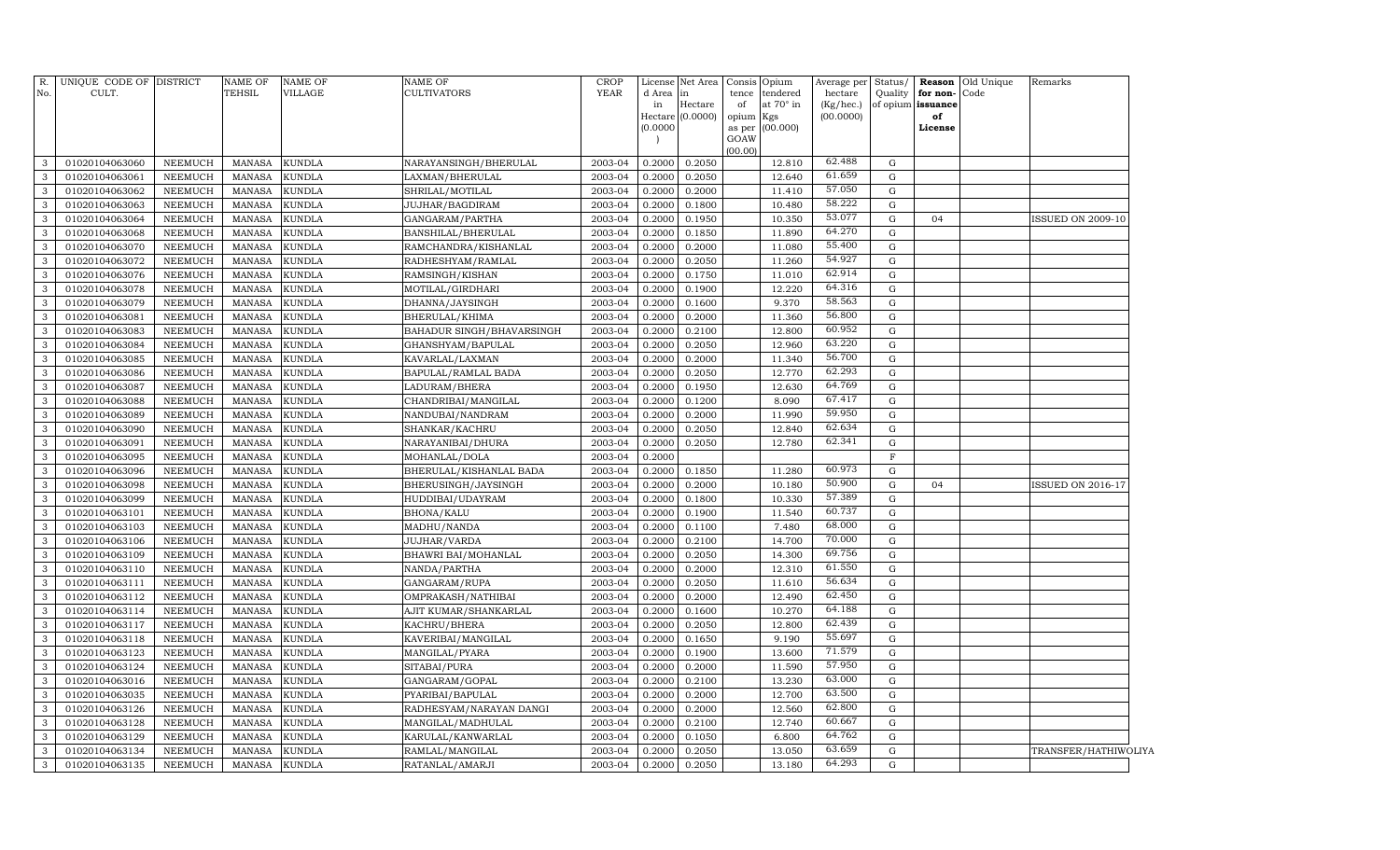| $R$ .<br>No. | UNIQUE CODE OF DISTRICT<br>CULT. |                           | <b>NAME OF</b><br>TEHSIL | NAME OF<br>VILLAGE | NAME OF<br>CULTIVATORS             | <b>CROP</b><br><b>YEAR</b> | d Area in<br>in<br>(0.0000) | License Net Area<br>Hectare<br>Hectare (0.0000) | Consis Opium<br>tence<br>of<br>opium Kgs<br>as per<br>GOAW | tendered<br>at 70° in<br>(00.000) | Average per<br>hectare<br>(Kg/hec.)<br>(00.0000) |             | Quality for non-Code<br>of opium issuance<br>of<br>License | Status/ Reason Old Unique | Remarks                  |  |
|--------------|----------------------------------|---------------------------|--------------------------|--------------------|------------------------------------|----------------------------|-----------------------------|-------------------------------------------------|------------------------------------------------------------|-----------------------------------|--------------------------------------------------|-------------|------------------------------------------------------------|---------------------------|--------------------------|--|
| 3            | 01020104063060                   | NEEMUCH                   | MANASA                   | <b>KUNDLA</b>      | NARAYANSINGH/BHERULAL              | 2003-04                    | 0.2000                      | 0.2050                                          | (00.00)                                                    | 12.810                            | 62.488                                           | G           |                                                            |                           |                          |  |
| $\mathbf{3}$ | 01020104063061                   |                           |                          | <b>KUNDLA</b>      |                                    |                            | 0.2000                      | 0.2050                                          |                                                            | 12.640                            | 61.659                                           | G           |                                                            |                           |                          |  |
| 3            | 01020104063062                   | NEEMUCH<br><b>NEEMUCH</b> | MANASA<br>MANASA         | <b>KUNDLA</b>      | LAXMAN/BHERULAL<br>SHRILAL/MOTILAL | 2003-04<br>2003-04         | 0.2000                      | 0.2000                                          |                                                            | 11.410                            | 57.050                                           | G           |                                                            |                           |                          |  |
| $\mathbf{3}$ | 01020104063063                   | <b>NEEMUCH</b>            | MANASA                   | <b>KUNDLA</b>      | <b>JUJHAR/BAGDIRAM</b>             | 2003-04                    | 0.2000                      | 0.1800                                          |                                                            | 10.480                            | 58.222                                           | G           |                                                            |                           |                          |  |
| 3            | 01020104063064                   | <b>NEEMUCH</b>            | MANASA                   | <b>KUNDLA</b>      | GANGARAM/PARTHA                    | 2003-04                    | 0.2000                      | 0.1950                                          |                                                            | 10.350                            | 53.077                                           | G           | 04                                                         |                           | <b>ISSUED ON 2009-10</b> |  |
| $\mathbf{3}$ | 01020104063068                   | <b>NEEMUCH</b>            | MANASA                   | <b>KUNDLA</b>      | BANSHILAL/BHERULAL                 | 2003-04                    | 0.2000                      | 0.1850                                          |                                                            | 11.890                            | 64.270                                           | G           |                                                            |                           |                          |  |
| 3            | 01020104063070                   | <b>NEEMUCH</b>            | MANASA                   | <b>KUNDLA</b>      | RAMCHANDRA/KISHANLAL               | 2003-04                    | 0.2000                      | 0.2000                                          |                                                            | 11.080                            | 55.400                                           | G           |                                                            |                           |                          |  |
| $\mathbf{3}$ | 01020104063072                   | <b>NEEMUCH</b>            | MANASA                   | <b>KUNDLA</b>      | RADHESHYAM/RAMLAL                  | 2003-04                    | 0.2000                      | 0.2050                                          |                                                            | 11.260                            | 54.927                                           | G           |                                                            |                           |                          |  |
| $\mathbf{3}$ | 01020104063076                   | <b>NEEMUCH</b>            | <b>MANASA</b>            | <b>KUNDLA</b>      | RAMSINGH/KISHAN                    | 2003-04                    | 0.2000                      | 0.1750                                          |                                                            | 11.010                            | 62.914                                           | G           |                                                            |                           |                          |  |
| $\mathbf{3}$ | 01020104063078                   | <b>NEEMUCH</b>            | MANASA                   | <b>KUNDLA</b>      | MOTILAL/GIRDHARI                   | 2003-04                    | 0.2000                      | 0.1900                                          |                                                            | 12.220                            | 64.316                                           | G           |                                                            |                           |                          |  |
| $\mathbf{3}$ | 01020104063079                   | <b>NEEMUCH</b>            | <b>MANASA</b>            | <b>KUNDLA</b>      | DHANNA/JAYSINGH                    | 2003-04                    | 0.2000                      | 0.1600                                          |                                                            | 9.370                             | 58.563                                           | G           |                                                            |                           |                          |  |
| $\mathbf{3}$ | 01020104063081                   | <b>NEEMUCH</b>            | <b>MANASA</b>            | <b>KUNDLA</b>      | BHERULAL/KHIMA                     | 2003-04                    | 0.2000                      | 0.2000                                          |                                                            | 11.360                            | 56.800                                           | G           |                                                            |                           |                          |  |
| 3            | 01020104063083                   | NEEMUCH                   | <b>MANASA</b>            | <b>KUNDLA</b>      | BAHADUR SINGH/BHAVARSINGH          | 2003-04                    | 0.2000                      | 0.2100                                          |                                                            | 12.800                            | 60.952                                           | G           |                                                            |                           |                          |  |
| $\mathbf{3}$ | 01020104063084                   | <b>NEEMUCH</b>            | <b>MANASA</b>            | <b>KUNDLA</b>      | GHANSHYAM/BAPULAL                  | 2003-04                    | 0.2000                      | 0.2050                                          |                                                            | 12.960                            | 63.220                                           | G           |                                                            |                           |                          |  |
| $\mathbf{3}$ | 01020104063085                   | NEEMUCH                   | <b>MANASA</b>            | <b>KUNDLA</b>      | KAVARLAL/LAXMAN                    | 2003-04                    | 0.2000                      | 0.2000                                          |                                                            | 11.340                            | 56.700                                           | G           |                                                            |                           |                          |  |
| $\mathbf{3}$ | 01020104063086                   | NEEMUCH                   | <b>MANASA</b>            | <b>KUNDLA</b>      | BAPULAL/RAMLAL BADA                | 2003-04                    | 0.2000                      | 0.2050                                          |                                                            | 12.770                            | 62.293                                           | G           |                                                            |                           |                          |  |
| $\mathbf{3}$ | 01020104063087                   | NEEMUCH                   | <b>MANASA</b>            | <b>KUNDLA</b>      | LADURAM/BHERA                      | 2003-04                    | 0.2000                      | 0.1950                                          |                                                            | 12.630                            | 64.769                                           | G           |                                                            |                           |                          |  |
| $\mathbf{3}$ | 01020104063088                   | NEEMUCH                   | <b>MANASA</b>            | KUNDLA             | CHANDRIBAI/MANGILAL                | 2003-04                    | 0.2000                      | 0.1200                                          |                                                            | 8.090                             | 67.417                                           | G           |                                                            |                           |                          |  |
| $\mathbf{3}$ | 01020104063089                   | NEEMUCH                   | MANASA                   | <b>KUNDLA</b>      | NANDUBAI/NANDRAM                   | 2003-04                    | 0.2000                      | 0.2000                                          |                                                            | 11.990                            | 59.950                                           | G           |                                                            |                           |                          |  |
| $\mathbf{3}$ | 01020104063090                   | NEEMUCH                   | <b>MANASA</b>            | KUNDLA             | SHANKAR/KACHRU                     | 2003-04                    | 0.2000                      | 0.2050                                          |                                                            | 12.840                            | 62.634                                           | G           |                                                            |                           |                          |  |
| $\mathbf{3}$ | 01020104063091                   | <b>NEEMUCH</b>            | <b>MANASA</b>            | KUNDLA             | NARAYANIBAI/DHURA                  | 2003-04                    | 0.2000                      | 0.2050                                          |                                                            | 12.780                            | 62.341                                           | $\mathbf G$ |                                                            |                           |                          |  |
| $\mathbf{3}$ | 01020104063095                   | <b>NEEMUCH</b>            | <b>MANASA</b>            | <b>KUNDLA</b>      | MOHANLAL/DOLA                      | 2003-04                    | 0.2000                      |                                                 |                                                            |                                   |                                                  | F           |                                                            |                           |                          |  |
| $\mathbf{3}$ | 01020104063096                   | <b>NEEMUCH</b>            | <b>MANASA</b>            | KUNDLA             | BHERULAL/KISHANLAL BADA            | 2003-04                    | 0.2000                      | 0.1850                                          |                                                            | 11.280                            | 60.973                                           | $\mathbf G$ |                                                            |                           |                          |  |
| 3            | 01020104063098                   | <b>NEEMUCH</b>            | <b>MANASA</b>            | <b>KUNDLA</b>      | BHERUSINGH/JAYSINGH                | 2003-04                    | 0.2000                      | 0.2000                                          |                                                            | 10.180                            | 50.900                                           | G           | 04                                                         |                           | <b>ISSUED ON 2016-17</b> |  |
| $\mathbf{3}$ | 01020104063099                   | <b>NEEMUCH</b>            | <b>MANASA</b>            | KUNDLA             | HUDDIBAI/UDAYRAM                   | 2003-04                    | 0.2000                      | 0.1800                                          |                                                            | 10.330                            | 57.389                                           | $\mathbf G$ |                                                            |                           |                          |  |
| 3            | 01020104063101                   | <b>NEEMUCH</b>            | <b>MANASA</b>            | <b>KUNDLA</b>      | <b>BHONA/KALU</b>                  | 2003-04                    | 0.2000                      | 0.1900                                          |                                                            | 11.540                            | 60.737                                           | $\mathbf G$ |                                                            |                           |                          |  |
| 3            | 01020104063103                   | <b>NEEMUCH</b>            | <b>MANASA</b>            | <b>KUNDLA</b>      | MADHU/NANDA                        | 2003-04                    | 0.2000                      | 0.1100                                          |                                                            | 7.480                             | 68.000                                           | $\mathbf G$ |                                                            |                           |                          |  |
| 3            | 01020104063106                   | <b>NEEMUCH</b>            | <b>MANASA</b>            | <b>KUNDLA</b>      | <b>JUJHAR/VARDA</b>                | 2003-04                    | 0.2000                      | 0.2100                                          |                                                            | 14.700                            | 70.000                                           | $\mathbf G$ |                                                            |                           |                          |  |
| $\mathbf{3}$ | 01020104063109                   | <b>NEEMUCH</b>            | <b>MANASA</b>            | KUNDLA             | BHAWRI BAI/MOHANLAL                | 2003-04                    | 0.2000                      | 0.2050                                          |                                                            | 14.300                            | 69.756                                           | $\mathbf G$ |                                                            |                           |                          |  |
| 3            | 01020104063110                   | <b>NEEMUCH</b>            | <b>MANASA</b>            | <b>KUNDLA</b>      | NANDA/PARTHA                       | 2003-04                    | 0.2000                      | 0.2000                                          |                                                            | 12.310                            | 61.550                                           | G           |                                                            |                           |                          |  |
| 3            | 01020104063111                   | <b>NEEMUCH</b>            | <b>MANASA</b>            | <b>KUNDLA</b>      | GANGARAM/RUPA                      | 2003-04                    | 0.2000                      | 0.2050                                          |                                                            | 11.610                            | 56.634                                           | G           |                                                            |                           |                          |  |
| 3            | 01020104063112                   | <b>NEEMUCH</b>            | <b>MANASA</b>            | <b>KUNDLA</b>      | OMPRAKASH/NATHIBAI                 | 2003-04                    | 0.2000                      | 0.2000                                          |                                                            | 12.490                            | 62.450                                           | G           |                                                            |                           |                          |  |
| 3            | 01020104063114                   | <b>NEEMUCH</b>            | <b>MANASA</b>            | <b>KUNDLA</b>      | AJIT KUMAR/SHANKARLAL              | 2003-04                    | 0.2000                      | 0.1600                                          |                                                            | 10.270                            | 64.188                                           | G           |                                                            |                           |                          |  |
| $\mathbf{3}$ | 01020104063117                   | <b>NEEMUCH</b>            | <b>MANASA</b>            | <b>KUNDLA</b>      | KACHRU/BHERA                       | 2003-04                    | 0.2000                      | 0.2050                                          |                                                            | 12.800                            | 62.439                                           | G           |                                                            |                           |                          |  |
| $\mathbf{3}$ | 01020104063118                   | NEEMUCH                   | <b>MANASA</b>            | KUNDLA             | KAVERIBAI/MANGILAL                 | 2003-04                    | 0.2000                      | 0.1650                                          |                                                            | 9.190                             | 55.697                                           | G           |                                                            |                           |                          |  |
| $\mathbf{3}$ | 01020104063123                   | <b>NEEMUCH</b>            | <b>MANASA</b>            | KUNDLA             | MANGILAL/PYARA                     | 2003-04                    | 0.2000                      | 0.1900                                          |                                                            | 13.600                            | 71.579                                           | G           |                                                            |                           |                          |  |
| 3            | 01020104063124                   | NEEMUCH                   | <b>MANASA</b>            | KUNDLA             | SITABAI/PURA                       | 2003-04                    | 0.2000                      | 0.2000                                          |                                                            | 11.590                            | 57.950                                           | G           |                                                            |                           |                          |  |
| $\mathbf{3}$ | 01020104063016                   | <b>NEEMUCH</b>            | <b>MANASA</b>            | KUNDLA             | GANGARAM/GOPAL                     | 2003-04                    | 0.2000                      | 0.2100                                          |                                                            | 13.230                            | 63.000                                           | $\mathbf G$ |                                                            |                           |                          |  |
| 3            | 01020104063035                   | NEEMUCH                   | <b>MANASA</b>            | KUNDLA             | PYARIBAI/BAPULAL                   | 2003-04                    | 0.2000                      | 0.2000                                          |                                                            | 12.700                            | 63.500                                           | G           |                                                            |                           |                          |  |
| 3            | 01020104063126                   | <b>NEEMUCH</b>            | <b>MANASA</b>            | KUNDLA             | RADHESYAM/NARAYAN DANGI            | 2003-04                    | 0.2000                      | 0.2000                                          |                                                            | 12.560                            | 62.800                                           | G           |                                                            |                           |                          |  |
| 3            | 01020104063128                   | NEEMUCH                   | <b>MANASA</b>            | KUNDLA             | MANGILAL/MADHULAL                  | 2003-04                    | 0.2000                      | 0.2100                                          |                                                            | 12.740                            | 60.667                                           | G           |                                                            |                           |                          |  |
| 3            | 01020104063129                   | <b>NEEMUCH</b>            | <b>MANASA</b>            | <b>KUNDLA</b>      | KARULAL/KANWARLAL                  | 2003-04                    | 0.2000                      | 0.1050                                          |                                                            | 6.800                             | 64.762                                           | G           |                                                            |                           |                          |  |
| 3            | 01020104063134                   | NEEMUCH                   | <b>MANASA</b>            | <b>KUNDLA</b>      | RAMLAL/MANGILAL                    | 2003-04                    | 0.2000                      | 0.2050                                          |                                                            | 13.050                            | 63.659                                           | $\mathbf G$ |                                                            |                           | TRANSFER/HATHIWOLIYA     |  |
| $\mathbf{3}$ | 01020104063135                   | <b>NEEMUCH</b>            | <b>MANASA</b>            | <b>KUNDLA</b>      | RATANLAL/AMARJI                    | 2003-04                    | 0.2000                      | 0.2050                                          |                                                            | 13.180                            | 64.293                                           | G           |                                                            |                           |                          |  |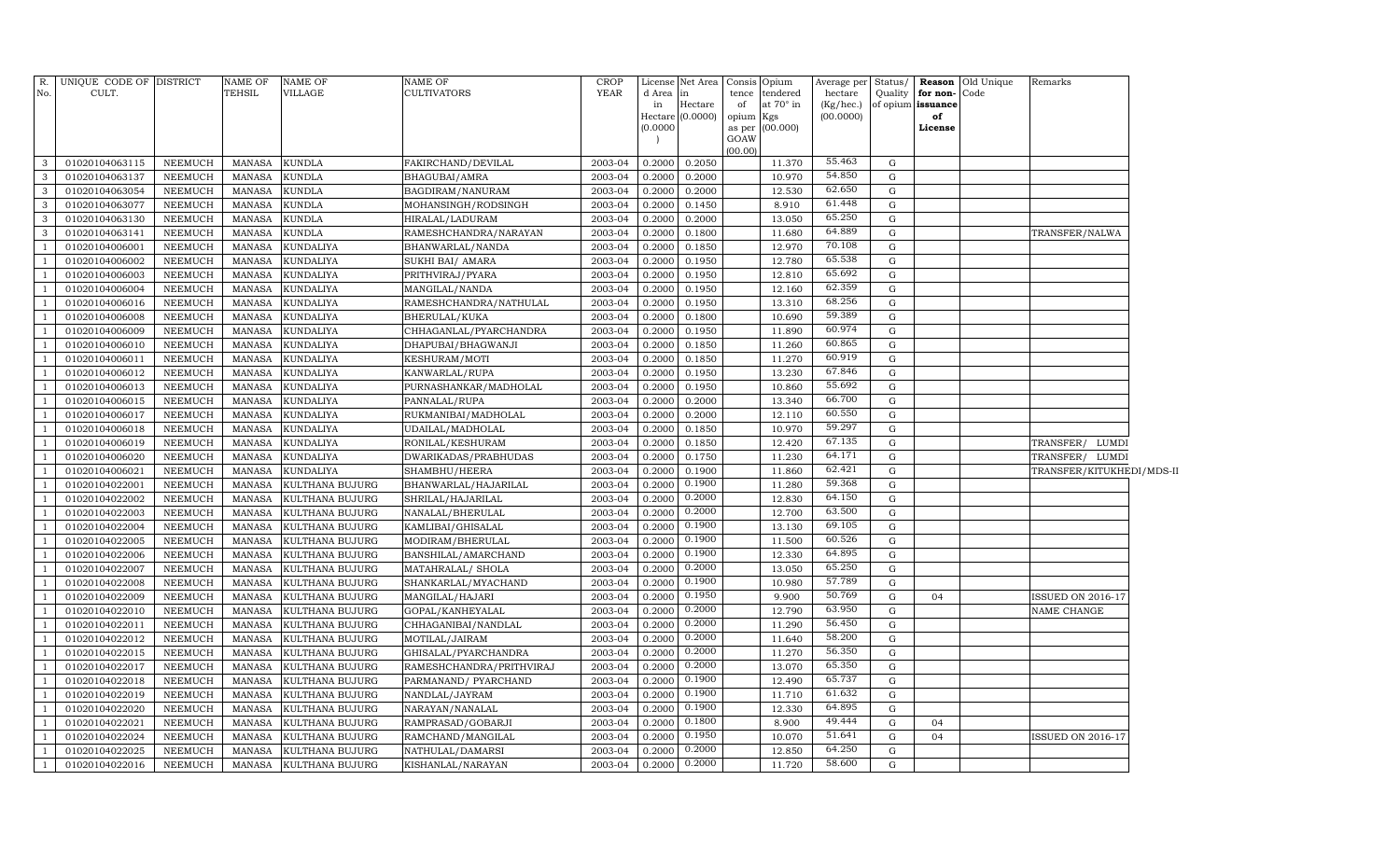| R.<br>No. | UNIQUE CODE OF DISTRICT<br>CULT. |                           | <b>NAME OF</b><br>TEHSIL       | <b>NAME OF</b><br><b>VILLAGE</b> | NAME OF<br><b>CULTIVATORS</b>         | <b>CROP</b><br>YEAR | License<br>d Area | Net Area<br>in   |                 | Consis Opium<br>tence tendered | Average per<br>hectare | Status/<br>Quality | for non-Code      | Reason Old Unique | Remarks                   |  |
|-----------|----------------------------------|---------------------------|--------------------------------|----------------------------------|---------------------------------------|---------------------|-------------------|------------------|-----------------|--------------------------------|------------------------|--------------------|-------------------|-------------------|---------------------------|--|
|           |                                  |                           |                                |                                  |                                       |                     | in                | Hectare          | of              | at 70° in                      | (Kg/hec.)              |                    | of opium issuance |                   |                           |  |
|           |                                  |                           |                                |                                  |                                       |                     |                   | Hectare (0.0000) | opium Kgs       |                                | (00.0000)              |                    | of                |                   |                           |  |
|           |                                  |                           |                                |                                  |                                       |                     | (0.0000)          |                  | as per          | (00.000)                       |                        |                    | License           |                   |                           |  |
|           |                                  |                           |                                |                                  |                                       |                     |                   |                  | GOAW<br>(00.00) |                                |                        |                    |                   |                   |                           |  |
| 3         | 01020104063115                   | NEEMUCH                   | MANASA                         | <b>KUNDLA</b>                    | FAKIRCHAND/DEVILAL                    | 2003-04             | 0.2000            | 0.2050           |                 | 11.370                         | 55.463                 | G                  |                   |                   |                           |  |
| 3         | 01020104063137                   | NEEMUCH                   | MANASA                         | <b>KUNDLA</b>                    | BHAGUBAI/AMRA                         | 2003-04             | 0.2000            | 0.2000           |                 | 10.970                         | 54.850                 | G                  |                   |                   |                           |  |
| 3         | 01020104063054                   | NEEMUCH                   | MANASA                         | <b>KUNDLA</b>                    | BAGDIRAM/NANURAM                      | 2003-04             | 0.2000            | 0.2000           |                 | 12.530                         | 62.650                 | G                  |                   |                   |                           |  |
| 3         | 01020104063077                   | NEEMUCH                   | MANASA                         | <b>KUNDLA</b>                    | MOHANSINGH/RODSINGH                   | 2003-04             | 0.2000            | 0.1450           |                 | 8.910                          | 61.448                 | G                  |                   |                   |                           |  |
| 3         | 01020104063130                   | NEEMUCH                   | MANASA                         | <b>KUNDLA</b>                    | HIRALAL/LADURAM                       | 2003-04             | 0.2000            | 0.2000           |                 | 13.050                         | 65.250                 | G                  |                   |                   |                           |  |
| 3         | 01020104063141                   | NEEMUCH                   | MANASA                         | <b>KUNDLA</b>                    | RAMESHCHANDRA/NARAYAN                 | 2003-04             | 0.2000            | 0.1800           |                 | 11.680                         | 64.889                 | G                  |                   |                   | TRANSFER/NALWA            |  |
| -1        | 01020104006001                   | NEEMUCH                   | MANASA                         | <b>KUNDALIYA</b>                 | BHANWARLAL/NANDA                      | 2003-04             | 0.2000            | 0.1850           |                 | 12.970                         | 70.108                 | G                  |                   |                   |                           |  |
|           | 01020104006002                   | NEEMUCH                   | MANASA                         | <b>KUNDALIYA</b>                 | SUKHI BAI/ AMARA                      | 2003-04             | 0.2000            | 0.1950           |                 | 12.780                         | 65.538                 | $\mathbf G$        |                   |                   |                           |  |
|           | 01020104006003                   | NEEMUCH                   | MANASA                         | <b>KUNDALIYA</b>                 | PRITHVIRAJ/PYARA                      | 2003-04             | 0.2000            | 0.1950           |                 | 12.810                         | 65.692                 | $\mathbf G$        |                   |                   |                           |  |
|           | 01020104006004                   | <b>NEEMUCH</b>            | MANASA                         | <b>KUNDALIYA</b>                 | MANGILAL/NANDA                        | 2003-04             | 0.2000            | 0.1950           |                 | 12.160                         | 62.359                 | $\mathbf G$        |                   |                   |                           |  |
|           | 01020104006016                   | NEEMUCH                   | MANASA                         | <b>KUNDALIYA</b>                 | RAMESHCHANDRA/NATHULAL                | 2003-04             | 0.2000            | 0.1950           |                 | 13.310                         | 68.256                 | $\mathbf G$        |                   |                   |                           |  |
|           | 01020104006008                   | NEEMUCH                   | <b>MANASA</b>                  | <b>KUNDALIYA</b>                 | BHERULAL/KUKA                         | 2003-04             | 0.2000            | 0.1800           |                 | 10.690                         | 59.389                 | $\mathbf G$        |                   |                   |                           |  |
|           | 01020104006009                   | <b>NEEMUCH</b>            | <b>MANASA</b>                  | <b>KUNDALIYA</b>                 | CHHAGANLAL/PYARCHANDRA                | 2003-04             | 0.2000            | 0.1950           |                 | 11.890                         | 60.974                 | $\mathbf G$        |                   |                   |                           |  |
|           | 01020104006010                   | <b>NEEMUCH</b>            | MANASA                         | <b>KUNDALIYA</b>                 | DHAPUBAI/BHAGWANJI                    | 2003-04             | 0.2000            | 0.1850           |                 | 11.260                         | 60.865                 | $\mathbf G$        |                   |                   |                           |  |
|           | 01020104006011                   | NEEMUCH                   | <b>MANASA</b>                  | <b>KUNDALIYA</b>                 | KESHURAM/MOTI                         | 2003-04             | 0.2000            | 0.1850           |                 | 11.270                         | 60.919                 | $\mathbf G$        |                   |                   |                           |  |
|           | 01020104006012                   | <b>NEEMUCH</b>            | <b>MANASA</b>                  | <b>KUNDALIYA</b>                 | KANWARLAL/RUPA                        | 2003-04             | 0.2000            | 0.1950           |                 | 13.230                         | 67.846                 | $\mathbf G$        |                   |                   |                           |  |
|           | 01020104006013                   | <b>NEEMUCH</b>            | <b>MANASA</b>                  | <b>KUNDALIYA</b>                 | PURNASHANKAR/MADHOLAL                 | 2003-04             | 0.2000            | 0.1950           |                 | 10.860                         | 55.692                 | $\mathbf G$        |                   |                   |                           |  |
|           | 01020104006015                   | NEEMUCH                   | <b>MANASA</b>                  | <b>KUNDALIYA</b>                 | PANNALAL/RUPA                         | 2003-04             | 0.2000            | 0.2000           |                 | 13.340                         | 66.700                 | G                  |                   |                   |                           |  |
|           | 01020104006017                   | <b>NEEMUCH</b>            | <b>MANASA</b>                  | <b>KUNDALIYA</b>                 | RUKMANIBAI/MADHOLAL                   | 2003-04             | 0.2000            | 0.2000           |                 | 12.110                         | 60.550                 | ${\rm G}$          |                   |                   |                           |  |
|           | 01020104006018                   | NEEMUCH                   | <b>MANASA</b>                  | <b>KUNDALIYA</b>                 | UDAILAL/MADHOLAL                      | 2003-04             | 0.2000            | 0.1850           |                 | 10.970                         | 59.297                 | $\mathbf G$        |                   |                   |                           |  |
|           | 01020104006019                   | NEEMUCH                   | <b>MANASA</b>                  | <b>KUNDALIYA</b>                 | RONILAL/KESHURAM                      | 2003-04             | 0.2000            | 0.1850           |                 | 12.420                         | 67.135                 | G                  |                   |                   | TRANSFER/ LUMDI           |  |
|           | 01020104006020                   | <b>NEEMUCH</b>            | <b>MANASA</b>                  | <b>KUNDALIYA</b>                 | DWARIKADAS/PRABHUDAS                  | 2003-04             | 0.2000            | 0.1750           |                 | 11.230                         | 64.171                 | $\mathbf G$        |                   |                   | TRANSFER/ LUMDI           |  |
|           | 01020104006021                   | NEEMUCH                   | <b>MANASA</b>                  | <b>KUNDALIYA</b>                 | SHAMBHU/HEERA                         | 2003-04             | 0.2000            | 0.1900           |                 | 11.860                         | 62.421                 | $\mathbf G$        |                   |                   | TRANSFER/KITUKHEDI/MDS-II |  |
|           | 01020104022001                   | <b>NEEMUCH</b>            | <b>MANASA</b>                  | KULTHANA BUJURG                  | BHANWARLAL/HAJARILAL                  | 2003-04             | 0.2000            | 0.1900           |                 | 11.280                         | 59.368                 | $\mathbf G$        |                   |                   |                           |  |
|           | 01020104022002                   | <b>NEEMUCH</b>            | <b>MANASA</b>                  | KULTHANA BUJURG                  | SHRILAL/HAJARILAL                     | 2003-04             | 0.2000            | 0.2000           |                 | 12.830                         | 64.150                 | $\mathbf G$        |                   |                   |                           |  |
|           | 01020104022003                   | <b>NEEMUCH</b>            | <b>MANASA</b>                  | KULTHANA BUJURG                  | NANALAL/BHERULAL                      | 2003-04             | 0.2000            | 0.2000           |                 | 12.700                         | 63.500                 | $\mathbf G$        |                   |                   |                           |  |
|           | 01020104022004                   | NEEMUCH                   | <b>MANASA</b>                  | KULTHANA BUJURG                  | KAMLIBAI/GHISALAL                     | 2003-04             | 0.2000            | 0.1900           |                 | 13.130                         | 69.105                 | $\mathbf G$        |                   |                   |                           |  |
|           | 01020104022005                   | NEEMUCH                   | MANASA                         | KULTHANA BUJURG                  | MODIRAM/BHERULAL                      | 2003-04             | 0.2000            | 0.1900           |                 | 11.500                         | 60.526                 | $\mathbf G$        |                   |                   |                           |  |
|           | 01020104022006                   | NEEMUCH                   | MANASA                         | KULTHANA BUJURG                  | BANSHILAL/AMARCHAND                   | 2003-04             | 0.2000            | 0.1900           |                 | 12.330                         | 64.895                 | $\mathbf G$        |                   |                   |                           |  |
|           | 01020104022007                   | NEEMUCH                   | MANASA                         | KULTHANA BUJURG                  | MATAHRALAL/ SHOLA                     | 2003-04             | 0.2000            | 0.2000           |                 | 13.050                         | 65.250                 | G                  |                   |                   |                           |  |
|           | 01020104022008                   | NEEMUCH                   | <b>MANASA</b>                  | KULTHANA BUJURG                  | SHANKARLAL/MYACHAND                   | 2003-04             | 0.2000            | 0.1900           |                 | 10.980                         | 57.789                 | $\mathbf G$        |                   |                   |                           |  |
|           | 01020104022009                   | <b>NEEMUCH</b>            | <b>MANASA</b>                  | KULTHANA BUJURG                  | MANGILAL/HAJARI                       | 2003-04             | 0.2000            | 0.1950<br>0.2000 |                 | 9.900                          | 50.769<br>63.950       | G                  | 04                |                   | <b>ISSUED ON 2016-17</b>  |  |
|           | 01020104022010                   | NEEMUCH                   | MANASA                         | KULTHANA BUJURG                  | GOPAL/KANHEYALAL                      | 2003-04             | 0.2000            | 0.2000           |                 | 12.790                         | 56.450                 | G                  |                   |                   | NAME CHANGE               |  |
|           | 01020104022011                   | <b>NEEMUCH</b>            | <b>MANASA</b>                  | KULTHANA BUJURG                  | CHHAGANIBAI/NANDLAL                   | 2003-04             | 0.2000            | 0.2000           |                 | 11.290                         |                        | G                  |                   |                   |                           |  |
|           | 01020104022012                   | NEEMUCH                   | MANASA                         | KULTHANA BUJURG                  | MOTILAL/JAIRAM                        | 2003-04             | 0.2000            | 0.2000           |                 | 11.640                         | 58.200<br>56.350       | G                  |                   |                   |                           |  |
|           | 01020104022015                   | <b>NEEMUCH</b>            | <b>MANASA</b>                  | KULTHANA BUJURG                  | GHISALAL/PYARCHANDRA                  | 2003-04             | 0.2000            | 0.2000           |                 | 11.270                         | 65.350                 | G                  |                   |                   |                           |  |
|           | 01020104022017                   | NEEMUCH                   | <b>MANASA</b>                  | KULTHANA BUJURG                  | RAMESHCHANDRA/PRITHVIRAJ              | 2003-04             | 0.2000            | 0.1900           |                 | 13.070                         | 65.737                 | G                  |                   |                   |                           |  |
|           | 01020104022018<br>01020104022019 | NEEMUCH<br><b>NEEMUCH</b> | <b>MANASA</b><br><b>MANASA</b> | KULTHANA BUJURG                  | PARMANAND/ PYARCHAND                  | 2003-04<br>2003-04  | 0.2000<br>0.2000  | 0.1900           |                 | 12.490<br>11.710               | 61.632                 | G<br>$\mathbf G$   |                   |                   |                           |  |
|           | 01020104022020                   | <b>NEEMUCH</b>            | <b>MANASA</b>                  | KULTHANA BUJURG                  | NANDLAL/JAYRAM                        | 2003-04             | 0.2000            | 0.1900           |                 | 12.330                         | 64.895                 | $\mathbf G$        |                   |                   |                           |  |
|           | 01020104022021                   | <b>NEEMUCH</b>            | <b>MANASA</b>                  | KULTHANA BUJURG                  | NARAYAN/NANALAL                       | 2003-04             | 0.2000            | 0.1800           |                 | 8.900                          | 49.444                 | $\mathbf G$        |                   |                   |                           |  |
|           | 01020104022024                   | <b>NEEMUCH</b>            | <b>MANASA</b>                  | KULTHANA BUJURG                  | RAMPRASAD/GOBARJI                     | 2003-04             | 0.2000            | 0.1950           |                 | 10.070                         | 51.641                 | $\mathbf G$        | 04<br>04          |                   |                           |  |
|           | 01020104022025                   | <b>NEEMUCH</b>            |                                | KULTHANA BUJURG                  | RAMCHAND/MANGILAL<br>NATHULAL/DAMARSI | 2003-04             | 0.2000            | 0.2000           |                 | 12.850                         | 64.250                 | $\mathbf G$        |                   |                   | ISSUED ON 2016-17         |  |
|           | 01020104022016                   | <b>NEEMUCH</b>            | MANASA<br>MANASA               | KULTHANA BUJURG                  |                                       | 2003-04             | 0.2000            | 0.2000           |                 | 11.720                         | 58.600                 | $\mathbf G$        |                   |                   |                           |  |
|           |                                  |                           |                                | <b>KULTHANA BUJURG</b>           | KISHANLAL/NARAYAN                     |                     |                   |                  |                 |                                |                        |                    |                   |                   |                           |  |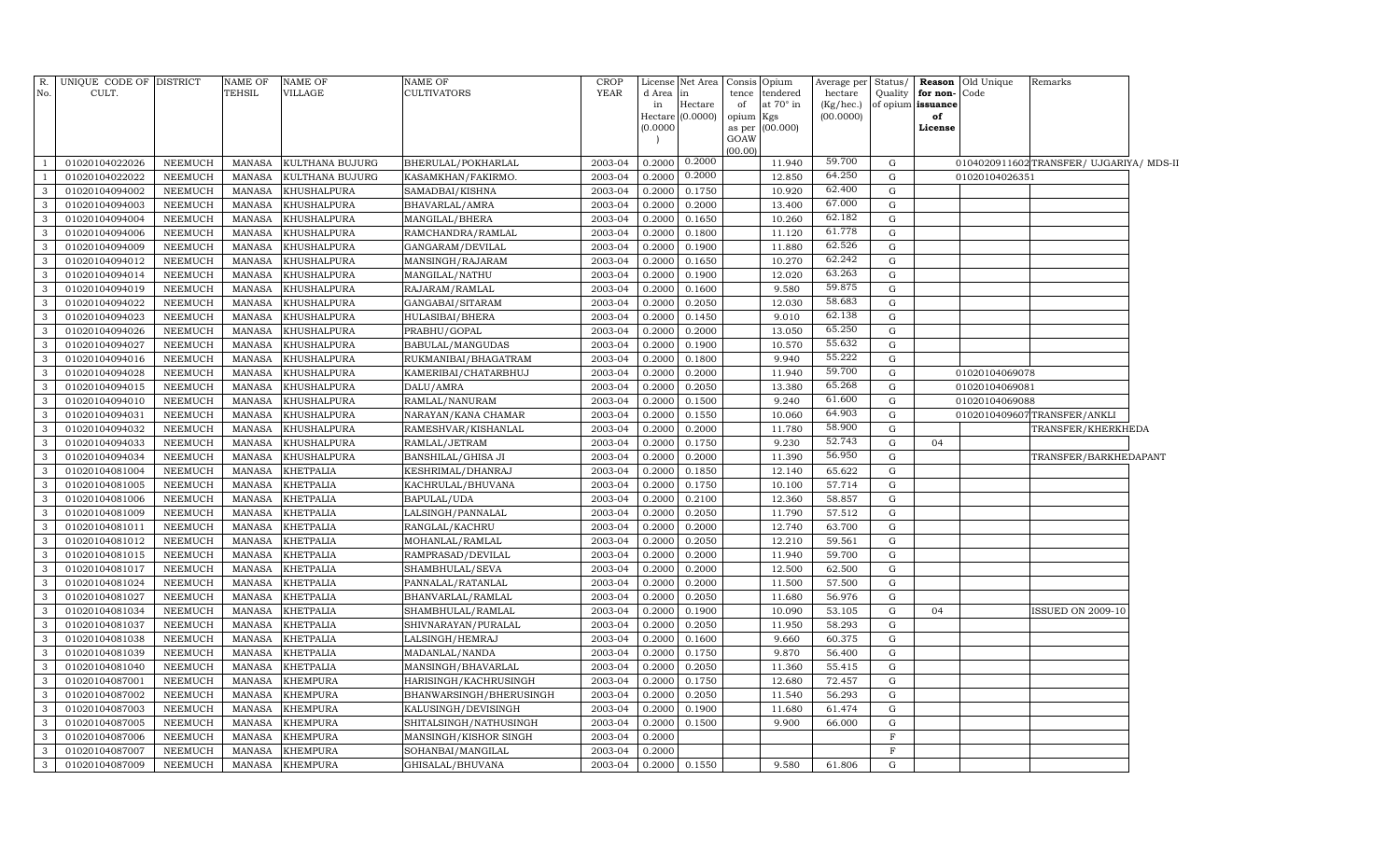| No.          | R. UNIQUE CODE OF DISTRICT<br>CULT. |                           | NAME OF<br><b>TEHSIL</b> | <b>NAME OF</b><br>VILLAGE          | <b>NAME OF</b><br>CULTIVATORS         | <b>CROP</b><br>YEAR | d Area in        | License Net Area            | tence           | Consis Opium<br>tendered | Average per Status/<br>hectare | Quality        | for non-                | <b>Reason</b> Old Unique<br>Code | Remarks                                  |  |
|--------------|-------------------------------------|---------------------------|--------------------------|------------------------------------|---------------------------------------|---------------------|------------------|-----------------------------|-----------------|--------------------------|--------------------------------|----------------|-------------------------|----------------------------------|------------------------------------------|--|
|              |                                     |                           |                          |                                    |                                       |                     | in               | Hectare<br>Hectare (0.0000) | of<br>opium Kgs | at 70° in                | (Kg/hec.)<br>(00.0000)         |                | of opium issuance<br>of |                                  |                                          |  |
|              |                                     |                           |                          |                                    |                                       |                     | (0.0000)         |                             | as per          | (00.000)                 |                                |                | License                 |                                  |                                          |  |
|              |                                     |                           |                          |                                    |                                       |                     |                  |                             | GOAW            |                          |                                |                |                         |                                  |                                          |  |
|              | 01020104022026                      |                           |                          |                                    |                                       |                     |                  | 0.2000                      | (00.00)         | 11.940                   | 59.700                         | G              |                         |                                  |                                          |  |
|              | 01020104022022                      | <b>NEEMUCH</b><br>NEEMUCH | MANASA<br><b>MANASA</b>  | KULTHANA BUJURG<br>KULTHANA BUJURG | BHERULAL/POKHARLAL                    | 2003-04<br>2003-04  | 0.2000<br>0.2000 | 0.2000                      |                 | 12.850                   | 64.250                         | G              |                         | 01020104026351                   | 0104020911602 TRANSFER/ UJGARIYA/ MDS-II |  |
| 3            | 01020104094002                      | <b>NEEMUCH</b>            | <b>MANASA</b>            | KHUSHALPURA                        | KASAMKHAN/FAKIRMO.<br>SAMADBAI/KISHNA | 2003-04             | 0.2000           | 0.1750                      |                 | 10.920                   | 62.400                         | G              |                         |                                  |                                          |  |
| 3            | 01020104094003                      | <b>NEEMUCH</b>            | MANASA                   | KHUSHALPURA                        | BHAVARLAL/AMRA                        | 2003-04             | 0.2000           | 0.2000                      |                 | 13.400                   | 67.000                         | $\mathbf G$    |                         |                                  |                                          |  |
| 3            | 01020104094004                      | <b>NEEMUCH</b>            | <b>MANASA</b>            | KHUSHALPURA                        | MANGILAL/BHERA                        | 2003-04             | 0.2000           | 0.1650                      |                 | 10.260                   | 62.182                         | $\mathbf G$    |                         |                                  |                                          |  |
| 3            | 01020104094006                      | <b>NEEMUCH</b>            | <b>MANASA</b>            | KHUSHALPURA                        | RAMCHANDRA/RAMLAL                     | 2003-04             | 0.2000           | 0.1800                      |                 | 11.120                   | 61.778                         | $\mathbf G$    |                         |                                  |                                          |  |
| 3            | 01020104094009                      | NEEMUCH                   | <b>MANASA</b>            | KHUSHALPURA                        | GANGARAM/DEVILAL                      | 2003-04             | 0.2000           | 0.1900                      |                 | 11.880                   | 62.526                         | G              |                         |                                  |                                          |  |
| 3            | 01020104094012                      | <b>NEEMUCH</b>            | <b>MANASA</b>            | KHUSHALPURA                        | MANSINGH/RAJARAM                      | 2003-04             | 0.2000           | 0.1650                      |                 | 10.270                   | 62.242                         | G              |                         |                                  |                                          |  |
| 3            | 01020104094014                      | <b>NEEMUCH</b>            | <b>MANASA</b>            | KHUSHALPURA                        | MANGILAL/NATHU                        | 2003-04             | 0.2000           | 0.1900                      |                 | 12.020                   | 63.263                         | G              |                         |                                  |                                          |  |
| 3            | 01020104094019                      | NEEMUCH                   | <b>MANASA</b>            | KHUSHALPURA                        | RAJARAM/RAMLAL                        | 2003-04             | 0.2000           | 0.1600                      |                 | 9.580                    | 59.875                         | G              |                         |                                  |                                          |  |
| 3            | 01020104094022                      | <b>NEEMUCH</b>            | <b>MANASA</b>            | KHUSHALPURA                        | GANGABAI/SITARAM                      | 2003-04             | 0.2000           | 0.2050                      |                 | 12.030                   | 58.683                         | G              |                         |                                  |                                          |  |
| 3            | 01020104094023                      | <b>NEEMUCH</b>            | <b>MANASA</b>            | KHUSHALPURA                        | HULASIBAI/BHERA                       | 2003-04             | 0.2000           | 0.1450                      |                 | 9.010                    | 62.138                         | G              |                         |                                  |                                          |  |
| 3            | 01020104094026                      | NEEMUCH                   | <b>MANASA</b>            | KHUSHALPURA                        | PRABHU/GOPAL                          | 2003-04             | 0.2000           | 0.2000                      |                 | 13.050                   | 65.250                         | G              |                         |                                  |                                          |  |
| 3            | 01020104094027                      | <b>NEEMUCH</b>            | <b>MANASA</b>            | KHUSHALPURA                        | BABULAL/MANGUDAS                      | 2003-04             | 0.2000           | 0.1900                      |                 | 10.570                   | 55.632                         | G              |                         |                                  |                                          |  |
| 3            | 01020104094016                      | <b>NEEMUCH</b>            | <b>MANASA</b>            | KHUSHALPURA                        | RUKMANIBAI/BHAGATRAM                  | 2003-04             | 0.2000           | 0.1800                      |                 | 9.940                    | 55.222                         | G              |                         |                                  |                                          |  |
| 3            | 01020104094028                      | NEEMUCH                   | <b>MANASA</b>            | KHUSHALPURA                        | KAMERIBAI/CHATARBHUJ                  | 2003-04             | 0.2000           | 0.2000                      |                 | 11.940                   | 59.700                         | G              |                         | 01020104069078                   |                                          |  |
| 3            | 01020104094015                      | <b>NEEMUCH</b>            | <b>MANASA</b>            | KHUSHALPURA                        | DALU/AMRA                             | 2003-04             | 0.2000           | 0.2050                      |                 | 13.380                   | 65.268                         | G              |                         | 01020104069081                   |                                          |  |
| 3            | 01020104094010                      | NEEMUCH                   | MANASA                   | KHUSHALPURA                        | RAMLAL/NANURAM                        | 2003-04             | 0.2000           | 0.1500                      |                 | 9.240                    | 61.600                         | G              |                         | 01020104069088                   |                                          |  |
| 3            | 01020104094031                      | <b>NEEMUCH</b>            | MANASA                   | KHUSHALPURA                        | NARAYAN/KANA CHAMAR                   | 2003-04             | 0.2000           | 0.1550                      |                 | 10.060                   | 64.903                         | $\mathbf G$    |                         |                                  | 0102010409607TRANSFER/ANKLI              |  |
| 3            | 01020104094032                      | <b>NEEMUCH</b>            | <b>MANASA</b>            | KHUSHALPURA                        | RAMESHVAR/KISHANLAL                   | 2003-04             | 0.2000           | 0.2000                      |                 | 11.780                   | 58.900                         | $\mathbf G$    |                         |                                  | TRANSFER/KHERKHEDA                       |  |
| 3            | 01020104094033                      | <b>NEEMUCH</b>            | <b>MANASA</b>            | KHUSHALPURA                        | RAMLAL/JETRAM                         | 2003-04             | 0.2000           | 0.1750                      |                 | 9.230                    | 52.743                         | G              | 04                      |                                  |                                          |  |
| 3            | 01020104094034                      | <b>NEEMUCH</b>            | <b>MANASA</b>            | KHUSHALPURA                        | BANSHILAL/GHISA JI                    | 2003-04             | 0.2000           | 0.2000                      |                 | 11.390                   | 56.950                         | G              |                         |                                  | TRANSFER/BARKHEDAPANT                    |  |
| 3            | 01020104081004                      | NEEMUCH                   | <b>MANASA</b>            | KHETPALIA                          | KESHRIMAL/DHANRAJ                     | 2003-04             | 0.2000           | 0.1850                      |                 | 12.140                   | 65.622                         | G              |                         |                                  |                                          |  |
| 3            | 01020104081005                      | <b>NEEMUCH</b>            | <b>MANASA</b>            | KHETPALIA                          | KACHRULAL/BHUVANA                     | 2003-04             | 0.2000           | 0.1750                      |                 | 10.100                   | 57.714                         | G              |                         |                                  |                                          |  |
| 3            | 01020104081006                      | NEEMUCH                   | <b>MANASA</b>            | KHETPALIA                          | BAPULAL/UDA                           | 2003-04             | 0.2000           | 0.2100                      |                 | 12.360                   | 58.857                         | G              |                         |                                  |                                          |  |
| 3            | 01020104081009                      | NEEMUCH                   | <b>MANASA</b>            | KHETPALIA                          | LALSINGH/PANNALAL                     | 2003-04             | 0.2000           | 0.2050                      |                 | 11.790                   | 57.512                         | G              |                         |                                  |                                          |  |
| 3            | 01020104081011                      | <b>NEEMUCH</b>            | <b>MANASA</b>            | KHETPALIA                          | RANGLAL/KACHRU                        | 2003-04             | 0.2000           | 0.2000                      |                 | 12.740                   | 63.700                         | $\mathbf G$    |                         |                                  |                                          |  |
| 3            | 01020104081012                      | <b>NEEMUCH</b>            | <b>MANASA</b>            | KHETPALIA                          | MOHANLAL/RAMLAL                       | 2003-04             | 0.2000           | 0.2050                      |                 | 12.210                   | 59.561                         | G              |                         |                                  |                                          |  |
| 3            | 01020104081015                      | <b>NEEMUCH</b>            | <b>MANASA</b>            | KHETPALIA                          | RAMPRASAD/DEVILAL                     | 2003-04             | 0.2000           | 0.2000                      |                 | 11.940                   | 59.700                         | G              |                         |                                  |                                          |  |
| 3            | 01020104081017                      | NEEMUCH                   | <b>MANASA</b>            | KHETPALIA                          | SHAMBHULAL/SEVA                       | 2003-04             | 0.2000           | 0.2000                      |                 | 12.500                   | 62.500                         | G              |                         |                                  |                                          |  |
| 3            | 01020104081024                      | NEEMUCH                   | <b>MANASA</b>            | KHETPALIA                          | PANNALAL/RATANLAL                     | 2003-04             | 0.2000           | 0.2000                      |                 | 11.500                   | 57.500                         | G              |                         |                                  |                                          |  |
| 3            | 01020104081027                      | NEEMUCH                   | <b>MANASA</b>            | KHETPALIA                          | BHANVARLAL/RAMLAL                     | 2003-04             | 0.2000           | 0.2050                      |                 | 11.680                   | 56.976                         | G              |                         |                                  |                                          |  |
| 3            | 01020104081034                      | NEEMUCH                   | MANASA                   | KHETPALIA                          | SHAMBHULAL/RAMLAL                     | 2003-04             | 0.2000           | 0.1900                      |                 | 10.090                   | 53.105                         | G              | 04                      |                                  | <b>ISSUED ON 2009-10</b>                 |  |
| 3            | 01020104081037                      | <b>NEEMUCH</b>            | <b>MANASA</b>            | KHETPALIA                          | SHIVNARAYAN/PURALAL                   | 2003-04             | 0.2000           | 0.2050                      |                 | 11.950                   | 58.293                         | G              |                         |                                  |                                          |  |
| 3            | 01020104081038                      | <b>NEEMUCH</b>            | <b>MANASA</b>            | KHETPALIA                          | LALSINGH/HEMRAJ                       | 2003-04             | 0.2000           | 0.1600                      |                 | 9.660                    | 60.375                         | G              |                         |                                  |                                          |  |
| 3            | 01020104081039                      | <b>NEEMUCH</b>            | <b>MANASA</b>            | KHETPALIA                          | MADANLAL/NANDA                        | 2003-04             | 0.2000           | 0.1750                      |                 | 9.870                    | 56.400                         | G              |                         |                                  |                                          |  |
| 3            | 01020104081040                      | <b>NEEMUCH</b>            | <b>MANASA</b>            | KHETPALIA                          | MANSINGH/BHAVARLAL                    | 2003-04             | 0.2000           | 0.2050                      |                 | 11.360                   | 55.415                         | G              |                         |                                  |                                          |  |
| 3            | 01020104087001                      | NEEMUCH                   | <b>MANASA</b>            | KHEMPURA                           | HARISINGH/KACHRUSINGH                 | 2003-04             | 0.2000           | 0.1750                      |                 | 12.680                   | 72.457                         | G              |                         |                                  |                                          |  |
| 3            | 01020104087002                      | NEEMUCH                   | <b>MANASA</b>            | KHEMPURA                           | BHANWARSINGH/BHERUSINGH               | 2003-04             | 0.2000           | 0.2050                      |                 | 11.540                   | 56.293                         | G              |                         |                                  |                                          |  |
| 3            | 01020104087003                      | NEEMUCH                   | MANASA                   | KHEMPURA                           | KALUSINGH/DEVISINGH                   | 2003-04             | 0.2000           | 0.1900                      |                 | 11.680                   | 61.474                         | G              |                         |                                  |                                          |  |
| 3            | 01020104087005                      | <b>NEEMUCH</b>            | <b>MANASA</b>            | KHEMPURA                           | SHITALSINGH/NATHUSINGH                | 2003-04             | 0.2000           | 0.1500                      |                 | 9.900                    | 66.000                         | $\mathbf G$    |                         |                                  |                                          |  |
| 3            | 01020104087006                      | <b>NEEMUCH</b>            | <b>MANASA</b>            | KHEMPURA                           | MANSINGH/KISHOR SINGH                 | 2003-04             | 0.2000           |                             |                 |                          |                                | $\overline{F}$ |                         |                                  |                                          |  |
| 3            | 01020104087007                      | NEEMUCH                   | <b>MANASA</b>            | KHEMPURA                           | SOHANBAI/MANGILAL                     | 2003-04             | 0.2000           |                             |                 |                          |                                | $\rm F$        |                         |                                  |                                          |  |
| $\mathbf{3}$ | 01020104087009                      | NEEMUCH                   | MANASA                   | <b>KHEMPURA</b>                    | GHISALAL/BHUVANA                      | 2003-04             |                  | 0.2000 0.1550               |                 | 9.580                    | 61.806                         | G              |                         |                                  |                                          |  |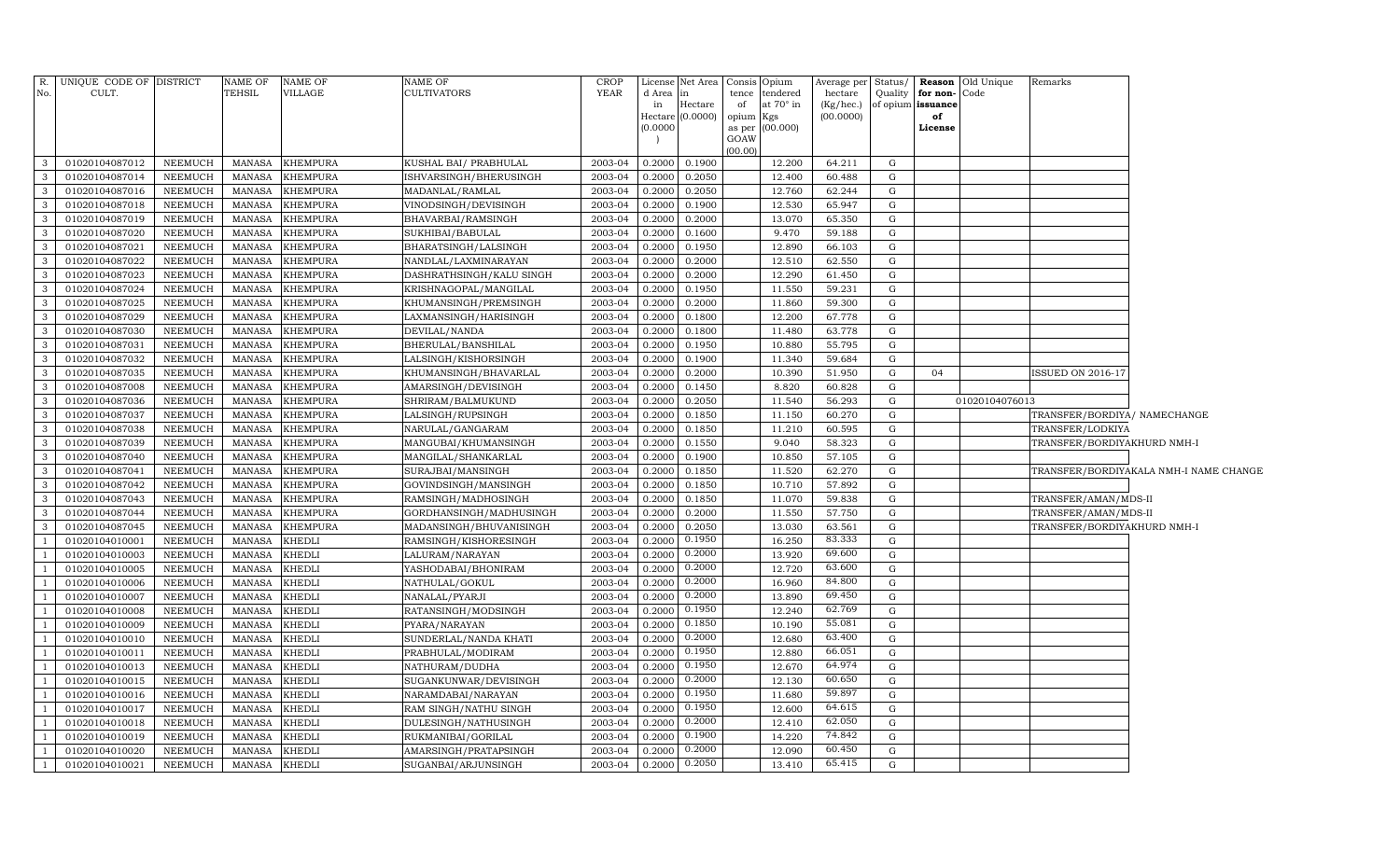| R.             | UNIQUE CODE OF DISTRICT |                | NAME OF       | <b>NAME OF</b>  | NAME OF                  | <b>CROP</b> |          | License Net Area Consis Opium |                |                  | Average per Status/ |             |                             | <b>Reason</b> Old Unique | Remarks                      |                                        |
|----------------|-------------------------|----------------|---------------|-----------------|--------------------------|-------------|----------|-------------------------------|----------------|------------------|---------------------|-------------|-----------------------------|--------------------------|------------------------------|----------------------------------------|
| No.            | CULT.                   |                | TEHSIL        | VILLAGE         | CULTIVATORS              | <b>YEAR</b> | d Area   | $\ln$                         | tence          | tendered         | hectare             | Quality     | for non-Code                |                          |                              |                                        |
|                |                         |                |               |                 |                          |             | in       | Hectare                       | of             | at $70^\circ$ in |                     |             | (Kg/hec.) of opium issuance |                          |                              |                                        |
|                |                         |                |               |                 |                          |             |          | Hectare (0.0000)              | opium          | Kgs              | (00.0000)           |             | of                          |                          |                              |                                        |
|                |                         |                |               |                 |                          |             | (0.0000) |                               | as per<br>GOAW | (00.000)         |                     |             | License                     |                          |                              |                                        |
|                |                         |                |               |                 |                          |             |          |                               | (00.00)        |                  |                     |             |                             |                          |                              |                                        |
| 3              | 01020104087012          | NEEMUCH        | MANASA        | <b>KHEMPURA</b> | KUSHAL BAI/ PRABHULAL    | 2003-04     | 0.2000   | 0.1900                        |                | 12.200           | 64.211              | G           |                             |                          |                              |                                        |
| 3              | 01020104087014          | NEEMUCH        | MANASA        | <b>KHEMPURA</b> | ISHVARSINGH/BHERUSINGH   | 2003-04     | 0.2000   | 0.2050                        |                | 12.400           | 60.488              | G           |                             |                          |                              |                                        |
| 3              | 01020104087016          | <b>NEEMUCH</b> | MANASA        | <b>KHEMPURA</b> | MADANLAL/RAMLAL          | 2003-04     | 0.2000   | 0.2050                        |                | 12.760           | 62.244              | G           |                             |                          |                              |                                        |
| $\mathbf{3}$   | 01020104087018          | <b>NEEMUCH</b> | MANASA        | <b>KHEMPURA</b> | VINODSINGH/DEVISINGH     | 2003-04     | 0.2000   | 0.1900                        |                | 12.530           | 65.947              | G           |                             |                          |                              |                                        |
| 3              | 01020104087019          | <b>NEEMUCH</b> | <b>MANASA</b> | <b>KHEMPURA</b> | BHAVARBAI/RAMSINGH       | 2003-04     | 0.2000   | 0.2000                        |                | 13.070           | 65.350              | G           |                             |                          |                              |                                        |
| $\mathbf{3}$   | 01020104087020          | NEEMUCH        | MANASA        | <b>KHEMPURA</b> | SUKHIBAI/BABULAL         | 2003-04     | 0.2000   | 0.1600                        |                | 9.470            | 59.188              | G           |                             |                          |                              |                                        |
| $\mathbf{3}$   | 01020104087021          | NEEMUCH        | MANASA        | <b>KHEMPURA</b> | BHARATSINGH/LALSINGH     | 2003-04     | 0.2000   | 0.1950                        |                | 12.890           | 66.103              | G           |                             |                          |                              |                                        |
| $\mathbf{3}$   | 01020104087022          | NEEMUCH        | MANASA        | <b>KHEMPURA</b> | NANDLAL/LAXMINARAYAN     | 2003-04     | 0.2000   | 0.2000                        |                | 12.510           | 62.550              | G           |                             |                          |                              |                                        |
| $\mathbf{3}$   | 01020104087023          | NEEMUCH        | MANASA        | <b>KHEMPURA</b> | DASHRATHSINGH/KALU SINGH | 2003-04     | 0.2000   | 0.2000                        |                | 12.290           | 61.450              | G           |                             |                          |                              |                                        |
| $\mathbf{3}$   | 01020104087024          | NEEMUCH        | MANASA        | <b>KHEMPURA</b> | KRISHNAGOPAL/MANGILAL    | 2003-04     | 0.2000   | 0.1950                        |                | 11.550           | 59.231              | $\mathbf G$ |                             |                          |                              |                                        |
| 3              | 01020104087025          | NEEMUCH        | MANASA        | <b>KHEMPURA</b> | KHUMANSINGH/PREMSINGH    | 2003-04     | 0.2000   | 0.2000                        |                | 11.860           | 59.300              | G           |                             |                          |                              |                                        |
| $\mathbf{3}$   | 01020104087029          | NEEMUCH        | MANASA        | <b>KHEMPURA</b> | LAXMANSINGH/HARISINGH    | 2003-04     | 0.2000   | 0.1800                        |                | 12.200           | 67.778              | G           |                             |                          |                              |                                        |
| $\mathbf{3}$   | 01020104087030          | <b>NEEMUCH</b> | MANASA        | <b>KHEMPURA</b> | DEVILAL/NANDA            | 2003-04     | 0.2000   | 0.1800                        |                | 11.480           | 63.778              | G           |                             |                          |                              |                                        |
| $\mathbf{3}$   | 01020104087031          | <b>NEEMUCH</b> | MANASA        | <b>KHEMPURA</b> | BHERULAL/BANSHILAL       | 2003-04     | 0.2000   | 0.1950                        |                | 10.880           | 55.795              | G           |                             |                          |                              |                                        |
| $\mathbf{3}$   | 01020104087032          | <b>NEEMUCH</b> | MANASA        | <b>KHEMPURA</b> | LALSINGH/KISHORSINGH     | 2003-04     | 0.2000   | 0.1900                        |                | 11.340           | 59.684              | G           |                             |                          |                              |                                        |
| $\mathbf{3}$   | 01020104087035          | <b>NEEMUCH</b> | MANASA        | <b>KHEMPURA</b> | KHUMANSINGH/BHAVARLAL    | 2003-04     | 0.2000   | 0.2000                        |                | 10.390           | 51.950              | G           | 04                          |                          | ISSUED ON 2016-17            |                                        |
| $\mathbf{3}$   | 01020104087008          | <b>NEEMUCH</b> | MANASA        | <b>KHEMPURA</b> | AMARSINGH/DEVISINGH      | 2003-04     | 0.2000   | 0.1450                        |                | 8.820            | 60.828              | G           |                             |                          |                              |                                        |
| $\mathbf{3}$   | 01020104087036          | NEEMUCH        | MANASA        | <b>KHEMPURA</b> | SHRIRAM/BALMUKUND        | 2003-04     | 0.2000   | 0.2050                        |                | 11.540           | 56.293              | G           |                             | 01020104076013           |                              |                                        |
| $\mathbf{3}$   | 01020104087037          | NEEMUCH        | MANASA        | <b>KHEMPURA</b> | LALSINGH/RUPSINGH        | 2003-04     | 0.2000   | 0.1850                        |                | 11.150           | 60.270              | G           |                             |                          | TRANSFER/BORDIYA/ NAMECHANGE |                                        |
| $\mathbf{3}$   | 01020104087038          | <b>NEEMUCH</b> | MANASA        | <b>KHEMPURA</b> | NARULAL/GANGARAM         | 2003-04     | 0.2000   | 0.1850                        |                | 11.210           | 60.595              | G           |                             |                          | TRANSFER/LODKIYA             |                                        |
| $\mathbf{3}$   | 01020104087039          | <b>NEEMUCH</b> | MANASA        | <b>KHEMPURA</b> | MANGUBAI/KHUMANSINGH     | 2003-04     | 0.2000   | 0.1550                        |                | 9.040            | 58.323              | G           |                             |                          | TRANSFER/BORDIYAKHURD NMH-I  |                                        |
| $\mathbf{3}$   | 01020104087040          | <b>NEEMUCH</b> | MANASA        | <b>KHEMPURA</b> | MANGILAL/SHANKARLAL      | 2003-04     | 0.2000   | 0.1900                        |                | 10.850           | 57.105              | G           |                             |                          |                              |                                        |
| $\mathbf{3}$   | 01020104087041          | <b>NEEMUCH</b> | MANASA        | <b>KHEMPURA</b> | SURAJBAI/MANSINGH        | 2003-04     | 0.2000   | 0.1850                        |                | 11.520           | 62.270              | G           |                             |                          |                              | TRANSFER/BORDIYAKALA NMH-I NAME CHANGE |
| $\mathbf{3}$   | 01020104087042          | <b>NEEMUCH</b> | MANASA        | <b>KHEMPURA</b> | GOVINDSINGH/MANSINGH     | 2003-04     | 0.2000   | 0.1850                        |                | 10.710           | 57.892              | G           |                             |                          |                              |                                        |
| $\mathbf{3}$   | 01020104087043          | <b>NEEMUCH</b> | MANASA        | <b>KHEMPURA</b> | RAMSINGH/MADHOSINGH      | 2003-04     | 0.2000   | 0.1850                        |                | 11.070           | 59.838              | G           |                             |                          | TRANSFER/AMAN/MDS-II         |                                        |
| $\mathbf{3}$   | 01020104087044          | <b>NEEMUCH</b> | MANASA        | <b>KHEMPURA</b> | GORDHANSINGH/MADHUSINGH  | 2003-04     | 0.2000   | 0.2000                        |                | 11.550           | 57.750              | G           |                             |                          | TRANSFER/AMAN/MDS-II         |                                        |
| 3              | 01020104087045          | NEEMUCH        | MANASA        | <b>KHEMPURA</b> | MADANSINGH/BHUVANISINGH  | 2003-04     | 0.2000   | 0.2050                        |                | 13.030           | 63.561              | G           |                             |                          | TRANSFER/BORDIYAKHURD NMH-I  |                                        |
| $\overline{1}$ | 01020104010001          | <b>NEEMUCH</b> | MANASA        | <b>KHEDLI</b>   | RAMSINGH/KISHORESINGH    | 2003-04     | 0.2000   | 0.1950                        |                | 16.250           | 83.333              | G           |                             |                          |                              |                                        |
|                | 01020104010003          | NEEMUCH        | MANASA        | <b>KHEDLI</b>   | LALURAM/NARAYAN          | 2003-04     | 0.2000   | 0.2000                        |                | 13.920           | 69.600              | G           |                             |                          |                              |                                        |
|                | 01020104010005          | <b>NEEMUCH</b> | MANASA        | <b>KHEDLI</b>   | YASHODABAI/BHONIRAM      | 2003-04     | 0.2000   | 0.2000                        |                | 12.720           | 63.600              | $\mathbf G$ |                             |                          |                              |                                        |
| - 1            | 01020104010006          | NEEMUCH        | MANASA        | <b>KHEDLI</b>   | NATHULAL/GOKUL           | 2003-04     | 0.2000   | 0.2000                        |                | 16.960           | 84.800              | ${\rm G}$   |                             |                          |                              |                                        |
| $\overline{1}$ | 01020104010007          | <b>NEEMUCH</b> | MANASA        | <b>KHEDLI</b>   | NANALAL/PYARJI           | 2003-04     | 0.2000   | 0.2000                        |                | 13.890           | 69.450              | G           |                             |                          |                              |                                        |
|                | 01020104010008          | <b>NEEMUCH</b> | MANASA        | <b>KHEDLI</b>   | RATANSINGH/MODSINGH      | 2003-04     | 0.2000   | 0.1950                        |                | 12.240           | 62.769              | ${\rm G}$   |                             |                          |                              |                                        |
| $\overline{1}$ | 01020104010009          | <b>NEEMUCH</b> | MANASA        | <b>KHEDLI</b>   | PYARA/NARAYAN            | 2003-04     | 0.2000   | 0.1850                        |                | 10.190           | 55.081              | ${\rm G}$   |                             |                          |                              |                                        |
| $\overline{1}$ | 01020104010010          | NEEMUCH        | MANASA        | <b>KHEDLI</b>   | SUNDERLAL/NANDA KHATI    | 2003-04     | 0.2000   | 0.2000                        |                | 12.680           | 63.400              | ${\rm G}$   |                             |                          |                              |                                        |
|                | 01020104010011          | NEEMUCH        | <b>MANASA</b> | KHEDLI          | PRABHULAL/MODIRAM        | 2003-04     | 0.2000   | 0.1950                        |                | 12.880           | 66.051              | G           |                             |                          |                              |                                        |
|                | 01020104010013          | <b>NEEMUCH</b> | <b>MANASA</b> | <b>KHEDLI</b>   | NATHURAM/DUDHA           | 2003-04     | 0.2000   | 0.1950                        |                | 12.670           | 64.974              | ${\rm G}$   |                             |                          |                              |                                        |
| - 1            | 01020104010015          | <b>NEEMUCH</b> | MANASA        | <b>KHEDLI</b>   | SUGANKUNWAR/DEVISINGH    | 2003-04     | 0.2000   | 0.2000                        |                | 12.130           | 60.650              | G           |                             |                          |                              |                                        |
|                | 01020104010016          | NEEMUCH        | <b>MANASA</b> | KHEDLI          | NARAMDABAI/NARAYAN       | 2003-04     | 0.2000   | 0.1950                        |                | 11.680           | 59.897              | ${\rm G}$   |                             |                          |                              |                                        |
|                | 01020104010017          | NEEMUCH        | <b>MANASA</b> | <b>KHEDLI</b>   | RAM SINGH/NATHU SINGH    | 2003-04     | 0.2000   | 0.1950                        |                | 12.600           | 64.615              | G           |                             |                          |                              |                                        |
|                | 01020104010018          | NEEMUCH        | <b>MANASA</b> | KHEDLI          | DULESINGH/NATHUSINGH     | 2003-04     | 0.2000   | 0.2000                        |                | 12.410           | 62.050              | G           |                             |                          |                              |                                        |
|                | 01020104010019          | NEEMUCH        | <b>MANASA</b> | KHEDLI          | RUKMANIBAI/GORILAL       | 2003-04     | 0.2000   | 0.1900                        |                | 14.220           | 74.842              | G           |                             |                          |                              |                                        |
| - 1            | 01020104010020          | NEEMUCH        | <b>MANASA</b> | <b>KHEDLI</b>   | AMARSINGH/PRATAPSINGH    | 2003-04     | 0.2000   | 0.2000                        |                | 12.090           | 60.450              | G           |                             |                          |                              |                                        |
| $\overline{1}$ | 01020104010021          | <b>NEEMUCH</b> | MANASA        | <b>KHEDLI</b>   | SUGANBAI/ARJUNSINGH      | 2003-04     | 0.2000   | 0.2050                        |                | 13.410           | 65.415              | G           |                             |                          |                              |                                        |
|                |                         |                |               |                 |                          |             |          |                               |                |                  |                     |             |                             |                          |                              |                                        |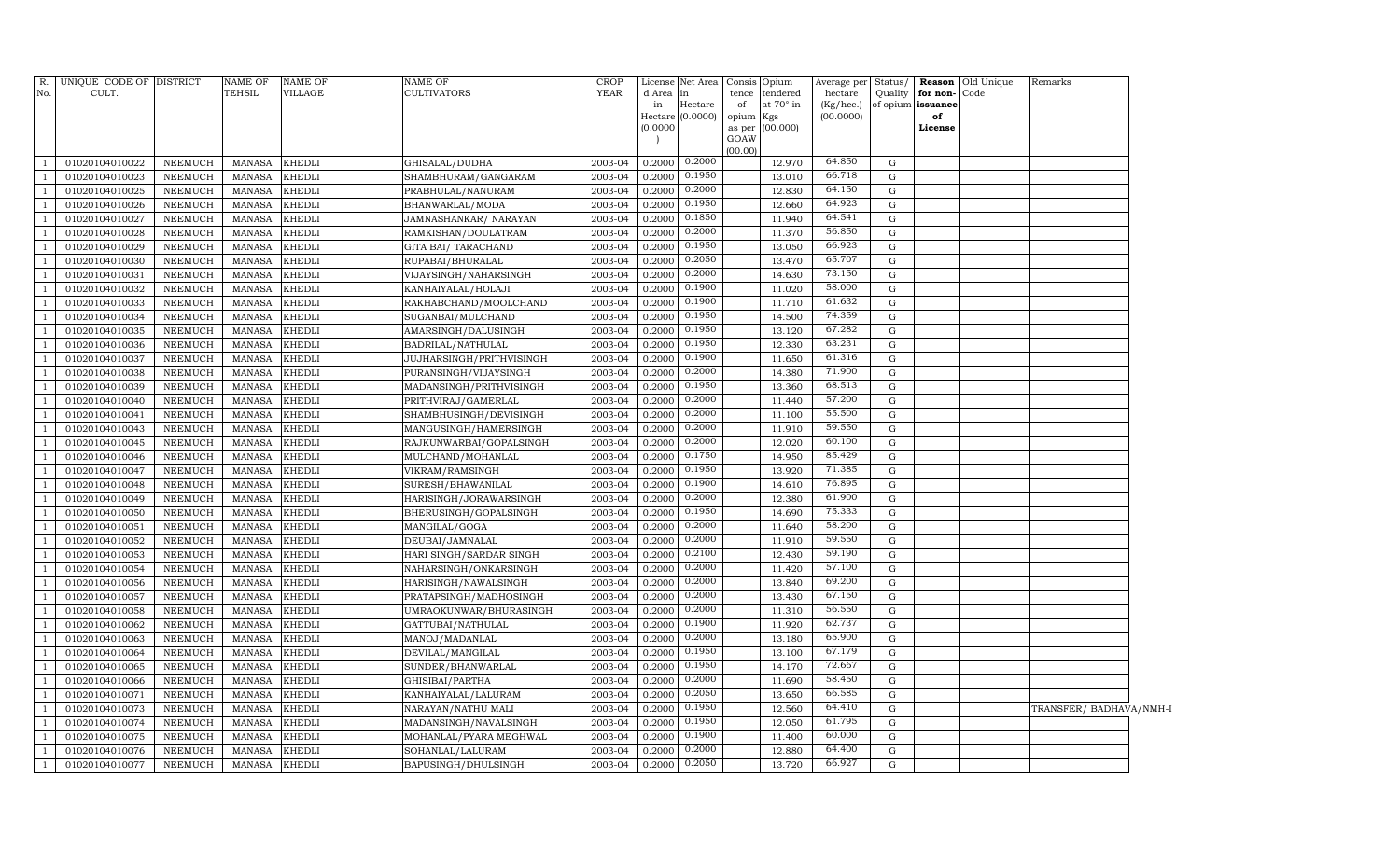| R.             | UNIQUE CODE OF DISTRICT          |                                  | <b>NAME OF</b>                 | NAME OF          | <b>NAME OF</b>                                   | <b>CROP</b>        | License                | Net Area         |           | Consis Opium     | Average per            |                  |                         | Status/ Reason Old Unique | Remarks                 |  |
|----------------|----------------------------------|----------------------------------|--------------------------------|------------------|--------------------------------------------------|--------------------|------------------------|------------------|-----------|------------------|------------------------|------------------|-------------------------|---------------------------|-------------------------|--|
| No.            | CULT.                            |                                  | TEHSIL                         | <b>VILLAGE</b>   | <b>CULTIVATORS</b>                               | <b>YEAR</b>        | d Area in              |                  |           | tence tendered   | hectare                |                  | Quality for non-Code    |                           |                         |  |
|                |                                  |                                  |                                |                  |                                                  |                    | in<br>Hectare (0.0000) | Hectare          | of        | at $70^\circ$ in | (Kg/hec.)<br>(00.0000) |                  | of opium issuance<br>of |                           |                         |  |
|                |                                  |                                  |                                |                  |                                                  |                    | (0.0000)               |                  | opium Kgs | as per (00.000)  |                        |                  | License                 |                           |                         |  |
|                |                                  |                                  |                                |                  |                                                  |                    |                        |                  | GOAW      |                  |                        |                  |                         |                           |                         |  |
|                |                                  |                                  |                                |                  |                                                  |                    |                        |                  | (00.00)   |                  |                        |                  |                         |                           |                         |  |
| -1             | 01020104010022                   | NEEMUCH                          | MANASA                         | <b>KHEDLI</b>    | GHISALAL/DUDHA                                   | 2003-04            | 0.2000                 | 0.2000           |           | 12.970           | 64.850                 | G                |                         |                           |                         |  |
| $\overline{1}$ | 01020104010023                   | NEEMUCH                          | <b>MANASA</b>                  | <b>KHEDLI</b>    | SHAMBHURAM/GANGARAM                              | 2003-04            | 0.2000                 | 0.1950           |           | 13.010           | 66.718                 | G                |                         |                           |                         |  |
| $\mathbf{1}$   | 01020104010025                   | NEEMUCH                          | MANASA                         | <b>KHEDLI</b>    | PRABHULAL/NANURAM                                | 2003-04            | 0.2000                 | 0.2000           |           | 12.830           | 64.150                 | ${\rm G}$        |                         |                           |                         |  |
| <sup>1</sup>   | 01020104010026                   | NEEMUCH                          | MANASA                         | <b>KHEDLI</b>    | BHANWARLAL/MODA                                  | 2003-04            | 0.2000                 | 0.1950           |           | 12.660           | 64.923                 | G                |                         |                           |                         |  |
| -1             | 01020104010027                   | NEEMUCH                          | MANASA                         | KHEDLI           | JAMNASHANKAR/ NARAYAN                            | 2003-04            | 0.2000                 | 0.1850           |           | 11.940           | 64.541                 | ${\rm G}$        |                         |                           |                         |  |
| $\mathbf{1}$   | 01020104010028                   | NEEMUCH                          | MANASA                         | KHEDLI           | RAMKISHAN/DOULATRAM                              | 2003-04            | 0.2000                 | 0.2000           |           | 11.370           | 56.850                 | ${\rm G}$        |                         |                           |                         |  |
| <sup>1</sup>   | 01020104010029                   | NEEMUCH                          | MANASA                         | KHEDLI           | GITA BAI / TARACHAND                             | 2003-04            | 0.2000                 | 0.1950           |           | 13.050           | 66.923                 | ${\rm G}$        |                         |                           |                         |  |
| $\mathbf{1}$   | 01020104010030                   | NEEMUCH                          | MANASA                         | KHEDLI           | RUPABAI/BHURALAL                                 | 2003-04            | 0.2000                 | 0.2050           |           | 13.470           | 65.707                 | ${\rm G}$        |                         |                           |                         |  |
| $\overline{1}$ | 01020104010031                   | <b>NEEMUCH</b>                   | MANASA                         | KHEDLI           | VIJAYSINGH/NAHARSINGH                            | 2003-04            | 0.2000                 | 0.2000           |           | 14.630           | 73.150                 | ${\rm G}$        |                         |                           |                         |  |
| $\mathbf{1}$   | 01020104010032                   | <b>NEEMUCH</b>                   | MANASA                         | KHEDLI           | KANHAIYALAL/HOLAJI                               | 2003-04            | 0.2000                 | 0.1900           |           | 11.020           | 58.000                 | ${\rm G}$        |                         |                           |                         |  |
| $\overline{1}$ | 01020104010033                   | <b>NEEMUCH</b>                   | MANASA                         | KHEDLI           | RAKHABCHAND/MOOLCHAND                            | 2003-04            | 0.2000                 | 0.1900           |           | 11.710           | 61.632                 | ${\rm G}$        |                         |                           |                         |  |
| -1             | 01020104010034                   | <b>NEEMUCH</b>                   | <b>MANASA</b>                  | KHEDLI           | SUGANBAI/MULCHAND                                | 2003-04            | 0.2000                 | 0.1950           |           | 14.500           | 74.359                 | G                |                         |                           |                         |  |
| $\overline{1}$ | 01020104010035                   | <b>NEEMUCH</b>                   | <b>MANASA</b>                  | KHEDLI           | AMARSINGH/DALUSINGH                              | 2003-04            | 0.2000                 | 0.1950           |           | 13.120           | 67.282                 | ${\rm G}$        |                         |                           |                         |  |
| $\overline{1}$ | 01020104010036                   | <b>NEEMUCH</b>                   | <b>MANASA</b>                  | KHEDLI           | BADRILAL/NATHULAL                                | 2003-04            | 0.2000                 | 0.1950           |           | 12.330           | 63.231                 | ${\rm G}$        |                         |                           |                         |  |
| $\overline{1}$ | 01020104010037                   | <b>NEEMUCH</b>                   | <b>MANASA</b>                  | KHEDLI           | JUJHARSINGH/PRITHVISINGH                         | 2003-04            | 0.2000                 | 0.1900           |           | 11.650           | 61.316                 | ${\rm G}$        |                         |                           |                         |  |
| -1             | 01020104010038                   | <b>NEEMUCH</b>                   | <b>MANASA</b>                  | KHEDLI           | PURANSINGH/VIJAYSINGH                            | 2003-04            | 0.2000                 | 0.2000           |           | 14.380           | 71.900                 | ${\rm G}$        |                         |                           |                         |  |
|                | 01020104010039                   | <b>NEEMUCH</b>                   | MANASA                         | KHEDLI           | MADANSINGH/PRITHVISINGH                          | 2003-04            | 0.2000                 | 0.1950           |           | 13.360           | 68.513                 | ${\rm G}$        |                         |                           |                         |  |
| $\overline{1}$ | 01020104010040                   | <b>NEEMUCH</b>                   | <b>MANASA</b>                  | KHEDLI           | PRITHVIRAJ/GAMERLAL                              | 2003-04            | 0.2000                 | 0.2000           |           | 11.440           | 57.200                 | G                |                         |                           |                         |  |
| - 1            | 01020104010041                   | <b>NEEMUCH</b>                   | MANASA                         | KHEDLI           | SHAMBHUSINGH/DEVISINGH                           | 2003-04            | 0.2000                 | 0.2000           |           | 11.100           | 55.500                 | G                |                         |                           |                         |  |
| $\overline{1}$ | 01020104010043                   | <b>NEEMUCH</b>                   | MANASA                         | KHEDLI           | MANGUSINGH/HAMERSINGH                            | 2003-04            | 0.2000                 | 0.2000           |           | 11.910           | 59.550                 | ${\rm G}$        |                         |                           |                         |  |
|                | 01020104010045                   | <b>NEEMUCH</b>                   | MANASA                         | KHEDLI           | RAJKUNWARBAI/GOPALSINGH                          | 2003-04            | 0.2000                 | 0.2000<br>0.1750 |           | 12.020           | 60.100                 | ${\rm G}$        |                         |                           |                         |  |
|                | 01020104010046                   | <b>NEEMUCH</b>                   | <b>MANASA</b>                  | KHEDLI           | MULCHAND/MOHANLAL                                | 2003-04            | 0.2000                 |                  |           | 14.950           | 85.429                 | G                |                         |                           |                         |  |
|                | 01020104010047                   | <b>NEEMUCH</b>                   | MANASA                         | KHEDLI           | VIKRAM/RAMSINGH                                  | 2003-04            | 0.2000                 | 0.1950           |           | 13.920           | 71.385                 | ${\rm G}$        |                         |                           |                         |  |
| $\overline{1}$ | 01020104010048                   | <b>NEEMUCH</b>                   | MANASA                         | KHEDLI           | SURESH/BHAWANILAL                                | 2003-04            | 0.2000                 | 0.1900<br>0.2000 |           | 14.610           | 76.895<br>61.900       | ${\rm G}$        |                         |                           |                         |  |
| $\overline{1}$ | 01020104010049                   | <b>NEEMUCH</b>                   | MANASA                         | KHEDLI           | HARISINGH/JORAWARSINGH                           | 2003-04            | 0.2000                 | 0.1950           |           | 12.380           | 75.333                 | ${\rm G}$        |                         |                           |                         |  |
|                | 01020104010050                   | <b>NEEMUCH</b>                   | MANASA                         | KHEDLI           | BHERUSINGH/GOPALSINGH                            | 2003-04            | 0.2000                 | 0.2000           |           | 14.690           | 58.200                 | G                |                         |                           |                         |  |
|                | 01020104010051                   | NEEMUCH                          | MANASA                         | KHEDLI           | MANGILAL/GOGA                                    | 2003-04            | 0.2000                 | 0.2000           |           | 11.640           | 59.550                 | ${\rm G}$        |                         |                           |                         |  |
| $\overline{1}$ | 01020104010052                   | <b>NEEMUCH</b>                   | <b>MANASA</b>                  | khedli           | DEUBAI/JAMNALAL                                  | 2003-04            | 0.2000                 | 0.2100           |           | 11.910           | 59.190                 | G                |                         |                           |                         |  |
|                | 01020104010053<br>01020104010054 | <b>NEEMUCH</b><br><b>NEEMUCH</b> | <b>MANASA</b><br><b>MANASA</b> | KHEDLI<br>KHEDLI | HARI SINGH/SARDAR SINGH<br>NAHARSINGH/ONKARSINGH | 2003-04<br>2003-04 | 0.2000<br>0.2000       | 0.2000           |           | 12.430<br>11.420 | 57.100                 | G<br>$\mathbf G$ |                         |                           |                         |  |
|                | 01020104010056                   | <b>NEEMUCH</b>                   | <b>MANASA</b>                  | khedli           | HARISINGH/NAWALSINGH                             | 2003-04            | 0.2000                 | 0.2000           |           | 13.840           | 69.200                 | $\mathbf G$      |                         |                           |                         |  |
|                | 01020104010057                   | <b>NEEMUCH</b>                   | <b>MANASA</b>                  | KHEDLI           | PRATAPSINGH/MADHOSINGH                           | 2003-04            | 0.2000                 | 0.2000           |           | 13.430           | 67.150                 | G                |                         |                           |                         |  |
|                | 01020104010058                   | <b>NEEMUCH</b>                   | MANASA                         | khedli           | UMRAOKUNWAR/BHURASINGH                           | 2003-04            | 0.2000                 | 0.2000           |           | 11.310           | 56.550                 | ${\rm G}$        |                         |                           |                         |  |
|                | 01020104010062                   | <b>NEEMUCH</b>                   | <b>MANASA</b>                  | khedli           | GATTUBAI/NATHULAL                                | 2003-04            | 0.2000                 | 0.1900           |           | 11.920           | 62.737                 | $\mathbf G$      |                         |                           |                         |  |
|                | 01020104010063                   | <b>NEEMUCH</b>                   | MANASA                         | khedli           | MANOJ/MADANLAL                                   | 2003-04            | 0.2000                 | 0.2000           |           | 13.180           | 65.900                 | $\mathbf G$      |                         |                           |                         |  |
|                | 01020104010064                   | <b>NEEMUCH</b>                   | <b>MANASA</b>                  | KHEDLI           | DEVILAL/MANGILAL                                 | 2003-04            | 0.2000                 | 0.1950           |           | 13.100           | 67.179                 | $\mathbf G$      |                         |                           |                         |  |
|                | 01020104010065                   | <b>NEEMUCH</b>                   | MANASA                         | KHEDLI           | SUNDER/BHANWARLAL                                | 2003-04            | 0.2000                 | 0.1950           |           | 14.170           | 72.667                 | ${\rm G}$        |                         |                           |                         |  |
|                | 01020104010066                   | <b>NEEMUCH</b>                   | <b>MANASA</b>                  | khedli           | GHISIBAI/PARTHA                                  | 2003-04            | 0.2000                 | 0.2000           |           | 11.690           | 58.450                 | $\mathbf G$      |                         |                           |                         |  |
|                | 01020104010071                   | <b>NEEMUCH</b>                   | MANASA                         | KHEDLI           | KANHAIYALAL/LALURAM                              | 2003-04            | 0.2000                 | 0.2050           |           | 13.650           | 66.585                 | ${\rm G}$        |                         |                           |                         |  |
|                | 01020104010073                   | <b>NEEMUCH</b>                   | <b>MANASA</b>                  | khedli           | NARAYAN/NATHU MALI                               | 2003-04            | 0.2000                 | 0.1950           |           | 12.560           | 64.410                 | G                |                         |                           | TRANSFER/ BADHAVA/NMH-I |  |
|                | 01020104010074                   | <b>NEEMUCH</b>                   | MANASA                         | KHEDLI           | MADANSINGH/NAVALSINGH                            | 2003-04            | 0.2000                 | 0.1950           |           | 12.050           | 61.795                 | G                |                         |                           |                         |  |
|                | 01020104010075                   | <b>NEEMUCH</b>                   | <b>MANASA</b>                  | KHEDLI           | MOHANLAL/PYARA MEGHWAL                           | 2003-04            | 0.2000                 | 0.1900           |           | 11.400           | 60.000                 | G                |                         |                           |                         |  |
|                | 01020104010076                   | NEEMUCH                          | <b>MANASA</b>                  | KHEDLI           | SOHANLAL/LALURAM                                 | 2003-04            | 0.2000                 | 0.2000           |           | 12.880           | 64.400                 | G                |                         |                           |                         |  |
| $\mathbf{1}$   | 01020104010077                   | NEEMUCH                          | <b>MANASA</b>                  | KHEDLI           | BAPUSINGH/DHULSINGH                              | 2003-04            | 0.2000                 | 0.2050           |           | 13.720           | 66.927                 | G                |                         |                           |                         |  |
|                |                                  |                                  |                                |                  |                                                  |                    |                        |                  |           |                  |                        |                  |                         |                           |                         |  |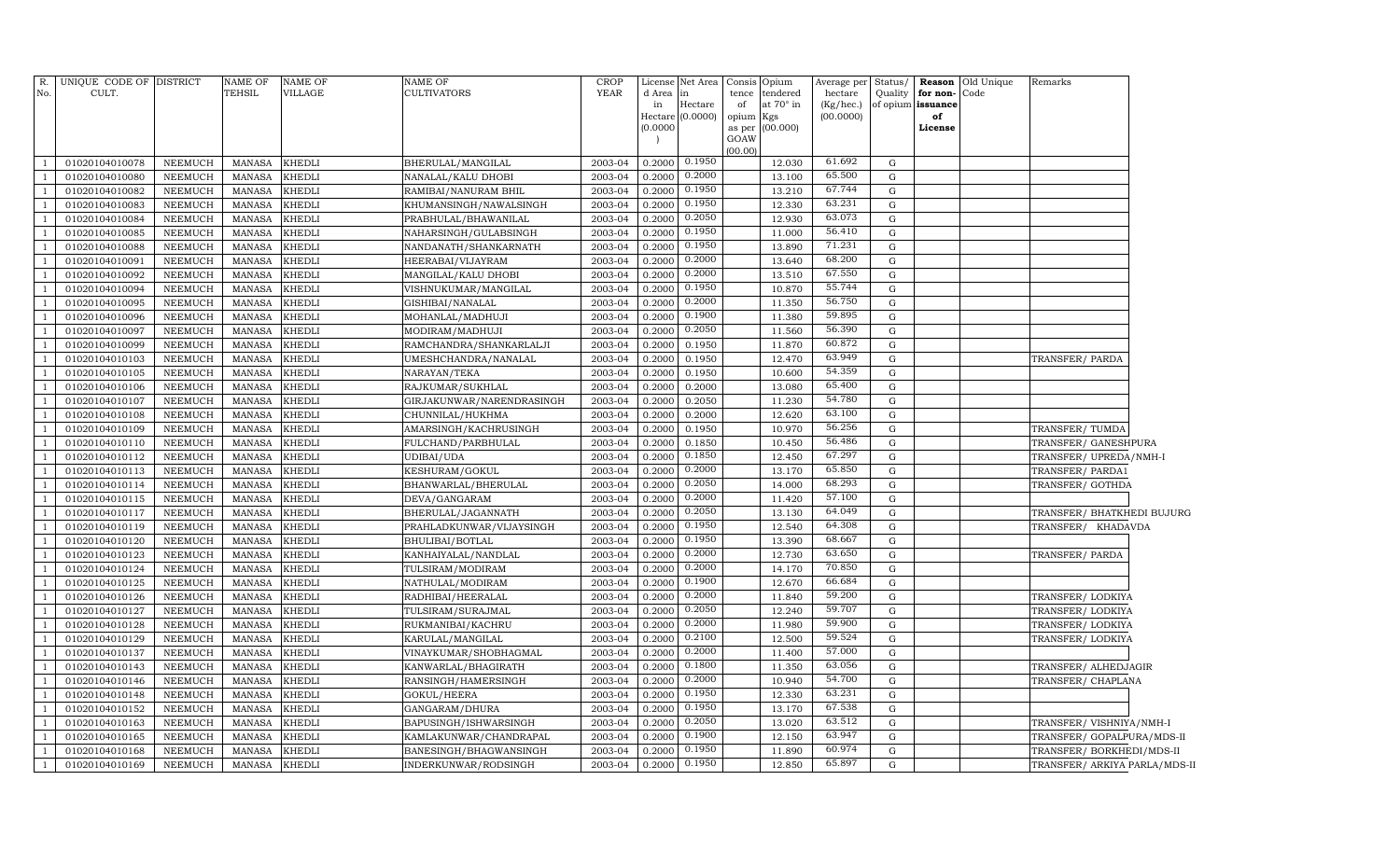|                          | R. UNIQUE CODE OF DISTRICT |                | NAME OF       | <b>NAME OF</b> | <b>NAME OF</b>            | <b>CROP</b> | License  | Net Area           | Consis          | Opium            | Average per | Status/     |                   | <b>Reason</b> Old Unique | Remarks                       |  |
|--------------------------|----------------------------|----------------|---------------|----------------|---------------------------|-------------|----------|--------------------|-----------------|------------------|-------------|-------------|-------------------|--------------------------|-------------------------------|--|
| No.                      | CULT.                      |                | TEHSIL        | VILLAGE        | CULTIVATORS               | <b>YEAR</b> | d Area   | in                 | tence           | tendered         | hectare     | Quality     | for non-          | Code                     |                               |  |
|                          |                            |                |               |                |                           |             | in       | Hectare            | of              | at $70^\circ$ in | (Kg/hec.)   |             | of opium issuance |                          |                               |  |
|                          |                            |                |               |                |                           |             | (0.0000) | Hectare $(0.0000)$ | opium<br>as per | Kgs<br>(00.000)  | (00.0000)   |             | of<br>License     |                          |                               |  |
|                          |                            |                |               |                |                           |             |          |                    | GOAW            |                  |             |             |                   |                          |                               |  |
|                          |                            |                |               |                |                           |             |          |                    | (00.00)         |                  |             |             |                   |                          |                               |  |
| $\overline{\phantom{0}}$ | 01020104010078             | NEEMUCH        | MANASA        | <b>KHEDLI</b>  | BHERULAL/MANGILAL         | 2003-04     | 0.2000   | 0.1950             |                 | 12.030           | 61.692      | $\mathbf G$ |                   |                          |                               |  |
| $\overline{1}$           | 01020104010080             | NEEMUCH        | <b>MANASA</b> | <b>KHEDLI</b>  | NANALAL/KALU DHOBI        | 2003-04     | 0.2000   | 0.2000             |                 | 13.100           | 65.500      | G           |                   |                          |                               |  |
| $\overline{1}$           | 01020104010082             | NEEMUCH        | <b>MANASA</b> | KHEDLI         | RAMIBAI/NANURAM BHIL      | 2003-04     | 0.2000   | 0.1950             |                 | 13.210           | 67.744      | G           |                   |                          |                               |  |
| - 1                      | 01020104010083             | NEEMUCH        | MANASA        | <b>KHEDLI</b>  | KHUMANSINGH/NAWALSINGH    | 2003-04     | 0.2000   | 0.1950             |                 | 12.330           | 63.231      | G           |                   |                          |                               |  |
| $\overline{1}$           | 01020104010084             | NEEMUCH        | MANASA        | KHEDLI         | PRABHULAL/BHAWANILAL      | 2003-04     | 0.2000   | 0.2050             |                 | 12.930           | 63.073      | G           |                   |                          |                               |  |
| $\overline{1}$           | 01020104010085             | NEEMUCH        | MANASA        | <b>KHEDLI</b>  | NAHARSINGH/GULABSINGH     | 2003-04     | 0.2000   | 0.1950             |                 | 11.000           | 56.410      | G           |                   |                          |                               |  |
| - 1                      | 01020104010088             | NEEMUCH        | MANASA        | <b>KHEDLI</b>  | NANDANATH/SHANKARNATH     | 2003-04     | 0.2000   | 0.1950             |                 | 13.890           | 71.231      | G           |                   |                          |                               |  |
| $\overline{1}$           | 01020104010091             | <b>NEEMUCH</b> | MANASA        | <b>KHEDLI</b>  | HEERABAI/VIJAYRAM         | 2003-04     | 0.2000   | 0.2000             |                 | 13.640           | 68.200      | G           |                   |                          |                               |  |
| $\overline{1}$           | 01020104010092             | <b>NEEMUCH</b> | <b>MANASA</b> | KHEDLI         | MANGILAL/KALU DHOBI       | 2003-04     | 0.2000   | 0.2000             |                 | 13.510           | 67.550      | G           |                   |                          |                               |  |
| $\overline{1}$           | 01020104010094             | NEEMUCH        | MANASA        | <b>KHEDLI</b>  | VISHNUKUMAR/MANGILAL      | 2003-04     | 0.2000   | 0.1950             |                 | 10.870           | 55.744      | G           |                   |                          |                               |  |
| $\overline{1}$           | 01020104010095             | <b>NEEMUCH</b> | MANASA        | <b>KHEDLI</b>  | GISHIBAI/NANALAL          | 2003-04     | 0.2000   | 0.2000             |                 | 11.350           | 56.750      | G           |                   |                          |                               |  |
| $\overline{1}$           | 01020104010096             | NEEMUCH        | <b>MANASA</b> | <b>KHEDLI</b>  | MOHANLAL/MADHUJI          | 2003-04     | 0.2000   | 0.1900             |                 | 11.380           | 59.895      | G           |                   |                          |                               |  |
| $\overline{1}$           | 01020104010097             | NEEMUCH        | <b>MANASA</b> | <b>KHEDLI</b>  | MODIRAM/MADHUJI           | 2003-04     | 0.2000   | 0.2050             |                 | 11.560           | 56.390      | G           |                   |                          |                               |  |
| $\overline{1}$           | 01020104010099             | NEEMUCH        | MANASA        | <b>KHEDLI</b>  | RAMCHANDRA/SHANKARLALJI   | 2003-04     | 0.2000   | 0.1950             |                 | 11.870           | 60.872      | G           |                   |                          |                               |  |
| $\overline{1}$           | 01020104010103             | NEEMUCH        | <b>MANASA</b> | <b>KHEDLI</b>  | UMESHCHANDRA/NANALAL      | 2003-04     | 0.2000   | 0.1950             |                 | 12.470           | 63.949      | G           |                   |                          | TRANSFER/PARDA                |  |
| $\overline{1}$           | 01020104010105             | NEEMUCH        | <b>MANASA</b> | <b>KHEDLI</b>  | NARAYAN/TEKA              | 2003-04     | 0.2000   | 0.1950             |                 | 10.600           | 54.359      | G           |                   |                          |                               |  |
| $\overline{1}$           | 01020104010106             | NEEMUCH        | MANASA        | <b>KHEDLI</b>  | RAJKUMAR/SUKHLAL          | 2003-04     | 0.2000   | 0.2000             |                 | 13.080           | 65.400      | G           |                   |                          |                               |  |
| $\overline{1}$           | 01020104010107             | NEEMUCH        | <b>MANASA</b> | KHEDLI         | GIRJAKUNWAR/NARENDRASINGH | 2003-04     | 0.2000   | 0.2050             |                 | 11.230           | 54.780      | G           |                   |                          |                               |  |
| $\overline{1}$           | 01020104010108             | NEEMUCH        | <b>MANASA</b> | KHEDLI         | CHUNNILAL/HUKHMA          | 2003-04     | 0.2000   | 0.2000             |                 | 12.620           | 63.100      | G           |                   |                          |                               |  |
| $\overline{1}$           | 01020104010109             | NEEMUCH        | <b>MANASA</b> | KHEDLI         | AMARSINGH/KACHRUSINGH     | 2003-04     | 0.2000   | 0.1950             |                 | 10.970           | 56.256      | G           |                   |                          | TRANSFER/TUMDA                |  |
| $\overline{1}$           | 01020104010110             | NEEMUCH        | <b>MANASA</b> | <b>KHEDLI</b>  | FULCHAND/PARBHULAL        | 2003-04     | 0.2000   | 0.1850             |                 | 10.450           | 56.486      | ${\rm G}$   |                   |                          | TRANSFER/ GANESHPURA          |  |
| $\overline{1}$           | 01020104010112             | NEEMUCH        | <b>MANASA</b> | KHEDLI         | UDIBAI/UDA                | 2003-04     | 0.2000   | 0.1850             |                 | 12.450           | 67.297      | G           |                   |                          | TRANSFER/UPREDA/NMH-I         |  |
| $\overline{1}$           | 01020104010113             | NEEMUCH        | <b>MANASA</b> | KHEDLI         | KESHURAM/GOKUL            | 2003-04     | 0.2000   | 0.2000             |                 | 13.170           | 65.850      | G           |                   |                          | TRANSFER/PARDA1               |  |
| $\overline{1}$           | 01020104010114             | NEEMUCH        | <b>MANASA</b> | KHEDLI         | BHANWARLAL/BHERULAL       | 2003-04     | 0.2000   | 0.2050             |                 | 14.000           | 68.293      | G           |                   |                          | TRANSFER/ GOTHDA              |  |
| $\overline{1}$           | 01020104010115             | NEEMUCH        | <b>MANASA</b> | KHEDLI         | DEVA/GANGARAM             | 2003-04     | 0.2000   | 0.2000             |                 | 11.420           | 57.100      | G           |                   |                          |                               |  |
| $\overline{1}$           | 01020104010117             | NEEMUCH        | <b>MANASA</b> | KHEDLI         | BHERULAL/JAGANNATH        | 2003-04     | 0.2000   | 0.2050             |                 | 13.130           | 64.049      | G           |                   |                          | TRANSFER/ BHATKHEDI BUJURG    |  |
| $\overline{1}$           | 01020104010119             | NEEMUCH        | <b>MANASA</b> | KHEDLI         | PRAHLADKUNWAR/VIJAYSINGH  | 2003-04     | 0.2000   | 0.1950             |                 | 12.540           | 64.308      | G           |                   |                          | TRANSFER/ KHADAVDA            |  |
| $\overline{1}$           | 01020104010120             | NEEMUCH        | <b>MANASA</b> | KHEDLI         | BHULIBAI/BOTLAL           | 2003-04     | 0.2000   | 0.1950             |                 | 13.390           | 68.667      | G           |                   |                          |                               |  |
| $\overline{1}$           | 01020104010123             | <b>NEEMUCH</b> | <b>MANASA</b> | KHEDLI         | KANHAIYALAL/NANDLAL       | 2003-04     | 0.2000   | 0.2000             |                 | 12.730           | 63.650      | ${\rm G}$   |                   |                          | TRANSFER/PARDA                |  |
| $\overline{1}$           | 01020104010124             | NEEMUCH        | <b>MANASA</b> | KHEDLI         | TULSIRAM/MODIRAM          | 2003-04     | 0.2000   | 0.2000             |                 | 14.170           | 70.850      | G           |                   |                          |                               |  |
| $\overline{1}$           | 01020104010125             | NEEMUCH        | <b>MANASA</b> | KHEDLI         | NATHULAL/MODIRAM          | 2003-04     | 0.2000   | 0.1900             |                 | 12.670           | 66.684      | G           |                   |                          |                               |  |
| $\overline{1}$           | 01020104010126             | NEEMUCH        | <b>MANASA</b> | KHEDLI         | RADHIBAI/HEERALAL         | 2003-04     | 0.2000   | 0.2000             |                 | 11.840           | 59.200      | G           |                   |                          | TRANSFER/LODKIYA              |  |
| $\overline{1}$           | 01020104010127             | NEEMUCH        | <b>MANASA</b> | KHEDLI         | TULSIRAM/SURAJMAL         | 2003-04     | 0.2000   | 0.2050             |                 | 12.240           | 59.707      | G           |                   |                          | TRANSFER/LODKIYA              |  |
| $\overline{1}$           | 01020104010128             | NEEMUCH        | <b>MANASA</b> | KHEDLI         | RUKMANIBAI/KACHRU         | 2003-04     | 0.2000   | 0.2000             |                 | 11.980           | 59.900      | G           |                   |                          | TRANSFER/LODKIYA              |  |
| $\overline{1}$           | 01020104010129             | NEEMUCH        | <b>MANASA</b> | KHEDLI         | KARULAL/MANGILAL          | 2003-04     | 0.2000   | 0.2100             |                 | 12.500           | 59.524      | $\mathbf G$ |                   |                          | TRANSFER/LODKIYA              |  |
| $\overline{1}$           | 01020104010137             | NEEMUCH        | <b>MANASA</b> | KHEDLI         | VINAYKUMAR/SHOBHAGMAL     | 2003-04     | 0.2000   | 0.2000             |                 | 11.400           | 57.000      | G           |                   |                          |                               |  |
| $\overline{1}$           | 01020104010143             | NEEMUCH        | <b>MANASA</b> | KHEDLI         | KANWARLAL/BHAGIRATH       | 2003-04     | 0.2000   | 0.1800             |                 | 11.350           | 63.056      | G           |                   |                          | TRANSFER/ALHEDJAGIR           |  |
| $\overline{1}$           | 01020104010146             | NEEMUCH        | <b>MANASA</b> | KHEDLI         | RANSINGH/HAMERSINGH       | 2003-04     | 0.2000   | 0.2000             |                 | 10.940           | 54.700      | G           |                   |                          | TRANSFER/ CHAPLANA            |  |
| $\overline{1}$           | 01020104010148             | <b>NEEMUCH</b> | <b>MANASA</b> | <b>KHEDLI</b>  | GOKUL/HEERA               | 2003-04     | 0.2000   | 0.1950             |                 | 12.330           | 63.231      | $\mathbf G$ |                   |                          |                               |  |
| $\overline{1}$           | 01020104010152             | <b>NEEMUCH</b> | <b>MANASA</b> | KHEDLI         | GANGARAM/DHURA            | 2003-04     | 0.2000   | 0.1950             |                 | 13.170           | 67.538      | $\mathbf G$ |                   |                          |                               |  |
| $\overline{1}$           | 01020104010163             | <b>NEEMUCH</b> | <b>MANASA</b> | KHEDLI         | BAPUSINGH/ISHWARSINGH     | 2003-04     | 0.2000   | 0.2050             |                 | 13.020           | 63.512      | ${\rm G}$   |                   |                          | TRANSFER/VISHNIYA/NMH-I       |  |
| $\overline{1}$           | 01020104010165             | <b>NEEMUCH</b> | <b>MANASA</b> | KHEDLI         | KAMLAKUNWAR/CHANDRAPAL    | 2003-04     | 0.2000   | 0.1900             |                 | 12.150           | 63.947      | $\mathbf G$ |                   |                          | TRANSFER/ GOPALPURA/MDS-II    |  |
| $\overline{1}$           | 01020104010168             | NEEMUCH        | <b>MANASA</b> | KHEDLI         | BANESINGH/BHAGWANSINGH    | 2003-04     | 0.2000   | 0.1950             |                 | 11.890           | 60.974      | G           |                   |                          | TRANSFER/BORKHEDI/MDS-II      |  |
| $\overline{1}$           | 01020104010169             | NEEMUCH        | <b>MANASA</b> | <b>KHEDLI</b>  | INDERKUNWAR/RODSINGH      | 2003-04     | 0.2000   | 0.1950             |                 | 12.850           | 65.897      | $\mathbf G$ |                   |                          | TRANSFER/ ARKIYA PARLA/MDS-II |  |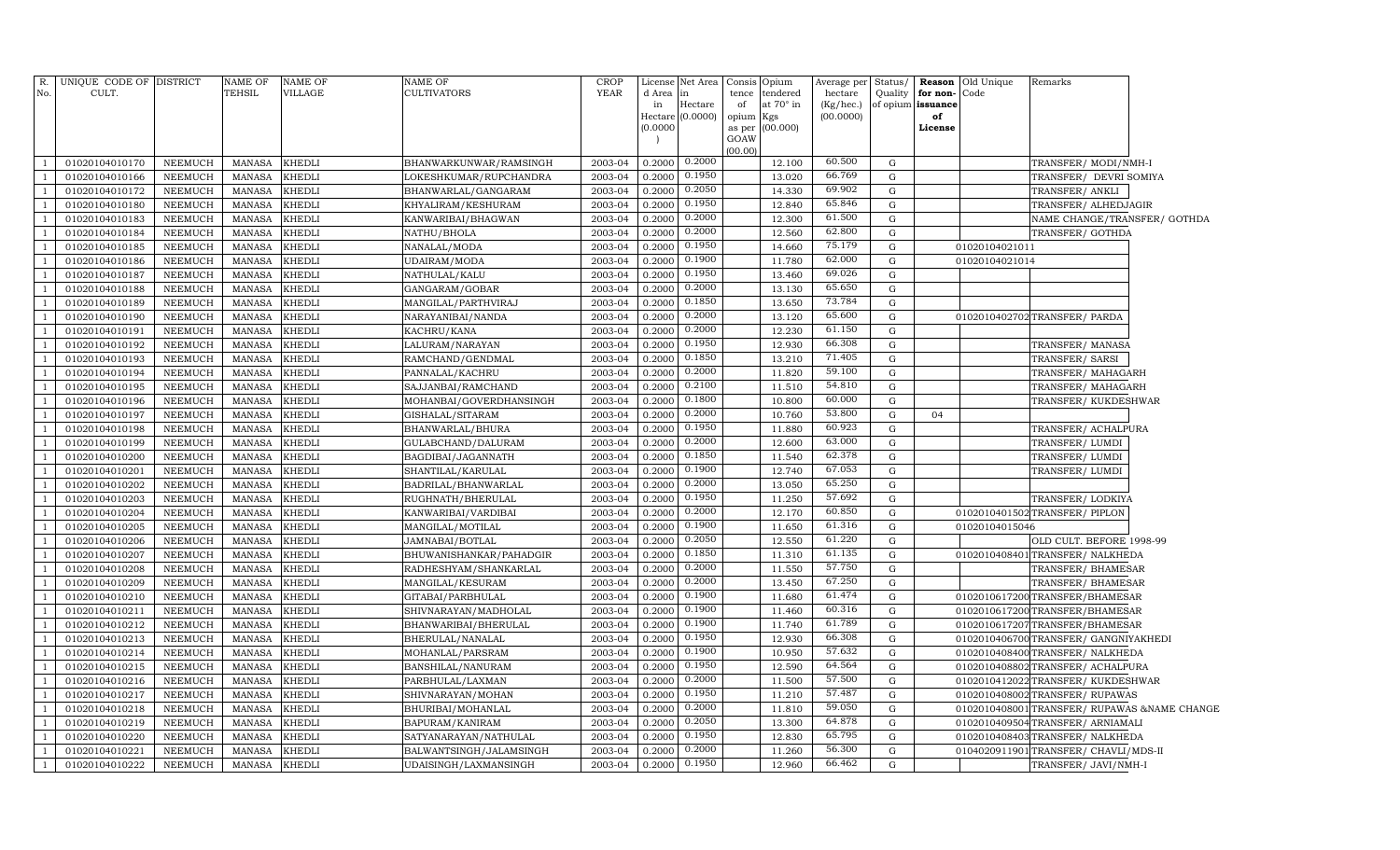| R.<br>No.      | UNIQUE CODE OF DISTRICT<br>CULT. |                           | <b>NAME OF</b><br><b>TEHSIL</b> | NAME OF<br>VILLAGE      | NAME OF<br><b>CULTIVATORS</b>          | CROP<br><b>YEAR</b> | License<br>d Area | Net Area<br>in   | Consis<br>tence | Opium<br>tendered | Average per<br>hectare | Status/        | Reason                        | Old Unique<br>Code | Remarks                                                              |  |
|----------------|----------------------------------|---------------------------|---------------------------------|-------------------------|----------------------------------------|---------------------|-------------------|------------------|-----------------|-------------------|------------------------|----------------|-------------------------------|--------------------|----------------------------------------------------------------------|--|
|                |                                  |                           |                                 |                         |                                        |                     | in                | Hectare          | of              | at 70° in         | (Kg/hec.)              | Quality        | for non-<br>of opium issuance |                    |                                                                      |  |
|                |                                  |                           |                                 |                         |                                        |                     | Hectare           | (0.0000)         | opium           | Kgs               | (00.0000)              |                | of                            |                    |                                                                      |  |
|                |                                  |                           |                                 |                         |                                        |                     | (0.0000)          |                  | as per          | (00.000)          |                        |                | License                       |                    |                                                                      |  |
|                |                                  |                           |                                 |                         |                                        |                     |                   |                  | GOAW<br>(00.00) |                   |                        |                |                               |                    |                                                                      |  |
| $\overline{1}$ | 01020104010170                   | NEEMUCH                   | <b>MANASA</b>                   | <b>KHEDLI</b>           | BHANWARKUNWAR/RAMSINGH                 | 2003-04             | 0.2000            | 0.2000           |                 | 12.100            | 60.500                 | G              |                               |                    | TRANSFER/ MODI/NMH-I                                                 |  |
| $\overline{1}$ | 01020104010166                   | <b>NEEMUCH</b>            | <b>MANASA</b>                   | <b>KHEDLI</b>           | LOKESHKUMAR/RUPCHANDRA                 | 2003-04             | 0.2000            | 0.1950           |                 | 13.020            | 66.769                 | ${\rm G}$      |                               |                    | TRANSFER/ DEVRI SOMIYA                                               |  |
| $\overline{1}$ | 01020104010172                   | <b>NEEMUCH</b>            | <b>MANASA</b>                   | <b>KHEDLI</b>           | BHANWARLAL/GANGARAM                    | 2003-04             | 0.2000            | 0.2050           |                 | 14.330            | 69.902                 | ${\rm G}$      |                               |                    | TRANSFER/ ANKLI                                                      |  |
| $\mathbf{1}$   | 01020104010180                   | <b>NEEMUCH</b>            | <b>MANASA</b>                   | <b>KHEDLI</b>           | KHYALIRAM/KESHURAM                     | 2003-04             | 0.2000            | 0.1950           |                 | 12.840            | 65.846                 | G              |                               |                    | TRANSFER/ ALHEDJAGIR                                                 |  |
| <sup>1</sup>   | 01020104010183                   | <b>NEEMUCH</b>            | <b>MANASA</b>                   | <b>KHEDLI</b>           | KANWARIBAI/BHAGWAN                     | 2003-04             | 0.2000            | 0.2000           |                 | 12.300            | 61.500                 | ${\rm G}$      |                               |                    | NAME CHANGE/TRANSFER/ GOTHDA                                         |  |
| $\mathbf{1}$   | 01020104010184                   | NEEMUCH                   | <b>MANASA</b>                   | <b>KHEDLI</b>           | NATHU/BHOLA                            | 2003-04             | 0.2000            | 0.2000           |                 | 12.560            | 62.800                 | ${\rm G}$      |                               |                    | TRANSFER/ GOTHDA                                                     |  |
| $\overline{1}$ | 01020104010185                   | NEEMUCH                   | <b>MANASA</b>                   | <b>KHEDLI</b>           | NANALAL/MODA                           | 2003-04             | 0.2000            | 0.1950           |                 | 14.660            | 75.179                 | G              |                               | 01020104021011     |                                                                      |  |
| $\overline{1}$ | 01020104010186                   | NEEMUCH                   | <b>MANASA</b>                   | <b>KHEDLI</b>           | UDAIRAM/MODA                           | 2003-04             | 0.2000            | 0.1900           |                 | 11.780            | 62.000                 | G              |                               | 01020104021014     |                                                                      |  |
| $\overline{1}$ | 01020104010187                   | NEEMUCH                   | <b>MANASA</b>                   | <b>KHEDLI</b>           | NATHULAL/KALU                          | 2003-04             | 0.2000            | 0.1950           |                 | 13.460            | 69.026                 | G              |                               |                    |                                                                      |  |
| $\overline{1}$ | 01020104010188                   | <b>NEEMUCH</b>            | <b>MANASA</b>                   | <b>KHEDLI</b>           | GANGARAM/GOBAR                         | 2003-04             | 0.2000            | 0.2000           |                 | 13.130            | 65.650                 | G              |                               |                    |                                                                      |  |
| $\overline{1}$ | 01020104010189                   | <b>NEEMUCH</b>            | <b>MANASA</b>                   | <b>KHEDLI</b>           | MANGILAL/PARTHVIRAJ                    | 2003-04             | 0.2000            | 0.1850           |                 | 13.650            | 73.784                 | G              |                               |                    |                                                                      |  |
| $\overline{1}$ | 01020104010190                   | NEEMUCH                   | <b>MANASA</b>                   | <b>KHEDLI</b>           | NARAYANIBAI/NANDA                      | 2003-04             | 0.2000            | 0.2000           |                 | 13.120            | 65.600                 | ${\rm G}$      |                               |                    | 0102010402702 TRANSFER/ PARDA                                        |  |
| $\overline{1}$ | 01020104010191                   | <b>NEEMUCH</b>            | <b>MANASA</b>                   | <b>KHEDLI</b>           | KACHRU/KANA                            | 2003-04             | 0.2000            | 0.2000           |                 | 12.230            | 61.150                 | ${\rm G}$      |                               |                    |                                                                      |  |
| $\overline{1}$ | 01020104010192                   | <b>NEEMUCH</b>            | <b>MANASA</b>                   | <b>KHEDLI</b>           | LALURAM/NARAYAN                        | 2003-04             | 0.2000            | 0.1950           |                 | 12.930            | 66.308                 | ${\rm G}$      |                               |                    | TRANSFER/MANASA                                                      |  |
| $\overline{1}$ | 01020104010193                   | <b>NEEMUCH</b>            | <b>MANASA</b>                   | <b>KHEDLI</b>           | RAMCHAND/GENDMAL                       | 2003-04             | 0.2000            | 0.1850           |                 | 13.210            | 71.405                 | ${\rm G}$      |                               |                    | TRANSFER/ SARSI                                                      |  |
| $\mathbf{1}$   | 01020104010194                   | <b>NEEMUCH</b>            | <b>MANASA</b>                   | <b>KHEDLI</b>           | PANNALAL/KACHRU                        | 2003-04             | 0.2000            | 0.2000           |                 | 11.820            | 59.100                 | G              |                               |                    | TRANSFER/MAHAGARH                                                    |  |
| $\overline{1}$ | 01020104010195                   | <b>NEEMUCH</b>            | <b>MANASA</b>                   | <b>KHEDLI</b>           | SAJJANBAI/RAMCHAND                     | 2003-04             | 0.2000            | 0.2100           |                 | 11.510            | 54.810                 | ${\rm G}$      |                               |                    | TRANSFER/MAHAGARH                                                    |  |
| $\overline{1}$ | 01020104010196                   | <b>NEEMUCH</b>            | <b>MANASA</b>                   | <b>KHEDLI</b>           | MOHANBAI/GOVERDHANSINGH                | 2003-04             | 0.2000            | 0.1800           |                 | 10.800            | 60.000                 | ${\rm G}$      |                               |                    | TRANSFER/KUKDESHWAR                                                  |  |
| $\overline{1}$ | 01020104010197                   | <b>NEEMUCH</b>            | <b>MANASA</b>                   | <b>KHEDLI</b>           | GISHALAL/SITARAM                       | 2003-04             | 0.2000            | 0.2000           |                 | 10.760            | 53.800                 | ${\rm G}$      | 04                            |                    |                                                                      |  |
| $\overline{1}$ | 01020104010198                   | <b>NEEMUCH</b>            | <b>MANASA</b>                   | <b>KHEDLI</b>           | BHANWARLAL/BHURA                       | 2003-04             | 0.2000            | 0.1950           |                 | 11.880            | 60.923                 | ${\rm G}$      |                               |                    | TRANSFER/ ACHALPURA                                                  |  |
| $\overline{1}$ | 01020104010199                   | <b>NEEMUCH</b>            | <b>MANASA</b>                   | <b>KHEDLI</b>           | GULABCHAND/DALURAM                     | 2003-04             | 0.2000            | 0.2000           |                 | 12.600            | 63.000                 | ${\rm G}$      |                               |                    | TRANSFER/LUMDI                                                       |  |
| $\overline{1}$ | 01020104010200                   | <b>NEEMUCH</b>            | <b>MANASA</b>                   | <b>KHEDLI</b>           | BAGDIBAI/JAGANNATH                     | 2003-04             | 0.2000            | 0.1850           |                 | 11.540            | 62.378                 | ${\rm G}$      |                               |                    | TRANSFER/LUMDI                                                       |  |
| $\overline{1}$ | 01020104010201                   | <b>NEEMUCH</b>            | <b>MANASA</b>                   | <b>KHEDLI</b>           | SHANTILAL/KARULAL                      | 2003-04             | 0.2000            | 0.1900           |                 | 12.740            | 67.053                 | ${\bf G}$      |                               |                    | TRANSFER/LUMDI                                                       |  |
| $\overline{1}$ | 01020104010202                   | <b>NEEMUCH</b>            | <b>MANASA</b>                   | <b>KHEDLI</b>           | BADRILAL/BHANWARLAL                    | 2003-04             | 0.2000            | 0.2000           |                 | 13.050            | 65.250                 | ${\rm G}$      |                               |                    |                                                                      |  |
| $\overline{1}$ | 01020104010203                   | <b>NEEMUCH</b>            | <b>MANASA</b>                   | <b>KHEDLI</b>           | RUGHNATH/BHERULAL                      | 2003-04             | 0.2000            | 0.1950           |                 | 11.250            | 57.692                 | ${\rm G}$      |                               |                    | TRANSFER/LODKIYA                                                     |  |
| $\overline{1}$ | 01020104010204                   | <b>NEEMUCH</b>            | <b>MANASA</b>                   | <b>KHEDLI</b>           | KANWARIBAI/VARDIBAI                    | 2003-04             | 0.2000            | 0.2000           |                 | 12.170            | 60.850                 | ${\bf G}$      |                               |                    | 0102010401502 TRANSFER/ PIPLON                                       |  |
| $\overline{1}$ | 01020104010205                   | <b>NEEMUCH</b>            | <b>MANASA</b>                   | <b>KHEDLI</b>           | MANGILAL/MOTILAL                       | 2003-04             | 0.2000            | 0.1900           |                 | 11.650            | 61.316                 | ${\rm G}$      |                               | 01020104015046     |                                                                      |  |
| $\overline{1}$ | 01020104010206                   | NEEMUCH                   | <b>MANASA</b>                   | <b>KHEDLI</b>           | JAMNABAI/BOTLAL                        | 2003-04             | 0.2000            | 0.2050           |                 | 12.550            | 61.220                 | G              |                               |                    | OLD CULT. BEFORE 1998-99                                             |  |
| $\overline{1}$ | 01020104010207                   | <b>NEEMUCH</b>            | <b>MANASA</b>                   | <b>KHEDLI</b>           | BHUWANISHANKAR/PAHADGIR                | 2003-04             | 0.2000            | 0.1850           |                 | 11.310            | 61.135                 | ${\rm G}$      |                               |                    | 0102010408401 TRANSFER/ NALKHEDA                                     |  |
|                | 01020104010208                   | <b>NEEMUCH</b>            | <b>MANASA</b>                   | <b>KHEDLI</b>           | RADHESHYAM/SHANKARLAL                  | 2003-04             | 0.2000            | 0.2000           |                 | 11.550            | 57.750                 | ${\rm G}$      |                               |                    | TRANSFER/ BHAMESAR                                                   |  |
| $\overline{1}$ | 01020104010209                   | <b>NEEMUCH</b>            | <b>MANASA</b>                   | <b>KHEDLI</b>           | MANGILAL/KESURAM                       | 2003-04             | 0.2000            | 0.2000           |                 | 13.450            | 67.250<br>61.474       | ${\rm G}$      |                               |                    | TRANSFER/ BHAMESAR                                                   |  |
| $\overline{1}$ | 01020104010210                   | NEEMUCH                   | <b>MANASA</b>                   | <b>KHEDLI</b>           | GITABAI/PARBHULAL                      | 2003-04             | 0.2000            | 0.1900<br>0.1900 |                 | 11.680            | 60.316                 | G              |                               |                    | 0102010617200 TRANSFER/BHAMESAR                                      |  |
| $\overline{1}$ | 01020104010211                   | NEEMUCH                   | <b>MANASA</b>                   | <b>KHEDLI</b>           | SHIVNARAYAN/MADHOLAL                   | 2003-04             | 0.2000            | 0.1900           |                 | 11.460            | 61.789                 | ${\rm G}$      |                               |                    | 0102010617200 TRANSFER/BHAMESAR                                      |  |
|                | 01020104010212                   | <b>NEEMUCH</b>            | <b>MANASA</b>                   | <b>KHEDLI</b>           | BHANWARIBAI/BHERULAL                   | 2003-04             | 0.2000            | 0.1950           |                 | 11.740            | 66.308                 | ${\rm G}$      |                               |                    | 0102010617207TRANSFER/BHAMESAR                                       |  |
|                | 01020104010213                   | <b>NEEMUCH</b>            | <b>MANASA</b>                   | <b>KHEDLI</b>           | BHERULAL/NANALAL                       | 2003-04             | 0.2000            | 0.1900           |                 | 12.930            | 57.632                 | ${\rm G}$      |                               |                    | 0102010406700 TRANSFER / GANGNIYAKHEDI                               |  |
|                | 01020104010214                   | <b>NEEMUCH</b>            | <b>MANASA</b>                   | <b>KHEDLI</b>           | MOHANLAL/PARSRAM                       | 2003-04             | 0.2000            | 0.1950           |                 | 10.950            | 64.564                 | ${\rm G}$      |                               |                    | 0102010408400 TRANSFER/ NALKHEDA                                     |  |
| $\overline{1}$ | 01020104010215<br>01020104010216 | <b>NEEMUCH</b><br>NEEMUCH | <b>MANASA</b><br><b>MANASA</b>  | <b>KHEDLI</b><br>KHEDLI | BANSHILAL/NANURAM<br>PARBHULAL/LAXMAN  | 2003-04<br>2003-04  | 0.2000<br>0.2000  | 0.2000           |                 | 12.590<br>11.500  | 57.500                 | ${\rm G}$<br>G |                               |                    | 0102010408802TRANSFER/ACHALPURA<br>0102010412022 TRANSFER/KUKDESHWAR |  |
|                | 01020104010217                   | <b>NEEMUCH</b>            | <b>MANASA</b>                   | <b>KHEDLI</b>           |                                        | 2003-04             | 0.2000            | 0.1950           |                 | 11.210            | 57.487                 | ${\rm G}$      |                               |                    | 0102010408002 TRANSFER/ RUPAWAS                                      |  |
|                | 01020104010218                   | <b>NEEMUCH</b>            | <b>MANASA</b>                   | <b>KHEDLI</b>           | SHIVNARAYAN/MOHAN<br>BHURIBAI/MOHANLAL | 2003-04             | 0.2000            | 0.2000           |                 | 11.810            | 59.050                 | G              |                               | 010201040800       | 1TRANSFER/RUPAWAS &NAME CHANGE                                       |  |
|                | 01020104010219                   | <b>NEEMUCH</b>            | <b>MANASA</b>                   | <b>KHEDLI</b>           | BAPURAM/KANIRAM                        | 2003-04             | 0.2000            | 0.2050           |                 | 13.300            | 64.878                 | ${\rm G}$      |                               |                    | 0102010409504 TRANSFER/ ARNIAMALI                                    |  |
| $\overline{1}$ | 01020104010220                   | <b>NEEMUCH</b>            | <b>MANASA</b>                   | <b>KHEDLI</b>           | SATYANARAYAN/NATHULAL                  | 2003-04             | 0.2000            | 0.1950           |                 | 12.830            | 65.795                 | ${\rm G}$      |                               |                    | 0102010408403TRANSFER/NALKHEDA                                       |  |
| $\overline{1}$ | 01020104010221                   | <b>NEEMUCH</b>            | <b>MANASA</b>                   | <b>KHEDLI</b>           | BALWANTSINGH/JALAMSINGH                | 2003-04             | 0.2000            | 0.2000           |                 | 11.260            | 56.300                 | G              |                               |                    | 0104020911901 TRANSFER/ CHAVLI/MDS-II                                |  |
| <sup>1</sup>   | 01020104010222                   | NEEMUCH                   | <b>MANASA</b>                   | <b>KHEDLI</b>           | UDAISINGH/LAXMANSINGH                  | 2003-04             | 0.2000            | 0.1950           |                 | 12.960            | 66.462                 | G              |                               |                    | TRANSFER/ JAVI/NMH-I                                                 |  |
|                |                                  |                           |                                 |                         |                                        |                     |                   |                  |                 |                   |                        |                |                               |                    |                                                                      |  |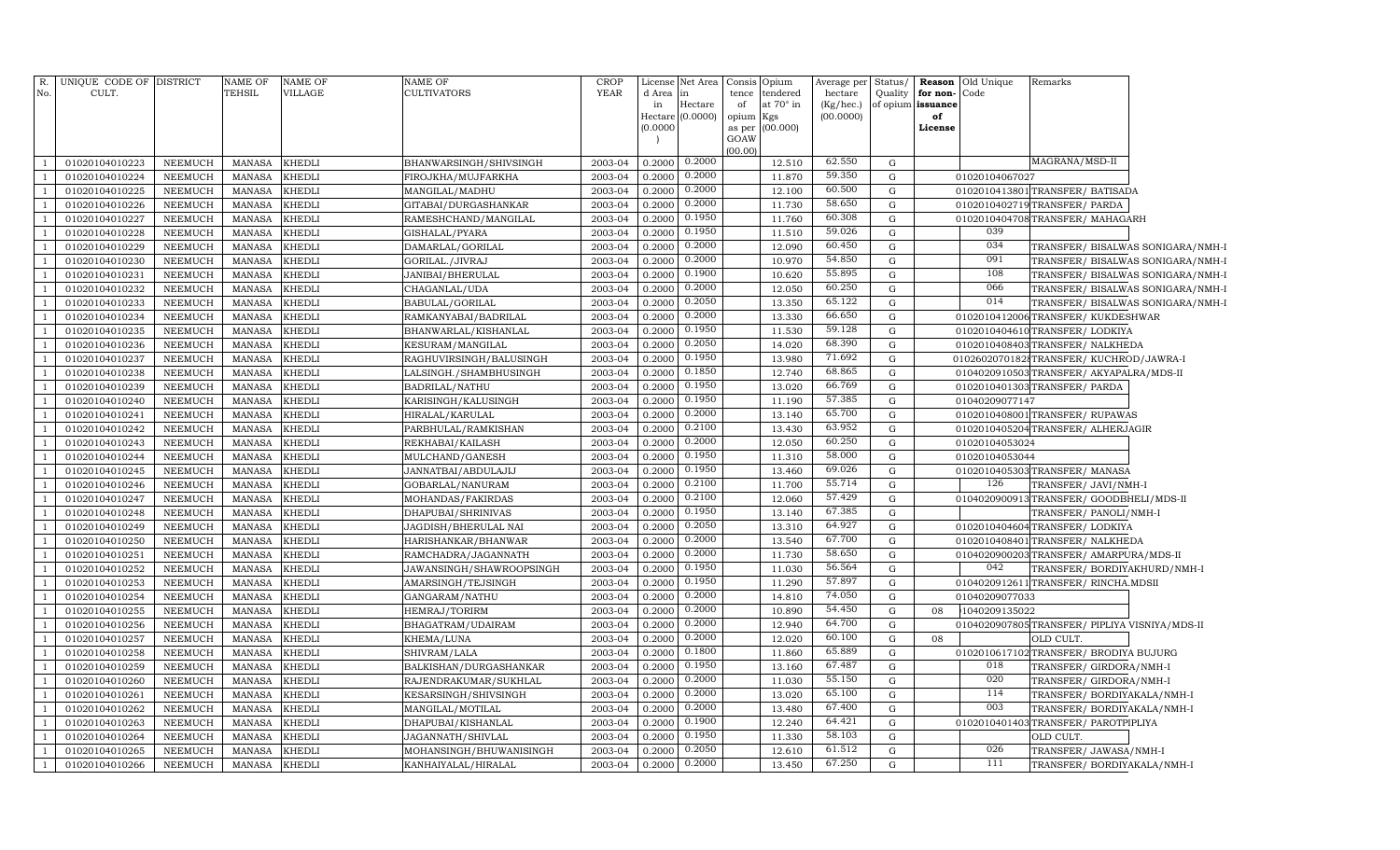| R.             | UNIQUE CODE OF DISTRICT |                | NAME OF       | NAME OF       | <b>NAME OF</b>           | CROP        | License  | Net Area         | Opium<br>Consis                    | Average per | Status/     | Reason<br>Old Unique | Remarks                                       |
|----------------|-------------------------|----------------|---------------|---------------|--------------------------|-------------|----------|------------------|------------------------------------|-------------|-------------|----------------------|-----------------------------------------------|
| No.            | CULT.                   |                | TEHSIL        | VILLAGE       | <b>CULTIVATORS</b>       | <b>YEAR</b> | d Area   | in               | tendered<br>tence                  | hectare     | Quality     | for non-<br>Code     |                                               |
|                |                         |                |               |               |                          |             | in       | Hectare          | of<br>at 70° in                    | (Kg/hec.)   | of opium    | issuance             |                                               |
|                |                         |                |               |               |                          |             | (0.0000) | Hectare (0.0000) | opium<br>Kgs<br>(00.000)<br>as per | (00.0000)   |             | of<br>License        |                                               |
|                |                         |                |               |               |                          |             |          |                  | GOAW                               |             |             |                      |                                               |
|                |                         |                |               |               |                          |             |          |                  | (00.00)                            |             |             |                      |                                               |
|                | 01020104010223          | <b>NEEMUCH</b> | <b>MANASA</b> | <b>KHEDLI</b> | BHANWARSINGH/SHIVSINGH   | 2003-04     | 0.2000   | 0.2000           | 12.510                             | 62.550      | G           |                      | MAGRANA/MSD-II                                |
|                | 01020104010224          | NEEMUCH        | <b>MANASA</b> | <b>KHEDLI</b> | FIROJKHA/MUJFARKHA       | 2003-04     | 0.2000   | 0.2000           | 11.870                             | 59.350      | $\mathbf G$ | 01020104067027       |                                               |
|                | 01020104010225          | NEEMUCH        | <b>MANASA</b> | <b>KHEDLI</b> | MANGILAL/MADHU           | 2003-04     | 0.2000   | 0.2000           | 12.100                             | 60.500      | G           |                      | 0102010413801 TRANSFER / BATISADA             |
|                | 01020104010226          | NEEMUCH        | <b>MANASA</b> | <b>KHEDLI</b> | GITABAI/DURGASHANKAR     | 2003-04     | 0.2000   | 0.2000           | 11.730                             | 58.650      | G           |                      | 0102010402719TRANSFER/PARDA                   |
|                | 01020104010227          | NEEMUCH        | <b>MANASA</b> | <b>KHEDLI</b> | RAMESHCHAND/MANGILAL     | 2003-04     | 0.2000   | 0.1950           | 11.760                             | 60.308      | G           |                      | 0102010404708TRANSFER/MAHAGARH                |
|                | 01020104010228          | NEEMUCH        | <b>MANASA</b> | <b>KHEDLI</b> | GISHALAL/PYARA           | 2003-04     | 0.2000   | 0.1950           | 11.510                             | 59.026      | G           | 039                  |                                               |
|                | 01020104010229          | NEEMUCH        | <b>MANASA</b> | <b>KHEDLI</b> | DAMARLAL/GORILAL         | 2003-04     | 0.2000   | 0.2000           | 12.090                             | 60.450      | G           | 034                  | TRANSFER/ BISALWAS SONIGARA/NMH-I             |
|                | 01020104010230          | <b>NEEMUCH</b> | <b>MANASA</b> | <b>KHEDLI</b> | GORILAL./JIVRAJ          | 2003-04     | 0.2000   | 0.2000           | 10.970                             | 54.850      | G           | 091                  | TRANSFER/ BISALWAS SONIGARA/NMH-I             |
|                | 01020104010231          | NEEMUCH        | <b>MANASA</b> | <b>KHEDLI</b> | JANIBAI/BHERULAL         | 2003-04     | 0.2000   | 0.1900           | 10.620                             | 55.895      | G           | 108                  | TRANSFER/ BISALWAS SONIGARA/NMH-I             |
|                | 01020104010232          | NEEMUCH        | <b>MANASA</b> | <b>KHEDLI</b> | CHAGANLAL/UDA            | 2003-04     | 0.2000   | 0.2000           | 12.050                             | 60.250      | G           | 066                  | TRANSFER/ BISALWAS SONIGARA/NMH-I             |
|                | 01020104010233          | NEEMUCH        | MANASA        | <b>KHEDLI</b> | BABULAL/GORILAL          | 2003-04     | 0.2000   | 0.2050           | 13.350                             | 65.122      | $\mathbf G$ | 014                  | TRANSFER/ BISALWAS SONIGARA/NMH-I             |
|                | 01020104010234          | <b>NEEMUCH</b> | <b>MANASA</b> | <b>KHEDLI</b> | RAMKANYABAI/BADRILAL     | 2003-04     | 0.2000   | 0.2000           | 13.330                             | 66.650      | G           | 0102010412006        | TRANSFER/KUKDESHWAR                           |
|                | 01020104010235          | NEEMUCH        | <b>MANASA</b> | <b>KHEDLI</b> | BHANWARLAL/KISHANLAL     | 2003-04     | 0.2000   | 0.1950           | 11.530                             | 59.128      | G           |                      | 0102010404610 TRANSFER/LODKIYA                |
|                | 01020104010236          | NEEMUCH        | <b>MANASA</b> | <b>KHEDLI</b> | KESURAM/MANGILAL         | 2003-04     | 0.2000   | 0.2050           | 14.020                             | 68.390      | G           |                      | 0102010408403 TRANSFER/ NALKHEDA              |
|                | 01020104010237          | NEEMUCH        | <b>MANASA</b> | <b>KHEDLI</b> | RAGHUVIRSINGH/BALUSINGH  | 2003-04     | 0.2000   | 0.1950           | 13.980                             | 71.692      | G           |                      | 01026020701828TRANSFER/KUCHROD/JAWRA-I        |
|                | 01020104010238          | <b>NEEMUCH</b> | <b>MANASA</b> | <b>KHEDLI</b> | LALSINGH./SHAMBHUSINGH   | 2003-04     | 0.2000   | 0.1850           | 12.740                             | 68.865      | G           |                      | 0104020910503 TRANSFER/ AKYAPALRA/MDS-II      |
|                | 01020104010239          | NEEMUCH        | <b>MANASA</b> | <b>KHEDLI</b> | BADRILAL/NATHU           | 2003-04     | 0.2000   | 0.1950           | 13.020                             | 66.769      | G           |                      | 0102010401303 TRANSFER/ PARDA                 |
|                | 01020104010240          | <b>NEEMUCH</b> | <b>MANASA</b> | <b>KHEDLI</b> | KARISINGH/KALUSINGH      | 2003-04     | 0.2000   | 0.1950           | 11.190                             | 57.385      | G           | 01040209077147       |                                               |
|                | 01020104010241          | <b>NEEMUCH</b> | <b>MANASA</b> | <b>KHEDLI</b> | HIRALAL/KARULAL          | 2003-04     | 0.2000   | 0.2000           | 13.140                             | 65.700      | G           |                      | 0102010408001 TRANSFER/ RUPAWAS               |
|                | 01020104010242          | NEEMUCH        | <b>MANASA</b> | <b>KHEDLI</b> | PARBHULAL/RAMKISHAN      | 2003-04     | 0.2000   | 0.2100           | 13.430                             | 63.952      | G           |                      | 0102010405204 TRANSFER/ ALHERJAGIR            |
|                | 01020104010243          | <b>NEEMUCH</b> | <b>MANASA</b> | <b>KHEDLI</b> | REKHABAI/KAILASH         | 2003-04     | 0.2000   | 0.2000           | 12.050                             | 60.250      | G           | 01020104053024       |                                               |
|                | 01020104010244          | NEEMUCH        | <b>MANASA</b> | <b>KHEDLI</b> | MULCHAND/GANESH          | 2003-04     | 0.2000   | 0.1950           | 11.310                             | 58.000      | G           | 01020104053044       |                                               |
|                | 01020104010245          | NEEMUCH        | <b>MANASA</b> | <b>KHEDLI</b> | JANNATBAI/ABDULAJIJ      | 2003-04     | 0.2000   | 0.1950           | 13.460                             | 69.026      | G           |                      | 0102010405303 TRANSFER/ MANASA                |
|                | 01020104010246          | <b>NEEMUCH</b> | <b>MANASA</b> | <b>KHEDLI</b> | GOBARLAL/NANURAM         | 2003-04     | 0.2000   | 0.2100           | 11.700                             | 55.714      | G           | 126                  | TRANSFER/ JAVI/NMH-I                          |
|                | 01020104010247          | NEEMUCH        | <b>MANASA</b> | <b>KHEDLI</b> | MOHANDAS/FAKIRDAS        | 2003-04     | 0.2000   | 0.2100           | 12.060                             | 57.429      | G           |                      | 0104020900913TRANSFER/GOODBHELI/MDS-II        |
|                | 01020104010248          | <b>NEEMUCH</b> | <b>MANASA</b> | <b>KHEDLI</b> | DHAPUBAI/SHRINIVAS       | 2003-04     | 0.2000   | 0.1950           | 13.140                             | 67.385      | G           |                      | TRANSFER/ PANOLI/NMH-I                        |
|                | 01020104010249          | <b>NEEMUCH</b> | <b>MANASA</b> | <b>KHEDLI</b> | JAGDISH/BHERULAL NAI     | 2003-04     | 0.2000   | 0.2050           | 13.310                             | 64.927      | G           |                      | 0102010404604TRANSFER/LODKIYA                 |
|                | 01020104010250          | NEEMUCH        | <b>MANASA</b> | <b>KHEDLI</b> | HARISHANKAR/BHANWAR      | 2003-04     | 0.2000   | 0.2000           | 13.540                             | 67.700      | G           | 0102010408401        | TRANSFER/ NALKHEDA                            |
|                | 01020104010251          | <b>NEEMUCH</b> | <b>MANASA</b> | <b>KHEDLI</b> | RAMCHADRA/JAGANNATH      | 2003-04     | 0.2000   | 0.2000           | 11.730                             | 58.650      | G           |                      | 0104020900203TRANSFER/AMARPURA/MDS-II         |
|                | 01020104010252          | NEEMUCH        | <b>MANASA</b> | <b>KHEDLI</b> | JAWANSINGH/SHAWROOPSINGH | 2003-04     | 0.2000   | 0.1950           | 11.030                             | 56.564      | G           | 042                  | TRANSFER/BORDIYAKHURD/NMH-I                   |
|                | 01020104010253          | <b>NEEMUCH</b> | <b>MANASA</b> | <b>KHEDLI</b> | AMARSINGH/TEJSINGH       | 2003-04     | 0.2000   | 0.1950           | 11.290                             | 57.897      | G           |                      | 0104020912611 TRANSFER/ RINCHA.MDSII          |
|                | 01020104010254          | <b>NEEMUCH</b> | <b>MANASA</b> | <b>KHEDLI</b> | GANGARAM/NATHU           | 2003-04     | 0.2000   | 0.2000           | 14.810                             | 74.050      | G           | 01040209077033       |                                               |
|                | 01020104010255          | NEEMUCH        | <b>MANASA</b> | <b>KHEDLI</b> | HEMRAJ/TORIRM            | 2003-04     | 0.2000   | 0.2000           | 10.890                             | 54.450      | G           | 1040209135022<br>08  |                                               |
|                | 01020104010256          | <b>NEEMUCH</b> | <b>MANASA</b> | <b>KHEDLI</b> | BHAGATRAM/UDAIRAM        | 2003-04     | 0.2000   | 0.2000           | 12.940                             | 64.700      | ${\rm G}$   |                      | 0104020907805TRANSFER/ PIPLIYA VISNIYA/MDS-II |
|                | 01020104010257          | <b>NEEMUCH</b> | <b>MANASA</b> | <b>KHEDLI</b> | KHEMA/LUNA               | 2003-04     | 0.2000   | 0.2000           | 12.020                             | 60.100      | G           | 08                   | OLD CULT.                                     |
|                | 01020104010258          | <b>NEEMUCH</b> | <b>MANASA</b> | KHEDLI        | SHIVRAM/LALA             | 2003-04     | 0.2000   | 0.1800           | 11.860                             | 65.889      | $\mathbf G$ |                      | 0102010617102 TRANSFER/ BRODIYA BUJURG        |
|                | 01020104010259          | NEEMUCH        | MANASA        | <b>KHEDLI</b> | BALKISHAN/DURGASHANKAR   | 2003-04     | 0.2000   | 0.1950           | 13.160                             | 67.487      | G           | 018                  | TRANSFER/ GIRDORA/NMH-I                       |
|                | 01020104010260          | <b>NEEMUCH</b> | <b>MANASA</b> | <b>KHEDLI</b> | RAJENDRAKUMAR/SUKHLAL    | 2003-04     | 0.2000   | 0.2000           | 11.030                             | 55.150      | $\mathbf G$ | 020                  | TRANSFER/ GIRDORA/NMH-I                       |
|                | 01020104010261          | <b>NEEMUCH</b> | <b>MANASA</b> | <b>KHEDLI</b> | KESARSINGH/SHIVSINGH     | 2003-04     | 0.2000   | 0.2000           | 13.020                             | 65.100      | G           | 114                  | TRANSFER/ BORDIYAKALA/NMH-I                   |
|                | 01020104010262          | <b>NEEMUCH</b> | <b>MANASA</b> | <b>KHEDLI</b> | MANGILAL/MOTILAL         | 2003-04     | 0.2000   | 0.2000           | 13.480                             | 67.400      | G           | 003                  | TRANSFER/ BORDIYAKALA/NMH-I                   |
|                | 01020104010263          | <b>NEEMUCH</b> | <b>MANASA</b> | <b>KHEDLI</b> | DHAPUBAI/KISHANLAL       | 2003-04     | 0.2000   | 0.1900           | 12.240                             | 64.421      | G           | 0102010401403        | TRANSFER/PAROTPIPLIYA                         |
|                | 01020104010264          | <b>NEEMUCH</b> | <b>MANASA</b> | <b>KHEDLI</b> | JAGANNATH/SHIVLAL        | 2003-04     | 0.2000   | 0.1950           | 11.330                             | 58.103      | G           |                      | OLD CULT.                                     |
|                | 01020104010265          | <b>NEEMUCH</b> | <b>MANASA</b> | <b>KHEDLI</b> | MOHANSINGH/BHUWANISINGH  | 2003-04     | 0.2000   | 0.2050           | 12.610                             | 61.512      | G           | 026                  | TRANSFER/ JAWASA/NMH-I                        |
| $\overline{1}$ | 01020104010266          | <b>NEEMUCH</b> | MANASA        | KHEDLI        | KANHAIYALAL/HIRALAL      | 2003-04     | 0.2000   | 0.2000           | 13.450                             | 67.250      | G           | 111                  | TRANSFER/ BORDIYAKALA/NMH-I                   |
|                |                         |                |               |               |                          |             |          |                  |                                    |             |             |                      |                                               |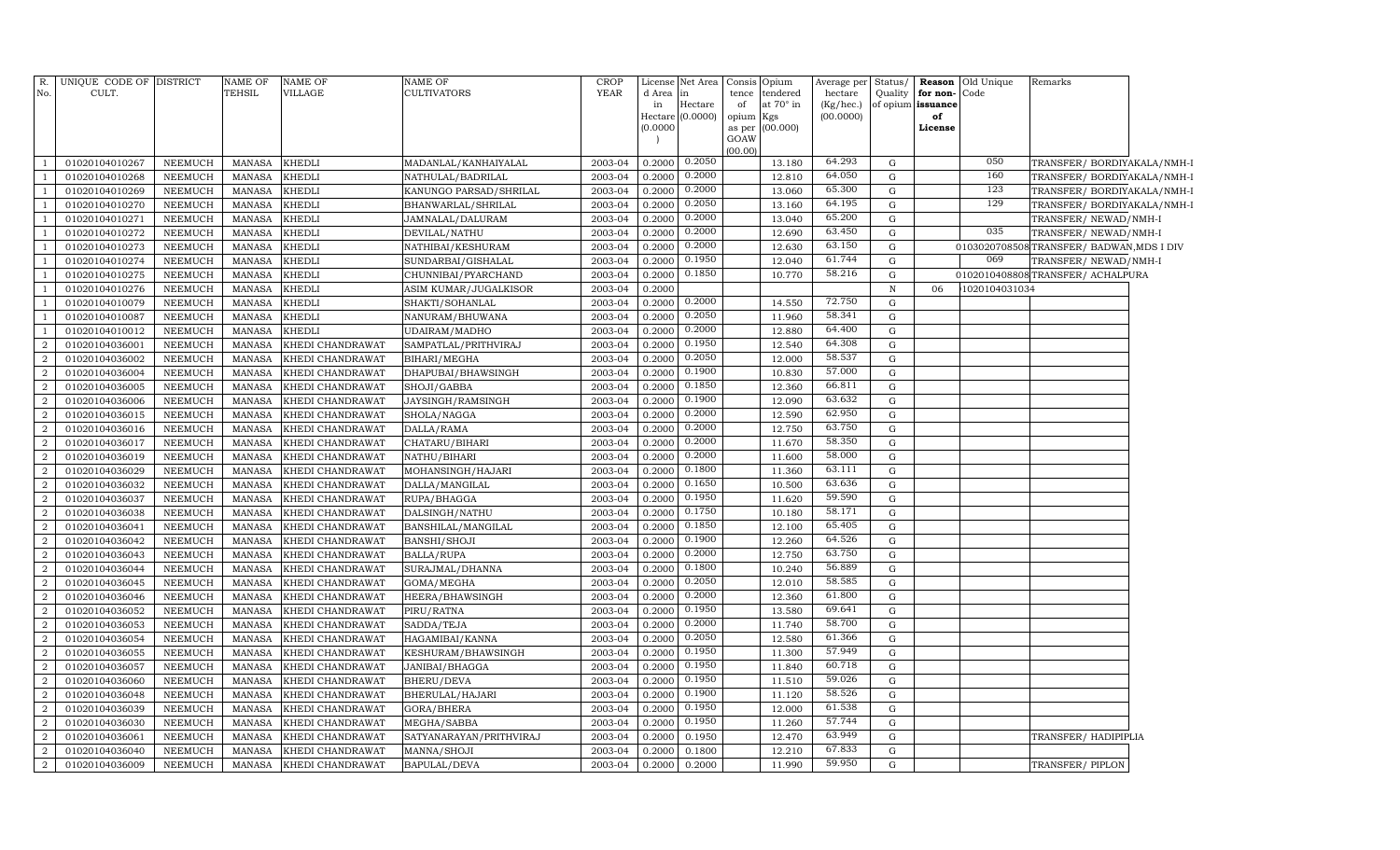| R.<br>No.        | UNIQUE CODE OF DISTRICT<br>CULT. |                | NAME OF<br>TEHSIL | <b>NAME OF</b><br>VILLAGE | NAME OF<br><b>CULTIVATORS</b> | CROP<br>YEAR | License<br>d Area<br>in | Net Area<br>lin<br>Hectare<br>Hectare (0.0000) | of<br>opium Kgs | Consis Opium<br>tence tendered<br>at 70° in | Average per<br>hectare<br>(Kg/hec.)<br>(00.0000) | Status/     | Quality for non-Code<br>of opium issuance<br>of | <b>Reason</b> Old Unique | Remarks                                 |  |
|------------------|----------------------------------|----------------|-------------------|---------------------------|-------------------------------|--------------|-------------------------|------------------------------------------------|-----------------|---------------------------------------------|--------------------------------------------------|-------------|-------------------------------------------------|--------------------------|-----------------------------------------|--|
|                  |                                  |                |                   |                           |                               |              | (0.0000)                |                                                | GOAW<br>(00.00) | as per (00.000)                             |                                                  |             | License                                         |                          |                                         |  |
| -1               | 01020104010267                   | NEEMUCH        | MANASA            | <b>KHEDLI</b>             | MADANLAL/KANHAIYALAL          | 2003-04      | 0.2000                  | 0.2050                                         |                 | 13.180                                      | 64.293                                           | G           |                                                 | 050                      | TRANSFER/ BORDIYAKALA/NMH-1             |  |
| $\overline{1}$   | 01020104010268                   | NEEMUCH        | <b>MANASA</b>     | <b>KHEDLI</b>             | NATHULAL/BADRILAL             | 2003-04      | 0.2000                  | 0.2000                                         |                 | 12.810                                      | 64.050                                           | G           |                                                 | 160                      | TRANSFER/ BORDIYAKALA/NMH-I             |  |
| <sup>1</sup>     | 01020104010269                   | NEEMUCH        | <b>MANASA</b>     | <b>KHEDLI</b>             | KANUNGO PARSAD/SHRILAL        | 2003-04      | 0.2000                  | 0.2000                                         |                 | 13.060                                      | 65.300                                           | $\mathbf G$ |                                                 | 123                      | TRANSFER/ BORDIYAKALA/NMH-I             |  |
| $\mathbf{1}$     | 01020104010270                   | NEEMUCH        | <b>MANASA</b>     | <b>KHEDLI</b>             | BHANWARLAL/SHRILAL            | 2003-04      | 0.2000                  | 0.2050                                         |                 | 13.160                                      | 64.195                                           | $\mathbf G$ |                                                 | 129                      | TRANSFER/ BORDIYAKALA/NMH-I             |  |
| $\mathbf{1}$     | 01020104010271                   | NEEMUCH        | <b>MANASA</b>     | <b>KHEDLI</b>             | JAMNALAL/DALURAM              | 2003-04      | 0.2000                  | 0.2000                                         |                 | 13.040                                      | 65.200                                           | G           |                                                 |                          | TRANSFER/ NEWAD/NMH-I                   |  |
| $\mathbf{1}$     | 01020104010272                   | NEEMUCH        | <b>MANASA</b>     | KHEDLI                    | DEVILAL/NATHU                 | 2003-04      | 0.2000                  | 0.2000                                         |                 | 12.690                                      | 63.450                                           | G           |                                                 | 035                      | TRANSFER/ NEWAD/NMH-I                   |  |
| $\overline{1}$   | 01020104010273                   | NEEMUCH        | <b>MANASA</b>     | KHEDLI                    | NATHIBAI/KESHURAM             | 2003-04      | 0.2000                  | 0.2000                                         |                 | 12.630                                      | 63.150                                           | $\mathbf G$ |                                                 |                          | 0103020708508TRANSFER/BADWAN, MDS I DIV |  |
| $\overline{1}$   | 01020104010274                   | NEEMUCH        | <b>MANASA</b>     | KHEDLI                    | SUNDARBAI/GISHALAL            | 2003-04      | 0.2000                  | 0.1950                                         |                 | 12.040                                      | 61.744                                           | G           |                                                 | 069                      | TRANSFER/ NEWAD/NMH-I                   |  |
| $\overline{1}$   | 01020104010275                   | NEEMUCH        | <b>MANASA</b>     | KHEDLI                    | CHUNNIBAI/PYARCHAND           | 2003-04      | 0.2000                  | 0.1850                                         |                 | 10.770                                      | 58.216                                           | G           |                                                 |                          | 0102010408808TRANSFER/ACHALPURA         |  |
| $\overline{1}$   | 01020104010276                   | NEEMUCH        | MANASA            | KHEDLI                    | ASIM KUMAR/JUGALKISOR         | 2003-04      | 0.2000                  |                                                |                 |                                             |                                                  | $\mathbb N$ | 06                                              | 1020104031034            |                                         |  |
| $\overline{1}$   | 01020104010079                   | NEEMUCH        | <b>MANASA</b>     | KHEDLI                    | SHAKTI/SOHANLAL               | 2003-04      | 0.2000                  | 0.2000                                         |                 | 14.550                                      | 72.750                                           | G           |                                                 |                          |                                         |  |
| <sup>1</sup>     | 01020104010087                   | <b>NEEMUCH</b> | MANASA            | <b>KHEDLI</b>             | NANURAM/BHUWANA               | 2003-04      | 0.2000                  | 0.2050                                         |                 | 11.960                                      | 58.341                                           | $\mathbf G$ |                                                 |                          |                                         |  |
| $\mathbf{1}$     | 01020104010012                   | <b>NEEMUCH</b> | <b>MANASA</b>     | KHEDLI                    | UDAIRAM/MADHO                 | 2003-04      | 0.2000                  | 0.2000                                         |                 | 12.880                                      | 64.400                                           | $\mathbf G$ |                                                 |                          |                                         |  |
| $\overline{2}$   | 01020104036001                   | <b>NEEMUCH</b> | <b>MANASA</b>     | KHEDI CHANDRAWAT          | SAMPATLAL/PRITHVIRAJ          | 2003-04      | 0.2000                  | 0.1950                                         |                 | 12.540                                      | 64.308                                           | G           |                                                 |                          |                                         |  |
| $\overline{a}$   | 01020104036002                   | NEEMUCH        | <b>MANASA</b>     | KHEDI CHANDRAWAT          | BIHARI/MEGHA                  | 2003-04      | 0.2000                  | 0.2050                                         |                 | 12.000                                      | 58.537                                           | $\mathbf G$ |                                                 |                          |                                         |  |
| $\overline{2}$   | 01020104036004                   | <b>NEEMUCH</b> | <b>MANASA</b>     | KHEDI CHANDRAWAT          | DHAPUBAI/BHAWSINGH            | 2003-04      | 0.2000                  | 0.1900                                         |                 | 10.830                                      | 57.000                                           | G           |                                                 |                          |                                         |  |
| $\overline{a}$   | 01020104036005                   | NEEMUCH        | <b>MANASA</b>     | KHEDI CHANDRAWAT          | SHOJI/GABBA                   | 2003-04      | 0.2000                  | 0.1850                                         |                 | 12.360                                      | 66.811                                           | $\mathbf G$ |                                                 |                          |                                         |  |
| $\overline{a}$   | 01020104036006                   | <b>NEEMUCH</b> | <b>MANASA</b>     | KHEDI CHANDRAWAT          | JAYSINGH/RAMSINGH             | 2003-04      | 0.2000                  | 0.1900                                         |                 | 12.090                                      | 63.632                                           | G           |                                                 |                          |                                         |  |
| $\overline{a}$   | 01020104036015                   | NEEMUCH        | <b>MANASA</b>     | KHEDI CHANDRAWAT          | SHOLA/NAGGA                   | 2003-04      | 0.2000                  | 0.2000                                         |                 | 12.590                                      | 62.950                                           | G           |                                                 |                          |                                         |  |
| $\overline{a}$   | 01020104036016                   | <b>NEEMUCH</b> | <b>MANASA</b>     | KHEDI CHANDRAWAT          | DALLA/RAMA                    | 2003-04      | 0.2000                  | 0.2000                                         |                 | 12.750                                      | 63.750                                           | G           |                                                 |                          |                                         |  |
| $\overline{a}$   | 01020104036017                   | NEEMUCH        | <b>MANASA</b>     | KHEDI CHANDRAWAT          | CHATARU/BIHARI                | 2003-04      | 0.2000                  | 0.2000                                         |                 | 11.670                                      | 58.350                                           | G           |                                                 |                          |                                         |  |
| $\overline{a}$   | 01020104036019                   | NEEMUCH        | <b>MANASA</b>     | KHEDI CHANDRAWAT          | NATHU/BIHARI                  | 2003-04      | 0.2000                  | 0.2000                                         |                 | 11.600                                      | 58.000                                           | G           |                                                 |                          |                                         |  |
| $\overline{a}$   | 01020104036029                   | NEEMUCH        | <b>MANASA</b>     | KHEDI CHANDRAWAT          | MOHANSINGH/HAJARI             | 2003-04      | 0.2000                  | 0.1800                                         |                 | 11.360                                      | 63.111                                           | $\mathbf G$ |                                                 |                          |                                         |  |
| $\boldsymbol{2}$ | 01020104036032                   | NEEMUCH        | MANASA            | KHEDI CHANDRAWAT          | DALLA/MANGILAL                | 2003-04      | 0.2000                  | 0.1650                                         |                 | 10.500                                      | 63.636                                           | G           |                                                 |                          |                                         |  |
| $\overline{a}$   | 01020104036037                   | NEEMUCH        | <b>MANASA</b>     | KHEDI CHANDRAWAT          | RUPA/BHAGGA                   | 2003-04      | 0.2000                  | 0.1950                                         |                 | 11.620                                      | 59.590                                           | G           |                                                 |                          |                                         |  |
| $\overline{2}$   | 01020104036038                   | NEEMUCH        | <b>MANASA</b>     | KHEDI CHANDRAWAT          | DALSINGH/NATHU                | 2003-04      | 0.2000                  | 0.1750                                         |                 | 10.180                                      | 58.171                                           | G           |                                                 |                          |                                         |  |
| 2                | 01020104036041                   | NEEMUCH        | <b>MANASA</b>     | KHEDI CHANDRAWAT          | BANSHILAL/MANGILAL            | 2003-04      | 0.2000                  | 0.1850                                         |                 | 12.100                                      | 65.405                                           | G           |                                                 |                          |                                         |  |
| $\overline{2}$   | 01020104036042                   | NEEMUCH        | <b>MANASA</b>     | KHEDI CHANDRAWAT          | BANSHI/SHOJI                  | 2003-04      | 0.2000                  | 0.1900                                         |                 | 12.260                                      | 64.526                                           | G           |                                                 |                          |                                         |  |
| 2                | 01020104036043                   | <b>NEEMUCH</b> | <b>MANASA</b>     | KHEDI CHANDRAWAT          | <b>BALLA/RUPA</b>             | 2003-04      | 0.2000                  | 0.2000                                         |                 | 12.750                                      | 63.750                                           | $\mathbf G$ |                                                 |                          |                                         |  |
| $\overline{2}$   | 01020104036044                   | <b>NEEMUCH</b> | <b>MANASA</b>     | KHEDI CHANDRAWAT          | SURAJMAL/DHANNA               | 2003-04      | 0.2000                  | 0.1800                                         |                 | 10.240                                      | 56.889                                           | $\mathbf G$ |                                                 |                          |                                         |  |
| $\overline{2}$   | 01020104036045                   | <b>NEEMUCH</b> | <b>MANASA</b>     | KHEDI CHANDRAWAT          | GOMA/MEGHA                    | 2003-04      | 0.2000                  | 0.2050                                         |                 | 12.010                                      | 58.585                                           | G           |                                                 |                          |                                         |  |
| $\overline{a}$   | 01020104036046                   | <b>NEEMUCH</b> | <b>MANASA</b>     | KHEDI CHANDRAWAT          | HEERA/BHAWSINGH               | 2003-04      | 0.2000                  | 0.2000                                         |                 | 12.360                                      | 61.800                                           | $\mathbf G$ |                                                 |                          |                                         |  |
| $\overline{a}$   | 01020104036052                   | NEEMUCH        | <b>MANASA</b>     | KHEDI CHANDRAWAT          | PIRU/RATNA                    | 2003-04      | 0.2000                  | 0.1950                                         |                 | 13.580                                      | 69.641                                           | G           |                                                 |                          |                                         |  |
| $\overline{a}$   | 01020104036053                   | <b>NEEMUCH</b> | <b>MANASA</b>     | KHEDI CHANDRAWAT          | SADDA/TEJA                    | 2003-04      | 0.2000                  | 0.2000                                         |                 | 11.740                                      | 58.700                                           | G           |                                                 |                          |                                         |  |
| $\overline{2}$   | 01020104036054                   | NEEMUCH        | <b>MANASA</b>     | KHEDI CHANDRAWAT          | HAGAMIBAI/KANNA               | 2003-04      | 0.2000                  | 0.2050                                         |                 | 12.580                                      | 61.366                                           | G           |                                                 |                          |                                         |  |
| $\overline{a}$   | 01020104036055                   | <b>NEEMUCH</b> | <b>MANASA</b>     | KHEDI CHANDRAWAT          | KESHURAM/BHAWSINGH            | 2003-04      | 0.2000                  | 0.1950                                         |                 | 11.300                                      | 57.949                                           | G           |                                                 |                          |                                         |  |
| $\overline{2}$   | 01020104036057                   | NEEMUCH        | <b>MANASA</b>     | KHEDI CHANDRAWAT          | JANIBAI/BHAGGA                | 2003-04      | 0.2000                  | 0.1950                                         |                 | 11.840                                      | 60.718                                           | G           |                                                 |                          |                                         |  |
| $\overline{a}$   | 01020104036060                   | <b>NEEMUCH</b> | <b>MANASA</b>     | KHEDI CHANDRAWAT          | BHERU/DEVA                    | 2003-04      | 0.2000                  | 0.1950                                         |                 | 11.510                                      | 59.026                                           | G           |                                                 |                          |                                         |  |
| $\overline{2}$   | 01020104036048                   | NEEMUCH        | <b>MANASA</b>     | KHEDI CHANDRAWAT          | BHERULAL/HAJARI               | 2003-04      | 0.2000                  | 0.1900                                         |                 | 11.120                                      | 58.526                                           | G           |                                                 |                          |                                         |  |
| $\overline{2}$   | 01020104036039                   | NEEMUCH        | <b>MANASA</b>     | KHEDI CHANDRAWAT          | GORA/BHERA                    | 2003-04      | 0.2000                  | 0.1950                                         |                 | 12.000                                      | 61.538                                           | G           |                                                 |                          |                                         |  |
| $\overline{2}$   | 01020104036030                   | NEEMUCH        | <b>MANASA</b>     | KHEDI CHANDRAWAT          | MEGHA/SABBA                   | 2003-04      | 0.2000                  | 0.1950                                         |                 | 11.260                                      | 57.744                                           | G           |                                                 |                          |                                         |  |
| $\overline{2}$   | 01020104036061                   | NEEMUCH        | <b>MANASA</b>     | KHEDI CHANDRAWAT          | SATYANARAYAN/PRITHVIRAJ       | 2003-04      | 0.2000                  | 0.1950                                         |                 | 12.470                                      | 63.949                                           | G           |                                                 |                          | TRANSFER/HADIPIPLIA                     |  |
| 2                | 01020104036040                   | <b>NEEMUCH</b> | <b>MANASA</b>     | KHEDI CHANDRAWAT          | MANNA/SHOJI                   | 2003-04      | 0.2000                  | 0.1800                                         |                 | 12.210                                      | 67.833                                           | $\mathbf G$ |                                                 |                          |                                         |  |
| $\overline{a}$   | 01020104036009                   | <b>NEEMUCH</b> | <b>MANASA</b>     | KHEDI CHANDRAWAT          | <b>BAPULAL/DEVA</b>           | 2003-04      | 0.2000                  | 0.2000                                         |                 | 11.990                                      | 59.950                                           | $\mathbf G$ |                                                 |                          | TRANSFER/PIPLON                         |  |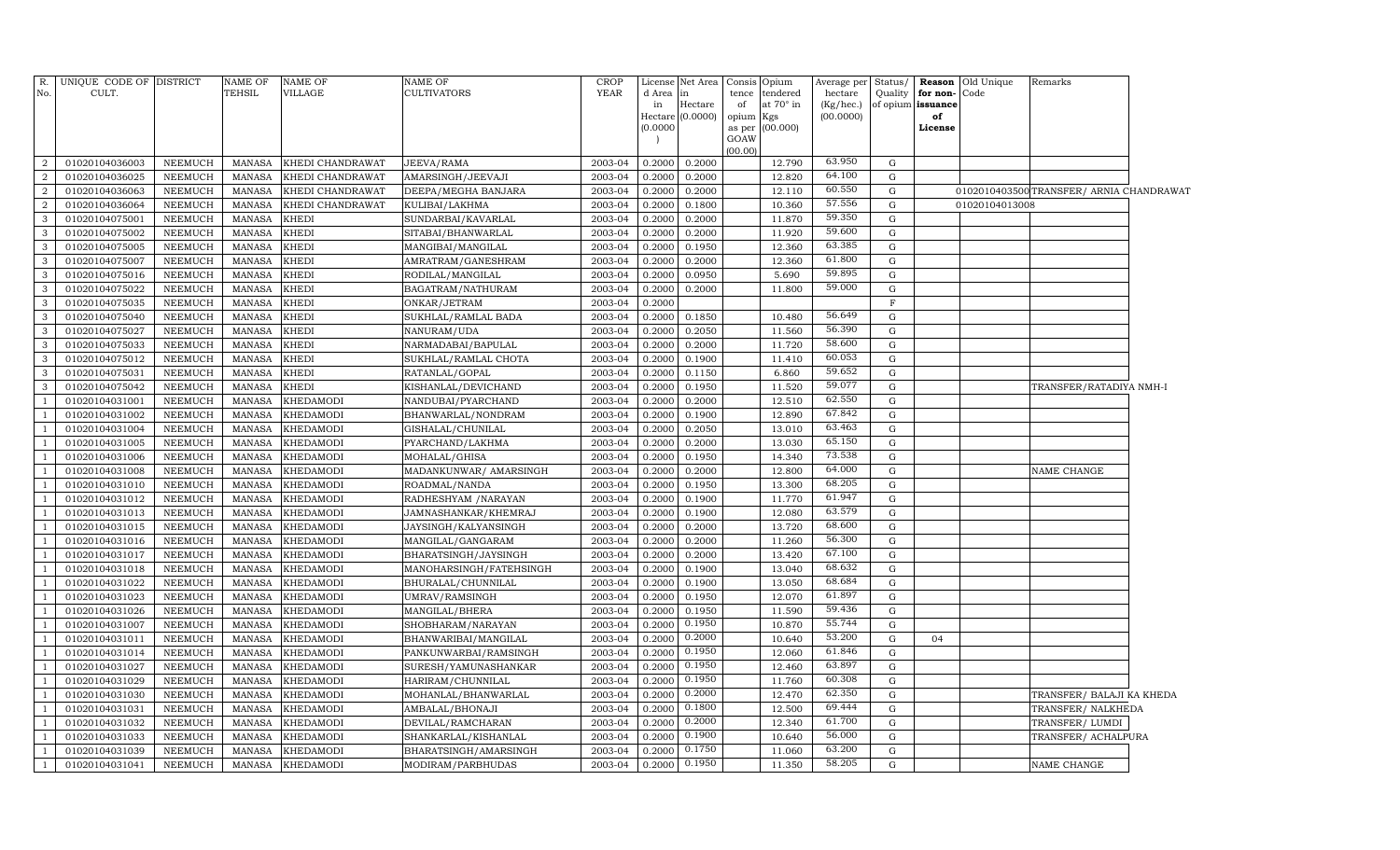| R.<br>No.      | UNIQUE CODE OF DISTRICT<br>CULT. |                | NAME OF<br>TEHSIL | <b>NAME OF</b><br><b>VILLAGE</b> | <b>NAME OF</b><br><b>CULTIVATORS</b> | <b>CROP</b><br>YEAR | d Area   | License Net Area<br>lin | Consis Opium<br>tence | tendered         | Average per<br>hectare | Status/<br>Quality | for non-Code      | <b>Reason</b> Old Unique | Remarks                                  |  |
|----------------|----------------------------------|----------------|-------------------|----------------------------------|--------------------------------------|---------------------|----------|-------------------------|-----------------------|------------------|------------------------|--------------------|-------------------|--------------------------|------------------------------------------|--|
|                |                                  |                |                   |                                  |                                      |                     | in       | Hectare                 | of                    | at $70^\circ$ in | (Kg/hec.)              |                    | of opium issuance |                          |                                          |  |
|                |                                  |                |                   |                                  |                                      |                     | (0.0000) | Hectare $(0.0000)$      | opium Kgs             | as per (00.000)  | (00.0000)              |                    | of<br>License     |                          |                                          |  |
|                |                                  |                |                   |                                  |                                      |                     |          |                         | GOAW                  |                  |                        |                    |                   |                          |                                          |  |
|                |                                  |                |                   |                                  |                                      |                     |          |                         | (00.00)               |                  |                        |                    |                   |                          |                                          |  |
| $\overline{2}$ | 01020104036003                   | NEEMUCH        | MANASA            | KHEDI CHANDRAWAT                 | JEEVA/RAMA                           | 2003-04             | 0.2000   | 0.2000                  |                       | 12.790           | 63.950                 | G                  |                   |                          |                                          |  |
| $\overline{a}$ | 01020104036025                   | NEEMUCH        | <b>MANASA</b>     | KHEDI CHANDRAWAT                 | AMARSINGH/JEEVAJI                    | 2003-04             | 0.2000   | 0.2000                  |                       | 12.820           | 64.100                 | G                  |                   |                          |                                          |  |
| $\overline{2}$ | 01020104036063                   | NEEMUCH        | MANASA            | KHEDI CHANDRAWAT                 | DEEPA/MEGHA BANJARA                  | 2003-04             | 0.2000   | 0.2000                  |                       | 12.110           | 60.550                 | G                  |                   |                          | 0102010403500 TRANSFER/ ARNIA CHANDRAWAT |  |
| $\overline{2}$ | 01020104036064                   | <b>NEEMUCH</b> | <b>MANASA</b>     | KHEDI CHANDRAWAT                 | KULIBAI/LAKHMA                       | 2003-04             | 0.2000   | 0.1800                  |                       | 10.360           | 57.556                 | G                  |                   | 01020104013008           |                                          |  |
| 3              | 01020104075001                   | NEEMUCH        | <b>MANASA</b>     | <b>KHEDI</b>                     | SUNDARBAI/KAVARLAL                   | 2003-04             | 0.2000   | 0.2000                  |                       | 11.870           | 59.350                 | G                  |                   |                          |                                          |  |
| $\mathbf{3}$   | 01020104075002                   | <b>NEEMUCH</b> | <b>MANASA</b>     | <b>KHEDI</b>                     | SITABAI/BHANWARLAL                   | 2003-04             | 0.2000   | 0.2000                  |                       | 11.920           | 59.600                 | G                  |                   |                          |                                          |  |
| $\mathbf{3}$   | 01020104075005                   | <b>NEEMUCH</b> | <b>MANASA</b>     | <b>KHEDI</b>                     | MANGIBAI/MANGILAL                    | 2003-04             | 0.2000   | 0.1950                  |                       | 12.360           | 63.385                 | $\mathbf G$        |                   |                          |                                          |  |
| $\mathbf{3}$   | 01020104075007                   | NEEMUCH        | <b>MANASA</b>     | <b>KHEDI</b>                     | AMRATRAM/GANESHRAM                   | 2003-04             | 0.2000   | 0.2000                  |                       | 12.360           | 61.800                 | $\mathbf G$        |                   |                          |                                          |  |
| $\mathbf{3}$   | 01020104075016                   | <b>NEEMUCH</b> | <b>MANASA</b>     | <b>KHEDI</b>                     | RODILAL/MANGILAL                     | 2003-04             | 0.2000   | 0.0950                  |                       | 5.690            | 59.895                 | $\mathbf G$        |                   |                          |                                          |  |
| $\mathbf{3}$   | 01020104075022                   | NEEMUCH        | <b>MANASA</b>     | <b>KHEDI</b>                     | BAGATRAM/NATHURAM                    | 2003-04             | 0.2000   | 0.2000                  |                       | 11.800           | 59.000                 | $\mathbf G$        |                   |                          |                                          |  |
| $\mathbf{3}$   | 01020104075035                   | NEEMUCH        | <b>MANASA</b>     | <b>KHEDI</b>                     | ONKAR/JETRAM                         | 2003-04             | 0.2000   |                         |                       |                  |                        | $\mathbf F$        |                   |                          |                                          |  |
| $\mathbf{3}$   | 01020104075040                   | NEEMUCH        | <b>MANASA</b>     | <b>KHEDI</b>                     | SUKHLAL/RAMLAL BADA                  | 2003-04             | 0.2000   | 0.1850                  |                       | 10.480           | 56.649                 | G                  |                   |                          |                                          |  |
| 3              | 01020104075027                   | NEEMUCH        | <b>MANASA</b>     | <b>KHEDI</b>                     | NANURAM/UDA                          | 2003-04             | 0.2000   | 0.2050                  |                       | 11.560           | 56.390                 | G                  |                   |                          |                                          |  |
| $\mathbf{3}$   | 01020104075033                   | <b>NEEMUCH</b> | <b>MANASA</b>     | <b>KHEDI</b>                     | NARMADABAI/BAPULAL                   | 2003-04             | 0.2000   | 0.2000                  |                       | 11.720           | 58.600                 | G                  |                   |                          |                                          |  |
| $\mathbf{3}$   | 01020104075012                   | <b>NEEMUCH</b> | <b>MANASA</b>     | <b>KHEDI</b>                     | SUKHLAL/RAMLAL CHOTA                 | 2003-04             | 0.2000   | 0.1900                  |                       | 11.410           | 60.053                 | $\mathbf G$        |                   |                          |                                          |  |
| $\mathbf{3}$   | 01020104075031                   | <b>NEEMUCH</b> | <b>MANASA</b>     | <b>KHEDI</b>                     | RATANLAL/GOPAL                       | 2003-04             | 0.2000   | 0.1150                  |                       | 6.860            | 59.652                 | $\mathbf G$        |                   |                          |                                          |  |
| $\mathbf{3}$   | 01020104075042                   | <b>NEEMUCH</b> | <b>MANASA</b>     | <b>KHEDI</b>                     | KISHANLAL/DEVICHAND                  | 2003-04             | 0.2000   | 0.1950                  |                       | 11.520           | 59.077                 | G                  |                   |                          | TRANSFER/RATADIYA NMH-I                  |  |
| <sup>1</sup>   | 01020104031001                   | NEEMUCH        | <b>MANASA</b>     | <b>KHEDAMODI</b>                 | NANDUBAI/PYARCHAND                   | 2003-04             | 0.2000   | 0.2000                  |                       | 12.510           | 62.550                 | $\mathbf G$        |                   |                          |                                          |  |
| -1             | 01020104031002                   | NEEMUCH        | <b>MANASA</b>     | <b>KHEDAMODI</b>                 | BHANWARLAL/NONDRAM                   | 2003-04             | 0.2000   | 0.1900                  |                       | 12.890           | 67.842                 | $\mathbf G$        |                   |                          |                                          |  |
| <sup>1</sup>   | 01020104031004                   | NEEMUCH        | MANASA            | <b>KHEDAMODI</b>                 | GISHALAL/CHUNILAL                    | 2003-04             | 0.2000   | 0.2050                  |                       | 13.010           | 63.463                 | G                  |                   |                          |                                          |  |
| <sup>1</sup>   | 01020104031005                   | NEEMUCH        | <b>MANASA</b>     | <b>KHEDAMODI</b>                 | PYARCHAND/LAKHMA                     | 2003-04             | 0.2000   | 0.2000                  |                       | 13.030           | 65.150                 | G                  |                   |                          |                                          |  |
| -1             | 01020104031006                   | NEEMUCH        | MANASA            | <b>KHEDAMODI</b>                 | MOHALAL/GHISA                        | 2003-04             | 0.2000   | 0.1950                  |                       | 14.340           | 73.538                 | G                  |                   |                          |                                          |  |
| <sup>1</sup>   | 01020104031008                   | <b>NEEMUCH</b> | <b>MANASA</b>     | <b>KHEDAMODI</b>                 | MADANKUNWAR/ AMARSINGH               | 2003-04             | 0.2000   | 0.2000                  |                       | 12.800           | 64.000                 | G                  |                   |                          | NAME CHANGE                              |  |
| -1             | 01020104031010                   | <b>NEEMUCH</b> | <b>MANASA</b>     | <b>KHEDAMODI</b>                 | ROADMAL/NANDA                        | 2003-04             | 0.2000   | 0.1950                  |                       | 13.300           | 68.205                 | $\mathbf G$        |                   |                          |                                          |  |
| <sup>1</sup>   | 01020104031012                   | <b>NEEMUCH</b> | MANASA            | <b>KHEDAMODI</b>                 | RADHESHYAM / NARAYAN                 | 2003-04             | 0.2000   | 0.1900                  |                       | 11.770           | 61.947                 | $\mathbf G$        |                   |                          |                                          |  |
| -1             | 01020104031013                   | <b>NEEMUCH</b> | MANASA            | <b>KHEDAMODI</b>                 | JAMNASHANKAR/KHEMRAJ                 | 2003-04             | 0.2000   | 0.1900                  |                       | 12.080           | 63.579                 | $\mathbf G$        |                   |                          |                                          |  |
| <sup>1</sup>   | 01020104031015                   | NEEMUCH        | MANASA            | <b>KHEDAMODI</b>                 | JAYSINGH/KALYANSINGH                 | 2003-04             | 0.2000   | 0.2000                  |                       | 13.720           | 68.600                 | $\mathbf G$        |                   |                          |                                          |  |
| <sup>1</sup>   | 01020104031016                   | NEEMUCH        | MANASA            | <b>KHEDAMODI</b>                 | MANGILAL/GANGARAM                    | 2003-04             | 0.2000   | 0.2000                  |                       | 11.260           | 56.300                 | $\mathbf G$        |                   |                          |                                          |  |
| <sup>1</sup>   | 01020104031017                   | NEEMUCH        | <b>MANASA</b>     | KHEDAMODI                        | BHARATSINGH/JAYSINGH                 | 2003-04             | 0.2000   | 0.2000                  |                       | 13.420           | 67.100                 | G                  |                   |                          |                                          |  |
| -1             | 01020104031018                   | NEEMUCH        | MANASA            | <b>KHEDAMODI</b>                 | MANOHARSINGH/FATEHSINGH              | 2003-04             | 0.2000   | 0.1900                  |                       | 13.040           | 68.632                 | G                  |                   |                          |                                          |  |
| <sup>1</sup>   | 01020104031022                   | <b>NEEMUCH</b> | <b>MANASA</b>     | <b>KHEDAMODI</b>                 | BHURALAL/CHUNNILAL                   | 2003-04             | 0.2000   | 0.1900                  |                       | 13.050           | 68.684                 | G                  |                   |                          |                                          |  |
| -1             | 01020104031023                   | <b>NEEMUCH</b> | MANASA            | <b>KHEDAMODI</b>                 | UMRAV/RAMSINGH                       | 2003-04             | 0.2000   | 0.1950                  |                       | 12.070           | 61.897                 | G                  |                   |                          |                                          |  |
| $\mathbf{1}$   | 01020104031026                   | <b>NEEMUCH</b> | <b>MANASA</b>     | <b>KHEDAMODI</b>                 | MANGILAL/BHERA                       | 2003-04             | 0.2000   | 0.1950                  |                       | 11.590           | 59.436                 | $\mathbf G$        |                   |                          |                                          |  |
| -1             | 01020104031007                   | NEEMUCH        | MANASA            | <b>KHEDAMODI</b>                 | SHOBHARAM/NARAYAN                    | 2003-04             | 0.2000   | 0.1950                  |                       | 10.870           | 55.744                 | $\mathbf G$        |                   |                          |                                          |  |
| <sup>1</sup>   | 01020104031011                   | NEEMUCH        | <b>MANASA</b>     | <b>KHEDAMODI</b>                 | BHANWARIBAI/MANGILAL                 | 2003-04             | 0.2000   | 0.2000                  |                       | 10.640           | 53.200                 | $\mathbf G$        | 04                |                          |                                          |  |
| $\overline{1}$ | 01020104031014                   | NEEMUCH        | MANASA            | <b>KHEDAMODI</b>                 | PANKUNWARBAI/RAMSINGH                | 2003-04             | 0.2000   | 0.1950                  |                       | 12.060           | 61.846                 | G                  |                   |                          |                                          |  |
| $\mathbf{1}$   | 01020104031027                   | NEEMUCH        | <b>MANASA</b>     | KHEDAMODI                        | SURESH/YAMUNASHANKAR                 | 2003-04             | 0.2000   | 0.1950                  |                       | 12.460           | 63.897                 | $\mathbf G$        |                   |                          |                                          |  |
| <sup>1</sup>   | 01020104031029                   | <b>NEEMUCH</b> | <b>MANASA</b>     | <b>KHEDAMODI</b>                 | HARIRAM/CHUNNILAL                    | 2003-04             | 0.2000   | 0.1950                  |                       | 11.760           | 60.308                 | G                  |                   |                          |                                          |  |
| -1             | 01020104031030                   | <b>NEEMUCH</b> | <b>MANASA</b>     | <b>KHEDAMODI</b>                 | MOHANLAL/BHANWARLAL                  | 2003-04             | 0.2000   | 0.2000                  |                       | 12.470           | 62.350                 | G                  |                   |                          | TRANSFER/ BALAJI KA KHEDA                |  |
| -1             | 01020104031031                   | NEEMUCH        | MANASA            | <b>KHEDAMODI</b>                 | AMBALAL/BHONAJI                      | 2003-04             | 0.2000   | 0.1800                  |                       | 12.500           | 69.444                 | $\mathbf G$        |                   |                          | TRANSFER/ NALKHEDA                       |  |
| <sup>1</sup>   | 01020104031032                   | <b>NEEMUCH</b> | <b>MANASA</b>     | <b>KHEDAMODI</b>                 | DEVILAL/RAMCHARAN                    | 2003-04             | 0.2000   | 0.2000                  |                       | 12.340           | 61.700                 | $\mathbf G$        |                   |                          | TRANSFER/LUMDI                           |  |
| <sup>1</sup>   | 01020104031033                   | <b>NEEMUCH</b> | <b>MANASA</b>     | <b>KHEDAMODI</b>                 | SHANKARLAL/KISHANLAL                 | 2003-04             | 0.2000   | 0.1900                  |                       | 10.640           | 56.000                 | $\mathbf G$        |                   |                          | TRANSFER/ ACHALPURA                      |  |
| $\mathbf{1}$   | 01020104031039                   | NEEMUCH        | MANASA            | <b>KHEDAMODI</b>                 | BHARATSINGH/AMARSINGH                | 2003-04             | 0.2000   | 0.1750                  |                       | 11.060           | 63.200                 | G                  |                   |                          |                                          |  |
| $\overline{1}$ | 01020104031041                   | NEEMUCH        | MANASA            | <b>KHEDAMODI</b>                 | MODIRAM/PARBHUDAS                    | 2003-04             | 0.2000   | 0.1950                  |                       | 11.350           | 58.205                 | G                  |                   |                          | NAME CHANGE                              |  |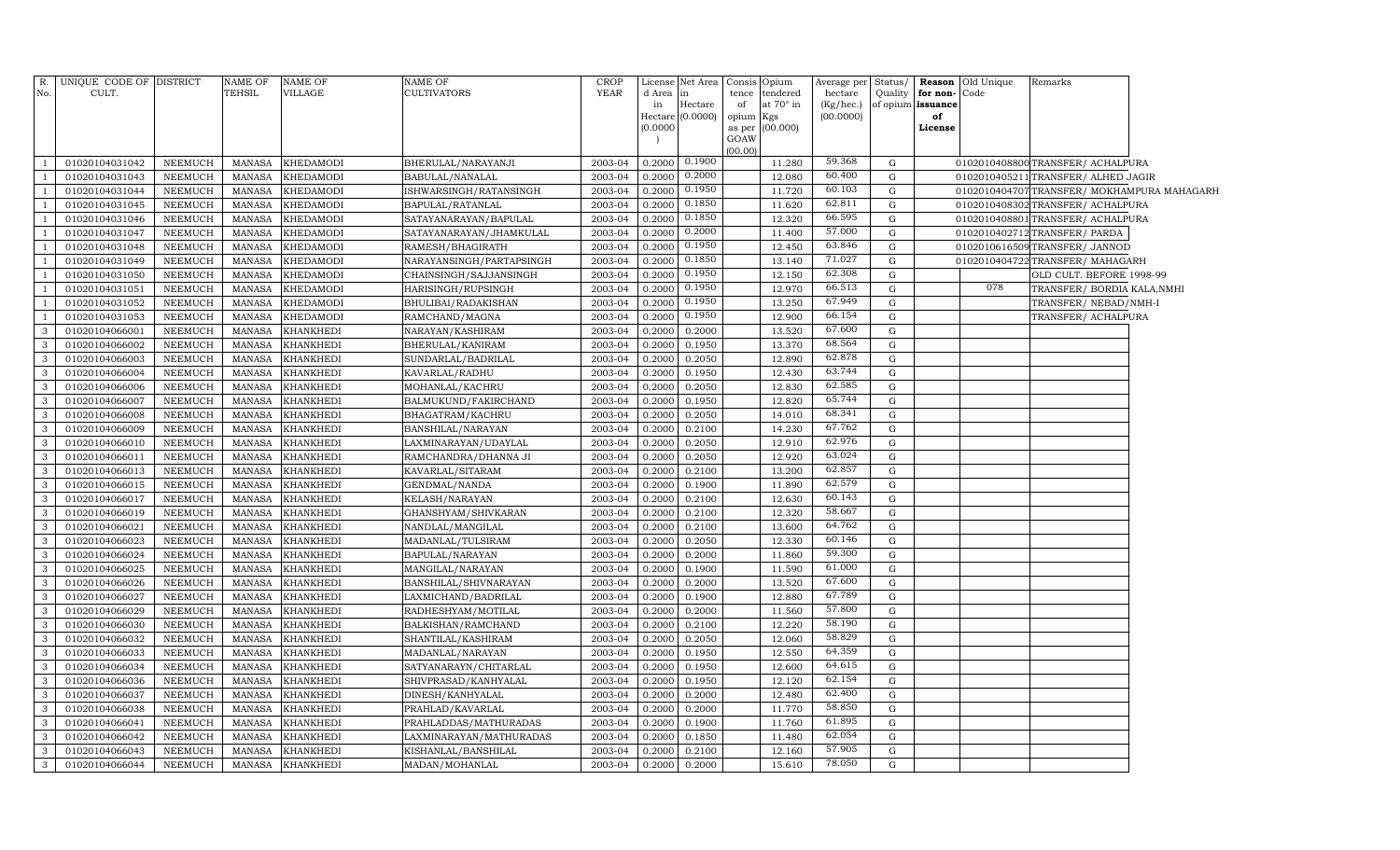| R.             | UNIQUE CODE OF DISTRICT |         | NAME OF       | <b>NAME OF</b>   | NAME OF                  | <b>CROP</b> | License             | Net Area |           | Consis Opium     | Average per Status/ |             |                   | <b>Reason</b> Old Unique | Remarks                                   |  |
|----------------|-------------------------|---------|---------------|------------------|--------------------------|-------------|---------------------|----------|-----------|------------------|---------------------|-------------|-------------------|--------------------------|-------------------------------------------|--|
| No.            | CULT.                   |         | TEHSIL        | VILLAGE          | CULTIVATORS              | <b>YEAR</b> | d Area              |          |           | tence tendered   | hectare             | Quality     | for non-          | Code                     |                                           |  |
|                |                         |         |               |                  |                          |             | in                  | Hectare  | of        | at $70^\circ$ in | (Kg/hec.)           |             | of opium issuance |                          |                                           |  |
|                |                         |         |               |                  |                          |             | Hectare<br>(0.0000) | (0.0000) | opium Kgs | as per (00.000)  | (00.0000)           |             | of<br>License     |                          |                                           |  |
|                |                         |         |               |                  |                          |             |                     |          | GOAW      |                  |                     |             |                   |                          |                                           |  |
|                |                         |         |               |                  |                          |             |                     |          | (00.00)   |                  |                     |             |                   |                          |                                           |  |
|                | 01020104031042          | NEEMUCH | <b>MANASA</b> | <b>KHEDAMODI</b> | BHERULAL/NARAYANJI       | 2003-04     | 0.2000              | 0.1900   |           | 11.280           | 59.368              | G           |                   |                          | 0102010408800TRANSFER/ACHALPURA           |  |
|                | 01020104031043          | NEEMUCH | <b>MANASA</b> | <b>KHEDAMODI</b> | BABULAL/NANALAL          | 2003-04     | 0.2000              | 0.2000   |           | 12.080           | 60.400              | $\mathbf G$ |                   |                          | 0102010405211 TRANSFER/ ALHED JAGIR       |  |
| $\overline{1}$ | 01020104031044          | NEEMUCH | <b>MANASA</b> | <b>KHEDAMODI</b> | ISHWARSINGH/RATANSINGH   | 2003-04     | 0.2000              | 0.1950   |           | 11.720           | 60.103              | G           |                   |                          | 0102010404707TRANSFER/MOKHAMPURA MAHAGARH |  |
| -1             | 01020104031045          | NEEMUCH | <b>MANASA</b> | <b>KHEDAMODI</b> | BAPULAL/RATANLAL         | 2003-04     | 0.2000              | 0.1850   |           | 11.620           | 62.811              | $\mathbf G$ |                   |                          | 0102010408302TRANSFER/ACHALPURA           |  |
| $\overline{1}$ | 01020104031046          | NEEMUCH | <b>MANASA</b> | <b>KHEDAMODI</b> | SATAYANARAYAN/BAPULAL    | 2003-04     | 0.200               | 0.1850   |           | 12.320           | 66.595              | ${\rm G}$   |                   |                          | 0102010408801TRANSFER/ACHALPURA           |  |
| <sup>1</sup>   | 01020104031047          | NEEMUCH | <b>MANASA</b> | <b>KHEDAMODI</b> | SATAYANARAYAN/JHAMKULAL  | 2003-04     | 0.200               | 0.2000   |           | 11.400           | 57.000              | G           |                   |                          | 0102010402712 TRANSFER / PARDA            |  |
| -1             | 01020104031048          | NEEMUCH | <b>MANASA</b> | <b>KHEDAMODI</b> | RAMESH/BHAGIRATH         | 2003-04     | 0.200               | 0.1950   |           | 12.450           | 63.846              | ${\rm G}$   |                   |                          | 0102010616509 TRANSFER/ JANNOD            |  |
| $\overline{1}$ | 01020104031049          | NEEMUCH | <b>MANASA</b> | <b>KHEDAMODI</b> | NARAYANSINGH/PARTAPSINGH | 2003-04     | 0.200               | 0.1850   |           | 13.140           | 71.027              | ${\rm G}$   |                   |                          | 0102010404722 TRANSFER/ MAHAGARH          |  |
| $\overline{1}$ | 01020104031050          | NEEMUCH | <b>MANASA</b> | <b>KHEDAMODI</b> | CHAINSINGH/SAJJANSINGH   | 2003-04     | 0.200               | 0.1950   |           | 12.150           | 62.308              | ${\rm G}$   |                   |                          | OLD CULT. BEFORE 1998-99                  |  |
| $\overline{1}$ | 01020104031051          | NEEMUCH | <b>MANASA</b> | <b>KHEDAMODI</b> | HARISINGH/RUPSINGH       | 2003-04     | 0.2000              | 0.1950   |           | 12.970           | 66.513              | G           |                   | 078                      | TRANSFER/ BORDIA KALA, NMHI               |  |
| $\overline{1}$ | 01020104031052          | NEEMUCH | <b>MANASA</b> | <b>KHEDAMODI</b> | BHULIBAI/RADAKISHAN      | 2003-04     | 0.200               | 0.1950   |           | 13.250           | 67.949              | G           |                   |                          | TRANSFER/NEBAD/NMH-I                      |  |
| <sup>1</sup>   | 01020104031053          | NEEMUCH | <b>MANASA</b> | <b>KHEDAMODI</b> | RAMCHAND/MAGNA           | 2003-04     | 0.200               | 0.1950   |           | 12.900           | 66.154              | G           |                   |                          | TRANSFER/ ACHALPURA                       |  |
| 3              | 01020104066001          | NEEMUCH | <b>MANASA</b> | <b>KHANKHEDI</b> | NARAYAN/KASHIRAM         | 2003-04     | 0.2000              | 0.2000   |           | 13.520           | 67.600              | G           |                   |                          |                                           |  |
| 3              | 01020104066002          | NEEMUCH | <b>MANASA</b> | <b>KHANKHEDI</b> | BHERULAL/KANIRAM         | 2003-04     | 0.2000              | 0.1950   |           | 13.370           | 68.564              | G           |                   |                          |                                           |  |
| $\mathbf{3}$   | 01020104066003          | NEEMUCH | <b>MANASA</b> | <b>KHANKHEDI</b> | SUNDARLAL/BADRILAL       | 2003-04     | 0.2000              | 0.2050   |           | 12.890           | 62.878              | G           |                   |                          |                                           |  |
| 3              | 01020104066004          | NEEMUCH | <b>MANASA</b> | <b>KHANKHEDI</b> | KAVARLAL/RADHU           | 2003-04     | 0.2000              | 0.1950   |           | 12.430           | 63.744              | $\mathbf G$ |                   |                          |                                           |  |
| 3              | 01020104066006          | NEEMUCH | <b>MANASA</b> | <b>KHANKHEDI</b> | MOHANLAL/KACHRU          | 2003-04     | 0.2000              | 0.2050   |           | 12.830           | 62.585              | G           |                   |                          |                                           |  |
| 3              | 01020104066007          | NEEMUCH | <b>MANASA</b> | <b>KHANKHEDI</b> | BALMUKUND/FAKIRCHAND     | 2003-04     | 0.2000              | 0.1950   |           | 12.820           | 65.744              | G           |                   |                          |                                           |  |
| $\mathbf{3}$   | 01020104066008          | NEEMUCH | <b>MANASA</b> | <b>KHANKHEDI</b> | BHAGATRAM/KACHRU         | 2003-04     | 0.2000              | 0.2050   |           | 14.010           | 68.341              | $\mathbf G$ |                   |                          |                                           |  |
| 3              | 01020104066009          | NEEMUCH | <b>MANASA</b> | <b>KHANKHEDI</b> | BANSHILAL/NARAYAN        | 2003-04     | 0.2000              | 0.2100   |           | 14.230           | 67.762              | $\mathbf G$ |                   |                          |                                           |  |
| 3              | 01020104066010          | NEEMUCH | <b>MANASA</b> | <b>KHANKHEDI</b> | LAXMINARAYAN/UDAYLAL     | 2003-04     | 0.2000              | 0.2050   |           | 12.910           | 62.976              | G           |                   |                          |                                           |  |
| $\mathbf{3}$   | 01020104066011          | NEEMUCH | <b>MANASA</b> | <b>KHANKHEDI</b> | RAMCHANDRA/DHANNA JI     | 2003-04     | 0.2000              | 0.2050   |           | 12.920           | 63.024              | $\mathbf G$ |                   |                          |                                           |  |
| 3              | 01020104066013          | NEEMUCH | <b>MANASA</b> | <b>KHANKHEDI</b> | KAVARLAL/SITARAM         | 2003-04     | 0.2000              | 0.2100   |           | 13.200           | 62.857              | G           |                   |                          |                                           |  |
| 3              | 01020104066015          | NEEMUCH | <b>MANASA</b> | KHANKHEDI        | GENDMAL/NANDA            | 2003-04     | 0.2000              | 0.1900   |           | 11.890           | 62.579              | G           |                   |                          |                                           |  |
| 3              | 01020104066017          | NEEMUCH | <b>MANASA</b> | <b>KHANKHEDI</b> | KELASH/NARAYAN           | 2003-04     | 0.200               | 0.2100   |           | 12.630           | 60.143              | G           |                   |                          |                                           |  |
| 3              | 01020104066019          | NEEMUCH | <b>MANASA</b> | <b>KHANKHEDI</b> | GHANSHYAM/SHIVKARAN      | 2003-04     | 0.2000              | 0.2100   |           | 12.320           | 58.667              | G           |                   |                          |                                           |  |
| $\mathbf{3}$   | 01020104066021          | NEEMUCH | <b>MANASA</b> | <b>KHANKHEDI</b> | NANDLAL/MANGILAL         | 2003-04     | 0.2000              | 0.2100   |           | 13.600           | 64.762              | G           |                   |                          |                                           |  |
| $\mathbf{3}$   | 01020104066023          | NEEMUCH | <b>MANASA</b> | <b>KHANKHEDI</b> | MADANLAL/TULSIRAM        | 2003-04     | 0.2000              | 0.2050   |           | 12.330           | 60.146              | G           |                   |                          |                                           |  |
| $\mathbf{3}$   | 01020104066024          | NEEMUCH | <b>MANASA</b> | <b>KHANKHEDI</b> | BAPULAL/NARAYAN          | 2003-04     | 0.2000              | 0.2000   |           | 11.860           | 59.300              | $\mathbf G$ |                   |                          |                                           |  |
| $\mathbf{3}$   | 01020104066025          | NEEMUCH | <b>MANASA</b> | <b>KHANKHEDI</b> | MANGILAL/NARAYAN         | 2003-04     | 0.2000              | 0.1900   |           | 11.590           | 61.000              | $\mathbf G$ |                   |                          |                                           |  |
| 3              | 01020104066026          | NEEMUCH | <b>MANASA</b> | <b>KHANKHEDI</b> | BANSHILAL/SHIVNARAYAN    | 2003-04     | 0.2000              | 0.2000   |           | 13.520           | 67.600              | G           |                   |                          |                                           |  |
| 3              | 01020104066027          | NEEMUCH | <b>MANASA</b> | <b>KHANKHEDI</b> | LAXMICHAND/BADRILAL      | 2003-04     | 0.2000              | 0.1900   |           | 12.880           | 67.789              | G           |                   |                          |                                           |  |
| 3              | 01020104066029          | NEEMUCH | <b>MANASA</b> | <b>KHANKHEDI</b> | RADHESHYAM/MOTILAL       | 2003-04     | 0.2000              | 0.2000   |           | 11.560           | 57.800              | G           |                   |                          |                                           |  |
| 3              | 01020104066030          | NEEMUCH | <b>MANASA</b> | <b>KHANKHEDI</b> | BALKISHAN/RAMCHAND       | 2003-04     | 0.2000              | 0.2100   |           | 12.220           | 58.190              | G           |                   |                          |                                           |  |
| 3              | 01020104066032          | NEEMUCH | <b>MANASA</b> | <b>KHANKHEDI</b> | SHANTILAL/KASHIRAM       | 2003-04     | 0.200               | 0.2050   |           | 12.060           | 58.829              | $\mathbf G$ |                   |                          |                                           |  |
| 3              | 01020104066033          | NEEMUCH | <b>MANASA</b> | <b>KHANKHEDI</b> | MADANLAL/NARAYAN         | 2003-04     | 0.2000              | 0.1950   |           | 12.550           | 64.359              | G           |                   |                          |                                           |  |
| $\mathbf{3}$   | 01020104066034          | NEEMUCH | <b>MANASA</b> | <b>KHANKHEDI</b> | SATYANARAYN/CHITARLAL    | 2003-04     | 0.200               | 0.1950   |           | 12.600           | 64.615              | G           |                   |                          |                                           |  |
| 3              | 01020104066036          | NEEMUCH | <b>MANASA</b> | <b>KHANKHEDI</b> | SHIVPRASAD/KANHYALAL     | 2003-04     | 0.2000              | 0.1950   |           | 12.120           | 62.154              | G           |                   |                          |                                           |  |
| $\mathbf{3}$   | 01020104066037          | NEEMUCH | <b>MANASA</b> | <b>KHANKHEDI</b> | DINESH/KANHYALAL         | 2003-04     | 0.200               | 0.2000   |           | 12.480           | 62.400              | G           |                   |                          |                                           |  |
| 3              | 01020104066038          | NEEMUCH | <b>MANASA</b> | <b>KHANKHEDI</b> | PRAHLAD/KAVARLAL         | 2003-04     | 0.200               | 0.2000   |           | 11.770           | 58.850              | G           |                   |                          |                                           |  |
| 3              | 01020104066041          | NEEMUCH | <b>MANASA</b> | <b>KHANKHEDI</b> | PRAHLADDAS/MATHURADAS    | 2003-04     | 0.200               | 0.1900   |           | 11.760           | 61.895              | G           |                   |                          |                                           |  |
| 3              | 01020104066042          | NEEMUCH | <b>MANASA</b> | <b>KHANKHEDI</b> | LAXMINARAYAN/MATHURADAS  | 2003-04     | 0.2000              | 0.1850   |           | 11.480           | 62.054              | G           |                   |                          |                                           |  |
| $\mathbf{3}$   | 01020104066043          | NEEMUCH | <b>MANASA</b> | <b>KHANKHEDI</b> | KISHANLAL/BANSHILAL      | 2003-04     | 0.2000              | 0.2100   |           | 12.160           | 57.905<br>78.050    | G           |                   |                          |                                           |  |
| $\mathbf{3}$   | 01020104066044          | NEEMUCH | MANASA        | <b>KHANKHEDI</b> | MADAN/MOHANLAL           | 2003-04     | 0.2000              | 0.2000   |           | 15.610           |                     | $\mathbf G$ |                   |                          |                                           |  |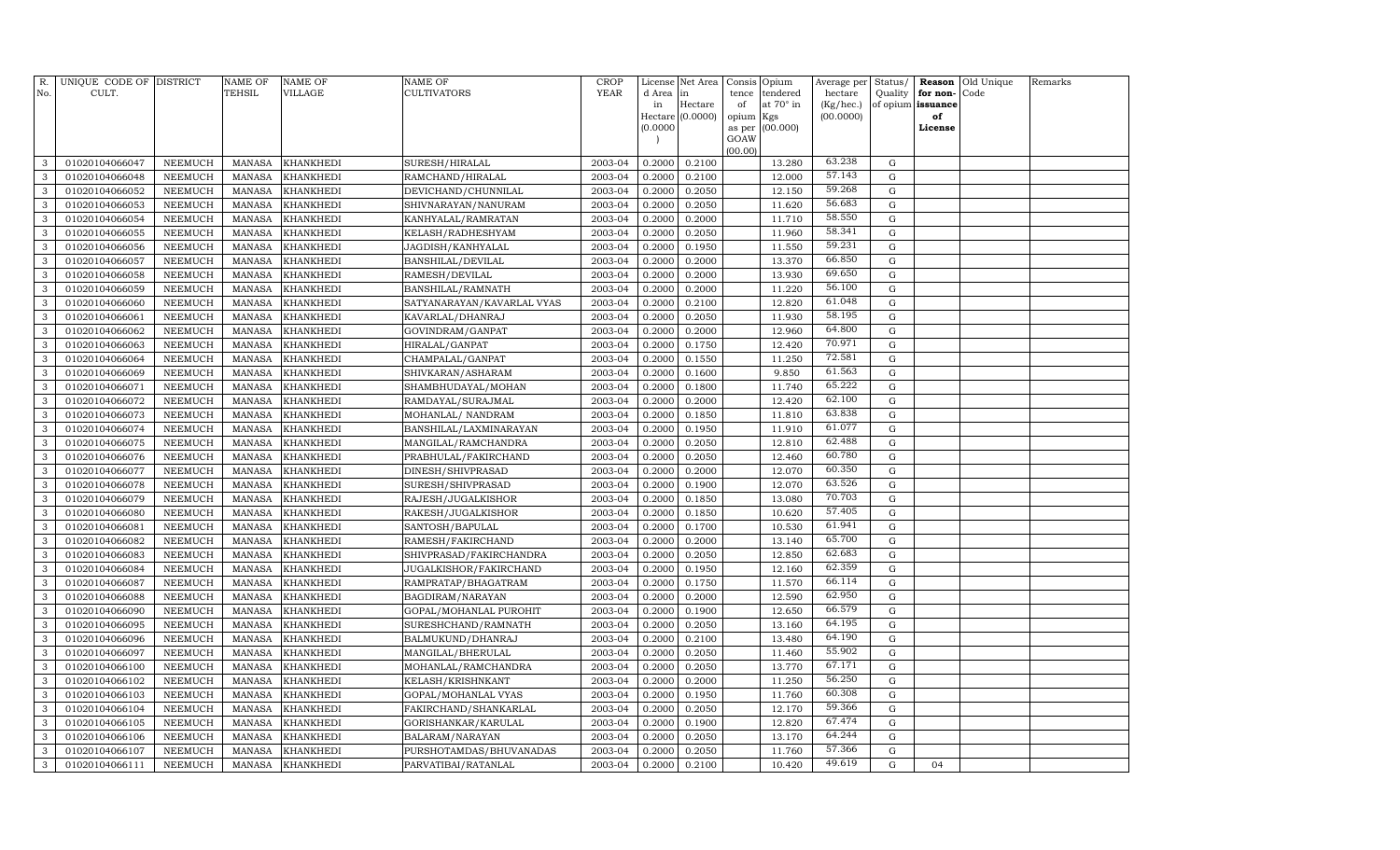| R.<br>No.    | UNIQUE CODE OF DISTRICT<br>CULT. |                | NAME OF<br><b>TEHSIL</b> | <b>NAME OF</b><br>VILLAGE | NAME OF<br><b>CULTIVATORS</b> | CROP<br><b>YEAR</b> | License<br>d Area                    | Net Area<br>in   | Consis<br>tence | Opium<br>tendered | Average per<br>hectare | Status/<br>Quality | for non-          | <b>Reason</b> Old Unique<br>Code | Remarks |
|--------------|----------------------------------|----------------|--------------------------|---------------------------|-------------------------------|---------------------|--------------------------------------|------------------|-----------------|-------------------|------------------------|--------------------|-------------------|----------------------------------|---------|
|              |                                  |                |                          |                           |                               |                     | in                                   | Hectare          | of              | at 70° in         | (Kg/hec.)              |                    | of opium issuance |                                  |         |
|              |                                  |                |                          |                           |                               |                     |                                      | Hectare (0.0000) | opium           | Kgs               | (00.0000)              |                    | of                |                                  |         |
|              |                                  |                |                          |                           |                               |                     | (0.0000)<br>$\overline{\phantom{a}}$ |                  | as per<br>GOAW  | (00.000)          |                        |                    | License           |                                  |         |
|              |                                  |                |                          |                           |                               |                     |                                      |                  | (00.00)         |                   |                        |                    |                   |                                  |         |
| 3            | 01020104066047                   | NEEMUCH        | <b>MANASA</b>            | <b>KHANKHEDI</b>          | SURESH/HIRALAL                | 2003-04             | 0.2000                               | 0.2100           |                 | 13.280            | 63.238                 | G                  |                   |                                  |         |
| 3            | 01020104066048                   | <b>NEEMUCH</b> | <b>MANASA</b>            | <b>KHANKHEDI</b>          | RAMCHAND/HIRALAL              | 2003-04             | 0.2000                               | 0.2100           |                 | 12.000            | 57.143                 | G                  |                   |                                  |         |
| $\mathbf{3}$ | 01020104066052                   | <b>NEEMUCH</b> | <b>MANASA</b>            | <b>KHANKHEDI</b>          | DEVICHAND/CHUNNILAL           | 2003-04             | 0.2000                               | 0.2050           |                 | 12.150            | 59.268                 | G                  |                   |                                  |         |
| 3            | 01020104066053                   | <b>NEEMUCH</b> | <b>MANASA</b>            | KHANKHEDI                 | SHIVNARAYAN/NANURAM           | 2003-04             | 0.2000                               | 0.2050           |                 | 11.620            | 56.683                 | $\mathbf G$        |                   |                                  |         |
| 3            | 01020104066054                   | <b>NEEMUCH</b> | <b>MANASA</b>            | <b>KHANKHEDI</b>          | KANHYALAL/RAMRATAN            | 2003-04             | 0.2000                               | 0.2000           |                 | 11.710            | 58.550                 | G                  |                   |                                  |         |
| 3            | 01020104066055                   | <b>NEEMUCH</b> | <b>MANASA</b>            | KHANKHEDI                 | KELASH/RADHESHYAM             | 2003-04             | 0.2000                               | 0.2050           |                 | 11.960            | 58.341                 | G                  |                   |                                  |         |
| 3            | 01020104066056                   | <b>NEEMUCH</b> | <b>MANASA</b>            | <b>KHANKHEDI</b>          | JAGDISH/KANHYALAL             | 2003-04             | 0.2000                               | 0.1950           |                 | 11.550            | 59.231                 | G                  |                   |                                  |         |
| 3            | 01020104066057                   | <b>NEEMUCH</b> | <b>MANASA</b>            | <b>KHANKHEDI</b>          | <b>BANSHILAL/DEVILAL</b>      | 2003-04             | 0.2000                               | 0.2000           |                 | 13.370            | 66.850                 | G                  |                   |                                  |         |
| $\mathbf{3}$ | 01020104066058                   | <b>NEEMUCH</b> | <b>MANASA</b>            | <b>KHANKHEDI</b>          | RAMESH/DEVILAL                | 2003-04             | 0.2000                               | 0.2000           |                 | 13.930            | 69.650                 | G                  |                   |                                  |         |
| 3            | 01020104066059                   | <b>NEEMUCH</b> | <b>MANASA</b>            | KHANKHEDI                 | BANSHILAL/RAMNATH             | 2003-04             | 0.2000                               | 0.2000           |                 | 11.220            | 56.100                 | G                  |                   |                                  |         |
| 3            | 01020104066060                   | <b>NEEMUCH</b> | <b>MANASA</b>            | KHANKHEDI                 | SATYANARAYAN/KAVARLAL VYAS    | 2003-04             | 0.2000                               | 0.2100           |                 | 12.820            | 61.048                 | $\mathbf G$        |                   |                                  |         |
| 3            | 01020104066061                   | <b>NEEMUCH</b> | <b>MANASA</b>            | <b>KHANKHEDI</b>          | KAVARLAL/DHANRAJ              | 2003-04             | 0.2000                               | 0.2050           |                 | 11.930            | 58.195                 | ${\rm G}$          |                   |                                  |         |
| 3            | 01020104066062                   | <b>NEEMUCH</b> | <b>MANASA</b>            | KHANKHEDI                 | GOVINDRAM/GANPAT              | 2003-04             | 0.2000                               | 0.2000           |                 | 12.960            | 64.800                 | $\mathbf G$        |                   |                                  |         |
| 3            | 01020104066063                   | <b>NEEMUCH</b> | <b>MANASA</b>            | <b>KHANKHEDI</b>          | HIRALAL/GANPAT                | 2003-04             | 0.2000                               | 0.1750           |                 | 12.420            | 70.971                 | $\mathbf G$        |                   |                                  |         |
| 3            | 01020104066064                   | <b>NEEMUCH</b> | <b>MANASA</b>            | KHANKHEDI                 | CHAMPALAL/GANPAT              | 2003-04             | 0.2000                               | 0.1550           |                 | 11.250            | 72.581                 | $\mathbf G$        |                   |                                  |         |
| 3            | 01020104066069                   | <b>NEEMUCH</b> | <b>MANASA</b>            | <b>KHANKHEDI</b>          | SHIVKARAN/ASHARAM             | 2003-04             | 0.2000                               | 0.1600           |                 | 9.850             | 61.563                 | $\mathbf G$        |                   |                                  |         |
| 3            | 01020104066071                   | <b>NEEMUCH</b> | <b>MANASA</b>            | <b>KHANKHEDI</b>          | SHAMBHUDAYAL/MOHAN            | 2003-04             | 0.2000                               | 0.1800           |                 | 11.740            | 65.222                 | G                  |                   |                                  |         |
| 3            | 01020104066072                   | <b>NEEMUCH</b> | <b>MANASA</b>            | KHANKHEDI                 | RAMDAYAL/SURAJMAL             | 2003-04             | 0.2000                               | 0.2000           |                 | 12.420            | 62.100                 | $\mathbf G$        |                   |                                  |         |
| $\mathbf{3}$ | 01020104066073                   | <b>NEEMUCH</b> | <b>MANASA</b>            | <b>KHANKHEDI</b>          | MOHANLAL/ NANDRAM             | 2003-04             | 0.2000                               | 0.1850           |                 | 11.810            | 63.838                 | G                  |                   |                                  |         |
| 3            | 01020104066074                   | <b>NEEMUCH</b> | <b>MANASA</b>            | KHANKHEDI                 | BANSHILAL/LAXMINARAYAN        | 2003-04             | 0.2000                               | 0.1950           |                 | 11.910            | 61.077                 | G                  |                   |                                  |         |
| 3            | 01020104066075                   | NEEMUCH        | <b>MANASA</b>            | KHANKHEDI                 | MANGILAL/RAMCHANDRA           | 2003-04             | 0.2000                               | 0.2050           |                 | 12.810            | 62.488                 | $\mathbf G$        |                   |                                  |         |
| 3            | 01020104066076                   | <b>NEEMUCH</b> | MANASA                   | KHANKHEDI                 | PRABHULAL/FAKIRCHAND          | 2003-04             | 0.2000                               | 0.2050           |                 | 12.460            | 60.780                 | G                  |                   |                                  |         |
| 3            | 01020104066077                   | <b>NEEMUCH</b> | <b>MANASA</b>            | <b>KHANKHEDI</b>          | DINESH/SHIVPRASAD             | 2003-04             | 0.2000                               | 0.2000           |                 | 12.070            | 60.350                 | G                  |                   |                                  |         |
| 3            | 01020104066078                   | <b>NEEMUCH</b> | <b>MANASA</b>            | <b>KHANKHEDI</b>          | SURESH/SHIVPRASAD             | 2003-04             | 0.2000                               | 0.1900           |                 | 12.070            | 63.526                 | G                  |                   |                                  |         |
| 3            | 01020104066079                   | <b>NEEMUCH</b> | <b>MANASA</b>            | <b>KHANKHEDI</b>          | RAJESH/JUGALKISHOR            | 2003-04             | 0.2000                               | 0.1850           |                 | 13.080            | 70.703                 | $\mathbf G$        |                   |                                  |         |
| 3            | 01020104066080                   | <b>NEEMUCH</b> | <b>MANASA</b>            | <b>KHANKHEDI</b>          | RAKESH/JUGALKISHOR            | 2003-04             | 0.2000                               | 0.1850           |                 | 10.620            | 57.405                 | G                  |                   |                                  |         |
| 3            | 01020104066081                   | <b>NEEMUCH</b> | <b>MANASA</b>            | KHANKHEDI                 | SANTOSH/BAPULAL               | 2003-04             | 0.2000                               | 0.1700           |                 | 10.530            | 61.941                 | $\mathbf G$        |                   |                                  |         |
| 3            | 01020104066082                   | <b>NEEMUCH</b> | <b>MANASA</b>            | <b>KHANKHEDI</b>          | RAMESH/FAKIRCHAND             | 2003-04             | 0.2000                               | 0.2000           |                 | 13.140            | 65.700                 | G                  |                   |                                  |         |
| 3            | 01020104066083                   | <b>NEEMUCH</b> | <b>MANASA</b>            | <b>KHANKHEDI</b>          | SHIVPRASAD/FAKIRCHANDRA       | 2003-04             | 0.2000                               | 0.2050           |                 | 12.850            | 62.683                 | G                  |                   |                                  |         |
| 3            | 01020104066084                   | <b>NEEMUCH</b> | <b>MANASA</b>            | KHANKHEDI                 | JUGALKISHOR/FAKIRCHAND        | 2003-04             | 0.2000                               | 0.1950           |                 | 12.160            | 62.359                 | G                  |                   |                                  |         |
| $\mathbf{3}$ | 01020104066087                   | <b>NEEMUCH</b> | <b>MANASA</b>            | <b>KHANKHEDI</b>          | RAMPRATAP/BHAGATRAM           | 2003-04             | 0.2000                               | 0.1750           |                 | 11.570            | 66.114                 | G                  |                   |                                  |         |
| 3            | 01020104066088                   | <b>NEEMUCH</b> | <b>MANASA</b>            | KHANKHEDI                 | BAGDIRAM/NARAYAN              | 2003-04             | 0.2000                               | 0.2000           |                 | 12.590            | 62.950                 | $\mathbf G$        |                   |                                  |         |
| 3            | 01020104066090                   | <b>NEEMUCH</b> | <b>MANASA</b>            | <b>KHANKHEDI</b>          | GOPAL/MOHANLAL PUROHIT        | 2003-04             | 0.2000                               | 0.1900           |                 | 12.650            | 66.579                 | G                  |                   |                                  |         |
| 3            | 01020104066095                   | <b>NEEMUCH</b> | <b>MANASA</b>            | <b>KHANKHEDI</b>          | SURESHCHAND/RAMNATH           | 2003-04             | 0.2000                               | 0.2050           |                 | 13.160            | 64.195                 | G                  |                   |                                  |         |
| 3            | 01020104066096                   | <b>NEEMUCH</b> | <b>MANASA</b>            | <b>KHANKHEDI</b>          | BALMUKUND/DHANRAJ             | 2003-04             | 0.2000                               | 0.2100           |                 | 13.480            | 64.190                 | G                  |                   |                                  |         |
| 3            | 01020104066097                   | <b>NEEMUCH</b> | <b>MANASA</b>            | KHANKHEDI                 | MANGILAL/BHERULAL             | 2003-04             | 0.2000                               | 0.2050           |                 | 11.460            | 55.902                 | G                  |                   |                                  |         |
| $\mathbf{3}$ | 01020104066100                   | <b>NEEMUCH</b> | <b>MANASA</b>            | KHANKHEDI                 | MOHANLAL/RAMCHANDRA           | 2003-04             | 0.2000                               | 0.2050           |                 | 13.770            | 67.171                 | G                  |                   |                                  |         |
| 3            | 01020104066102                   | <b>NEEMUCH</b> | <b>MANASA</b>            | KHANKHEDI                 | KELASH/KRISHNKANT             | 2003-04             | 0.2000                               | 0.2000           |                 | 11.250            | 56.250                 | G                  |                   |                                  |         |
| $\mathbf{3}$ | 01020104066103                   | <b>NEEMUCH</b> | <b>MANASA</b>            | KHANKHEDI                 | GOPAL/MOHANLAL VYAS           | 2003-04             | 0.2000                               | 0.1950           |                 | 11.760            | 60.308                 | G                  |                   |                                  |         |
| 3            | 01020104066104                   | <b>NEEMUCH</b> | <b>MANASA</b>            | <b>KHANKHEDI</b>          | FAKIRCHAND/SHANKARLAL         | 2003-04             | 0.2000                               | 0.2050           |                 | 12.170            | 59.366                 | $\mathbf G$        |                   |                                  |         |
| 3            | 01020104066105                   | <b>NEEMUCH</b> | <b>MANASA</b>            | <b>KHANKHEDI</b>          | GORISHANKAR/KARULAL           | 2003-04             | 0.2000                               | 0.1900           |                 | 12.820            | 67.474                 | $\mathbf G$        |                   |                                  |         |
| 3            | 01020104066106                   | <b>NEEMUCH</b> | <b>MANASA</b>            | KHANKHEDI                 | BALARAM/NARAYAN               | 2003-04             | 0.2000                               | 0.2050           |                 | 13.170            | 64.244                 | G                  |                   |                                  |         |
| 3            | 01020104066107                   | <b>NEEMUCH</b> | <b>MANASA</b>            | <b>KHANKHEDI</b>          | PURSHOTAMDAS/BHUVANADAS       | 2003-04             | 0.2000                               | 0.2050           |                 | 11.760            | 57.366                 | G                  |                   |                                  |         |
| $\mathbf{3}$ | 01020104066111                   | NEEMUCH        | MANASA                   | <b>KHANKHEDI</b>          | PARVATIBAI/RATANLAL           | 2003-04             | 0.2000                               | 0.2100           |                 | 10.420            | 49.619                 | G                  | 04                |                                  |         |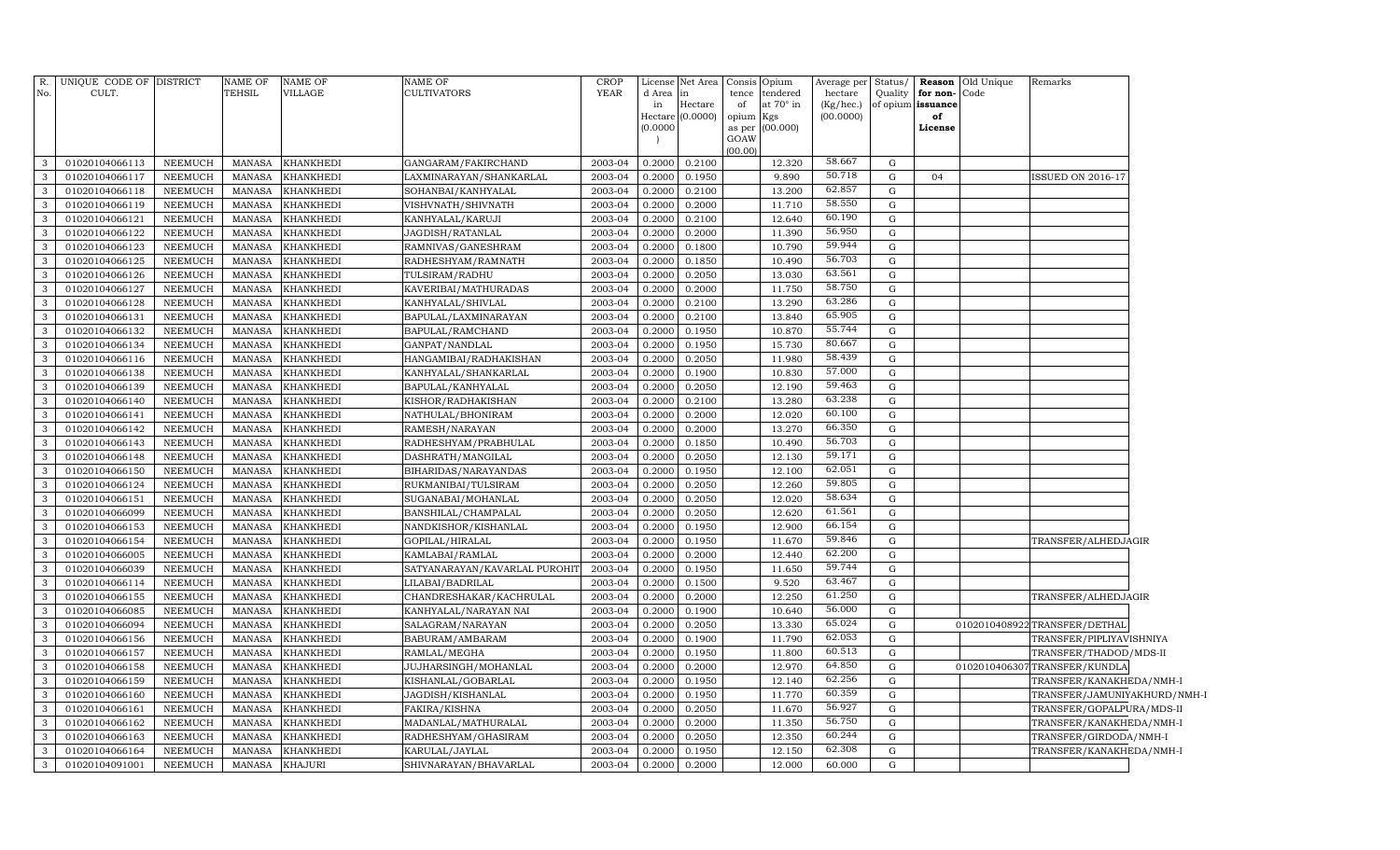| R.             | UNIQUE CODE OF DISTRICT |                | NAME OF       | NAME OF          | <b>NAME OF</b>                | <b>CROP</b> | License  | Net Area                    | Consis      | Opium            | Average per            | Status/     | Reason                  | Old Unique | Remarks                       |  |
|----------------|-------------------------|----------------|---------------|------------------|-------------------------------|-------------|----------|-----------------------------|-------------|------------------|------------------------|-------------|-------------------------|------------|-------------------------------|--|
| No.            | CULT.                   |                | TEHSIL        | VILLAGE          | <b>CULTIVATORS</b>            | YEAR        | d Area   | lin                         | tence       | tendered         | hectare                | Quality     | for non-                | Code       |                               |  |
|                |                         |                |               |                  |                               |             | in       | Hectare<br>Hectare (0.0000) | of<br>opium | at 70° in<br>Kgs | (Kg/hec.)<br>(00.0000) |             | of opium issuance<br>of |            |                               |  |
|                |                         |                |               |                  |                               |             | (0.0000) |                             | as per      | (00.000)         |                        |             | License                 |            |                               |  |
|                |                         |                |               |                  |                               |             |          |                             | GOAW        |                  |                        |             |                         |            |                               |  |
| $\mathbf{3}$   | 01020104066113          | NEEMUCH        | MANASA        | <b>KHANKHEDI</b> | GANGARAM/FAKIRCHAND           | 2003-04     | 0.2000   | 0.2100                      | (00.00)     | 12.320           | 58.667                 | G           |                         |            |                               |  |
| 3              | 01020104066117          | NEEMUCH        | MANASA        | <b>KHANKHEDI</b> | LAXMINARAYAN/SHANKARLAL       | 2003-04     | 0.2000   | 0.1950                      |             | 9.890            | 50.718                 | $\mathbf G$ | 04                      |            | <b>ISSUED ON 2016-17</b>      |  |
| $\mathbf{3}$   | 01020104066118          | NEEMUCH        | <b>MANASA</b> | <b>KHANKHEDI</b> | SOHANBAI/KANHYALAL            | 2003-04     | 0.2000   | 0.2100                      |             | 13.200           | 62.857                 | G           |                         |            |                               |  |
| $\mathbf{3}$   | 01020104066119          | NEEMUCH        | <b>MANASA</b> | <b>KHANKHEDI</b> | VISHVNATH/SHIVNATH            | 2003-04     | 0.2000   | 0.2000                      |             | 11.710           | 58.550                 | G           |                         |            |                               |  |
| $\mathbf{3}$   | 01020104066121          | NEEMUCH        | <b>MANASA</b> | <b>KHANKHEDI</b> | KANHYALAL/KARUJI              | 2003-04     | 0.2000   | 0.2100                      |             | 12.640           | 60.190                 | G           |                         |            |                               |  |
| $\mathbf{3}$   | 01020104066122          | NEEMUCH        | <b>MANASA</b> | <b>KHANKHEDI</b> | JAGDISH/RATANLAL              | 2003-04     | 0.2000   | 0.2000                      |             | 11.390           | 56.950                 | $\mathbf G$ |                         |            |                               |  |
| $\mathbf{3}$   | 01020104066123          | NEEMUCH        | <b>MANASA</b> | <b>KHANKHEDI</b> | RAMNIVAS/GANESHRAM            | 2003-04     | 0.2000   | 0.1800                      |             | 10.790           | 59.944                 | G           |                         |            |                               |  |
| $\mathbf{3}$   | 01020104066125          | NEEMUCH        | <b>MANASA</b> | <b>KHANKHEDI</b> | RADHESHYAM/RAMNATH            | 2003-04     | 0.2000   | 0.1850                      |             | 10.490           | 56.703                 | G           |                         |            |                               |  |
| $\mathbf{3}$   | 01020104066126          | NEEMUCH        | <b>MANASA</b> | <b>KHANKHEDI</b> | TULSIRAM/RADHU                | 2003-04     | 0.2000   | 0.2050                      |             | 13.030           | 63.561                 | G           |                         |            |                               |  |
| $\mathbf{3}$   | 01020104066127          | NEEMUCH        | <b>MANASA</b> | <b>KHANKHEDI</b> | KAVERIBAI/MATHURADAS          | 2003-04     | 0.2000   | 0.2000                      |             | 11.750           | 58.750                 | G           |                         |            |                               |  |
| $\mathbf{3}$   | 01020104066128          | NEEMUCH        | <b>MANASA</b> | <b>KHANKHEDI</b> | KANHYALAL/SHIVLAL             | 2003-04     | 0.2000   | 0.2100                      |             | 13.290           | 63.286                 | G           |                         |            |                               |  |
| $\mathbf{3}$   | 01020104066131          | NEEMUCH        | <b>MANASA</b> | KHANKHEDI        | BAPULAL/LAXMINARAYAN          | 2003-04     | 0.2000   | 0.2100                      |             | 13.840           | 65.905                 | $\mathbf G$ |                         |            |                               |  |
| 3              | 01020104066132          | NEEMUCH        | <b>MANASA</b> | KHANKHEDI        | BAPULAL/RAMCHAND              | 2003-04     | 0.2000   | 0.1950                      |             | 10.870           | 55.744                 | G           |                         |            |                               |  |
| 3              | 01020104066134          | NEEMUCH        | <b>MANASA</b> | <b>KHANKHEDI</b> | GANPAT/NANDLAL                | 2003-04     | 0.2000   | 0.1950                      |             | 15.730           | 80.667                 | G           |                         |            |                               |  |
| $\overline{3}$ | 01020104066116          | NEEMUCH        | <b>MANASA</b> | KHANKHEDI        | HANGAMIBAI/RADHAKISHAN        | 2003-04     | 0.2000   | 0.2050                      |             | 11.980           | 58.439                 | G           |                         |            |                               |  |
| $\overline{3}$ | 01020104066138          | NEEMUCH        | <b>MANASA</b> | KHANKHEDI        | KANHYALAL/SHANKARLAL          | 2003-04     | 0.2000   | 0.1900                      |             | 10.830           | 57.000                 | $\mathbf G$ |                         |            |                               |  |
| $\mathcal{E}$  | 01020104066139          | NEEMUCH        | <b>MANASA</b> | <b>KHANKHEDI</b> | BAPULAL/KANHYALAL             | 2003-04     | 0.2000   | 0.2050                      |             | 12.190           | 59.463                 | G           |                         |            |                               |  |
| $\overline{3}$ | 01020104066140          | NEEMUCH        | <b>MANASA</b> | KHANKHEDI        | KISHOR/RADHAKISHAN            | 2003-04     | 0.2000   | 0.2100                      |             | 13.280           | 63.238                 | G           |                         |            |                               |  |
| $\mathbf{3}$   | 01020104066141          | NEEMUCH        | <b>MANASA</b> | KHANKHEDI        | NATHULAL/BHONIRAM             | 2003-04     | 0.2000   | 0.2000                      |             | 12.020           | 60.100                 | G           |                         |            |                               |  |
| $\overline{3}$ | 01020104066142          | NEEMUCH        | <b>MANASA</b> | KHANKHEDI        | RAMESH/NARAYAN                | 2003-04     | 0.2000   | 0.2000                      |             | 13.270           | 66.350                 | G           |                         |            |                               |  |
| 3              | 01020104066143          | <b>NEEMUCH</b> | <b>MANASA</b> | KHANKHEDI        | RADHESHYAM/PRABHULAL          | 2003-04     | 0.2000   | 0.1850                      |             | 10.490           | 56.703                 | G           |                         |            |                               |  |
| 3              | 01020104066148          | NEEMUCH        | <b>MANASA</b> | KHANKHEDI        | DASHRATH/MANGILAL             | 2003-04     | 0.2000   | 0.2050                      |             | 12.130           | 59.171                 | G           |                         |            |                               |  |
| 3              | 01020104066150          | <b>NEEMUCH</b> | <b>MANASA</b> | KHANKHEDI        | BIHARIDAS/NARAYANDAS          | 2003-04     | 0.2000   | 0.1950                      |             | 12.100           | 62.051                 | G           |                         |            |                               |  |
| $\mathcal{E}$  | 01020104066124          | <b>NEEMUCH</b> | <b>MANASA</b> | KHANKHEDI        | RUKMANIBAI/TULSIRAM           | 2003-04     | 0.2000   | 0.2050                      |             | 12.260           | 59.805                 | G           |                         |            |                               |  |
| 3              | 01020104066151          | NEEMUCH        | <b>MANASA</b> | KHANKHEDI        | SUGANABAI/MOHANLAL            | 2003-04     | 0.2000   | 0.2050                      |             | 12.020           | 58.634                 | G           |                         |            |                               |  |
| 3              | 01020104066099          | NEEMUCH        | <b>MANASA</b> | KHANKHEDI        | BANSHILAL/CHAMPALAL           | 2003-04     | 0.2000   | 0.2050                      |             | 12.620           | 61.561                 | G           |                         |            |                               |  |
| 3              | 01020104066153          | NEEMUCH        | <b>MANASA</b> | KHANKHEDI        | NANDKISHOR/KISHANLAL          | 2003-04     | 0.2000   | 0.1950                      |             | 12.900           | 66.154                 | G           |                         |            |                               |  |
| 3              | 01020104066154          | <b>NEEMUCH</b> | <b>MANASA</b> | KHANKHEDI        | GOPILAL/HIRALAL               | 2003-04     | 0.2000   | 0.1950                      |             | 11.670           | 59.846                 | $\mathbf G$ |                         |            | TRANSFER/ALHEDJAGIR           |  |
| 3              | 01020104066005          | NEEMUCH        | <b>MANASA</b> | KHANKHEDI        | KAMLABAI/RAMLAL               | 2003-04     | 0.2000   | 0.2000                      |             | 12.440           | 62.200                 | ${\rm G}$   |                         |            |                               |  |
| 3              | 01020104066039          | NEEMUCH        | <b>MANASA</b> | KHANKHEDI        | SATYANARAYAN/KAVARLAL PUROHIT | 2003-04     | 0.2000   | 0.1950                      |             | 11.650           | 59.744                 | ${\rm G}$   |                         |            |                               |  |
| 3              | 01020104066114          | NEEMUCH        | <b>MANASA</b> | KHANKHEDI        | LILABAI/BADRILAL              | 2003-04     | 0.2000   | 0.1500                      |             | 9.520            | 63.467                 | G           |                         |            |                               |  |
| 3              | 01020104066155          | NEEMUCH        | <b>MANASA</b> | KHANKHEDI        | CHANDRESHAKAR/KACHRULAL       | 2003-04     | 0.2000   | 0.2000                      |             | 12.250           | 61.250                 | G           |                         |            | TRANSFER/ALHEDJAGIR           |  |
| 3              | 01020104066085          | NEEMUCH        | <b>MANASA</b> | KHANKHEDI        | KANHYALAL/NARAYAN NAI         | 2003-04     | 0.2000   | 0.1900                      |             | 10.640           | 56.000                 | G           |                         |            |                               |  |
| 3              | 01020104066094          | NEEMUCH        | <b>MANASA</b> | KHANKHEDI        | SALAGRAM/NARAYAN              | 2003-04     | 0.2000   | 0.2050                      |             | 13.330           | 65.024                 | G           |                         |            | 0102010408922 TRANSFER/DETHAL |  |
| 3              | 01020104066156          | NEEMUCH        | <b>MANASA</b> | KHANKHEDI        | BABURAM/AMBARAM               | 2003-04     | 0.2000   | 0.1900                      |             | 11.790           | 62.053                 | G           |                         |            | TRANSFER/PIPLIYAVISHNIYA      |  |
| 3              | 01020104066157          | NEEMUCH        | <b>MANASA</b> | KHANKHEDI        | RAMLAL/MEGHA                  | 2003-04     | 0.2000   | 0.1950                      |             | 11.800           | 60.513                 | G           |                         |            | TRANSFER/THADOD/MDS-II        |  |
| 3              | 01020104066158          | NEEMUCH        | <b>MANASA</b> | KHANKHEDI        | JUJHARSINGH/MOHANLAL          | 2003-04     | 0.2000   | 0.2000                      |             | 12.970           | 64.850                 | G           |                         |            | 0102010406307TRANSFER/KUNDLA  |  |
| 3              | 01020104066159          | NEEMUCH        | <b>MANASA</b> | KHANKHEDI        | KISHANLAL/GOBARLAL            | 2003-04     | 0.2000   | 0.1950                      |             | 12.140           | 62.256                 | G           |                         |            | TRANSFER/KANAKHEDA/NMH-I      |  |
| 3              | 01020104066160          | NEEMUCH        | <b>MANASA</b> | KHANKHEDI        | JAGDISH/KISHANLAL             | 2003-04     | 0.2000   | 0.1950                      |             | 11.770           | 60.359                 | G           |                         |            | TRANSFER/JAMUNIYAKHURD/NMH-I  |  |
| 3              | 01020104066161          | NEEMUCH        | <b>MANASA</b> | KHANKHEDI        | FAKIRA/KISHNA                 | 2003-04     | 0.2000   | 0.2050                      |             | 11.670           | 56.927                 | G           |                         |            | TRANSFER/GOPALPURA/MDS-II     |  |
| 3              | 01020104066162          | NEEMUCH        | <b>MANASA</b> | KHANKHEDI        | MADANLAL/MATHURALAL           | 2003-04     | 0.2000   | 0.2000                      |             | 11.350           | 56.750                 | G           |                         |            | TRANSFER/KANAKHEDA/NMH-I      |  |
| 3              | 01020104066163          | <b>NEEMUCH</b> | <b>MANASA</b> | KHANKHEDI        | RADHESHYAM/GHASIRAM           | 2003-04     | 0.2000   | 0.2050                      |             | 12.350           | 60.244                 | $\mathbf G$ |                         |            | TRANSFER/GIRDODA/NMH-I        |  |
| $\mathbf{3}$   | 01020104066164          | <b>NEEMUCH</b> | <b>MANASA</b> | KHANKHEDI        | KARULAL/JAYLAL                | 2003-04     | 0.2000   | 0.1950                      |             | 12.150           | 62.308                 | G           |                         |            | TRANSFER/KANAKHEDA/NMH-I      |  |
| $\mathbf{3}$   | 01020104091001          | <b>NEEMUCH</b> | <b>MANASA</b> | <b>KHAJURI</b>   | SHIVNARAYAN/BHAVARLAL         | 2003-04     | 0.2000   | 0.2000                      |             | 12.000           | 60.000                 | $\mathbf G$ |                         |            |                               |  |
|                |                         |                |               |                  |                               |             |          |                             |             |                  |                        |             |                         |            |                               |  |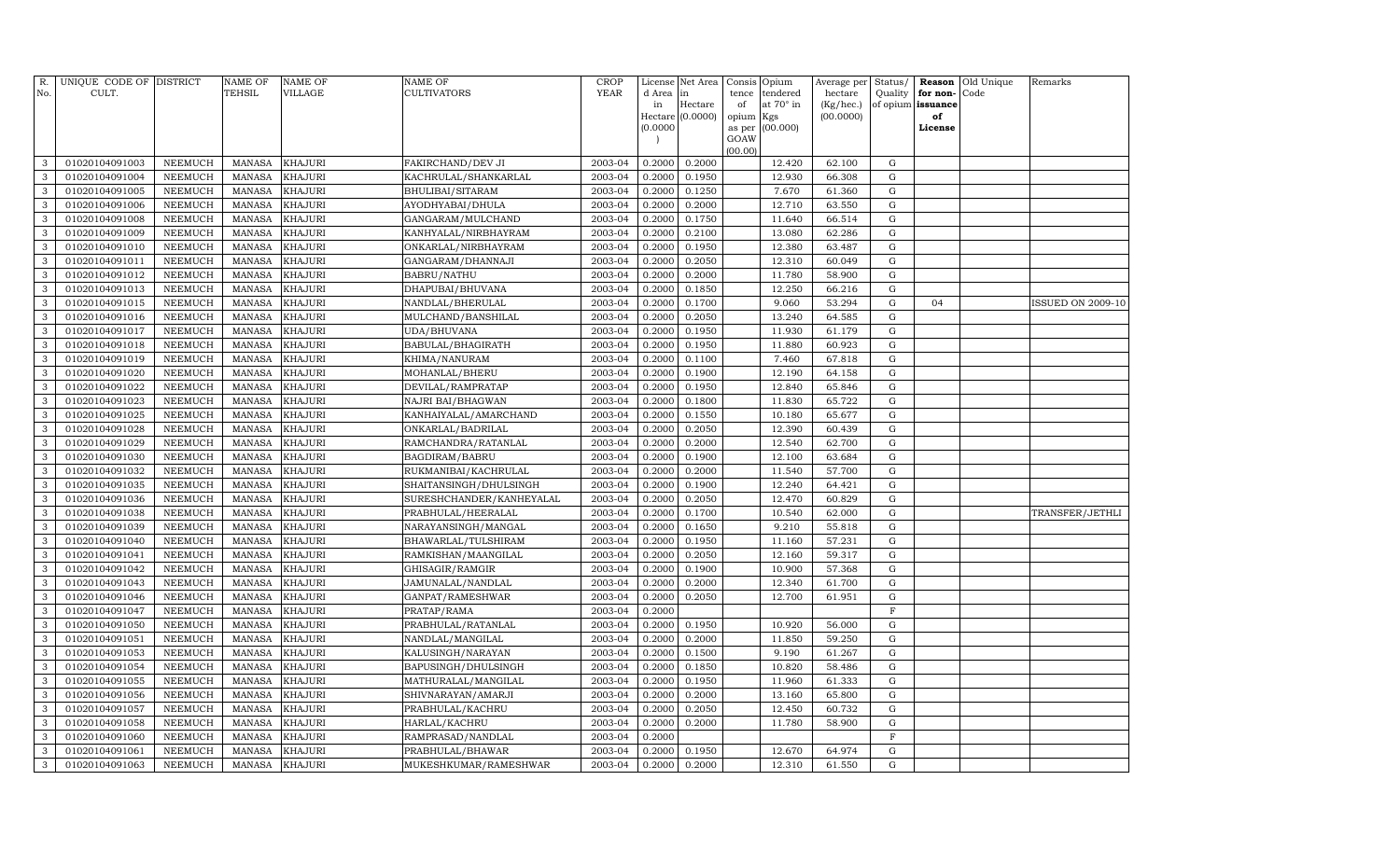| R.<br>No. | UNIQUE CODE OF DISTRICT<br>CULT. |                | NAME OF<br>TEHSIL | <b>NAME OF</b><br>VILLAGE | <b>NAME OF</b><br>CULTIVATORS | CROP<br><b>YEAR</b> | d Area   | License Net Area | tence     | Consis Opium<br>tendered | Average per<br>hectare | Status/                      | Reason   | Old Unique<br>Code | Remarks                  |
|-----------|----------------------------------|----------------|-------------------|---------------------------|-------------------------------|---------------------|----------|------------------|-----------|--------------------------|------------------------|------------------------------|----------|--------------------|--------------------------|
|           |                                  |                |                   |                           |                               |                     | in       | in<br>Hectare    | of        | at $70^\circ$ in         | (Kg/hec.)              | Quality<br>of opium issuance | for non- |                    |                          |
|           |                                  |                |                   |                           |                               |                     |          | Hectare (0.0000) | opium Kgs |                          | (00.0000)              |                              | of       |                    |                          |
|           |                                  |                |                   |                           |                               |                     | (0.0000) |                  | as per    | (00.000)                 |                        |                              | License  |                    |                          |
|           |                                  |                |                   |                           |                               |                     |          |                  | GOAW      |                          |                        |                              |          |                    |                          |
| 3         | 01020104091003                   | NEEMUCH        | <b>MANASA</b>     | <b>KHAJURI</b>            | FAKIRCHAND/DEV JI             | 2003-04             | 0.2000   | 0.2000           | (00.00)   | 12.420                   | 62.100                 | G                            |          |                    |                          |
| 3         | 01020104091004                   | <b>NEEMUCH</b> | <b>MANASA</b>     | <b>KHAJURI</b>            | KACHRULAL/SHANKARLAL          | 2003-04             | 0.2000   | 0.1950           |           | 12.930                   | 66.308                 | G                            |          |                    |                          |
| 3         | 01020104091005                   | NEEMUCH        | MANASA            | <b>KHAJURI</b>            | BHULIBAI/SITARAM              | 2003-04             | 0.2000   | 0.1250           |           | 7.670                    | 61.360                 | G                            |          |                    |                          |
| 3         | 01020104091006                   | <b>NEEMUCH</b> | <b>MANASA</b>     | <b>KHAJURI</b>            | AYODHYABAI/DHULA              | 2003-04             | 0.2000   | 0.2000           |           | 12.710                   | 63.550                 | G                            |          |                    |                          |
| 3         | 01020104091008                   | NEEMUCH        | <b>MANASA</b>     | <b>KHAJURI</b>            | GANGARAM/MULCHAND             | 2003-04             | 0.2000   | 0.1750           |           | 11.640                   | 66.514                 | G                            |          |                    |                          |
| 3         | 01020104091009                   | <b>NEEMUCH</b> | <b>MANASA</b>     | <b>KHAJURI</b>            | KANHYALAL/NIRBHAYRAM          | 2003-04             | 0.2000   | 0.2100           |           | 13.080                   | 62.286                 | $\mathbf G$                  |          |                    |                          |
| 3         | 01020104091010                   | NEEMUCH        | <b>MANASA</b>     | <b>KHAJURI</b>            | ONKARLAL/NIRBHAYRAM           | 2003-04             | 0.2000   | 0.1950           |           | 12.380                   | 63.487                 | $\mathbf G$                  |          |                    |                          |
| 3         | 01020104091011                   | NEEMUCH        | <b>MANASA</b>     | <b>KHAJURI</b>            | GANGARAM / DHANNAJI           | 2003-04             | 0.2000   | 0.2050           |           | 12.310                   | 60.049                 | G                            |          |                    |                          |
| 3         | 01020104091012                   | NEEMUCH        | <b>MANASA</b>     | <b>KHAJURI</b>            | <b>BABRU/NATHU</b>            | 2003-04             | 0.2000   | 0.2000           |           | 11.780                   | 58.900                 | $\mathbf G$                  |          |                    |                          |
| 3         | 01020104091013                   | <b>NEEMUCH</b> | <b>MANASA</b>     | <b>KHAJURI</b>            | DHAPUBAI/BHUVANA              | 2003-04             | 0.2000   | 0.1850           |           | 12.250                   | 66.216                 | G                            |          |                    |                          |
| 3         | 01020104091015                   | NEEMUCH        | <b>MANASA</b>     | <b>KHAJURI</b>            | NANDLAL/BHERULAL              | 2003-04             | 0.2000   | 0.1700           |           | 9.060                    | 53.294                 | ${\rm G}$                    | 04       |                    | <b>ISSUED ON 2009-10</b> |
| 3         | 01020104091016                   | NEEMUCH        | <b>MANASA</b>     | <b>KHAJURI</b>            | MULCHAND/BANSHILAL            | 2003-04             | 0.2000   | 0.2050           |           | 13.240                   | 64.585                 | G                            |          |                    |                          |
| 3         | 01020104091017                   | <b>NEEMUCH</b> | <b>MANASA</b>     | <b>KHAJURI</b>            | UDA/BHUVANA                   | 2003-04             | 0.2000   | 0.1950           |           | 11.930                   | 61.179                 | G                            |          |                    |                          |
| 3         | 01020104091018                   | <b>NEEMUCH</b> | <b>MANASA</b>     | <b>KHAJURI</b>            | BABULAL/BHAGIRATH             | 2003-04             | 0.2000   | 0.1950           |           | 11.880                   | 60.923                 | $\mathbf G$                  |          |                    |                          |
| 3         | 01020104091019                   | <b>NEEMUCH</b> | <b>MANASA</b>     | <b>KHAJURI</b>            | KHIMA/NANURAM                 | 2003-04             | 0.2000   | 0.1100           |           | 7.460                    | 67.818                 | $\mathbf G$                  |          |                    |                          |
| 3         | 01020104091020                   | NEEMUCH        | <b>MANASA</b>     | <b>KHAJURI</b>            | MOHANLAL/BHERU                | 2003-04             | 0.2000   | 0.1900           |           | 12.190                   | 64.158                 | G                            |          |                    |                          |
| 3         | 01020104091022                   | <b>NEEMUCH</b> | <b>MANASA</b>     | <b>KHAJURI</b>            | DEVILAL/RAMPRATAP             | 2003-04             | 0.2000   | 0.1950           |           | 12.840                   | 65.846                 | $\mathbf G$                  |          |                    |                          |
| 3         | 01020104091023                   | NEEMUCH        | <b>MANASA</b>     | <b>KHAJURI</b>            | NAJRI BAI/BHAGWAN             | 2003-04             | 0.2000   | 0.1800           |           | 11.830                   | 65.722                 | ${\rm G}$                    |          |                    |                          |
| 3         | 01020104091025                   | NEEMUCH        | <b>MANASA</b>     | <b>KHAJURI</b>            | KANHAIYALAL/AMARCHAND         | 2003-04             | 0.2000   | 0.1550           |           | 10.180                   | 65.677                 | $\mathbf G$                  |          |                    |                          |
| 3         | 01020104091028                   | NEEMUCH        | <b>MANASA</b>     | <b>KHAJURI</b>            | ONKARLAL/BADRILAL             | 2003-04             | 0.2000   | 0.2050           |           | 12.390                   | 60.439                 | G                            |          |                    |                          |
| 3         | 01020104091029                   | <b>NEEMUCH</b> | <b>MANASA</b>     | <b>KHAJURI</b>            | RAMCHANDRA/RATANLAL           | 2003-04             | 0.2000   | 0.2000           |           | 12.540                   | 62.700                 | G                            |          |                    |                          |
| 3         | 01020104091030                   | <b>NEEMUCH</b> | <b>MANASA</b>     | <b>KHAJURI</b>            | <b>BAGDIRAM/BABRU</b>         | 2003-04             | 0.2000   | 0.1900           |           | 12.100                   | 63.684                 | G                            |          |                    |                          |
| 3         | 01020104091032                   | <b>NEEMUCH</b> | <b>MANASA</b>     | <b>KHAJURI</b>            | RUKMANIBAI/KACHRULAL          | 2003-04             | 0.2000   | 0.2000           |           | 11.540                   | 57.700                 | $\mathbf G$                  |          |                    |                          |
| 3         | 01020104091035                   | <b>NEEMUCH</b> | <b>MANASA</b>     | <b>KHAJURI</b>            | SHAITANSINGH/DHULSINGH        | 2003-04             | 0.2000   | 0.1900           |           | 12.240                   | 64.421                 | $\mathbf G$                  |          |                    |                          |
| 3         | 01020104091036                   | NEEMUCH        | <b>MANASA</b>     | <b>KHAJURI</b>            | SURESHCHANDER/KANHEYALAL      | 2003-04             | 0.2000   | 0.2050           |           | 12.470                   | 60.829                 | $\mathbf G$                  |          |                    |                          |
| 3         | 01020104091038                   | NEEMUCH        | <b>MANASA</b>     | <b>KHAJURI</b>            | PRABHULAL/HEERALAL            | 2003-04             | 0.2000   | 0.1700           |           | 10.540                   | 62.000                 | G                            |          |                    | TRANSFER/JETHLI          |
| 3         | 01020104091039                   | NEEMUCH        | <b>MANASA</b>     | <b>KHAJURI</b>            | NARAYANSINGH/MANGAL           | 2003-04             | 0.2000   | 0.1650           |           | 9.210                    | 55.818                 | $\mathbf G$                  |          |                    |                          |
| 3         | 01020104091040                   | NEEMUCH        | <b>MANASA</b>     | <b>KHAJURI</b>            | BHAWARLAL/TULSHIRAM           | 2003-04             | 0.2000   | 0.1950           |           | 11.160                   | 57.231                 | G                            |          |                    |                          |
| 3         | 01020104091041                   | NEEMUCH        | <b>MANASA</b>     | <b>KHAJURI</b>            | RAMKISHAN/MAANGILAL           | 2003-04             | 0.2000   | 0.2050           |           | 12.160                   | 59.317                 | G                            |          |                    |                          |
| 3         | 01020104091042                   | <b>NEEMUCH</b> | <b>MANASA</b>     | <b>KHAJURI</b>            | GHISAGIR/RAMGIR               | 2003-04             | 0.2000   | 0.1900           |           | 10.900                   | 57.368                 | G                            |          |                    |                          |
| 3         | 01020104091043                   | <b>NEEMUCH</b> | <b>MANASA</b>     | <b>KHAJURI</b>            | JAMUNALAL/NANDLAL             | 2003-04             | 0.2000   | 0.2000           |           | 12.340                   | 61.700                 | $\mathbf G$                  |          |                    |                          |
| 3         | 01020104091046                   | <b>NEEMUCH</b> | <b>MANASA</b>     | <b>KHAJURI</b>            | GANPAT/RAMESHWAR              | 2003-04             | 0.2000   | 0.2050           |           | 12.700                   | 61.951                 | $\mathbf G$                  |          |                    |                          |
| 3         | 01020104091047                   | NEEMUCH        | <b>MANASA</b>     | <b>KHAJURI</b>            | PRATAP/RAMA                   | 2003-04             | 0.2000   |                  |           |                          |                        | $\mathbf F$                  |          |                    |                          |
| 3         | 01020104091050                   | NEEMUCH        | <b>MANASA</b>     | <b>KHAJURI</b>            | PRABHULAL/RATANLAL            | 2003-04             | 0.2000   | 0.1950           |           | 10.920                   | 56.000                 | G                            |          |                    |                          |
| 3         | 01020104091051                   | NEEMUCH        | <b>MANASA</b>     | <b>KHAJURI</b>            | NANDLAL/MANGILAL              | 2003-04             | 0.2000   | 0.2000           |           | 11.850                   | 59.250                 | G                            |          |                    |                          |
| 3         | 01020104091053                   | NEEMUCH        | <b>MANASA</b>     | KHAJURI                   | KALUSINGH/NARAYAN             | 2003-04             | 0.2000   | 0.1500           |           | 9.190                    | 61.267                 | G                            |          |                    |                          |
| 3         | 01020104091054                   | NEEMUCH        | <b>MANASA</b>     | <b>KHAJURI</b>            | BAPUSINGH/DHULSINGH           | 2003-04             | 0.2000   | 0.1850           |           | 10.820                   | 58.486                 | $\mathbf G$                  |          |                    |                          |
| 3         | 01020104091055                   | <b>NEEMUCH</b> | <b>MANASA</b>     | KHAJURI                   | MATHURALAL/MANGILAL           | 2003-04             | 0.2000   | 0.1950           |           | 11.960                   | 61.333                 | G                            |          |                    |                          |
| 3         | 01020104091056                   | <b>NEEMUCH</b> | <b>MANASA</b>     | <b>KHAJURI</b>            | SHIVNARAYAN/AMARJI            | 2003-04             | 0.2000   | 0.2000           |           | 13.160                   | 65.800                 | $\mathbf G$                  |          |                    |                          |
| 3         | 01020104091057                   | <b>NEEMUCH</b> | <b>MANASA</b>     | <b>KHAJURI</b>            | PRABHULAL/KACHRU              | 2003-04             | 0.2000   | 0.2050           |           | 12.450                   | 60.732                 | $\mathbf G$                  |          |                    |                          |
| 3         | 01020104091058                   | NEEMUCH        | <b>MANASA</b>     | <b>KHAJURI</b>            | HARLAL/KACHRU                 | 2003-04             | 0.2000   | 0.2000           |           | 11.780                   | 58.900                 | G                            |          |                    |                          |
| 3         | 01020104091060                   | <b>NEEMUCH</b> | <b>MANASA</b>     | KHAJURI                   | RAMPRASAD/NANDLAL             | 2003-04             | 0.2000   |                  |           |                          |                        | $\mathbf F$                  |          |                    |                          |
| 3         | 01020104091061                   | NEEMUCH        | <b>MANASA</b>     | <b>KHAJURI</b>            | PRABHULAL/BHAWAR              | 2003-04             | 0.2000   | 0.1950           |           | 12.670                   | 64.974                 | G                            |          |                    |                          |
| 3         | 01020104091063                   | NEEMUCH        | MANASA            | <b>KHAJURI</b>            | MUKESHKUMAR/RAMESHWAR         | 2003-04             | 0.2000   | 0.2000           |           | 12.310                   | 61.550                 | G                            |          |                    |                          |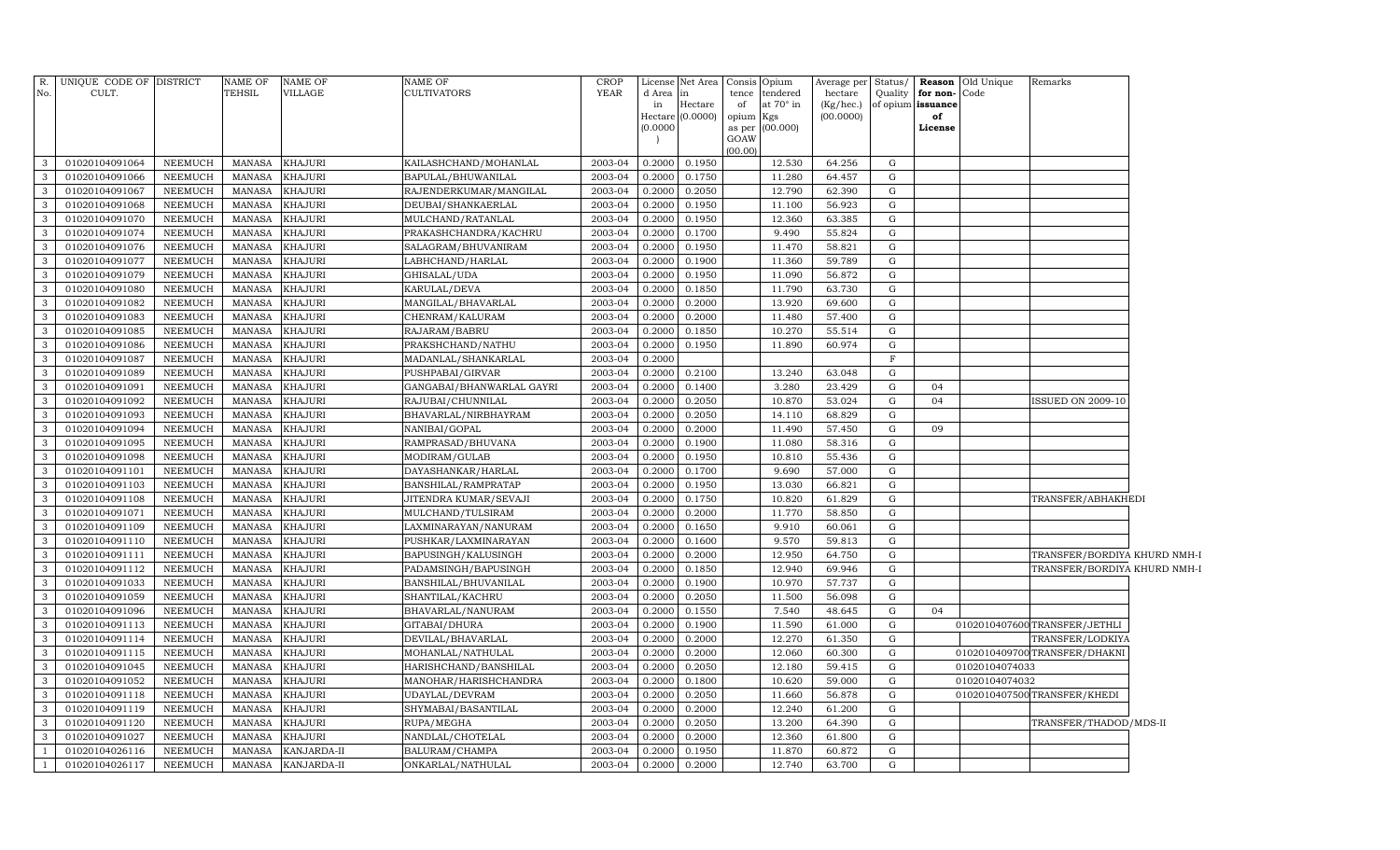| R.                           | UNIQUE CODE OF DISTRICT          |                                  | <b>NAME OF</b>                 | <b>NAME OF</b>                   | <b>NAME OF</b>                     | <b>CROP</b>        | License          | Net Area         |             | Consis Opium                 | Average per          | Status/        |                               | <b>Reason</b> Old Unique | Remarks                       |  |
|------------------------------|----------------------------------|----------------------------------|--------------------------------|----------------------------------|------------------------------------|--------------------|------------------|------------------|-------------|------------------------------|----------------------|----------------|-------------------------------|--------------------------|-------------------------------|--|
| No.                          | CULT.                            |                                  | TEHSIL                         | VILLAGE                          | <b>CULTIVATORS</b>                 | <b>YEAR</b>        | d Area<br>in     | in<br>Hectare    | tence<br>of | tendered<br>at $70^\circ$ in | hectare<br>(Kg/hec.) | Quality        | for non-<br>of opium issuance | Code                     |                               |  |
|                              |                                  |                                  |                                |                                  |                                    |                    | Hectare          | (0.0000)         | opium       | Kgs                          | (00.0000)            |                | of                            |                          |                               |  |
|                              |                                  |                                  |                                |                                  |                                    |                    | (0.0000)         |                  | as per      | (00.000)                     |                      |                | License                       |                          |                               |  |
|                              |                                  |                                  |                                |                                  |                                    |                    |                  |                  | GOAW        |                              |                      |                |                               |                          |                               |  |
| 3                            | 01020104091064                   | NEEMUCH                          | <b>MANASA</b>                  | <b>KHAJURI</b>                   | KAILASHCHAND/MOHANLAL              | 2003-04            | 0.2000           | 0.1950           | (00.00)     | 12.530                       | 64.256               | G              |                               |                          |                               |  |
| $\mathbf{3}$                 | 01020104091066                   | <b>NEEMUCH</b>                   | <b>MANASA</b>                  | <b>KHAJURI</b>                   | BAPULAL/BHUWANILAL                 | 2003-04            | 0.2000           | 0.1750           |             | 11.280                       | 64.457               | G              |                               |                          |                               |  |
| $\mathbf{3}$                 | 01020104091067                   | NEEMUCH                          | <b>MANASA</b>                  | <b>KHAJURI</b>                   | RAJENDERKUMAR/MANGILAL             | 2003-04            | 0.2000           | 0.2050           |             | 12.790                       | 62.390               | G              |                               |                          |                               |  |
| $\mathbf{3}$                 | 01020104091068                   | <b>NEEMUCH</b>                   | <b>MANASA</b>                  | <b>KHAJURI</b>                   | DEUBAI/SHANKAERLAL                 | 2003-04            | 0.2000           | 0.1950           |             | 11.100                       | 56.923               | G              |                               |                          |                               |  |
| $\mathbf{3}$                 | 01020104091070                   | <b>NEEMUCH</b>                   | <b>MANASA</b>                  | <b>KHAJURI</b>                   | MULCHAND/RATANLAL                  | 2003-04            | 0.2000           | 0.1950           |             | 12.360                       | 63.385               | ${\rm G}$      |                               |                          |                               |  |
| $\mathbf{3}$                 | 01020104091074                   | NEEMUCH                          | <b>MANASA</b>                  | <b>KHAJURI</b>                   | PRAKASHCHANDRA/KACHRU              | 2003-04            | 0.2000           | 0.1700           |             | 9.490                        | 55.824               | G              |                               |                          |                               |  |
| $\mathbf{3}$                 | 01020104091076                   | <b>NEEMUCH</b>                   | <b>MANASA</b>                  | <b>KHAJURI</b>                   | SALAGRAM/BHUVANIRAM                | 2003-04            | 0.2000           | 0.1950           |             | 11.470                       | 58.821               | ${\rm G}$      |                               |                          |                               |  |
| $\mathbf{3}$                 | 01020104091077                   | <b>NEEMUCH</b>                   | <b>MANASA</b>                  | <b>KHAJURI</b>                   | LABHCHAND/HARLAL                   | 2003-04            | 0.2000           | 0.1900           |             | 11.360                       | 59.789               | ${\rm G}$      |                               |                          |                               |  |
| $\mathbf{3}$                 | 01020104091079                   | <b>NEEMUCH</b>                   | <b>MANASA</b>                  | KHAJURI                          | GHISALAL/UDA                       | 2003-04            | 0.2000           | 0.1950           |             | 11.090                       | 56.872               | G              |                               |                          |                               |  |
| $\mathbf{3}$                 | 01020104091080                   | <b>NEEMUCH</b>                   | <b>MANASA</b>                  | <b>KHAJURI</b>                   | KARULAL/DEVA                       | 2003-04            | 0.2000           | 0.1850           |             | 11.790                       | 63.730               | ${\rm G}$      |                               |                          |                               |  |
| $\mathbf{3}$                 | 01020104091082                   | <b>NEEMUCH</b>                   | <b>MANASA</b>                  | KHAJURI                          | MANGILAL/BHAVARLAL                 | 2003-04            | 0.2000           | 0.2000           |             | 13.920                       | 69.600               | ${\rm G}$      |                               |                          |                               |  |
| 3                            | 01020104091083                   | <b>NEEMUCH</b>                   | <b>MANASA</b>                  | KHAJURI                          | CHENRAM/KALURAM                    | 2003-04            | 0.2000           | 0.2000           |             | 11.480                       | 57.400               | ${\rm G}$      |                               |                          |                               |  |
| 3                            | 01020104091085                   | <b>NEEMUCH</b>                   | <b>MANASA</b>                  | KHAJURI                          | RAJARAM/BABRU                      | 2003-04            | 0.2000           | 0.1850           |             | 10.270                       | 55.514               | ${\rm G}$      |                               |                          |                               |  |
| 3                            | 01020104091086                   | <b>NEEMUCH</b>                   | <b>MANASA</b>                  | <b>KHAJURI</b>                   | PRAKSHCHAND/NATHU                  | 2003-04            | 0.2000           | 0.1950           |             | 11.890                       | 60.974               | ${\rm G}$      |                               |                          |                               |  |
| $\mathbf{3}$                 | 01020104091087                   | <b>NEEMUCH</b>                   | <b>MANASA</b>                  | KHAJURI                          | MADANLAL/SHANKARLAL                | 2003-04            | 0.2000           |                  |             |                              |                      | $\mathbf F$    |                               |                          |                               |  |
| 3                            | 01020104091089                   | <b>NEEMUCH</b>                   | <b>MANASA</b>                  | KHAJURI                          | PUSHPABAI/GIRVAR                   | 2003-04            | 0.2000           | 0.2100           |             | 13.240                       | 63.048               | ${\rm G}$      |                               |                          |                               |  |
| $\mathbf{3}$                 | 01020104091091                   | <b>NEEMUCH</b>                   | <b>MANASA</b>                  | <b>KHAJURI</b>                   | GANGABAI/BHANWARLAL GAYRI          | 2003-04            | 0.2000           | 0.1400           |             | 3.280                        | 23.429               | ${\rm G}$      | 04                            |                          |                               |  |
| $\mathbf{3}$                 | 01020104091092                   | <b>NEEMUCH</b>                   | <b>MANASA</b>                  | KHAJURI                          | RAJUBAI/CHUNNILAL                  | 2003-04            | 0.2000           | 0.2050           |             | 10.870                       | 53.024               | G              | 04                            |                          | <b>ISSUED ON 2009-10</b>      |  |
| $\mathbf{3}$                 | 01020104091093                   | <b>NEEMUCH</b>                   | <b>MANASA</b>                  | <b>KHAJURI</b>                   | BHAVARLAL/NIRBHAYRAM               | 2003-04            | 0.2000           | 0.2050           |             | 14.110                       | 68.829               | G              |                               |                          |                               |  |
| $\mathbf{3}$                 | 01020104091094                   | <b>NEEMUCH</b>                   | <b>MANASA</b>                  | <b>KHAJURI</b>                   | NANIBAI/GOPAL                      | 2003-04            | 0.2000           | 0.2000           |             | 11.490                       | 57.450               | ${\rm G}$      | 09                            |                          |                               |  |
| $\mathbf{3}$                 | 01020104091095                   | <b>NEEMUCH</b>                   | <b>MANASA</b>                  | <b>KHAJURI</b>                   | RAMPRASAD/BHUVANA                  | 2003-04            | 0.2000           | 0.1900           |             | 11.080                       | 58.316               | G              |                               |                          |                               |  |
| 3                            | 01020104091098                   | <b>NEEMUCH</b>                   | <b>MANASA</b>                  | <b>KHAJURI</b>                   | MODIRAM/GULAB                      | 2003-04            | 0.2000           | 0.1950           |             | 10.810                       | 55.436               | ${\rm G}$      |                               |                          |                               |  |
| $\mathbf{3}$                 | 01020104091101                   | <b>NEEMUCH</b>                   | <b>MANASA</b>                  | <b>KHAJURI</b>                   | DAYASHANKAR/HARLAL                 | 2003-04            | 0.2000           | 0.1700           |             | 9.690                        | 57.000               | G              |                               |                          |                               |  |
| $\mathbf{3}$                 | 01020104091103                   | <b>NEEMUCH</b>                   | <b>MANASA</b>                  | <b>KHAJURI</b>                   | BANSHILAL/RAMPRATAP                | 2003-04            | 0.2000           | 0.1950           |             | 13.030                       | 66.821               | ${\rm G}$      |                               |                          |                               |  |
| $\mathbf{3}$                 | 01020104091108                   | <b>NEEMUCH</b>                   | <b>MANASA</b>                  | <b>KHAJURI</b>                   | JITENDRA KUMAR/SEVAJI              | 2003-04            | 0.2000           | 0.1750           |             | 10.820                       | 61.829               | G              |                               |                          | TRANSFER/ABHAKHEDI            |  |
| $\mathbf{3}$                 | 01020104091071                   | <b>NEEMUCH</b>                   | <b>MANASA</b>                  | KHAJURI                          | MULCHAND/TULSIRAM                  | 2003-04            | 0.2000           | 0.2000           |             | 11.770                       | 58.850               | ${\rm G}$      |                               |                          |                               |  |
| $\mathbf{3}$                 | 01020104091109                   | <b>NEEMUCH</b>                   | <b>MANASA</b>                  | KHAJURI                          | LAXMINARAYAN/NANURAM               | 2003-04            | 0.2000           | 0.1650           |             | 9.910                        | 60.061               | G              |                               |                          |                               |  |
| $\mathbf{3}$                 | 01020104091110                   | <b>NEEMUCH</b>                   | <b>MANASA</b>                  | KHAJURI                          | PUSHKAR/LAXMINARAYAN               | 2003-04            | 0.2000           | 0.1600           |             | 9.570                        | 59.813               | ${\rm G}$      |                               |                          |                               |  |
| $\mathbf{3}$                 | 01020104091111                   | <b>NEEMUCH</b>                   | <b>MANASA</b>                  | <b>KHAJURI</b>                   | BAPUSINGH/KALUSINGH                | 2003-04            | 0.2000           | 0.2000           |             | 12.950                       | 64.750               | G              |                               |                          | TRANSFER/BORDIYA KHURD NMH-I  |  |
| 3                            | 01020104091112                   | <b>NEEMUCH</b>                   | <b>MANASA</b>                  | <b>KHAJURI</b>                   | PADAMSINGH/BAPUSINGH               | 2003-04            | 0.2000           | 0.1850           |             | 12.940                       | 69.946               | G              |                               |                          | TRANSFER/BORDIYA KHURD NMH-I  |  |
| $\mathbf{3}$                 | 01020104091033                   | <b>NEEMUCH</b>                   | <b>MANASA</b>                  | <b>KHAJURI</b>                   | BANSHILAL/BHUVANILAL               | 2003-04            | 0.2000           | 0.1900           |             | 10.970                       | 57.737               | G              |                               |                          |                               |  |
| $\mathbf{3}$                 | 01020104091059                   | <b>NEEMUCH</b>                   | <b>MANASA</b>                  | <b>KHAJURI</b>                   | SHANTILAL/KACHRU                   | 2003-04            | 0.2000           | 0.2050           |             | 11.500                       | 56.098               | G              |                               |                          |                               |  |
| $\mathbf{3}$                 | 01020104091096                   | <b>NEEMUCH</b>                   | <b>MANASA</b>                  | <b>KHAJURI</b>                   | BHAVARLAL/NANURAM                  | 2003-04            | 0.2000           | 0.1550           |             | 7.540                        | 48.645               | G              | 04                            |                          |                               |  |
| $\mathbf{3}$                 | 01020104091113                   | <b>NEEMUCH</b>                   | <b>MANASA</b>                  | <b>KHAJURI</b>                   | GITABAI/DHURA                      | 2003-04            | 0.2000           | 0.1900           |             | 11.590                       | 61.000               | ${\rm G}$      |                               |                          | 0102010407600 TRANSFER/JETHLI |  |
| $\mathbf{3}$                 | 01020104091114                   | <b>NEEMUCH</b>                   | <b>MANASA</b>                  | <b>KHAJURI</b>                   | DEVILAL/BHAVARLAL                  | 2003-04            | 0.2000           | 0.2000           |             | 12.270                       | 61.350               | G              |                               |                          | TRANSFER/LODKIYA              |  |
| $\mathbf{3}$                 | 01020104091115                   | <b>NEEMUCH</b>                   | <b>MANASA</b>                  | <b>KHAJURI</b>                   | MOHANLAL/NATHULAL                  | 2003-04            | 0.2000           | 0.2000           |             | 12.060                       | 60.300               | ${\rm G}$      |                               |                          | 0102010409700 TRANSFER/DHAKNI |  |
| $\mathbf{3}$                 | 01020104091045                   | <b>NEEMUCH</b>                   | <b>MANASA</b>                  | <b>KHAJURI</b>                   | HARISHCHAND/BANSHILAL              | 2003-04            | 0.2000           | 0.2050           |             | 12.180                       | 59.415               | G              |                               | 01020104074033           |                               |  |
| $\mathbf{3}$                 | 01020104091052                   | <b>NEEMUCH</b>                   | <b>MANASA</b>                  | <b>KHAJURI</b>                   | MANOHAR/HARISHCHANDRA              | 2003-04            | 0.2000           | 0.1800           |             | 10.620                       | 59.000               | ${\rm G}$      |                               | 01020104074032           |                               |  |
| $\mathbf{3}$                 | 01020104091118                   | <b>NEEMUCH</b>                   | <b>MANASA</b>                  | <b>KHAJURI</b>                   | UDAYLAL/DEVRAM                     | 2003-04            | 0.2000           | 0.2050           |             | 11.660                       | 56.878               | G              |                               |                          | 0102010407500 TRANSFER/KHEDI  |  |
| $\mathbf{3}$<br>$\mathbf{3}$ | 01020104091119                   | <b>NEEMUCH</b>                   | <b>MANASA</b>                  | <b>KHAJURI</b>                   | SHYMABAI/BASANTILAL                | 2003-04            | 0.2000           | 0.2000           |             | 12.240                       | 61.200               | ${\rm G}$      |                               |                          |                               |  |
| $\mathbf{3}$                 | 01020104091120<br>01020104091027 | <b>NEEMUCH</b><br><b>NEEMUCH</b> | <b>MANASA</b><br><b>MANASA</b> | <b>KHAJURI</b><br><b>KHAJURI</b> | RUPA/MEGHA                         | 2003-04<br>2003-04 | 0.2000<br>0.2000 | 0.2050<br>0.2000 |             | 13.200<br>12.360             | 64.390<br>61.800     | G<br>${\rm G}$ |                               |                          | TRANSFER/THADOD/MDS-II        |  |
| <sup>1</sup>                 | 01020104026116                   | <b>NEEMUCH</b>                   | <b>MANASA</b>                  | KANJARDA-II                      | NANDLAL/CHOTELAL<br>BALURAM/CHAMPA | 2003-04            | 0.2000           | 0.1950           |             | 11.870                       | 60.872               | ${\rm G}$      |                               |                          |                               |  |
| <sup>1</sup>                 | 01020104026117                   | <b>NEEMUCH</b>                   | MANASA                         | KANJARDA-II                      | ONKARLAL/NATHULAL                  | 2003-04            | 0.2000           | 0.2000           |             | 12.740                       | 63.700               | G              |                               |                          |                               |  |
|                              |                                  |                                  |                                |                                  |                                    |                    |                  |                  |             |                              |                      |                |                               |                          |                               |  |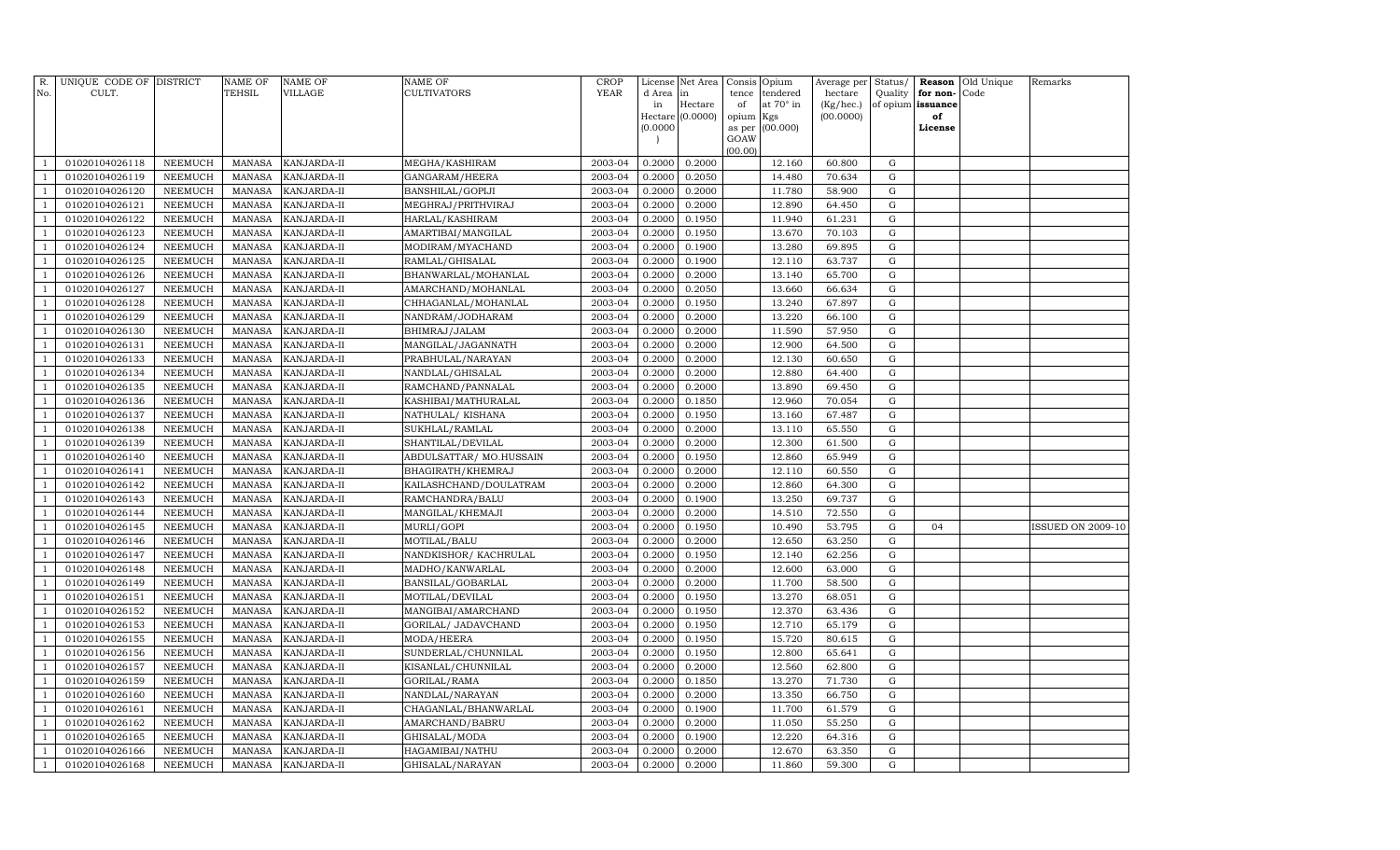| R.             | UNIQUE CODE OF DISTRICT |                | NAME OF       | <b>NAME OF</b>     | <b>NAME OF</b>          | <b>CROP</b> | License                  | Net Area         |             | Consis Opium          | Average per          | Status/             |                      | Reason Old Unique | Remarks                  |
|----------------|-------------------------|----------------|---------------|--------------------|-------------------------|-------------|--------------------------|------------------|-------------|-----------------------|----------------------|---------------------|----------------------|-------------------|--------------------------|
| No.            | CULT.                   |                | TEHSIL        | VILLAGE            | <b>CULTIVATORS</b>      | <b>YEAR</b> | d Area<br>in             | lin<br>Hectare   | tence<br>of | tendered<br>at 70° in | hectare<br>(Kg/hec.) | Quality<br>of opium | for non-<br>issuance | Code              |                          |
|                |                         |                |               |                    |                         |             |                          | Hectare (0.0000) | opium       | Kgs                   | (00.0000)            |                     | of                   |                   |                          |
|                |                         |                |               |                    |                         |             | (0.0000)                 |                  | as per      | (00.000)              |                      |                     | License              |                   |                          |
|                |                         |                |               |                    |                         |             | $\overline{\phantom{a}}$ |                  | GOAW        |                       |                      |                     |                      |                   |                          |
| -1             | 01020104026118          | NEEMUCH        | MANASA        | KANJARDA-II        | MEGHA/KASHIRAM          | 2003-04     | 0.2000                   | 0.2000           | (00.00)     | 12.160                | 60.800               | G                   |                      |                   |                          |
| $\overline{1}$ | 01020104026119          | NEEMUCH        | MANASA        | KANJARDA-II        | GANGARAM/HEERA          | 2003-04     | 0.2000                   | 0.2050           |             | 14.480                | 70.634               | G                   |                      |                   |                          |
| $\overline{1}$ | 01020104026120          | NEEMUCH        | MANASA        | KANJARDA-II        | BANSHILAL/GOPIJI        | 2003-04     | 0.2000                   | 0.2000           |             | 11.780                | 58.900               | G                   |                      |                   |                          |
| $\overline{1}$ | 01020104026121          | NEEMUCH        | MANASA        | KANJARDA-II        | MEGHRAJ/PRITHVIRAJ      | 2003-04     | 0.2000                   | 0.2000           |             | 12.890                | 64.450               | G                   |                      |                   |                          |
| -1             | 01020104026122          | NEEMUCH        | MANASA        | KANJARDA-II        | HARLAL/KASHIRAM         | 2003-04     | 0.2000                   | 0.1950           |             | 11.940                | 61.231               | G                   |                      |                   |                          |
| $\overline{1}$ | 01020104026123          | <b>NEEMUCH</b> | MANASA        | KANJARDA-II        | AMARTIBAI/MANGILAL      | 2003-04     | 0.2000                   | 0.1950           |             | 13.670                | 70.103               | G                   |                      |                   |                          |
| $\overline{1}$ | 01020104026124          | NEEMUCH        | MANASA        | KANJARDA-II        | MODIRAM/MYACHAND        | 2003-04     | 0.2000                   | 0.1900           |             | 13.280                | 69.895               | G                   |                      |                   |                          |
| -1             | 01020104026125          | NEEMUCH        | MANASA        | KANJARDA-II        | RAMLAL/GHISALAL         | 2003-04     | 0.2000                   | 0.1900           |             | 12.110                | 63.737               | G                   |                      |                   |                          |
| $\overline{1}$ | 01020104026126          | NEEMUCH        | MANASA        | KANJARDA-II        | BHANWARLAL/MOHANLAL     | 2003-04     | 0.2000                   | 0.2000           |             | 13.140                | 65.700               | G                   |                      |                   |                          |
| $\overline{1}$ | 01020104026127          | NEEMUCH        | MANASA        | KANJARDA-II        | AMARCHAND/MOHANLAL      | 2003-04     | 0.2000                   | 0.2050           |             | 13.660                | 66.634               | G                   |                      |                   |                          |
| $\overline{1}$ | 01020104026128          | NEEMUCH        | MANASA        | KANJARDA-II        | CHHAGANLAL/MOHANLAL     | 2003-04     | 0.2000                   | 0.1950           |             | 13.240                | 67.897               | G                   |                      |                   |                          |
| $\overline{1}$ | 01020104026129          | NEEMUCH        | <b>MANASA</b> | KANJARDA-II        | NANDRAM/JODHARAM        | 2003-04     | 0.2000                   | 0.2000           |             | 13.220                | 66.100               | G                   |                      |                   |                          |
| $\overline{1}$ | 01020104026130          | NEEMUCH        | MANASA        | KANJARDA-II        | BHIMRAJ/JALAM           | 2003-04     | 0.2000                   | 0.2000           |             | 11.590                | 57.950               | G                   |                      |                   |                          |
| $\overline{1}$ | 01020104026131          | <b>NEEMUCH</b> | MANASA        | KANJARDA-II        | MANGILAL/JAGANNATH      | 2003-04     | 0.2000                   | 0.2000           |             | 12.900                | 64.500               | G                   |                      |                   |                          |
| -1             | 01020104026133          | NEEMUCH        | MANASA        | KANJARDA-II        | PRABHULAL/NARAYAN       | 2003-04     | 0.2000                   | 0.2000           |             | 12.130                | 60.650               | G                   |                      |                   |                          |
| -1             | 01020104026134          | NEEMUCH        | MANASA        | KANJARDA-II        | NANDLAL/GHISALAL        | 2003-04     | 0.2000                   | 0.2000           |             | 12.880                | 64.400               | G                   |                      |                   |                          |
| $\overline{1}$ | 01020104026135          | NEEMUCH        | MANASA        | KANJARDA-II        | RAMCHAND/PANNALAL       | 2003-04     | 0.2000                   | 0.2000           |             | 13.890                | 69.450               | G                   |                      |                   |                          |
| $\overline{1}$ | 01020104026136          | NEEMUCH        | MANASA        | KANJARDA-II        | KASHIBAI/MATHURALAL     | 2003-04     | 0.2000                   | 0.1850           |             | 12.960                | 70.054               | G                   |                      |                   |                          |
| $\overline{1}$ | 01020104026137          | NEEMUCH        | MANASA        | KANJARDA-II        | NATHULAL/ KISHANA       | 2003-04     | 0.2000                   | 0.1950           |             | 13.160                | 67.487               | G                   |                      |                   |                          |
| $\overline{1}$ | 01020104026138          | NEEMUCH        | MANASA        | KANJARDA-II        | SUKHLAL/RAMLAL          | 2003-04     | 0.2000                   | 0.2000           |             | 13.110                | 65.550               | G                   |                      |                   |                          |
| $\overline{1}$ | 01020104026139          | NEEMUCH        | MANASA        | KANJARDA-II        | SHANTILAL/DEVILAL       | 2003-04     | 0.2000                   | 0.2000           |             | 12.300                | 61.500               | G                   |                      |                   |                          |
| $\overline{1}$ | 01020104026140          | NEEMUCH        | MANASA        | KANJARDA-II        | ABDULSATTAR/ MO.HUSSAIN | 2003-04     | 0.2000                   | 0.1950           |             | 12.860                | 65.949               | G                   |                      |                   |                          |
| -1             | 01020104026141          | NEEMUCH        | MANASA        | KANJARDA-II        | BHAGIRATH/KHEMRAJ       | 2003-04     | 0.2000                   | 0.2000           |             | 12.110                | 60.550               | G                   |                      |                   |                          |
| $\overline{1}$ | 01020104026142          | NEEMUCH        | MANASA        | KANJARDA-II        | KAILASHCHAND/DOULATRAM  | 2003-04     | 0.2000                   | 0.2000           |             | 12.860                | 64.300               | G                   |                      |                   |                          |
|                | 01020104026143          | NEEMUCH        | MANASA        | KANJARDA-II        | RAMCHANDRA/BALU         | 2003-04     | 0.2000                   | 0.1900           |             | 13.250                | 69.737               | G                   |                      |                   |                          |
| $\overline{1}$ | 01020104026144          | NEEMUCH        | MANASA        | KANJARDA-II        | MANGILAL/KHEMAJI        | 2003-04     | 0.2000                   | 0.2000           |             | 14.510                | 72.550               | G                   |                      |                   |                          |
| $\overline{1}$ | 01020104026145          | NEEMUCH        | MANASA        | KANJARDA-II        | MURLI/GOPI              | 2003-04     | 0.2000                   | 0.1950           |             | 10.490                | 53.795               | G                   | 04                   |                   | <b>ISSUED ON 2009-10</b> |
| $\overline{1}$ | 01020104026146          | NEEMUCH        | MANASA        | KANJARDA-II        | MOTILAL/BALU            | 2003-04     | 0.2000                   | 0.2000           |             | 12.650                | 63.250               | G                   |                      |                   |                          |
| $\overline{1}$ | 01020104026147          | NEEMUCH        | MANASA        | KANJARDA-II        | NANDKISHOR/KACHRULAL    | 2003-04     | 0.2000                   | 0.1950           |             | 12.140                | 62.256               | G                   |                      |                   |                          |
| $\overline{1}$ | 01020104026148          | NEEMUCH        | MANASA        | KANJARDA-II        | MADHO/KANWARLAL         | 2003-04     | 0.2000                   | 0.2000           |             | 12.600                | 63.000               | G                   |                      |                   |                          |
| $\overline{1}$ | 01020104026149          | NEEMUCH        | MANASA        | KANJARDA-II        | BANSILAL/GOBARLAL       | 2003-04     | 0.2000                   | 0.2000           |             | 11.700                | 58.500               | G                   |                      |                   |                          |
| $\overline{1}$ | 01020104026151          | <b>NEEMUCH</b> | MANASA        | KANJARDA-II        | MOTILAL/DEVILAL         | 2003-04     | 0.2000                   | 0.1950           |             | 13.270                | 68.051               | G                   |                      |                   |                          |
|                | 01020104026152          | NEEMUCH        | MANASA        | KANJARDA-II        | MANGIBAI/AMARCHAND      | 2003-04     | 0.2000                   | 0.1950           |             | 12.370                | 63.436               | G                   |                      |                   |                          |
| $\overline{1}$ | 01020104026153          | NEEMUCH        | MANASA        | KANJARDA-II        | GORILAL/ JADAVCHAND     | 2003-04     | 0.2000                   | 0.1950           |             | 12.710                | 65.179               | G                   |                      |                   |                          |
| $\overline{1}$ | 01020104026155          | NEEMUCH        | MANASA        | KANJARDA-II        | MODA/HEERA              | 2003-04     | 0.2000                   | 0.1950           |             | 15.720                | 80.615               | G                   |                      |                   |                          |
| $\overline{1}$ | 01020104026156          | NEEMUCH        | MANASA        | KANJARDA-II        | SUNDERLAL/CHUNNILAL     | 2003-04     | 0.2000                   | 0.1950           |             | 12.800                | 65.641               | G                   |                      |                   |                          |
| $\overline{1}$ | 01020104026157          | NEEMUCH        | MANASA        | KANJARDA-II        | KISANLAL/CHUNNILAL      | 2003-04     | 0.2000                   | 0.2000           |             | 12.560                | 62.800               | G                   |                      |                   |                          |
|                | 01020104026159          | NEEMUCH        | MANASA        | KANJARDA-II        | GORILAL/RAMA            | 2003-04     | 0.2000                   | 0.1850           |             | 13.270                | 71.730               | G                   |                      |                   |                          |
| $\overline{1}$ | 01020104026160          | NEEMUCH        | MANASA        | KANJARDA-II        | NANDLAL/NARAYAN         | 2003-04     | 0.2000                   | 0.2000           |             | 13.350                | 66.750               | G                   |                      |                   |                          |
| -1             | 01020104026161          | NEEMUCH        | MANASA        | KANJARDA-II        | CHAGANLAL/BHANWARLAL    | 2003-04     | 0.2000                   | 0.1900           |             | 11.700                | 61.579               | G                   |                      |                   |                          |
| -1             | 01020104026162          | NEEMUCH        | MANASA        | KANJARDA-II        | AMARCHAND/BABRU         | 2003-04     | 0.2000                   | 0.2000           |             | 11.050                | 55.250               | G                   |                      |                   |                          |
| $\overline{1}$ | 01020104026165          | NEEMUCH        | MANASA        | KANJARDA-II        | GHISALAL/MODA           | 2003-04     | 0.2000                   | 0.1900           |             | 12.220                | 64.316               | G                   |                      |                   |                          |
| $\overline{1}$ | 01020104026166          | NEEMUCH        | MANASA        | KANJARDA-II        | HAGAMIBAI/NATHU         | 2003-04     | 0.2000                   | 0.2000           |             | 12.670                | 63.350               | G                   |                      |                   |                          |
| $\mathbf{1}$   | 01020104026168          | NEEMUCH        |               | MANASA KANJARDA-II | GHISALAL/NARAYAN        | 2003-04     | 0.2000                   | 0.2000           |             | 11.860                | 59.300               | $\mathbf G$         |                      |                   |                          |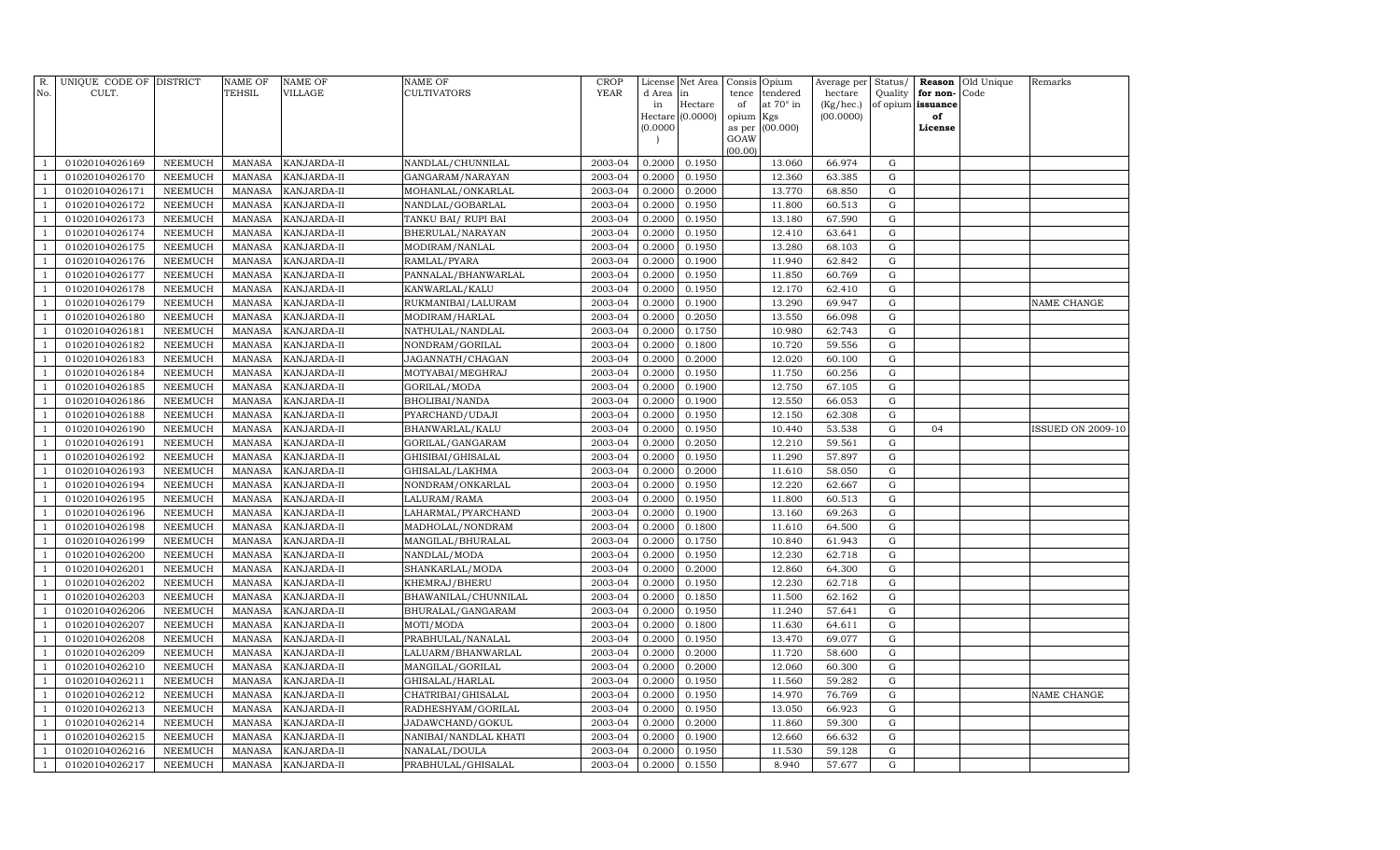| R.             | UNIQUE CODE OF DISTRICT          |                           | <b>NAME OF</b>                 | <b>NAME OF</b>             | <b>NAME OF</b>                      | CROP               | License          | Net Area         | Consis      | Opium                 | Average per          | Status/          | Reason                        | Old Unique | Remarks                  |
|----------------|----------------------------------|---------------------------|--------------------------------|----------------------------|-------------------------------------|--------------------|------------------|------------------|-------------|-----------------------|----------------------|------------------|-------------------------------|------------|--------------------------|
| No.            | CULT.                            |                           | <b>TEHSIL</b>                  | VILLAGE                    | CULTIVATORS                         | <b>YEAR</b>        | d Area<br>in     | in<br>Hectare    | tence<br>of | tendered<br>at 70° in | hectare<br>(Kg/hec.) | Quality          | for non-<br>of opium issuance | Code       |                          |
|                |                                  |                           |                                |                            |                                     |                    |                  | Hectare (0.0000) | opium       | Kgs                   | (00.0000)            |                  | of                            |            |                          |
|                |                                  |                           |                                |                            |                                     |                    | (0.0000)         |                  | as per      | (00.000)              |                      |                  | License                       |            |                          |
|                |                                  |                           |                                |                            |                                     |                    |                  |                  | GOAW        |                       |                      |                  |                               |            |                          |
|                | 01020104026169                   | NEEMUCH                   | <b>MANASA</b>                  | KANJARDA-II                | NANDLAL/CHUNNILAL                   | 2003-04            | 0.2000           | 0.1950           | (00.00)     | 13.060                | 66.974               | $\mathbf G$      |                               |            |                          |
|                | 01020104026170                   | NEEMUCH                   | <b>MANASA</b>                  | KANJARDA-II                | GANGARAM/NARAYAN                    | 2003-04            | 0.2000           | 0.1950           |             | 12.360                | 63.385               | $\mathbf G$      |                               |            |                          |
|                | 01020104026171                   | NEEMUCH                   | <b>MANASA</b>                  | KANJARDA-II                | MOHANLAL/ONKARLAL                   | 2003-04            | 0.2000           | 0.2000           |             | 13.770                | 68.850               | G                |                               |            |                          |
| -1             | 01020104026172                   | NEEMUCH                   | <b>MANASA</b>                  | KANJARDA-II                | NANDLAL/GOBARLAL                    | 2003-04            | 0.2000           | 0.1950           |             | 11.800                | 60.513               | G                |                               |            |                          |
|                | 01020104026173                   | <b>NEEMUCH</b>            | <b>MANASA</b>                  | KANJARDA-II                | TANKU BAI/RUPI BAI                  | 2003-04            | 0.2000           | 0.1950           |             | 13.180                | 67.590               | G                |                               |            |                          |
|                | 01020104026174                   | <b>NEEMUCH</b>            | <b>MANASA</b>                  | KANJARDA-II                | BHERULAL/NARAYAN                    | 2003-04            | 0.2000           | 0.1950           |             | 12.410                | 63.641               | G                |                               |            |                          |
|                | 01020104026175                   | NEEMUCH                   | <b>MANASA</b>                  | KANJARDA-II                | MODIRAM/NANLAL                      | 2003-04            | 0.2000           | 0.1950           |             | 13.280                | 68.103               | G                |                               |            |                          |
|                | 01020104026176                   | <b>NEEMUCH</b>            | <b>MANASA</b>                  | KANJARDA-II                | RAMLAL/PYARA                        | 2003-04            | 0.2000           | 0.1900           |             | 11.940                | 62.842               | ${\rm G}$        |                               |            |                          |
| $\overline{1}$ | 01020104026177                   | NEEMUCH                   | <b>MANASA</b>                  | KANJARDA-II                | PANNALAL/BHANWARLAL                 | 2003-04            | 0.2000           | 0.1950           |             | 11.850                | 60.769               | $\mathbf G$      |                               |            |                          |
|                | 01020104026178                   | <b>NEEMUCH</b>            | <b>MANASA</b>                  | KANJARDA-II                | KANWARLAL/KALU                      | 2003-04            | 0.2000           | 0.1950           |             | 12.170                | 62.410               | $\mathbf G$      |                               |            |                          |
|                | 01020104026179                   | NEEMUCH                   | <b>MANASA</b>                  | KANJARDA-II                | RUKMANIBAI/LALURAM                  | 2003-04            | 0.2000           | 0.1900           |             | 13.290                | 69.947               | ${\rm G}$        |                               |            | NAME CHANGE              |
| $\overline{1}$ | 01020104026180                   | NEEMUCH                   | <b>MANASA</b>                  | KANJARDA-II                | MODIRAM/HARLAL                      | 2003-04            | 0.2000           | 0.2050           |             | 13.550                | 66.098               | G                |                               |            |                          |
|                | 01020104026181                   | <b>NEEMUCH</b>            | <b>MANASA</b>                  | KANJARDA-II                | NATHULAL/NANDLAL                    | 2003-04            | 0.2000           | 0.1750           |             | 10.980                | 62.743               | G                |                               |            |                          |
| $\mathbf{1}$   | 01020104026182                   | NEEMUCH                   | <b>MANASA</b>                  | KANJARDA-II                | NONDRAM/GORILAL                     | 2003-04            | 0.2000           | 0.1800           |             | 10.720                | 59.556               | G                |                               |            |                          |
|                | 01020104026183                   | NEEMUCH                   | <b>MANASA</b>                  | KANJARDA-II                | JAGANNATH/CHAGAN                    | 2003-04            | 0.2000           | 0.2000           |             | 12.020                | 60.100               | G                |                               |            |                          |
|                | 01020104026184                   | <b>NEEMUCH</b>            | <b>MANASA</b>                  | KANJARDA-II                | MOTYABAI/MEGHRAJ                    | 2003-04            | 0.2000           | 0.1950           |             | 11.750                | 60.256               | G                |                               |            |                          |
|                | 01020104026185                   | NEEMUCH                   | <b>MANASA</b>                  | KANJARDA-II                | GORILAL/MODA                        | 2003-04            | 0.2000           | 0.1900           |             | 12.750                | 67.105               | G                |                               |            |                          |
|                | 01020104026186                   | <b>NEEMUCH</b>            | <b>MANASA</b>                  | KANJARDA-II                | BHOLIBAI/NANDA                      | 2003-04            | 0.2000           | 0.1900           |             | 12.550                | 66.053               | ${\rm G}$        |                               |            |                          |
|                | 01020104026188                   | NEEMUCH                   | <b>MANASA</b>                  | KANJARDA-II                | PYARCHAND/UDAJI                     | 2003-04            | 0.2000           | 0.1950           |             | 12.150                | 62.308               | $\mathbf G$      |                               |            |                          |
| -1             | 01020104026190                   | <b>NEEMUCH</b>            | <b>MANASA</b>                  | KANJARDA-II                | BHANWARLAL/KALU                     | 2003-04            | 0.2000           | 0.1950           |             | 10.440                | 53.538               | $\mathbf G$      | 04                            |            | <b>ISSUED ON 2009-10</b> |
|                | 01020104026191                   | NEEMUCH                   | <b>MANASA</b>                  | KANJARDA-II                | GORILAL/GANGARAM                    | 2003-04            | 0.2000           | 0.2050           |             | 12.210                | 59.561               | ${\rm G}$        |                               |            |                          |
| $\overline{1}$ | 01020104026192                   | NEEMUCH                   | <b>MANASA</b>                  | KANJARDA-II                | GHISIBAI/GHISALAL                   | 2003-04            | 0.2000           | 0.1950           |             | 11.290                | 57.897               | G                |                               |            |                          |
|                | 01020104026193                   | <b>NEEMUCH</b>            | <b>MANASA</b>                  | KANJARDA-II                | GHISALAL/LAKHMA                     | 2003-04            | 0.2000           | 0.2000           |             | 11.610                | 58.050               | G                |                               |            |                          |
| -1             | 01020104026194                   | <b>NEEMUCH</b>            | <b>MANASA</b>                  | KANJARDA-II                | NONDRAM/ONKARLAL                    | 2003-04            | 0.2000           | 0.1950           |             | 12.220                | 62.667               | G                |                               |            |                          |
|                | 01020104026195                   | NEEMUCH                   | <b>MANASA</b>                  | KANJARDA-II                | LALURAM/RAMA                        | 2003-04            | 0.2000           | 0.1950           |             | 11.800                | 60.513               | G                |                               |            |                          |
|                | 01020104026196                   | NEEMUCH                   | <b>MANASA</b>                  | KANJARDA-II                | LAHARMAL/PYARCHAND                  | 2003-04            | 0.2000           | 0.1900           |             | 13.160                | 69.263               | G                |                               |            |                          |
|                | 01020104026198                   | NEEMUCH                   | <b>MANASA</b>                  | KANJARDA-II                | MADHOLAL/NONDRAM                    | 2003-04            | 0.2000           | 0.1800           |             | 11.610                | 64.500               | G                |                               |            |                          |
| -1             | 01020104026199                   | <b>NEEMUCH</b>            | <b>MANASA</b>                  | KANJARDA-II                | MANGILAL/BHURALAL                   | 2003-04            | 0.2000           | 0.1750           |             | 10.840                | 61.943               | $\mathbf G$      |                               |            |                          |
|                | 01020104026200                   | NEEMUCH                   | <b>MANASA</b>                  | KANJARDA-II                | NANDLAL/MODA                        | 2003-04            | 0.2000           | 0.1950           |             | 12.230                | 62.718               | ${\rm G}$        |                               |            |                          |
| $\overline{1}$ | 01020104026201                   | NEEMUCH                   | <b>MANASA</b>                  | KANJARDA-II                | SHANKARLAL/MODA                     | 2003-04            | 0.2000           | 0.2000           |             | 12.860                | 64.300               | G                |                               |            |                          |
|                | 01020104026202                   | <b>NEEMUCH</b>            | <b>MANASA</b>                  | KANJARDA-II                | KHEMRAJ/BHERU                       | 2003-04            | 0.2000           | 0.1950           |             | 12.230                | 62.718               | $\mathbf G$      |                               |            |                          |
| -1             | 01020104026203                   | NEEMUCH                   | <b>MANASA</b>                  | KANJARDA-II                | BHAWANILAL/CHUNNILAL                | 2003-04            | 0.2000           | 0.1850           |             | 11.500                | 62.162               | G                |                               |            |                          |
| $\overline{1}$ | 01020104026206                   | NEEMUCH                   | <b>MANASA</b>                  | KANJARDA-II                | BHURALAL/GANGARAM                   | 2003-04            | 0.2000           | 0.1950           |             | 11.240                | 57.641               | G                |                               |            |                          |
|                | 01020104026207                   | <b>NEEMUCH</b>            | <b>MANASA</b>                  | KANJARDA-II                | MOTI/MODA                           | 2003-04            | 0.2000           | 0.1800           |             | 11.630                | 64.611               | G                |                               |            |                          |
|                | 01020104026208                   | NEEMUCH                   | <b>MANASA</b>                  | KANJARDA-II                | PRABHULAL/NANALAL                   | 2003-04            | 0.2000           | 0.1950           |             | 13.470                | 69.077               | G                |                               |            |                          |
|                | 01020104026209                   | NEEMUCH                   | <b>MANASA</b>                  | KANJARDA-II                | LALUARM/BHANWARLAL                  | 2003-04            | 0.2000           | 0.2000           |             | 11.720                | 58.600               | ${\rm G}$        |                               |            |                          |
| -1             | 01020104026210<br>01020104026211 | NEEMUCH<br><b>NEEMUCH</b> | <b>MANASA</b><br><b>MANASA</b> | KANJARDA-II<br>KANJARDA-II | MANGILAL/GORILAL<br>GHISALAL/HARLAL | 2003-04<br>2003-04 | 0.2000<br>0.2000 | 0.2000<br>0.1950 |             | 12.060<br>11.560      | 60.300<br>59.282     | G<br>$\mathbf G$ |                               |            |                          |
|                | 01020104026212                   | NEEMUCH                   | <b>MANASA</b>                  | KANJARDA-II                | CHATRIBAI/GHISALAL                  | 2003-04            | 0.2000           | 0.1950           |             | 14.970                | 76.769               | ${\rm G}$        |                               |            | NAME CHANGE              |
| $\overline{1}$ | 01020104026213                   | NEEMUCH                   | <b>MANASA</b>                  | KANJARDA-II                | RADHESHYAM/GORILAL                  | 2003-04            | 0.2000           | 0.1950           |             | 13.050                | 66.923               | G                |                               |            |                          |
|                | 01020104026214                   | <b>NEEMUCH</b>            | <b>MANASA</b>                  | KANJARDA-II                | JADAWCHAND/GOKUL                    | 2003-04            | 0.2000           | 0.2000           |             | 11.860                | 59.300               | G                |                               |            |                          |
|                | 01020104026215                   | <b>NEEMUCH</b>            | <b>MANASA</b>                  | KANJARDA-II                | NANIBAI/NANDLAL KHATI               | 2003-04            | 0.2000           | 0.1900           |             | 12.660                | 66.632               | G                |                               |            |                          |
|                | 01020104026216                   | <b>NEEMUCH</b>            | <b>MANASA</b>                  | KANJARDA-II                | NANALAL/DOULA                       | 2003-04            | 0.2000           | 0.1950           |             | 11.530                | 59.128               | G                |                               |            |                          |
| $\overline{1}$ | 01020104026217                   | NEEMUCH                   | MANASA                         | KANJARDA-II                | PRABHULAL/GHISALAL                  | 2003-04            | 0.2000           | 0.1550           |             | 8.940                 | 57.677               | ${\rm G}$        |                               |            |                          |
|                |                                  |                           |                                |                            |                                     |                    |                  |                  |             |                       |                      |                  |                               |            |                          |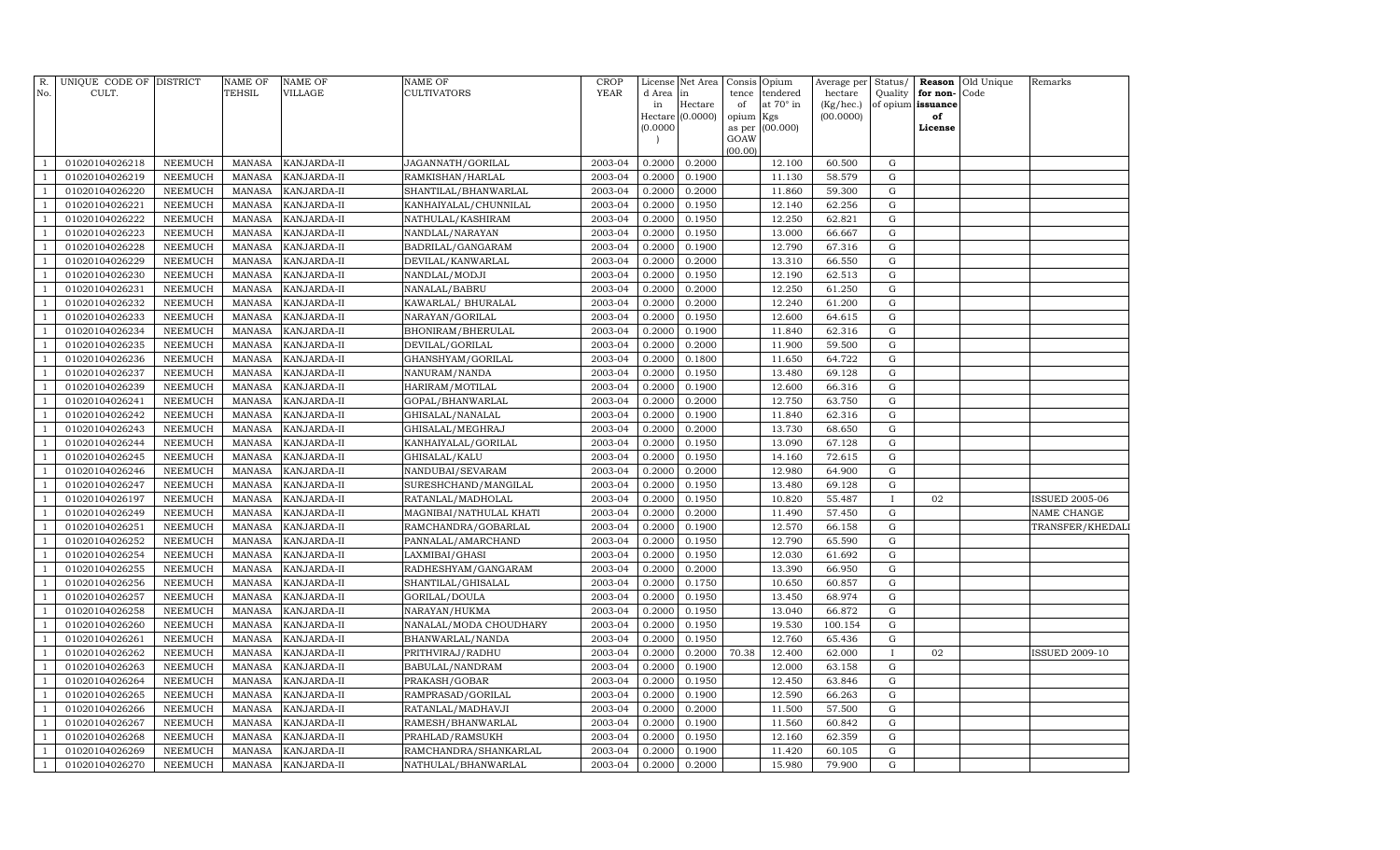| tendered<br>in<br>Hectare<br>at 70° in<br>(Kg/hec.)<br>of opium issuance<br>in<br>of<br>(0.0000)<br>(00.0000)<br>opium<br>Kgs<br>of<br>Hectare<br>(0.0000)<br>(00.000)<br>as per<br>License<br>GOAW<br>(00.00)<br>0.2000<br>01020104026218<br>NEEMUCH<br><b>MANASA</b><br>KANJARDA-II<br>JAGANNATH/GORILAL<br>2003-04<br>0.2000<br>12.100<br>60.500<br>G<br>01020104026219<br>NEEMUCH<br>KANJARDA-II<br>2003-04<br>0.2000<br>0.1900<br>11.130<br>58.579<br>G<br><b>MANASA</b><br>RAMKISHAN/HARLAL<br>$\overline{1}$<br>01020104026220<br>NEEMUCH<br><b>MANASA</b><br>KANJARDA-II<br>2003-04<br>0.2000<br>0.2000<br>11.860<br>59.300<br>G<br>SHANTILAL/BHANWARLAL<br>-1<br>01020104026221<br>NEEMUCH<br><b>MANASA</b><br>2003-04<br>0.2000<br>0.1950<br>12.140<br>62.256<br>KANJARDA-II<br>KANHAIYALAL/CHUNNILAL<br>G<br>$\overline{1}$<br>01020104026222<br>NEEMUCH<br><b>MANASA</b><br>KANJARDA-II<br>2003-04<br>0.2000<br>0.1950<br>12.250<br>62.821<br>G<br>NATHULAL/KASHIRAM<br>$\overline{1}$<br><b>NEEMUCH</b><br>2003-04<br>13.000<br>01020104026223<br><b>MANASA</b><br>KANJARDA-II<br>NANDLAL/NARAYAN<br>0.2000<br>0.1950<br>66.667<br>G<br>2003-04<br>12.790<br>01020104026228<br>NEEMUCH<br><b>MANASA</b><br>KANJARDA-II<br>BADRILAL/GANGARAM<br>0.2000<br>0.1900<br>67.316<br>G<br>-1<br>13.310<br>01020104026229<br>NEEMUCH<br><b>MANASA</b><br>KANJARDA-II<br>DEVILAL/KANWARLAL<br>2003-04<br>0.2000<br>0.2000<br>66.550<br>G<br>$\overline{1}$<br>2003-04<br>12.190<br>01020104026230<br>NEEMUCH<br><b>MANASA</b><br>KANJARDA-II<br>NANDLAL/MODJI<br>0.2000<br>0.1950<br>62.513<br>G<br>$\mathbf{1}$<br>01020104026231<br>NEEMUCH<br><b>MANASA</b><br>2003-04<br>0.2000<br>0.2000<br>12.250<br>61.250<br>${\rm G}$<br>$\overline{1}$<br>KANJARDA-II<br>NANALAL/BABRU<br>01020104026232<br>NEEMUCH<br><b>MANASA</b><br>KANJARDA-II<br>KAWARLAL/ BHURALAL<br>2003-04<br>0.2000<br>0.2000<br>12.240<br>61.200<br>${\rm G}$<br>$\overline{1}$<br>NEEMUCH<br><b>MANASA</b><br>2003-04<br>0.2000<br>0.1950<br>12.600<br>01020104026233<br>KANJARDA-II<br>NARAYAN/GORILAL<br>64.615<br>G<br>$\overline{1}$<br>01020104026234<br>NEEMUCH<br><b>MANASA</b><br>KANJARDA-II<br>2003-04<br>0.2000<br>0.1900<br>11.840<br>62.316<br>G<br>BHONIRAM/BHERULAL<br>$\overline{1}$<br><b>NEEMUCH</b><br>2003-04<br>11.900<br>59.500<br>01020104026235<br><b>MANASA</b><br>KANJARDA-II<br>DEVILAL/GORILAL<br>0.2000<br>0.2000<br>G<br>-1<br>2003-04<br>11.650<br>64.722<br>01020104026236<br>NEEMUCH<br><b>MANASA</b><br>KANJARDA-II<br>GHANSHYAM/GORILAL<br>0.2000<br>0.1800<br>G<br>-1<br>01020104026237<br>NEEMUCH<br><b>MANASA</b><br>KANJARDA-II<br>NANURAM/NANDA<br>2003-04<br>0.2000<br>0.1950<br>13.480<br>69.128<br>G<br>$\overline{1}$<br>2003-04<br>12.600<br>66.316<br>${\rm G}$<br>01020104026239<br>NEEMUCH<br><b>MANASA</b><br>KANJARDA-II<br>HARIRAM/MOTILAL<br>0.2000<br>0.1900<br>$\overline{1}$<br>01020104026241<br>NEEMUCH<br><b>MANASA</b><br>KANJARDA-II<br>2003-04<br>0.2000<br>0.2000<br>12.750<br>63.750<br>G<br>GOPAL/BHANWARLAL<br>$\overline{1}$<br>01020104026242<br>NEEMUCH<br><b>MANASA</b><br>KANJARDA-II<br>GHISALAL/NANALAL<br>2003-04<br>0.2000<br>0.1900<br>11.840<br>62.316<br>G<br>$\overline{1}$<br>01020104026243<br>NEEMUCH<br><b>MANASA</b><br>2003-04<br>0.2000<br>0.2000<br>13.730<br>68.650<br>G<br>KANJARDA-II<br>GHISALAL/MEGHRAJ<br>$\overline{1}$<br>01020104026244<br>NEEMUCH<br><b>MANASA</b><br>2003-04<br>0.2000<br>0.1950<br>13.090<br>67.128<br>G<br>KANJARDA-II<br>KANHAIYALAL/GORILAL<br>$\overline{1}$<br><b>NEEMUCH</b><br>2003-04<br>0.2000<br>0.1950<br>72.615<br>01020104026245<br>MANASA<br>KANJARDA-II<br>GHISALAL/KALU<br>14.160<br>G<br>$\overline{1}$<br>2003-04<br>0.2000<br>12.980<br>64.900<br>${\rm G}$<br>01020104026246<br>NEEMUCH<br><b>MANASA</b><br>KANJARDA-II<br>NANDUBAI/SEVARAM<br>0.2000<br>-1<br>01020104026247<br><b>NEEMUCH</b><br><b>MANASA</b><br>KANJARDA-II<br>SURESHCHAND/MANGILAL<br>2003-04<br>0.2000<br>0.1950<br>13.480<br>69.128<br>${\rm G}$<br>-1<br>2003-04<br>0.1950<br>10.820<br>55.487<br>01020104026197<br><b>NEEMUCH</b><br><b>MANASA</b><br>KANJARDA-II<br>RATANLAL/MADHOLAL<br>0.2000<br>$\mathbf{I}$<br>02<br><b>ISSUED 2005-06</b><br>$\overline{1}$<br>01020104026249<br>NEEMUCH<br><b>MANASA</b><br>KANJARDA-II<br>MAGNIBAI/NATHULAL KHATI<br>2003-04<br>0.2000<br>0.2000<br>11.490<br>57.450<br>G<br>NAME CHANGE<br>01020104026251<br>NEEMUCH<br><b>MANASA</b><br>KANJARDA-II<br>2003-04<br>0.2000<br>0.1900<br>12.570<br>66.158<br>G<br>$\overline{1}$<br>RAMCHANDRA/GOBARLAL<br>01020104026252<br>NEEMUCH<br><b>MANASA</b><br>2003-04<br>0.2000<br>0.1950<br>12.790<br>65.590<br>G<br>KANJARDA-II<br>PANNALAL/AMARCHAND<br>$\overline{1}$<br>01020104026254<br>NEEMUCH<br><b>MANASA</b><br>KANJARDA-II<br>2003-04<br>0.2000<br>0.1950<br>12.030<br>61.692<br>${\rm G}$<br>LAXMIBAI/GHASI<br><b>NEEMUCH</b><br>2003-04<br>13.390<br>01020104026255<br>MANASA<br>KANJARDA-II<br>RADHESHYAM/GANGARAM<br>0.2000<br>0.2000<br>66.950<br>G<br>$\overline{1}$<br><b>NEEMUCH</b><br><b>MANASA</b><br>2003-04<br>0.2000<br>0.1750<br>10.650<br>60.857<br>$\mathbf G$<br>01020104026256<br>KANJARDA-II<br>SHANTILAL/GHISALAL<br>-1<br>01020104026257<br><b>NEEMUCH</b><br><b>MANASA</b><br>KANJARDA-II<br>GORILAL/DOULA<br>2003-04<br>0.2000<br>0.1950<br>13.450<br>68.974<br>G<br>-1<br>2003-04<br>13.040<br>66.872<br>01020104026258<br>NEEMUCH<br><b>MANASA</b><br>KANJARDA-II<br>NARAYAN/HUKMA<br>0.2000<br>0.1950<br>${\rm G}$<br>$\overline{1}$<br>01020104026260<br><b>NEEMUCH</b><br><b>MANASA</b><br>KANJARDA-II<br>NANALAL/MODA CHOUDHARY<br>2003-04<br>0.2000<br>0.1950<br>19.530<br>100.154<br>G<br>01020104026261<br>NEEMUCH<br><b>MANASA</b><br>KANJARDA-II<br>BHANWARLAL/NANDA<br>2003-04<br>0.2000<br>0.1950<br>12.760<br>65.436<br>G<br>-1<br>01020104026262<br>NEEMUCH<br><b>MANASA</b><br>2003-04<br>0.2000<br>0.2000<br>70.38<br>12.400<br>62.000<br>02<br>KANJARDA-II<br>PRITHVIRAJ/RADHU<br><b>ISSUED 2009-10</b><br>$\overline{1}$<br>$\bf{I}$<br>01020104026263<br>NEEMUCH<br><b>MANASA</b><br>KANJARDA-II<br>BABULAL/NANDRAM<br>2003-04<br>0.2000<br>0.1900<br>12.000<br>63.158<br>G<br>NEEMUCH<br>2003-04<br>0.2000<br>0.1950<br>12.450<br>63.846<br>G<br>01020104026264<br><b>MANASA</b><br>KANJARDA-II<br>PRAKASH/GOBAR<br>2003-04<br>12.590<br>66.263<br>G<br>01020104026265<br>NEEMUCH<br><b>MANASA</b><br>KANJARDA-II<br>RAMPRASAD/GORILAL<br>0.2000<br>0.1900<br>$\overline{1}$<br>01020104026266<br><b>NEEMUCH</b><br><b>MANASA</b><br>KANJARDA-II<br>RATANLAL/MADHAVJI<br>2003-04<br>0.2000<br>0.2000<br>11.500<br>57.500<br>G<br>-1<br>2003-04<br>11.560<br>01020104026267<br><b>NEEMUCH</b><br><b>MANASA</b><br>KANJARDA-II<br>RAMESH/BHANWARLAL<br>0.2000<br>0.1900<br>60.842<br>${\rm G}$<br>-1<br>01020104026268<br><b>NEEMUCH</b><br><b>MANASA</b><br>KANJARDA-II<br>2003-04<br>0.2000<br>0.1950<br>12.160<br>62.359<br>G<br>PRAHLAD/RAMSUKH<br>01020104026269<br>NEEMUCH<br><b>MANASA</b><br>KANJARDA-II<br>RAMCHANDRA/SHANKARLAL<br>2003-04<br>0.2000<br>0.1900<br>11.420<br>60.105<br>G<br>$\overline{1}$ | R.           | UNIQUE CODE OF DISTRICT |         | <b>NAME OF</b> | <b>NAME OF</b> | <b>NAME OF</b>      | <b>CROP</b> |        | License Net Area | Consis | Opium  | Average per | Status/ | Reason   | Old Unique | Remarks          |
|-------------------------------------------------------------------------------------------------------------------------------------------------------------------------------------------------------------------------------------------------------------------------------------------------------------------------------------------------------------------------------------------------------------------------------------------------------------------------------------------------------------------------------------------------------------------------------------------------------------------------------------------------------------------------------------------------------------------------------------------------------------------------------------------------------------------------------------------------------------------------------------------------------------------------------------------------------------------------------------------------------------------------------------------------------------------------------------------------------------------------------------------------------------------------------------------------------------------------------------------------------------------------------------------------------------------------------------------------------------------------------------------------------------------------------------------------------------------------------------------------------------------------------------------------------------------------------------------------------------------------------------------------------------------------------------------------------------------------------------------------------------------------------------------------------------------------------------------------------------------------------------------------------------------------------------------------------------------------------------------------------------------------------------------------------------------------------------------------------------------------------------------------------------------------------------------------------------------------------------------------------------------------------------------------------------------------------------------------------------------------------------------------------------------------------------------------------------------------------------------------------------------------------------------------------------------------------------------------------------------------------------------------------------------------------------------------------------------------------------------------------------------------------------------------------------------------------------------------------------------------------------------------------------------------------------------------------------------------------------------------------------------------------------------------------------------------------------------------------------------------------------------------------------------------------------------------------------------------------------------------------------------------------------------------------------------------------------------------------------------------------------------------------------------------------------------------------------------------------------------------------------------------------------------------------------------------------------------------------------------------------------------------------------------------------------------------------------------------------------------------------------------------------------------------------------------------------------------------------------------------------------------------------------------------------------------------------------------------------------------------------------------------------------------------------------------------------------------------------------------------------------------------------------------------------------------------------------------------------------------------------------------------------------------------------------------------------------------------------------------------------------------------------------------------------------------------------------------------------------------------------------------------------------------------------------------------------------------------------------------------------------------------------------------------------------------------------------------------------------------------------------------------------------------------------------------------------------------------------------------------------------------------------------------------------------------------------------------------------------------------------------------------------------------------------------------------------------------------------------------------------------------------------------------------------------------------------------------------------------------------------------------------------------------------------------------------------------------------------------------------------------------------------------------------------------------------------------------------------------------------------------------------------------------------------------------------------------------------------------------------------------------------------------------------------------------------------------------------------------------------------------------------------------------------------------------------------------------------------------------------------------------------------------------------------------------------------------------------------------------------------------------------------------------------------------------------------------------------------------------------------------------------------------------------------------------------------------------------------------------------------------------------------------------------------------------------------------------------------------------------------------------------------------------------------------------------------------------------------------------------------------------------------------------------------------------------------------------------------------------------------------------------------------------------------------------------------------------------------------------------------------------------------------------------------------------------------------------------------------------------------------------------------------------------------------------------------------------------------------------------------------------------------------------------------------------------------------------------------------------------------------------------------|--------------|-------------------------|---------|----------------|----------------|---------------------|-------------|--------|------------------|--------|--------|-------------|---------|----------|------------|------------------|
|                                                                                                                                                                                                                                                                                                                                                                                                                                                                                                                                                                                                                                                                                                                                                                                                                                                                                                                                                                                                                                                                                                                                                                                                                                                                                                                                                                                                                                                                                                                                                                                                                                                                                                                                                                                                                                                                                                                                                                                                                                                                                                                                                                                                                                                                                                                                                                                                                                                                                                                                                                                                                                                                                                                                                                                                                                                                                                                                                                                                                                                                                                                                                                                                                                                                                                                                                                                                                                                                                                                                                                                                                                                                                                                                                                                                                                                                                                                                                                                                                                                                                                                                                                                                                                                                                                                                                                                                                                                                                                                                                                                                                                                                                                                                                                                                                                                                                                                                                                                                                                                                                                                                                                                                                                                                                                                                                                                                                                                                                                                                                                                                                                                                                                                                                                                                                                                                                                                                                                                                                                                                                                                                                                                                                                                                                                                                                                                                                                                                                                                                                                                                                                                                                                                                                                                                                                                                                                                                                                                                                                                                                                                                                       | No.          | CULT.                   |         | <b>TEHSIL</b>  | VILLAGE        | CULTIVATORS         | <b>YEAR</b> | d Area |                  | tence  |        | hectare     | Quality | for non- | Code       |                  |
|                                                                                                                                                                                                                                                                                                                                                                                                                                                                                                                                                                                                                                                                                                                                                                                                                                                                                                                                                                                                                                                                                                                                                                                                                                                                                                                                                                                                                                                                                                                                                                                                                                                                                                                                                                                                                                                                                                                                                                                                                                                                                                                                                                                                                                                                                                                                                                                                                                                                                                                                                                                                                                                                                                                                                                                                                                                                                                                                                                                                                                                                                                                                                                                                                                                                                                                                                                                                                                                                                                                                                                                                                                                                                                                                                                                                                                                                                                                                                                                                                                                                                                                                                                                                                                                                                                                                                                                                                                                                                                                                                                                                                                                                                                                                                                                                                                                                                                                                                                                                                                                                                                                                                                                                                                                                                                                                                                                                                                                                                                                                                                                                                                                                                                                                                                                                                                                                                                                                                                                                                                                                                                                                                                                                                                                                                                                                                                                                                                                                                                                                                                                                                                                                                                                                                                                                                                                                                                                                                                                                                                                                                                                                                       |              |                         |         |                |                |                     |             |        |                  |        |        |             |         |          |            |                  |
|                                                                                                                                                                                                                                                                                                                                                                                                                                                                                                                                                                                                                                                                                                                                                                                                                                                                                                                                                                                                                                                                                                                                                                                                                                                                                                                                                                                                                                                                                                                                                                                                                                                                                                                                                                                                                                                                                                                                                                                                                                                                                                                                                                                                                                                                                                                                                                                                                                                                                                                                                                                                                                                                                                                                                                                                                                                                                                                                                                                                                                                                                                                                                                                                                                                                                                                                                                                                                                                                                                                                                                                                                                                                                                                                                                                                                                                                                                                                                                                                                                                                                                                                                                                                                                                                                                                                                                                                                                                                                                                                                                                                                                                                                                                                                                                                                                                                                                                                                                                                                                                                                                                                                                                                                                                                                                                                                                                                                                                                                                                                                                                                                                                                                                                                                                                                                                                                                                                                                                                                                                                                                                                                                                                                                                                                                                                                                                                                                                                                                                                                                                                                                                                                                                                                                                                                                                                                                                                                                                                                                                                                                                                                                       |              |                         |         |                |                |                     |             |        |                  |        |        |             |         |          |            |                  |
|                                                                                                                                                                                                                                                                                                                                                                                                                                                                                                                                                                                                                                                                                                                                                                                                                                                                                                                                                                                                                                                                                                                                                                                                                                                                                                                                                                                                                                                                                                                                                                                                                                                                                                                                                                                                                                                                                                                                                                                                                                                                                                                                                                                                                                                                                                                                                                                                                                                                                                                                                                                                                                                                                                                                                                                                                                                                                                                                                                                                                                                                                                                                                                                                                                                                                                                                                                                                                                                                                                                                                                                                                                                                                                                                                                                                                                                                                                                                                                                                                                                                                                                                                                                                                                                                                                                                                                                                                                                                                                                                                                                                                                                                                                                                                                                                                                                                                                                                                                                                                                                                                                                                                                                                                                                                                                                                                                                                                                                                                                                                                                                                                                                                                                                                                                                                                                                                                                                                                                                                                                                                                                                                                                                                                                                                                                                                                                                                                                                                                                                                                                                                                                                                                                                                                                                                                                                                                                                                                                                                                                                                                                                                                       |              |                         |         |                |                |                     |             |        |                  |        |        |             |         |          |            |                  |
|                                                                                                                                                                                                                                                                                                                                                                                                                                                                                                                                                                                                                                                                                                                                                                                                                                                                                                                                                                                                                                                                                                                                                                                                                                                                                                                                                                                                                                                                                                                                                                                                                                                                                                                                                                                                                                                                                                                                                                                                                                                                                                                                                                                                                                                                                                                                                                                                                                                                                                                                                                                                                                                                                                                                                                                                                                                                                                                                                                                                                                                                                                                                                                                                                                                                                                                                                                                                                                                                                                                                                                                                                                                                                                                                                                                                                                                                                                                                                                                                                                                                                                                                                                                                                                                                                                                                                                                                                                                                                                                                                                                                                                                                                                                                                                                                                                                                                                                                                                                                                                                                                                                                                                                                                                                                                                                                                                                                                                                                                                                                                                                                                                                                                                                                                                                                                                                                                                                                                                                                                                                                                                                                                                                                                                                                                                                                                                                                                                                                                                                                                                                                                                                                                                                                                                                                                                                                                                                                                                                                                                                                                                                                                       |              |                         |         |                |                |                     |             |        |                  |        |        |             |         |          |            |                  |
|                                                                                                                                                                                                                                                                                                                                                                                                                                                                                                                                                                                                                                                                                                                                                                                                                                                                                                                                                                                                                                                                                                                                                                                                                                                                                                                                                                                                                                                                                                                                                                                                                                                                                                                                                                                                                                                                                                                                                                                                                                                                                                                                                                                                                                                                                                                                                                                                                                                                                                                                                                                                                                                                                                                                                                                                                                                                                                                                                                                                                                                                                                                                                                                                                                                                                                                                                                                                                                                                                                                                                                                                                                                                                                                                                                                                                                                                                                                                                                                                                                                                                                                                                                                                                                                                                                                                                                                                                                                                                                                                                                                                                                                                                                                                                                                                                                                                                                                                                                                                                                                                                                                                                                                                                                                                                                                                                                                                                                                                                                                                                                                                                                                                                                                                                                                                                                                                                                                                                                                                                                                                                                                                                                                                                                                                                                                                                                                                                                                                                                                                                                                                                                                                                                                                                                                                                                                                                                                                                                                                                                                                                                                                                       |              |                         |         |                |                |                     |             |        |                  |        |        |             |         |          |            |                  |
|                                                                                                                                                                                                                                                                                                                                                                                                                                                                                                                                                                                                                                                                                                                                                                                                                                                                                                                                                                                                                                                                                                                                                                                                                                                                                                                                                                                                                                                                                                                                                                                                                                                                                                                                                                                                                                                                                                                                                                                                                                                                                                                                                                                                                                                                                                                                                                                                                                                                                                                                                                                                                                                                                                                                                                                                                                                                                                                                                                                                                                                                                                                                                                                                                                                                                                                                                                                                                                                                                                                                                                                                                                                                                                                                                                                                                                                                                                                                                                                                                                                                                                                                                                                                                                                                                                                                                                                                                                                                                                                                                                                                                                                                                                                                                                                                                                                                                                                                                                                                                                                                                                                                                                                                                                                                                                                                                                                                                                                                                                                                                                                                                                                                                                                                                                                                                                                                                                                                                                                                                                                                                                                                                                                                                                                                                                                                                                                                                                                                                                                                                                                                                                                                                                                                                                                                                                                                                                                                                                                                                                                                                                                                                       |              |                         |         |                |                |                     |             |        |                  |        |        |             |         |          |            |                  |
|                                                                                                                                                                                                                                                                                                                                                                                                                                                                                                                                                                                                                                                                                                                                                                                                                                                                                                                                                                                                                                                                                                                                                                                                                                                                                                                                                                                                                                                                                                                                                                                                                                                                                                                                                                                                                                                                                                                                                                                                                                                                                                                                                                                                                                                                                                                                                                                                                                                                                                                                                                                                                                                                                                                                                                                                                                                                                                                                                                                                                                                                                                                                                                                                                                                                                                                                                                                                                                                                                                                                                                                                                                                                                                                                                                                                                                                                                                                                                                                                                                                                                                                                                                                                                                                                                                                                                                                                                                                                                                                                                                                                                                                                                                                                                                                                                                                                                                                                                                                                                                                                                                                                                                                                                                                                                                                                                                                                                                                                                                                                                                                                                                                                                                                                                                                                                                                                                                                                                                                                                                                                                                                                                                                                                                                                                                                                                                                                                                                                                                                                                                                                                                                                                                                                                                                                                                                                                                                                                                                                                                                                                                                                                       |              |                         |         |                |                |                     |             |        |                  |        |        |             |         |          |            |                  |
|                                                                                                                                                                                                                                                                                                                                                                                                                                                                                                                                                                                                                                                                                                                                                                                                                                                                                                                                                                                                                                                                                                                                                                                                                                                                                                                                                                                                                                                                                                                                                                                                                                                                                                                                                                                                                                                                                                                                                                                                                                                                                                                                                                                                                                                                                                                                                                                                                                                                                                                                                                                                                                                                                                                                                                                                                                                                                                                                                                                                                                                                                                                                                                                                                                                                                                                                                                                                                                                                                                                                                                                                                                                                                                                                                                                                                                                                                                                                                                                                                                                                                                                                                                                                                                                                                                                                                                                                                                                                                                                                                                                                                                                                                                                                                                                                                                                                                                                                                                                                                                                                                                                                                                                                                                                                                                                                                                                                                                                                                                                                                                                                                                                                                                                                                                                                                                                                                                                                                                                                                                                                                                                                                                                                                                                                                                                                                                                                                                                                                                                                                                                                                                                                                                                                                                                                                                                                                                                                                                                                                                                                                                                                                       |              |                         |         |                |                |                     |             |        |                  |        |        |             |         |          |            |                  |
|                                                                                                                                                                                                                                                                                                                                                                                                                                                                                                                                                                                                                                                                                                                                                                                                                                                                                                                                                                                                                                                                                                                                                                                                                                                                                                                                                                                                                                                                                                                                                                                                                                                                                                                                                                                                                                                                                                                                                                                                                                                                                                                                                                                                                                                                                                                                                                                                                                                                                                                                                                                                                                                                                                                                                                                                                                                                                                                                                                                                                                                                                                                                                                                                                                                                                                                                                                                                                                                                                                                                                                                                                                                                                                                                                                                                                                                                                                                                                                                                                                                                                                                                                                                                                                                                                                                                                                                                                                                                                                                                                                                                                                                                                                                                                                                                                                                                                                                                                                                                                                                                                                                                                                                                                                                                                                                                                                                                                                                                                                                                                                                                                                                                                                                                                                                                                                                                                                                                                                                                                                                                                                                                                                                                                                                                                                                                                                                                                                                                                                                                                                                                                                                                                                                                                                                                                                                                                                                                                                                                                                                                                                                                                       |              |                         |         |                |                |                     |             |        |                  |        |        |             |         |          |            |                  |
|                                                                                                                                                                                                                                                                                                                                                                                                                                                                                                                                                                                                                                                                                                                                                                                                                                                                                                                                                                                                                                                                                                                                                                                                                                                                                                                                                                                                                                                                                                                                                                                                                                                                                                                                                                                                                                                                                                                                                                                                                                                                                                                                                                                                                                                                                                                                                                                                                                                                                                                                                                                                                                                                                                                                                                                                                                                                                                                                                                                                                                                                                                                                                                                                                                                                                                                                                                                                                                                                                                                                                                                                                                                                                                                                                                                                                                                                                                                                                                                                                                                                                                                                                                                                                                                                                                                                                                                                                                                                                                                                                                                                                                                                                                                                                                                                                                                                                                                                                                                                                                                                                                                                                                                                                                                                                                                                                                                                                                                                                                                                                                                                                                                                                                                                                                                                                                                                                                                                                                                                                                                                                                                                                                                                                                                                                                                                                                                                                                                                                                                                                                                                                                                                                                                                                                                                                                                                                                                                                                                                                                                                                                                                                       |              |                         |         |                |                |                     |             |        |                  |        |        |             |         |          |            |                  |
|                                                                                                                                                                                                                                                                                                                                                                                                                                                                                                                                                                                                                                                                                                                                                                                                                                                                                                                                                                                                                                                                                                                                                                                                                                                                                                                                                                                                                                                                                                                                                                                                                                                                                                                                                                                                                                                                                                                                                                                                                                                                                                                                                                                                                                                                                                                                                                                                                                                                                                                                                                                                                                                                                                                                                                                                                                                                                                                                                                                                                                                                                                                                                                                                                                                                                                                                                                                                                                                                                                                                                                                                                                                                                                                                                                                                                                                                                                                                                                                                                                                                                                                                                                                                                                                                                                                                                                                                                                                                                                                                                                                                                                                                                                                                                                                                                                                                                                                                                                                                                                                                                                                                                                                                                                                                                                                                                                                                                                                                                                                                                                                                                                                                                                                                                                                                                                                                                                                                                                                                                                                                                                                                                                                                                                                                                                                                                                                                                                                                                                                                                                                                                                                                                                                                                                                                                                                                                                                                                                                                                                                                                                                                                       |              |                         |         |                |                |                     |             |        |                  |        |        |             |         |          |            |                  |
|                                                                                                                                                                                                                                                                                                                                                                                                                                                                                                                                                                                                                                                                                                                                                                                                                                                                                                                                                                                                                                                                                                                                                                                                                                                                                                                                                                                                                                                                                                                                                                                                                                                                                                                                                                                                                                                                                                                                                                                                                                                                                                                                                                                                                                                                                                                                                                                                                                                                                                                                                                                                                                                                                                                                                                                                                                                                                                                                                                                                                                                                                                                                                                                                                                                                                                                                                                                                                                                                                                                                                                                                                                                                                                                                                                                                                                                                                                                                                                                                                                                                                                                                                                                                                                                                                                                                                                                                                                                                                                                                                                                                                                                                                                                                                                                                                                                                                                                                                                                                                                                                                                                                                                                                                                                                                                                                                                                                                                                                                                                                                                                                                                                                                                                                                                                                                                                                                                                                                                                                                                                                                                                                                                                                                                                                                                                                                                                                                                                                                                                                                                                                                                                                                                                                                                                                                                                                                                                                                                                                                                                                                                                                                       |              |                         |         |                |                |                     |             |        |                  |        |        |             |         |          |            |                  |
|                                                                                                                                                                                                                                                                                                                                                                                                                                                                                                                                                                                                                                                                                                                                                                                                                                                                                                                                                                                                                                                                                                                                                                                                                                                                                                                                                                                                                                                                                                                                                                                                                                                                                                                                                                                                                                                                                                                                                                                                                                                                                                                                                                                                                                                                                                                                                                                                                                                                                                                                                                                                                                                                                                                                                                                                                                                                                                                                                                                                                                                                                                                                                                                                                                                                                                                                                                                                                                                                                                                                                                                                                                                                                                                                                                                                                                                                                                                                                                                                                                                                                                                                                                                                                                                                                                                                                                                                                                                                                                                                                                                                                                                                                                                                                                                                                                                                                                                                                                                                                                                                                                                                                                                                                                                                                                                                                                                                                                                                                                                                                                                                                                                                                                                                                                                                                                                                                                                                                                                                                                                                                                                                                                                                                                                                                                                                                                                                                                                                                                                                                                                                                                                                                                                                                                                                                                                                                                                                                                                                                                                                                                                                                       |              |                         |         |                |                |                     |             |        |                  |        |        |             |         |          |            |                  |
|                                                                                                                                                                                                                                                                                                                                                                                                                                                                                                                                                                                                                                                                                                                                                                                                                                                                                                                                                                                                                                                                                                                                                                                                                                                                                                                                                                                                                                                                                                                                                                                                                                                                                                                                                                                                                                                                                                                                                                                                                                                                                                                                                                                                                                                                                                                                                                                                                                                                                                                                                                                                                                                                                                                                                                                                                                                                                                                                                                                                                                                                                                                                                                                                                                                                                                                                                                                                                                                                                                                                                                                                                                                                                                                                                                                                                                                                                                                                                                                                                                                                                                                                                                                                                                                                                                                                                                                                                                                                                                                                                                                                                                                                                                                                                                                                                                                                                                                                                                                                                                                                                                                                                                                                                                                                                                                                                                                                                                                                                                                                                                                                                                                                                                                                                                                                                                                                                                                                                                                                                                                                                                                                                                                                                                                                                                                                                                                                                                                                                                                                                                                                                                                                                                                                                                                                                                                                                                                                                                                                                                                                                                                                                       |              |                         |         |                |                |                     |             |        |                  |        |        |             |         |          |            |                  |
|                                                                                                                                                                                                                                                                                                                                                                                                                                                                                                                                                                                                                                                                                                                                                                                                                                                                                                                                                                                                                                                                                                                                                                                                                                                                                                                                                                                                                                                                                                                                                                                                                                                                                                                                                                                                                                                                                                                                                                                                                                                                                                                                                                                                                                                                                                                                                                                                                                                                                                                                                                                                                                                                                                                                                                                                                                                                                                                                                                                                                                                                                                                                                                                                                                                                                                                                                                                                                                                                                                                                                                                                                                                                                                                                                                                                                                                                                                                                                                                                                                                                                                                                                                                                                                                                                                                                                                                                                                                                                                                                                                                                                                                                                                                                                                                                                                                                                                                                                                                                                                                                                                                                                                                                                                                                                                                                                                                                                                                                                                                                                                                                                                                                                                                                                                                                                                                                                                                                                                                                                                                                                                                                                                                                                                                                                                                                                                                                                                                                                                                                                                                                                                                                                                                                                                                                                                                                                                                                                                                                                                                                                                                                                       |              |                         |         |                |                |                     |             |        |                  |        |        |             |         |          |            |                  |
|                                                                                                                                                                                                                                                                                                                                                                                                                                                                                                                                                                                                                                                                                                                                                                                                                                                                                                                                                                                                                                                                                                                                                                                                                                                                                                                                                                                                                                                                                                                                                                                                                                                                                                                                                                                                                                                                                                                                                                                                                                                                                                                                                                                                                                                                                                                                                                                                                                                                                                                                                                                                                                                                                                                                                                                                                                                                                                                                                                                                                                                                                                                                                                                                                                                                                                                                                                                                                                                                                                                                                                                                                                                                                                                                                                                                                                                                                                                                                                                                                                                                                                                                                                                                                                                                                                                                                                                                                                                                                                                                                                                                                                                                                                                                                                                                                                                                                                                                                                                                                                                                                                                                                                                                                                                                                                                                                                                                                                                                                                                                                                                                                                                                                                                                                                                                                                                                                                                                                                                                                                                                                                                                                                                                                                                                                                                                                                                                                                                                                                                                                                                                                                                                                                                                                                                                                                                                                                                                                                                                                                                                                                                                                       |              |                         |         |                |                |                     |             |        |                  |        |        |             |         |          |            |                  |
|                                                                                                                                                                                                                                                                                                                                                                                                                                                                                                                                                                                                                                                                                                                                                                                                                                                                                                                                                                                                                                                                                                                                                                                                                                                                                                                                                                                                                                                                                                                                                                                                                                                                                                                                                                                                                                                                                                                                                                                                                                                                                                                                                                                                                                                                                                                                                                                                                                                                                                                                                                                                                                                                                                                                                                                                                                                                                                                                                                                                                                                                                                                                                                                                                                                                                                                                                                                                                                                                                                                                                                                                                                                                                                                                                                                                                                                                                                                                                                                                                                                                                                                                                                                                                                                                                                                                                                                                                                                                                                                                                                                                                                                                                                                                                                                                                                                                                                                                                                                                                                                                                                                                                                                                                                                                                                                                                                                                                                                                                                                                                                                                                                                                                                                                                                                                                                                                                                                                                                                                                                                                                                                                                                                                                                                                                                                                                                                                                                                                                                                                                                                                                                                                                                                                                                                                                                                                                                                                                                                                                                                                                                                                                       |              |                         |         |                |                |                     |             |        |                  |        |        |             |         |          |            |                  |
|                                                                                                                                                                                                                                                                                                                                                                                                                                                                                                                                                                                                                                                                                                                                                                                                                                                                                                                                                                                                                                                                                                                                                                                                                                                                                                                                                                                                                                                                                                                                                                                                                                                                                                                                                                                                                                                                                                                                                                                                                                                                                                                                                                                                                                                                                                                                                                                                                                                                                                                                                                                                                                                                                                                                                                                                                                                                                                                                                                                                                                                                                                                                                                                                                                                                                                                                                                                                                                                                                                                                                                                                                                                                                                                                                                                                                                                                                                                                                                                                                                                                                                                                                                                                                                                                                                                                                                                                                                                                                                                                                                                                                                                                                                                                                                                                                                                                                                                                                                                                                                                                                                                                                                                                                                                                                                                                                                                                                                                                                                                                                                                                                                                                                                                                                                                                                                                                                                                                                                                                                                                                                                                                                                                                                                                                                                                                                                                                                                                                                                                                                                                                                                                                                                                                                                                                                                                                                                                                                                                                                                                                                                                                                       |              |                         |         |                |                |                     |             |        |                  |        |        |             |         |          |            |                  |
|                                                                                                                                                                                                                                                                                                                                                                                                                                                                                                                                                                                                                                                                                                                                                                                                                                                                                                                                                                                                                                                                                                                                                                                                                                                                                                                                                                                                                                                                                                                                                                                                                                                                                                                                                                                                                                                                                                                                                                                                                                                                                                                                                                                                                                                                                                                                                                                                                                                                                                                                                                                                                                                                                                                                                                                                                                                                                                                                                                                                                                                                                                                                                                                                                                                                                                                                                                                                                                                                                                                                                                                                                                                                                                                                                                                                                                                                                                                                                                                                                                                                                                                                                                                                                                                                                                                                                                                                                                                                                                                                                                                                                                                                                                                                                                                                                                                                                                                                                                                                                                                                                                                                                                                                                                                                                                                                                                                                                                                                                                                                                                                                                                                                                                                                                                                                                                                                                                                                                                                                                                                                                                                                                                                                                                                                                                                                                                                                                                                                                                                                                                                                                                                                                                                                                                                                                                                                                                                                                                                                                                                                                                                                                       |              |                         |         |                |                |                     |             |        |                  |        |        |             |         |          |            |                  |
|                                                                                                                                                                                                                                                                                                                                                                                                                                                                                                                                                                                                                                                                                                                                                                                                                                                                                                                                                                                                                                                                                                                                                                                                                                                                                                                                                                                                                                                                                                                                                                                                                                                                                                                                                                                                                                                                                                                                                                                                                                                                                                                                                                                                                                                                                                                                                                                                                                                                                                                                                                                                                                                                                                                                                                                                                                                                                                                                                                                                                                                                                                                                                                                                                                                                                                                                                                                                                                                                                                                                                                                                                                                                                                                                                                                                                                                                                                                                                                                                                                                                                                                                                                                                                                                                                                                                                                                                                                                                                                                                                                                                                                                                                                                                                                                                                                                                                                                                                                                                                                                                                                                                                                                                                                                                                                                                                                                                                                                                                                                                                                                                                                                                                                                                                                                                                                                                                                                                                                                                                                                                                                                                                                                                                                                                                                                                                                                                                                                                                                                                                                                                                                                                                                                                                                                                                                                                                                                                                                                                                                                                                                                                                       |              |                         |         |                |                |                     |             |        |                  |        |        |             |         |          |            |                  |
|                                                                                                                                                                                                                                                                                                                                                                                                                                                                                                                                                                                                                                                                                                                                                                                                                                                                                                                                                                                                                                                                                                                                                                                                                                                                                                                                                                                                                                                                                                                                                                                                                                                                                                                                                                                                                                                                                                                                                                                                                                                                                                                                                                                                                                                                                                                                                                                                                                                                                                                                                                                                                                                                                                                                                                                                                                                                                                                                                                                                                                                                                                                                                                                                                                                                                                                                                                                                                                                                                                                                                                                                                                                                                                                                                                                                                                                                                                                                                                                                                                                                                                                                                                                                                                                                                                                                                                                                                                                                                                                                                                                                                                                                                                                                                                                                                                                                                                                                                                                                                                                                                                                                                                                                                                                                                                                                                                                                                                                                                                                                                                                                                                                                                                                                                                                                                                                                                                                                                                                                                                                                                                                                                                                                                                                                                                                                                                                                                                                                                                                                                                                                                                                                                                                                                                                                                                                                                                                                                                                                                                                                                                                                                       |              |                         |         |                |                |                     |             |        |                  |        |        |             |         |          |            |                  |
|                                                                                                                                                                                                                                                                                                                                                                                                                                                                                                                                                                                                                                                                                                                                                                                                                                                                                                                                                                                                                                                                                                                                                                                                                                                                                                                                                                                                                                                                                                                                                                                                                                                                                                                                                                                                                                                                                                                                                                                                                                                                                                                                                                                                                                                                                                                                                                                                                                                                                                                                                                                                                                                                                                                                                                                                                                                                                                                                                                                                                                                                                                                                                                                                                                                                                                                                                                                                                                                                                                                                                                                                                                                                                                                                                                                                                                                                                                                                                                                                                                                                                                                                                                                                                                                                                                                                                                                                                                                                                                                                                                                                                                                                                                                                                                                                                                                                                                                                                                                                                                                                                                                                                                                                                                                                                                                                                                                                                                                                                                                                                                                                                                                                                                                                                                                                                                                                                                                                                                                                                                                                                                                                                                                                                                                                                                                                                                                                                                                                                                                                                                                                                                                                                                                                                                                                                                                                                                                                                                                                                                                                                                                                                       |              |                         |         |                |                |                     |             |        |                  |        |        |             |         |          |            |                  |
|                                                                                                                                                                                                                                                                                                                                                                                                                                                                                                                                                                                                                                                                                                                                                                                                                                                                                                                                                                                                                                                                                                                                                                                                                                                                                                                                                                                                                                                                                                                                                                                                                                                                                                                                                                                                                                                                                                                                                                                                                                                                                                                                                                                                                                                                                                                                                                                                                                                                                                                                                                                                                                                                                                                                                                                                                                                                                                                                                                                                                                                                                                                                                                                                                                                                                                                                                                                                                                                                                                                                                                                                                                                                                                                                                                                                                                                                                                                                                                                                                                                                                                                                                                                                                                                                                                                                                                                                                                                                                                                                                                                                                                                                                                                                                                                                                                                                                                                                                                                                                                                                                                                                                                                                                                                                                                                                                                                                                                                                                                                                                                                                                                                                                                                                                                                                                                                                                                                                                                                                                                                                                                                                                                                                                                                                                                                                                                                                                                                                                                                                                                                                                                                                                                                                                                                                                                                                                                                                                                                                                                                                                                                                                       |              |                         |         |                |                |                     |             |        |                  |        |        |             |         |          |            |                  |
|                                                                                                                                                                                                                                                                                                                                                                                                                                                                                                                                                                                                                                                                                                                                                                                                                                                                                                                                                                                                                                                                                                                                                                                                                                                                                                                                                                                                                                                                                                                                                                                                                                                                                                                                                                                                                                                                                                                                                                                                                                                                                                                                                                                                                                                                                                                                                                                                                                                                                                                                                                                                                                                                                                                                                                                                                                                                                                                                                                                                                                                                                                                                                                                                                                                                                                                                                                                                                                                                                                                                                                                                                                                                                                                                                                                                                                                                                                                                                                                                                                                                                                                                                                                                                                                                                                                                                                                                                                                                                                                                                                                                                                                                                                                                                                                                                                                                                                                                                                                                                                                                                                                                                                                                                                                                                                                                                                                                                                                                                                                                                                                                                                                                                                                                                                                                                                                                                                                                                                                                                                                                                                                                                                                                                                                                                                                                                                                                                                                                                                                                                                                                                                                                                                                                                                                                                                                                                                                                                                                                                                                                                                                                                       |              |                         |         |                |                |                     |             |        |                  |        |        |             |         |          |            |                  |
|                                                                                                                                                                                                                                                                                                                                                                                                                                                                                                                                                                                                                                                                                                                                                                                                                                                                                                                                                                                                                                                                                                                                                                                                                                                                                                                                                                                                                                                                                                                                                                                                                                                                                                                                                                                                                                                                                                                                                                                                                                                                                                                                                                                                                                                                                                                                                                                                                                                                                                                                                                                                                                                                                                                                                                                                                                                                                                                                                                                                                                                                                                                                                                                                                                                                                                                                                                                                                                                                                                                                                                                                                                                                                                                                                                                                                                                                                                                                                                                                                                                                                                                                                                                                                                                                                                                                                                                                                                                                                                                                                                                                                                                                                                                                                                                                                                                                                                                                                                                                                                                                                                                                                                                                                                                                                                                                                                                                                                                                                                                                                                                                                                                                                                                                                                                                                                                                                                                                                                                                                                                                                                                                                                                                                                                                                                                                                                                                                                                                                                                                                                                                                                                                                                                                                                                                                                                                                                                                                                                                                                                                                                                                                       |              |                         |         |                |                |                     |             |        |                  |        |        |             |         |          |            |                  |
|                                                                                                                                                                                                                                                                                                                                                                                                                                                                                                                                                                                                                                                                                                                                                                                                                                                                                                                                                                                                                                                                                                                                                                                                                                                                                                                                                                                                                                                                                                                                                                                                                                                                                                                                                                                                                                                                                                                                                                                                                                                                                                                                                                                                                                                                                                                                                                                                                                                                                                                                                                                                                                                                                                                                                                                                                                                                                                                                                                                                                                                                                                                                                                                                                                                                                                                                                                                                                                                                                                                                                                                                                                                                                                                                                                                                                                                                                                                                                                                                                                                                                                                                                                                                                                                                                                                                                                                                                                                                                                                                                                                                                                                                                                                                                                                                                                                                                                                                                                                                                                                                                                                                                                                                                                                                                                                                                                                                                                                                                                                                                                                                                                                                                                                                                                                                                                                                                                                                                                                                                                                                                                                                                                                                                                                                                                                                                                                                                                                                                                                                                                                                                                                                                                                                                                                                                                                                                                                                                                                                                                                                                                                                                       |              |                         |         |                |                |                     |             |        |                  |        |        |             |         |          |            |                  |
|                                                                                                                                                                                                                                                                                                                                                                                                                                                                                                                                                                                                                                                                                                                                                                                                                                                                                                                                                                                                                                                                                                                                                                                                                                                                                                                                                                                                                                                                                                                                                                                                                                                                                                                                                                                                                                                                                                                                                                                                                                                                                                                                                                                                                                                                                                                                                                                                                                                                                                                                                                                                                                                                                                                                                                                                                                                                                                                                                                                                                                                                                                                                                                                                                                                                                                                                                                                                                                                                                                                                                                                                                                                                                                                                                                                                                                                                                                                                                                                                                                                                                                                                                                                                                                                                                                                                                                                                                                                                                                                                                                                                                                                                                                                                                                                                                                                                                                                                                                                                                                                                                                                                                                                                                                                                                                                                                                                                                                                                                                                                                                                                                                                                                                                                                                                                                                                                                                                                                                                                                                                                                                                                                                                                                                                                                                                                                                                                                                                                                                                                                                                                                                                                                                                                                                                                                                                                                                                                                                                                                                                                                                                                                       |              |                         |         |                |                |                     |             |        |                  |        |        |             |         |          |            |                  |
|                                                                                                                                                                                                                                                                                                                                                                                                                                                                                                                                                                                                                                                                                                                                                                                                                                                                                                                                                                                                                                                                                                                                                                                                                                                                                                                                                                                                                                                                                                                                                                                                                                                                                                                                                                                                                                                                                                                                                                                                                                                                                                                                                                                                                                                                                                                                                                                                                                                                                                                                                                                                                                                                                                                                                                                                                                                                                                                                                                                                                                                                                                                                                                                                                                                                                                                                                                                                                                                                                                                                                                                                                                                                                                                                                                                                                                                                                                                                                                                                                                                                                                                                                                                                                                                                                                                                                                                                                                                                                                                                                                                                                                                                                                                                                                                                                                                                                                                                                                                                                                                                                                                                                                                                                                                                                                                                                                                                                                                                                                                                                                                                                                                                                                                                                                                                                                                                                                                                                                                                                                                                                                                                                                                                                                                                                                                                                                                                                                                                                                                                                                                                                                                                                                                                                                                                                                                                                                                                                                                                                                                                                                                                                       |              |                         |         |                |                |                     |             |        |                  |        |        |             |         |          |            |                  |
|                                                                                                                                                                                                                                                                                                                                                                                                                                                                                                                                                                                                                                                                                                                                                                                                                                                                                                                                                                                                                                                                                                                                                                                                                                                                                                                                                                                                                                                                                                                                                                                                                                                                                                                                                                                                                                                                                                                                                                                                                                                                                                                                                                                                                                                                                                                                                                                                                                                                                                                                                                                                                                                                                                                                                                                                                                                                                                                                                                                                                                                                                                                                                                                                                                                                                                                                                                                                                                                                                                                                                                                                                                                                                                                                                                                                                                                                                                                                                                                                                                                                                                                                                                                                                                                                                                                                                                                                                                                                                                                                                                                                                                                                                                                                                                                                                                                                                                                                                                                                                                                                                                                                                                                                                                                                                                                                                                                                                                                                                                                                                                                                                                                                                                                                                                                                                                                                                                                                                                                                                                                                                                                                                                                                                                                                                                                                                                                                                                                                                                                                                                                                                                                                                                                                                                                                                                                                                                                                                                                                                                                                                                                                                       |              |                         |         |                |                |                     |             |        |                  |        |        |             |         |          |            |                  |
|                                                                                                                                                                                                                                                                                                                                                                                                                                                                                                                                                                                                                                                                                                                                                                                                                                                                                                                                                                                                                                                                                                                                                                                                                                                                                                                                                                                                                                                                                                                                                                                                                                                                                                                                                                                                                                                                                                                                                                                                                                                                                                                                                                                                                                                                                                                                                                                                                                                                                                                                                                                                                                                                                                                                                                                                                                                                                                                                                                                                                                                                                                                                                                                                                                                                                                                                                                                                                                                                                                                                                                                                                                                                                                                                                                                                                                                                                                                                                                                                                                                                                                                                                                                                                                                                                                                                                                                                                                                                                                                                                                                                                                                                                                                                                                                                                                                                                                                                                                                                                                                                                                                                                                                                                                                                                                                                                                                                                                                                                                                                                                                                                                                                                                                                                                                                                                                                                                                                                                                                                                                                                                                                                                                                                                                                                                                                                                                                                                                                                                                                                                                                                                                                                                                                                                                                                                                                                                                                                                                                                                                                                                                                                       |              |                         |         |                |                |                     |             |        |                  |        |        |             |         |          |            | TRANSFER/KHEDALI |
|                                                                                                                                                                                                                                                                                                                                                                                                                                                                                                                                                                                                                                                                                                                                                                                                                                                                                                                                                                                                                                                                                                                                                                                                                                                                                                                                                                                                                                                                                                                                                                                                                                                                                                                                                                                                                                                                                                                                                                                                                                                                                                                                                                                                                                                                                                                                                                                                                                                                                                                                                                                                                                                                                                                                                                                                                                                                                                                                                                                                                                                                                                                                                                                                                                                                                                                                                                                                                                                                                                                                                                                                                                                                                                                                                                                                                                                                                                                                                                                                                                                                                                                                                                                                                                                                                                                                                                                                                                                                                                                                                                                                                                                                                                                                                                                                                                                                                                                                                                                                                                                                                                                                                                                                                                                                                                                                                                                                                                                                                                                                                                                                                                                                                                                                                                                                                                                                                                                                                                                                                                                                                                                                                                                                                                                                                                                                                                                                                                                                                                                                                                                                                                                                                                                                                                                                                                                                                                                                                                                                                                                                                                                                                       |              |                         |         |                |                |                     |             |        |                  |        |        |             |         |          |            |                  |
|                                                                                                                                                                                                                                                                                                                                                                                                                                                                                                                                                                                                                                                                                                                                                                                                                                                                                                                                                                                                                                                                                                                                                                                                                                                                                                                                                                                                                                                                                                                                                                                                                                                                                                                                                                                                                                                                                                                                                                                                                                                                                                                                                                                                                                                                                                                                                                                                                                                                                                                                                                                                                                                                                                                                                                                                                                                                                                                                                                                                                                                                                                                                                                                                                                                                                                                                                                                                                                                                                                                                                                                                                                                                                                                                                                                                                                                                                                                                                                                                                                                                                                                                                                                                                                                                                                                                                                                                                                                                                                                                                                                                                                                                                                                                                                                                                                                                                                                                                                                                                                                                                                                                                                                                                                                                                                                                                                                                                                                                                                                                                                                                                                                                                                                                                                                                                                                                                                                                                                                                                                                                                                                                                                                                                                                                                                                                                                                                                                                                                                                                                                                                                                                                                                                                                                                                                                                                                                                                                                                                                                                                                                                                                       |              |                         |         |                |                |                     |             |        |                  |        |        |             |         |          |            |                  |
|                                                                                                                                                                                                                                                                                                                                                                                                                                                                                                                                                                                                                                                                                                                                                                                                                                                                                                                                                                                                                                                                                                                                                                                                                                                                                                                                                                                                                                                                                                                                                                                                                                                                                                                                                                                                                                                                                                                                                                                                                                                                                                                                                                                                                                                                                                                                                                                                                                                                                                                                                                                                                                                                                                                                                                                                                                                                                                                                                                                                                                                                                                                                                                                                                                                                                                                                                                                                                                                                                                                                                                                                                                                                                                                                                                                                                                                                                                                                                                                                                                                                                                                                                                                                                                                                                                                                                                                                                                                                                                                                                                                                                                                                                                                                                                                                                                                                                                                                                                                                                                                                                                                                                                                                                                                                                                                                                                                                                                                                                                                                                                                                                                                                                                                                                                                                                                                                                                                                                                                                                                                                                                                                                                                                                                                                                                                                                                                                                                                                                                                                                                                                                                                                                                                                                                                                                                                                                                                                                                                                                                                                                                                                                       |              |                         |         |                |                |                     |             |        |                  |        |        |             |         |          |            |                  |
|                                                                                                                                                                                                                                                                                                                                                                                                                                                                                                                                                                                                                                                                                                                                                                                                                                                                                                                                                                                                                                                                                                                                                                                                                                                                                                                                                                                                                                                                                                                                                                                                                                                                                                                                                                                                                                                                                                                                                                                                                                                                                                                                                                                                                                                                                                                                                                                                                                                                                                                                                                                                                                                                                                                                                                                                                                                                                                                                                                                                                                                                                                                                                                                                                                                                                                                                                                                                                                                                                                                                                                                                                                                                                                                                                                                                                                                                                                                                                                                                                                                                                                                                                                                                                                                                                                                                                                                                                                                                                                                                                                                                                                                                                                                                                                                                                                                                                                                                                                                                                                                                                                                                                                                                                                                                                                                                                                                                                                                                                                                                                                                                                                                                                                                                                                                                                                                                                                                                                                                                                                                                                                                                                                                                                                                                                                                                                                                                                                                                                                                                                                                                                                                                                                                                                                                                                                                                                                                                                                                                                                                                                                                                                       |              |                         |         |                |                |                     |             |        |                  |        |        |             |         |          |            |                  |
|                                                                                                                                                                                                                                                                                                                                                                                                                                                                                                                                                                                                                                                                                                                                                                                                                                                                                                                                                                                                                                                                                                                                                                                                                                                                                                                                                                                                                                                                                                                                                                                                                                                                                                                                                                                                                                                                                                                                                                                                                                                                                                                                                                                                                                                                                                                                                                                                                                                                                                                                                                                                                                                                                                                                                                                                                                                                                                                                                                                                                                                                                                                                                                                                                                                                                                                                                                                                                                                                                                                                                                                                                                                                                                                                                                                                                                                                                                                                                                                                                                                                                                                                                                                                                                                                                                                                                                                                                                                                                                                                                                                                                                                                                                                                                                                                                                                                                                                                                                                                                                                                                                                                                                                                                                                                                                                                                                                                                                                                                                                                                                                                                                                                                                                                                                                                                                                                                                                                                                                                                                                                                                                                                                                                                                                                                                                                                                                                                                                                                                                                                                                                                                                                                                                                                                                                                                                                                                                                                                                                                                                                                                                                                       |              |                         |         |                |                |                     |             |        |                  |        |        |             |         |          |            |                  |
|                                                                                                                                                                                                                                                                                                                                                                                                                                                                                                                                                                                                                                                                                                                                                                                                                                                                                                                                                                                                                                                                                                                                                                                                                                                                                                                                                                                                                                                                                                                                                                                                                                                                                                                                                                                                                                                                                                                                                                                                                                                                                                                                                                                                                                                                                                                                                                                                                                                                                                                                                                                                                                                                                                                                                                                                                                                                                                                                                                                                                                                                                                                                                                                                                                                                                                                                                                                                                                                                                                                                                                                                                                                                                                                                                                                                                                                                                                                                                                                                                                                                                                                                                                                                                                                                                                                                                                                                                                                                                                                                                                                                                                                                                                                                                                                                                                                                                                                                                                                                                                                                                                                                                                                                                                                                                                                                                                                                                                                                                                                                                                                                                                                                                                                                                                                                                                                                                                                                                                                                                                                                                                                                                                                                                                                                                                                                                                                                                                                                                                                                                                                                                                                                                                                                                                                                                                                                                                                                                                                                                                                                                                                                                       |              |                         |         |                |                |                     |             |        |                  |        |        |             |         |          |            |                  |
|                                                                                                                                                                                                                                                                                                                                                                                                                                                                                                                                                                                                                                                                                                                                                                                                                                                                                                                                                                                                                                                                                                                                                                                                                                                                                                                                                                                                                                                                                                                                                                                                                                                                                                                                                                                                                                                                                                                                                                                                                                                                                                                                                                                                                                                                                                                                                                                                                                                                                                                                                                                                                                                                                                                                                                                                                                                                                                                                                                                                                                                                                                                                                                                                                                                                                                                                                                                                                                                                                                                                                                                                                                                                                                                                                                                                                                                                                                                                                                                                                                                                                                                                                                                                                                                                                                                                                                                                                                                                                                                                                                                                                                                                                                                                                                                                                                                                                                                                                                                                                                                                                                                                                                                                                                                                                                                                                                                                                                                                                                                                                                                                                                                                                                                                                                                                                                                                                                                                                                                                                                                                                                                                                                                                                                                                                                                                                                                                                                                                                                                                                                                                                                                                                                                                                                                                                                                                                                                                                                                                                                                                                                                                                       |              |                         |         |                |                |                     |             |        |                  |        |        |             |         |          |            |                  |
|                                                                                                                                                                                                                                                                                                                                                                                                                                                                                                                                                                                                                                                                                                                                                                                                                                                                                                                                                                                                                                                                                                                                                                                                                                                                                                                                                                                                                                                                                                                                                                                                                                                                                                                                                                                                                                                                                                                                                                                                                                                                                                                                                                                                                                                                                                                                                                                                                                                                                                                                                                                                                                                                                                                                                                                                                                                                                                                                                                                                                                                                                                                                                                                                                                                                                                                                                                                                                                                                                                                                                                                                                                                                                                                                                                                                                                                                                                                                                                                                                                                                                                                                                                                                                                                                                                                                                                                                                                                                                                                                                                                                                                                                                                                                                                                                                                                                                                                                                                                                                                                                                                                                                                                                                                                                                                                                                                                                                                                                                                                                                                                                                                                                                                                                                                                                                                                                                                                                                                                                                                                                                                                                                                                                                                                                                                                                                                                                                                                                                                                                                                                                                                                                                                                                                                                                                                                                                                                                                                                                                                                                                                                                                       |              |                         |         |                |                |                     |             |        |                  |        |        |             |         |          |            |                  |
|                                                                                                                                                                                                                                                                                                                                                                                                                                                                                                                                                                                                                                                                                                                                                                                                                                                                                                                                                                                                                                                                                                                                                                                                                                                                                                                                                                                                                                                                                                                                                                                                                                                                                                                                                                                                                                                                                                                                                                                                                                                                                                                                                                                                                                                                                                                                                                                                                                                                                                                                                                                                                                                                                                                                                                                                                                                                                                                                                                                                                                                                                                                                                                                                                                                                                                                                                                                                                                                                                                                                                                                                                                                                                                                                                                                                                                                                                                                                                                                                                                                                                                                                                                                                                                                                                                                                                                                                                                                                                                                                                                                                                                                                                                                                                                                                                                                                                                                                                                                                                                                                                                                                                                                                                                                                                                                                                                                                                                                                                                                                                                                                                                                                                                                                                                                                                                                                                                                                                                                                                                                                                                                                                                                                                                                                                                                                                                                                                                                                                                                                                                                                                                                                                                                                                                                                                                                                                                                                                                                                                                                                                                                                                       |              |                         |         |                |                |                     |             |        |                  |        |        |             |         |          |            |                  |
|                                                                                                                                                                                                                                                                                                                                                                                                                                                                                                                                                                                                                                                                                                                                                                                                                                                                                                                                                                                                                                                                                                                                                                                                                                                                                                                                                                                                                                                                                                                                                                                                                                                                                                                                                                                                                                                                                                                                                                                                                                                                                                                                                                                                                                                                                                                                                                                                                                                                                                                                                                                                                                                                                                                                                                                                                                                                                                                                                                                                                                                                                                                                                                                                                                                                                                                                                                                                                                                                                                                                                                                                                                                                                                                                                                                                                                                                                                                                                                                                                                                                                                                                                                                                                                                                                                                                                                                                                                                                                                                                                                                                                                                                                                                                                                                                                                                                                                                                                                                                                                                                                                                                                                                                                                                                                                                                                                                                                                                                                                                                                                                                                                                                                                                                                                                                                                                                                                                                                                                                                                                                                                                                                                                                                                                                                                                                                                                                                                                                                                                                                                                                                                                                                                                                                                                                                                                                                                                                                                                                                                                                                                                                                       |              |                         |         |                |                |                     |             |        |                  |        |        |             |         |          |            |                  |
|                                                                                                                                                                                                                                                                                                                                                                                                                                                                                                                                                                                                                                                                                                                                                                                                                                                                                                                                                                                                                                                                                                                                                                                                                                                                                                                                                                                                                                                                                                                                                                                                                                                                                                                                                                                                                                                                                                                                                                                                                                                                                                                                                                                                                                                                                                                                                                                                                                                                                                                                                                                                                                                                                                                                                                                                                                                                                                                                                                                                                                                                                                                                                                                                                                                                                                                                                                                                                                                                                                                                                                                                                                                                                                                                                                                                                                                                                                                                                                                                                                                                                                                                                                                                                                                                                                                                                                                                                                                                                                                                                                                                                                                                                                                                                                                                                                                                                                                                                                                                                                                                                                                                                                                                                                                                                                                                                                                                                                                                                                                                                                                                                                                                                                                                                                                                                                                                                                                                                                                                                                                                                                                                                                                                                                                                                                                                                                                                                                                                                                                                                                                                                                                                                                                                                                                                                                                                                                                                                                                                                                                                                                                                                       |              |                         |         |                |                |                     |             |        |                  |        |        |             |         |          |            |                  |
|                                                                                                                                                                                                                                                                                                                                                                                                                                                                                                                                                                                                                                                                                                                                                                                                                                                                                                                                                                                                                                                                                                                                                                                                                                                                                                                                                                                                                                                                                                                                                                                                                                                                                                                                                                                                                                                                                                                                                                                                                                                                                                                                                                                                                                                                                                                                                                                                                                                                                                                                                                                                                                                                                                                                                                                                                                                                                                                                                                                                                                                                                                                                                                                                                                                                                                                                                                                                                                                                                                                                                                                                                                                                                                                                                                                                                                                                                                                                                                                                                                                                                                                                                                                                                                                                                                                                                                                                                                                                                                                                                                                                                                                                                                                                                                                                                                                                                                                                                                                                                                                                                                                                                                                                                                                                                                                                                                                                                                                                                                                                                                                                                                                                                                                                                                                                                                                                                                                                                                                                                                                                                                                                                                                                                                                                                                                                                                                                                                                                                                                                                                                                                                                                                                                                                                                                                                                                                                                                                                                                                                                                                                                                                       |              |                         |         |                |                |                     |             |        |                  |        |        |             |         |          |            |                  |
|                                                                                                                                                                                                                                                                                                                                                                                                                                                                                                                                                                                                                                                                                                                                                                                                                                                                                                                                                                                                                                                                                                                                                                                                                                                                                                                                                                                                                                                                                                                                                                                                                                                                                                                                                                                                                                                                                                                                                                                                                                                                                                                                                                                                                                                                                                                                                                                                                                                                                                                                                                                                                                                                                                                                                                                                                                                                                                                                                                                                                                                                                                                                                                                                                                                                                                                                                                                                                                                                                                                                                                                                                                                                                                                                                                                                                                                                                                                                                                                                                                                                                                                                                                                                                                                                                                                                                                                                                                                                                                                                                                                                                                                                                                                                                                                                                                                                                                                                                                                                                                                                                                                                                                                                                                                                                                                                                                                                                                                                                                                                                                                                                                                                                                                                                                                                                                                                                                                                                                                                                                                                                                                                                                                                                                                                                                                                                                                                                                                                                                                                                                                                                                                                                                                                                                                                                                                                                                                                                                                                                                                                                                                                                       |              |                         |         |                |                |                     |             |        |                  |        |        |             |         |          |            |                  |
|                                                                                                                                                                                                                                                                                                                                                                                                                                                                                                                                                                                                                                                                                                                                                                                                                                                                                                                                                                                                                                                                                                                                                                                                                                                                                                                                                                                                                                                                                                                                                                                                                                                                                                                                                                                                                                                                                                                                                                                                                                                                                                                                                                                                                                                                                                                                                                                                                                                                                                                                                                                                                                                                                                                                                                                                                                                                                                                                                                                                                                                                                                                                                                                                                                                                                                                                                                                                                                                                                                                                                                                                                                                                                                                                                                                                                                                                                                                                                                                                                                                                                                                                                                                                                                                                                                                                                                                                                                                                                                                                                                                                                                                                                                                                                                                                                                                                                                                                                                                                                                                                                                                                                                                                                                                                                                                                                                                                                                                                                                                                                                                                                                                                                                                                                                                                                                                                                                                                                                                                                                                                                                                                                                                                                                                                                                                                                                                                                                                                                                                                                                                                                                                                                                                                                                                                                                                                                                                                                                                                                                                                                                                                                       |              |                         |         |                |                |                     |             |        |                  |        |        |             |         |          |            |                  |
|                                                                                                                                                                                                                                                                                                                                                                                                                                                                                                                                                                                                                                                                                                                                                                                                                                                                                                                                                                                                                                                                                                                                                                                                                                                                                                                                                                                                                                                                                                                                                                                                                                                                                                                                                                                                                                                                                                                                                                                                                                                                                                                                                                                                                                                                                                                                                                                                                                                                                                                                                                                                                                                                                                                                                                                                                                                                                                                                                                                                                                                                                                                                                                                                                                                                                                                                                                                                                                                                                                                                                                                                                                                                                                                                                                                                                                                                                                                                                                                                                                                                                                                                                                                                                                                                                                                                                                                                                                                                                                                                                                                                                                                                                                                                                                                                                                                                                                                                                                                                                                                                                                                                                                                                                                                                                                                                                                                                                                                                                                                                                                                                                                                                                                                                                                                                                                                                                                                                                                                                                                                                                                                                                                                                                                                                                                                                                                                                                                                                                                                                                                                                                                                                                                                                                                                                                                                                                                                                                                                                                                                                                                                                                       |              |                         |         |                |                |                     |             |        |                  |        |        |             |         |          |            |                  |
|                                                                                                                                                                                                                                                                                                                                                                                                                                                                                                                                                                                                                                                                                                                                                                                                                                                                                                                                                                                                                                                                                                                                                                                                                                                                                                                                                                                                                                                                                                                                                                                                                                                                                                                                                                                                                                                                                                                                                                                                                                                                                                                                                                                                                                                                                                                                                                                                                                                                                                                                                                                                                                                                                                                                                                                                                                                                                                                                                                                                                                                                                                                                                                                                                                                                                                                                                                                                                                                                                                                                                                                                                                                                                                                                                                                                                                                                                                                                                                                                                                                                                                                                                                                                                                                                                                                                                                                                                                                                                                                                                                                                                                                                                                                                                                                                                                                                                                                                                                                                                                                                                                                                                                                                                                                                                                                                                                                                                                                                                                                                                                                                                                                                                                                                                                                                                                                                                                                                                                                                                                                                                                                                                                                                                                                                                                                                                                                                                                                                                                                                                                                                                                                                                                                                                                                                                                                                                                                                                                                                                                                                                                                                                       | $\mathbf{1}$ | 01020104026270          | NEEMUCH | MANASA         | KANJARDA-II    | NATHULAL/BHANWARLAL | 2003-04     | 0.2000 | 0.2000           |        | 15.980 | 79.900      | G       |          |            |                  |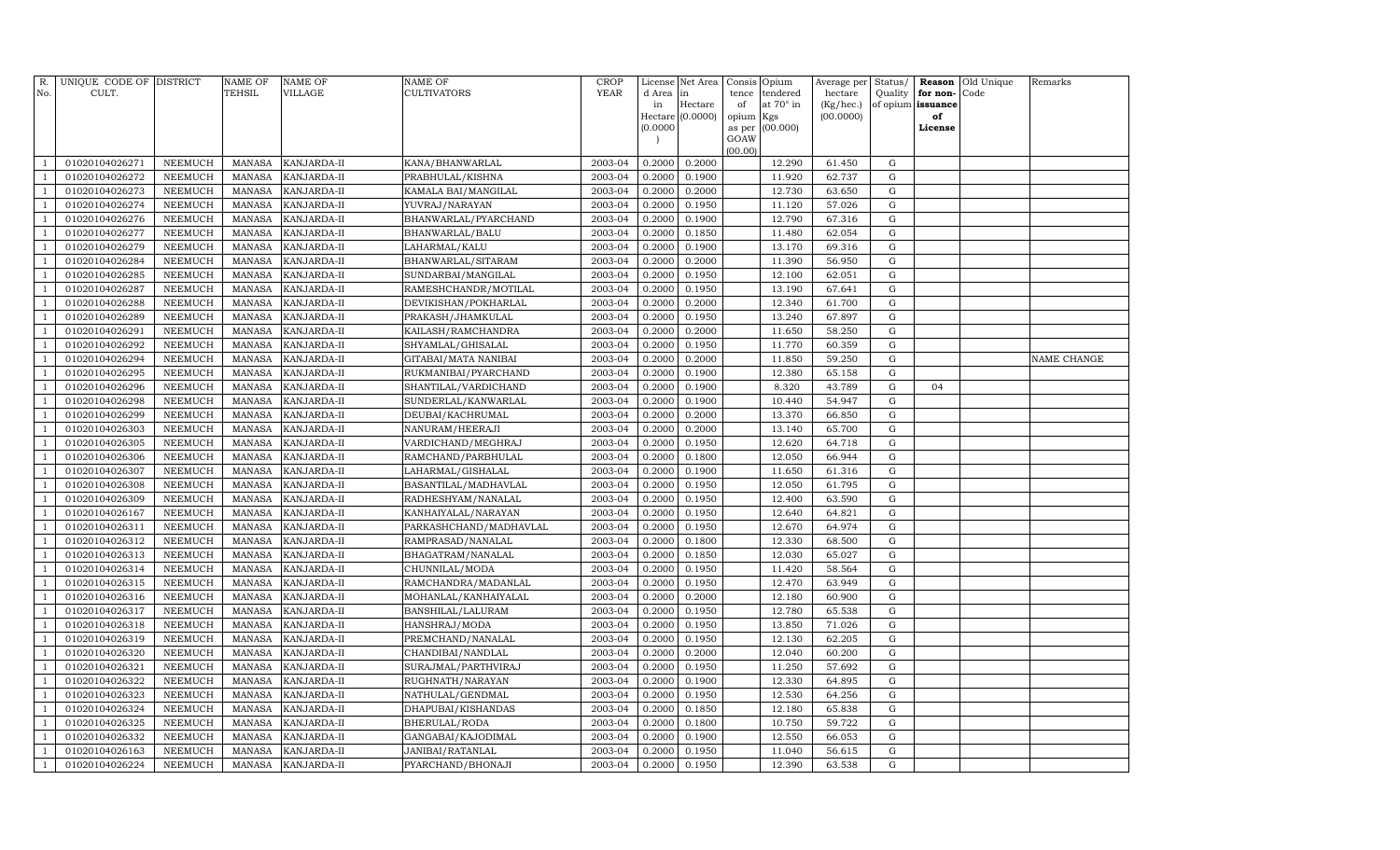| $\mathbb{R}$ .                   | UNIQUE CODE OF DISTRICT          |                           | NAME OF                 | <b>NAME OF</b>             | <b>NAME OF</b>                          | <b>CROP</b>        | License          | Net Area                    | Consis      | Opium                   | Average per               | Status/                    |                | Reason Old Unique | Remarks     |
|----------------------------------|----------------------------------|---------------------------|-------------------------|----------------------------|-----------------------------------------|--------------------|------------------|-----------------------------|-------------|-------------------------|---------------------------|----------------------------|----------------|-------------------|-------------|
| No.                              | CULT.                            |                           | TEHSIL                  | VILLAGE                    | <b>CULTIVATORS</b>                      | <b>YEAR</b>        | d Area           | in                          | tence       | tendered                | hectare                   | Quality                    | for non-       | Code              |             |
|                                  |                                  |                           |                         |                            |                                         |                    | in               | Hectare<br>Hectare (0.0000) | of<br>opium | at $70^\circ$ in<br>Kgs | $(Kg/$ hec.)<br>(00.0000) | of opium                   | issuance<br>of |                   |             |
|                                  |                                  |                           |                         |                            |                                         |                    | (0.0000)         |                             | as per      | (00.000)                |                           |                            | License        |                   |             |
|                                  |                                  |                           |                         |                            |                                         |                    |                  |                             | GOAW        |                         |                           |                            |                |                   |             |
|                                  |                                  |                           |                         |                            |                                         |                    |                  |                             | (00.00)     |                         |                           |                            |                |                   |             |
|                                  | 01020104026271<br>01020104026272 | NEEMUCH                   | MANASA                  | KANJARDA-II                | KANA/BHANWARLAL                         | 2003-04<br>2003-04 | 0.2000<br>0.2000 | 0.2000<br>0.1900            |             | 12.290<br>11.920        | 61.450<br>62.737          | $\mathbf G$<br>$\mathbf G$ |                |                   |             |
|                                  | 01020104026273                   | NEEMUCH<br>NEEMUCH        | MANASA<br>MANASA        | KANJARDA-II<br>KANJARDA-II | PRABHULAL/KISHNA<br>KAMALA BAI/MANGILAL | 2003-04            | 0.2000           | 0.2000                      |             | 12.730                  | 63.650                    | G                          |                |                   |             |
|                                  | 01020104026274                   | NEEMUCH                   | MANASA                  | KANJARDA-II                | YUVRAJ/NARAYAN                          | 2003-04            | 0.2000           | 0.1950                      |             | 11.120                  | 57.026                    | G                          |                |                   |             |
|                                  | 01020104026276                   | NEEMUCH                   | MANASA                  | KANJARDA-II                | BHANWARLAL/PYARCHAND                    | 2003-04            | 0.2000           | 0.1900                      |             | 12.790                  | 67.316                    | G                          |                |                   |             |
|                                  | 01020104026277                   | NEEMUCH                   | <b>MANASA</b>           | KANJARDA-II                | BHANWARLAL/BALU                         | 2003-04            | 0.2000           | 0.1850                      |             | 11.480                  | 62.054                    | G                          |                |                   |             |
| $\overline{1}$                   | 01020104026279                   | NEEMUCH                   | MANASA                  | KANJARDA-II                | LAHARMAL/KALU                           | 2003-04            | 0.2000           | 0.1900                      |             | 13.170                  | 69.316                    | G                          |                |                   |             |
| $\overline{1}$                   | 01020104026284                   | NEEMUCH                   | MANASA                  | KANJARDA-II                | BHANWARLAL/SITARAM                      | 2003-04            | 0.2000           | 0.2000                      |             | 11.390                  | 56.950                    | G                          |                |                   |             |
|                                  | 01020104026285                   | NEEMUCH                   | MANASA                  | KANJARDA-II                | SUNDARBAI/MANGILAL                      | 2003-04            | 0.2000           | 0.1950                      |             | 12.100                  | 62.051                    | G                          |                |                   |             |
| $\overline{1}$                   | 01020104026287                   | NEEMUCH                   | <b>MANASA</b>           | KANJARDA-II                | RAMESHCHANDR/MOTILAL                    | 2003-04            | 0.2000           | 0.1950                      |             | 13.190                  | 67.641                    | G                          |                |                   |             |
| -1                               | 01020104026288                   | NEEMUCH                   | MANASA                  | KANJARDA-II                | DEVIKISHAN/POKHARLAL                    | 2003-04            | 0.2000           | 0.2000                      |             | 12.340                  | 61.700                    | G                          |                |                   |             |
| $\overline{1}$                   | 01020104026289                   | <b>NEEMUCH</b>            | MANASA                  | KANJARDA-II                | PRAKASH/JHAMKULAL                       | 2003-04            | 0.2000           | 0.1950                      |             | 13.240                  | 67.897                    | G                          |                |                   |             |
|                                  | 01020104026291                   | <b>NEEMUCH</b>            | MANASA                  | KANJARDA-II                | KAILASH/RAMCHANDRA                      | 2003-04            | 0.2000           | 0.2000                      |             | 11.650                  | 58.250                    | $\mathbf G$                |                |                   |             |
|                                  | 01020104026292                   | <b>NEEMUCH</b>            | MANASA                  | KANJARDA-II                | SHYAMLAL/GHISALAL                       | 2003-04            | 0.2000           | 0.1950                      |             | 11.770                  | 60.359                    | G                          |                |                   |             |
| -1                               | 01020104026294                   | NEEMUCH                   | MANASA                  | KANJARDA-II                | GITABAI/MATA NANIBAI                    | 2003-04            | 0.2000           | 0.2000                      |             | 11.850                  | 59.250                    | G                          |                |                   | NAME CHANGE |
|                                  | 01020104026295                   | <b>NEEMUCH</b>            | MANASA                  | KANJARDA-II                | RUKMANIBAI/PYARCHAND                    | 2003-04            | 0.2000           | 0.1900                      |             | 12.380                  | 65.158                    | G                          |                |                   |             |
| $\overline{1}$                   | 01020104026296                   | NEEMUCH                   | MANASA                  | KANJARDA-II                | SHANTILAL/VARDICHAND                    | 2003-04            | 0.2000           | 0.1900                      |             | 8.320                   | 43.789                    | G                          | 04             |                   |             |
| $\overline{1}$                   | 01020104026298                   | NEEMUCH                   | MANASA                  | KANJARDA-II                | SUNDERLAL/KANWARLAL                     | 2003-04            | 0.2000           | 0.1900                      |             | 10.440                  | 54.947                    | G                          |                |                   |             |
| $\overline{1}$                   | 01020104026299                   | NEEMUCH                   | MANASA                  | KANJARDA-II                | DEUBAI/KACHRUMAL                        | 2003-04            | 0.2000           | 0.2000                      |             | 13.370                  | 66.850                    | G                          |                |                   |             |
| $\overline{1}$                   | 01020104026303                   | NEEMUCH                   | MANASA                  | KANJARDA-II                | NANURAM/HEERAJI                         | 2003-04            | 0.2000           | 0.2000                      |             | 13.140                  | 65.700                    | G                          |                |                   |             |
| $\overline{1}$                   | 01020104026305                   | NEEMUCH                   | MANASA                  | KANJARDA-II                | VARDICHAND/MEGHRAJ                      | 2003-04            | 0.2000           | 0.1950                      |             | 12.620                  | 64.718                    | G                          |                |                   |             |
| $\overline{1}$                   | 01020104026306                   | NEEMUCH                   | MANASA                  | KANJARDA-II                | RAMCHAND/PARBHULAL                      | 2003-04            | 0.2000           | 0.1800                      |             | 12.050                  | 66.944                    | G                          |                |                   |             |
| $\overline{1}$                   | 01020104026307                   | NEEMUCH                   | MANASA                  | KANJARDA-II                | LAHARMAL/GISHALAL                       | 2003-04            | 0.2000           | 0.1900                      |             | 11.650                  | 61.316                    | G                          |                |                   |             |
| -1                               | 01020104026308                   | <b>NEEMUCH</b>            | MANASA                  | KANJARDA-II                | BASANTILAL/MADHAVLAL                    | 2003-04            | 0.2000           | 0.1950                      |             | 12.050                  | 61.795                    | G                          |                |                   |             |
| $\overline{1}$                   | 01020104026309                   | NEEMUCH                   | MANASA                  | KANJARDA-II                | RADHESHYAM/NANALAL                      | 2003-04            | 0.2000           | 0.1950                      |             | 12.400                  | 63.590                    | G                          |                |                   |             |
| $\overline{1}$                   | 01020104026167                   | NEEMUCH                   | MANASA                  | KANJARDA-II                | KANHAIYALAL/NARAYAN                     | 2003-04            | 0.2000           | 0.1950                      |             | 12.640                  | 64.821                    | G                          |                |                   |             |
| $\overline{1}$                   | 01020104026311                   | NEEMUCH                   | MANASA                  | KANJARDA-II                | PARKASHCHAND/MADHAVLAL                  | 2003-04            | 0.2000           | 0.1950                      |             | 12.670                  | 64.974                    | G                          |                |                   |             |
| $\overline{1}$                   | 01020104026312                   | NEEMUCH                   | MANASA                  | KANJARDA-II                | RAMPRASAD/NANALAL                       | 2003-04            | 0.2000           | 0.1800                      |             | 12.330                  | 68.500                    | G                          |                |                   |             |
| $\overline{1}$                   | 01020104026313                   | NEEMUCH                   | MANASA                  | KANJARDA-II                | BHAGATRAM/NANALAL                       | 2003-04            | 0.2000           | 0.1850                      |             | 12.030                  | 65.027                    | G                          |                |                   |             |
| -1                               | 01020104026314                   | NEEMUCH                   | MANASA                  | KANJARDA-II                | CHUNNILAL/MODA                          | 2003-04            | 0.2000           | 0.1950                      |             | 11.420                  | 58.564                    | G                          |                |                   |             |
| $\overline{1}$                   | 01020104026315                   | NEEMUCH                   | MANASA                  | KANJARDA-II                | RAMCHANDRA/MADANLAL                     | 2003-04            | 0.2000           | 0.1950                      |             | 12.470                  | 63.949                    | G                          |                |                   |             |
| $\overline{1}$                   | 01020104026316                   | NEEMUCH                   | MANASA                  | KANJARDA-II                | MOHANLAL/KANHAIYALAL                    | 2003-04            | 0.2000           | 0.2000                      |             | 12.180                  | 60.900                    | G                          |                |                   |             |
| $\overline{1}$                   | 01020104026317                   | NEEMUCH                   | MANASA                  | KANJARDA-II                | BANSHILAL/LALURAM                       | 2003-04            | 0.2000           | 0.1950                      |             | 12.780                  | 65.538                    | G                          |                |                   |             |
| $\overline{1}$                   | 01020104026318                   | NEEMUCH                   | MANASA                  | KANJARDA-II                | HANSHRAJ/MODA                           | 2003-04            | 0.2000           | 0.1950                      |             | 13.850                  | 71.026                    | G                          |                |                   |             |
| $\overline{1}$                   | 01020104026319                   | NEEMUCH                   | MANASA                  | KANJARDA-II                | PREMCHAND/NANALAL                       | 2003-04            | 0.2000           | 0.1950                      |             | 12.130                  | 62.205                    | G                          |                |                   |             |
| $\overline{1}$                   | 01020104026320                   | <b>NEEMUCH</b>            | <b>MANASA</b>           | KANJARDA-II                | CHANDIBAI/NANDLAL                       | 2003-04<br>2003-04 | 0.2000<br>0.2000 | 0.2000                      |             | 12.040                  | 60.200                    | $\mathbf G$                |                |                   |             |
| $\overline{1}$<br>$\overline{1}$ | 01020104026321                   | <b>NEEMUCH</b>            | MANASA                  | KANJARDA-II                | SURAJMAL/PARTHVIRAJ                     |                    |                  | 0.1950                      |             | 11.250                  | 57.692                    | G                          |                |                   |             |
| $\overline{1}$                   | 01020104026322<br>01020104026323 | <b>NEEMUCH</b><br>NEEMUCH | <b>MANASA</b><br>MANASA | KANJARDA-II<br>KANJARDA-II | RUGHNATH/NARAYAN<br>NATHULAL/GENDMAL    | 2003-04<br>2003-04 | 0.2000<br>0.2000 | 0.1900<br>0.1950            |             | 12.330<br>12.530        | 64.895<br>64.256          | G<br>G                     |                |                   |             |
| -1                               | 01020104026324                   | NEEMUCH                   | MANASA                  | KANJARDA-II                | DHAPUBAI/KISHANDAS                      | 2003-04            | 0.2000           | 0.1850                      |             | 12.180                  | 65.838                    | G                          |                |                   |             |
| $\overline{1}$                   | 01020104026325                   | NEEMUCH                   | MANASA                  | KANJARDA-II                | BHERULAL/RODA                           | 2003-04            | 0.2000           | 0.1800                      |             | 10.750                  | 59.722                    | G                          |                |                   |             |
| -1                               | 01020104026332                   | NEEMUCH                   | MANASA                  | KANJARDA-II                | GANGABAI/KAJODIMAL                      | 2003-04            | 0.2000           | 0.1900                      |             | 12.550                  | 66.053                    | G                          |                |                   |             |
| $\overline{1}$                   | 01020104026163                   | NEEMUCH                   | MANASA                  | KANJARDA-II                | JANIBAI/RATANLAL                        | 2003-04            | 0.2000           | 0.1950                      |             | 11.040                  | 56.615                    | G                          |                |                   |             |
| $\mathbf{1}$                     | 01020104026224                   | NEEMUCH                   | MANASA                  | KANJARDA-II                | PYARCHAND/BHONAJI                       | 2003-04            | 0.2000           | 0.1950                      |             | 12.390                  | 63.538                    | G                          |                |                   |             |
|                                  |                                  |                           |                         |                            |                                         |                    |                  |                             |             |                         |                           |                            |                |                   |             |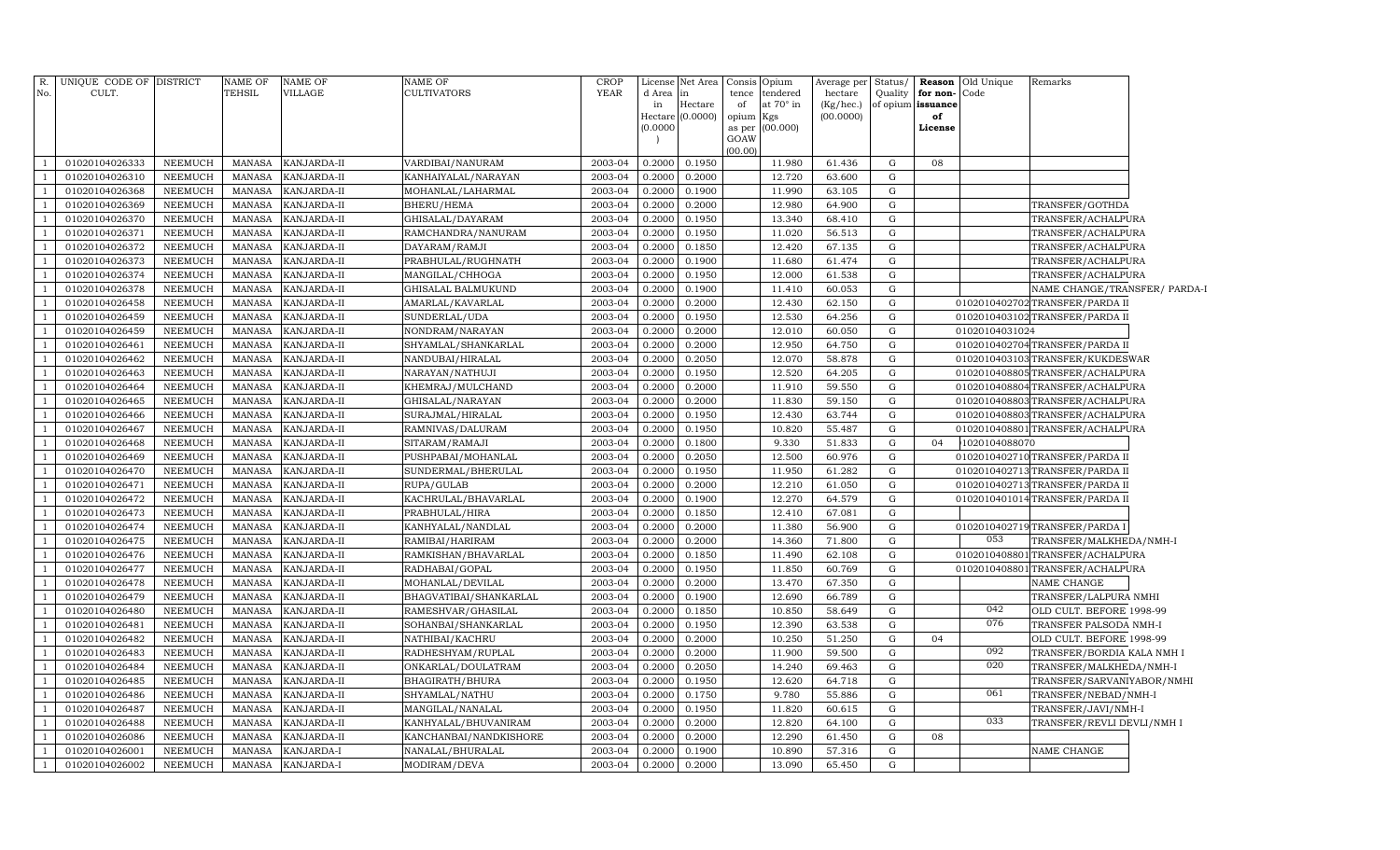| R.             | UNIQUE CODE OF DISTRICT |                 | <b>NAME OF</b> | <b>NAME OF</b> | <b>NAME OF</b>         | <b>CROP</b> | License  | Net Area         | Consis    | Opium           | Average per | Status/     | Reason   | Old Unique     | Remarks                          |  |
|----------------|-------------------------|-----------------|----------------|----------------|------------------------|-------------|----------|------------------|-----------|-----------------|-------------|-------------|----------|----------------|----------------------------------|--|
| No.            | CULT.                   |                 | TEHSIL         | VILLAGE        | <b>CULTIVATORS</b>     | <b>YEAR</b> | d Area   | in               | tence     | tendered        | hectare     | Quality     | for non- | Code           |                                  |  |
|                |                         |                 |                |                |                        |             | in       | Hectare          | of        | at 70° in       | (Kg/hec.)   | of opium    | issuance |                |                                  |  |
|                |                         |                 |                |                |                        |             |          | Hectare (0.0000) | opium Kgs |                 | (00.0000)   |             | of       |                |                                  |  |
|                |                         |                 |                |                |                        |             | (0.0000) |                  | GOAW      | as per (00.000) |             |             | License  |                |                                  |  |
|                |                         |                 |                |                |                        |             |          |                  | (00.00)   |                 |             |             |          |                |                                  |  |
|                | 01020104026333          | NEEMUCH         | <b>MANASA</b>  | KANJARDA-II    | VARDIBAI/NANURAM       | 2003-04     | 0.2000   | 0.1950           |           | 11.980          | 61.436      | G           | 08       |                |                                  |  |
| - 1            | 01020104026310          | NEEMUCH         | <b>MANASA</b>  | KANJARDA-II    | KANHAIYALAL/NARAYAN    | 2003-04     | 0.2000   | 0.2000           |           | 12.720          | 63.600      | $\mathbf G$ |          |                |                                  |  |
|                | 01020104026368          | NEEMUCH         | <b>MANASA</b>  | KANJARDA-II    | MOHANLAL/LAHARMAL      | 2003-04     | 0.2000   | 0.1900           |           | 11.990          | 63.105      | ${\rm G}$   |          |                |                                  |  |
|                | 01020104026369          | NEEMUCH         | <b>MANASA</b>  | KANJARDA-II    | BHERU/HEMA             | 2003-04     | 0.2000   | 0.2000           |           | 12.980          | 64.900      | $\mathbf G$ |          |                | TRANSFER/GOTHDA                  |  |
| - 1            | 01020104026370          | NEEMUCH         | <b>MANASA</b>  | KANJARDA-II    | GHISALAL/DAYARAM       | 2003-04     | 0.2000   | 0.1950           |           | 13.340          | 68.410      | $\mathbf G$ |          |                | TRANSFER/ACHALPURA               |  |
| - 1            | 01020104026371          | NEEMUCH         | <b>MANASA</b>  | KANJARDA-II    | RAMCHANDRA/NANURAM     | 2003-04     | 0.2000   | 0.1950           |           | 11.020          | 56.513      | $\mathbf G$ |          |                | TRANSFER/ACHALPURA               |  |
|                | 01020104026372          | NEEMUCH         | <b>MANASA</b>  | KANJARDA-II    | DAYARAM/RAMJI          | 2003-04     | 0.2000   | 0.1850           |           | 12.420          | 67.135      | ${\rm G}$   |          |                | TRANSFER/ACHALPURA               |  |
| - 1            | 01020104026373          | NEEMUCH         | <b>MANASA</b>  | KANJARDA-II    | PRABHULAL/RUGHNATH     | 2003-04     | 0.2000   | 0.1900           |           | 11.680          | 61.474      | ${\rm G}$   |          |                | TRANSFER/ACHALPURA               |  |
|                | 01020104026374          | NEEMUCH         | <b>MANASA</b>  | KANJARDA-II    | MANGILAL/CHHOGA        | 2003-04     | 0.2000   | 0.1950           |           | 12.000          | 61.538      | G           |          |                | TRANSFER/ACHALPURA               |  |
|                | 01020104026378          | NEEMUCH         | <b>MANASA</b>  | KANJARDA-II    | GHISALAL BALMUKUND     | 2003-04     | 0.2000   | 0.1900           |           | 11.410          | 60.053      | $\mathbf G$ |          |                | NAME CHANGE/TRANSFER/ PARDA-I    |  |
| - 1            | 01020104026458          | NEEMUCH         | <b>MANASA</b>  | KANJARDA-II    | AMARLAL/KAVARLAL       | 2003-04     | 0.2000   | 0.2000           |           | 12.430          | 62.150      | ${\rm G}$   |          |                | 0102010402702 TRANSFER/PARDA II  |  |
|                | 01020104026459          | NEEMUCH         | <b>MANASA</b>  | KANJARDA-II    | SUNDERLAL/UDA          | 2003-04     | 0.2000   | 0.1950           |           | 12.530          | 64.256      | $\mathbf G$ |          |                | 0102010403102 TRANSFER/PARDA II  |  |
|                | 01020104026459          | NEEMUCH         | <b>MANASA</b>  | KANJARDA-II    | NONDRAM/NARAYAN        | 2003-04     | 0.2000   | 0.2000           |           | 12.010          | 60.050      | $\mathbf G$ |          | 01020104031024 |                                  |  |
|                | 01020104026461          | NEEMUCH         | <b>MANASA</b>  | KANJARDA-II    | SHYAMLAL/SHANKARLAL    | 2003-04     | 0.2000   | 0.2000           |           | 12.950          | 64.750      | G           |          |                | 0102010402704 TRANSFER/PARDA II  |  |
|                | 01020104026462          | NEEMUCH         | <b>MANASA</b>  | KANJARDA-II    | NANDUBAI/HIRALAL       | 2003-04     | 0.2000   | 0.2050           |           | 12.070          | 58.878      | ${\rm G}$   |          |                | 0102010403103TRANSFER/KUKDESWAR  |  |
|                | 01020104026463          | NEEMUCH         | <b>MANASA</b>  | KANJARDA-II    | NARAYAN/NATHUJI        | 2003-04     | 0.2000   | 0.1950           |           | 12.520          | 64.205      | $\mathbf G$ |          |                | 0102010408805TRANSFER/ACHALPURA  |  |
|                | 01020104026464          | NEEMUCH         | <b>MANASA</b>  | KANJARDA-II    | KHEMRAJ/MULCHAND       | 2003-04     | 0.2000   | 0.2000           |           | 11.910          | 59.550      | ${\rm G}$   |          |                | 0102010408804TRANSFER/ACHALPURA  |  |
|                | 01020104026465          | NEEMUCH         | <b>MANASA</b>  | KANJARDA-II    | GHISALAL/NARAYAN       | 2003-04     | 0.2000   | 0.2000           |           | 11.830          | 59.150      | ${\rm G}$   |          |                | 0102010408803TRANSFER/ACHALPURA  |  |
|                | 01020104026466          | NEEMUCH         | <b>MANASA</b>  | KANJARDA-II    | SURAJMAL/HIRALAL       | 2003-04     | 0.2000   | 0.1950           |           | 12.430          | 63.744      | ${\rm G}$   |          |                | 0102010408803TRANSFER/ACHALPURA  |  |
|                | 01020104026467          | NEEMUCH         | <b>MANASA</b>  | KANJARDA-II    | RAMNIVAS/DALURAM       | 2003-04     | 0.2000   | 0.1950           |           | 10.820          | 55.487      | G           |          |                | 0102010408801TRANSFER/ACHALPURA  |  |
|                | 01020104026468          | <b>NEEMUCH</b>  | <b>MANASA</b>  | KANJARDA-II    | SITARAM/RAMAJI         | 2003-04     | 0.2000   | 0.1800           |           | 9.330           | 51.833      | ${\rm G}$   | 04       | 1020104088070  |                                  |  |
|                | 01020104026469          | NEEMUCH         | <b>MANASA</b>  | KANJARDA-II    | PUSHPABAI/MOHANLAL     | 2003-04     | 0.2000   | 0.2050           |           | 12.500          | 60.976      | $\mathbf G$ |          |                | 0102010402710TRANSFER/PARDA II   |  |
|                | 01020104026470          | NEEMUCH         | <b>MANASA</b>  | KANJARDA-II    | SUNDERMAL/BHERULAL     | 2003-04     | 0.2000   | 0.1950           |           | 11.950          | 61.282      | ${\rm G}$   |          |                | 0102010402713 TRANSFER/PARDA II  |  |
|                | 01020104026471          | NEEMUCH         | <b>MANASA</b>  | KANJARDA-II    | RUPA/GULAB             | 2003-04     | 0.2000   | 0.2000           |           | 12.210          | 61.050      | $\mathbf G$ |          |                | 0102010402713 TRANSFER/PARDA II  |  |
|                | 01020104026472          | NEEMUCH         | <b>MANASA</b>  | KANJARDA-II    | KACHRULAL/BHAVARLAL    | 2003-04     | 0.2000   | 0.1900           |           | 12.270          | 64.579      | $\mathbf G$ |          |                | 0102010401014TRANSFER/PARDA II   |  |
|                | 01020104026473          | NEEMUCH         | <b>MANASA</b>  | KANJARDA-II    | PRABHULAL/HIRA         | 2003-04     | 0.2000   | 0.1850           |           | 12.410          | 67.081      | ${\rm G}$   |          |                |                                  |  |
|                | 01020104026474          | NEEMUCH         | <b>MANASA</b>  | KANJARDA-II    | KANHYALAL/NANDLAL      | 2003-04     | 0.2000   | 0.2000           |           | 11.380          | 56.900      | G           |          |                | 0102010402719TRANSFER/PARDA I    |  |
|                | 01020104026475          | ${\tt NEEMUCH}$ | <b>MANASA</b>  | KANJARDA-II    | RAMIBAI/HARIRAM        | 2003-04     | 0.2000   | 0.2000           |           | 14.360          | 71.800      | $\mathbf G$ |          | 053            | TRANSFER/MALKHEDA/NMH-I          |  |
|                | 01020104026476          | NEEMUCH         | <b>MANASA</b>  | KANJARDA-II    | RAMKISHAN/BHAVARLAL    | 2003-04     | 0.2000   | 0.1850           |           | 11.490          | 62.108      | ${\rm G}$   |          |                | 0102010408801TRANSFER/ACHALPURA  |  |
|                | 01020104026477          | NEEMUCH         | <b>MANASA</b>  | KANJARDA-II    | RADHABAI/GOPAL         | 2003-04     | 0.2000   | 0.1950           |           | 11.850          | 60.769      | G           |          |                | 0102010408801 TRANSFER/ACHALPURA |  |
|                | 01020104026478          | NEEMUCH         | <b>MANASA</b>  | KANJARDA-II    | MOHANLAL/DEVILAL       | 2003-04     | 0.2000   | 0.2000           |           | 13.470          | 67.350      | G           |          |                | NAME CHANGE                      |  |
|                | 01020104026479          | NEEMUCH         | <b>MANASA</b>  | KANJARDA-II    | BHAGVATIBAI/SHANKARLAL | 2003-04     | 0.2000   | 0.1900           |           | 12.690          | 66.789      | $\mathbf G$ |          |                | TRANSFER/LALPURA NMHI            |  |
|                | 01020104026480          | <b>NEEMUCH</b>  | <b>MANASA</b>  | KANJARDA-II    | RAMESHVAR/GHASILAL     | 2003-04     | 0.2000   | 0.1850           |           | 10.850          | 58.649      | G           |          | 042            | OLD CULT. BEFORE 1998-99         |  |
|                | 01020104026481          | <b>NEEMUCH</b>  | <b>MANASA</b>  | KANJARDA-II    | SOHANBAI/SHANKARLAL    | 2003-04     | 0.2000   | 0.1950           |           | 12.390          | 63.538      | ${\rm G}$   |          | 076            | TRANSFER PALSODA NMH-I           |  |
|                | 01020104026482          | NEEMUCH         | <b>MANASA</b>  | KANJARDA-II    | NATHIBAI/KACHRU        | 2003-04     | 0.2000   | 0.2000           |           | 10.250          | 51.250      | ${\rm G}$   | 04       |                | OLD CULT. BEFORE 1998-99         |  |
|                | 01020104026483          | <b>NEEMUCH</b>  | <b>MANASA</b>  | KANJARDA-II    | RADHESHYAM/RUPLAL      | 2003-04     | 0.2000   | 0.2000           |           | 11.900          | 59.500      | ${\rm G}$   |          | 092            | TRANSFER/BORDIA KALA NMH I       |  |
|                | 01020104026484          | <b>NEEMUCH</b>  | <b>MANASA</b>  | KANJARDA-II    | ONKARLAL/DOULATRAM     | 2003-04     | 0.2000   | 0.2050           |           | 14.240          | 69.463      | ${\rm G}$   |          | 020            | TRANSFER/MALKHEDA/NMH-I          |  |
|                | 01020104026485          | NEEMUCH         | <b>MANASA</b>  | KANJARDA-II    | BHAGIRATH/BHURA        | 2003-04     | 0.2000   | 0.1950           |           | 12.620          | 64.718      | ${\rm G}$   |          |                | TRANSFER/SARVANIYABOR/NMHI       |  |
|                | 01020104026486          | NEEMUCH         | <b>MANASA</b>  | KANJARDA-II    | SHYAMLAL/NATHU         | 2003-04     | 0.2000   | 0.1750           |           | 9.780           | 55.886      | ${\rm G}$   |          | 061            | TRANSFER/NEBAD/NMH-I             |  |
|                | 01020104026487          | NEEMUCH         | <b>MANASA</b>  | KANJARDA-II    | MANGILAL/NANALAL       | 2003-04     | 0.2000   | 0.1950           |           | 11.820          | 60.615      | ${\rm G}$   |          |                | TRANSFER/JAVI/NMH-I              |  |
|                | 01020104026488          | NEEMUCH         | <b>MANASA</b>  | KANJARDA-II    | KANHYALAL/BHUVANIRAM   | 2003-04     | 0.2000   | 0.2000           |           | 12.820          | 64.100      | G           |          | 033            | TRANSFER/REVLI DEVLI/NMH I       |  |
|                | 01020104026086          | NEEMUCH         | <b>MANASA</b>  | KANJARDA-II    | KANCHANBAI/NANDKISHORE | 2003-04     | 0.2000   | 0.2000           |           | 12.290          | 61.450      | G           | 08       |                |                                  |  |
|                | 01020104026001          | NEEMUCH         | <b>MANASA</b>  | KANJARDA-I     | NANALAL/BHURALAL       | 2003-04     | 0.2000   | 0.1900           |           | 10.890          | 57.316      | G           |          |                | NAME CHANGE                      |  |
| $\overline{1}$ | 01020104026002          | NEEMUCH         | MANASA         | KANJARDA-I     | MODIRAM/DEVA           | 2003-04     | 0.2000   | 0.2000           |           | 13.090          | 65.450      | G           |          |                |                                  |  |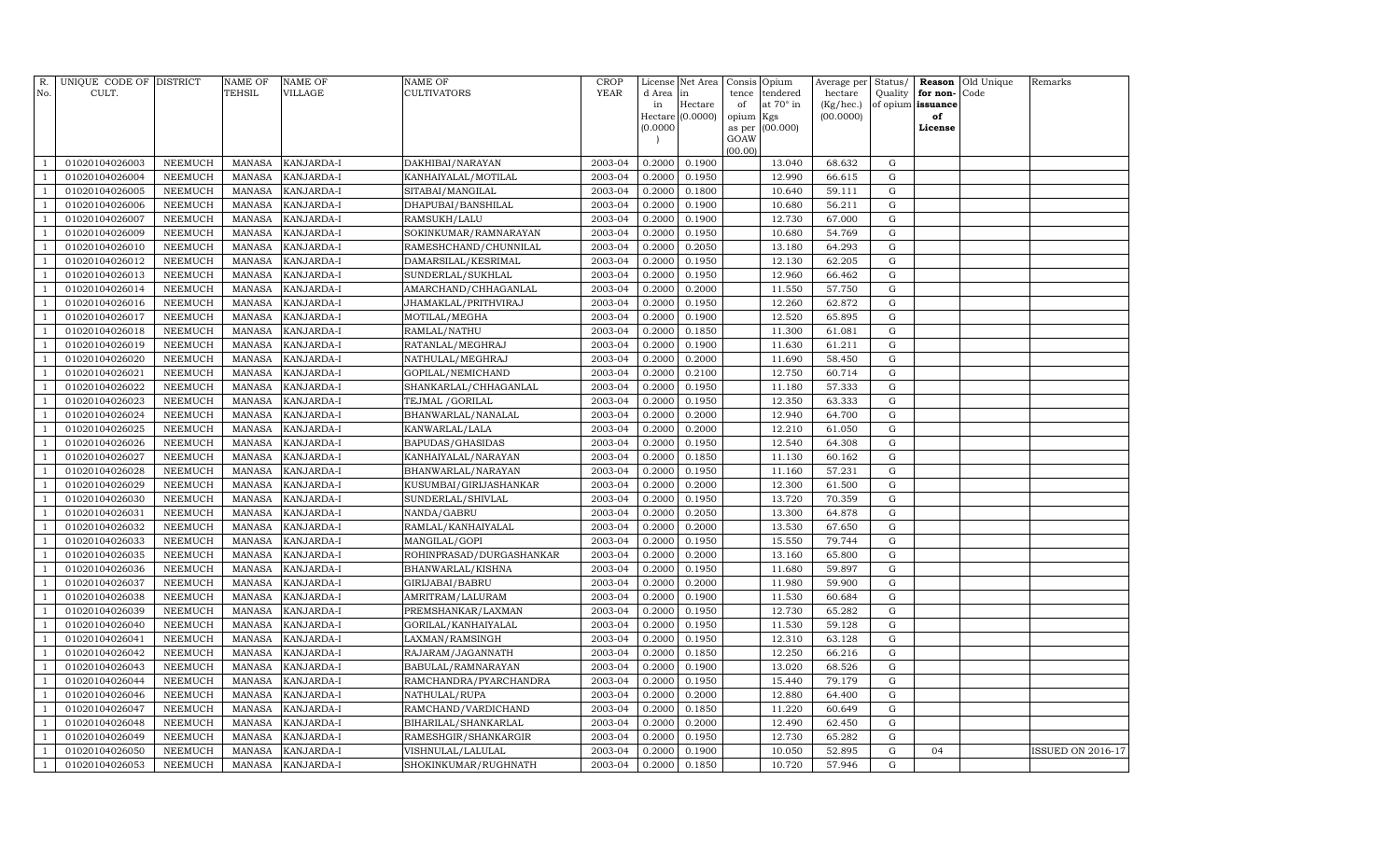| R.<br>No.                      | UNIQUE CODE OF DISTRICT<br>CULT. |                                  | NAME OF<br>TEHSIL              | <b>NAME OF</b><br>VILLAGE | <b>NAME OF</b><br>CULTIVATORS           | CROP<br><b>YEAR</b> | License<br>d Area | Net Area<br>in   | Consis<br>tence | Opium<br>tendered | Average per<br>hectare | Status/<br>Quality | Reason<br>for non- | Old Unique<br>Code | Remarks                  |
|--------------------------------|----------------------------------|----------------------------------|--------------------------------|---------------------------|-----------------------------------------|---------------------|-------------------|------------------|-----------------|-------------------|------------------------|--------------------|--------------------|--------------------|--------------------------|
|                                |                                  |                                  |                                |                           |                                         |                     | in                | Hectare          | of              | at 70° in         | (Kg/hec.)              | of opium           | issuance           |                    |                          |
|                                |                                  |                                  |                                |                           |                                         |                     | Hectare           | (0.0000)         | opium           | Kgs               | (00.0000)              |                    | of                 |                    |                          |
|                                |                                  |                                  |                                |                           |                                         |                     | (0.0000)          |                  | as per          | (00.000)          |                        |                    | License            |                    |                          |
|                                |                                  |                                  |                                |                           |                                         |                     |                   |                  | GOAW<br>(00.00) |                   |                        |                    |                    |                    |                          |
| $\mathbf{1}$                   | 01020104026003                   | NEEMUCH                          | <b>MANASA</b>                  | KANJARDA-I                | DAKHIBAI/NARAYAN                        | 2003-04             | 0.2000            | 0.1900           |                 | 13.040            | 68.632                 | G                  |                    |                    |                          |
| $\mathbf{1}$                   | 01020104026004                   | <b>NEEMUCH</b>                   | <b>MANASA</b>                  | KANJARDA-I                | KANHAIYALAL/MOTILAL                     | 2003-04             | 0.2000            | 0.1950           |                 | 12.990            | 66.615                 | $\mathbf G$        |                    |                    |                          |
| $\mathbf{1}$                   | 01020104026005                   | NEEMUCH                          | MANASA                         | KANJARDA-I                | SITABAI/MANGILAL                        | 2003-04             | 0.2000            | 0.1800           |                 | 10.640            | 59.111                 | $\mathbf G$        |                    |                    |                          |
| $\mathbf{1}$                   | 01020104026006                   | <b>NEEMUCH</b>                   | MANASA                         | KANJARDA-I                | DHAPUBAI/BANSHILAL                      | 2003-04             | 0.2000            | 0.1900           |                 | 10.680            | 56.211                 | $\mathbf G$        |                    |                    |                          |
| $\mathbf{1}$                   | 01020104026007                   | <b>NEEMUCH</b>                   | <b>MANASA</b>                  | KANJARDA-I                | RAMSUKH/LALU                            | 2003-04             | 0.2000            | 0.1900           |                 | 12.730            | 67.000                 | $\mathbf G$        |                    |                    |                          |
| $\mathbf{1}$                   | 01020104026009                   | <b>NEEMUCH</b>                   | <b>MANASA</b>                  | KANJARDA-I                | SOKINKUMAR/RAMNARAYAN                   | 2003-04             | 0.2000            | 0.1950           |                 | 10.680            | 54.769                 | G                  |                    |                    |                          |
| $\mathbf{1}$                   | 01020104026010                   | <b>NEEMUCH</b>                   | <b>MANASA</b>                  | KANJARDA-I                | RAMESHCHAND/CHUNNILAL                   | 2003-04             | 0.2000            | 0.2050           |                 | 13.180            | 64.293                 | G                  |                    |                    |                          |
| $\mathbf{1}$                   | 01020104026012                   | <b>NEEMUCH</b>                   | MANASA                         | KANJARDA-I                | DAMARSILAL/KESRIMAL                     | 2003-04             | 0.2000            | 0.1950           |                 | 12.130            | 62.205                 | G                  |                    |                    |                          |
| $\mathbf{1}$                   | 01020104026013                   | <b>NEEMUCH</b>                   | <b>MANASA</b>                  | KANJARDA-I                | SUNDERLAL/SUKHLAL                       | 2003-04             | 0.2000            | 0.1950           |                 | 12.960            | 66.462                 | $\mathbf G$        |                    |                    |                          |
| $\mathbf{1}$                   | 01020104026014                   | <b>NEEMUCH</b>                   | <b>MANASA</b>                  | KANJARDA-I                | AMARCHAND/CHHAGANLAL                    | 2003-04             | 0.2000            | 0.2000           |                 | 11.550            | 57.750                 | ${\rm G}$          |                    |                    |                          |
| $\mathbf{1}$                   | 01020104026016                   | <b>NEEMUCH</b>                   | <b>MANASA</b>                  | KANJARDA-I                | JHAMAKLAL/PRITHVIRAJ                    | 2003-04             | 0.2000            | 0.1950           |                 | 12.260            | 62.872                 | $\mathbf G$        |                    |                    |                          |
| $\mathbf{1}$                   | 01020104026017                   | <b>NEEMUCH</b>                   | <b>MANASA</b>                  | KANJARDA-I                | MOTILAL/MEGHA                           | 2003-04             | 0.2000            | 0.1900           |                 | 12.520            | 65.895                 | $\mathbf G$        |                    |                    |                          |
| $\mathbf{1}$                   | 01020104026018                   | <b>NEEMUCH</b>                   | MANASA                         | KANJARDA-I                | RAMLAL/NATHU                            | 2003-04             | 0.2000            | 0.1850           |                 | 11.300            | 61.081                 | G                  |                    |                    |                          |
| $\mathbf{1}$                   | 01020104026019                   | <b>NEEMUCH</b>                   | MANASA                         | KANJARDA-I                | RATANLAL/MEGHRAJ                        | 2003-04             | 0.2000            | 0.1900           |                 | 11.630            | 61.211                 | G                  |                    |                    |                          |
| $\mathbf{1}$                   | 01020104026020                   | <b>NEEMUCH</b>                   | <b>MANASA</b>                  | KANJARDA-I                | NATHULAL/MEGHRAJ                        | 2003-04             | 0.2000            | 0.2000           |                 | 11.690            | 58.450                 | $\mathbf G$        |                    |                    |                          |
| $\mathbf{1}$                   | 01020104026021                   | <b>NEEMUCH</b>                   | <b>MANASA</b>                  | KANJARDA-I                | GOPILAL/NEMICHAND                       | 2003-04             | 0.2000            | 0.2100           |                 | 12.750            | 60.714                 | G                  |                    |                    |                          |
| $\overline{1}$                 | 01020104026022                   | <b>NEEMUCH</b>                   | MANASA                         | KANJARDA-I                | SHANKARLAL/CHHAGANLAL                   | 2003-04             | 0.2000            | 0.1950           |                 | 11.180            | 57.333                 | $\mathbf G$        |                    |                    |                          |
| $\mathbf{1}$                   | 01020104026023                   | <b>NEEMUCH</b>                   | <b>MANASA</b>                  | KANJARDA-I                | TEJMAL / GORILAL                        | 2003-04             | 0.2000            | 0.1950           |                 | 12.350            | 63.333                 | $\mathbf G$        |                    |                    |                          |
| $\mathbf{1}$                   | 01020104026024                   | <b>NEEMUCH</b>                   | <b>MANASA</b>                  | KANJARDA-I                | BHANWARLAL/NANALAL                      | 2003-04             | 0.2000            | 0.2000           |                 | 12.940            | 64.700                 | $\mathbf G$        |                    |                    |                          |
| $\mathbf{1}$                   | 01020104026025                   | <b>NEEMUCH</b>                   | <b>MANASA</b>                  | KANJARDA-I                | KANWARLAL/LALA                          | 2003-04             | 0.2000            | 0.2000           |                 | 12.210            | 61.050                 | ${\rm G}$          |                    |                    |                          |
| $\mathbf{1}$                   | 01020104026026                   | <b>NEEMUCH</b>                   | <b>MANASA</b>                  | KANJARDA-I                | BAPUDAS/GHASIDAS                        | 2003-04             | 0.2000            | 0.1950           |                 | 12.540            | 64.308                 | G                  |                    |                    |                          |
| $\mathbf{1}$                   | 01020104026027                   | <b>NEEMUCH</b>                   | <b>MANASA</b>                  | KANJARDA-I                | KANHAIYALAL/NARAYAN                     | 2003-04             | 0.2000            | 0.1850           |                 | 11.130            | 60.162                 | $\mathbf G$        |                    |                    |                          |
| $\mathbf{1}$                   | 01020104026028                   | <b>NEEMUCH</b>                   | <b>MANASA</b>                  | KANJARDA-I                | BHANWARLAL/NARAYAN                      | 2003-04             | 0.2000            | 0.1950           |                 | 11.160            | 57.231                 | $\mathbf G$        |                    |                    |                          |
| $\mathbf{1}$                   | 01020104026029                   | <b>NEEMUCH</b>                   | <b>MANASA</b>                  | KANJARDA-I                | KUSUMBAI/GIRIJASHANKAR                  | 2003-04             | 0.2000            | 0.2000           |                 | 12.300            | 61.500                 | $\mathbf G$        |                    |                    |                          |
| $\mathbf{1}$                   | 01020104026030                   | <b>NEEMUCH</b>                   | <b>MANASA</b>                  | KANJARDA-I                | SUNDERLAL/SHIVLAL                       | 2003-04             | 0.2000            | 0.1950           |                 | 13.720            | 70.359                 | $\mathbf G$        |                    |                    |                          |
| <sup>1</sup>                   | 01020104026031                   | <b>NEEMUCH</b>                   | <b>MANASA</b>                  | KANJARDA-I                | NANDA/GABRU                             | 2003-04             | 0.2000            | 0.2050           |                 | 13.300            | 64.878                 | G                  |                    |                    |                          |
| $\mathbf{1}$                   | 01020104026032                   | <b>NEEMUCH</b>                   | MANASA                         | KANJARDA-I                | RAMLAL/KANHAIYALAL                      | 2003-04             | 0.2000            | 0.2000           |                 | 13.530            | 67.650                 | G                  |                    |                    |                          |
| $\mathbf{1}$                   | 01020104026033                   | <b>NEEMUCH</b>                   | <b>MANASA</b>                  | KANJARDA-I                | MANGILAL/GOPI                           | 2003-04             | 0.2000            | 0.1950           |                 | 15.550            | 79.744                 | $\mathbf G$        |                    |                    |                          |
| $\mathbf{1}$                   | 01020104026035                   | <b>NEEMUCH</b>                   | <b>MANASA</b>                  | KANJARDA-I                | ROHINPRASAD/DURGASHANKAR                | 2003-04             | 0.2000            | 0.2000           |                 | 13.160            | 65.800                 | $\mathbf G$        |                    |                    |                          |
| $\mathbf{1}$                   | 01020104026036                   | <b>NEEMUCH</b>                   | MANASA                         | KANJARDA-I                | BHANWARLAL/KISHNA                       | 2003-04             | 0.2000            | 0.1950           |                 | 11.680            | 59.897                 | G                  |                    |                    |                          |
| $\mathbf{1}$                   | 01020104026037                   | <b>NEEMUCH</b>                   | <b>MANASA</b>                  | KANJARDA-I                | GIRIJABAI/BABRU                         | 2003-04             | 0.2000            | 0.2000           |                 | 11.980            | 59.900                 | G                  |                    |                    |                          |
| $\mathbf{1}$                   | 01020104026038                   | <b>NEEMUCH</b>                   | <b>MANASA</b>                  | KANJARDA-I                | AMRITRAM/LALURAM                        | 2003-04             | 0.2000            | 0.1900           |                 | 11.530            | 60.684                 | G                  |                    |                    |                          |
| $\mathbf{1}$                   | 01020104026039                   | <b>NEEMUCH</b>                   | <b>MANASA</b>                  | KANJARDA-I                | PREMSHANKAR/LAXMAN                      | 2003-04             | 0.2000            | 0.1950           |                 | 12.730            | 65.282                 | G                  |                    |                    |                          |
| $\mathbf{1}$<br>$\overline{1}$ | 01020104026040                   | <b>NEEMUCH</b>                   | MANASA                         | KANJARDA-I                | GORILAL/KANHAIYALAL                     | 2003-04             | 0.2000            | 0.1950           |                 | 11.530            | 59.128                 | G                  |                    |                    |                          |
| $\mathbf{1}$                   | 01020104026041<br>01020104026042 | <b>NEEMUCH</b><br><b>NEEMUCH</b> | <b>MANASA</b><br><b>MANASA</b> | KANJARDA-I<br>KANJARDA-I  | LAXMAN/RAMSINGH                         | 2003-04<br>2003-04  | 0.2000<br>0.2000  | 0.1950<br>0.1850 |                 | 12.310<br>12.250  | 63.128<br>66.216       | G<br>G             |                    |                    |                          |
| $\mathbf{1}$                   |                                  |                                  |                                |                           | RAJARAM/JAGANNATH                       | 2003-04             |                   |                  |                 |                   |                        |                    |                    |                    |                          |
| $\mathbf{1}$                   | 01020104026043<br>01020104026044 | <b>NEEMUCH</b><br><b>NEEMUCH</b> | MANASA                         | KANJARDA-I<br>KANJARDA-I  | BABULAL/RAMNARAYAN                      | 2003-04             | 0.2000<br>0.2000  | 0.1900<br>0.1950 |                 | 13.020<br>15.440  | 68.526<br>79.179       | G<br>$\mathbf G$   |                    |                    |                          |
| $\mathbf{1}$                   | 01020104026046                   | <b>NEEMUCH</b>                   | <b>MANASA</b><br><b>MANASA</b> | KANJARDA-I                | RAMCHANDRA/PYARCHANDRA<br>NATHULAL/RUPA | 2003-04             | 0.2000            | 0.2000           |                 | 12.880            | 64.400                 | ${\rm G}$          |                    |                    |                          |
| $\mathbf{1}$                   | 01020104026047                   | <b>NEEMUCH</b>                   | MANASA                         | KANJARDA-I                | RAMCHAND/VARDICHAND                     | 2003-04             | 0.2000            | 0.1850           |                 | 11.220            | 60.649                 | G                  |                    |                    |                          |
| $\mathbf{1}$                   | 01020104026048                   | <b>NEEMUCH</b>                   | <b>MANASA</b>                  | KANJARDA-I                | BIHARILAL/SHANKARLAL                    | 2003-04             | 0.2000            | 0.2000           |                 | 12.490            | 62.450                 | G                  |                    |                    |                          |
| $\mathbf{1}$                   | 01020104026049                   | <b>NEEMUCH</b>                   | <b>MANASA</b>                  | KANJARDA-I                | RAMESHGIR/SHANKARGIR                    | 2003-04             | 0.2000            | 0.1950           |                 | 12.730            | 65.282                 | G                  |                    |                    |                          |
| $\mathbf{1}$                   | 01020104026050                   | <b>NEEMUCH</b>                   | <b>MANASA</b>                  | KANJARDA-I                | VISHNULAL/LALULAL                       | 2003-04             | 0.2000            | 0.1900           |                 | 10.050            | 52.895                 | G                  | 04                 |                    | <b>ISSUED ON 2016-17</b> |
| $\mathbf{1}$                   | 01020104026053                   | <b>NEEMUCH</b>                   | MANASA                         | KANJARDA-I                | SHOKINKUMAR/RUGHNATH                    | 2003-04             | 0.2000            | 0.1850           |                 | 10.720            | 57.946                 | G                  |                    |                    |                          |
|                                |                                  |                                  |                                |                           |                                         |                     |                   |                  |                 |                   |                        |                    |                    |                    |                          |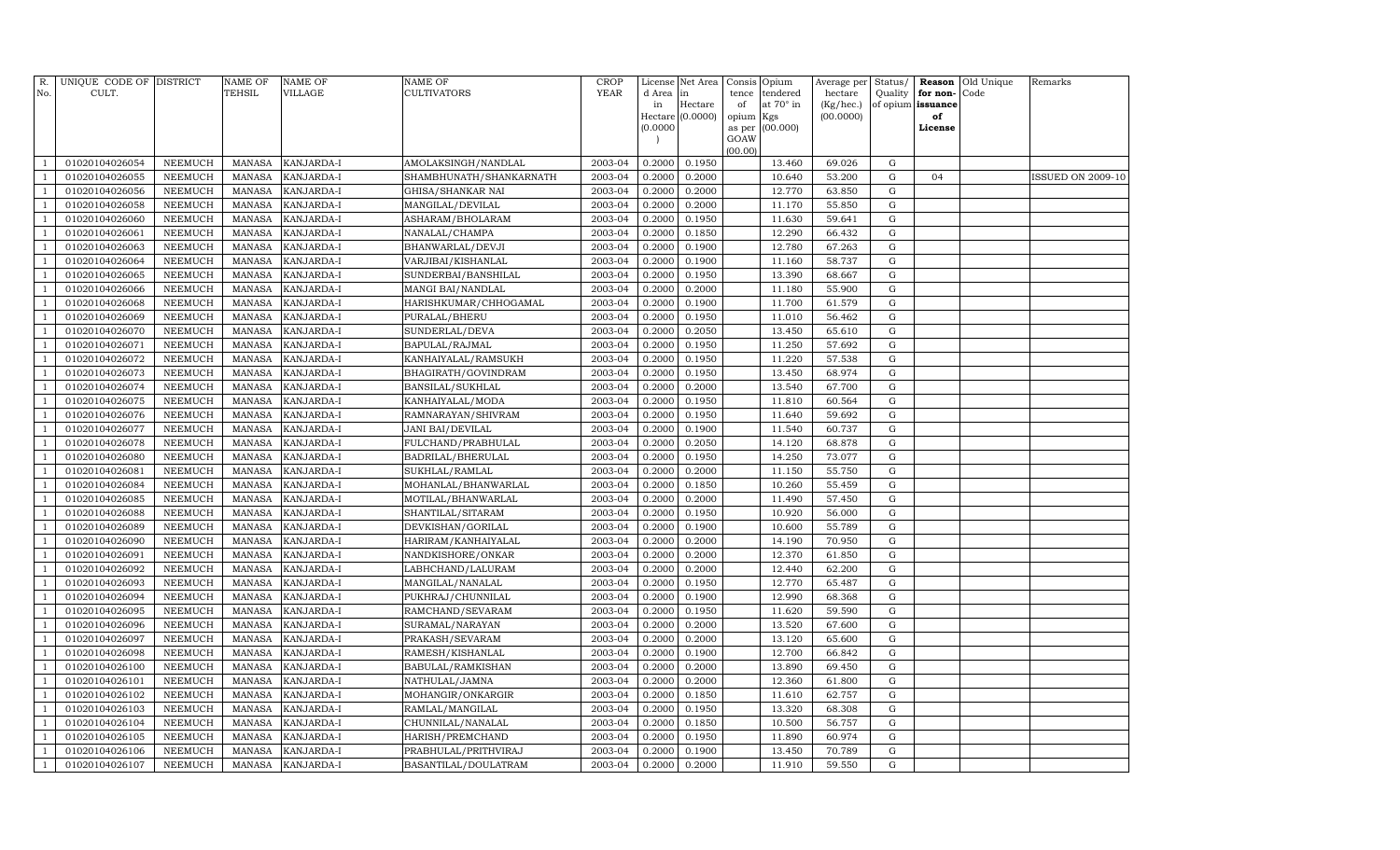| R.<br>No.      | UNIQUE CODE OF DISTRICT<br>CULT. |                | <b>NAME OF</b><br>TEHSIL | <b>NAME OF</b><br>VILLAGE | NAME OF<br>CULTIVATORS  | <b>CROP</b><br><b>YEAR</b> | d Area in | License Net Area | Consis<br>tence | Opium<br>tendered | Average per<br>hectare | Status/<br>Quality | for non-          | <b>Reason</b> Old Unique<br>Code | Remarks                  |
|----------------|----------------------------------|----------------|--------------------------|---------------------------|-------------------------|----------------------------|-----------|------------------|-----------------|-------------------|------------------------|--------------------|-------------------|----------------------------------|--------------------------|
|                |                                  |                |                          |                           |                         |                            | in        | Hectare          | of              | at 70° in         | (Kg/hec.)              |                    | of opium issuance |                                  |                          |
|                |                                  |                |                          |                           |                         |                            |           | Hectare (0.0000) | opium Kgs       |                   | (00.0000)              |                    | of                |                                  |                          |
|                |                                  |                |                          |                           |                         |                            | (0.0000)  |                  | as per          | (00.000)          |                        |                    | License           |                                  |                          |
|                |                                  |                |                          |                           |                         |                            |           |                  | GOAW<br>(00.00) |                   |                        |                    |                   |                                  |                          |
| $\mathbf{1}$   | 01020104026054                   | NEEMUCH        | MANASA                   | KANJARDA-I                | AMOLAKSINGH/NANDLAL     | 2003-04                    | 0.2000    | 0.1950           |                 | 13.460            | 69.026                 | G                  |                   |                                  |                          |
| $\mathbf{1}$   | 01020104026055                   | NEEMUCH        | <b>MANASA</b>            | KANJARDA-I                | SHAMBHUNATH/SHANKARNATH | 2003-04                    | 0.2000    | 0.2000           |                 | 10.640            | 53.200                 | G                  | 04                |                                  | <b>ISSUED ON 2009-10</b> |
| $\overline{1}$ | 01020104026056                   | NEEMUCH        | MANASA                   | KANJARDA-I                | GHISA/SHANKAR NAI       | 2003-04                    | 0.2000    | 0.2000           |                 | 12.770            | 63.850                 | G                  |                   |                                  |                          |
| $\mathbf{1}$   | 01020104026058                   | <b>NEEMUCH</b> | <b>MANASA</b>            | KANJARDA-I                | MANGILAL/DEVILAL        | 2003-04                    | 0.2000    | 0.2000           |                 | 11.170            | 55.850                 | G                  |                   |                                  |                          |
| 1              | 01020104026060                   | <b>NEEMUCH</b> | <b>MANASA</b>            | KANJARDA-I                | ASHARAM/BHOLARAM        | 2003-04                    | 0.2000    | 0.1950           |                 | 11.630            | 59.641                 | G                  |                   |                                  |                          |
| $\mathbf{1}$   | 01020104026061                   | <b>NEEMUCH</b> | <b>MANASA</b>            | KANJARDA-I                | NANALAL/CHAMPA          | 2003-04                    | 0.2000    | 0.1850           |                 | 12.290            | 66.432                 | G                  |                   |                                  |                          |
| $\mathbf{1}$   | 01020104026063                   | <b>NEEMUCH</b> | <b>MANASA</b>            | KANJARDA-I                | BHANWARLAL/DEVJI        | 2003-04                    | 0.2000    | 0.1900           |                 | 12.780            | 67.263                 | $\mathbf G$        |                   |                                  |                          |
| $\mathbf{1}$   | 01020104026064                   | NEEMUCH        | MANASA                   | KANJARDA-I                | VARJIBAI/KISHANLAL      | 2003-04                    | 0.2000    | 0.1900           |                 | 11.160            | 58.737                 | G                  |                   |                                  |                          |
| $\mathbf{1}$   | 01020104026065                   | NEEMUCH        | <b>MANASA</b>            | KANJARDA-I                | SUNDERBAI/BANSHILAL     | 2003-04                    | 0.2000    | 0.1950           |                 | 13.390            | 68.667                 | $\mathbf G$        |                   |                                  |                          |
| $\mathbf{1}$   | 01020104026066                   | <b>NEEMUCH</b> | <b>MANASA</b>            | KANJARDA-I                | MANGI BAI/NANDLAL       | 2003-04                    | 0.2000    | 0.2000           |                 | 11.180            | 55.900                 | G                  |                   |                                  |                          |
| $\mathbf{1}$   | 01020104026068                   | <b>NEEMUCH</b> | <b>MANASA</b>            | KANJARDA-I                | HARISHKUMAR/CHHOGAMAL   | 2003-04                    | 0.2000    | 0.1900           |                 | 11.700            | 61.579                 | G                  |                   |                                  |                          |
| $\mathbf{1}$   | 01020104026069                   | <b>NEEMUCH</b> | <b>MANASA</b>            | KANJARDA-I                | PURALAL/BHERU           | 2003-04                    | 0.2000    | 0.1950           |                 | 11.010            | 56.462                 | G                  |                   |                                  |                          |
| $\overline{1}$ | 01020104026070                   | NEEMUCH        | <b>MANASA</b>            | KANJARDA-I                | SUNDERLAL/DEVA          | 2003-04                    | 0.2000    | 0.2050           |                 | 13.450            | 65.610                 | G                  |                   |                                  |                          |
| $\mathbf{1}$   | 01020104026071                   | <b>NEEMUCH</b> | <b>MANASA</b>            | KANJARDA-I                | BAPULAL/RAJMAL          | 2003-04                    | 0.2000    | 0.1950           |                 | 11.250            | 57.692                 | $\mathbf G$        |                   |                                  |                          |
| 1              | 01020104026072                   | <b>NEEMUCH</b> | <b>MANASA</b>            | KANJARDA-I                | KANHAIYALAL/RAMSUKH     | 2003-04                    | 0.2000    | 0.1950           |                 | 11.220            | 57.538                 | $\mathbf G$        |                   |                                  |                          |
| $\mathbf{1}$   | 01020104026073                   | <b>NEEMUCH</b> | <b>MANASA</b>            | KANJARDA-I                | BHAGIRATH/GOVINDRAM     | 2003-04                    | 0.2000    | 0.1950           |                 | 13.450            | 68.974                 | G                  |                   |                                  |                          |
| $\mathbf{1}$   | 01020104026074                   | <b>NEEMUCH</b> | <b>MANASA</b>            | KANJARDA-I                | BANSILAL/SUKHLAL        | 2003-04                    | 0.2000    | 0.2000           |                 | 13.540            | 67.700                 | $\mathbf G$        |                   |                                  |                          |
| $\mathbf{1}$   | 01020104026075                   | <b>NEEMUCH</b> | <b>MANASA</b>            | KANJARDA-I                | KANHAIYALAL/MODA        | 2003-04                    | 0.2000    | 0.1950           |                 | 11.810            | 60.564                 | G                  |                   |                                  |                          |
| $\mathbf{1}$   | 01020104026076                   | NEEMUCH        | <b>MANASA</b>            | KANJARDA-I                | RAMNARAYAN/SHIVRAM      | 2003-04                    | 0.2000    | 0.1950           |                 | 11.640            | 59.692                 | $\mathbf G$        |                   |                                  |                          |
| $\mathbf{1}$   | 01020104026077                   | NEEMUCH        | <b>MANASA</b>            | KANJARDA-I                | JANI BAI/DEVILAL        | 2003-04                    | 0.2000    | 0.1900           |                 | 11.540            | 60.737                 | G                  |                   |                                  |                          |
| $\overline{1}$ | 01020104026078                   | <b>NEEMUCH</b> | <b>MANASA</b>            | KANJARDA-I                | FULCHAND/PRABHULAL      | 2003-04                    | 0.2000    | 0.2050           |                 | 14.120            | 68.878                 | G                  |                   |                                  |                          |
| $\mathbf{1}$   | 01020104026080                   | <b>NEEMUCH</b> | <b>MANASA</b>            | KANJARDA-I                | BADRILAL/BHERULAL       | 2003-04                    | 0.2000    | 0.1950           |                 | 14.250            | 73.077                 | G                  |                   |                                  |                          |
| 1              | 01020104026081                   | <b>NEEMUCH</b> | <b>MANASA</b>            | KANJARDA-I                | SUKHLAL/RAMLAL          | 2003-04                    | 0.2000    | 0.2000           |                 | 11.150            | 55.750                 | G                  |                   |                                  |                          |
| $\mathbf{1}$   | 01020104026084                   | <b>NEEMUCH</b> | <b>MANASA</b>            | KANJARDA-I                | MOHANLAL/BHANWARLAL     | 2003-04                    | 0.2000    | 0.1850           |                 | 10.260            | 55.459                 | G                  |                   |                                  |                          |
| $\mathbf{1}$   | 01020104026085                   | <b>NEEMUCH</b> | <b>MANASA</b>            | KANJARDA-I                | MOTILAL/BHANWARLAL      | 2003-04                    | 0.2000    | 0.2000           |                 | 11.490            | 57.450                 | $\mathbf G$        |                   |                                  |                          |
| $\mathbf{1}$   | 01020104026088                   | <b>NEEMUCH</b> | <b>MANASA</b>            | KANJARDA-I                | SHANTILAL/SITARAM       | 2003-04                    | 0.2000    | 0.1950           |                 | 10.920            | 56.000                 | G                  |                   |                                  |                          |
| $\mathbf{1}$   | 01020104026089                   | <b>NEEMUCH</b> | <b>MANASA</b>            | KANJARDA-I                | DEVKISHAN/GORILAL       | 2003-04                    | 0.2000    | 0.1900           |                 | 10.600            | 55.789                 | ${\rm G}$          |                   |                                  |                          |
| $\mathbf{1}$   | 01020104026090                   | <b>NEEMUCH</b> | <b>MANASA</b>            | KANJARDA-I                | HARIRAM/KANHAIYALAL     | 2003-04                    | 0.2000    | 0.2000           |                 | 14.190            | 70.950                 | G                  |                   |                                  |                          |
| $\overline{1}$ | 01020104026091                   | <b>NEEMUCH</b> | <b>MANASA</b>            | KANJARDA-I                | NANDKISHORE/ONKAR       | 2003-04                    | 0.2000    | 0.2000           |                 | 12.370            | 61.850                 | G                  |                   |                                  |                          |
| $\mathbf{1}$   | 01020104026092                   | <b>NEEMUCH</b> | <b>MANASA</b>            | KANJARDA-I                | LABHCHAND/LALURAM       | 2003-04                    | 0.2000    | 0.2000           |                 | 12.440            | 62.200                 | G                  |                   |                                  |                          |
| $\overline{1}$ | 01020104026093                   | <b>NEEMUCH</b> | <b>MANASA</b>            | KANJARDA-I                | MANGILAL/NANALAL        | 2003-04                    | 0.2000    | 0.1950           |                 | 12.770            | 65.487                 | $\mathbf G$        |                   |                                  |                          |
| $\mathbf{1}$   | 01020104026094                   | <b>NEEMUCH</b> | <b>MANASA</b>            | KANJARDA-I                | PUKHRAJ/CHUNNILAL       | 2003-04                    | 0.2000    | 0.1900           |                 | 12.990            | 68.368                 | $\mathbf G$        |                   |                                  |                          |
| $\mathbf{1}$   | 01020104026095                   | <b>NEEMUCH</b> | <b>MANASA</b>            | KANJARDA-I                | RAMCHAND/SEVARAM        | 2003-04                    | 0.2000    | 0.1950           |                 | 11.620            | 59.590                 | G                  |                   |                                  |                          |
| $\mathbf{1}$   | 01020104026096                   | <b>NEEMUCH</b> | <b>MANASA</b>            | KANJARDA-I                | SURAMAL/NARAYAN         | 2003-04                    | 0.2000    | 0.2000           |                 | 13.520            | 67.600                 | G                  |                   |                                  |                          |
| $\mathbf{1}$   | 01020104026097                   | <b>NEEMUCH</b> | <b>MANASA</b>            | KANJARDA-I                | PRAKASH/SEVARAM         | 2003-04                    | 0.2000    | 0.2000           |                 | 13.120            | 65.600                 | G                  |                   |                                  |                          |
| $\mathbf{1}$   | 01020104026098                   | <b>NEEMUCH</b> | <b>MANASA</b>            | KANJARDA-I                | RAMESH/KISHANLAL        | 2003-04                    | 0.2000    | 0.1900           |                 | 12.700            | 66.842                 | G                  |                   |                                  |                          |
| $\overline{1}$ | 01020104026100                   | <b>NEEMUCH</b> | <b>MANASA</b>            | KANJARDA-I                | BABULAL/RAMKISHAN       | 2003-04                    | 0.2000    | 0.2000           |                 | 13.890            | 69.450                 | G                  |                   |                                  |                          |
| $\mathbf{1}$   | 01020104026101                   | <b>NEEMUCH</b> | <b>MANASA</b>            | KANJARDA-I                | NATHULAL/JAMNA          | 2003-04                    | 0.2000    | 0.2000           |                 | 12.360            | 61.800                 | G                  |                   |                                  |                          |
| $\mathbf{1}$   | 01020104026102                   | <b>NEEMUCH</b> | <b>MANASA</b>            | KANJARDA-I                | MOHANGIR/ONKARGIR       | 2003-04                    | 0.2000    | 0.1850           |                 | 11.610            | 62.757                 | $\mathbf G$        |                   |                                  |                          |
| 1              | 01020104026103                   | <b>NEEMUCH</b> | <b>MANASA</b>            | KANJARDA-I                | RAMLAL/MANGILAL         | 2003-04                    | 0.2000    | 0.1950           |                 | 13.320            | 68.308                 | $\mathbf G$        |                   |                                  |                          |
| $\mathbf{1}$   | 01020104026104                   | <b>NEEMUCH</b> | <b>MANASA</b>            | KANJARDA-I                | CHUNNILAL/NANALAL       | 2003-04                    | 0.2000    | 0.1850           |                 | 10.500            | 56.757                 | G                  |                   |                                  |                          |
| $\mathbf{1}$   | 01020104026105                   | <b>NEEMUCH</b> | <b>MANASA</b>            | KANJARDA-I                | HARISH/PREMCHAND        | 2003-04                    | 0.2000    | 0.1950           |                 | 11.890            | 60.974                 | G                  |                   |                                  |                          |
| $\mathbf{1}$   | 01020104026106                   | <b>NEEMUCH</b> | <b>MANASA</b>            | KANJARDA-I                | PRABHULAL/PRITHVIRAJ    | 2003-04                    | 0.2000    | 0.1900           |                 | 13.450            | 70.789                 | G                  |                   |                                  |                          |
| $\mathbf{1}$   | 01020104026107                   | NEEMUCH        | MANASA                   | KANJARDA-I                | BASANTILAL/DOULATRAM    | 2003-04                    | 0.2000    | 0.2000           |                 | 11.910            | 59.550                 | G                  |                   |                                  |                          |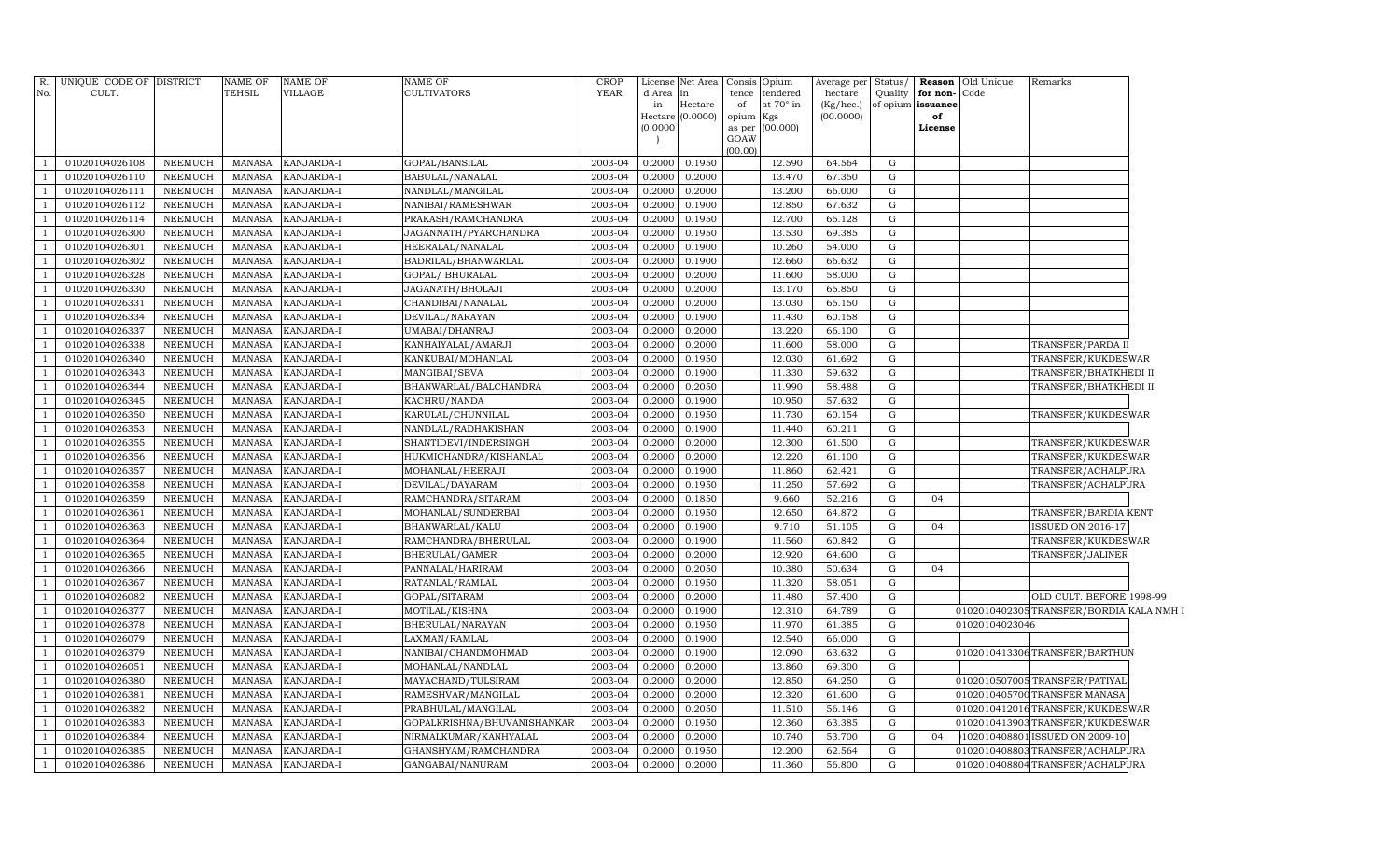| R.             | UNIQUE CODE OF DISTRICT |                | <b>NAME OF</b> | <b>NAME OF</b> | NAME OF                                     | CROP        |           | License Net Area            | Consis      | Opium                   | Average per            | Status/     |                         | <b>Reason</b> Old Unique | Remarks                                 |  |
|----------------|-------------------------|----------------|----------------|----------------|---------------------------------------------|-------------|-----------|-----------------------------|-------------|-------------------------|------------------------|-------------|-------------------------|--------------------------|-----------------------------------------|--|
| No.            | CULT.                   |                | TEHSIL         | VILLAGE        | CULTIVATORS                                 | <b>YEAR</b> | d Area in |                             | tence       | tendered                | hectare                | Quality     | for non-                | Code                     |                                         |  |
|                |                         |                |                |                |                                             |             | in        | Hectare<br>Hectare (0.0000) | of<br>opium | at $70^\circ$ in<br>Kgs | (Kg/hec.)<br>(00.0000) |             | of opium issuance<br>of |                          |                                         |  |
|                |                         |                |                |                |                                             |             | (0.0000)  |                             | as per      | (00.000)                |                        |             | License                 |                          |                                         |  |
|                |                         |                |                |                |                                             |             |           |                             | GOAW        |                         |                        |             |                         |                          |                                         |  |
| -1             | 01020104026108          | NEEMUCH        | MANASA         | KANJARDA-I     | GOPAL/BANSILAL                              | 2003-04     | 0.2000    | 0.1950                      | (00.00)     | 12.590                  | 64.564                 | G           |                         |                          |                                         |  |
| -1             | 01020104026110          | NEEMUCH        | MANASA         | KANJARDA-I     | BABULAL/NANALAL                             | 2003-04     | 0.2000    | 0.2000                      |             | 13.470                  | 67.350                 | G           |                         |                          |                                         |  |
| -1             | 01020104026111          | NEEMUCH        | <b>MANASA</b>  | KANJARDA-I     | $\overline{\mbox{NANDLAL}/\mbox{MANGILAL}}$ | 2003-04     | 0.2000    | 0.2000                      |             | 13.200                  | 66.000                 | G           |                         |                          |                                         |  |
| -1             | 01020104026112          | NEEMUCH        | MANASA         | KANJARDA-I     | NANIBAI/RAMESHWAR                           | 2003-04     | 0.2000    | 0.1900                      |             | 12.850                  | 67.632                 | G           |                         |                          |                                         |  |
| $\mathbf{1}$   | 01020104026114          | NEEMUCH        | <b>MANASA</b>  | KANJARDA-I     | PRAKASH/RAMCHANDRA                          | 2003-04     | 0.2000    | 0.1950                      |             | 12.700                  | 65.128                 | G           |                         |                          |                                         |  |
| <sup>1</sup>   | 01020104026300          | NEEMUCH        | MANASA         | KANJARDA-I     | JAGANNATH/PYARCHANDRA                       | 2003-04     | 0.2000    | 0.1950                      |             | 13.530                  | 69.385                 | ${\rm G}$   |                         |                          |                                         |  |
| <sup>1</sup>   | 01020104026301          | NEEMUCH        | <b>MANASA</b>  | KANJARDA-I     | HEERALAL/NANALAL                            | 2003-04     | 0.2000    | 0.1900                      |             | 10.260                  | 54.000                 | G           |                         |                          |                                         |  |
| <sup>1</sup>   | 01020104026302          | NEEMUCH        | <b>MANASA</b>  | KANJARDA-I     | BADRILAL/BHANWARLAL                         | 2003-04     | 0.2000    | 0.1900                      |             | 12.660                  | 66.632                 | G           |                         |                          |                                         |  |
| $\overline{1}$ | 01020104026328          | NEEMUCH        | <b>MANASA</b>  | KANJARDA-I     | GOPAL/ BHURALAL                             | 2003-04     | 0.2000    | 0.2000                      |             | 11.600                  | 58.000                 | G           |                         |                          |                                         |  |
| <sup>1</sup>   | 01020104026330          | NEEMUCH        | <b>MANASA</b>  | KANJARDA-I     | JAGANATH/BHOLAJI                            | 2003-04     | 0.2000    | 0.2000                      |             | 13.170                  | 65.850                 | G           |                         |                          |                                         |  |
| $\overline{1}$ | 01020104026331          | NEEMUCH        | <b>MANASA</b>  | KANJARDA-I     | CHANDIBAI/NANALAL                           | 2003-04     | 0.2000    | 0.2000                      |             | 13.030                  | 65.150                 | ${\rm G}$   |                         |                          |                                         |  |
| -1             | 01020104026334          | NEEMUCH        | <b>MANASA</b>  | KANJARDA-I     | DEVILAL/NARAYAN                             | 2003-04     | 0.2000    | 0.1900                      |             | 11.430                  | 60.158                 | G           |                         |                          |                                         |  |
| $\overline{1}$ | 01020104026337          | NEEMUCH        | <b>MANASA</b>  | KANJARDA-I     | UMABAI/DHANRAJ                              | 2003-04     | 0.2000    | 0.2000                      |             | 13.220                  | 66.100                 | ${\rm G}$   |                         |                          |                                         |  |
| - 1            | 01020104026338          | NEEMUCH        | <b>MANASA</b>  | KANJARDA-I     | KANHAIYALAL/AMARJI                          | 2003-04     | 0.2000    | 0.2000                      |             | 11.600                  | 58.000                 | ${\rm G}$   |                         |                          | TRANSFER/PARDA II                       |  |
| $\overline{1}$ | 01020104026340          | NEEMUCH        | <b>MANASA</b>  | KANJARDA-I     | KANKUBAI/MOHANLAL                           | 2003-04     | 0.2000    | 0.1950                      |             | 12.030                  | 61.692                 | G           |                         |                          | TRANSFER/KUKDESWAR                      |  |
| $\overline{1}$ | 01020104026343          | NEEMUCH        | <b>MANASA</b>  | KANJARDA-I     | MANGIBAI/SEVA                               | 2003-04     | 0.2000    | 0.1900                      |             | 11.330                  | 59.632                 | ${\rm G}$   |                         |                          | TRANSFER/BHATKHEDI II                   |  |
| $\overline{1}$ | 01020104026344          | NEEMUCH        | MANASA         | KANJARDA-I     | BHANWARLAL/BALCHANDRA                       | 2003-04     | 0.2000    | 0.2050                      |             | 11.990                  | 58.488                 | G           |                         |                          | TRANSFER/BHATKHEDI II                   |  |
| $\overline{1}$ | 01020104026345          | NEEMUCH        | MANASA         | KANJARDA-I     | KACHRU/NANDA                                | 2003-04     | 0.2000    | 0.1900                      |             | 10.950                  | 57.632                 | G           |                         |                          |                                         |  |
| $\overline{1}$ | 01020104026350          | NEEMUCH        | MANASA         | KANJARDA-I     | KARULAL/CHUNNILAL                           | 2003-04     | 0.2000    | 0.1950                      |             | 11.730                  | 60.154                 | G           |                         |                          | TRANSFER/KUKDESWAR                      |  |
| $\overline{1}$ | 01020104026353          | <b>NEEMUCH</b> | MANASA         | KANJARDA-I     | NANDLAL/RADHAKISHAN                         | 2003-04     | 0.2000    | 0.1900                      |             | 11.440                  | 60.211                 | $\mathbf G$ |                         |                          |                                         |  |
| $\overline{1}$ | 01020104026355          | NEEMUCH        | MANASA         | KANJARDA-I     | SHANTIDEVI/INDERSINGH                       | 2003-04     | 0.2000    | 0.2000                      |             | 12.300                  | 61.500                 | G           |                         |                          | TRANSFER/KUKDESWAR                      |  |
| $\overline{1}$ | 01020104026356          | NEEMUCH        | MANASA         | KANJARDA-I     | HUKMICHANDRA/KISHANLAL                      | 2003-04     | 0.2000    | 0.2000                      |             | 12.220                  | 61.100                 | G           |                         |                          | TRANSFER/KUKDESWAR                      |  |
| $\overline{1}$ | 01020104026357          | NEEMUCH        | MANASA         | KANJARDA-I     | MOHANLAL/HEERAJI                            | 2003-04     | 0.2000    | 0.1900                      |             | 11.860                  | 62.421                 | G           |                         |                          | TRANSFER/ACHALPURA                      |  |
| $\overline{1}$ | 01020104026358          | <b>NEEMUCH</b> | <b>MANASA</b>  | KANJARDA-I     | DEVILAL/DAYARAM                             | 2003-04     | 0.2000    | 0.1950                      |             | 11.250                  | 57.692                 | G           |                         |                          | TRANSFER/ACHALPURA                      |  |
| $\overline{1}$ | 01020104026359          | <b>NEEMUCH</b> | <b>MANASA</b>  | KANJARDA-I     | RAMCHANDRA/SITARAM                          | 2003-04     | 0.2000    | 0.1850                      |             | 9.660                   | 52.216                 | G           | 04                      |                          |                                         |  |
| $\overline{1}$ | 01020104026361          | <b>NEEMUCH</b> | <b>MANASA</b>  | KANJARDA-I     | MOHANLAL/SUNDERBAI                          | 2003-04     | 0.2000    | 0.1950                      |             | 12.650                  | 64.872                 | G           |                         |                          | TRANSFER/BARDIA KENT                    |  |
| $\overline{1}$ | 01020104026363          | <b>NEEMUCH</b> | <b>MANASA</b>  | KANJARDA-I     | BHANWARLAL/KALU                             | 2003-04     | 0.2000    | 0.1900                      |             | 9.710                   | 51.105                 | G           | 04                      |                          | <b>ISSUED ON 2016-17</b>                |  |
| $\overline{1}$ | 01020104026364          | NEEMUCH        | <b>MANASA</b>  | KANJARDA-I     | RAMCHANDRA/BHERULAL                         | 2003-04     | 0.2000    | 0.1900                      |             | 11.560                  | 60.842                 | G           |                         |                          | TRANSFER/KUKDESWAR                      |  |
| $\overline{1}$ | 01020104026365          | <b>NEEMUCH</b> | <b>MANASA</b>  | KANJARDA-I     | BHERULAL/GAMER                              | 2003-04     | 0.2000    | 0.2000                      |             | 12.920                  | 64.600                 | G           |                         |                          | TRANSFER/JALINER                        |  |
|                | 01020104026366          | <b>NEEMUCH</b> | <b>MANASA</b>  | KANJARDA-I     | PANNALAL/HARIRAM                            | 2003-04     | 0.2000    | 0.2050                      |             | 10.380                  | 50.634                 | G           | 04                      |                          |                                         |  |
| $\overline{1}$ | 01020104026367          | NEEMUCH        | <b>MANASA</b>  | KANJARDA-I     | RATANLAL/RAMLAL                             | 2003-04     | 0.2000    | 0.1950                      |             | 11.320                  | 58.051                 | G           |                         |                          |                                         |  |
|                | 01020104026082          | NEEMUCH        | <b>MANASA</b>  | KANJARDA-I     | GOPAL/SITARAM                               | 2003-04     | 0.2000    | 0.2000                      |             | 11.480                  | 57.400                 | G           |                         |                          | OLD CULT. BEFORE 1998-99                |  |
| $\overline{1}$ | 01020104026377          | NEEMUCH        | <b>MANASA</b>  | KANJARDA-I     | MOTILAL/KISHNA                              | 2003-04     | 0.2000    | 0.1900                      |             | 12.310                  | 64.789                 | G           |                         |                          | 0102010402305TRANSFER/BORDIA KALA NMH I |  |
|                | 01020104026378          | NEEMUCH        | <b>MANASA</b>  | KANJARDA-I     | BHERULAL/NARAYAN                            | 2003-04     | 0.2000    | 0.1950                      |             | 11.970                  | 61.385                 | G           |                         | 01020104023046           |                                         |  |
| $\overline{1}$ | 01020104026079          | NEEMUCH        | <b>MANASA</b>  | KANJARDA-I     | LAXMAN/RAMLAL                               | 2003-04     | 0.2000    | 0.1900                      |             | 12.540                  | 66.000                 | G           |                         |                          |                                         |  |
| $\overline{1}$ | 01020104026379          | NEEMUCH        | <b>MANASA</b>  | KANJARDA-I     | NANIBAI/CHANDMOHMAD                         | 2003-04     | 0.2000    | 0.1900                      |             | 12.090                  | 63.632                 | G           |                         |                          | 0102010413306 TRANSFER/BARTHUN          |  |
| $\overline{1}$ | 01020104026051          | NEEMUCH        | <b>MANASA</b>  | KANJARDA-I     | MOHANLAL/NANDLAL                            | 2003-04     | 0.2000    | 0.2000                      |             | 13.860                  | 69.300                 | G           |                         |                          |                                         |  |
| $\overline{1}$ | 01020104026380          | NEEMUCH        | <b>MANASA</b>  | KANJARDA-I     | MAYACHAND/TULSIRAM                          | 2003-04     | 0.2000    | 0.2000                      |             | 12.850                  | 64.250                 | G           |                         |                          | 0102010507005 TRANSFER/PATIYAL          |  |
| $\overline{1}$ | 01020104026381          | <b>NEEMUCH</b> | <b>MANASA</b>  | KANJARDA-I     | RAMESHVAR/MANGILAL                          | 2003-04     | 0.2000    | 0.2000                      |             | 12.320                  | 61.600                 | G           |                         |                          | 0102010405700 TRANSFER MANASA           |  |
| $\overline{1}$ | 01020104026382          | <b>NEEMUCH</b> | <b>MANASA</b>  | KANJARDA-I     | PRABHULAL/MANGILAL                          | 2003-04     | 0.2000    | 0.2050                      |             | 11.510                  | 56.146                 | G           |                         |                          | 0102010412016TRANSFER/KUKDESWAR         |  |
| $\overline{1}$ | 01020104026383          | <b>NEEMUCH</b> | <b>MANASA</b>  | KANJARDA-I     | GOPALKRISHNA/BHUVANISHANKAR                 | 2003-04     | 0.2000    | 0.1950                      |             | 12.360                  | 63.385                 | G           |                         |                          | 0102010413903TRANSFER/KUKDESWAR         |  |
| $\overline{1}$ | 01020104026384          | <b>NEEMUCH</b> | <b>MANASA</b>  | KANJARDA-I     | NIRMALKUMAR/KANHYALAL                       | 2003-04     | 0.2000    | 0.2000                      |             | 10.740                  | 53.700                 | G           | 04                      | 10201040880              | <b>ISSUED ON 2009-10</b>                |  |
| <sup>1</sup>   | 01020104026385          | NEEMUCH        | MANASA         | KANJARDA-I     | GHANSHYAM/RAMCHANDRA                        | 2003-04     | 0.2000    | 0.1950                      |             | 12.200                  | 62.564                 | G           |                         |                          | 0102010408803TRANSFER/ACHALPURA         |  |
| -1             | 01020104026386          | <b>NEEMUCH</b> | MANASA         | KANJARDA-I     | GANGABAI/NANURAM                            | 2003-04     | 0.2000    | 0.2000                      |             | 11.360                  | 56.800                 | G           |                         |                          | 0102010408804TRANSFER/ACHALPURA         |  |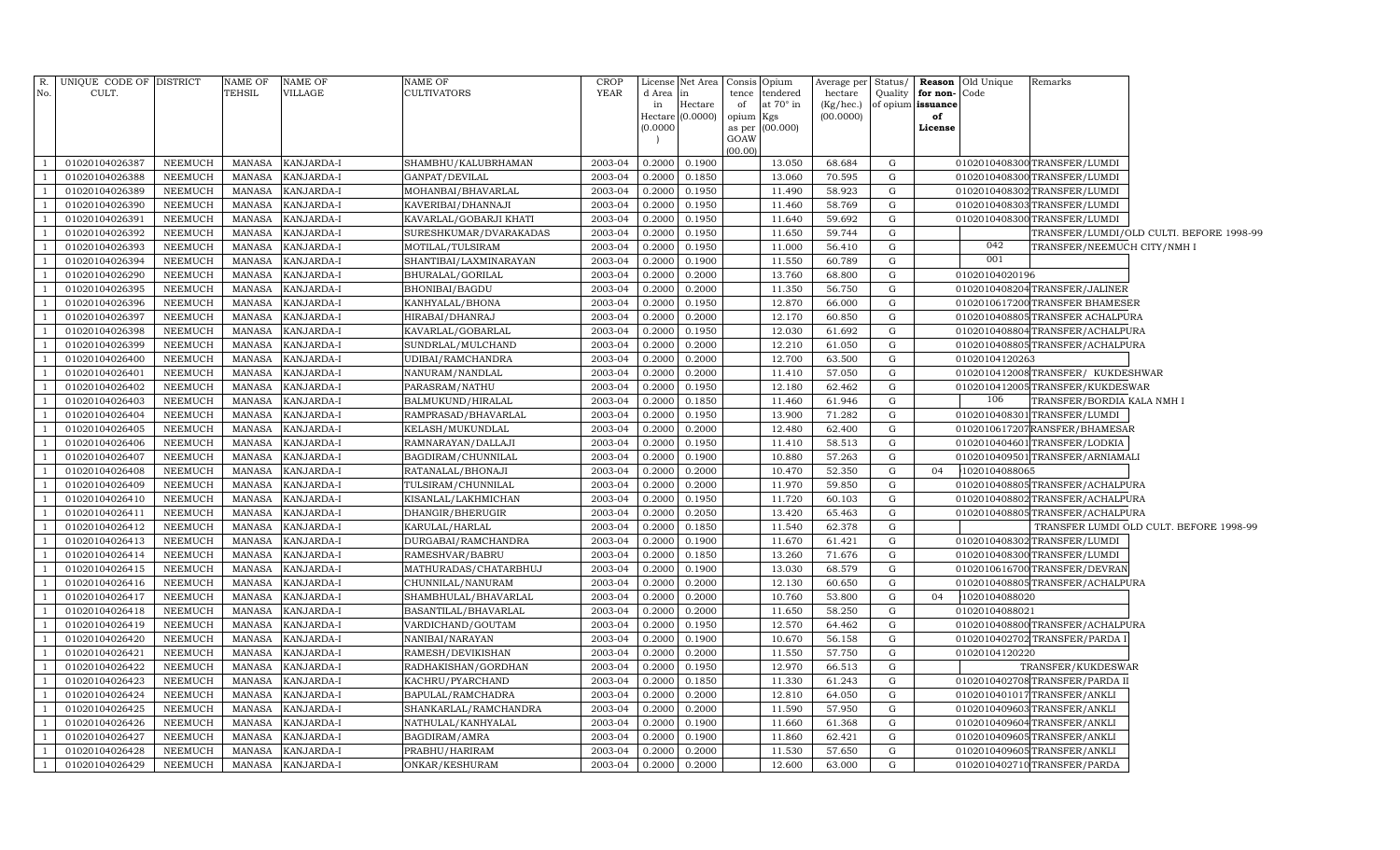| R.  | UNIQUE CODE OF DISTRICT |                | NAME OF       | <b>NAME OF</b> | NAME OF                | <b>CROP</b> | License  | Net Area | Consis         | Opium            | Average per Status/ |           |                   | <b>Reason</b> Old Unique | Remarks                          |                                          |
|-----|-------------------------|----------------|---------------|----------------|------------------------|-------------|----------|----------|----------------|------------------|---------------------|-----------|-------------------|--------------------------|----------------------------------|------------------------------------------|
| No. | CULT.                   |                | TEHSIL        | VILLAGE        | CULTIVATORS            | <b>YEAR</b> | d Area   |          | tence          | endered          | hectare             | Quality   | for non-          | Code                     |                                  |                                          |
|     |                         |                |               |                |                        |             | in       | Hectare  | of             | at $70^\circ$ in | (Kg/hec.)           |           | of opium issuance |                          |                                  |                                          |
|     |                         |                |               |                |                        |             | Hectare  | (0.0000) | opium          | Kgs              | (00.0000)           |           | of                |                          |                                  |                                          |
|     |                         |                |               |                |                        |             | (0.0000) |          | as per<br>GOAW | (00.000)         |                     |           | License           |                          |                                  |                                          |
|     |                         |                |               |                |                        |             |          |          | (00.00)        |                  |                     |           |                   |                          |                                  |                                          |
|     | 01020104026387          | NEEMUCH        | MANASA        | KANJARDA-I     | SHAMBHU/KALUBRHAMAN    | 2003-04     | 0.2000   | 0.1900   |                | 13.050           | 68.684              | G         |                   |                          | 0102010408300TRANSFER/LUMDI      |                                          |
|     | 01020104026388          | <b>NEEMUCH</b> | <b>MANASA</b> | KANJARDA-I     | GANPAT/DEVILAL         | 2003-04     | 0.2000   | 0.1850   |                | 13.060           | 70.595              | G         |                   |                          | 0102010408300 TRANSFER/LUMDI     |                                          |
|     | 01020104026389          | <b>NEEMUCH</b> | MANASA        | KANJARDA-I     | MOHANBAI/BHAVARLAL     | 2003-04     | 0.2000   | 0.1950   |                | 11.490           | 58.923              | G         |                   |                          | 0102010408302 TRANSFER/LUMDI     |                                          |
|     | 01020104026390          | <b>NEEMUCH</b> | MANASA        | KANJARDA-I     | KAVERIBAI/DHANNAJI     | 2003-04     | 0.2000   | 0.1950   |                | 11.460           | 58.769              | G         |                   |                          | 0102010408303TRANSFER/LUMDI      |                                          |
|     | 01020104026391          | <b>NEEMUCH</b> | <b>MANASA</b> | KANJARDA-I     | KAVARLAL/GOBARJI KHATI | 2003-04     | 0.2000   | 0.1950   |                | 11.640           | 59.692              | G         |                   |                          | 0102010408300 TRANSFER/LUMDI     |                                          |
|     | 01020104026392          | <b>NEEMUCH</b> | <b>MANASA</b> | KANJARDA-I     | SURESHKUMAR/DVARAKADAS | 2003-04     | 0.2000   | 0.1950   |                | 11.650           | 59.744              | G         |                   |                          |                                  | TRANSFER/LUMDI/OLD CULTI. BEFORE 1998-99 |
|     | 01020104026393          | <b>NEEMUCH</b> | <b>MANASA</b> | KANJARDA-I     | MOTILAL/TULSIRAM       | 2003-04     | 0.2000   | 0.1950   |                | 11.000           | 56.410              | G         |                   | 042                      | TRANSFER/NEEMUCH CITY/NMH I      |                                          |
|     | 01020104026394          | <b>NEEMUCH</b> | MANASA        | KANJARDA-I     | SHANTIBAI/LAXMINARAYAN | 2003-04     | 0.2000   | 0.1900   |                | 11.550           | 60.789              | G         |                   | 001                      |                                  |                                          |
|     | 01020104026290          | <b>NEEMUCH</b> | <b>MANASA</b> | KANJARDA-I     | BHURALAL/GORILAL       | 2003-04     | 0.2000   | 0.2000   |                | 13.760           | 68.800              | G         |                   | 01020104020196           |                                  |                                          |
|     | 01020104026395          | <b>NEEMUCH</b> | MANASA        | KANJARDA-I     | BHONIBAI/BAGDU         | 2003-04     | 0.2000   | 0.2000   |                | 11.350           | 56.750              | G         |                   |                          | 0102010408204TRANSFER/JALINER    |                                          |
|     | 01020104026396          | <b>NEEMUCH</b> | MANASA        | KANJARDA-I     | KANHYALAL/BHONA        | 2003-04     | 0.2000   | 0.1950   |                | 12.870           | 66.000              | G         |                   |                          | 0102010617200 TRANSFER BHAMESER  |                                          |
| - 1 | 01020104026397          | NEEMUCH        | MANASA        | KANJARDA-I     | HIRABAI/DHANRAJ        | 2003-04     | 0.2000   | 0.2000   |                | 12.170           | 60.850              | G         |                   |                          | 0102010408805 TRANSFER ACHALPURA |                                          |
| -1  | 01020104026398          | <b>NEEMUCH</b> | MANASA        | KANJARDA-I     | KAVARLAL/GOBARLAL      | 2003-04     | 0.2000   | 0.1950   |                | 12.030           | 61.692              | G         |                   |                          | 0102010408804TRANSFER/ACHALPURA  |                                          |
|     | 01020104026399          | NEEMUCH        | MANASA        | KANJARDA-I     | SUNDRLAL/MULCHAND      | 2003-04     | 0.2000   | 0.2000   |                | 12.210           | 61.050              | G         |                   |                          | 0102010408805TRANSFER/ACHALPURA  |                                          |
| - 1 | 01020104026400          | NEEMUCH        | MANASA        | KANJARDA-I     | UDIBAI/RAMCHANDRA      | 2003-04     | 0.2000   | 0.2000   |                | 12.700           | 63.500              | G         |                   | 01020104120263           |                                  |                                          |
|     | 01020104026401          | <b>NEEMUCH</b> | MANASA        | KANJARDA-I     | NANURAM/NANDLAL        | 2003-04     | 0.2000   | 0.2000   |                | 11.410           | 57.050              | G         |                   |                          | 0102010412008TRANSFER/KUKDESHWAR |                                          |
|     | 01020104026402          | <b>NEEMUCH</b> | <b>MANASA</b> | KANJARDA-I     | PARASRAM/NATHU         | 2003-04     | 0.2000   | 0.1950   |                | 12.180           | 62.462              | G         |                   |                          | 0102010412005TRANSFER/KUKDESWAR  |                                          |
|     | 01020104026403          | <b>NEEMUCH</b> | MANASA        | KANJARDA-I     | BALMUKUND/HIRALAL      | 2003-04     | 0.2000   | 0.1850   |                | 11.460           | 61.946              | ${\rm G}$ |                   | 106                      | TRANSFER/BORDIA KALA NMH I       |                                          |
|     | 01020104026404          | <b>NEEMUCH</b> | <b>MANASA</b> | KANJARDA-I     | RAMPRASAD/BHAVARLAL    | 2003-04     | 0.2000   | 0.1950   |                | 13.900           | 71.282              | ${\rm G}$ |                   |                          | 0102010408301TRANSFER/LUMDI      |                                          |
|     | 01020104026405          | <b>NEEMUCH</b> | MANASA        | KANJARDA-I     | KELASH/MUKUNDLAL       | 2003-04     | 0.2000   | 0.2000   |                | 12.480           | 62.400              | G         |                   |                          | 0102010617207RANSFER/BHAMESAR    |                                          |
|     | 01020104026406          | <b>NEEMUCH</b> | <b>MANASA</b> | KANJARDA-I     | RAMNARAYAN/DALLAJI     | 2003-04     | 0.2000   | 0.1950   |                | 11.410           | 58.513              | G         |                   |                          | 0102010404601 TRANSFER/LODKIA    |                                          |
| -1  | 01020104026407          | <b>NEEMUCH</b> | MANASA        | KANJARDA-I     | BAGDIRAM/CHUNNILAL     | 2003-04     | 0.2000   | 0.1900   |                | 10.880           | 57.263              | G         |                   |                          | 0102010409501 TRANSFER/ARNIAMALI |                                          |
| -1  | 01020104026408          | <b>NEEMUCH</b> | MANASA        | KANJARDA-I     | RATANALAL/BHONAJI      | 2003-04     | 0.2000   | 0.2000   |                | 10.470           | 52.350              | G         | 04                | 1020104088065            |                                  |                                          |
|     | 01020104026409          | <b>NEEMUCH</b> | MANASA        | KANJARDA-I     | TULSIRAM/CHUNNILAL     | 2003-04     | 0.2000   | 0.2000   |                | 11.970           | 59.850              | G         |                   |                          | 0102010408805TRANSFER/ACHALPURA  |                                          |
| -1  | 01020104026410          | <b>NEEMUCH</b> | MANASA        | KANJARDA-I     | KISANLAL/LAKHMICHAN    | 2003-04     | 0.2000   | 0.1950   |                | 11.720           | 60.103              | G         |                   |                          | 0102010408802 TRANSFER/ACHALPURA |                                          |
|     | 01020104026411          | NEEMUCH        | MANASA        | KANJARDA-I     | DHANGIR/BHERUGIR       | 2003-04     | 0.2000   | 0.2050   |                | 13.420           | 65.463              | G         |                   |                          | 0102010408805TRANSFER/ACHALPURA  |                                          |
|     | 01020104026412          | NEEMUCH        | <b>MANASA</b> | KANJARDA-I     | KARULAL/HARLAL         | 2003-04     | 0.2000   | 0.1850   |                | 11.540           | 62.378              | G         |                   |                          |                                  | TRANSFER LUMDI OLD CULT. BEFORE 1998-99  |
|     | 01020104026413          | <b>NEEMUCH</b> | MANASA        | KANJARDA-I     | DURGABAI/RAMCHANDRA    | 2003-04     | 0.2000   | 0.1900   |                | 11.670           | 61.421              | G         |                   |                          | 0102010408302TRANSFER/LUMDI      |                                          |
|     | 01020104026414          | NEEMUCH        | <b>MANASA</b> | KANJARDA-I     | RAMESHVAR/BABRU        | 2003-04     | 0.2000   | 0.1850   |                | 13.260           | 71.676              | G         |                   |                          | 0102010408300TRANSFER/LUMDI      |                                          |
|     | 01020104026415          | <b>NEEMUCH</b> | MANASA        | KANJARDA-I     | MATHURADAS/CHATARBHUJ  | 2003-04     | 0.2000   | 0.1900   |                | 13.030           | 68.579              | G         |                   |                          | 0102010616700 TRANSFER/DEVRAN    |                                          |
|     | 01020104026416          | <b>NEEMUCH</b> | <b>MANASA</b> | KANJARDA-I     | CHUNNILAL/NANURAM      | 2003-04     | 0.2000   | 0.2000   |                | 12.130           | 60.650              | ${\rm G}$ |                   |                          | 0102010408805TRANSFER/ACHALPURA  |                                          |
|     | 01020104026417          | <b>NEEMUCH</b> | MANASA        | KANJARDA-I     | SHAMBHULAL/BHAVARLAL   | 2003-04     | 0.2000   | 0.2000   |                | 10.760           | 53.800              | G         | 04                | 1020104088020            |                                  |                                          |
|     | 01020104026418          | <b>NEEMUCH</b> | <b>MANASA</b> | KANJARDA-I     | BASANTILAL/BHAVARLAL   | 2003-04     | 0.2000   | 0.2000   |                | 11.650           | 58.250              | G         |                   | 01020104088021           |                                  |                                          |
|     | 01020104026419          | <b>NEEMUCH</b> | <b>MANASA</b> | KANJARDA-I     | VARDICHAND/GOUTAM      | 2003-04     | 0.2000   | 0.1950   |                | 12.570           | 64.462              | G         |                   |                          | 0102010408800TRANSFER/ACHALPURA  |                                          |
|     | 01020104026420          | <b>NEEMUCH</b> | <b>MANASA</b> | KANJARDA-I     | NANIBAI/NARAYAN        | 2003-04     | 0.2000   | 0.1900   |                | 10.670           | 56.158              | ${\rm G}$ |                   |                          | 0102010402702 TRANSFER/PARDA 1   |                                          |
|     | 01020104026421          | NEEMUCH        | <b>MANASA</b> | KANJARDA-I     | RAMESH/DEVIKISHAN      | 2003-04     | 0.2000   | 0.2000   |                | 11.550           | 57.750              | G         |                   | 01020104120220           |                                  |                                          |
|     | 01020104026422          | <b>NEEMUCH</b> | <b>MANASA</b> | KANJARDA-I     | RADHAKISHAN/GORDHAN    | 2003-04     | 0.2000   | 0.1950   |                | 12.970           | 66.513              | G         |                   |                          | TRANSFER/KUKDESWAR               |                                          |
|     | 01020104026423          | NEEMUCH        | <b>MANASA</b> | KANJARDA-I     | KACHRU/PYARCHAND       | 2003-04     | 0.2000   | 0.1850   |                | 11.330           | 61.243              | G         |                   |                          | 0102010402708 TRANSFER/PARDA II  |                                          |
|     | 01020104026424          | NEEMUCH        | <b>MANASA</b> | KANJARDA-I     | BAPULAL/RAMCHADRA      | 2003-04     | 0.2000   | 0.2000   |                | 12.810           | 64.050              | G         |                   |                          | 0102010401017TRANSFER/ANKLI      |                                          |
|     | 01020104026425          | <b>NEEMUCH</b> | <b>MANASA</b> | KANJARDA-I     | SHANKARLAL/RAMCHANDRA  | 2003-04     | 0.2000   | 0.2000   |                | 11.590           | 57.950              | G         |                   |                          | 0102010409603 TRANSFER/ANKLI     |                                          |
|     | 01020104026426          | NEEMUCH        | <b>MANASA</b> | KANJARDA-I     | NATHULAL/KANHYALAL     | 2003-04     | 0.2000   | 0.1900   |                | 11.660           | 61.368              | G         |                   |                          | 0102010409604 TRANSFER/ANKLI     |                                          |
|     | 01020104026427          | NEEMUCH        | <b>MANASA</b> | KANJARDA-I     | BAGDIRAM/AMRA          | 2003-04     | 0.2000   | 0.1900   |                | 11.860           | 62.421              | G         |                   |                          | 0102010409605 TRANSFER/ANKLI     |                                          |
|     | 01020104026428          | <b>NEEMUCH</b> | <b>MANASA</b> | KANJARDA-I     | PRABHU/HARIRAM         | 2003-04     | 0.2000   | 0.2000   |                | 11.530           | 57.650              | G         |                   |                          | 0102010409605 TRANSFER/ANKLI     |                                          |
|     | 01020104026429          | <b>NEEMUCH</b> | MANASA        | KANJARDA-I     | ONKAR/KESHURAM         | 2003-04     | 0.2000   | 0.2000   |                | 12.600           | 63.000              | G         |                   |                          | 0102010402710TRANSFER/PARDA      |                                          |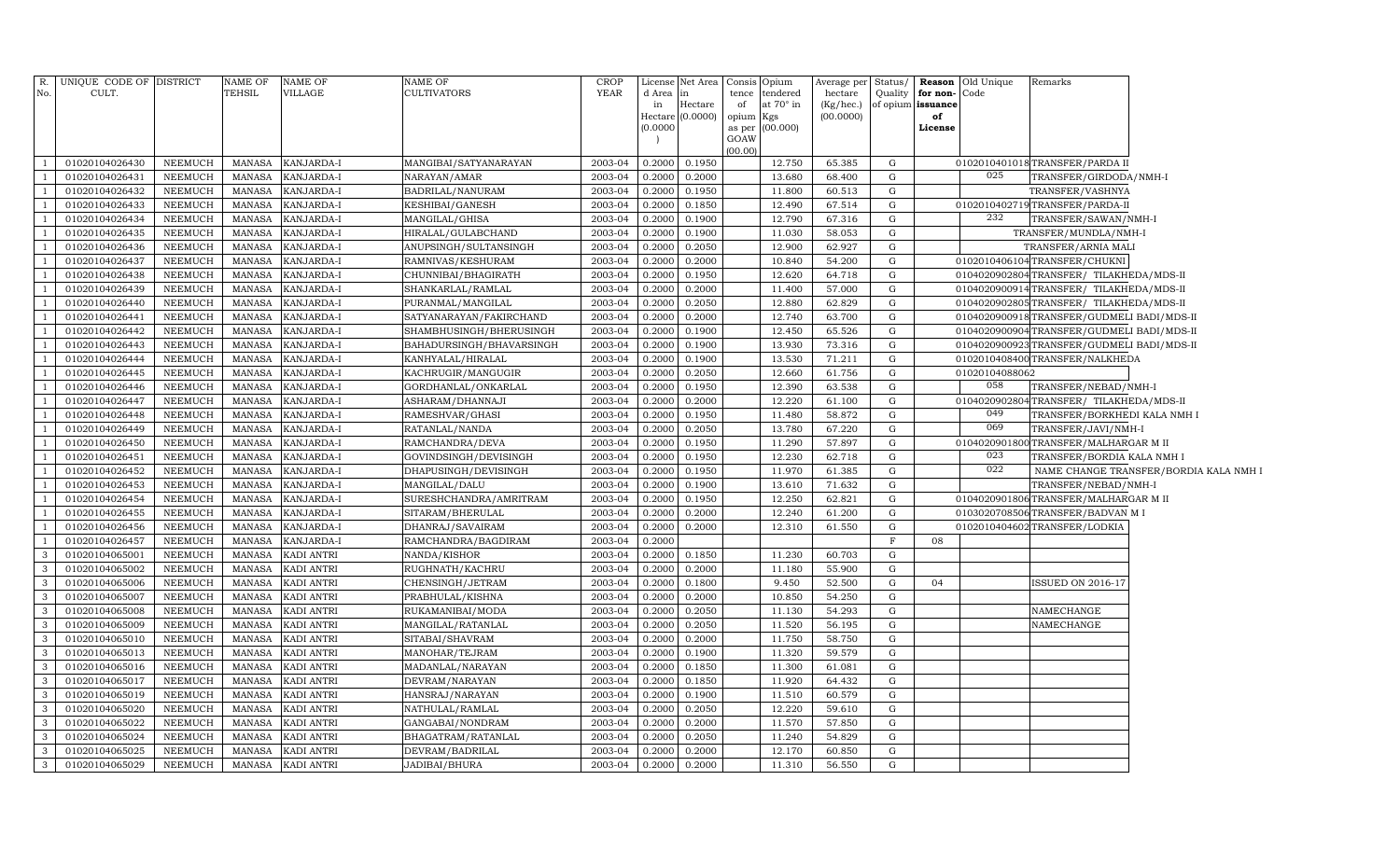| R.             | UNIQUE CODE OF DISTRICT |                | <b>NAME OF</b> | <b>NAME OF</b>    | <b>NAME OF</b>           | CROP    |                            | License Net Area | Consis          | Opium           | Average per Status/ |              | Reason            | Old Unique     | Remarks                                    |                                        |
|----------------|-------------------------|----------------|----------------|-------------------|--------------------------|---------|----------------------------|------------------|-----------------|-----------------|---------------------|--------------|-------------------|----------------|--------------------------------------------|----------------------------------------|
| No.            | CULT.                   |                | TEHSIL         | VILLAGE           | <b>CULTIVATORS</b>       | YEAR    | d Area                     | in               | tence           | tendered        | hectare             | Quality      | for non-          | Code           |                                            |                                        |
|                |                         |                |                |                   |                          |         | in                         | Hectare          | of              | at 70° in       | (Kg/hec.)           |              | of opium issuance |                |                                            |                                        |
|                |                         |                |                |                   |                          |         | <b>Hectare</b><br>(0.0000) | (0.0000)         | opium<br>as per | Kgs<br>(00.000) | (00.0000)           |              | of<br>License     |                |                                            |                                        |
|                |                         |                |                |                   |                          |         |                            |                  | GOAW            |                 |                     |              |                   |                |                                            |                                        |
|                |                         |                |                |                   |                          |         |                            |                  | (00.00)         |                 |                     |              |                   |                |                                            |                                        |
|                | 01020104026430          | NEEMUCH        | MANASA         | KANJARDA-I        | MANGIBAI/SATYANARAYAN    | 2003-04 | 0.2000                     | 0.1950           |                 | 12.750          | 65.385              | G            |                   |                | 0102010401018TRANSFER/PARDA II             |                                        |
|                | 01020104026431          | NEEMUCH        | MANASA         | KANJARDA-I        | NARAYAN/AMAR             | 2003-04 | 0.2000                     | 0.2000           |                 | 13.680          | 68.400              | G            |                   | 025            | TRANSFER/GIRDODA/NMH-I                     |                                        |
| $\overline{1}$ | 01020104026432          | NEEMUCH        | <b>MANASA</b>  | KANJARDA-I        | BADRILAL/NANURAM         | 2003-04 | 0.2000                     | 0.1950           |                 | 11.800          | 60.513              | G            |                   |                | TRANSFER/VASHNYA                           |                                        |
|                | 01020104026433          | NEEMUCH        | <b>MANASA</b>  | KANJARDA-I        | KESHIBAI/GANESH          | 2003-04 | 0.2000                     | 0.1850           |                 | 12.490          | 67.514              | G            |                   |                | 0102010402719 TRANSFER/PARDA-II            |                                        |
|                | 01020104026434          | NEEMUCH        | <b>MANASA</b>  | KANJARDA-I        | MANGILAL/GHISA           | 2003-04 | 0.2000                     | 0.1900           |                 | 12.790          | 67.316              | G            |                   | 232            | TRANSFER/SAWAN/NMH-I                       |                                        |
| $\overline{1}$ | 01020104026435          | NEEMUCH        | <b>MANASA</b>  | KANJARDA-I        | HIRALAL/GULABCHAND       | 2003-04 | 0.2000                     | 0.1900           |                 | 11.030          | 58.053              | G            |                   |                | TRANSFER/MUNDLA/NMH-I                      |                                        |
|                | 01020104026436          | NEEMUCH        | <b>MANASA</b>  | KANJARDA-I        | ANUPSINGH/SULTANSINGH    | 2003-04 | 0.2000                     | 0.2050           |                 | 12.900          | 62.927              | G            |                   |                | TRANSFER/ARNIA MALI                        |                                        |
| $\overline{1}$ | 01020104026437          | NEEMUCH        | <b>MANASA</b>  | KANJARDA-I        | RAMNIVAS/KESHURAM        | 2003-04 | 0.2000                     | 0.2000           |                 | 10.840          | 54.200              | G            |                   |                | 0102010406104TRANSFER/CHUKNI               |                                        |
| -1             | 01020104026438          | NEEMUCH        | <b>MANASA</b>  | KANJARDA-I        | CHUNNIBAI/BHAGIRATH      | 2003-04 | 0.2000                     | 0.1950           |                 | 12.620          | 64.718              | G            |                   |                | 0104020902804TRANSFER/TILAKHEDA/MDS-II     |                                        |
|                | 01020104026439          | NEEMUCH        | <b>MANASA</b>  | KANJARDA-I        | SHANKARLAL/RAMLAL        | 2003-04 | 0.2000                     | 0.2000           |                 | 11.400          | 57.000              | G            |                   |                | 0104020900914TRANSFER/ TILAKHEDA/MDS-II    |                                        |
| $\overline{1}$ | 01020104026440          | NEEMUCH        | <b>MANASA</b>  | KANJARDA-I        | PURANMAL/MANGILAL        | 2003-04 | 0.2000                     | 0.2050           |                 | 12.880          | 62.829              | G            |                   |                | 0104020902805TRANSFER/TILAKHEDA/MDS-II     |                                        |
| $\overline{1}$ | 01020104026441          | NEEMUCH        | <b>MANASA</b>  | KANJARDA-I        | SATYANARAYAN/FAKIRCHAND  | 2003-04 | 0.2000                     | 0.2000           |                 | 12.740          | 63.700              | G            |                   |                | 0104020900918TRANSFER/GUDMELI BADI/MDS-II  |                                        |
| $\overline{1}$ | 01020104026442          | NEEMUCH        | <b>MANASA</b>  | KANJARDA-I        | SHAMBHUSINGH/BHERUSINGH  | 2003-04 | 0.2000                     | 0.1900           |                 | 12.450          | 65.526              | G            |                   |                | 0104020900904TRANSFER/GUDMELI BADI/MDS-II  |                                        |
|                | 01020104026443          | NEEMUCH        | <b>MANASA</b>  | KANJARDA-I        | BAHADURSINGH/BHAVARSINGH | 2003-04 | 0.2000                     | 0.1900           |                 | 13.930          | 73.316              | G            |                   |                | 0104020900923 TRANSFER/GUDMELI BADI/MDS-II |                                        |
| $\overline{1}$ | 01020104026444          | NEEMUCH        | <b>MANASA</b>  | KANJARDA-I        | KANHYALAL/HIRALAL        | 2003-04 | 0.2000                     | 0.1900           |                 | 13.530          | 71.211              | G            |                   |                | 0102010408400TRANSFER/NALKHEDA             |                                        |
|                | 01020104026445          | NEEMUCH        | <b>MANASA</b>  | KANJARDA-I        | KACHRUGIR/MANGUGIR       | 2003-04 | 0.2000                     | 0.2050           |                 | 12.660          | 61.756              | G            |                   | 01020104088062 |                                            |                                        |
|                | 01020104026446          | NEEMUCH        | <b>MANASA</b>  | KANJARDA-I        | GORDHANLAL/ONKARLAL      | 2003-04 | 0.2000                     | 0.1950           |                 | 12.390          | 63.538              | G            |                   | 058            | TRANSFER/NEBAD/NMH-I                       |                                        |
|                | 01020104026447          | NEEMUCH        | <b>MANASA</b>  | KANJARDA-I        | ASHARAM/DHANNAJI         | 2003-04 | 0.2000                     | 0.2000           |                 | 12.220          | 61.100              | ${\rm G}$    |                   |                | 0104020902804TRANSFER/TILAKHEDA/MDS-II     |                                        |
|                | 01020104026448          | NEEMUCH        | <b>MANASA</b>  | KANJARDA-I        | RAMESHVAR/GHASI          | 2003-04 | 0.2000                     | 0.1950           |                 | 11.480          | 58.872              | G            |                   | 049            | TRANSFER/BORKHEDI KALA NMH I               |                                        |
| -1             | 01020104026449          | NEEMUCH        | <b>MANASA</b>  | KANJARDA-I        | RATANLAL/NANDA           | 2003-04 | 0.2000                     | 0.2050           |                 | 13.780          | 67.220              | ${\rm G}$    |                   | 069            | TRANSFER/JAVI/NMH-I                        |                                        |
|                | 01020104026450          | NEEMUCH        | <b>MANASA</b>  | KANJARDA-I        | RAMCHANDRA/DEVA          | 2003-04 | 0.2000                     | 0.1950           |                 | 11.290          | 57.897              | ${\rm G}$    |                   |                | 0104020901800 TRANSFER/MALHARGAR M II      |                                        |
|                | 01020104026451          | NEEMUCH        | <b>MANASA</b>  | KANJARDA-I        | GOVINDSINGH/DEVISINGH    | 2003-04 | 0.2000                     | 0.1950           |                 | 12.230          | 62.718              | $\mathbf G$  |                   | 023            | TRANSFER/BORDIA KALA NMH I                 |                                        |
|                | 01020104026452          | NEEMUCH        | <b>MANASA</b>  | KANJARDA-I        | DHAPUSINGH/DEVISINGH     | 2003-04 | 0.2000                     | 0.1950           |                 | 11.970          | 61.385              | ${\rm G}$    |                   | 022            |                                            | NAME CHANGE TRANSFER/BORDIA KALA NMH I |
|                | 01020104026453          | NEEMUCH        | <b>MANASA</b>  | KANJARDA-I        | MANGILAL/DALU            | 2003-04 | 0.2000                     | 0.1900           |                 | 13.610          | 71.632              | ${\rm G}$    |                   |                | TRANSFER/NEBAD/NMH-I                       |                                        |
|                | 01020104026454          | NEEMUCH        | <b>MANASA</b>  | KANJARDA-I        | SURESHCHANDRA/AMRITRAM   | 2003-04 | 0.2000                     | 0.1950           |                 | 12.250          | 62.821              | ${\rm G}$    |                   |                | 0104020901806 TRANSFER/MALHARGAR M II      |                                        |
|                | 01020104026455          | NEEMUCH        | MANASA         | KANJARDA-I        | SITARAM/BHERULAL         | 2003-04 | 0.2000                     | 0.2000           |                 | 12.240          | 61.200              | G            |                   | 0103020708506  | 5TRANSFER/BADVAN MI                        |                                        |
| - 1            | 01020104026456          | NEEMUCH        | MANASA         | KANJARDA-I        | DHANRAJ/SAVAIRAM         | 2003-04 | 0.2000                     | 0.2000           |                 | 12.310          | 61.550              | G            |                   |                | 0102010404602 TRANSFER/LODKIA              |                                        |
|                | 01020104026457          | NEEMUCH        | <b>MANASA</b>  | KANJARDA-I        | RAMCHANDRA/BAGDIRAM      | 2003-04 | 0.2000                     |                  |                 |                 |                     | F            | 08                |                |                                            |                                        |
| 3              | 01020104065001          | NEEMUCH        | MANASA         | KADI ANTRI        | NANDA/KISHOR             | 2003-04 | 0.2000                     | 0.1850           |                 | 11.230          | 60.703              | G            |                   |                |                                            |                                        |
| -3             | 01020104065002          | NEEMUCH        | <b>MANASA</b>  | KADI ANTRI        | RUGHNATH/KACHRU          | 2003-04 | 0.2000                     | 0.2000           |                 | 11.180          | 55.900              | G            |                   |                |                                            |                                        |
| 3              | 01020104065006          | NEEMUCH        | <b>MANASA</b>  | KADI ANTRI        | CHENSINGH/JETRAM         | 2003-04 | 0.2000                     | 0.1800           |                 | 9.450           | 52.500              | $\mathbf G$  | 04                |                | <b>SSUED ON 2016-17</b>                    |                                        |
| 3              | 01020104065007          | NEEMUCH        | <b>MANASA</b>  | KADI ANTRI        | PRABHULAL/KISHNA         | 2003-04 | 0.2000                     | 0.2000           |                 | 10.850          | 54.250              | $\mathbf G$  |                   |                |                                            |                                        |
| 3              | 01020104065008          | NEEMUCH        | <b>MANASA</b>  | KADI ANTRI        | RUKAMANIBAI/MODA         | 2003-04 | 0.2000                     | 0.2050           |                 | 11.130          | 54.293              | $\mathbf G$  |                   |                | NAMECHANGE                                 |                                        |
| 3              | 01020104065009          | NEEMUCH        | <b>MANASA</b>  | KADI ANTRI        | MANGILAL/RATANLAL        | 2003-04 | 0.2000                     | 0.2050           |                 | 11.520          | 56.195              | $\mathbf G$  |                   |                | NAMECHANGE                                 |                                        |
| 3              | 01020104065010          | NEEMUCH        | <b>MANASA</b>  | KADI ANTRI        | SITABAI/SHAVRAM          | 2003-04 | 0.2000                     | 0.2000           |                 | 11.750          | 58.750              | G            |                   |                |                                            |                                        |
| 3              | 01020104065013          | NEEMUCH        | <b>MANASA</b>  | KADI ANTRI        | MANOHAR/TEJRAM           | 2003-04 | 0.2000                     | 0.1900           |                 | 11.320          | 59.579              | $\mathbf G$  |                   |                |                                            |                                        |
| 3              | 01020104065016          | <b>NEEMUCH</b> | <b>MANASA</b>  | KADI ANTRI        | MADANLAL/NARAYAN         | 2003-04 | 0.2000                     | 0.1850           |                 | 11.300          | 61.081              | $\mathbf G$  |                   |                |                                            |                                        |
|                | 01020104065017          | NEEMUCH        | <b>MANASA</b>  | <b>KADI ANTRI</b> | DEVRAM/NARAYAN           | 2003-04 | 0.2000                     | 0.1850           |                 | 11.920          | 64.432              | $\mathbf{G}$ |                   |                |                                            |                                        |
| 3              | 01020104065019          | <b>NEEMUCH</b> | <b>MANASA</b>  | <b>KADI ANTRI</b> | HANSRAJ/NARAYAN          | 2003-04 | 0.2000                     | 0.1900           |                 | 11.510          | 60.579              | G            |                   |                |                                            |                                        |
| 3              | 01020104065020          | <b>NEEMUCH</b> | <b>MANASA</b>  | <b>KADI ANTRI</b> | NATHULAL/RAMLAL          | 2003-04 | 0.2000                     | 0.2050           |                 | 12.220          | 59.610              | G            |                   |                |                                            |                                        |
| 3              | 01020104065022          | <b>NEEMUCH</b> | <b>MANASA</b>  | KADI ANTRI        | GANGABAI/NONDRAM         | 2003-04 | 0.2000                     | 0.2000           |                 | 11.570          | 57.850              | G            |                   |                |                                            |                                        |
| 3              | 01020104065024          | <b>NEEMUCH</b> | <b>MANASA</b>  | <b>KADI ANTRI</b> | BHAGATRAM/RATANLAL       | 2003-04 | 0.2000                     | 0.2050           |                 | 11.240          | 54.829              | ${\rm G}$    |                   |                |                                            |                                        |
| $\overline{3}$ | 01020104065025          | NEEMUCH        | <b>MANASA</b>  | <b>KADI ANTRI</b> | DEVRAM/BADRILAL          | 2003-04 | 0.2000                     | 0.2000           |                 | 12.170          | 60.850              | G            |                   |                |                                            |                                        |
| $\mathbf{3}$   | 01020104065029          | <b>NEEMUCH</b> | MANASA         | <b>KADI ANTRI</b> | JADIBAI/BHURA            | 2003-04 | 0.2000                     | 0.2000           |                 | 11.310          | 56.550              | ${\rm G}$    |                   |                |                                            |                                        |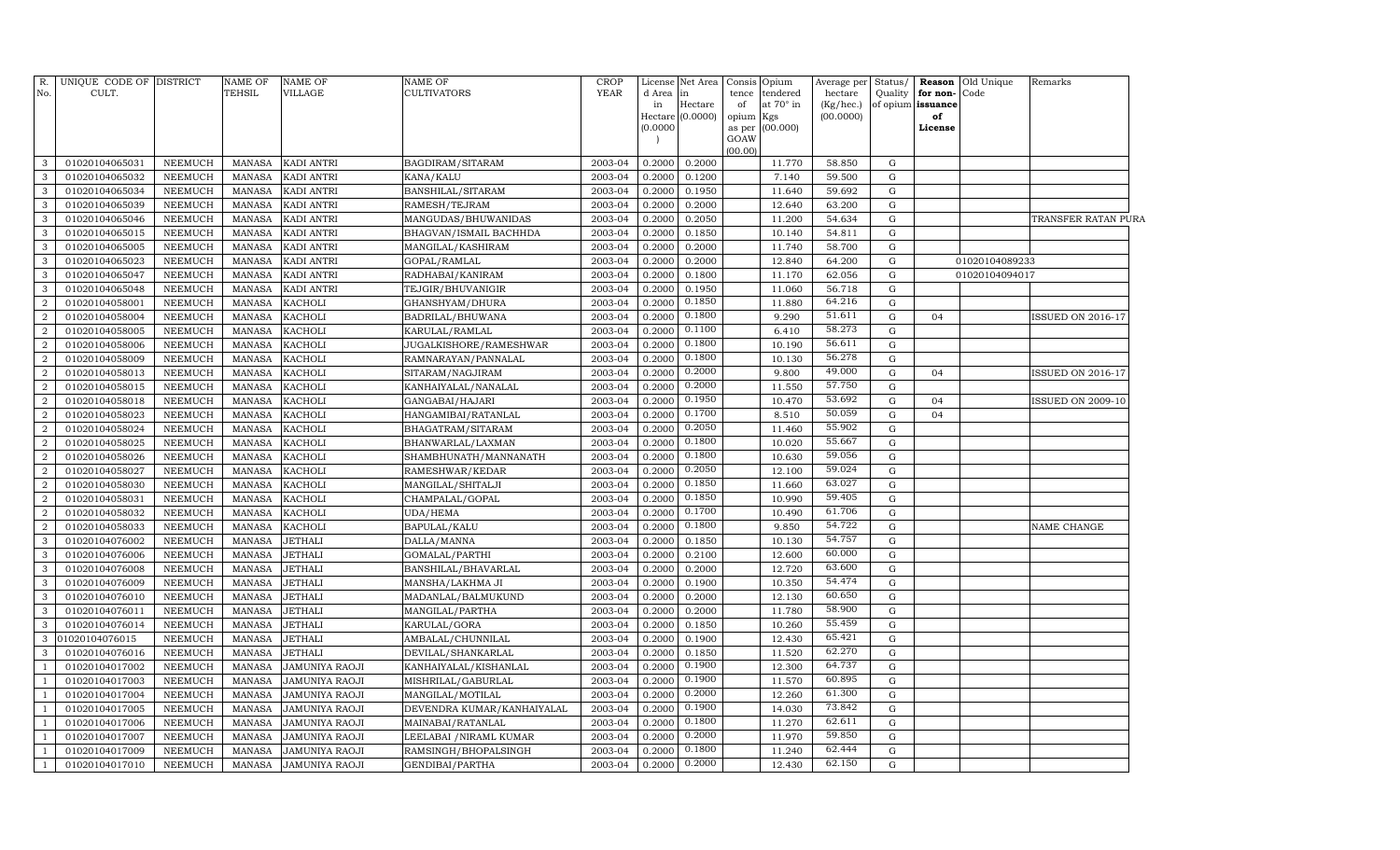| $R_{\cdot}$<br>No.   | UNIQUE CODE OF DISTRICT<br>CULT. |                    | <b>NAME OF</b><br><b>TEHSIL</b> | <b>NAME OF</b><br><b>VILLAGE</b>        | <b>NAME OF</b><br>CULTIVATORS          | <b>CROP</b><br>YEAR | d Area in<br>in<br>(0.0000) | License Net Area<br>Hectare<br>Hectare $(0.0000)$ | Consis Opium<br>tence<br>of<br>opium<br>GOAW | tendered<br>at 70° in<br>Kgs<br>as per (00.000) | Average per<br>hectare<br>(Kg/hec.)<br>(00.0000) | Status/<br>Quality | for non-<br>of opium issuance<br>of<br>License | <b>Reason</b> Old Unique<br>Code | Remarks                  |
|----------------------|----------------------------------|--------------------|---------------------------------|-----------------------------------------|----------------------------------------|---------------------|-----------------------------|---------------------------------------------------|----------------------------------------------|-------------------------------------------------|--------------------------------------------------|--------------------|------------------------------------------------|----------------------------------|--------------------------|
| 3                    | 01020104065031                   | NEEMUCH            | <b>MANASA</b>                   | <b>KADI ANTRI</b>                       | BAGDIRAM/SITARAM                       | 2003-04             | 0.2000                      | 0.2000                                            | (00.00)                                      | 11.770                                          | 58.850                                           | G                  |                                                |                                  |                          |
| 3                    | 01020104065032                   | NEEMUCH            | <b>MANASA</b>                   | KADI ANTRI                              | KANA/KALU                              | 2003-04             | 0.2000                      | 0.1200                                            |                                              | 7.140                                           | 59.500                                           | G                  |                                                |                                  |                          |
| 3                    | 01020104065034                   | NEEMUCH            | <b>MANASA</b>                   | KADI ANTRI                              | BANSHILAL/SITARAM                      | 2003-04             | 0.2000                      | 0.1950                                            |                                              | 11.640                                          | 59.692                                           | G                  |                                                |                                  |                          |
| 3                    | 01020104065039                   | NEEMUCH            | <b>MANASA</b>                   | <b>KADI ANTRI</b>                       | RAMESH/TEJRAM                          | 2003-04             | 0.2000                      | 0.2000                                            |                                              | 12.640                                          | 63.200                                           | G                  |                                                |                                  |                          |
| 3                    | 01020104065046                   | NEEMUCH            | <b>MANASA</b>                   | KADI ANTRI                              | MANGUDAS/BHUWANIDAS                    | 2003-04             | 0.2000                      | 0.2050                                            |                                              | 11.200                                          | 54.634                                           | G                  |                                                |                                  | TRANSFER RATAN PURA      |
| 3                    | 01020104065015                   | NEEMUCH            | <b>MANASA</b>                   | KADI ANTRI                              | BHAGVAN/ISMAIL BACHHDA                 | 2003-04             | 0.2000                      | 0.1850                                            |                                              | 10.140                                          | 54.811                                           | G                  |                                                |                                  |                          |
| 3                    | 01020104065005                   | NEEMUCH            | <b>MANASA</b>                   | <b>KADI ANTRI</b>                       | MANGILAL/KASHIRAM                      | 2003-04             | 0.2000                      | 0.2000                                            |                                              | 11.740                                          | 58.700                                           | G                  |                                                |                                  |                          |
| 3                    | 01020104065023                   | NEEMUCH            | <b>MANASA</b>                   | KADI ANTRI                              | GOPAL/RAMLAL                           | 2003-04             | 0.2000                      | 0.2000                                            |                                              | 12.840                                          | 64.200                                           | G                  |                                                | 01020104089233                   |                          |
| 3                    | 01020104065047                   | NEEMUCH            | <b>MANASA</b>                   | KADI ANTRI                              | RADHABAI/KANIRAM                       | 2003-04             | 0.2000                      | 0.1800                                            |                                              | 11.170                                          | 62.056                                           | G                  |                                                | 01020104094017                   |                          |
| $\mathbf{3}$         | 01020104065048                   | NEEMUCH            | <b>MANASA</b>                   | KADI ANTRI                              | TEJGIR/BHUVANIGIR                      | 2003-04             | 0.2000                      | 0.1950                                            |                                              | 11.060                                          | 56.718                                           | G                  |                                                |                                  |                          |
| $\overline{2}$       | 01020104058001                   | NEEMUCH            | <b>MANASA</b>                   | <b>KACHOLI</b>                          | GHANSHYAM/DHURA                        | 2003-04             | 0.2000                      | 0.1850                                            |                                              | 11.880                                          | 64.216                                           | G                  |                                                |                                  |                          |
| $\overline{2}$       | 01020104058004                   | NEEMUCH            | <b>MANASA</b>                   | <b>KACHOLI</b>                          | BADRILAL/BHUWANA                       | 2003-04             | 0.2000                      | 0.1800                                            |                                              | 9.290                                           | 51.611                                           | G                  | 04                                             |                                  | <b>ISSUED ON 2016-17</b> |
| $\overline{2}$       | 01020104058005                   | NEEMUCH            | <b>MANASA</b>                   | <b>KACHOLI</b>                          | KARULAL/RAMLAL                         | 2003-04             | 0.2000                      | 0.1100                                            |                                              | 6.410                                           | 58.273                                           | G                  |                                                |                                  |                          |
| $\overline{2}$       | 01020104058006                   | <b>NEEMUCH</b>     | <b>MANASA</b>                   | <b>KACHOLI</b>                          | JUGALKISHORE/RAMESHWAR                 | 2003-04             | 0.2000                      | 0.1800                                            |                                              | 10.190                                          | 56.611                                           | G                  |                                                |                                  |                          |
| $\overline{2}$       | 01020104058009                   | NEEMUCH            | <b>MANASA</b>                   | <b>KACHOLI</b>                          | RAMNARAYAN/PANNALAL                    | 2003-04             | 0.2000                      | 0.1800                                            |                                              | 10.130                                          | 56.278                                           | G                  |                                                |                                  |                          |
| $\overline{2}$       | 01020104058013                   | NEEMUCH            | <b>MANASA</b>                   | <b>KACHOLI</b>                          | SITARAM/NAGJIRAM                       | 2003-04             | 0.2000                      | 0.2000                                            |                                              | 9.800                                           | 49.000                                           | G                  | 04                                             |                                  | ISSUED ON 2016-17        |
| $\overline{2}$       | 01020104058015                   | NEEMUCH            | <b>MANASA</b>                   | <b>KACHOLI</b>                          | KANHAIYALAL/NANALAL                    | 2003-04             | 0.2000                      | 0.2000                                            |                                              | 11.550                                          | 57.750                                           | G                  |                                                |                                  |                          |
| $\overline{2}$       | 01020104058018                   | NEEMUCH            | <b>MANASA</b>                   | <b>KACHOLI</b>                          | GANGABAI/HAJARI                        | 2003-04             | 0.2000                      | 0.1950                                            |                                              | 10.470                                          | 53.692                                           | ${\rm G}$          | 04                                             |                                  | <b>ISSUED ON 2009-10</b> |
| $\overline{2}$       | 01020104058023                   | NEEMUCH            | <b>MANASA</b>                   | <b>KACHOLI</b>                          | HANGAMIBAI/RATANLAL                    | 2003-04             | 0.2000                      | 0.1700                                            |                                              | 8.510                                           | 50.059                                           | G                  | 04                                             |                                  |                          |
| $\overline{2}$       | 01020104058024                   | NEEMUCH            | <b>MANASA</b>                   | <b>KACHOLI</b>                          | BHAGATRAM / SITARAM                    | 2003-04             | 0.2000                      | 0.2050                                            |                                              | 11.460                                          | 55.902                                           | G                  |                                                |                                  |                          |
| $\overline{2}$       | 01020104058025                   | NEEMUCH            | <b>MANASA</b>                   | <b>KACHOLI</b>                          | BHANWARLAL/LAXMAN                      | 2003-04             | 0.2000                      | 0.1800                                            |                                              | 10.020                                          | 55.667                                           | G                  |                                                |                                  |                          |
| $\overline{2}$       | 01020104058026                   | NEEMUCH            | <b>MANASA</b>                   | <b>KACHOLI</b>                          | SHAMBHUNATH/MANNANATH                  | 2003-04             | 0.2000                      | 0.1800                                            |                                              | 10.630                                          | 59.056                                           | G                  |                                                |                                  |                          |
| $\overline{2}$       | 01020104058027                   | NEEMUCH            | <b>MANASA</b>                   | <b>KACHOLI</b>                          | RAMESHWAR/KEDAR                        | 2003-04             | 0.2000                      | 0.2050                                            |                                              | 12.100                                          | 59.024                                           | G                  |                                                |                                  |                          |
| $\overline{2}$       | 01020104058030                   | NEEMUCH            | <b>MANASA</b>                   | <b>KACHOLI</b>                          | MANGILAL/SHITALJI                      | 2003-04             | 0.2000                      | 0.1850                                            |                                              | 11.660                                          | 63.027                                           | G                  |                                                |                                  |                          |
| $\overline{2}$       | 01020104058031                   | NEEMUCH            | <b>MANASA</b>                   | <b>KACHOLI</b>                          | CHAMPALAL/GOPAL                        | 2003-04             | 0.2000                      | 0.1850                                            |                                              | 10.990                                          | 59.405                                           | G                  |                                                |                                  |                          |
| $\overline{2}$       | 01020104058032                   | NEEMUCH            | <b>MANASA</b>                   | <b>KACHOLI</b>                          | UDA/HEMA                               | 2003-04             | 0.2000                      | 0.1700                                            |                                              | 10.490                                          | 61.706                                           | G                  |                                                |                                  |                          |
| $\overline{2}$       | 01020104058033                   | NEEMUCH            | <b>MANASA</b>                   | <b>KACHOLI</b>                          | BAPULAL/KALU                           | 2003-04             | 0.2000                      | 0.1800                                            |                                              | 9.850                                           | 54.722                                           | G                  |                                                |                                  | NAME CHANGE              |
| 3                    | 01020104076002                   | NEEMUCH            | <b>MANASA</b>                   | JETHALI                                 | DALLA/MANNA                            | 2003-04             | 0.2000                      | 0.1850                                            |                                              | 10.130                                          | 54.757                                           | G                  |                                                |                                  |                          |
| $\mathbf{3}$         | 01020104076006                   | NEEMUCH            | <b>MANASA</b>                   | <b>JETHALI</b>                          | GOMALAL/PARTHI                         | 2003-04             | 0.2000                      | 0.2100                                            |                                              | 12.600                                          | 60.000                                           | G                  |                                                |                                  |                          |
| 3                    | 01020104076008                   | NEEMUCH            | <b>MANASA</b>                   | <b>JETHALI</b>                          | BANSHILAL/BHAVARLAL                    | 2003-04             | 0.2000                      | 0.2000                                            |                                              | 12.720                                          | 63.600                                           | G                  |                                                |                                  |                          |
| 3                    | 01020104076009                   | NEEMUCH            | <b>MANASA</b>                   | <b>JETHALI</b>                          | MANSHA/LAKHMA JI                       | 2003-04             | 0.2000                      | 0.1900                                            |                                              | 10.350                                          | 54.474                                           | G                  |                                                |                                  |                          |
| 3                    | 01020104076010                   | NEEMUCH            | <b>MANASA</b>                   | <b>JETHALI</b>                          | MADANLAL/BALMUKUND                     | 2003-04             | 0.2000                      | 0.2000                                            |                                              | 12.130                                          | 60.650<br>58.900                                 | G                  |                                                |                                  |                          |
| 3                    | 01020104076011                   | NEEMUCH            | <b>MANASA</b>                   | <b>JETHALI</b>                          | MANGILAL/PARTHA                        | 2003-04             | 0.2000                      | 0.2000                                            |                                              | 11.780                                          | 55.459                                           | G                  |                                                |                                  |                          |
| 3                    | 01020104076014                   | NEEMUCH            | <b>MANASA</b>                   | <b>JETHALI</b>                          | KARULAL/GORA                           | 2003-04             | 0.2000                      | 0.1850                                            |                                              | 10.260                                          |                                                  | G                  |                                                |                                  |                          |
| 3                    | 01020104076015                   | NEEMUCH            | <b>MANASA</b>                   | <b>JETHALI</b>                          | AMBALAL/CHUNNILAL                      | 2003-04             | 0.2000                      | 0.1900                                            |                                              | 12.430                                          | 65.421<br>62.270                                 | G                  |                                                |                                  |                          |
| 3                    | 01020104076016                   | NEEMUCH            | <b>MANASA</b>                   | <b>JETHALI</b>                          | DEVILAL/SHANKARLAL                     | 2003-04             | 0.2000                      | 0.1850<br>0.1900                                  |                                              | 11.520                                          | 64.737                                           | G                  |                                                |                                  |                          |
| $\overline{1}$       | 01020104017002                   | NEEMUCH            | <b>MANASA</b>                   | JAMUNIYA RAOJI                          | KANHAIYALAL/KISHANLAL                  | 2003-04             | 0.2000                      | 0.1900                                            |                                              | 12.300                                          | 60.895                                           | G                  |                                                |                                  |                          |
| -1<br>$\overline{1}$ | 01020104017003<br>01020104017004 | NEEMUCH<br>NEEMUCH | <b>MANASA</b><br><b>MANASA</b>  | JAMUNIYA RAOJI<br><b>JAMUNIYA RAOJI</b> | MISHRILAL/GABURLAL<br>MANGILAL/MOTILAL | 2003-04<br>2003-04  | 0.2000<br>0.2000            | 0.2000                                            |                                              | 11.570<br>12.260                                | 61.300                                           | G<br>G             |                                                |                                  |                          |
| -1                   | 01020104017005                   | NEEMUCH            | <b>MANASA</b>                   | JAMUNIYA RAOJI                          | DEVENDRA KUMAR/KANHAIYALAL             | 2003-04             | 0.2000                      | 0.1900                                            |                                              | 14.030                                          | 73.842                                           | G                  |                                                |                                  |                          |
| -1                   | 01020104017006                   | NEEMUCH            | <b>MANASA</b>                   | JAMUNIYA RAOJI                          | MAINABAI/RATANLAL                      | 2003-04             | 0.2000                      | 0.1800                                            |                                              | 11.270                                          | 62.611                                           | G                  |                                                |                                  |                          |
| $\mathbf{1}$         | 01020104017007                   | NEEMUCH            | <b>MANASA</b>                   | JAMUNIYA RAOJI                          | LEELABAI / NIRAML KUMAR                | 2003-04             | 0.2000                      | 0.2000                                            |                                              | 11.970                                          | 59.850                                           | G                  |                                                |                                  |                          |
| $\mathbf{1}$         | 01020104017009                   | NEEMUCH            | <b>MANASA</b>                   | JAMUNIYA RAOJI                          | RAMSINGH/BHOPALSINGH                   | 2003-04             | 0.2000                      | 0.1800                                            |                                              | 11.240                                          | 62.444                                           | G                  |                                                |                                  |                          |
| $\mathbf{1}$         | 01020104017010                   | NEEMUCH            | MANASA                          | <b>JAMUNIYA RAOJI</b>                   | GENDIBAI/PARTHA                        | 2003-04             | 0.2000                      | 0.2000                                            |                                              | 12.430                                          | 62.150                                           | G                  |                                                |                                  |                          |
|                      |                                  |                    |                                 |                                         |                                        |                     |                             |                                                   |                                              |                                                 |                                                  |                    |                                                |                                  |                          |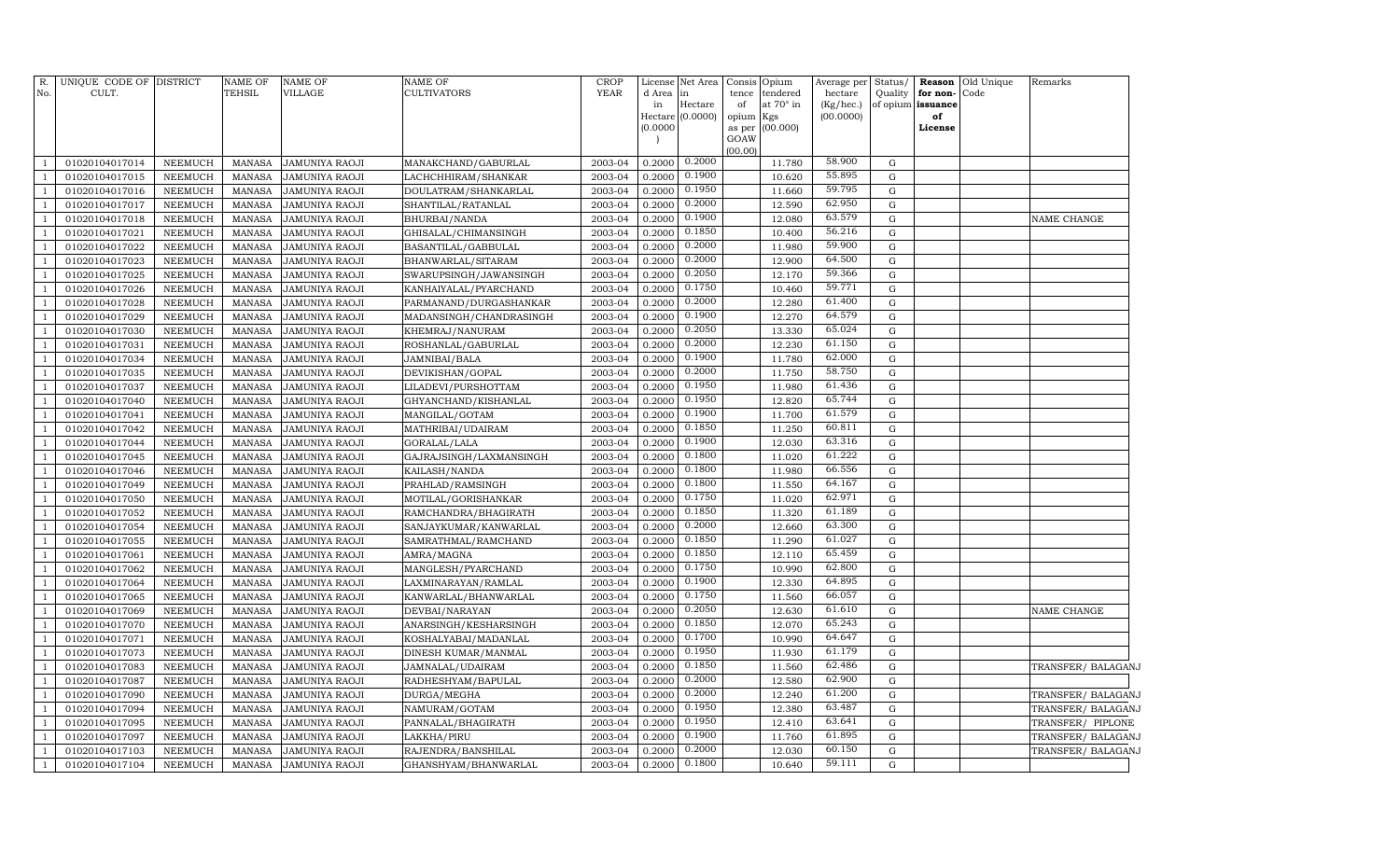| No.            | R. UNIQUE CODE OF DISTRICT<br>CULT. |                                  | <b>NAME OF</b><br><b>TEHSIL</b> | <b>NAME OF</b><br>VILLAGE               | <b>NAME OF</b><br><b>CULTIVATORS</b> | <b>CROP</b><br><b>YEAR</b> | d Area<br>in<br>Hectare (0.0000)<br>(0.0000) | License Net Area<br>in<br>Hectare | Consis<br>Opium<br>tendered<br>tence<br>of<br>at 70° in<br>opium<br>Kgs<br>(00.000)<br>as per<br>GOAW<br>(00.00) | Average per<br>hectare<br>(Kg/hec.)<br>(00.0000) | Status/<br>Quality<br>of opium issuance | for non-<br>of<br>License | <b>Reason</b> Old Unique<br>Code | Remarks                                  |
|----------------|-------------------------------------|----------------------------------|---------------------------------|-----------------------------------------|--------------------------------------|----------------------------|----------------------------------------------|-----------------------------------|------------------------------------------------------------------------------------------------------------------|--------------------------------------------------|-----------------------------------------|---------------------------|----------------------------------|------------------------------------------|
| -1             | 01020104017014                      | NEEMUCH                          | MANASA                          | <b>JAMUNIYA RAOJI</b>                   | MANAKCHAND/GABURLAL                  | 2003-04                    | 0.2000                                       | 0.2000                            | 11.780                                                                                                           | 58.900                                           | ${\rm G}$                               |                           |                                  |                                          |
| $\mathbf{1}$   | 01020104017015                      | NEEMUCH                          | <b>MANASA</b>                   | <b>JAMUNIYA RAOJI</b>                   | LACHCHHIRAM / SHANKAR                | 2003-04                    | 0.2000                                       | 0.1900                            | 10.620                                                                                                           | 55.895                                           | ${\rm G}$                               |                           |                                  |                                          |
| $\mathbf{1}$   | 01020104017016                      | NEEMUCH                          | <b>MANASA</b>                   | <b>JAMUNIYA RAOJI</b>                   | DOULATRAM/SHANKARLAL                 | 2003-04                    | 0.2000                                       | 0.1950                            | 11.660                                                                                                           | 59.795                                           | ${\rm G}$                               |                           |                                  |                                          |
| <sup>1</sup>   | 01020104017017                      | NEEMUCH                          | <b>MANASA</b>                   | <b>JAMUNIYA RAOJI</b>                   | SHANTILAL/RATANLAL                   | 2003-04                    | 0.2000                                       | 0.2000                            | 12.590                                                                                                           | 62.950                                           | ${\rm G}$                               |                           |                                  |                                          |
| $\mathbf{1}$   | 01020104017018                      | NEEMUCH                          | <b>MANASA</b>                   | <b>JAMUNIYA RAOJI</b>                   | BHURBAI/NANDA                        | 2003-04                    | 0.2000                                       | 0.1900                            | 12.080                                                                                                           | 63.579                                           | ${\rm G}$                               |                           |                                  | NAME CHANGE                              |
| $\mathbf{1}$   | 01020104017021                      | NEEMUCH                          | <b>MANASA</b>                   | <b>JAMUNIYA RAOJI</b>                   | GHISALAL/CHIMANSINGH                 | 2003-04                    | 0.2000                                       | 0.1850                            | 10.400                                                                                                           | 56.216                                           | ${\rm G}$                               |                           |                                  |                                          |
| $\overline{1}$ | 01020104017022                      | NEEMUCH                          | <b>MANASA</b>                   | <b>JAMUNIYA RAOJI</b>                   | BASANTILAL/GABBULAL                  | 2003-04                    | 0.2000                                       | 0.2000                            | 11.980                                                                                                           | 59.900                                           | ${\rm G}$                               |                           |                                  |                                          |
| $\mathbf{1}$   | 01020104017023                      | NEEMUCH                          | MANASA                          | <b>JAMUNIYA RAOJI</b>                   | BHANWARLAL/SITARAM                   | 2003-04                    | 0.2000                                       | 0.2000                            | 12.900                                                                                                           | 64.500                                           | ${\rm G}$                               |                           |                                  |                                          |
| $\overline{1}$ | 01020104017025                      | NEEMUCH                          | <b>MANASA</b>                   | <b>JAMUNIYA RAOJI</b>                   | SWARUPSINGH/JAWANSINGH               | 2003-04                    | 0.2000                                       | 0.2050                            | 12.170                                                                                                           | 59.366                                           | ${\rm G}$                               |                           |                                  |                                          |
| $\mathbf{1}$   | 01020104017026                      | NEEMUCH                          | <b>MANASA</b>                   | <b>JAMUNIYA RAOJI</b>                   | KANHAIYALAL/PYARCHAND                | 2003-04                    | 0.2000                                       | 0.1750                            | 10.460                                                                                                           | 59.771                                           | ${\rm G}$                               |                           |                                  |                                          |
| $\mathbf{1}$   | 01020104017028                      | NEEMUCH                          | <b>MANASA</b>                   | <b>JAMUNIYA RAOJI</b>                   | PARMANAND/DURGASHANKAR               | 2003-04                    | 0.2000                                       | 0.2000                            | 12.280                                                                                                           | 61.400                                           | ${\rm G}$                               |                           |                                  |                                          |
| $\mathbf{1}$   | 01020104017029                      | <b>NEEMUCH</b>                   | <b>MANASA</b>                   | <b>JAMUNIYA RAOJI</b>                   | MADANSINGH/CHANDRASINGH              | 2003-04                    | 0.2000                                       | 0.1900                            | 12.270                                                                                                           | 64.579                                           | ${\rm G}$                               |                           |                                  |                                          |
| $\mathbf{1}$   | 01020104017030                      | <b>NEEMUCH</b>                   | <b>MANASA</b>                   | <b>JAMUNIYA RAOJI</b>                   | KHEMRAJ/NANURAM                      | 2003-04                    | 0.2000                                       | 0.2050                            | 13.330                                                                                                           | 65.024                                           | ${\bf G}$                               |                           |                                  |                                          |
| $\mathbf{1}$   | 01020104017031                      | NEEMUCH                          | <b>MANASA</b>                   | <b>JAMUNIYA RAOJI</b>                   | ROSHANLAL/GABURLAL                   | 2003-04                    | 0.2000                                       | 0.2000                            | 12.230                                                                                                           | 61.150                                           | ${\bf G}$                               |                           |                                  |                                          |
| $\mathbf{1}$   | 01020104017034                      | NEEMUCH                          | <b>MANASA</b>                   | <b>JAMUNIYA RAOJI</b>                   | JAMNIBAI/BALA                        | 2003-04                    | 0.2000                                       | 0.1900                            | 11.780                                                                                                           | 62.000                                           | ${\rm G}$                               |                           |                                  |                                          |
| $\mathbf{1}$   | 01020104017035                      | <b>NEEMUCH</b>                   | <b>MANASA</b>                   | <b>JAMUNIYA RAOJI</b>                   | DEVIKISHAN/GOPAL                     | 2003-04                    | 0.2000                                       | 0.2000                            | 11.750                                                                                                           | 58.750                                           | ${\rm G}$                               |                           |                                  |                                          |
| $\mathbf{1}$   | 01020104017037                      | NEEMUCH                          | <b>MANASA</b>                   | <b>JAMUNIYA RAOJI</b>                   | LILADEVI/PURSHOTTAM                  | 2003-04                    | 0.2000                                       | 0.1950                            | 11.980                                                                                                           | 61.436                                           | ${\rm G}$                               |                           |                                  |                                          |
| $\overline{1}$ | 01020104017040                      | <b>NEEMUCH</b>                   | <b>MANASA</b>                   | JAMUNIYA RAOJI                          | GHYANCHAND/KISHANLAL                 | 2003-04                    | 0.2000                                       | 0.1950                            | 12.820                                                                                                           | 65.744                                           | ${\rm G}$                               |                           |                                  |                                          |
| $\overline{1}$ | 01020104017041                      | <b>NEEMUCH</b>                   | <b>MANASA</b>                   | <b>JAMUNIYA RAOJI</b>                   | MANGILAL/GOTAM                       | 2003-04                    | 0.2000                                       | 0.1900                            | 11.700                                                                                                           | 61.579                                           | ${\rm G}$                               |                           |                                  |                                          |
| $\mathbf{1}$   | 01020104017042                      | <b>NEEMUCH</b>                   | <b>MANASA</b>                   | <b>JAMUNIYA RAOJI</b>                   | MATHRIBAI/UDAIRAM                    | 2003-04                    | 0.2000                                       | 0.1850                            | 11.250                                                                                                           | 60.811                                           | ${\rm G}$                               |                           |                                  |                                          |
| $\overline{1}$ | 01020104017044                      | NEEMUCH                          | <b>MANASA</b>                   | <b>JAMUNIYA RAOJI</b>                   | GORALAL/LALA                         | 2003-04                    | 0.2000                                       | 0.1900                            | 12.030                                                                                                           | 63.316                                           | ${\bf G}$                               |                           |                                  |                                          |
| -1             | 01020104017045                      | NEEMUCH                          | <b>MANASA</b>                   | <b>JAMUNIYA RAOJI</b>                   | GAJRAJSINGH/LAXMANSINGH              | 2003-04                    | 0.2000                                       | 0.1800                            | 11.020                                                                                                           | 61.222                                           | ${\rm G}$                               |                           |                                  |                                          |
| $\overline{1}$ | 01020104017046                      | NEEMUCH                          | <b>MANASA</b>                   | <b>JAMUNIYA RAOJI</b>                   | KAILASH/NANDA                        | 2003-04                    | 0.2000                                       | 0.1800                            | 11.980                                                                                                           | 66.556                                           | ${\bf G}$                               |                           |                                  |                                          |
| $\mathbf{1}$   | 01020104017049                      | <b>NEEMUCH</b>                   | <b>MANASA</b>                   | <b>JAMUNIYA RAOJI</b>                   | PRAHLAD/RAMSINGH                     | 2003-04                    | 0.2000                                       | 0.1800                            | 11.550                                                                                                           | 64.167                                           | ${\rm G}$                               |                           |                                  |                                          |
| $\mathbf{1}$   | 01020104017050                      | <b>NEEMUCH</b>                   | <b>MANASA</b>                   | <b>JAMUNIYA RAOJI</b>                   | MOTILAL/GORISHANKAR                  | 2003-04                    | 0.2000                                       | 0.1750                            | 11.020                                                                                                           | 62.971                                           | ${\rm G}$                               |                           |                                  |                                          |
| -1             | 01020104017052                      | <b>NEEMUCH</b>                   | <b>MANASA</b>                   | <b>JAMUNIYA RAOJI</b>                   | RAMCHANDRA/BHAGIRATH                 | 2003-04                    | 0.2000                                       | 0.1850                            | 11.320                                                                                                           | 61.189                                           | ${\bf G}$                               |                           |                                  |                                          |
| $\overline{1}$ | 01020104017054                      | <b>NEEMUCH</b>                   | <b>MANASA</b>                   | <b>JAMUNIYA RAOJI</b>                   | SANJAYKUMAR/KANWARLAL                | 2003-04                    | 0.2000                                       | 0.2000                            | 12.660                                                                                                           | 63.300                                           | ${\bf G}$                               |                           |                                  |                                          |
| $\overline{1}$ | 01020104017055                      | <b>NEEMUCH</b>                   | <b>MANASA</b>                   | <b>JAMUNIYA RAOJI</b>                   | SAMRATHMAL/RAMCHAND                  | 2003-04                    | 0.2000                                       | 0.1850                            | 11.290                                                                                                           | 61.027                                           | ${\rm G}$                               |                           |                                  |                                          |
|                | 01020104017061                      | <b>NEEMUCH</b>                   | <b>MANASA</b>                   | <b>JAMUNIYA RAOJI</b>                   | AMRA/MAGNA                           | 2003-04                    | 0.2000                                       | 0.1850                            | 12.110                                                                                                           | 65.459                                           | ${\rm G}$                               |                           |                                  |                                          |
| $\overline{1}$ | 01020104017062                      | <b>NEEMUCH</b>                   | <b>MANASA</b>                   | <b>JAMUNIYA RAOJI</b>                   | MANGLESH/PYARCHAND                   | 2003-04                    | 0.2000                                       | 0.1750                            | 10.990                                                                                                           | 62.800                                           | ${\rm G}$                               |                           |                                  |                                          |
| $\overline{1}$ | 01020104017064                      | <b>NEEMUCH</b>                   | <b>MANASA</b>                   | JAMUNIYA RAOJI                          | LAXMINARAYAN/RAMLAL                  | 2003-04                    | 0.2000                                       | 0.1900                            | 12.330                                                                                                           | 64.895                                           | ${\rm G}$                               |                           |                                  |                                          |
| -1             | 01020104017065                      | <b>NEEMUCH</b>                   | <b>MANASA</b>                   | JAMUNIYA RAOJI                          | KANWARLAL/BHANWARLAL                 | 2003-04                    | 0.2000                                       | 0.1750                            | 11.560                                                                                                           | 66.057<br>61.610                                 | $\mathbf G$                             |                           |                                  |                                          |
| $\overline{1}$ | 01020104017069                      | NEEMUCH                          | <b>MANASA</b>                   | JAMUNIYA RAOJI                          | DEVBAI/NARAYAN                       | 2003-04                    | 0.2000                                       | 0.2050<br>0.1850                  | 12.630                                                                                                           | 65.243                                           | ${\rm G}$                               |                           |                                  | <b>NAME CHANGE</b>                       |
| -1             | 01020104017070                      | <b>NEEMUCH</b>                   | <b>MANASA</b>                   | JAMUNIYA RAOJI                          | ANARSINGH/KESHARSINGH                | 2003-04                    | 0.2000                                       | 0.1700                            | 12.070                                                                                                           | 64.647                                           | ${\rm G}$                               |                           |                                  |                                          |
| $\overline{1}$ | 01020104017071                      | NEEMUCH                          | <b>MANASA</b>                   | <b>JAMUNIYA RAOJI</b>                   | KOSHALYABAI/MADANLAL                 | 2003-04                    | 0.2000                                       | 0.1950                            | 10.990                                                                                                           | 61.179                                           | ${\rm G}$                               |                           |                                  |                                          |
| $\overline{1}$ | 01020104017073                      | <b>NEEMUCH</b>                   | <b>MANASA</b>                   | <b>JAMUNIYA RAOJI</b>                   | DINESH KUMAR/MANMAL                  | 2003-04                    | 0.2000                                       |                                   | 11.930                                                                                                           | 62.486                                           | ${\rm G}$                               |                           |                                  |                                          |
|                | 01020104017083                      | <b>NEEMUCH</b>                   | <b>MANASA</b>                   | <b>JAMUNIYA RAOJI</b>                   | JAMNALAL/UDAIRAM                     | 2003-04                    | 0.2000                                       | 0.1850<br>0.2000                  | 11.560                                                                                                           | 62.900                                           | ${\rm G}$                               |                           |                                  | TRANSFER/ BALAGANJ                       |
| $\overline{1}$ | 01020104017087                      | <b>NEEMUCH</b>                   | <b>MANASA</b>                   | <b>JAMUNIYA RAOJI</b>                   | RADHESHYAM/BAPULAL                   | 2003-04<br>2003-04         | 0.2000                                       | 0.2000                            | 12.580                                                                                                           | 61.200                                           | ${\rm G}$<br>${\rm G}$                  |                           |                                  |                                          |
| $\overline{1}$ | 01020104017090<br>01020104017094    | <b>NEEMUCH</b><br><b>NEEMUCH</b> | <b>MANASA</b><br><b>MANASA</b>  | <b>JAMUNIYA RAOJI</b>                   | DURGA/MEGHA                          | 2003-04                    | 0.2000<br>0.2000                             | 0.1950                            | 12.240<br>12.380                                                                                                 | 63.487                                           | ${\rm G}$                               |                           |                                  | TRANSFER/ BALAGANJ<br>TRANSFER/ BALAGANJ |
|                | 01020104017095                      | <b>NEEMUCH</b>                   | <b>MANASA</b>                   | JAMUNIYA RAOJI                          | NAMURAM/GOTAM                        | 2003-04                    | 0.2000                                       | 0.1950                            | 12.410                                                                                                           | 63.641                                           | ${\rm G}$                               |                           |                                  | TRANSFER/ PIPLONE                        |
|                | 01020104017097                      | NEEMUCH                          | <b>MANASA</b>                   | <b>JAMUNIYA RAOJI</b>                   | PANNALAL/BHAGIRATH                   | 2003-04                    | 0.2000                                       | 0.1900                            | 11.760                                                                                                           | 61.895                                           | ${\rm G}$                               |                           |                                  |                                          |
| $\overline{1}$ | 01020104017103                      | NEEMUCH                          | <b>MANASA</b>                   | JAMUNIYA RAOJI<br><b>JAMUNIYA RAOJI</b> | LAKKHA/PIRU<br>RAJENDRA/BANSHILAL    | 2003-04                    | 0.2000                                       | 0.2000                            | 12.030                                                                                                           | 60.150                                           | ${\rm G}$                               |                           |                                  | TRANSFER/ BALAGANJ<br>TRANSFER/ BALAGANJ |
| $\mathbf{1}$   | 01020104017104                      | NEEMUCH                          | MANASA                          | <b>JAMUNIYA RAOJI</b>                   | GHANSHYAM/BHANWARLAL                 | 2003-04                    | 0.2000                                       | 0.1800                            | 10.640                                                                                                           | 59.111                                           | $\mathbf G$                             |                           |                                  |                                          |
|                |                                     |                                  |                                 |                                         |                                      |                            |                                              |                                   |                                                                                                                  |                                                  |                                         |                           |                                  |                                          |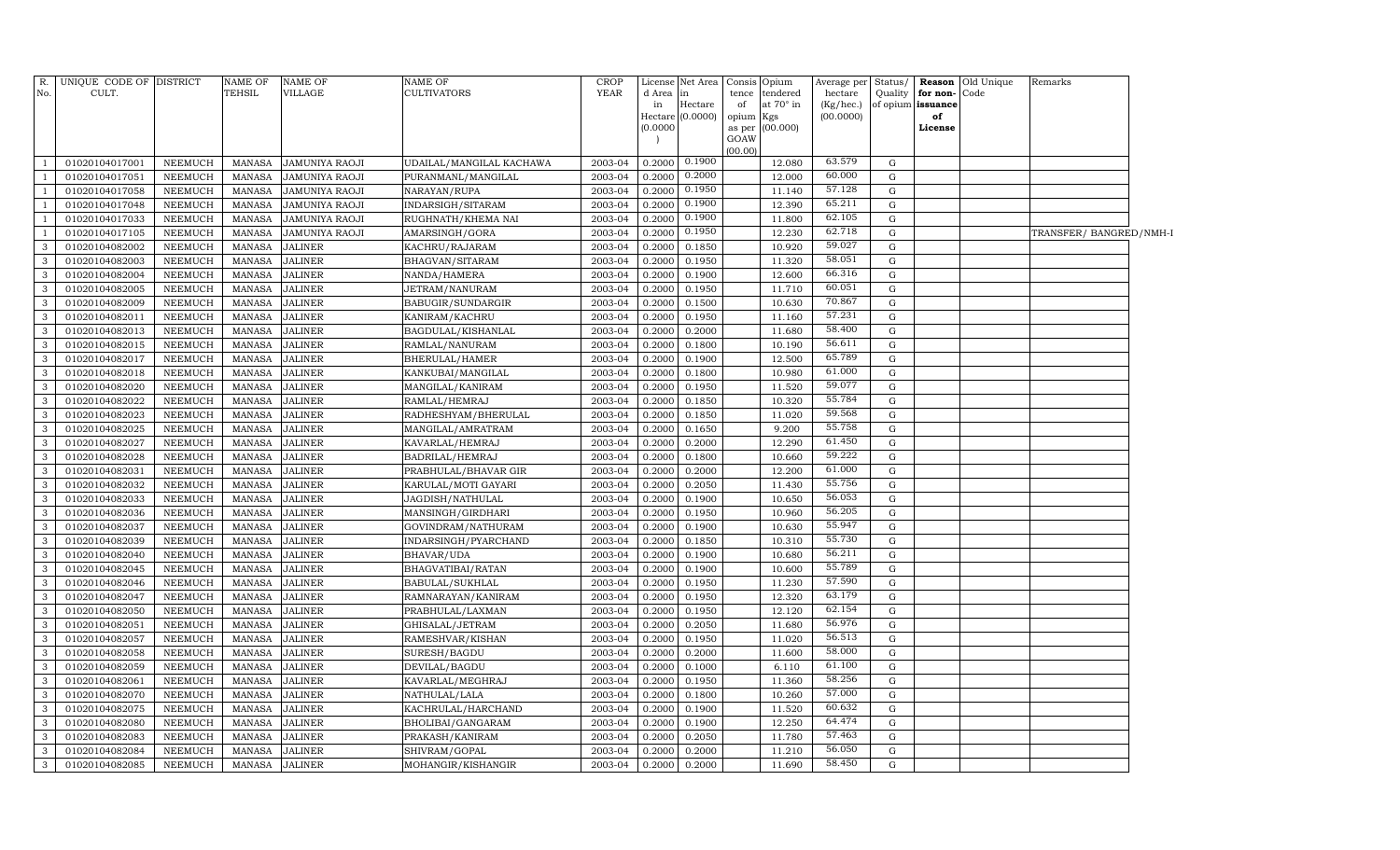| No.          | R. UNIQUE CODE OF DISTRICT<br>CULT. |                | <b>NAME OF</b><br><b>TEHSIL</b> | <b>NAME OF</b><br><b>VILLAGE</b> | <b>NAME OF</b><br><b>CULTIVATORS</b> | <b>CROP</b><br><b>YEAR</b> | License<br>d Area | Net Area<br>in | tence     | Consis Opium<br>tendered | hectare   |             | Quality for non-Code | Average per Status/ <b>Reason</b> Old Unique | Remarks                |  |
|--------------|-------------------------------------|----------------|---------------------------------|----------------------------------|--------------------------------------|----------------------------|-------------------|----------------|-----------|--------------------------|-----------|-------------|----------------------|----------------------------------------------|------------------------|--|
|              |                                     |                |                                 |                                  |                                      |                            | in                | Hectare        | of        | at $70^\circ$ in         | (Kg/hec.) |             | of opium issuance    |                                              |                        |  |
|              |                                     |                |                                 |                                  |                                      |                            | Hectare           | (0.0000)       | opium Kgs |                          | (00.0000) |             | of                   |                                              |                        |  |
|              |                                     |                |                                 |                                  |                                      |                            | (0.0000)          |                | GOAW      | as per (00.000)          |           |             | License              |                                              |                        |  |
|              |                                     |                |                                 |                                  |                                      |                            |                   |                | (00.00)   |                          |           |             |                      |                                              |                        |  |
| -1           | 01020104017001                      | NEEMUCH        | MANASA                          | <b>JAMUNIYA RAOJI</b>            | UDAILAL/MANGILAL KACHAWA             | 2003-04                    | 0.2000            | 0.1900         |           | 12.080                   | 63.579    | G           |                      |                                              |                        |  |
| -1           | 01020104017051                      | <b>NEEMUCH</b> | <b>MANASA</b>                   | JAMUNIYA RAOJI                   | PURANMANL/MANGILAL                   | 2003-04                    | 0.2000            | 0.2000         |           | 12.000                   | 60.000    | G           |                      |                                              |                        |  |
| -1           | 01020104017058                      | <b>NEEMUCH</b> | MANASA                          | JAMUNIYA RAOJI                   | NARAYAN/RUPA                         | 2003-04                    | 0.2000            | 0.1950         |           | 11.140                   | 57.128    | $\mathbf G$ |                      |                                              |                        |  |
| -1           | 01020104017048                      | <b>NEEMUCH</b> | <b>MANASA</b>                   | JAMUNIYA RAOJI                   | INDARSIGH/SITARAM                    | 2003-04                    | 0.2000            | 0.1900         |           | 12.390                   | 65.211    | G           |                      |                                              |                        |  |
| -1           | 01020104017033                      | <b>NEEMUCH</b> | MANASA                          | JAMUNIYA RAOJI                   | RUGHNATH/KHEMA NAI                   | 2003-04                    | 0.2000            | 0.1900         |           | 11.800                   | 62.105    | G           |                      |                                              |                        |  |
| -1           | 01020104017105                      | <b>NEEMUCH</b> | <b>MANASA</b>                   | JAMUNIYA RAOJI                   | AMARSINGH/GORA                       | 2003-04                    | 0.2000            | 0.1950         |           | 12.230                   | 62.718    | G           |                      |                                              | TRANSFER/BANGRED/NMH-I |  |
| $\mathbf{3}$ | 01020104082002                      | <b>NEEMUCH</b> | MANASA                          | <b>JALINER</b>                   | KACHRU/RAJARAM                       | 2003-04                    | 0.2000            | 0.1850         |           | 10.920                   | 59.027    | G           |                      |                                              |                        |  |
| $\mathbf{3}$ | 01020104082003                      | <b>NEEMUCH</b> | MANASA                          | <b>JALINER</b>                   | BHAGVAN/SITARAM                      | 2003-04                    | 0.2000            | 0.1950         |           | 11.320                   | 58.051    | G           |                      |                                              |                        |  |
| $\mathbf{3}$ | 01020104082004                      | <b>NEEMUCH</b> | MANASA                          | <b>JALINER</b>                   | NANDA/HAMERA                         | 2003-04                    | 0.2000            | 0.1900         |           | 12.600                   | 66.316    | G           |                      |                                              |                        |  |
| $\mathbf{3}$ | 01020104082005                      | <b>NEEMUCH</b> | MANASA                          | <b>JALINER</b>                   | JETRAM/NANURAM                       | 2003-04                    | 0.2000            | 0.1950         |           | 11.710                   | 60.051    | G           |                      |                                              |                        |  |
| $\mathbf{3}$ | 01020104082009                      | <b>NEEMUCH</b> | MANASA                          | <b>JALINER</b>                   | BABUGIR/SUNDARGIR                    | 2003-04                    | 0.2000            | 0.1500         |           | 10.630                   | 70.867    | G           |                      |                                              |                        |  |
| $\mathbf{3}$ | 01020104082011                      | <b>NEEMUCH</b> | <b>MANASA</b>                   | <b>JALINER</b>                   | KANIRAM/KACHRU                       | 2003-04                    | 0.2000            | 0.1950         |           | 11.160                   | 57.231    | G           |                      |                                              |                        |  |
| $\mathbf{3}$ | 01020104082013                      | NEEMUCH        | MANASA                          | <b>JALINER</b>                   | BAGDULAL/KISHANLAL                   | 2003-04                    | 0.2000            | 0.2000         |           | 11.680                   | 58.400    | G           |                      |                                              |                        |  |
| 3            | 01020104082015                      | <b>NEEMUCH</b> | MANASA                          | <b>JALINER</b>                   | RAMLAL/NANURAM                       | 2003-04                    | 0.2000            | 0.1800         |           | 10.190                   | 56.611    | G           |                      |                                              |                        |  |
| $\mathbf{3}$ | 01020104082017                      | <b>NEEMUCH</b> | <b>MANASA</b>                   | <b>JALINER</b>                   | BHERULAL/HAMER                       | 2003-04                    | 0.2000            | 0.1900         |           | 12.500                   | 65.789    | G           |                      |                                              |                        |  |
| $\mathbf{3}$ | 01020104082018                      | <b>NEEMUCH</b> | <b>MANASA</b>                   | <b>JALINER</b>                   | KANKUBAI/MANGILAL                    | 2003-04                    | 0.2000            | 0.1800         |           | 10.980                   | 61.000    | G           |                      |                                              |                        |  |
| $\mathbf{3}$ | 01020104082020                      | <b>NEEMUCH</b> | MANASA                          | <b>JALINER</b>                   | MANGILAL/KANIRAM                     | 2003-04                    | 0.2000            | 0.1950         |           | 11.520                   | 59.077    | G           |                      |                                              |                        |  |
| $\mathbf{3}$ | 01020104082022                      | <b>NEEMUCH</b> | MANASA                          | <b>JALINER</b>                   | RAMLAL/HEMRAJ                        | 2003-04                    | 0.2000            | 0.1850         |           | 10.320                   | 55.784    | G           |                      |                                              |                        |  |
| $\mathbf{3}$ | 01020104082023                      | <b>NEEMUCH</b> | MANASA                          | <b>JALINER</b>                   | RADHESHYAM/BHERULAL                  | 2003-04                    | 0.2000            | 0.1850         |           | 11.020                   | 59.568    | G           |                      |                                              |                        |  |
| $\mathbf{3}$ | 01020104082025                      | <b>NEEMUCH</b> | MANASA                          | <b>JALINER</b>                   | MANGILAL/AMRATRAM                    | 2003-04                    | 0.2000            | 0.1650         |           | 9.200                    | 55.758    | G           |                      |                                              |                        |  |
| $\mathbf{3}$ | 01020104082027                      | <b>NEEMUCH</b> | <b>MANASA</b>                   | <b>JALINER</b>                   | KAVARLAL/HEMRAJ                      | 2003-04                    | 0.2000            | 0.2000         |           | 12.290                   | 61.450    | G           |                      |                                              |                        |  |
| 3            | 01020104082028                      | <b>NEEMUCH</b> | MANASA                          | <b>JALINER</b>                   | BADRILAL/HEMRAJ                      | 2003-04                    | 0.2000            | 0.1800         |           | 10.660                   | 59.222    | G           |                      |                                              |                        |  |
| 3            | 01020104082031                      | <b>NEEMUCH</b> | <b>MANASA</b>                   | JALINER                          | PRABHULAL/BHAVAR GIR                 | 2003-04                    | 0.2000            | 0.2000         |           | 12.200                   | 61.000    | G           |                      |                                              |                        |  |
| $\mathbf{3}$ | 01020104082032                      | <b>NEEMUCH</b> | MANASA                          | <b>JALINER</b>                   | KARULAL/MOTI GAYARI                  | 2003-04                    | 0.2000            | 0.2050         |           | 11.430                   | 55.756    | G           |                      |                                              |                        |  |
| $\mathbf{3}$ | 01020104082033                      | <b>NEEMUCH</b> | MANASA                          | <b>JALINER</b>                   | JAGDISH/NATHULAL                     | 2003-04                    | 0.2000            | 0.1900         |           | 10.650                   | 56.053    | G           |                      |                                              |                        |  |
| $\mathbf{3}$ | 01020104082036                      | <b>NEEMUCH</b> | MANASA                          | <b>JALINER</b>                   | MANSINGH/GIRDHARI                    | 2003-04                    | 0.2000            | 0.1950         |           | 10.960                   | 56.205    | G           |                      |                                              |                        |  |
| $\mathbf{3}$ | 01020104082037                      | NEEMUCH        | MANASA                          | <b>JALINER</b>                   | GOVINDRAM/NATHURAM                   | 2003-04                    | 0.2000            | 0.1900         |           | 10.630                   | 55.947    | G           |                      |                                              |                        |  |
| $\mathbf{3}$ | 01020104082039                      | <b>NEEMUCH</b> | MANASA                          | <b>JALINER</b>                   | INDARSINGH/PYARCHAND                 | 2003-04                    | 0.2000            | 0.1850         |           | 10.310                   | 55.730    | G           |                      |                                              |                        |  |
| 3            | 01020104082040                      | <b>NEEMUCH</b> | MANASA                          | <b>JALINER</b>                   | BHAVAR/UDA                           | 2003-04                    | 0.2000            | 0.1900         |           | 10.680                   | 56.211    | G           |                      |                                              |                        |  |
| 3            | 01020104082045                      | <b>NEEMUCH</b> | MANASA                          | <b>JALINER</b>                   | BHAGVATIBAI/RATAN                    | 2003-04                    | 0.2000            | 0.1900         |           | 10.600                   | 55.789    | G           |                      |                                              |                        |  |
| $\mathbf{3}$ | 01020104082046                      | <b>NEEMUCH</b> | <b>MANASA</b>                   | <b>JALINER</b>                   | BABULAL/SUKHLAL                      | 2003-04                    | 0.2000            | 0.1950         |           | 11.230                   | 57.590    | G           |                      |                                              |                        |  |
| $\mathbf{3}$ | 01020104082047                      | <b>NEEMUCH</b> | MANASA                          | <b>JALINER</b>                   | RAMNARAYAN/KANIRAM                   | 2003-04                    | 0.2000            | 0.1950         |           | 12.320                   | 63.179    | G           |                      |                                              |                        |  |
| $\mathbf{3}$ | 01020104082050                      | <b>NEEMUCH</b> | MANASA                          | <b>JALINER</b>                   | PRABHULAL/LAXMAN                     | 2003-04                    | 0.2000            | 0.1950         |           | 12.120                   | 62.154    | G           |                      |                                              |                        |  |
| $\mathbf{3}$ | 01020104082051                      | <b>NEEMUCH</b> | MANASA                          | <b>JALINER</b>                   | GHISALAL/JETRAM                      | 2003-04                    | 0.2000            | 0.2050         |           | 11.680                   | 56.976    | G           |                      |                                              |                        |  |
| $\mathbf{3}$ | 01020104082057                      | <b>NEEMUCH</b> | MANASA                          | <b>JALINER</b>                   | RAMESHVAR/KISHAN                     | 2003-04                    | 0.2000            | 0.1950         |           | 11.020                   | 56.513    | G           |                      |                                              |                        |  |
| $\mathbf{3}$ | 01020104082058                      | NEEMUCH        | MANASA                          | <b>JALINER</b>                   | SURESH/BAGDU                         | 2003-04                    | 0.2000            | 0.2000         |           | 11.600                   | 58.000    | G           |                      |                                              |                        |  |
| $\mathbf{3}$ | 01020104082059                      | NEEMUCH        | MANASA                          | JALINER                          | DEVILAL/BAGDU                        | 2003-04                    | 0.2000            | 0.1000         |           | 6.110                    | 61.100    | $\mathbf G$ |                      |                                              |                        |  |
| $\mathbf{3}$ | 01020104082061                      | <b>NEEMUCH</b> | MANASA                          | <b>JALINER</b>                   | KAVARLAL/MEGHRAJ                     | 2003-04                    | 0.2000            | 0.1950         |           | 11.360                   | 58.256    | G           |                      |                                              |                        |  |
| 3            | 01020104082070                      | <b>NEEMUCH</b> | <b>MANASA</b>                   | JALINER                          | NATHULAL/LALA                        | 2003-04                    | 0.2000            | 0.1800         |           | 10.260                   | 57.000    | G           |                      |                                              |                        |  |
| $\mathbf{3}$ | 01020104082075                      | <b>NEEMUCH</b> | <b>MANASA</b>                   | <b>JALINER</b>                   | KACHRULAL/HARCHAND                   | 2003-04                    | 0.2000            | 0.1900         |           | 11.520                   | 60.632    | G           |                      |                                              |                        |  |
| $\mathbf{3}$ | 01020104082080                      | <b>NEEMUCH</b> | MANASA                          | <b>JALINER</b>                   | BHOLIBAI/GANGARAM                    | 2003-04                    | 0.2000            | 0.1900         |           | 12.250                   | 64.474    | G           |                      |                                              |                        |  |
| $\mathbf{3}$ | 01020104082083                      | <b>NEEMUCH</b> | MANASA                          | <b>JALINER</b>                   | PRAKASH/KANIRAM                      | 2003-04                    | 0.2000            | 0.2050         |           | 11.780                   | 57.463    | G           |                      |                                              |                        |  |
| $\mathbf{3}$ | 01020104082084                      | <b>NEEMUCH</b> | MANASA                          | <b>JALINER</b>                   | SHIVRAM/GOPAL                        | 2003-04                    | 0.2000            | 0.2000         |           | 11.210                   | 56.050    | G           |                      |                                              |                        |  |
| $\mathbf{3}$ | 01020104082085                      | NEEMUCH        | MANASA                          | <b>JALINER</b>                   | MOHANGIR/KISHANGIR                   | 2003-04                    | 0.2000            | 0.2000         |           | 11.690                   | 58.450    | G           |                      |                                              |                        |  |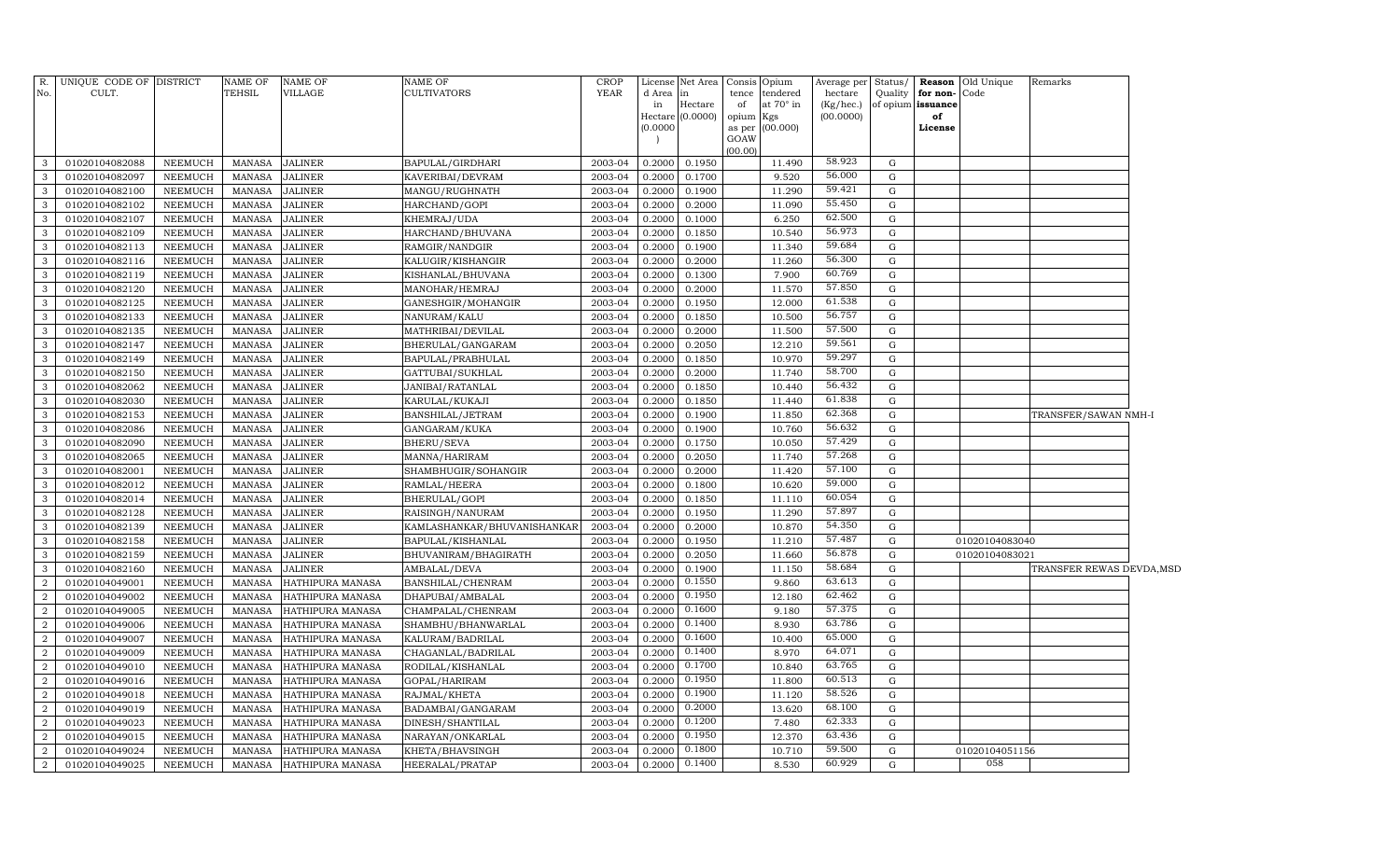| No.            | R. UNIQUE CODE OF DISTRICT<br>CULT. |                | <b>NAME OF</b><br>TEHSIL | <b>NAME OF</b><br>VILLAGE | NAME OF<br>CULTIVATORS      | <b>CROP</b><br><b>YEAR</b> | d Area   | License Net Area<br>in |                 | Consis Opium<br>tence tendered | Average per<br>hectare | Status/<br>Quality | for non-          | <b>Reason</b> Old Unique<br>Code | Remarks                   |  |
|----------------|-------------------------------------|----------------|--------------------------|---------------------------|-----------------------------|----------------------------|----------|------------------------|-----------------|--------------------------------|------------------------|--------------------|-------------------|----------------------------------|---------------------------|--|
|                |                                     |                |                          |                           |                             |                            | in       | Hectare                | of              | at 70° in                      | (Kg/hec.)              |                    | of opium issuance |                                  |                           |  |
|                |                                     |                |                          |                           |                             |                            |          | Hectare (0.0000)       | opium Kgs       |                                | (00.0000)              |                    | of                |                                  |                           |  |
|                |                                     |                |                          |                           |                             |                            | (0.0000) |                        |                 | as per (00.000)                |                        |                    | License           |                                  |                           |  |
|                |                                     |                |                          |                           |                             |                            |          |                        | GOAW<br>(00.00) |                                |                        |                    |                   |                                  |                           |  |
| 3              | 01020104082088                      | NEEMUCH        | MANASA                   | <b>JALINER</b>            | BAPULAL/GIRDHARI            | 2003-04                    | 0.2000   | 0.1950                 |                 | 11.490                         | 58.923                 | $\mathbf G$        |                   |                                  |                           |  |
| 3              | 01020104082097                      | <b>NEEMUCH</b> | MANASA                   | <b>JALINER</b>            | KAVERIBAI/DEVRAM            | 2003-04                    | 0.2000   | 0.1700                 |                 | 9.520                          | 56.000                 | ${\rm G}$          |                   |                                  |                           |  |
| 3              | 01020104082100                      | <b>NEEMUCH</b> | <b>MANASA</b>            | <b>JALINER</b>            | MANGU/RUGHNATH              | 2003-04                    | 0.2000   | 0.1900                 |                 | 11.290                         | 59.421                 | ${\rm G}$          |                   |                                  |                           |  |
| 3              | 01020104082102                      | <b>NEEMUCH</b> | <b>MANASA</b>            | <b>JALINER</b>            | HARCHAND/GOPI               | 2003-04                    | 0.2000   | 0.2000                 |                 | 11.090                         | 55.450                 | ${\rm G}$          |                   |                                  |                           |  |
| 3              | 01020104082107                      | <b>NEEMUCH</b> | <b>MANASA</b>            | <b>JALINER</b>            | KHEMRAJ/UDA                 | 2003-04                    | 0.2000   | 0.1000                 |                 | 6.250                          | 62.500                 | ${\rm G}$          |                   |                                  |                           |  |
| 3              | 01020104082109                      | <b>NEEMUCH</b> | <b>MANASA</b>            | <b>JALINER</b>            | HARCHAND/BHUVANA            | 2003-04                    | 0.2000   | 0.1850                 |                 | 10.540                         | 56.973                 | ${\rm G}$          |                   |                                  |                           |  |
| 3              | 01020104082113                      | <b>NEEMUCH</b> | <b>MANASA</b>            | <b>JALINER</b>            | RAMGIR/NANDGIR              | 2003-04                    | 0.2000   | 0.1900                 |                 | 11.340                         | 59.684                 | ${\rm G}$          |                   |                                  |                           |  |
| 3              | 01020104082116                      | <b>NEEMUCH</b> | <b>MANASA</b>            | <b>JALINER</b>            | KALUGIR/KISHANGIR           | 2003-04                    | 0.2000   | 0.2000                 |                 | 11.260                         | 56.300                 | ${\rm G}$          |                   |                                  |                           |  |
| 3              | 01020104082119                      | <b>NEEMUCH</b> | MANASA                   | <b>JALINER</b>            | KISHANLAL/BHUVANA           | 2003-04                    | 0.2000   | 0.1300                 |                 | 7.900                          | 60.769                 | ${\rm G}$          |                   |                                  |                           |  |
| 3              | 01020104082120                      | <b>NEEMUCH</b> | <b>MANASA</b>            | <b>JALINER</b>            | MANOHAR/HEMRAJ              | 2003-04                    | 0.2000   | 0.2000                 |                 | 11.570                         | 57.850                 | ${\rm G}$          |                   |                                  |                           |  |
| 3              | 01020104082125                      | <b>NEEMUCH</b> | <b>MANASA</b>            | <b>JALINER</b>            | GANESHGIR/MOHANGIR          | 2003-04                    | 0.2000   | 0.1950                 |                 | 12.000                         | 61.538                 | ${\rm G}$          |                   |                                  |                           |  |
| 3              | 01020104082133                      | <b>NEEMUCH</b> | <b>MANASA</b>            | <b>JALINER</b>            | NANURAM/KALU                | 2003-04                    | 0.2000   | 0.1850                 |                 | 10.500                         | 56.757                 | ${\rm G}$          |                   |                                  |                           |  |
| 3              | 01020104082135                      | <b>NEEMUCH</b> | <b>MANASA</b>            | <b>JALINER</b>            | MATHRIBAI/DEVILAL           | 2003-04                    | 0.2000   | 0.2000                 |                 | 11.500                         | 57.500                 | ${\rm G}$          |                   |                                  |                           |  |
| 3              | 01020104082147                      | <b>NEEMUCH</b> | <b>MANASA</b>            | <b>JALINER</b>            | BHERULAL/GANGARAM           | 2003-04                    | 0.2000   | 0.2050                 |                 | 12.210                         | 59.561                 | ${\rm G}$          |                   |                                  |                           |  |
| 3              | 01020104082149                      | <b>NEEMUCH</b> | <b>MANASA</b>            | <b>JALINER</b>            | BAPULAL/PRABHULAL           | 2003-04                    | 0.2000   | 0.1850                 |                 | 10.970                         | 59.297                 | ${\rm G}$          |                   |                                  |                           |  |
| 3              | 01020104082150                      | <b>NEEMUCH</b> | <b>MANASA</b>            | <b>JALINER</b>            | GATTUBAI/SUKHLAL            | 2003-04                    | 0.2000   | 0.2000                 |                 | 11.740                         | 58.700                 | ${\rm G}$          |                   |                                  |                           |  |
| 3              | 01020104082062                      | <b>NEEMUCH</b> | <b>MANASA</b>            | <b>JALINER</b>            | JANIBAI/RATANLAL            | 2003-04                    | 0.2000   | 0.1850                 |                 | 10.440                         | 56.432                 | ${\rm G}$          |                   |                                  |                           |  |
| 3              | 01020104082030                      | <b>NEEMUCH</b> | <b>MANASA</b>            | <b>JALINER</b>            | KARULAL/KUKAJI              | 2003-04                    | 0.2000   | 0.1850                 |                 | 11.440                         | 61.838                 | ${\rm G}$          |                   |                                  |                           |  |
| 3              | 01020104082153                      | <b>NEEMUCH</b> | <b>MANASA</b>            | <b>JALINER</b>            | BANSHILAL/JETRAM            | 2003-04                    | 0.2000   | 0.1900                 |                 | 11.850                         | 62.368                 | ${\rm G}$          |                   |                                  | TRANSFER/SAWAN NMH-I      |  |
| 3              | 01020104082086                      | <b>NEEMUCH</b> | <b>MANASA</b>            | <b>JALINER</b>            | GANGARAM/KUKA               | 2003-04                    | 0.2000   | 0.1900                 |                 | 10.760                         | 56.632                 | ${\bf G}$          |                   |                                  |                           |  |
| 3              | 01020104082090                      | <b>NEEMUCH</b> | <b>MANASA</b>            | <b>JALINER</b>            | BHERU/SEVA                  | 2003-04                    | 0.2000   | 0.1750                 |                 | 10.050                         | 57.429                 | ${\rm G}$          |                   |                                  |                           |  |
| 3              | 01020104082065                      | <b>NEEMUCH</b> | <b>MANASA</b>            | <b>JALINER</b>            | MANNA/HARIRAM               | 2003-04                    | 0.2000   | 0.2050                 |                 | 11.740                         | 57.268                 | ${\rm G}$          |                   |                                  |                           |  |
| 3              | 01020104082001                      | <b>NEEMUCH</b> | <b>MANASA</b>            | <b>JALINER</b>            | SHAMBHUGIR/SOHANGIR         | 2003-04                    | 0.2000   | 0.2000                 |                 | 11.420                         | 57.100                 | ${\rm G}$          |                   |                                  |                           |  |
| 3              | 01020104082012                      | <b>NEEMUCH</b> | <b>MANASA</b>            | <b>JALINER</b>            | RAMLAL/HEERA                | 2003-04                    | 0.2000   | 0.1800                 |                 | 10.620                         | 59.000                 | ${\rm G}$          |                   |                                  |                           |  |
| 3              | 01020104082014                      | <b>NEEMUCH</b> | <b>MANASA</b>            | <b>JALINER</b>            | BHERULAL/GOPI               | 2003-04                    | 0.2000   | 0.1850                 |                 | 11.110                         | 60.054                 | ${\bf G}$          |                   |                                  |                           |  |
| 3              | 01020104082128                      | <b>NEEMUCH</b> | <b>MANASA</b>            | <b>JALINER</b>            | RAISINGH/NANURAM            | 2003-04                    | 0.2000   | 0.1950                 |                 | 11.290                         | 57.897                 | ${\rm G}$          |                   |                                  |                           |  |
| 3              | 01020104082139                      | <b>NEEMUCH</b> | <b>MANASA</b>            | <b>JALINER</b>            | KAMLASHANKAR/BHUVANISHANKAR | 2003-04                    | 0.2000   | 0.2000                 |                 | 10.870                         | 54.350                 | ${\bf G}$          |                   |                                  |                           |  |
| 3              | 01020104082158                      | <b>NEEMUCH</b> | <b>MANASA</b>            | <b>JALINER</b>            | BAPULAL/KISHANLAL           | 2003-04                    | 0.2000   | 0.1950                 |                 | 11.210                         | 57.487                 | ${\rm G}$          |                   | 01020104083040                   |                           |  |
| 3              | 01020104082159                      | <b>NEEMUCH</b> | <b>MANASA</b>            | <b>JALINER</b>            | BHUVANIRAM/BHAGIRATH        | 2003-04                    | 0.2000   | 0.2050                 |                 | 11.660                         | 56.878                 | ${\bf G}$          |                   | 01020104083021                   |                           |  |
| 3              | 01020104082160                      | <b>NEEMUCH</b> | <b>MANASA</b>            | <b>JALINER</b>            | AMBALAL/DEVA                | 2003-04                    | 0.2000   | 0.1900                 |                 | 11.150                         | 58.684                 | ${\rm G}$          |                   |                                  | TRANSFER REWAS DEVDA, MSD |  |
| $\overline{2}$ | 01020104049001                      | <b>NEEMUCH</b> | <b>MANASA</b>            | HATHIPURA MANASA          | BANSHILAL/CHENRAM           | 2003-04                    | 0.2000   | 0.1550                 |                 | 9.860                          | 63.613                 | ${\rm G}$          |                   |                                  |                           |  |
| $\overline{2}$ | 01020104049002                      | <b>NEEMUCH</b> | <b>MANASA</b>            | HATHIPURA MANASA          | DHAPUBAI/AMBALAL            | 2003-04                    | 0.2000   | 0.1950                 |                 | 12.180                         | 62.462                 | $\mathbf G$        |                   |                                  |                           |  |
| $\overline{2}$ | 01020104049005                      | <b>NEEMUCH</b> | MANASA                   | HATHIPURA MANASA          | CHAMPALAL/CHENRAM           | 2003-04                    | 0.2000   | 0.1600                 |                 | 9.180                          | 57.375                 | ${\rm G}$          |                   |                                  |                           |  |
| $\overline{2}$ | 01020104049006                      | <b>NEEMUCH</b> | <b>MANASA</b>            | HATHIPURA MANASA          | SHAMBHU/BHANWARLAL          | 2003-04                    | 0.2000   | 0.1400                 |                 | 8.930                          | 63.786                 | ${\rm G}$          |                   |                                  |                           |  |
| $\overline{2}$ | 01020104049007                      | <b>NEEMUCH</b> | <b>MANASA</b>            | HATHIPURA MANASA          | KALURAM/BADRILAL            | 2003-04                    | 0.2000   | 0.1600                 |                 | 10.400                         | 65.000                 | ${\rm G}$          |                   |                                  |                           |  |
| $\overline{2}$ | 01020104049009                      | <b>NEEMUCH</b> | <b>MANASA</b>            | HATHIPURA MANASA          | CHAGANLAL/BADRILAL          | 2003-04                    | 0.2000   | 0.1400                 |                 | 8.970                          | 64.071                 | ${\rm G}$          |                   |                                  |                           |  |
| $\overline{2}$ | 01020104049010                      | <b>NEEMUCH</b> | <b>MANASA</b>            | HATHIPURA MANASA          | RODILAL/KISHANLAL           | 2003-04                    | 0.2000   | 0.1700                 |                 | 10.840                         | 63.765                 | ${\rm G}$          |                   |                                  |                           |  |
| $\overline{2}$ | 01020104049016                      | <b>NEEMUCH</b> | <b>MANASA</b>            | HATHIPURA MANASA          | GOPAL/HARIRAM               | 2003-04                    | 0.2000   | 0.1950                 |                 | 11.800                         | 60.513                 | ${\rm G}$          |                   |                                  |                           |  |
| $\overline{2}$ | 01020104049018                      | <b>NEEMUCH</b> | <b>MANASA</b>            | HATHIPURA MANASA          | RAJMAL/KHETA                | 2003-04                    | 0.2000   | 0.1900                 |                 | 11.120                         | 58.526                 | ${\rm G}$          |                   |                                  |                           |  |
| $\overline{2}$ | 01020104049019                      | <b>NEEMUCH</b> | <b>MANASA</b>            | HATHIPURA MANASA          | BADAMBAI/GANGARAM           | 2003-04                    | 0.2000   | 0.2000                 |                 | 13.620                         | 68.100                 | ${\rm G}$          |                   |                                  |                           |  |
| $\mathcal{D}$  | 01020104049023                      | <b>NEEMUCH</b> | <b>MANASA</b>            | HATHIPURA MANASA          | DINESH/SHANTILAL            | 2003-04                    | 0.2000   | 0.1200                 |                 | 7.480                          | 62.333                 | ${\rm G}$          |                   |                                  |                           |  |
| $\overline{2}$ | 01020104049015                      | <b>NEEMUCH</b> | <b>MANASA</b>            | HATHIPURA MANASA          | NARAYAN/ONKARLAL            | 2003-04                    | 0.2000   | 0.1950                 |                 | 12.370                         | 63.436                 | ${\rm G}$          |                   |                                  |                           |  |
| $\overline{2}$ | 01020104049024                      | <b>NEEMUCH</b> | <b>MANASA</b>            | HATHIPURA MANASA          | KHETA/BHAVSINGH             | 2003-04                    | 0.2000   | 0.1800                 |                 | 10.710                         | 59.500                 | ${\rm G}$          |                   | 01020104051156                   |                           |  |
| $\overline{2}$ | 01020104049025                      | <b>NEEMUCH</b> | MANASA                   | HATHIPURA MANASA          | HEERALAL/PRATAP             | 2003-04                    | 0.2000   | 0.1400                 |                 | 8.530                          | 60.929                 | $\mathbf G$        |                   | 058                              |                           |  |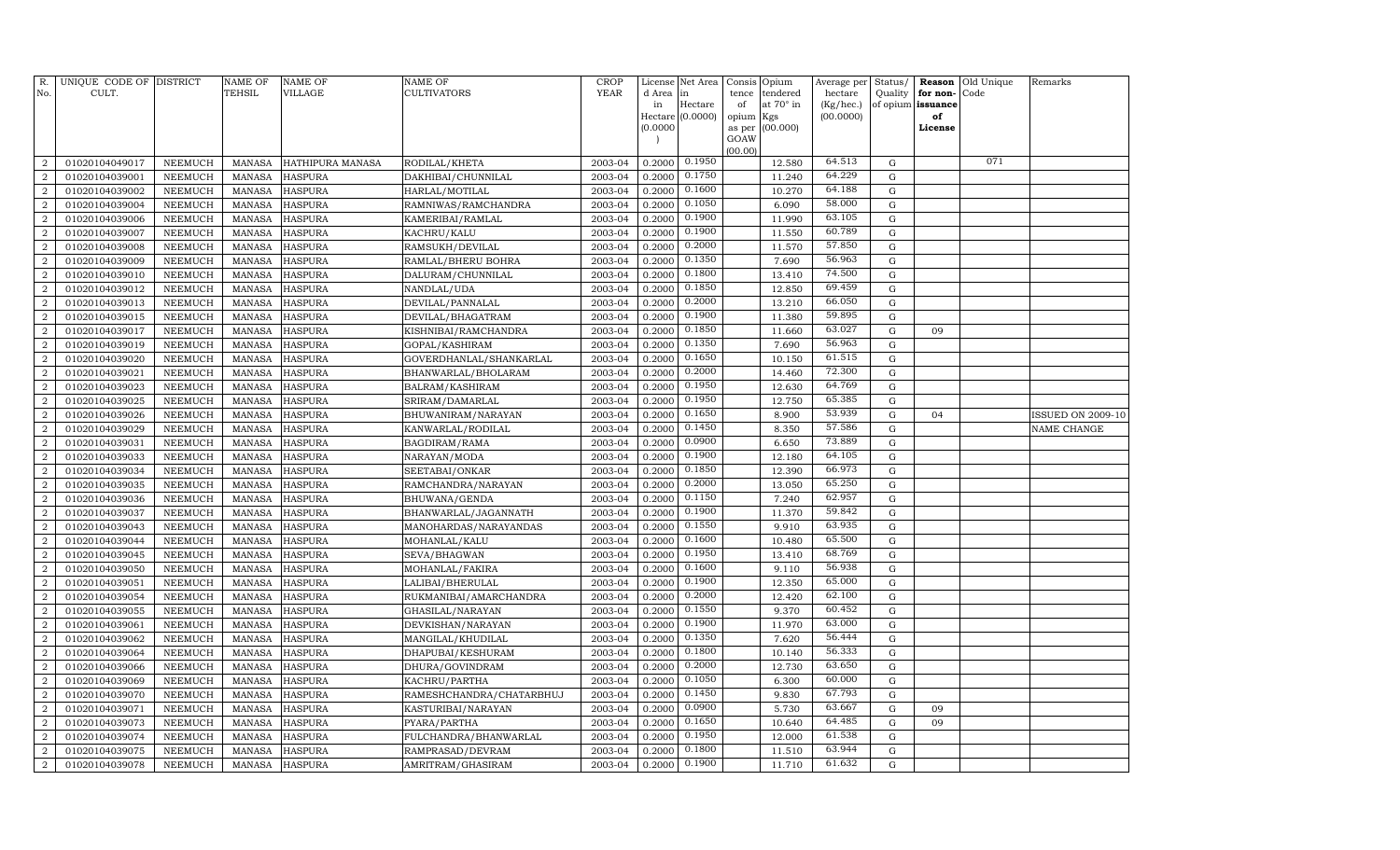|                                  | R. UNIQUE CODE OF DISTRICT       |                                  | <b>NAME OF</b>                 | <b>NAME OF</b>                   | NAME OF                            | CROP               | License          | Net Area         |             | Consis Opium                 | Average per          | Status/        | Reason                        | Old Unique | Remarks                  |
|----------------------------------|----------------------------------|----------------------------------|--------------------------------|----------------------------------|------------------------------------|--------------------|------------------|------------------|-------------|------------------------------|----------------------|----------------|-------------------------------|------------|--------------------------|
| No.                              | CULT.                            |                                  | TEHSIL                         | <b>VILLAGE</b>                   | CULTIVATORS                        | <b>YEAR</b>        | d Area<br>in     | in<br>Hectare    | tence<br>of | tendered<br>at $70^\circ$ in | hectare<br>(Kg/hec.) | Quality        | for non-<br>of opium issuance | Code       |                          |
|                                  |                                  |                                  |                                |                                  |                                    |                    |                  | Hectare (0.0000) | opium       | Kgs                          | (00.0000)            |                | of                            |            |                          |
|                                  |                                  |                                  |                                |                                  |                                    |                    | (0.0000)         |                  | as per      | (00.000)                     |                      |                | License                       |            |                          |
|                                  |                                  |                                  |                                |                                  |                                    |                    |                  |                  | GOAW        |                              |                      |                |                               |            |                          |
| $\overline{2}$                   | 01020104049017                   | NEEMUCH                          | <b>MANASA</b>                  | HATHIPURA MANASA                 | RODILAL/KHETA                      | 2003-04            | 0.2000           | 0.1950           | (00.00)     | 12.580                       | 64.513               | $\mathbf G$    |                               | 071        |                          |
| $\boldsymbol{2}$                 | 01020104039001                   | <b>NEEMUCH</b>                   | <b>MANASA</b>                  | <b>HASPURA</b>                   | DAKHIBAI/CHUNNILAL                 | 2003-04            | 0.2000           | 0.1750           |             | 11.240                       | 64.229               | $\mathbf G$    |                               |            |                          |
| $\overline{2}$                   | 01020104039002                   | <b>NEEMUCH</b>                   | <b>MANASA</b>                  | <b>HASPURA</b>                   | HARLAL/MOTILAL                     | 2003-04            | 0.2000           | 0.1600           |             | 10.270                       | 64.188               | G              |                               |            |                          |
| $\overline{2}$                   | 01020104039004                   | <b>NEEMUCH</b>                   | <b>MANASA</b>                  | <b>HASPURA</b>                   | RAMNIWAS/RAMCHANDRA                | 2003-04            | 0.2000           | 0.1050           |             | 6.090                        | 58.000               | G              |                               |            |                          |
| $\overline{2}$                   | 01020104039006                   | <b>NEEMUCH</b>                   | <b>MANASA</b>                  | <b>HASPURA</b>                   | KAMERIBAI/RAMLAL                   | 2003-04            | 0.2000           | 0.1900           |             | 11.990                       | 63.105               | G              |                               |            |                          |
| $\overline{2}$                   | 01020104039007                   | <b>NEEMUCH</b>                   | <b>MANASA</b>                  | <b>HASPURA</b>                   | KACHRU/KALU                        | 2003-04            | 0.2000           | 0.1900           |             | 11.550                       | 60.789               | $\mathbf G$    |                               |            |                          |
| $\overline{2}$                   | 01020104039008                   | <b>NEEMUCH</b>                   | <b>MANASA</b>                  | <b>HASPURA</b>                   | RAMSUKH/DEVILAL                    | 2003-04            | 0.2000           | 0.2000           |             | 11.570                       | 57.850               | $\mathbf G$    |                               |            |                          |
| $\overline{2}$                   | 01020104039009                   | <b>NEEMUCH</b>                   | <b>MANASA</b>                  | <b>HASPURA</b>                   | RAMLAL/BHERU BOHRA                 | 2003-04            | 0.2000           | 0.1350           |             | 7.690                        | 56.963               | G              |                               |            |                          |
| $\overline{2}$                   | 01020104039010                   | <b>NEEMUCH</b>                   | <b>MANASA</b>                  | <b>HASPURA</b>                   | DALURAM/CHUNNILAL                  | 2003-04            | 0.2000           | 0.1800           |             | 13.410                       | 74.500               | G              |                               |            |                          |
| $\boldsymbol{2}$                 | 01020104039012                   | <b>NEEMUCH</b>                   | <b>MANASA</b>                  | <b>HASPURA</b>                   | NANDLAL/UDA                        | 2003-04            | 0.2000           | 0.1850           |             | 12.850                       | 69.459               | $\mathbf G$    |                               |            |                          |
| $\overline{2}$                   | 01020104039013                   | NEEMUCH                          | <b>MANASA</b>                  | <b>HASPURA</b>                   | DEVILAL/PANNALAL                   | 2003-04            | 0.2000           | 0.2000           |             | 13.210                       | 66.050               | $\mathbf G$    |                               |            |                          |
| $\overline{a}$                   | 01020104039015                   | <b>NEEMUCH</b>                   | <b>MANASA</b>                  | <b>HASPURA</b>                   | DEVILAL/BHAGATRAM                  | 2003-04            | 0.2000           | 0.1900           |             | 11.380                       | 59.895               | G              |                               |            |                          |
| $\overline{2}$                   | 01020104039017                   | <b>NEEMUCH</b>                   | <b>MANASA</b>                  | <b>HASPURA</b>                   | KISHNIBAI/RAMCHANDRA               | 2003-04            | 0.2000           | 0.1850           |             | 11.660                       | 63.027               | G              | 09                            |            |                          |
| $\overline{2}$                   | 01020104039019                   | <b>NEEMUCH</b>                   | <b>MANASA</b>                  | <b>HASPURA</b>                   | GOPAL/KASHIRAM                     | 2003-04            | 0.2000           | 0.1350           |             | 7.690                        | 56.963               | $\mathbf G$    |                               |            |                          |
| $\overline{2}$                   | 01020104039020                   | <b>NEEMUCH</b>                   | <b>MANASA</b>                  | <b>HASPURA</b>                   | GOVERDHANLAL/SHANKARLAL            | 2003-04            | 0.2000           | 0.1650           |             | 10.150                       | 61.515               | $\mathbf G$    |                               |            |                          |
| $\overline{2}$                   | 01020104039021                   | <b>NEEMUCH</b>                   | <b>MANASA</b>                  | <b>HASPURA</b>                   | BHANWARLAL/BHOLARAM                | 2003-04            | 0.2000           | 0.2000           |             | 14.460                       | 72.300               | $\mathbf G$    |                               |            |                          |
| $\overline{a}$                   | 01020104039023                   | <b>NEEMUCH</b>                   | <b>MANASA</b>                  | <b>HASPURA</b>                   | BALRAM/KASHIRAM                    | 2003-04            | 0.2000           | 0.1950           |             | 12.630                       | 64.769               | G              |                               |            |                          |
| $\overline{2}$                   | 01020104039025                   | <b>NEEMUCH</b>                   | <b>MANASA</b>                  | <b>HASPURA</b>                   | SRIRAM/DAMARLAL                    | 2003-04            | 0.2000           | 0.1950           |             | 12.750                       | 65.385               | $\mathbf G$    |                               |            |                          |
| $\boldsymbol{2}$                 | 01020104039026                   | NEEMUCH                          | <b>MANASA</b>                  | <b>HASPURA</b>                   | BHUWANIRAM/NARAYAN                 | 2003-04            | 0.2000           | 0.1650           |             | 8.900                        | 53.939               | ${\rm G}$      | 04                            |            | <b>ISSUED ON 2009-10</b> |
| $\overline{2}$                   | 01020104039029                   | NEEMUCH                          | <b>MANASA</b>                  | <b>HASPURA</b>                   | KANWARLAL/RODILAL                  | 2003-04            | 0.2000           | 0.1450           |             | 8.350                        | 57.586               | $\mathbf G$    |                               |            | NAME CHANGE              |
| $\overline{2}$                   | 01020104039031                   | <b>NEEMUCH</b>                   | <b>MANASA</b>                  | <b>HASPURA</b>                   | BAGDIRAM/RAMA                      | 2003-04            | 0.2000           | 0.0900           |             | 6.650                        | 73.889               | G              |                               |            |                          |
| $\overline{2}$                   | 01020104039033                   | NEEMUCH                          | <b>MANASA</b>                  | <b>HASPURA</b>                   | NARAYAN/MODA                       | 2003-04            | 0.2000           | 0.1900           |             | 12.180                       | 64.105               | G              |                               |            |                          |
| $\overline{2}$                   | 01020104039034                   | <b>NEEMUCH</b>                   | <b>MANASA</b>                  | <b>HASPURA</b>                   | SEETABAI/ONKAR                     | 2003-04            | 0.2000           | 0.1850           |             | 12.390                       | 66.973               | G              |                               |            |                          |
| $\overline{2}$                   | 01020104039035                   | <b>NEEMUCH</b>                   | <b>MANASA</b>                  | <b>HASPURA</b>                   | RAMCHANDRA/NARAYAN                 | 2003-04            | 0.2000           | 0.2000           |             | 13.050                       | 65.250               | $\mathbf G$    |                               |            |                          |
| $\overline{2}$                   | 01020104039036                   | <b>NEEMUCH</b>                   | <b>MANASA</b>                  | <b>HASPURA</b>                   | BHUWANA/GENDA                      | 2003-04            | 0.2000           | 0.1150           |             | 7.240                        | 62.957               | $\mathbf G$    |                               |            |                          |
| $\overline{2}$                   | 01020104039037                   | <b>NEEMUCH</b>                   | <b>MANASA</b>                  | <b>HASPURA</b>                   | BHANWARLAL/JAGANNATH               | 2003-04            | 0.2000           | 0.1900           |             | 11.370                       | 59.842               | $\mathbf G$    |                               |            |                          |
| $\overline{a}$                   | 01020104039043                   | NEEMUCH                          | <b>MANASA</b>                  | <b>HASPURA</b>                   | MANOHARDAS/NARAYANDAS              | 2003-04            | 0.2000           | 0.1550           |             | 9.910                        | 63.935               | G              |                               |            |                          |
| $\overline{2}$                   | 01020104039044                   | <b>NEEMUCH</b>                   | <b>MANASA</b>                  | <b>HASPURA</b>                   | MOHANLAL/KALU                      | 2003-04            | 0.2000           | 0.1600           |             | 10.480                       | 65.500               | $\mathbf G$    |                               |            |                          |
| $\boldsymbol{2}$                 | 01020104039045                   | NEEMUCH                          | <b>MANASA</b>                  | <b>HASPURA</b>                   | SEVA/BHAGWAN                       | 2003-04            | 0.2000           | 0.1950           |             | 13.410                       | 68.769               | G              |                               |            |                          |
| $\overline{2}$                   | 01020104039050                   | NEEMUCH                          | <b>MANASA</b>                  | <b>HASPURA</b>                   | MOHANLAL/FAKIRA                    | 2003-04            | 0.2000           | 0.1600           |             | 9.110                        | 56.938               | G              |                               |            |                          |
| $\overline{2}$                   | 01020104039051                   | <b>NEEMUCH</b>                   | <b>MANASA</b>                  | <b>HASPURA</b>                   | LALIBAI/BHERULAL                   | 2003-04            | 0.2000           | 0.1900           |             | 12.350                       | 65.000               | $\mathbf G$    |                               |            |                          |
| $\overline{2}$                   | 01020104039054                   | <b>NEEMUCH</b>                   | <b>MANASA</b>                  | <b>HASPURA</b>                   | RUKMANIBAI/AMARCHANDRA             | 2003-04            | 0.2000           | 0.2000           |             | 12.420                       | 62.100               | $\mathbf G$    |                               |            |                          |
| $\overline{2}$                   | 01020104039055                   | <b>NEEMUCH</b>                   | <b>MANASA</b>                  | <b>HASPURA</b>                   | GHASILAL/NARAYAN                   | 2003-04            | 0.2000           | 0.1550           |             | 9.370                        | 60.452               | ${\rm G}$      |                               |            |                          |
| $\overline{2}$                   | 01020104039061                   | NEEMUCH                          | <b>MANASA</b>                  | <b>HASPURA</b>                   | DEVKISHAN/NARAYAN                  | 2003-04            | 0.2000           | 0.1900           |             | 11.970                       | 63.000               | G              |                               |            |                          |
| $\overline{a}$                   | 01020104039062                   | <b>NEEMUCH</b>                   | <b>MANASA</b>                  | <b>HASPURA</b>                   | MANGILAL/KHUDILAL                  | 2003-04            | 0.2000           | 0.1350           |             | 7.620                        | 56.444               | G              |                               |            |                          |
| $\overline{2}$                   | 01020104039064                   | NEEMUCH                          | <b>MANASA</b>                  | <b>HASPURA</b>                   | DHAPUBAI/KESHURAM                  | 2003-04            | 0.2000           | 0.1800           |             | 10.140                       | 56.333               | $\mathbf G$    |                               |            |                          |
| $\overline{a}$                   | 01020104039066                   | <b>NEEMUCH</b>                   | <b>MANASA</b>                  | <b>HASPURA</b>                   | DHURA/GOVINDRAM                    | 2003-04            | 0.2000           | 0.2000<br>0.1050 |             | 12.730                       | 63.650<br>60.000     | G              |                               |            |                          |
| $\boldsymbol{2}$                 | 01020104039069                   | NEEMUCH                          | <b>MANASA</b>                  | <b>HASPURA</b><br><b>HASPURA</b> | KACHRU/PARTHA                      | 2003-04<br>2003-04 | 0.2000<br>0.2000 | 0.1450           |             | 6.300<br>9.830               | 67.793               | G<br>${\rm G}$ |                               |            |                          |
| $\overline{2}$<br>$\overline{2}$ | 01020104039070                   | <b>NEEMUCH</b><br><b>NEEMUCH</b> | <b>MANASA</b>                  |                                  | RAMESHCHANDRA/CHATARBHUJ           | 2003-04            | 0.2000           | 0.0900           |             | 5.730                        | 63.667               | $\mathbf G$    | 09                            |            |                          |
| $\overline{a}$                   | 01020104039071<br>01020104039073 | <b>NEEMUCH</b>                   | <b>MANASA</b><br><b>MANASA</b> | <b>HASPURA</b><br><b>HASPURA</b> | KASTURIBAI/NARAYAN<br>PYARA/PARTHA | 2003-04            | 0.2000           | 0.1650           |             | 10.640                       | 64.485               | G              | 09                            |            |                          |
| $\overline{2}$                   | 01020104039074                   | NEEMUCH                          | <b>MANASA</b>                  | <b>HASPURA</b>                   | FULCHANDRA/BHANWARLAL              | 2003-04            | 0.2000           | 0.1950           |             | 12.000                       | 61.538               | $\mathbf G$    |                               |            |                          |
| $\boldsymbol{2}$                 | 01020104039075                   | NEEMUCH                          | <b>MANASA</b>                  | <b>HASPURA</b>                   | RAMPRASAD/DEVRAM                   | 2003-04            | 0.2000           | 0.1800           |             | 11.510                       | 63.944               | G              |                               |            |                          |
| $\overline{2}$                   | 01020104039078                   | NEEMUCH                          | MANASA                         | <b>HASPURA</b>                   | AMRITRAM/GHASIRAM                  | 2003-04            | 0.2000           | 0.1900           |             | 11.710                       | 61.632               | ${\rm G}$      |                               |            |                          |
|                                  |                                  |                                  |                                |                                  |                                    |                    |                  |                  |             |                              |                      |                |                               |            |                          |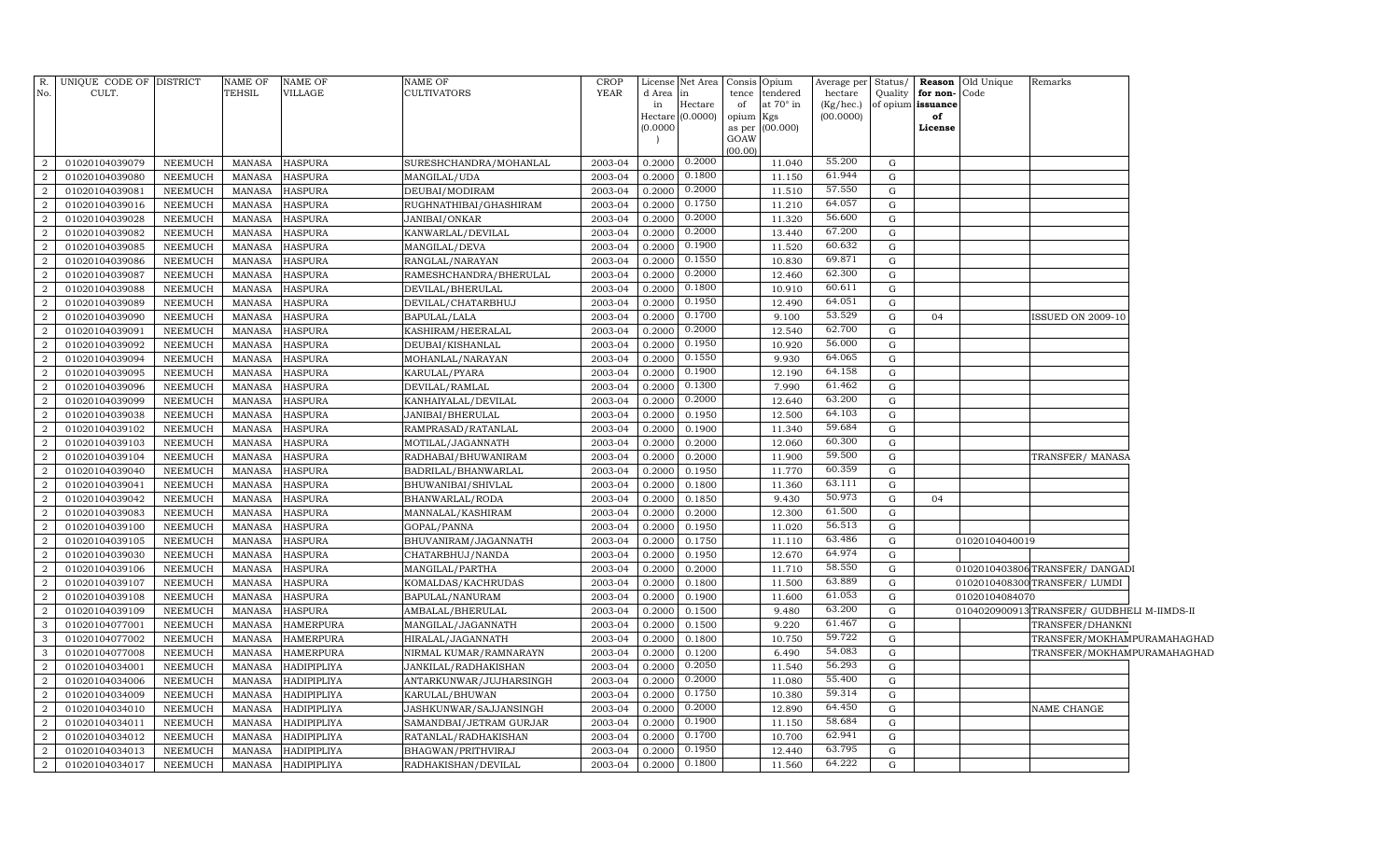| R.                               | UNIQUE CODE OF DISTRICT          |                    | <b>NAME OF</b>                 | <b>NAME OF</b>                    | <b>NAME OF</b>          | <b>CROP</b>        |                   | License Net Area | Consis      | Opium                 | Average per Status/  |                  |                                   | <b>Reason</b> Old Unique | Remarks                                     |  |
|----------------------------------|----------------------------------|--------------------|--------------------------------|-----------------------------------|-------------------------|--------------------|-------------------|------------------|-------------|-----------------------|----------------------|------------------|-----------------------------------|--------------------------|---------------------------------------------|--|
| No.                              | CULT.                            |                    | TEHSIL                         | <b>VILLAGE</b>                    | <b>CULTIVATORS</b>      | YEAR               | d Area   in<br>in | Hectare          | tence<br>of | tendered<br>at 70° in | hectare<br>(Kg/hec.) | Quality          | for non-Code<br>of opium issuance |                          |                                             |  |
|                                  |                                  |                    |                                |                                   |                         |                    |                   | Hectare (0.0000) | opium       | Kgs                   | (00.0000)            |                  | of                                |                          |                                             |  |
|                                  |                                  |                    |                                |                                   |                         |                    | (0.0000)          |                  | as per      | (00.000)              |                      |                  | License                           |                          |                                             |  |
|                                  |                                  |                    |                                |                                   |                         |                    |                   |                  | GOAW        |                       |                      |                  |                                   |                          |                                             |  |
| $\overline{2}$                   | 01020104039079                   | NEEMUCH            | MANASA                         | <b>HASPURA</b>                    | SURESHCHANDRA/MOHANLAL  | 2003-04            | 0.2000            | 0.2000           | (00.00)     | 11.040                | 55.200               | G                |                                   |                          |                                             |  |
| 2                                | 01020104039080                   | NEEMUCH            | <b>MANASA</b>                  | <b>HASPURA</b>                    | MANGILAL/UDA            | 2003-04            | 0.2000            | 0.1800           |             | 11.150                | 61.944               | G                |                                   |                          |                                             |  |
| $\overline{2}$                   | 01020104039081                   | <b>NEEMUCH</b>     | <b>MANASA</b>                  | <b>HASPURA</b>                    | DEUBAI/MODIRAM          | 2003-04            | 0.2000            | 0.2000           |             | 11.510                | 57.550               | G                |                                   |                          |                                             |  |
| $\overline{2}$                   | 01020104039016                   | NEEMUCH            | <b>MANASA</b>                  | <b>HASPURA</b>                    | RUGHNATHIBAI/GHASHIRAM  | 2003-04            | 0.2000            | 0.1750           |             | 11.210                | 64.057               | G                |                                   |                          |                                             |  |
| $\overline{2}$                   | 01020104039028                   | NEEMUCH            | <b>MANASA</b>                  | <b>HASPURA</b>                    | JANIBAI/ONKAR           | 2003-04            | 0.2000            | 0.2000           |             | 11.320                | 56.600               | G                |                                   |                          |                                             |  |
| 2                                | 01020104039082                   | NEEMUCH            | <b>MANASA</b>                  | <b>HASPURA</b>                    | KANWARLAL/DEVILAL       | 2003-04            | 0.2000            | 0.2000           |             | 13.440                | 67.200               | G                |                                   |                          |                                             |  |
| 2                                | 01020104039085                   | <b>NEEMUCH</b>     | <b>MANASA</b>                  | <b>HASPURA</b>                    | MANGILAL/DEVA           | 2003-04            | 0.2000            | 0.1900           |             | 11.520                | 60.632               | G                |                                   |                          |                                             |  |
| 2                                | 01020104039086                   | NEEMUCH            | <b>MANASA</b>                  | <b>HASPURA</b>                    | RANGLAL/NARAYAN         | 2003-04            | 0.2000            | 0.1550           |             | 10.830                | 69.871               | G                |                                   |                          |                                             |  |
| 2                                | 01020104039087                   | NEEMUCH            | <b>MANASA</b>                  | <b>HASPURA</b>                    | RAMESHCHANDRA/BHERULAL  | 2003-04            | 0.2000            | 0.2000           |             | 12.460                | 62.300               | ${\rm G}$        |                                   |                          |                                             |  |
| $\overline{2}$                   | 01020104039088                   | NEEMUCH            | <b>MANASA</b>                  | <b>HASPURA</b>                    | DEVILAL/BHERULAL        | 2003-04            | 0.2000            | 0.1800           |             | 10.910                | 60.611               | G                |                                   |                          |                                             |  |
| 2                                | 01020104039089                   | NEEMUCH            | <b>MANASA</b>                  | <b>HASPURA</b>                    | DEVILAL/CHATARBHUJ      | 2003-04            | 0.2000            | 0.1950           |             | 12.490                | 64.051               | G                |                                   |                          |                                             |  |
| $\overline{2}$                   | 01020104039090                   | NEEMUCH            | <b>MANASA</b>                  | <b>HASPURA</b>                    | BAPULAL/LALA            | 2003-04            | 0.2000            | 0.1700           |             | 9.100                 | 53.529               | ${\rm G}$        | 04                                |                          | ISSUED ON 2009-10                           |  |
| $\overline{a}$                   | 01020104039091                   | NEEMUCH            | <b>MANASA</b>                  | <b>HASPURA</b>                    | KASHIRAM/HEERALAL       | 2003-04            | 0.2000            | 0.2000           |             | 12.540                | 62.700               | ${\rm G}$        |                                   |                          |                                             |  |
| $\overline{2}$                   | 01020104039092                   | NEEMUCH            | <b>MANASA</b>                  | <b>HASPURA</b>                    | DEUBAI/KISHANLAL        | 2003-04            | 0.2000            | 0.1950           |             | 10.920                | 56.000               | ${\rm G}$        |                                   |                          |                                             |  |
| $\overline{2}$                   | 01020104039094                   | NEEMUCH            | <b>MANASA</b>                  | <b>HASPURA</b>                    | MOHANLAL/NARAYAN        | 2003-04            | 0.2000            | 0.1550           |             | 9.930                 | 64.065               | ${\rm G}$        |                                   |                          |                                             |  |
| $\overline{2}$                   | 01020104039095                   | NEEMUCH            | <b>MANASA</b>                  | <b>HASPURA</b>                    | KARULAL/PYARA           | 2003-04            | 0.2000            | 0.1900           |             | 12.190                | 64.158               | ${\rm G}$        |                                   |                          |                                             |  |
| $\overline{2}$                   | 01020104039096                   | NEEMUCH            | <b>MANASA</b>                  | <b>HASPURA</b>                    | DEVILAL/RAMLAL          | 2003-04            | 0.2000            | 0.1300           |             | 7.990                 | 61.462               | ${\rm G}$        |                                   |                          |                                             |  |
| $\overline{a}$                   | 01020104039099                   | NEEMUCH            | <b>MANASA</b>                  | <b>HASPURA</b>                    | KANHAIYALAL/DEVILAL     | 2003-04            | 0.2000            | 0.2000           |             | 12.640                | 63.200               | ${\rm G}$        |                                   |                          |                                             |  |
| $\overline{a}$                   | 01020104039038                   | NEEMUCH            | <b>MANASA</b>                  | <b>HASPURA</b>                    | JANIBAI/BHERULAL        | 2003-04            | 0.2000            | 0.1950           |             | 12.500                | 64.103               | ${\rm G}$        |                                   |                          |                                             |  |
| $\overline{a}$                   | 01020104039102                   | NEEMUCH            | MANASA                         | <b>HASPURA</b>                    | RAMPRASAD/RATANLAL      | 2003-04            | 0.2000            | 0.1900           |             | 11.340                | 59.684               | G                |                                   |                          |                                             |  |
| $\overline{2}$                   | 01020104039103                   | NEEMUCH            | <b>MANASA</b>                  | <b>HASPURA</b>                    | MOTILAL/JAGANNATH       | 2003-04            | 0.2000            | 0.2000           |             | 12.060                | 60.300               | ${\rm G}$        |                                   |                          |                                             |  |
| $\overline{a}$                   | 01020104039104                   | NEEMUCH            | MANASA                         | <b>HASPURA</b>                    | RADHABAI/BHUWANIRAM     | 2003-04            | 0.2000            | 0.2000           |             | 11.900                | 59.500               | G                |                                   |                          | TRANSFER/MANASA                             |  |
| $\overline{2}$                   | 01020104039040                   | NEEMUCH            | <b>MANASA</b>                  | <b>HASPURA</b>                    | BADRILAL/BHANWARLAL     | 2003-04            | 0.2000            | 0.1950           |             | 11.770                | 60.359               | ${\rm G}$        |                                   |                          |                                             |  |
| $\overline{2}$                   | 01020104039041                   | <b>NEEMUCH</b>     | MANASA                         | <b>HASPURA</b>                    | BHUWANIBAI/SHIVLAL      | 2003-04            | 0.2000            | 0.1800           |             | 11.360                | 63.111               | ${\rm G}$        |                                   |                          |                                             |  |
| $\overline{2}$                   | 01020104039042                   | NEEMUCH            | <b>MANASA</b>                  | <b>HASPURA</b>                    | BHANWARLAL/RODA         | 2003-04            | 0.2000            | 0.1850           |             | 9.430                 | 50.973               | G                | 04                                |                          |                                             |  |
| $\overline{2}$                   | 01020104039083                   | NEEMUCH            | <b>MANASA</b>                  | <b>HASPURA</b>                    | MANNALAL/KASHIRAM       | 2003-04            | 0.2000            | 0.2000           |             | 12.300                | 61.500               | G                |                                   |                          |                                             |  |
| $\overline{2}$                   | 01020104039100                   | NEEMUCH            | <b>MANASA</b>                  | <b>HASPURA</b>                    | GOPAL/PANNA             | 2003-04            | 0.2000            | 0.1950           |             | 11.020                | 56.513               | ${\rm G}$        |                                   |                          |                                             |  |
| $\overline{2}$                   | 01020104039105                   | NEEMUCH            | <b>MANASA</b>                  | <b>HASPURA</b>                    | BHUVANIRAM/JAGANNATH    | 2003-04            | 0.2000            | 0.1750           |             | 11.110                | 63.486               | G                |                                   | 01020104040019           |                                             |  |
| $\overline{2}$                   | 01020104039030                   | NEEMUCH            | <b>MANASA</b>                  | <b>HASPURA</b>                    | CHATARBHUJ/NANDA        | 2003-04            | 0.2000            | 0.1950           |             | 12.670                | 64.974               | ${\rm G}$        |                                   |                          |                                             |  |
| $\overline{2}$                   | 01020104039106                   | NEEMUCH            | <b>MANASA</b>                  | <b>HASPURA</b>                    | MANGILAL/PARTHA         | 2003-04            | 0.2000            | 0.2000           |             | 11.710                | 58.550               | G                |                                   |                          | 0102010403806TRANSFER/DANGADI               |  |
| $\overline{2}$                   | 01020104039107                   | NEEMUCH            | <b>MANASA</b>                  | <b>HASPURA</b>                    | KOMALDAS/KACHRUDAS      | 2003-04            | 0.2000            | 0.1800           |             | 11.500                | 63.889               | ${\rm G}$        |                                   |                          | 0102010408300 TRANSFER/LUMDI                |  |
| $\overline{a}$                   | 01020104039108                   | NEEMUCH            | <b>MANASA</b>                  | <b>HASPURA</b>                    | BAPULAL/NANURAM         | 2003-04            | 0.2000            | 0.1900           |             | 11.600                | 61.053               | G                |                                   | 01020104084070           |                                             |  |
| $\overline{2}$                   | 01020104039109                   | NEEMUCH            | <b>MANASA</b>                  | <b>HASPURA</b>                    | AMBALAL/BHERULAL        | 2003-04            | 0.2000            | 0.1500           |             | 9.480                 | 63.200               | ${\rm G}$        |                                   |                          | 0104020900913 TRANSFER/ GUDBHELI M-IIMDS-II |  |
| 3                                | 01020104077001                   | NEEMUCH            | <b>MANASA</b>                  | <b>HAMERPURA</b>                  | MANGILAL/JAGANNATH      | 2003-04            | 0.2000            | 0.1500           |             | 9.220                 | 61.467               | G                |                                   |                          | TRANSFER/DHANKNI                            |  |
| $\mathbf{3}$                     | 01020104077002                   | NEEMUCH            | <b>MANASA</b>                  | <b>HAMERPURA</b>                  | HIRALAL/JAGANNATH       | 2003-04            | 0.2000            | 0.1800           |             | 10.750                | 59.722               | ${\rm G}$        |                                   |                          | TRANSFER/MOKHAMPURAMAHAGHAD                 |  |
| $\mathbf{3}$                     | 01020104077008                   | NEEMUCH            | <b>MANASA</b>                  | <b>HAMERPURA</b>                  | NIRMAL KUMAR/RAMNARAYN  | 2003-04            | 0.2000            | 0.1200           |             | 6.490                 | 54.083               | G                |                                   |                          | TRANSFER/MOKHAMPURAMAHAGHAD                 |  |
| $\overline{a}$                   | 01020104034001                   | NEEMUCH            | <b>MANASA</b>                  | HADIPIPLIYA                       | JANKILAL/RADHAKISHAN    | 2003-04            | 0.2000            | 0.2050           |             | 11.540                | 56.293               | ${\rm G}$        |                                   |                          |                                             |  |
| $\overline{a}$                   | 01020104034006                   | NEEMUCH            | <b>MANASA</b>                  | HADIPIPLIYA                       | ANTARKUNWAR/JUJHARSINGH | 2003-04            | 0.2000            | 0.2000<br>0.1750 |             | 11.080                | 55.400<br>59.314     | G<br>$\mathbf G$ |                                   |                          |                                             |  |
| $\overline{a}$                   | 01020104034009                   | NEEMUCH            | <b>MANASA</b>                  | <b>HADIPIPLIYA</b>                | KARULAL/BHUWAN          | 2003-04            | 0.2000            | 0.2000           |             | 10.380                | 64.450               |                  |                                   |                          |                                             |  |
| $\overline{a}$                   | 01020104034010                   | NEEMUCH            | <b>MANASA</b>                  | <b>HADIPIPLIYA</b>                | JASHKUNWAR/SAJJANSINGH  | 2003-04            | 0.200             | 0.1900           |             | 12.890                | 58.684               | G<br>G           |                                   |                          | NAME CHANGE                                 |  |
| $\overline{a}$                   | 01020104034011                   | NEEMUCH            | <b>MANASA</b>                  | <b>HADIPIPLIYA</b>                | SAMANDBAI/JETRAM GURJAR | 2003-04            | 0.2000<br>0.200   | 0.1700           |             | 11.150<br>10.700      | 62.941               | G                |                                   |                          |                                             |  |
| $\overline{2}$<br>$\overline{2}$ | 01020104034012<br>01020104034013 | NEEMUCH<br>NEEMUCH | <b>MANASA</b><br><b>MANASA</b> | <b>HADIPIPLIYA</b>                | RATANLAL/RADHAKISHAN    | 2003-04<br>2003-04 | 0.200             | 0.1950           |             | 12.440                | 63.795               | G                |                                   |                          |                                             |  |
|                                  | 01020104034017                   | NEEMUCH            | MANASA                         | <b>HADIPIPLIYA</b><br>HADIPIPLIYA | BHAGWAN/PRITHVIRAJ      | 2003-04            | 0.2000            | 0.1800           |             | 11.560                | 64.222               | G                |                                   |                          |                                             |  |
| $\overline{a}$                   |                                  |                    |                                |                                   | RADHAKISHAN/DEVILAL     |                    |                   |                  |             |                       |                      |                  |                                   |                          |                                             |  |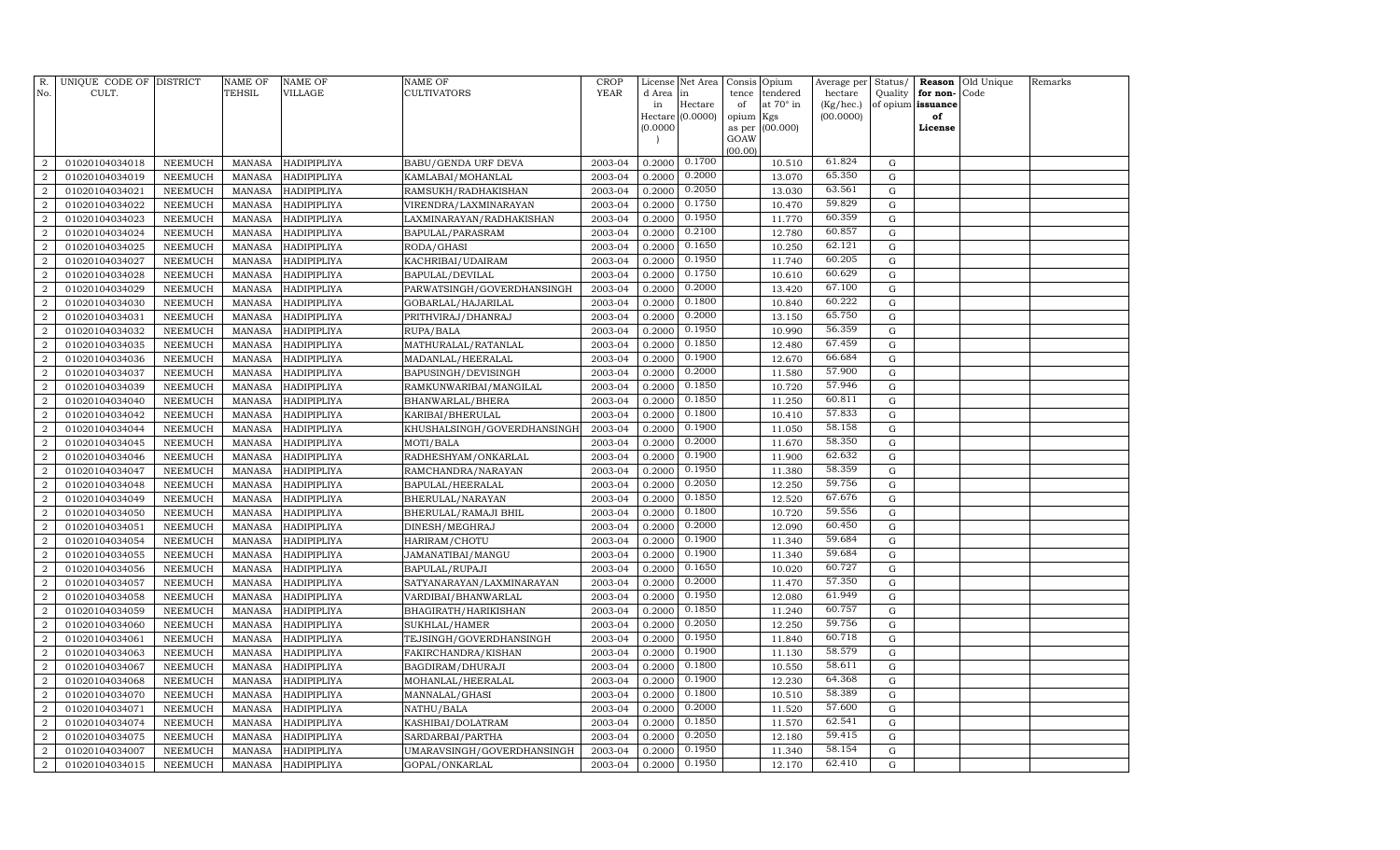| R.                               | UNIQUE CODE OF DISTRICT          |                                  | NAME OF                        | <b>NAME OF</b>             | <b>NAME OF</b>                                    | <b>CROP</b>        | License          | Net Area                    | Consis      | Opium                   | Average per            | Status/          |                | Reason Old Unique | Remarks |
|----------------------------------|----------------------------------|----------------------------------|--------------------------------|----------------------------|---------------------------------------------------|--------------------|------------------|-----------------------------|-------------|-------------------------|------------------------|------------------|----------------|-------------------|---------|
| No.                              | CULT.                            |                                  | <b>TEHSIL</b>                  | VILLAGE                    | CULTIVATORS                                       | YEAR               | d Area           | in                          | tence       | tendered                | hectare                | Quality          | for non-       | Code              |         |
|                                  |                                  |                                  |                                |                            |                                                   |                    | in               | Hectare<br>Hectare (0.0000) | of<br>opium | at $70^\circ$ in<br>Kgs | (Kg/hec.)<br>(00.0000) | of opium         | issuance<br>of |                   |         |
|                                  |                                  |                                  |                                |                            |                                                   |                    | (0.0000)         |                             | as per      | (00.000)                |                        |                  | License        |                   |         |
|                                  |                                  |                                  |                                |                            |                                                   |                    |                  |                             | GOAW        |                         |                        |                  |                |                   |         |
|                                  |                                  |                                  |                                |                            |                                                   |                    |                  | 0.1700                      | (00.00)     |                         | 61.824                 |                  |                |                   |         |
| $\overline{2}$                   | 01020104034018                   | <b>NEEMUCH</b>                   | <b>MANASA</b>                  | <b>HADIPIPLIYA</b>         | <b>BABU/GENDA URF DEVA</b>                        | 2003-04            | 0.2000           | 0.2000                      |             | 10.510                  | 65.350                 | $\mathbf G$      |                |                   |         |
| $\overline{2}$<br>$\overline{a}$ | 01020104034019                   | <b>NEEMUCH</b>                   | <b>MANASA</b>                  | HADIPIPLIYA                | KAMLABAI/MOHANLAL                                 | 2003-04<br>2003-04 | 0.2000           | 0.2050                      |             | 13.070<br>13.030        | 63.561                 | $\mathbf G$<br>G |                |                   |         |
| $\overline{2}$                   | 01020104034021<br>01020104034022 | <b>NEEMUCH</b><br><b>NEEMUCH</b> | <b>MANASA</b><br><b>MANASA</b> | HADIPIPLIYA<br>HADIPIPLIYA | RAMSUKH/RADHAKISHAN                               | 2003-04            | 0.2000<br>0.2000 | 0.1750                      |             | 10.470                  | 59.829                 | G                |                |                   |         |
| $\overline{a}$                   | 01020104034023                   | <b>NEEMUCH</b>                   | <b>MANASA</b>                  | HADIPIPLIYA                | VIRENDRA/LAXMINARAYAN<br>LAXMINARAYAN/RADHAKISHAN | 2003-04            | 0.2000           | 0.1950                      |             | 11.770                  | 60.359                 | G                |                |                   |         |
| $\overline{a}$                   | 01020104034024                   | <b>NEEMUCH</b>                   | <b>MANASA</b>                  | HADIPIPLIYA                | BAPULAL/PARASRAM                                  | 2003-04            | 0.2000           | 0.2100                      |             | 12.780                  | 60.857                 | G                |                |                   |         |
| 2                                | 01020104034025                   | <b>NEEMUCH</b>                   | <b>MANASA</b>                  | HADIPIPLIYA                | RODA/GHASI                                        | 2003-04            | 0.2000           | 0.1650                      |             | 10.250                  | 62.121                 | $\mathbf G$      |                |                   |         |
| $\overline{2}$                   | 01020104034027                   | <b>NEEMUCH</b>                   | <b>MANASA</b>                  | HADIPIPLIYA                | KACHRIBAI/UDAIRAM                                 | 2003-04            | 0.2000           | 0.1950                      |             | 11.740                  | 60.205                 | G                |                |                   |         |
| $\overline{2}$                   | 01020104034028                   | <b>NEEMUCH</b>                   | <b>MANASA</b>                  | HADIPIPLIYA                | BAPULAL/DEVILAL                                   | 2003-04            | 0.2000           | 0.1750                      |             | 10.610                  | 60.629                 | $\mathbf G$      |                |                   |         |
| $\overline{2}$                   | 01020104034029                   | NEEMUCH                          | <b>MANASA</b>                  | HADIPIPLIYA                | PARWATSINGH/GOVERDHANSINGH                        | 2003-04            | 0.2000           | 0.2000                      |             | 13.420                  | 67.100                 | $\mathbf G$      |                |                   |         |
| $\overline{a}$                   | 01020104034030                   | <b>NEEMUCH</b>                   | <b>MANASA</b>                  | HADIPIPLIYA                | GOBARLAL/HAJARILAL                                | 2003-04            | 0.2000           | 0.1800                      |             | 10.840                  | 60.222                 | $\mathbf G$      |                |                   |         |
| $\overline{2}$                   | 01020104034031                   | <b>NEEMUCH</b>                   | <b>MANASA</b>                  | HADIPIPLIYA                | PRITHVIRAJ/DHANRAJ                                | 2003-04            | 0.2000           | 0.2000                      |             | 13.150                  | 65.750                 | $\mathbf G$      |                |                   |         |
| $\overline{a}$                   | 01020104034032                   | <b>NEEMUCH</b>                   | <b>MANASA</b>                  | HADIPIPLIYA                | RUPA/BALA                                         | 2003-04            | 0.2000           | 0.1950                      |             | 10.990                  | 56.359                 | G                |                |                   |         |
| $\overline{2}$                   | 01020104034035                   | <b>NEEMUCH</b>                   | <b>MANASA</b>                  | HADIPIPLIYA                | MATHURALAL/RATANLAL                               | 2003-04            | 0.2000           | 0.1850                      |             | 12.480                  | 67.459                 | G                |                |                   |         |
| $\overline{a}$                   | 01020104034036                   | <b>NEEMUCH</b>                   | <b>MANASA</b>                  | HADIPIPLIYA                | MADANLAL/HEERALAL                                 | 2003-04            | 0.2000           | 0.1900                      |             | 12.670                  | 66.684                 | G                |                |                   |         |
| $\overline{a}$                   | 01020104034037                   | <b>NEEMUCH</b>                   | <b>MANASA</b>                  | HADIPIPLIYA                | BAPUSINGH/DEVISINGH                               | 2003-04            | 0.2000           | 0.2000                      |             | 11.580                  | 57.900                 | G                |                |                   |         |
| $\overline{a}$                   | 01020104034039                   | <b>NEEMUCH</b>                   | <b>MANASA</b>                  | HADIPIPLIYA                | RAMKUNWARIBAI/MANGILAL                            | 2003-04            | 0.2000           | 0.1850                      |             | 10.720                  | 57.946                 | G                |                |                   |         |
| $\overline{2}$                   | 01020104034040                   | <b>NEEMUCH</b>                   | <b>MANASA</b>                  | HADIPIPLIYA                | BHANWARLAL/BHERA                                  | 2003-04            | 0.2000           | 0.1850                      |             | 11.250                  | 60.811                 | G                |                |                   |         |
| $\overline{2}$                   | 01020104034042                   | <b>NEEMUCH</b>                   | <b>MANASA</b>                  | HADIPIPLIYA                | KARIBAI/BHERULAL                                  | 2003-04            | 0.2000           | 0.1800                      |             | 10.410                  | 57.833                 | $\mathbf G$      |                |                   |         |
| $\overline{2}$                   | 01020104034044                   | <b>NEEMUCH</b>                   | <b>MANASA</b>                  | HADIPIPLIYA                | KHUSHALSINGH/GOVERDHANSINGH                       | 2003-04            | 0.2000           | 0.1900                      |             | 11.050                  | 58.158                 | $\mathbf G$      |                |                   |         |
| $\overline{a}$                   | 01020104034045                   | <b>NEEMUCH</b>                   | <b>MANASA</b>                  | HADIPIPLIYA                | MOTI/BALA                                         | 2003-04            | 0.2000           | 0.2000                      |             | 11.670                  | 58.350                 | G                |                |                   |         |
| $\overline{2}$                   | 01020104034046                   | <b>NEEMUCH</b>                   | <b>MANASA</b>                  | HADIPIPLIYA                | RADHESHYAM/ONKARLAL                               | 2003-04            | 0.2000           | 0.1900                      |             | 11.900                  | 62.632                 | $\mathbf G$      |                |                   |         |
| $\overline{a}$                   | 01020104034047                   | <b>NEEMUCH</b>                   | <b>MANASA</b>                  | HADIPIPLIYA                | RAMCHANDRA/NARAYAN                                | 2003-04            | 0.2000           | 0.1950                      |             | 11.380                  | 58.359                 | G                |                |                   |         |
| $\overline{2}$                   | 01020104034048                   | <b>NEEMUCH</b>                   | <b>MANASA</b>                  | HADIPIPLIYA                | BAPULAL/HEERALAL                                  | 2003-04            | 0.2000           | 0.2050                      |             | 12.250                  | 59.756                 | G                |                |                   |         |
| $\overline{a}$                   | 01020104034049                   | <b>NEEMUCH</b>                   | <b>MANASA</b>                  | HADIPIPLIYA                | BHERULAL/NARAYAN                                  | 2003-04            | 0.2000           | 0.1850                      |             | 12.520                  | 67.676                 | G                |                |                   |         |
| $\overline{a}$                   | 01020104034050                   | <b>NEEMUCH</b>                   | <b>MANASA</b>                  | HADIPIPLIYA                | BHERULAL/RAMAJI BHIL                              | 2003-04            | 0.2000           | 0.1800                      |             | 10.720                  | 59.556                 | G                |                |                   |         |
| 2                                | 01020104034051                   | <b>NEEMUCH</b>                   | <b>MANASA</b>                  | HADIPIPLIYA                | DINESH/MEGHRAJ                                    | 2003-04            | 0.2000           | 0.2000                      |             | 12.090                  | 60.450                 | G                |                |                   |         |
| $\overline{2}$                   | 01020104034054                   | <b>NEEMUCH</b>                   | <b>MANASA</b>                  | HADIPIPLIYA                | HARIRAM/CHOTU                                     | 2003-04            | 0.2000           | 0.1900                      |             | 11.340                  | 59.684                 | G                |                |                   |         |
| $\overline{2}$                   | 01020104034055                   | <b>NEEMUCH</b>                   | <b>MANASA</b>                  | HADIPIPLIYA                | JAMANATIBAI/MANGU                                 | 2003-04            | 0.2000           | 0.1900                      |             | 11.340                  | 59.684                 | $\mathbf G$      |                |                   |         |
| $\overline{2}$                   | 01020104034056                   | <b>NEEMUCH</b>                   | <b>MANASA</b>                  | HADIPIPLIYA                | BAPULAL/RUPAJI                                    | 2003-04            | 0.2000           | 0.1650                      |             | 10.020                  | 60.727                 | $\mathbf G$      |                |                   |         |
| $\overline{a}$                   | 01020104034057                   | <b>NEEMUCH</b>                   | <b>MANASA</b>                  | HADIPIPLIYA                | SATYANARAYAN/LAXMINARAYAN                         | 2003-04            | 0.2000           | 0.2000                      |             | 11.470                  | 57.350                 | G                |                |                   |         |
| $\overline{2}$                   | 01020104034058                   | <b>NEEMUCH</b>                   | <b>MANASA</b>                  | HADIPIPLIYA                | VARDIBAI/BHANWARLAL                               | 2003-04            | 0.2000           | 0.1950                      |             | 12.080                  | 61.949                 | $\mathbf G$      |                |                   |         |
| $\overline{a}$                   | 01020104034059                   | <b>NEEMUCH</b>                   | <b>MANASA</b>                  | HADIPIPLIYA                | BHAGIRATH/HARIKISHAN                              | 2003-04            | 0.2000           | 0.1850                      |             | 11.240                  | 60.757                 | G                |                |                   |         |
| $\overline{2}$                   | 01020104034060                   | <b>NEEMUCH</b>                   | <b>MANASA</b>                  | HADIPIPLIYA                | SUKHLAL/HAMER                                     | 2003-04            | 0.2000           | 0.2050                      |             | 12.250                  | 59.756                 | G                |                |                   |         |
| $\overline{a}$                   | 01020104034061                   | <b>NEEMUCH</b>                   | <b>MANASA</b>                  | HADIPIPLIYA                | TEJSINGH/GOVERDHANSINGH                           | 2003-04            | 0.2000           | 0.1950                      |             | 11.840                  | 60.718                 | G                |                |                   |         |
| $\overline{a}$                   | 01020104034063                   | <b>NEEMUCH</b>                   | <b>MANASA</b>                  | HADIPIPLIYA                | FAKIRCHANDRA/KISHAN                               | 2003-04            | 0.2000           | 0.1900                      |             | 11.130                  | 58.579                 | G                |                |                   |         |
| 2                                | 01020104034067                   | <b>NEEMUCH</b>                   | <b>MANASA</b>                  | HADIPIPLIYA                | BAGDIRAM/DHURAJI                                  | 2003-04            | 0.2000           | 0.1800                      |             | 10.550                  | 58.611                 | G                |                |                   |         |
| $\overline{2}$                   | 01020104034068                   | NEEMUCH                          | <b>MANASA</b>                  | HADIPIPLIYA                | MOHANLAL/HEERALAL                                 | 2003-04            | 0.2000           | 0.1900                      |             | 12.230                  | 64.368                 | G                |                |                   |         |
| $\overline{2}$                   | 01020104034070                   | <b>NEEMUCH</b>                   | <b>MANASA</b>                  | HADIPIPLIYA                | MANNALAL/GHASI                                    | 2003-04            | 0.2000           | 0.1800                      |             | 10.510                  | 58.389                 | $\mathbf G$      |                |                   |         |
| $\overline{2}$                   | 01020104034071                   | <b>NEEMUCH</b>                   | <b>MANASA</b>                  | HADIPIPLIYA                | NATHU/BALA                                        | 2003-04            | 0.2000           | 0.2000                      |             | 11.520                  | 57.600                 | $\mathbf G$      |                |                   |         |
| $\overline{a}$                   | 01020104034074                   | <b>NEEMUCH</b>                   | <b>MANASA</b>                  | HADIPIPLIYA                | KASHIBAI/DOLATRAM                                 | 2003-04            | 0.2000           | 0.1850                      |             | 11.570                  | 62.541                 | G                |                |                   |         |
| $\overline{2}$                   | 01020104034075                   | <b>NEEMUCH</b>                   | <b>MANASA</b>                  | HADIPIPLIYA                | SARDARBAI/PARTHA                                  | 2003-04            | 0.2000           | 0.2050                      |             | 12.180                  | 59.415                 | G                |                |                   |         |
| $\overline{a}$                   | 01020104034007                   | <b>NEEMUCH</b>                   | <b>MANASA</b>                  | HADIPIPLIYA                | UMARAVSINGH/GOVERDHANSINGH                        | 2003-04            | 0.2000           | 0.1950                      |             | 11.340                  | 58.154                 | G                |                |                   |         |
| $\overline{a}$                   | 01020104034015                   | NEEMUCH                          | MANASA                         | HADIPIPLIYA                | GOPAL/ONKARLAL                                    | 2003-04            | 0.2000           | 0.1950                      |             | 12.170                  | 62.410                 | $\mathbf G$      |                |                   |         |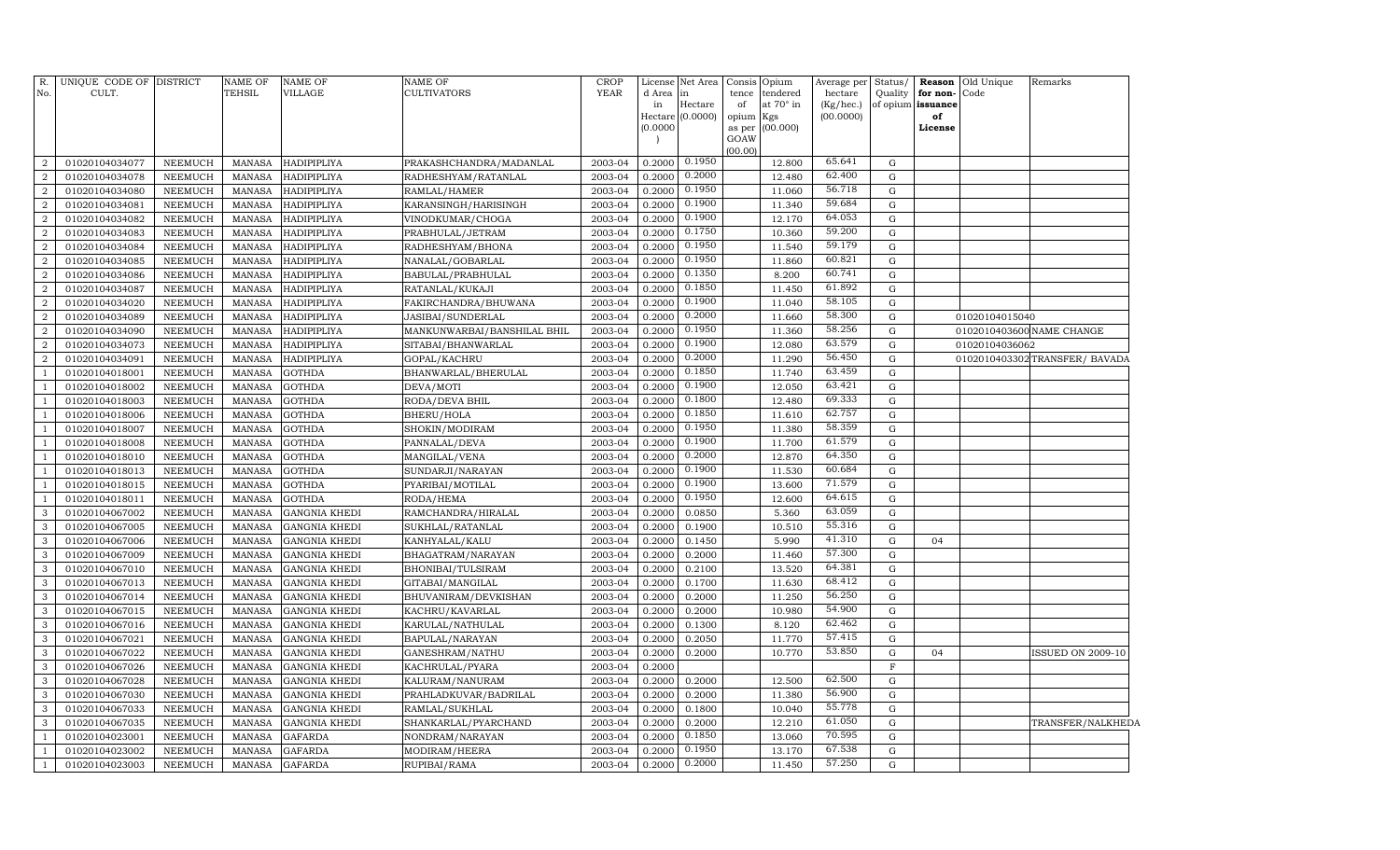| No.            | R. UNIQUE CODE OF DISTRICT<br>CULT. |                                  | NAME OF<br>TEHSIL              | <b>NAME OF</b><br><b>VILLAGE</b>             | <b>NAME OF</b><br><b>CULTIVATORS</b>     | <b>CROP</b><br><b>YEAR</b> | License<br>d Area<br>in | Net Area<br>in<br>Hectare | Consis<br>tence<br>of | Opium<br>tendered<br>at 70° in | Average per<br>hectare<br>(Kg/hec.) | Status/<br>Quality       | for non-Code<br>of opium issuance | Reason Old Unique | Remarks                        |
|----------------|-------------------------------------|----------------------------------|--------------------------------|----------------------------------------------|------------------------------------------|----------------------------|-------------------------|---------------------------|-----------------------|--------------------------------|-------------------------------------|--------------------------|-----------------------------------|-------------------|--------------------------------|
|                |                                     |                                  |                                |                                              |                                          |                            |                         | Hectare (0.0000)          | opium                 | Kgs                            | (00.0000)                           |                          | of                                |                   |                                |
|                |                                     |                                  |                                |                                              |                                          |                            | (0.0000)                |                           | as per                | (00.000)                       |                                     |                          | License                           |                   |                                |
|                |                                     |                                  |                                |                                              |                                          |                            |                         |                           | GOAW                  |                                |                                     |                          |                                   |                   |                                |
| $\overline{2}$ | 01020104034077                      | NEEMUCH                          | MANASA                         | HADIPIPLIYA                                  | PRAKASHCHANDRA/MADANLAL                  | 2003-04                    | 0.2000                  | 0.1950                    | (00.00)               | 12.800                         | 65.641                              | G                        |                                   |                   |                                |
| $\overline{2}$ | 01020104034078                      | NEEMUCH                          | MANASA                         | HADIPIPLIYA                                  | RADHESHYAM/RATANLAL                      | 2003-04                    | 0.2000                  | 0.2000                    |                       | 12.480                         | 62.400                              | ${\rm G}$                |                                   |                   |                                |
| $\overline{a}$ | 01020104034080                      | NEEMUCH                          | MANASA                         | HADIPIPLIYA                                  | RAMLAL/HAMER                             | 2003-04                    | 0.2000                  | 0.1950                    |                       | 11.060                         | 56.718                              | ${\rm G}$                |                                   |                   |                                |
| $\overline{a}$ | 01020104034081                      | NEEMUCH                          | <b>MANASA</b>                  | <b>HADIPIPLIYA</b>                           | KARANSINGH/HARISINGH                     | 2003-04                    | 0.2000                  | 0.1900                    |                       | 11.340                         | 59.684                              | ${\rm G}$                |                                   |                   |                                |
| $\overline{a}$ | 01020104034082                      | NEEMUCH                          | MANASA                         | <b>HADIPIPLIYA</b>                           | VINODKUMAR/CHOGA                         | 2003-04                    | 0.2000                  | 0.1900                    |                       | 12.170                         | 64.053                              | ${\rm G}$                |                                   |                   |                                |
| $\overline{a}$ | 01020104034083                      | NEEMUCH                          | MANASA                         | <b>HADIPIPLIYA</b>                           | PRABHULAL/JETRAM                         | 2003-04                    | 0.2000                  | 0.1750                    |                       | 10.360                         | 59.200                              | ${\rm G}$                |                                   |                   |                                |
| $\overline{a}$ | 01020104034084                      | NEEMUCH                          | MANASA                         | <b>HADIPIPLIYA</b>                           | RADHESHYAM/BHONA                         | 2003-04                    | 0.2000                  | 0.1950                    |                       | 11.540                         | 59.179                              | ${\rm G}$                |                                   |                   |                                |
| $\overline{a}$ | 01020104034085                      | <b>NEEMUCH</b>                   | MANASA                         | <b>HADIPIPLIYA</b>                           | NANALAL/GOBARLAL                         | 2003-04                    | 0.2000                  | 0.1950                    |                       | 11.860                         | 60.821                              | ${\rm G}$                |                                   |                   |                                |
| $\overline{a}$ | 01020104034086                      | NEEMUCH                          | <b>MANASA</b>                  | HADIPIPLIYA                                  | BABULAL/PRABHULAL                        | 2003-04                    | 0.2000                  | 0.1350                    |                       | 8.200                          | 60.741                              | ${\bf G}$                |                                   |                   |                                |
| $\overline{2}$ | 01020104034087                      | <b>NEEMUCH</b>                   | <b>MANASA</b>                  | HADIPIPLIYA                                  | RATANLAL/KUKAJI                          | 2003-04                    | 0.2000                  | 0.1850                    |                       | 11.450                         | 61.892                              | ${\rm G}$                |                                   |                   |                                |
| 2              | 01020104034020                      | <b>NEEMUCH</b>                   | <b>MANASA</b>                  | HADIPIPLIYA                                  | FAKIRCHANDRA/BHUWANA                     | 2003-04                    | 0.2000                  | 0.1900                    |                       | 11.040                         | 58.105                              | ${\rm G}$                |                                   |                   |                                |
| $\overline{2}$ | 01020104034089                      | <b>NEEMUCH</b>                   | MANASA                         | HADIPIPLIYA                                  | JASIBAI/SUNDERLAL                        | 2003-04                    | 0.2000                  | 0.2000                    |                       | 11.660                         | 58.300                              | ${\rm G}$                |                                   | 01020104015040    |                                |
| $\overline{2}$ | 01020104034090                      | NEEMUCH                          | <b>MANASA</b>                  | HADIPIPLIYA                                  | MANKUNWARBAI/BANSHILAL BHIL              | 2003-04                    | 0.2000                  | 0.1950                    |                       | 11.360                         | 58.256                              | ${\rm G}$                |                                   |                   | 0102010403600 NAME CHANGE      |
| $\overline{2}$ | 01020104034073                      | <b>NEEMUCH</b>                   | MANASA                         | <b>HADIPIPLIYA</b>                           | SITABAI/BHANWARLAL                       | 2003-04                    | 0.2000                  | 0.1900                    |                       | 12.080                         | 63.579                              | ${\rm G}$                |                                   | 01020104036062    |                                |
| $\overline{a}$ | 01020104034091                      | <b>NEEMUCH</b>                   | <b>MANASA</b>                  | <b>HADIPIPLIYA</b>                           | GOPAL/KACHRU                             | 2003-04                    | 0.2000                  | 0.2000                    |                       | 11.290                         | 56.450                              | ${\rm G}$                |                                   |                   | 0102010403302 TRANSFER/ BAVADA |
| $\overline{1}$ | 01020104018001                      | <b>NEEMUCH</b>                   | <b>MANASA</b>                  | <b>GOTHDA</b>                                | BHANWARLAL/BHERULAL                      | 2003-04                    | 0.2000                  | 0.1850                    |                       | 11.740                         | 63.459                              | ${\rm G}$                |                                   |                   |                                |
|                | 01020104018002                      | NEEMUCH                          | <b>MANASA</b>                  | <b>GOTHDA</b>                                | DEVA/MOTI                                | 2003-04                    | 0.2000                  | 0.1900                    |                       | 12.050                         | 63.421                              | ${\rm G}$                |                                   |                   |                                |
|                | 01020104018003                      | NEEMUCH                          | <b>MANASA</b>                  | <b>GOTHDA</b>                                | RODA/DEVA BHIL                           | 2003-04                    | 0.2000                  | 0.1800                    |                       | 12.480                         | 69.333                              | G                        |                                   |                   |                                |
|                | 01020104018006                      | <b>NEEMUCH</b>                   | <b>MANASA</b>                  | <b>GOTHDA</b>                                | BHERU/HOLA                               | 2003-04                    | 0.2000                  | 0.1850                    |                       | 11.610                         | 62.757                              | ${\rm G}$                |                                   |                   |                                |
| $\overline{1}$ | 01020104018007                      | <b>NEEMUCH</b>                   | <b>MANASA</b>                  | <b>GOTHDA</b>                                | SHOKIN/MODIRAM                           | 2003-04                    | 0.2000                  | 0.1950                    |                       | 11.380                         | 58.359                              | $\mathbf G$              |                                   |                   |                                |
|                | 01020104018008                      | <b>NEEMUCH</b>                   | <b>MANASA</b>                  | <b>GOTHDA</b>                                | PANNALAL/DEVA                            | 2003-04                    | 0.2000                  | 0.1900                    |                       | 11.700                         | 61.579                              | ${\rm G}$                |                                   |                   |                                |
| $\overline{1}$ | 01020104018010                      | <b>NEEMUCH</b>                   | <b>MANASA</b>                  | <b>GOTHDA</b>                                | MANGILAL/VENA                            | 2003-04                    | 0.2000                  | 0.2000                    |                       | 12.870                         | 64.350                              | $\mathbf G$              |                                   |                   |                                |
|                | 01020104018013                      | <b>NEEMUCH</b>                   | <b>MANASA</b>                  | <b>GOTHDA</b>                                | SUNDARJI/NARAYAN                         | 2003-04                    | 0.2000                  | 0.1900                    |                       | 11.530                         | 60.684                              | ${\rm G}$                |                                   |                   |                                |
|                | 01020104018015                      | <b>NEEMUCH</b>                   | <b>MANASA</b>                  | <b>GOTHDA</b>                                | PYARIBAI/MOTILAL                         | 2003-04                    | 0.2000                  | 0.1900                    |                       | 13.600                         | 71.579                              | $\mathbf G$              |                                   |                   |                                |
|                | 01020104018011                      | <b>NEEMUCH</b>                   | <b>MANASA</b>                  | <b>GOTHDA</b>                                | RODA/HEMA                                | 2003-04                    | 0.2000                  | 0.1950                    |                       | 12.600                         | 64.615                              | ${\rm G}$                |                                   |                   |                                |
| 3              | 01020104067002                      | <b>NEEMUCH</b>                   | <b>MANASA</b>                  | <b>GANGNIA KHEDI</b>                         | RAMCHANDRA/HIRALAL                       | 2003-04                    | 0.2000                  | 0.0850                    |                       | 5.360                          | 63.059                              | ${\rm G}$                |                                   |                   |                                |
| 3              | 01020104067005                      | <b>NEEMUCH</b>                   | <b>MANASA</b>                  | <b>GANGNIA KHEDI</b>                         | SUKHLAL/RATANLAL                         | 2003-04                    | 0.2000                  | 0.1900                    |                       | 10.510                         | 55.316                              | ${\rm G}$                |                                   |                   |                                |
| 3              | 01020104067006                      | <b>NEEMUCH</b>                   | <b>MANASA</b>                  | <b>GANGNIA KHEDI</b>                         | KANHYALAL/KALU                           | 2003-04                    | 0.2000                  | 0.1450                    |                       | 5.990                          | 41.310                              | $\mathbf G$              | 04                                |                   |                                |
| 3              | 01020104067009                      | <b>NEEMUCH</b>                   | <b>MANASA</b>                  | <b>GANGNIA KHEDI</b>                         | BHAGATRAM/NARAYAN                        | 2003-04                    | 0.2000                  | 0.2000                    |                       | 11.460                         | 57.300                              | ${\rm G}$                |                                   |                   |                                |
| 3              | 01020104067010                      | <b>NEEMUCH</b>                   | <b>MANASA</b>                  | <b>GANGNIA KHEDI</b>                         | BHONIBAI/TULSIRAM                        | 2003-04                    | 0.2000                  | 0.2100                    |                       | 13.520                         | 64.381                              | ${\rm G}$                |                                   |                   |                                |
| 3              | 01020104067013                      | <b>NEEMUCH</b>                   | <b>MANASA</b>                  | <b>GANGNIA KHEDI</b>                         | GITABAI/MANGILAL                         | 2003-04                    | 0.2000                  | 0.1700                    |                       | 11.630                         | 68.412                              | ${\rm G}$                |                                   |                   |                                |
| 3              | 01020104067014                      | <b>NEEMUCH</b>                   | <b>MANASA</b>                  | <b>GANGNIA KHEDI</b>                         | BHUVANIRAM/DEVKISHAN                     | 2003-04                    | 0.2000                  | 0.2000                    |                       | 11.250                         | 56.250                              | ${\rm G}$                |                                   |                   |                                |
| 3              | 01020104067015                      | <b>NEEMUCH</b>                   | <b>MANASA</b>                  | <b>GANGNIA KHEDI</b>                         | KACHRU/KAVARLAL                          | 2003-04                    | 0.2000                  | 0.2000                    |                       | 10.980                         | 54.900<br>62.462                    | ${\rm G}$                |                                   |                   |                                |
| 3              | 01020104067016                      | <b>NEEMUCH</b>                   | <b>MANASA</b>                  | <b>GANGNIA KHEDI</b>                         | KARULAL/NATHULAL                         | 2003-04                    | 0.2000                  | 0.1300                    |                       | 8.120                          | 57.415                              | ${\rm G}$                |                                   |                   |                                |
| 3              | 01020104067021                      | <b>NEEMUCH</b>                   | <b>MANASA</b>                  | <b>GANGNIA KHEDI</b>                         | BAPULAL/NARAYAN                          | 2003-04                    | 0.2000                  | 0.2050                    |                       | 11.770                         | 53.850                              | ${\rm G}$                |                                   |                   |                                |
| 3<br>3         | 01020104067022                      | <b>NEEMUCH</b>                   | <b>MANASA</b>                  | <b>GANGNIA KHEDI</b>                         | GANESHRAM/NATHU                          | 2003-04                    | 0.2000                  | 0.2000                    |                       | 10.770                         |                                     | ${\rm G}$                | 04                                |                   | <b>ISSUED ON 2009-10</b>       |
| 3              | 01020104067026                      | <b>NEEMUCH</b>                   | <b>MANASA</b>                  | <b>GANGNIA KHEDI</b>                         | KACHRULAL/PYARA                          | 2003-04                    | 0.2000                  |                           |                       | 12.500                         | 62.500                              | $\mathbf F$<br>${\rm G}$ |                                   |                   |                                |
| 3              | 01020104067028<br>01020104067030    | <b>NEEMUCH</b><br><b>NEEMUCH</b> | <b>MANASA</b><br><b>MANASA</b> | <b>GANGNIA KHEDI</b><br><b>GANGNIA KHEDI</b> | KALURAM/NANURAM<br>PRAHLADKUVAR/BADRILAL | 2003-04<br>2003-04         | 0.2000<br>0.2000        | 0.2000<br>0.2000          |                       | 11.380                         | 56.900                              | $\mathbf G$              |                                   |                   |                                |
| 3              | 01020104067033                      | <b>NEEMUCH</b>                   | <b>MANASA</b>                  | <b>GANGNIA KHEDI</b>                         | RAMLAL/SUKHLAL                           | 2003-04                    | 0.2000                  | 0.1800                    |                       | 10.040                         | 55.778                              | $\mathbf G$              |                                   |                   |                                |
| 3              | 01020104067035                      | <b>NEEMUCH</b>                   | <b>MANASA</b>                  | <b>GANGNIA KHEDI</b>                         | SHANKARLAL/PYARCHAND                     | 2003-04                    | 0.2000                  | 0.2000                    |                       | 12.210                         | 61.050                              | G                        |                                   |                   | TRANSFER/NALKHEDA              |
|                | 01020104023001                      | <b>NEEMUCH</b>                   | <b>MANASA</b>                  | <b>GAFARDA</b>                               | NONDRAM/NARAYAN                          | 2003-04                    | 0.2000                  | 0.1850                    |                       | 13.060                         | 70.595                              | $\mathbf G$              |                                   |                   |                                |
|                | 01020104023002                      | <b>NEEMUCH</b>                   | <b>MANASA</b>                  | <b>GAFARDA</b>                               | MODIRAM/HEERA                            | 2003-04                    | 0.2000                  | 0.1950                    |                       | 13.170                         | 67.538                              | ${\rm G}$                |                                   |                   |                                |
| $\mathbf{1}$   | 01020104023003                      | <b>NEEMUCH</b>                   | MANASA                         | <b>GAFARDA</b>                               | RUPIBAI/RAMA                             | 2003-04                    | 0.2000                  | 0.2000                    |                       | 11.450                         | 57.250                              | ${\rm G}$                |                                   |                   |                                |
|                |                                     |                                  |                                |                                              |                                          |                            |                         |                           |                       |                                |                                     |                          |                                   |                   |                                |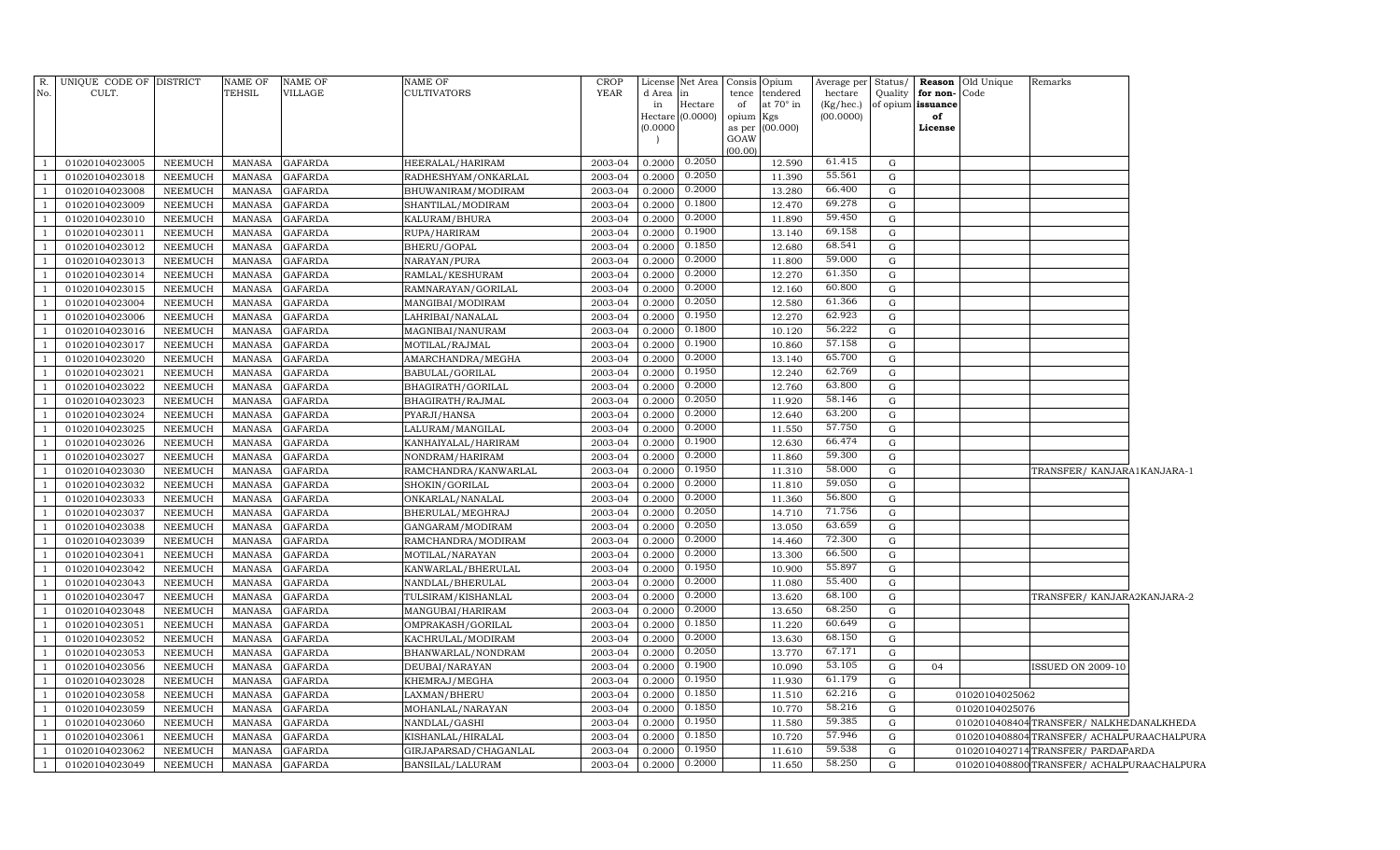| No.            | R. UNIQUE CODE OF DISTRICT<br>CULT. |                           | <b>NAME OF</b><br>TEHSIL       | <b>NAME OF</b><br>VILLAGE        | <b>NAME OF</b><br><b>CULTIVATORS</b> | <b>CROP</b><br>YEAR | d Area in<br>in  | License Net Area Consis Opium<br>Hectare | tence<br>of         | tendered<br>at 70° in | Average per<br>hectare<br>(Kg/hec.) | Status/<br>Quality | for non-<br>of opium issuance | <b>Reason</b> Old Unique<br>Code | Remarks                                  |  |
|----------------|-------------------------------------|---------------------------|--------------------------------|----------------------------------|--------------------------------------|---------------------|------------------|------------------------------------------|---------------------|-----------------------|-------------------------------------|--------------------|-------------------------------|----------------------------------|------------------------------------------|--|
|                |                                     |                           |                                |                                  |                                      |                     | (0.0000)         | Hectare (0.0000)                         | opium Kgs<br>as per | (00.000)              | (00.0000)                           |                    | of<br>License                 |                                  |                                          |  |
|                |                                     |                           |                                |                                  |                                      |                     |                  |                                          | GOAW<br>(00.00)     |                       |                                     |                    |                               |                                  |                                          |  |
|                | 01020104023005                      | <b>NEEMUCH</b>            | <b>MANASA</b>                  | <b>GAFARDA</b>                   | HEERALAL/HARIRAM                     | 2003-04             | 0.2000           | 0.2050                                   |                     | 12.590                | 61.415                              | G                  |                               |                                  |                                          |  |
|                | 01020104023018                      | <b>NEEMUCH</b>            | <b>MANASA</b>                  | <b>GAFARDA</b>                   | RADHESHYAM/ONKARLAL                  | 2003-04             | 0.2000           | 0.2050                                   |                     | 11.390                | 55.561                              | G                  |                               |                                  |                                          |  |
| $\mathbf{1}$   | 01020104023008                      | <b>NEEMUCH</b>            | <b>MANASA</b>                  | <b>GAFARDA</b>                   | BHUWANIRAM/MODIRAM                   | 2003-04             | 0.2000           | 0.2000                                   |                     | 13.280                | 66.400                              | ${\rm G}$          |                               |                                  |                                          |  |
|                | 01020104023009                      | NEEMUCH                   | <b>MANASA</b>                  | <b>GAFARDA</b>                   | SHANTILAL/MODIRAM                    | 2003-04             | 0.2000           | 0.1800                                   |                     | 12.470                | 69.278                              | ${\rm G}$          |                               |                                  |                                          |  |
| $\mathbf{1}$   | 01020104023010                      | <b>NEEMUCH</b>            | <b>MANASA</b>                  | <b>GAFARDA</b>                   | KALURAM/BHURA                        | 2003-04             | 0.2000           | 0.2000                                   |                     | 11.890                | 59.450                              | ${\rm G}$          |                               |                                  |                                          |  |
| $\mathbf{1}$   | 01020104023011                      | NEEMUCH                   | <b>MANASA</b>                  | <b>GAFARDA</b>                   | RUPA/HARIRAM                         | 2003-04             | 0.2000           | 0.1900                                   |                     | 13.140                | 69.158                              | ${\rm G}$          |                               |                                  |                                          |  |
| $\mathbf{1}$   | 01020104023012                      | <b>NEEMUCH</b>            | <b>MANASA</b>                  | <b>GAFARDA</b>                   | BHERU/GOPAL                          | 2003-04             | 0.2000           | 0.1850                                   |                     | 12.680                | 68.541                              | G                  |                               |                                  |                                          |  |
| $\mathbf{1}$   | 01020104023013                      | <b>NEEMUCH</b>            | <b>MANASA</b>                  | <b>GAFARDA</b>                   | NARAYAN/PURA                         | 2003-04             | 0.2000           | 0.2000                                   |                     | 11.800                | 59.000                              | G                  |                               |                                  |                                          |  |
| 1              | 01020104023014                      | <b>NEEMUCH</b>            | <b>MANASA</b>                  | <b>GAFARDA</b>                   | RAMLAL/KESHURAM                      | 2003-04             | 0.2000           | 0.2000                                   |                     | 12.270                | 61.350                              | G                  |                               |                                  |                                          |  |
| -1             | 01020104023015                      | NEEMUCH                   | <b>MANASA</b>                  | <b>GAFARDA</b>                   | RAMNARAYAN/GORILAL                   | 2003-04             | 0.2000           | 0.2000                                   |                     | 12.160                | 60.800                              | G                  |                               |                                  |                                          |  |
| $\mathbf{1}$   | 01020104023004                      | <b>NEEMUCH</b>            | <b>MANASA</b>                  | <b>GAFARDA</b>                   | MANGIBAI/MODIRAM                     | 2003-04             | 0.2000           | 0.2050                                   |                     | 12.580                | 61.366                              | G                  |                               |                                  |                                          |  |
| <sup>1</sup>   | 01020104023006                      | NEEMUCH                   | <b>MANASA</b>                  | <b>GAFARDA</b>                   | LAHRIBAI/NANALAL                     | 2003-04             | 0.2000           | 0.1950                                   |                     | 12.270                | 62.923                              | G                  |                               |                                  |                                          |  |
| 1              | 01020104023016                      | <b>NEEMUCH</b>            | <b>MANASA</b>                  | <b>GAFARDA</b>                   | MAGNIBAI/NANURAM                     | 2003-04             | 0.2000           | 0.1800                                   |                     | 10.120                | 56.222                              | G                  |                               |                                  |                                          |  |
| -1             | 01020104023017                      | NEEMUCH                   | <b>MANASA</b>                  | <b>GAFARDA</b>                   | MOTILAL/RAJMAL                       | 2003-04             | 0.2000           | 0.1900                                   |                     | 10.860                | 57.158                              | G                  |                               |                                  |                                          |  |
| $\mathbf{1}$   | 01020104023020                      | <b>NEEMUCH</b>            | <b>MANASA</b>                  | <b>GAFARDA</b>                   | AMARCHANDRA/MEGHA                    | 2003-04             | 0.2000           | 0.2000                                   |                     | 13.140                | 65.700                              | G                  |                               |                                  |                                          |  |
| 1              | 01020104023021                      | NEEMUCH                   | <b>MANASA</b>                  | <b>GAFARDA</b>                   | BABULAL/GORILAL                      | 2003-04             | 0.2000           | 0.1950                                   |                     | 12.240                | 62.769                              | G                  |                               |                                  |                                          |  |
| $\mathbf{1}$   | 01020104023022                      | <b>NEEMUCH</b>            | <b>MANASA</b>                  | <b>GAFARDA</b>                   | BHAGIRATH/GORILAL                    | 2003-04             | 0.2000           | 0.2000                                   |                     | 12.760                | 63.800                              | G                  |                               |                                  |                                          |  |
| $\mathbf{1}$   | 01020104023023                      | <b>NEEMUCH</b>            | <b>MANASA</b>                  | <b>GAFARDA</b>                   | BHAGIRATH/RAJMAL                     | 2003-04             | 0.2000           | 0.2050                                   |                     | 11.920                | 58.146                              | G                  |                               |                                  |                                          |  |
| $\mathbf{1}$   | 01020104023024                      | NEEMUCH                   | <b>MANASA</b>                  | <b>GAFARDA</b>                   | PYARJI/HANSA                         | 2003-04             | 0.2000           | 0.2000                                   |                     | 12.640                | 63.200                              | G                  |                               |                                  |                                          |  |
| $\mathbf{1}$   | 01020104023025                      | NEEMUCH                   | <b>MANASA</b>                  | <b>GAFARDA</b>                   | LALURAM/MANGILAL                     | 2003-04             | 0.2000           | 0.2000                                   |                     | 11.550                | 57.750                              | ${\rm G}$          |                               |                                  |                                          |  |
| $\mathbf{1}$   | 01020104023026                      | <b>NEEMUCH</b>            | <b>MANASA</b>                  | <b>GAFARDA</b>                   | KANHAIYALAL/HARIRAM                  | 2003-04             | 0.2000           | 0.1900                                   |                     | 12.630                | 66.474                              | ${\rm G}$          |                               |                                  |                                          |  |
| 1              | 01020104023027                      | <b>NEEMUCH</b>            | <b>MANASA</b>                  | <b>GAFARDA</b>                   | NONDRAM/HARIRAM                      | 2003-04             | 0.2000           | 0.2000                                   |                     | 11.860                | 59.300                              | G                  |                               |                                  |                                          |  |
| $\mathbf{1}$   | 01020104023030                      | <b>NEEMUCH</b>            | <b>MANASA</b>                  | <b>GAFARDA</b>                   | RAMCHANDRA/KANWARLAL                 | 2003-04             | 0.2000           | 0.1950                                   |                     | 11.310                | 58.000                              | G                  |                               |                                  | TRANSFER/KANJARA1KANJARA-1               |  |
| $\mathbf{1}$   | 01020104023032                      | NEEMUCH                   | <b>MANASA</b>                  | <b>GAFARDA</b>                   | SHOKIN/GORILAL                       | 2003-04             | 0.2000           | 0.2000                                   |                     | 11.810                | 59.050                              | ${\rm G}$          |                               |                                  |                                          |  |
| 1              | 01020104023033                      | <b>NEEMUCH</b>            | <b>MANASA</b>                  | <b>GAFARDA</b>                   | ONKARLAL/NANALAL                     | 2003-04             | 0.2000           | 0.2000                                   |                     | 11.360                | 56.800                              | ${\rm G}$          |                               |                                  |                                          |  |
| <sup>1</sup>   | 01020104023037                      | <b>NEEMUCH</b>            | <b>MANASA</b>                  | <b>GAFARDA</b>                   | BHERULAL/MEGHRAJ                     | 2003-04             | 0.2000           | 0.2050                                   |                     | 14.710                | 71.756                              | G                  |                               |                                  |                                          |  |
| $\overline{1}$ | 01020104023038                      | <b>NEEMUCH</b>            | <b>MANASA</b>                  | <b>GAFARDA</b>                   | GANGARAM/MODIRAM                     | 2003-04             | 0.2000           | 0.2050                                   |                     | 13.050                | 63.659                              | G                  |                               |                                  |                                          |  |
| $\overline{1}$ | 01020104023039                      | <b>NEEMUCH</b>            | <b>MANASA</b>                  | <b>GAFARDA</b>                   | RAMCHANDRA/MODIRAM                   | 2003-04             | 0.2000           | 0.2000                                   |                     | 14.460                | 72.300                              | ${\rm G}$          |                               |                                  |                                          |  |
| $\overline{1}$ | 01020104023041                      | <b>NEEMUCH</b>            | <b>MANASA</b>                  | <b>GAFARDA</b>                   | MOTILAL/NARAYAN                      | 2003-04             | 0.2000           | 0.2000                                   |                     | 13.300                | 66.500                              | ${\rm G}$          |                               |                                  |                                          |  |
|                | 01020104023042                      | <b>NEEMUCH</b>            | <b>MANASA</b>                  | <b>GAFARDA</b>                   | KANWARLAL/BHERULAL                   | 2003-04             | 0.2000           | 0.1950                                   |                     | 10.900                | 55.897                              | ${\rm G}$          |                               |                                  |                                          |  |
|                | 01020104023043                      | <b>NEEMUCH</b>            | <b>MANASA</b>                  | <b>GAFARDA</b>                   | NANDLAL/BHERULAL                     | 2003-04             | 0.2000           | 0.2000<br>0.2000                         |                     | 11.080                | 55.400<br>68.100                    | G                  |                               |                                  |                                          |  |
| $\overline{1}$ | 01020104023047                      | <b>NEEMUCH</b>            | <b>MANASA</b>                  | <b>GAFARDA</b>                   | TULSIRAM/KISHANLAL                   | 2003-04             | 0.2000           |                                          |                     | 13.620                |                                     | ${\rm G}$          |                               |                                  | TRANSFER/KANJARA2KANJARA-2               |  |
|                | 01020104023048                      | NEEMUCH                   | MANASA                         | <b>GAFARDA</b>                   | MANGUBAI/HARIRAM                     | 2003-04             | 0.2000           | 0.2000<br>0.1850                         |                     | 13.650                | 68.250<br>60.649                    | G                  |                               |                                  |                                          |  |
|                | 01020104023051                      | <b>NEEMUCH</b>            | <b>MANASA</b>                  | <b>GAFARDA</b>                   | OMPRAKASH/GORILAL                    | 2003-04             | 0.2000           | 0.2000                                   |                     | 11.220                | 68.150                              | ${\rm G}$          |                               |                                  |                                          |  |
|                | 01020104023052                      | <b>NEEMUCH</b>            | <b>MANASA</b>                  | <b>GAFARDA</b>                   | KACHRULAL/MODIRAM                    | 2003-04             | 0.2000           |                                          |                     | 13.630                | 67.171                              | G                  |                               |                                  |                                          |  |
|                | 01020104023053                      | <b>NEEMUCH</b>            | <b>MANASA</b>                  | <b>GAFARDA</b>                   | BHANWARLAL/NONDRAM                   | 2003-04             | 0.2000           | 0.2050<br>0.1900                         |                     | 13.770                | 53.105                              | G                  |                               |                                  |                                          |  |
|                | 01020104023056                      | <b>NEEMUCH</b>            | <b>MANASA</b>                  | <b>GAFARDA</b>                   | DEUBAI/NARAYAN                       | 2003-04             | 0.2000           | 0.1950                                   |                     | 10.090                | 61.179                              | G                  | 04                            |                                  | <b>ISSUED ON 2009-10</b>                 |  |
| $\overline{1}$ | 01020104023028<br>01020104023058    | NEEMUCH<br><b>NEEMUCH</b> | <b>MANASA</b><br><b>MANASA</b> | <b>GAFARDA</b><br><b>GAFARDA</b> | KHEMRAJ/MEGHA<br>LAXMAN/BHERU        | 2003-04<br>2003-04  | 0.2000<br>0.2000 | 0.1850                                   |                     | 11.930<br>11.510      | 62.216                              | G<br>G             |                               | 01020104025062                   |                                          |  |
|                | 01020104023059                      | <b>NEEMUCH</b>            | <b>MANASA</b>                  |                                  |                                      | 2003-04             | 0.2000           | 0.1850                                   |                     | 10.770                | 58.216                              | G                  |                               | 01020104025076                   |                                          |  |
|                | 01020104023060                      | NEEMUCH                   | <b>MANASA</b>                  | GAFARDA<br><b>GAFARDA</b>        | MOHANLAL/NARAYAN                     | 2003-04             | 0.2000           | 0.1950                                   |                     | 11.580                | 59.385                              | G                  |                               |                                  | 0102010408404TRANSFER/ NALKHEDANALKHEDA  |  |
| $\overline{1}$ | 01020104023061                      | <b>NEEMUCH</b>            | <b>MANASA</b>                  | <b>GAFARDA</b>                   | NANDLAL/GASHI<br>KISHANLAL/HIRALAL   | 2003-04             | 0.2000           | 0.1850                                   |                     | 10.720                | 57.946                              | G                  |                               |                                  | 0102010408804TRANSFER/ACHALPURAACHALPURA |  |
|                | 01020104023062                      | <b>NEEMUCH</b>            | <b>MANASA</b>                  | <b>GAFARDA</b>                   | GIRJAPARSAD/CHAGANLAL                | 2003-04             | 0.2000           | 0.1950                                   |                     | 11.610                | 59.538                              | G                  |                               |                                  | 0102010402714TRANSFER/PARDAPARDA         |  |
| $\mathbf{1}$   | 01020104023049                      | <b>NEEMUCH</b>            | <b>MANASA</b>                  | <b>GAFARDA</b>                   | BANSILAL/LALURAM                     | 2003-04             | 0.2000           | 0.2000                                   |                     | 11.650                | 58.250                              | G                  |                               |                                  | 0102010408800TRANSFER/ACHALPURAACHALPURA |  |
|                |                                     |                           |                                |                                  |                                      |                     |                  |                                          |                     |                       |                                     |                    |                               |                                  |                                          |  |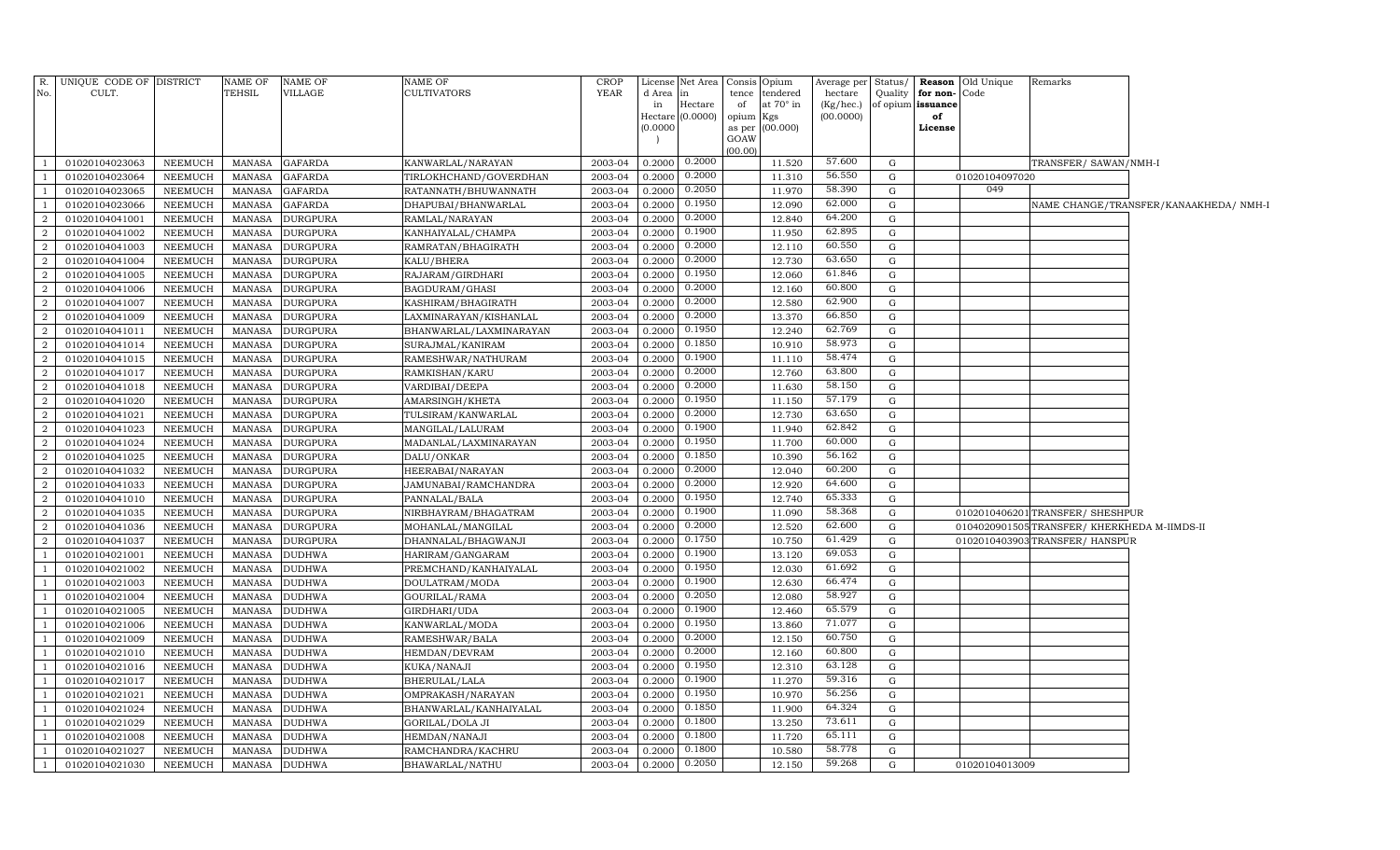|                          | R. UNIQUE CODE OF DISTRICT |                | NAME OF       | <b>NAME OF</b>  | NAME OF                 | <b>CROP</b> |          | License Net Area   Consis   Opium |                |                  | Average per Status/ |              |                   | <b>Reason</b> Old Unique | Remarks                                      |                                        |
|--------------------------|----------------------------|----------------|---------------|-----------------|-------------------------|-------------|----------|-----------------------------------|----------------|------------------|---------------------|--------------|-------------------|--------------------------|----------------------------------------------|----------------------------------------|
| No.                      | CULT.                      |                | TEHSIL        | VILLAGE         | CULTIVATORS             | YEAR        | d Area   | $\ln$                             | tence          | tendered         | hectare             | Quality      | for non-Code      |                          |                                              |                                        |
|                          |                            |                |               |                 |                         |             | in       | Hectare                           | of             | at $70^\circ$ in | (Kg/hec.)           |              | of opium issuance |                          |                                              |                                        |
|                          |                            |                |               |                 |                         |             |          | Hectare (0.0000) opium            |                | Kgs              | (00.0000)           |              | of                |                          |                                              |                                        |
|                          |                            |                |               |                 |                         |             | (0.0000) |                                   | as per<br>GOAW | (00.000)         |                     |              | License           |                          |                                              |                                        |
|                          |                            |                |               |                 |                         |             |          |                                   | (00.00)        |                  |                     |              |                   |                          |                                              |                                        |
| $\overline{\phantom{0}}$ | 01020104023063             | NEEMUCH        | MANASA        | <b>GAFARDA</b>  | KANWARLAL/NARAYAN       | 2003-04     | 0.2000   | 0.2000                            |                | 11.520           | 57.600              | G            |                   |                          | TRANSFER/ SAWAN/NMH-I                        |                                        |
| $\overline{1}$           | 01020104023064             | <b>NEEMUCH</b> | MANASA        | <b>GAFARDA</b>  | TIRLOKHCHAND/GOVERDHAN  | 2003-04     | 0.2000   | 0.2000                            |                | 11.310           | 56.550              | G            |                   | 01020104097020           |                                              |                                        |
| - 1                      | 01020104023065             | NEEMUCH        | <b>MANASA</b> | <b>GAFARDA</b>  | RATANNATH/BHUWANNATH    | 2003-04     | 0.2000   | 0.2050                            |                | 11.970           | 58.390              | G            |                   | 049                      |                                              |                                        |
| $\overline{1}$           | 01020104023066             | NEEMUCH        | <b>MANASA</b> | <b>GAFARDA</b>  | DHAPUBAI/BHANWARLAL     | 2003-04     | 0.2000   | 0.1950                            |                | 12.090           | 62.000              | G            |                   |                          |                                              | NAME CHANGE/TRANSFER/KANAAKHEDA/ NMH-1 |
| $\overline{a}$           | 01020104041001             | NEEMUCH        | <b>MANASA</b> | <b>DURGPURA</b> | RAMLAL/NARAYAN          | 2003-04     | 0.2000   | 0.2000                            |                | 12.840           | 64.200              | G            |                   |                          |                                              |                                        |
| $\overline{a}$           | 01020104041002             | NEEMUCH        | <b>MANASA</b> | <b>DURGPURA</b> | KANHAIYALAL/CHAMPA      | 2003-04     | 0.2000   | 0.1900                            |                | 11.950           | 62.895              | G            |                   |                          |                                              |                                        |
| 2                        | 01020104041003             | NEEMUCH        | MANASA        | <b>DURGPURA</b> | RAMRATAN/BHAGIRATH      | 2003-04     | 0.2000   | 0.2000                            |                | 12.110           | 60.550              | G            |                   |                          |                                              |                                        |
| 2                        | 01020104041004             | <b>NEEMUCH</b> | <b>MANASA</b> | <b>DURGPURA</b> | KALU/BHERA              | 2003-04     | 0.2000   | 0.2000                            |                | 12.730           | 63.650              | G            |                   |                          |                                              |                                        |
| 2                        | 01020104041005             | NEEMUCH        | MANASA        | <b>DURGPURA</b> | RAJARAM/GIRDHARI        | 2003-04     | 0.2000   | 0.1950                            |                | 12.060           | 61.846              | G            |                   |                          |                                              |                                        |
| 2                        | 01020104041006             | <b>NEEMUCH</b> | <b>MANASA</b> | <b>DURGPURA</b> | BAGDURAM/GHASI          | 2003-04     | 0.2000   | 0.2000                            |                | 12.160           | 60.800              | G            |                   |                          |                                              |                                        |
| 2                        | 01020104041007             | NEEMUCH        | <b>MANASA</b> | <b>DURGPURA</b> | KASHIRAM/BHAGIRATH      | 2003-04     | 0.2000   | 0.2000                            |                | 12.580           | 62.900              | G            |                   |                          |                                              |                                        |
| $\overline{a}$           | 01020104041009             | NEEMUCH        | <b>MANASA</b> | <b>DURGPURA</b> | LAXMINARAYAN/KISHANLAL  | 2003-04     | 0.2000   | 0.2000                            |                | 13.370           | 66.850              | G            |                   |                          |                                              |                                        |
| 2                        | 01020104041011             | NEEMUCH        | <b>MANASA</b> | <b>DURGPURA</b> | BHANWARLAL/LAXMINARAYAN | 2003-04     | 0.2000   | 0.1950                            |                | 12.240           | 62.769              | G            |                   |                          |                                              |                                        |
| $\overline{a}$           | 01020104041014             | <b>NEEMUCH</b> | <b>MANASA</b> | <b>DURGPURA</b> | SURAJMAL/KANIRAM        | 2003-04     | 0.2000   | 0.1850                            |                | 10.910           | 58.973              | G            |                   |                          |                                              |                                        |
| $\overline{a}$           | 01020104041015             | NEEMUCH        | <b>MANASA</b> | <b>DURGPURA</b> | RAMESHWAR/NATHURAM      | 2003-04     | 0.2000   | 0.1900                            |                | 11.110           | 58.474              | G            |                   |                          |                                              |                                        |
| $\overline{2}$           | 01020104041017             | <b>NEEMUCH</b> | <b>MANASA</b> | <b>DURGPURA</b> | RAMKISHAN/KARU          | 2003-04     | 0.2000   | 0.2000                            |                | 12.760           | 63.800              | G            |                   |                          |                                              |                                        |
| 2                        | 01020104041018             | NEEMUCH        | MANASA        | <b>DURGPURA</b> | VARDIBAI/DEEPA          | 2003-04     | 0.2000   | 0.2000                            |                | 11.630           | 58.150              | $\mathbf{G}$ |                   |                          |                                              |                                        |
| 2                        | 01020104041020             | NEEMUCH        | MANASA        | <b>DURGPURA</b> | AMARSINGH/KHETA         | 2003-04     | 0.2000   | 0.1950                            |                | 11.150           | 57.179              | G            |                   |                          |                                              |                                        |
| 2                        | 01020104041021             | <b>NEEMUCH</b> | MANASA        | <b>DURGPURA</b> | TULSIRAM/KANWARLAL      | 2003-04     | 0.2000   | 0.2000                            |                | 12.730           | 63.650              | G            |                   |                          |                                              |                                        |
| 2                        | 01020104041023             | <b>NEEMUCH</b> | <b>MANASA</b> | <b>DURGPURA</b> | MANGILAL/LALURAM        | 2003-04     | 0.2000   | 0.1900                            |                | 11.940           | 62.842              | G            |                   |                          |                                              |                                        |
| $\overline{a}$           | 01020104041024             | NEEMUCH        | <b>MANASA</b> | <b>DURGPURA</b> | MADANLAL/LAXMINARAYAN   | 2003-04     | 0.2000   | 0.1950                            |                | 11.700           | 60.000              | G            |                   |                          |                                              |                                        |
| $\overline{2}$           | 01020104041025             | NEEMUCH        | <b>MANASA</b> | <b>DURGPURA</b> | DALU/ONKAR              | 2003-04     | 0.2000   | 0.1850                            |                | 10.390           | 56.162              | G            |                   |                          |                                              |                                        |
| 2                        | 01020104041032             | NEEMUCH        | <b>MANASA</b> | <b>DURGPURA</b> | HEERABAI/NARAYAN        | 2003-04     | 0.2000   | 0.2000                            |                | 12.040           | 60.200              | G            |                   |                          |                                              |                                        |
| $\overline{2}$           | 01020104041033             | NEEMUCH        | <b>MANASA</b> | <b>DURGPURA</b> | JAMUNABAI/RAMCHANDRA    | 2003-04     | 0.2000   | 0.2000                            |                | 12.920           | 64.600              | G            |                   |                          |                                              |                                        |
| 2                        | 01020104041010             | NEEMUCH        | <b>MANASA</b> | <b>DURGPURA</b> | PANNALAL/BALA           | 2003-04     | 0.2000   | 0.1950                            |                | 12.740           | 65.333              | G            |                   |                          |                                              |                                        |
| $\overline{a}$           | 01020104041035             | NEEMUCH        | MANASA        | <b>DURGPURA</b> | NIRBHAYRAM/BHAGATRAM    | 2003-04     | 0.2000   | 0.1900                            |                | 11.090           | 58.368              | G            |                   |                          | 0102010406201 TRANSFER/ SHESHPUR             |                                        |
| 2                        | 01020104041036             | NEEMUCH        | MANASA        | <b>DURGPURA</b> | MOHANLAL/MANGILAL       | 2003-04     | 0.2000   | 0.2000                            |                | 12.520           | 62.600              | G            |                   |                          | 0104020901505 TRANSFER/ KHERKHEDA M-IIMDS-II |                                        |
| 2                        | 01020104041037             | <b>NEEMUCH</b> | <b>MANASA</b> | <b>DURGPURA</b> | DHANNALAL/BHAGWANJI     | 2003-04     | 0.2000   | 0.1750                            |                | 10.750           | 61.429              | G            |                   |                          | 0102010403903 TRANSFER/ HANSPUR              |                                        |
| $\overline{1}$           | 01020104021001             | NEEMUCH        | MANASA        | <b>DUDHWA</b>   | HARIRAM/GANGARAM        | 2003-04     | 0.2000   | 0.1900                            |                | 13.120           | 69.053              | G            |                   |                          |                                              |                                        |
| $\overline{1}$           | 01020104021002             | NEEMUCH        | <b>MANASA</b> | <b>DUDHWA</b>   | PREMCHAND/KANHAIYALAL   | 2003-04     | 0.2000   | 0.1950                            |                | 12.030           | 61.692              | G            |                   |                          |                                              |                                        |
| $\overline{1}$           | 01020104021003             | NEEMUCH        | <b>MANASA</b> | <b>DUDHWA</b>   | DOULATRAM/MODA          | 2003-04     | 0.2000   | 0.1900                            |                | 12.630           | 66.474              | G            |                   |                          |                                              |                                        |
| $\overline{1}$           | 01020104021004             | NEEMUCH        | <b>MANASA</b> | <b>DUDHWA</b>   | GOURILAL/RAMA           | 2003-04     | 0.2000   | 0.2050                            |                | 12.080           | 58.927              | G            |                   |                          |                                              |                                        |
| $\overline{1}$           | 01020104021005             | NEEMUCH        | <b>MANASA</b> | <b>DUDHWA</b>   | GIRDHARI/UDA            | 2003-04     | 0.2000   | 0.1900                            |                | 12.460           | 65.579              | G            |                   |                          |                                              |                                        |
| $\overline{1}$           | 01020104021006             | <b>NEEMUCH</b> | <b>MANASA</b> | <b>DUDHWA</b>   | KANWARLAL/MODA          | 2003-04     | 0.2000   | 0.1950                            |                | 13.860           | 71.077              | G            |                   |                          |                                              |                                        |
| $\overline{1}$           | 01020104021009             | NEEMUCH        | <b>MANASA</b> | <b>DUDHWA</b>   | RAMESHWAR/BALA          | 2003-04     | 0.2000   | 0.2000                            |                | 12.150           | 60.750              | G            |                   |                          |                                              |                                        |
| -1                       | 01020104021010             | NEEMUCH        | <b>MANASA</b> | <b>DUDHWA</b>   | HEMDAN/DEVRAM           | 2003-04     | 0.2000   | 0.2000                            |                | 12.160           | 60.800              | $\mathbf{G}$ |                   |                          |                                              |                                        |
| -1                       | 01020104021016             | NEEMUCH        | MANASA        | <b>DUDHWA</b>   | KUKA/NANAJI             | 2003-04     | 0.2000   | 0.1950                            |                | 12.310           | 63.128              | G            |                   |                          |                                              |                                        |
| -1                       | 01020104021017             | NEEMUCH        | MANASA        | <b>DUDHWA</b>   | BHERULAL/LALA           | 2003-04     | 0.2000   | 0.1900                            |                | 11.270           | 59.316              | $\mathbf{G}$ |                   |                          |                                              |                                        |
| - 1                      | 01020104021021             | NEEMUCH        | <b>MANASA</b> | <b>DUDHWA</b>   | OMPRAKASH/NARAYAN       | 2003-04     | 0.2000   | 0.1950                            |                | 10.970           | 56.256              | G            |                   |                          |                                              |                                        |
| $\overline{1}$           | 01020104021024             | NEEMUCH        | <b>MANASA</b> | <b>DUDHWA</b>   | BHANWARLAL/KANHAIYALAL  | 2003-04     | 0.2000   | 0.1850                            |                | 11.900           | 64.324              | G            |                   |                          |                                              |                                        |
| $\overline{1}$           | 01020104021029             | NEEMUCH        | <b>MANASA</b> | <b>DUDHWA</b>   | <b>GORILAL/DOLA JI</b>  | 2003-04     | 0.2000   | 0.1800                            |                | 13.250           | 73.611              | G            |                   |                          |                                              |                                        |
| $\overline{1}$           | 01020104021008             | NEEMUCH        | <b>MANASA</b> | <b>DUDHWA</b>   | HEMDAN/NANAJI           | 2003-04     | 0.2000   | 0.1800                            |                | 11.720           | 65.111              | G            |                   |                          |                                              |                                        |
| <sup>1</sup>             | 01020104021027             | NEEMUCH        | MANASA        | <b>DUDHWA</b>   | RAMCHANDRA/KACHRU       | 2003-04     | 0.2000   | 0.1800                            |                | 10.580           | 58.778              | G            |                   |                          |                                              |                                        |
| $\overline{1}$           | 01020104021030             | NEEMUCH        |               | MANASA DUDHWA   | BHAWARLAL/NATHU         | 2003-04     | 0.2000   | 0.2050                            |                | 12.150           | 59.268              | G            |                   | 01020104013009           |                                              |                                        |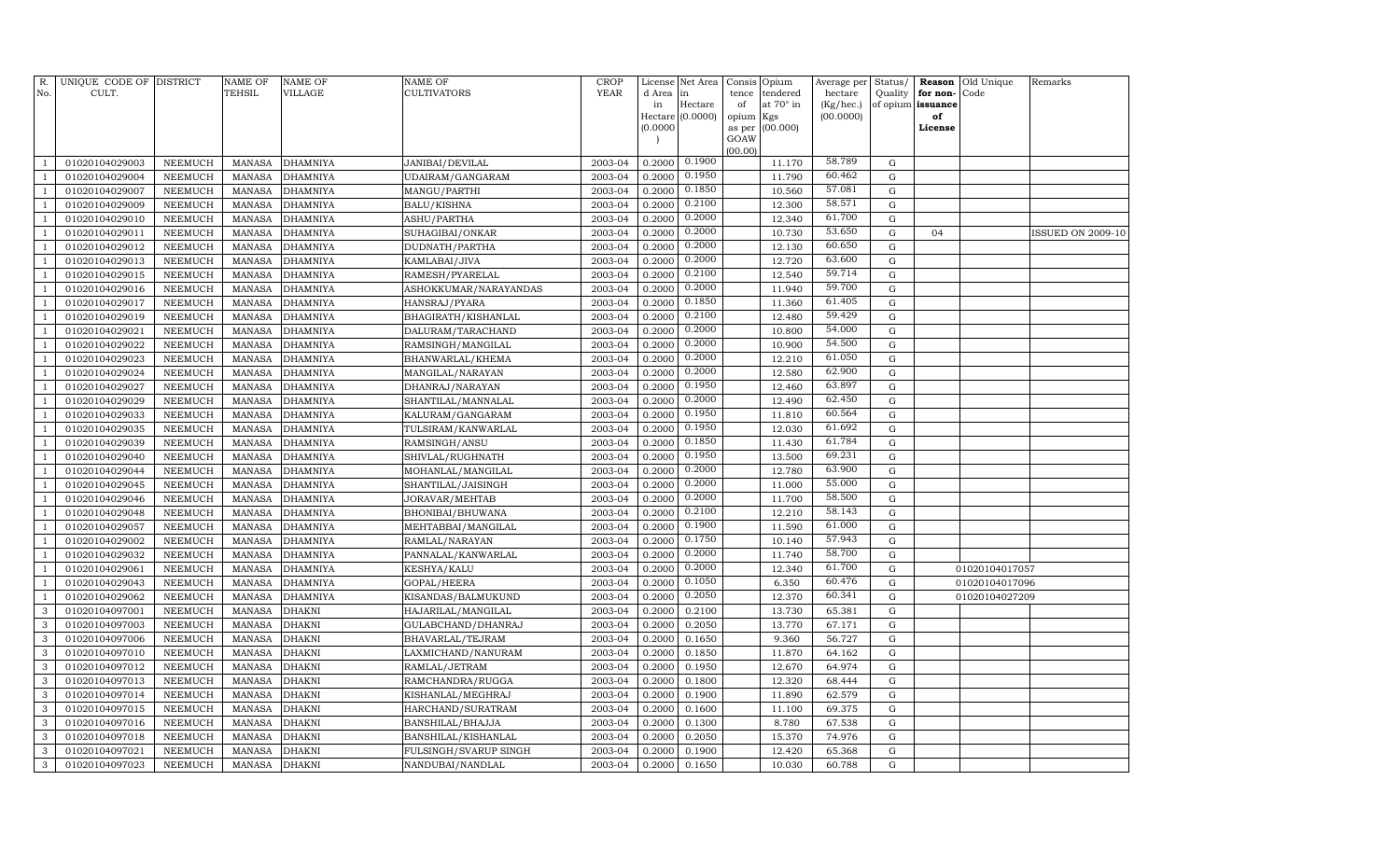| R.<br>No.      | UNIQUE CODE OF DISTRICT<br>CULT. |                | NAME OF<br>TEHSIL | <b>NAME OF</b><br>VILLAGE | <b>NAME OF</b><br>CULTIVATORS | CROP<br><b>YEAR</b> | License<br>d Area<br>in | Net Area<br>in<br>Hectare | Consis<br>tence<br>of | Opium<br>tendered<br>at 70° in | Average per<br>hectare<br>(Kg/hec.) | Status/<br>Quality | Reason<br>for non-<br>of opium issuance | Old Unique<br>Code | Remarks                  |
|----------------|----------------------------------|----------------|-------------------|---------------------------|-------------------------------|---------------------|-------------------------|---------------------------|-----------------------|--------------------------------|-------------------------------------|--------------------|-----------------------------------------|--------------------|--------------------------|
|                |                                  |                |                   |                           |                               |                     |                         | Hectare (0.0000)          | opium<br>Kgs          |                                | (00.0000)                           |                    | of                                      |                    |                          |
|                |                                  |                |                   |                           |                               |                     | (0.0000)                |                           | as per                | (00.000)                       |                                     |                    | License                                 |                    |                          |
|                |                                  |                |                   |                           |                               |                     |                         |                           | GOAW                  |                                |                                     |                    |                                         |                    |                          |
| $\mathbf{1}$   | 01020104029003                   | NEEMUCH        | <b>MANASA</b>     | <b>DHAMNIYA</b>           | JANIBAI/DEVILAL               | 2003-04             | 0.2000                  | 0.1900                    | (00.00)               | 11.170                         | 58.789                              | G                  |                                         |                    |                          |
| 1              | 01020104029004                   | <b>NEEMUCH</b> | <b>MANASA</b>     | DHAMNIYA                  | UDAIRAM/GANGARAM              | 2003-04             | 0.2000                  | 0.1950                    |                       | 11.790                         | 60.462                              | $\mathbf G$        |                                         |                    |                          |
| $\overline{1}$ | 01020104029007                   | <b>NEEMUCH</b> | MANASA            | <b>DHAMNIYA</b>           | MANGU/PARTHI                  | 2003-04             | 0.2000                  | 0.1850                    |                       | 10.560                         | 57.081                              | G                  |                                         |                    |                          |
| $\mathbf{1}$   | 01020104029009                   | <b>NEEMUCH</b> | <b>MANASA</b>     | <b>DHAMNIYA</b>           | BALU/KISHNA                   | 2003-04             | 0.2000                  | 0.2100                    |                       | 12.300                         | 58.571                              | G                  |                                         |                    |                          |
| 1              | 01020104029010                   | <b>NEEMUCH</b> | <b>MANASA</b>     | <b>DHAMNIYA</b>           | <b>ASHU/PARTHA</b>            | 2003-04             | 0.2000                  | 0.2000                    |                       | 12.340                         | 61.700                              | G                  |                                         |                    |                          |
| $\mathbf{1}$   | 01020104029011                   | <b>NEEMUCH</b> | <b>MANASA</b>     | DHAMNIYA                  | SUHAGIBAI/ONKAR               | 2003-04             | 0.2000                  | 0.2000                    |                       | 10.730                         | 53.650                              | $\mathbf G$        | 04                                      |                    | <b>ISSUED ON 2009-10</b> |
| $\mathbf{1}$   | 01020104029012                   | <b>NEEMUCH</b> | <b>MANASA</b>     | DHAMNIYA                  | DUDNATH/PARTHA                | 2003-04             | 0.2000                  | 0.2000                    |                       | 12.130                         | 60.650                              | $\mathbf G$        |                                         |                    |                          |
| $\mathbf{1}$   | 01020104029013                   | <b>NEEMUCH</b> | <b>MANASA</b>     | DHAMNIYA                  | KAMLABAI/JIVA                 | 2003-04             | 0.2000                  | 0.2000                    |                       | 12.720                         | 63.600                              | $\mathbf G$        |                                         |                    |                          |
| $\mathbf{1}$   | 01020104029015                   | <b>NEEMUCH</b> | <b>MANASA</b>     | <b>DHAMNIYA</b>           | RAMESH/PYARELAL               | 2003-04             | 0.2000                  | 0.2100                    |                       | 12.540                         | 59.714                              | $\mathbf G$        |                                         |                    |                          |
| $\mathbf{1}$   | 01020104029016                   | <b>NEEMUCH</b> | <b>MANASA</b>     | DHAMNIYA                  | ASHOKKUMAR/NARAYANDAS         | 2003-04             | 0.2000                  | 0.2000                    |                       | 11.940                         | 59.700                              | ${\rm G}$          |                                         |                    |                          |
| $\mathbf{1}$   | 01020104029017                   | <b>NEEMUCH</b> | <b>MANASA</b>     | DHAMNIYA                  | HANSRAJ/PYARA                 | 2003-04             | 0.2000                  | 0.1850                    |                       | 11.360                         | 61.405                              | ${\rm G}$          |                                         |                    |                          |
| $\mathbf{1}$   | 01020104029019                   | <b>NEEMUCH</b> | <b>MANASA</b>     | DHAMNIYA                  | BHAGIRATH/KISHANLAL           | 2003-04             | 0.2000                  | 0.2100                    |                       | 12.480                         | 59.429                              | G                  |                                         |                    |                          |
| $\overline{1}$ | 01020104029021                   | <b>NEEMUCH</b> | <b>MANASA</b>     | <b>DHAMNIYA</b>           | DALURAM/TARACHAND             | 2003-04             | 0.2000                  | 0.2000                    |                       | 10.800                         | 54.000                              | G                  |                                         |                    |                          |
| $\mathbf{1}$   | 01020104029022                   | <b>NEEMUCH</b> | <b>MANASA</b>     | DHAMNIYA                  | RAMSINGH/MANGILAL             | 2003-04             | 0.2000                  | 0.2000                    |                       | 10.900                         | 54.500                              | $\mathbf G$        |                                         |                    |                          |
| 1              | 01020104029023                   | <b>NEEMUCH</b> | <b>MANASA</b>     | DHAMNIYA                  | BHANWARLAL/KHEMA              | 2003-04             | 0.2000                  | 0.2000                    |                       | 12.210                         | 61.050                              | $\mathbf G$        |                                         |                    |                          |
| $\mathbf{1}$   | 01020104029024                   | <b>NEEMUCH</b> | <b>MANASA</b>     | DHAMNIYA                  | MANGILAL/NARAYAN              | 2003-04             | 0.2000                  | 0.2000                    |                       | 12.580                         | 62.900                              | G                  |                                         |                    |                          |
| $\mathbf{1}$   | 01020104029027                   | <b>NEEMUCH</b> | <b>MANASA</b>     | <b>DHAMNIYA</b>           | DHANRAJ/NARAYAN               | 2003-04             | 0.2000                  | 0.1950                    |                       | 12.460                         | 63.897                              | $\mathbf G$        |                                         |                    |                          |
| $\mathbf{1}$   | 01020104029029                   | <b>NEEMUCH</b> | <b>MANASA</b>     | DHAMNIYA                  | SHANTILAL/MANNALAL            | 2003-04             | 0.2000                  | 0.2000                    |                       | 12.490                         | 62.450                              | ${\rm G}$          |                                         |                    |                          |
| $\mathbf{1}$   | 01020104029033                   | <b>NEEMUCH</b> | <b>MANASA</b>     | DHAMNIYA                  | KALURAM/GANGARAM              | 2003-04             | 0.2000                  | 0.1950                    |                       | 11.810                         | 60.564                              | $\mathbf G$        |                                         |                    |                          |
| $\mathbf{1}$   | 01020104029035                   | <b>NEEMUCH</b> | <b>MANASA</b>     | DHAMNIYA                  | TULSIRAM/KANWARLAL            | 2003-04             | 0.2000                  | 0.1950                    |                       | 12.030                         | 61.692                              | G                  |                                         |                    |                          |
| $\overline{1}$ | 01020104029039                   | <b>NEEMUCH</b> | <b>MANASA</b>     | DHAMNIYA                  | RAMSINGH/ANSU                 | 2003-04             | 0.2000                  | 0.1850                    |                       | 11.430                         | 61.784                              | G                  |                                         |                    |                          |
| $\mathbf{1}$   | 01020104029040                   | <b>NEEMUCH</b> | <b>MANASA</b>     | DHAMNIYA                  | SHIVLAL/RUGHNATH              | 2003-04             | 0.2000                  | 0.1950                    |                       | 13.500                         | 69.231                              | G                  |                                         |                    |                          |
| 1              | 01020104029044                   | <b>NEEMUCH</b> | <b>MANASA</b>     | <b>DHAMNIYA</b>           | MOHANLAL/MANGILAL             | 2003-04             | 0.2000                  | 0.2000                    |                       | 12.780                         | 63.900                              | $\mathbf G$        |                                         |                    |                          |
| $\mathbf{1}$   | 01020104029045                   | <b>NEEMUCH</b> | <b>MANASA</b>     | DHAMNIYA                  | SHANTILAL/JAISINGH            | 2003-04             | 0.2000                  | 0.2000                    |                       | 11.000                         | 55.000                              | $\mathbf G$        |                                         |                    |                          |
| $\mathbf{1}$   | 01020104029046                   | <b>NEEMUCH</b> | <b>MANASA</b>     | DHAMNIYA                  | JORAVAR/MEHTAB                | 2003-04             | 0.2000                  | 0.2000                    |                       | 11.700                         | 58.500                              | $\mathbf G$        |                                         |                    |                          |
| $\mathbf{1}$   | 01020104029048                   | <b>NEEMUCH</b> | <b>MANASA</b>     | DHAMNIYA                  | BHONIBAI/BHUWANA              | 2003-04             | 0.2000                  | 0.2100                    |                       | 12.210                         | 58.143                              | G                  |                                         |                    |                          |
| $\mathbf{1}$   | 01020104029057                   | <b>NEEMUCH</b> | <b>MANASA</b>     | <b>DHAMNIYA</b>           | MEHTABBAI/MANGILAL            | 2003-04             | 0.2000                  | 0.1900                    |                       | 11.590                         | 61.000                              | $\mathbf G$        |                                         |                    |                          |
| $\mathbf{1}$   | 01020104029002                   | <b>NEEMUCH</b> | <b>MANASA</b>     | DHAMNIYA                  | RAMLAL/NARAYAN                | 2003-04             | 0.2000                  | 0.1750                    |                       | 10.140                         | 57.943                              | ${\rm G}$          |                                         |                    |                          |
| $\overline{1}$ | 01020104029032                   | <b>NEEMUCH</b> | <b>MANASA</b>     | DHAMNIYA                  | PANNALAL/KANWARLAL            | 2003-04             | 0.2000                  | 0.2000                    |                       | 11.740                         | 58.700                              | G                  |                                         |                    |                          |
| $\mathbf{1}$   | 01020104029061                   | <b>NEEMUCH</b> | <b>MANASA</b>     | DHAMNIYA                  | KESHYA/KALU                   | 2003-04             | 0.2000                  | 0.2000                    |                       | 12.340                         | 61.700                              | G                  |                                         | 01020104017057     |                          |
| $\overline{1}$ | 01020104029043                   | <b>NEEMUCH</b> | <b>MANASA</b>     | <b>DHAMNIYA</b>           | GOPAL/HEERA                   | 2003-04             | 0.2000                  | 0.1050                    |                       | 6.350                          | 60.476                              | G                  |                                         | 01020104017096     |                          |
| $\mathbf{1}$   | 01020104029062                   | <b>NEEMUCH</b> | <b>MANASA</b>     | DHAMNIYA                  | KISANDAS/BALMUKUND            | 2003-04             | 0.2000                  | 0.2050                    |                       | 12.370                         | 60.341                              | $\mathbf G$        |                                         | 01020104027209     |                          |
| 3              | 01020104097001                   | <b>NEEMUCH</b> | <b>MANASA</b>     | DHAKNI                    | HAJARILAL/MANGILAL            | 2003-04             | 0.2000                  | 0.2100                    |                       | 13.730                         | 65.381                              | G                  |                                         |                    |                          |
| 3              | 01020104097003                   | <b>NEEMUCH</b> | <b>MANASA</b>     | DHAKNI                    | GULABCHAND/DHANRAJ            | 2003-04             | 0.2000                  | 0.2050                    |                       | 13.770                         | 67.171                              | G                  |                                         |                    |                          |
| 3              | 01020104097006                   | <b>NEEMUCH</b> | <b>MANASA</b>     | DHAKNI                    | BHAVARLAL/TEJRAM              | 2003-04             | 0.2000                  | 0.1650                    |                       | 9.360                          | 56.727                              | ${\rm G}$          |                                         |                    |                          |
| 3              | 01020104097010                   | <b>NEEMUCH</b> | <b>MANASA</b>     | DHAKNI                    | LAXMICHAND/NANURAM            | 2003-04             | 0.2000                  | 0.1850                    |                       | 11.870                         | 64.162                              | G                  |                                         |                    |                          |
| 3              | 01020104097012                   | <b>NEEMUCH</b> | <b>MANASA</b>     | DHAKNI                    | RAMLAL/JETRAM                 | 2003-04             | 0.2000                  | 0.1950                    |                       | 12.670                         | 64.974                              | $\mathbf G$        |                                         |                    |                          |
| 3              | 01020104097013                   | <b>NEEMUCH</b> | <b>MANASA</b>     | DHAKNI                    | RAMCHANDRA/RUGGA              | 2003-04             | 0.2000                  | 0.1800                    |                       | 12.320                         | 68.444                              | G                  |                                         |                    |                          |
| $\mathbf{3}$   | 01020104097014                   | <b>NEEMUCH</b> | <b>MANASA</b>     | DHAKNI                    | KISHANLAL/MEGHRAJ             | 2003-04             | 0.2000                  | 0.1900                    |                       | 11.890                         | 62.579                              | $\mathbf G$        |                                         |                    |                          |
| 3              | 01020104097015                   | <b>NEEMUCH</b> | <b>MANASA</b>     | DHAKNI                    | HARCHAND/SURATRAM             | 2003-04             | 0.2000                  | 0.1600                    |                       | 11.100                         | 69.375                              | $\mathbf G$        |                                         |                    |                          |
| 3              | 01020104097016                   | <b>NEEMUCH</b> | <b>MANASA</b>     | DHAKNI                    | BANSHILAL/BHAJJA              | 2003-04             | 0.2000                  | 0.1300                    |                       | 8.780                          | 67.538                              | G                  |                                         |                    |                          |
| 3              | 01020104097018                   | <b>NEEMUCH</b> | <b>MANASA</b>     | DHAKNI                    | BANSHILAL/KISHANLAL           | 2003-04             | 0.2000                  | 0.2050                    |                       | 15.370                         | 74.976                              | G                  |                                         |                    |                          |
| 3              | 01020104097021                   | <b>NEEMUCH</b> | <b>MANASA</b>     | DHAKNI                    | FULSINGH/SVARUP SINGH         | 2003-04             | 0.2000                  | 0.1900                    |                       | 12.420                         | 65.368                              | G                  |                                         |                    |                          |
| 3              | 01020104097023                   | NEEMUCH        | MANASA            | <b>DHAKNI</b>             | NANDUBAI/NANDLAL              | 2003-04             | 0.2000                  | 0.1650                    |                       | 10.030                         | 60.788                              | $\mathbf G$        |                                         |                    |                          |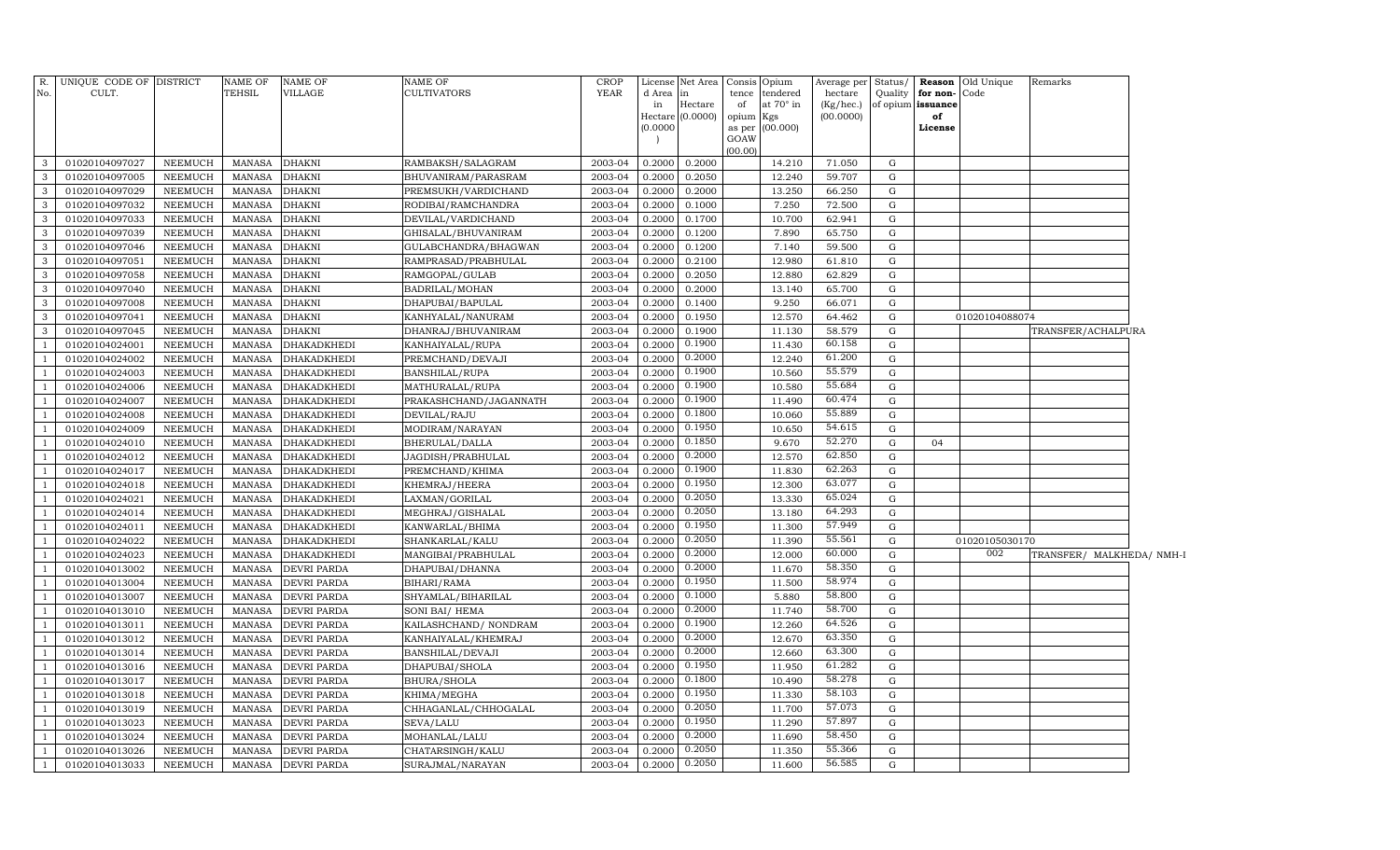|                | R. UNIQUE CODE OF DISTRICT       |                    | <b>NAME OF</b>   | <b>NAME OF</b>             | NAME OF                       | <b>CROP</b>        |                  | License Net Area Consis Opium |             |                       | Average per Status/  |           |                                   | <b>Reason</b> Old Unique | Remarks                   |  |
|----------------|----------------------------------|--------------------|------------------|----------------------------|-------------------------------|--------------------|------------------|-------------------------------|-------------|-----------------------|----------------------|-----------|-----------------------------------|--------------------------|---------------------------|--|
| No.            | CULT.                            |                    | <b>TEHSIL</b>    | VILLAGE                    | CULTIVATORS                   | <b>YEAR</b>        | d Area<br>in     | lin<br>Hectare                | tence<br>of | tendered<br>at 70° in | hectare<br>(Kg/hec.) | Quality   | for non-Code<br>of opium issuance |                          |                           |  |
|                |                                  |                    |                  |                            |                               |                    |                  | Hectare (0.0000)              | opium       | Kgs                   | (00.0000)            |           | of                                |                          |                           |  |
|                |                                  |                    |                  |                            |                               |                    | (0.0000)         |                               |             | as per (00.000)       |                      |           | License                           |                          |                           |  |
|                |                                  |                    |                  |                            |                               |                    |                  |                               | GOAW        |                       |                      |           |                                   |                          |                           |  |
| 3              | 01020104097027                   | NEEMUCH            | MANASA           | <b>DHAKNI</b>              | RAMBAKSH/SALAGRAM             | 2003-04            | 0.2000           | 0.2000                        | (00.00)     | 14.210                | 71.050               | G         |                                   |                          |                           |  |
| 3              | 01020104097005                   | NEEMUCH            | <b>MANASA</b>    | <b>DHAKNI</b>              | BHUVANIRAM/PARASRAM           | 2003-04            | 0.2000           | 0.2050                        |             | 12.240                | 59.707               | G         |                                   |                          |                           |  |
| 3              | 01020104097029                   | NEEMUCH            | MANASA           | <b>DHAKNI</b>              | PREMSUKH/VARDICHAND           | 2003-04            | 0.2000           | 0.2000                        |             | 13.250                | 66.250               | G         |                                   |                          |                           |  |
| 3              | 01020104097032                   | NEEMUCH            | <b>MANASA</b>    | <b>DHAKNI</b>              | RODIBAI/RAMCHANDRA            | 2003-04            | 0.2000           | 0.1000                        |             | 7.250                 | 72.500               | G         |                                   |                          |                           |  |
| 3              | 01020104097033                   | NEEMUCH            | MANASA           | <b>DHAKNI</b>              | DEVILAL/VARDICHAND            | 2003-04            | 0.2000           | 0.1700                        |             | 10.700                | 62.941               | G         |                                   |                          |                           |  |
| 3              | 01020104097039                   | NEEMUCH            | <b>MANASA</b>    | <b>DHAKNI</b>              | GHISALAL/BHUVANIRAM           | 2003-04            | 0.2000           | 0.1200                        |             | 7.890                 | 65.750               | G         |                                   |                          |                           |  |
| 3              | 01020104097046                   | NEEMUCH            | MANASA           | <b>DHAKNI</b>              | GULABCHANDRA/BHAGWAN          | 2003-04            | 0.2000           | 0.1200                        |             | 7.140                 | 59.500               | G         |                                   |                          |                           |  |
| 3              | 01020104097051                   | NEEMUCH            | MANASA           | <b>DHAKNI</b>              | RAMPRASAD/PRABHULAL           | 2003-04            | 0.2000           | 0.2100                        |             | 12.980                | 61.810               | G         |                                   |                          |                           |  |
| 3              | 01020104097058                   | <b>NEEMUCH</b>     | MANASA           | <b>DHAKNI</b>              | RAMGOPAL/GULAB                | 2003-04            | 0.2000           | 0.2050                        |             | 12.880                | 62.829               | ${\rm G}$ |                                   |                          |                           |  |
| 3              | 01020104097040                   | NEEMUCH            | <b>MANASA</b>    | <b>DHAKNI</b>              | BADRILAL/MOHAN                | 2003-04            | 0.2000           | 0.2000                        |             | 13.140                | 65.700               | G         |                                   |                          |                           |  |
| 3              | 01020104097008                   | <b>NEEMUCH</b>     | MANASA           | <b>DHAKNI</b>              | DHAPUBAI/BAPULAL              | 2003-04            | 0.2000           | 0.1400                        |             | 9.250                 | 66.071               | ${\rm G}$ |                                   |                          |                           |  |
| 3              | 01020104097041                   | NEEMUCH            | MANASA           | <b>DHAKNI</b>              | KANHYALAL/NANURAM             | 2003-04            | 0.2000           | 0.1950                        |             | 12.570                | 64.462               | G         |                                   | 01020104088074           |                           |  |
| 3              | 01020104097045                   | NEEMUCH            | MANASA           | <b>DHAKNI</b>              | DHANRAJ/BHUVANIRAM            | 2003-04            | 0.2000           | 0.1900                        |             | 11.130                | 58.579               | G         |                                   |                          | TRANSFER/ACHALPURA        |  |
| -1             | 01020104024001                   | NEEMUCH            | MANASA           | DHAKADKHEDI                | KANHAIYALAL/RUPA              | 2003-04            | 0.2000           | 0.1900                        |             | 11.430                | 60.158               | G         |                                   |                          |                           |  |
| -1             | 01020104024002                   | NEEMUCH            | MANASA           | <b>DHAKADKHEDI</b>         | PREMCHAND/DEVAJI              | 2003-04            | 0.2000           | 0.2000                        |             | 12.240                | 61.200               | G         |                                   |                          |                           |  |
| $\overline{1}$ | 01020104024003                   | NEEMUCH            | MANASA           | DHAKADKHEDI                | BANSHILAL/RUPA                | 2003-04            | 0.2000           | 0.1900                        |             | 10.560                | 55.579               | G         |                                   |                          |                           |  |
|                | 01020104024006                   | NEEMUCH            | MANASA           | <b>DHAKADKHEDI</b>         | MATHURALAL/RUPA               | 2003-04            | 0.2000           | 0.1900                        |             | 10.580                | 55.684               | G         |                                   |                          |                           |  |
|                | 01020104024007                   | NEEMUCH            | MANASA           | DHAKADKHEDI                | PRAKASHCHAND/JAGANNATH        | 2003-04            | 0.2000           | 0.1900                        |             | 11.490                | 60.474               | G         |                                   |                          |                           |  |
|                | 01020104024008                   | NEEMUCH            | <b>MANASA</b>    | DHAKADKHEDI                | DEVILAL/RAJU                  | 2003-04            | 0.2000           | 0.1800                        |             | 10.060                | 55.889               | G         |                                   |                          |                           |  |
|                | 01020104024009                   | NEEMUCH            | MANASA           | DHAKADKHEDI                | MODIRAM/NARAYAN               | 2003-04            | 0.2000           | 0.1950                        |             | 10.650                | 54.615               | G         |                                   |                          |                           |  |
|                | 01020104024010                   | NEEMUCH            | <b>MANASA</b>    | DHAKADKHEDI                | BHERULAL/DALLA                | 2003-04            | 0.2000           | 0.1850                        |             | 9.670                 | 52.270               | ${\rm G}$ | 04                                |                          |                           |  |
|                | 01020104024012                   | NEEMUCH            | <b>MANASA</b>    | DHAKADKHEDI                | JAGDISH/PRABHULAL             | 2003-04            | 0.2000           | 0.2000                        |             | 12.570                | 62.850               | G         |                                   |                          |                           |  |
|                | 01020104024017                   | NEEMUCH            | <b>MANASA</b>    | DHAKADKHEDI                | PREMCHAND/KHIMA               | 2003-04            | 0.2000           | 0.1900                        |             | 11.830                | 62.263               | ${\rm G}$ |                                   |                          |                           |  |
|                | 01020104024018                   | NEEMUCH            | <b>MANASA</b>    | DHAKADKHEDI                | KHEMRAJ/HEERA                 | 2003-04            | 0.2000           | 0.1950                        |             | 12.300                | 63.077               | G         |                                   |                          |                           |  |
|                | 01020104024021                   | NEEMUCH            | <b>MANASA</b>    | DHAKADKHEDI                | LAXMAN/GORILAL                | 2003-04            | 0.2000           | 0.2050                        |             | 13.330                | 65.024               | ${\rm G}$ |                                   |                          |                           |  |
|                | 01020104024014                   | NEEMUCH            | <b>MANASA</b>    | DHAKADKHEDI                | MEGHRAJ/GISHALAL              | 2003-04            | 0.2000           | 0.2050                        |             | 13.180                | 64.293               | G         |                                   |                          |                           |  |
|                | 01020104024011                   | NEEMUCH            | <b>MANASA</b>    | DHAKADKHEDI                | KANWARLAL/BHIMA               | 2003-04            | 0.2000           | 0.1950                        |             | 11.300                | 57.949               | G         |                                   |                          |                           |  |
|                | 01020104024022                   | NEEMUCH            | <b>MANASA</b>    | DHAKADKHEDI                | SHANKARLAL/KALU               | 2003-04            | 0.2000           | 0.2050                        |             | 11.390                | 55.561               | G         |                                   | 01020105030170           |                           |  |
|                | 01020104024023                   | NEEMUCH            | <b>MANASA</b>    | DHAKADKHEDI                | MANGIBAI/PRABHULAL            | 2003-04            | 0.2000           | 0.2000                        |             | 12.000                | 60.000               | G         |                                   | 002                      | TRANSFER/ MALKHEDA/ NMH-I |  |
|                | 01020104013002                   | NEEMUCH            | MANASA           | DEVRI PARDA                | DHAPUBAI/DHANNA               | 2003-04            | 0.2000           | 0.2000                        |             | 11.670                | 58.350               | G         |                                   |                          |                           |  |
|                | 01020104013004                   | NEEMUCH            | <b>MANASA</b>    | DEVRI PARDA                | BIHARI/RAMA                   | 2003-04            | 0.2000           | 0.1950                        |             | 11.500                | 58.974               | G         |                                   |                          |                           |  |
|                | 01020104013007                   | NEEMUCH            | MANASA           | DEVRI PARDA                | SHYAMLAL/BIHARILAL            | 2003-04            | 0.2000           | 0.1000<br>0.2000              |             | 5.880                 | 58.800<br>58.700     | G         |                                   |                          |                           |  |
|                | 01020104013010                   | NEEMUCH            | <b>MANASA</b>    | DEVRI PARDA                | SONI BAI/ HEMA                | 2003-04            | 0.2000           | 0.1900                        |             | 11.740                | 64.526               | G         |                                   |                          |                           |  |
|                | 01020104013011                   | NEEMUCH            | MANASA           | DEVRI PARDA                | KAILASHCHAND/NONDRAM          | 2003-04            | 0.2000           | 0.2000                        |             | 12.260                | 63.350               | G<br>G    |                                   |                          |                           |  |
|                | 01020104013012                   | NEEMUCH            | <b>MANASA</b>    | DEVRI PARDA                | KANHAIYALAL/KHEMRAJ           | 2003-04            | 0.2000           | 0.2000                        |             | 12.670<br>12.660      | 63.300               | G         |                                   |                          |                           |  |
|                | 01020104013014<br>01020104013016 | NEEMUCH            | MANASA           | DEVRI PARDA                | BANSHILAL/DEVAJI              | 2003-04            | 0.2000<br>0.2000 | 0.1950                        |             | 11.950                | 61.282               | G         |                                   |                          |                           |  |
|                | 01020104013017                   | NEEMUCH<br>NEEMUCH | MANASA<br>MANASA | DEVRI PARDA<br>DEVRI PARDA | DHAPUBAI/SHOLA<br>BHURA/SHOLA | 2003-04<br>2003-04 | 0.2000           | 0.1800                        |             | 10.490                | 58.278               | G         |                                   |                          |                           |  |
|                | 01020104013018                   | <b>NEEMUCH</b>     | <b>MANASA</b>    | DEVRI PARDA                | KHIMA/MEGHA                   | 2003-04            | 0.2000           | 0.1950                        |             | 11.330                | 58.103               | G         |                                   |                          |                           |  |
|                | 01020104013019                   | <b>NEEMUCH</b>     | <b>MANASA</b>    | DEVRI PARDA                | CHHAGANLAL/CHHOGALAL          | 2003-04            | 0.2000           | 0.2050                        |             | 11.700                | 57.073               | G         |                                   |                          |                           |  |
|                | 01020104013023                   | <b>NEEMUCH</b>     | <b>MANASA</b>    | DEVRI PARDA                | SEVA/LALU                     | 2003-04            | 0.2000           | 0.1950                        |             | 11.290                | 57.897               | G         |                                   |                          |                           |  |
|                | 01020104013024                   | <b>NEEMUCH</b>     | <b>MANASA</b>    | DEVRI PARDA                | MOHANLAL/LALU                 | 2003-04            | 0.2000           | 0.2000                        |             | 11.690                | 58.450               | G         |                                   |                          |                           |  |
|                | 01020104013026                   | NEEMUCH            | <b>MANASA</b>    | DEVRI PARDA                | CHATARSINGH/KALU              | 2003-04            | 0.2000           | 0.2050                        |             | 11.350                | 55.366               | G         |                                   |                          |                           |  |
| $\mathbf{1}$   | 01020104013033                   | <b>NEEMUCH</b>     | MANASA           | <b>DEVRI PARDA</b>         | SURAJMAL/NARAYAN              | 2003-04            | 0.2000           | 0.2050                        |             | 11.600                | 56.585               | G         |                                   |                          |                           |  |
|                |                                  |                    |                  |                            |                               |                    |                  |                               |             |                       |                      |           |                                   |                          |                           |  |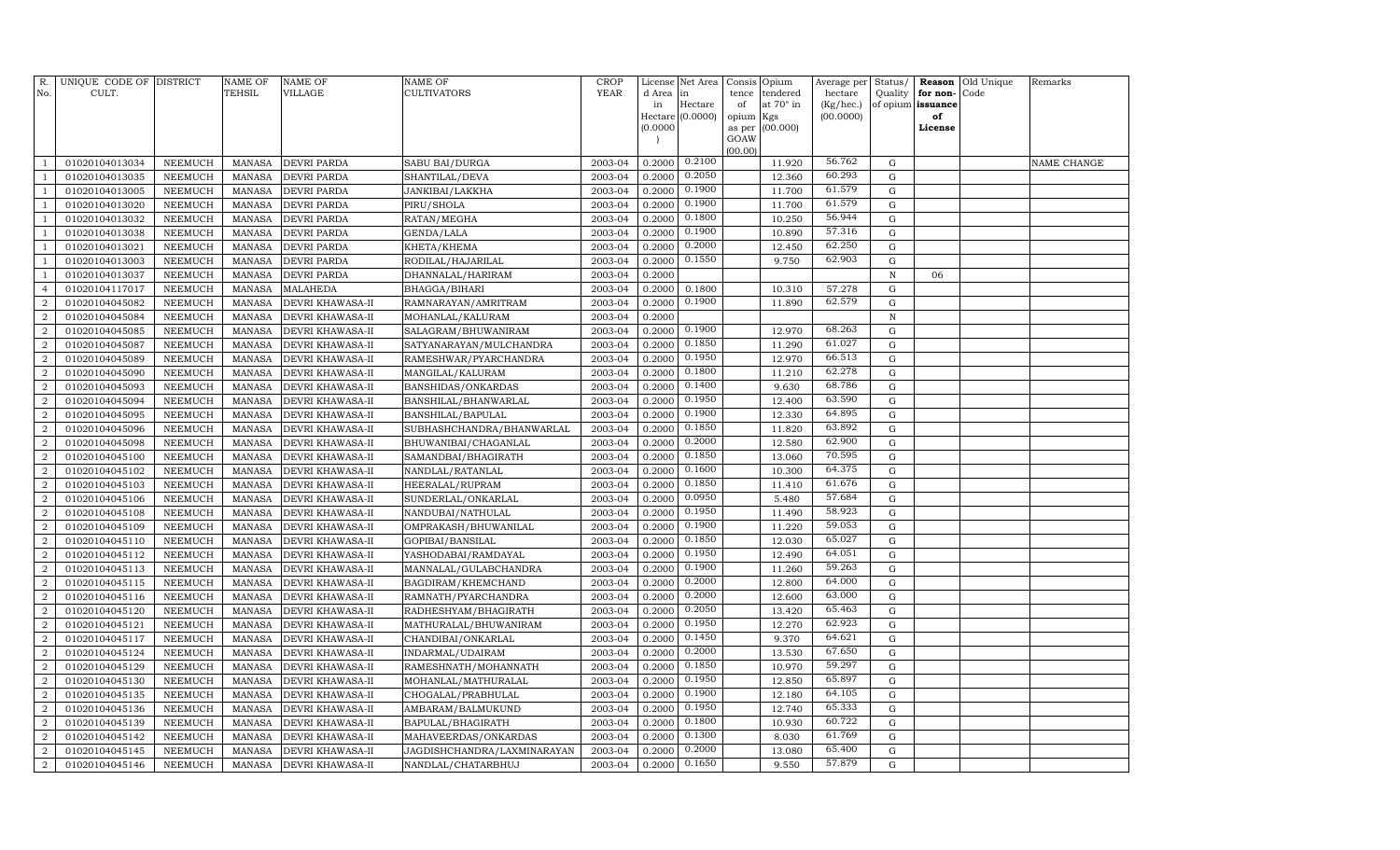| R.<br>No.                        | UNIQUE CODE OF DISTRICT<br>CULT. |                                  | NAME OF<br>TEHSIL              | <b>NAME OF</b><br>VILLAGE            | <b>NAME OF</b><br>CULTIVATORS                | <b>CROP</b><br><b>YEAR</b> | License<br>d Area | Net Area<br>in   | Consis<br>tence | Opium<br>tendered | Average per<br>hectare | Status/<br>Quality         | Reason<br>for non- | Old Unique<br>Code | Remarks     |
|----------------------------------|----------------------------------|----------------------------------|--------------------------------|--------------------------------------|----------------------------------------------|----------------------------|-------------------|------------------|-----------------|-------------------|------------------------|----------------------------|--------------------|--------------------|-------------|
|                                  |                                  |                                  |                                |                                      |                                              |                            | in                | Hectare          | of              | at 70° in         | (Kg/hec.)              | of opium                   | issuance           |                    |             |
|                                  |                                  |                                  |                                |                                      |                                              |                            |                   | Hectare (0.0000) | opium           | Kgs               | (00.0000)              |                            | of                 |                    |             |
|                                  |                                  |                                  |                                |                                      |                                              |                            | (0.0000)          |                  | as per<br>GOAW  | (00.000)          |                        |                            | License            |                    |             |
|                                  |                                  |                                  |                                |                                      |                                              |                            |                   |                  | (00.00)         |                   |                        |                            |                    |                    |             |
| $\mathbf{1}$                     | 01020104013034                   | NEEMUCH                          | <b>MANASA</b>                  | <b>DEVRI PARDA</b>                   | SABU BAI/DURGA                               | 2003-04                    | 0.2000            | 0.2100           |                 | 11.920            | 56.762                 | G                          |                    |                    | NAME CHANGE |
| $\mathbf{1}$                     | 01020104013035                   | <b>NEEMUCH</b>                   | <b>MANASA</b>                  | DEVRI PARDA                          | SHANTILAL/DEVA                               | 2003-04                    | 0.2000            | 0.2050           |                 | 12.360            | 60.293                 | $\mathbf G$                |                    |                    |             |
| $\mathbf{1}$                     | 01020104013005                   | NEEMUCH                          | MANASA                         | DEVRI PARDA                          | JANKIBAI/LAKKHA                              | 2003-04                    | 0.2000            | 0.1900           |                 | 11.700            | 61.579                 | G                          |                    |                    |             |
| $\mathbf{1}$                     | 01020104013020                   | <b>NEEMUCH</b>                   | MANASA                         | <b>DEVRI PARDA</b>                   | PIRU/SHOLA                                   | 2003-04                    | 0.2000            | 0.1900           |                 | 11.700            | 61.579                 | G                          |                    |                    |             |
| $\mathbf{1}$                     | 01020104013032                   | <b>NEEMUCH</b>                   | <b>MANASA</b>                  | <b>DEVRI PARDA</b>                   | RATAN/MEGHA                                  | 2003-04                    | 0.2000            | 0.1800           |                 | 10.250            | 56.944                 | G                          |                    |                    |             |
| $\mathbf{1}$                     | 01020104013038                   | <b>NEEMUCH</b>                   | <b>MANASA</b>                  | <b>DEVRI PARDA</b>                   | GENDA/LALA                                   | 2003-04                    | 0.2000            | 0.1900           |                 | 10.890            | 57.316                 | G                          |                    |                    |             |
| $\mathbf{1}$                     | 01020104013021                   | <b>NEEMUCH</b>                   | <b>MANASA</b>                  | DEVRI PARDA                          | KHETA/KHEMA                                  | 2003-04                    | 0.2000            | 0.2000           |                 | 12.450            | 62.250                 | G                          |                    |                    |             |
| $\mathbf{1}$                     | 01020104013003                   | <b>NEEMUCH</b>                   | <b>MANASA</b>                  | <b>DEVRI PARDA</b>                   | RODILAL/HAJARILAL                            | 2003-04                    | 0.2000            | 0.1550           |                 | 9.750             | 62.903                 | $\mathbf G$                |                    |                    |             |
| $\mathbf{1}$                     | 01020104013037                   | <b>NEEMUCH</b>                   | <b>MANASA</b>                  | DEVRI PARDA                          | DHANNALAL/HARIRAM                            | 2003-04                    | 0.2000            |                  |                 |                   |                        | ${\bf N}$                  | 06                 |                    |             |
| $\overline{4}$                   | 01020104117017                   | <b>NEEMUCH</b>                   | MANASA                         | MALAHEDA                             | BHAGGA/BIHARI                                | 2003-04                    | 0.2000            | 0.1800           |                 | 10.310            | 57.278                 | G                          |                    |                    |             |
| $\overline{a}$                   | 01020104045082                   | <b>NEEMUCH</b>                   | <b>MANASA</b>                  | DEVRI KHAWASA-II                     | RAMNARAYAN/AMRITRAM                          | 2003-04                    | 0.2000            | 0.1900           |                 | 11.890            | 62.579                 | $\mathbf G$                |                    |                    |             |
| $\overline{a}$                   | 01020104045084                   | <b>NEEMUCH</b>                   | <b>MANASA</b>                  | DEVRI KHAWASA-II                     | MOHANLAL/KALURAM                             | 2003-04                    | 0.2000            |                  |                 |                   |                        | $\, {\rm N}$               |                    |                    |             |
| $\overline{a}$                   | 01020104045085                   | <b>NEEMUCH</b>                   | MANASA                         | DEVRI KHAWASA-II                     | SALAGRAM/BHUWANIRAM                          | 2003-04                    | 0.2000            | 0.1900           |                 | 12.970            | 68.263                 | ${\rm G}$                  |                    |                    |             |
| $\overline{2}$                   | 01020104045087                   | <b>NEEMUCH</b>                   | MANASA                         | DEVRI KHAWASA-II                     | SATYANARAYAN/MULCHANDRA                      | 2003-04                    | 0.2000            | 0.1850           |                 | 11.290            | 61.027                 | G                          |                    |                    |             |
| $\overline{a}$                   | 01020104045089                   | <b>NEEMUCH</b>                   | <b>MANASA</b>                  | DEVRI KHAWASA-II                     | RAMESHWAR/PYARCHANDRA                        | 2003-04                    | 0.2000            | 0.1950           |                 | 12.970            | 66.513                 | G                          |                    |                    |             |
| $\overline{2}$                   | 01020104045090                   | <b>NEEMUCH</b>                   | <b>MANASA</b>                  | DEVRI KHAWASA-II                     | MANGILAL/KALURAM                             | 2003-04                    | 0.2000            | 0.1800           |                 | 11.210            | 62.278                 | G                          |                    |                    |             |
| $\overline{2}$                   | 01020104045093                   | <b>NEEMUCH</b>                   | MANASA                         | DEVRI KHAWASA-II                     | BANSHIDAS/ONKARDAS                           | 2003-04                    | 0.2000            | 0.1400           |                 | 9.630             | 68.786                 | G                          |                    |                    |             |
| $\overline{2}$                   | 01020104045094                   | <b>NEEMUCH</b>                   | <b>MANASA</b>                  | DEVRI KHAWASA-II                     | BANSHILAL/BHANWARLAL                         | 2003-04                    | 0.2000            | 0.1950           |                 | 12.400            | 63.590                 | $\mathbf G$                |                    |                    |             |
| $\overline{a}$                   | 01020104045095                   | <b>NEEMUCH</b>                   | <b>MANASA</b>                  | DEVRI KHAWASA-II                     | BANSHILAL/BAPULAL                            | 2003-04                    | 0.2000            | 0.1900           |                 | 12.330            | 64.895                 | $\mathbf G$                |                    |                    |             |
| $\overline{a}$                   | 01020104045096                   | <b>NEEMUCH</b>                   | <b>MANASA</b>                  | DEVRI KHAWASA-II                     | SUBHASHCHANDRA/BHANWARLAL                    | 2003-04                    | 0.2000            | 0.1850           |                 | 11.820            | 63.892                 | $\mathbf G$                |                    |                    |             |
| $\overline{a}$                   | 01020104045098                   | <b>NEEMUCH</b>                   | <b>MANASA</b>                  | DEVRI KHAWASA-II                     | BHUWANIBAI/CHAGANLAL                         | 2003-04                    | 0.2000            | 0.2000           |                 | 12.580            | 62.900                 | G                          |                    |                    |             |
| $\overline{a}$                   | 01020104045100                   | <b>NEEMUCH</b>                   | <b>MANASA</b>                  | DEVRI KHAWASA-II                     | SAMANDBAI/BHAGIRATH                          | 2003-04                    | 0.2000            | 0.1850           |                 | 13.060            | 70.595                 | G                          |                    |                    |             |
| $\overline{a}$                   | 01020104045102                   | <b>NEEMUCH</b>                   | MANASA                         | DEVRI KHAWASA-II                     | NANDLAL/RATANLAL                             | 2003-04                    | 0.2000            | 0.1600           |                 | 10.300            | 64.375                 | G                          |                    |                    |             |
| $\overline{a}$                   | 01020104045103                   | <b>NEEMUCH</b>                   | MANASA                         | DEVRI KHAWASA-II                     | HEERALAL/RUPRAM                              | 2003-04                    | 0.2000            | 0.1850           |                 | 11.410            | 61.676                 | G                          |                    |                    |             |
| $\overline{a}$                   | 01020104045106                   | <b>NEEMUCH</b>                   | <b>MANASA</b>                  | DEVRI KHAWASA-II                     | SUNDERLAL/ONKARLAL                           | 2003-04                    | 0.2000            | 0.0950<br>0.1950 |                 | 5.480             | 57.684<br>58.923       | G                          |                    |                    |             |
| $\overline{2}$                   | 01020104045108                   | <b>NEEMUCH</b>                   | <b>MANASA</b>                  | DEVRI KHAWASA-II                     | NANDUBAI/NATHULAL                            | 2003-04                    | 0.2000            | 0.1900           |                 | 11.490            | 59.053                 | G                          |                    |                    |             |
| $\overline{a}$                   | 01020104045109                   | <b>NEEMUCH</b>                   | MANASA                         | DEVRI KHAWASA-II                     | OMPRAKASH/BHUWANILAL                         | 2003-04                    | 0.2000            | 0.1850           |                 | 11.220            | 65.027                 | G                          |                    |                    |             |
| $\overline{2}$<br>$\overline{a}$ | 01020104045110                   | <b>NEEMUCH</b>                   | <b>MANASA</b><br><b>MANASA</b> | DEVRI KHAWASA-II                     | GOPIBAI/BANSILAL                             | 2003-04                    | 0.2000<br>0.2000  | 0.1950           |                 | 12.030<br>12.490  | 64.051                 | $\mathbf G$<br>$\mathbf G$ |                    |                    |             |
| $\overline{2}$                   | 01020104045112<br>01020104045113 | <b>NEEMUCH</b><br><b>NEEMUCH</b> | MANASA                         | DEVRI KHAWASA-II<br>DEVRI KHAWASA-II | YASHODABAI/RAMDAYAL<br>MANNALAL/GULABCHANDRA | 2003-04<br>2003-04         | 0.2000            | 0.1900           |                 | 11.260            | 59.263                 | G                          |                    |                    |             |
| $\overline{a}$                   | 01020104045115                   | <b>NEEMUCH</b>                   | <b>MANASA</b>                  | DEVRI KHAWASA-II                     | BAGDIRAM/KHEMCHAND                           | 2003-04                    | 0.2000            | 0.2000           |                 | 12.800            | 64.000                 | G                          |                    |                    |             |
| $\overline{a}$                   | 01020104045116                   | <b>NEEMUCH</b>                   | <b>MANASA</b>                  | DEVRI KHAWASA-II                     | RAMNATH/PYARCHANDRA                          | 2003-04                    | 0.2000            | 0.2000           |                 | 12.600            | 63.000                 | G                          |                    |                    |             |
| $\overline{a}$                   | 01020104045120                   | <b>NEEMUCH</b>                   | <b>MANASA</b>                  | DEVRI KHAWASA-II                     | RADHESHYAM/BHAGIRATH                         | 2003-04                    | 0.2000            | 0.2050           |                 | 13.420            | 65.463                 | G                          |                    |                    |             |
| $\overline{2}$                   | 01020104045121                   | <b>NEEMUCH</b>                   | MANASA                         | DEVRI KHAWASA-II                     | MATHURALAL/BHUWANIRAM                        | 2003-04                    | 0.2000            | 0.1950           |                 | 12.270            | 62.923                 | G                          |                    |                    |             |
| $\overline{a}$                   | 01020104045117                   | <b>NEEMUCH</b>                   | MANASA                         | DEVRI KHAWASA-II                     | CHANDIBAI/ONKARLAL                           | 2003-04                    | 0.2000            | 0.1450           |                 | 9.370             | 64.621                 | G                          |                    |                    |             |
| $\overline{2}$                   | 01020104045124                   | <b>NEEMUCH</b>                   | <b>MANASA</b>                  | DEVRI KHAWASA-II                     | INDARMAL/UDAIRAM                             | 2003-04                    | 0.2000            | 0.2000           |                 | 13.530            | 67.650                 | G                          |                    |                    |             |
| $\overline{2}$                   | 01020104045129                   | <b>NEEMUCH</b>                   | MANASA                         | DEVRI KHAWASA-II                     | RAMESHNATH/MOHANNATH                         | 2003-04                    | 0.2000            | 0.1850           |                 | 10.970            | 59.297                 | G                          |                    |                    |             |
| $\overline{2}$                   | 01020104045130                   | <b>NEEMUCH</b>                   | <b>MANASA</b>                  | DEVRI KHAWASA-II                     | MOHANLAL/MATHURALAL                          | 2003-04                    | 0.2000            | 0.1950           |                 | 12.850            | 65.897                 | $\mathbf G$                |                    |                    |             |
| $\overline{2}$                   | 01020104045135                   | <b>NEEMUCH</b>                   | <b>MANASA</b>                  | DEVRI KHAWASA-II                     | CHOGALAL/PRABHULAL                           | 2003-04                    | 0.2000            | 0.1900           |                 | 12.180            | 64.105                 | ${\rm G}$                  |                    |                    |             |
| $\overline{2}$                   | 01020104045136                   | <b>NEEMUCH</b>                   | MANASA                         | DEVRI KHAWASA-II                     | AMBARAM/BALMUKUND                            | 2003-04                    | 0.2000            | 0.1950           |                 | 12.740            | 65.333                 | G                          |                    |                    |             |
| $\overline{a}$                   | 01020104045139                   | <b>NEEMUCH</b>                   | <b>MANASA</b>                  | DEVRI KHAWASA-II                     | BAPULAL/BHAGIRATH                            | 2003-04                    | 0.2000            | 0.1800           |                 | 10.930            | 60.722                 | G                          |                    |                    |             |
| $\overline{a}$                   | 01020104045142                   | <b>NEEMUCH</b>                   | <b>MANASA</b>                  | DEVRI KHAWASA-II                     | MAHAVEERDAS/ONKARDAS                         | 2003-04                    | 0.2000            | 0.1300           |                 | 8.030             | 61.769                 | G                          |                    |                    |             |
| $\overline{2}$                   | 01020104045145                   | <b>NEEMUCH</b>                   | <b>MANASA</b>                  | DEVRI KHAWASA-II                     | JAGDISHCHANDRA/LAXMINARAYAN                  | 2003-04                    | 0.2000            | 0.2000           |                 | 13.080            | 65.400                 | ${\rm G}$                  |                    |                    |             |
| $\overline{a}$                   | 01020104045146                   | <b>NEEMUCH</b>                   | <b>MANASA</b>                  | DEVRI KHAWASA-II                     | NANDLAL/CHATARBHUJ                           | 2003-04                    | 0.2000            | 0.1650           |                 | 9.550             | 57.879                 | $\mathbf G$                |                    |                    |             |
|                                  |                                  |                                  |                                |                                      |                                              |                            |                   |                  |                 |                   |                        |                            |                    |                    |             |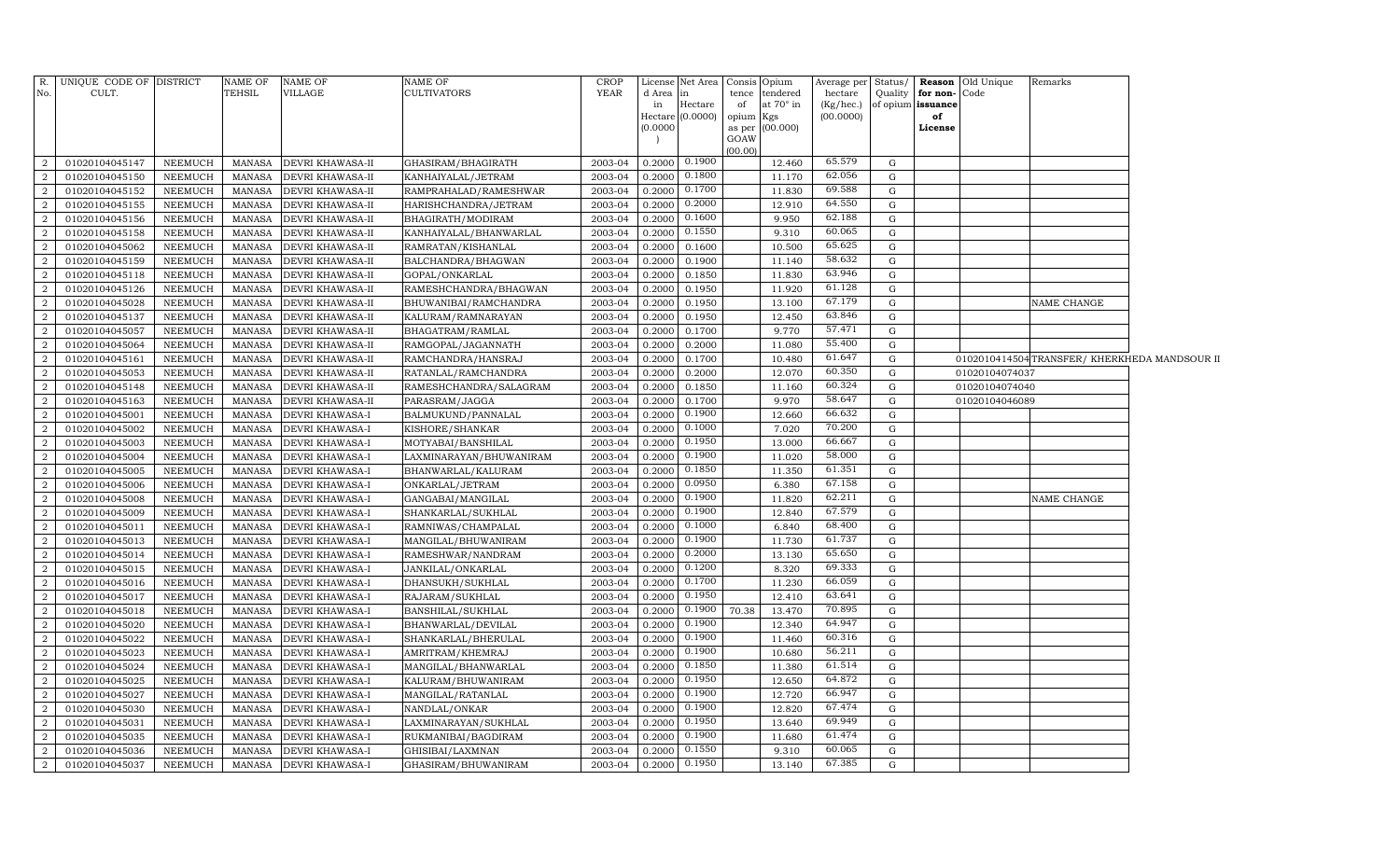| R.               | UNIQUE CODE OF DISTRICT |                | <b>NAME OF</b> | <b>NAME OF</b>          | <b>NAME OF</b>          | <b>CROP</b> | License             |          | Net Area Consis Opium |                 | Average per Status/ |             |                   | <b>Reason</b> Old Unique | Remarks                                     |  |
|------------------|-------------------------|----------------|----------------|-------------------------|-------------------------|-------------|---------------------|----------|-----------------------|-----------------|---------------------|-------------|-------------------|--------------------------|---------------------------------------------|--|
| No.              | CULT.                   |                | TEHSIL         | <b>VILLAGE</b>          | CULTIVATORS             | YEAR        | d Area              | l in     |                       | tence tendered  | hectare             | Quality     | for non-          | Code                     |                                             |  |
|                  |                         |                |                |                         |                         |             | in                  | Hectare  | of                    | at 70° in       | $(Kg/$ hec. $)$     |             | of opium issuance |                          |                                             |  |
|                  |                         |                |                |                         |                         |             | Hectare<br>(0.0000) | (0.0000) | opium Kgs             | as per (00.000) | (00.0000)           |             | of<br>License     |                          |                                             |  |
|                  |                         |                |                |                         |                         |             |                     |          | GOAW                  |                 |                     |             |                   |                          |                                             |  |
|                  |                         |                |                |                         |                         |             |                     |          | (00.00)               |                 |                     |             |                   |                          |                                             |  |
| 2                | 01020104045147          | NEEMUCH        | MANASA         | <b>DEVRI KHAWASA-II</b> | GHASIRAM/BHAGIRATH      | 2003-04     | 0.2000              | 0.1900   |                       | 12.460          | 65.579              | G           |                   |                          |                                             |  |
| $\overline{2}$   | 01020104045150          | NEEMUCH        | MANASA         | <b>DEVRI KHAWASA-II</b> | KANHAIYALAL/JETRAM      | 2003-04     | 0.2000              | 0.1800   |                       | 11.170          | 62.056              | G           |                   |                          |                                             |  |
| $\overline{2}$   | 01020104045152          | NEEMUCH        | <b>MANASA</b>  | <b>DEVRI KHAWASA-II</b> | RAMPRAHALAD/RAMESHWAR   | 2003-04     | 0.2000              | 0.1700   |                       | 11.830          | 69.588              | G           |                   |                          |                                             |  |
| $\overline{2}$   | 01020104045155          | NEEMUCH        | <b>MANASA</b>  | <b>DEVRI KHAWASA-II</b> | HARISHCHANDRA/JETRAM    | 2003-04     | 0.200               | 0.2000   |                       | 12.910          | 64.550              | G           |                   |                          |                                             |  |
| $\overline{2}$   | 01020104045156          | NEEMUCH        | <b>MANASA</b>  | <b>DEVRI KHAWASA-II</b> | BHAGIRATH/MODIRAM       | 2003-04     | 0.200               | 0.1600   |                       | 9.950           | 62.188              | G           |                   |                          |                                             |  |
| $\overline{2}$   | 01020104045158          | <b>NEEMUCH</b> | <b>MANASA</b>  | <b>DEVRI KHAWASA-II</b> | KANHAIYALAL/BHANWARLAL  | 2003-04     | 0.200               | 0.1550   |                       | 9.310           | 60.065              | G           |                   |                          |                                             |  |
| $\overline{2}$   | 01020104045062          | NEEMUCH        | <b>MANASA</b>  | <b>DEVRI KHAWASA-II</b> | RAMRATAN/KISHANLAL      | 2003-04     | 0.200               | 0.1600   |                       | 10.500          | 65.625              | G           |                   |                          |                                             |  |
| $\boldsymbol{2}$ | 01020104045159          | NEEMUCH        | <b>MANASA</b>  | <b>DEVRI KHAWASA-II</b> | BALCHANDRA/BHAGWAN      | 2003-04     | 0.2000              | 0.1900   |                       | 11.140          | 58.632              | G           |                   |                          |                                             |  |
| 2                | 01020104045118          | NEEMUCH        | <b>MANASA</b>  | <b>DEVRI KHAWASA-II</b> | GOPAL/ONKARLAL          | 2003-04     | 0.2000              | 0.1850   |                       | 11.830          | 63.946              | G           |                   |                          |                                             |  |
| 2                | 01020104045126          | NEEMUCH        | <b>MANASA</b>  | <b>DEVRI KHAWASA-II</b> | RAMESHCHANDRA/BHAGWAN   | 2003-04     | 0.2000              | 0.1950   |                       | 11.920          | 61.128              | G           |                   |                          |                                             |  |
| 2                | 01020104045028          | NEEMUCH        | <b>MANASA</b>  | <b>DEVRI KHAWASA-II</b> | BHUWANIBAI/RAMCHANDRA   | 2003-04     | 0.2000              | 0.1950   |                       | 13.100          | 67.179              | G           |                   |                          | NAME CHANGE                                 |  |
| $\overline{2}$   | 01020104045137          | NEEMUCH        | <b>MANASA</b>  | <b>DEVRI KHAWASA-II</b> | KALURAM / RAMNARAYAN    | 2003-04     | 0.2000              | 0.1950   |                       | 12.450          | 63.846              | G           |                   |                          |                                             |  |
| 2                | 01020104045057          | <b>NEEMUCH</b> | <b>MANASA</b>  | <b>DEVRI KHAWASA-II</b> | BHAGATRAM/RAMLAL        | 2003-04     | 0.2000              | 0.1700   |                       | 9.770           | 57.471              | G           |                   |                          |                                             |  |
| $\overline{2}$   | 01020104045064          | NEEMUCH        | <b>MANASA</b>  | <b>DEVRI KHAWASA-II</b> | RAMGOPAL/JAGANNATH      | 2003-04     | 0.2000              | 0.2000   |                       | 11.080          | 55.400              | G           |                   |                          |                                             |  |
| $\overline{2}$   | 01020104045161          | NEEMUCH        | <b>MANASA</b>  | <b>DEVRI KHAWASA-II</b> | RAMCHANDRA/HANSRAJ      | 2003-04     | 0.2000              | 0.1700   |                       | 10.480          | 61.647              | G           |                   |                          | 0102010414504TRANSFER/KHERKHEDA MANDSOUR II |  |
| $\overline{2}$   | 01020104045053          | NEEMUCH        | <b>MANASA</b>  | DEVRI KHAWASA-II        | RATANLAL/RAMCHANDRA     | 2003-04     | 0.2000              | 0.2000   |                       | 12.070          | 60.350              | G           |                   | 01020104074037           |                                             |  |
| $\overline{2}$   | 01020104045148          | NEEMUCH        | <b>MANASA</b>  | <b>DEVRI KHAWASA-II</b> | RAMESHCHANDRA/SALAGRAM  | 2003-04     | 0.200               | 0.1850   |                       | 11.160          | 60.324              | G           |                   | 01020104074040           |                                             |  |
| $\overline{2}$   | 01020104045163          | NEEMUCH        | <b>MANASA</b>  | DEVRI KHAWASA-II        | PARASRAM/JAGGA          | 2003-04     | 0.2000              | 0.1700   |                       | 9.970           | 58.647              | G           |                   | 01020104046089           |                                             |  |
| $\overline{2}$   | 01020104045001          | NEEMUCH        | <b>MANASA</b>  | <b>DEVRI KHAWASA-I</b>  | BALMUKUND/PANNALAL      | 2003-04     | 0.2000              | 0.1900   |                       | 12.660          | 66.632              | G           |                   |                          |                                             |  |
| $\overline{2}$   | 01020104045002          | NEEMUCH        | <b>MANASA</b>  | <b>DEVRI KHAWASA-I</b>  | KISHORE/SHANKAR         | 2003-04     | 0.2000              | 0.1000   |                       | 7.020           | 70.200              | G           |                   |                          |                                             |  |
| 2                | 01020104045003          | NEEMUCH        | <b>MANASA</b>  | <b>DEVRI KHAWASA-I</b>  | MOTYABAI/BANSHILAL      | 2003-04     | 0.200               | 0.1950   |                       | 13.000          | 66.667              | G           |                   |                          |                                             |  |
| $\overline{2}$   | 01020104045004          | NEEMUCH        | <b>MANASA</b>  | <b>DEVRI KHAWASA-I</b>  | LAXMINARAYAN/BHUWANIRAM | 2003-04     | 0.2000              | 0.1900   |                       | 11.020          | 58.000              | G           |                   |                          |                                             |  |
| 2                | 01020104045005          | NEEMUCH        | <b>MANASA</b>  | <b>DEVRI KHAWASA-I</b>  | BHANWARLAL/KALURAM      | 2003-04     | 0.2000              | 0.1850   |                       | 11.350          | 61.351              | G           |                   |                          |                                             |  |
| $\overline{2}$   | 01020104045006          | <b>NEEMUCH</b> | <b>MANASA</b>  | <b>DEVRI KHAWASA-I</b>  | ONKARLAL/JETRAM         | 2003-04     | 0.2000              | 0.0950   |                       | 6.380           | 67.158              | G           |                   |                          |                                             |  |
| 2                | 01020104045008          | NEEMUCH        | <b>MANASA</b>  | <b>DEVRI KHAWASA-I</b>  | GANGABAI/MANGILAL       | 2003-04     | 0.2000              | 0.1900   |                       | 11.820          | 62.211              | G           |                   |                          | NAME CHANGE                                 |  |
| $\overline{2}$   | 01020104045009          | NEEMUCH        | <b>MANASA</b>  | <b>DEVRI KHAWASA-I</b>  | SHANKARLAL/SUKHLAL      | 2003-04     | 0.2000              | 0.1900   |                       | 12.840          | 67.579              | G           |                   |                          |                                             |  |
| $\overline{2}$   | 01020104045011          | NEEMUCH        | <b>MANASA</b>  | <b>DEVRI KHAWASA-I</b>  | RAMNIWAS/CHAMPALAL      | 2003-04     | 0.2000              | 0.1000   |                       | 6.840           | 68.400              | $\mathbf G$ |                   |                          |                                             |  |
| $\overline{2}$   | 01020104045013          | NEEMUCH        | <b>MANASA</b>  | <b>DEVRI KHAWASA-I</b>  | MANGILAL/BHUWANIRAM     | 2003-04     | 0.2000              | 0.1900   |                       | 11.730          | 61.737              | G           |                   |                          |                                             |  |
| $\overline{2}$   | 01020104045014          | NEEMUCH        | <b>MANASA</b>  | <b>DEVRI KHAWASA-I</b>  | RAMESHWAR/NANDRAM       | 2003-04     | 0.2000              | 0.2000   |                       | 13.130          | 65.650              | G           |                   |                          |                                             |  |
| $\overline{2}$   | 01020104045015          | NEEMUCH        | <b>MANASA</b>  | <b>DEVRI KHAWASA-I</b>  | JANKILAL/ONKARLAL       | 2003-04     | 0.2000              | 0.1200   |                       | 8.320           | 69.333              | G           |                   |                          |                                             |  |
| $\overline{2}$   | 01020104045016          | NEEMUCH        | <b>MANASA</b>  | <b>DEVRI KHAWASA-I</b>  | DHANSUKH/SUKHLAL        | 2003-04     | 0.2000              | 0.1700   |                       | 11.230          | 66.059              | G           |                   |                          |                                             |  |
| 2                | 01020104045017          | NEEMUCH        | <b>MANASA</b>  | <b>DEVRI KHAWASA-I</b>  | RAJARAM/SUKHLAL         | 2003-04     | 0.2000              | 0.1950   |                       | 12.410          | 63.641              | G           |                   |                          |                                             |  |
| 2                | 01020104045018          | NEEMUCH        | <b>MANASA</b>  | <b>DEVRI KHAWASA-I</b>  | BANSHILAL/SUKHLAL       | 2003-04     | 0.2000              | 0.1900   | 70.38                 | 13.470          | 70.895              | G           |                   |                          |                                             |  |
| $\overline{2}$   | 01020104045020          | NEEMUCH        | <b>MANASA</b>  | <b>DEVRI KHAWASA-I</b>  | BHANWARLAL/DEVILAL      | 2003-04     | 0.2000              | 0.1900   |                       | 12.340          | 64.947              | G           |                   |                          |                                             |  |
| 2                | 01020104045022          | NEEMUCH        | <b>MANASA</b>  | <b>DEVRI KHAWASA-I</b>  | SHANKARLAL/BHERULAL     | 2003-04     | 0.2000              | 0.1900   |                       | 11.460          | 60.316              | G           |                   |                          |                                             |  |
| $\overline{2}$   | 01020104045023          | NEEMUCH        | <b>MANASA</b>  | <b>DEVRI KHAWASA-I</b>  | AMRITRAM/KHEMRAJ        | 2003-04     | 0.2000              | 0.1900   |                       | 10.680          | 56.211              | $\mathbf G$ |                   |                          |                                             |  |
| $\overline{2}$   | 01020104045024          | NEEMUCH        | <b>MANASA</b>  | DEVRI KHAWASA-I         | MANGILAL/BHANWARLAL     | 2003-04     | 0.2000              | 0.1850   |                       | 11.380          | 61.514              | $\mathbf G$ |                   |                          |                                             |  |
| $\overline{2}$   | 01020104045025          | NEEMUCH        | <b>MANASA</b>  | <b>DEVRI KHAWASA-I</b>  | KALURAM/BHUWANIRAM      | 2003-04     | 0.2000              | 0.1950   |                       | 12.650          | 64.872              | $\mathbf G$ |                   |                          |                                             |  |
| $\overline{2}$   | 01020104045027          | NEEMUCH        | <b>MANASA</b>  | <b>DEVRI KHAWASA-I</b>  | MANGILAL/RATANLAL       | 2003-04     | 0.2000              | 0.1900   |                       | 12.720          | 66.947              | G           |                   |                          |                                             |  |
| $\overline{2}$   | 01020104045030          | NEEMUCH        | <b>MANASA</b>  | <b>DEVRI KHAWASA-I</b>  | NANDLAL/ONKAR           | 2003-04     | 0.2000              | 0.1900   |                       | 12.820          | 67.474              | G           |                   |                          |                                             |  |
| $\overline{a}$   | 01020104045031          | NEEMUCH        | <b>MANASA</b>  | <b>DEVRI KHAWASA-I</b>  | LAXMINARAYAN/SUKHLAL    | 2003-04     | 0.2000              | 0.1950   |                       | 13.640          | 69.949              | G           |                   |                          |                                             |  |
| $\overline{2}$   | 01020104045035          | NEEMUCH        | <b>MANASA</b>  | <b>DEVRI KHAWASA-I</b>  | RUKMANIBAI/BAGDIRAM     | 2003-04     | 0.2000              | 0.1900   |                       | 11.680          | 61.474              | G           |                   |                          |                                             |  |
| $\overline{2}$   | 01020104045036          | NEEMUCH        | <b>MANASA</b>  | <b>DEVRI KHAWASA-I</b>  | GHISIBAI/LAXMNAN        | 2003-04     | 0.200               | 0.1550   |                       | 9.310           | 60.065              | G           |                   |                          |                                             |  |
| $\overline{a}$   | 01020104045037          | NEEMUCH        | MANASA         | <b>DEVRI KHAWASA-I</b>  | GHASIRAM/BHUWANIRAM     | 2003-04     | 0.2000              | 0.1950   |                       | 13.140          | 67.385              | G           |                   |                          |                                             |  |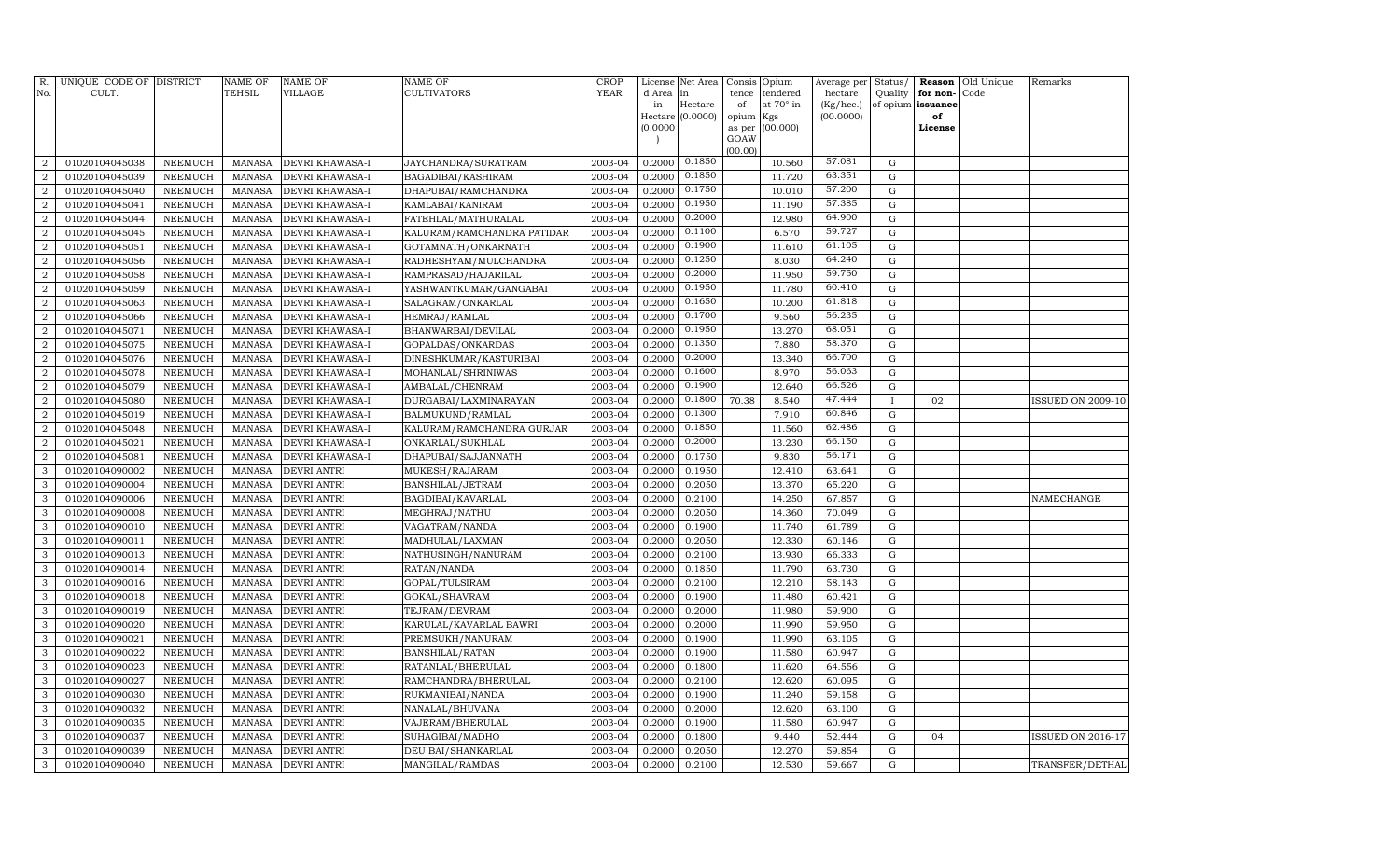| R.<br>No.        | UNIQUE CODE OF DISTRICT<br>CULT. |                | <b>NAME OF</b><br>TEHSIL | <b>NAME OF</b><br><b>VILLAGE</b> | NAME OF<br>CULTIVATORS     | <b>CROP</b><br>YEAR | d Area<br>in | License Net Area<br>in<br>Hectare | Consis<br>tence<br>of   | Opium<br>tendered<br>at 70° in | Average per<br>hectare<br>(Kg/hec.) | Status/<br>Quality<br>of opium | Reason<br>for non-<br>issuance | Old Unique<br>Code | Remarks                  |
|------------------|----------------------------------|----------------|--------------------------|----------------------------------|----------------------------|---------------------|--------------|-----------------------------------|-------------------------|--------------------------------|-------------------------------------|--------------------------------|--------------------------------|--------------------|--------------------------|
|                  |                                  |                |                          |                                  |                            |                     | (0.0000)     | Hectare $(0.0000)$                | opium<br>as per<br>GOAW | Kgs<br>(00.000)                | (00.0000)                           |                                | of<br>License                  |                    |                          |
|                  |                                  |                |                          |                                  |                            |                     |              |                                   | (00.00)                 |                                |                                     |                                |                                |                    |                          |
| $\overline{2}$   | 01020104045038                   | NEEMUCH        | <b>MANASA</b>            | DEVRI KHAWASA-I                  | JAYCHANDRA/SURATRAM        | 2003-04             | 0.2000       | 0.1850                            |                         | 10.560                         | 57.081                              | $\mathbf G$                    |                                |                    |                          |
| $\overline{2}$   | 01020104045039                   | <b>NEEMUCH</b> | <b>MANASA</b>            | DEVRI KHAWASA-I                  | BAGADIBAI/KASHIRAM         | 2003-04             | 0.2000       | 0.1850                            |                         | 11.720                         | 63.351                              | $\mathbf G$                    |                                |                    |                          |
| $\overline{2}$   | 01020104045040                   | NEEMUCH        | <b>MANASA</b>            | DEVRI KHAWASA-I                  | DHAPUBAI/RAMCHANDRA        | 2003-04             | 0.2000       | 0.1750                            |                         | 10.010                         | 57.200                              | ${\rm G}$                      |                                |                    |                          |
| $\overline{2}$   | 01020104045041                   | NEEMUCH        | <b>MANASA</b>            | DEVRI KHAWASA-I                  | KAMLABAI/KANIRAM           | 2003-04             | 0.2000       | 0.1950                            |                         | 11.190                         | 57.385                              | G                              |                                |                    |                          |
| $\overline{2}$   | 01020104045044                   | <b>NEEMUCH</b> | <b>MANASA</b>            | DEVRI KHAWASA-I                  | FATEHLAL/MATHURALAL        | 2003-04             | 0.2000       | 0.2000                            |                         | 12.980                         | 64.900                              | ${\rm G}$                      |                                |                    |                          |
| $\overline{a}$   | 01020104045045                   | <b>NEEMUCH</b> | <b>MANASA</b>            | DEVRI KHAWASA-I                  | KALURAM/RAMCHANDRA PATIDAR | 2003-04             | 0.2000       | 0.1100                            |                         | 6.570                          | 59.727                              | G                              |                                |                    |                          |
| $\overline{a}$   | 01020104045051                   | <b>NEEMUCH</b> | <b>MANASA</b>            | DEVRI KHAWASA-I                  | GOTAMNATH/ONKARNATH        | 2003-04             | 0.2000       | 0.1900                            |                         | 11.610                         | 61.105                              | G                              |                                |                    |                          |
| $\overline{a}$   | 01020104045056                   | <b>NEEMUCH</b> | <b>MANASA</b>            | DEVRI KHAWASA-I                  | RADHESHYAM/MULCHANDRA      | 2003-04             | 0.2000       | 0.1250                            |                         | 8.030                          | 64.240                              | G                              |                                |                    |                          |
| $\overline{2}$   | 01020104045058                   | <b>NEEMUCH</b> | <b>MANASA</b>            | DEVRI KHAWASA-I                  | RAMPRASAD/HAJARILAL        | 2003-04             | 0.2000       | 0.2000                            |                         | 11.950                         | 59.750                              | ${\rm G}$                      |                                |                    |                          |
| $\boldsymbol{2}$ | 01020104045059                   | <b>NEEMUCH</b> | <b>MANASA</b>            | DEVRI KHAWASA-I                  | YASHWANTKUMAR/GANGABAI     | 2003-04             | 0.2000       | 0.1950                            |                         | 11.780                         | 60.410                              | G                              |                                |                    |                          |
| $\overline{a}$   | 01020104045063                   | NEEMUCH        | <b>MANASA</b>            | DEVRI KHAWASA-I                  | SALAGRAM/ONKARLAL          | 2003-04             | 0.2000       | 0.1650                            |                         | 10.200                         | 61.818                              | ${\rm G}$                      |                                |                    |                          |
| $\overline{2}$   | 01020104045066                   | NEEMUCH        | <b>MANASA</b>            | DEVRI KHAWASA-I                  | HEMRAJ/RAMLAL              | 2003-04             | 0.2000       | 0.1700                            |                         | 9.560                          | 56.235                              | G                              |                                |                    |                          |
| $\overline{2}$   | 01020104045071                   | NEEMUCH        | <b>MANASA</b>            | DEVRI KHAWASA-I                  | BHANWARBAI/DEVILAL         | 2003-04             | 0.2000       | 0.1950                            |                         | 13.270                         | 68.051                              | ${\bf G}$                      |                                |                    |                          |
| $\overline{2}$   | 01020104045075                   | <b>NEEMUCH</b> | <b>MANASA</b>            | DEVRI KHAWASA-I                  | GOPALDAS/ONKARDAS          | 2003-04             | 0.2000       | 0.1350                            |                         | 7.880                          | 58.370                              | G                              |                                |                    |                          |
| $\overline{2}$   | 01020104045076                   | NEEMUCH        | <b>MANASA</b>            | DEVRI KHAWASA-I                  | DINESHKUMAR/KASTURIBAI     | 2003-04             | 0.2000       | 0.2000                            |                         | 13.340                         | 66.700                              | G                              |                                |                    |                          |
| $\overline{2}$   | 01020104045078                   | <b>NEEMUCH</b> | <b>MANASA</b>            | DEVRI KHAWASA-I                  | MOHANLAL/SHRINIWAS         | 2003-04             | 0.2000       | 0.1600                            |                         | 8.970                          | 56.063                              | G                              |                                |                    |                          |
| $\overline{2}$   | 01020104045079                   | <b>NEEMUCH</b> | <b>MANASA</b>            | DEVRI KHAWASA-I                  | AMBALAL/CHENRAM            | 2003-04             | 0.2000       | 0.1900                            |                         | 12.640                         | 66.526                              | G                              |                                |                    |                          |
| $\overline{2}$   | 01020104045080                   | <b>NEEMUCH</b> | <b>MANASA</b>            | DEVRI KHAWASA-I                  | DURGABAI/LAXMINARAYAN      | 2003-04             | 0.2000       | 0.1800                            | 70.38                   | 8.540                          | 47.444                              | $\mathbf{I}$                   | 02                             |                    | <b>ISSUED ON 2009-10</b> |
| $\overline{2}$   | 01020104045019                   | <b>NEEMUCH</b> | <b>MANASA</b>            | DEVRI KHAWASA-I                  | BALMUKUND/RAMLAL           | 2003-04             | 0.2000       | 0.1300                            |                         | 7.910                          | 60.846                              | ${\rm G}$                      |                                |                    |                          |
| $\overline{2}$   | 01020104045048                   | <b>NEEMUCH</b> | <b>MANASA</b>            | DEVRI KHAWASA-I                  | KALURAM/RAMCHANDRA GURJAR  | 2003-04             | 0.2000       | 0.1850                            |                         | 11.560                         | 62.486                              | G                              |                                |                    |                          |
| $\overline{2}$   | 01020104045021                   | NEEMUCH        | <b>MANASA</b>            | DEVRI KHAWASA-I                  | ONKARLAL/SUKHLAL           | 2003-04             | 0.2000       | 0.2000                            |                         | 13.230                         | 66.150                              | G                              |                                |                    |                          |
| $\boldsymbol{2}$ | 01020104045081                   | <b>NEEMUCH</b> | <b>MANASA</b>            | DEVRI KHAWASA-I                  | DHAPUBAI/SAJJANNATH        | 2003-04             | 0.2000       | 0.1750                            |                         | 9.830                          | 56.171                              | G                              |                                |                    |                          |
| 3                | 01020104090002                   | NEEMUCH        | <b>MANASA</b>            | <b>DEVRI ANTRI</b>               | MUKESH/RAJARAM             | 2003-04             | 0.2000       | 0.1950                            |                         | 12.410                         | 63.641                              | ${\rm G}$                      |                                |                    |                          |
| 3                | 01020104090004                   | <b>NEEMUCH</b> | <b>MANASA</b>            | DEVRI ANTRI                      | BANSHILAL/JETRAM           | 2003-04             | 0.2000       | 0.2050                            |                         | 13.370                         | 65.220                              | G                              |                                |                    |                          |
| 3                | 01020104090006                   | <b>NEEMUCH</b> | <b>MANASA</b>            | <b>DEVRI ANTRI</b>               | BAGDIBAI/KAVARLAL          | 2003-04             | 0.2000       | 0.2100                            |                         | 14.250                         | 67.857                              | ${\rm G}$                      |                                |                    | NAMECHANGE               |
| $\mathbf{3}$     | 01020104090008                   | <b>NEEMUCH</b> | <b>MANASA</b>            | DEVRI ANTRI                      | MEGHRAJ/NATHU              | 2003-04             | 0.2000       | 0.2050                            |                         | 14.360                         | 70.049                              | G                              |                                |                    |                          |
| 3                | 01020104090010                   | NEEMUCH        | <b>MANASA</b>            | DEVRI ANTRI                      | VAGATRAM/NANDA             | 2003-04             | 0.2000       | 0.1900                            |                         | 11.740                         | 61.789                              | G                              |                                |                    |                          |
| 3                | 01020104090011                   | NEEMUCH        | <b>MANASA</b>            | DEVRI ANTRI                      | MADHULAL/LAXMAN            | 2003-04             | 0.2000       | 0.2050                            |                         | 12.330                         | 60.146                              | G                              |                                |                    |                          |
| 3                | 01020104090013                   | NEEMUCH        | <b>MANASA</b>            | DEVRI ANTRI                      | NATHUSINGH/NANURAM         | 2003-04             | 0.2000       | 0.2100                            |                         | 13.930                         | 66.333                              | G                              |                                |                    |                          |
| 3                | 01020104090014                   | <b>NEEMUCH</b> | <b>MANASA</b>            | <b>DEVRI ANTRI</b>               | RATAN/NANDA                | 2003-04             | 0.2000       | 0.1850                            |                         | 11.790                         | 63.730                              | ${\rm G}$                      |                                |                    |                          |
| 3                | 01020104090016                   | <b>NEEMUCH</b> | <b>MANASA</b>            | DEVRI ANTRI                      | GOPAL/TULSIRAM             | 2003-04             | 0.2000       | 0.2100                            |                         | 12.210                         | 58.143                              | $\mathbf G$                    |                                |                    |                          |
| 3                | 01020104090018                   | <b>NEEMUCH</b> | <b>MANASA</b>            | <b>DEVRI ANTRI</b>               | GOKAL/SHAVRAM              | 2003-04             | 0.2000       | 0.1900                            |                         | 11.480                         | 60.421                              | G                              |                                |                    |                          |
| 3                | 01020104090019                   | <b>NEEMUCH</b> | <b>MANASA</b>            | DEVRI ANTRI                      | TEJRAM/DEVRAM              | 2003-04             | 0.2000       | 0.2000                            |                         | 11.980                         | 59.900                              | $\mathbf G$                    |                                |                    |                          |
| 3                | 01020104090020                   | <b>NEEMUCH</b> | <b>MANASA</b>            | DEVRI ANTRI                      | KARULAL/KAVARLAL BAWRI     | 2003-04             | 0.2000       | 0.2000                            |                         | 11.990                         | 59.950                              | $\mathbf G$                    |                                |                    |                          |
| 3                | 01020104090021                   | <b>NEEMUCH</b> | <b>MANASA</b>            | <b>DEVRI ANTRI</b>               | PREMSUKH/NANURAM           | 2003-04             | 0.2000       | 0.1900                            |                         | 11.990                         | 63.105                              | ${\rm G}$                      |                                |                    |                          |
| 3                | 01020104090022                   | <b>NEEMUCH</b> | <b>MANASA</b>            | <b>DEVRI ANTRI</b>               | BANSHILAL/RATAN            | 2003-04             | 0.2000       | 0.1900                            |                         | 11.580                         | 60.947                              | $\mathbf G$                    |                                |                    |                          |
| 3                | 01020104090023                   | <b>NEEMUCH</b> | <b>MANASA</b>            | <b>DEVRI ANTRI</b>               | RATANLAL/BHERULAL          | 2003-04             | 0.2000       | 0.1800                            |                         | 11.620                         | 64.556                              | ${\rm G}$                      |                                |                    |                          |
| 3                | 01020104090027                   | <b>NEEMUCH</b> | <b>MANASA</b>            | <b>DEVRI ANTRI</b>               | RAMCHANDRA/BHERULAL        | 2003-04             | 0.2000       | 0.2100                            |                         | 12.620                         | 60.095                              | G                              |                                |                    |                          |
| 3                | 01020104090030                   | <b>NEEMUCH</b> | <b>MANASA</b>            | DEVRI ANTRI                      | RUKMANIBAI/NANDA           | 2003-04             | 0.2000       | 0.1900                            |                         | 11.240                         | 59.158                              | G                              |                                |                    |                          |
| 3                | 01020104090032                   | <b>NEEMUCH</b> | <b>MANASA</b>            | DEVRI ANTRI                      | NANALAL/BHUVANA            | 2003-04             | 0.2000       | 0.2000                            |                         | 12.620                         | 63.100                              | ${\rm G}$                      |                                |                    |                          |
| 3                | 01020104090035                   | <b>NEEMUCH</b> | <b>MANASA</b>            | DEVRI ANTRI                      | VAJERAM/BHERULAL           | 2003-04             | 0.2000       | 0.1900                            |                         | 11.580                         | 60.947                              | ${\rm G}$                      |                                |                    |                          |
| $\mathbf{3}$     | 01020104090037                   | <b>NEEMUCH</b> | <b>MANASA</b>            | DEVRI ANTRI                      | SUHAGIBAI/MADHO            | 2003-04             | 0.2000       | 0.1800                            |                         | 9.440                          | 52.444                              | ${\rm G}$                      | 04                             |                    | ISSUED ON 2016-17        |
| 3                | 01020104090039                   | <b>NEEMUCH</b> | <b>MANASA</b>            | <b>DEVRI ANTRI</b>               | DEU BAI/SHANKARLAL         | 2003-04             | 0.2000       | 0.2050                            |                         | 12.270                         | 59.854                              | G                              |                                |                    |                          |
| $\mathbf{3}$     | 01020104090040                   | <b>NEEMUCH</b> | MANASA                   | <b>DEVRI ANTRI</b>               | MANGILAL/RAMDAS            | 2003-04             | 0.2000       | 0.2100                            |                         | 12.530                         | 59.667                              | G                              |                                |                    | TRANSFER/DETHAL          |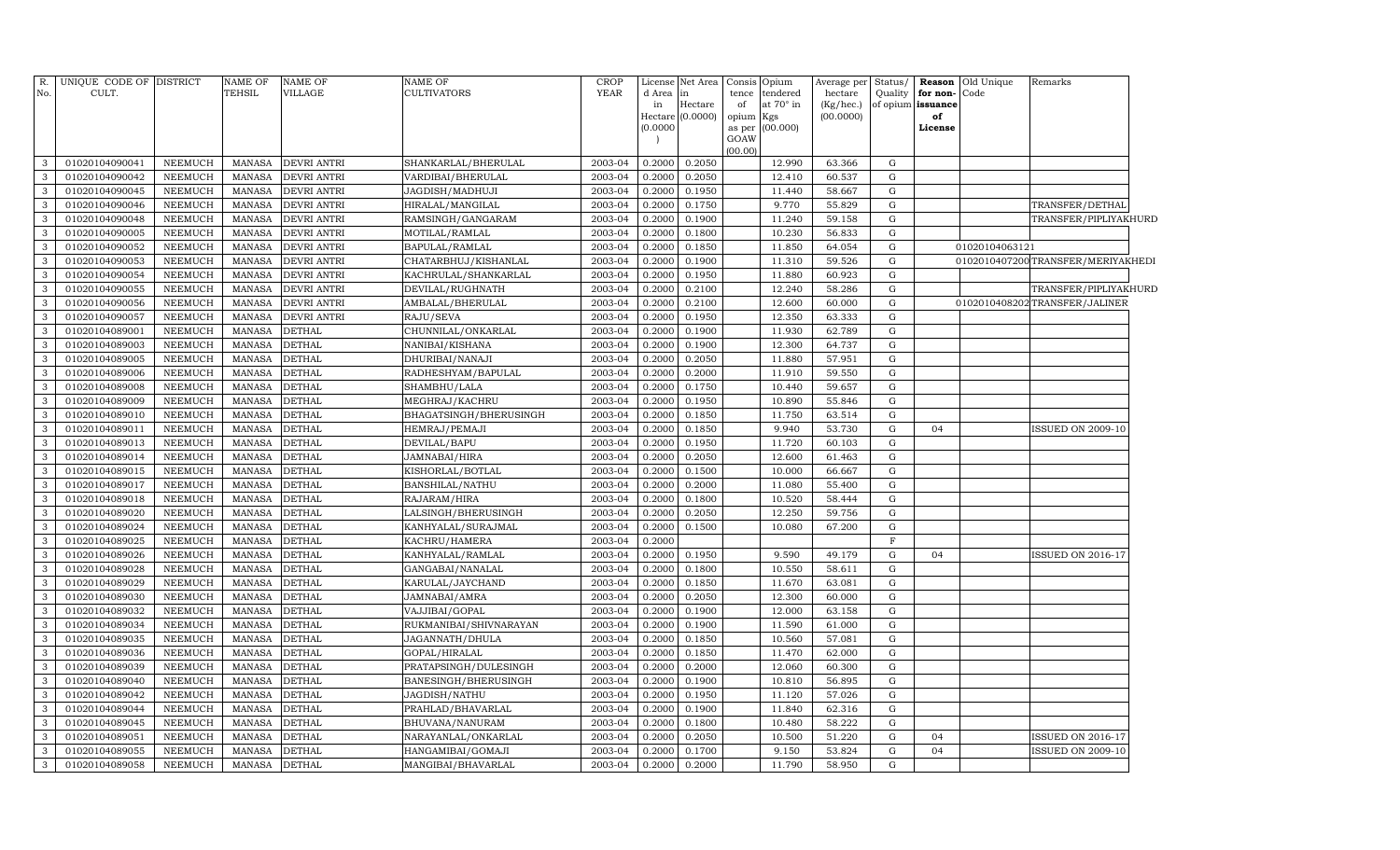| R.<br>No.         | UNIQUE CODE OF DISTRICT<br>CULT. |                                  | NAME OF<br>TEHSIL              | <b>NAME OF</b><br>VILLAGE      | NAME OF<br><b>CULTIVATORS</b>            | <b>CROP</b><br><b>YEAR</b> | d Area in<br>in<br>(0.0000) | License Net Area<br>Hectare<br>Hectare (0.0000) | Consis<br>tence<br>of<br>opium Kgs<br>as per<br>GOAW<br>(00.00) | Opium<br>tendered<br>at 70° in<br>(00.000) | Average per<br>hectare<br>$(Kg/$ hec.)<br>(00.0000) | Status/<br>Quality<br>of opium | for non-Code<br>issuance<br>of<br>License | Reason Old Unique | Remarks                            |  |
|-------------------|----------------------------------|----------------------------------|--------------------------------|--------------------------------|------------------------------------------|----------------------------|-----------------------------|-------------------------------------------------|-----------------------------------------------------------------|--------------------------------------------|-----------------------------------------------------|--------------------------------|-------------------------------------------|-------------------|------------------------------------|--|
| 3                 | 01020104090041                   | <b>NEEMUCH</b>                   | MANASA                         | <b>DEVRI ANTRI</b>             | SHANKARLAL/BHERULAL                      | 2003-04                    | 0.2000                      | 0.2050                                          |                                                                 | 12.990                                     | 63.366                                              | $\mathbf G$                    |                                           |                   |                                    |  |
| 3                 | 01020104090042                   | <b>NEEMUCH</b>                   | MANASA                         | <b>DEVRI ANTRI</b>             | VARDIBAI/BHERULAL                        | 2003-04                    | 0.2000                      | 0.2050                                          |                                                                 | 12.410                                     | 60.537                                              | $\mathbf G$                    |                                           |                   |                                    |  |
| $\mathbf{3}$      | 01020104090045                   | <b>NEEMUCH</b>                   | MANASA                         | <b>DEVRI ANTRI</b>             | JAGDISH/MADHUJI                          | 2003-04                    | 0.2000                      | 0.1950                                          |                                                                 | 11.440                                     | 58.667                                              | G                              |                                           |                   |                                    |  |
| $\mathbf{3}$      | 01020104090046                   | <b>NEEMUCH</b>                   | MANASA                         | <b>DEVRI ANTRI</b>             | HIRALAL/MANGILAL                         | 2003-04                    | 0.2000                      | 0.1750                                          |                                                                 | 9.770                                      | 55.829                                              | G                              |                                           |                   | TRANSFER/DETHAL                    |  |
| 3                 | 01020104090048                   | <b>NEEMUCH</b>                   | MANASA                         | <b>DEVRI ANTRI</b>             | RAMSINGH/GANGARAM                        | 2003-04                    | 0.2000                      | 0.1900                                          |                                                                 | 11.240                                     | 59.158                                              | G                              |                                           |                   | TRANSFER/PIPLIYAKHURD              |  |
| $\mathbf{3}$      | 01020104090005                   | <b>NEEMUCH</b>                   | MANASA                         | <b>DEVRI ANTRI</b>             | MOTILAL/RAMLAL                           | 2003-04                    | 0.2000                      | 0.1800                                          |                                                                 | 10.230                                     | 56.833                                              | G                              |                                           |                   |                                    |  |
| $\mathbf{3}$      | 01020104090052                   | <b>NEEMUCH</b>                   | <b>MANASA</b>                  | <b>DEVRI ANTRI</b>             | BAPULAL/RAMLAL                           | 2003-04                    | 0.2000                      | 0.1850                                          |                                                                 | 11.850                                     | 64.054                                              | G                              |                                           | 01020104063121    |                                    |  |
| $\mathbf{3}$      | 01020104090053                   | <b>NEEMUCH</b>                   | <b>MANASA</b>                  | <b>DEVRI ANTRI</b>             | CHATARBHUJ/KISHANLAL                     | 2003-04                    | 0.2000                      | 0.1900                                          |                                                                 | 11.310                                     | 59.526                                              | G                              |                                           |                   | 0102010407200 TRANSFER/MERIYAKHEDI |  |
| 3                 | 01020104090054                   | <b>NEEMUCH</b>                   | <b>MANASA</b>                  | <b>DEVRI ANTRI</b>             | KACHRULAL/SHANKARLAL                     | 2003-04                    | 0.2000                      | 0.1950                                          |                                                                 | 11.880                                     | 60.923                                              | G                              |                                           |                   |                                    |  |
| 3                 | 01020104090055                   | <b>NEEMUCH</b>                   | MANASA                         | <b>DEVRI ANTRI</b>             | DEVILAL/RUGHNATH                         | 2003-04                    | 0.2000                      | 0.2100                                          |                                                                 | 12.240                                     | 58.286                                              | G                              |                                           |                   | TRANSFER/PIPLIYAKHURD              |  |
| 3                 | 01020104090056                   | <b>NEEMUCH</b>                   | <b>MANASA</b>                  | <b>DEVRI ANTRI</b>             | AMBALAL/BHERULAL                         | 2003-04                    | 0.2000                      | 0.2100                                          |                                                                 | 12.600                                     | 60.000                                              | $\mathbf G$                    |                                           |                   | 0102010408202 TRANSFER/JALINER     |  |
| $\mathbf{3}$      | 01020104090057                   | <b>NEEMUCH</b>                   | <b>MANASA</b>                  | <b>DEVRI ANTRI</b>             | RAJU/SEVA                                | 2003-04                    | 0.2000                      | 0.1950                                          |                                                                 | 12.350                                     | 63.333                                              | $\mathbf G$                    |                                           |                   |                                    |  |
| 3                 | 01020104089001                   | <b>NEEMUCH</b>                   | <b>MANASA</b>                  | <b>DETHAL</b>                  | CHUNNILAL/ONKARLAL                       | 2003-04                    | 0.2000                      | 0.1900                                          |                                                                 | 11.930                                     | 62.789                                              | $\mathbf G$                    |                                           |                   |                                    |  |
| $\mathbf{3}$      | 01020104089003                   | <b>NEEMUCH</b>                   | <b>MANASA</b>                  | <b>DETHAL</b>                  | NANIBAI/KISHANA                          | 2003-04                    | 0.2000                      | 0.1900                                          |                                                                 | 12.300                                     | 64.737                                              | $\mathbf G$                    |                                           |                   |                                    |  |
| 3                 | 01020104089005                   | <b>NEEMUCH</b>                   | <b>MANASA</b>                  | <b>DETHAL</b>                  | DHURIBAI/NANAJI                          | 2003-04                    | 0.2000                      | 0.2050                                          |                                                                 | 11.880                                     | 57.951                                              | $\mathbf G$                    |                                           |                   |                                    |  |
| $\mathbf{3}$      | 01020104089006                   | <b>NEEMUCH</b>                   | MANASA                         | <b>DETHAL</b>                  | RADHESHYAM/BAPULAL                       | 2003-04                    | 0.2000                      | 0.2000                                          |                                                                 | 11.910                                     | 59.550                                              | G                              |                                           |                   |                                    |  |
| 3                 | 01020104089008                   | <b>NEEMUCH</b>                   | <b>MANASA</b>                  | <b>DETHAL</b>                  | SHAMBHU/LALA                             | 2003-04                    | 0.2000                      | 0.1750                                          |                                                                 | 10.440                                     | 59.657                                              | G                              |                                           |                   |                                    |  |
| $\mathbf{3}$      | 01020104089009                   | <b>NEEMUCH</b>                   | <b>MANASA</b>                  | <b>DETHAL</b>                  | MEGHRAJ/KACHRU                           | 2003-04                    | 0.2000                      | 0.1950                                          |                                                                 | 10.890                                     | 55.846                                              | G                              |                                           |                   |                                    |  |
| $\mathbf{3}$      | 01020104089010                   | <b>NEEMUCH</b>                   | <b>MANASA</b>                  | <b>DETHAL</b>                  | BHAGATSINGH/BHERUSINGH                   | 2003-04                    | 0.2000                      | 0.1850                                          |                                                                 | 11.750                                     | 63.514                                              | G                              |                                           |                   |                                    |  |
| $\mathbf{3}$      | 01020104089011                   | <b>NEEMUCH</b>                   | <b>MANASA</b>                  | <b>DETHAL</b>                  | HEMRAJ/PEMAJI                            | 2003-04                    | 0.2000                      | 0.1850                                          |                                                                 | 9.940                                      | 53.730                                              | G                              | 04                                        |                   | <b>ISSUED ON 2009-10</b>           |  |
| 3                 | 01020104089013                   | <b>NEEMUCH</b>                   | <b>MANASA</b>                  | <b>DETHAL</b>                  | DEVILAL/BAPU                             | 2003-04                    | 0.2000                      | 0.1950                                          |                                                                 | 11.720                                     | 60.103                                              | G                              |                                           |                   |                                    |  |
| 3                 | 01020104089014                   | <b>NEEMUCH</b>                   | <b>MANASA</b>                  | <b>DETHAL</b>                  | JAMNABAI/HIRA                            | 2003-04                    | 0.2000                      | 0.2050                                          |                                                                 | 12.600                                     | 61.463                                              | $\mathbf G$                    |                                           |                   |                                    |  |
| 3                 | 01020104089015                   | <b>NEEMUCH</b>                   | <b>MANASA</b>                  | <b>DETHAL</b>                  | KISHORLAL/BOTLAL                         | 2003-04                    | 0.2000                      | 0.1500                                          |                                                                 | 10.000                                     | 66.667                                              | $\mathbf G$                    |                                           |                   |                                    |  |
| 3                 | 01020104089017                   | <b>NEEMUCH</b>                   | <b>MANASA</b>                  | <b>DETHAL</b>                  | BANSHILAL/NATHU                          | 2003-04                    | 0.2000                      | 0.2000                                          |                                                                 | 11.080                                     | 55.400                                              | $\mathbf G$                    |                                           |                   |                                    |  |
| 3                 | 01020104089018                   | <b>NEEMUCH</b>                   | <b>MANASA</b>                  | <b>DETHAL</b>                  | RAJARAM/HIRA                             | 2003-04                    | 0.2000                      | 0.1800                                          |                                                                 | 10.520                                     | 58.444                                              | $\mathbf G$                    |                                           |                   |                                    |  |
| 3                 | 01020104089020                   | <b>NEEMUCH</b>                   | <b>MANASA</b>                  | <b>DETHAL</b>                  | LALSINGH/BHERUSINGH                      | 2003-04                    | 0.2000                      | 0.2050                                          |                                                                 | 12.250                                     | 59.756                                              | G                              |                                           |                   |                                    |  |
| 3                 | 01020104089024                   | <b>NEEMUCH</b>                   | <b>MANASA</b>                  | <b>DETHAL</b>                  | KANHYALAL/SURAJMAL                       | 2003-04                    | 0.2000                      | 0.1500                                          |                                                                 | 10.080                                     | 67.200                                              | G                              |                                           |                   |                                    |  |
| $\mathbf{3}$      | 01020104089025                   | <b>NEEMUCH</b>                   | <b>MANASA</b>                  | <b>DETHAL</b>                  | KACHRU/HAMERA                            | 2003-04                    | 0.2000                      |                                                 |                                                                 |                                            |                                                     | $\mathbf F$                    |                                           |                   |                                    |  |
| 3                 | 01020104089026                   | <b>NEEMUCH</b>                   | <b>MANASA</b>                  | <b>DETHAL</b>                  | KANHYALAL/RAMLAL                         | 2003-04                    | 0.2000                      | 0.1950                                          |                                                                 | 9.590                                      | 49.179                                              | G                              | 04                                        |                   | <b>ISSUED ON 2016-17</b>           |  |
| $\mathbf{3}$      | 01020104089028                   | <b>NEEMUCH</b>                   | <b>MANASA</b>                  | <b>DETHAL</b>                  | GANGABAI/NANALAL                         | 2003-04                    | 0.2000                      | 0.1800                                          |                                                                 | 10.550                                     | 58.611                                              | G                              |                                           |                   |                                    |  |
| 3                 | 01020104089029                   | <b>NEEMUCH</b>                   | <b>MANASA</b>                  | <b>DETHAL</b>                  | KARULAL/JAYCHAND                         | 2003-04                    | 0.2000                      | 0.1850                                          |                                                                 | 11.670                                     | 63.081                                              | G                              |                                           |                   |                                    |  |
| 3                 | 01020104089030                   | <b>NEEMUCH</b>                   | <b>MANASA</b>                  | <b>DETHAL</b>                  | JAMNABAI/AMRA                            | 2003-04                    | 0.2000                      | 0.2050                                          |                                                                 | 12.300                                     | 60.000                                              | $\mathbf G$                    |                                           |                   |                                    |  |
| 3                 | 01020104089032                   | NEEMUCH                          | <b>MANASA</b>                  | <b>DETHAL</b>                  | VAJJIBAI/GOPAL                           | 2003-04                    | 0.2000                      | 0.1900                                          |                                                                 | 12.000                                     | 63.158                                              | G                              |                                           |                   |                                    |  |
| 3                 | 01020104089034                   | <b>NEEMUCH</b>                   | <b>MANASA</b>                  | <b>DETHAL</b>                  | RUKMANIBAI/SHIVNARAYAN                   | 2003-04                    | 0.2000                      | 0.1900                                          |                                                                 | 11.590                                     | 61.000                                              | G                              |                                           |                   |                                    |  |
| 3                 | 01020104089035                   | <b>NEEMUCH</b>                   | <b>MANASA</b>                  | <b>DETHAL</b>                  | JAGANNATH/DHULA                          | 2003-04                    | 0.2000                      | 0.1850                                          |                                                                 | 10.560                                     | 57.081                                              | $\mathbf G$                    |                                           |                   |                                    |  |
| 3                 | 01020104089036                   | <b>NEEMUCH</b>                   | <b>MANASA</b>                  | <b>DETHAL</b>                  | GOPAL/HIRALAL                            | 2003-04                    | 0.2000                      | 0.1850                                          |                                                                 | 11.470                                     | 62.000                                              | G                              |                                           |                   |                                    |  |
| 3                 | 01020104089039                   | <b>NEEMUCH</b>                   | <b>MANASA</b>                  | <b>DETHAL</b>                  | PRATAPSINGH/DULESINGH                    | 2003-04                    | 0.2000                      | 0.2000                                          |                                                                 | 12.060                                     | 60.300                                              | G                              |                                           |                   |                                    |  |
| $\mathbf{3}$      | 01020104089040                   | <b>NEEMUCH</b>                   | <b>MANASA</b>                  | <b>DETHAL</b>                  | BANESINGH/BHERUSINGH                     | 2003-04                    | 0.2000                      | 0.1900                                          |                                                                 | 10.810                                     | 56.895                                              | G                              |                                           |                   |                                    |  |
| 3<br>$\mathbf{3}$ | 01020104089042<br>01020104089044 | <b>NEEMUCH</b><br><b>NEEMUCH</b> | <b>MANASA</b><br><b>MANASA</b> | <b>DETHAL</b><br><b>DETHAL</b> | JAGDISH/NATHU                            | 2003-04<br>2003-04         | 0.2000<br>0.2000            | 0.1950<br>0.1900                                |                                                                 | 11.120<br>11.840                           | 57.026<br>62.316                                    | G<br>$\mathbf G$               |                                           |                   |                                    |  |
| 3                 | 01020104089045                   | <b>NEEMUCH</b>                   | <b>MANASA</b>                  | <b>DETHAL</b>                  | PRAHLAD/BHAVARLAL                        | 2003-04                    | 0.2000                      | 0.1800                                          |                                                                 | 10.480                                     | 58.222                                              | ${\rm G}$                      |                                           |                   |                                    |  |
| 3                 | 01020104089051                   | <b>NEEMUCH</b>                   | <b>MANASA</b>                  | <b>DETHAL</b>                  | BHUVANA/NANURAM                          |                            | 0.2000                      | 0.2050                                          |                                                                 | 10.500                                     | 51.220                                              | G                              | 04                                        |                   | ISSUED ON 2016-17                  |  |
| 3                 | 01020104089055                   | <b>NEEMUCH</b>                   | <b>MANASA</b>                  | <b>DETHAL</b>                  | NARAYANLAL/ONKARLAL<br>HANGAMIBAI/GOMAJI | 2003-04<br>2003-04         | 0.2000                      | 0.1700                                          |                                                                 | 9.150                                      | 53.824                                              | $\mathbf G$                    | 04                                        |                   | ISSUED ON 2009-10                  |  |
| $\mathbf{3}$      | 01020104089058                   | NEEMUCH                          | MANASA                         | <b>DETHAL</b>                  | MANGIBAI/BHAVARLAL                       | 2003-04                    | 0.2000                      | 0.2000                                          |                                                                 | 11.790                                     | 58.950                                              | G                              |                                           |                   |                                    |  |
|                   |                                  |                                  |                                |                                |                                          |                            |                             |                                                 |                                                                 |                                            |                                                     |                                |                                           |                   |                                    |  |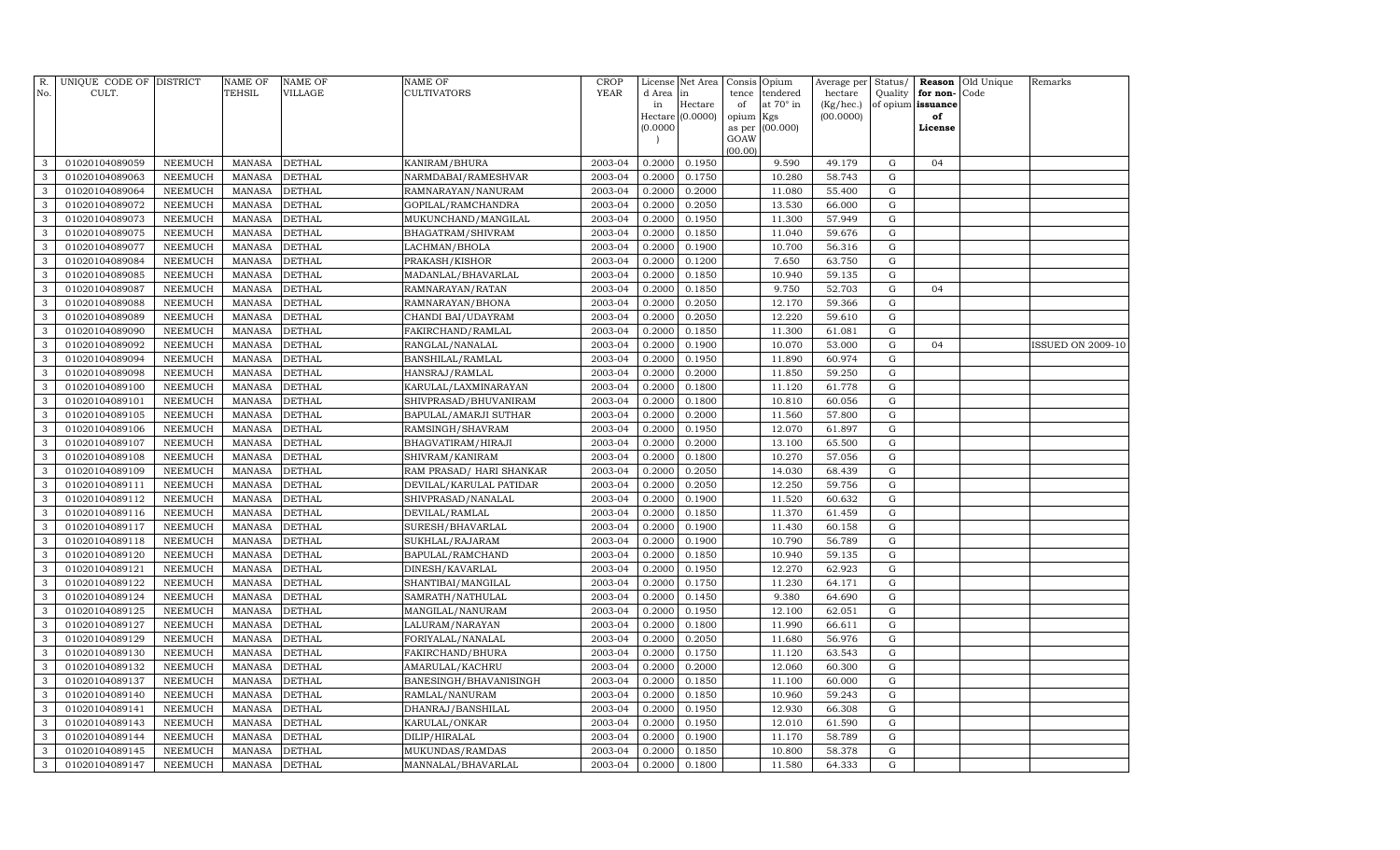| R.<br>No.    | UNIQUE CODE OF DISTRICT<br>CULT. |                | NAME OF<br>TEHSIL | <b>NAME OF</b><br>VILLAGE | <b>NAME OF</b><br><b>CULTIVATORS</b> | CROP<br><b>YEAR</b> | License<br>d Area        | Net Area<br>in   | Consis<br>tence | Opium<br>tendered | Average per<br>hectare | Status/<br>Quality | for non-          | <b>Reason</b> Old Unique<br>Code | Remarks                  |
|--------------|----------------------------------|----------------|-------------------|---------------------------|--------------------------------------|---------------------|--------------------------|------------------|-----------------|-------------------|------------------------|--------------------|-------------------|----------------------------------|--------------------------|
|              |                                  |                |                   |                           |                                      |                     | in                       | Hectare          | of              | at 70° in         | (Kg/hec.)              |                    | of opium issuance |                                  |                          |
|              |                                  |                |                   |                           |                                      |                     |                          | Hectare (0.0000) | opium           | Kgs               | (00.0000)              |                    | of                |                                  |                          |
|              |                                  |                |                   |                           |                                      |                     | (0.0000)                 |                  | as per<br>GOAW  | (00.000)          |                        |                    | License           |                                  |                          |
|              |                                  |                |                   |                           |                                      |                     | $\overline{\phantom{a}}$ |                  | (00.00)         |                   |                        |                    |                   |                                  |                          |
| 3            | 01020104089059                   | NEEMUCH        | <b>MANASA</b>     | <b>DETHAL</b>             | KANIRAM/BHURA                        | 2003-04             | 0.2000                   | 0.1950           |                 | 9.590             | 49.179                 | G                  | 04                |                                  |                          |
| 3            | 01020104089063                   | <b>NEEMUCH</b> | <b>MANASA</b>     | <b>DETHAL</b>             | NARMDABAI/RAMESHVAR                  | 2003-04             | 0.2000                   | 0.1750           |                 | 10.280            | 58.743                 | G                  |                   |                                  |                          |
| $\mathbf{3}$ | 01020104089064                   | <b>NEEMUCH</b> | <b>MANASA</b>     | <b>DETHAL</b>             | RAMNARAYAN/NANURAM                   | 2003-04             | 0.2000                   | 0.2000           |                 | 11.080            | 55.400                 | G                  |                   |                                  |                          |
| 3            | 01020104089072                   | <b>NEEMUCH</b> | <b>MANASA</b>     | DETHAL                    | GOPILAL/RAMCHANDRA                   | 2003-04             | 0.2000                   | 0.2050           |                 | 13.530            | 66.000                 | G                  |                   |                                  |                          |
| 3            | 01020104089073                   | <b>NEEMUCH</b> | <b>MANASA</b>     | <b>DETHAL</b>             | MUKUNCHAND/MANGILAL                  | 2003-04             | 0.2000                   | 0.1950           |                 | 11.300            | 57.949                 | G                  |                   |                                  |                          |
| 3            | 01020104089075                   | <b>NEEMUCH</b> | <b>MANASA</b>     | <b>DETHAL</b>             | BHAGATRAM / SHIVRAM                  | 2003-04             | 0.2000                   | 0.1850           |                 | 11.040            | 59.676                 | G                  |                   |                                  |                          |
| 3            | 01020104089077                   | <b>NEEMUCH</b> | <b>MANASA</b>     | <b>DETHAL</b>             | LACHMAN/BHOLA                        | 2003-04             | 0.2000                   | 0.1900           |                 | 10.700            | 56.316                 | G                  |                   |                                  |                          |
| 3            | 01020104089084                   | <b>NEEMUCH</b> | <b>MANASA</b>     | <b>DETHAL</b>             | PRAKASH/KISHOR                       | 2003-04             | 0.2000                   | 0.1200           |                 | 7.650             | 63.750                 | G                  |                   |                                  |                          |
| 3            | 01020104089085                   | <b>NEEMUCH</b> | <b>MANASA</b>     | <b>DETHAL</b>             | MADANLAL/BHAVARLAL                   | 2003-04             | 0.2000                   | 0.1850           |                 | 10.940            | 59.135                 | G                  |                   |                                  |                          |
| 3            | 01020104089087                   | <b>NEEMUCH</b> | <b>MANASA</b>     | <b>DETHAL</b>             | RAMNARAYAN/RATAN                     | 2003-04             | 0.2000                   | 0.1850           |                 | 9.750             | 52.703                 | G                  | 04                |                                  |                          |
| 3            | 01020104089088                   | <b>NEEMUCH</b> | <b>MANASA</b>     | <b>DETHAL</b>             | RAMNARAYAN/BHONA                     | 2003-04             | 0.2000                   | 0.2050           |                 | 12.170            | 59.366                 | G                  |                   |                                  |                          |
| 3            | 01020104089089                   | <b>NEEMUCH</b> | <b>MANASA</b>     | <b>DETHAL</b>             | CHANDI BAI/UDAYRAM                   | 2003-04             | 0.2000                   | 0.2050           |                 | 12.220            | 59.610                 | G                  |                   |                                  |                          |
| 3            | 01020104089090                   | <b>NEEMUCH</b> | <b>MANASA</b>     | DETHAL                    | FAKIRCHAND/RAMLAL                    | 2003-04             | 0.2000                   | 0.1850           |                 | 11.300            | 61.081                 | G                  |                   |                                  |                          |
| 3            | 01020104089092                   | <b>NEEMUCH</b> | <b>MANASA</b>     | DETHAL                    | RANGLAL/NANALAL                      | 2003-04             | 0.2000                   | 0.1900           |                 | 10.070            | 53.000                 | G                  | 04                |                                  | <b>ISSUED ON 2009-10</b> |
| 3            | 01020104089094                   | <b>NEEMUCH</b> | <b>MANASA</b>     | <b>DETHAL</b>             | <b>BANSHILAL/RAMLAL</b>              | 2003-04             | 0.2000                   | 0.1950           |                 | 11.890            | 60.974                 | $\mathbf G$        |                   |                                  |                          |
| 3            | 01020104089098                   | <b>NEEMUCH</b> | <b>MANASA</b>     | <b>DETHAL</b>             | HANSRAJ/RAMLAL                       | 2003-04             | 0.2000                   | 0.2000           |                 | 11.850            | 59.250                 | G                  |                   |                                  |                          |
| 3            | 01020104089100                   | <b>NEEMUCH</b> | <b>MANASA</b>     | <b>DETHAL</b>             | KARULAL/LAXMINARAYAN                 | 2003-04             | 0.2000                   | 0.1800           |                 | 11.120            | 61.778                 | G                  |                   |                                  |                          |
| 3            | 01020104089101                   | <b>NEEMUCH</b> | <b>MANASA</b>     | <b>DETHAL</b>             | SHIVPRASAD/BHUVANIRAM                | 2003-04             | 0.2000                   | 0.1800           |                 | 10.810            | 60.056                 | G                  |                   |                                  |                          |
| $\mathbf{3}$ | 01020104089105                   | <b>NEEMUCH</b> | <b>MANASA</b>     | <b>DETHAL</b>             | <b>BAPULAL/AMARJI SUTHAR</b>         | 2003-04             | 0.2000                   | 0.2000           |                 | 11.560            | 57.800                 | G                  |                   |                                  |                          |
| 3            | 01020104089106                   | <b>NEEMUCH</b> | <b>MANASA</b>     | DETHAL                    | RAMSINGH/SHAVRAM                     | 2003-04             | 0.2000                   | 0.1950           |                 | 12.070            | 61.897                 | G                  |                   |                                  |                          |
| 3            | 01020104089107                   | NEEMUCH        | <b>MANASA</b>     | DETHAL                    | BHAGVATIRAM/HIRAJI                   | 2003-04             | 0.2000                   | 0.2000           |                 | 13.100            | 65.500                 | $\mathbf G$        |                   |                                  |                          |
| 3            | 01020104089108                   | <b>NEEMUCH</b> | <b>MANASA</b>     | <b>DETHAL</b>             | SHIVRAM/KANIRAM                      | 2003-04             | 0.2000                   | 0.1800           |                 | 10.270            | 57.056                 | G                  |                   |                                  |                          |
| 3            | 01020104089109                   | <b>NEEMUCH</b> | <b>MANASA</b>     | <b>DETHAL</b>             | RAM PRASAD/ HARI SHANKAR             | 2003-04             | 0.2000                   | 0.2050           |                 | 14.030            | 68.439                 | $\mathbf G$        |                   |                                  |                          |
| 3            | 01020104089111                   | <b>NEEMUCH</b> | <b>MANASA</b>     | <b>DETHAL</b>             | DEVILAL/KARULAL PATIDAR              | 2003-04             | 0.2000                   | 0.2050           |                 | 12.250            | 59.756                 | G                  |                   |                                  |                          |
| 3            | 01020104089112                   | <b>NEEMUCH</b> | <b>MANASA</b>     | <b>DETHAL</b>             | SHIVPRASAD/NANALAL                   | 2003-04             | 0.2000                   | 0.1900           |                 | 11.520            | 60.632                 | $\mathbf G$        |                   |                                  |                          |
| 3            | 01020104089116                   | <b>NEEMUCH</b> | <b>MANASA</b>     | <b>DETHAL</b>             | DEVILAL/RAMLAL                       | 2003-04             | 0.2000                   | 0.1850           |                 | 11.370            | 61.459                 | G                  |                   |                                  |                          |
| 3            | 01020104089117                   | <b>NEEMUCH</b> | <b>MANASA</b>     | <b>DETHAL</b>             | SURESH/BHAVARLAL                     | 2003-04             | 0.2000                   | 0.1900           |                 | 11.430            | 60.158                 | G                  |                   |                                  |                          |
| 3            | 01020104089118                   | <b>NEEMUCH</b> | <b>MANASA</b>     | <b>DETHAL</b>             | SUKHLAL/RAJARAM                      | 2003-04             | 0.2000                   | 0.1900           |                 | 10.790            | 56.789                 | $\mathbf G$        |                   |                                  |                          |
| 3            | 01020104089120                   | <b>NEEMUCH</b> | <b>MANASA</b>     | DETHAL                    | BAPULAL/RAMCHAND                     | 2003-04             | 0.2000                   | 0.1850           |                 | 10.940            | 59.135                 | G                  |                   |                                  |                          |
| 3            | 01020104089121                   | <b>NEEMUCH</b> | <b>MANASA</b>     | DETHAL                    | DINESH/KAVARLAL                      | 2003-04             | 0.2000                   | 0.1950           |                 | 12.270            | 62.923                 | G                  |                   |                                  |                          |
| 3            | 01020104089122                   | <b>NEEMUCH</b> | <b>MANASA</b>     | <b>DETHAL</b>             | SHANTIBAI/MANGILAL                   | 2003-04             | 0.2000                   | 0.1750           |                 | 11.230            | 64.171                 | G                  |                   |                                  |                          |
| 3            | 01020104089124                   | <b>NEEMUCH</b> | <b>MANASA</b>     | <b>DETHAL</b>             | SAMRATH/NATHULAL                     | 2003-04             | 0.2000                   | 0.1450           |                 | 9.380             | 64.690                 | $\mathbf G$        |                   |                                  |                          |
| 3            | 01020104089125                   | <b>NEEMUCH</b> | <b>MANASA</b>     | <b>DETHAL</b>             | MANGILAL/NANURAM                     | 2003-04             | 0.2000                   | 0.1950           |                 | 12.100            | 62.051                 | G                  |                   |                                  |                          |
| 3            | 01020104089127                   | <b>NEEMUCH</b> | <b>MANASA</b>     | <b>DETHAL</b>             | LALURAM/NARAYAN                      | 2003-04             | 0.2000                   | 0.1800           |                 | 11.990            | 66.611                 | G                  |                   |                                  |                          |
| 3            | 01020104089129                   | <b>NEEMUCH</b> | <b>MANASA</b>     | <b>DETHAL</b>             | FORIYALAL/NANALAL                    | 2003-04             | 0.2000                   | 0.2050           |                 | 11.680            | 56.976                 | G                  |                   |                                  |                          |
| 3            | 01020104089130                   | <b>NEEMUCH</b> | <b>MANASA</b>     | <b>DETHAL</b>             | FAKIRCHAND/BHURA                     | 2003-04             | 0.2000                   | 0.1750           |                 | 11.120            | 63.543                 | G                  |                   |                                  |                          |
| 3            | 01020104089132                   | <b>NEEMUCH</b> | <b>MANASA</b>     | DETHAL                    | AMARULAL/KACHRU                      | 2003-04             | 0.2000                   | 0.2000           |                 | 12.060            | 60.300                 | G                  |                   |                                  |                          |
| 3            | 01020104089137                   | <b>NEEMUCH</b> | <b>MANASA</b>     | <b>DETHAL</b>             | BANESINGH/BHAVANISINGH               | 2003-04             | 0.2000                   | 0.1850           |                 | 11.100            | 60.000                 | G                  |                   |                                  |                          |
| 3            | 01020104089140                   | NEEMUCH        | <b>MANASA</b>     | <b>DETHAL</b>             | RAMLAL/NANURAM                       | 2003-04             | 0.2000                   | 0.1850           |                 | 10.960            | 59.243                 | G                  |                   |                                  |                          |
| 3            | 01020104089141                   | <b>NEEMUCH</b> | <b>MANASA</b>     | <b>DETHAL</b>             | DHANRAJ/BANSHILAL                    | 2003-04             | 0.2000                   | 0.1950           |                 | 12.930            | 66.308                 | G                  |                   |                                  |                          |
| 3            | 01020104089143                   | <b>NEEMUCH</b> | <b>MANASA</b>     | <b>DETHAL</b>             | KARULAL/ONKAR                        | 2003-04             | 0.2000                   | 0.1950           |                 | 12.010            | 61.590                 | $\mathbf G$        |                   |                                  |                          |
| 3            | 01020104089144                   | <b>NEEMUCH</b> | <b>MANASA</b>     | DETHAL                    | DILIP/HIRALAL                        | 2003-04             | 0.2000                   | 0.1900           |                 | 11.170            | 58.789                 | G                  |                   |                                  |                          |
| 3            | 01020104089145                   | <b>NEEMUCH</b> | <b>MANASA</b>     | <b>DETHAL</b>             | MUKUNDAS/RAMDAS                      | 2003-04             | 0.2000                   | 0.1850           |                 | 10.800            | 58.378                 | G                  |                   |                                  |                          |
| $\mathbf{3}$ | 01020104089147                   | NEEMUCH        | MANASA            | <b>DETHAL</b>             | MANNALAL/BHAVARLAL                   | 2003-04             | 0.2000                   | 0.1800           |                 | 11.580            | 64.333                 | $\mathbf G$        |                   |                                  |                          |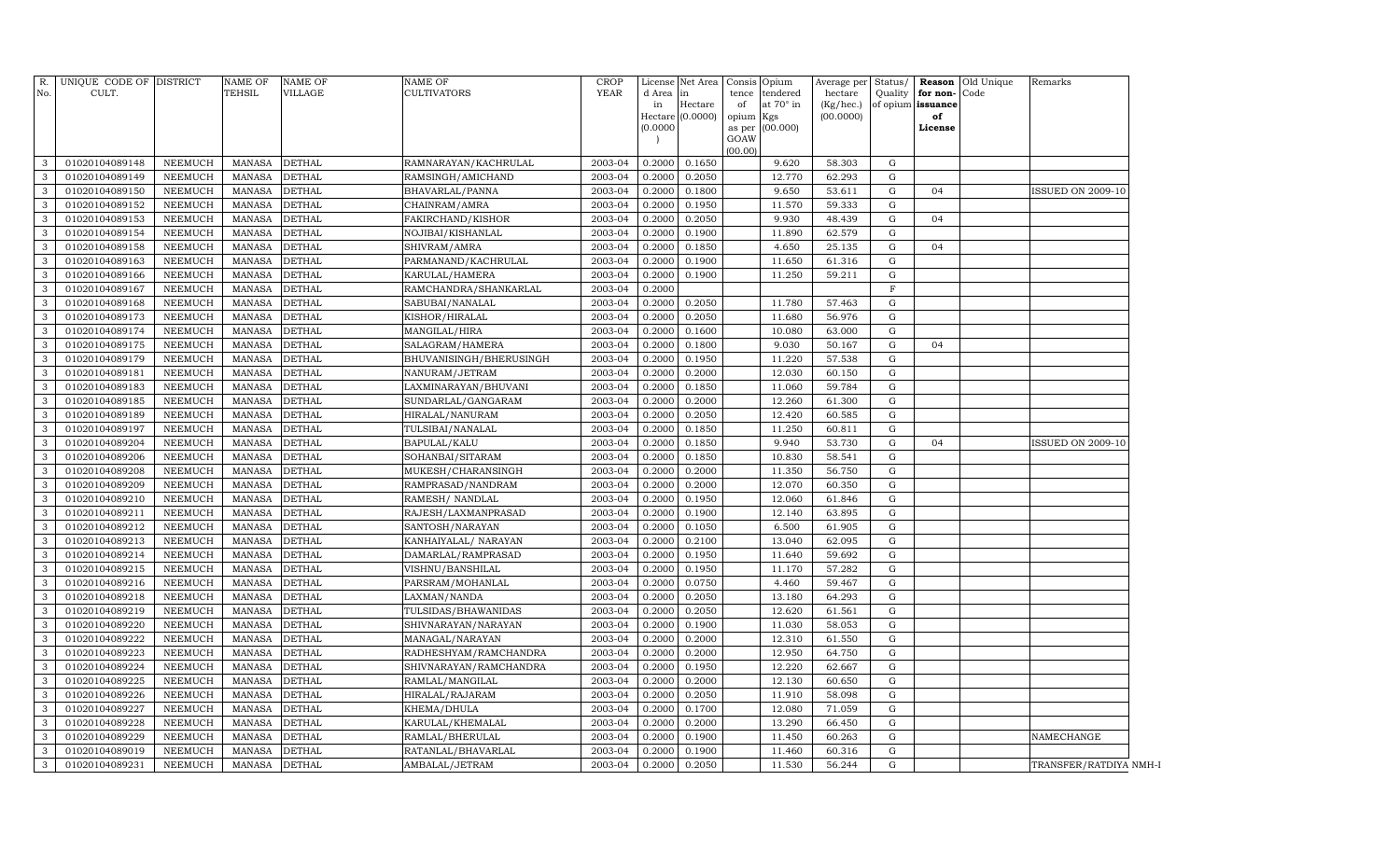|              |                                  |                                  | TEHSIL                         | VILLAGE                        | CULTIVATORS                          | <b>YEAR</b>        | d Area in        | License Net Area Consis | Opium                    |                  | Average per Status/<br>hectare | Quality                  | for non-          | <b>Reason</b> Old Unique<br>Code | Remarks                  |
|--------------|----------------------------------|----------------------------------|--------------------------------|--------------------------------|--------------------------------------|--------------------|------------------|-------------------------|--------------------------|------------------|--------------------------------|--------------------------|-------------------|----------------------------------|--------------------------|
| No.          | CULT.                            |                                  |                                |                                |                                      |                    | in               | Hectare                 | tence<br>of<br>at 70° in | tendered         | (Kg/hec.)                      |                          | of opium issuance |                                  |                          |
|              |                                  |                                  |                                |                                |                                      |                    |                  | Hectare (0.0000)        | opium<br>Kgs             |                  | (00.0000)                      |                          | of                |                                  |                          |
|              |                                  |                                  |                                |                                |                                      |                    | (0.0000)         |                         | (00.000)<br>as per       |                  |                                |                          | License           |                                  |                          |
|              |                                  |                                  |                                |                                |                                      |                    |                  |                         | GOAW<br>(00.00)          |                  |                                |                          |                   |                                  |                          |
| 3            | 01020104089148                   | NEEMUCH                          | MANASA                         | <b>DETHAL</b>                  | RAMNARAYAN/KACHRULAL                 | 2003-04            | 0.2000           | 0.1650                  |                          | 9.620            | 58.303                         | G                        |                   |                                  |                          |
| 3            | 01020104089149                   | NEEMUCH                          | MANASA                         | <b>DETHAL</b>                  | RAMSINGH/AMICHAND                    | 2003-04            | 0.2000           | 0.2050                  |                          | 12.770           | 62.293                         | G                        |                   |                                  |                          |
| 3            | 01020104089150                   | NEEMUCH                          | <b>MANASA</b>                  | <b>DETHAL</b>                  | BHAVARLAL/PANNA                      | 2003-04            | 0.2000           | 0.1800                  |                          | 9.650            | 53.611                         | ${\rm G}$                | 04                |                                  | <b>ISSUED ON 2009-10</b> |
| 3            | 01020104089152                   | NEEMUCH                          | <b>MANASA</b>                  | <b>DETHAL</b>                  | CHAINRAM/AMRA                        | 2003-04            | 0.2000           | 0.1950                  |                          | 11.570           | 59.333                         | G                        |                   |                                  |                          |
| 3            | 01020104089153                   | NEEMUCH                          | <b>MANASA</b>                  | <b>DETHAL</b>                  | FAKIRCHAND/KISHOR                    | 2003-04            | 0.2000           | 0.2050                  |                          | 9.930            | 48.439                         | G                        | 04                |                                  |                          |
| 3            | 01020104089154                   | NEEMUCH                          | <b>MANASA</b>                  | <b>DETHAL</b>                  | NOJIBAI/KISHANLAL                    | 2003-04            | 0.2000           | 0.1900                  |                          | 11.890           | 62.579                         | G                        |                   |                                  |                          |
| 3            | 01020104089158                   | NEEMUCH                          | <b>MANASA</b>                  | <b>DETHAL</b>                  | SHIVRAM/AMRA                         | 2003-04            | 0.2000           | 0.1850                  |                          | 4.650            | 25.135                         | G                        | 04                |                                  |                          |
| 3            | 01020104089163                   | <b>NEEMUCH</b>                   | <b>MANASA</b>                  | <b>DETHAL</b>                  | PARMANAND/KACHRULAL                  | 2003-04            | 0.2000           | 0.1900                  |                          | 11.650           | 61.316                         | G                        |                   |                                  |                          |
| 3            | 01020104089166                   | <b>NEEMUCH</b>                   | <b>MANASA</b>                  | <b>DETHAL</b>                  | KARULAL/HAMERA                       | 2003-04            | 0.2000           | 0.1900                  |                          | 11.250           | 59.211                         | ${\rm G}$                |                   |                                  |                          |
| 3            | 01020104089167                   | <b>NEEMUCH</b>                   | <b>MANASA</b>                  | DETHAL                         | RAMCHANDRA/SHANKARLAL                | 2003-04            | 0.2000           |                         |                          |                  |                                | $\overline{F}$           |                   |                                  |                          |
| $\mathbf{3}$ | 01020104089168                   | <b>NEEMUCH</b>                   | <b>MANASA</b>                  | <b>DETHAL</b>                  | SABUBAI/NANALAL                      | 2003-04            | 0.2000           | 0.2050                  |                          | 11.780           | 57.463                         | ${\rm G}$                |                   |                                  |                          |
| 3            | 01020104089173                   | <b>NEEMUCH</b>                   | <b>MANASA</b>                  | <b>DETHAL</b>                  | KISHOR/HIRALAL                       | 2003-04            | 0.2000           | 0.2050                  |                          | 11.680           | 56.976                         | G                        |                   |                                  |                          |
| 3            | 01020104089174                   | NEEMUCH                          | <b>MANASA</b>                  | <b>DETHAL</b>                  | MANGILAL/HIRA                        | 2003-04            | 0.2000           | 0.1600                  |                          | 10.080           | 63.000                         | G                        |                   |                                  |                          |
| 3            | 01020104089175                   | <b>NEEMUCH</b>                   | <b>MANASA</b>                  | <b>DETHAL</b>                  | SALAGRAM/HAMERA                      | 2003-04            | 0.2000           | 0.1800                  |                          | 9.030            | 50.167                         | G                        | 04                |                                  |                          |
| 3            | 01020104089179                   | <b>NEEMUCH</b>                   | <b>MANASA</b>                  | <b>DETHAL</b>                  | BHUVANISINGH/BHERUSINGH              | 2003-04            | 0.2000           | 0.1950                  |                          | 11.220           | 57.538                         | G                        |                   |                                  |                          |
| 3            | 01020104089181                   | <b>NEEMUCH</b>                   | <b>MANASA</b>                  | DETHAL                         | NANURAM/JETRAM                       | 2003-04            | 0.2000           | 0.2000                  |                          | 12.030           | 60.150                         | ${\rm G}$                |                   |                                  |                          |
| 3            | 01020104089183                   | <b>NEEMUCH</b>                   | <b>MANASA</b>                  | DETHAL                         | LAXMINARAYAN/BHUVANI                 | 2003-04            | 0.2000           | 0.1850                  |                          | 11.060           | 59.784                         | G                        |                   |                                  |                          |
| 3            | 01020104089185                   | NEEMUCH                          | MANASA                         | <b>DETHAL</b>                  | SUNDARLAL/GANGARAM                   | 2003-04            | 0.2000           | 0.2000                  |                          | 12.260           | 61.300                         | G                        |                   |                                  |                          |
| 3            | 01020104089189                   | NEEMUCH                          | <b>MANASA</b>                  | <b>DETHAL</b>                  | HIRALAL/NANURAM                      | 2003-04            | 0.2000           | 0.2050                  |                          | 12.420           | 60.585                         | G                        |                   |                                  |                          |
| 3            | 01020104089197                   | <b>NEEMUCH</b>                   | <b>MANASA</b>                  | DETHAL                         | TULSIBAI/NANALAL                     | 2003-04            | 0.2000           | 0.1850                  |                          | 11.250           | 60.811                         | G                        |                   |                                  |                          |
| 3            | 01020104089204                   | <b>NEEMUCH</b>                   | <b>MANASA</b>                  | <b>DETHAL</b>                  | BAPULAL/KALU                         | 2003-04            | 0.2000           | 0.1850                  |                          | 9.940            | 53.730                         | G                        | 04                |                                  | ISSUED ON 2009-10        |
| 3            | 01020104089206                   | <b>NEEMUCH</b>                   | <b>MANASA</b>                  | <b>DETHAL</b>                  | SOHANBAI/SITARAM                     | 2003-04            | 0.2000           | 0.1850                  |                          | 10.830           | 58.541                         | G                        |                   |                                  |                          |
| 3            | 01020104089208                   | <b>NEEMUCH</b>                   | <b>MANASA</b>                  | DETHAL                         | MUKESH/CHARANSINGH                   | 2003-04            | 0.2000           | 0.2000                  |                          | 11.350           | 56.750                         | G                        |                   |                                  |                          |
| 3            | 01020104089209                   | <b>NEEMUCH</b>                   | <b>MANASA</b>                  | <b>DETHAL</b>                  | RAMPRASAD/NANDRAM                    | 2003-04            | 0.2000           | 0.2000                  |                          | 12.070           | 60.350                         | G                        |                   |                                  |                          |
| 3            | 01020104089210                   | <b>NEEMUCH</b>                   | <b>MANASA</b>                  | <b>DETHAL</b>                  | RAMESH / NANDLAL                     | 2003-04            | 0.2000           | 0.1950                  |                          | 12.060           | 61.846                         | G                        |                   |                                  |                          |
| 3            | 01020104089211                   | <b>NEEMUCH</b>                   | <b>MANASA</b>                  | <b>DETHAL</b>                  | RAJESH/LAXMANPRASAD                  | 2003-04            | 0.2000           | 0.1900                  |                          | 12.140           | 63.895                         | G                        |                   |                                  |                          |
| 3            | 01020104089212                   | <b>NEEMUCH</b>                   | <b>MANASA</b>                  | <b>DETHAL</b>                  | SANTOSH/NARAYAN                      | 2003-04            | 0.2000           | 0.1050                  |                          | 6.500            | 61.905                         | $\mathbf G$              |                   |                                  |                          |
| 3            | 01020104089213                   | <b>NEEMUCH</b>                   | <b>MANASA</b>                  | <b>DETHAL</b>                  | KANHAIYALAL/ NARAYAN                 | 2003-04            | 0.2000           | 0.2100                  |                          | 13.040           | 62.095                         | G                        |                   |                                  |                          |
| 3<br>3       | 01020104089214<br>01020104089215 | <b>NEEMUCH</b><br><b>NEEMUCH</b> | <b>MANASA</b><br><b>MANASA</b> | <b>DETHAL</b><br><b>DETHAL</b> | DAMARLAL/RAMPRASAD                   | 2003-04<br>2003-04 | 0.2000<br>0.2000 | 0.1950<br>0.1950        |                          | 11.640<br>11.170 | 59.692<br>57.282               | $\mathbf G$<br>${\rm G}$ |                   |                                  |                          |
| 3            | 01020104089216                   | <b>NEEMUCH</b>                   | <b>MANASA</b>                  | <b>DETHAL</b>                  | VISHNU/BANSHILAL<br>PARSRAM/MOHANLAL | 2003-04            | 0.2000           | 0.0750                  |                          | 4.460            | 59.467                         | G                        |                   |                                  |                          |
| 3            | 01020104089218                   | <b>NEEMUCH</b>                   | <b>MANASA</b>                  | DETHAL                         | LAXMAN/NANDA                         | 2003-04            | 0.2000           | 0.2050                  |                          | 13.180           | 64.293                         | ${\rm G}$                |                   |                                  |                          |
| 3            | 01020104089219                   | <b>NEEMUCH</b>                   | <b>MANASA</b>                  | <b>DETHAL</b>                  | TULSIDAS/BHAWANIDAS                  | 2003-04            | 0.2000           | 0.2050                  |                          | 12.620           | 61.561                         | G                        |                   |                                  |                          |
| 3            | 01020104089220                   | <b>NEEMUCH</b>                   | <b>MANASA</b>                  | DETHAL                         | SHIVNARAYAN/NARAYAN                  | 2003-04            | 0.2000           | 0.1900                  |                          | 11.030           | 58.053                         | G                        |                   |                                  |                          |
| 3            | 01020104089222                   | <b>NEEMUCH</b>                   | <b>MANASA</b>                  | <b>DETHAL</b>                  | MANAGAL/NARAYAN                      | 2003-04            | 0.2000           | 0.2000                  |                          | 12.310           | 61.550                         | G                        |                   |                                  |                          |
| 3            | 01020104089223                   | NEEMUCH                          | <b>MANASA</b>                  | <b>DETHAL</b>                  | RADHESHYAM/RAMCHANDRA                | 2003-04            | 0.2000           | 0.2000                  |                          | 12.950           | 64.750                         | G                        |                   |                                  |                          |
| 3            | 01020104089224                   | <b>NEEMUCH</b>                   | <b>MANASA</b>                  | <b>DETHAL</b>                  | SHIVNARAYAN/RAMCHANDRA               | 2003-04            | 0.2000           | 0.1950                  |                          | 12.220           | 62.667                         | G                        |                   |                                  |                          |
| 3            | 01020104089225                   | NEEMUCH                          | <b>MANASA</b>                  | <b>DETHAL</b>                  | RAMLAL/MANGILAL                      | 2003-04            | 0.2000           | 0.2000                  |                          | 12.130           | 60.650                         | G                        |                   |                                  |                          |
| 3            | 01020104089226                   | <b>NEEMUCH</b>                   | <b>MANASA</b>                  | <b>DETHAL</b>                  | HIRALAL/RAJARAM                      | 2003-04            | 0.2000           | 0.2050                  |                          | 11.910           | 58.098                         | G                        |                   |                                  |                          |
| 3            | 01020104089227                   | <b>NEEMUCH</b>                   | <b>MANASA</b>                  | <b>DETHAL</b>                  | KHEMA/DHULA                          | 2003-04            | 0.2000           | 0.1700                  |                          | 12.080           | 71.059                         | G                        |                   |                                  |                          |
| 3            | 01020104089228                   | <b>NEEMUCH</b>                   | <b>MANASA</b>                  | DETHAL                         | KARULAL/KHEMALAL                     | 2003-04            | 0.2000           | 0.2000                  |                          | 13.290           | 66.450                         | G                        |                   |                                  |                          |
| 3            | 01020104089229                   | <b>NEEMUCH</b>                   | <b>MANASA</b>                  | <b>DETHAL</b>                  | RAMLAL/BHERULAL                      | 2003-04            | 0.2000           | 0.1900                  |                          | 11.450           | 60.263                         | G                        |                   |                                  | NAMECHANGE               |
| $\mathbf{3}$ | 01020104089019                   | <b>NEEMUCH</b>                   | <b>MANASA</b>                  | <b>DETHAL</b>                  | RATANLAL/BHAVARLAL                   | 2003-04            | 0.2000           | 0.1900                  |                          | 11.460           | 60.316                         | G                        |                   |                                  |                          |
| $\mathbf{3}$ | 01020104089231                   | <b>NEEMUCH</b>                   | <b>MANASA</b>                  | <b>DETHAL</b>                  | AMBALAL/JETRAM                       | 2003-04            | 0.2000           | 0.2050                  |                          | 11.530           | 56.244                         | ${\rm G}$                |                   |                                  | TRANSFER/RATDIYA NMH-1   |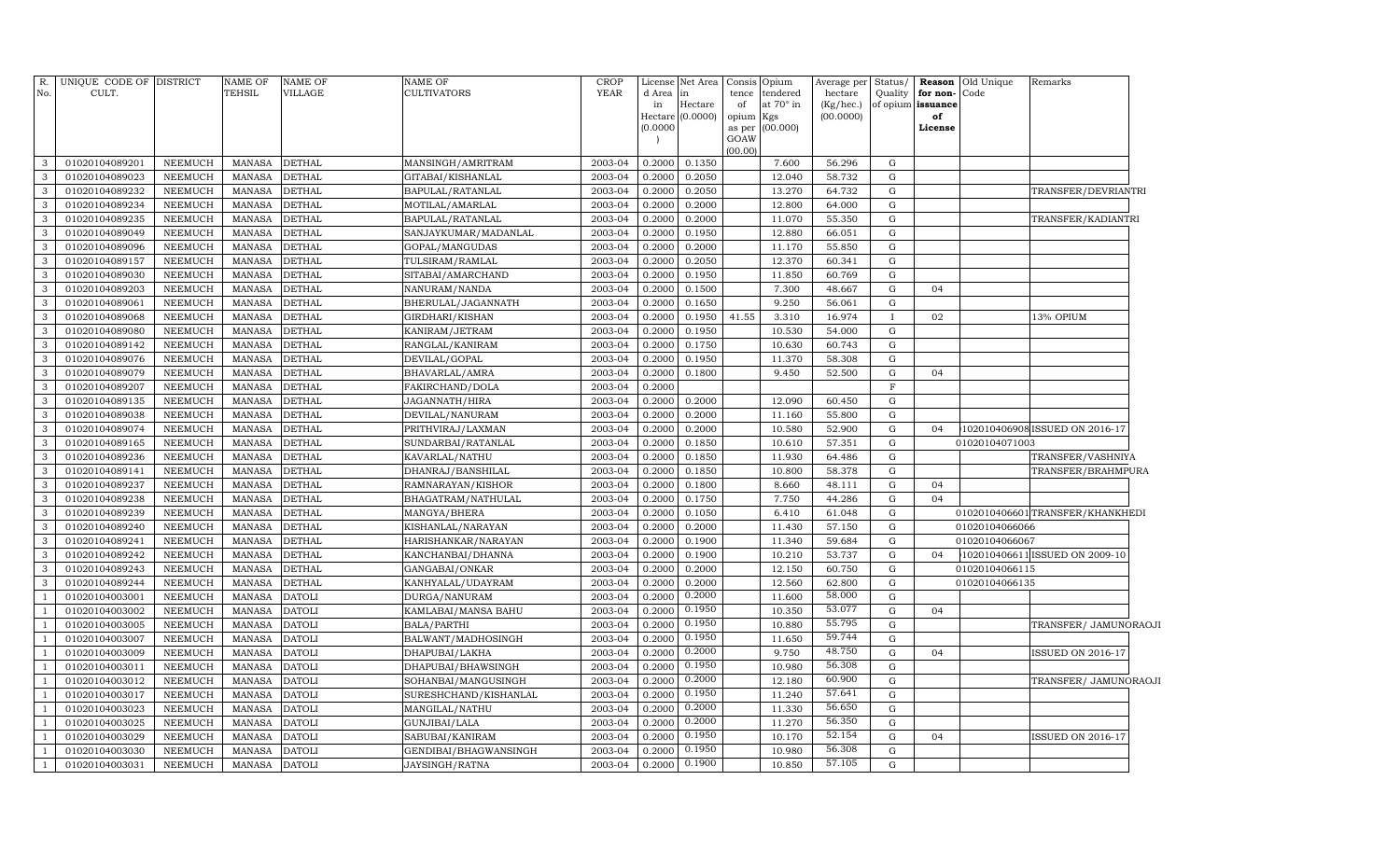| R.             | UNIQUE CODE OF DISTRICT          |                                  | NAME OF                        | <b>NAME OF</b> | NAME OF               | CROP        |                  | License Net Area Consis |             | Opium                 | Average per Status/  |                |                               | <b>Reason</b> Old Unique | Remarks                          |
|----------------|----------------------------------|----------------------------------|--------------------------------|----------------|-----------------------|-------------|------------------|-------------------------|-------------|-----------------------|----------------------|----------------|-------------------------------|--------------------------|----------------------------------|
| No.            | CULT.                            |                                  | TEHSIL                         | VILLAGE        | CULTIVATORS           | <b>YEAR</b> | d Area<br>in     | lin.<br>Hectare         | tence<br>of | tendered<br>at 70° in | hectare<br>(Kg/hec.) | Quality        | for non-<br>of opium issuance | Code                     |                                  |
|                |                                  |                                  |                                |                |                       |             |                  | Hectare (0.0000)        | opium       | Kgs                   | (00.0000)            |                | of                            |                          |                                  |
|                |                                  |                                  |                                |                |                       |             | (0.0000)         |                         | as per      | (00.000)              |                      |                | License                       |                          |                                  |
|                |                                  |                                  |                                |                |                       |             |                  |                         | GOAW        |                       |                      |                |                               |                          |                                  |
| 3              | 01020104089201                   | NEEMUCH                          | <b>MANASA</b>                  | <b>DETHAL</b>  | MANSINGH/AMRITRAM     | 2003-04     | 0.2000           | 0.1350                  | (00.00)     | 7.600                 | 56.296               | G              |                               |                          |                                  |
| 3              | 01020104089023                   | NEEMUCH                          | <b>MANASA</b>                  | <b>DETHAL</b>  | GITABAI/KISHANLAL     | 2003-04     | 0.2000           | 0.2050                  |             | 12.040                | 58.732               | ${\rm G}$      |                               |                          |                                  |
| 3              | 01020104089232                   | NEEMUCH                          | <b>MANASA</b>                  | <b>DETHAL</b>  | BAPULAL/RATANLAL      | 2003-04     | 0.2000           | 0.2050                  |             | 13.270                | 64.732               | G              |                               |                          | TRANSFER/DEVRIANTRI              |
| 3              | 01020104089234                   | NEEMUCH                          | <b>MANASA</b>                  | <b>DETHAL</b>  | MOTILAL/AMARLAL       | 2003-04     | 0.2000           | 0.2000                  |             | 12.800                | 64.000               | G              |                               |                          |                                  |
| 3              | 01020104089235                   | NEEMUCH                          | <b>MANASA</b>                  | <b>DETHAL</b>  | BAPULAL/RATANLAL      | 2003-04     | 0.2000           | 0.2000                  |             | 11.070                | 55.350               | G              |                               |                          | TRANSFER/KADIANTRI               |
| 3              | 01020104089049                   | <b>NEEMUCH</b>                   | <b>MANASA</b>                  | <b>DETHAL</b>  | SANJAYKUMAR/MADANLAL  | 2003-04     | 0.2000           | 0.1950                  |             | 12.880                | 66.051               | G              |                               |                          |                                  |
| 3              | 01020104089096                   | <b>NEEMUCH</b>                   | <b>MANASA</b>                  | <b>DETHAL</b>  | GOPAL/MANGUDAS        | 2003-04     | 0.2000           | 0.2000                  |             | 11.170                | 55.850               | G              |                               |                          |                                  |
| 3              | 01020104089157                   | <b>NEEMUCH</b>                   | <b>MANASA</b>                  | <b>DETHAL</b>  | TULSIRAM/RAMLAL       | 2003-04     | 0.2000           | 0.2050                  |             | 12.370                | 60.341               | ${\rm G}$      |                               |                          |                                  |
| 3              | 01020104089030                   | NEEMUCH                          | <b>MANASA</b>                  | DETHAL         | SITABAI/AMARCHAND     | 2003-04     | 0.2000           | 0.1950                  |             | 11.850                | 60.769               | G              |                               |                          |                                  |
| 3              | 01020104089203                   | <b>NEEMUCH</b>                   | <b>MANASA</b>                  | <b>DETHAL</b>  | NANURAM/NANDA         | 2003-04     | 0.2000           | 0.1500                  |             | 7.300                 | 48.667               | G              | 04                            |                          |                                  |
| 3              | 01020104089061                   | <b>NEEMUCH</b>                   | <b>MANASA</b>                  | <b>DETHAL</b>  | BHERULAL/JAGANNATH    | 2003-04     | 0.2000           | 0.1650                  |             | 9.250                 | 56.061               | ${\rm G}$      |                               |                          |                                  |
| 3              | 01020104089068                   | NEEMUCH                          | <b>MANASA</b>                  | <b>DETHAL</b>  | GIRDHARI/KISHAN       | 2003-04     | 0.2000           | 0.1950                  | 41.55       | 3.310                 | 16.974               | $\mathbf I$    | 02                            |                          | 13% OPIUM                        |
| 3              | 01020104089080                   | NEEMUCH                          | <b>MANASA</b>                  | <b>DETHAL</b>  | KANIRAM/JETRAM        | 2003-04     | 0.2000           | 0.1950                  |             | 10.530                | 54.000               | G              |                               |                          |                                  |
| 3              | 01020104089142                   | NEEMUCH                          | <b>MANASA</b>                  | <b>DETHAL</b>  | RANGLAL/KANIRAM       | 2003-04     | 0.2000           | 0.1750                  |             | 10.630                | 60.743               | ${\rm G}$      |                               |                          |                                  |
| 3              | 01020104089076                   | NEEMUCH                          | <b>MANASA</b>                  | <b>DETHAL</b>  | DEVILAL/GOPAL         | 2003-04     | 0.2000           | 0.1950                  |             | 11.370                | 58.308               | G              |                               |                          |                                  |
| 3              | 01020104089079                   | <b>NEEMUCH</b>                   | <b>MANASA</b>                  | <b>DETHAL</b>  | BHAVARLAL/AMRA        | 2003-04     | 0.2000           | 0.1800                  |             | 9.450                 | 52.500               | ${\rm G}$      | 04                            |                          |                                  |
| 3              | 01020104089207                   | NEEMUCH                          | <b>MANASA</b>                  | <b>DETHAL</b>  | FAKIRCHAND/DOLA       | 2003-04     | 0.2000           |                         |             |                       |                      | $\mathbf{F}$   |                               |                          |                                  |
| 3              | 01020104089135                   | <b>NEEMUCH</b>                   | <b>MANASA</b>                  | <b>DETHAL</b>  | JAGANNATH/HIRA        | 2003-04     | 0.2000           | 0.2000                  |             | 12.090                | 60.450               | G              |                               |                          |                                  |
| 3              | 01020104089038                   | <b>NEEMUCH</b>                   | <b>MANASA</b>                  | <b>DETHAL</b>  | DEVILAL/NANURAM       | 2003-04     | 0.2000           | 0.2000                  |             | 11.160                | 55.800               | G              |                               |                          |                                  |
| 3              | 01020104089074                   | <b>NEEMUCH</b>                   | <b>MANASA</b>                  | <b>DETHAL</b>  | PRITHVIRAJ/LAXMAN     | 2003-04     | 0.2000           | 0.2000                  |             | 10.580                | 52.900               | ${\rm G}$      | 04                            |                          | 102010406908 ISSUED ON 2016-17   |
| 3              | 01020104089165                   | <b>NEEMUCH</b>                   | <b>MANASA</b>                  | <b>DETHAL</b>  | SUNDARBAI/RATANLAL    | 2003-04     | 0.2000           | 0.1850                  |             | 10.610                | 57.351               | ${\rm G}$      |                               | 01020104071003           |                                  |
| 3              | 01020104089236                   | <b>NEEMUCH</b>                   | <b>MANASA</b>                  | <b>DETHAL</b>  | KAVARLAL/NATHU        | 2003-04     | 0.2000           | 0.1850                  |             | 11.930                | 64.486               | ${\rm G}$      |                               |                          | TRANSFER/VASHNIYA                |
| 3              | 01020104089141                   | <b>NEEMUCH</b>                   | <b>MANASA</b>                  | <b>DETHAL</b>  | DHANRAJ/BANSHILAL     | 2003-04     | 0.2000           | 0.1850                  |             | 10.800                | 58.378               | ${\rm G}$      |                               |                          | TRANSFER/BRAHMPURA               |
| 3              | 01020104089237                   | <b>NEEMUCH</b>                   | <b>MANASA</b>                  | <b>DETHAL</b>  | RAMNARAYAN/KISHOR     | 2003-04     | 0.2000           | 0.1800                  |             | 8.660                 | 48.111               | ${\rm G}$      | 04                            |                          |                                  |
| 3              | 01020104089238                   | NEEMUCH                          | <b>MANASA</b>                  | <b>DETHAL</b>  | BHAGATRAM/NATHULAL    | 2003-04     | 0.2000           | 0.1750                  |             | 7.750                 | 44.286               | ${\rm G}$      | 04                            |                          |                                  |
| 3              | 01020104089239                   | <b>NEEMUCH</b>                   | <b>MANASA</b>                  | <b>DETHAL</b>  | MANGYA/BHERA          | 2003-04     | 0.2000           | 0.1050                  |             | 6.410                 | 61.048               | G              |                               |                          | 0102010406601 TRANSFER/KHANKHEDI |
| 3              | 01020104089240                   | <b>NEEMUCH</b>                   | <b>MANASA</b>                  | <b>DETHAL</b>  | KISHANLAL/NARAYAN     | 2003-04     | 0.2000           | 0.2000                  |             | 11.430                | 57.150               | ${\rm G}$      |                               | 01020104066066           |                                  |
| 3              | 01020104089241                   | <b>NEEMUCH</b>                   | <b>MANASA</b>                  | <b>DETHAL</b>  | HARISHANKAR/NARAYAN   | 2003-04     | 0.2000           | 0.1900                  |             | 11.340                | 59.684               | ${\rm G}$      |                               | 01020104066067           |                                  |
| 3              | 01020104089242                   | <b>NEEMUCH</b>                   | <b>MANASA</b>                  | DETHAL         | KANCHANBAI/DHANNA     | 2003-04     | 0.2000           | 0.1900                  |             | 10.210                | 53.737               | ${\rm G}$      | 04                            |                          | 102010406611 ISSUED ON 2009-10   |
| 3              | 01020104089243                   | <b>NEEMUCH</b>                   | <b>MANASA</b>                  | <b>DETHAL</b>  | GANGABAI/ONKAR        | 2003-04     | 0.2000           | 0.2000                  |             | 12.150                | 60.750               | ${\rm G}$      |                               | 01020104066115           |                                  |
| 3              | 01020104089244                   | NEEMUCH                          | <b>MANASA</b>                  | <b>DETHAL</b>  | KANHYALAL/UDAYRAM     | 2003-04     | 0.2000           | 0.2000                  |             | 12.560                | 62.800               | ${\rm G}$      |                               | 01020104066135           |                                  |
| $\overline{1}$ | 01020104003001                   | NEEMUCH                          | <b>MANASA</b>                  | <b>DATOLI</b>  | DURGA/NANURAM         | 2003-04     | 0.2000           | 0.2000                  |             | 11.600                | 58.000               | G              |                               |                          |                                  |
|                | 01020104003002                   | NEEMUCH                          | <b>MANASA</b>                  | <b>DATOLI</b>  | KAMLABAI/MANSA BAHU   | 2003-04     | 0.2000           | 0.1950                  |             | 10.350                | 53.077               | ${\rm G}$      | 04                            |                          |                                  |
|                | 01020104003005                   | <b>NEEMUCH</b>                   | <b>MANASA</b>                  | <b>DATOLI</b>  | BALA/PARTHI           | 2003-04     | 0.2000           | 0.1950                  |             | 10.880                | 55.795               | ${\rm G}$      |                               |                          | TRANSFER/ JAMUNORAOJI            |
|                | 01020104003007                   | <b>NEEMUCH</b>                   | <b>MANASA</b>                  | <b>DATOLI</b>  | BALWANT/MADHOSINGH    | 2003-04     | 0.2000           | 0.1950                  |             | 11.650                | 59.744               | ${\rm G}$      |                               |                          |                                  |
|                | 01020104003009                   | <b>NEEMUCH</b>                   | <b>MANASA</b>                  | <b>DATOLI</b>  | DHAPUBAI/LAKHA        | 2003-04     | 0.2000           | 0.2000                  |             | 9.750                 | 48.750               | G              | 04                            |                          | ISSUED ON 2016-17                |
|                | 01020104003011                   | <b>NEEMUCH</b>                   | <b>MANASA</b>                  | <b>DATOLI</b>  | DHAPUBAI/BHAWSINGH    | 2003-04     | 0.2000           | 0.1950                  |             | 10.980                | 56.308               | G              |                               |                          |                                  |
|                | 01020104003012                   | <b>NEEMUCH</b>                   | <b>MANASA</b>                  | <b>DATOLI</b>  | SOHANBAI/MANGUSINGH   | 2003-04     | 0.2000           | 0.2000                  |             | 12.180                | 60.900<br>57.641     | G              |                               |                          | TRANSFER/ JAMUNORAOJI            |
|                | 01020104003017                   | <b>NEEMUCH</b>                   | <b>MANASA</b>                  | <b>DATOLI</b>  | SURESHCHAND/KISHANLAL | 2003-04     | 0.2000           | 0.1950<br>0.2000        |             | 11.240                | 56.650               | $\mathbf G$    |                               |                          |                                  |
|                | 01020104003023                   | <b>NEEMUCH</b>                   | <b>MANASA</b>                  | <b>DATOLI</b>  | MANGILAL/NATHU        | 2003-04     | 0.2000           | 0.2000                  |             | 11.330                | 56.350               | G              |                               |                          |                                  |
|                | 01020104003025                   | <b>NEEMUCH</b>                   | <b>MANASA</b>                  | <b>DATOLI</b>  | GUNJIBAI/LALA         | 2003-04     | 0.2000           | 0.1950                  |             | 11.270<br>10.170      | 52.154               | G<br>${\rm G}$ |                               |                          |                                  |
|                | 01020104003029<br>01020104003030 | <b>NEEMUCH</b><br><b>NEEMUCH</b> | <b>MANASA</b><br><b>MANASA</b> | <b>DATOLI</b>  | SABUBAI/KANIRAM       | 2003-04     | 0.2000<br>0.2000 | 0.1950                  |             | 10.980                | 56.308               | G              | 04                            |                          | <b>ISSUED ON 2016-17</b>         |
|                |                                  |                                  |                                | <b>DATOLI</b>  | GENDIBAI/BHAGWANSINGH | 2003-04     | 0.2000           | 0.1900                  |             |                       | 57.105               | G              |                               |                          |                                  |
| $\mathbf{1}$   | 01020104003031                   | NEEMUCH                          | <b>MANASA</b>                  | <b>DATOLI</b>  | JAYSINGH/RATNA        | 2003-04     |                  |                         |             | 10.850                |                      |                |                               |                          |                                  |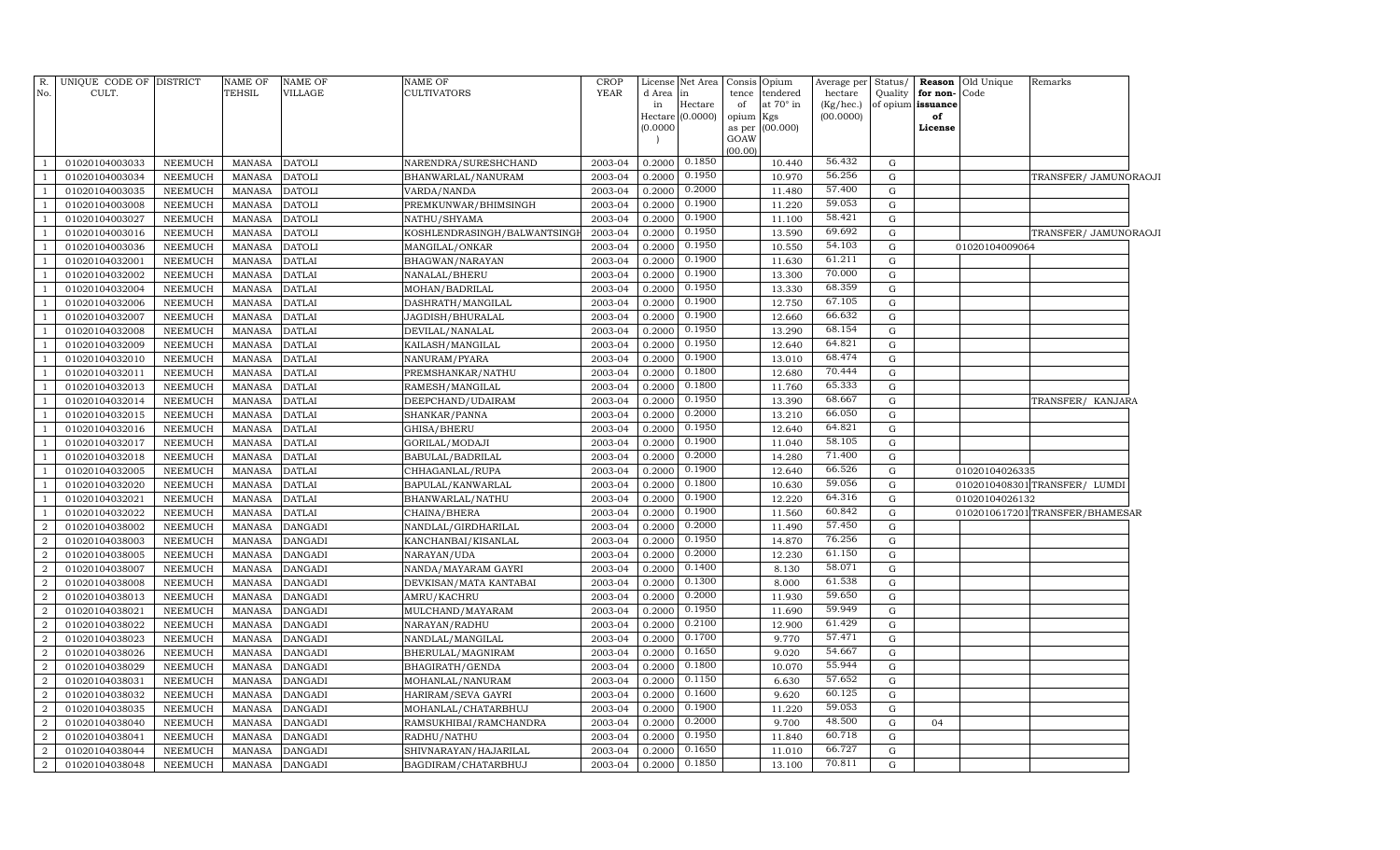| R.             | UNIQUE CODE OF DISTRICT |                | <b>NAME OF</b> | <b>NAME OF</b> | <b>NAME OF</b>              | CROP    | License             | Net Area            | Consis    | Opium           | Average per | Status/     | Reason            | Old Unique     | Remarks                         |  |
|----------------|-------------------------|----------------|----------------|----------------|-----------------------------|---------|---------------------|---------------------|-----------|-----------------|-------------|-------------|-------------------|----------------|---------------------------------|--|
| No.            | CULT.                   |                | TEHSIL         | VILLAGE        | <b>CULTIVATORS</b>          | YEAR    | d Area              | in                  | tence     | tendered        | hectare     | Quality     | for non-          | Code           |                                 |  |
|                |                         |                |                |                |                             |         | in                  | Hectare<br>(0.0000) | of        | at 70° in       | (Kg/hec.)   |             | of opium issuance |                |                                 |  |
|                |                         |                |                |                |                             |         | Hectare<br>(0.0000) |                     | opium Kgs | as per (00.000) | (00.0000)   |             | of<br>License     |                |                                 |  |
|                |                         |                |                |                |                             |         |                     |                     | GOAW      |                 |             |             |                   |                |                                 |  |
|                |                         |                |                |                |                             |         |                     |                     | (00.00)   |                 |             |             |                   |                |                                 |  |
|                | 01020104003033          | NEEMUCH        | <b>MANASA</b>  | <b>DATOLI</b>  | NARENDRA/SURESHCHAND        | 2003-04 | 0.2000              | 0.1850              |           | 10.440          | 56.432      | G           |                   |                |                                 |  |
|                | 01020104003034          | NEEMUCH        | <b>MANASA</b>  | <b>DATOLI</b>  | BHANWARLAL/NANURAM          | 2003-04 | 0.2000              | 0.1950              |           | 10.970          | 56.256      | ${\rm G}$   |                   |                | TRANSFER/JAMUNORAOJI            |  |
|                | 01020104003035          | NEEMUCH        | MANASA         | <b>DATOLI</b>  | VARDA/NANDA                 | 2003-04 | 0.2000              | 0.2000              |           | 11.480          | 57.400      | ${\rm G}$   |                   |                |                                 |  |
|                | 01020104003008          | NEEMUCH        | <b>MANASA</b>  | <b>DATOLI</b>  | PREMKUNWAR/BHIMSINGH        | 2003-04 | 0.2000              | 0.1900              |           | 11.220          | 59.053      | ${\rm G}$   |                   |                |                                 |  |
|                | 01020104003027          | <b>NEEMUCH</b> | <b>MANASA</b>  | <b>DATOLI</b>  | NATHU/SHYAMA                | 2003-04 | 0.2000              | 0.1900              |           | 11.100          | 58.421      | ${\bf G}$   |                   |                |                                 |  |
|                | 01020104003016          | NEEMUCH        | <b>MANASA</b>  | <b>DATOLI</b>  | KOSHLENDRASINGH/BALWANTSING | 2003-04 | 0.2000              | 0.1950              |           | 13.590          | 69.692      | ${\bf G}$   |                   |                | TRANSFER/ JAMUNORAOJI           |  |
|                | 01020104003036          | NEEMUCH        | <b>MANASA</b>  | <b>DATOLI</b>  | MANGILAL/ONKAR              | 2003-04 | 0.2000              | 0.1950              |           | 10.550          | 54.103      | ${\rm G}$   |                   | 01020104009064 |                                 |  |
|                | 01020104032001          | <b>NEEMUCH</b> | MANASA         | <b>DATLAI</b>  | BHAGWAN/NARAYAN             | 2003-04 | 0.2000              | 0.1900              |           | 11.630          | 61.211      | ${\rm G}$   |                   |                |                                 |  |
|                | 01020104032002          | NEEMUCH        | <b>MANASA</b>  | <b>DATLAI</b>  | NANALAL/BHERU               | 2003-04 | 0.2000              | 0.1900              |           | 13.300          | 70.000      | ${\rm G}$   |                   |                |                                 |  |
|                | 01020104032004          | NEEMUCH        | MANASA         | <b>DATLAI</b>  | MOHAN/BADRILAL              | 2003-04 | 0.2000              | 0.1950              |           | 13.330          | 68.359      | ${\rm G}$   |                   |                |                                 |  |
|                | 01020104032006          | <b>NEEMUCH</b> | <b>MANASA</b>  | <b>DATLAI</b>  | DASHRATH/MANGILAL           | 2003-04 | 0.2000              | 0.1900              |           | 12.750          | 67.105      | ${\rm G}$   |                   |                |                                 |  |
|                | 01020104032007          | NEEMUCH        | MANASA         | <b>DATLAI</b>  | JAGDISH/BHURALAL            | 2003-04 | 0.2000              | 0.1900              |           | 12.660          | 66.632      | ${\rm G}$   |                   |                |                                 |  |
|                | 01020104032008          | NEEMUCH        | <b>MANASA</b>  | <b>DATLAI</b>  | DEVILAL/NANALAL             | 2003-04 | 0.2000              | 0.1950              |           | 13.290          | 68.154      | ${\rm G}$   |                   |                |                                 |  |
|                | 01020104032009          | <b>NEEMUCH</b> | <b>MANASA</b>  | <b>DATLAI</b>  | KAILASH/MANGILAL            | 2003-04 | 0.2000              | 0.1950              |           | 12.640          | 64.821      | ${\rm G}$   |                   |                |                                 |  |
|                | 01020104032010          | NEEMUCH        | <b>MANASA</b>  | <b>DATLAI</b>  | NANURAM/PYARA               | 2003-04 | 0.2000              | 0.1900              |           | 13.010          | 68.474      | ${\rm G}$   |                   |                |                                 |  |
|                | 01020104032011          | NEEMUCH        | <b>MANASA</b>  | <b>DATLAI</b>  | PREMSHANKAR/NATHU           | 2003-04 | 0.2000              | 0.1800              |           | 12.680          | 70.444      | ${\rm G}$   |                   |                |                                 |  |
|                | 01020104032013          | NEEMUCH        | <b>MANASA</b>  | <b>DATLAI</b>  | RAMESH/MANGILAL             | 2003-04 | 0.2000              | 0.1800              |           | 11.760          | 65.333      | ${\rm G}$   |                   |                |                                 |  |
|                | 01020104032014          | NEEMUCH        | <b>MANASA</b>  | <b>DATLAI</b>  | DEEPCHAND/UDAIRAM           | 2003-04 | 0.2000              | 0.1950              |           | 13.390          | 68.667      | ${\rm G}$   |                   |                | TRANSFER/ KANJARA               |  |
|                | 01020104032015          | NEEMUCH        | <b>MANASA</b>  | <b>DATLAI</b>  | SHANKAR/PANNA               | 2003-04 | 0.2000              | 0.2000              |           | 13.210          | 66.050      | ${\rm G}$   |                   |                |                                 |  |
|                | 01020104032016          | NEEMUCH        | MANASA         | <b>DATLAI</b>  | GHISA/BHERU                 | 2003-04 | 0.2000              | 0.1950              |           | 12.640          | 64.821      | ${\rm G}$   |                   |                |                                 |  |
|                | 01020104032017          | <b>NEEMUCH</b> | <b>MANASA</b>  | <b>DATLAI</b>  | GORILAL/MODAJI              | 2003-04 | 0.2000              | 0.1900              |           | 11.040          | 58.105      | ${\rm G}$   |                   |                |                                 |  |
|                | 01020104032018          | NEEMUCH        | <b>MANASA</b>  | <b>DATLAI</b>  | BABULAL/BADRILAL            | 2003-04 | 0.2000              | 0.2000              |           | 14.280          | 71.400      | ${\bf G}$   |                   |                |                                 |  |
|                | 01020104032005          | <b>NEEMUCH</b> | <b>MANASA</b>  | <b>DATLAI</b>  | CHHAGANLAL/RUPA             | 2003-04 | 0.2000              | 0.1900              |           | 12.640          | 66.526      | ${\rm G}$   |                   | 01020104026335 |                                 |  |
|                | 01020104032020          | NEEMUCH        | <b>MANASA</b>  | <b>DATLAI</b>  | BAPULAL/KANWARLAL           | 2003-04 | 0.2000              | 0.1800              |           | 10.630          | 59.056      | ${\rm G}$   |                   |                | 0102010408301 TRANSFER/ LUMDI   |  |
|                | 01020104032021          | <b>NEEMUCH</b> | <b>MANASA</b>  | <b>DATLAI</b>  | BHANWARLAL/NATHU            | 2003-04 | 0.2000              | 0.1900              |           | 12.220          | 64.316      | ${\rm G}$   |                   | 01020104026132 |                                 |  |
|                | 01020104032022          | NEEMUCH        | MANASA         | <b>DATLAI</b>  | CHAINA/BHERA                | 2003-04 | 0.2000              | 0.1900              |           | 11.560          | 60.842      | ${\rm G}$   |                   |                | 0102010617201 TRANSFER/BHAMESAR |  |
| $\overline{2}$ | 01020104038002          | <b>NEEMUCH</b> | <b>MANASA</b>  | <b>DANGADI</b> | NANDLAL/GIRDHARILAL         | 2003-04 | 0.2000              | 0.2000              |           | 11.490          | 57.450      | ${\rm G}$   |                   |                |                                 |  |
| $\overline{2}$ | 01020104038003          | NEEMUCH        | <b>MANASA</b>  | <b>DANGADI</b> | KANCHANBAI/KISANLAL         | 2003-04 | 0.2000              | 0.1950              |           | 14.870          | 76.256      | $\mathbf G$ |                   |                |                                 |  |
| $\overline{2}$ | 01020104038005          | <b>NEEMUCH</b> | <b>MANASA</b>  | <b>DANGADI</b> | NARAYAN/UDA                 | 2003-04 | 0.2000              | 0.2000              |           | 12.230          | 61.150      | ${\rm G}$   |                   |                |                                 |  |
| $\overline{2}$ | 01020104038007          | <b>NEEMUCH</b> | <b>MANASA</b>  | <b>DANGADI</b> | NANDA/MAYARAM GAYRI         | 2003-04 | 0.2000              | 0.1400              |           | 8.130           | 58.071      | ${\rm G}$   |                   |                |                                 |  |
| $\overline{2}$ | 01020104038008          | NEEMUCH        | <b>MANASA</b>  | <b>DANGADI</b> | DEVKISAN/MATA KANTABAI      | 2003-04 | 0.2000              | 0.1300              |           | 8.000           | 61.538      | ${\rm G}$   |                   |                |                                 |  |
| $\overline{2}$ | 01020104038013          | NEEMUCH        | <b>MANASA</b>  | <b>DANGADI</b> | AMRU/KACHRU                 | 2003-04 | 0.2000              | 0.2000              |           | 11.930          | 59.650      | ${\rm G}$   |                   |                |                                 |  |
| $\overline{2}$ | 01020104038021          | NEEMUCH        | <b>MANASA</b>  | <b>DANGADI</b> | MULCHAND/MAYARAM            | 2003-04 | 0.2000              | 0.1950              |           | 11.690          | 59.949      | ${\rm G}$   |                   |                |                                 |  |
| $\overline{2}$ | 01020104038022          | NEEMUCH        | <b>MANASA</b>  | <b>DANGADI</b> | NARAYAN/RADHU               | 2003-04 | 0.2000              | 0.2100              |           | 12.900          | 61.429      | ${\rm G}$   |                   |                |                                 |  |
| $\overline{2}$ | 01020104038023          | NEEMUCH        | <b>MANASA</b>  | <b>DANGADI</b> | NANDLAL/MANGILAL            | 2003-04 | 0.2000              | 0.1700              |           | 9.770           | 57.471      | G           |                   |                |                                 |  |
| $\overline{a}$ | 01020104038026          | NEEMUCH        | MANASA         | <b>DANGADI</b> | BHERULAL/MAGNIRAM           | 2003-04 | 0.2000              | 0.1650              |           | 9.020           | 54.667      | ${\rm G}$   |                   |                |                                 |  |
| $\overline{a}$ | 01020104038029          | NEEMUCH        | MANASA         | <b>DANGADI</b> | BHAGIRATH/GENDA             | 2003-04 | 0.2000              | 0.1800              |           | 10.070          | 55.944      | G           |                   |                |                                 |  |
| $\overline{2}$ | 01020104038031          | NEEMUCH        | MANASA         | <b>DANGADI</b> | MOHANLAL/NANURAM            | 2003-04 | 0.2000              | 0.1150              |           | 6.630           | 57.652      | ${\rm G}$   |                   |                |                                 |  |
| $\overline{2}$ | 01020104038032          | <b>NEEMUCH</b> | <b>MANASA</b>  | <b>DANGADI</b> | HARIRAM/SEVA GAYRI          | 2003-04 | 0.2000              | 0.1600              |           | 9.620           | 60.125      | ${\rm G}$   |                   |                |                                 |  |
| $\overline{2}$ | 01020104038035          | NEEMUCH        | <b>MANASA</b>  | <b>DANGADI</b> | MOHANLAL/CHATARBHUJ         | 2003-04 | 0.2000              | 0.1900              |           | 11.220          | 59.053      | ${\rm G}$   |                   |                |                                 |  |
| $\overline{2}$ | 01020104038040          | NEEMUCH        | <b>MANASA</b>  | <b>DANGADI</b> | RAMSUKHIBAI/RAMCHANDRA      | 2003-04 | 0.2000              | 0.2000              |           | 9.700           | 48.500      | ${\rm G}$   | 04                |                |                                 |  |
| $\overline{2}$ | 01020104038041          | NEEMUCH        | <b>MANASA</b>  | <b>DANGADI</b> | RADHU/NATHU                 | 2003-04 | 0.2000              | 0.1950              |           | 11.840          | 60.718      | ${\rm G}$   |                   |                |                                 |  |
| $\overline{2}$ | 01020104038044          | <b>NEEMUCH</b> | <b>MANASA</b>  | <b>DANGADI</b> | SHIVNARAYAN/HAJARILAL       | 2003-04 | 0.2000              | 0.1650              |           | 11.010          | 66.727      | ${\rm G}$   |                   |                |                                 |  |
| $\overline{a}$ | 01020104038048          | NEEMUCH        | <b>MANASA</b>  | <b>DANGADI</b> | BAGDIRAM/CHATARBHUJ         | 2003-04 | 0.2000              | 0.1850              |           | 13.100          | 70.811      | G           |                   |                |                                 |  |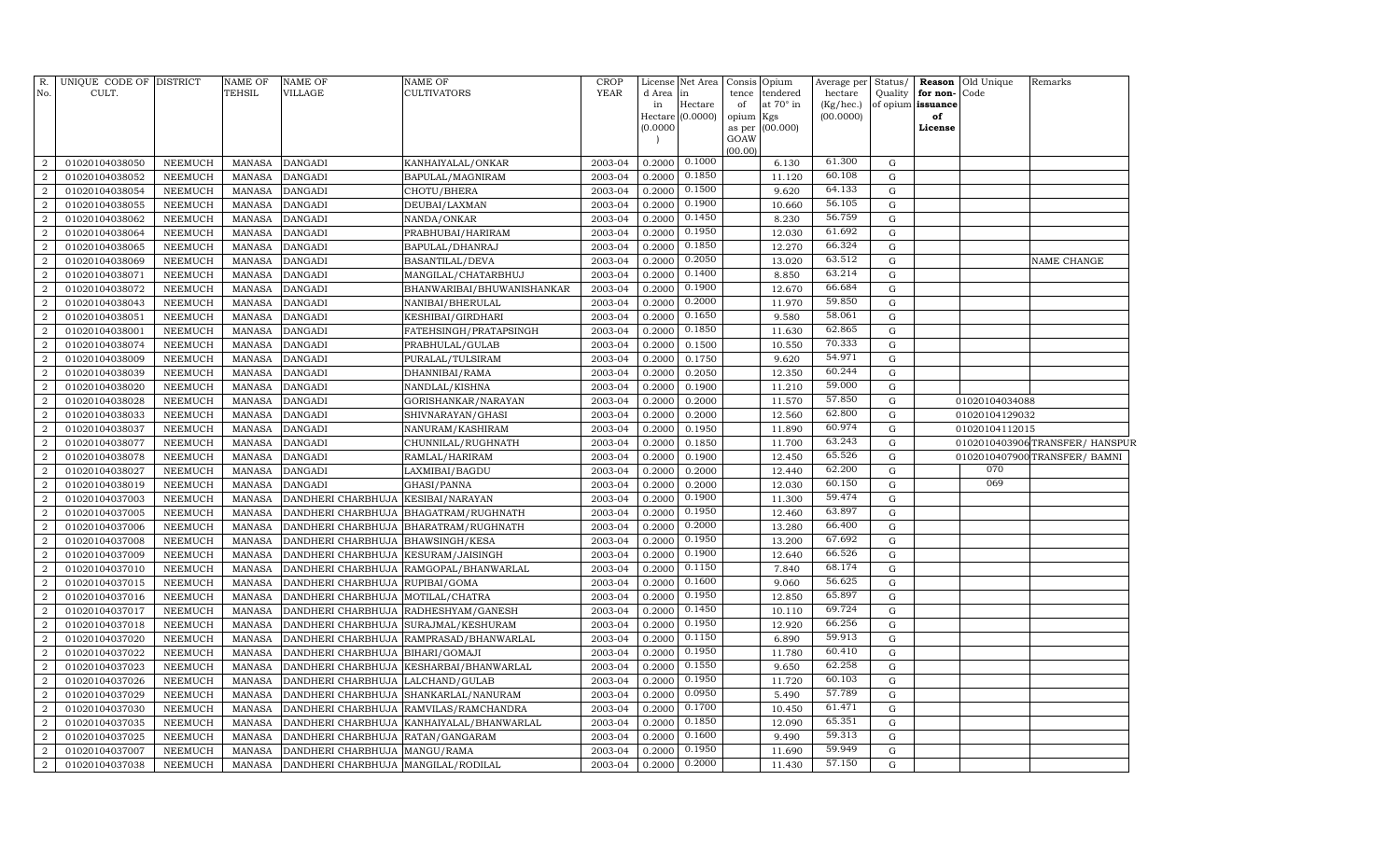| R.<br>No.                          | UNIQUE CODE OF DISTRICT<br>CULT. |                           | <b>NAME OF</b><br>TEHSIL       | <b>NAME OF</b><br>VILLAGE                  | <b>NAME OF</b><br><b>CULTIVATORS</b>                       | <b>CROP</b><br><b>YEAR</b> | d Area in<br>in  | License Net Area<br>Hectare<br>Hectare (0.0000) | Consis<br>tence<br>of<br>opium Kgs | Opium<br>tendered<br>at 70° in | Average per Status/<br>hectare<br>(Kg/hec.)<br>(00.0000) |                  | Quality for non-Code<br>of opium issuance<br>of | <b>Reason</b> Old Unique | Remarks                         |
|------------------------------------|----------------------------------|---------------------------|--------------------------------|--------------------------------------------|------------------------------------------------------------|----------------------------|------------------|-------------------------------------------------|------------------------------------|--------------------------------|----------------------------------------------------------|------------------|-------------------------------------------------|--------------------------|---------------------------------|
|                                    |                                  |                           |                                |                                            |                                                            |                            | (0.0000)         |                                                 | as per<br>GOAW<br>(00.00)          | (00.000)                       |                                                          |                  | License                                         |                          |                                 |
| $\overline{2}$                     | 01020104038050                   | NEEMUCH                   | MANASA                         | <b>DANGADI</b>                             | KANHAIYALAL/ONKAR                                          | 2003-04                    | 0.2000           | 0.1000                                          |                                    | 6.130                          | 61.300                                                   | G                |                                                 |                          |                                 |
| $\overline{a}$                     | 01020104038052                   | NEEMUCH                   | MANASA                         | <b>DANGADI</b>                             | BAPULAL/MAGNIRAM                                           | 2003-04                    | 0.2000           | 0.1850                                          |                                    | 11.120                         | 60.108                                                   | G                |                                                 |                          |                                 |
| $\overline{2}$                     | 01020104038054                   | NEEMUCH                   | MANASA                         | <b>DANGADI</b>                             | CHOTU/BHERA                                                | 2003-04                    | 0.2000           | 0.1500                                          |                                    | 9.620                          | 64.133                                                   | G                |                                                 |                          |                                 |
| $\overline{2}$                     | 01020104038055                   | <b>NEEMUCH</b>            | <b>MANASA</b>                  | <b>DANGADI</b>                             | DEUBAI/LAXMAN                                              | 2003-04                    | 0.2000           | 0.1900                                          |                                    | 10.660                         | 56.105                                                   | $\mathbf G$      |                                                 |                          |                                 |
| $\overline{2}$                     | 01020104038062                   | <b>NEEMUCH</b>            | <b>MANASA</b>                  | <b>DANGADI</b>                             | NANDA/ONKAR                                                | 2003-04                    | 0.2000           | 0.1450                                          |                                    | 8.230                          | 56.759                                                   | G                |                                                 |                          |                                 |
| $\boldsymbol{2}$                   | 01020104038064                   | <b>NEEMUCH</b>            | <b>MANASA</b>                  | <b>DANGADI</b>                             | PRABHUBAI/HARIRAM                                          | 2003-04                    | 0.2000           | 0.1950                                          |                                    | 12.030                         | 61.692                                                   | $\mathbf G$      |                                                 |                          |                                 |
| $\overline{2}$                     | 01020104038065                   | NEEMUCH                   | <b>MANASA</b>                  | <b>DANGADI</b>                             | BAPULAL/DHANRAJ                                            | 2003-04                    | 0.2000           | 0.1850                                          |                                    | 12.270                         | 66.324                                                   | G                |                                                 |                          |                                 |
| $\overline{a}$                     | 01020104038069                   | NEEMUCH                   | <b>MANASA</b>                  | <b>DANGADI</b>                             | BASANTILAL/DEVA                                            | 2003-04                    | 0.2000           | 0.2050                                          |                                    | 13.020                         | 63.512                                                   | G                |                                                 |                          | NAME CHANGE                     |
| $\boldsymbol{2}$                   | 01020104038071                   | NEEMUCH                   | <b>MANASA</b>                  | <b>DANGADI</b>                             | MANGILAL/CHATARBHUJ                                        | 2003-04                    | 0.2000           | 0.1400                                          |                                    | 8.850                          | 63.214                                                   | G                |                                                 |                          |                                 |
| $\boldsymbol{2}$                   | 01020104038072                   | NEEMUCH                   | <b>MANASA</b>                  | <b>DANGADI</b>                             | BHANWARIBAI/BHUWANISHANKAR                                 | 2003-04                    | 0.2000           | 0.1900                                          |                                    | 12.670                         | 66.684                                                   | G                |                                                 |                          |                                 |
| $\overline{2}$                     | 01020104038043                   | <b>NEEMUCH</b>            | <b>MANASA</b>                  | <b>DANGADI</b>                             | NANIBAI/BHERULAL                                           | 2003-04                    | 0.2000           | 0.2000                                          |                                    | 11.970                         | 59.850                                                   | G                |                                                 |                          |                                 |
| $\overline{2}$                     | 01020104038051                   | <b>NEEMUCH</b>            | <b>MANASA</b>                  | <b>DANGADI</b>                             | KESHIBAI/GIRDHARI                                          | 2003-04                    | 0.2000           | 0.1650                                          |                                    | 9.580                          | 58.061                                                   | $\mathbf G$      |                                                 |                          |                                 |
| $\overline{2}$                     | 01020104038001                   | <b>NEEMUCH</b>            | <b>MANASA</b>                  | <b>DANGADI</b>                             | FATEHSINGH/PRATAPSINGH                                     | 2003-04                    | 0.2000           | 0.1850                                          |                                    | 11.630                         | 62.865                                                   | $\mathbf G$      |                                                 |                          |                                 |
| $\overline{2}$                     | 01020104038074                   | NEEMUCH                   | <b>MANASA</b>                  | <b>DANGADI</b>                             | PRABHULAL/GULAB                                            | 2003-04                    | 0.2000           | 0.1500                                          |                                    | 10.550                         | 70.333                                                   | G                |                                                 |                          |                                 |
| $\overline{2}$                     | 01020104038009                   | NEEMUCH                   | <b>MANASA</b>                  | <b>DANGADI</b>                             | PURALAL/TULSIRAM                                           | 2003-04                    | 0.2000           | 0.1750                                          |                                    | 9.620                          | 54.971                                                   | G                |                                                 |                          |                                 |
| $\overline{2}$                     | 01020104038039                   | <b>NEEMUCH</b>            | <b>MANASA</b>                  | <b>DANGADI</b>                             | DHANNIBAI/RAMA                                             | 2003-04                    | 0.2000           | 0.2050                                          |                                    | 12.350                         | 60.244                                                   | G                |                                                 |                          |                                 |
| $\overline{a}$                     | 01020104038020                   | NEEMUCH                   | <b>MANASA</b>                  | <b>DANGADI</b>                             | NANDLAL/KISHNA                                             | 2003-04                    | 0.2000           | 0.1900                                          |                                    | 11.210                         | 59.000                                                   | G                |                                                 |                          |                                 |
| $\overline{2}$                     | 01020104038028                   | NEEMUCH                   | MANASA                         | <b>DANGADI</b>                             | GORISHANKAR/NARAYAN                                        | 2003-04                    | 0.2000           | 0.2000                                          |                                    | 11.570                         | 57.850                                                   | G                |                                                 | 01020104034088           |                                 |
| $\overline{a}$                     | 01020104038033                   | <b>NEEMUCH</b>            | <b>MANASA</b>                  | <b>DANGADI</b>                             | SHIVNARAYAN/GHASI                                          | 2003-04                    | 0.2000           | 0.2000                                          |                                    | 12.560                         | 62.800                                                   | G                |                                                 | 01020104129032           |                                 |
| $\overline{2}$                     | 01020104038037                   | <b>NEEMUCH</b>            | <b>MANASA</b>                  | <b>DANGADI</b>                             | NANURAM/KASHIRAM                                           | 2003-04                    | 0.2000           | 0.1950                                          |                                    | 11.890                         | 60.974                                                   | $\mathbf G$      |                                                 | 01020104112015           |                                 |
| $\overline{2}$                     | 01020104038077                   | NEEMUCH                   | <b>MANASA</b>                  | <b>DANGADI</b>                             | CHUNNILAL/RUGHNATH                                         | 2003-04                    | 0.2000           | 0.1850                                          |                                    | 11.700                         | 63.243                                                   | $\mathbf G$      |                                                 |                          | 0102010403906 TRANSFER/ HANSPUR |
| $\overline{2}$                     | 01020104038078                   | NEEMUCH                   | <b>MANASA</b>                  | <b>DANGADI</b>                             | RAMLAL/HARIRAM                                             | 2003-04                    | 0.2000           | 0.1900                                          |                                    | 12.450                         | 65.526                                                   | G                |                                                 |                          | 0102010407900 TRANSFER/ BAMNI   |
| $\overline{2}$                     | 01020104038027                   | <b>NEEMUCH</b>            | <b>MANASA</b>                  | <b>DANGADI</b>                             | LAXMIBAI/BAGDU                                             | 2003-04                    | 0.2000           | 0.2000                                          |                                    | 12.440                         | 62.200                                                   | G                |                                                 | 070<br>069               |                                 |
| $\overline{a}$                     | 01020104038019                   | <b>NEEMUCH</b>            | <b>MANASA</b>                  | <b>DANGADI</b>                             | GHASI/PANNA                                                | 2003-04                    | 0.2000           | 0.2000                                          |                                    | 12.030                         | 60.150<br>59.474                                         | G                |                                                 |                          |                                 |
| $\overline{2}$                     | 01020104037003                   | NEEMUCH                   | <b>MANASA</b>                  | DANDHERI CHARBHUJA                         | KESIBAI/NARAYAN                                            | 2003-04                    | 0.2000           | 0.1900<br>0.1950                                |                                    | 11.300                         | 63.897                                                   | G                |                                                 |                          |                                 |
| $\overline{2}$                     | 01020104037005                   | NEEMUCH                   | <b>MANASA</b>                  | DANDHERI CHARBHUJA                         | BHAGATRAM/RUGHNATH                                         | 2003-04                    | 0.2000           | 0.2000                                          |                                    | 12.460                         | 66.400                                                   | G                |                                                 |                          |                                 |
| $\overline{2}$                     | 01020104037006                   | <b>NEEMUCH</b>            | <b>MANASA</b>                  | DANDHERI CHARBHUJA                         | BHARATRAM/RUGHNATH                                         | 2003-04                    | 0.2000           | 0.1950                                          |                                    | 13.280                         | 67.692                                                   | G<br>$\mathbf G$ |                                                 |                          |                                 |
| $\overline{a}$                     | 01020104037008                   | <b>NEEMUCH</b>            | <b>MANASA</b>                  | DANDHERI CHARBHUJA                         | <b>BHAWSINGH/KESA</b>                                      | 2003-04                    | 0.2000           | 0.1900                                          |                                    | 13.200                         | 66.526                                                   |                  |                                                 |                          |                                 |
| $\boldsymbol{2}$<br>$\overline{2}$ | 01020104037009<br>01020104037010 | <b>NEEMUCH</b><br>NEEMUCH | <b>MANASA</b><br><b>MANASA</b> | DANDHERI CHARBHUJA                         | KESURAM/JAISINGH<br>DANDHERI CHARBHUJA RAMGOPAL/BHANWARLAL | 2003-04<br>2003-04         | 0.2000<br>0.2000 | 0.1150                                          |                                    | 12.640<br>7.840                | 68.174                                                   | G<br>G           |                                                 |                          |                                 |
| $\overline{2}$                     | 01020104037015                   | <b>NEEMUCH</b>            | <b>MANASA</b>                  | DANDHERI CHARBHUJA                         | RUPIBAI/GOMA                                               | 2003-04                    | 0.2000           | 0.1600                                          |                                    | 9.060                          | 56.625                                                   | G                |                                                 |                          |                                 |
| $\overline{2}$                     | 01020104037016                   | NEEMUCH                   | <b>MANASA</b>                  | DANDHERI CHARBHUJA MOTILAL/CHATRA          |                                                            | 2003-04                    | 0.2000           | 0.1950                                          |                                    | 12.850                         | 65.897                                                   | G                |                                                 |                          |                                 |
| $\overline{2}$                     | 01020104037017                   | NEEMUCH                   | <b>MANASA</b>                  | DANDHERI CHARBHUJA                         | RADHESHYAM/GANESH                                          | 2003-04                    | 0.2000           | 0.1450                                          |                                    | 10.110                         | 69.724                                                   | G                |                                                 |                          |                                 |
| $\overline{2}$                     | 01020104037018                   | <b>NEEMUCH</b>            | <b>MANASA</b>                  | DANDHERI CHARBHUJA SURAJMAL/KESHURAM       |                                                            | 2003-04                    | 0.2000           | 0.1950                                          |                                    | 12.920                         | 66.256                                                   | $\mathbf G$      |                                                 |                          |                                 |
| $\overline{2}$                     | 01020104037020                   | <b>NEEMUCH</b>            | <b>MANASA</b>                  | DANDHERI CHARBHUJA                         | RAMPRASAD/BHANWARLAL                                       | 2003-04                    | 0.2000           | 0.1150                                          |                                    | 6.890                          | 59.913                                                   | G                |                                                 |                          |                                 |
| $\boldsymbol{2}$                   | 01020104037022                   | <b>NEEMUCH</b>            | <b>MANASA</b>                  | DANDHERI CHARBHUJA                         | BIHARI/GOMAJI                                              | 2003-04                    | 0.2000           | 0.1950                                          |                                    | 11.780                         | 60.410                                                   | $\mathbf G$      |                                                 |                          |                                 |
| $\boldsymbol{2}$                   | 01020104037023                   | <b>NEEMUCH</b>            | <b>MANASA</b>                  | DANDHERI CHARBHUJA                         | KESHARBAI/BHANWARLAL                                       | 2003-04                    | 0.2000           | 0.1550                                          |                                    | 9.650                          | 62.258                                                   | $\mathbf G$      |                                                 |                          |                                 |
| $\overline{2}$                     | 01020104037026                   | <b>NEEMUCH</b>            | <b>MANASA</b>                  | DANDHERI CHARBHUJA                         | LALCHAND/GULAB                                             | 2003-04                    | 0.2000           | 0.1950                                          |                                    | 11.720                         | 60.103                                                   | $\mathbf G$      |                                                 |                          |                                 |
| $\overline{2}$                     | 01020104037029                   | NEEMUCH                   | <b>MANASA</b>                  |                                            | DANDHERI CHARBHUJA SHANKARLAL/NANURAM                      | 2003-04                    | 0.2000           | 0.0950                                          |                                    | 5.490                          | 57.789                                                   | G                |                                                 |                          |                                 |
| $\overline{2}$                     | 01020104037030                   | <b>NEEMUCH</b>            | <b>MANASA</b>                  |                                            | DANDHERI CHARBHUJA RAMVILAS/RAMCHANDRA                     | 2003-04                    | 0.2000           | 0.1700                                          |                                    | 10.450                         | 61.471                                                   | G                |                                                 |                          |                                 |
| $\overline{a}$                     | 01020104037035                   | <b>NEEMUCH</b>            | <b>MANASA</b>                  | DANDHERI CHARBHUJA                         | KANHAIYALAL/BHANWARLAL                                     | 2003-04                    | 0.2000           | 0.1850                                          |                                    | 12.090                         | 65.351                                                   | ${\rm G}$        |                                                 |                          |                                 |
| $\overline{2}$                     | 01020104037025                   | <b>NEEMUCH</b>            | <b>MANASA</b>                  | DANDHERI CHARBHUJA RATAN/GANGARAM          |                                                            | 2003-04                    | 0.2000           | 0.1600                                          |                                    | 9.490                          | 59.313                                                   | $\mathbf G$      |                                                 |                          |                                 |
| $\boldsymbol{2}$                   | 01020104037007                   | <b>NEEMUCH</b>            | MANASA                         | DANDHERI CHARBHUJA MANGU/RAMA              |                                                            | 2003-04                    | 0.2000           | 0.1950                                          |                                    | 11.690                         | 59.949                                                   | ${\rm G}$        |                                                 |                          |                                 |
| $\overline{a}$                     | 01020104037038                   | <b>NEEMUCH</b>            |                                | MANASA DANDHERI CHARBHUJA MANGILAL/RODILAL |                                                            | 2003-04                    | 0.2000           | 0.2000                                          |                                    | 11.430                         | 57.150                                                   | $\mathbf{G}$     |                                                 |                          |                                 |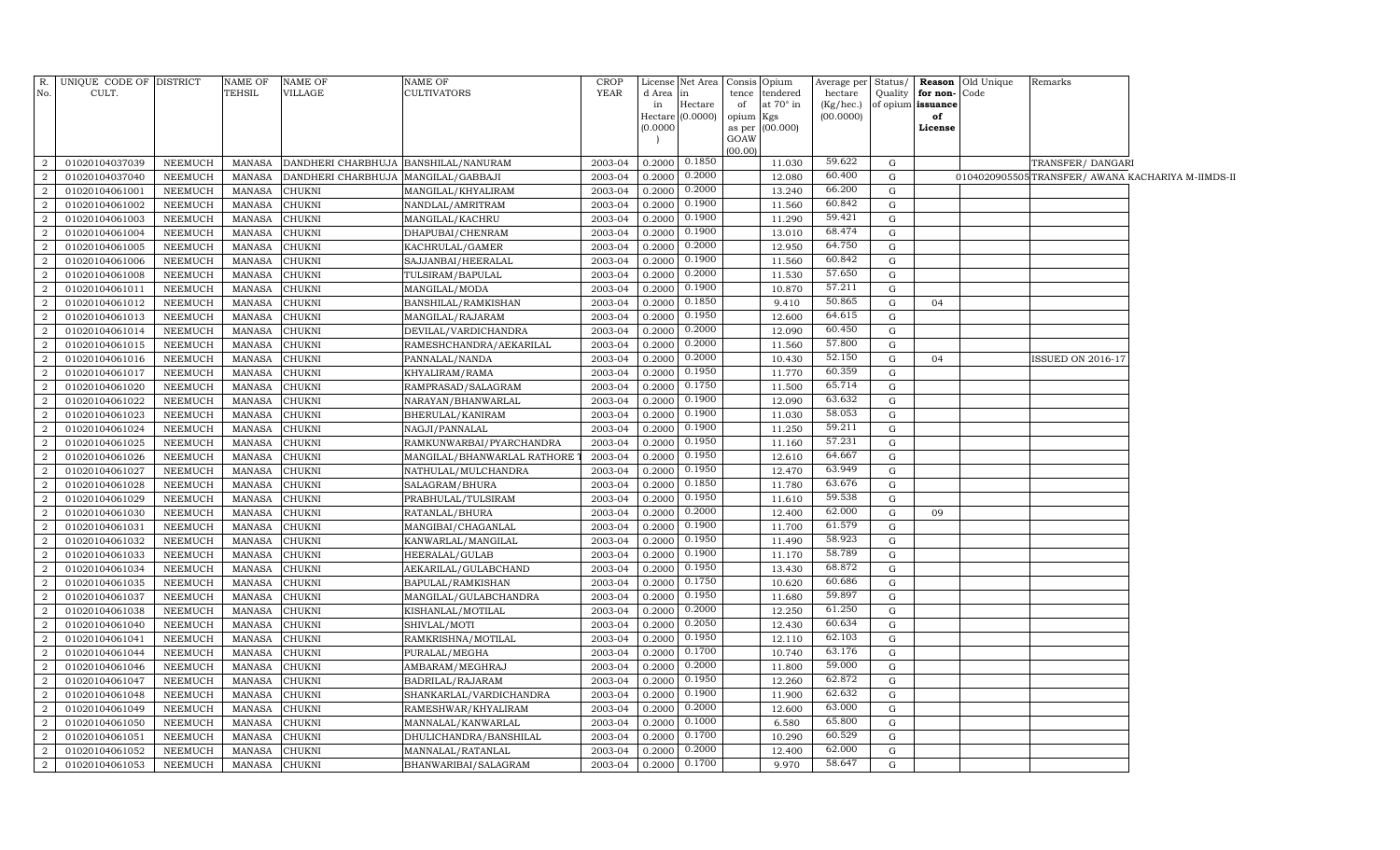| R.             | UNIQUE CODE OF DISTRICT |                | NAME OF       | NAME OF                              | <b>NAME OF</b>              | CROP        | License  | Net Area         | Consis Opium                 |                  | Average per Status/ |                   |               | <b>Reason</b> Old Unique | Remarks                  |                                                   |
|----------------|-------------------------|----------------|---------------|--------------------------------------|-----------------------------|-------------|----------|------------------|------------------------------|------------------|---------------------|-------------------|---------------|--------------------------|--------------------------|---------------------------------------------------|
| No.            | CULT.                   |                | TEHSIL        | VILLAGE                              | <b>CULTIVATORS</b>          | <b>YEAR</b> | d Area   | in               | tence tendered               |                  | hectare             | Quality           | for non-Code  |                          |                          |                                                   |
|                |                         |                |               |                                      |                             |             | in       | Hectare          | of                           | at $70^\circ$ in | $(Kg/$ hec. $)$     | of opium issuance |               |                          |                          |                                                   |
|                |                         |                |               |                                      |                             |             | (0.0000) | Hectare (0.0000) | opium Kgs<br>as per (00.000) |                  | (00.0000)           |                   | of<br>License |                          |                          |                                                   |
|                |                         |                |               |                                      |                             |             |          |                  | GOAW                         |                  |                     |                   |               |                          |                          |                                                   |
|                |                         |                |               |                                      |                             |             |          |                  | (00.00)                      |                  |                     |                   |               |                          |                          |                                                   |
| 2              | 01020104037039          | NEEMUCH        | MANASA        | DANDHERI CHARBHUJA BANSHILAL/NANURAM |                             | 2003-04     | 0.2000   | 0.1850           |                              | 11.030           | 59.622              | G                 |               |                          | TRANSFER/ DANGARI        |                                                   |
| 2              | 01020104037040          | <b>NEEMUCH</b> | <b>MANASA</b> | DANDHERI CHARBHUJA MANGILAL/GABBAJI  |                             | 2003-04     | 0.2000   | 0.2000           |                              | 12.080           | 60.400              | G                 |               |                          |                          | 0104020905505TRANSFER/ AWANA KACHARIYA M-IIMDS-II |
| 2              | 01020104061001          | NEEMUCH        | <b>MANASA</b> | <b>CHUKNI</b>                        | MANGILAL/KHYALIRAM          | 2003-04     | 0.2000   | 0.2000           |                              | 13.240           | 66.200              | G                 |               |                          |                          |                                                   |
| $\overline{2}$ | 01020104061002          | NEEMUCH        | MANASA        | <b>CHUKNI</b>                        | NANDLAL/AMRITRAM            | 2003-04     | 0.2000   | 0.1900           |                              | 11.560           | 60.842              | G                 |               |                          |                          |                                                   |
| <sup>2</sup>   | 01020104061003          | <b>NEEMUCH</b> | <b>MANASA</b> | CHUKNI                               | MANGILAL/KACHRU             | 2003-04     | 0.2000   | 0.1900           |                              | 11.290           | 59.421              | G                 |               |                          |                          |                                                   |
| $\overline{2}$ | 01020104061004          | NEEMUCH        | <b>MANASA</b> | CHUKNI                               | DHAPUBAI/CHENRAM            | 2003-04     | 0.2000   | 0.1900           |                              | 13.010           | 68.474              | G                 |               |                          |                          |                                                   |
| 2              | 01020104061005          | <b>NEEMUCH</b> | <b>MANASA</b> | CHUKNI                               | KACHRULAL/GAMER             | 2003-04     | 0.2000   | 0.2000           |                              | 12.950           | 64.750              | G                 |               |                          |                          |                                                   |
| 2              | 01020104061006          | NEEMUCH        | <b>MANASA</b> | CHUKNI                               | SAJJANBAI/HEERALAL          | 2003-04     | 0.2000   | 0.1900           |                              | 11.560           | 60.842              | G                 |               |                          |                          |                                                   |
| 2              | 01020104061008          | NEEMUCH        | <b>MANASA</b> | CHUKNI                               | TULSIRAM/BAPULAL            | 2003-04     | 0.2000   | 0.2000           |                              | 11.530           | 57.650              | G                 |               |                          |                          |                                                   |
| $\overline{2}$ | 01020104061011          | NEEMUCH        | <b>MANASA</b> | CHUKNI                               | MANGILAL/MODA               | 2003-04     | 0.2000   | 0.1900           |                              | 10.870           | 57.211              | G                 |               |                          |                          |                                                   |
| 2              | 01020104061012          | NEEMUCH        | <b>MANASA</b> | CHUKNI                               | BANSHILAL/RAMKISHAN         | 2003-04     | 0.2000   | 0.1850           |                              | 9.410            | 50.865              | G                 | 04            |                          |                          |                                                   |
| 2              | 01020104061013          | NEEMUCH        | <b>MANASA</b> | CHUKNI                               | MANGILAL/RAJARAM            | 2003-04     | 0.2000   | 0.1950           |                              | 12.600           | 64.615              | G                 |               |                          |                          |                                                   |
| 2              | 01020104061014          | NEEMUCH        | <b>MANASA</b> | CHUKNI                               | DEVILAL/VARDICHANDRA        | 2003-04     | 0.2000   | 0.2000           |                              | 12.090           | 60.450              | G                 |               |                          |                          |                                                   |
| 2              | 01020104061015          | NEEMUCH        | <b>MANASA</b> | CHUKNI                               | RAMESHCHANDRA/AEKARILAL     | 2003-04     | 0.2000   | 0.2000           |                              | 11.560           | 57.800              | G                 |               |                          |                          |                                                   |
| 2              | 01020104061016          | NEEMUCH        | <b>MANASA</b> | CHUKNI                               | PANNALAL/NANDA              | 2003-04     | 0.2000   | 0.2000           |                              | 10.430           | 52.150              | G                 | 04            |                          | <b>ISSUED ON 2016-17</b> |                                                   |
| 2              | 01020104061017          | NEEMUCH        | <b>MANASA</b> | CHUKNI                               | KHYALIRAM/RAMA              | 2003-04     | 0.2000   | 0.1950           |                              | 11.770           | 60.359              | G                 |               |                          |                          |                                                   |
| 2              | 01020104061020          | <b>NEEMUCH</b> | <b>MANASA</b> | CHUKNI                               | RAMPRASAD/SALAGRAM          | 2003-04     | 0.2000   | 0.1750           |                              | 11.500           | 65.714              | $\mathbf G$       |               |                          |                          |                                                   |
| 2              | 01020104061022          | NEEMUCH        | <b>MANASA</b> | CHUKNI                               | NARAYAN/BHANWARLAL          | 2003-04     | 0.2000   | 0.1900           |                              | 12.090           | 63.632              | G                 |               |                          |                          |                                                   |
| <sup>2</sup>   | 01020104061023          | <b>NEEMUCH</b> | <b>MANASA</b> | CHUKNI                               | BHERULAL/KANIRAM            | 2003-04     | 0.2000   | 0.1900           |                              | 11.030           | 58.053              | G                 |               |                          |                          |                                                   |
| 2              | 01020104061024          | NEEMUCH        | <b>MANASA</b> | CHUKNI                               | NAGJI/PANNALAL              | 2003-04     | 0.2000   | 0.1900           |                              | 11.250           | 59.211              | $\mathbf G$       |               |                          |                          |                                                   |
| 2              | 01020104061025          | NEEMUCH        | <b>MANASA</b> | CHUKNI                               | RAMKUNWARBAI/PYARCHANDRA    | 2003-04     | 0.2000   | 0.1950           |                              | 11.160           | 57.231              | G                 |               |                          |                          |                                                   |
| 2              | 01020104061026          | NEEMUCH        | <b>MANASA</b> | CHUKNI                               | MANGILAL/BHANWARLAL RATHORE | 2003-04     | 0.2000   | 0.1950           |                              | 12.610           | 64.667              | G                 |               |                          |                          |                                                   |
| 2              | 01020104061027          | <b>NEEMUCH</b> | <b>MANASA</b> | CHUKNI                               | NATHULAL/MULCHANDRA         | 2003-04     | 0.2000   | 0.1950           |                              | 12.470           | 63.949              | G                 |               |                          |                          |                                                   |
| $\overline{a}$ | 01020104061028          | NEEMUCH        | <b>MANASA</b> | CHUKNI                               | SALAGRAM/BHURA              | 2003-04     | 0.2000   | 0.1850           |                              | 11.780           | 63.676              | G                 |               |                          |                          |                                                   |
| 2              | 01020104061029          | NEEMUCH        | <b>MANASA</b> | CHUKNI                               | PRABHULAL/TULSIRAM          | 2003-04     | 0.2000   | 0.1950           |                              | 11.610           | 59.538              | G                 |               |                          |                          |                                                   |
| $\overline{2}$ | 01020104061030          | <b>NEEMUCH</b> | <b>MANASA</b> | CHUKNI                               | RATANLAL/BHURA              | 2003-04     | 0.2000   | 0.2000           |                              | 12.400           | 62.000              | G                 | 09            |                          |                          |                                                   |
| $\overline{2}$ | 01020104061031          | <b>NEEMUCH</b> | <b>MANASA</b> | CHUKNI                               | MANGIBAI/CHAGANLAL          | 2003-04     | 0.2000   | 0.1900           |                              | 11.700           | 61.579              | G                 |               |                          |                          |                                                   |
| 2              | 01020104061032          | <b>NEEMUCH</b> | <b>MANASA</b> | CHUKNI                               | KANWARLAL/MANGILAL          | 2003-04     | 0.2000   | 0.1950           |                              | 11.490           | 58.923              | G                 |               |                          |                          |                                                   |
| $\overline{2}$ | 01020104061033          | <b>NEEMUCH</b> | <b>MANASA</b> | CHUKNI                               | HEERALAL/GULAB              | 2003-04     | 0.2000   | 0.1900           |                              | 11.170           | 58.789              | G                 |               |                          |                          |                                                   |
| $\overline{2}$ | 01020104061034          | <b>NEEMUCH</b> | <b>MANASA</b> | CHUKNI                               | AEKARILAL/GULABCHAND        | 2003-04     | 0.2000   | 0.1950           |                              | 13.430           | 68.872              | G                 |               |                          |                          |                                                   |
| 2              | 01020104061035          | <b>NEEMUCH</b> | <b>MANASA</b> | CHUKNI                               | BAPULAL/RAMKISHAN           | 2003-04     | 0.2000   | 0.1750           |                              | 10.620           | 60.686              | G                 |               |                          |                          |                                                   |
| $\overline{2}$ | 01020104061037          | <b>NEEMUCH</b> | <b>MANASA</b> | CHUKNI                               | MANGILAL/GULABCHANDRA       | 2003-04     | 0.2000   | 0.1950           |                              | 11.680           | 59.897              | $\mathbf G$       |               |                          |                          |                                                   |
| 2              | 01020104061038          | <b>NEEMUCH</b> | <b>MANASA</b> | CHUKNI                               | KISHANLAL/MOTILAL           | 2003-04     | 0.2000   | 0.2000           |                              | 12.250           | 61.250              | G                 |               |                          |                          |                                                   |
| 2              | 01020104061040          | <b>NEEMUCH</b> | <b>MANASA</b> | CHUKNI                               | SHIVLAL/MOTI                | 2003-04     | 0.2000   | 0.2050           |                              | 12.430           | 60.634              | G                 |               |                          |                          |                                                   |
| $\overline{2}$ | 01020104061041          | <b>NEEMUCH</b> | <b>MANASA</b> | CHUKNI                               | RAMKRISHNA/MOTILAL          | 2003-04     | 0.2000   | 0.1950           |                              | 12.110           | 62.103              | G                 |               |                          |                          |                                                   |
| 2              | 01020104061044          | <b>NEEMUCH</b> | <b>MANASA</b> | CHUKNI                               | PURALAL/MEGHA               | 2003-04     | 0.2000   | 0.1700           |                              | 10.740           | 63.176              | G                 |               |                          |                          |                                                   |
| 2              | 01020104061046          | <b>NEEMUCH</b> | <b>MANASA</b> | CHUKNI                               | AMBARAM/MEGHRAJ             | 2003-04     | 0.2000   | 0.2000           |                              | 11.800           | 59.000              | G                 |               |                          |                          |                                                   |
| $\overline{2}$ | 01020104061047          | <b>NEEMUCH</b> | <b>MANASA</b> | CHUKNI                               | BADRILAL/RAJARAM            | 2003-04     | 0.2000   | 0.1950           |                              | 12.260           | 62.872              | G                 |               |                          |                          |                                                   |
| 2              | 01020104061048          | <b>NEEMUCH</b> | <b>MANASA</b> | CHUKNI                               | SHANKARLAL/VARDICHANDRA     | 2003-04     | 0.2000   | 0.1900           |                              | 11.900           | 62.632              | $\mathbf G$       |               |                          |                          |                                                   |
| $\overline{2}$ | 01020104061049          | <b>NEEMUCH</b> | <b>MANASA</b> | CHUKNI                               | RAMESHWAR/KHYALIRAM         | 2003-04     | 0.2000   | 0.2000           |                              | 12.600           | 63.000              | G                 |               |                          |                          |                                                   |
| <sup>2</sup>   | 01020104061050          | <b>NEEMUCH</b> | <b>MANASA</b> | CHUKNI                               | MANNALAL/KANWARLAL          | 2003-04     | 0.2000   | 0.1000           |                              | 6.580            | 65.800              | $\mathbf G$       |               |                          |                          |                                                   |
| 2              | 01020104061051          | <b>NEEMUCH</b> | <b>MANASA</b> | CHUKNI                               | DHULICHANDRA/BANSHILAL      | 2003-04     | 0.2000   | 0.1700           |                              | 10.290           | 60.529              | G                 |               |                          |                          |                                                   |
| 2              | 01020104061052          | NEEMUCH        | <b>MANASA</b> | CHUKNI                               | MANNALAL/RATANLAL           | 2003-04     | 0.2000   | 0.2000           |                              | 12.400           | 62.000              | G                 |               |                          |                          |                                                   |
| 2              | 01020104061053          | NEEMUCH        | MANASA        | <b>CHUKNI</b>                        | BHANWARIBAI/SALAGRAM        | 2003-04     | 0.2000   | 0.1700           |                              | 9.970            | 58.647              | $\mathbf G$       |               |                          |                          |                                                   |
|                |                         |                |               |                                      |                             |             |          |                  |                              |                  |                     |                   |               |                          |                          |                                                   |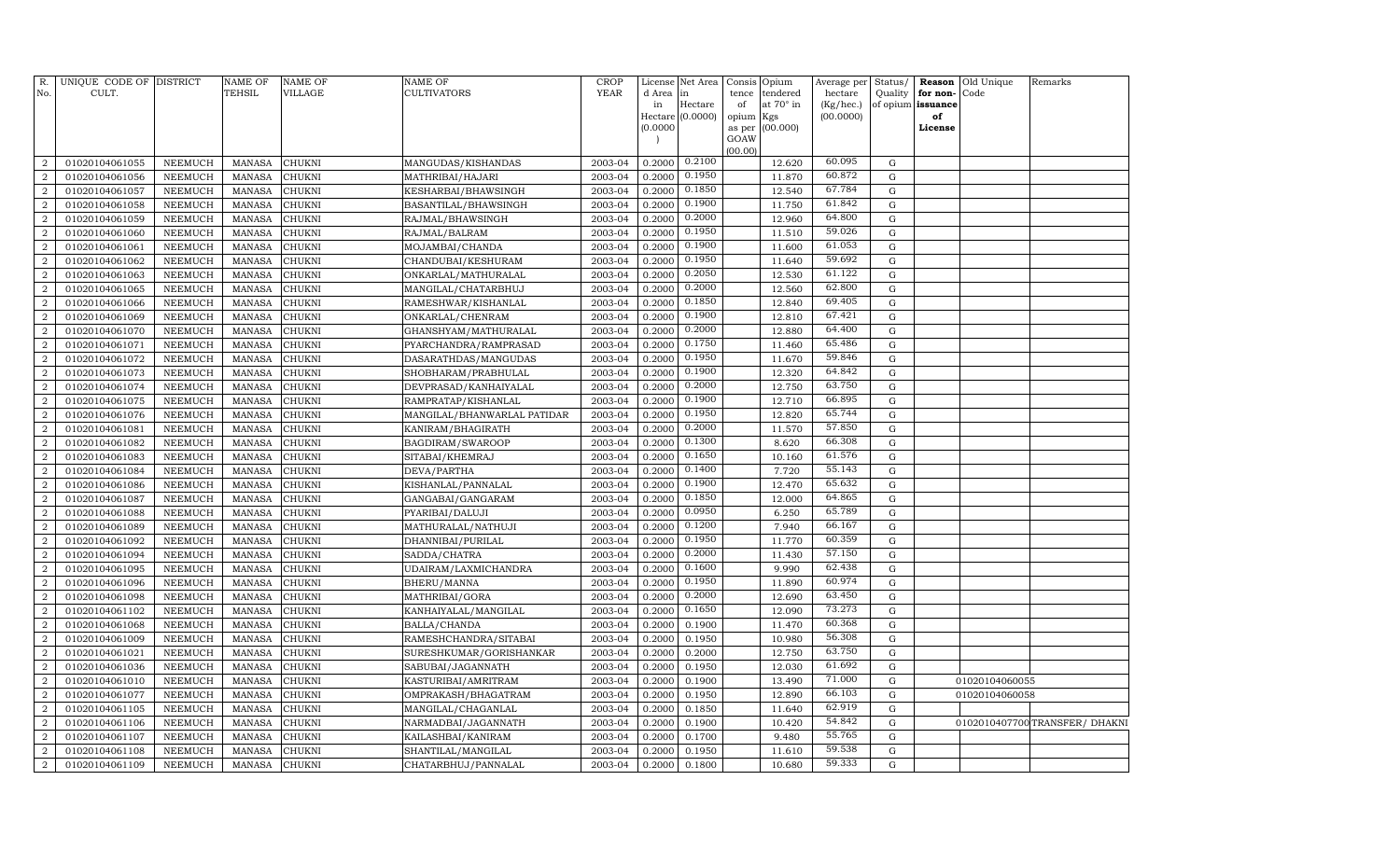| R.<br>No.        | UNIQUE CODE OF DISTRICT<br>CULT. |                | <b>NAME OF</b><br>TEHSIL | <b>NAME OF</b><br><b>VILLAGE</b> | NAME OF<br>CULTIVATORS      | <b>CROP</b><br><b>YEAR</b> | d Area   | License Net Area<br>lin | Consis<br>tence | Opium<br>tendered | Average per<br>hectare | Status/<br>Quality | for non-          | <b>Reason</b> Old Unique<br>Code | Remarks                         |
|------------------|----------------------------------|----------------|--------------------------|----------------------------------|-----------------------------|----------------------------|----------|-------------------------|-----------------|-------------------|------------------------|--------------------|-------------------|----------------------------------|---------------------------------|
|                  |                                  |                |                          |                                  |                             |                            | in       | Hectare                 | of              | at 70° in         | (Kg/hec.)              |                    | of opium issuance |                                  |                                 |
|                  |                                  |                |                          |                                  |                             |                            |          | Hectare (0.0000)        | opium           | Kgs               | (00.0000)              |                    | of                |                                  |                                 |
|                  |                                  |                |                          |                                  |                             |                            | (0.0000) |                         | as per<br>GOAW  | (00.000)          |                        |                    | License           |                                  |                                 |
|                  |                                  |                |                          |                                  |                             |                            |          |                         | (00.00)         |                   |                        |                    |                   |                                  |                                 |
| $\overline{2}$   | 01020104061055                   | <b>NEEMUCH</b> | <b>MANASA</b>            | <b>CHUKNI</b>                    | MANGUDAS/KISHANDAS          | 2003-04                    | 0.2000   | 0.2100                  |                 | 12.620            | 60.095                 | $\mathbf G$        |                   |                                  |                                 |
| $\overline{2}$   | 01020104061056                   | NEEMUCH        | <b>MANASA</b>            | CHUKNI                           | MATHRIBAI/HAJARI            | 2003-04                    | 0.2000   | 0.1950                  |                 | 11.870            | 60.872                 | $\mathbf G$        |                   |                                  |                                 |
| $\overline{2}$   | 01020104061057                   | NEEMUCH        | <b>MANASA</b>            | <b>CHUKNI</b>                    | KESHARBAI/BHAWSINGH         | 2003-04                    | 0.2000   | 0.1850                  |                 | 12.540            | 67.784                 | G                  |                   |                                  |                                 |
| $\boldsymbol{2}$ | 01020104061058                   | NEEMUCH        | <b>MANASA</b>            | <b>CHUKNI</b>                    | BASANTILAL/BHAWSINGH        | 2003-04                    | 0.2000   | 0.1900                  |                 | 11.750            | 61.842                 | G                  |                   |                                  |                                 |
| $\overline{2}$   | 01020104061059                   | <b>NEEMUCH</b> | <b>MANASA</b>            | CHUKNI                           | RAJMAL/BHAWSINGH            | 2003-04                    | 0.2000   | 0.2000                  |                 | 12.960            | 64.800                 | ${\rm G}$          |                   |                                  |                                 |
| $\boldsymbol{2}$ | 01020104061060                   | NEEMUCH        | <b>MANASA</b>            | CHUKNI                           | RAJMAL/BALRAM               | 2003-04                    | 0.2000   | 0.1950                  |                 | 11.510            | 59.026                 | G                  |                   |                                  |                                 |
| 2                | 01020104061061                   | <b>NEEMUCH</b> | <b>MANASA</b>            | CHUKNI                           | MOJAMBAI/CHANDA             | 2003-04                    | 0.2000   | 0.1900                  |                 | 11.600            | 61.053                 | ${\rm G}$          |                   |                                  |                                 |
| $\boldsymbol{2}$ | 01020104061062                   | NEEMUCH        | <b>MANASA</b>            | CHUKNI                           | CHANDUBAI/KESHURAM          | 2003-04                    | 0.2000   | 0.1950                  |                 | 11.640            | 59.692                 | G                  |                   |                                  |                                 |
| 2                | 01020104061063                   | NEEMUCH        | <b>MANASA</b>            | CHUKNI                           | ONKARLAL/MATHURALAL         | 2003-04                    | 0.2000   | 0.2050                  |                 | 12.530            | 61.122                 | $\mathbf G$        |                   |                                  |                                 |
| $\boldsymbol{2}$ | 01020104061065                   | NEEMUCH        | <b>MANASA</b>            | CHUKNI                           | MANGILAL/CHATARBHUJ         | 2003-04                    | 0.2000   | 0.2000                  |                 | 12.560            | 62.800                 | G                  |                   |                                  |                                 |
| $\overline{2}$   | 01020104061066                   | <b>NEEMUCH</b> | <b>MANASA</b>            | CHUKNI                           | RAMESHWAR/KISHANLAL         | 2003-04                    | 0.2000   | 0.1850                  |                 | 12.840            | 69.405                 | ${\rm G}$          |                   |                                  |                                 |
| $\boldsymbol{2}$ | 01020104061069                   | <b>NEEMUCH</b> | <b>MANASA</b>            | CHUKNI                           | ONKARLAL/CHENRAM            | 2003-04                    | 0.2000   | 0.1900                  |                 | 12.810            | 67.421                 | $\mathbf G$        |                   |                                  |                                 |
| $\overline{2}$   | 01020104061070                   | <b>NEEMUCH</b> | <b>MANASA</b>            | CHUKNI                           | GHANSHYAM/MATHURALAL        | 2003-04                    | 0.2000   | 0.2000                  |                 | 12.880            | 64.400                 | ${\rm G}$          |                   |                                  |                                 |
| $\overline{2}$   | 01020104061071                   | <b>NEEMUCH</b> | <b>MANASA</b>            | <b>CHUKNI</b>                    | PYARCHANDRA/RAMPRASAD       | 2003-04                    | 0.2000   | 0.1750                  |                 | 11.460            | 65.486                 | $\mathbf G$        |                   |                                  |                                 |
| $\overline{2}$   | 01020104061072                   | <b>NEEMUCH</b> | <b>MANASA</b>            | CHUKNI                           | DASARATHDAS/MANGUDAS        | 2003-04                    | 0.2000   | 0.1950                  |                 | 11.670            | 59.846                 | $\mathbf G$        |                   |                                  |                                 |
| $\boldsymbol{2}$ | 01020104061073                   | NEEMUCH        | <b>MANASA</b>            | <b>CHUKNI</b>                    | SHOBHARAM/PRABHULAL         | 2003-04                    | 0.2000   | 0.1900                  |                 | 12.320            | 64.842                 | ${\rm G}$          |                   |                                  |                                 |
| $\overline{2}$   | 01020104061074                   | <b>NEEMUCH</b> | <b>MANASA</b>            | CHUKNI                           | DEVPRASAD/KANHAIYALAL       | 2003-04                    | 0.2000   | 0.2000                  |                 | 12.750            | 63.750                 | ${\rm G}$          |                   |                                  |                                 |
| $\boldsymbol{2}$ | 01020104061075                   | <b>NEEMUCH</b> | <b>MANASA</b>            | CHUKNI                           | RAMPRATAP/KISHANLAL         | 2003-04                    | 0.2000   | 0.1900                  |                 | 12.710            | 66.895                 | ${\rm G}$          |                   |                                  |                                 |
| $\overline{2}$   | 01020104061076                   | NEEMUCH        | <b>MANASA</b>            | CHUKNI                           | MANGILAL/BHANWARLAL PATIDAR | 2003-04                    | 0.2000   | 0.1950                  |                 | 12.820            | 65.744                 | ${\rm G}$          |                   |                                  |                                 |
| $\boldsymbol{2}$ | 01020104061081                   | <b>NEEMUCH</b> | <b>MANASA</b>            | CHUKNI                           | KANIRAM/BHAGIRATH           | 2003-04                    | 0.2000   | 0.2000                  |                 | 11.570            | 57.850                 | ${\rm G}$          |                   |                                  |                                 |
| $\overline{2}$   | 01020104061082                   | NEEMUCH        | <b>MANASA</b>            | CHUKNI                           | BAGDIRAM/SWAROOP            | 2003-04                    | 0.2000   | 0.1300                  |                 | 8.620             | 66.308                 | ${\rm G}$          |                   |                                  |                                 |
| $\overline{2}$   | 01020104061083                   | NEEMUCH        | <b>MANASA</b>            | CHUKNI                           | SITABAI/KHEMRAJ             | 2003-04                    | 0.2000   | 0.1650                  |                 | 10.160            | 61.576                 | $\mathbf G$        |                   |                                  |                                 |
| $\overline{2}$   | 01020104061084                   | <b>NEEMUCH</b> | <b>MANASA</b>            | CHUKNI                           | DEVA/PARTHA                 | 2003-04                    | 0.2000   | 0.1400                  |                 | 7.720             | 55.143                 | ${\rm G}$          |                   |                                  |                                 |
| $\overline{2}$   | 01020104061086                   | NEEMUCH        | <b>MANASA</b>            | CHUKNI                           | KISHANLAL/PANNALAL          | 2003-04                    | 0.2000   | 0.1900                  |                 | 12.470            | 65.632                 | $\mathbf G$        |                   |                                  |                                 |
| $\overline{2}$   | 01020104061087                   | <b>NEEMUCH</b> | <b>MANASA</b>            | CHUKNI                           | GANGABAI/GANGARAM           | 2003-04                    | 0.2000   | 0.1850                  |                 | 12.000            | 64.865                 | $\mathbf G$        |                   |                                  |                                 |
| $\boldsymbol{2}$ | 01020104061088                   | <b>NEEMUCH</b> | <b>MANASA</b>            | CHUKNI                           | PYARIBAI/DALUJI             | 2003-04                    | 0.2000   | 0.0950                  |                 | 6.250             | 65.789                 | $\mathbf G$        |                   |                                  |                                 |
| $\overline{2}$   | 01020104061089                   | <b>NEEMUCH</b> | <b>MANASA</b>            | CHUKNI                           | MATHURALAL/NATHUJI          | 2003-04                    | 0.2000   | 0.1200                  |                 | 7.940             | 66.167                 | $\mathbf G$        |                   |                                  |                                 |
| $\boldsymbol{2}$ | 01020104061092                   | <b>NEEMUCH</b> | <b>MANASA</b>            | CHUKNI                           | DHANNIBAI/PURILAL           | 2003-04                    | 0.2000   | 0.1950                  |                 | 11.770            | 60.359                 | $\mathbf G$        |                   |                                  |                                 |
| $\overline{2}$   | 01020104061094                   | <b>NEEMUCH</b> | <b>MANASA</b>            | CHUKNI                           | SADDA/CHATRA                | 2003-04                    | 0.2000   | 0.2000                  |                 | 11.430            | 57.150                 | $\mathbf G$        |                   |                                  |                                 |
| $\overline{2}$   | 01020104061095                   | <b>NEEMUCH</b> | <b>MANASA</b>            | CHUKNI                           | UDAIRAM/LAXMICHANDRA        | 2003-04                    | 0.2000   | 0.1600                  |                 | 9.990             | 62.438                 | ${\rm G}$          |                   |                                  |                                 |
| $\overline{2}$   | 01020104061096                   | NEEMUCH        | <b>MANASA</b>            | CHUKNI                           | BHERU/MANNA                 | 2003-04                    | 0.2000   | 0.1950                  |                 | 11.890            | 60.974                 | ${\rm G}$          |                   |                                  |                                 |
| $\overline{2}$   | 01020104061098                   | NEEMUCH        | <b>MANASA</b>            | CHUKNI                           | MATHRIBAI/GORA              | 2003-04                    | 0.2000   | 0.2000                  |                 | 12.690            | 63.450                 | $\mathbf G$        |                   |                                  |                                 |
| $\overline{2}$   | 01020104061102                   | NEEMUCH        | <b>MANASA</b>            | CHUKNI                           | KANHAIYALAL/MANGILAL        | 2003-04                    | 0.2000   | 0.1650                  |                 | 12.090            | 73.273                 | ${\rm G}$          |                   |                                  |                                 |
| $\overline{2}$   | 01020104061068                   | NEEMUCH        | <b>MANASA</b>            | CHUKNI                           | BALLA/CHANDA                | 2003-04                    | 0.2000   | 0.1900                  |                 | 11.470            | 60.368                 | ${\rm G}$          |                   |                                  |                                 |
| $\overline{2}$   | 01020104061009                   | NEEMUCH        | <b>MANASA</b>            | CHUKNI                           | RAMESHCHANDRA/SITABAI       | 2003-04                    | 0.2000   | 0.1950                  |                 | 10.980            | 56.308                 | $\mathbf G$        |                   |                                  |                                 |
| $\overline{2}$   | 01020104061021                   | <b>NEEMUCH</b> | <b>MANASA</b>            | CHUKNI                           | SURESHKUMAR/GORISHANKAR     | 2003-04                    | 0.2000   | 0.2000                  |                 | 12.750            | 63.750                 | $\mathbf G$        |                   |                                  |                                 |
| $\overline{2}$   | 01020104061036                   | <b>NEEMUCH</b> | <b>MANASA</b>            | CHUKNI                           | SABUBAI/JAGANNATH           | 2003-04                    | 0.2000   | 0.1950                  |                 | 12.030            | 61.692                 | ${\rm G}$          |                   |                                  |                                 |
| $\boldsymbol{2}$ | 01020104061010                   | <b>NEEMUCH</b> | <b>MANASA</b>            | CHUKNI                           | KASTURIBAI/AMRITRAM         | 2003-04                    | 0.2000   | 0.1900                  |                 | 13.490            | 71.000                 | $\mathbf G$        |                   | 01020104060055                   |                                 |
| $\overline{2}$   | 01020104061077                   | NEEMUCH        | <b>MANASA</b>            | CHUKNI                           | OMPRAKASH/BHAGATRAM         | 2003-04                    | 0.2000   | 0.1950                  |                 | 12.890            | 66.103                 | $\mathbf G$        |                   | 01020104060058                   |                                 |
| $\overline{2}$   | 01020104061105                   | <b>NEEMUCH</b> | <b>MANASA</b>            | CHUKNI                           | MANGILAL/CHAGANLAL          | 2003-04                    | 0.2000   | 0.1850                  |                 | 11.640            | 62.919                 | $\mathbf G$        |                   |                                  |                                 |
| $\overline{2}$   | 01020104061106                   | NEEMUCH        | <b>MANASA</b>            | CHUKNI                           | NARMADBAI/JAGANNATH         | 2003-04                    | 0.2000   | 0.1900                  |                 | 10.420            | 54.842                 | ${\rm G}$          |                   |                                  | 0102010407700 TRANSFER / DHAKNI |
| $\overline{a}$   | 01020104061107                   | NEEMUCH        | <b>MANASA</b>            | CHUKNI                           | KAILASHBAI/KANIRAM          | 2003-04                    | 0.2000   | 0.1700                  |                 | 9.480             | 55.765                 | $\mathbf G$        |                   |                                  |                                 |
| $\boldsymbol{2}$ | 01020104061108                   | NEEMUCH        | <b>MANASA</b>            | CHUKNI                           | SHANTILAL/MANGILAL          | 2003-04                    | 0.2000   | 0.1950                  |                 | 11.610            | 59.538                 | $\mathbf G$        |                   |                                  |                                 |
| $\sqrt{2}$       | 01020104061109                   | NEEMUCH        | MANASA                   | <b>CHUKNI</b>                    | CHATARBHUJ/PANNALAL         | 2003-04                    | 0.2000   | 0.1800                  |                 | 10.680            | 59.333                 | G                  |                   |                                  |                                 |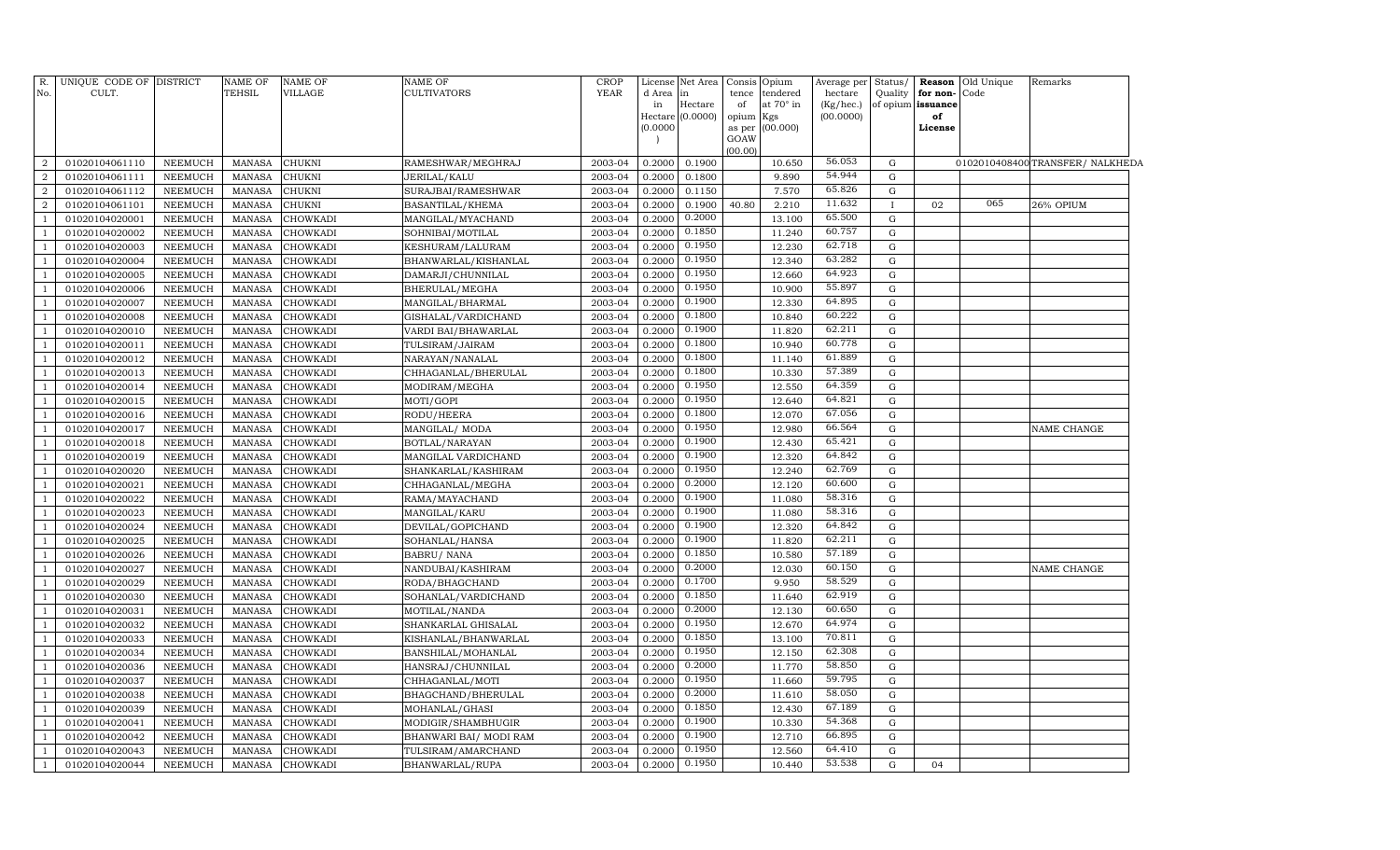|                | R. UNIQUE CODE OF DISTRICT |                | NAME OF       | <b>NAME OF</b>  | <b>NAME OF</b>         | <b>CROP</b> |              | License Net Area | Consis Opium    |                             |                      |              |                                           | Average per Status/ Reason Old Unique | Remarks                          |  |
|----------------|----------------------------|----------------|---------------|-----------------|------------------------|-------------|--------------|------------------|-----------------|-----------------------------|----------------------|--------------|-------------------------------------------|---------------------------------------|----------------------------------|--|
| No.            | CULT.                      |                | TEHSIL        | VILLAGE         | <b>CULTIVATORS</b>     | YEAR        | d Area<br>in | Hectare          | of              | tence tendered<br>at 70° in | hectare<br>(Kg/hec.) |              | Quality for non-Code<br>of opium issuance |                                       |                                  |  |
|                |                            |                |               |                 |                        |             |              | Hectare (0.0000) | opium Kgs       |                             | (00.0000)            |              | of                                        |                                       |                                  |  |
|                |                            |                |               |                 |                        |             | (0.0000)     |                  |                 | as per (00.000)             |                      |              | License                                   |                                       |                                  |  |
|                |                            |                |               |                 |                        |             |              |                  | GOAW<br>(00.00) |                             |                      |              |                                           |                                       |                                  |  |
| $\overline{2}$ | 01020104061110             | <b>NEEMUCH</b> | <b>MANASA</b> | <b>CHUKNI</b>   | RAMESHWAR/MEGHRAJ      | 2003-04     | 0.2000       | 0.1900           |                 | 10.650                      | 56.053               | G            |                                           |                                       | 0102010408400 TRANSFER/ NALKHEDA |  |
| $\overline{2}$ | 01020104061111             | <b>NEEMUCH</b> | <b>MANASA</b> | <b>CHUKNI</b>   | <b>JERILAL/KALU</b>    | 2003-04     | 0.2000       | 0.1800           |                 | 9.890                       | 54.944               | $\mathbf G$  |                                           |                                       |                                  |  |
| 2              | 01020104061112             | <b>NEEMUCH</b> | <b>MANASA</b> | CHUKNI          | SURAJBAI/RAMESHWAR     | 2003-04     | 0.2000       | 0.1150           |                 | 7.570                       | 65.826               | G            |                                           |                                       |                                  |  |
| 2              | 01020104061101             | <b>NEEMUCH</b> | <b>MANASA</b> | <b>CHUKNI</b>   | BASANTILAL/KHEMA       | 2003-04     | 0.2000       | 0.1900           | 40.80           | 2.210                       | 11.632               | $\mathbf{I}$ | 02                                        | 065                                   | 26% OPIUM                        |  |
| $\overline{1}$ | 01020104020001             | NEEMUCH        | <b>MANASA</b> | CHOWKADI        | MANGILAL/MYACHAND      | 2003-04     | 0.2000       | 0.2000           |                 | 13.100                      | 65.500               | $\mathbf G$  |                                           |                                       |                                  |  |
| <sup>1</sup>   | 01020104020002             | <b>NEEMUCH</b> | <b>MANASA</b> | <b>CHOWKADI</b> | SOHNIBAI/MOTILAL       | 2003-04     | 0.2000       | 0.1850           |                 | 11.240                      | 60.757               | $\mathbf G$  |                                           |                                       |                                  |  |
| <sup>1</sup>   | 01020104020003             | <b>NEEMUCH</b> | <b>MANASA</b> | CHOWKADI        | KESHURAM/LALURAM       | 2003-04     | 0.2000       | 0.1950           |                 | 12.230                      | 62.718               | $\mathbf G$  |                                           |                                       |                                  |  |
| - 1            | 01020104020004             | <b>NEEMUCH</b> | MANASA        | <b>CHOWKADI</b> | BHANWARLAL/KISHANLAL   | 2003-04     | 0.2000       | 0.1950           |                 | 12.340                      | 63.282               | G            |                                           |                                       |                                  |  |
| $\overline{1}$ | 01020104020005             | NEEMUCH        | <b>MANASA</b> | <b>CHOWKADI</b> | DAMARJI/CHUNNILAL      | 2003-04     | 0.2000       | 0.1950           |                 | 12.660                      | 64.923               | G            |                                           |                                       |                                  |  |
| <sup>1</sup>   | 01020104020006             | <b>NEEMUCH</b> | <b>MANASA</b> | <b>CHOWKADI</b> | BHERULAL/MEGHA         | 2003-04     | 0.2000       | 0.1950           |                 | 10.900                      | 55.897               | $\mathbf G$  |                                           |                                       |                                  |  |
| <sup>1</sup>   | 01020104020007             | NEEMUCH        | MANASA        | <b>CHOWKADI</b> | MANGILAL/BHARMAL       | 2003-04     | 0.2000       | 0.1900           |                 | 12.330                      | 64.895               | G            |                                           |                                       |                                  |  |
| <sup>1</sup>   | 01020104020008             | <b>NEEMUCH</b> | <b>MANASA</b> | <b>CHOWKADI</b> | GISHALAL/VARDICHAND    | 2003-04     | 0.2000       | 0.1800           |                 | 10.840                      | 60.222               | G            |                                           |                                       |                                  |  |
| $\overline{1}$ | 01020104020010             | <b>NEEMUCH</b> | <b>MANASA</b> | <b>CHOWKADI</b> | VARDI BAI/BHAWARLAL    | 2003-04     | 0.2000       | 0.1900           |                 | 11.820                      | 62.211               | G            |                                           |                                       |                                  |  |
| $\overline{1}$ | 01020104020011             | NEEMUCH        | <b>MANASA</b> | CHOWKADI        | TULSIRAM/JAIRAM        | 2003-04     | 0.2000       | 0.1800           |                 | 10.940                      | 60.778               | ${\rm G}$    |                                           |                                       |                                  |  |
| $\overline{1}$ | 01020104020012             | <b>NEEMUCH</b> | <b>MANASA</b> | CHOWKADI        | NARAYAN/NANALAL        | 2003-04     | 0.2000       | 0.1800           |                 | 11.140                      | 61.889               | $\mathbf G$  |                                           |                                       |                                  |  |
| $\overline{1}$ | 01020104020013             | <b>NEEMUCH</b> | <b>MANASA</b> | <b>CHOWKADI</b> | CHHAGANLAL/BHERULAL    | 2003-04     | 0.2000       | 0.1800           |                 | 10.330                      | 57.389               | $\mathbf G$  |                                           |                                       |                                  |  |
| $\overline{1}$ | 01020104020014             | <b>NEEMUCH</b> | <b>MANASA</b> | CHOWKADI        | MODIRAM/MEGHA          | 2003-04     | 0.200        | 0.1950           |                 | 12.550                      | 64.359               | G            |                                           |                                       |                                  |  |
| $\overline{1}$ | 01020104020015             | <b>NEEMUCH</b> | <b>MANASA</b> | <b>CHOWKADI</b> | MOTI/GOPI              | 2003-04     | 0.2000       | 0.1950           |                 | 12.640                      | 64.821               | $\mathbf G$  |                                           |                                       |                                  |  |
| $\overline{1}$ | 01020104020016             | <b>NEEMUCH</b> | <b>MANASA</b> | <b>CHOWKADI</b> | RODU/HEERA             | 2003-04     | 0.2000       | 0.1800           |                 | 12.070                      | 67.056               | $\mathbf G$  |                                           |                                       |                                  |  |
| $\overline{1}$ | 01020104020017             | <b>NEEMUCH</b> | <b>MANASA</b> | CHOWKADI        | MANGILAL/ MODA         | 2003-04     | 0.2000       | 0.1950           |                 | 12.980                      | 66.564               | G            |                                           |                                       | NAME CHANGE                      |  |
| <sup>1</sup>   | 01020104020018             | <b>NEEMUCH</b> | <b>MANASA</b> | CHOWKADI        | BOTLAL/NARAYAN         | 2003-04     | 0.2000       | 0.1900           |                 | 12.430                      | 65.421               | G            |                                           |                                       |                                  |  |
| $\overline{1}$ | 01020104020019             | NEEMUCH        | <b>MANASA</b> | CHOWKADI        | MANGILAL VARDICHAND    | 2003-04     | 0.2000       | 0.1900           |                 | 12.320                      | 64.842               | G            |                                           |                                       |                                  |  |
| $\overline{1}$ | 01020104020020             | <b>NEEMUCH</b> | <b>MANASA</b> | CHOWKADI        | SHANKARLAL/KASHIRAM    | 2003-04     | 0.2000       | 0.1950           |                 | 12.240                      | 62.769               | $\mathbf G$  |                                           |                                       |                                  |  |
| <sup>1</sup>   | 01020104020021             | <b>NEEMUCH</b> | <b>MANASA</b> | CHOWKADI        | CHHAGANLAL/MEGHA       | 2003-04     | 0.2000       | 0.2000           |                 | 12.120                      | 60.600               | $\mathbf G$  |                                           |                                       |                                  |  |
| -1             | 01020104020022             | <b>NEEMUCH</b> | MANASA        | <b>CHOWKADI</b> | RAMA/MAYACHAND         | 2003-04     | 0.2000       | 0.1900           |                 | 11.080                      | 58.316               | G            |                                           |                                       |                                  |  |
| $\overline{1}$ | 01020104020023             | NEEMUCH        | MANASA        | <b>CHOWKADI</b> | MANGILAL/KARU          | 2003-04     | 0.2000       | 0.1900           |                 | 11.080                      | 58.316               | G            |                                           |                                       |                                  |  |
| <sup>1</sup>   | 01020104020024             | <b>NEEMUCH</b> | MANASA        | <b>CHOWKADI</b> | DEVILAL/GOPICHAND      | 2003-04     | 0.2000       | 0.1900           |                 | 12.320                      | 64.842               | $\mathbf G$  |                                           |                                       |                                  |  |
| <sup>1</sup>   | 01020104020025             | NEEMUCH        | MANASA        | <b>CHOWKADI</b> | SOHANLAL/HANSA         | 2003-04     | 0.2000       | 0.1900           |                 | 11.820                      | 62.211               | G            |                                           |                                       |                                  |  |
| $\overline{1}$ | 01020104020026             | <b>NEEMUCH</b> | <b>MANASA</b> | <b>CHOWKADI</b> | <b>BABRU/ NANA</b>     | 2003-04     | 0.2000       | 0.1850           |                 | 10.580                      | 57.189               | G            |                                           |                                       |                                  |  |
| $\overline{1}$ | 01020104020027             | <b>NEEMUCH</b> | <b>MANASA</b> | <b>CHOWKADI</b> | NANDUBAI/KASHIRAM      | 2003-04     | 0.2000       | 0.2000           |                 | 12.030                      | 60.150               | $\mathbf G$  |                                           |                                       | NAME CHANGE                      |  |
| $\overline{1}$ | 01020104020029             | NEEMUCH        | <b>MANASA</b> | CHOWKADI        | RODA/BHAGCHAND         | 2003-04     | 0.2000       | 0.1700           |                 | 9.950                       | 58.529               | ${\rm G}$    |                                           |                                       |                                  |  |
| $\overline{1}$ | 01020104020030             | <b>NEEMUCH</b> | <b>MANASA</b> | CHOWKADI        | SOHANLAL/VARDICHAND    | 2003-04     | 0.2000       | 0.1850           |                 | 11.640                      | 62.919               | G            |                                           |                                       |                                  |  |
| $\overline{1}$ | 01020104020031             | <b>NEEMUCH</b> | <b>MANASA</b> | <b>CHOWKADI</b> | MOTILAL/NANDA          | 2003-04     | 0.2000       | 0.2000           |                 | 12.130                      | 60.650               | G            |                                           |                                       |                                  |  |
| $\overline{1}$ | 01020104020032             | <b>NEEMUCH</b> | <b>MANASA</b> | CHOWKADI        | SHANKARLAL GHISALAL    | 2003-04     | 0.2000       | 0.1950           |                 | 12.670                      | 64.974               | G            |                                           |                                       |                                  |  |
| $\overline{1}$ | 01020104020033             | <b>NEEMUCH</b> | <b>MANASA</b> | CHOWKADI        | KISHANLAL/BHANWARLAL   | 2003-04     | 0.2000       | 0.1850           |                 | 13.100                      | 70.811               | G            |                                           |                                       |                                  |  |
| $\overline{1}$ | 01020104020034             | <b>NEEMUCH</b> | <b>MANASA</b> | <b>CHOWKADI</b> | BANSHILAL/MOHANLAL     | 2003-04     | 0.2000       | 0.1950           |                 | 12.150                      | 62.308               | G            |                                           |                                       |                                  |  |
| $\overline{1}$ | 01020104020036             | <b>NEEMUCH</b> | <b>MANASA</b> | CHOWKADI        | HANSRAJ/CHUNNILAL      | 2003-04     | 0.2000       | 0.2000           |                 | 11.770                      | 58.850               | G            |                                           |                                       |                                  |  |
| $\overline{1}$ | 01020104020037             | <b>NEEMUCH</b> | <b>MANASA</b> | <b>CHOWKADI</b> | CHHAGANLAL/MOTI        | 2003-04     | 0.2000       | 0.1950           |                 | 11.660                      | 59.795               | $\mathbf G$  |                                           |                                       |                                  |  |
| $\overline{1}$ | 01020104020038             | NEEMUCH        | MANASA        | CHOWKADI        | BHAGCHAND/BHERULAL     | 2003-04     | 0.2000       | 0.2000           |                 | 11.610                      | 58.050               | $\mathbf G$  |                                           |                                       |                                  |  |
| -1             | 01020104020039             | <b>NEEMUCH</b> | <b>MANASA</b> | CHOWKADI        | MOHANLAL/GHASI         | 2003-04     | 0.2000       | 0.1850           |                 | 12.430                      | 67.189               | $\mathbf G$  |                                           |                                       |                                  |  |
| $\overline{1}$ | 01020104020041             | <b>NEEMUCH</b> | <b>MANASA</b> | CHOWKADI        | MODIGIR/SHAMBHUGIR     | 2003-04     | 0.2000       | 0.1900           |                 | 10.330                      | 54.368               | G            |                                           |                                       |                                  |  |
| <sup>1</sup>   | 01020104020042             | <b>NEEMUCH</b> | MANASA        | <b>CHOWKADI</b> | BHANWARI BAI/ MODI RAM | 2003-04     | 0.2000       | 0.1900           |                 | 12.710                      | 66.895               | G            |                                           |                                       |                                  |  |
| $\overline{1}$ | 01020104020043             | <b>NEEMUCH</b> | MANASA        | <b>CHOWKADI</b> | TULSIRAM/AMARCHAND     | 2003-04     | 0.2000       | 0.1950           |                 | 12.560                      | 64.410               | G            |                                           |                                       |                                  |  |
| $\mathbf{1}$   | 01020104020044             | NEEMUCH        |               | MANASA CHOWKADI | BHANWARLAL/RUPA        | 2003-04     | 0.2000       | 0.1950           |                 | 10.440                      | 53.538               | $\mathbf G$  | 04                                        |                                       |                                  |  |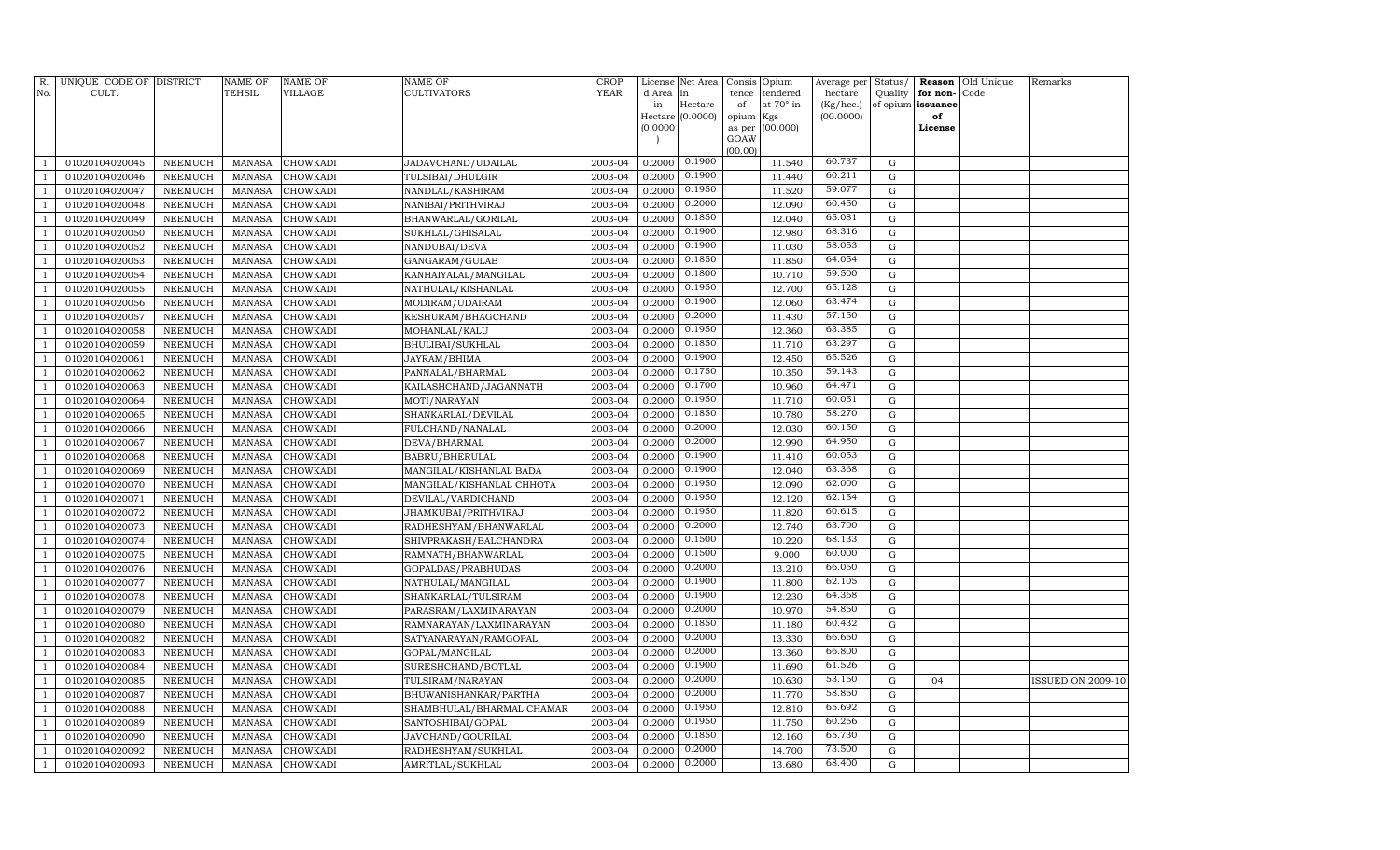| R.<br>No.      | UNIQUE CODE OF DISTRICT<br>CULT. |                | NAME OF<br>TEHSIL | <b>NAME OF</b><br>VILLAGE | <b>NAME OF</b><br>CULTIVATORS | <b>CROP</b><br><b>YEAR</b> | License<br>d Area | Net Area<br>in   | Consis<br>Opium<br>tendered<br>tence | Average per<br>hectare | Status/<br>Quality | Reason<br>for non- | Old Unique<br>Code | Remarks                  |
|----------------|----------------------------------|----------------|-------------------|---------------------------|-------------------------------|----------------------------|-------------------|------------------|--------------------------------------|------------------------|--------------------|--------------------|--------------------|--------------------------|
|                |                                  |                |                   |                           |                               |                            | in                | Hectare          | of<br>at 70° in                      | (Kg/hec.)              |                    | of opium issuance  |                    |                          |
|                |                                  |                |                   |                           |                               |                            |                   | Hectare (0.0000) | opium<br>Kgs                         | (00.0000)              |                    | of                 |                    |                          |
|                |                                  |                |                   |                           |                               |                            | (0.0000)          |                  | (00.000)<br>as per                   |                        |                    | License            |                    |                          |
|                |                                  |                |                   |                           |                               |                            |                   |                  | GOAW                                 |                        |                    |                    |                    |                          |
| $\mathbf{1}$   | 01020104020045                   | NEEMUCH        | <b>MANASA</b>     | CHOWKADI                  | JADAVCHAND/UDAILAL            | 2003-04                    | 0.2000            | 0.1900           | (00.00)<br>11.540                    | 60.737                 | G                  |                    |                    |                          |
| 1              | 01020104020046                   | <b>NEEMUCH</b> | <b>MANASA</b>     | CHOWKADI                  | TULSIBAI/DHULGIR              | 2003-04                    | 0.2000            | 0.1900           | 11.440                               | 60.211                 | $\mathbf G$        |                    |                    |                          |
| $\overline{1}$ | 01020104020047                   | <b>NEEMUCH</b> | MANASA            | CHOWKADI                  | NANDLAL/KASHIRAM              | 2003-04                    | 0.2000            | 0.1950           | 11.520                               | 59.077                 | G                  |                    |                    |                          |
| $\mathbf{1}$   | 01020104020048                   | <b>NEEMUCH</b> | <b>MANASA</b>     | CHOWKADI                  | NANIBAI/PRITHVIRAJ            | 2003-04                    | 0.2000            | 0.2000           | 12.090                               | 60.450                 | G                  |                    |                    |                          |
| $\mathbf{1}$   | 01020104020049                   | NEEMUCH        | <b>MANASA</b>     | CHOWKADI                  | BHANWARLAL/GORILAL            | 2003-04                    | 0.2000            | 0.1850           | 12.040                               | 65.081                 | G                  |                    |                    |                          |
| $\mathbf{1}$   | 01020104020050                   | <b>NEEMUCH</b> | <b>MANASA</b>     | CHOWKADI                  | SUKHLAL/GHISALAL              | 2003-04                    | 0.2000            | 0.1900           | 12.980                               | 68.316                 | $\mathbf G$        |                    |                    |                          |
| $\mathbf{1}$   | 01020104020052                   | <b>NEEMUCH</b> | <b>MANASA</b>     | CHOWKADI                  | NANDUBAI/DEVA                 | 2003-04                    | 0.2000            | 0.1900           | 11.030                               | 58.053                 | $\mathbf G$        |                    |                    |                          |
| $\mathbf{1}$   | 01020104020053                   | NEEMUCH        | <b>MANASA</b>     | CHOWKADI                  | GANGARAM/GULAB                | 2003-04                    | 0.2000            | 0.1850           | 11.850                               | 64.054                 | $\mathbf G$        |                    |                    |                          |
| $\mathbf{1}$   | 01020104020054                   | NEEMUCH        | <b>MANASA</b>     | CHOWKADI                  | KANHAIYALAL/MANGILAL          | 2003-04                    | 0.2000            | 0.1800           | 10.710                               | 59.500                 | $\mathbf G$        |                    |                    |                          |
| $\mathbf{1}$   | 01020104020055                   | NEEMUCH        | <b>MANASA</b>     | CHOWKADI                  | NATHULAL/KISHANLAL            | 2003-04                    | 0.2000            | 0.1950           | 12.700                               | 65.128                 | ${\rm G}$          |                    |                    |                          |
| $\mathbf{1}$   | 01020104020056                   | NEEMUCH        | <b>MANASA</b>     | CHOWKADI                  | MODIRAM/UDAIRAM               | 2003-04                    | 0.2000            | 0.1900           | 12.060                               | 63.474                 | ${\rm G}$          |                    |                    |                          |
| $\mathbf{1}$   | 01020104020057                   | NEEMUCH        | <b>MANASA</b>     | CHOWKADI                  | KESHURAM/BHAGCHAND            | 2003-04                    | 0.2000            | 0.2000           | 11.430                               | 57.150                 | G                  |                    |                    |                          |
| $\overline{1}$ | 01020104020058                   | <b>NEEMUCH</b> | <b>MANASA</b>     | CHOWKADI                  | MOHANLAL/KALU                 | 2003-04                    | 0.2000            | 0.1950           | 12.360                               | 63.385                 | G                  |                    |                    |                          |
| $\mathbf{1}$   | 01020104020059                   | <b>NEEMUCH</b> | <b>MANASA</b>     | CHOWKADI                  | BHULIBAI/SUKHLAL              | 2003-04                    | 0.2000            | 0.1850           | 11.710                               | 63.297                 | $\mathbf G$        |                    |                    |                          |
| 1              | 01020104020061                   | <b>NEEMUCH</b> | <b>MANASA</b>     | CHOWKADI                  | JAYRAM/BHIMA                  | 2003-04                    | 0.2000            | 0.1900           | 12.450                               | 65.526                 | $\mathbf G$        |                    |                    |                          |
| $\mathbf{1}$   | 01020104020062                   | <b>NEEMUCH</b> | <b>MANASA</b>     | CHOWKADI                  | PANNALAL/BHARMAL              | 2003-04                    | 0.2000            | 0.1750           | 10.350                               | 59.143                 | G                  |                    |                    |                          |
| $\mathbf{1}$   | 01020104020063                   | NEEMUCH        | <b>MANASA</b>     | CHOWKADI                  | KAILASHCHAND/JAGANNATH        | 2003-04                    | 0.2000            | 0.1700           | 10.960                               | 64.471                 | $\mathbf G$        |                    |                    |                          |
| $\mathbf{1}$   | 01020104020064                   | <b>NEEMUCH</b> | <b>MANASA</b>     | CHOWKADI                  | MOTI/NARAYAN                  | 2003-04                    | 0.2000            | 0.1950           | 11.710                               | 60.051                 | ${\rm G}$          |                    |                    |                          |
| $\mathbf{1}$   | 01020104020065                   | NEEMUCH        | <b>MANASA</b>     | CHOWKADI                  | SHANKARLAL/DEVILAL            | 2003-04                    | 0.2000            | 0.1850           | 10.780                               | 58.270                 | $\mathbf G$        |                    |                    |                          |
| $\mathbf{1}$   | 01020104020066                   | <b>NEEMUCH</b> | <b>MANASA</b>     | CHOWKADI                  | FULCHAND/NANALAL              | 2003-04                    | 0.2000            | 0.2000           | 12.030                               | 60.150                 | $\mathbf G$        |                    |                    |                          |
| $\overline{1}$ | 01020104020067                   | <b>NEEMUCH</b> | <b>MANASA</b>     | CHOWKADI                  | DEVA/BHARMAL                  | 2003-04                    | 0.2000            | 0.2000           | 12.990                               | 64.950                 | G                  |                    |                    |                          |
| $\mathbf{1}$   | 01020104020068                   | <b>NEEMUCH</b> | <b>MANASA</b>     | CHOWKADI                  | BABRU/BHERULAL                | 2003-04                    | 0.2000            | 0.1900           | 11.410                               | 60.053                 | G                  |                    |                    |                          |
| 1              | 01020104020069                   | <b>NEEMUCH</b> | <b>MANASA</b>     | <b>CHOWKADI</b>           | MANGILAL/KISHANLAL BADA       | 2003-04                    | 0.2000            | 0.1900           | 12.040                               | 63.368                 | $\mathbf G$        |                    |                    |                          |
| $\mathbf{1}$   | 01020104020070                   | <b>NEEMUCH</b> | <b>MANASA</b>     | CHOWKADI                  | MANGILAL/KISHANLAL CHHOTA     | 2003-04                    | 0.2000            | 0.1950           | 12.090                               | 62.000                 | $\mathbf G$        |                    |                    |                          |
| $\mathbf{1}$   | 01020104020071                   | NEEMUCH        | <b>MANASA</b>     | CHOWKADI                  | DEVILAL/VARDICHAND            | 2003-04                    | 0.2000            | 0.1950           | 12.120                               | 62.154                 | $\mathbf G$        |                    |                    |                          |
| $\mathbf{1}$   | 01020104020072                   | NEEMUCH        | <b>MANASA</b>     | CHOWKADI                  | JHAMKUBAI/PRITHVIRAJ          | 2003-04                    | 0.2000            | 0.1950           | 11.820                               | 60.615                 | G                  |                    |                    |                          |
| $\mathbf{1}$   | 01020104020073                   | NEEMUCH        | <b>MANASA</b>     | CHOWKADI                  | RADHESHYAM/BHANWARLAL         | 2003-04                    | 0.2000            | 0.2000           | 12.740                               | 63.700                 | $\mathbf G$        |                    |                    |                          |
| $\mathbf{1}$   | 01020104020074                   | <b>NEEMUCH</b> | <b>MANASA</b>     | CHOWKADI                  | SHIVPRAKASH/BALCHANDRA        | 2003-04                    | 0.2000            | 0.1500           | 10.220                               | 68.133                 | ${\rm G}$          |                    |                    |                          |
| $\overline{1}$ | 01020104020075                   | NEEMUCH        | <b>MANASA</b>     | CHOWKADI                  | RAMNATH/BHANWARLAL            | 2003-04                    | 0.2000            | 0.1500           | 9.000                                | 60.000                 | $\mathbf G$        |                    |                    |                          |
| $\mathbf{1}$   | 01020104020076                   | <b>NEEMUCH</b> | <b>MANASA</b>     | CHOWKADI                  | GOPALDAS/PRABHUDAS            | 2003-04                    | 0.2000            | 0.2000           | 13.210                               | 66.050                 | G                  |                    |                    |                          |
| $\overline{1}$ | 01020104020077                   | <b>NEEMUCH</b> | <b>MANASA</b>     | CHOWKADI                  | NATHULAL/MANGILAL             | 2003-04                    | 0.2000            | 0.1900           | 11.800                               | 62.105                 | $\mathbf G$        |                    |                    |                          |
| $\mathbf{1}$   | 01020104020078                   | <b>NEEMUCH</b> | <b>MANASA</b>     | CHOWKADI                  | SHANKARLAL/TULSIRAM           | 2003-04                    | 0.2000            | 0.1900           | 12.230                               | 64.368                 | $\mathbf G$        |                    |                    |                          |
| $\mathbf{1}$   | 01020104020079                   | NEEMUCH        | <b>MANASA</b>     | CHOWKADI                  | PARASRAM/LAXMINARAYAN         | 2003-04                    | 0.2000            | 0.2000           | 10.970                               | 54.850                 | $\mathbf G$        |                    |                    |                          |
| $\mathbf{1}$   | 01020104020080                   | <b>NEEMUCH</b> | <b>MANASA</b>     | CHOWKADI                  | RAMNARAYAN/LAXMINARAYAN       | 2003-04                    | 0.2000            | 0.1850           | 11.180                               | 60.432                 | G                  |                    |                    |                          |
| $\mathbf{1}$   | 01020104020082                   | <b>NEEMUCH</b> | <b>MANASA</b>     | CHOWKADI                  | SATYANARAYAN/RAMGOPAL         | 2003-04                    | 0.2000            | 0.2000           | 13.330                               | 66.650                 | ${\rm G}$          |                    |                    |                          |
| $\mathbf{1}$   | 01020104020083                   | <b>NEEMUCH</b> | <b>MANASA</b>     | CHOWKADI                  | GOPAL/MANGILAL                | 2003-04                    | 0.2000            | 0.2000           | 13.360                               | 66.800                 | $\mathbf G$        |                    |                    |                          |
| $\overline{1}$ | 01020104020084                   | NEEMUCH        | <b>MANASA</b>     | CHOWKADI                  | SURESHCHAND/BOTLAL            | 2003-04                    | 0.2000            | 0.1900           | 11.690                               | 61.526                 | $\mathbf G$        |                    |                    |                          |
| $\overline{1}$ | 01020104020085                   | <b>NEEMUCH</b> | <b>MANASA</b>     | CHOWKADI                  | TULSIRAM/NARAYAN              | 2003-04                    | 0.2000            | 0.2000           | 10.630                               | 53.150                 | G                  | 04                 |                    | <b>ISSUED ON 2009-10</b> |
| $\overline{1}$ | 01020104020087                   | <b>NEEMUCH</b> | <b>MANASA</b>     | CHOWKADI                  | BHUWANISHANKAR/PARTHA         | 2003-04                    | 0.2000            | 0.2000           | 11.770                               | 58.850                 | $\mathbf G$        |                    |                    |                          |
| 1              | 01020104020088                   | <b>NEEMUCH</b> | <b>MANASA</b>     | CHOWKADI                  | SHAMBHULAL/BHARMAL CHAMAR     | 2003-04                    | 0.2000            | 0.1950           | 12.810                               | 65.692                 | $\mathbf G$        |                    |                    |                          |
| $\mathbf{1}$   | 01020104020089                   | <b>NEEMUCH</b> | <b>MANASA</b>     | CHOWKADI                  | SANTOSHIBAI/GOPAL             | 2003-04                    | 0.2000            | 0.1950           | 11.750                               | 60.256                 | G                  |                    |                    |                          |
| $\mathbf{1}$   | 01020104020090                   | <b>NEEMUCH</b> | <b>MANASA</b>     | CHOWKADI                  | JAVCHAND/GOURILAL             | 2003-04                    | 0.2000            | 0.1850           | 12.160                               | 65.730                 | $\mathbf G$        |                    |                    |                          |
| $\mathbf{1}$   | 01020104020092                   | NEEMUCH        | <b>MANASA</b>     | CHOWKADI                  | RADHESHYAM/SUKHLAL            | 2003-04                    | 0.2000            | 0.2000           | 14.700                               | 73.500                 | G                  |                    |                    |                          |
| $\mathbf{1}$   | 01020104020093                   | NEEMUCH        | MANASA            | CHOWKADI                  | AMRITLAL/SUKHLAL              | 2003-04                    | 0.2000            | 0.2000           | 13.680                               | 68.400                 | $\mathbf G$        |                    |                    |                          |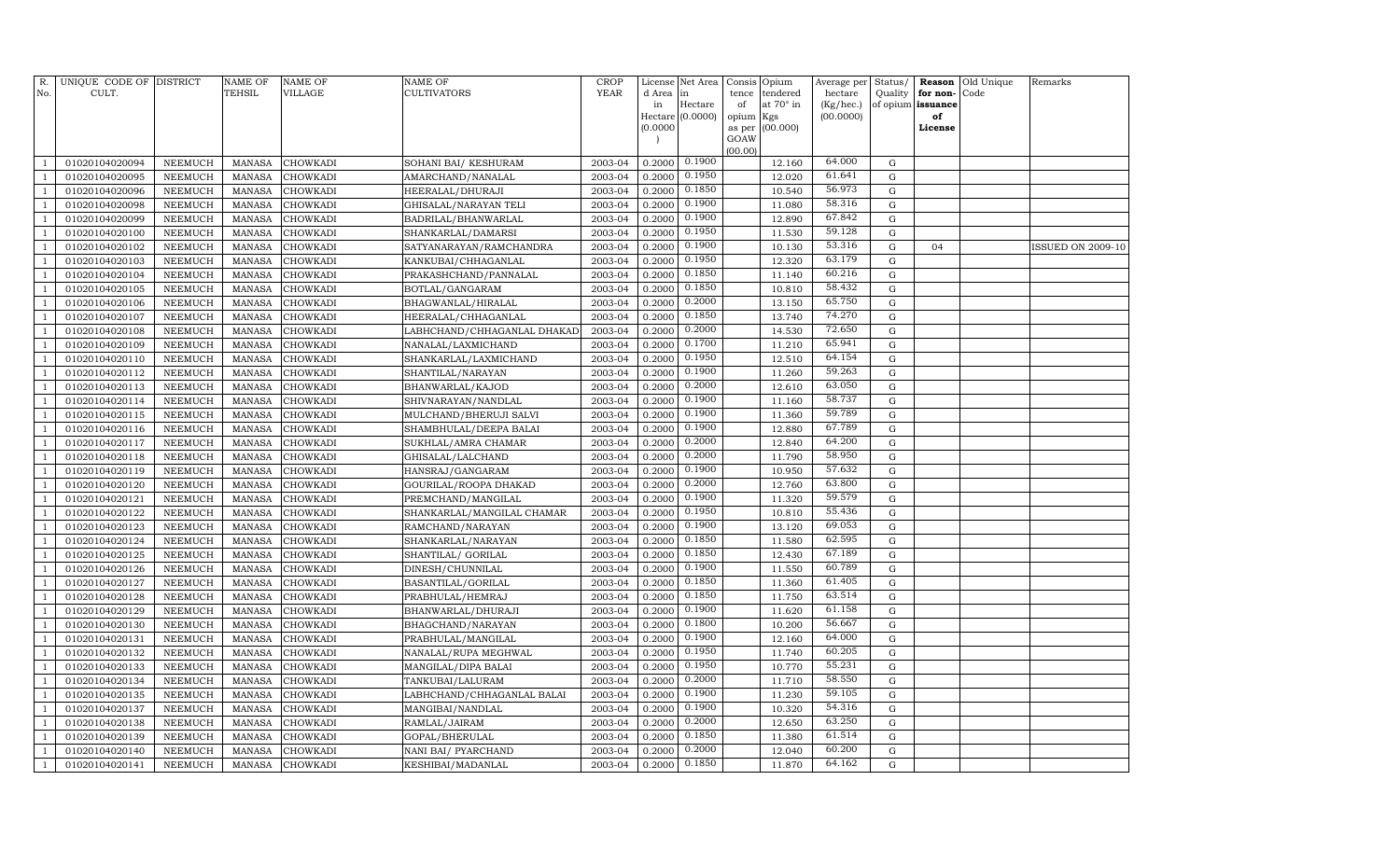| R.<br>No.      | UNIQUE CODE OF DISTRICT<br>CULT. |                | NAME OF<br><b>TEHSIL</b> | <b>NAME OF</b><br>VILLAGE | <b>NAME OF</b><br>CULTIVATORS | CROP<br><b>YEAR</b> | License<br>d Area | Net Area<br>in   | Opium<br>Consis<br>tendered<br>tence | Average per<br>hectare | Status/<br>Quality | Reason<br>for non- | Old Unique<br>Code | Remarks                  |
|----------------|----------------------------------|----------------|--------------------------|---------------------------|-------------------------------|---------------------|-------------------|------------------|--------------------------------------|------------------------|--------------------|--------------------|--------------------|--------------------------|
|                |                                  |                |                          |                           |                               |                     | in                | Hectare          | of<br>at 70° in                      | (Kg/hec.)              |                    | of opium issuance  |                    |                          |
|                |                                  |                |                          |                           |                               |                     |                   | Hectare (0.0000) | opium<br>Kgs                         | (00.0000)              |                    | of                 |                    |                          |
|                |                                  |                |                          |                           |                               |                     | (0.0000)          |                  | (00.000)<br>as per                   |                        |                    | License            |                    |                          |
|                |                                  |                |                          |                           |                               |                     |                   |                  | GOAW<br>(00.00)                      |                        |                    |                    |                    |                          |
| $\mathbf{1}$   | 01020104020094                   | NEEMUCH        | <b>MANASA</b>            | CHOWKADI                  | SOHANI BAI/ KESHURAM          | 2003-04             | 0.2000            | 0.1900           | 12.160                               | 64.000                 | G                  |                    |                    |                          |
| $\mathbf{1}$   | 01020104020095                   | <b>NEEMUCH</b> | <b>MANASA</b>            | CHOWKADI                  | AMARCHAND/NANALAL             | 2003-04             | 0.2000            | 0.1950           | 12.020                               | 61.641                 | $\mathbf G$        |                    |                    |                          |
| $\mathbf{1}$   | 01020104020096                   | <b>NEEMUCH</b> | MANASA                   | CHOWKADI                  | HEERALAL/DHURAJI              | 2003-04             | 0.2000            | 0.1850           | 10.540                               | 56.973                 | G                  |                    |                    |                          |
| $\mathbf{1}$   | 01020104020098                   | <b>NEEMUCH</b> | <b>MANASA</b>            | CHOWKADI                  | GHISALAL/NARAYAN TELI         | 2003-04             | 0.2000            | 0.1900           | 11.080                               | 58.316                 | G                  |                    |                    |                          |
| $\mathbf{1}$   | 01020104020099                   | <b>NEEMUCH</b> | <b>MANASA</b>            | CHOWKADI                  | BADRILAL/BHANWARLAL           | 2003-04             | 0.2000            | 0.1900           | 12.890                               | 67.842                 | G                  |                    |                    |                          |
| $\mathbf{1}$   | 01020104020100                   | <b>NEEMUCH</b> | <b>MANASA</b>            | CHOWKADI                  | SHANKARLAL/DAMARSI            | 2003-04             | 0.2000            | 0.1950           | 11.530                               | 59.128                 | $\mathbf G$        |                    |                    |                          |
| $\mathbf{1}$   | 01020104020102                   | <b>NEEMUCH</b> | <b>MANASA</b>            | CHOWKADI                  | SATYANARAYAN/RAMCHANDRA       | 2003-04             | 0.2000            | 0.1900           | 10.130                               | 53.316                 | $\mathbf G$        | 04                 |                    | <b>ISSUED ON 2009-10</b> |
| $\mathbf{1}$   | 01020104020103                   | <b>NEEMUCH</b> | <b>MANASA</b>            | CHOWKADI                  | KANKUBAI/CHHAGANLAL           | 2003-04             | 0.2000            | 0.1950           | 12.320                               | 63.179                 | $\mathbf G$        |                    |                    |                          |
| $\mathbf{1}$   | 01020104020104                   | NEEMUCH        | <b>MANASA</b>            | CHOWKADI                  | PRAKASHCHAND/PANNALAL         | 2003-04             | 0.2000            | 0.1850           | 11.140                               | 60.216                 | $\mathbf G$        |                    |                    |                          |
| $\mathbf{1}$   | 01020104020105                   | <b>NEEMUCH</b> | <b>MANASA</b>            | CHOWKADI                  | BOTLAL/GANGARAM               | 2003-04             | 0.2000            | 0.1850           | 10.810                               | 58.432                 | ${\rm G}$          |                    |                    |                          |
| $\mathbf{1}$   | 01020104020106                   | NEEMUCH        | <b>MANASA</b>            | CHOWKADI                  | BHAGWANLAL/HIRALAL            | 2003-04             | 0.2000            | 0.2000           | 13.150                               | 65.750                 | ${\rm G}$          |                    |                    |                          |
| $\mathbf{1}$   | 01020104020107                   | <b>NEEMUCH</b> | <b>MANASA</b>            | CHOWKADI                  | HEERALAL/CHHAGANLAL           | 2003-04             | 0.2000            | 0.1850           | 13.740                               | 74.270                 | G                  |                    |                    |                          |
| $\overline{1}$ | 01020104020108                   | <b>NEEMUCH</b> | <b>MANASA</b>            | CHOWKADI                  | LABHCHAND/CHHAGANLAL DHAKAD   | 2003-04             | 0.2000            | 0.2000           | 14.530                               | 72.650                 | G                  |                    |                    |                          |
| $\mathbf{1}$   | 01020104020109                   | <b>NEEMUCH</b> | <b>MANASA</b>            | CHOWKADI                  | NANALAL/LAXMICHAND            | 2003-04             | 0.2000            | 0.1700           | 11.210                               | 65.941                 | $\mathbf G$        |                    |                    |                          |
| 1              | 01020104020110                   | <b>NEEMUCH</b> | <b>MANASA</b>            | CHOWKADI                  | SHANKARLAL/LAXMICHAND         | 2003-04             | 0.2000            | 0.1950           | 12.510                               | 64.154                 | $\mathbf G$        |                    |                    |                          |
| $\mathbf{1}$   | 01020104020112                   | NEEMUCH        | <b>MANASA</b>            | CHOWKADI                  | SHANTILAL/NARAYAN             | 2003-04             | 0.2000            | 0.1900           | 11.260                               | 59.263                 | G                  |                    |                    |                          |
| $\mathbf{1}$   | 01020104020113                   | NEEMUCH        | <b>MANASA</b>            | CHOWKADI                  | BHANWARLAL/KAJOD              | 2003-04             | 0.2000            | 0.2000           | 12.610                               | 63.050                 | $\mathbf G$        |                    |                    |                          |
| $\mathbf{1}$   | 01020104020114                   | <b>NEEMUCH</b> | <b>MANASA</b>            | CHOWKADI                  | SHIVNARAYAN/NANDLAL           | 2003-04             | 0.2000            | 0.1900           | 11.160                               | 58.737                 | ${\rm G}$          |                    |                    |                          |
| $\mathbf{1}$   | 01020104020115                   | NEEMUCH        | <b>MANASA</b>            | CHOWKADI                  | MULCHAND/BHERUJI SALVI        | 2003-04             | 0.2000            | 0.1900           | 11.360                               | 59.789                 | $\mathbf G$        |                    |                    |                          |
| $\mathbf{1}$   | 01020104020116                   | NEEMUCH        | <b>MANASA</b>            | CHOWKADI                  | SHAMBHULAL/DEEPA BALAI        | 2003-04             | 0.2000            | 0.1900           | 12.880                               | 67.789                 | $\mathbf G$        |                    |                    |                          |
| $\overline{1}$ | 01020104020117                   | <b>NEEMUCH</b> | <b>MANASA</b>            | CHOWKADI                  | SUKHLAL/AMRA CHAMAR           | 2003-04             | 0.2000            | 0.2000           | 12.840                               | 64.200                 | G                  |                    |                    |                          |
| $\mathbf{1}$   | 01020104020118                   | <b>NEEMUCH</b> | <b>MANASA</b>            | CHOWKADI                  | GHISALAL/LALCHAND             | 2003-04             | 0.2000            | 0.2000           | 11.790                               | 58.950                 | G                  |                    |                    |                          |
| 1              | 01020104020119                   | <b>NEEMUCH</b> | <b>MANASA</b>            | <b>CHOWKADI</b>           | HANSRAJ/GANGARAM              | 2003-04             | 0.2000            | 0.1900           | 10.950                               | 57.632                 | $\mathbf G$        |                    |                    |                          |
| $\mathbf{1}$   | 01020104020120                   | <b>NEEMUCH</b> | <b>MANASA</b>            | CHOWKADI                  | GOURILAL/ROOPA DHAKAD         | 2003-04             | 0.2000            | 0.2000           | 12.760                               | 63.800                 | $\mathbf G$        |                    |                    |                          |
| $\mathbf{1}$   | 01020104020121                   | <b>NEEMUCH</b> | <b>MANASA</b>            | CHOWKADI                  | PREMCHAND/MANGILAL            | 2003-04             | 0.2000            | 0.1900           | 11.320                               | 59.579                 | $\mathbf G$        |                    |                    |                          |
| $\mathbf{1}$   | 01020104020122                   | <b>NEEMUCH</b> | <b>MANASA</b>            | CHOWKADI                  | SHANKARLAL/MANGILAL CHAMAR    | 2003-04             | 0.2000            | 0.1950           | 10.810                               | 55.436                 | G                  |                    |                    |                          |
| $\mathbf{1}$   | 01020104020123                   | <b>NEEMUCH</b> | <b>MANASA</b>            | CHOWKADI                  | RAMCHAND/NARAYAN              | 2003-04             | 0.2000            | 0.1900           | 13.120                               | 69.053                 | $\mathbf G$        |                    |                    |                          |
| $\mathbf{1}$   | 01020104020124                   | <b>NEEMUCH</b> | <b>MANASA</b>            | CHOWKADI                  | SHANKARLAL/NARAYAN            | 2003-04             | 0.2000            | 0.1850           | 11.580                               | 62.595                 | G                  |                    |                    |                          |
| $\overline{1}$ | 01020104020125                   | <b>NEEMUCH</b> | <b>MANASA</b>            | CHOWKADI                  | SHANTILAL/ GORILAL            | 2003-04             | 0.2000            | 0.1850           | 12.430                               | 67.189                 | $\mathbf G$        |                    |                    |                          |
| $\mathbf{1}$   | 01020104020126                   | <b>NEEMUCH</b> | <b>MANASA</b>            | CHOWKADI                  | DINESH/CHUNNILAL              | 2003-04             | 0.2000            | 0.1900           | 11.550                               | 60.789                 | G                  |                    |                    |                          |
| $\mathbf{1}$   | 01020104020127                   | <b>NEEMUCH</b> | <b>MANASA</b>            | CHOWKADI                  | BASANTILAL/GORILAL            | 2003-04             | 0.2000            | 0.1850           | 11.360                               | 61.405                 | $\mathbf G$        |                    |                    |                          |
| $\mathbf{1}$   | 01020104020128                   | <b>NEEMUCH</b> | <b>MANASA</b>            | CHOWKADI                  | PRABHULAL/HEMRAJ              | 2003-04             | 0.2000            | 0.1850           | 11.750                               | 63.514                 | $\mathbf G$        |                    |                    |                          |
| $\mathbf{1}$   | 01020104020129                   | <b>NEEMUCH</b> | <b>MANASA</b>            | CHOWKADI                  | BHANWARLAL/DHURAJI            | 2003-04             | 0.2000            | 0.1900           | 11.620                               | 61.158                 | $\mathbf G$        |                    |                    |                          |
| $\mathbf{1}$   | 01020104020130                   | <b>NEEMUCH</b> | <b>MANASA</b>            | CHOWKADI                  | BHAGCHAND/NARAYAN             | 2003-04             | 0.2000            | 0.1800           | 10.200                               | 56.667                 | G                  |                    |                    |                          |
| $\mathbf{1}$   | 01020104020131                   | <b>NEEMUCH</b> | <b>MANASA</b>            | CHOWKADI                  | PRABHULAL/MANGILAL            | 2003-04             | 0.2000            | 0.1900           | 12.160                               | 64.000                 | $\mathbf G$        |                    |                    |                          |
| $\mathbf{1}$   | 01020104020132                   | <b>NEEMUCH</b> | <b>MANASA</b>            | CHOWKADI                  | NANALAL/RUPA MEGHWAL          | 2003-04             | 0.2000            | 0.1950           | 11.740                               | 60.205                 | $\mathbf G$        |                    |                    |                          |
| $\overline{1}$ | 01020104020133                   | <b>NEEMUCH</b> | <b>MANASA</b>            | CHOWKADI                  | MANGILAL/DIPA BALAI           | 2003-04             | 0.2000            | 0.1950           | 10.770                               | 55.231                 | $\mathbf G$        |                    |                    |                          |
| $\mathbf{1}$   | 01020104020134                   | <b>NEEMUCH</b> | <b>MANASA</b>            | CHOWKADI                  | TANKUBAI/LALURAM              | 2003-04             | 0.2000            | 0.2000           | 11.710                               | 58.550                 | G                  |                    |                    |                          |
| $\mathbf{1}$   | 01020104020135                   | <b>NEEMUCH</b> | <b>MANASA</b>            | CHOWKADI                  | LABHCHAND/CHHAGANLAL BALAI    | 2003-04             | 0.2000            | 0.1900           | 11.230                               | 59.105                 | $\mathbf G$        |                    |                    |                          |
| 1              | 01020104020137                   | <b>NEEMUCH</b> | <b>MANASA</b>            | CHOWKADI                  | MANGIBAI/NANDLAL              | 2003-04             | 0.2000            | 0.1900           | 10.320                               | 54.316                 | $\mathbf G$        |                    |                    |                          |
| $\mathbf{1}$   | 01020104020138                   | <b>NEEMUCH</b> | <b>MANASA</b>            | CHOWKADI                  | RAMLAL/JAIRAM                 | 2003-04             | 0.2000            | 0.2000           | 12.650                               | 63.250                 | G                  |                    |                    |                          |
| $\mathbf{1}$   | 01020104020139                   | <b>NEEMUCH</b> | <b>MANASA</b>            | CHOWKADI                  | GOPAL/BHERULAL                | 2003-04             | 0.2000            | 0.1850           | 11.380                               | 61.514                 | $\mathbf G$        |                    |                    |                          |
| $\mathbf{1}$   | 01020104020140                   | <b>NEEMUCH</b> | <b>MANASA</b>            | CHOWKADI                  | NANI BAI/ PYARCHAND           | 2003-04             | 0.2000            | 0.2000           | 12.040                               | 60.200                 | G                  |                    |                    |                          |
| $\mathbf{1}$   | 01020104020141                   | NEEMUCH        | MANASA                   | CHOWKADI                  | KESHIBAI/MADANLAL             | 2003-04             | 0.2000            | 0.1850           | 11.870                               | 64.162                 | $\mathbf G$        |                    |                    |                          |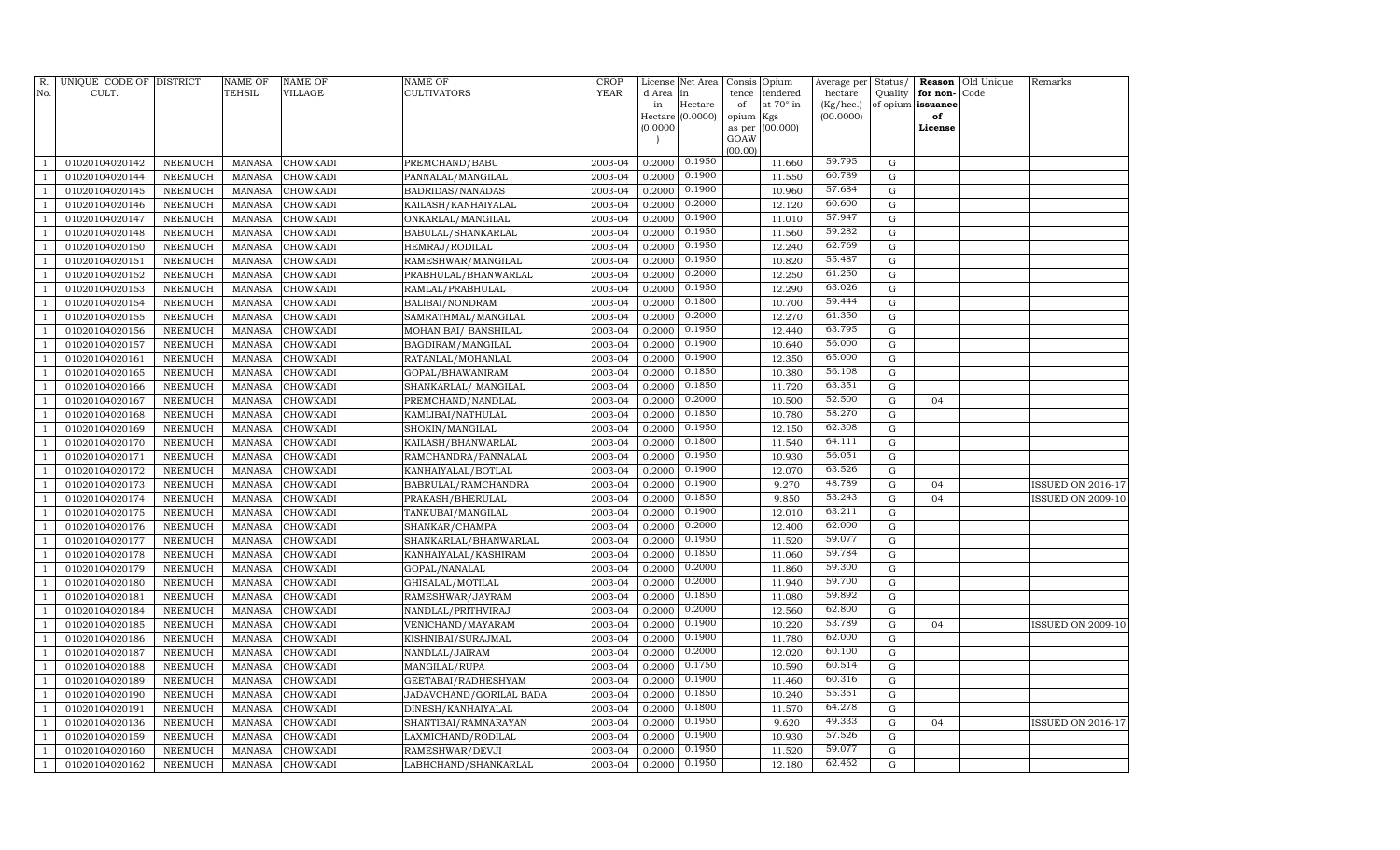| R.<br>No.      | UNIQUE CODE OF DISTRICT<br>CULT. |                | <b>NAME OF</b><br>TEHSIL | <b>NAME OF</b><br>VILLAGE | NAME OF<br>CULTIVATORS  | <b>CROP</b><br><b>YEAR</b> | d Area in | License Net Area | Consis<br>tence | Opium<br>tendered | Average per<br>hectare | Status/<br>Quality | for non-          | <b>Reason</b> Old Unique<br>Code | Remarks                  |
|----------------|----------------------------------|----------------|--------------------------|---------------------------|-------------------------|----------------------------|-----------|------------------|-----------------|-------------------|------------------------|--------------------|-------------------|----------------------------------|--------------------------|
|                |                                  |                |                          |                           |                         |                            | in        | Hectare          | of              | at 70° in         | (Kg/hec.)              |                    | of opium issuance |                                  |                          |
|                |                                  |                |                          |                           |                         |                            |           | Hectare (0.0000) | opium           | Kgs               | (00.0000)              |                    | of                |                                  |                          |
|                |                                  |                |                          |                           |                         |                            | (0.0000)  |                  | as per          | (00.000)          |                        |                    | License           |                                  |                          |
|                |                                  |                |                          |                           |                         |                            |           |                  | GOAW<br>(00.00) |                   |                        |                    |                   |                                  |                          |
| $\mathbf{1}$   | 01020104020142                   | NEEMUCH        | MANASA                   | CHOWKADI                  | PREMCHAND/BABU          | 2003-04                    | 0.2000    | 0.1950           |                 | 11.660            | 59.795                 | G                  |                   |                                  |                          |
| 1              | 01020104020144                   | NEEMUCH        | <b>MANASA</b>            | CHOWKADI                  | PANNALAL/MANGILAL       | 2003-04                    | 0.2000    | 0.1900           |                 | 11.550            | 60.789                 | $\mathbf G$        |                   |                                  |                          |
| $\overline{1}$ | 01020104020145                   | NEEMUCH        | <b>MANASA</b>            | CHOWKADI                  | BADRIDAS/NANADAS        | 2003-04                    | 0.2000    | 0.1900           |                 | 10.960            | 57.684                 | G                  |                   |                                  |                          |
| $\mathbf{1}$   | 01020104020146                   | <b>NEEMUCH</b> | <b>MANASA</b>            | <b>CHOWKADI</b>           | KAILASH/KANHAIYALAL     | 2003-04                    | 0.2000    | 0.2000           |                 | 12.120            | 60.600                 | G                  |                   |                                  |                          |
| 1              | 01020104020147                   | <b>NEEMUCH</b> | <b>MANASA</b>            | CHOWKADI                  | ONKARLAL/MANGILAL       | 2003-04                    | 0.2000    | 0.1900           |                 | 11.010            | 57.947                 | G                  |                   |                                  |                          |
| $\mathbf{1}$   | 01020104020148                   | <b>NEEMUCH</b> | <b>MANASA</b>            | <b>CHOWKADI</b>           | BABULAL/SHANKARLAL      | 2003-04                    | 0.2000    | 0.1950           |                 | 11.560            | 59.282                 | $\mathbf G$        |                   |                                  |                          |
| $\mathbf{1}$   | 01020104020150                   | <b>NEEMUCH</b> | <b>MANASA</b>            | CHOWKADI                  | HEMRAJ/RODILAL          | 2003-04                    | 0.2000    | 0.1950           |                 | 12.240            | 62.769                 | $\mathbf G$        |                   |                                  |                          |
| $\mathbf{1}$   | 01020104020151                   | NEEMUCH        | <b>MANASA</b>            | CHOWKADI                  | RAMESHWAR/MANGILAL      | 2003-04                    | 0.2000    | 0.1950           |                 | 10.820            | 55.487                 | $\mathbf G$        |                   |                                  |                          |
| $\mathbf{1}$   | 01020104020152                   | NEEMUCH        | <b>MANASA</b>            | CHOWKADI                  | PRABHULAL/BHANWARLAL    | 2003-04                    | 0.2000    | 0.2000           |                 | 12.250            | 61.250                 | $\mathbf G$        |                   |                                  |                          |
| $\mathbf{1}$   | 01020104020153                   | <b>NEEMUCH</b> | <b>MANASA</b>            | CHOWKADI                  | RAMLAL/PRABHULAL        | 2003-04                    | 0.2000    | 0.1950           |                 | 12.290            | 63.026                 | ${\rm G}$          |                   |                                  |                          |
| $\mathbf{1}$   | 01020104020154                   | <b>NEEMUCH</b> | <b>MANASA</b>            | CHOWKADI                  | BALIBAI/NONDRAM         | 2003-04                    | 0.2000    | 0.1800           |                 | 10.700            | 59.444                 | ${\rm G}$          |                   |                                  |                          |
| $\mathbf{1}$   | 01020104020155                   | <b>NEEMUCH</b> | <b>MANASA</b>            | CHOWKADI                  | SAMRATHMAL/MANGILAL     | 2003-04                    | 0.2000    | 0.2000           |                 | 12.270            | 61.350                 | G                  |                   |                                  |                          |
| $\overline{1}$ | 01020104020156                   | NEEMUCH        | <b>MANASA</b>            | <b>CHOWKADI</b>           | MOHAN BAI/ BANSHILAL    | 2003-04                    | 0.2000    | 0.1950           |                 | 12.440            | 63.795                 | G                  |                   |                                  |                          |
| $\mathbf{1}$   | 01020104020157                   | <b>NEEMUCH</b> | <b>MANASA</b>            | <b>CHOWKADI</b>           | BAGDIRAM/MANGILAL       | 2003-04                    | 0.2000    | 0.1900           |                 | 10.640            | 56.000                 | $\mathbf G$        |                   |                                  |                          |
| 1              | 01020104020161                   | <b>NEEMUCH</b> | <b>MANASA</b>            | CHOWKADI                  | RATANLAL/MOHANLAL       | 2003-04                    | 0.2000    | 0.1900           |                 | 12.350            | 65.000                 | $\mathbf G$        |                   |                                  |                          |
| $\mathbf{1}$   | 01020104020165                   | <b>NEEMUCH</b> | <b>MANASA</b>            | CHOWKADI                  | GOPAL/BHAWANIRAM        | 2003-04                    | 0.2000    | 0.1850           |                 | 10.380            | 56.108                 | G                  |                   |                                  |                          |
| $\mathbf{1}$   | 01020104020166                   | <b>NEEMUCH</b> | <b>MANASA</b>            | CHOWKADI                  | SHANKARLAL/ MANGILAL    | 2003-04                    | 0.2000    | 0.1850           |                 | 11.720            | 63.351                 | $\mathbf G$        |                   |                                  |                          |
| $\mathbf{1}$   | 01020104020167                   | <b>NEEMUCH</b> | <b>MANASA</b>            | CHOWKADI                  | PREMCHAND/NANDLAL       | 2003-04                    | 0.2000    | 0.2000           |                 | 10.500            | 52.500                 | G                  | 04                |                                  |                          |
| $\mathbf{1}$   | 01020104020168                   | NEEMUCH        | <b>MANASA</b>            | CHOWKADI                  | KAMLIBAI/NATHULAL       | 2003-04                    | 0.2000    | 0.1850           |                 | 10.780            | 58.270                 | $\mathbf G$        |                   |                                  |                          |
| $\mathbf{1}$   | 01020104020169                   | <b>NEEMUCH</b> | <b>MANASA</b>            | CHOWKADI                  | SHOKIN/MANGILAL         | 2003-04                    | 0.2000    | 0.1950           |                 | 12.150            | 62.308                 | G                  |                   |                                  |                          |
| $\overline{1}$ | 01020104020170                   | <b>NEEMUCH</b> | <b>MANASA</b>            | CHOWKADI                  | KAILASH/BHANWARLAL      | 2003-04                    | 0.2000    | 0.1800           |                 | 11.540            | 64.111                 | G                  |                   |                                  |                          |
| $\mathbf{1}$   | 01020104020171                   | <b>NEEMUCH</b> | <b>MANASA</b>            | CHOWKADI                  | RAMCHANDRA/PANNALAL     | 2003-04                    | 0.2000    | 0.1950           |                 | 10.930            | 56.051                 | G                  |                   |                                  |                          |
| 1              | 01020104020172                   | <b>NEEMUCH</b> | <b>MANASA</b>            | <b>CHOWKADI</b>           | KANHAIYALAL/BOTLAL      | 2003-04                    | 0.2000    | 0.1900           |                 | 12.070            | 63.526                 | $\mathbf G$        |                   |                                  |                          |
| $\mathbf{1}$   | 01020104020173                   | <b>NEEMUCH</b> | <b>MANASA</b>            | CHOWKADI                  | BABRULAL/RAMCHANDRA     | 2003-04                    | 0.2000    | 0.1900           |                 | 9.270             | 48.789                 | G                  | 04                |                                  | <b>ISSUED ON 2016-17</b> |
| $\mathbf{1}$   | 01020104020174                   | <b>NEEMUCH</b> | <b>MANASA</b>            | CHOWKADI                  | PRAKASH/BHERULAL        | 2003-04                    | 0.2000    | 0.1850           |                 | 9.850             | 53.243                 | $\mathbf G$        | 04                |                                  | <b>ISSUED ON 2009-10</b> |
| $\mathbf{1}$   | 01020104020175                   | NEEMUCH        | <b>MANASA</b>            | CHOWKADI                  | TANKUBAI/MANGILAL       | 2003-04                    | 0.2000    | 0.1900           |                 | 12.010            | 63.211                 | G                  |                   |                                  |                          |
| $\mathbf{1}$   | 01020104020176                   | <b>NEEMUCH</b> | <b>MANASA</b>            | CHOWKADI                  | SHANKAR/CHAMPA          | 2003-04                    | 0.2000    | 0.2000           |                 | 12.400            | 62.000                 | $\mathbf G$        |                   |                                  |                          |
| $\mathbf{1}$   | 01020104020177                   | <b>NEEMUCH</b> | <b>MANASA</b>            | CHOWKADI                  | SHANKARLAL/BHANWARLAL   | 2003-04                    | 0.2000    | 0.1950           |                 | 11.520            | 59.077                 | G                  |                   |                                  |                          |
| $\overline{1}$ | 01020104020178                   | <b>NEEMUCH</b> | <b>MANASA</b>            | CHOWKADI                  | KANHAIYALAL/KASHIRAM    | 2003-04                    | 0.2000    | 0.1850           |                 | 11.060            | 59.784                 | ${\rm G}$          |                   |                                  |                          |
| $\mathbf{1}$   | 01020104020179                   | <b>NEEMUCH</b> | <b>MANASA</b>            | CHOWKADI                  | GOPAL/NANALAL           | 2003-04                    | 0.2000    | 0.2000           |                 | 11.860            | 59.300                 | G                  |                   |                                  |                          |
| $\overline{1}$ | 01020104020180                   | <b>NEEMUCH</b> | <b>MANASA</b>            | <b>CHOWKADI</b>           | GHISALAL/MOTILAL        | 2003-04                    | 0.2000    | 0.2000           |                 | 11.940            | 59.700                 | $\mathbf G$        |                   |                                  |                          |
| $\mathbf{1}$   | 01020104020181                   | <b>NEEMUCH</b> | <b>MANASA</b>            | CHOWKADI                  | RAMESHWAR/JAYRAM        | 2003-04                    | 0.2000    | 0.1850           |                 | 11.080            | 59.892                 | $\mathbf G$        |                   |                                  |                          |
| $\mathbf{1}$   | 01020104020184                   | <b>NEEMUCH</b> | <b>MANASA</b>            | CHOWKADI                  | NANDLAL/PRITHVIRAJ      | 2003-04                    | 0.2000    | 0.2000           |                 | 12.560            | 62.800                 | $\mathbf G$        |                   |                                  |                          |
| $\mathbf{1}$   | 01020104020185                   | <b>NEEMUCH</b> | <b>MANASA</b>            | CHOWKADI                  | VENICHAND/MAYARAM       | 2003-04                    | 0.2000    | 0.1900           |                 | 10.220            | 53.789                 | G                  | 04                |                                  | <b>ISSUED ON 2009-10</b> |
| $\mathbf{1}$   | 01020104020186                   | <b>NEEMUCH</b> | <b>MANASA</b>            | CHOWKADI                  | KISHNIBAI/SURAJMAL      | 2003-04                    | 0.2000    | 0.1900           |                 | 11.780            | 62.000                 | ${\rm G}$          |                   |                                  |                          |
| $\mathbf{1}$   | 01020104020187                   | <b>NEEMUCH</b> | <b>MANASA</b>            | CHOWKADI                  | NANDLAL/JAIRAM          | 2003-04                    | 0.2000    | 0.2000           |                 | 12.020            | 60.100                 | ${\rm G}$          |                   |                                  |                          |
| $\overline{1}$ | 01020104020188                   | <b>NEEMUCH</b> | <b>MANASA</b>            | CHOWKADI                  | MANGILAL/RUPA           | 2003-04                    | 0.2000    | 0.1750           |                 | 10.590            | 60.514                 | ${\rm G}$          |                   |                                  |                          |
| $\overline{1}$ | 01020104020189                   | <b>NEEMUCH</b> | <b>MANASA</b>            | CHOWKADI                  | GEETABAI/RADHESHYAM     | 2003-04                    | 0.2000    | 0.1900           |                 | 11.460            | 60.316                 | G                  |                   |                                  |                          |
| $\overline{1}$ | 01020104020190                   | <b>NEEMUCH</b> | <b>MANASA</b>            | <b>CHOWKADI</b>           | JADAVCHAND/GORILAL BADA | 2003-04                    | 0.2000    | 0.1850           |                 | 10.240            | 55.351                 | $\mathbf G$        |                   |                                  |                          |
| 1              | 01020104020191                   | <b>NEEMUCH</b> | <b>MANASA</b>            | CHOWKADI                  | DINESH/KANHAIYALAL      | 2003-04                    | 0.2000    | 0.1800           |                 | 11.570            | 64.278                 | $\mathbf G$        |                   |                                  |                          |
| $\mathbf{1}$   | 01020104020136                   | <b>NEEMUCH</b> | <b>MANASA</b>            | CHOWKADI                  | SHANTIBAI/RAMNARAYAN    | 2003-04                    | 0.2000    | 0.1950           |                 | 9.620             | 49.333                 | G                  | 04                |                                  | <b>ISSUED ON 2016-17</b> |
| $\mathbf{1}$   | 01020104020159                   | <b>NEEMUCH</b> | <b>MANASA</b>            | CHOWKADI                  | LAXMICHAND/RODILAL      | 2003-04                    | 0.2000    | 0.1900           |                 | 10.930            | 57.526                 | G                  |                   |                                  |                          |
| $\mathbf{1}$   | 01020104020160                   | <b>NEEMUCH</b> | <b>MANASA</b>            | CHOWKADI                  | RAMESHWAR/DEVJI         | 2003-04                    | 0.2000    | 0.1950           |                 | 11.520            | 59.077                 | G                  |                   |                                  |                          |
| $\mathbf{1}$   | 01020104020162                   | NEEMUCH        | MANASA                   | <b>CHOWKADI</b>           | LABHCHAND/SHANKARLAL    | 2003-04                    | 0.2000    | 0.1950           |                 | 12.180            | 62.462                 | $\mathbf G$        |                   |                                  |                          |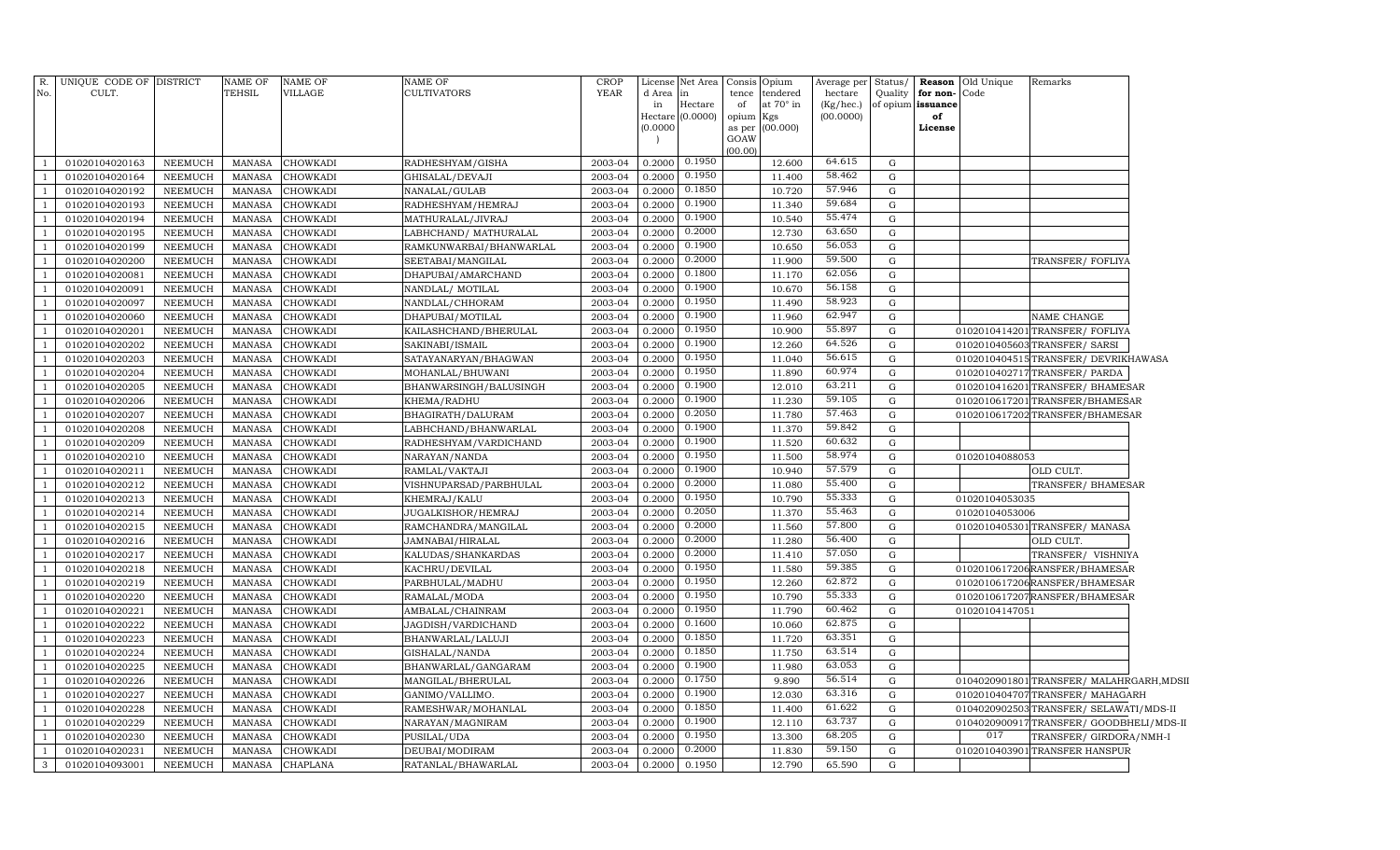| R.             | UNIQUE CODE OF DISTRICT |                | NAME OF       | NAME OF         | <b>NAME OF</b>          | <b>CROP</b> | License  | Net Area                    |             | Consis Opium            | Average per            | Status/     |                         | <b>Reason</b> Old Unique | Remarks                                  |  |
|----------------|-------------------------|----------------|---------------|-----------------|-------------------------|-------------|----------|-----------------------------|-------------|-------------------------|------------------------|-------------|-------------------------|--------------------------|------------------------------------------|--|
| No.            | CULT.                   |                | TEHSIL        | VILLAGE         | <b>CULTIVATORS</b>      | YEAR        | d Area   | lin.                        | tence       | tendered                | hectare                | Quality     | for non-Code            |                          |                                          |  |
|                |                         |                |               |                 |                         |             | in       | Hectare<br>Hectare (0.0000) | of<br>opium | at $70^\circ$ in<br>Kgs | (Kg/hec.)<br>(00.0000) |             | of opium issuance<br>of |                          |                                          |  |
|                |                         |                |               |                 |                         |             | (0.0000) |                             | as per      | (00.000)                |                        |             | License                 |                          |                                          |  |
|                |                         |                |               |                 |                         |             |          |                             | GOAW        |                         |                        |             |                         |                          |                                          |  |
| $\overline{1}$ | 01020104020163          | NEEMUCH        | MANASA        | <b>CHOWKADI</b> | RADHESHYAM/GISHA        | 2003-04     | 0.2000   | 0.1950                      | (00.00)     | 12.600                  | 64.615                 | G           |                         |                          |                                          |  |
| -1             | 01020104020164          | <b>NEEMUCH</b> | MANASA        | <b>CHOWKADI</b> | GHISALAL/DEVAJI         | 2003-04     | 0.2000   | 0.1950                      |             | 11.400                  | 58.462                 | ${\rm G}$   |                         |                          |                                          |  |
| -1             | 01020104020192          | NEEMUCH        | MANASA        | CHOWKADI        | NANALAL/GULAB           | 2003-04     | 0.2000   | 0.1850                      |             | 10.720                  | 57.946                 | ${\rm G}$   |                         |                          |                                          |  |
| <sup>1</sup>   | 01020104020193          | NEEMUCH        | MANASA        | <b>CHOWKADI</b> | RADHESHYAM/HEMRAJ       | 2003-04     | 0.2000   | 0.1900                      |             | 11.340                  | 59.684                 | ${\rm G}$   |                         |                          |                                          |  |
| $\mathbf{1}$   | 01020104020194          | NEEMUCH        | MANASA        | <b>CHOWKADI</b> | MATHURALAL/JIVRAJ       | 2003-04     | 0.2000   | 0.1900                      |             | 10.540                  | 55.474                 | ${\rm G}$   |                         |                          |                                          |  |
| <sup>1</sup>   | 01020104020195          | NEEMUCH        | MANASA        | CHOWKADI        | LABHCHAND/ MATHURALAL   | 2003-04     | 0.2000   | 0.2000                      |             | 12.730                  | 63.650                 | G           |                         |                          |                                          |  |
| <sup>1</sup>   | 01020104020199          | NEEMUCH        | MANASA        | CHOWKADI        | RAMKUNWARBAI/BHANWARLAL | 2003-04     | 0.2000   | 0.1900                      |             | 10.650                  | 56.053                 | ${\rm G}$   |                         |                          |                                          |  |
| <sup>1</sup>   | 01020104020200          | NEEMUCH        | <b>MANASA</b> | CHOWKADI        | SEETABAI/MANGILAL       | 2003-04     | 0.2000   | 0.2000                      |             | 11.900                  | 59.500                 | $\mathbf G$ |                         |                          | TRANSFER/FOFLIYA                         |  |
| $\overline{1}$ | 01020104020081          | <b>NEEMUCH</b> | <b>MANASA</b> | CHOWKADI        | DHAPUBAI/AMARCHAND      | 2003-04     | 0.2000   | 0.1800                      |             | 11.170                  | 62.056                 | ${\rm G}$   |                         |                          |                                          |  |
| $\overline{1}$ | 01020104020091          | NEEMUCH        | MANASA        | CHOWKADI        | NANDLAL/ MOTILAL        | 2003-04     | 0.2000   | 0.1900                      |             | 10.670                  | 56.158                 | ${\rm G}$   |                         |                          |                                          |  |
| $\overline{1}$ | 01020104020097          | NEEMUCH        | <b>MANASA</b> | CHOWKADI        | NANDLAL/CHHORAM         | 2003-04     | 0.2000   | 0.1950                      |             | 11.490                  | 58.923                 | ${\rm G}$   |                         |                          |                                          |  |
| -1             | 01020104020060          | NEEMUCH        | <b>MANASA</b> | CHOWKADI        | DHAPUBAI/MOTILAL        | 2003-04     | 0.2000   | 0.1900                      |             | 11.960                  | 62.947                 | ${\rm G}$   |                         |                          | NAME CHANGE                              |  |
| $\overline{1}$ | 01020104020201          | <b>NEEMUCH</b> | <b>MANASA</b> | CHOWKADI        | KAILASHCHAND/BHERULAL   | 2003-04     | 0.2000   | 0.1950                      |             | 10.900                  | 55.897                 | ${\rm G}$   |                         |                          | 0102010414201 TRANSFER/FOFLIYA           |  |
| $\overline{1}$ | 01020104020202          | NEEMUCH        | <b>MANASA</b> | CHOWKADI        | SAKINABI/ISMAIL         | 2003-04     | 0.2000   | 0.1900                      |             | 12.260                  | 64.526                 | ${\rm G}$   |                         |                          | 0102010405603 TRANSFER/ SARSI            |  |
| $\overline{1}$ | 01020104020203          | <b>NEEMUCH</b> | <b>MANASA</b> | CHOWKADI        | SATAYANARYAN/BHAGWAN    | 2003-04     | 0.2000   | 0.1950                      |             | 11.040                  | 56.615                 | ${\bf G}$   |                         |                          | 0102010404515TRANSFER/DEVRIKHAWASA       |  |
| $\overline{1}$ | 01020104020204          | NEEMUCH        | <b>MANASA</b> | CHOWKADI        | MOHANLAL/BHUWANI        | 2003-04     | 0.2000   | 0.1950                      |             | 11.890                  | 60.974                 | ${\rm G}$   |                         |                          | 0102010402717 TRANSFER/ PARDA            |  |
| $\overline{1}$ | 01020104020205          | NEEMUCH        | <b>MANASA</b> | <b>CHOWKADI</b> | BHANWARSINGH/BALUSINGH  | 2003-04     | 0.2000   | 0.1900                      |             | 12.010                  | 63.211                 | ${\rm G}$   |                         |                          | 0102010416201 TRANSFER/ BHAMESAR         |  |
| $\overline{1}$ | 01020104020206          | NEEMUCH        | <b>MANASA</b> | CHOWKADI        | KHEMA/RADHU             | 2003-04     | 0.2000   | 0.1900                      |             | 11.230                  | 59.105                 | ${\rm G}$   |                         |                          | 0102010617201 TRANSFER/BHAMESAR          |  |
| $\overline{1}$ | 01020104020207          | NEEMUCH        | <b>MANASA</b> | CHOWKADI        | BHAGIRATH/DALURAM       | 2003-04     | 0.2000   | 0.2050                      |             | 11.780                  | 57.463                 | G           |                         |                          | 0102010617202 TRANSFER/BHAMESAR          |  |
| $\overline{1}$ | 01020104020208          | NEEMUCH        | <b>MANASA</b> | CHOWKADI        | LABHCHAND/BHANWARLAL    | 2003-04     | 0.2000   | 0.1900                      |             | 11.370                  | 59.842                 | G           |                         |                          |                                          |  |
| $\overline{1}$ | 01020104020209          | <b>NEEMUCH</b> | <b>MANASA</b> | CHOWKADI        | RADHESHYAM/VARDICHAND   | 2003-04     | 0.2000   | 0.1900                      |             | 11.520                  | 60.632                 | ${\rm G}$   |                         |                          |                                          |  |
| $\overline{1}$ | 01020104020210          | <b>NEEMUCH</b> | <b>MANASA</b> | CHOWKADI        | NARAYAN/NANDA           | 2003-04     | 0.2000   | 0.1950                      |             | 11.500                  | 58.974                 | ${\rm G}$   |                         | 01020104088053           |                                          |  |
| $\overline{1}$ | 01020104020211          | <b>NEEMUCH</b> | <b>MANASA</b> | CHOWKADI        | RAMLAL/VAKTAJI          | 2003-04     | 0.2000   | 0.1900                      |             | 10.940                  | 57.579                 | ${\rm G}$   |                         |                          | OLD CULT.                                |  |
| $\overline{1}$ | 01020104020212          | NEEMUCH        | <b>MANASA</b> | <b>CHOWKADI</b> | VISHNUPARSAD/PARBHULAL  | 2003-04     | 0.2000   | 0.2000                      |             | 11.080                  | 55.400                 | ${\rm G}$   |                         |                          | TRANSFER/ BHAMESAR                       |  |
| $\overline{1}$ | 01020104020213          | <b>NEEMUCH</b> | <b>MANASA</b> | CHOWKADI        | KHEMRAJ/KALU            | 2003-04     | 0.200    | 0.1950                      |             | 10.790                  | 55.333                 | $\mathbf G$ |                         | 01020104053035           |                                          |  |
| $\overline{1}$ | 01020104020214          | NEEMUCH        | <b>MANASA</b> | CHOWKADI        | JUGALKISHOR/HEMRAJ      | 2003-04     | 0.2000   | 0.2050                      |             | 11.370                  | 55.463                 | ${\rm G}$   |                         | 01020104053006           |                                          |  |
| $\overline{1}$ | 01020104020215          | <b>NEEMUCH</b> | <b>MANASA</b> | <b>CHOWKADI</b> | RAMCHANDRA/MANGILAL     | 2003-04     | 0.2000   | 0.2000                      |             | 11.560                  | 57.800                 | $\mathbf G$ |                         |                          | 0102010405301 TRANSFER/ MANASA           |  |
| $\overline{1}$ | 01020104020216          | <b>NEEMUCH</b> | <b>MANASA</b> | CHOWKADI        | JAMNABAI/HIRALAL        | 2003-04     | 0.200    | 0.2000                      |             | 11.280                  | 56.400                 | ${\rm G}$   |                         |                          | OLD CULT.                                |  |
| $\overline{1}$ | 01020104020217          | <b>NEEMUCH</b> | <b>MANASA</b> | <b>CHOWKADI</b> | KALUDAS/SHANKARDAS      | 2003-04     | 0.2000   | 0.2000                      |             | 11.410                  | 57.050                 | $\mathbf G$ |                         |                          | TRANSFER/ VISHNIYA                       |  |
| $\overline{1}$ | 01020104020218          | <b>NEEMUCH</b> | <b>MANASA</b> | CHOWKADI        | KACHRU/DEVILAL          | 2003-04     | 0.2000   | 0.1950                      |             | 11.580                  | 59.385                 | $\mathbf G$ |                         |                          | 0102010617206RANSFER/BHAMESAR            |  |
| $\overline{1}$ | 01020104020219          | NEEMUCH        | <b>MANASA</b> | <b>CHOWKADI</b> | PARBHULAL/MADHU         | 2003-04     | 0.2000   | 0.1950                      |             | 12.260                  | 62.872                 | $\mathbf G$ |                         |                          | 0102010617206RANSFER/BHAMESAR            |  |
| <sup>1</sup>   | 01020104020220          | <b>NEEMUCH</b> | <b>MANASA</b> | CHOWKADI        | RAMALAL/MODA            | 2003-04     | 0.2000   | 0.1950                      |             | 10.790                  | 55.333                 | $\mathbf G$ |                         |                          | 0102010617207RANSFER/BHAMESAR            |  |
| $\overline{1}$ | 01020104020221          | NEEMUCH        | <b>MANASA</b> | CHOWKADI        | AMBALAL/CHAINRAM        | 2003-04     | 0.2000   | 0.1950                      |             | 11.790                  | 60.462                 | $\mathbf G$ |                         | 01020104147051           |                                          |  |
| <sup>1</sup>   | 01020104020222          | NEEMUCH        | <b>MANASA</b> | CHOWKADI        | JAGDISH/VARDICHAND      | 2003-04     | 0.2000   | 0.1600                      |             | 10.060                  | 62.875                 | $\mathbf G$ |                         |                          |                                          |  |
| $\overline{1}$ | 01020104020223          | NEEMUCH        | <b>MANASA</b> | CHOWKADI        | BHANWARLAL/LALUJI       | 2003-04     | 0.2000   | 0.1850                      |             | 11.720                  | 63.351                 | $\mathbf G$ |                         |                          |                                          |  |
| $\overline{1}$ | 01020104020224          | NEEMUCH        | <b>MANASA</b> | CHOWKADI        | GISHALAL/NANDA          | 2003-04     | 0.2000   | 0.1850                      |             | 11.750                  | 63.514                 | $\mathbf G$ |                         |                          |                                          |  |
| $\overline{1}$ | 01020104020225          | NEEMUCH        | <b>MANASA</b> | CHOWKADI        | BHANWARLAL/GANGARAM     | 2003-04     | 0.2000   | 0.1900                      |             | 11.980                  | 63.053                 | ${\rm G}$   |                         |                          |                                          |  |
| $\overline{1}$ | 01020104020226          | NEEMUCH        | <b>MANASA</b> | CHOWKADI        | MANGILAL/BHERULAL       | 2003-04     | 0.2000   | 0.1750                      |             | 9.890                   | 56.514                 | $\mathbf G$ |                         |                          | 0104020901801 TRANSFER/ MALAHRGARH, MDSI |  |
| $\overline{1}$ | 01020104020227          | NEEMUCH        | <b>MANASA</b> | CHOWKADI        | GANIMO/VALLIMO.         | 2003-04     | 0.2000   | 0.1900                      |             | 12.030                  | 63.316                 | $\mathbf G$ |                         |                          | 0102010404707TRANSFER/MAHAGARH           |  |
| $\overline{1}$ | 01020104020228          | NEEMUCH        | <b>MANASA</b> | <b>CHOWKADI</b> | RAMESHWAR/MOHANLAL      | 2003-04     | 0.2000   | 0.1850                      |             | 11.400                  | 61.622                 | G           |                         |                          | 0104020902503TRANSFER/SELAWATI/MDS-II    |  |
| $\overline{1}$ | 01020104020229          | NEEMUCH        | <b>MANASA</b> | CHOWKADI        | NARAYAN/MAGNIRAM        | 2003-04     | 0.2000   | 0.1900                      |             | 12.110                  | 63.737                 | $\mathbf G$ |                         |                          | 0104020900917TRANSFER/GOODBHELI/MDS-II   |  |
| $\overline{1}$ | 01020104020230          | <b>NEEMUCH</b> | <b>MANASA</b> | <b>CHOWKADI</b> | PUSILAL/UDA             | 2003-04     | 0.2000   | 0.1950                      |             | 13.300                  | 68.205                 | G           |                         | 017                      | TRANSFER/ GIRDORA/NMH-I                  |  |
| <sup>1</sup>   | 01020104020231          | <b>NEEMUCH</b> | <b>MANASA</b> | CHOWKADI        | DEUBAI/MODIRAM          | 2003-04     | 0.2000   | 0.2000                      |             | 11.830                  | 59.150                 | $\mathbf G$ |                         |                          | 0102010403901 TRANSFER HANSPUR           |  |
| $\mathbf{3}$   | 01020104093001          | <b>NEEMUCH</b> | MANASA        | <b>CHAPLANA</b> | RATANLAL/BHAWARLAL      | 2003-04     | 0.2000   | 0.1950                      |             | 12.790                  | 65.590                 | G           |                         |                          |                                          |  |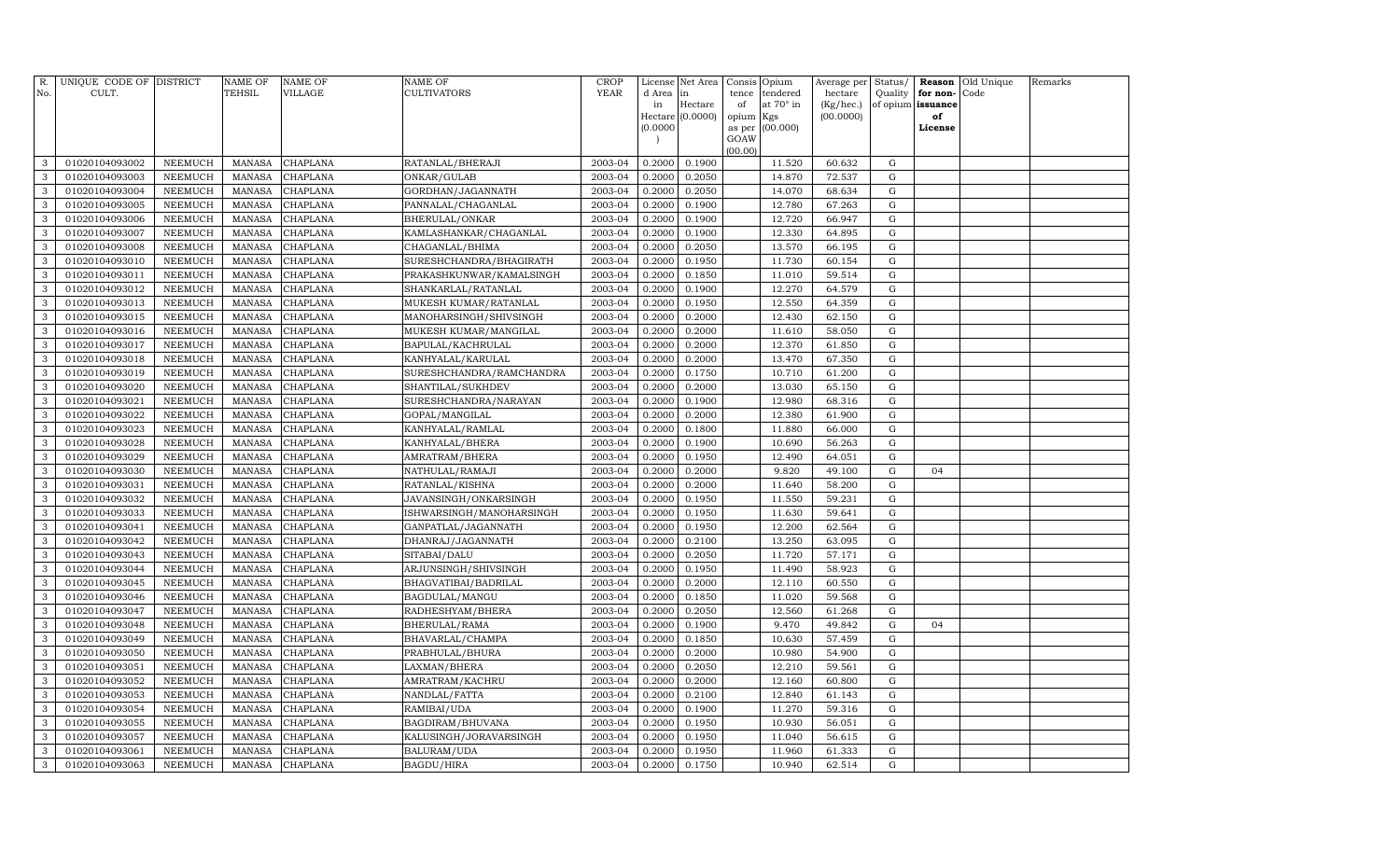| R.<br>No.    | UNIQUE CODE OF DISTRICT<br>CULT. |                                  | NAME OF<br><b>TEHSIL</b>       | <b>NAME OF</b><br>VILLAGE | <b>NAME OF</b><br><b>CULTIVATORS</b>    | CROP<br><b>YEAR</b> | License<br>d Area | Net Area<br>in      | Consis<br>tence | Opium<br>tendered | Average per<br>hectare | Status/<br>Quality | for non-       | <b>Reason</b> Old Unique<br>Code | Remarks |
|--------------|----------------------------------|----------------------------------|--------------------------------|---------------------------|-----------------------------------------|---------------------|-------------------|---------------------|-----------------|-------------------|------------------------|--------------------|----------------|----------------------------------|---------|
|              |                                  |                                  |                                |                           |                                         |                     | in<br>Hectare     | Hectare<br>(0.0000) | of<br>opium     | at 70° in<br>Kgs  | (Kg/hec.)<br>(00.0000) | of opium           | issuance<br>of |                                  |         |
|              |                                  |                                  |                                |                           |                                         |                     | (0.0000)          |                     | as per          | (00.000)          |                        |                    | License        |                                  |         |
|              |                                  |                                  |                                |                           |                                         |                     | $\overline{ }$    |                     | GOAW            |                   |                        |                    |                |                                  |         |
|              |                                  |                                  |                                |                           |                                         |                     |                   |                     | (00.00)         |                   |                        |                    |                |                                  |         |
| 3            | 01020104093002                   | NEEMUCH                          | <b>MANASA</b>                  | CHAPLANA                  | RATANLAL/BHERAJI                        | 2003-04             | 0.2000            | 0.1900              |                 | 11.520            | 60.632                 | G                  |                |                                  |         |
| 3<br>3       | 01020104093003                   | <b>NEEMUCH</b>                   | <b>MANASA</b>                  | CHAPLANA                  | ONKAR/GULAB                             | 2003-04<br>2003-04  | 0.2000            | 0.2050              |                 | 14.870            | 72.537                 | G                  |                |                                  |         |
| 3            | 01020104093004<br>01020104093005 | <b>NEEMUCH</b><br><b>NEEMUCH</b> | <b>MANASA</b><br><b>MANASA</b> | CHAPLANA<br>CHAPLANA      | GORDHAN/JAGANNATH<br>PANNALAL/CHAGANLAL | 2003-04             | 0.2000<br>0.2000  | 0.2050<br>0.1900    |                 | 14.070<br>12.780  | 68.634<br>67.263       | G<br>${\rm G}$     |                |                                  |         |
| 3            | 01020104093006                   | <b>NEEMUCH</b>                   | <b>MANASA</b>                  | CHAPLANA                  | BHERULAL/ONKAR                          | 2003-04             | 0.2000            | 0.1900              |                 | 12.720            | 66.947                 | G                  |                |                                  |         |
| 3            | 01020104093007                   | <b>NEEMUCH</b>                   | <b>MANASA</b>                  | CHAPLANA                  | KAMLASHANKAR/CHAGANLAL                  | 2003-04             | 0.2000            | 0.1900              |                 | 12.330            | 64.895                 | $\mathbf G$        |                |                                  |         |
| 3            | 01020104093008                   | <b>NEEMUCH</b>                   | <b>MANASA</b>                  | CHAPLANA                  | CHAGANLAL/BHIMA                         | 2003-04             | 0.2000            | 0.2050              |                 | 13.570            | 66.195                 | G                  |                |                                  |         |
| 3            | 01020104093010                   | <b>NEEMUCH</b>                   | <b>MANASA</b>                  | CHAPLANA                  | SURESHCHANDRA/BHAGIRATH                 | 2003-04             | 0.2000            | 0.1950              |                 | 11.730            | 60.154                 | G                  |                |                                  |         |
| 3            | 01020104093011                   | <b>NEEMUCH</b>                   | <b>MANASA</b>                  | CHAPLANA                  | PRAKASHKUNWAR/KAMALSINGH                | 2003-04             | 0.2000            | 0.1850              |                 | 11.010            | 59.514                 | $\mathbf G$        |                |                                  |         |
| 3            | 01020104093012                   | <b>NEEMUCH</b>                   | <b>MANASA</b>                  | CHAPLANA                  | SHANKARLAL/RATANLAL                     | 2003-04             | 0.2000            | 0.1900              |                 | 12.270            | 64.579                 | $\mathbf G$        |                |                                  |         |
| 3            | 01020104093013                   | <b>NEEMUCH</b>                   | <b>MANASA</b>                  | CHAPLANA                  | MUKESH KUMAR/RATANLAL                   | 2003-04             | 0.2000            | 0.1950              |                 | 12.550            | 64.359                 | $\mathbf G$        |                |                                  |         |
| 3            | 01020104093015                   | <b>NEEMUCH</b>                   | <b>MANASA</b>                  | CHAPLANA                  | MANOHARSINGH/SHIVSINGH                  | 2003-04             | 0.2000            | 0.2000              |                 | 12.430            | 62.150                 | ${\rm G}$          |                |                                  |         |
| 3            | 01020104093016                   | <b>NEEMUCH</b>                   | <b>MANASA</b>                  | CHAPLANA                  | MUKESH KUMAR/MANGILAL                   | 2003-04             | 0.2000            | 0.2000              |                 | 11.610            | 58.050                 | $\mathbf G$        |                |                                  |         |
| 3            | 01020104093017                   | <b>NEEMUCH</b>                   | <b>MANASA</b>                  | CHAPLANA                  | BAPULAL/KACHRULAL                       | 2003-04             | 0.2000            | 0.2000              |                 | 12.370            | 61.850                 | ${\rm G}$          |                |                                  |         |
| 3            | 01020104093018                   | <b>NEEMUCH</b>                   | <b>MANASA</b>                  | CHAPLANA                  | KANHYALAL/KARULAL                       | 2003-04             | 0.2000            | 0.2000              |                 | 13.470            | 67.350                 | ${\rm G}$          |                |                                  |         |
| 3            | 01020104093019                   | <b>NEEMUCH</b>                   | <b>MANASA</b>                  | CHAPLANA                  | SURESHCHANDRA/RAMCHANDRA                | 2003-04             | 0.2000            | 0.1750              |                 | 10.710            | 61.200                 | $\mathbf G$        |                |                                  |         |
| 3            | 01020104093020                   | <b>NEEMUCH</b>                   | <b>MANASA</b>                  | CHAPLANA                  | SHANTILAL/SUKHDEV                       | 2003-04             | 0.2000            | 0.2000              |                 | 13.030            | 65.150                 | G                  |                |                                  |         |
| 3            | 01020104093021                   | <b>NEEMUCH</b>                   | <b>MANASA</b>                  | CHAPLANA                  | SURESHCHANDRA/NARAYAN                   | 2003-04             | 0.2000            | 0.1900              |                 | 12.980            | 68.316                 | G                  |                |                                  |         |
| 3            | 01020104093022                   | <b>NEEMUCH</b>                   | <b>MANASA</b>                  | CHAPLANA                  | GOPAL/MANGILAL                          | 2003-04             | 0.2000            | 0.2000              |                 | 12.380            | 61.900                 | $\mathbf G$        |                |                                  |         |
| 3            | 01020104093023                   | <b>NEEMUCH</b>                   | <b>MANASA</b>                  | CHAPLANA                  | KANHYALAL/RAMLAL                        | 2003-04             | 0.2000            | 0.1800              |                 | 11.880            | 66.000                 | $\mathbf G$        |                |                                  |         |
| 3            | 01020104093028                   | <b>NEEMUCH</b>                   | <b>MANASA</b>                  | CHAPLANA                  | KANHYALAL/BHERA                         | 2003-04             | 0.2000            | 0.1900              |                 | 10.690            | 56.263                 | ${\rm G}$          |                |                                  |         |
| 3            | 01020104093029                   | <b>NEEMUCH</b>                   | <b>MANASA</b>                  | CHAPLANA                  | AMRATRAM/BHERA                          | 2003-04             | 0.2000            | 0.1950              |                 | 12.490            | 64.051                 | ${\rm G}$          |                |                                  |         |
| 3            | 01020104093030                   | <b>NEEMUCH</b>                   | <b>MANASA</b>                  | CHAPLANA                  | NATHULAL/RAMAJI                         | 2003-04             | 0.2000            | 0.2000              |                 | 9.820             | 49.100                 | ${\rm G}$          | 04             |                                  |         |
| 3            | 01020104093031                   | <b>NEEMUCH</b>                   | <b>MANASA</b>                  | CHAPLANA                  | RATANLAL/KISHNA                         | 2003-04             | 0.2000            | 0.2000              |                 | 11.640            | 58.200                 | G                  |                |                                  |         |
| 3            | 01020104093032                   | <b>NEEMUCH</b>                   | <b>MANASA</b>                  | CHAPLANA                  | JAVANSINGH/ONKARSINGH                   | 2003-04             | 0.2000            | 0.1950              |                 | 11.550            | 59.231                 | ${\rm G}$          |                |                                  |         |
| 3            | 01020104093033                   | <b>NEEMUCH</b>                   | <b>MANASA</b>                  | CHAPLANA                  | ISHWARSINGH/MANOHARSINGH                | 2003-04             | 0.2000            | 0.1950              |                 | 11.630            | 59.641                 | G                  |                |                                  |         |
| 3            | 01020104093041                   | <b>NEEMUCH</b>                   | <b>MANASA</b>                  | CHAPLANA                  | GANPATLAL/JAGANNATH                     | 2003-04             | 0.2000            | 0.1950              |                 | 12.200            | 62.564                 | $\mathbf G$        |                |                                  |         |
| 3            | 01020104093042                   | <b>NEEMUCH</b>                   | <b>MANASA</b>                  | CHAPLANA                  | DHANRAJ/JAGANNATH                       | 2003-04             | 0.2000            | 0.2100              |                 | 13.250            | 63.095                 | $\mathbf G$        |                |                                  |         |
| 3            | 01020104093043                   | <b>NEEMUCH</b>                   | <b>MANASA</b>                  | CHAPLANA                  | SITABAI/DALU                            | 2003-04             | 0.2000            | 0.2050              |                 | 11.720            | 57.171                 | $\mathbf G$        |                |                                  |         |
| 3            | 01020104093044                   | <b>NEEMUCH</b>                   | <b>MANASA</b>                  | CHAPLANA                  | ARJUNSINGH/SHIVSINGH                    | 2003-04             | 0.2000            | 0.1950              |                 | 11.490            | 58.923                 | ${\rm G}$          |                |                                  |         |
| 3            | 01020104093045                   | <b>NEEMUCH</b>                   | <b>MANASA</b>                  | CHAPLANA                  | BHAGVATIBAI/BADRILAL                    | 2003-04             | 0.2000            | 0.2000              |                 | 12.110            | 60.550                 | $\mathbf G$        |                |                                  |         |
| 3            | 01020104093046                   | <b>NEEMUCH</b>                   | <b>MANASA</b>                  | CHAPLANA                  | BAGDULAL/MANGU                          | 2003-04             | 0.2000            | 0.1850              |                 | 11.020            | 59.568                 | $\mathbf G$        |                |                                  |         |
| 3            | 01020104093047                   | <b>NEEMUCH</b>                   | <b>MANASA</b>                  | CHAPLANA                  | RADHESHYAM/BHERA                        | 2003-04             | 0.2000            | 0.2050              |                 | 12.560            | 61.268                 | ${\rm G}$          |                |                                  |         |
| 3            | 01020104093048                   | <b>NEEMUCH</b>                   | <b>MANASA</b>                  | CHAPLANA                  | BHERULAL/RAMA                           | 2003-04             | 0.2000            | 0.1900              |                 | 9.470             | 49.842                 | ${\rm G}$          | 04             |                                  |         |
| 3            | 01020104093049                   | <b>NEEMUCH</b>                   | <b>MANASA</b>                  | CHAPLANA                  | BHAVARLAL/CHAMPA                        | 2003-04             | 0.2000            | 0.1850              |                 | 10.630            | 57.459                 | ${\rm G}$          |                |                                  |         |
| 3<br>3       | 01020104093050<br>01020104093051 | <b>NEEMUCH</b><br><b>NEEMUCH</b> | <b>MANASA</b><br><b>MANASA</b> | CHAPLANA<br>CHAPLANA      | PRABHULAL/BHURA                         | 2003-04<br>2003-04  | 0.2000<br>0.2000  | 0.2000<br>0.2050    |                 | 10.980<br>12.210  | 54.900<br>59.561       | $\mathbf G$<br>G   |                |                                  |         |
| 3            | 01020104093052                   | <b>NEEMUCH</b>                   | <b>MANASA</b>                  | CHAPLANA                  | LAXMAN/BHERA<br>AMRATRAM/KACHRU         | 2003-04             | 0.2000            | 0.2000              |                 | 12.160            | 60.800                 | $\mathbf G$        |                |                                  |         |
| 3            | 01020104093053                   | <b>NEEMUCH</b>                   | <b>MANASA</b>                  | CHAPLANA                  | NANDLAL/FATTA                           | 2003-04             | 0.2000            | 0.2100              |                 | 12.840            | 61.143                 | G                  |                |                                  |         |
| 3            | 01020104093054                   | <b>NEEMUCH</b>                   | <b>MANASA</b>                  | CHAPLANA                  | RAMIBAI/UDA                             | 2003-04             | 0.2000            | 0.1900              |                 | 11.270            | 59.316                 | ${\rm G}$          |                |                                  |         |
| 3            | 01020104093055                   | <b>NEEMUCH</b>                   | <b>MANASA</b>                  | CHAPLANA                  | BAGDIRAM/BHUVANA                        | 2003-04             | 0.2000            | 0.1950              |                 | 10.930            | 56.051                 | $\mathbf G$        |                |                                  |         |
| 3            | 01020104093057                   | <b>NEEMUCH</b>                   | <b>MANASA</b>                  | CHAPLANA                  | KALUSINGH/JORAVARSINGH                  | 2003-04             | 0.2000            | 0.1950              |                 | 11.040            | 56.615                 | ${\rm G}$          |                |                                  |         |
| 3            | 01020104093061                   | <b>NEEMUCH</b>                   | <b>MANASA</b>                  | CHAPLANA                  | BALURAM/UDA                             | 2003-04             | 0.2000            | 0.1950              |                 | 11.960            | 61.333                 | ${\rm G}$          |                |                                  |         |
| $\mathbf{3}$ | 01020104093063                   | NEEMUCH                          | <b>MANASA</b>                  | CHAPLANA                  | <b>BAGDU/HIRA</b>                       | 2003-04             | 0.2000            | 0.1750              |                 | 10.940            | 62.514                 | ${\rm G}$          |                |                                  |         |
|              |                                  |                                  |                                |                           |                                         |                     |                   |                     |                 |                   |                        |                    |                |                                  |         |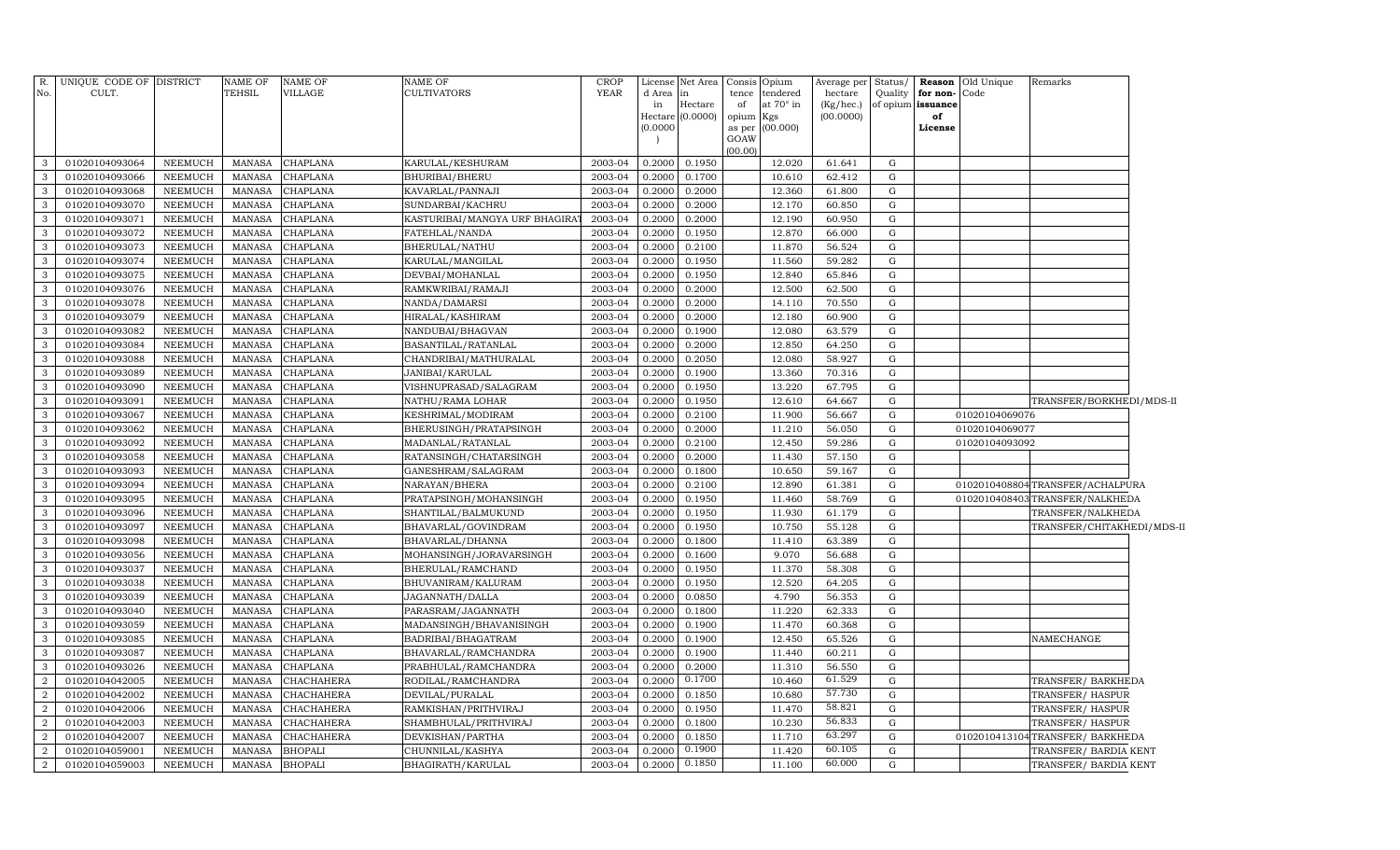| R.               | UNIQUE CODE OF DISTRICT |                | NAME OF       | <b>NAME OF</b>  | NAME OF                       | <b>CROP</b>            |           | License Net Area Consis |                 | Opium           | Average per  | Status/     | Reason            | Old Unique     | Remarks                         |  |
|------------------|-------------------------|----------------|---------------|-----------------|-------------------------------|------------------------|-----------|-------------------------|-----------------|-----------------|--------------|-------------|-------------------|----------------|---------------------------------|--|
| No.              | CULT.                   |                | TEHSIL        | VILLAGE         | CULTIVATORS                   | <b>YEAR</b>            | d Area in |                         | tence           | tendered        | hectare      | Quality     | for non-          | Code           |                                 |  |
|                  |                         |                |               |                 |                               |                        | in        | Hectare                 | of              | at 70° in       | $(Kg/$ hec.) |             | of opium issuance |                |                                 |  |
|                  |                         |                |               |                 |                               |                        | (0.0000)  | Hectare (0.0000)        | opium<br>as per | Kgs<br>(00.000) | (00.0000)    |             | of<br>License     |                |                                 |  |
|                  |                         |                |               |                 |                               |                        |           |                         | GOAW            |                 |              |             |                   |                |                                 |  |
|                  |                         |                |               |                 |                               |                        |           |                         | (00.00)         |                 |              |             |                   |                |                                 |  |
| 3                | 01020104093064          | NEEMUCH        | MANASA        | <b>CHAPLANA</b> | KARULAL/KESHURAM              | 2003-04                | 0.2000    | 0.1950                  |                 | 12.020          | 61.641       | G           |                   |                |                                 |  |
| 3                | 01020104093066          | <b>NEEMUCH</b> | MANASA        | <b>CHAPLANA</b> | BHURIBAI/BHERU                | 2003-04                | 0.2000    | 0.1700                  |                 | 10.610          | 62.412       | G           |                   |                |                                 |  |
| $\mathbf{3}$     | 01020104093068          | <b>NEEMUCH</b> | <b>MANASA</b> | <b>CHAPLANA</b> | KAVARLAL/PANNAJI              | 2003-04                | 0.2000    | 0.2000                  |                 | 12.360          | 61.800       | G           |                   |                |                                 |  |
| $\mathbf{3}$     | 01020104093070          | NEEMUCH        | MANASA        | <b>CHAPLANA</b> | SUNDARBAI/KACHRU              | 2003-04                | 0.2000    | 0.2000                  |                 | 12.170          | 60.850       | G           |                   |                |                                 |  |
| $\mathbf{3}$     | 01020104093071          | <b>NEEMUCH</b> | MANASA        | <b>CHAPLANA</b> | KASTURIBAI/MANGYA URF BHAGIRA | 2003-04                | 0.2000    | 0.2000                  |                 | 12.190          | 60.950       | G           |                   |                |                                 |  |
| $\mathbf{3}$     | 01020104093072          | NEEMUCH        | <b>MANASA</b> | CHAPLANA        | FATEHLAL/NANDA                | 2003-04                | 0.2000    | 0.1950                  |                 | 12.870          | 66.000       | G           |                   |                |                                 |  |
| 3                | 01020104093073          | <b>NEEMUCH</b> | MANASA        | <b>CHAPLANA</b> | BHERULAL/NATHU                | 2003-04                | 0.2000    | 0.2100                  |                 | 11.870          | 56.524       | $\mathbf G$ |                   |                |                                 |  |
| $\mathbf{3}$     | 01020104093074          | <b>NEEMUCH</b> | MANASA        | CHAPLANA        | KARULAL/MANGILAL              | 2003-04                | 0.2000    | 0.1950                  |                 | 11.560          | 59.282       | G           |                   |                |                                 |  |
| $\mathbf{3}$     | 01020104093075          | <b>NEEMUCH</b> | <b>MANASA</b> | CHAPLANA        | DEVBAI/MOHANLAL               | 2003-04                | 0.2000    | 0.1950                  |                 | 12.840          | 65.846       | $\mathbf G$ |                   |                |                                 |  |
| $\mathbf{3}$     | 01020104093076          | NEEMUCH        | <b>MANASA</b> | <b>CHAPLANA</b> | RAMKWRIBAI/RAMAJI             | 2003-04                | 0.2000    | 0.2000                  |                 | 12.500          | 62.500       | G           |                   |                |                                 |  |
| $\mathbf{3}$     | 01020104093078          | <b>NEEMUCH</b> | <b>MANASA</b> | CHAPLANA        | NANDA/DAMARSI                 | 2003-04                | 0.2000    | 0.2000                  |                 | 14.110          | 70.550       | $\mathbf G$ |                   |                |                                 |  |
| $\mathbf{3}$     | 01020104093079          | NEEMUCH        | <b>MANASA</b> | <b>CHAPLANA</b> | HIRALAL/KASHIRAM              | 2003-04                | 0.2000    | 0.2000                  |                 | 12.180          | 60.900       | $\mathbf G$ |                   |                |                                 |  |
| $\mathbf{3}$     | 01020104093082          | <b>NEEMUCH</b> | MANASA        | <b>CHAPLANA</b> | NANDUBAI/BHAGVAN              | 2003-04                | 0.2000    | 0.1900                  |                 | 12.080          | 63.579       | $\mathbf G$ |                   |                |                                 |  |
| $\mathbf{3}$     | 01020104093084          | NEEMUCH        | <b>MANASA</b> | <b>CHAPLANA</b> | BASANTILAL/RATANLAL           | 2003-04                | 0.2000    | 0.2000                  |                 | 12.850          | 64.250       | $\mathbf G$ |                   |                |                                 |  |
| $\mathbf{3}$     | 01020104093088          | <b>NEEMUCH</b> | MANASA        | <b>CHAPLANA</b> | CHANDRIBAI/MATHURALAL         | 2003-04                | 0.2000    | 0.2050                  |                 | 12.080          | 58.927       | ${\rm G}$   |                   |                |                                 |  |
| $\mathbf{3}$     | 01020104093089          | NEEMUCH        | <b>MANASA</b> | <b>CHAPLANA</b> | JANIBAI/KARULAL               | 2003-04                | 0.2000    | 0.1900                  |                 | 13.360          | 70.316       | ${\rm G}$   |                   |                |                                 |  |
| $\mathbf{3}$     | 01020104093090          | NEEMUCH        | MANASA        | CHAPLANA        | VISHNUPRASAD/SALAGRAM         | 2003-04                | 0.2000    | 0.1950                  |                 | 13.220          | 67.795       | G           |                   |                |                                 |  |
| $\mathbf{3}$     | 01020104093091          | NEEMUCH        | <b>MANASA</b> | CHAPLANA        | NATHU/RAMA LOHAR              | 2003-04                | 0.2000    | 0.1950                  |                 | 12.610          | 64.667       | ${\rm G}$   |                   |                | TRANSFER/BORKHEDI/MDS-II        |  |
| $\mathbf{3}$     | 01020104093067          | NEEMUCH        | MANASA        | CHAPLANA        | KESHRIMAL/MODIRAM             | 2003-04                | 0.2000    | 0.2100                  |                 | 11.900          | 56.667       | ${\rm G}$   |                   | 01020104069076 |                                 |  |
| $\mathbf{3}$     | 01020104093062          | NEEMUCH        | <b>MANASA</b> | CHAPLANA        | BHERUSINGH/PRATAPSINGH        | 2003-04                | 0.2000    | 0.2000                  |                 | 11.210          | 56.050       | ${\rm G}$   |                   | 01020104069077 |                                 |  |
| $\mathbf{3}$     | 01020104093092          | NEEMUCH        | MANASA        | <b>CHAPLANA</b> | MADANLAL/RATANLAL             | $\overline{2003} - 04$ | 0.2000    | 0.2100                  |                 | 12.450          | 59.286       | $\mathbf G$ |                   | 01020104093092 |                                 |  |
| $\mathbf{3}$     | 01020104093058          | NEEMUCH        | MANASA        | CHAPLANA        | RATANSINGH/CHATARSINGH        | 2003-04                | 0.2000    | 0.2000                  |                 | 11.430          | 57.150       | $\mathbf G$ |                   |                |                                 |  |
| $\mathbf{3}$     | 01020104093093          | NEEMUCH        | <b>MANASA</b> | CHAPLANA        | GANESHRAM/SALAGRAM            | 2003-04                | 0.2000    | 0.1800                  |                 | 10.650          | 59.167       | $\mathbf G$ |                   |                |                                 |  |
| $\mathbf{3}$     | 01020104093094          | <b>NEEMUCH</b> | <b>MANASA</b> | <b>CHAPLANA</b> | NARAYAN/BHERA                 | 2003-04                | 0.2000    | 0.2100                  |                 | 12.890          | 61.381       | ${\rm G}$   |                   |                | 0102010408804TRANSFER/ACHALPURA |  |
| $\mathbf{3}$     | 01020104093095          | NEEMUCH        | MANASA        | <b>CHAPLANA</b> | PRATAPSINGH/MOHANSINGH        | 2003-04                | 0.2000    | 0.1950                  |                 | 11.460          | 58.769       | ${\rm G}$   |                   |                | 0102010408403 TRANSFER/NALKHEDA |  |
| $\mathbf{3}$     | 01020104093096          | <b>NEEMUCH</b> | <b>MANASA</b> | <b>CHAPLANA</b> | SHANTILAL/BALMUKUND           | 2003-04                | 0.2000    | 0.1950                  |                 | 11.930          | 61.179       | ${\rm G}$   |                   |                | TRANSFER/NALKHEDA               |  |
| $\mathbf{3}$     | 01020104093097          | NEEMUCH        | MANASA        | CHAPLANA        | BHAVARLAL/GOVINDRAM           | 2003-04                | 0.2000    | 0.1950                  |                 | 10.750          | 55.128       | $\mathbf G$ |                   |                | TRANSFER/CHITAKHEDI/MDS-II      |  |
| $\mathbf{3}$     | 01020104093098          | NEEMUCH        | <b>MANASA</b> | CHAPLANA        | BHAVARLAL/DHANNA              | 2003-04                | 0.2000    | 0.1800                  |                 | 11.410          | 63.389       | ${\rm G}$   |                   |                |                                 |  |
| $\mathbf{3}$     | 01020104093056          | NEEMUCH        | MANASA        | CHAPLANA        | MOHANSINGH/JORAVARSINGH       | 2003-04                | 0.2000    | 0.1600                  |                 | 9.070           | 56.688       | $\mathbf G$ |                   |                |                                 |  |
| $\mathbf{3}$     | 01020104093037          | NEEMUCH        | MANASA        | CHAPLANA        | BHERULAL/RAMCHAND             | 2003-04                | 0.2000    | 0.1950                  |                 | 11.370          | 58.308       | $\mathbf G$ |                   |                |                                 |  |
| $\mathbf{3}$     | 01020104093038          | NEEMUCH        | <b>MANASA</b> | CHAPLANA        | BHUVANIRAM/KALURAM            | 2003-04                | 0.2000    | 0.1950                  |                 | 12.520          | 64.205       | $\mathbf G$ |                   |                |                                 |  |
| $\mathbf{3}$     | 01020104093039          | NEEMUCH        | MANASA        | CHAPLANA        | JAGANNATH/DALLA               | 2003-04                | 0.2000    | 0.0850                  |                 | 4.790           | 56.353       | ${\rm G}$   |                   |                |                                 |  |
| $\mathbf{3}$     | 01020104093040          | NEEMUCH        | <b>MANASA</b> | CHAPLANA        | PARASRAM/JAGANNATH            | 2003-04                | 0.2000    | 0.1800                  |                 | 11.220          | 62.333       | ${\rm G}$   |                   |                |                                 |  |
| $\mathbf{3}$     | 01020104093059          | NEEMUCH        | MANASA        | CHAPLANA        | MADANSINGH/BHAVANISINGH       | 2003-04                | 0.2000    | 0.1900                  |                 | 11.470          | 60.368       | $\mathbf G$ |                   |                |                                 |  |
| $\mathbf{3}$     | 01020104093085          | NEEMUCH        | MANASA        | CHAPLANA        | BADRIBAI/BHAGATRAM            | 2003-04                | 0.2000    | 0.1900                  |                 | 12.450          | 65.526       | G           |                   |                | NAMECHANGE                      |  |
| $\mathbf{3}$     | 01020104093087          | NEEMUCH        | <b>MANASA</b> | CHAPLANA        | BHAVARLAL/RAMCHANDRA          | 2003-04                | 0.2000    | 0.1900                  |                 | 11.440          | 60.211       | $\mathbf G$ |                   |                |                                 |  |
| $\mathbf{3}$     | 01020104093026          | NEEMUCH        | MANASA        | CHAPLANA        | PRABHULAL/RAMCHANDRA          | 2003-04                | 0.2000    | 0.2000                  |                 | 11.310          | 56.550       | G           |                   |                |                                 |  |
| $\overline{2}$   | 01020104042005          | NEEMUCH        | <b>MANASA</b> | CHACHAHERA      | RODILAL/RAMCHANDRA            | 2003-04                | 0.2000    | 0.1700                  |                 | 10.460          | 61.529       | G           |                   |                | TRANSFER/ BARKHEDA              |  |
| $\overline{a}$   | 01020104042002          | NEEMUCH        | <b>MANASA</b> | CHACHAHERA      | DEVILAL/PURALAL               | 2003-04                | 0.2000    | 0.1850                  |                 | 10.680          | 57.730       | G           |                   |                | TRANSFER/HASPUR                 |  |
| $\boldsymbol{2}$ | 01020104042006          | NEEMUCH        | <b>MANASA</b> | CHACHAHERA      | RAMKISHAN/PRITHVIRAJ          | 2003-04                | 0.2000    | 0.1950                  |                 | 11.470          | 58.821       | G           |                   |                | TRANSFER/HASPUR                 |  |
| $\overline{a}$   | 01020104042003          | NEEMUCH        | <b>MANASA</b> | CHACHAHERA      | SHAMBHULAL/PRITHVIRAJ         | 2003-04                | 0.2000    | 0.1800                  |                 | 10.230          | 56.833       | G           |                   |                | TRANSFER/HASPUR                 |  |
| $\boldsymbol{2}$ | 01020104042007          | NEEMUCH        | <b>MANASA</b> | CHACHAHERA      | DEVKISHAN/PARTHA              | 2003-04                | 0.2000    | 0.1850                  |                 | 11.710          | 63.297       | G           |                   |                | 0102010413104TRANSFER/ BARKHEDA |  |
| 2                | 01020104059001          | <b>NEEMUCH</b> | <b>MANASA</b> | <b>BHOPALI</b>  | CHUNNILAL/KASHYA              | 2003-04                | 0.2000    | 0.1900                  |                 | 11.420          | 60.105       | G           |                   |                | TRANSFER/ BARDIA KENT           |  |
| $\overline{a}$   | 01020104059003          | NEEMUCH        | MANASA        | <b>BHOPALI</b>  | BHAGIRATH/KARULAL             | 2003-04                | 0.2000    | 0.1850                  |                 | 11.100          | 60.000       | G           |                   |                | TRANSFER/ BARDIA KENT           |  |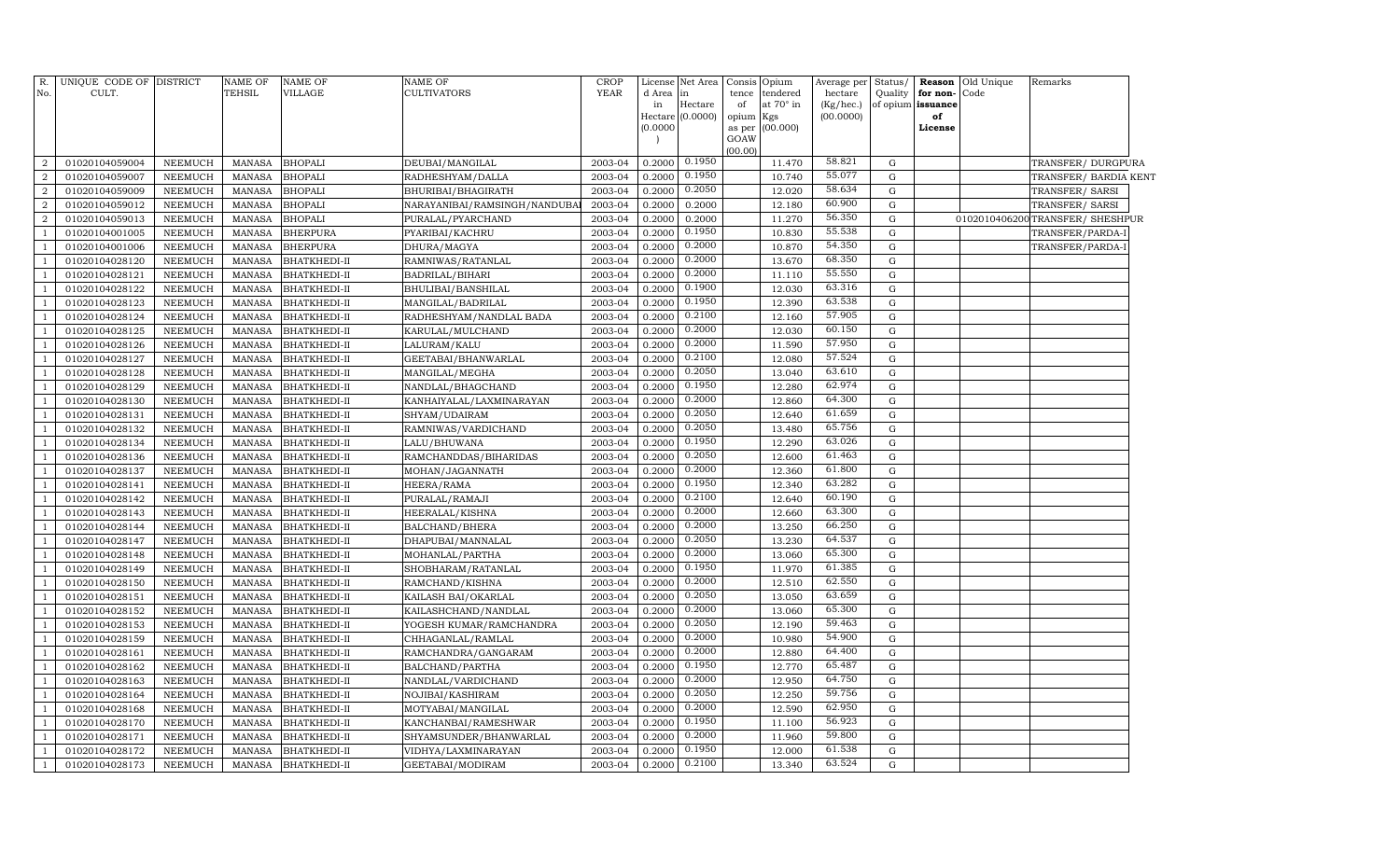| R.                               | UNIQUE CODE OF DISTRICT          |                                  | <b>NAME OF</b>                 | NAME OF                      | NAME OF                                   | CROP               | License          | Net Area           | Consis          | Opium                        | Average per          | Status/     |                                   | <b>Reason</b> Old Unique | Remarks                          |  |
|----------------------------------|----------------------------------|----------------------------------|--------------------------------|------------------------------|-------------------------------------------|--------------------|------------------|--------------------|-----------------|------------------------------|----------------------|-------------|-----------------------------------|--------------------------|----------------------------------|--|
| No.                              | CULT.                            |                                  | TEHSIL                         | VILLAGE                      | <b>CULTIVATORS</b>                        | <b>YEAR</b>        | d Area<br>in     | lin<br>Hectare     | tence<br>of     | tendered<br>at $70^\circ$ in | hectare<br>(Kg/hec.) | Quality     | for non-Code<br>of opium issuance |                          |                                  |  |
|                                  |                                  |                                  |                                |                              |                                           |                    |                  | Hectare $(0.0000)$ | opium           | Kgs                          | (00.0000)            |             | of                                |                          |                                  |  |
|                                  |                                  |                                  |                                |                              |                                           |                    | (0.0000)         |                    | as per          | (00.000)                     |                      |             | License                           |                          |                                  |  |
|                                  |                                  |                                  |                                |                              |                                           |                    |                  |                    | GOAW<br>(00.00) |                              |                      |             |                                   |                          |                                  |  |
| $\overline{2}$                   | 01020104059004                   | <b>NEEMUCH</b>                   | <b>MANASA</b>                  | <b>BHOPALI</b>               | DEUBAI/MANGILAL                           | 2003-04            | 0.2000           | 0.1950             |                 | 11.470                       | 58.821               | $\mathbf G$ |                                   |                          | TRANSFER/DURGPURA                |  |
| $\overline{2}$                   | 01020104059007                   | NEEMUCH                          | <b>MANASA</b>                  | <b>BHOPALI</b>               | RADHESHYAM/DALLA                          | 2003-04            | 0.2000           | 0.1950             |                 | 10.740                       | 55.077               | G           |                                   |                          | TRANSFER/ BARDIA KENT            |  |
| $\overline{2}$                   | 01020104059009                   | <b>NEEMUCH</b>                   | <b>MANASA</b>                  | <b>BHOPALI</b>               | BHURIBAI/BHAGIRATH                        | 2003-04            | 0.2000           | 0.2050             |                 | 12.020                       | 58.634               | G           |                                   |                          | TRANSFER/SARSI                   |  |
| $\overline{a}$                   | 01020104059012                   | <b>NEEMUCH</b>                   | <b>MANASA</b>                  | <b>BHOPALI</b>               | NARAYANIBAI/RAMSINGH/NANDUBA              | 2003-04            | 0.2000           | 0.2000             |                 | 12.180                       | 60.900               | G           |                                   |                          | TRANSFER/SARSI                   |  |
| 2                                | 01020104059013                   | <b>NEEMUCH</b>                   | <b>MANASA</b>                  | <b>BHOPALI</b>               | PURALAL/PYARCHAND                         | 2003-04            | 0.2000           | 0.2000             |                 | 11.270                       | 56.350               | G           |                                   |                          | 0102010406200 TRANSFER/ SHESHPUR |  |
| -1                               | 01020104001005                   | <b>NEEMUCH</b>                   | <b>MANASA</b>                  | <b>BHERPURA</b>              | PYARIBAI/KACHRU                           | 2003-04            | 0.2000           | 0.1950             |                 | 10.830                       | 55.538               | $\mathbf G$ |                                   |                          | TRANSFER/PARDA-I                 |  |
| $\mathbf{1}$                     | 01020104001006                   | <b>NEEMUCH</b>                   | <b>MANASA</b>                  | <b>BHERPURA</b>              | DHURA/MAGYA                               | 2003-04            | 0.2000           | 0.2000             |                 | 10.870                       | 54.350               | G           |                                   |                          | TRANSFER/PARDA-I                 |  |
| $\overline{1}$                   | 01020104028120                   | <b>NEEMUCH</b>                   | <b>MANASA</b>                  | BHATKHEDI-II                 | RAMNIWAS/RATANLAL                         | 2003-04            | 0.2000           | 0.2000             |                 | 13.670                       | 68.350               | $\mathbf G$ |                                   |                          |                                  |  |
|                                  | 01020104028121                   | <b>NEEMUCH</b>                   | <b>MANASA</b>                  | BHATKHEDI-II                 | BADRILAL/BIHARI                           | 2003-04            | 0.2000           | 0.2000             |                 | 11.110                       | 55.550               | ${\rm G}$   |                                   |                          |                                  |  |
| $\overline{1}$                   | 01020104028122                   | <b>NEEMUCH</b>                   | <b>MANASA</b>                  | BHATKHEDI-II                 | BHULIBAI/BANSHILAL                        | 2003-04            | 0.2000           | 0.1900             |                 | 12.030                       | 63.316               | G           |                                   |                          |                                  |  |
|                                  | 01020104028123                   | NEEMUCH                          | <b>MANASA</b>                  | BHATKHEDI-II                 | MANGILAL/BADRILAL                         | 2003-04            | 0.2000           | 0.1950             |                 | 12.390                       | 63.538               | ${\rm G}$   |                                   |                          |                                  |  |
| $\mathbf{1}$                     | 01020104028124                   | <b>NEEMUCH</b>                   | <b>MANASA</b>                  | BHATKHEDI-II                 | RADHESHYAM/NANDLAL BADA                   | 2003-04            | 0.2000           | 0.2100             |                 | 12.160                       | 57.905               | G           |                                   |                          |                                  |  |
| $\mathbf{1}$                     | 01020104028125                   | <b>NEEMUCH</b>                   | <b>MANASA</b>                  | BHATKHEDI-II                 | KARULAL/MULCHAND                          | 2003-04            | 0.2000           | 0.2000             |                 | 12.030                       | 60.150               | G           |                                   |                          |                                  |  |
| -1                               | 01020104028126                   | <b>NEEMUCH</b>                   | <b>MANASA</b>                  | BHATKHEDI-II                 | LALURAM/KALU                              | 2003-04            | 0.2000           | 0.2000             |                 | 11.590                       | 57.950               | $\mathbf G$ |                                   |                          |                                  |  |
| $\overline{1}$                   | 01020104028127                   | <b>NEEMUCH</b>                   | <b>MANASA</b>                  | BHATKHEDI-II                 | GEETABAI/BHANWARLAL                       | 2003-04            | 0.2000           | 0.2100             |                 | 12.080                       | 57.524               | G           |                                   |                          |                                  |  |
| $\overline{1}$                   | 01020104028128                   | <b>NEEMUCH</b>                   | <b>MANASA</b>                  | BHATKHEDI-II                 | MANGILAL/MEGHA                            | 2003-04            | 0.2000           | 0.2050             |                 | 13.040                       | 63.610               | G           |                                   |                          |                                  |  |
| 1                                | 01020104028129                   | <b>NEEMUCH</b>                   | <b>MANASA</b>                  | BHATKHEDI-II                 | NANDLAL/BHAGCHAND                         | 2003-04            | 0.2000           | 0.1950             |                 | 12.280                       | 62.974               | G           |                                   |                          |                                  |  |
| $\mathbf{1}$                     | 01020104028130                   | <b>NEEMUCH</b>                   | <b>MANASA</b>                  | BHATKHEDI-II                 | KANHAIYALAL/LAXMINARAYAN                  | 2003-04            | 0.2000           | 0.2000             |                 | 12.860                       | 64.300               | G           |                                   |                          |                                  |  |
| $\overline{1}$                   | 01020104028131                   | <b>NEEMUCH</b>                   | <b>MANASA</b>                  | BHATKHEDI-II                 | SHYAM/UDAIRAM                             | 2003-04            | 0.2000           | 0.2050             |                 | 12.640                       | 61.659               | ${\rm G}$   |                                   |                          |                                  |  |
| $\overline{1}$                   | 01020104028132                   | <b>NEEMUCH</b>                   | <b>MANASA</b>                  | BHATKHEDI-II                 | RAMNIWAS/VARDICHAND                       | 2003-04            | 0.2000           | 0.2050             |                 | 13.480                       | 65.756               | $\mathbf G$ |                                   |                          |                                  |  |
| $\mathbf{1}$                     | 01020104028134                   | <b>NEEMUCH</b>                   | <b>MANASA</b>                  | BHATKHEDI-II                 | LALU/BHUWANA                              | 2003-04            | 0.2000           | 0.1950             |                 | 12.290                       | 63.026               | G           |                                   |                          |                                  |  |
| -1                               | 01020104028136                   | <b>NEEMUCH</b>                   | <b>MANASA</b>                  | BHATKHEDI-II                 | RAMCHANDDAS/BIHARIDAS                     | 2003-04            | 0.2000           | 0.2050             |                 | 12.600                       | 61.463               | $\mathbf G$ |                                   |                          |                                  |  |
| $\mathbf{1}$                     | 01020104028137                   | <b>NEEMUCH</b>                   | <b>MANASA</b>                  | BHATKHEDI-II                 | MOHAN/JAGANNATH                           | 2003-04            | 0.2000           | 0.2000             |                 | 12.360                       | 61.800               | G           |                                   |                          |                                  |  |
| $\overline{1}$                   | 01020104028141                   | <b>NEEMUCH</b>                   | <b>MANASA</b>                  | BHATKHEDI-II                 | HEERA/RAMA                                | 2003-04            | 0.2000           | 0.1950             |                 | 12.340                       | 63.282               | G           |                                   |                          |                                  |  |
| $\overline{1}$                   | 01020104028142                   | <b>NEEMUCH</b>                   | <b>MANASA</b>                  | BHATKHEDI-II                 | PURALAL/RAMAJI                            | 2003-04            | 0.2000           | 0.2100             |                 | 12.640                       | 60.190               | G           |                                   |                          |                                  |  |
| $\overline{1}$                   | 01020104028143                   | <b>NEEMUCH</b>                   | <b>MANASA</b>                  | BHATKHEDI-II                 | HEERALAL/KISHNA                           | 2003-04            | 0.2000           | 0.2000             |                 | 12.660                       | 63.300               | G           |                                   |                          |                                  |  |
| $\mathbf{1}$                     | 01020104028144                   | <b>NEEMUCH</b>                   | <b>MANASA</b>                  | BHATKHEDI-II                 | BALCHAND/BHERA                            | 2003-04            | 0.2000           | 0.2000             |                 | 13.250                       | 66.250               | G           |                                   |                          |                                  |  |
| $\overline{1}$                   | 01020104028147                   | <b>NEEMUCH</b>                   | <b>MANASA</b>                  | BHATKHEDI-II                 | DHAPUBAI/MANNALAL                         | 2003-04            | 0.2000           | 0.2050             |                 | 13.230                       | 64.537               | G           |                                   |                          |                                  |  |
| 1                                | 01020104028148                   | <b>NEEMUCH</b>                   | <b>MANASA</b>                  | BHATKHEDI-II                 | MOHANLAL/PARTHA                           | 2003-04            | 0.2000           | 0.2000             |                 | 13.060                       | 65.300               | G           |                                   |                          |                                  |  |
| $\overline{1}$                   | 01020104028149                   | <b>NEEMUCH</b>                   | <b>MANASA</b>                  | BHATKHEDI-II                 | SHOBHARAM/RATANLAL                        | 2003-04            | 0.2000           | 0.1950             |                 | 11.970                       | 61.385               | $\mathbf G$ |                                   |                          |                                  |  |
| $\overline{1}$                   | 01020104028150                   | <b>NEEMUCH</b>                   | <b>MANASA</b>                  | BHATKHEDI-II                 | RAMCHAND/KISHNA                           | 2003-04            | 0.2000           | 0.2000             |                 | 12.510                       | 62.550               | G           |                                   |                          |                                  |  |
| $\overline{1}$                   | 01020104028151                   | <b>NEEMUCH</b>                   | <b>MANASA</b>                  | BHATKHEDI-II                 | KAILASH BAI/OKARLAL                       | 2003-04            | 0.2000           | 0.2050             |                 | 13.050                       | 63.659               | G           |                                   |                          |                                  |  |
| 1                                | 01020104028152                   | <b>NEEMUCH</b>                   | <b>MANASA</b>                  | BHATKHEDI-II                 | KAILASHCHAND/NANDLAL                      | 2003-04            | 0.2000           | 0.2000             |                 | 13.060                       | 65.300               | G           |                                   |                          |                                  |  |
| $\overline{1}$                   | 01020104028153                   | <b>NEEMUCH</b>                   | <b>MANASA</b>                  | BHATKHEDI-II                 | YOGESH KUMAR/RAMCHANDRA                   | 2003-04            | 0.2000           | 0.2050             |                 | 12.190                       | 59.463               | $\mathbf G$ |                                   |                          |                                  |  |
| $\mathbf{1}$                     | 01020104028159                   | <b>NEEMUCH</b>                   | <b>MANASA</b>                  | BHATKHEDI-II                 | CHHAGANLAL/RAMLAL                         | 2003-04            | 0.2000           | 0.2000             |                 | 10.980                       | 54.900               | G           |                                   |                          |                                  |  |
| $\overline{1}$                   | 01020104028161                   | <b>NEEMUCH</b>                   | <b>MANASA</b>                  | BHATKHEDI-II                 | RAMCHANDRA/GANGARAM                       | 2003-04            | 0.2000           | 0.2000<br>0.1950   |                 | 12.880                       | 64.400<br>65.487     | G           |                                   |                          |                                  |  |
| 1                                | 01020104028162                   | <b>NEEMUCH</b>                   | <b>MANASA</b>                  | BHATKHEDI-II                 | BALCHAND/PARTHA                           | 2003-04            | 0.2000           | 0.2000             |                 | 12.770                       | 64.750               | G           |                                   |                          |                                  |  |
| $\overline{1}$<br>$\overline{1}$ | 01020104028163<br>01020104028164 | <b>NEEMUCH</b><br><b>NEEMUCH</b> | <b>MANASA</b><br><b>MANASA</b> | BHATKHEDI-II                 | NANDLAL/VARDICHAND                        | 2003-04<br>2003-04 | 0.2000<br>0.2000 | 0.2050             |                 | 12.950<br>12.250             | 59.756               | G<br>G      |                                   |                          |                                  |  |
| $\mathbf{1}$                     |                                  | <b>NEEMUCH</b>                   | <b>MANASA</b>                  | BHATKHEDI-II                 | NOJIBAI/KASHIRAM                          |                    | 0.2000           | 0.2000             |                 | 12.590                       | 62.950               | G           |                                   |                          |                                  |  |
|                                  | 01020104028168<br>01020104028170 | NEEMUCH                          | <b>MANASA</b>                  | BHATKHEDI-II<br>BHATKHEDI-II | MOTYABAI/MANGILAL<br>KANCHANBAI/RAMESHWAR | 2003-04<br>2003-04 | 0.2000           | 0.1950             |                 | 11.100                       | 56.923               | G           |                                   |                          |                                  |  |
|                                  | 01020104028171                   | NEEMUCH                          | <b>MANASA</b>                  | BHATKHEDI-II                 | SHYAMSUNDER/BHANWARLAL                    | 2003-04            | 0.2000           | 0.2000             |                 | 11.960                       | 59.800               | G           |                                   |                          |                                  |  |
| $\mathbf{1}$                     | 01020104028172                   | <b>NEEMUCH</b>                   | <b>MANASA</b>                  | BHATKHEDI-II                 | VIDHYA/LAXMINARAYAN                       | 2003-04            | 0.2000           | 0.1950             |                 | 12.000                       | 61.538               | G           |                                   |                          |                                  |  |
| $\mathbf{1}$                     | 01020104028173                   | NEEMUCH                          | MANASA                         | <b>BHATKHEDI-II</b>          | GEETABAI/MODIRAM                          | 2003-04            | 0.2000           | 0.2100             |                 | 13.340                       | 63.524               | G           |                                   |                          |                                  |  |
|                                  |                                  |                                  |                                |                              |                                           |                    |                  |                    |                 |                              |                      |             |                                   |                          |                                  |  |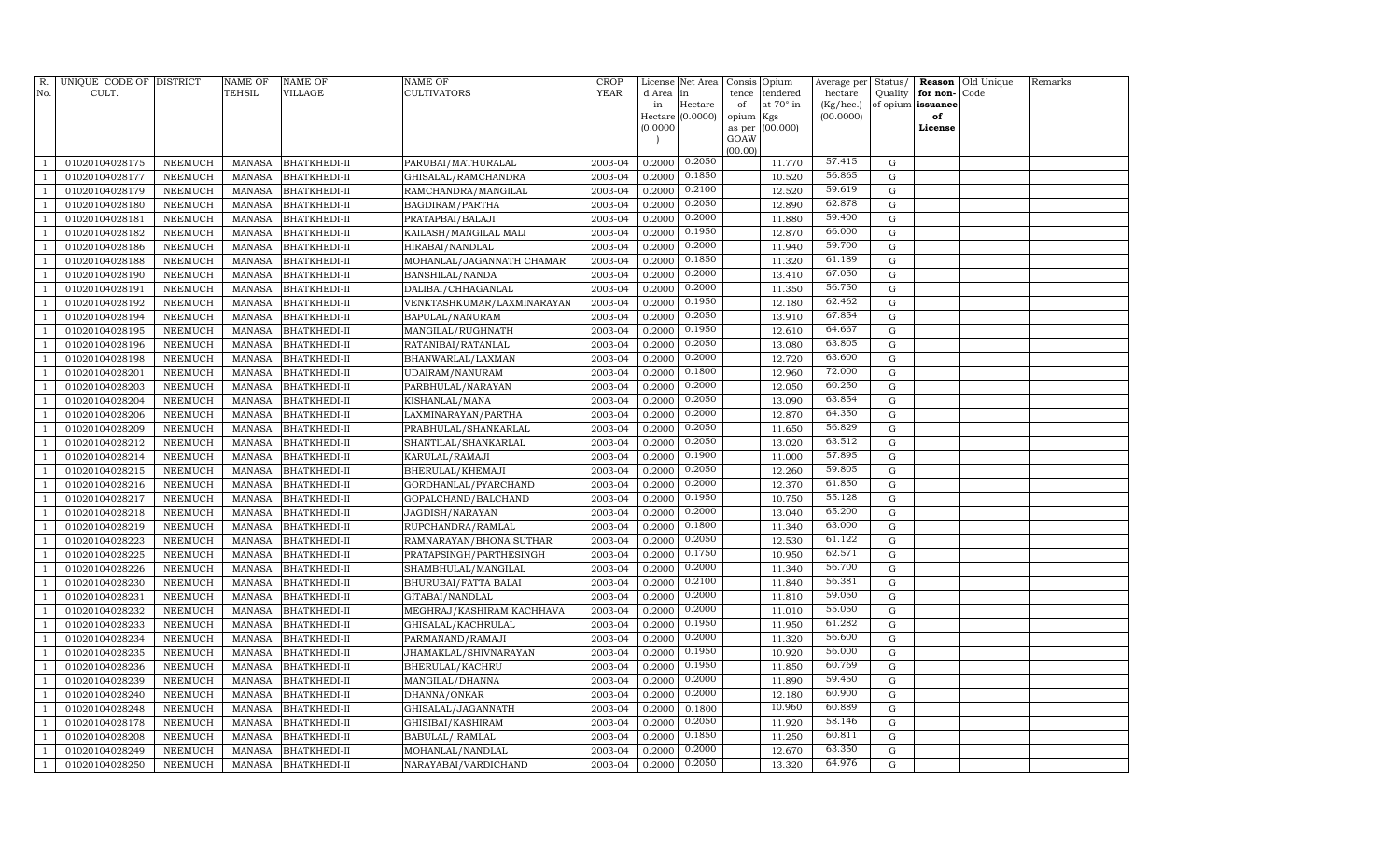| R.                   | UNIQUE CODE OF DISTRICT          |                    | <b>NAME OF</b>                 | NAME OF                      | NAME OF                            | CROP               |                  | License Net Area | Consis Opium                      | Average per          | Status/   |                               | <b>Reason</b> Old Unique | Remarks |
|----------------------|----------------------------------|--------------------|--------------------------------|------------------------------|------------------------------------|--------------------|------------------|------------------|-----------------------------------|----------------------|-----------|-------------------------------|--------------------------|---------|
| No.                  | CULT.                            |                    | <b>TEHSIL</b>                  | VILLAGE                      | CULTIVATORS                        | <b>YEAR</b>        | d Area in<br>in  | Hectare          | tence tendered<br>at 70° in<br>of | hectare<br>(Kg/hec.) | Quality   | for non-<br>of opium issuance | Code                     |         |
|                      |                                  |                    |                                |                              |                                    |                    |                  | Hectare (0.0000) | opium Kgs                         | (00.0000)            |           | of                            |                          |         |
|                      |                                  |                    |                                |                              |                                    |                    | (0.0000)         |                  | as per (00.000)                   |                      |           | License                       |                          |         |
|                      |                                  |                    |                                |                              |                                    |                    |                  |                  | GOAW                              |                      |           |                               |                          |         |
| $\overline{1}$       | 01020104028175                   | NEEMUCH            |                                | <b>BHATKHEDI-II</b>          | PARUBAI/MATHURALAL                 | 2003-04            | 0.2000           | 0.2050           | (00.00)<br>11.770                 | 57.415               | G         |                               |                          |         |
| -1                   | 01020104028177                   | NEEMUCH            | MANASA<br><b>MANASA</b>        | <b>BHATKHEDI-II</b>          | GHISALAL/RAMCHANDRA                | 2003-04            | 0.2000           | 0.1850           | 10.520                            | 56.865               | G         |                               |                          |         |
| $\overline{1}$       | 01020104028179                   | NEEMUCH            | <b>MANASA</b>                  | <b>BHATKHEDI-II</b>          | RAMCHANDRA/MANGILAL                | 2003-04            | 0.2000           | 0.2100           | 12.520                            | 59.619               | G         |                               |                          |         |
| $\overline{1}$       | 01020104028180                   | NEEMUCH            | MANASA                         | <b>BHATKHEDI-II</b>          | BAGDIRAM/PARTHA                    | 2003-04            | 0.2000           | 0.2050           | 12.890                            | 62.878               | G         |                               |                          |         |
| -1                   | 01020104028181                   | NEEMUCH            | MANASA                         | <b>BHATKHEDI-II</b>          | PRATAPBAI/BALAJI                   | 2003-04            | 0.2000           | 0.2000           | 11.880                            | 59.400               | G         |                               |                          |         |
| $\overline{1}$       | 01020104028182                   | <b>NEEMUCH</b>     | MANASA                         | BHATKHEDI-II                 | KAILASH/MANGILAL MALI              | 2003-04            | 0.2000           | 0.1950           | 12.870                            | 66.000               | G         |                               |                          |         |
| -1                   | 01020104028186                   | NEEMUCH            | <b>MANASA</b>                  | BHATKHEDI-II                 | HIRABAI/NANDLAL                    | 2003-04            | 0.2000           | 0.2000           | 11.940                            | 59.700               | G         |                               |                          |         |
| $\overline{1}$       | 01020104028188                   | NEEMUCH            | <b>MANASA</b>                  | <b>BHATKHEDI-II</b>          | MOHANLAL/JAGANNATH CHAMAR          | 2003-04            | 0.2000           | 0.1850           | 11.320                            | 61.189               | G         |                               |                          |         |
| $\overline{1}$       | 01020104028190                   | NEEMUCH            | <b>MANASA</b>                  | BHATKHEDI-II                 | BANSHILAL/NANDA                    | 2003-04            | 0.2000           | 0.2000           | 13.410                            | 67.050               | G         |                               |                          |         |
| $\overline{1}$       | 01020104028191                   | NEEMUCH            | <b>MANASA</b>                  | BHATKHEDI-II                 | DALIBAI/CHHAGANLAL                 | 2003-04            | 0.2000           | 0.2000           | 11.350                            | 56.750               | ${\rm G}$ |                               |                          |         |
| $\overline{1}$       | 01020104028192                   | NEEMUCH            | <b>MANASA</b>                  | BHATKHEDI-II                 | VENKTASHKUMAR/LAXMINARAYAN         | 2003-04            | 0.2000           | 0.1950           | 12.180                            | 62.462               | G         |                               |                          |         |
| $\overline{1}$       | 01020104028194                   | NEEMUCH            | MANASA                         | <b>BHATKHEDI-II</b>          | BAPULAL/NANURAM                    | 2003-04            | 0.2000           | 0.2050           | 13.910                            | 67.854               | G         |                               |                          |         |
| $\overline{1}$       | 01020104028195                   | NEEMUCH            | <b>MANASA</b>                  | BHATKHEDI-II                 | MANGILAL/RUGHNATH                  | 2003-04            | 0.2000           | 0.1950           | 12.610                            | 64.667               | G         |                               |                          |         |
| -1                   | 01020104028196                   | <b>NEEMUCH</b>     | MANASA                         | BHATKHEDI-II                 | RATANIBAI/RATANLAL                 | 2003-04            | 0.2000           | 0.2050           | 13.080                            | 63.805               | G         |                               |                          |         |
| $\overline{1}$       | 01020104028198                   | NEEMUCH            | <b>MANASA</b>                  | BHATKHEDI-II                 | BHANWARLAL/LAXMAN                  | 2003-04            | 0.2000           | 0.2000           | 12.720                            | 63.600               | G         |                               |                          |         |
| $\overline{1}$       | 01020104028201                   | NEEMUCH            | <b>MANASA</b>                  | BHATKHEDI-II                 | UDAIRAM/NANURAM                    | 2003-04            | 0.2000           | 0.1800           | 12.960                            | 72.000               | G         |                               |                          |         |
| $\overline{1}$       | 01020104028203                   | NEEMUCH            | <b>MANASA</b>                  | BHATKHEDI-II                 | PARBHULAL/NARAYAN                  | 2003-04            | 0.2000           | 0.2000           | 12.050                            | 60.250               | G         |                               |                          |         |
| $\overline{1}$       | 01020104028204                   | NEEMUCH            | <b>MANASA</b>                  | <b>BHATKHEDI-II</b>          | KISHANLAL/MANA                     | 2003-04            | 0.2000           | 0.2050           | 13.090                            | 63.854               | G         |                               |                          |         |
| $\overline{1}$       | 01020104028206                   | NEEMUCH            | <b>MANASA</b>                  | BHATKHEDI-II                 | LAXMINARAYAN/PARTHA                | 2003-04            | 0.2000           | 0.2000           | 12.870                            | 64.350               | G         |                               |                          |         |
| $\overline{1}$       | 01020104028209                   | NEEMUCH            | <b>MANASA</b>                  | BHATKHEDI-II                 | PRABHULAL/SHANKARLAL               | 2003-04            | 0.2000           | 0.2050           | 11.650                            | 56.829               | G         |                               |                          |         |
| $\overline{1}$       | 01020104028212                   | NEEMUCH            | MANASA                         | BHATKHEDI-II                 | SHANTILAL/SHANKARLAL               | 2003-04            | 0.2000           | 0.2050           | 13.020                            | 63.512               | G         |                               |                          |         |
| $\overline{1}$       | 01020104028214                   | NEEMUCH            | MANASA                         | <b>BHATKHEDI-II</b>          | KARULAL/RAMAJI                     | 2003-04            | 0.2000           | 0.1900           | 11.000                            | 57.895               | G         |                               |                          |         |
| $\overline{1}$       | 01020104028215                   | NEEMUCH            | <b>MANASA</b>                  | BHATKHEDI-II                 | BHERULAL/KHEMAJI                   | 2003-04            | 0.2000           | 0.2050           | 12.260                            | 59.805               | G         |                               |                          |         |
| -1                   | 01020104028216                   | NEEMUCH            | <b>MANASA</b>                  | BHATKHEDI-II                 | GORDHANLAL/PYARCHAND               | 2003-04            | 0.2000           | 0.2000           | 12.370                            | 61.850               | G         |                               |                          |         |
| -1                   | 01020104028217                   | NEEMUCH            | <b>MANASA</b>                  | BHATKHEDI-II                 | GOPALCHAND/BALCHAND                | 2003-04            | 0.2000           | 0.1950           | 10.750                            | 55.128               | G         |                               |                          |         |
| $\overline{1}$       | 01020104028218                   | NEEMUCH            | <b>MANASA</b>                  | BHATKHEDI-II                 | JAGDISH/NARAYAN                    | 2003-04            | 0.2000           | 0.2000           | 13.040                            | 65.200               | G         |                               |                          |         |
| $\overline{1}$       | 01020104028219                   | NEEMUCH            | <b>MANASA</b>                  | BHATKHEDI-II                 | RUPCHANDRA/RAMLAL                  | 2003-04            | 0.2000           | 0.1800           | 11.340                            | 63.000               | G         |                               |                          |         |
| $\overline{1}$       | 01020104028223                   | NEEMUCH            | <b>MANASA</b>                  | BHATKHEDI-II                 | RAMNARAYAN/BHONA SUTHAR            | 2003-04            | 0.2000           | 0.2050           | 12.530                            | 61.122               | ${\rm G}$ |                               |                          |         |
|                      | 01020104028225                   | NEEMUCH            | <b>MANASA</b>                  | BHATKHEDI-II                 | PRATAPSINGH/PARTHESINGH            | 2003-04            | 0.2000           | 0.1750           | 10.950                            | 62.571               | G         |                               |                          |         |
| $\overline{1}$       | 01020104028226                   | NEEMUCH            | MANASA                         | BHATKHEDI-II                 | SHAMBHULAL/MANGILAL                | 2003-04            | 0.2000           | 0.2000           | 11.340                            | 56.700               | G         |                               |                          |         |
| -1                   | 01020104028230                   | NEEMUCH            | MANASA                         | BHATKHEDI-II                 | BHURUBAI/FATTA BALAI               | 2003-04            | 0.2000           | 0.2100           | 11.840                            | 56.381               | G         |                               |                          |         |
| $\overline{1}$       | 01020104028231                   | NEEMUCH            | <b>MANASA</b>                  | BHATKHEDI-II                 | GITABAI/NANDLAL                    | 2003-04            | 0.2000           | 0.2000           | 11.810                            | 59.050               | G         |                               |                          |         |
|                      | 01020104028232                   | NEEMUCH            | <b>MANASA</b>                  | BHATKHEDI-II                 | MEGHRAJ/KASHIRAM KACHHAVA          | 2003-04            | 0.2000           | 0.2000           | 11.010                            | 55.050               | G         |                               |                          |         |
| $\overline{1}$       | 01020104028233                   | NEEMUCH            | <b>MANASA</b>                  | BHATKHEDI-II                 | GHISALAL/KACHRULAL                 | 2003-04            | 0.2000           | 0.1950           | 11.950                            | 61.282               | G         |                               |                          |         |
| $\overline{1}$       | 01020104028234                   | NEEMUCH            | <b>MANASA</b>                  | BHATKHEDI-II                 | PARMANAND/RAMAJI                   | 2003-04            | 0.2000           | 0.2000           | 11.320                            | 56.600               | G         |                               |                          |         |
| $\overline{1}$       | 01020104028235                   | NEEMUCH            | <b>MANASA</b>                  | BHATKHEDI-II                 | JHAMAKLAL/SHIVNARAYAN              | 2003-04            | 0.2000           | 0.1950           | 10.920                            | 56.000               | G         |                               |                          |         |
| $\overline{1}$       | 01020104028236                   | NEEMUCH            | <b>MANASA</b>                  | BHATKHEDI-II                 | BHERULAL/KACHRU                    | 2003-04            | 0.2000           | 0.1950           | 11.850                            | 60.769               | G         |                               |                          |         |
| -1                   | 01020104028239                   | NEEMUCH            | <b>MANASA</b>                  | BHATKHEDI-II                 | MANGILAL/DHANNA                    | 2003-04            | 0.2000           | 0.2000           | 11.890                            | 59.450               | G         |                               |                          |         |
| $\overline{1}$       | 01020104028240                   | NEEMUCH            | MANASA                         | BHATKHEDI-II                 | DHANNA/ONKAR                       | 2003-04            | 0.2000           | 0.2000           | 12.180<br>10.960                  | 60.900<br>60.889     | G         |                               |                          |         |
| $\overline{1}$       | 01020104028248                   | NEEMUCH            | <b>MANASA</b>                  | BHATKHEDI-II                 | GHISALAL/JAGANNATH                 | 2003-04            | 0.2000           | 0.1800<br>0.2050 |                                   | 58.146               | G         |                               |                          |         |
| -1<br>$\overline{1}$ | 01020104028178                   | NEEMUCH            | <b>MANASA</b>                  | BHATKHEDI-II                 | GHISIBAI/KASHIRAM                  | 2003-04            | 0.2000<br>0.2000 | 0.1850           | 11.920                            | 60.811               | G<br>G    |                               |                          |         |
| $\overline{1}$       | 01020104028208<br>01020104028249 | NEEMUCH<br>NEEMUCH | <b>MANASA</b><br><b>MANASA</b> | BHATKHEDI-II<br>BHATKHEDI-II | BABULAL/RAMLAL<br>MOHANLAL/NANDLAL | 2003-04<br>2003-04 | 0.2000           | 0.2000           | 11.250<br>12.670                  | 63.350               | G         |                               |                          |         |
| $\mathbf{1}$         | 01020104028250                   | NEEMUCH            | MANASA                         |                              | NARAYABAI/VARDICHAND               | 2003-04            | 0.2000           | 0.2050           | 13.320                            | 64.976               | G         |                               |                          |         |
|                      |                                  |                    |                                | <b>BHATKHEDI-II</b>          |                                    |                    |                  |                  |                                   |                      |           |                               |                          |         |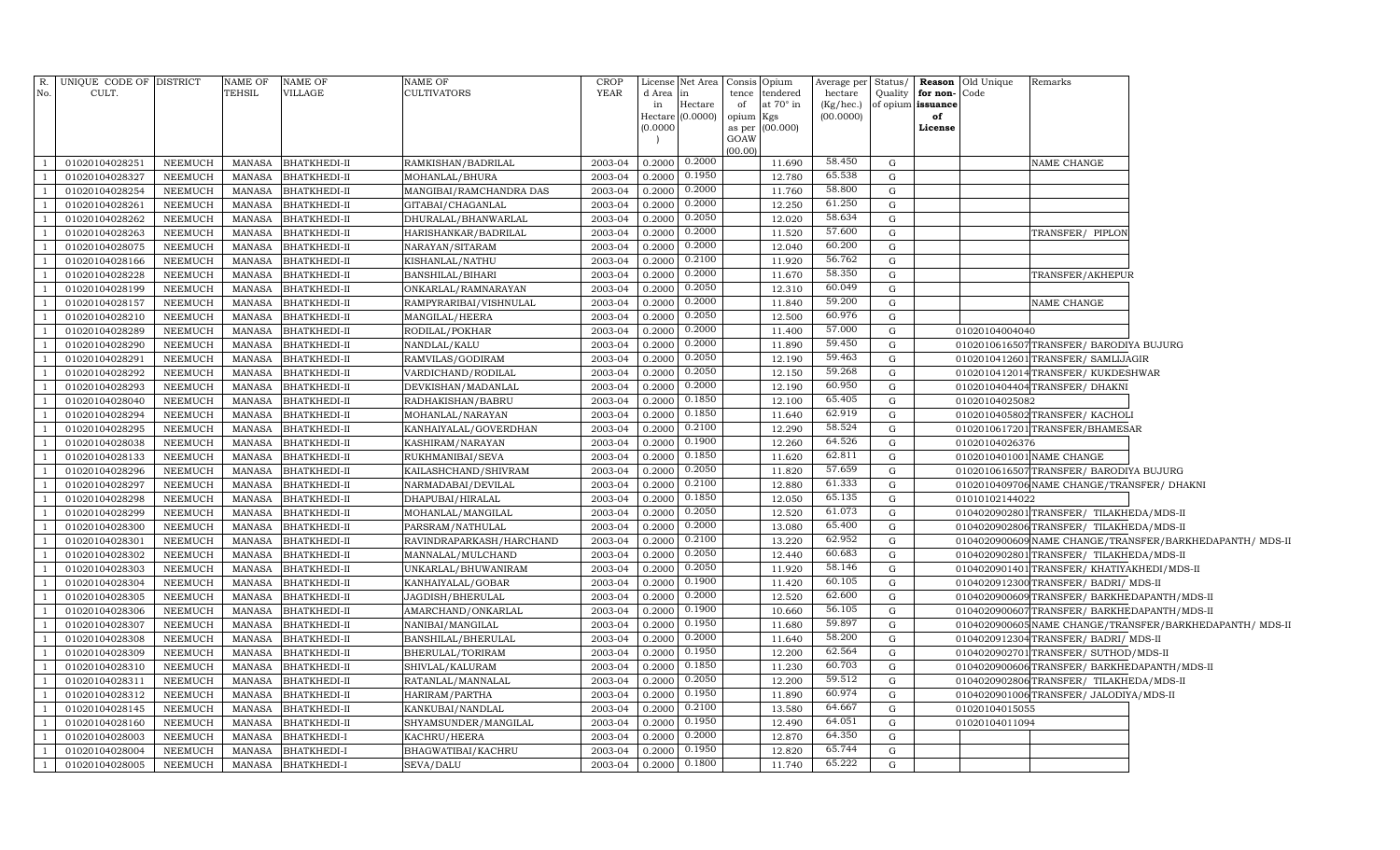| No.            | R. UNIQUE CODE OF DISTRICT<br>CULT. |                    | NAME OF<br><b>TEHSIL</b> | <b>NAME OF</b><br>VILLAGE | NAME OF<br><b>CULTIVATORS</b>        | <b>CROP</b><br><b>YEAR</b> | d Area           | License Net Area Consis Opium<br>in | tence       | tendered                | Average per Status/<br>hectare | Quality     | for non-                | <b>Reason</b> Old Unique<br>Code | Remarks                                      |                                                          |
|----------------|-------------------------------------|--------------------|--------------------------|---------------------------|--------------------------------------|----------------------------|------------------|-------------------------------------|-------------|-------------------------|--------------------------------|-------------|-------------------------|----------------------------------|----------------------------------------------|----------------------------------------------------------|
|                |                                     |                    |                          |                           |                                      |                            | in<br>Hectare    | Hectare<br>(0.0000)                 | of<br>opium | at $70^\circ$ in<br>Kgs | (Kg/hec.)<br>(00.0000)         |             | of opium issuance<br>of |                                  |                                              |                                                          |
|                |                                     |                    |                          |                           |                                      |                            | (0.0000)         |                                     | as per      | (00.000)                |                                |             | License                 |                                  |                                              |                                                          |
|                |                                     |                    |                          |                           |                                      |                            |                  |                                     | GOAW        |                         |                                |             |                         |                                  |                                              |                                                          |
|                | 01020104028251                      | NEEMUCH            | MANASA                   | <b>BHATKHEDI-II</b>       |                                      | 2003-04                    | 0.2000           | 0.2000                              | (00.00)     | 11.690                  | 58.450                         | G           |                         |                                  | NAME CHANGE                                  |                                                          |
|                | 01020104028327                      | NEEMUCH            | MANASA                   | <b>BHATKHEDI-II</b>       | RAMKISHAN/BADRILAL<br>MOHANLAL/BHURA | 2003-04                    | 0.2000           | 0.1950                              |             | 12.780                  | 65.538                         | G           |                         |                                  |                                              |                                                          |
|                | 01020104028254                      | <b>NEEMUCH</b>     | MANASA                   | <b>BHATKHEDI-II</b>       | MANGIBAI/RAMCHANDRA DAS              | 2003-04                    | 0.2000           | 0.2000                              |             | 11.760                  | 58.800                         | G           |                         |                                  |                                              |                                                          |
|                | 01020104028261                      | <b>NEEMUCH</b>     | MANASA                   | <b>BHATKHEDI-II</b>       | GITABAI/CHAGANLAL                    | 2003-04                    | 0.2000           | 0.2000                              |             | 12.250                  | 61.250                         | G           |                         |                                  |                                              |                                                          |
|                | 01020104028262                      | <b>NEEMUCH</b>     | MANASA                   | <b>BHATKHEDI-II</b>       | DHURALAL/BHANWARLAL                  | 2003-04                    | 0.2000           | 0.2050                              |             | 12.020                  | 58.634                         | G           |                         |                                  |                                              |                                                          |
|                | 01020104028263                      | <b>NEEMUCH</b>     | <b>MANASA</b>            | <b>BHATKHEDI-II</b>       | HARISHANKAR/BADRILAL                 | 2003-04                    | 0.2000           | 0.2000                              |             | 11.520                  | 57.600                         | G           |                         |                                  | TRANSFER/ PIPLON                             |                                                          |
|                | 01020104028075                      | <b>NEEMUCH</b>     | <b>MANASA</b>            | <b>BHATKHEDI-II</b>       | NARAYAN/SITARAM                      | 2003-04                    | 0.2000           | 0.2000                              |             | 12.040                  | 60.200                         | G           |                         |                                  |                                              |                                                          |
|                | 01020104028166                      | <b>NEEMUCH</b>     | MANASA                   | <b>BHATKHEDI-II</b>       | KISHANLAL/NATHU                      | 2003-04                    | 0.2000           | 0.2100                              |             | 11.920                  | 56.762                         | G           |                         |                                  |                                              |                                                          |
|                | 01020104028228                      | <b>NEEMUCH</b>     | <b>MANASA</b>            | <b>BHATKHEDI-II</b>       | BANSHILAL/BIHARI                     | 2003-04                    | 0.2000           | 0.2000                              |             | 11.670                  | 58.350                         | G           |                         |                                  | TRANSFER/AKHEPUR                             |                                                          |
|                | 01020104028199                      | <b>NEEMUCH</b>     | <b>MANASA</b>            | <b>BHATKHEDI-II</b>       | ONKARLAL/RAMNARAYAN                  | 2003-04                    | 0.2000           | 0.2050                              |             | 12.310                  | 60.049                         | G           |                         |                                  |                                              |                                                          |
|                | 01020104028157                      | <b>NEEMUCH</b>     | <b>MANASA</b>            | <b>BHATKHEDI-II</b>       | RAMPYRARIBAI/VISHNULAL               | 2003-04                    | 0.2000           | 0.2000                              |             | 11.840                  | 59.200                         | G           |                         |                                  | NAME CHANGE                                  |                                                          |
|                | 01020104028210                      | <b>NEEMUCH</b>     | <b>MANASA</b>            | <b>BHATKHEDI-II</b>       | MANGILAL/HEERA                       | 2003-04                    | 0.2000           | 0.2050                              |             | 12.500                  | 60.976                         | G           |                         |                                  |                                              |                                                          |
|                | 01020104028289                      | <b>NEEMUCH</b>     | <b>MANASA</b>            | <b>BHATKHEDI-II</b>       | RODILAL/POKHAR                       | 2003-04                    | 0.2000           | 0.2000                              |             | 11.400                  | 57.000                         | G           |                         | 01020104004040                   |                                              |                                                          |
|                | 01020104028290                      | NEEMUCH            | MANASA                   | <b>BHATKHEDI-II</b>       | NANDLAL/KALU                         | 2003-04                    | 0.2000           | 0.2000                              |             | 11.890                  | 59.450                         | G           |                         |                                  | 0102010616507TRANSFER/ BARODIYA BUJURG       |                                                          |
|                | 01020104028291                      | NEEMUCH            | <b>MANASA</b>            | <b>BHATKHEDI-II</b>       | RAMVILAS/GODIRAM                     | 2003-04                    | 0.2000           | 0.2050                              |             | 12.190                  | 59.463                         | $\mathbf G$ |                         |                                  | 0102010412601 TRANSFER/ SAMLIJAGIR           |                                                          |
|                | 01020104028292                      | <b>NEEMUCH</b>     | <b>MANASA</b>            | <b>BHATKHEDI-II</b>       | VARDICHAND/RODILAL                   | 2003-04                    | 0.2000           | 0.2050                              |             | 12.150                  | 59.268                         | G           |                         |                                  | 0102010412014TRANSFER/KUKDESHWAR             |                                                          |
|                | 01020104028293                      | NEEMUCH            | MANASA                   | <b>BHATKHEDI-II</b>       | DEVKISHAN/MADANLAL                   | 2003-04                    | 0.2000           | 0.2000                              |             | 12.190                  | 60.950                         | $\mathbf G$ |                         |                                  | 0102010404404 TRANSFER/ DHAKN                |                                                          |
|                | 01020104028040                      | NEEMUCH            | MANASA                   | <b>BHATKHEDI-II</b>       | RADHAKISHAN/BABRU                    | 2003-04                    | 0.2000           | 0.1850                              |             | 12.100                  | 65.405                         | G           |                         | 01020104025082                   |                                              |                                                          |
|                | 01020104028294                      | NEEMUCH            | MANASA                   | <b>BHATKHEDI-II</b>       | MOHANLAL/NARAYAN                     | 2003-04                    | 0.2000           | 0.1850                              |             | 11.640                  | 62.919                         | G           |                         |                                  | 0102010405802 TRANSFER/KACHOLI               |                                                          |
|                | 01020104028295                      | NEEMUCH            | <b>MANASA</b>            | <b>BHATKHEDI-II</b>       | KANHAIYALAL/GOVERDHAN                | 2003-04                    | 0.2000           | 0.2100                              |             | 12.290                  | 58.524                         | ${\rm G}$   |                         |                                  | 0102010617201 TRANSFER/BHAMESAR              |                                                          |
|                | 01020104028038                      | NEEMUCH            | <b>MANASA</b>            | <b>BHATKHEDI-II</b>       | KASHIRAM/NARAYAN                     | 2003-04                    | 0.2000           | 0.1900                              |             | 12.260                  | 64.526                         | G           |                         | 01020104026376                   |                                              |                                                          |
|                | 01020104028133                      | NEEMUCH            | MANASA                   | <b>BHATKHEDI-II</b>       | RUKHMANIBAI/SEVA                     | 2003-04                    | 0.2000           | 0.1850                              |             | 11.620                  | 62.811                         | G           |                         |                                  | 0102010401001 NAME CHANGE                    |                                                          |
|                | 01020104028296                      | <b>NEEMUCH</b>     | <b>MANASA</b>            | <b>BHATKHEDI-II</b>       | KAILASHCHAND/SHIVRAM                 | 2003-04                    | 0.2000           | 0.2050                              |             | 11.820                  | 57.659                         | G           |                         |                                  | 0102010616507TRANSFER/ BARODIYA BUJURG       |                                                          |
|                | 01020104028297                      | NEEMUCH            | <b>MANASA</b>            | <b>BHATKHEDI-II</b>       | NARMADABAI/DEVILAL                   | 2003-04                    | 0.2000           | 0.2100                              |             | 12.880                  | 61.333                         | G           |                         |                                  | 0102010409706 NAME CHANGE/TRANSFER/ DHAKNI   |                                                          |
|                | 01020104028298                      | NEEMUCH            | MANASA                   | <b>BHATKHEDI-II</b>       | DHAPUBAI/HIRALAL                     | 2003-04                    | 0.2000           | 0.1850                              |             | 12.050                  | 65.135                         | G           |                         | 01010102144022                   |                                              |                                                          |
| $\overline{1}$ | 01020104028299                      | <b>NEEMUCH</b>     | <b>MANASA</b>            | <b>BHATKHEDI-II</b>       | MOHANLAL/MANGILAL                    | 2003-04                    | 0.2000           | 0.2050                              |             | 12.520                  | 61.073                         | G           |                         |                                  | 0104020902801 TRANSFER/ TILAKHEDA/MDS-II     |                                                          |
|                | 01020104028300                      | NEEMUCH            | <b>MANASA</b>            | <b>BHATKHEDI-II</b>       | PARSRAM/NATHULAL                     | 2003-04                    | 0.2000           | 0.2000                              |             | 13.080                  | 65.400                         | G           |                         |                                  | 0104020902806 TRANSFER/ TILAKHEDA/MDS-II     |                                                          |
|                | 01020104028301                      | NEEMUCH            | <b>MANASA</b>            | <b>BHATKHEDI-II</b>       | RAVINDRAPARKASH/HARCHAND             | 2003-04                    | 0.2000           | 0.2100                              |             | 13.220                  | 62.952                         | G           |                         |                                  |                                              | 0104020900609 NAME CHANGE/TRANSFER/BARKHEDAPANTH/ MDS-II |
|                | 01020104028302                      | NEEMUCH            | <b>MANASA</b>            | <b>BHATKHEDI-II</b>       | MANNALAL/MULCHAND                    | 2003-04                    | 0.2000           | 0.2050                              |             | 12.440                  | 60.683                         | G           |                         |                                  | 0104020902801 TRANSFER/ TILAKHEDA/MDS-II     |                                                          |
| $\overline{1}$ | 01020104028303                      | NEEMUCH            | <b>MANASA</b>            | <b>BHATKHEDI-II</b>       | UNKARLAL/BHUWANIRAM                  | 2003-04                    | 0.2000           | 0.2050                              |             | 11.920                  | 58.146                         | G           |                         |                                  | 0104020901401 TRANSFER/KHATIYAKHEDI/MDS-II   |                                                          |
|                | 01020104028304                      | NEEMUCH            | <b>MANASA</b>            | <b>BHATKHEDI-II</b>       | KANHAIYALAL/GOBAR                    | 2003-04                    | 0.2000           | 0.1900                              |             | 11.420                  | 60.105                         | $\mathbf G$ |                         |                                  | 0104020912300 TRANSFER/ BADRI/ MDS-II        |                                                          |
|                | 01020104028305                      | NEEMUCH            | <b>MANASA</b>            | <b>BHATKHEDI-II</b>       | JAGDISH/BHERULAL                     | 2003-04                    | 0.2000           | 0.2000                              |             | 12.520                  | 62.600                         | G           |                         |                                  | 0104020900609TRANSFER/BARKHEDAPANTH/MDS-II   |                                                          |
| -1             | 01020104028306                      | NEEMUCH            | <b>MANASA</b>            | <b>BHATKHEDI-II</b>       | AMARCHAND/ONKARLAL                   | 2003-04                    | 0.2000           | 0.1900                              |             | 10.660                  | 56.105                         | G           |                         |                                  | 0104020900607TRANSFER/BARKHEDAPANTH/MDS-II   |                                                          |
| - 1            | 01020104028307                      | NEEMUCH            | MANASA                   | <b>BHATKHEDI-II</b>       | NANIBAI/MANGILAL                     | 2003-04                    | 0.2000           | 0.1950                              |             | 11.680                  | 59.897                         | G           |                         |                                  |                                              | 0104020900605 NAME CHANGE/TRANSFER/BARKHEDAPANTH/ MDS-II |
|                | 01020104028308                      | <b>NEEMUCH</b>     | MANASA                   | <b>BHATKHEDI-II</b>       | BANSHILAL/BHERULAL                   | 2003-04                    | 0.2000           | 0.2000                              |             | 11.640                  | 58.200                         | G           |                         |                                  | 0104020912304TRANSFER/ BADRI/ MDS-II         |                                                          |
| -1             | 01020104028309                      | NEEMUCH            | MANASA                   | <b>BHATKHEDI-II</b>       | BHERULAL/TORIRAM                     | 2003-04                    | 0.2000           | 0.1950                              |             | 12.200                  | 62.564                         | G           |                         |                                  | 0104020902701 TRANSFER/ SUTHOD/MDS-II        |                                                          |
|                | 01020104028310                      | NEEMUCH            | <b>MANASA</b>            | <b>BHATKHEDI-II</b>       | SHIVLAL/KALURAM                      | 2003-04                    | 0.2000           | 0.1850                              |             | 11.230                  | 60.703                         | G           |                         |                                  | 0104020900606 TRANSFER/ BARKHEDAPANTH/MDS-II |                                                          |
| - 1            | 01020104028311                      | NEEMUCH            | <b>MANASA</b>            | <b>BHATKHEDI-II</b>       | RATANLAL/MANNALAL                    | 2003-04                    | 0.2000           | 0.2050<br>0.1950                    |             | 12.200                  | 59.512<br>60.974               | G           |                         |                                  | 0104020902806 TRANSFER/ TILAKHEDA/MDS-II     |                                                          |
| $\overline{1}$ | 01020104028312                      | NEEMUCH            | <b>MANASA</b>            | <b>BHATKHEDI-II</b>       | HARIRAM/PARTHA                       | 2003-04                    | 0.2000           | 0.2100                              |             | 11.890                  | 64.667                         | G           |                         |                                  | 0104020901006 TRANSFER/ JALODIYA/MDS-II      |                                                          |
| $\overline{1}$ | 01020104028145                      | NEEMUCH            | MANASA                   | <b>BHATKHEDI-II</b>       | KANKUBAI/NANDLAL                     | 2003-04                    | 0.2000           | 0.1950                              |             | 13.580                  | 64.051                         | G           |                         | 01020104015055                   |                                              |                                                          |
|                | 01020104028160                      | NEEMUCH            | MANASA                   | <b>BHATKHEDI-II</b>       | SHYAMSUNDER/MANGILAL                 | 2003-04                    | 0.2000           | 0.2000                              |             | 12.490                  | 64.350                         | G           |                         | 01020104011094                   |                                              |                                                          |
| $\overline{1}$ | 01020104028003                      | NEEMUCH            | MANASA                   | <b>BHATKHEDI-I</b>        | KACHRU/HEERA                         | 2003-04                    | 0.2000           | 0.1950                              |             | 12.870                  | 65.744                         | G           |                         |                                  |                                              |                                                          |
|                | 01020104028004                      | NEEMUCH<br>NEEMUCH |                          | MANASA BHATKHEDI-I        | BHAGWATIBAI/KACHRU                   | 2003-04<br>2003-04         | 0.2000<br>0.2000 | 0.1800                              |             | 12.820                  | 65.222                         | G<br>G      |                         |                                  |                                              |                                                          |
| $\mathbf{1}$   | 01020104028005                      |                    |                          | MANASA BHATKHEDI-I        | SEVA/DALU                            |                            |                  |                                     |             | 11.740                  |                                |             |                         |                                  |                                              |                                                          |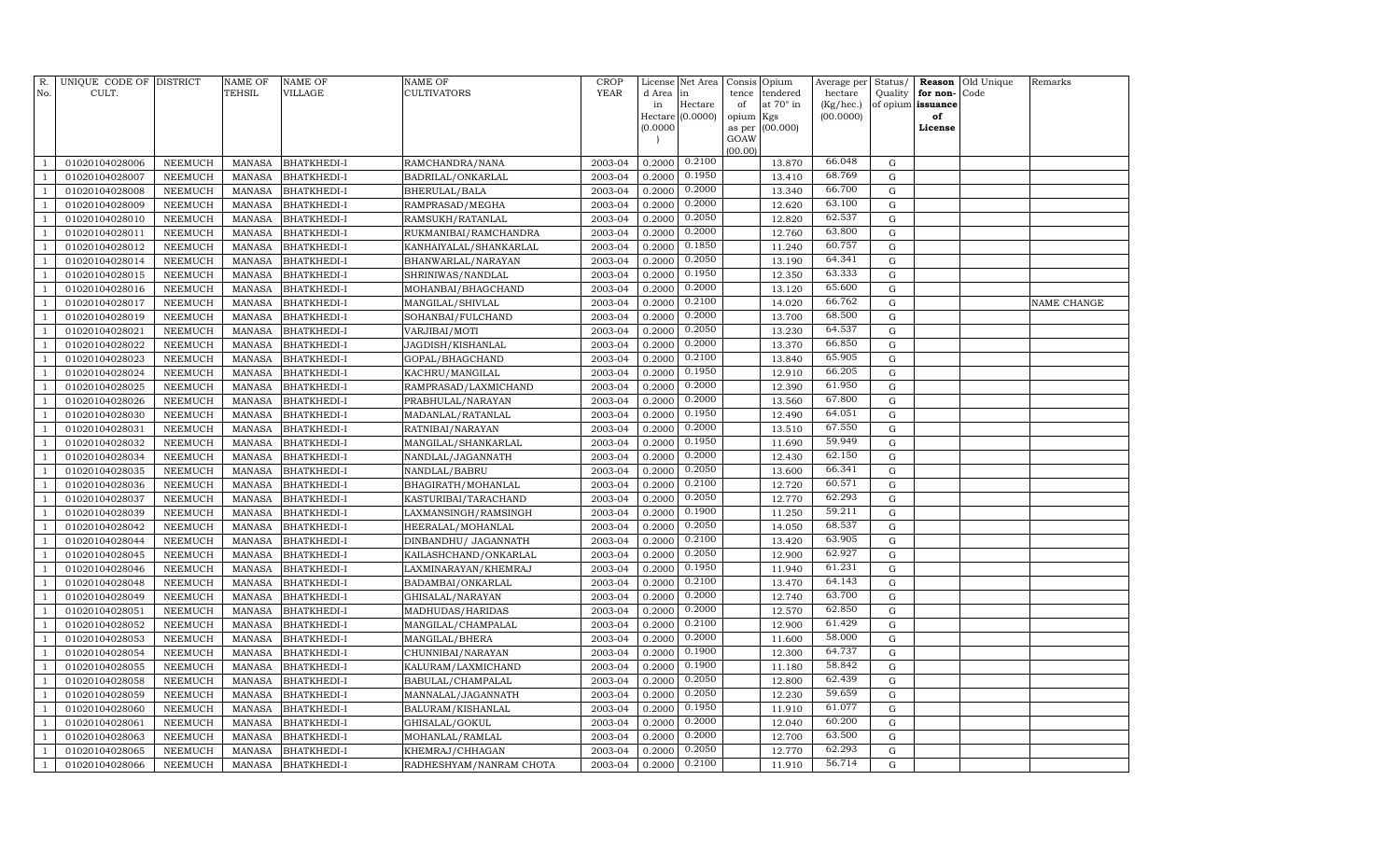| R.           | UNIQUE CODE OF DISTRICT<br>CULT. |                           | <b>NAME OF</b><br>TEHSIL       | <b>NAME OF</b><br><b>VILLAGE</b>         | <b>NAME OF</b><br><b>CULTIVATORS</b> | <b>CROP</b><br><b>YEAR</b> | License          | Net Area         | Consis      | Opium                 | Average per          | Status/             |                      | Reason Old Unique | Remarks     |
|--------------|----------------------------------|---------------------------|--------------------------------|------------------------------------------|--------------------------------------|----------------------------|------------------|------------------|-------------|-----------------------|----------------------|---------------------|----------------------|-------------------|-------------|
| No.          |                                  |                           |                                |                                          |                                      |                            | d Area<br>in     | in<br>Hectare    | tence<br>of | tendered<br>at 70° in | hectare<br>(Kg/hec.) | Quality<br>of opium | for non-<br>issuance | Code              |             |
|              |                                  |                           |                                |                                          |                                      |                            |                  | Hectare (0.0000) | opium       | Kgs                   | (00.0000)            |                     | of                   |                   |             |
|              |                                  |                           |                                |                                          |                                      |                            | (0.0000)         |                  | as per      | (00.000)              |                      |                     | License              |                   |             |
|              |                                  |                           |                                |                                          |                                      |                            |                  |                  | GOAW        |                       |                      |                     |                      |                   |             |
|              | 01020104028006                   | NEEMUCH                   | MANASA                         | <b>BHATKHEDI-I</b>                       | RAMCHANDRA/NANA                      | 2003-04                    | 0.2000           | 0.2100           | (00.00)     | 13.870                | 66.048               | G                   |                      |                   |             |
|              | 01020104028007                   | NEEMUCH                   | <b>MANASA</b>                  | <b>BHATKHEDI-I</b>                       | BADRILAL/ONKARLAL                    | 2003-04                    | 0.2000           | 0.1950           |             | 13.410                | 68.769               | G                   |                      |                   |             |
|              | 01020104028008                   | NEEMUCH                   | <b>MANASA</b>                  | <b>BHATKHEDI-I</b>                       | <b>BHERULAL/BALA</b>                 | 2003-04                    | 0.2000           | 0.2000           |             | 13.340                | 66.700               | G                   |                      |                   |             |
|              | 01020104028009                   | NEEMUCH                   | MANASA                         | <b>BHATKHEDI-I</b>                       | RAMPRASAD/MEGHA                      | 2003-04                    | 0.2000           | 0.2000           |             | 12.620                | 63.100               | G                   |                      |                   |             |
|              | 01020104028010                   | NEEMUCH                   | <b>MANASA</b>                  | <b>BHATKHEDI-I</b>                       | RAMSUKH/RATANLAL                     | 2003-04                    | 0.2000           | 0.2050           |             | 12.820                | 62.537               | G                   |                      |                   |             |
|              | 01020104028011                   | <b>NEEMUCH</b>            | MANASA                         | <b>BHATKHEDI-I</b>                       | RUKMANIBAI/RAMCHANDRA                | 2003-04                    | 0.2000           | 0.2000           |             | 12.760                | 63.800               | G                   |                      |                   |             |
|              | 01020104028012                   | NEEMUCH                   | <b>MANASA</b>                  | <b>BHATKHEDI-I</b>                       | KANHAIYALAL/SHANKARLAL               | 2003-04                    | 0.2000           | 0.1850           |             | 11.240                | 60.757               | $\mathbf G$         |                      |                   |             |
|              | 01020104028014                   | NEEMUCH                   | <b>MANASA</b>                  | <b>BHATKHEDI-I</b>                       | BHANWARLAL/NARAYAN                   | 2003-04                    | 0.2000           | 0.2050           |             | 13.190                | 64.341               | G                   |                      |                   |             |
|              | 01020104028015                   | NEEMUCH                   | <b>MANASA</b>                  | <b>BHATKHEDI-I</b>                       | SHRINIWAS/NANDLAL                    | 2003-04                    | 0.2000           | 0.1950           |             | 12.350                | 63.333               | $\mathbf G$         |                      |                   |             |
|              | 01020104028016                   | NEEMUCH                   | <b>MANASA</b>                  | <b>BHATKHEDI-I</b>                       | MOHANBAI/BHAGCHAND                   | 2003-04                    | 0.2000           | 0.2000           |             | 13.120                | 65.600               | G                   |                      |                   |             |
|              | 01020104028017                   | NEEMUCH                   | <b>MANASA</b>                  | <b>BHATKHEDI-I</b>                       | MANGILAL/SHIVLAL                     | 2003-04                    | 0.2000           | 0.2100           |             | 14.020                | 66.762               | ${\rm G}$           |                      |                   | NAME CHANGE |
|              | 01020104028019                   | NEEMUCH                   | <b>MANASA</b>                  | <b>BHATKHEDI-I</b>                       | SOHANBAI/FULCHAND                    | 2003-04                    | 0.2000           | 0.2000           |             | 13.700                | 68.500               | G                   |                      |                   |             |
|              | 01020104028021                   | NEEMUCH                   | MANASA                         | <b>BHATKHEDI-I</b>                       | VARJIBAI/MOTI                        | 2003-04                    | 0.2000           | 0.2050           |             | 13.230                | 64.537               | G                   |                      |                   |             |
|              | 01020104028022                   | <b>NEEMUCH</b>            | MANASA                         | <b>BHATKHEDI-I</b>                       | JAGDISH/KISHANLAL                    | 2003-04                    | 0.2000           | 0.2000           |             | 13.370                | 66.850               | $\mathbf G$         |                      |                   |             |
|              | 01020104028023                   | <b>NEEMUCH</b>            | <b>MANASA</b>                  | <b>BHATKHEDI-I</b>                       | GOPAL/BHAGCHAND                      | 2003-04                    | 0.2000           | 0.2100           |             | 13.840                | 65.905               | $\mathbf G$         |                      |                   |             |
|              | 01020104028024                   | NEEMUCH                   | <b>MANASA</b>                  | <b>BHATKHEDI-I</b>                       | KACHRU/MANGILAL                      | 2003-04                    | 0.2000           | 0.1950           |             | 12.910                | 66.205               | G                   |                      |                   |             |
|              | 01020104028025                   | NEEMUCH                   | <b>MANASA</b>                  | <b>BHATKHEDI-I</b>                       | RAMPRASAD/LAXMICHAND                 | 2003-04                    | 0.2000           | 0.2000           |             | 12.390                | 61.950               | $\mathbf G$         |                      |                   |             |
|              | 01020104028026                   | NEEMUCH                   | <b>MANASA</b>                  | <b>BHATKHEDI-I</b>                       | PRABHULAL/NARAYAN                    | 2003-04                    | 0.2000           | 0.2000           |             | 13.560                | 67.800               | G                   |                      |                   |             |
|              | 01020104028030                   | NEEMUCH                   | <b>MANASA</b>                  | <b>BHATKHEDI-I</b>                       | MADANLAL/RATANLAL                    | 2003-04                    | 0.2000           | 0.1950           |             | 12.490                | 64.051               | $\mathbf G$         |                      |                   |             |
|              | 01020104028031                   | NEEMUCH                   | <b>MANASA</b>                  | <b>BHATKHEDI-I</b>                       | RATNIBAI/NARAYAN                     | 2003-04                    | 0.2000           | 0.2000           |             | 13.510                | 67.550               | G                   |                      |                   |             |
|              | 01020104028032                   | NEEMUCH                   | MANASA                         | <b>BHATKHEDI-I</b>                       | MANGILAL/SHANKARLAL                  | 2003-04                    | 0.2000           | 0.1950           |             | 11.690                | 59.949               | G                   |                      |                   |             |
|              | 01020104028034                   | <b>NEEMUCH</b>            | <b>MANASA</b>                  | <b>BHATKHEDI-I</b>                       | NANDLAL/JAGANNATH                    | 2003-04                    | 0.2000           | 0.2000           |             | 12.430                | 62.150               | G                   |                      |                   |             |
|              | 01020104028035                   | NEEMUCH                   | <b>MANASA</b>                  | <b>BHATKHEDI-I</b>                       | NANDLAL/BABRU                        | 2003-04                    | 0.2000           | 0.2050           |             | 13.600                | 66.341               | G                   |                      |                   |             |
|              | 01020104028036                   | NEEMUCH                   | <b>MANASA</b>                  | <b>BHATKHEDI-I</b>                       | BHAGIRATH/MOHANLAL                   | 2003-04                    | 0.2000           | 0.2100           |             | 12.720                | 60.571               | $\mathbf G$         |                      |                   |             |
|              | 01020104028037                   | NEEMUCH                   | <b>MANASA</b>                  | <b>BHATKHEDI-I</b>                       | KASTURIBAI/TARACHAND                 | 2003-04                    | 0.2000           | 0.2050           |             | 12.770                | 62.293               | $\mathbf G$         |                      |                   |             |
|              | 01020104028039                   | NEEMUCH                   | <b>MANASA</b>                  | <b>BHATKHEDI-I</b>                       | LAXMANSINGH/RAMSINGH                 | 2003-04                    | 0.2000           | 0.1900           |             | 11.250                | 59.211               | G                   |                      |                   |             |
|              | 01020104028042                   | NEEMUCH                   | <b>MANASA</b>                  | <b>BHATKHEDI-I</b>                       | HEERALAL/MOHANLAL                    | 2003-04                    | 0.2000           | 0.2050           |             | 14.050                | 68.537               | $\mathbf G$         |                      |                   |             |
|              | 01020104028044                   | NEEMUCH                   | <b>MANASA</b>                  | <b>BHATKHEDI-I</b>                       | DINBANDHU/ JAGANNATH                 | 2003-04                    | 0.2000           | 0.2100           |             | 13.420                | 63.905               | G                   |                      |                   |             |
|              | 01020104028045                   | NEEMUCH                   | <b>MANASA</b>                  | <b>BHATKHEDI-I</b>                       | KAILASHCHAND/ONKARLAL                | 2003-04                    | 0.2000           | 0.2050           |             | 12.900                | 62.927               | G                   |                      |                   |             |
|              | 01020104028046                   | NEEMUCH                   | <b>MANASA</b>                  | <b>BHATKHEDI-I</b>                       | LAXMINARAYAN/KHEMRAJ                 | 2003-04                    | 0.2000           | 0.1950           |             | 11.940                | 61.231               | G                   |                      |                   |             |
|              | 01020104028048                   | NEEMUCH                   | MANASA                         | <b>BHATKHEDI-I</b>                       | BADAMBAI/ONKARLAL                    | 2003-04                    | 0.2000           | 0.2100           |             | 13.470                | 64.143               | G                   |                      |                   |             |
|              | 01020104028049                   | NEEMUCH                   | <b>MANASA</b>                  | <b>BHATKHEDI-I</b>                       | GHISALAL/NARAYAN                     | 2003-04                    | 0.2000           | 0.2000           |             | 12.740                | 63.700               | $\mathbf G$         |                      |                   |             |
|              | 01020104028051                   | NEEMUCH                   | <b>MANASA</b>                  | <b>BHATKHEDI-I</b>                       | MADHUDAS/HARIDAS                     | 2003-04                    | 0.2000           | 0.2000           |             | 12.570                | 62.850               | G                   |                      |                   |             |
|              | 01020104028052                   | <b>NEEMUCH</b>            | <b>MANASA</b>                  | <b>BHATKHEDI-I</b>                       | MANGILAL/CHAMPALAL                   | 2003-04                    | 0.2000           | 0.2100           |             | 12.900                | 61.429               | G                   |                      |                   |             |
|              | 01020104028053                   | NEEMUCH                   | <b>MANASA</b>                  | <b>BHATKHEDI-I</b>                       | MANGILAL/BHERA                       | 2003-04                    | 0.2000           | 0.2000           |             | 11.600                | 58.000               | G                   |                      |                   |             |
|              | 01020104028054                   | NEEMUCH                   | <b>MANASA</b>                  | <b>BHATKHEDI-I</b>                       | CHUNNIBAI/NARAYAN                    | 2003-04                    | 0.2000           | 0.1900           |             | 12.300                | 64.737               | G                   |                      |                   |             |
|              | 01020104028055                   | NEEMUCH                   | <b>MANASA</b>                  | <b>BHATKHEDI-I</b>                       | KALURAM/LAXMICHAND                   | 2003-04                    | 0.2000           | 0.1900<br>0.2050 |             | 11.180                | 58.842<br>62.439     | G                   |                      |                   |             |
|              | 01020104028058                   | NEEMUCH                   | <b>MANASA</b>                  | <b>BHATKHEDI-I</b>                       | BABULAL/CHAMPALAL                    | 2003-04<br>2003-04         | 0.2000<br>0.2000 | 0.2050           |             | 12.800<br>12.230      | 59.659               | G<br>$\mathbf G$    |                      |                   |             |
|              | 01020104028059                   | NEEMUCH                   | <b>MANASA</b>                  | <b>BHATKHEDI-I</b>                       | MANNALAL/JAGANNATH                   | 2003-04                    | 0.2000           | 0.1950           |             | 11.910                | 61.077               | $\mathbf G$         |                      |                   |             |
|              | 01020104028060<br>01020104028061 | <b>NEEMUCH</b><br>NEEMUCH | <b>MANASA</b><br><b>MANASA</b> | <b>BHATKHEDI-I</b><br><b>BHATKHEDI-I</b> | BALURAM/KISHANLAL<br>GHISALAL/GOKUL  | 2003-04                    | 0.2000           | 0.2000           |             | 12.040                | 60.200               | G                   |                      |                   |             |
|              | 01020104028063                   | NEEMUCH                   | <b>MANASA</b>                  | <b>BHATKHEDI-I</b>                       | MOHANLAL/RAMLAL                      | 2003-04                    | 0.2000           | 0.2000           |             | 12.700                | 63.500               | G                   |                      |                   |             |
|              | 01020104028065                   | NEEMUCH                   | <b>MANASA</b>                  | <b>BHATKHEDI-I</b>                       | KHEMRAJ/CHHAGAN                      | 2003-04                    | 0.2000           | 0.2050           |             | 12.770                | 62.293               | G                   |                      |                   |             |
| $\mathbf{1}$ | 01020104028066                   | NEEMUCH                   | MANASA                         | <b>BHATKHEDI-I</b>                       | RADHESHYAM/NANRAM CHOTA              | 2003-04                    | 0.2000           | 0.2100           |             | 11.910                | 56.714               | $\mathbf G$         |                      |                   |             |
|              |                                  |                           |                                |                                          |                                      |                            |                  |                  |             |                       |                      |                     |                      |                   |             |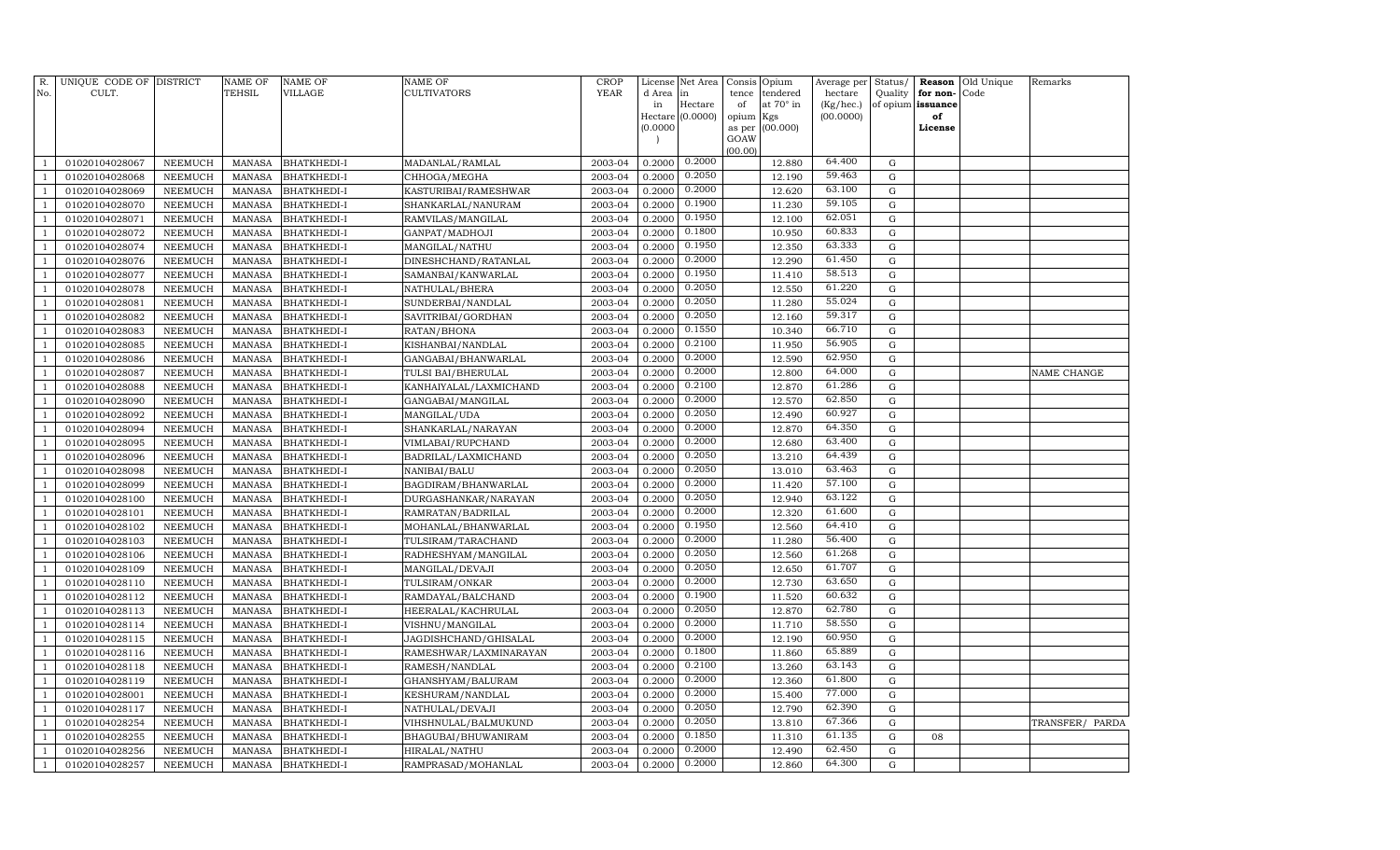| R.             | UNIQUE CODE OF DISTRICT          |                                  | <b>NAME OF</b>                 | <b>NAME OF</b>                           | <b>NAME OF</b>                        | <b>CROP</b>        | License          | Net Area         | Consis      | Opium                 | Average per          | Status/                  | Reason                        | Old Unique | Remarks            |
|----------------|----------------------------------|----------------------------------|--------------------------------|------------------------------------------|---------------------------------------|--------------------|------------------|------------------|-------------|-----------------------|----------------------|--------------------------|-------------------------------|------------|--------------------|
| No.            | CULT.                            |                                  | <b>TEHSIL</b>                  | VILLAGE                                  | CULTIVATORS                           | <b>YEAR</b>        | d Area<br>in     | in<br>Hectare    | tence<br>of | tendered<br>at 70° in | hectare<br>(Kg/hec.) | Quality                  | for non-<br>of opium issuance | Code       |                    |
|                |                                  |                                  |                                |                                          |                                       |                    |                  | Hectare (0.0000) | opium       | Kgs                   | (00.0000)            |                          | of                            |            |                    |
|                |                                  |                                  |                                |                                          |                                       |                    | (0.0000)         |                  | as per      | (00.000)              |                      |                          | License                       |            |                    |
|                |                                  |                                  |                                |                                          |                                       |                    |                  |                  | GOAW        |                       |                      |                          |                               |            |                    |
|                | 01020104028067                   | NEEMUCH                          | <b>MANASA</b>                  | <b>BHATKHEDI-I</b>                       | MADANLAL/RAMLAL                       | 2003-04            | 0.2000           | 0.2000           | (00.00)     | 12.880                | 64.400               | $\mathbf G$              |                               |            |                    |
|                | 01020104028068                   | NEEMUCH                          | <b>MANASA</b>                  | <b>BHATKHEDI-I</b>                       | CHHOGA/MEGHA                          | 2003-04            | 0.2000           | 0.2050           |             | 12.190                | 59.463               | $\mathbf G$              |                               |            |                    |
| $\mathbf{1}$   | 01020104028069                   | NEEMUCH                          | <b>MANASA</b>                  | <b>BHATKHEDI-I</b>                       | KASTURIBAI/RAMESHWAR                  | 2003-04            | 0.2000           | 0.2000           |             | 12.620                | 63.100               | G                        |                               |            |                    |
| $\overline{1}$ | 01020104028070                   | NEEMUCH                          | <b>MANASA</b>                  | <b>BHATKHEDI-I</b>                       | SHANKARLAL/NANURAM                    | 2003-04            | 0.2000           | 0.1900           |             | 11.230                | 59.105               | G                        |                               |            |                    |
|                | 01020104028071                   | <b>NEEMUCH</b>                   | <b>MANASA</b>                  | <b>BHATKHEDI-I</b>                       | RAMVILAS/MANGILAL                     | 2003-04            | 0.2000           | 0.1950           |             | 12.100                | 62.051               | ${\rm G}$                |                               |            |                    |
| -1             | 01020104028072                   | NEEMUCH                          | <b>MANASA</b>                  | <b>BHATKHEDI-I</b>                       | GANPAT/MADHOJI                        | 2003-04            | 0.2000           | 0.1800           |             | 10.950                | 60.833               | G                        |                               |            |                    |
| $\mathbf{1}$   | 01020104028074                   | NEEMUCH                          | <b>MANASA</b>                  | <b>BHATKHEDI-I</b>                       | MANGILAL/NATHU                        | 2003-04            | 0.2000           | 0.1950           |             | 12.350                | 63.333               | G                        |                               |            |                    |
|                | 01020104028076                   | NEEMUCH                          | <b>MANASA</b>                  | <b>BHATKHEDI-I</b>                       | DINESHCHAND/RATANLAL                  | 2003-04            | 0.2000           | 0.2000           |             | 12.290                | 61.450               | ${\rm G}$                |                               |            |                    |
| $\mathbf{1}$   | 01020104028077                   | NEEMUCH                          | <b>MANASA</b>                  | <b>BHATKHEDI-I</b>                       | SAMANBAI/KANWARLAL                    | 2003-04            | 0.2000           | 0.1950           |             | 11.410                | 58.513               | $\mathbf G$              |                               |            |                    |
|                | 01020104028078                   | NEEMUCH                          | <b>MANASA</b>                  | <b>BHATKHEDI-I</b>                       | NATHULAL/BHERA                        | 2003-04            | 0.2000           | 0.2050           |             | 12.550                | 61.220               | G                        |                               |            |                    |
|                | 01020104028081                   | NEEMUCH                          | <b>MANASA</b>                  | <b>BHATKHEDI-I</b>                       | SUNDERBAI/NANDLAL                     | 2003-04            | 0.2000           | 0.2050           |             | 11.280                | 55.024               | $\mathbf G$              |                               |            |                    |
|                | 01020104028082                   | <b>NEEMUCH</b>                   | <b>MANASA</b>                  | <b>BHATKHEDI-I</b>                       | SAVITRIBAI/GORDHAN                    | 2003-04            | 0.2000           | 0.2050           |             | 12.160                | 59.317               | $\mathbf G$              |                               |            |                    |
|                | 01020104028083                   | NEEMUCH                          | <b>MANASA</b>                  | <b>BHATKHEDI-I</b>                       | RATAN/BHONA                           | 2003-04            | 0.2000           | 0.1550           |             | 10.340                | 66.710               | ${\rm G}$                |                               |            |                    |
| $\overline{1}$ | 01020104028085                   | NEEMUCH                          | <b>MANASA</b>                  | <b>BHATKHEDI-I</b>                       | KISHANBAI/NANDLAL                     | 2003-04            | 0.2000           | 0.2100           |             | 11.950                | 56.905               | $\mathbf G$              |                               |            |                    |
|                | 01020104028086                   | <b>NEEMUCH</b>                   | <b>MANASA</b>                  | <b>BHATKHEDI-I</b>                       | GANGABAI/BHANWARLAL                   | 2003-04            | 0.2000           | 0.2000           |             | 12.590                | 62.950               | $\mathbf G$              |                               |            |                    |
| -1             | 01020104028087                   | NEEMUCH                          | <b>MANASA</b>                  | <b>BHATKHEDI-I</b>                       | TULSI BAI/BHERULAL                    | 2003-04            | 0.2000           | 0.2000           |             | 12.800                | 64.000               | ${\rm G}$                |                               |            | <b>NAME CHANGE</b> |
|                | 01020104028088                   | NEEMUCH                          | <b>MANASA</b>                  | <b>BHATKHEDI-I</b>                       | KANHAIYALAL/LAXMICHAND                | 2003-04            | 0.2000           | 0.2100           |             | 12.870                | 61.286               | G                        |                               |            |                    |
|                | 01020104028090                   | NEEMUCH                          | <b>MANASA</b>                  | <b>BHATKHEDI-I</b>                       | GANGABAI/MANGILAL                     | 2003-04            | 0.2000           | 0.2000           |             | 12.570                | 62.850               | ${\rm G}$                |                               |            |                    |
|                | 01020104028092                   | NEEMUCH                          | <b>MANASA</b>                  | <b>BHATKHEDI-I</b>                       | MANGILAL/UDA                          | 2003-04            | 0.2000           | 0.2050           |             | 12.490                | 60.927               | ${\rm G}$                |                               |            |                    |
|                | 01020104028094                   | <b>NEEMUCH</b>                   | <b>MANASA</b>                  | BHATKHEDI-I                              | SHANKARLAL/NARAYAN                    | 2003-04            | 0.2000           | 0.2000           |             | 12.870                | 64.350               | ${\rm G}$                |                               |            |                    |
| -1             | 01020104028095                   | NEEMUCH                          | <b>MANASA</b>                  | <b>BHATKHEDI-I</b>                       | VIMLABAI/RUPCHAND                     | 2003-04            | 0.2000           | 0.2000           |             | 12.680                | 63.400               | G                        |                               |            |                    |
|                | 01020104028096                   | <b>NEEMUCH</b>                   | <b>MANASA</b>                  | <b>BHATKHEDI-I</b>                       | BADRILAL/LAXMICHAND                   | 2003-04            | 0.2000           | 0.2050           |             | 13.210                | 64.439               | $\mathbf G$              |                               |            |                    |
|                | 01020104028098                   | NEEMUCH                          | <b>MANASA</b>                  | <b>BHATKHEDI-I</b>                       | NANIBAI/BALU                          | 2003-04            | 0.2000           | 0.2050           |             | 13.010                | 63.463               | $\mathbf G$              |                               |            |                    |
| -1             | 01020104028099                   | <b>NEEMUCH</b>                   | <b>MANASA</b>                  | <b>BHATKHEDI-I</b>                       | BAGDIRAM/BHANWARLAL                   | 2003-04            | 0.2000           | 0.2000           |             | 11.420                | 57.100               | $\mathbf G$              |                               |            |                    |
|                | 01020104028100                   | <b>NEEMUCH</b>                   | <b>MANASA</b>                  | <b>BHATKHEDI-I</b>                       | DURGASHANKAR/NARAYAN                  | 2003-04            | 0.2000           | 0.2050           |             | 12.940                | 63.122               | $\mathbf G$              |                               |            |                    |
|                | 01020104028101                   | NEEMUCH                          | <b>MANASA</b>                  | <b>BHATKHEDI-I</b>                       | RAMRATAN/BADRILAL                     | 2003-04            | 0.2000           | 0.2000           |             | 12.320                | 61.600               | ${\rm G}$                |                               |            |                    |
|                | 01020104028102                   | <b>NEEMUCH</b>                   | <b>MANASA</b>                  | <b>BHATKHEDI-I</b>                       | MOHANLAL/BHANWARLAL                   | 2003-04            | 0.2000           | 0.1950           |             | 12.560                | 64.410               | ${\rm G}$                |                               |            |                    |
|                | 01020104028103                   | <b>NEEMUCH</b>                   | <b>MANASA</b>                  | <b>BHATKHEDI-I</b>                       | TULSIRAM/TARACHAND                    | 2003-04            | 0.2000           | 0.2000           |             | 11.280                | 56.400               | ${\rm G}$                |                               |            |                    |
|                | 01020104028106                   | <b>NEEMUCH</b>                   | <b>MANASA</b>                  | <b>BHATKHEDI-I</b>                       | RADHESHYAM/MANGILAL                   | 2003-04            | 0.2000           | 0.2050           |             | 12.560                | 61.268               | $\mathbf G$              |                               |            |                    |
|                | 01020104028109                   | <b>NEEMUCH</b>                   | <b>MANASA</b>                  | <b>BHATKHEDI-I</b>                       | MANGILAL/DEVAJI                       | 2003-04            | 0.2000           | 0.2050           |             | 12.650                | 61.707               | ${\rm G}$                |                               |            |                    |
|                | 01020104028110                   | <b>NEEMUCH</b>                   | <b>MANASA</b>                  | <b>BHATKHEDI-I</b>                       | TULSIRAM/ONKAR                        | 2003-04            | 0.2000           | 0.2000           |             | 12.730                | 63.650               | G                        |                               |            |                    |
|                | 01020104028112                   | <b>NEEMUCH</b>                   | <b>MANASA</b>                  | <b>BHATKHEDI-I</b>                       | RAMDAYAL/BALCHAND                     | 2003-04            | 0.2000           | 0.1900           |             | 11.520                | 60.632               | $\mathbf G$              |                               |            |                    |
|                | 01020104028113                   | NEEMUCH                          | MANASA                         | <b>BHATKHEDI-I</b>                       | HEERALAL/KACHRULAL                    | 2003-04            | 0.2000           | 0.2050<br>0.2000 |             | 12.870                | 62.780<br>58.550     | ${\rm G}$                |                               |            |                    |
|                | 01020104028114                   | NEEMUCH                          | <b>MANASA</b>                  | <b>BHATKHEDI-I</b>                       | VISHNU/MANGILAL                       | 2003-04            | 0.2000           | 0.2000           |             | 11.710                | 60.950               | G                        |                               |            |                    |
|                | 01020104028115                   | NEEMUCH                          | <b>MANASA</b>                  | <b>BHATKHEDI-I</b>                       | JAGDISHCHAND/GHISALAL                 | 2003-04            | 0.2000           | 0.1800           |             | 12.190                | 65.889               | ${\rm G}$                |                               |            |                    |
|                | 01020104028116                   | <b>NEEMUCH</b>                   | <b>MANASA</b>                  | <b>BHATKHEDI-I</b>                       | RAMESHWAR/LAXMINARAYAN                | 2003-04            | 0.2000           | 0.2100           |             | 11.860                | 63.143               | ${\rm G}$                |                               |            |                    |
|                | 01020104028118                   | <b>NEEMUCH</b>                   | <b>MANASA</b>                  | <b>BHATKHEDI-I</b>                       | RAMESH/NANDLAL                        | 2003-04            | 0.2000           | 0.2000           |             | 13.260<br>12.360      | 61.800               | ${\rm G}$<br>$\mathbf G$ |                               |            |                    |
|                | 01020104028119<br>01020104028001 | <b>NEEMUCH</b><br><b>NEEMUCH</b> | <b>MANASA</b><br><b>MANASA</b> | <b>BHATKHEDI-I</b><br><b>BHATKHEDI-I</b> | GHANSHYAM/BALURAM<br>KESHURAM/NANDLAL | 2003-04<br>2003-04 | 0.2000<br>0.2000 | 0.2000           |             | 15.400                | 77.000               | ${\rm G}$                |                               |            |                    |
|                | 01020104028117                   | <b>NEEMUCH</b>                   | <b>MANASA</b>                  | <b>BHATKHEDI-I</b>                       | NATHULAL/DEVAJI                       | 2003-04            | 0.2000           | 0.2050           |             | 12.790                | 62.390               | $\mathbf G$              |                               |            |                    |
|                | 01020104028254                   | <b>NEEMUCH</b>                   | MANASA                         | <b>BHATKHEDI-I</b>                       | VIHSHNULAL/BALMUKUND                  | 2003-04            | 0.2000           | 0.2050           |             | 13.810                | 67.366               | G                        |                               |            | TRANSFER/ PARDA    |
|                | 01020104028255                   | NEEMUCH                          | <b>MANASA</b>                  | <b>BHATKHEDI-I</b>                       | BHAGUBAI/BHUWANIRAM                   | 2003-04            | 0.2000           | 0.1850           |             | 11.310                | 61.135               | G                        | 08                            |            |                    |
|                | 01020104028256                   | <b>NEEMUCH</b>                   | <b>MANASA</b>                  | <b>BHATKHEDI-I</b>                       | HIRALAL/NATHU                         | 2003-04            | 0.2000           | 0.2000           |             | 12.490                | 62.450               | G                        |                               |            |                    |
|                | 01020104028257                   | NEEMUCH                          | MANASA                         | <b>BHATKHEDI-I</b>                       | RAMPRASAD/MOHANLAL                    | 2003-04            | 0.2000           | 0.2000           |             | 12.860                | 64.300               | G                        |                               |            |                    |
|                |                                  |                                  |                                |                                          |                                       |                    |                  |                  |             |                       |                      |                          |                               |            |                    |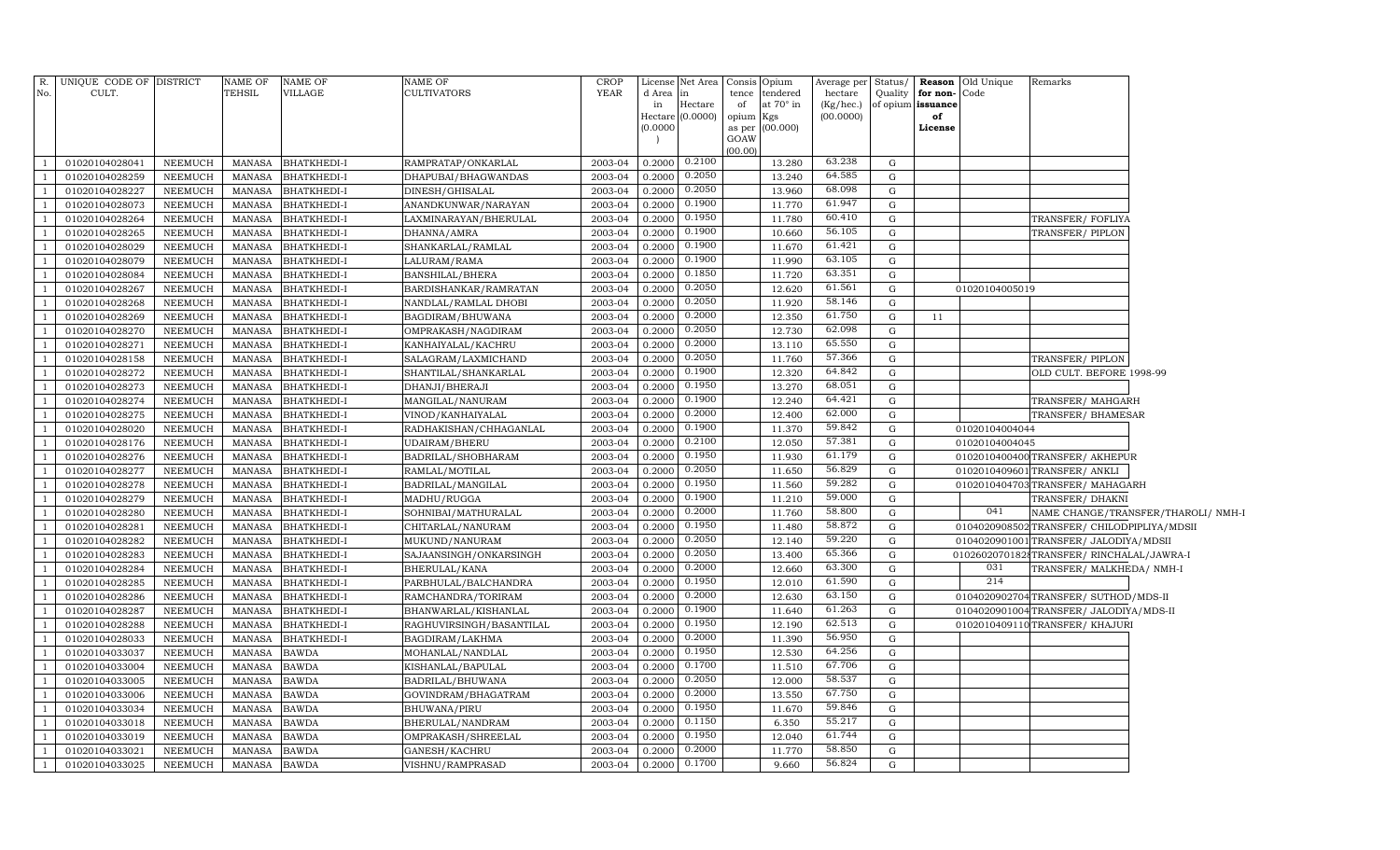| R.  | UNIQUE CODE OF DISTRICT          |                    | NAME OF          | NAME OF                           | <b>NAME OF</b>                         | <b>CROP</b> |           | License Net Area            |                 | Consis Opium     | Average per Status/    |              |                | <b>Reason</b> Old Unique | Remarks                                     |                                     |
|-----|----------------------------------|--------------------|------------------|-----------------------------------|----------------------------------------|-------------|-----------|-----------------------------|-----------------|------------------|------------------------|--------------|----------------|--------------------------|---------------------------------------------|-------------------------------------|
| No. | CULT.                            |                    | TEHSIL           | VILLAGE                           | <b>CULTIVATORS</b>                     | <b>YEAR</b> | d Area in |                             | tence           | tendered         | hectare                | Quality      | for non-Code   |                          |                                             |                                     |
|     |                                  |                    |                  |                                   |                                        |             | in        | Hectare<br>Hectare (0.0000) | of<br>opium Kgs | at $70^\circ$ in | (Kg/hec.)<br>(00.0000) | of opium     | issuance<br>of |                          |                                             |                                     |
|     |                                  |                    |                  |                                   |                                        |             | (0.0000)  |                             |                 | as per (00.000)  |                        |              | License        |                          |                                             |                                     |
|     |                                  |                    |                  |                                   |                                        |             |           |                             | GOAW            |                  |                        |              |                |                          |                                             |                                     |
|     |                                  |                    |                  |                                   |                                        | 2003-04     | 0.2000    | 0.2100                      | (00.00)         |                  | 63.238                 | G            |                |                          |                                             |                                     |
|     | 01020104028041<br>01020104028259 | NEEMUCH<br>NEEMUCH | MANASA<br>MANASA | <b>BHATKHEDI-I</b>                | RAMPRATAP/ONKARLAL                     | 2003-04     | 0.2000    | 0.2050                      |                 | 13.280<br>13.240 | 64.585                 | G            |                |                          |                                             |                                     |
|     | 01020104028227                   | NEEMUCH            | MANASA           | BHATKHEDI-I<br><b>BHATKHEDI-I</b> | DHAPUBAI/BHAGWANDAS<br>DINESH/GHISALAL | 2003-04     | 0.2000    | 0.2050                      |                 | 13.960           | 68.098                 | G            |                |                          |                                             |                                     |
|     | 01020104028073                   | NEEMUCH            | MANASA           | BHATKHEDI-I                       | ANANDKUNWAR/NARAYAN                    | 2003-04     | 0.2000    | 0.1900                      |                 | 11.770           | 61.947                 | G            |                |                          |                                             |                                     |
|     | 01020104028264                   | NEEMUCH            | MANASA           | BHATKHEDI-I                       | LAXMINARAYAN/BHERULAL                  | 2003-04     | 0.2000    | 0.1950                      |                 | 11.780           | 60.410                 | G            |                |                          | TRANSFER/FOFLIYA                            |                                     |
|     | 01020104028265                   | NEEMUCH            | MANASA           | BHATKHEDI-I                       | DHANNA/AMRA                            | 2003-04     | 0.2000    | 0.1900                      |                 | 10.660           | 56.105                 | G            |                |                          | TRANSFER/PIPLON                             |                                     |
|     | 01020104028029                   | NEEMUCH            | MANASA           | <b>BHATKHEDI-I</b>                | SHANKARLAL/RAMLAL                      | 2003-04     | 0.2000    | 0.1900                      |                 | 11.670           | 61.421                 | G            |                |                          |                                             |                                     |
|     | 01020104028079                   | <b>NEEMUCH</b>     | MANASA           | BHATKHEDI-I                       | LALURAM/RAMA                           | 2003-04     | 0.2000    | 0.1900                      |                 | 11.990           | 63.105                 | G            |                |                          |                                             |                                     |
|     | 01020104028084                   | NEEMUCH            | <b>MANASA</b>    | BHATKHEDI-I                       | <b>BANSHILAL/BHERA</b>                 | 2003-04     | 0.2000    | 0.1850                      |                 | 11.720           | 63.351                 | G            |                |                          |                                             |                                     |
|     | 01020104028267                   | NEEMUCH            | MANASA           | BHATKHEDI-I                       | BARDISHANKAR/RAMRATAN                  | 2003-04     | 0.2000    | 0.2050                      |                 | 12.620           | 61.561                 | G            |                | 01020104005019           |                                             |                                     |
|     | 01020104028268                   | NEEMUCH            | <b>MANASA</b>    | BHATKHEDI-I                       | NANDLAL/RAMLAL DHOBI                   | 2003-04     | 0.2000    | 0.2050                      |                 | 11.920           | 58.146                 | G            |                |                          |                                             |                                     |
|     | 01020104028269                   | NEEMUCH            | MANASA           | <b>BHATKHEDI-I</b>                | BAGDIRAM/BHUWANA                       | 2003-04     | 0.2000    | 0.2000                      |                 | 12.350           | 61.750                 | G            | 11             |                          |                                             |                                     |
|     | 01020104028270                   | NEEMUCH            | MANASA           | BHATKHEDI-I                       | OMPRAKASH/NAGDIRAM                     | 2003-04     | 0.2000    | 0.2050                      |                 | 12.730           | 62.098                 | G            |                |                          |                                             |                                     |
|     | 01020104028271                   | NEEMUCH            | MANASA           | BHATKHEDI-I                       | KANHAIYALAL/KACHRU                     | 2003-04     | 0.2000    | 0.2000                      |                 | 13.110           | 65.550                 | G            |                |                          |                                             |                                     |
|     | 01020104028158                   | NEEMUCH            | MANASA           | BHATKHEDI-I                       | SALAGRAM/LAXMICHAND                    | 2003-04     | 0.2000    | 0.2050                      |                 | 11.760           | 57.366                 | G            |                |                          | TRANSFER/PIPLON                             |                                     |
|     | 01020104028272                   | NEEMUCH            | MANASA           | <b>BHATKHEDI-I</b>                | SHANTILAL/SHANKARLAL                   | 2003-04     | 0.2000    | 0.1900                      |                 | 12.320           | 64.842                 | G            |                |                          | OLD CULT. BEFORE 1998-99                    |                                     |
|     | 01020104028273                   | NEEMUCH            | MANASA           | <b>BHATKHEDI-I</b>                | DHANJI/BHERAJI                         | 2003-04     | 0.2000    | 0.1950                      |                 | 13.270           | 68.051                 | G            |                |                          |                                             |                                     |
|     | 01020104028274                   | NEEMUCH            | MANASA           | BHATKHEDI-I                       | MANGILAL/NANURAM                       | 2003-04     | 0.2000    | 0.1900                      |                 | 12.240           | 64.421                 | G            |                |                          | TRANSFER/MAHGARH                            |                                     |
|     | 01020104028275                   | NEEMUCH            | <b>MANASA</b>    | BHATKHEDI-I                       | VINOD/KANHAIYALAL                      | 2003-04     | 0.2000    | 0.2000                      |                 | 12.400           | 62.000                 | G            |                |                          | TRANSFER/ BHAMESAR                          |                                     |
|     | 01020104028020                   | <b>NEEMUCH</b>     | <b>MANASA</b>    | BHATKHEDI-I                       | RADHAKISHAN/CHHAGANLAL                 | 2003-04     | 0.2000    | 0.1900                      |                 | 11.370           | 59.842                 | G            |                | 01020104004044           |                                             |                                     |
|     | 01020104028176                   | NEEMUCH            | MANASA           | BHATKHEDI-I                       | UDAIRAM/BHERU                          | 2003-04     | 0.2000    | 0.2100                      |                 | 12.050           | 57.381                 | G            |                | 01020104004045           |                                             |                                     |
|     | 01020104028276                   | NEEMUCH            | MANASA           | BHATKHEDI-I                       | BADRILAL/SHOBHARAM                     | 2003-04     | 0.2000    | 0.1950                      |                 | 11.930           | 61.179                 | G            |                |                          | 0102010400400 TRANSFER/ AKHEPUR             |                                     |
|     | 01020104028277                   | NEEMUCH            | MANASA           | BHATKHEDI-I                       | RAMLAL/MOTILAL                         | 2003-04     | 0.2000    | 0.2050                      |                 | 11.650           | 56.829                 | G            |                |                          | 0102010409601 TRANSFER/ ANKLI               |                                     |
|     | 01020104028278                   | NEEMUCH            | <b>MANASA</b>    | BHATKHEDI-I                       | BADRILAL/MANGILAL                      | 2003-04     | 0.2000    | 0.1950                      |                 | 11.560           | 59.282                 | G            |                |                          | 0102010404703 TRANSFER/MAHAGARH             |                                     |
|     | 01020104028279                   | NEEMUCH            | MANASA           | BHATKHEDI-I                       | MADHU/RUGGA                            | 2003-04     | 0.2000    | 0.1900                      |                 | 11.210           | 59.000                 | G            |                |                          | TRANSFER/DHAKNI                             |                                     |
|     | 01020104028280                   | NEEMUCH            | MANASA           | BHATKHEDI-I                       | SOHNIBAI/MATHURALAL                    | 2003-04     | 0.2000    | 0.2000                      |                 | 11.760           | 58.800                 | G            |                | 041                      |                                             | NAME CHANGE/TRANSFER/THAROLI/ NMH-I |
|     | 01020104028281                   | NEEMUCH            | MANASA           | BHATKHEDI-I                       | CHITARLAL/NANURAM                      | 2003-04     | 0.2000    | 0.1950                      |                 | 11.480           | 58.872                 | G            |                |                          | 0104020908502 TRANSFER/ CHILODPIPLIYA/MDSII |                                     |
|     | 01020104028282                   | NEEMUCH            | <b>MANASA</b>    | BHATKHEDI-I                       | MUKUND/NANURAM                         | 2003-04     | 0.2000    | 0.2050                      |                 | 12.140           | 59.220                 | G            |                |                          | 0104020901001TRANSFER/JALODIYA/MDSII        |                                     |
|     | 01020104028283                   | NEEMUCH            | <b>MANASA</b>    | BHATKHEDI-I                       | SAJAANSINGH/ONKARSINGH                 | 2003-04     | 0.2000    | 0.2050                      |                 | 13.400           | 65.366                 | G            |                |                          | 01026020701828TRANSFER/RINCHALAL/JAWRA-I    |                                     |
|     | 01020104028284                   | NEEMUCH            | <b>MANASA</b>    | BHATKHEDI-I                       | BHERULAL/KANA                          | 2003-04     | 0.2000    | 0.2000                      |                 | 12.660           | 63.300                 | G            |                | 031                      | TRANSFER/MALKHEDA/NMH-I                     |                                     |
|     | 01020104028285                   | NEEMUCH            | <b>MANASA</b>    | BHATKHEDI-I                       | PARBHULAL/BALCHANDRA                   | 2003-04     | 0.2000    | 0.1950                      |                 | 12.010           | 61.590                 | G            |                | 214                      |                                             |                                     |
|     | 01020104028286                   | NEEMUCH            | <b>MANASA</b>    | BHATKHEDI-I                       | RAMCHANDRA/TORIRAM                     | 2003-04     | 0.2000    | 0.2000                      |                 | 12.630           | 63.150                 | $\mathbf{G}$ |                |                          | 0104020902704TRANSFER/ SUTHOD/MDS-II        |                                     |
|     | 01020104028287                   | NEEMUCH            | <b>MANASA</b>    | BHATKHEDI-I                       | BHANWARLAL/KISHANLAL                   | 2003-04     | 0.2000    | 0.1900                      |                 | 11.640           | 61.263                 | G            |                |                          | 0104020901004TRANSFER/ JALODIYA/MDS-II      |                                     |
|     | 01020104028288                   | NEEMUCH            | <b>MANASA</b>    | BHATKHEDI-I                       | RAGHUVIRSINGH/BASANTILAL               | 2003-04     | 0.2000    | 0.1950                      |                 | 12.190           | 62.513                 | $\mathbf{G}$ |                |                          | 0102010409110TRANSFER/KHAJURI               |                                     |
|     | 01020104028033                   | NEEMUCH            | <b>MANASA</b>    | BHATKHEDI-I                       | BAGDIRAM/LAKHMA                        | 2003-04     | 0.2000    | 0.2000                      |                 | 11.390           | 56.950                 | G            |                |                          |                                             |                                     |
|     | 01020104033037                   | NEEMUCH            | <b>MANASA</b>    | <b>BAWDA</b>                      | MOHANLAL/NANDLAL                       | 2003-04     | 0.2000    | 0.1950                      |                 | 12.530           | 64.256                 | $\mathbf{G}$ |                |                          |                                             |                                     |
|     | 01020104033004                   | NEEMUCH            | <b>MANASA</b>    | <b>BAWDA</b>                      | KISHANLAL/BAPULAL                      | 2003-04     | 0.2000    | 0.1700                      |                 | 11.510           | 67.706                 | $\mathbf{G}$ |                |                          |                                             |                                     |
|     | 01020104033005                   | NEEMUCH            | <b>MANASA</b>    | <b>BAWDA</b>                      | BADRILAL/BHUWANA                       | 2003-04     | 0.2000    | 0.2050                      |                 | 12.000           | 58.537                 | $\mathbf{G}$ |                |                          |                                             |                                     |
|     | 01020104033006                   | NEEMUCH            | <b>MANASA</b>    | <b>BAWDA</b>                      | GOVINDRAM/BHAGATRAM                    | 2003-04     | 0.2000    | 0.2000                      |                 | 13.550           | 67.750                 | G            |                |                          |                                             |                                     |
|     | 01020104033034                   | NEEMUCH            | <b>MANASA</b>    | <b>BAWDA</b>                      | BHUWANA/PIRU                           | 2003-04     | 0.2000    | 0.1950                      |                 | 11.670           | 59.846<br>55.217       | G            |                |                          |                                             |                                     |
|     | 01020104033018                   | <b>NEEMUCH</b>     | <b>MANASA</b>    | <b>BAWDA</b>                      | BHERULAL/NANDRAM                       | 2003-04     | 0.2000    | 0.1150<br>0.1950            |                 | 6.350            | 61.744                 | G            |                |                          |                                             |                                     |
|     | 01020104033019                   | <b>NEEMUCH</b>     | <b>MANASA</b>    | <b>BAWDA</b>                      | OMPRAKASH/SHREELAL                     | 2003-04     | 0.2000    | 0.2000                      |                 | 12.040           | 58.850                 | G            |                |                          |                                             |                                     |
|     | 01020104033021                   | <b>NEEMUCH</b>     | <b>MANASA</b>    | <b>BAWDA</b>                      | GANESH/KACHRU                          | 2003-04     | 0.2000    | 0.1700                      |                 | 11.770           | 56.824                 | G            |                |                          |                                             |                                     |
|     | 01020104033025                   | NEEMUCH            | <b>MANASA</b>    | <b>BAWDA</b>                      | VISHNU/RAMPRASAD                       | 2003-04     | 0.2000    |                             |                 | 9.660            |                        | G            |                |                          |                                             |                                     |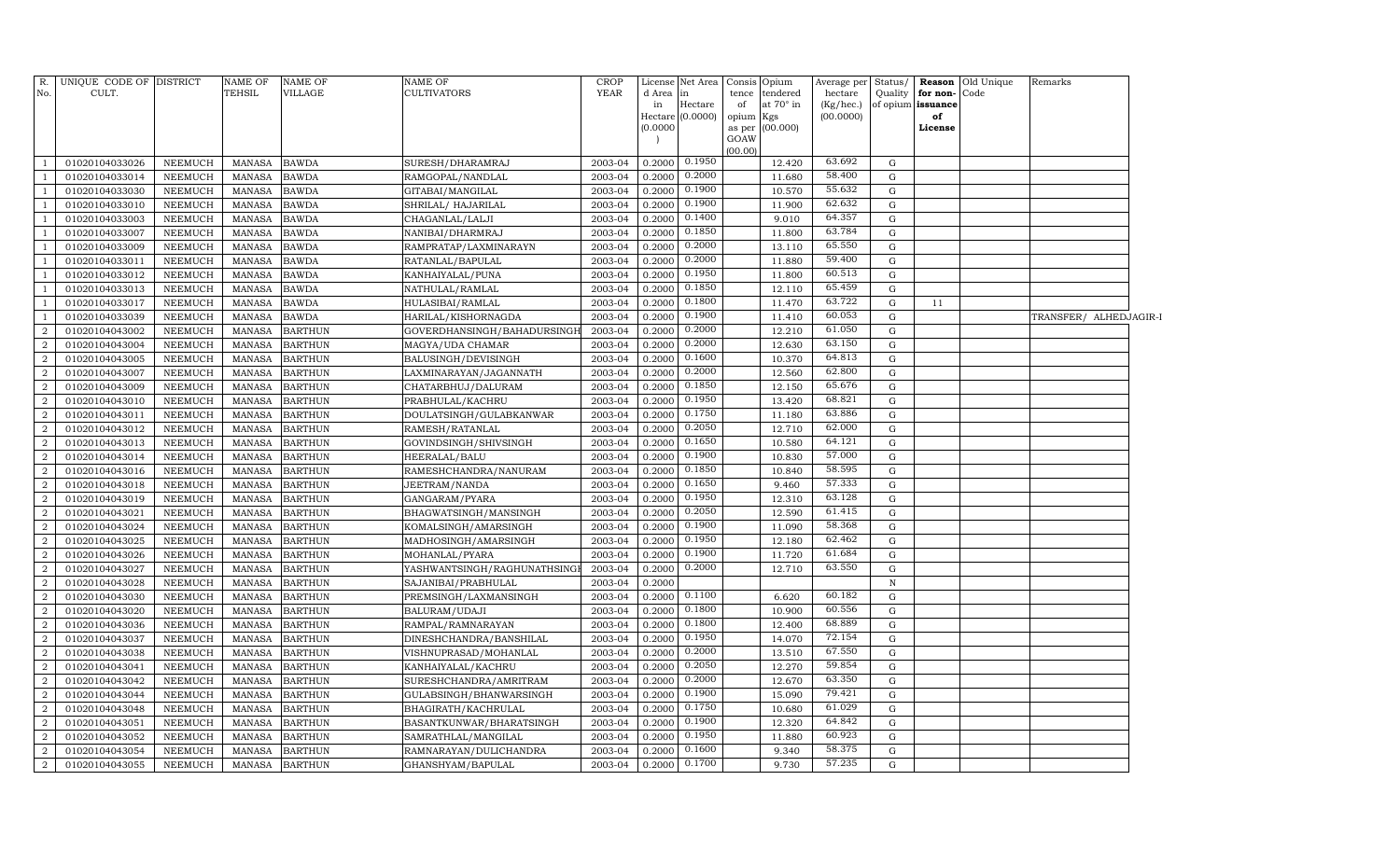| No.              | R. UNIQUE CODE OF DISTRICT<br>CULT. |                | <b>NAME OF</b><br><b>TEHSIL</b> | <b>NAME OF</b><br><b>VILLAGE</b> | <b>NAME OF</b><br><b>CULTIVATORS</b> | CROP<br><b>YEAR</b> | d Area   | License Net Area Consis<br>in | tence           | Opium<br>tendered | Average per<br>hectare | Status/<br>Quality | for non-Code      | <b>Reason</b> Old Unique | Remarks                |  |
|------------------|-------------------------------------|----------------|---------------------------------|----------------------------------|--------------------------------------|---------------------|----------|-------------------------------|-----------------|-------------------|------------------------|--------------------|-------------------|--------------------------|------------------------|--|
|                  |                                     |                |                                 |                                  |                                      |                     | in       | Hectare                       | of              | at 70° in         | (Kg/hec.)              |                    | of opium issuance |                          |                        |  |
|                  |                                     |                |                                 |                                  |                                      |                     |          | Hectare (0.0000)              | opium           | Kgs               | (00.0000)              |                    | of                |                          |                        |  |
|                  |                                     |                |                                 |                                  |                                      |                     | (0.0000) |                               | as per          | (00.000)          |                        |                    | License           |                          |                        |  |
|                  |                                     |                |                                 |                                  |                                      |                     |          |                               | GOAW<br>(00.00) |                   |                        |                    |                   |                          |                        |  |
| $\overline{1}$   | 01020104033026                      | NEEMUCH        | MANASA                          | <b>BAWDA</b>                     | SURESH/DHARAMRAJ                     | 2003-04             | 0.2000   | 0.1950                        |                 | 12.420            | 63.692                 | G                  |                   |                          |                        |  |
| $\overline{1}$   | 01020104033014                      | NEEMUCH        | <b>MANASA</b>                   | <b>BAWDA</b>                     | RAMGOPAL/NANDLAL                     | 2003-04             | 0.2000   | 0.2000                        |                 | 11.680            | 58.400                 | G                  |                   |                          |                        |  |
| -1               | 01020104033030                      | NEEMUCH        | <b>MANASA</b>                   | <b>BAWDA</b>                     | GITABAI/MANGILAL                     | 2003-04             | 0.2000   | 0.1900                        |                 | 10.570            | 55.632                 | G                  |                   |                          |                        |  |
| -1               | 01020104033010                      | NEEMUCH        | MANASA                          | <b>BAWDA</b>                     | SHRILAL/HAJARILAL                    | 2003-04             | 0.2000   | 0.1900                        |                 | 11.900            | 62.632                 | G                  |                   |                          |                        |  |
| -1               | 01020104033003                      | NEEMUCH        | MANASA                          | <b>BAWDA</b>                     | CHAGANLAL/LALJI                      | 2003-04             | 0.2000   | 0.1400                        |                 | 9.010             | 64.357                 | G                  |                   |                          |                        |  |
| -1               | 01020104033007                      | NEEMUCH        | <b>MANASA</b>                   | <b>BAWDA</b>                     | NANIBAI/DHARMRAJ                     | 2003-04             | 0.2000   | 0.1850                        |                 | 11.800            | 63.784                 | G                  |                   |                          |                        |  |
| $\mathbf{1}$     | 01020104033009                      | <b>NEEMUCH</b> | <b>MANASA</b>                   | <b>BAWDA</b>                     | RAMPRATAP/LAXMINARAYN                | 2003-04             | 0.2000   | 0.2000                        |                 | 13.110            | 65.550                 | G                  |                   |                          |                        |  |
| $\mathbf{1}$     | 01020104033011                      | NEEMUCH        | <b>MANASA</b>                   | <b>BAWDA</b>                     | RATANLAL/BAPULAL                     | 2003-04             | 0.2000   | 0.2000                        |                 | 11.880            | 59.400                 | G                  |                   |                          |                        |  |
| -1               | 01020104033012                      | NEEMUCH        | <b>MANASA</b>                   | <b>BAWDA</b>                     | KANHAIYALAL/PUNA                     | 2003-04             | 0.2000   | 0.1950                        |                 | 11.800            | 60.513                 | G                  |                   |                          |                        |  |
| -1               | 01020104033013                      | NEEMUCH        | <b>MANASA</b>                   | <b>BAWDA</b>                     | NATHULAL/RAMLAL                      | 2003-04             | 0.2000   | 0.1850                        |                 | 12.110            | 65.459                 | G                  |                   |                          |                        |  |
| -1               | 01020104033017                      | NEEMUCH        | <b>MANASA</b>                   | <b>BAWDA</b>                     | HULASIBAI/RAMLAL                     | 2003-04             | 0.2000   | 0.1800                        |                 | 11.470            | 63.722                 | G                  | 11                |                          |                        |  |
| -1               | 01020104033039                      | NEEMUCH        | <b>MANASA</b>                   | <b>BAWDA</b>                     | HARILAL/KISHORNAGDA                  | 2003-04             | 0.2000   | 0.1900                        |                 | 11.410            | 60.053                 | G                  |                   |                          | TRANSFER/ ALHEDJAGIR-I |  |
| $\overline{2}$   | 01020104043002                      | NEEMUCH        | MANASA                          | <b>BARTHUN</b>                   | GOVERDHANSINGH/BAHADURSINGI          | 2003-04             | 0.2000   | 0.2000                        |                 | 12.210            | 61.050                 | G                  |                   |                          |                        |  |
| $\overline{2}$   | 01020104043004                      | NEEMUCH        | MANASA                          | <b>BARTHUN</b>                   | MAGYA/UDA CHAMAR                     | 2003-04             | 0.2000   | 0.2000                        |                 | 12.630            | 63.150                 | G                  |                   |                          |                        |  |
| $\overline{a}$   | 01020104043005                      | NEEMUCH        | <b>MANASA</b>                   | <b>BARTHUN</b>                   | BALUSINGH/DEVISINGH                  | 2003-04             | 0.2000   | 0.1600                        |                 | 10.370            | 64.813                 | G                  |                   |                          |                        |  |
| $\overline{2}$   | 01020104043007                      | NEEMUCH        | <b>MANASA</b>                   | <b>BARTHUN</b>                   | LAXMINARAYAN/JAGANNATH               | 2003-04             | 0.2000   | 0.2000                        |                 | 12.560            | 62.800                 | G                  |                   |                          |                        |  |
| $\overline{a}$   | 01020104043009                      | NEEMUCH        | <b>MANASA</b>                   | <b>BARTHUN</b>                   | CHATARBHUJ/DALURAM                   | 2003-04             | 0.2000   | 0.1850                        |                 | 12.150            | 65.676                 | G                  |                   |                          |                        |  |
| $\boldsymbol{2}$ | 01020104043010                      | NEEMUCH        | <b>MANASA</b>                   | <b>BARTHUN</b>                   | PRABHULAL/KACHRU                     | 2003-04             | 0.2000   | 0.1950                        |                 | 13.420            | 68.821                 | G                  |                   |                          |                        |  |
| $\overline{a}$   | 01020104043011                      | NEEMUCH        | <b>MANASA</b>                   | <b>BARTHUN</b>                   | DOULATSINGH/GULABKANWAR              | 2003-04             | 0.2000   | 0.1750                        |                 | 11.180            | 63.886                 | G                  |                   |                          |                        |  |
| $\overline{2}$   | 01020104043012                      | NEEMUCH        | <b>MANASA</b>                   | <b>BARTHUN</b>                   | RAMESH/RATANLAL                      | 2003-04             | 0.2000   | 0.2050                        |                 | 12.710            | 62.000                 | G                  |                   |                          |                        |  |
| 2                | 01020104043013                      | NEEMUCH        | <b>MANASA</b>                   | <b>BARTHUN</b>                   | GOVINDSINGH/SHIVSINGH                | 2003-04             | 0.2000   | 0.1650                        |                 | 10.580            | 64.121                 | G                  |                   |                          |                        |  |
| $\overline{2}$   | 01020104043014                      | NEEMUCH        | <b>MANASA</b>                   | <b>BARTHUN</b>                   | HEERALAL/BALU                        | 2003-04             | 0.2000   | 0.1900                        |                 | 10.830            | 57.000                 | G                  |                   |                          |                        |  |
| $\overline{2}$   | 01020104043016                      | NEEMUCH        | MANASA                          | <b>BARTHUN</b>                   | RAMESHCHANDRA/NANURAM                | 2003-04             | 0.2000   | 0.1850                        |                 | 10.840            | 58.595                 | G                  |                   |                          |                        |  |
| $\overline{2}$   | 01020104043018                      | NEEMUCH        | <b>MANASA</b>                   | <b>BARTHUN</b>                   | JEETRAM/NANDA                        | 2003-04             | 0.2000   | 0.1650                        |                 | 9.460             | 57.333                 | G                  |                   |                          |                        |  |
| $\overline{2}$   | 01020104043019                      | NEEMUCH        | <b>MANASA</b>                   | <b>BARTHUN</b>                   | GANGARAM/PYARA                       | 2003-04             | 0.2000   | 0.1950                        |                 | 12.310            | 63.128                 | G                  |                   |                          |                        |  |
| $\overline{a}$   | 01020104043021                      | NEEMUCH        | <b>MANASA</b>                   | <b>BARTHUN</b>                   | BHAGWATSINGH/MANSINGH                | 2003-04             | 0.2000   | 0.2050                        |                 | 12.590            | 61.415                 | G                  |                   |                          |                        |  |
| $\overline{a}$   | 01020104043024                      | NEEMUCH        | <b>MANASA</b>                   | <b>BARTHUN</b>                   | KOMALSINGH/AMARSINGH                 | 2003-04             | 0.2000   | 0.1900                        |                 | 11.090            | 58.368                 | G                  |                   |                          |                        |  |
| $\overline{2}$   | 01020104043025                      | NEEMUCH        | <b>MANASA</b>                   | <b>BARTHUN</b>                   | MADHOSINGH/AMARSINGH                 | 2003-04             | 0.2000   | 0.1950                        |                 | 12.180            | 62.462                 | G                  |                   |                          |                        |  |
| $\boldsymbol{2}$ | 01020104043026                      | NEEMUCH        | <b>MANASA</b>                   | <b>BARTHUN</b>                   | MOHANLAL/PYARA                       | 2003-04             | 0.2000   | 0.1900                        |                 | 11.720            | 61.684                 | G                  |                   |                          |                        |  |
| $\overline{2}$   | 01020104043027                      | NEEMUCH        | <b>MANASA</b>                   | <b>BARTHUN</b>                   | YASHWANTSINGH/RAGHUNATHSING          | 2003-04             | 0.2000   | 0.2000                        |                 | 12.710            | 63.550                 | G                  |                   |                          |                        |  |
| $\overline{2}$   | 01020104043028                      | NEEMUCH        | <b>MANASA</b>                   | <b>BARTHUN</b>                   | SAJANIBAI/PRABHULAL                  | 2003-04             | 0.2000   |                               |                 |                   |                        | $\, {\bf N}$       |                   |                          |                        |  |
| $\overline{a}$   | 01020104043030                      | NEEMUCH        | <b>MANASA</b>                   | <b>BARTHUN</b>                   | PREMSINGH/LAXMANSINGH                | 2003-04             | 0.2000   | 0.1100                        |                 | 6.620             | 60.182                 | G                  |                   |                          |                        |  |
| $\overline{a}$   | 01020104043020                      | NEEMUCH        | <b>MANASA</b>                   | <b>BARTHUN</b>                   | BALURAM/UDAJI                        | 2003-04             | 0.2000   | 0.1800                        |                 | 10.900            | 60.556                 | G                  |                   |                          |                        |  |
| $\overline{2}$   | 01020104043036                      | NEEMUCH        | <b>MANASA</b>                   | <b>BARTHUN</b>                   | RAMPAL/RAMNARAYAN                    | 2003-04             | 0.2000   | 0.1800                        |                 | 12.400            | 68.889                 | G                  |                   |                          |                        |  |
| $\overline{a}$   | 01020104043037                      | NEEMUCH        | <b>MANASA</b>                   | <b>BARTHUN</b>                   | DINESHCHANDRA/BANSHILAL              | 2003-04             | 0.2000   | 0.1950                        |                 | 14.070            | 72.154                 | G                  |                   |                          |                        |  |
| $\overline{2}$   | 01020104043038                      | NEEMUCH        | <b>MANASA</b>                   | <b>BARTHUN</b>                   | VISHNUPRASAD/MOHANLAL                | 2003-04             | 0.2000   | 0.2000                        |                 | 13.510            | 67.550                 | G                  |                   |                          |                        |  |
| $\boldsymbol{2}$ | 01020104043041                      | NEEMUCH        | <b>MANASA</b>                   | <b>BARTHUN</b>                   | KANHAIYALAL/KACHRU                   | 2003-04             | 0.2000   | 0.2050                        |                 | 12.270            | 59.854                 | G                  |                   |                          |                        |  |
| $\overline{2}$   | 01020104043042                      | <b>NEEMUCH</b> | <b>MANASA</b>                   | <b>BARTHUN</b>                   | SURESHCHANDRA/AMRITRAM               | 2003-04             | 0.2000   | 0.2000                        |                 | 12.670            | 63.350                 | G                  |                   |                          |                        |  |
| $\overline{2}$   | 01020104043044                      | NEEMUCH        | <b>MANASA</b>                   | <b>BARTHUN</b>                   | GULABSINGH/BHANWARSINGH              | 2003-04             | 0.2000   | 0.1900                        |                 | 15.090            | 79.421                 | G                  |                   |                          |                        |  |
| $\overline{a}$   | 01020104043048                      | NEEMUCH        | <b>MANASA</b>                   | <b>BARTHUN</b>                   | BHAGIRATH/KACHRULAL                  | 2003-04             | 0.2000   | 0.1750                        |                 | 10.680            | 61.029                 | G                  |                   |                          |                        |  |
| $\overline{a}$   | 01020104043051                      | <b>NEEMUCH</b> | <b>MANASA</b>                   | <b>BARTHUN</b>                   | BASANTKUNWAR/BHARATSINGH             | 2003-04             | 0.2000   | 0.1900                        |                 | 12.320            | 64.842                 | G                  |                   |                          |                        |  |
| $\overline{a}$   | 01020104043052                      | <b>NEEMUCH</b> | <b>MANASA</b>                   | <b>BARTHUN</b>                   | SAMRATHLAL/MANGILAL                  | 2003-04             | 0.2000   | 0.1950                        |                 | 11.880            | 60.923                 | G                  |                   |                          |                        |  |
| $\overline{2}$   | 01020104043054                      | NEEMUCH        | <b>MANASA</b>                   | <b>BARTHUN</b>                   | RAMNARAYAN/DULICHANDRA               | 2003-04             | 0.2000   | 0.1600                        |                 | 9.340             | 58.375                 | G                  |                   |                          |                        |  |
| 2                | 01020104043055                      | NEEMUCH        | MANASA                          | <b>BARTHUN</b>                   | GHANSHYAM/BAPULAL                    | 2003-04             | 0.2000   | 0.1700                        |                 | 9.730             | 57.235                 | G                  |                   |                          |                        |  |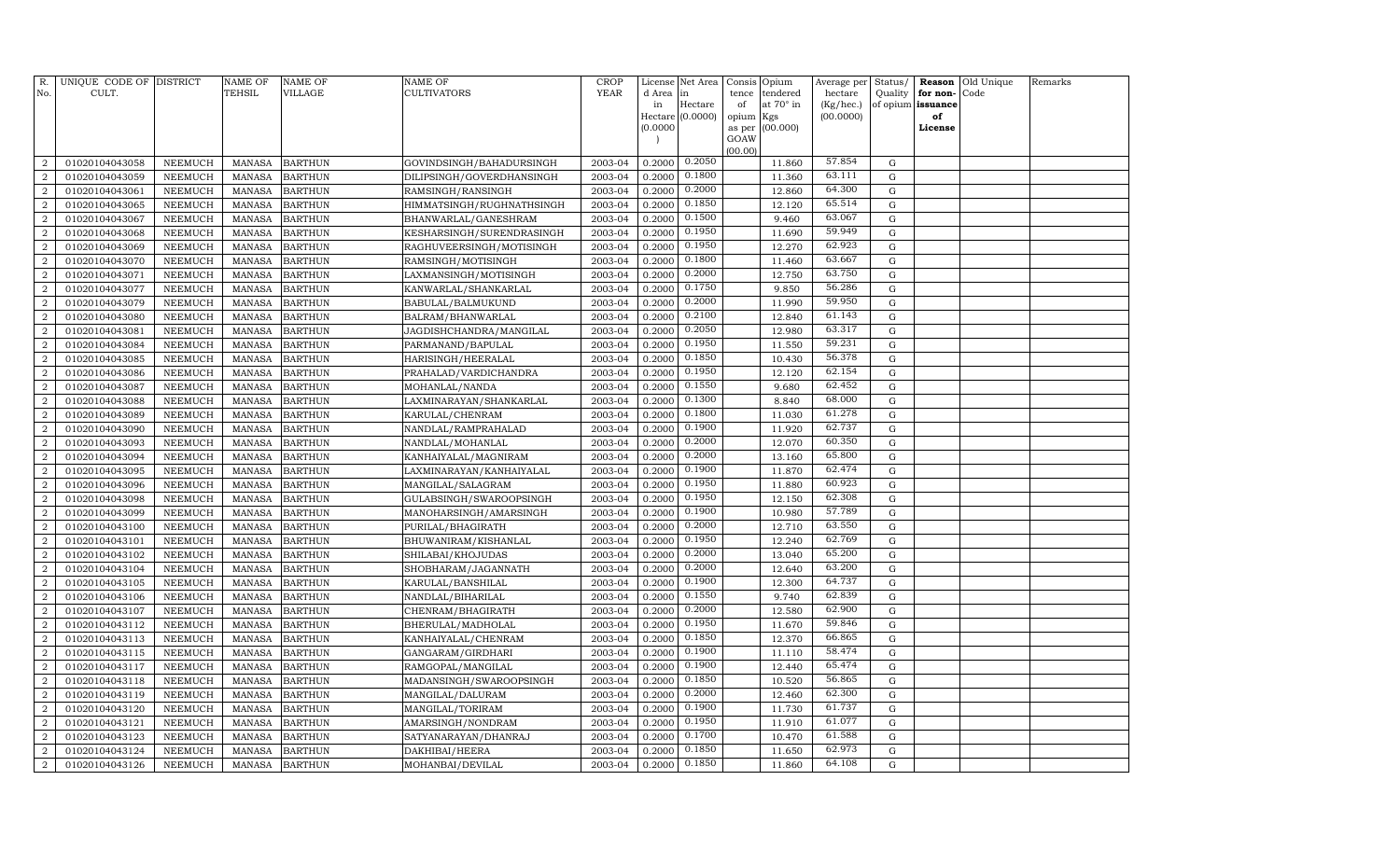| R.<br>No.      | UNIQUE CODE OF DISTRICT<br>CULT. |                | NAME OF<br><b>TEHSIL</b> | <b>NAME OF</b><br>VILLAGE | <b>NAME OF</b><br><b>CULTIVATORS</b> | CROP<br><b>YEAR</b> | License<br>d Area        | Net Area<br>in   | Consis<br>tence | Opium<br>tendered | Average per<br>hectare | Status/<br>Quality | for non-          | <b>Reason</b> Old Unique<br>Code | Remarks |
|----------------|----------------------------------|----------------|--------------------------|---------------------------|--------------------------------------|---------------------|--------------------------|------------------|-----------------|-------------------|------------------------|--------------------|-------------------|----------------------------------|---------|
|                |                                  |                |                          |                           |                                      |                     | in                       | Hectare          | of              | at 70° in         | (Kg/hec.)              |                    | of opium issuance |                                  |         |
|                |                                  |                |                          |                           |                                      |                     |                          | Hectare (0.0000) | opium           | Kgs               | (00.0000)              |                    | of                |                                  |         |
|                |                                  |                |                          |                           |                                      |                     | (0.0000)                 |                  | as per          | (00.000)          |                        |                    | License           |                                  |         |
|                |                                  |                |                          |                           |                                      |                     | $\overline{\phantom{a}}$ |                  | GOAW<br>(00.00) |                   |                        |                    |                   |                                  |         |
| $\overline{2}$ | 01020104043058                   | NEEMUCH        | <b>MANASA</b>            | <b>BARTHUN</b>            | GOVINDSINGH/BAHADURSINGH             | 2003-04             | 0.2000                   | 0.2050           |                 | 11.860            | 57.854                 | G                  |                   |                                  |         |
| $\overline{a}$ | 01020104043059                   | <b>NEEMUCH</b> | <b>MANASA</b>            | <b>BARTHUN</b>            | DILIPSINGH/GOVERDHANSINGH            | 2003-04             | 0.2000                   | 0.1800           |                 | 11.360            | 63.111                 | G                  |                   |                                  |         |
| 2              | 01020104043061                   | NEEMUCH        | <b>MANASA</b>            | <b>BARTHUN</b>            | RAMSINGH/RANSINGH                    | 2003-04             | 0.2000                   | 0.2000           |                 | 12.860            | 64.300                 | G                  |                   |                                  |         |
| $\overline{2}$ | 01020104043065                   | <b>NEEMUCH</b> | <b>MANASA</b>            | <b>BARTHUN</b>            | HIMMATSINGH/RUGHNATHSINGH            | 2003-04             | 0.2000                   | 0.1850           |                 | 12.120            | 65.514                 | $\mathbf G$        |                   |                                  |         |
| $\overline{a}$ | 01020104043067                   | <b>NEEMUCH</b> | <b>MANASA</b>            | <b>BARTHUN</b>            | BHANWARLAL/GANESHRAM                 | 2003-04             | 0.2000                   | 0.1500           |                 | 9.460             | 63.067                 | G                  |                   |                                  |         |
| $\overline{2}$ | 01020104043068                   | <b>NEEMUCH</b> | <b>MANASA</b>            | <b>BARTHUN</b>            | KESHARSINGH/SURENDRASINGH            | 2003-04             | 0.2000                   | 0.1950           |                 | 11.690            | 59.949                 | $\mathbf G$        |                   |                                  |         |
| $\overline{a}$ | 01020104043069                   | <b>NEEMUCH</b> | <b>MANASA</b>            | <b>BARTHUN</b>            | RAGHUVEERSINGH/MOTISINGH             | 2003-04             | 0.2000                   | 0.1950           |                 | 12.270            | 62.923                 | $\mathbf G$        |                   |                                  |         |
| $\overline{2}$ | 01020104043070                   | <b>NEEMUCH</b> | <b>MANASA</b>            | <b>BARTHUN</b>            | RAMSINGH/MOTISINGH                   | 2003-04             | 0.2000                   | 0.1800           |                 | 11.460            | 63.667                 | G                  |                   |                                  |         |
| $\overline{a}$ | 01020104043071                   | <b>NEEMUCH</b> | <b>MANASA</b>            | <b>BARTHUN</b>            | LAXMANSINGH/MOTISINGH                | 2003-04             | 0.2000                   | 0.2000           |                 | 12.750            | 63.750                 | G                  |                   |                                  |         |
| $\overline{a}$ | 01020104043077                   | <b>NEEMUCH</b> | <b>MANASA</b>            | <b>BARTHUN</b>            | KANWARLAL/SHANKARLAL                 | 2003-04             | 0.2000                   | 0.1750           |                 | 9.850             | 56.286                 | G                  |                   |                                  |         |
| $\overline{a}$ | 01020104043079                   | <b>NEEMUCH</b> | <b>MANASA</b>            | <b>BARTHUN</b>            | BABULAL/BALMUKUND                    | 2003-04             | 0.2000                   | 0.2000           |                 | 11.990            | 59.950                 | $\mathbf G$        |                   |                                  |         |
| $\overline{2}$ | 01020104043080                   | <b>NEEMUCH</b> | <b>MANASA</b>            | <b>BARTHUN</b>            | BALRAM/BHANWARLAL                    | 2003-04             | 0.2000                   | 0.2100           |                 | 12.840            | 61.143                 | ${\rm G}$          |                   |                                  |         |
| 2              | 01020104043081                   | <b>NEEMUCH</b> | <b>MANASA</b>            | <b>BARTHUN</b>            | JAGDISHCHANDRA/MANGILAL              | 2003-04             | 0.2000                   | 0.2050           |                 | 12.980            | 63.317                 | G                  |                   |                                  |         |
| $\overline{2}$ | 01020104043084                   | <b>NEEMUCH</b> | <b>MANASA</b>            | <b>BARTHUN</b>            | PARMANAND/BAPULAL                    | 2003-04             | 0.2000                   | 0.1950           |                 | 11.550            | 59.231                 | $\mathbf G$        |                   |                                  |         |
| $\overline{a}$ | 01020104043085                   | <b>NEEMUCH</b> | <b>MANASA</b>            | <b>BARTHUN</b>            | HARISINGH/HEERALAL                   | 2003-04             | 0.2000                   | 0.1850           |                 | 10.430            | 56.378                 | $\mathbf G$        |                   |                                  |         |
| $\overline{2}$ | 01020104043086                   | <b>NEEMUCH</b> | <b>MANASA</b>            | <b>BARTHUN</b>            | PRAHALAD/VARDICHANDRA                | 2003-04             | 0.2000                   | 0.1950           |                 | 12.120            | 62.154                 | $\mathbf G$        |                   |                                  |         |
| $\overline{a}$ | 01020104043087                   | NEEMUCH        | <b>MANASA</b>            | <b>BARTHUN</b>            | MOHANLAL/NANDA                       | 2003-04             | 0.2000                   | 0.1550           |                 | 9.680             | 62.452                 | G                  |                   |                                  |         |
| $\overline{a}$ | 01020104043088                   | <b>NEEMUCH</b> | <b>MANASA</b>            | <b>BARTHUN</b>            | LAXMINARAYAN/SHANKARLAL              | 2003-04             | 0.2000                   | 0.1300           |                 | 8.840             | 68.000                 | G                  |                   |                                  |         |
| $\overline{a}$ | 01020104043089                   | <b>NEEMUCH</b> | <b>MANASA</b>            | <b>BARTHUN</b>            | KARULAL/CHENRAM                      | 2003-04             | 0.2000                   | 0.1800           |                 | 11.030            | 61.278                 | G                  |                   |                                  |         |
| $\overline{a}$ | 01020104043090                   | <b>NEEMUCH</b> | <b>MANASA</b>            | <b>BARTHUN</b>            | NANDLAL/RAMPRAHALAD                  | 2003-04             | 0.2000                   | 0.1900           |                 | 11.920            | 62.737                 | G                  |                   |                                  |         |
| $\overline{a}$ | 01020104043093                   | <b>NEEMUCH</b> | <b>MANASA</b>            | <b>BARTHUN</b>            | NANDLAL/MOHANLAL                     | 2003-04             | 0.2000                   | 0.2000           |                 | 12.070            | 60.350                 | $\mathbf G$        |                   |                                  |         |
| $\overline{2}$ | 01020104043094                   | <b>NEEMUCH</b> | MANASA                   | <b>BARTHUN</b>            | KANHAIYALAL/MAGNIRAM                 | 2003-04             | 0.2000                   | 0.2000           |                 | 13.160            | 65.800                 | G                  |                   |                                  |         |
| $\overline{a}$ | 01020104043095                   | <b>NEEMUCH</b> | <b>MANASA</b>            | <b>BARTHUN</b>            | LAXMINARAYAN/KANHAIYALAL             | 2003-04             | 0.2000                   | 0.1900           |                 | 11.870            | 62.474                 | G                  |                   |                                  |         |
| $\overline{2}$ | 01020104043096                   | <b>NEEMUCH</b> | <b>MANASA</b>            | <b>BARTHUN</b>            | MANGILAL/SALAGRAM                    | 2003-04             | 0.2000                   | 0.1950           |                 | 11.880            | 60.923                 | G                  |                   |                                  |         |
| $\overline{a}$ | 01020104043098                   | <b>NEEMUCH</b> | <b>MANASA</b>            | <b>BARTHUN</b>            | GULABSINGH/SWAROOPSINGH              | 2003-04             | 0.2000                   | 0.1950           |                 | 12.150            | 62.308                 | $\mathbf G$        |                   |                                  |         |
| $\overline{a}$ | 01020104043099                   | <b>NEEMUCH</b> | <b>MANASA</b>            | <b>BARTHUN</b>            | MANOHARSINGH/AMARSINGH               | 2003-04             | 0.2000                   | 0.1900           |                 | 10.980            | 57.789                 | G                  |                   |                                  |         |
| $\overline{2}$ | 01020104043100                   | <b>NEEMUCH</b> | <b>MANASA</b>            | <b>BARTHUN</b>            | PURILAL/BHAGIRATH                    | 2003-04             | 0.2000                   | 0.2000           |                 | 12.710            | 63.550                 | $\mathbf G$        |                   |                                  |         |
| $\overline{a}$ | 01020104043101                   | <b>NEEMUCH</b> | <b>MANASA</b>            | <b>BARTHUN</b>            | BHUWANIRAM/KISHANLAL                 | 2003-04             | 0.2000                   | 0.1950           |                 | 12.240            | 62.769                 | G                  |                   |                                  |         |
| 2              | 01020104043102                   | <b>NEEMUCH</b> | <b>MANASA</b>            | <b>BARTHUN</b>            | SHILABAI/KHOJUDAS                    | 2003-04             | 0.2000                   | 0.2000           |                 | 13.040            | 65.200                 | G                  |                   |                                  |         |
| $\overline{2}$ | 01020104043104                   | <b>NEEMUCH</b> | <b>MANASA</b>            | <b>BARTHUN</b>            | SHOBHARAM/JAGANNATH                  | 2003-04             | 0.2000                   | 0.2000           |                 | 12.640            | 63.200                 | G                  |                   |                                  |         |
| $\overline{2}$ | 01020104043105                   | <b>NEEMUCH</b> | <b>MANASA</b>            | <b>BARTHUN</b>            | KARULAL/BANSHILAL                    | 2003-04             | 0.2000                   | 0.1900           |                 | 12.300            | 64.737                 | G                  |                   |                                  |         |
| $\overline{2}$ | 01020104043106                   | <b>NEEMUCH</b> | <b>MANASA</b>            | <b>BARTHUN</b>            | NANDLAL/BIHARILAL                    | 2003-04             | 0.2000                   | 0.1550           |                 | 9.740             | 62.839                 | $\mathbf G$        |                   |                                  |         |
| $\overline{a}$ | 01020104043107                   | <b>NEEMUCH</b> | <b>MANASA</b>            | <b>BARTHUN</b>            | CHENRAM/BHAGIRATH                    | 2003-04             | 0.2000                   | 0.2000           |                 | 12.580            | 62.900                 | G                  |                   |                                  |         |
| $\overline{2}$ | 01020104043112                   | <b>NEEMUCH</b> | <b>MANASA</b>            | <b>BARTHUN</b>            | BHERULAL/MADHOLAL                    | 2003-04             | 0.2000                   | 0.1950           |                 | 11.670            | 59.846                 | $\mathbf G$        |                   |                                  |         |
| $\overline{a}$ | 01020104043113                   | <b>NEEMUCH</b> | <b>MANASA</b>            | <b>BARTHUN</b>            | KANHAIYALAL/CHENRAM                  | 2003-04             | 0.2000                   | 0.1850           |                 | 12.370            | 66.865                 | G                  |                   |                                  |         |
| $\overline{2}$ | 01020104043115                   | <b>NEEMUCH</b> | <b>MANASA</b>            | <b>BARTHUN</b>            | GANGARAM/GIRDHARI                    | 2003-04             | 0.2000                   | 0.1900           |                 | 11.110            | 58.474                 | G                  |                   |                                  |         |
| $\overline{a}$ | 01020104043117                   | <b>NEEMUCH</b> | <b>MANASA</b>            | <b>BARTHUN</b>            | RAMGOPAL/MANGILAL                    | 2003-04             | 0.2000                   | 0.1900           |                 | 12.440            | 65.474                 | G                  |                   |                                  |         |
| $\overline{2}$ | 01020104043118                   | <b>NEEMUCH</b> | <b>MANASA</b>            | <b>BARTHUN</b>            | MADANSINGH/SWAROOPSINGH              | 2003-04             | 0.2000                   | 0.1850           |                 | 10.520            | 56.865                 | G                  |                   |                                  |         |
| 2              | 01020104043119                   | <b>NEEMUCH</b> | <b>MANASA</b>            | <b>BARTHUN</b>            | MANGILAL/DALURAM                     | 2003-04             | 0.2000                   | 0.2000           |                 | 12.460            | 62.300                 | G                  |                   |                                  |         |
| $\overline{2}$ | 01020104043120                   | <b>NEEMUCH</b> | <b>MANASA</b>            | <b>BARTHUN</b>            | MANGILAL/TORIRAM                     | 2003-04             | 0.2000                   | 0.1900           |                 | 11.730            | 61.737                 | $\mathbf G$        |                   |                                  |         |
| $\overline{a}$ | 01020104043121                   | <b>NEEMUCH</b> | <b>MANASA</b>            | <b>BARTHUN</b>            | AMARSINGH/NONDRAM                    | 2003-04             | 0.2000                   | 0.1950           |                 | 11.910            | 61.077                 | $\mathbf G$        |                   |                                  |         |
| $\overline{2}$ | 01020104043123                   | <b>NEEMUCH</b> | <b>MANASA</b>            | <b>BARTHUN</b>            | SATYANARAYAN/DHANRAJ                 | 2003-04             | 0.2000                   | 0.1700           |                 | 10.470            | 61.588                 | G                  |                   |                                  |         |
| $\overline{a}$ | 01020104043124                   | <b>NEEMUCH</b> | <b>MANASA</b>            | <b>BARTHUN</b>            | DAKHIBAI/HEERA                       | 2003-04             | 0.2000                   | 0.1850           |                 | 11.650            | 62.973                 | G                  |                   |                                  |         |
| $\overline{a}$ | 01020104043126                   | NEEMUCH        | MANASA                   | <b>BARTHUN</b>            | MOHANBAI/DEVILAL                     | 2003-04             | 0.2000                   | 0.1850           |                 | 11.860            | 64.108                 | $\mathbf G$        |                   |                                  |         |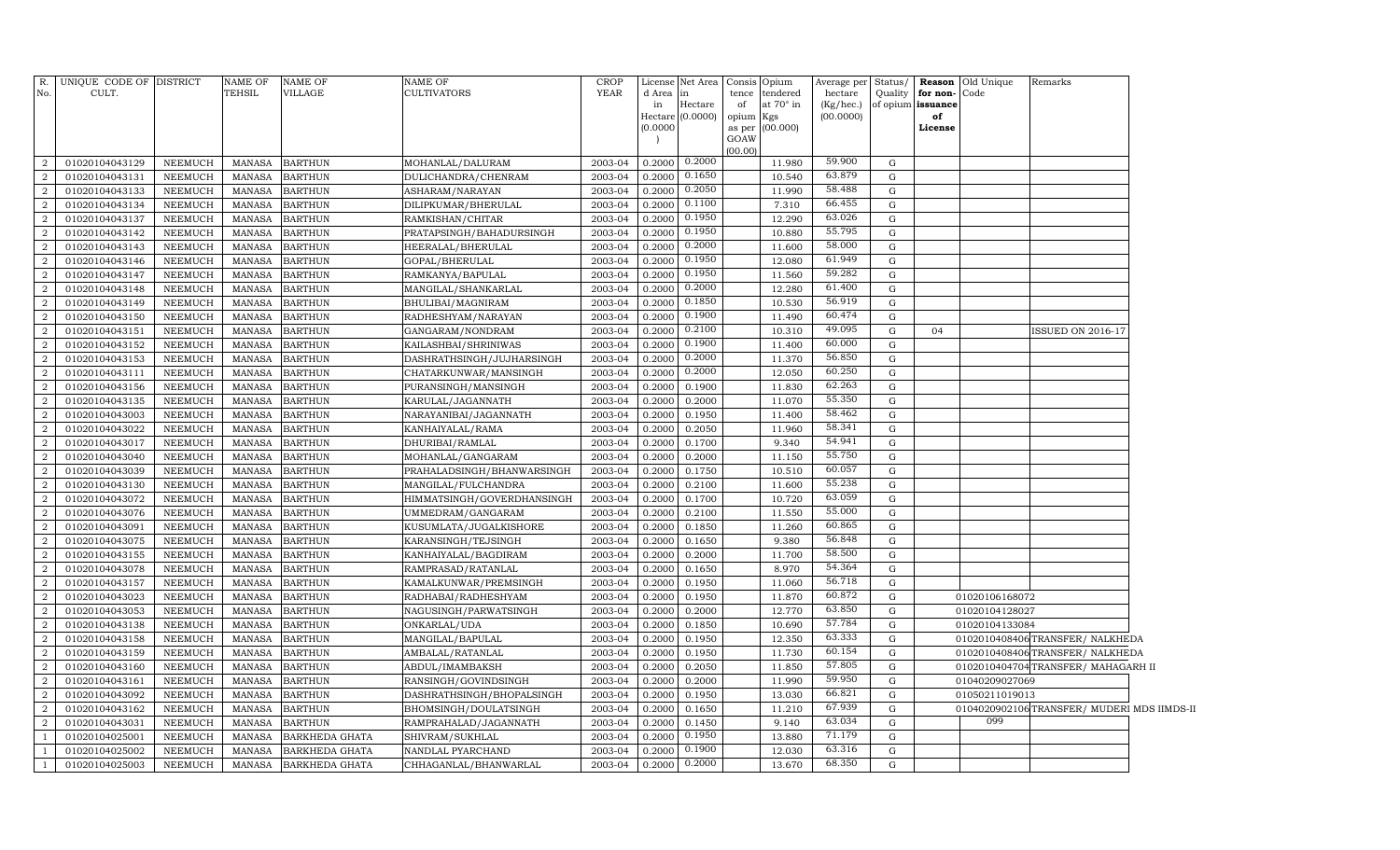|                | R. UNIQUE CODE OF DISTRICT |                | <b>NAME OF</b> | <b>NAME OF</b>        | NAME OF                    | <b>CROP</b> | License      | Net Area      |           | Consis Opium                       | Average per Status/  |   |                                           | <b>Reason</b> Old Unique | Remarks                                     |  |
|----------------|----------------------------|----------------|----------------|-----------------------|----------------------------|-------------|--------------|---------------|-----------|------------------------------------|----------------------|---|-------------------------------------------|--------------------------|---------------------------------------------|--|
| No.            | CULT.                      |                | TEHSIL         | VILLAGE               | CULTIVATORS                | <b>YEAR</b> | d Area<br>in | in<br>Hectare | of        | tence tendered<br>at $70^\circ$ in | hectare<br>(Kg/hec.) |   | Quality for non-Code<br>of opium issuance |                          |                                             |  |
|                |                            |                |                |                       |                            |             | Hectare      | (0.0000)      | opium Kgs |                                    | (00.0000)            |   | of                                        |                          |                                             |  |
|                |                            |                |                |                       |                            |             | (0.0000)     |               |           | as per (00.000)                    |                      |   | License                                   |                          |                                             |  |
|                |                            |                |                |                       |                            |             |              |               | GOAW      |                                    |                      |   |                                           |                          |                                             |  |
| 2              | 01020104043129             | NEEMUCH        | MANASA         | <b>BARTHUN</b>        | MOHANLAL/DALURAM           | 2003-04     | 0.2000       | 0.2000        | (00.00)   | 11.980                             | 59.900               | G |                                           |                          |                                             |  |
| $\overline{2}$ | 01020104043131             | <b>NEEMUCH</b> | <b>MANASA</b>  | <b>BARTHUN</b>        | DULICHANDRA/CHENRAM        | 2003-04     | 0.2000       | 0.1650        |           | 10.540                             | 63.879               | G |                                           |                          |                                             |  |
| $\overline{a}$ | 01020104043133             | NEEMUCH        | MANASA         | <b>BARTHUN</b>        | ASHARAM/NARAYAN            | 2003-04     | 0.2000       | 0.2050        |           | 11.990                             | 58.488               | G |                                           |                          |                                             |  |
| 2              | 01020104043134             | <b>NEEMUCH</b> | <b>MANASA</b>  | <b>BARTHUN</b>        | DILIPKUMAR/BHERULAL        | 2003-04     | 0.2000       | 0.1100        |           | 7.310                              | 66.455               | G |                                           |                          |                                             |  |
| $\overline{a}$ | 01020104043137             | NEEMUCH        | <b>MANASA</b>  | <b>BARTHUN</b>        | RAMKISHAN/CHITAR           | 2003-04     | 0.2000       | 0.1950        |           | 12.290                             | 63.026               | G |                                           |                          |                                             |  |
| 2              | 01020104043142             | <b>NEEMUCH</b> | <b>MANASA</b>  | <b>BARTHUN</b>        | PRATAPSINGH/BAHADURSINGH   | 2003-04     | 0.2000       | 0.1950        |           | 10.880                             | 55.795               | G |                                           |                          |                                             |  |
| 2              | 01020104043143             | NEEMUCH        | MANASA         | <b>BARTHUN</b>        | HEERALAL/BHERULAL          | 2003-04     | 0.2000       | 0.2000        |           | 11.600                             | 58.000               | G |                                           |                          |                                             |  |
| $\overline{2}$ | 01020104043146             | <b>NEEMUCH</b> | <b>MANASA</b>  | <b>BARTHUN</b>        | GOPAL/BHERULAL             | 2003-04     | 0.2000       | 0.1950        |           | 12.080                             | 61.949               | G |                                           |                          |                                             |  |
| $\overline{2}$ | 01020104043147             | <b>NEEMUCH</b> | <b>MANASA</b>  | <b>BARTHUN</b>        | RAMKANYA/BAPULAL           | 2003-04     | 0.2000       | 0.1950        |           | 11.560                             | 59.282               | G |                                           |                          |                                             |  |
| $\overline{2}$ | 01020104043148             | NEEMUCH        | <b>MANASA</b>  | <b>BARTHUN</b>        | MANGILAL/SHANKARLAL        | 2003-04     | 0.2000       | 0.2000        |           | 12.280                             | 61.400               | G |                                           |                          |                                             |  |
| $\overline{2}$ | 01020104043149             | <b>NEEMUCH</b> | <b>MANASA</b>  | <b>BARTHUN</b>        | BHULIBAI/MAGNIRAM          | 2003-04     | 0.2000       | 0.1850        |           | 10.530                             | 56.919               | G |                                           |                          |                                             |  |
| $\overline{2}$ | 01020104043150             | <b>NEEMUCH</b> | <b>MANASA</b>  | <b>BARTHUN</b>        | RADHESHYAM/NARAYAN         | 2003-04     | 0.2000       | 0.1900        |           | 11.490                             | 60.474               | G |                                           |                          |                                             |  |
| $\overline{2}$ | 01020104043151             | NEEMUCH        | MANASA         | <b>BARTHUN</b>        | GANGARAM/NONDRAM           | 2003-04     | 0.2000       | 0.2100        |           | 10.310                             | 49.095               | G | 04                                        |                          | ISSUED ON 2016-17                           |  |
| $\overline{2}$ | 01020104043152             | <b>NEEMUCH</b> | <b>MANASA</b>  | <b>BARTHUN</b>        | KAILASHBAI/SHRINIWAS       | 2003-04     | 0.2000       | 0.1900        |           | 11.400                             | 60.000               | G |                                           |                          |                                             |  |
| $\overline{2}$ | 01020104043153             | NEEMUCH        | <b>MANASA</b>  | <b>BARTHUN</b>        | DASHRATHSINGH/JUJHARSINGH  | 2003-04     | 0.2000       | 0.2000        |           | 11.370                             | 56.850               | G |                                           |                          |                                             |  |
| $\overline{2}$ | 01020104043111             | NEEMUCH        | <b>MANASA</b>  | <b>BARTHUN</b>        | CHATARKUNWAR/MANSINGH      | 2003-04     | 0.2000       | 0.2000        |           | 12.050                             | 60.250               | G |                                           |                          |                                             |  |
| $\overline{2}$ | 01020104043156             | <b>NEEMUCH</b> | <b>MANASA</b>  | <b>BARTHUN</b>        | PURANSINGH/MANSINGH        | 2003-04     | 0.2000       | 0.1900        |           | 11.830                             | 62.263               | G |                                           |                          |                                             |  |
| 2              | 01020104043135             | NEEMUCH        | <b>MANASA</b>  | <b>BARTHUN</b>        | KARULAL/JAGANNATH          | 2003-04     | 0.2000       | 0.2000        |           | 11.070                             | 55.350               | G |                                           |                          |                                             |  |
| 2              | 01020104043003             | <b>NEEMUCH</b> | <b>MANASA</b>  | <b>BARTHUN</b>        | NARAYANIBAI/JAGANNATH      | 2003-04     | 0.2000       | 0.1950        |           | 11.400                             | 58.462               | G |                                           |                          |                                             |  |
| 2              | 01020104043022             | NEEMUCH        | <b>MANASA</b>  | <b>BARTHUN</b>        | KANHAIYALAL/RAMA           | 2003-04     | 0.2000       | 0.2050        |           | 11.960                             | 58.341               | G |                                           |                          |                                             |  |
| 2              | 01020104043017             | <b>NEEMUCH</b> | <b>MANASA</b>  | <b>BARTHUN</b>        | DHURIBAI/RAMLAL            | 2003-04     | 0.2000       | 0.1700        |           | 9.340                              | 54.941               | G |                                           |                          |                                             |  |
| 2              | 01020104043040             | <b>NEEMUCH</b> | <b>MANASA</b>  | <b>BARTHUN</b>        | MOHANLAL/GANGARAM          | 2003-04     | 0.2000       | 0.2000        |           | 11.150                             | 55.750               | G |                                           |                          |                                             |  |
| 2              | 01020104043039             | <b>NEEMUCH</b> | <b>MANASA</b>  | <b>BARTHUN</b>        | PRAHALADSINGH/BHANWARSINGH | 2003-04     | 0.2000       | 0.1750        |           | 10.510                             | 60.057               | G |                                           |                          |                                             |  |
| 2              | 01020104043130             | <b>NEEMUCH</b> | <b>MANASA</b>  | <b>BARTHUN</b>        | MANGILAL/FULCHANDRA        | 2003-04     | 0.2000       | 0.2100        |           | 11.600                             | 55.238               | G |                                           |                          |                                             |  |
| 2              | 01020104043072             | <b>NEEMUCH</b> | <b>MANASA</b>  | <b>BARTHUN</b>        | HIMMATSINGH/GOVERDHANSINGH | 2003-04     | 0.2000       | 0.1700        |           | 10.720                             | 63.059               | G |                                           |                          |                                             |  |
| 2              | 01020104043076             | <b>NEEMUCH</b> | <b>MANASA</b>  | <b>BARTHUN</b>        | UMMEDRAM/GANGARAM          | 2003-04     | 0.2000       | 0.2100        |           | 11.550                             | 55.000               | G |                                           |                          |                                             |  |
| $\overline{2}$ | 01020104043091             | <b>NEEMUCH</b> | <b>MANASA</b>  | <b>BARTHUN</b>        | KUSUMLATA/JUGALKISHORE     | 2003-04     | 0.2000       | 0.1850        |           | 11.260                             | 60.865               | G |                                           |                          |                                             |  |
| $\overline{2}$ | 01020104043075             | <b>NEEMUCH</b> | <b>MANASA</b>  | <b>BARTHUN</b>        | KARANSINGH/TEJSINGH        | 2003-04     | 0.2000       | 0.1650        |           | 9.380                              | 56.848               | G |                                           |                          |                                             |  |
| $\overline{2}$ | 01020104043155             | <b>NEEMUCH</b> | <b>MANASA</b>  | <b>BARTHUN</b>        | KANHAIYALAL/BAGDIRAM       | 2003-04     | 0.2000       | 0.2000        |           | 11.700                             | 58.500               | G |                                           |                          |                                             |  |
|                | 01020104043078             | <b>NEEMUCH</b> | <b>MANASA</b>  | <b>BARTHUN</b>        | RAMPRASAD/RATANLAL         | 2003-04     | 0.2000       | 0.1650        |           | 8.970                              | 54.364               | G |                                           |                          |                                             |  |
| $\overline{2}$ | 01020104043157             | <b>NEEMUCH</b> | <b>MANASA</b>  | <b>BARTHUN</b>        | KAMALKUNWAR/PREMSINGH      | 2003-04     | 0.2000       | 0.1950        |           | 11.060                             | 56.718               | G |                                           |                          |                                             |  |
| $\overline{2}$ | 01020104043023             | <b>NEEMUCH</b> | <b>MANASA</b>  | <b>BARTHUN</b>        | RADHABAI/RADHESHYAM        | 2003-04     | 0.2000       | 0.1950        |           | 11.870                             | 60.872               | G |                                           | 01020106168072           |                                             |  |
| $\mathcal{D}$  | 01020104043053             | <b>NEEMUCH</b> | <b>MANASA</b>  | <b>BARTHUN</b>        | NAGUSINGH/PARWATSINGH      | 2003-04     | 0.2000       | 0.2000        |           | 12.770                             | 63.850               | G |                                           | 01020104128027           |                                             |  |
| $\overline{2}$ | 01020104043138             | <b>NEEMUCH</b> | <b>MANASA</b>  | <b>BARTHUN</b>        | ONKARLAL/UDA               | 2003-04     | 0.2000       | 0.1850        |           | 10.690                             | 57.784               | G |                                           | 01020104133084           |                                             |  |
| $\overline{2}$ | 01020104043158             | <b>NEEMUCH</b> | <b>MANASA</b>  | <b>BARTHUN</b>        | MANGILAL/BAPULAL           | 2003-04     | 0.2000       | 0.1950        |           | 12.350                             | 63.333               | G |                                           |                          | 0102010408406TRANSFER/NALKHEDA              |  |
| $\mathcal{D}$  | 01020104043159             | <b>NEEMUCH</b> | <b>MANASA</b>  | <b>BARTHUN</b>        | AMBALAL/RATANLAL           | 2003-04     | 0.2000       | 0.1950        |           | 11.730                             | 60.154               | G |                                           |                          | 0102010408406TRANSFER/NALKHEDA              |  |
| $\mathcal{D}$  | 01020104043160             | <b>NEEMUCH</b> | <b>MANASA</b>  | <b>BARTHUN</b>        | ABDUL/IMAMBAKSH            | 2003-04     | 0.2000       | 0.2050        |           | 11.850                             | 57.805               | G |                                           |                          | 0102010404704TRANSFER/MAHAGARH II           |  |
| $\mathcal{D}$  | 01020104043161             | <b>NEEMUCH</b> | <b>MANASA</b>  | <b>BARTHUN</b>        | RANSINGH/GOVINDSINGH       | 2003-04     | 0.2000       | 0.2000        |           | 11.990                             | 59.950               | G |                                           | 01040209027069           |                                             |  |
| $\mathcal{D}$  | 01020104043092             | <b>NEEMUCH</b> | <b>MANASA</b>  | <b>BARTHUN</b>        | DASHRATHSINGH/BHOPALSINGH  | 2003-04     | 0.2000       | 0.1950        |           | 13.030                             | 66.821               | G |                                           | 01050211019013           |                                             |  |
| $\overline{2}$ | 01020104043162             | NEEMUCH        | <b>MANASA</b>  | <b>BARTHUN</b>        | BHOMSINGH/DOULATSINGH      | 2003-04     | 0.2000       | 0.1650        |           | 11.210                             | 67.939               | G |                                           | 099                      | 0104020902106 TRANSFER/ MUDERI MDS IIMDS-II |  |
| $\overline{2}$ | 01020104043031             | <b>NEEMUCH</b> | <b>MANASA</b>  | <b>BARTHUN</b>        | RAMPRAHALAD/JAGANNATH      | 2003-04     | 0.2000       | 0.1450        |           | 9.140                              | 63.034               | G |                                           |                          |                                             |  |
|                | 01020104025001             | <b>NEEMUCH</b> | <b>MANASA</b>  | <b>BARKHEDA GHATA</b> | SHIVRAM/SUKHLAL            | 2003-04     | 0.2000       | 0.1950        |           | 13.880                             | 71.179               | G |                                           |                          |                                             |  |
|                | 01020104025002             | <b>NEEMUCH</b> | <b>MANASA</b>  | <b>BARKHEDA GHATA</b> | NANDLAL PYARCHAND          | 2003-04     | 0.2000       | 0.1900        |           | 12.030                             | 63.316               | G |                                           |                          |                                             |  |
|                | 01020104025003             | NEEMUCH        |                | MANASA BARKHEDA GHATA | CHHAGANLAL/BHANWARLAL      | 2003-04     | 0.2000       | 0.2000        |           | 13.670                             | 68.350               | G |                                           |                          |                                             |  |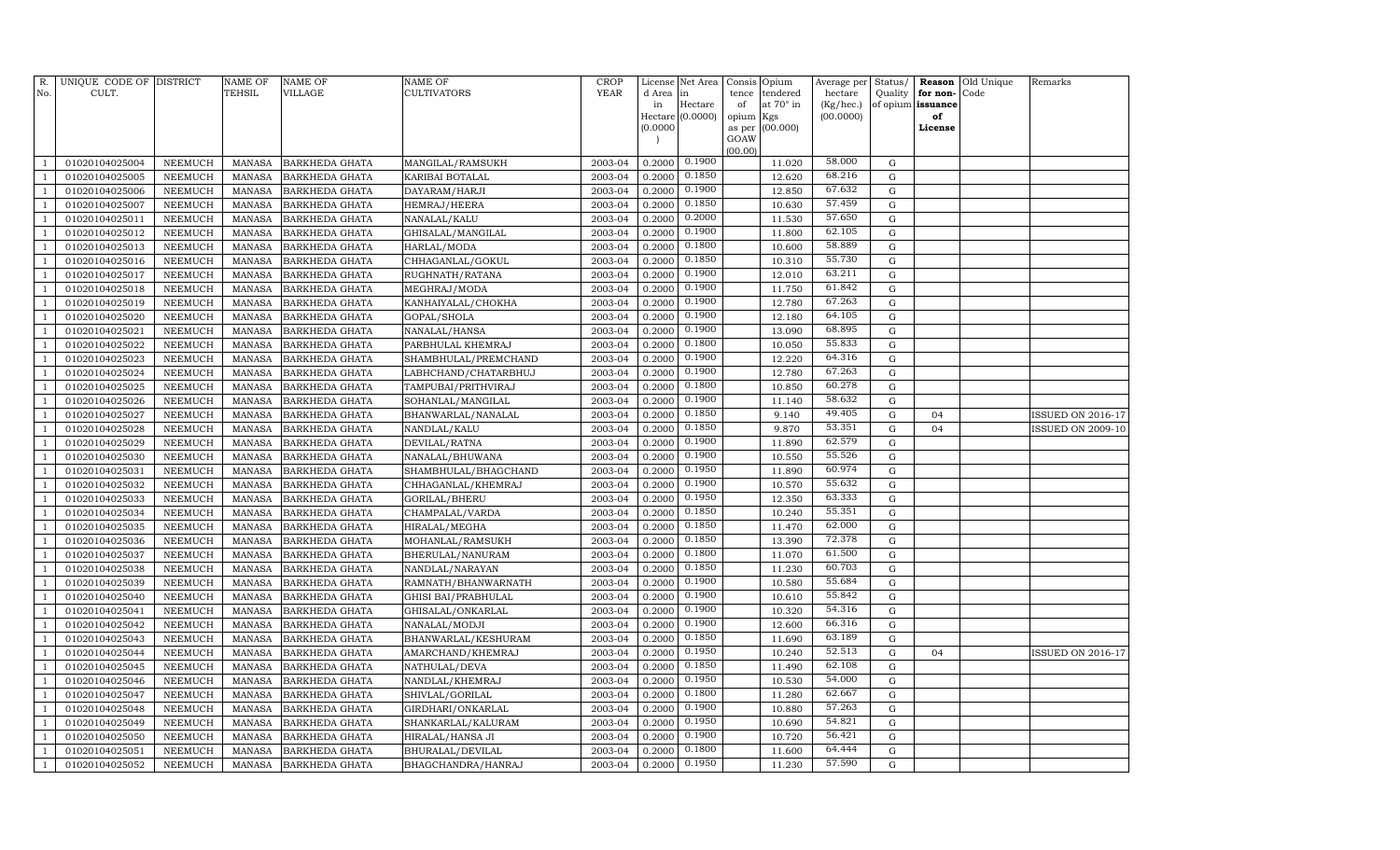| R.                               | UNIQUE CODE OF DISTRICT          |                    | NAME OF          | <b>NAME OF</b>                   | <b>NAME OF</b>                     | <b>CROP</b>        | License          | Net Area         | Consis Opium |                       | Average per          | Status/             |                      | Reason Old Unique | Remarks                  |
|----------------------------------|----------------------------------|--------------------|------------------|----------------------------------|------------------------------------|--------------------|------------------|------------------|--------------|-----------------------|----------------------|---------------------|----------------------|-------------------|--------------------------|
| No.                              | CULT.                            |                    | TEHSIL           | VILLAGE                          | <b>CULTIVATORS</b>                 | <b>YEAR</b>        | d Area<br>in     | lin<br>Hectare   | tence<br>of  | tendered<br>at 70° in | hectare<br>(Kg/hec.) | Quality<br>of opium | for non-<br>issuance | Code              |                          |
|                                  |                                  |                    |                  |                                  |                                    |                    |                  | Hectare (0.0000) | opium        | Kgs                   | (00.0000)            |                     | of                   |                   |                          |
|                                  |                                  |                    |                  |                                  |                                    |                    | (0.0000)         |                  | as per       | (00.000)              |                      |                     | License              |                   |                          |
|                                  |                                  |                    |                  |                                  |                                    |                    |                  |                  | GOAW         |                       |                      |                     |                      |                   |                          |
| -1                               | 01020104025004                   | NEEMUCH            | MANASA           | <b>BARKHEDA GHATA</b>            | MANGILAL/RAMSUKH                   | 2003-04            | 0.2000           | 0.1900           | (00.00)      | 11.020                | 58.000               | G                   |                      |                   |                          |
| $\overline{1}$                   | 01020104025005                   | NEEMUCH            | MANASA           | <b>BARKHEDA GHATA</b>            | KARIBAI BOTALAL                    | 2003-04            | 0.2000           | 0.1850           |              | 12.620                | 68.216               | G                   |                      |                   |                          |
| $\overline{1}$                   | 01020104025006                   | NEEMUCH            | MANASA           | <b>BARKHEDA GHATA</b>            | DAYARAM/HARJI                      | 2003-04            | 0.2000           | 0.1900           |              | 12.850                | 67.632               | G                   |                      |                   |                          |
| $\overline{1}$                   | 01020104025007                   | NEEMUCH            | MANASA           | <b>BARKHEDA GHATA</b>            | HEMRAJ/HEERA                       | 2003-04            | 0.2000           | 0.1850           |              | 10.630                | 57.459               | G                   |                      |                   |                          |
| $\overline{1}$                   | 01020104025011                   | NEEMUCH            | MANASA           | <b>BARKHEDA GHATA</b>            | NANALAL/KALU                       | 2003-04            | 0.2000           | 0.2000           |              | 11.530                | 57.650               | G                   |                      |                   |                          |
| $\overline{1}$                   | 01020104025012                   | <b>NEEMUCH</b>     | MANASA           | <b>BARKHEDA GHATA</b>            | GHISALAL/MANGILAL                  | 2003-04            | 0.2000           | 0.1900           |              | 11.800                | 62.105               | G                   |                      |                   |                          |
| $\overline{1}$                   | 01020104025013                   | NEEMUCH            | <b>MANASA</b>    | <b>BARKHEDA GHATA</b>            | HARLAL/MODA                        | 2003-04            | 0.2000           | 0.1800           |              | 10.600                | 58.889               | $\mathbf G$         |                      |                   |                          |
| -1                               | 01020104025016                   | NEEMUCH            | MANASA           | <b>BARKHEDA GHATA</b>            | CHHAGANLAL/GOKUL                   | 2003-04            | 0.2000           | 0.1850           |              | 10.310                | 55.730               | G                   |                      |                   |                          |
| $\overline{1}$                   | 01020104025017                   | NEEMUCH            | MANASA           | <b>BARKHEDA GHATA</b>            | RUGHNATH/RATANA                    | 2003-04            | 0.2000           | 0.1900           |              | 12.010                | 63.211               | $\mathbf G$         |                      |                   |                          |
| $\overline{1}$                   | 01020104025018                   | NEEMUCH            | MANASA           | <b>BARKHEDA GHATA</b>            | MEGHRAJ/MODA                       | 2003-04            | 0.2000           | 0.1900           |              | 11.750                | 61.842               | G                   |                      |                   |                          |
| $\overline{1}$                   | 01020104025019                   | NEEMUCH            | MANASA           | <b>BARKHEDA GHATA</b>            | KANHAIYALAL/CHOKHA                 | 2003-04            | 0.2000           | 0.1900           |              | 12.780                | 67.263               | G                   |                      |                   |                          |
| $\overline{1}$                   | 01020104025020                   | NEEMUCH            | <b>MANASA</b>    | BARKHEDA GHATA                   | GOPAL/SHOLA                        | 2003-04            | 0.2000           | 0.1900           |              | 12.180                | 64.105               | G                   |                      |                   |                          |
| $\overline{1}$                   | 01020104025021                   | NEEMUCH            | MANASA           | <b>BARKHEDA GHATA</b>            | NANALAL/HANSA                      | 2003-04            | 0.2000           | 0.1900           |              | 13.090                | 68.895               | G                   |                      |                   |                          |
| $\overline{1}$                   | 01020104025022                   | <b>NEEMUCH</b>     | MANASA           | <b>BARKHEDA GHATA</b>            | PARBHULAL KHEMRAJ                  | 2003-04            | 0.2000           | 0.1800           |              | 10.050                | 55.833               | G                   |                      |                   |                          |
| -1                               | 01020104025023                   | NEEMUCH            | <b>MANASA</b>    | BARKHEDA GHATA                   | SHAMBHULAL/PREMCHAND               | 2003-04            | 0.2000           | 0.1900           |              | 12.220                | 64.316               | $\mathbf G$         |                      |                   |                          |
| -1                               | 01020104025024                   | NEEMUCH            | MANASA           | <b>BARKHEDA GHATA</b>            | LABHCHAND/CHATARBHUJ               | 2003-04            | 0.2000           | 0.1900           |              | 12.780                | 67.263               | G                   |                      |                   |                          |
| $\overline{1}$                   | 01020104025025                   | NEEMUCH            | <b>MANASA</b>    | <b>BARKHEDA GHATA</b>            | TAMPUBAI/PRITHVIRAJ                | 2003-04            | 0.2000           | 0.1800           |              | 10.850                | 60.278               | G                   |                      |                   |                          |
| $\overline{1}$                   | 01020104025026                   | NEEMUCH            | MANASA           | <b>BARKHEDA GHATA</b>            | SOHANLAL/MANGILAL                  | 2003-04            | 0.2000           | 0.1900           |              | 11.140                | 58.632               | G                   |                      |                   |                          |
| $\overline{1}$                   | 01020104025027                   | NEEMUCH            | MANASA           | <b>BARKHEDA GHATA</b>            | BHANWARLAL/NANALAL                 | 2003-04            | 0.2000           | 0.1850           |              | 9.140                 | 49.405               | G                   | 04                   |                   | <b>ISSUED ON 2016-17</b> |
| $\overline{1}$                   | 01020104025028                   | NEEMUCH            | MANASA           | <b>BARKHEDA GHATA</b>            | NANDLAL/KALU                       | 2003-04            | 0.2000           | 0.1850           |              | 9.870                 | 53.351               | G                   | 04                   |                   | <b>ISSUED ON 2009-10</b> |
| $\overline{1}$                   | 01020104025029                   | NEEMUCH            | MANASA           | <b>BARKHEDA GHATA</b>            | DEVILAL/RATNA                      | 2003-04            | 0.2000           | 0.1900           |              | 11.890                | 62.579               | G                   |                      |                   |                          |
| $\overline{1}$                   | 01020104025030                   | NEEMUCH            | <b>MANASA</b>    | <b>BARKHEDA GHATA</b>            | NANALAL/BHUWANA                    | 2003-04            | 0.2000           | 0.1900           |              | 10.550                | 55.526               | G                   |                      |                   |                          |
| -1                               | 01020104025031                   | NEEMUCH            | MANASA           | <b>BARKHEDA GHATA</b>            | SHAMBHULAL/BHAGCHAND               | 2003-04            | 0.2000           | 0.1950           |              | 11.890                | 60.974               | G                   |                      |                   |                          |
| $\overline{1}$                   | 01020104025032                   | NEEMUCH            | <b>MANASA</b>    | <b>BARKHEDA GHATA</b>            | CHHAGANLAL/KHEMRAJ                 | 2003-04            | 0.2000           | 0.1900           |              | 10.570                | 55.632               | G                   |                      |                   |                          |
| -1                               | 01020104025033                   | NEEMUCH            | MANASA           | <b>BARKHEDA GHATA</b>            | GORILAL/BHERU                      | 2003-04            | 0.2000           | 0.1950           |              | 12.350                | 63.333               | $\mathbf G$         |                      |                   |                          |
| $\overline{1}$                   | 01020104025034                   | NEEMUCH            | MANASA           | <b>BARKHEDA GHATA</b>            | CHAMPALAL/VARDA                    | 2003-04            | 0.2000           | 0.1850           |              | 10.240                | 55.351               | G                   |                      |                   |                          |
| $\overline{1}$                   | 01020104025035                   | NEEMUCH            | MANASA           | <b>BARKHEDA GHATA</b>            | HIRALAL/MEGHA                      | 2003-04            | 0.2000           | 0.1850           |              | 11.470                | 62.000               | G                   |                      |                   |                          |
| $\overline{1}$                   | 01020104025036                   | NEEMUCH            | MANASA           | <b>BARKHEDA GHATA</b>            | MOHANLAL/RAMSUKH                   | 2003-04            | 0.2000           | 0.1850           |              | 13.390                | 72.378               | G                   |                      |                   |                          |
| $\overline{1}$                   | 01020104025037                   | NEEMUCH            | MANASA           | <b>BARKHEDA GHATA</b>            | BHERULAL/NANURAM                   | 2003-04            | 0.2000           | 0.1800           |              | 11.070                | 61.500               | G                   |                      |                   |                          |
| $\overline{1}$                   | 01020104025038                   | NEEMUCH            | <b>MANASA</b>    | <b>BARKHEDA GHATA</b>            | NANDLAL/NARAYAN                    | 2003-04            | 0.2000           | 0.1850           |              | 11.230                | 60.703               | G                   |                      |                   |                          |
| $\overline{1}$                   | 01020104025039                   | NEEMUCH            | MANASA           | <b>BARKHEDA GHATA</b>            | RAMNATH/BHANWARNATH                | 2003-04            | 0.2000           | 0.1900<br>0.1900 |              | 10.580                | 55.684<br>55.842     | G                   |                      |                   |                          |
| $\overline{1}$                   | 01020104025040                   | NEEMUCH            | <b>MANASA</b>    | <b>BARKHEDA GHATA</b>            | <b>GHISI BAI/PRABHULAL</b>         | 2003-04            | 0.2000           | 0.1900           |              | 10.610                | 54.316               | $\mathbf G$         |                      |                   |                          |
| -1<br>$\overline{1}$             | 01020104025041                   | NEEMUCH            | MANASA           | <b>BARKHEDA GHATA</b>            | GHISALAL/ONKARLAL                  | 2003-04<br>2003-04 | 0.2000           | 0.1900           |              | 10.320                | 66.316               | G<br>G              |                      |                   |                          |
|                                  | 01020104025042                   | NEEMUCH            | MANASA           | <b>BARKHEDA GHATA</b>            | NANALAL/MODJI                      |                    | 0.2000           | 0.1850           |              | 12.600                | 63.189               |                     |                      |                   |                          |
| $\overline{1}$                   | 01020104025043                   | NEEMUCH            | MANASA           | <b>BARKHEDA GHATA</b>            | BHANWARLAL/KESHURAM                | 2003-04            | 0.2000           | 0.1950           |              | 11.690                | 52.513               | G                   |                      |                   |                          |
| $\overline{1}$<br>$\overline{1}$ | 01020104025044                   | NEEMUCH            | MANASA           | <b>BARKHEDA GHATA</b>            | AMARCHAND/KHEMRAJ                  | 2003-04<br>2003-04 | 0.2000           | 0.1850           |              | 10.240                | 62.108               | G<br>G              | 04                   |                   | ISSUED ON 2016-17        |
|                                  | 01020104025045                   | NEEMUCH            | MANASA<br>MANASA | <b>BARKHEDA GHATA</b>            | NATHULAL/DEVA                      | 2003-04            | 0.2000<br>0.2000 | 0.1950           |              | 11.490                | 54.000               | G                   |                      |                   |                          |
| $\overline{1}$                   | 01020104025046<br>01020104025047 | NEEMUCH<br>NEEMUCH | MANASA           | BARKHEDA GHATA<br>BARKHEDA GHATA | NANDLAL/KHEMRAJ<br>SHIVLAL/GORILAL | 2003-04            | 0.2000           | 0.1800           |              | 10.530<br>11.280      | 62.667               | $\mathbf G$         |                      |                   |                          |
| -1                               | 01020104025048                   | NEEMUCH            | MANASA           | <b>BARKHEDA GHATA</b>            | GIRDHARI/ONKARLAL                  | 2003-04            | 0.2000           | 0.1900           |              | 10.880                | 57.263               | $\mathbf G$         |                      |                   |                          |
| -1                               | 01020104025049                   | NEEMUCH            | MANASA           | <b>BARKHEDA GHATA</b>            | SHANKARLAL/KALURAM                 | 2003-04            | 0.2000           | 0.1950           |              | 10.690                | 54.821               | G                   |                      |                   |                          |
| $\overline{1}$                   | 01020104025050                   | NEEMUCH            | MANASA           | <b>BARKHEDA GHATA</b>            | HIRALAL/HANSA JI                   | 2003-04            | 0.2000           | 0.1900           |              | 10.720                | 56.421               | G                   |                      |                   |                          |
| $\overline{1}$                   | 01020104025051                   | NEEMUCH            | MANASA           | <b>BARKHEDA GHATA</b>            | BHURALAL/DEVILAL                   | 2003-04            | 0.2000           | 0.1800           |              | 11.600                | 64.444               | G                   |                      |                   |                          |
| $\mathbf{1}$                     | 01020104025052                   | NEEMUCH            | MANASA           | <b>BARKHEDA GHATA</b>            | BHAGCHANDRA/HANRAJ                 | 2003-04            | 0.2000           | 0.1950           |              | 11.230                | 57.590               | $\mathbf G$         |                      |                   |                          |
|                                  |                                  |                    |                  |                                  |                                    |                    |                  |                  |              |                       |                      |                     |                      |                   |                          |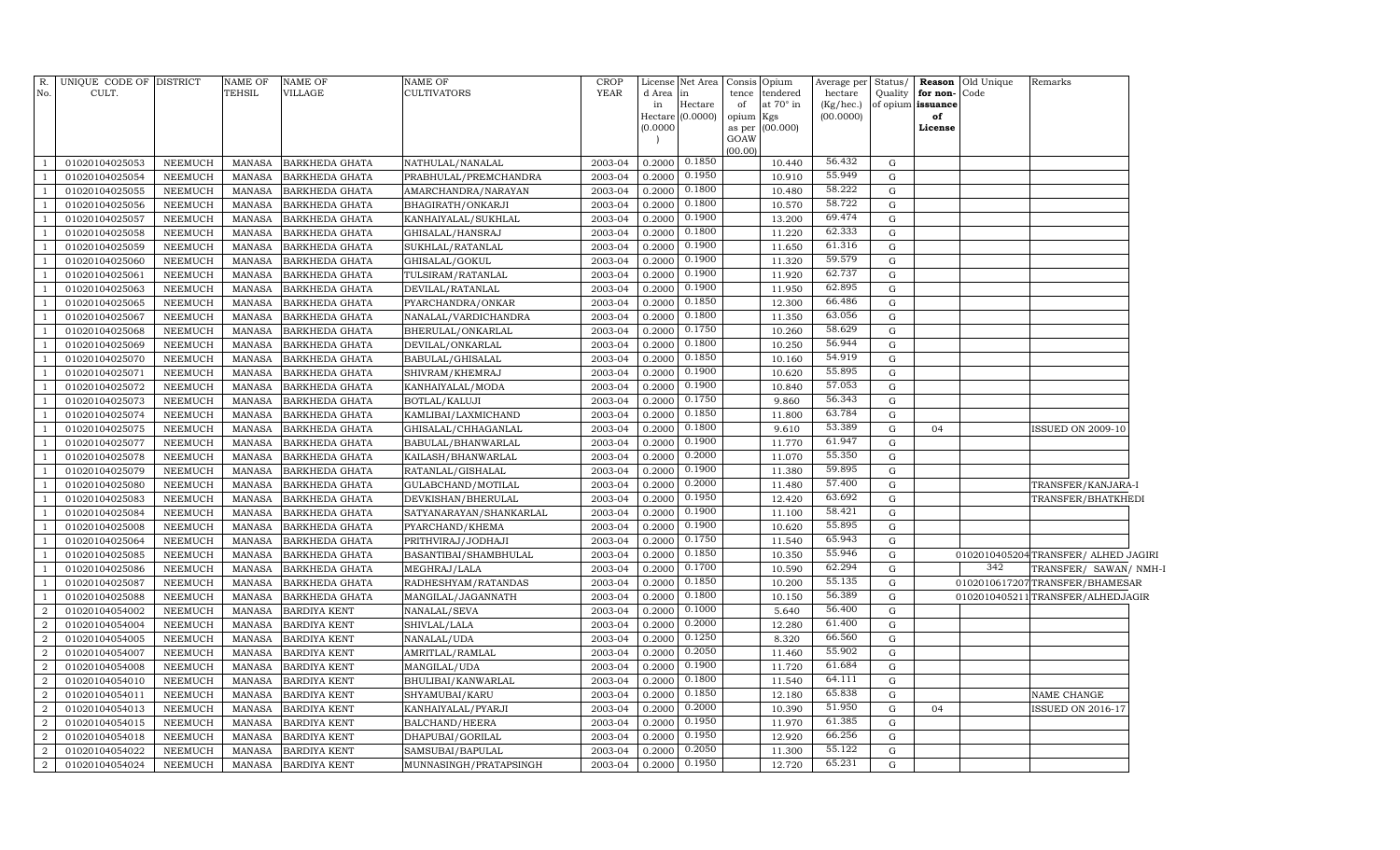| R.             | UNIQUE CODE OF DISTRICT |                | <b>NAME OF</b> | NAME OF               | <b>NAME OF</b>          | <b>CROP</b> | License       | Net Area            |             | Consis Opium            |                        |             |                         | Average per Status/ <b>Reason</b> Old Unique | Remarks                              |
|----------------|-------------------------|----------------|----------------|-----------------------|-------------------------|-------------|---------------|---------------------|-------------|-------------------------|------------------------|-------------|-------------------------|----------------------------------------------|--------------------------------------|
| No.            | CULT.                   |                | <b>TEHSIL</b>  | VILLAGE               | CULTIVATORS             | <b>YEAR</b> | d Area        | in                  | tence       | tendered                | hectare                |             | Quality for non-Code    |                                              |                                      |
|                |                         |                |                |                       |                         |             | in<br>Hectare | Hectare<br>(0.0000) | of<br>opium | at $70^\circ$ in<br>Kgs | (Kg/hec.)<br>(00.0000) |             | of opium issuance<br>of |                                              |                                      |
|                |                         |                |                |                       |                         |             | (0.0000)      |                     |             | as per (00.000)         |                        |             | License                 |                                              |                                      |
|                |                         |                |                |                       |                         |             |               |                     | GOAW        |                         |                        |             |                         |                                              |                                      |
| -1             | 01020104025053          | NEEMUCH        | MANASA         | <b>BARKHEDA GHATA</b> | NATHULAL/NANALAL        | 2003-04     | 0.2000        | 0.1850              | (00.00)     | 10.440                  | 56.432                 | G           |                         |                                              |                                      |
| $\mathbf{1}$   | 01020104025054          | <b>NEEMUCH</b> | MANASA         | <b>BARKHEDA GHATA</b> | PRABHULAL/PREMCHANDRA   | 2003-04     | 0.2000        | 0.1950              |             | 10.910                  | 55.949                 | G           |                         |                                              |                                      |
| $\mathbf{1}$   | 01020104025055          | <b>NEEMUCH</b> | MANASA         | <b>BARKHEDA GHATA</b> | AMARCHANDRA/NARAYAN     | 2003-04     | 0.2000        | 0.1800              |             | 10.480                  | 58.222                 | G           |                         |                                              |                                      |
| <sup>1</sup>   | 01020104025056          | <b>NEEMUCH</b> | MANASA         | BARKHEDA GHATA        | BHAGIRATH/ONKARJI       | 2003-04     | 0.2000        | 0.1800              |             | 10.570                  | 58.722                 | G           |                         |                                              |                                      |
| -1             | 01020104025057          | <b>NEEMUCH</b> | MANASA         | BARKHEDA GHATA        | KANHAIYALAL/SUKHLAL     | 2003-04     | 0.2000        | 0.1900              |             | 13.200                  | 69.474                 | G           |                         |                                              |                                      |
| <sup>1</sup>   | 01020104025058          | <b>NEEMUCH</b> | MANASA         | <b>BARKHEDA GHATA</b> | GHISALAL/HANSRAJ        | 2003-04     | 0.2000        | 0.1800              |             | 11.220                  | 62.333                 | G           |                         |                                              |                                      |
| -1             | 01020104025059          | <b>NEEMUCH</b> | MANASA         | BARKHEDA GHATA        | SUKHLAL/RATANLAL        | 2003-04     | 0.2000        | 0.1900              |             | 11.650                  | 61.316                 | G           |                         |                                              |                                      |
| $\mathbf{1}$   | 01020104025060          | NEEMUCH        | MANASA         | BARKHEDA GHATA        | GHISALAL/GOKUL          | 2003-04     | 0.2000        | 0.1900              |             | 11.320                  | 59.579                 | G           |                         |                                              |                                      |
| $\overline{1}$ | 01020104025061          | NEEMUCH        | <b>MANASA</b>  | BARKHEDA GHATA        | TULSIRAM/RATANLAL       | 2003-04     | 0.2000        | 0.1900              |             | 11.920                  | 62.737                 | G           |                         |                                              |                                      |
| <sup>1</sup>   | 01020104025063          | <b>NEEMUCH</b> | <b>MANASA</b>  | BARKHEDA GHATA        | DEVILAL/RATANLAL        | 2003-04     | 0.2000        | 0.1900              |             | 11.950                  | 62.895                 | G           |                         |                                              |                                      |
| -1             | 01020104025065          | <b>NEEMUCH</b> | <b>MANASA</b>  | BARKHEDA GHATA        | PYARCHANDRA/ONKAR       | 2003-04     | 0.2000        | 0.1850              |             | 12.300                  | 66.486                 | G           |                         |                                              |                                      |
| $\mathbf{1}$   | 01020104025067          | <b>NEEMUCH</b> | MANASA         | <b>BARKHEDA GHATA</b> | NANALAL/VARDICHANDRA    | 2003-04     | 0.2000        | 0.1800              |             | 11.350                  | 63.056                 | G           |                         |                                              |                                      |
| $\mathbf{1}$   | 01020104025068          | <b>NEEMUCH</b> | MANASA         | BARKHEDA GHATA        | BHERULAL/ONKARLAL       | 2003-04     | 0.2000        | 0.1750              |             | 10.260                  | 58.629                 | G           |                         |                                              |                                      |
| $\mathbf{1}$   | 01020104025069          | <b>NEEMUCH</b> | MANASA         | BARKHEDA GHATA        | DEVILAL/ONKARLAL        | 2003-04     | 0.2000        | 0.1800              |             | 10.250                  | 56.944                 | G           |                         |                                              |                                      |
| $\mathbf{1}$   | 01020104025070          | <b>NEEMUCH</b> | MANASA         | BARKHEDA GHATA        | BABULAL/GHISALAL        | 2003-04     | 0.2000        | 0.1850              |             | 10.160                  | 54.919                 | G           |                         |                                              |                                      |
| <sup>1</sup>   | 01020104025071          | <b>NEEMUCH</b> | MANASA         | BARKHEDA GHATA        | SHIVRAM/KHEMRAJ         | 2003-04     | 0.2000        | 0.1900              |             | 10.620                  | 55.895                 | G           |                         |                                              |                                      |
| -1             | 01020104025072          | <b>NEEMUCH</b> | MANASA         | BARKHEDA GHATA        | KANHAIYALAL/MODA        | 2003-04     | 0.2000        | 0.1900              |             | 10.840                  | 57.053                 | G           |                         |                                              |                                      |
| $\mathbf{1}$   | 01020104025073          | <b>NEEMUCH</b> | MANASA         | BARKHEDA GHATA        | BOTLAL/KALUJI           | 2003-04     | 0.2000        | 0.1750              |             | 9.860                   | 56.343                 | G           |                         |                                              |                                      |
| $\overline{1}$ | 01020104025074          | <b>NEEMUCH</b> | MANASA         | BARKHEDA GHATA        | KAMLIBAI/LAXMICHAND     | 2003-04     | 0.2000        | 0.1850              |             | 11.800                  | 63.784                 | G           |                         |                                              |                                      |
| -1             | 01020104025075          | <b>NEEMUCH</b> | MANASA         | BARKHEDA GHATA        | GHISALAL/CHHAGANLAL     | 2003-04     | 0.2000        | 0.1800              |             | 9.610                   | 53.389                 | G           | 04                      |                                              | ISSUED ON 2009-10                    |
| $\mathbf{1}$   | 01020104025077          | <b>NEEMUCH</b> | MANASA         | BARKHEDA GHATA        | BABULAL/BHANWARLAL      | 2003-04     | 0.2000        | 0.1900              |             | 11.770                  | 61.947                 | G           |                         |                                              |                                      |
| -1             | 01020104025078          | <b>NEEMUCH</b> | <b>MANASA</b>  | BARKHEDA GHATA        | KAILASH/BHANWARLAL      | 2003-04     | 0.2000        | 0.2000              |             | 11.070                  | 55.350                 | G           |                         |                                              |                                      |
| -1             | 01020104025079          | <b>NEEMUCH</b> | <b>MANASA</b>  | BARKHEDA GHATA        | RATANLAL/GISHALAL       | 2003-04     | 0.2000        | 0.1900              |             | 11.380                  | 59.895                 | G           |                         |                                              |                                      |
| $\mathbf{1}$   | 01020104025080          | <b>NEEMUCH</b> | MANASA         | BARKHEDA GHATA        | GULABCHAND/MOTILAL      | 2003-04     | 0.2000        | 0.2000              |             | 11.480                  | 57.400                 | G           |                         |                                              | TRANSFER/KANJARA-I                   |
| $\mathbf{1}$   | 01020104025083          | <b>NEEMUCH</b> | MANASA         | BARKHEDA GHATA        | DEVKISHAN/BHERULAL      | 2003-04     | 0.2000        | 0.1950              |             | 12.420                  | 63.692                 | G           |                         |                                              | TRANSFER/BHATKHEDI                   |
| $\mathbf{1}$   | 01020104025084          | <b>NEEMUCH</b> | MANASA         | BARKHEDA GHATA        | SATYANARAYAN/SHANKARLAL | 2003-04     | 0.2000        | 0.1900              |             | 11.100                  | 58.421                 | G           |                         |                                              |                                      |
| $\overline{1}$ | 01020104025008          | <b>NEEMUCH</b> | MANASA         | BARKHEDA GHATA        | PYARCHAND/KHEMA         | 2003-04     | 0.2000        | 0.1900              |             | 10.620                  | 55.895                 | G           |                         |                                              |                                      |
| $\mathbf{1}$   | 01020104025064          | <b>NEEMUCH</b> | MANASA         | BARKHEDA GHATA        | PRITHVIRAJ/JODHAJI      | 2003-04     | 0.2000        | 0.1750              |             | 11.540                  | 65.943                 | G           |                         |                                              |                                      |
| $\overline{1}$ | 01020104025085          | <b>NEEMUCH</b> | MANASA         | <b>BARKHEDA GHATA</b> | BASANTIBAI/SHAMBHULAL   | 2003-04     | 0.2000        | 0.1850              |             | 10.350                  | 55.946                 | G           |                         |                                              | 0102010405204 TRANSFER/ ALHED JAGIRI |
| $\mathbf{1}$   | 01020104025086          | <b>NEEMUCH</b> | MANASA         | BARKHEDA GHATA        | MEGHRAJ/LALA            | 2003-04     | 0.2000        | 0.1700              |             | 10.590                  | 62.294                 | $\mathbf G$ |                         | 342                                          | TRANSFER/ SAWAN/ NMH-I               |
| $\overline{1}$ | 01020104025087          | <b>NEEMUCH</b> | MANASA         | BARKHEDA GHATA        | RADHESHYAM/RATANDAS     | 2003-04     | 0.2000        | 0.1850              |             | 10.200                  | 55.135                 | ${\rm G}$   |                         |                                              | 0102010617207TRANSFER/BHAMESAR       |
| $\overline{1}$ | 01020104025088          | NEEMUCH        | MANASA         | BARKHEDA GHATA        | MANGILAL/JAGANNATH      | 2003-04     | 0.2000        | 0.1800              |             | 10.150                  | 56.389                 | G           |                         |                                              | 0102010405211 TRANSFER/ALHEDJAGIR    |
| $\overline{2}$ | 01020104054002          | NEEMUCH        | MANASA         | BARDIYA KENT          | NANALAL/SEVA            | 2003-04     | 0.2000        | 0.1000              |             | 5.640                   | 56.400                 | G           |                         |                                              |                                      |
| $\overline{2}$ | 01020104054004          | <b>NEEMUCH</b> | <b>MANASA</b>  | <b>BARDIYA KENT</b>   | SHIVLAL/LALA            | 2003-04     | 0.2000        | 0.2000              |             | 12.280                  | 61.400                 | G           |                         |                                              |                                      |
| $\overline{2}$ | 01020104054005          | <b>NEEMUCH</b> | <b>MANASA</b>  | BARDIYA KENT          | NANALAL/UDA             | 2003-04     | 0.2000        | 0.1250              |             | 8.320                   | 66.560                 | $\mathbf G$ |                         |                                              |                                      |
| $\overline{2}$ | 01020104054007          | <b>NEEMUCH</b> | MANASA         | <b>BARDIYA KENT</b>   | AMRITLAL/RAMLAL         | 2003-04     | 0.2000        | 0.2050              |             | 11.460                  | 55.902                 | G           |                         |                                              |                                      |
| $\overline{2}$ | 01020104054008          | <b>NEEMUCH</b> | <b>MANASA</b>  | <b>BARDIYA KENT</b>   | MANGILAL/UDA            | 2003-04     | 0.2000        | 0.1900              |             | 11.720                  | 61.684                 | G           |                         |                                              |                                      |
| $\overline{a}$ | 01020104054010          | <b>NEEMUCH</b> | MANASA         | <b>BARDIYA KENT</b>   | BHULIBAI/KANWARLAL      | 2003-04     | 0.2000        | 0.1800              |             | 11.540                  | 64.111                 | G           |                         |                                              |                                      |
| $\overline{2}$ | 01020104054011          | <b>NEEMUCH</b> | MANASA         | <b>BARDIYA KENT</b>   | SHYAMUBAI/KARU          | 2003-04     | 0.2000        | 0.1850              |             | 12.180                  | 65.838                 | G           |                         |                                              | NAME CHANGE                          |
| $\overline{2}$ | 01020104054013          | <b>NEEMUCH</b> | MANASA         | <b>BARDIYA KENT</b>   | KANHAIYALAL/PYARJI      | 2003-04     | 0.2000        | 0.2000<br>0.1950    |             | 10.390                  | 51.950                 | G           | 04                      |                                              | <b>ISSUED ON 2016-17</b>             |
| $\overline{a}$ | 01020104054015          | <b>NEEMUCH</b> | MANASA         | <b>BARDIYA KENT</b>   | BALCHAND/HEERA          | 2003-04     | 0.2000        | 0.1950              |             | 11.970                  | 61.385<br>66.256       | G           |                         |                                              |                                      |
| $\overline{2}$ | 01020104054018          | <b>NEEMUCH</b> | <b>MANASA</b>  | BARDIYA KENT          | DHAPUBAI/GORILAL        | 2003-04     | 0.2000        | 0.2050              |             | 12.920                  | 55.122                 | G           |                         |                                              |                                      |
| $\overline{2}$ | 01020104054022          | <b>NEEMUCH</b> | <b>MANASA</b>  | BARDIYA KENT          | SAMSUBAI/BAPULAL        | 2003-04     | 0.2000        | 0.1950              |             | 11.300                  | 65.231                 | G           |                         |                                              |                                      |
| $\overline{2}$ | 01020104054024          | NEEMUCH        | <b>MANASA</b>  | <b>BARDIYA KENT</b>   | MUNNASINGH/PRATAPSINGH  | 2003-04     | 0.2000        |                     |             | 12.720                  |                        | G           |                         |                                              |                                      |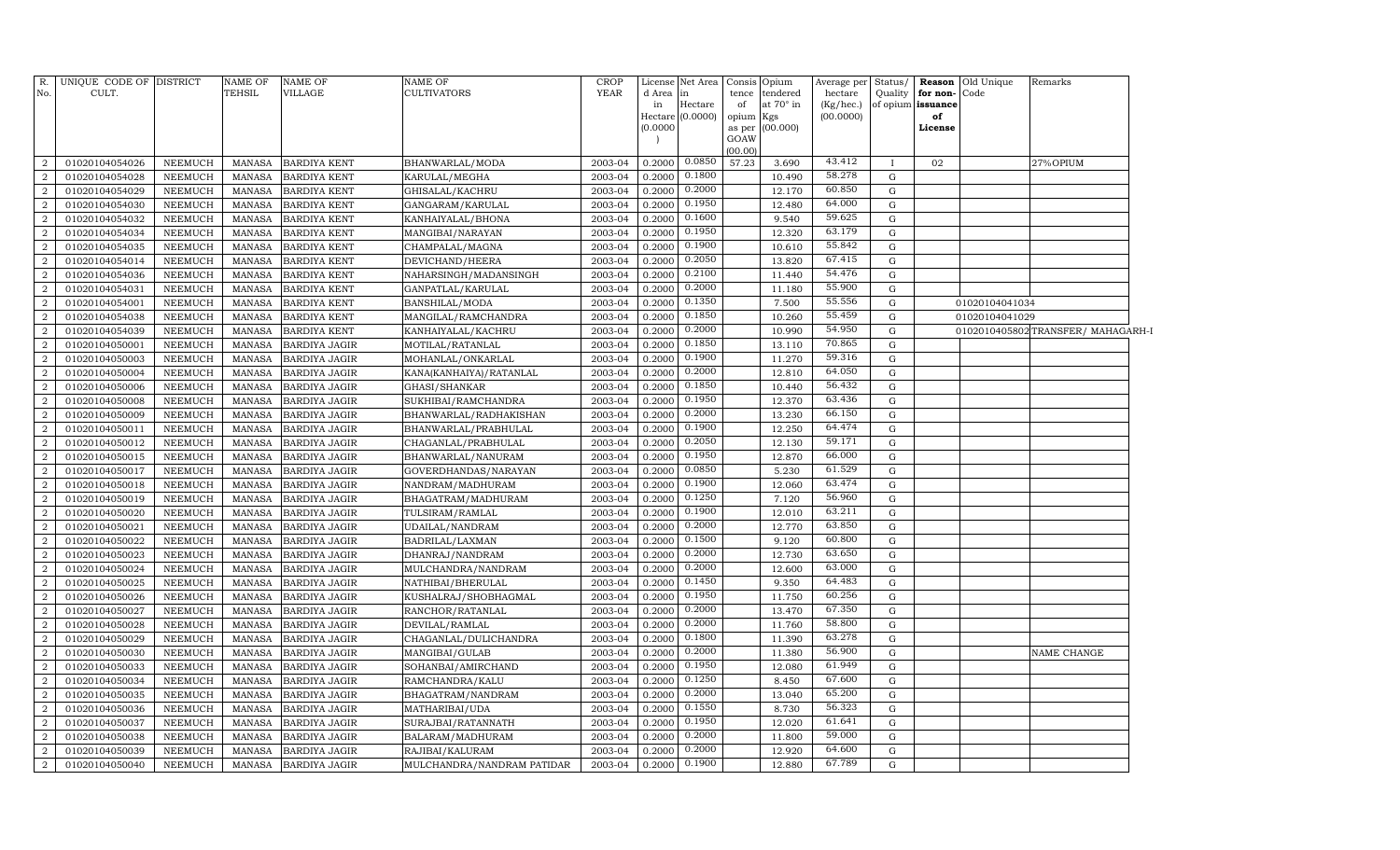| R.<br>No.      | UNIQUE CODE OF DISTRICT<br>CULT. |                | <b>NAME OF</b><br>TEHSIL | <b>NAME OF</b><br>VILLAGE | NAME OF<br>CULTIVATORS     | <b>CROP</b><br>YEAR | License<br>d Area<br>in<br>(0.0000) | Net Area<br>in<br>Hectare<br>Hectare (0.0000) | Consis<br>tence<br>of<br>opium<br>as per<br>GOAW<br>(00.00) | Opium<br>tendered<br>at 70° in<br>Kgs<br>(00.000) | Average per<br>hectare<br>(Kg/hec.)<br>(00.0000) | Status/<br>Quality | for non-Code<br>of opium issuance<br>of<br>License | <b>Reason</b> Old Unique | Remarks                            |
|----------------|----------------------------------|----------------|--------------------------|---------------------------|----------------------------|---------------------|-------------------------------------|-----------------------------------------------|-------------------------------------------------------------|---------------------------------------------------|--------------------------------------------------|--------------------|----------------------------------------------------|--------------------------|------------------------------------|
| 2              | 01020104054026                   | NEEMUCH        | <b>MANASA</b>            | <b>BARDIYA KENT</b>       | BHANWARLAL/MODA            | 2003-04             | 0.2000                              | 0.0850                                        | 57.23                                                       | 3.690                                             | 43.412                                           | $\mathbf{I}$       | 02                                                 |                          | 27%OPIUM                           |
| $\overline{2}$ | 01020104054028                   | <b>NEEMUCH</b> | <b>MANASA</b>            | <b>BARDIYA KENT</b>       | KARULAL/MEGHA              | 2003-04             | 0.2000                              | 0.1800                                        |                                                             | 10.490                                            | 58.278                                           | G                  |                                                    |                          |                                    |
| 2              | 01020104054029                   | <b>NEEMUCH</b> | <b>MANASA</b>            | <b>BARDIYA KENT</b>       | GHISALAL/KACHRU            | 2003-04             | 0.2000                              | 0.2000                                        |                                                             | 12.170                                            | 60.850                                           | G                  |                                                    |                          |                                    |
| 2              | 01020104054030                   | <b>NEEMUCH</b> | <b>MANASA</b>            | <b>BARDIYA KENT</b>       | GANGARAM/KARULAL           | 2003-04             | 0.2000                              | 0.1950                                        |                                                             | 12.480                                            | 64.000                                           | G                  |                                                    |                          |                                    |
| $\overline{2}$ | 01020104054032                   | <b>NEEMUCH</b> | <b>MANASA</b>            | <b>BARDIYA KENT</b>       | KANHAIYALAL/BHONA          | 2003-04             | 0.2000                              | 0.1600                                        |                                                             | 9.540                                             | 59.625                                           | G                  |                                                    |                          |                                    |
| 2              | 01020104054034                   | <b>NEEMUCH</b> | <b>MANASA</b>            | <b>BARDIYA KENT</b>       | MANGIBAI/NARAYAN           | 2003-04             | 0.2000                              | 0.1950                                        |                                                             | 12.320                                            | 63.179                                           | G                  |                                                    |                          |                                    |
| $\overline{2}$ | 01020104054035                   | <b>NEEMUCH</b> | <b>MANASA</b>            | <b>BARDIYA KENT</b>       | CHAMPALAL/MAGNA            | 2003-04             | 0.2000                              | 0.1900                                        |                                                             | 10.610                                            | 55.842                                           | G                  |                                                    |                          |                                    |
| $\overline{2}$ | 01020104054014                   | <b>NEEMUCH</b> | <b>MANASA</b>            | <b>BARDIYA KENT</b>       | DEVICHAND/HEERA            | 2003-04             | 0.2000                              | 0.2050                                        |                                                             | 13.820                                            | 67.415                                           | G                  |                                                    |                          |                                    |
| $\overline{2}$ | 01020104054036                   | <b>NEEMUCH</b> | <b>MANASA</b>            | <b>BARDIYA KENT</b>       | NAHARSINGH/MADANSINGH      | 2003-04             | 0.2000                              | 0.2100                                        |                                                             | 11.440                                            | 54.476                                           | G                  |                                                    |                          |                                    |
| $\overline{2}$ | 01020104054031                   | <b>NEEMUCH</b> | <b>MANASA</b>            | <b>BARDIYA KENT</b>       | GANPATLAL/KARULAL          | 2003-04             | 0.2000                              | 0.2000                                        |                                                             | 11.180                                            | 55.900                                           | G                  |                                                    |                          |                                    |
| $\overline{2}$ | 01020104054001                   | <b>NEEMUCH</b> | <b>MANASA</b>            | <b>BARDIYA KENT</b>       | BANSHILAL/MODA             | 2003-04             | 0.2000                              | 0.1350                                        |                                                             | 7.500                                             | 55.556                                           | G                  |                                                    | 01020104041034           |                                    |
| $\overline{2}$ | 01020104054038                   | NEEMUCH        | <b>MANASA</b>            | <b>BARDIYA KENT</b>       | MANGILAL/RAMCHANDRA        | 2003-04             | 0.2000                              | 0.1850                                        |                                                             | 10.260                                            | 55.459                                           | G                  |                                                    | 01020104041029           |                                    |
| $\overline{2}$ | 01020104054039                   | NEEMUCH        | <b>MANASA</b>            | <b>BARDIYA KENT</b>       | KANHAIYALAL/KACHRU         | 2003-04             | 0.2000                              | 0.2000                                        |                                                             | 10.990                                            | 54.950                                           | G                  |                                                    |                          | 0102010405802 TRANSFER/ MAHAGARH-I |
| $\overline{2}$ | 01020104050001                   | <b>NEEMUCH</b> | <b>MANASA</b>            | <b>BARDIYA JAGIR</b>      | MOTILAL/RATANLAL           | 2003-04             | 0.2000                              | 0.1850                                        |                                                             | 13.110                                            | 70.865                                           | G                  |                                                    |                          |                                    |
| $\overline{2}$ | 01020104050003                   | <b>NEEMUCH</b> | <b>MANASA</b>            | <b>BARDIYA JAGIR</b>      | MOHANLAL/ONKARLAL          | 2003-04             | 0.2000                              | 0.1900                                        |                                                             | 11.270                                            | 59.316                                           | G                  |                                                    |                          |                                    |
| $\overline{2}$ | 01020104050004                   | <b>NEEMUCH</b> | <b>MANASA</b>            | <b>BARDIYA JAGIR</b>      | KANA(KANHAIYA) / RATANLAL  | 2003-04             | 0.2000                              | 0.2000                                        |                                                             | 12.810                                            | 64.050                                           | G                  |                                                    |                          |                                    |
| $\overline{2}$ | 01020104050006                   | <b>NEEMUCH</b> | <b>MANASA</b>            | BARDIYA JAGIR             | GHASI/SHANKAR              | 2003-04             | 0.2000                              | 0.1850                                        |                                                             | 10.440                                            | 56.432                                           | G                  |                                                    |                          |                                    |
| $\overline{2}$ | 01020104050008                   | <b>NEEMUCH</b> | <b>MANASA</b>            | <b>BARDIYA JAGIR</b>      | SUKHIBAI/RAMCHANDRA        | 2003-04             | 0.2000                              | 0.1950                                        |                                                             | 12.370                                            | 63.436                                           | G                  |                                                    |                          |                                    |
| $\overline{2}$ | 01020104050009                   | <b>NEEMUCH</b> | <b>MANASA</b>            | BARDIYA JAGIR             | BHANWARLAL/RADHAKISHAN     | 2003-04             | 0.2000                              | 0.2000                                        |                                                             | 13.230                                            | 66.150                                           | G                  |                                                    |                          |                                    |
| $\overline{a}$ | 01020104050011                   | NEEMUCH        | <b>MANASA</b>            | <b>BARDIYA JAGIR</b>      | BHANWARLAL/PRABHULAL       | 2003-04             | 0.2000                              | 0.1900                                        |                                                             | 12.250                                            | 64.474                                           | G                  |                                                    |                          |                                    |
| $\overline{2}$ | 01020104050012                   | <b>NEEMUCH</b> | <b>MANASA</b>            | <b>BARDIYA JAGIR</b>      | CHAGANLAL/PRABHULAL        | 2003-04             | 0.2000                              | 0.2050                                        |                                                             | 12.130                                            | 59.171                                           | G                  |                                                    |                          |                                    |
| 2              | 01020104050015                   | <b>NEEMUCH</b> | <b>MANASA</b>            | <b>BARDIYA JAGIR</b>      | BHANWARLAL/NANURAM         | 2003-04             | 0.2000                              | 0.1950                                        |                                                             | 12.870                                            | 66.000                                           | G                  |                                                    |                          |                                    |
| 2              | 01020104050017                   | <b>NEEMUCH</b> | <b>MANASA</b>            | <b>BARDIYA JAGIR</b>      | GOVERDHANDAS/NARAYAN       | 2003-04             | 0.2000                              | 0.0850                                        |                                                             | 5.230                                             | 61.529                                           | G                  |                                                    |                          |                                    |
| $\overline{2}$ | 01020104050018                   | <b>NEEMUCH</b> | <b>MANASA</b>            | <b>BARDIYA JAGIR</b>      | NANDRAM/MADHURAM           | 2003-04             | 0.2000                              | 0.1900                                        |                                                             | 12.060                                            | 63.474                                           | G                  |                                                    |                          |                                    |
| $\overline{2}$ | 01020104050019                   | <b>NEEMUCH</b> | <b>MANASA</b>            | <b>BARDIYA JAGIR</b>      | BHAGATRAM/MADHURAM         | 2003-04             | 0.2000                              | 0.1250                                        |                                                             | 7.120                                             | 56.960                                           | G                  |                                                    |                          |                                    |
| $\overline{2}$ | 01020104050020                   | <b>NEEMUCH</b> | <b>MANASA</b>            | <b>BARDIYA JAGIR</b>      | TULSIRAM/RAMLAL            | 2003-04             | 0.2000                              | 0.1900                                        |                                                             | 12.010                                            | 63.211                                           | G                  |                                                    |                          |                                    |
| $\overline{2}$ | 01020104050021                   | <b>NEEMUCH</b> | <b>MANASA</b>            | <b>BARDIYA JAGIR</b>      | UDAILAL/NANDRAM            | 2003-04             | 0.2000                              | 0.2000                                        |                                                             | 12.770                                            | 63.850                                           | G                  |                                                    |                          |                                    |
| $\overline{2}$ | 01020104050022                   | <b>NEEMUCH</b> | <b>MANASA</b>            | BARDIYA JAGIR             | BADRILAL/LAXMAN            | 2003-04             | 0.2000                              | 0.1500                                        |                                                             | 9.120                                             | 60.800                                           | G                  |                                                    |                          |                                    |
| $\overline{2}$ | 01020104050023                   | <b>NEEMUCH</b> | <b>MANASA</b>            | BARDIYA JAGIR             | DHANRAJ/NANDRAM            | 2003-04             | 0.2000                              | 0.2000                                        |                                                             | 12.730                                            | 63.650                                           | G                  |                                                    |                          |                                    |
| $\overline{2}$ | 01020104050024                   | <b>NEEMUCH</b> | <b>MANASA</b>            | <b>BARDIYA JAGIR</b>      | MULCHANDRA/NANDRAM         | 2003-04             | 0.2000                              | 0.2000                                        |                                                             | 12.600                                            | 63.000                                           | G                  |                                                    |                          |                                    |
| $\overline{2}$ | 01020104050025                   | <b>NEEMUCH</b> | <b>MANASA</b>            | <b>BARDIYA JAGIR</b>      | NATHIBAI/BHERULAL          | 2003-04             | 0.2000                              | 0.1450                                        |                                                             | 9.350                                             | 64.483                                           | G                  |                                                    |                          |                                    |
| $\overline{2}$ | 01020104050026                   | <b>NEEMUCH</b> | <b>MANASA</b>            | <b>BARDIYA JAGIR</b>      | KUSHALRAJ/SHOBHAGMAL       | 2003-04             | 0.2000                              | 0.1950                                        |                                                             | 11.750                                            | 60.256                                           | G                  |                                                    |                          |                                    |
| $\overline{2}$ | 01020104050027                   | <b>NEEMUCH</b> | <b>MANASA</b>            | <b>BARDIYA JAGIR</b>      | RANCHOR/RATANLAL           | 2003-04             | 0.2000                              | 0.2000                                        |                                                             | 13.470                                            | 67.350                                           | G                  |                                                    |                          |                                    |
| $\overline{2}$ | 01020104050028                   | <b>NEEMUCH</b> | <b>MANASA</b>            | <b>BARDIYA JAGIR</b>      | DEVILAL/RAMLAL             | 2003-04             | 0.2000                              | 0.2000                                        |                                                             | 11.760                                            | 58.800                                           | G                  |                                                    |                          |                                    |
| $\overline{2}$ | 01020104050029                   | <b>NEEMUCH</b> | <b>MANASA</b>            | BARDIYA JAGIR             | CHAGANLAL/DULICHANDRA      | 2003-04             | 0.2000                              | 0.1800                                        |                                                             | 11.390                                            | 63.278                                           | G                  |                                                    |                          |                                    |
| $\overline{a}$ | 01020104050030                   | NEEMUCH        | <b>MANASA</b>            | <b>BARDIYA JAGIR</b>      | MANGIBAI/GULAB             | 2003-04             | 0.2000                              | 0.2000                                        |                                                             | 11.380                                            | 56.900                                           | G                  |                                                    |                          | NAME CHANGE                        |
| $\overline{2}$ | 01020104050033                   | <b>NEEMUCH</b> | <b>MANASA</b>            | <b>BARDIYA JAGIR</b>      | SOHANBAI/AMIRCHAND         | 2003-04             | 0.2000                              | 0.1950                                        |                                                             | 12.080                                            | 61.949                                           | G                  |                                                    |                          |                                    |
| $\overline{a}$ | 01020104050034                   | NEEMUCH        | MANASA                   | <b>BARDIYA JAGIR</b>      | RAMCHANDRA/KALU            | 2003-04             | 0.2000                              | 0.1250                                        |                                                             | 8.450                                             | 67.600                                           | G                  |                                                    |                          |                                    |
| 2              | 01020104050035                   | <b>NEEMUCH</b> | <b>MANASA</b>            | <b>BARDIYA JAGIR</b>      | BHAGATRAM/NANDRAM          | 2003-04             | 0.2000                              | 0.2000                                        |                                                             | 13.040                                            | 65.200                                           | G                  |                                                    |                          |                                    |
| $\overline{2}$ | 01020104050036                   | <b>NEEMUCH</b> | <b>MANASA</b>            | <b>BARDIYA JAGIR</b>      | MATHARIBAI/UDA             | 2003-04             | 0.2000                              | 0.1550                                        |                                                             | 8.730                                             | 56.323                                           | G                  |                                                    |                          |                                    |
| $\overline{2}$ | 01020104050037                   | <b>NEEMUCH</b> | <b>MANASA</b>            | <b>BARDIYA JAGIR</b>      | SURAJBAI/RATANNATH         | 2003-04             | 0.2000                              | 0.1950                                        |                                                             | 12.020                                            | 61.641                                           | G                  |                                                    |                          |                                    |
| $\overline{2}$ | 01020104050038                   | NEEMUCH        | <b>MANASA</b>            | <b>BARDIYA JAGIR</b>      | BALARAM/MADHURAM           | 2003-04             | 0.2000                              | 0.2000                                        |                                                             | 11.800                                            | 59.000                                           | G                  |                                                    |                          |                                    |
| $\overline{2}$ | 01020104050039                   | <b>NEEMUCH</b> | <b>MANASA</b>            | <b>BARDIYA JAGIR</b>      | RAJIBAI/KALURAM            | 2003-04             | 0.2000                              | 0.2000                                        |                                                             | 12.920                                            | 64.600                                           | G                  |                                                    |                          |                                    |
| 2              | 01020104050040                   | NEEMUCH        | MANASA                   | <b>BARDIYA JAGIR</b>      | MULCHANDRA/NANDRAM PATIDAR | 2003-04             | 0.2000                              | 0.1900                                        |                                                             | 12.880                                            | 67.789                                           | G                  |                                                    |                          |                                    |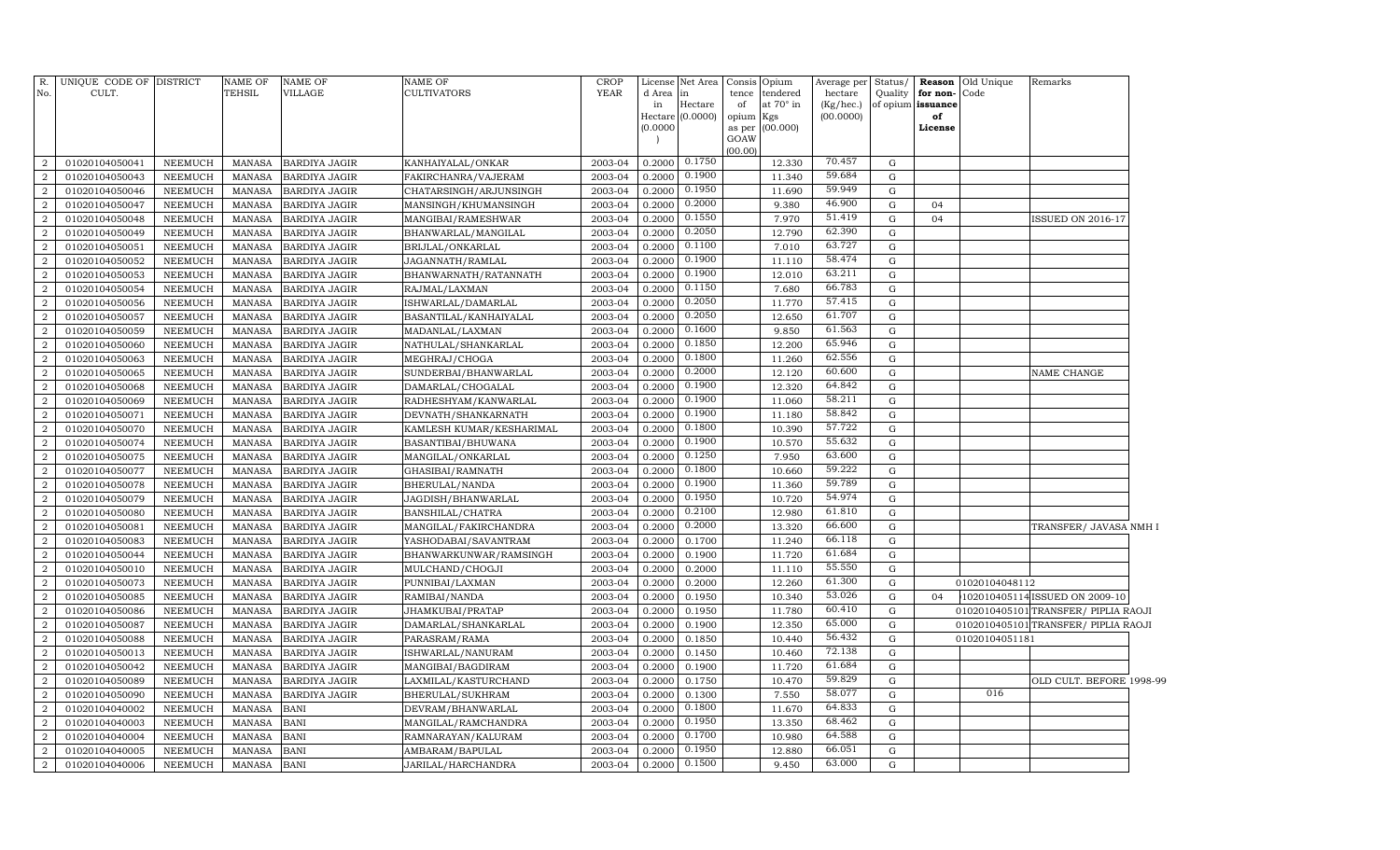| R.<br>No.      | UNIQUE CODE OF DISTRICT<br>CULT. |                | <b>NAME OF</b><br>TEHSIL | <b>NAME OF</b><br><b>VILLAGE</b> | <b>NAME OF</b><br><b>CULTIVATORS</b> | <b>CROP</b><br>YEAR | License<br>d Area<br>in | Net Area<br>in<br>Hectare | Consis<br>tence<br>of              | )pium<br>tendered<br>at $70^\circ$ in | Average per<br>hectare<br>(Kg/hec.) | Status/<br>Quality | Reason<br>for non-<br>of opium issuance | Old Unique<br>Code | Remarks                              |  |
|----------------|----------------------------------|----------------|--------------------------|----------------------------------|--------------------------------------|---------------------|-------------------------|---------------------------|------------------------------------|---------------------------------------|-------------------------------------|--------------------|-----------------------------------------|--------------------|--------------------------------------|--|
|                |                                  |                |                          |                                  |                                      |                     | Hectare<br>(0.0000)     | (0.0000)                  | opium<br>as per<br>GOAW<br>(00.00) | Kgs<br>(00.000)                       | (00.0000)                           |                    | of<br>License                           |                    |                                      |  |
| $\overline{2}$ | 01020104050041                   | NEEMUCH        | MANASA                   | <b>BARDIYA JAGIR</b>             | KANHAIYALAL/ONKAR                    | 2003-04             | 0.2000                  | 0.1750                    |                                    | 12.330                                | 70.457                              | G                  |                                         |                    |                                      |  |
| $\overline{2}$ | 01020104050043                   | NEEMUCH        | MANASA                   | <b>BARDIYA JAGIR</b>             | FAKIRCHANRA/VAJERAM                  | 2003-04             | 0.2000                  | 0.1900                    |                                    | 11.340                                | 59.684                              | G                  |                                         |                    |                                      |  |
| $\overline{2}$ | 01020104050046                   | <b>NEEMUCH</b> | MANASA                   | BARDIYA JAGIR                    | CHATARSINGH/ARJUNSINGH               | 2003-04             | 0.2000                  | 0.1950                    |                                    | 11.690                                | 59.949                              | ${\rm G}$          |                                         |                    |                                      |  |
| $\overline{2}$ | 01020104050047                   | NEEMUCH        | MANASA                   | <b>BARDIYA JAGIR</b>             | MANSINGH/KHUMANSINGH                 | 2003-04             | 0.2000                  | 0.2000                    |                                    | 9.380                                 | 46.900                              | G                  | 04                                      |                    |                                      |  |
| $\overline{2}$ | 01020104050048                   | <b>NEEMUCH</b> | MANASA                   | <b>BARDIYA JAGIR</b>             | MANGIBAI/RAMESHWAR                   | 2003-04             | 0.2000                  | 0.1550                    |                                    | 7.970                                 | 51.419                              | $\mathbf G$        | 04                                      |                    | <b>ISSUED ON 2016-17</b>             |  |
| $\overline{2}$ | 01020104050049                   | <b>NEEMUCH</b> | MANASA                   | <b>BARDIYA JAGIR</b>             | BHANWARLAL/MANGILAL                  | 2003-04             | 0.2000                  | 0.2050                    |                                    | 12.790                                | 62.390                              | $\mathbf G$        |                                         |                    |                                      |  |
| $\overline{2}$ | 01020104050051                   | <b>NEEMUCH</b> | <b>MANASA</b>            | <b>BARDIYA JAGIR</b>             | BRIJLAL/ONKARLAL                     | 2003-04             | 0.2000                  | 0.1100                    |                                    | 7.010                                 | 63.727                              | $\mathbf G$        |                                         |                    |                                      |  |
| $\overline{2}$ | 01020104050052                   | NEEMUCH        | MANASA                   | BARDIYA JAGIR                    | JAGANNATH/RAMLAL                     | 2003-04             | 0.2000                  | 0.1900                    |                                    | 11.110                                | 58.474                              | G                  |                                         |                    |                                      |  |
| $\overline{2}$ | 01020104050053                   | <b>NEEMUCH</b> | MANASA                   | BARDIYA JAGIR                    | BHANWARNATH/RATANNATH                | 2003-04             | 0.2000                  | 0.1900                    |                                    | 12.010                                | 63.211                              | $\mathbf G$        |                                         |                    |                                      |  |
| $\overline{a}$ | 01020104050054                   | NEEMUCH        | MANASA                   | BARDIYA JAGIR                    | RAJMAL/LAXMAN                        | 2003-04             | 0.2000                  | 0.1150                    |                                    | 7.680                                 | 66.783                              | G                  |                                         |                    |                                      |  |
| $\overline{2}$ | 01020104050056                   | <b>NEEMUCH</b> | MANASA                   | <b>BARDIYA JAGIR</b>             | ISHWARLAL/DAMARLAL                   | 2003-04             | 0.2000                  | 0.2050                    |                                    | 11.770                                | 57.415                              | $\mathbf G$        |                                         |                    |                                      |  |
| $\overline{2}$ | 01020104050057                   | NEEMUCH        | MANASA                   | <b>BARDIYA JAGIR</b>             | BASANTILAL/KANHAIYALAL               | 2003-04             | 0.2000                  | 0.2050                    |                                    | 12.650                                | 61.707                              | G                  |                                         |                    |                                      |  |
| $\overline{2}$ | 01020104050059                   | <b>NEEMUCH</b> | MANASA                   | <b>BARDIYA JAGIR</b>             | MADANLAL/LAXMAN                      | 2003-04             | 0.2000                  | 0.1600                    |                                    | 9.850                                 | 61.563                              | $\mathbf G$        |                                         |                    |                                      |  |
| $\overline{2}$ | 01020104050060                   | <b>NEEMUCH</b> | MANASA                   | <b>BARDIYA JAGIR</b>             | NATHULAL/SHANKARLAL                  | 2003-04             | 0.2000                  | 0.1850                    |                                    | 12.200                                | 65.946                              | $\mathbf G$        |                                         |                    |                                      |  |
| $\overline{2}$ | 01020104050063                   | <b>NEEMUCH</b> | MANASA                   | <b>BARDIYA JAGIR</b>             | MEGHRAJ/CHOGA                        | 2003-04             | 0.2000                  | 0.1800                    |                                    | 11.260                                | 62.556                              | $\mathbf G$        |                                         |                    |                                      |  |
| $\overline{a}$ | 01020104050065                   | <b>NEEMUCH</b> | MANASA                   | BARDIYA JAGIR                    | SUNDERBAI/BHANWARLAL                 | 2003-04             | 0.2000                  | 0.2000                    |                                    | 12.120                                | 60.600                              | G                  |                                         |                    | NAME CHANGE                          |  |
| $\overline{2}$ | 01020104050068                   | <b>NEEMUCH</b> | MANASA                   | BARDIYA JAGIR                    | DAMARLAL/CHOGALAL                    | 2003-04             | 0.2000                  | 0.1900                    |                                    | 12.320                                | 64.842                              | $\mathbf G$        |                                         |                    |                                      |  |
| $\overline{a}$ | 01020104050069                   | <b>NEEMUCH</b> | MANASA                   | BARDIYA JAGIR                    | RADHESHYAM/KANWARLAL                 | 2003-04             | 0.2000                  | 0.1900                    |                                    | 11.060                                | 58.211                              | G                  |                                         |                    |                                      |  |
| $\overline{2}$ | 01020104050071                   | NEEMUCH        | MANASA                   | <b>BARDIYA JAGIR</b>             | DEVNATH/SHANKARNATH                  | 2003-04             | 0.2000                  | 0.1900                    |                                    | 11.180                                | 58.842                              | $\mathbf G$        |                                         |                    |                                      |  |
| $\overline{2}$ | 01020104050070                   | NEEMUCH        | MANASA                   | <b>BARDIYA JAGIR</b>             | KAMLESH KUMAR/KESHARIMAL             | 2003-04             | 0.2000                  | 0.1800                    |                                    | 10.390                                | 57.722                              | G                  |                                         |                    |                                      |  |
| $\overline{2}$ | 01020104050074                   | <b>NEEMUCH</b> | MANASA                   | <b>BARDIYA JAGIR</b>             | BASANTIBAI/BHUWANA                   | 2003-04             | 0.2000                  | 0.1900                    |                                    | 10.570                                | 55.632                              | $\mathbf G$        |                                         |                    |                                      |  |
| $\overline{2}$ | 01020104050075                   | <b>NEEMUCH</b> | MANASA                   | <b>BARDIYA JAGIR</b>             | MANGILAL/ONKARLAL                    | 2003-04             | 0.2000                  | 0.1250                    |                                    | 7.950                                 | 63.600                              | $\mathbf G$        |                                         |                    |                                      |  |
| $\overline{2}$ | 01020104050077                   | NEEMUCH        | MANASA                   | <b>BARDIYA JAGIR</b>             | GHASIBAI/RAMNATH                     | 2003-04             | 0.2000                  | 0.1800                    |                                    | 10.660                                | 59.222                              | $\mathbf G$        |                                         |                    |                                      |  |
| $\overline{2}$ | 01020104050078                   | <b>NEEMUCH</b> | MANASA                   | <b>BARDIYA JAGIR</b>             | BHERULAL/NANDA                       | 2003-04             | 0.2000                  | 0.1900                    |                                    | 11.360                                | 59.789                              | G                  |                                         |                    |                                      |  |
| $\overline{2}$ | 01020104050079                   | <b>NEEMUCH</b> | MANASA                   | <b>BARDIYA JAGIR</b>             | JAGDISH/BHANWARLAL                   | 2003-04             | 0.2000                  | 0.1950                    |                                    | 10.720                                | 54.974                              | $\mathbf G$        |                                         |                    |                                      |  |
| $\overline{2}$ | 01020104050080                   | NEEMUCH        | MANASA                   | BARDIYA JAGIR                    | BANSHILAL/CHATRA                     | 2003-04             | 0.2000                  | 0.2100                    |                                    | 12.980                                | 61.810                              | G                  |                                         |                    |                                      |  |
| $\overline{2}$ | 01020104050081                   | <b>NEEMUCH</b> | MANASA                   | <b>BARDIYA JAGIR</b>             | MANGILAL/FAKIRCHANDRA                | 2003-04             | 0.2000                  | 0.2000                    |                                    | 13.320                                | 66.600                              | $\mathbf G$        |                                         |                    | TRANSFER/ JAVASA NMH I               |  |
| $\overline{2}$ | 01020104050083                   | NEEMUCH        | MANASA                   | <b>BARDIYA JAGIR</b>             | YASHODABAI/SAVANTRAM                 | 2003-04             | 0.2000                  | 0.1700                    |                                    | 11.240                                | 66.118                              | G                  |                                         |                    |                                      |  |
| $\overline{2}$ | 01020104050044                   | <b>NEEMUCH</b> | MANASA                   | BARDIYA JAGIR                    | BHANWARKUNWAR/RAMSINGH               | 2003-04             | 0.2000                  | 0.1900                    |                                    | 11.720                                | 61.684                              | G                  |                                         |                    |                                      |  |
| $\overline{2}$ | 01020104050010                   | <b>NEEMUCH</b> | MANASA                   | <b>BARDIYA JAGIR</b>             | MULCHAND/CHOGJI                      | 2003-04             | 0.2000                  | 0.2000                    |                                    | 11.110                                | 55.550                              | G                  |                                         |                    |                                      |  |
| $\overline{2}$ | 01020104050073                   | <b>NEEMUCH</b> | MANASA                   | <b>BARDIYA JAGIR</b>             | PUNNIBAI/LAXMAN                      | 2003-04             | 0.2000                  | 0.2000                    |                                    | 12.260                                | 61.300                              | $\mathbf G$        |                                         | 01020104048112     |                                      |  |
| $\overline{2}$ | 01020104050085                   | <b>NEEMUCH</b> | <b>MANASA</b>            | <b>BARDIYA JAGIR</b>             | RAMIBAI/NANDA                        | 2003-04             | 0.2000                  | 0.1950                    |                                    | 10.340                                | 53.026                              | G                  | 04                                      |                    | 102010405114 ISSUED ON 2009-10       |  |
| $\overline{2}$ | 01020104050086                   | <b>NEEMUCH</b> | MANASA                   | <b>BARDIYA JAGIR</b>             | JHAMKUBAI/PRATAP                     | 2003-04             | 0.2000                  | 0.1950                    |                                    | 11.780                                | 60.410                              | G                  |                                         |                    | 0102010405101 TRANSFER/ PIPLIA RAOJI |  |
| $\overline{2}$ | 01020104050087                   | <b>NEEMUCH</b> | MANASA                   | <b>BARDIYA JAGIR</b>             | DAMARLAL/SHANKARLAL                  | 2003-04             | 0.2000                  | 0.1900                    |                                    | 12.350                                | 65.000                              | G                  |                                         |                    | 0102010405101 TRANSFER/ PIPLIA RAOJI |  |
| $\overline{2}$ | 01020104050088                   | <b>NEEMUCH</b> | MANASA                   | <b>BARDIYA JAGIR</b>             | PARASRAM/RAMA                        | 2003-04             | 0.2000                  | 0.1850                    |                                    | 10.440                                | 56.432                              | G                  |                                         | 01020104051181     |                                      |  |
| $\overline{2}$ | 01020104050013                   | NEEMUCH        | MANASA                   | <b>BARDIYA JAGIR</b>             | ISHWARLAL/NANURAM                    | 2003-04             | 0.2000                  | 0.1450                    |                                    | 10.460                                | 72.138                              | G                  |                                         |                    |                                      |  |
| $\overline{2}$ | 01020104050042                   | <b>NEEMUCH</b> | MANASA                   | BARDIYA JAGIR                    | MANGIBAI/BAGDIRAM                    | 2003-04             | 0.2000                  | 0.1900                    |                                    | 11.720                                | 61.684                              | $\mathbf G$        |                                         |                    |                                      |  |
| $\overline{a}$ | 01020104050089                   | NEEMUCH        | <b>MANASA</b>            | <b>BARDIYA JAGIR</b>             | LAXMILAL/KASTURCHAND                 | 2003-04             | 0.2000                  | 0.1750                    |                                    | 10.470                                | 59.829                              | ${\rm G}$          |                                         |                    | OLD CULT. BEFORE 1998-99             |  |
| 2              | 01020104050090                   | NEEMUCH        | MANASA                   | <b>BARDIYA JAGIR</b>             | BHERULAL/SUKHRAM                     | 2003-04             | 0.2000                  | 0.1300                    |                                    | 7.550                                 | 58.077                              | $\mathbf G$        |                                         | 016                |                                      |  |
| $\overline{2}$ | 01020104040002                   | <b>NEEMUCH</b> | <b>MANASA</b>            | <b>BANI</b>                      | DEVRAM/BHANWARLAL                    | 2003-04             | 0.2000                  | 0.1800                    |                                    | 11.670                                | 64.833                              | G                  |                                         |                    |                                      |  |
| $\overline{2}$ | 01020104040003                   | <b>NEEMUCH</b> | MANASA                   | <b>BANI</b>                      | MANGILAL/RAMCHANDRA                  | 2003-04             | 0.2000                  | 0.1950                    |                                    | 13.350                                | 68.462                              | $\mathbf G$        |                                         |                    |                                      |  |
| $\overline{2}$ | 01020104040004                   | NEEMUCH        | MANASA                   | <b>BANI</b>                      | RAMNARAYAN/KALURAM                   | 2003-04             | 0.2000                  | 0.1700                    |                                    | 10.980                                | 64.588                              | $\mathbf G$        |                                         |                    |                                      |  |
| $\overline{2}$ | 01020104040005                   | NEEMUCH        | MANASA                   | <b>BANI</b>                      | AMBARAM/BAPULAL                      | 2003-04             | 0.2000                  | 0.1950                    |                                    | 12.880                                | 66.051                              | G                  |                                         |                    |                                      |  |
| $\overline{2}$ | 01020104040006                   | NEEMUCH        | MANASA                   | <b>BANI</b>                      | JARILAL/HARCHANDRA                   | 2003-04             | 0.2000                  | 0.1500                    |                                    | 9.450                                 | 63.000                              | G                  |                                         |                    |                                      |  |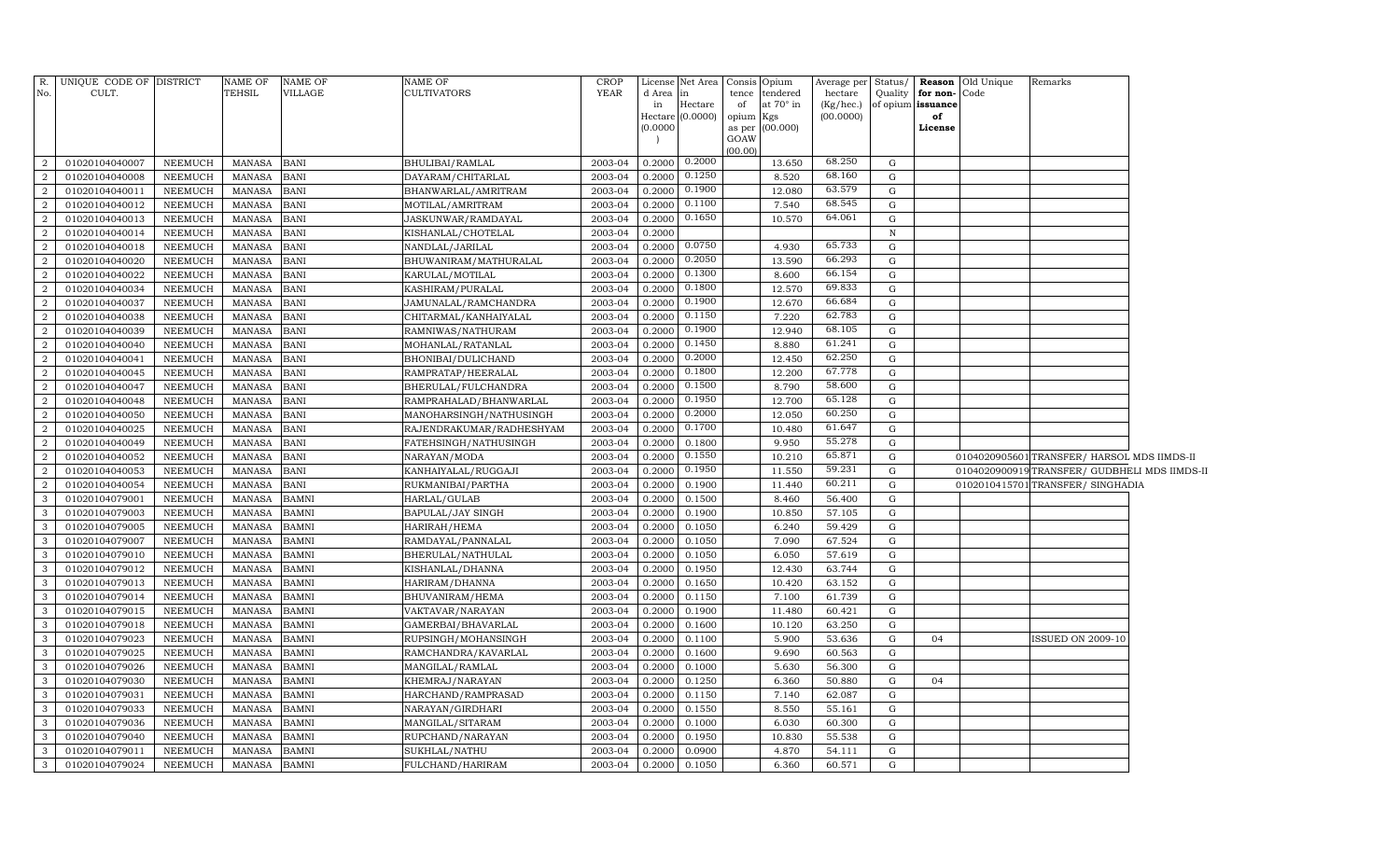| R.             | UNIQUE CODE OF DISTRICT |                 | <b>NAME OF</b> | <b>NAME OF</b> | <b>NAME OF</b>           | <b>CROP</b> | License  | Net Area             | Opium<br>Consis            | Average per  | Status/      | <b>Reason</b> | Old Unique | Remarks                                      |  |
|----------------|-------------------------|-----------------|----------------|----------------|--------------------------|-------------|----------|----------------------|----------------------------|--------------|--------------|---------------|------------|----------------------------------------------|--|
| No.            | CULT.                   |                 | <b>TEHSIL</b>  | VILLAGE        | <b>CULTIVATORS</b>       | <b>YEAR</b> | d Area   | in                   | tendered<br>tence          | hectare      | Quality      | for non-      | Code       |                                              |  |
|                |                         |                 |                |                |                          |             | in       | Hectare              | at 70° in<br>of            | $(Kg/$ hec.) | of opium     | issuance      |            |                                              |  |
|                |                         |                 |                |                |                          |             |          | $Hectare$ $(0.0000)$ | opium<br>Kgs               | (00.0000)    |              | of            |            |                                              |  |
|                |                         |                 |                |                |                          |             | (0.0000) |                      | (00.000)<br>as per<br>GOAW |              |              | License       |            |                                              |  |
|                |                         |                 |                |                |                          |             |          |                      | (00.00)                    |              |              |               |            |                                              |  |
| 2              | 01020104040007          | NEEMUCH         | <b>MANASA</b>  | <b>BANI</b>    | BHULIBAI/RAMLAL          | 2003-04     | 0.2000   | 0.2000               | 13.650                     | 68.250       | G            |               |            |                                              |  |
| $\overline{2}$ | 01020104040008          | <b>NEEMUCH</b>  | <b>MANASA</b>  | <b>BANI</b>    | DAYARAM / CHITARLAL      | 2003-04     | 0.2000   | 0.1250               | 8.520                      | 68.160       | $\mathbf G$  |               |            |                                              |  |
| $\overline{2}$ | 01020104040011          | NEEMUCH         | <b>MANASA</b>  | <b>BANI</b>    | BHANWARLAL/AMRITRAM      | 2003-04     | 0.2000   | 0.1900               | 12.080                     | 63.579       | G            |               |            |                                              |  |
| $\overline{2}$ | 01020104040012          | NEEMUCH         | <b>MANASA</b>  | <b>BANI</b>    | MOTILAL/AMRITRAM         | 2003-04     | 0.2000   | 0.1100               | 7.540                      | 68.545       | G            |               |            |                                              |  |
| $\overline{2}$ | 01020104040013          | <b>NEEMUCH</b>  | <b>MANASA</b>  | <b>BANI</b>    | JASKUNWAR/RAMDAYAL       | 2003-04     | 0.2000   | 0.1650               | 10.570                     | 64.061       | G            |               |            |                                              |  |
| $\overline{2}$ | 01020104040014          | NEEMUCH         | <b>MANASA</b>  | <b>BANI</b>    | KISHANLAL/CHOTELAL       | 2003-04     | 0.2000   |                      |                            |              | $\, {\rm N}$ |               |            |                                              |  |
| $\overline{2}$ | 01020104040018          | <b>NEEMUCH</b>  | <b>MANASA</b>  | <b>BANI</b>    | NANDLAL/JARILAL          | 2003-04     | 0.2000   | 0.0750               | 4.930                      | 65.733       | G            |               |            |                                              |  |
| $\overline{2}$ | 01020104040020          | NEEMUCH         | <b>MANASA</b>  | <b>BANI</b>    | BHUWANIRAM/MATHURALAL    | 2003-04     | 0.2000   | 0.2050               | 13.590                     | 66.293       | G            |               |            |                                              |  |
| $\overline{2}$ | 01020104040022          | NEEMUCH         | <b>MANASA</b>  | <b>BANI</b>    | KARULAL/MOTILAL          | 2003-04     | 0.2000   | 0.1300               | 8.600                      | 66.154       | G            |               |            |                                              |  |
| $\overline{2}$ | 01020104040034          | NEEMUCH         | <b>MANASA</b>  | <b>BANI</b>    | KASHIRAM/PURALAL         | 2003-04     | 0.2000   | 0.1800               | 12.570                     | 69.833       | G            |               |            |                                              |  |
| 2              | 01020104040037          | NEEMUCH         | <b>MANASA</b>  | <b>BANI</b>    | JAMUNALAL/RAMCHANDRA     | 2003-04     | 0.2000   | 0.1900               | 12.670                     | 66.684       | G            |               |            |                                              |  |
| $\overline{a}$ | 01020104040038          | NEEMUCH         | <b>MANASA</b>  | <b>BANI</b>    | CHITARMAL/KANHAIYALAL    | 2003-04     | 0.2000   | 0.1150               | 7.220                      | 62.783       | ${\rm G}$    |               |            |                                              |  |
| 2              | 01020104040039          | <b>NEEMUCH</b>  | <b>MANASA</b>  | <b>BANI</b>    | RAMNIWAS/NATHURAM        | 2003-04     | 0.2000   | 0.1900               | 12.940                     | 68.105       | G            |               |            |                                              |  |
| 2              | 01020104040040          | NEEMUCH         | <b>MANASA</b>  | <b>BANI</b>    | MOHANLAL/RATANLAL        | 2003-04     | 0.2000   | 0.1450               | 8.880                      | 61.241       | G            |               |            |                                              |  |
| $\overline{2}$ | 01020104040041          | NEEMUCH         | MANASA         | <b>BANI</b>    | BHONIBAI/DULICHAND       | 2003-04     | 0.2000   | 0.2000               | 12.450                     | 62.250       | G            |               |            |                                              |  |
| $\overline{2}$ | 01020104040045          | <b>NEEMUCH</b>  | <b>MANASA</b>  | <b>BANI</b>    | RAMPRATAP/HEERALAL       | 2003-04     | 0.2000   | 0.1800               | 12.200                     | 67.778       | ${\rm G}$    |               |            |                                              |  |
| 2              | 01020104040047          | <b>NEEMUCH</b>  | <b>MANASA</b>  | <b>BANI</b>    | BHERULAL/FULCHANDRA      | 2003-04     | 0.2000   | 0.1500               | 8.790                      | 58.600       | G            |               |            |                                              |  |
| $\overline{2}$ | 01020104040048          | ${\tt NEEMUCH}$ | <b>MANASA</b>  | <b>BANI</b>    | RAMPRAHALAD/BHANWARLAL   | 2003-04     | 0.2000   | 0.1950               | 12.700                     | 65.128       | ${\rm G}$    |               |            |                                              |  |
| $\overline{2}$ | 01020104040050          | <b>NEEMUCH</b>  | <b>MANASA</b>  | <b>BANI</b>    | MANOHARSINGH/NATHUSINGH  | 2003-04     | 0.2000   | 0.2000               | 12.050                     | 60.250       | G            |               |            |                                              |  |
| $\overline{2}$ | 01020104040025          | NEEMUCH         | <b>MANASA</b>  | <b>BANI</b>    | RAJENDRAKUMAR/RADHESHYAM | 2003-04     | 0.2000   | 0.1700               | 10.480                     | 61.647       | G            |               |            |                                              |  |
| $\overline{a}$ | 01020104040049          | <b>NEEMUCH</b>  | <b>MANASA</b>  | <b>BANI</b>    | FATEHSINGH/NATHUSINGH    | 2003-04     | 0.2000   | 0.1800               | 9.950                      | 55.278       | G            |               |            |                                              |  |
| $\overline{2}$ | 01020104040052          | <b>NEEMUCH</b>  | <b>MANASA</b>  | <b>BANI</b>    | NARAYAN/MODA             | 2003-04     | 0.2000   | 0.1550               | 10.210                     | 65.871       | ${\rm G}$    |               |            | 0104020905601 TRANSFER/ HARSOL MDS IIMDS-II  |  |
| $\overline{a}$ | 01020104040053          | NEEMUCH         | <b>MANASA</b>  | <b>BANI</b>    | KANHAIYALAL/RUGGAJI      | 2003-04     | 0.2000   | 0.1950               | 11.550                     | 59.231       | G            |               |            | 0104020900919TRANSFER/ GUDBHELI MDS IIMDS-II |  |
| $\overline{2}$ | 01020104040054          | NEEMUCH         | <b>MANASA</b>  | <b>BANI</b>    | RUKMANIBAI/PARTHA        | 2003-04     | 0.2000   | 0.1900               | 11.440                     | 60.211       | ${\rm G}$    |               |            | 0102010415701 TRANSFER/ SINGHADIA            |  |
| 3              | 01020104079001          | <b>NEEMUCH</b>  | <b>MANASA</b>  | <b>BAMNI</b>   | HARLAL/GULAB             | 2003-04     | 0.2000   | 0.1500               | 8.460                      | 56.400       | G            |               |            |                                              |  |
| 3              | 01020104079003          | NEEMUCH         | <b>MANASA</b>  | <b>BAMNI</b>   | BAPULAL/JAY SINGH        | 2003-04     | 0.2000   | 0.1900               | 10.850                     | 57.105       | ${\rm G}$    |               |            |                                              |  |
| 3              | 01020104079005          | <b>NEEMUCH</b>  | <b>MANASA</b>  | <b>BAMNI</b>   | HARIRAH/HEMA             | 2003-04     | 0.2000   | 0.1050               | 6.240                      | 59.429       | ${\rm G}$    |               |            |                                              |  |
| 3              | 01020104079007          | <b>NEEMUCH</b>  | MANASA         | <b>BAMNI</b>   | RAMDAYAL/PANNALAL        | 2003-04     | 0.2000   | 0.1050               | 7.090                      | 67.524       | G            |               |            |                                              |  |
| 3              | 01020104079010          | <b>NEEMUCH</b>  | <b>MANASA</b>  | <b>BAMNI</b>   | BHERULAL/NATHULAL        | 2003-04     | 0.2000   | 0.1050               | 6.050                      | 57.619       | ${\rm G}$    |               |            |                                              |  |
| 3              | 01020104079012          | <b>NEEMUCH</b>  | <b>MANASA</b>  | <b>BAMNI</b>   | KISHANLAL/DHANNA         | 2003-04     | 0.2000   | 0.1950               | 12.430                     | 63.744       | G            |               |            |                                              |  |
| 3              | 01020104079013          | <b>NEEMUCH</b>  | <b>MANASA</b>  | <b>BAMNI</b>   | HARIRAM/DHANNA           | 2003-04     | 0.2000   | 0.1650               | 10.420                     | 63.152       | ${\rm G}$    |               |            |                                              |  |
| 3              | 01020104079014          | NEEMUCH         | <b>MANASA</b>  | <b>BAMNI</b>   | BHUVANIRAM/HEMA          | 2003-04     | 0.2000   | 0.1150               | 7.100                      | 61.739       | G            |               |            |                                              |  |
| 3              | 01020104079015          | <b>NEEMUCH</b>  | <b>MANASA</b>  | <b>BAMNI</b>   | VAKTAVAR/NARAYAN         | 2003-04     | 0.2000   | 0.1900               | 11.480                     | 60.421       | G            |               |            |                                              |  |
| 3              | 01020104079018          | <b>NEEMUCH</b>  | <b>MANASA</b>  | <b>BAMNI</b>   | GAMERBAI/BHAVARLAL       | 2003-04     | 0.2000   | 0.1600               | 10.120                     | 63.250       | G            |               |            |                                              |  |
| 3              | 01020104079023          | <b>NEEMUCH</b>  | <b>MANASA</b>  | <b>BAMNI</b>   | RUPSINGH/MOHANSINGH      | 2003-04     | 0.2000   | 0.1100               | 5.900                      | 53.636       | G            | 04            |            | <b>ISSUED ON 2009-10</b>                     |  |
| 3              | 01020104079025          | <b>NEEMUCH</b>  | <b>MANASA</b>  | <b>BAMNI</b>   | RAMCHANDRA/KAVARLAL      | 2003-04     | 0.2000   | 0.1600               | 9.690                      | 60.563       | G            |               |            |                                              |  |
| 3              | 01020104079026          | <b>NEEMUCH</b>  | <b>MANASA</b>  | <b>BAMNI</b>   | MANGILAL/RAMLAL          | 2003-04     | 0.2000   | 0.1000               | 5.630                      | 56.300       | G            |               |            |                                              |  |
| 3              | 01020104079030          | <b>NEEMUCH</b>  | <b>MANASA</b>  | <b>BAMNI</b>   | KHEMRAJ/NARAYAN          | 2003-04     | 0.2000   | 0.1250               | 6.360                      | 50.880       | G            | 04            |            |                                              |  |
| 3              | 01020104079031          | <b>NEEMUCH</b>  | <b>MANASA</b>  | <b>BAMNI</b>   | HARCHAND/RAMPRASAD       | 2003-04     | 0.2000   | 0.1150               | 7.140                      | 62.087       | G            |               |            |                                              |  |
| 3              | 01020104079033          | <b>NEEMUCH</b>  | <b>MANASA</b>  | <b>BAMNI</b>   | NARAYAN/GIRDHARI         | 2003-04     | 0.2000   | 0.1550               | 8.550                      | 55.161       | G            |               |            |                                              |  |
| 3              | 01020104079036          | <b>NEEMUCH</b>  | <b>MANASA</b>  | <b>BAMNI</b>   | MANGILAL/SITARAM         | 2003-04     | 0.2000   | 0.1000               | 6.030                      | 60.300       | ${\rm G}$    |               |            |                                              |  |
| 3              | 01020104079040          | <b>NEEMUCH</b>  | <b>MANASA</b>  | BAMNI          | RUPCHAND/NARAYAN         | 2003-04     | 0.2000   | 0.1950               | 10.830                     | 55.538       | G            |               |            |                                              |  |
| 3              | 01020104079011          | <b>NEEMUCH</b>  | <b>MANASA</b>  | <b>BAMNI</b>   | SUKHLAL/NATHU            | 2003-04     | 0.2000   | 0.0900               | 4.870                      | 54.111       | G            |               |            |                                              |  |
| $\mathbf{3}$   | 01020104079024          | NEEMUCH         | <b>MANASA</b>  | <b>BAMNI</b>   | FULCHAND/HARIRAM         | 2003-04     | 0.2000   | 0.1050               | 6.360                      | 60.571       | G            |               |            |                                              |  |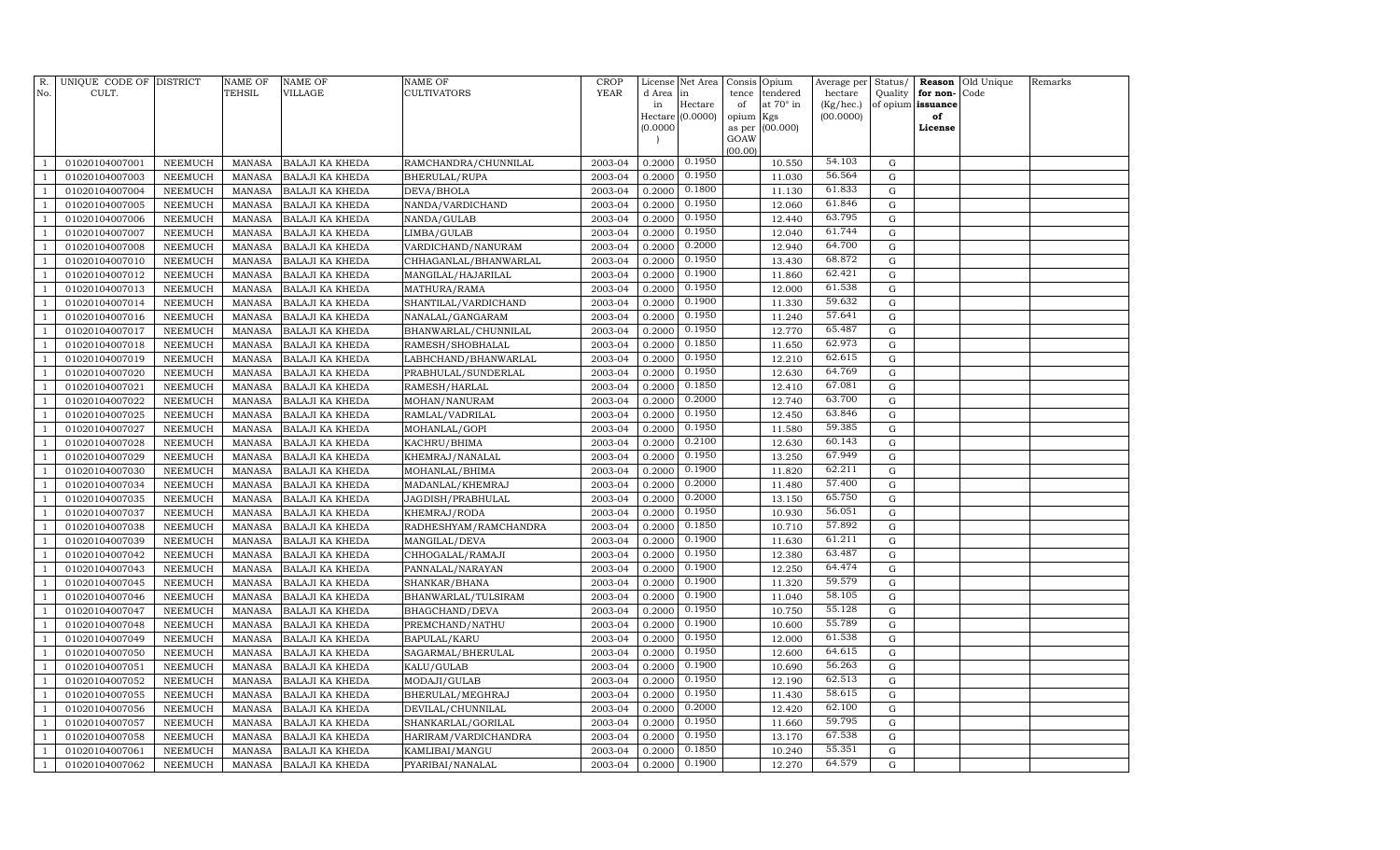| R.             | UNIQUE CODE OF DISTRICT          |                           | NAME OF          | <b>NAME OF</b>                                   | <b>NAME OF</b>                          | CROP               | License                  | Net Area         | Consis Opium |                              | Average per          | Status/          |                               | <b>Reason</b> Old Unique | Remarks |
|----------------|----------------------------------|---------------------------|------------------|--------------------------------------------------|-----------------------------------------|--------------------|--------------------------|------------------|--------------|------------------------------|----------------------|------------------|-------------------------------|--------------------------|---------|
| No.            | CULT.                            |                           | TEHSIL           | VILLAGE                                          | <b>CULTIVATORS</b>                      | <b>YEAR</b>        | d Area<br>in             | in<br>Hectare    | tence<br>of  | tendered<br>at $70^\circ$ in | hectare<br>(Kg/hec.) | Quality          | for non-<br>of opium issuance | Code                     |         |
|                |                                  |                           |                  |                                                  |                                         |                    |                          | Hectare (0.0000) | opium Kgs    |                              | (00.0000)            |                  | of                            |                          |         |
|                |                                  |                           |                  |                                                  |                                         |                    | (0.0000)                 |                  |              | as per (00.000)              |                      |                  | License                       |                          |         |
|                |                                  |                           |                  |                                                  |                                         |                    | $\overline{\phantom{a}}$ |                  | GOAW         |                              |                      |                  |                               |                          |         |
|                | 01020104007001                   | NEEMUCH                   | MANASA           | <b>BALAJI KA KHEDA</b>                           | RAMCHANDRA/CHUNNILAL                    | 2003-04            | 0.2000                   | 0.1950           | (00.00)      | 10.550                       | 54.103               | G                |                               |                          |         |
|                | 01020104007003                   | NEEMUCH                   | MANASA           | <b>BALAJI KA KHEDA</b>                           | BHERULAL/RUPA                           | 2003-04            | 0.2000                   | 0.1950           |              | 11.030                       | 56.564               | G                |                               |                          |         |
| $\mathbf{1}$   | 01020104007004                   | NEEMUCH                   | MANASA           | <b>BALAJI KA KHEDA</b>                           | DEVA/BHOLA                              | 2003-04            | 0.2000                   | 0.1800           |              | 11.130                       | 61.833               | G                |                               |                          |         |
|                | 01020104007005                   | NEEMUCH                   | MANASA           | <b>BALAJI KA KHEDA</b>                           | NANDA/VARDICHAND                        | 2003-04            | 0.2000                   | 0.1950           |              | 12.060                       | 61.846               | G                |                               |                          |         |
|                | 01020104007006                   | NEEMUCH                   | MANASA           | <b>BALAJI KA KHEDA</b>                           | NANDA/GULAB                             | 2003-04            | 0.2000                   | 0.1950           |              | 12.440                       | 63.795               | G                |                               |                          |         |
|                | 01020104007007                   | <b>NEEMUCH</b>            | MANASA           | <b>BALAJI KA KHEDA</b>                           | LIMBA/GULAB                             | 2003-04            | 0.2000                   | 0.1950           |              | 12.040                       | 61.744               | $\mathbf G$      |                               |                          |         |
|                | 01020104007008                   | <b>NEEMUCH</b>            | MANASA           | <b>BALAJI KA KHEDA</b>                           | VARDICHAND/NANURAM                      | 2003-04            | 0.2000                   | 0.2000           |              | 12.940                       | 64.700               | G                |                               |                          |         |
| -1             | 01020104007010                   | NEEMUCH                   | MANASA           | <b>BALAJI KA KHEDA</b>                           | CHHAGANLAL/BHANWARLAL                   | 2003-04            | 0.2000                   | 0.1950           |              | 13.430                       | 68.872               | G                |                               |                          |         |
|                | 01020104007012                   | NEEMUCH                   | MANASA           | <b>BALAJI KA KHEDA</b>                           | MANGILAL/HAJARILAL                      | 2003-04            | 0.2000                   | 0.1900           |              | 11.860                       | 62.421               | G                |                               |                          |         |
|                | 01020104007013                   | NEEMUCH                   | MANASA           | <b>BALAJI KA KHEDA</b>                           | MATHURA/RAMA                            | 2003-04            | 0.2000                   | 0.1950           |              | 12.000                       | 61.538               | G                |                               |                          |         |
| $\overline{1}$ | 01020104007014                   | NEEMUCH                   | MANASA           | <b>BALAJI KA KHEDA</b>                           | SHANTILAL/VARDICHAND                    | 2003-04            | 0.2000                   | 0.1900           |              | 11.330                       | 59.632               | $\mathbf G$      |                               |                          |         |
| $\mathbf{1}$   | 01020104007016                   | NEEMUCH                   | MANASA           | <b>BALAJI KA KHEDA</b>                           | NANALAL/GANGARAM                        | 2003-04            | 0.2000                   | 0.1950           |              | 11.240                       | 57.641               | G                |                               |                          |         |
|                | 01020104007017                   | NEEMUCH                   | MANASA           | <b>BALAJI KA KHEDA</b>                           | BHANWARLAL/CHUNNILAL                    | 2003-04            | 0.2000                   | 0.1950           |              | 12.770                       | 65.487               | G                |                               |                          |         |
|                | 01020104007018                   | <b>NEEMUCH</b>            | MANASA           | <b>BALAJI KA KHEDA</b>                           | RAMESH/SHOBHALAL                        | 2003-04            | 0.2000                   | 0.1850           |              | 11.650                       | 62.973               | $\mathbf G$      |                               |                          |         |
|                | 01020104007019                   | <b>NEEMUCH</b>            | MANASA           | <b>BALAJI KA KHEDA</b>                           | LABHCHAND/BHANWARLAL                    | 2003-04            | 0.2000                   | 0.1950           |              | 12.210                       | 62.615               | $\mathbf G$      |                               |                          |         |
|                | 01020104007020                   | <b>NEEMUCH</b>            | MANASA           | <b>BALAJI KA KHEDA</b>                           | PRABHULAL/SUNDERLAL                     | 2003-04            | 0.2000                   | 0.1950           |              | 12.630                       | 64.769               | $\mathbf G$      |                               |                          |         |
|                | 01020104007021                   | NEEMUCH                   | MANASA           | BALAJI KA KHEDA                                  | RAMESH/HARLAL                           | 2003-04            | 0.2000                   | 0.1850           |              | 12.410                       | 67.081               | G                |                               |                          |         |
| $\overline{1}$ | 01020104007022                   | NEEMUCH                   | MANASA           | <b>BALAJI KA KHEDA</b>                           | MOHAN/NANURAM                           | 2003-04            | 0.2000                   | 0.2000           |              | 12.740                       | 63.700               | G                |                               |                          |         |
|                | 01020104007025                   | NEEMUCH                   | MANASA           | <b>BALAJI KA KHEDA</b>                           | RAMLAL/VADRILAL                         | 2003-04            | 0.2000                   | 0.1950           |              | 12.450                       | 63.846               | G                |                               |                          |         |
|                | 01020104007027                   | NEEMUCH                   | MANASA           | <b>BALAJI KA KHEDA</b>                           | MOHANLAL/GOPI                           | 2003-04            | 0.2000                   | 0.1950           |              | 11.580                       | 59.385               | G                |                               |                          |         |
|                | 01020104007028                   | NEEMUCH                   | MANASA           | <b>BALAJI KA KHEDA</b>                           | KACHRU/BHIMA                            | 2003-04            | 0.2000                   | 0.2100           |              | 12.630                       | 60.143               | $\mathbf G$      |                               |                          |         |
|                | 01020104007029                   | NEEMUCH                   | MANASA           | <b>BALAJI KA KHEDA</b>                           | KHEMRAJ/NANALAL                         | 2003-04            | 0.2000                   | 0.1950           |              | 13.250                       | 67.949               | G                |                               |                          |         |
|                | 01020104007030                   | <b>NEEMUCH</b>            | MANASA           | <b>BALAJI KA KHEDA</b>                           | MOHANLAL/BHIMA                          | 2003-04            | 0.2000                   | 0.1900           |              | 11.820                       | 62.211               | $\mathbf G$      |                               |                          |         |
|                | 01020104007034                   | <b>NEEMUCH</b>            | MANASA           | <b>BALAJI KA KHEDA</b>                           | MADANLAL/KHEMRAJ                        | 2003-04            | 0.2000                   | 0.2000           |              | 11.480                       | 57.400               | $\mathbf G$      |                               |                          |         |
|                | 01020104007035                   | NEEMUCH                   | MANASA           | <b>BALAJI KA KHEDA</b>                           | JAGDISH/PRABHULAL                       | 2003-04            | 0.2000                   | 0.2000           |              | 13.150                       | 65.750               | $\mathbf G$      |                               |                          |         |
|                | 01020104007037                   | <b>NEEMUCH</b>            | MANASA           | <b>BALAJI KA KHEDA</b>                           | KHEMRAJ/RODA                            | 2003-04            | 0.2000                   | 0.1950           |              | 10.930                       | 56.051               | G                |                               |                          |         |
|                | 01020104007038                   | NEEMUCH                   | MANASA           | <b>BALAJI KA KHEDA</b>                           | RADHESHYAM/RAMCHANDRA                   | 2003-04            | 0.2000                   | 0.1850           |              | 10.710                       | 57.892               | G                |                               |                          |         |
|                | 01020104007039                   | NEEMUCH                   | MANASA           | <b>BALAJI KA KHEDA</b>                           | MANGILAL/DEVA                           | 2003-04            | 0.2000                   | 0.1900           |              | 11.630                       | 61.211               | G                |                               |                          |         |
|                | 01020104007042                   | NEEMUCH                   | MANASA           | <b>BALAJI KA KHEDA</b>                           | CHHOGALAL/RAMAJI                        | 2003-04            | 0.2000                   | 0.1950           |              | 12.380                       | 63.487               | G                |                               |                          |         |
|                | 01020104007043                   | NEEMUCH                   | MANASA           | <b>BALAJI KA KHEDA</b>                           | PANNALAL/NARAYAN                        | 2003-04            | 0.2000                   | 0.1900           |              | 12.250                       | 64.474               | G                |                               |                          |         |
|                | 01020104007045                   | <b>NEEMUCH</b>            | MANASA           | <b>BALAJI KA KHEDA</b>                           | SHANKAR/BHANA                           | 2003-04            | 0.2000                   | 0.1900           |              | 11.320                       | 59.579               | G                |                               |                          |         |
|                | 01020104007046                   | <b>NEEMUCH</b>            | MANASA           | <b>BALAJI KA KHEDA</b>                           | BHANWARLAL/TULSIRAM                     | 2003-04            | 0.2000                   | 0.1900           |              | 11.040                       | 58.105               | G                |                               |                          |         |
|                | 01020104007047                   | NEEMUCH                   | <b>MANASA</b>    | <b>BALAJI KA KHEDA</b>                           | BHAGCHAND/DEVA                          | 2003-04            | 0.2000                   | 0.1950           |              | 10.750                       | 55.128               | G                |                               |                          |         |
|                | 01020104007048                   | NEEMUCH                   | MANASA           | <b>BALAJI KA KHEDA</b>                           | PREMCHAND/NATHU                         | 2003-04            | 0.2000                   | 0.1900           |              | 10.600                       | 55.789               | G                |                               |                          |         |
|                | 01020104007049                   | NEEMUCH                   | MANASA           | <b>BALAJI KA KHEDA</b>                           | BAPULAL/KARU                            | 2003-04            | 0.2000                   | 0.1950           |              | 12.000                       | 61.538               | G                |                               |                          |         |
|                | 01020104007050                   | NEEMUCH                   | MANASA           | <b>BALAJI KA KHEDA</b>                           | SAGARMAL/BHERULAL                       | 2003-04            | 0.2000                   | 0.1950           |              | 12.600                       | 64.615<br>56.263     | G                |                               |                          |         |
|                | 01020104007051                   | NEEMUCH                   | MANASA           | <b>BALAJI KA KHEDA</b>                           | KALU/GULAB                              | 2003-04            | 0.2000                   | 0.1900<br>0.1950 |              | 10.690                       | 62.513               | G                |                               |                          |         |
| $\overline{1}$ | 01020104007052                   | NEEMUCH<br><b>NEEMUCH</b> | MANASA           | <b>BALAJI KA KHEDA</b>                           | MODAJI/GULAB                            | 2003-04<br>2003-04 | 0.2000<br>0.2000         | 0.1950           |              | 12.190<br>11.430             | 58.615               | G<br>$\mathbf G$ |                               |                          |         |
|                | 01020104007055                   |                           | MANASA           | <b>BALAJI KA KHEDA</b>                           | BHERULAL/MEGHRAJ                        | 2003-04            | 0.2000                   | 0.2000           |              | 12.420                       | 62.100               | $\mathbf G$      |                               |                          |         |
|                | 01020104007056<br>01020104007057 | NEEMUCH<br>NEEMUCH        | MANASA<br>MANASA | <b>BALAJI KA KHEDA</b><br><b>BALAJI KA KHEDA</b> | DEVILAL/CHUNNILAL<br>SHANKARLAL/GORILAL | 2003-04            | 0.2000                   | 0.1950           |              | 11.660                       | 59.795               | $\mathbf G$      |                               |                          |         |
|                | 01020104007058                   | NEEMUCH                   | MANASA           | <b>BALAJI KA KHEDA</b>                           | HARIRAM/VARDICHANDRA                    | 2003-04            | 0.2000                   | 0.1950           |              | 13.170                       | 67.538               | G                |                               |                          |         |
|                | 01020104007061                   | NEEMUCH                   | MANASA           | <b>BALAJI KA KHEDA</b>                           | KAMLIBAI/MANGU                          | 2003-04            | 0.2000                   | 0.1850           |              | 10.240                       | 55.351               | G                |                               |                          |         |
| $\mathbf{1}$   | 01020104007062                   | NEEMUCH                   | MANASA           | <b>BALAJI KA KHEDA</b>                           | PYARIBAI/NANALAL                        | 2003-04            | 0.2000                   | 0.1900           |              | 12.270                       | 64.579               | $\mathbf G$      |                               |                          |         |
|                |                                  |                           |                  |                                                  |                                         |                    |                          |                  |              |                              |                      |                  |                               |                          |         |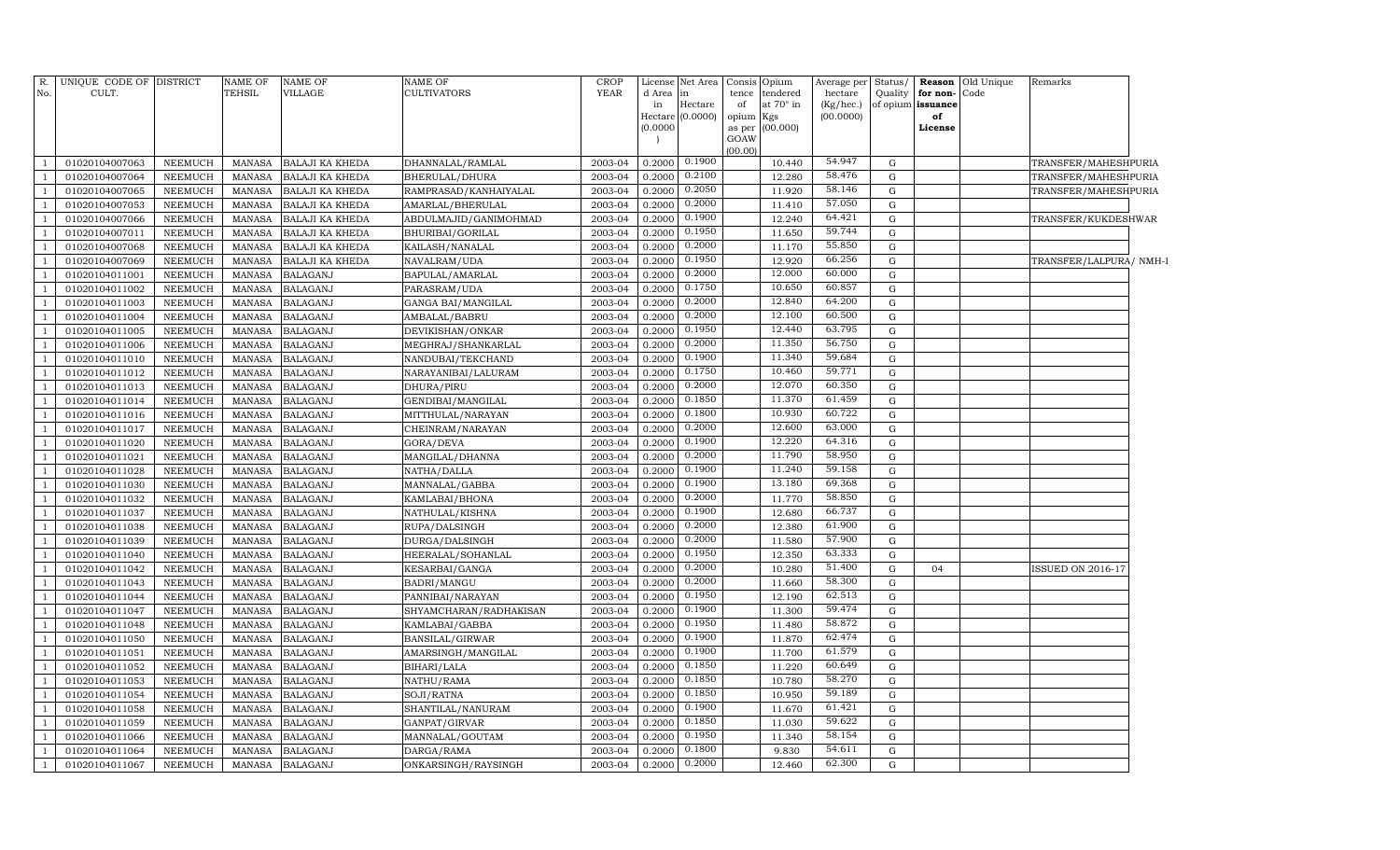| R.<br>No.      | UNIQUE CODE OF DISTRICT<br>CULT. |                | <b>NAME OF</b><br><b>TEHSIL</b> | <b>NAME OF</b><br><b>VILLAGE</b> | <b>NAME OF</b><br><b>CULTIVATORS</b> | <b>CROP</b><br><b>YEAR</b> | d Area<br>in<br>Hectare<br>(0.0000) | License Net Area<br>in<br>Hectare<br>(0.0000) | Consis<br>tence<br>of<br>$\ensuremath{\text{opium}}$<br>as per<br>GOAW | Opium<br>tendered<br>at 70° in<br>Kgs<br>(00.000) | Average per<br>hectare<br>(Kg/hec.)<br>(00.0000) | Status/<br>Quality<br>of opium | for non-<br>issuance<br>of<br>License | <b>Reason</b> Old Unique<br>Code | Remarks                  |  |
|----------------|----------------------------------|----------------|---------------------------------|----------------------------------|--------------------------------------|----------------------------|-------------------------------------|-----------------------------------------------|------------------------------------------------------------------------|---------------------------------------------------|--------------------------------------------------|--------------------------------|---------------------------------------|----------------------------------|--------------------------|--|
| $\mathbf{1}$   | 01020104007063                   | NEEMUCH        | <b>MANASA</b>                   | <b>BALAJI KA KHEDA</b>           | DHANNALAL/RAMLAL                     | 2003-04                    | 0.2000                              | 0.1900                                        | (00.00)                                                                | 10.440                                            | 54.947                                           | G                              |                                       |                                  | TRANSFER/MAHESHPURIA     |  |
| $\mathbf{1}$   | 01020104007064                   | NEEMUCH        | <b>MANASA</b>                   | BALAJI KA KHEDA                  | BHERULAL/DHURA                       | 2003-04                    | 0.2000                              | 0.2100                                        |                                                                        | 12.280                                            | 58.476                                           | G                              |                                       |                                  | TRANSFER/MAHESHPURIA     |  |
| $\mathbf{1}$   | 01020104007065                   | NEEMUCH        | <b>MANASA</b>                   | BALAJI KA KHEDA                  | RAMPRASAD/KANHAIYALAL                | 2003-04                    | 0.2000                              | 0.2050                                        |                                                                        | 11.920                                            | 58.146                                           | G                              |                                       |                                  | TRANSFER/MAHESHPURIA     |  |
| $\overline{1}$ | 01020104007053                   | NEEMUCH        | <b>MANASA</b>                   | <b>BALAJI KA KHEDA</b>           | AMARLAL/BHERULAL                     | 2003-04                    | 0.2000                              | 0.2000                                        |                                                                        | 11.410                                            | 57.050                                           | G                              |                                       |                                  |                          |  |
| $\overline{1}$ | 01020104007066                   | <b>NEEMUCH</b> | <b>MANASA</b>                   | <b>BALAJI KA KHEDA</b>           | ABDULMAJID/GANIMOHMAD                | 2003-04                    | 0.2000                              | 0.1900                                        |                                                                        | 12.240                                            | 64.421                                           | G                              |                                       |                                  | TRANSFER/KUKDESHWAR      |  |
| -1             | 01020104007011                   | NEEMUCH        | <b>MANASA</b>                   | BALAJI KA KHEDA                  | BHURIBAI/GORILAL                     | 2003-04                    | 0.2000                              | 0.1950                                        |                                                                        | 11.650                                            | 59.744                                           | $\mathbf G$                    |                                       |                                  |                          |  |
| $\mathbf{1}$   | 01020104007068                   | <b>NEEMUCH</b> | <b>MANASA</b>                   | BALAJI KA KHEDA                  | KAILASH/NANALAL                      | 2003-04                    | 0.2000                              | 0.2000                                        |                                                                        | 11.170                                            | 55.850                                           | G                              |                                       |                                  |                          |  |
| -1             | 01020104007069                   | NEEMUCH        | <b>MANASA</b>                   | BALAJI KA KHEDA                  | NAVALRAM/UDA                         | 2003-04                    | 0.2000                              | 0.1950                                        |                                                                        | 12.920                                            | 66.256                                           | $\mathbf G$                    |                                       |                                  | TRANSFER/LALPURA/ NMH-1  |  |
| $\mathbf{1}$   | 01020104011001                   | NEEMUCH        | <b>MANASA</b>                   | <b>BALAGANJ</b>                  | BAPULAL/AMARLAL                      | 2003-04                    | 0.2000                              | 0.2000                                        |                                                                        | 12.000                                            | 60.000                                           | $\mathbf G$                    |                                       |                                  |                          |  |
| $\mathbf{1}$   | 01020104011002                   | NEEMUCH        | <b>MANASA</b>                   | <b>BALAGANJ</b>                  | PARASRAM/UDA                         | 2003-04                    | 0.2000                              | 0.1750                                        |                                                                        | 10.650                                            | 60.857                                           | $\mathbf G$                    |                                       |                                  |                          |  |
| $\mathbf{1}$   | 01020104011003                   | NEEMUCH        | <b>MANASA</b>                   | <b>BALAGANJ</b>                  | GANGA BAI/MANGILAL                   | 2003-04                    | 0.2000                              | 0.2000                                        |                                                                        | 12.840                                            | 64.200                                           | G                              |                                       |                                  |                          |  |
| 1              | 01020104011004                   | NEEMUCH        | <b>MANASA</b>                   | <b>BALAGANJ</b>                  | AMBALAL/BABRU                        | 2003-04                    | 0.2000                              | 0.2000                                        |                                                                        | 12.100                                            | 60.500                                           | G                              |                                       |                                  |                          |  |
| $\mathbf{1}$   | 01020104011005                   | <b>NEEMUCH</b> | <b>MANASA</b>                   | <b>BALAGANJ</b>                  | DEVIKISHAN/ONKAR                     | 2003-04                    | 0.2000                              | 0.1950                                        |                                                                        | 12.440                                            | 63.795                                           | G                              |                                       |                                  |                          |  |
| -1             | 01020104011006                   | NEEMUCH        | <b>MANASA</b>                   | <b>BALAGANJ</b>                  | MEGHRAJ/SHANKARLAL                   | 2003-04                    | 0.2000                              | 0.2000                                        |                                                                        | 11.350                                            | 56.750                                           | $\mathbf G$                    |                                       |                                  |                          |  |
| $\mathbf{1}$   | 01020104011010                   | <b>NEEMUCH</b> | <b>MANASA</b>                   | <b>BALAGANJ</b>                  | NANDUBAI/TEKCHAND                    | 2003-04                    | 0.2000                              | 0.1900                                        |                                                                        | 11.340                                            | 59.684                                           | G                              |                                       |                                  |                          |  |
| $\mathbf{1}$   | 01020104011012                   | NEEMUCH        | <b>MANASA</b>                   | <b>BALAGANJ</b>                  | NARAYANIBAI/LALURAM                  | 2003-04                    | 0.2000                              | 0.1750                                        |                                                                        | 10.460                                            | 59.771                                           | $\mathbf G$                    |                                       |                                  |                          |  |
| $\mathbf{1}$   | 01020104011013                   | NEEMUCH        | <b>MANASA</b>                   | <b>BALAGANJ</b>                  | DHURA/PIRU                           | 2003-04                    | 0.2000                              | 0.2000                                        |                                                                        | 12.070                                            | 60.350                                           | $\mathbf G$                    |                                       |                                  |                          |  |
| $\mathbf{1}$   | 01020104011014                   | NEEMUCH        | <b>MANASA</b>                   | <b>BALAGANJ</b>                  | GENDIBAI/MANGILAL                    | 2003-04                    | 0.2000                              | 0.1850                                        |                                                                        | 11.370                                            | 61.459                                           | ${\rm G}$                      |                                       |                                  |                          |  |
| $\mathbf{1}$   | 01020104011016                   | <b>NEEMUCH</b> | <b>MANASA</b>                   | <b>BALAGANJ</b>                  | MITTHULAL/NARAYAN                    | 2003-04                    | 0.2000                              | 0.1800                                        |                                                                        | 10.930                                            | 60.722                                           | ${\rm G}$                      |                                       |                                  |                          |  |
| $\overline{1}$ | 01020104011017                   | NEEMUCH        | <b>MANASA</b>                   | <b>BALAGANJ</b>                  | CHEINRAM/NARAYAN                     | 2003-04                    | 0.2000                              | 0.2000                                        |                                                                        | 12.600                                            | 63.000                                           | ${\rm G}$                      |                                       |                                  |                          |  |
| $\mathbf{1}$   | 01020104011020                   | NEEMUCH        | <b>MANASA</b>                   | <b>BALAGANJ</b>                  | GORA/DEVA                            | 2003-04                    | 0.2000                              | 0.1900                                        |                                                                        | 12.220                                            | 64.316                                           | G                              |                                       |                                  |                          |  |
| $\mathbf{1}$   | 01020104011021                   | NEEMUCH        | <b>MANASA</b>                   | <b>BALAGANJ</b>                  | MANGILAL/DHANNA                      | 2003-04                    | 0.2000                              | 0.2000                                        |                                                                        | 11.790                                            | 58.950                                           | G                              |                                       |                                  |                          |  |
| $\mathbf{1}$   | 01020104011028                   | <b>NEEMUCH</b> | <b>MANASA</b>                   | <b>BALAGANJ</b>                  | NATHA/DALLA                          | 2003-04                    | 0.2000                              | 0.1900                                        |                                                                        | 11.240                                            | 59.158                                           | $\mathbf G$                    |                                       |                                  |                          |  |
| -1             | 01020104011030                   | NEEMUCH        | <b>MANASA</b>                   | <b>BALAGANJ</b>                  | MANNALAL/GABBA                       | 2003-04                    | 0.2000                              | 0.1900                                        |                                                                        | 13.180                                            | 69.368                                           | $\mathbf G$                    |                                       |                                  |                          |  |
| $\mathbf{1}$   | 01020104011032                   | <b>NEEMUCH</b> | <b>MANASA</b>                   | <b>BALAGANJ</b>                  | KAMLABAI/BHONA                       | 2003-04                    | 0.2000                              | 0.2000                                        |                                                                        | 11.770                                            | 58.850                                           | $\mathbf G$                    |                                       |                                  |                          |  |
| $\mathbf{1}$   | 01020104011037                   | NEEMUCH        | <b>MANASA</b>                   | <b>BALAGANJ</b>                  | NATHULAL/KISHNA                      | 2003-04                    | 0.2000                              | 0.1900                                        |                                                                        | 12.680                                            | 66.737                                           | G                              |                                       |                                  |                          |  |
| $\mathbf{1}$   | 01020104011038                   | <b>NEEMUCH</b> | <b>MANASA</b>                   | <b>BALAGANJ</b>                  | RUPA/DALSINGH                        | 2003-04                    | 0.2000                              | 0.2000                                        |                                                                        | 12.380                                            | 61.900                                           | ${\rm G}$                      |                                       |                                  |                          |  |
| $\overline{1}$ | 01020104011039                   | NEEMUCH        | <b>MANASA</b>                   | <b>BALAGANJ</b>                  | DURGA/DALSINGH                       | 2003-04                    | 0.2000                              | 0.2000                                        |                                                                        | 11.580                                            | 57.900                                           | G                              |                                       |                                  |                          |  |
| $\mathbf{1}$   | 01020104011040                   | <b>NEEMUCH</b> | <b>MANASA</b>                   | <b>BALAGANJ</b>                  | HEERALAL/SOHANLAL                    | 2003-04                    | 0.2000                              | 0.1950                                        |                                                                        | 12.350                                            | 63.333                                           | G                              |                                       |                                  |                          |  |
| $\mathbf{1}$   | 01020104011042                   | NEEMUCH        | <b>MANASA</b>                   | <b>BALAGANJ</b>                  | KESARBAI/GANGA                       | 2003-04                    | 0.2000                              | 0.2000                                        |                                                                        | 10.280                                            | 51.400                                           | G                              | 04                                    |                                  | <b>ISSUED ON 2016-17</b> |  |
| $\mathbf{1}$   | 01020104011043                   | <b>NEEMUCH</b> | <b>MANASA</b>                   | <b>BALAGANJ</b>                  | BADRI/MANGU                          | 2003-04                    | 0.2000                              | 0.2000                                        |                                                                        | 11.660                                            | 58.300                                           | $\mathbf G$                    |                                       |                                  |                          |  |
| -1             | 01020104011044                   | NEEMUCH        | <b>MANASA</b>                   | <b>BALAGANJ</b>                  | PANNIBAI/NARAYAN                     | 2003-04                    | 0.2000                              | 0.1950                                        |                                                                        | 12.190                                            | 62.513                                           | $\mathbf G$                    |                                       |                                  |                          |  |
| $\mathbf{1}$   | 01020104011047                   | <b>NEEMUCH</b> | <b>MANASA</b>                   | <b>BALAGANJ</b>                  | SHYAMCHARAN/RADHAKISAN               | 2003-04                    | 0.2000                              | 0.1900                                        |                                                                        | 11.300                                            | 59.474                                           | G                              |                                       |                                  |                          |  |
| $\mathbf{1}$   | 01020104011048                   | <b>NEEMUCH</b> | <b>MANASA</b>                   | <b>BALAGANJ</b>                  | KAMLABAI/GABBA                       | 2003-04                    | 0.2000                              | 0.1950                                        |                                                                        | 11.480                                            | 58.872                                           | G                              |                                       |                                  |                          |  |
| $\mathbf{1}$   | 01020104011050                   | <b>NEEMUCH</b> | <b>MANASA</b>                   | <b>BALAGANJ</b>                  | BANSILAL/GIRWAR                      | 2003-04                    | 0.2000                              | 0.1900                                        |                                                                        | 11.870                                            | 62.474                                           | G                              |                                       |                                  |                          |  |
| $\mathbf{1}$   | 01020104011051                   | NEEMUCH        | <b>MANASA</b>                   | <b>BALAGANJ</b>                  | AMARSINGH/MANGILAL                   | 2003-04                    | 0.2000                              | 0.1900                                        |                                                                        | 11.700                                            | 61.579                                           | G                              |                                       |                                  |                          |  |
| $\mathbf{1}$   | 01020104011052                   | NEEMUCH        | <b>MANASA</b>                   | <b>BALAGANJ</b>                  | BIHARI/LALA                          | 2003-04                    | 0.2000                              | 0.1850                                        |                                                                        | 11.220                                            | 60.649                                           | G                              |                                       |                                  |                          |  |
| $\mathbf{1}$   | 01020104011053                   | NEEMUCH        | <b>MANASA</b>                   | <b>BALAGANJ</b>                  | NATHU/RAMA                           | 2003-04                    | 0.2000                              | 0.1850                                        |                                                                        | 10.780                                            | 58.270                                           | G                              |                                       |                                  |                          |  |
| $\mathbf{1}$   | 01020104011054                   | <b>NEEMUCH</b> | <b>MANASA</b>                   | <b>BALAGANJ</b>                  | SOJI/RATNA                           | 2003-04                    | 0.2000                              | 0.1850                                        |                                                                        | 10.950                                            | 59.189                                           | $\mathbf G$                    |                                       |                                  |                          |  |
| -1             | 01020104011058                   | NEEMUCH        | <b>MANASA</b>                   | <b>BALAGANJ</b>                  | SHANTILAL/NANURAM                    | 2003-04                    | 0.2000                              | 0.1900                                        |                                                                        | 11.670                                            | 61.421                                           | $\mathbf G$                    |                                       |                                  |                          |  |
| $\mathbf{1}$   | 01020104011059                   | <b>NEEMUCH</b> | <b>MANASA</b>                   | <b>BALAGANJ</b>                  | GANPAT/GIRVAR                        | 2003-04                    | 0.2000                              | 0.1850                                        |                                                                        | 11.030                                            | 59.622                                           | G                              |                                       |                                  |                          |  |
| $\mathbf{1}$   | 01020104011066                   | <b>NEEMUCH</b> | <b>MANASA</b>                   | <b>BALAGANJ</b>                  | MANNALAL/GOUTAM                      | 2003-04                    | 0.2000                              | 0.1950                                        |                                                                        | 11.340                                            | 58.154                                           | G                              |                                       |                                  |                          |  |
| $\mathbf{1}$   | 01020104011064                   | <b>NEEMUCH</b> | <b>MANASA</b>                   | <b>BALAGANJ</b>                  | DARGA/RAMA                           | 2003-04                    | 0.2000                              | 0.1800                                        |                                                                        | 9.830                                             | 54.611                                           | G                              |                                       |                                  |                          |  |
| $\mathbf{1}$   | 01020104011067                   | NEEMUCH        | MANASA                          | <b>BALAGANJ</b>                  | ONKARSINGH/RAYSINGH                  | 2003-04                    | 0.2000                              | 0.2000                                        |                                                                        | 12.460                                            | 62.300                                           | $\mathbf G$                    |                                       |                                  |                          |  |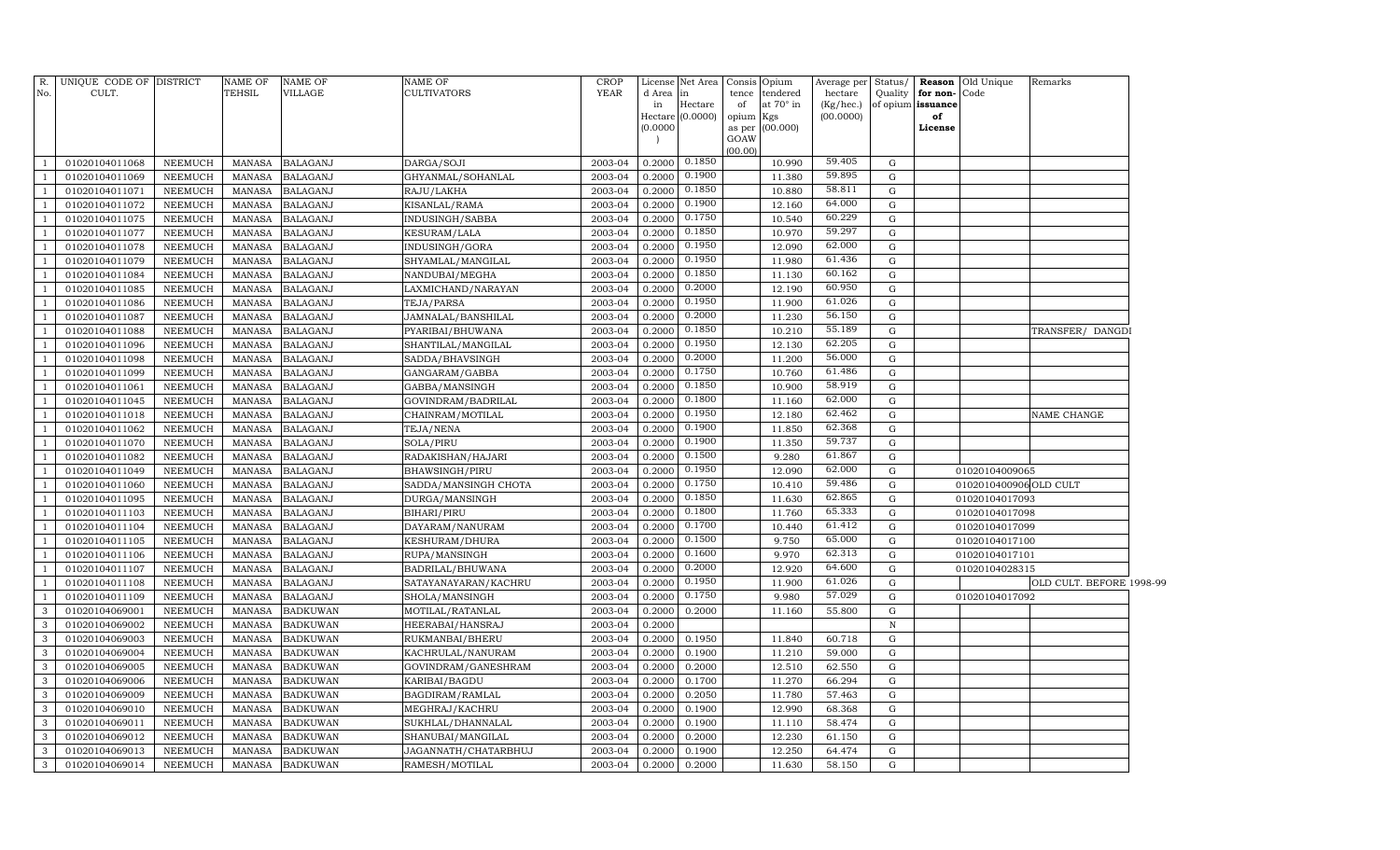| $R$ .             | UNIQUE CODE OF DISTRICT          |                                  | <b>NAME OF</b>   | <b>NAME OF</b>                     | NAME OF                              | <b>CROP</b>        | License          | Net Area Consis  |             | Opium                        | Average per          | Status/                    |                               | <b>Reason</b> Old Unique | Remarks                  |  |
|-------------------|----------------------------------|----------------------------------|------------------|------------------------------------|--------------------------------------|--------------------|------------------|------------------|-------------|------------------------------|----------------------|----------------------------|-------------------------------|--------------------------|--------------------------|--|
| No.               | CULT.                            |                                  | TEHSIL           | <b>VILLAGE</b>                     | CULTIVATORS                          | YEAR               | d Area<br>in     | in<br>Hectare    | tence<br>of | tendered<br>at $70^\circ$ in | hectare<br>(Kg/hec.) | Quality                    | for non-<br>of opium issuance | Code                     |                          |  |
|                   |                                  |                                  |                  |                                    |                                      |                    |                  | Hectare (0.0000) | opium       | Kgs                          | (00.0000)            |                            | of                            |                          |                          |  |
|                   |                                  |                                  |                  |                                    |                                      |                    | (0.0000)         |                  |             | as per (00.000)              |                      |                            | License                       |                          |                          |  |
|                   |                                  |                                  |                  |                                    |                                      |                    |                  |                  | GOAW        |                              |                      |                            |                               |                          |                          |  |
| $\overline{1}$    | 01020104011068                   | NEEMUCH                          | MANASA           | <b>BALAGANJ</b>                    | DARGA/SOJI                           | 2003-04            | 0.2000           | 0.1850           | (00.00)     | 10.990                       | 59.405               | G                          |                               |                          |                          |  |
| -1                | 01020104011069                   | NEEMUCH                          | MANASA           | <b>BALAGANJ</b>                    | GHYANMAL/SOHANLAL                    | 2003-04            | 0.2000           | 0.1900           |             | 11.380                       | 59.895               | $\mathbf G$                |                               |                          |                          |  |
| -1                | 01020104011071                   | <b>NEEMUCH</b>                   | MANASA           | <b>BALAGANJ</b>                    | RAJU/LAKHA                           | 2003-04            | 0.2000           | 0.1850           |             | 10.880                       | 58.811               | $\mathbf G$                |                               |                          |                          |  |
| -1                | 01020104011072                   | <b>NEEMUCH</b>                   | <b>MANASA</b>    | <b>BALAGANJ</b>                    | KISANLAL/RAMA                        | 2003-04            | 0.2000           | 0.1900           |             | 12.160                       | 64.000               | $\mathbf G$                |                               |                          |                          |  |
| $\overline{1}$    | 01020104011075                   | <b>NEEMUCH</b>                   | <b>MANASA</b>    | <b>BALAGANJ</b>                    | INDUSINGH/SABBA                      | 2003-04            | 0.2000           | 0.1750           |             | 10.540                       | 60.229               | $\mathbf G$                |                               |                          |                          |  |
| $\mathbf{1}$      | 01020104011077                   | <b>NEEMUCH</b>                   | MANASA           | <b>BALAGANJ</b>                    | <b>KESURAM/LALA</b>                  | 2003-04            | 0.2000           | 0.1850           |             | 10.970                       | 59.297               | G                          |                               |                          |                          |  |
| $\mathbf{1}$      | 01020104011078                   | <b>NEEMUCH</b>                   | <b>MANASA</b>    | <b>BALAGANJ</b>                    | INDUSINGH/GORA                       | 2003-04            | 0.2000           | 0.1950           |             | 12.090                       | 62.000               | $\mathbf G$                |                               |                          |                          |  |
| -1                | 01020104011079                   | NEEMUCH                          | MANASA           | <b>BALAGANJ</b>                    | SHYAMLAL/MANGILAL                    | 2003-04            | 0.2000           | 0.1950           |             | 11.980                       | 61.436               | $\mathbf G$                |                               |                          |                          |  |
|                   | 01020104011084                   | NEEMUCH                          | MANASA           | <b>BALAGANJ</b>                    | NANDUBAI/MEGHA                       | 2003-04            | 0.2000           | 0.1850           |             | 11.130                       | 60.162               | $\mathbf G$                |                               |                          |                          |  |
|                   | 01020104011085                   | NEEMUCH                          | MANASA           | <b>BALAGANJ</b>                    | LAXMICHAND/NARAYAN                   | 2003-04            | 0.2000           | 0.2000           |             | 12.190                       | 60.950               | $\mathbf G$                |                               |                          |                          |  |
|                   | 01020104011086                   | <b>NEEMUCH</b>                   | MANASA           | <b>BALAGANJ</b>                    | TEJA/PARSA                           | 2003-04            | 0.2000           | 0.1950           |             | 11.900                       | 61.026               | $\mathbf G$                |                               |                          |                          |  |
|                   | 01020104011087                   | NEEMUCH                          | MANASA           | <b>BALAGANJ</b>                    | JAMNALAL/BANSHILAL                   | 2003-04            | 0.2000           | 0.2000           |             | 11.230                       | 56.150               | $\mathbf G$                |                               |                          |                          |  |
|                   | 01020104011088                   | NEEMUCH                          | MANASA           | <b>BALAGANJ</b>                    | PYARIBAI/BHUWANA                     | 2003-04            | 0.2000           | 0.1850           |             | 10.210                       | 55.189               | $\mathbf G$                |                               |                          | TRANSFER/ DANGD)         |  |
|                   | 01020104011096                   | NEEMUCH                          | MANASA           | <b>BALAGANJ</b>                    | SHANTILAL/MANGILAL                   | 2003-04            | 0.2000           | 0.1950           |             | 12.130                       | 62.205               | $\mathbf G$                |                               |                          |                          |  |
|                   | 01020104011098                   | NEEMUCH                          | MANASA           | <b>BALAGANJ</b>                    | SADDA/BHAVSINGH                      | 2003-04            | 0.2000           | 0.2000           |             | 11.200                       | 56.000               | $\mathbf G$                |                               |                          |                          |  |
| $\overline{1}$    | 01020104011099                   | NEEMUCH                          | MANASA           | <b>BALAGANJ</b>                    | GANGARAM/GABBA                       | 2003-04            | 0.2000           | 0.1750           |             | 10.760                       | 61.486               | $\mathbf G$                |                               |                          |                          |  |
|                   | 01020104011061                   | NEEMUCH                          | MANASA           | <b>BALAGANJ</b>                    | GABBA/MANSINGH                       | 2003-04            | 0.2000           | 0.1850           |             | 10.900                       | 58.919               | G                          |                               |                          |                          |  |
|                   | 01020104011045                   | NEEMUCH                          | <b>MANASA</b>    | <b>BALAGANJ</b>                    | GOVINDRAM/BADRILAL                   | 2003-04            | 0.2000           | 0.1800           |             | 11.160                       | 62.000               | G                          |                               |                          |                          |  |
|                   | 01020104011018                   | NEEMUCH                          | MANASA           | <b>BALAGANJ</b>                    | CHAINRAM/MOTILAL                     | 2003-04            | 0.2000           | 0.1950           |             | 12.180                       | 62.462               | ${\rm G}$                  |                               |                          | NAME CHANGE              |  |
|                   | 01020104011062                   | NEEMUCH                          | MANASA           | <b>BALAGANJ</b>                    | TEJA/NENA                            | 2003-04            | 0.2000           | 0.1900           |             | 11.850                       | 62.368               | G                          |                               |                          |                          |  |
|                   | 01020104011070                   | <b>NEEMUCH</b>                   | MANASA           | <b>BALAGANJ</b>                    | SOLA/PIRU                            | 2003-04            | 0.2000           | 0.1900           |             | 11.350                       | 59.737               | $\mathbf G$                |                               |                          |                          |  |
|                   | 01020104011082                   | <b>NEEMUCH</b>                   | MANASA           | <b>BALAGANJ</b>                    | RADAKISHAN/HAJARI                    | 2003-04            | 0.2000           | 0.1500           |             | 9.280                        | 61.867               | $\mathbf G$                |                               |                          |                          |  |
|                   | 01020104011049                   | <b>NEEMUCH</b>                   | MANASA           | <b>BALAGANJ</b>                    | BHAWSINGH/PIRU                       | 2003-04            | 0.2000           | 0.1950           |             | 12.090                       | 62.000               | G                          |                               | 01020104009065           |                          |  |
|                   | 01020104011060                   | <b>NEEMUCH</b>                   | <b>MANASA</b>    | <b>BALAGANJ</b>                    | SADDA/MANSINGH CHOTA                 | 2003-04            | 0.2000           | 0.1750           |             | 10.410                       | 59.486               | $\mathbf G$                |                               | 0102010400906 OLD CULT   |                          |  |
|                   | 01020104011095                   | NEEMUCH                          | <b>MANASA</b>    | <b>BALAGANJ</b>                    | DURGA/MANSINGH                       | 2003-04            | 0.2000           | 0.1850           |             | 11.630                       | 62.865               | $\mathbf G$                |                               | 01020104017093           |                          |  |
|                   | 01020104011103                   | <b>NEEMUCH</b>                   | <b>MANASA</b>    | <b>BALAGANJ</b>                    | BIHARI/PIRU                          | 2003-04            | 0.2000           | 0.1800           |             | 11.760                       | 65.333               | $\mathbf G$                |                               | 01020104017098           |                          |  |
|                   | 01020104011104                   | NEEMUCH                          | MANASA           | <b>BALAGANJ</b>                    | DAYARAM / NANURAM                    | 2003-04            | 0.2000           | 0.1700           |             | 10.440                       | 61.412               | $\mathbf G$                |                               | 01020104017099           |                          |  |
|                   | 01020104011105                   | <b>NEEMUCH</b>                   | <b>MANASA</b>    | <b>BALAGANJ</b>                    | KESHURAM/DHURA                       | 2003-04            | 0.2000           | 0.1500           |             | 9.750                        | 65.000               | $\mathbf G$                |                               | 01020104017100           |                          |  |
|                   | 01020104011106                   | <b>NEEMUCH</b>                   | MANASA           | <b>BALAGANJ</b>                    | RUPA/MANSINGH                        | 2003-04            | 0.2000           | 0.1600           |             | 9.970                        | 62.313               | $\mathbf G$                |                               | 01020104017101           |                          |  |
|                   | 01020104011107                   | <b>NEEMUCH</b>                   | <b>MANASA</b>    | <b>BALAGANJ</b>                    | BADRILAL/BHUWANA                     | 2003-04            | 0.2000           | 0.2000           |             | 12.920                       | 64.600               | $\mathbf G$                |                               | 01020104028315           |                          |  |
|                   | 01020104011108                   | <b>NEEMUCH</b>                   | MANASA           | <b>BALAGANJ</b>                    | SATAYANAYARAN/KACHRU                 | 2003-04            | 0.2000           | 0.1950           |             | 11.900                       | 61.026               | $\mathbf G$                |                               |                          | OLD CULT. BEFORE 1998-99 |  |
|                   | 01020104011109                   | <b>NEEMUCH</b>                   | <b>MANASA</b>    | <b>BALAGANJ</b>                    | SHOLA/MANSINGH                       | 2003-04            | 0.2000           | 0.1750           |             | 9.980                        | 57.029               | $\mathbf G$                |                               | 01020104017092           |                          |  |
| 3                 | 01020104069001                   | <b>NEEMUCH</b>                   | <b>MANASA</b>    | <b>BADKUWAN</b>                    | MOTILAL/RATANLAL                     | 2003-04            | 0.2000           | 0.2000           |             | 11.160                       | 55.800               | $\mathbf G$<br>$\,$ N      |                               |                          |                          |  |
| 3<br>3            | 01020104069002                   | <b>NEEMUCH</b>                   | <b>MANASA</b>    | <b>BADKUWAN</b>                    | HEERABAI/HANSRAJ                     | 2003-04            | 0.2000           |                  |             |                              |                      |                            |                               |                          |                          |  |
|                   | 01020104069003                   | <b>NEEMUCH</b>                   | MANASA           | <b>BADKUWAN</b>                    | RUKMANBAI/BHERU                      | 2003-04            | 0.2000           | 0.1950           |             | 11.840<br>11.210             | 60.718               | $\mathbf G$<br>$\mathbf G$ |                               |                          |                          |  |
| $\mathbf{3}$<br>3 | 01020104069004                   | <b>NEEMUCH</b>                   | MANASA           | <b>BADKUWAN</b>                    | KACHRULAL/NANURAM                    | 2003-04            | 0.2000           | 0.1900           |             |                              | 59.000               |                            |                               |                          |                          |  |
| 3                 | 01020104069005<br>01020104069006 | <b>NEEMUCH</b><br><b>NEEMUCH</b> | MANASA<br>MANASA | <b>BADKUWAN</b><br><b>BADKUWAN</b> | GOVINDRAM/GANESHRAM<br>KARIBAI/BAGDU | 2003-04<br>2003-04 | 0.2000<br>0.2000 | 0.2000<br>0.1700 |             | 12.510<br>11.270             | 62.550<br>66.294     | $\mathbf G$<br>$\mathbf G$ |                               |                          |                          |  |
| 3                 | 01020104069009                   | NEEMUCH                          | <b>MANASA</b>    | <b>BADKUWAN</b>                    | BAGDIRAM/RAMLAL                      | 2003-04            | 0.2000           | 0.2050           |             | 11.780                       | 57.463               | G                          |                               |                          |                          |  |
| 3                 | 01020104069010                   | <b>NEEMUCH</b>                   | <b>MANASA</b>    | <b>BADKUWAN</b>                    | MEGHRAJ/KACHRU                       | 2003-04            | 0.2000           | 0.1900           |             | 12.990                       | 68.368               | G                          |                               |                          |                          |  |
| 3                 | 01020104069011                   | NEEMUCH                          | <b>MANASA</b>    | <b>BADKUWAN</b>                    | SUKHLAL/DHANNALAL                    | 2003-04            | 0.2000           | 0.1900           |             | 11.110                       | 58.474               | $\mathbf G$                |                               |                          |                          |  |
| 3                 | 01020104069012                   | <b>NEEMUCH</b>                   | <b>MANASA</b>    | <b>BADKUWAN</b>                    | SHANUBAI/MANGILAL                    | 2003-04            | 0.2000           | 0.2000           |             | 12.230                       | 61.150               | $\mathbf G$                |                               |                          |                          |  |
| $\mathbf{3}$      | 01020104069013                   | <b>NEEMUCH</b>                   | <b>MANASA</b>    | <b>BADKUWAN</b>                    | JAGANNATH/CHATARBHUJ                 | 2003-04            | 0.2000           | 0.1900           |             | 12.250                       | 64.474               | $\mathbf G$                |                               |                          |                          |  |
| $\mathbf{3}$      | 01020104069014                   | <b>NEEMUCH</b>                   | MANASA           | <b>BADKUWAN</b>                    | RAMESH/MOTILAL                       | 2003-04            | 0.2000           | 0.2000           |             | 11.630                       | 58.150               | G                          |                               |                          |                          |  |
|                   |                                  |                                  |                  |                                    |                                      |                    |                  |                  |             |                              |                      |                            |                               |                          |                          |  |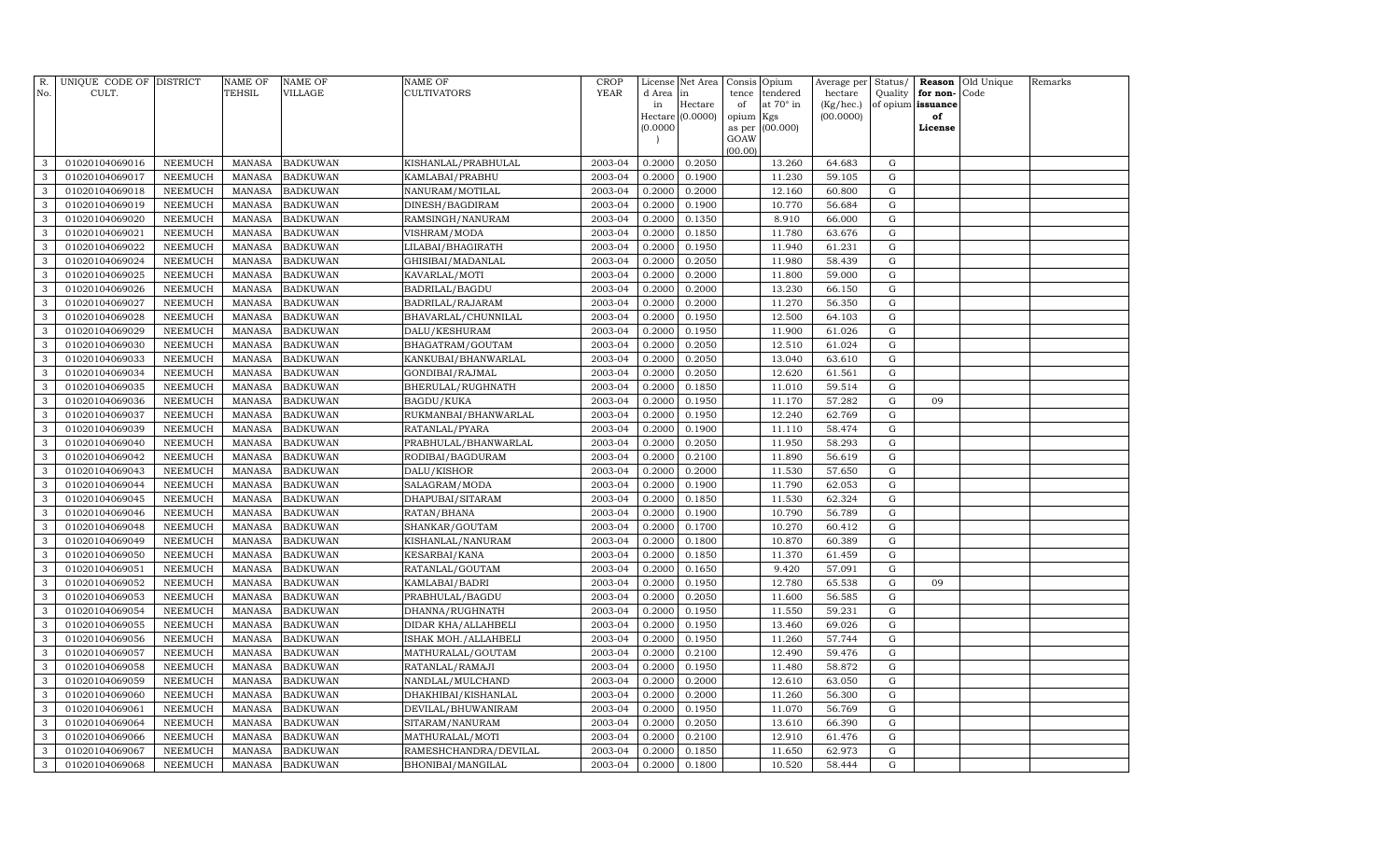| R.<br>No.    | UNIQUE CODE OF DISTRICT<br>CULT. |                | NAME OF<br><b>TEHSIL</b> | <b>NAME OF</b><br>VILLAGE | <b>NAME OF</b><br><b>CULTIVATORS</b> | CROP<br><b>YEAR</b> | License<br>d Area                    | Net Area<br>in   | Consis<br>tence | Opium<br>tendered | Average per<br>hectare | Status/<br>Quality | for non-          | <b>Reason</b> Old Unique<br>Code | Remarks |
|--------------|----------------------------------|----------------|--------------------------|---------------------------|--------------------------------------|---------------------|--------------------------------------|------------------|-----------------|-------------------|------------------------|--------------------|-------------------|----------------------------------|---------|
|              |                                  |                |                          |                           |                                      |                     | in                                   | Hectare          | of              | at 70° in         | (Kg/hec.)              |                    | of opium issuance |                                  |         |
|              |                                  |                |                          |                           |                                      |                     |                                      | Hectare (0.0000) | opium           | Kgs               | (00.0000)              |                    | of                |                                  |         |
|              |                                  |                |                          |                           |                                      |                     | (0.0000)<br>$\overline{\phantom{a}}$ |                  | as per<br>GOAW  | (00.000)          |                        |                    | License           |                                  |         |
|              |                                  |                |                          |                           |                                      |                     |                                      |                  | (00.00)         |                   |                        |                    |                   |                                  |         |
| 3            | 01020104069016                   | NEEMUCH        | <b>MANASA</b>            | <b>BADKUWAN</b>           | KISHANLAL/PRABHULAL                  | 2003-04             | 0.2000                               | 0.2050           |                 | 13.260            | 64.683                 | G                  |                   |                                  |         |
| 3            | 01020104069017                   | <b>NEEMUCH</b> | <b>MANASA</b>            | <b>BADKUWAN</b>           | KAMLABAI/PRABHU                      | 2003-04             | 0.2000                               | 0.1900           |                 | 11.230            | 59.105                 | G                  |                   |                                  |         |
| $\mathbf{3}$ | 01020104069018                   | <b>NEEMUCH</b> | <b>MANASA</b>            | <b>BADKUWAN</b>           | NANURAM/MOTILAL                      | 2003-04             | 0.2000                               | 0.2000           |                 | 12.160            | 60.800                 | G                  |                   |                                  |         |
| 3            | 01020104069019                   | <b>NEEMUCH</b> | <b>MANASA</b>            | <b>BADKUWAN</b>           | DINESH/BAGDIRAM                      | 2003-04             | 0.2000                               | 0.1900           |                 | 10.770            | 56.684                 | G                  |                   |                                  |         |
| 3            | 01020104069020                   | <b>NEEMUCH</b> | <b>MANASA</b>            | <b>BADKUWAN</b>           | RAMSINGH/NANURAM                     | 2003-04             | 0.2000                               | 0.1350           |                 | 8.910             | 66.000                 | G                  |                   |                                  |         |
| 3            | 01020104069021                   | <b>NEEMUCH</b> | <b>MANASA</b>            | <b>BADKUWAN</b>           | VISHRAM/MODA                         | 2003-04             | 0.2000                               | 0.1850           |                 | 11.780            | 63.676                 | G                  |                   |                                  |         |
| 3            | 01020104069022                   | <b>NEEMUCH</b> | <b>MANASA</b>            | <b>BADKUWAN</b>           | LILABAI/BHAGIRATH                    | 2003-04             | 0.2000                               | 0.1950           |                 | 11.940            | 61.231                 | G                  |                   |                                  |         |
| 3            | 01020104069024                   | <b>NEEMUCH</b> | <b>MANASA</b>            | <b>BADKUWAN</b>           | GHISIBAI/MADANLAL                    | 2003-04             | 0.2000                               | 0.2050           |                 | 11.980            | 58.439                 | G                  |                   |                                  |         |
| 3            | 01020104069025                   | <b>NEEMUCH</b> | <b>MANASA</b>            | <b>BADKUWAN</b>           | KAVARLAL/MOTI                        | 2003-04             | 0.2000                               | 0.2000           |                 | 11.800            | 59.000                 | G                  |                   |                                  |         |
| 3            | 01020104069026                   | <b>NEEMUCH</b> | <b>MANASA</b>            | <b>BADKUWAN</b>           | <b>BADRILAL/BAGDU</b>                | 2003-04             | 0.2000                               | 0.2000           |                 | 13.230            | 66.150                 | G                  |                   |                                  |         |
| 3            | 01020104069027                   | <b>NEEMUCH</b> | <b>MANASA</b>            | <b>BADKUWAN</b>           | BADRILAL/RAJARAM                     | 2003-04             | 0.2000                               | 0.2000           |                 | 11.270            | 56.350                 | $\mathbf G$        |                   |                                  |         |
| 3            | 01020104069028                   | <b>NEEMUCH</b> | <b>MANASA</b>            | <b>BADKUWAN</b>           | BHAVARLAL/CHUNNILAL                  | 2003-04             | 0.2000                               | 0.1950           |                 | 12.500            | 64.103                 | G                  |                   |                                  |         |
| 3            | 01020104069029                   | <b>NEEMUCH</b> | <b>MANASA</b>            | <b>BADKUWAN</b>           | DALU/KESHURAM                        | 2003-04             | 0.2000                               | 0.1950           |                 | 11.900            | 61.026                 | G                  |                   |                                  |         |
| 3            | 01020104069030                   | <b>NEEMUCH</b> | <b>MANASA</b>            | <b>BADKUWAN</b>           | BHAGATRAM/GOUTAM                     | 2003-04             | 0.2000                               | 0.2050           |                 | 12.510            | 61.024                 | G                  |                   |                                  |         |
| 3            | 01020104069033                   | <b>NEEMUCH</b> | <b>MANASA</b>            | <b>BADKUWAN</b>           | KANKUBAI/BHANWARLAL                  | 2003-04             | 0.2000                               | 0.2050           |                 | 13.040            | 63.610                 | $\mathbf G$        |                   |                                  |         |
| 3            | 01020104069034                   | <b>NEEMUCH</b> | <b>MANASA</b>            | <b>BADKUWAN</b>           | GONDIBAI/RAJMAL                      | 2003-04             | 0.2000                               | 0.2050           |                 | 12.620            | 61.561                 | G                  |                   |                                  |         |
| 3            | 01020104069035                   | <b>NEEMUCH</b> | <b>MANASA</b>            | <b>BADKUWAN</b>           | BHERULAL/RUGHNATH                    | 2003-04             | 0.2000                               | 0.1850           |                 | 11.010            | 59.514                 | G                  |                   |                                  |         |
| 3            | 01020104069036                   | <b>NEEMUCH</b> | <b>MANASA</b>            | <b>BADKUWAN</b>           | <b>BAGDU/KUKA</b>                    | 2003-04             | 0.2000                               | 0.1950           |                 | 11.170            | 57.282                 | G                  | 09                |                                  |         |
| 3            | 01020104069037                   | <b>NEEMUCH</b> | <b>MANASA</b>            | <b>BADKUWAN</b>           | RUKMANBAI/BHANWARLAL                 | 2003-04             | 0.2000                               | 0.1950           |                 | 12.240            | 62.769                 | G                  |                   |                                  |         |
| 3            | 01020104069039                   | <b>NEEMUCH</b> | <b>MANASA</b>            | <b>BADKUWAN</b>           | RATANLAL/PYARA                       | 2003-04             | 0.2000                               | 0.1900           |                 | 11.110            | 58.474                 | G                  |                   |                                  |         |
| 3            | 01020104069040                   | NEEMUCH        | <b>MANASA</b>            | <b>BADKUWAN</b>           | PRABHULAL/BHANWARLAL                 | 2003-04             | 0.2000                               | 0.2050           |                 | 11.950            | 58.293                 | G                  |                   |                                  |         |
| 3            | 01020104069042                   | <b>NEEMUCH</b> | MANASA                   | <b>BADKUWAN</b>           | RODIBAI/BAGDURAM                     | 2003-04             | 0.2000                               | 0.2100           |                 | 11.890            | 56.619                 | G                  |                   |                                  |         |
| 3            | 01020104069043                   | NEEMUCH        | <b>MANASA</b>            | <b>BADKUWAN</b>           | DALU/KISHOR                          | 2003-04             | 0.2000                               | 0.2000           |                 | 11.530            | 57.650                 | G                  |                   |                                  |         |
| 3            | 01020104069044                   | <b>NEEMUCH</b> | <b>MANASA</b>            | <b>BADKUWAN</b>           | SALAGRAM/MODA                        | 2003-04             | 0.2000                               | 0.1900           |                 | 11.790            | 62.053                 | G                  |                   |                                  |         |
| 3            | 01020104069045                   | <b>NEEMUCH</b> | <b>MANASA</b>            | <b>BADKUWAN</b>           | DHAPUBAI/SITARAM                     | 2003-04             | 0.2000                               | 0.1850           |                 | 11.530            | 62.324                 | G                  |                   |                                  |         |
| 3            | 01020104069046                   | <b>NEEMUCH</b> | <b>MANASA</b>            | <b>BADKUWAN</b>           | RATAN/BHANA                          | 2003-04             | 0.2000                               | 0.1900           |                 | 10.790            | 56.789                 | G                  |                   |                                  |         |
| 3            | 01020104069048                   | <b>NEEMUCH</b> | <b>MANASA</b>            | <b>BADKUWAN</b>           | SHANKAR/GOUTAM                       | 2003-04             | 0.2000                               | 0.1700           |                 | 10.270            | 60.412                 | G                  |                   |                                  |         |
| 3            | 01020104069049                   | <b>NEEMUCH</b> | <b>MANASA</b>            | <b>BADKUWAN</b>           | KISHANLAL/NANURAM                    | 2003-04             | 0.2000                               | 0.1800           |                 | 10.870            | 60.389                 | G                  |                   |                                  |         |
| 3            | 01020104069050                   | <b>NEEMUCH</b> | <b>MANASA</b>            | <b>BADKUWAN</b>           | KESARBAI/KANA                        | 2003-04             | 0.2000                               | 0.1850           |                 | 11.370            | 61.459                 | G                  |                   |                                  |         |
| 3            | 01020104069051                   | <b>NEEMUCH</b> | <b>MANASA</b>            | <b>BADKUWAN</b>           | RATANLAL/GOUTAM                      | 2003-04             | 0.2000                               | 0.1650           |                 | 9.420             | 57.091                 | G                  |                   |                                  |         |
| 3            | 01020104069052                   | <b>NEEMUCH</b> | <b>MANASA</b>            | <b>BADKUWAN</b>           | KAMLABAI/BADRI                       | 2003-04             | 0.2000                               | 0.1950           |                 | 12.780            | 65.538                 | G                  | 09                |                                  |         |
| 3            | 01020104069053                   | <b>NEEMUCH</b> | <b>MANASA</b>            | <b>BADKUWAN</b>           | PRABHULAL/BAGDU                      | 2003-04             | 0.2000                               | 0.2050           |                 | 11.600            | 56.585                 | G                  |                   |                                  |         |
| 3            | 01020104069054                   | <b>NEEMUCH</b> | <b>MANASA</b>            | <b>BADKUWAN</b>           | DHANNA/RUGHNATH                      | 2003-04             | 0.2000                               | 0.1950           |                 | 11.550            | 59.231                 | G                  |                   |                                  |         |
| 3            | 01020104069055                   | <b>NEEMUCH</b> | <b>MANASA</b>            | <b>BADKUWAN</b>           | DIDAR KHA/ALLAHBELI                  | 2003-04             | 0.2000                               | 0.1950           |                 | 13.460            | 69.026                 | G                  |                   |                                  |         |
| 3            | 01020104069056                   | <b>NEEMUCH</b> | <b>MANASA</b>            | <b>BADKUWAN</b>           | ISHAK MOH./ALLAHBELI                 | 2003-04             | 0.2000                               | 0.1950           |                 | 11.260            | 57.744                 | G                  |                   |                                  |         |
| 3            | 01020104069057                   | <b>NEEMUCH</b> | <b>MANASA</b>            | <b>BADKUWAN</b>           | MATHURALAL/GOUTAM                    | 2003-04             | 0.2000                               | 0.2100           |                 | 12.490            | 59.476                 | G                  |                   |                                  |         |
| 3            | 01020104069058                   | <b>NEEMUCH</b> | <b>MANASA</b>            | <b>BADKUWAN</b>           | RATANLAL/RAMAJI                      | 2003-04             | 0.2000                               | 0.1950           |                 | 11.480            | 58.872                 | G                  |                   |                                  |         |
| 3            | 01020104069059                   | <b>NEEMUCH</b> | <b>MANASA</b>            | <b>BADKUWAN</b>           | NANDLAL/MULCHAND                     | 2003-04             | 0.2000                               | 0.2000           |                 | 12.610            | 63.050                 | G                  |                   |                                  |         |
| 3            | 01020104069060                   | NEEMUCH        | <b>MANASA</b>            | <b>BADKUWAN</b>           | DHAKHIBAI/KISHANLAL                  | 2003-04             | 0.2000                               | 0.2000           |                 | 11.260            | 56.300                 | G                  |                   |                                  |         |
| 3            | 01020104069061                   | <b>NEEMUCH</b> | <b>MANASA</b>            | <b>BADKUWAN</b>           | DEVILAL/BHUWANIRAM                   | 2003-04             | 0.2000                               | 0.1950           |                 | 11.070            | 56.769                 | G                  |                   |                                  |         |
| 3            | 01020104069064                   | <b>NEEMUCH</b> | <b>MANASA</b>            | <b>BADKUWAN</b>           | SITARAM/NANURAM                      | 2003-04             | 0.2000                               | 0.2050           |                 | 13.610            | 66.390                 | $\mathbf G$        |                   |                                  |         |
| 3            | 01020104069066                   | <b>NEEMUCH</b> | <b>MANASA</b>            | <b>BADKUWAN</b>           | MATHURALAL/MOTI                      | 2003-04             | 0.2000                               | 0.2100           |                 | 12.910            | 61.476                 | G                  |                   |                                  |         |
| 3            | 01020104069067                   | <b>NEEMUCH</b> | <b>MANASA</b>            | <b>BADKUWAN</b>           | RAMESHCHANDRA/DEVILAL                | 2003-04             | 0.2000                               | 0.1850           |                 | 11.650            | 62.973                 | G                  |                   |                                  |         |
| $\mathbf{3}$ | 01020104069068                   | NEEMUCH        | MANASA                   | <b>BADKUWAN</b>           | BHONIBAI/MANGILAL                    | 2003-04             | 0.2000                               | 0.1800           |                 | 10.520            | 58.444                 | $\mathbf G$        |                   |                                  |         |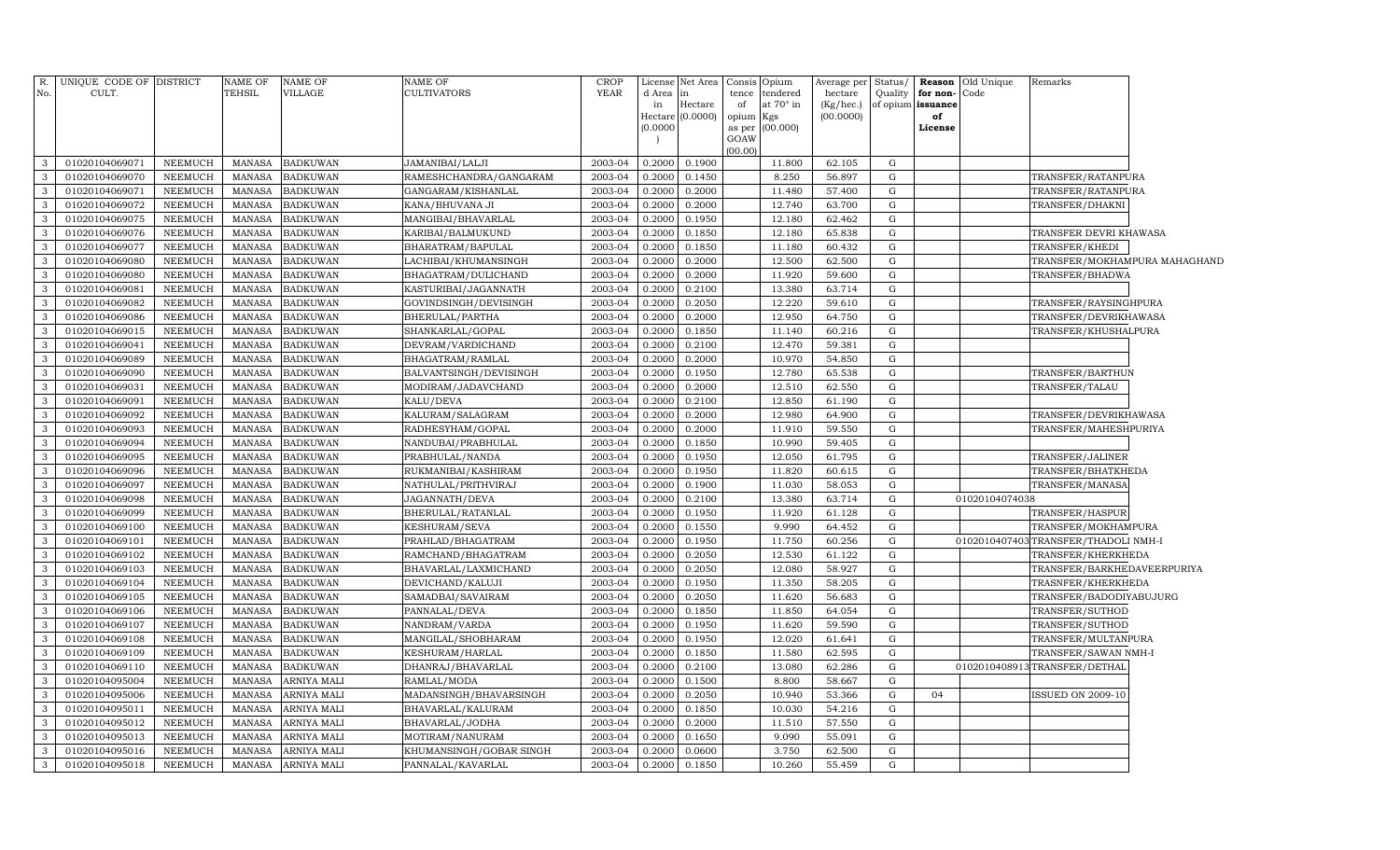| R.           | UNIQUE CODE OF DISTRICT |                | <b>NAME OF</b> | NAME OF            | NAME OF                 | <b>CROP</b> | License             | Net Area | Consis  | Opium                  | Average per | <b>Status</b> | Reason        | Old Unique     | Remarks                              |  |
|--------------|-------------------------|----------------|----------------|--------------------|-------------------------|-------------|---------------------|----------|---------|------------------------|-------------|---------------|---------------|----------------|--------------------------------------|--|
| No.          | CULT.                   |                | TEHSIL         | <b>VILLAGE</b>     | <b>CULTIVATORS</b>      | <b>YEAR</b> | d Area              | in       | tence   | tendered               | hectare     | Quality       | for non-      | Code           |                                      |  |
|              |                         |                |                |                    |                         |             | in                  | Hectare  | of      | at 70° in              | (Kg/hec.)   | of opium      | issuance      |                |                                      |  |
|              |                         |                |                |                    |                         |             | Hectare<br>(0.0000) | (0.0000) | opium   | Kgs<br>as per (00.000) | (00.0000)   |               | of<br>License |                |                                      |  |
|              |                         |                |                |                    |                         |             |                     |          | GOAW    |                        |             |               |               |                |                                      |  |
|              |                         |                |                |                    |                         |             |                     |          | (00.00) |                        |             |               |               |                |                                      |  |
| 3            | 01020104069071          | NEEMUCH        | <b>MANASA</b>  | <b>BADKUWAN</b>    | JAMANIBAI/LALJI         | 2003-04     | 0.2000              | 0.1900   |         | 11.800                 | 62.105      | G             |               |                |                                      |  |
| $\mathbf{3}$ | 01020104069070          | NEEMUCH        | <b>MANASA</b>  | <b>BADKUWAN</b>    | RAMESHCHANDRA/GANGARAM  | 2003-04     | 0.2000              | 0.1450   |         | 8.250                  | 56.897      | G             |               |                | TRANSFER/RATANPURA                   |  |
| 3            | 01020104069071          | <b>NEEMUCH</b> | <b>MANASA</b>  | <b>BADKUWAN</b>    | GANGARAM/KISHANLAL      | 2003-04     | 0.2000              | 0.2000   |         | 11.480                 | 57.400      | G             |               |                | TRANSFER/RATANPURA                   |  |
| 3            | 01020104069072          | <b>NEEMUCH</b> | <b>MANASA</b>  | <b>BADKUWAN</b>    | KANA/BHUVANA JI         | 2003-04     | 0.2000              | 0.2000   |         | 12.740                 | 63.700      | G             |               |                | TRANSFER/DHAKNI                      |  |
| 3            | 01020104069075          | <b>NEEMUCH</b> | <b>MANASA</b>  | <b>BADKUWAN</b>    | MANGIBAI/BHAVARLAL      | 2003-04     | 0.2000              | 0.1950   |         | 12.180                 | 62.462      | G             |               |                |                                      |  |
| 3            | 01020104069076          | NEEMUCH        | <b>MANASA</b>  | <b>BADKUWAN</b>    | KARIBAI/BALMUKUND       | 2003-04     | 0.2000              | 0.1850   |         | 12.180                 | 65.838      | G             |               |                | TRANSFER DEVRI KHAWASA               |  |
| 3            | 01020104069077          | <b>NEEMUCH</b> | <b>MANASA</b>  | <b>BADKUWAN</b>    | BHARATRAM/BAPULAL       | 2003-04     | 0.2000              | 0.1850   |         | 11.180                 | 60.432      | G             |               |                | TRANSFER/KHEDI                       |  |
| 3            | 01020104069080          | NEEMUCH        | <b>MANASA</b>  | <b>BADKUWAN</b>    | LACHIBAI/KHUMANSINGH    | 2003-04     | 0.2000              | 0.2000   |         | 12.500                 | 62.500      | G             |               |                | TRANSFER/MOKHAMPURA MAHAGHAND        |  |
| $\mathbf{3}$ | 01020104069080          | NEEMUCH        | <b>MANASA</b>  | <b>BADKUWAN</b>    | BHAGATRAM/DULICHAND     | 2003-04     | 0.2000              | 0.2000   |         | 11.920                 | 59.600      | G             |               |                | TRANSFER/BHADWA                      |  |
| 3            | 01020104069081          | NEEMUCH        | <b>MANASA</b>  | <b>BADKUWAN</b>    | KASTURIBAI/JAGANNATH    | 2003-04     | 0.2000              | 0.2100   |         | 13.380                 | 63.714      | G             |               |                |                                      |  |
| 3            | 01020104069082          | NEEMUCH        | <b>MANASA</b>  | <b>BADKUWAN</b>    | GOVINDSINGH/DEVISINGH   | 2003-04     | 0.2000              | 0.2050   |         | 12.220                 | 59.610      | G             |               |                | TRANSFER/RAYSINGHPURA                |  |
| $\mathbf{3}$ | 01020104069086          | <b>NEEMUCH</b> | <b>MANASA</b>  | <b>BADKUWAN</b>    | BHERULAL/PARTHA         | 2003-04     | 0.2000              | 0.2000   |         | 12.950                 | 64.750      | G             |               |                | TRANSFER/DEVRIKHAWASA                |  |
| 3            | 01020104069015          | <b>NEEMUCH</b> | <b>MANASA</b>  | <b>BADKUWAN</b>    | SHANKARLAL/GOPAL        | 2003-04     | 0.2000              | 0.1850   |         | 11.140                 | 60.216      | G             |               |                | TRANSFER/KHUSHALPURA                 |  |
| 3            | 01020104069041          | <b>NEEMUCH</b> | <b>MANASA</b>  | <b>BADKUWAN</b>    | DEVRAM/VARDICHAND       | 2003-04     | 0.2000              | 0.2100   |         | 12.470                 | 59.381      | G             |               |                |                                      |  |
| 3            | 01020104069089          | <b>NEEMUCH</b> | <b>MANASA</b>  | <b>BADKUWAN</b>    | BHAGATRAM/RAMLAL        | 2003-04     | 0.2000              | 0.2000   |         | 10.970                 | 54.850      | G             |               |                |                                      |  |
| 3            | 01020104069090          | NEEMUCH        | <b>MANASA</b>  | <b>BADKUWAN</b>    | BALVANTSINGH/DEVISINGH  | 2003-04     | 0.2000              | 0.1950   |         | 12.780                 | 65.538      | G             |               |                | TRANSFER/BARTHUN                     |  |
| $\mathbf{3}$ | 01020104069031          | <b>NEEMUCH</b> | <b>MANASA</b>  | <b>BADKUWAN</b>    | MODIRAM/JADAVCHAND      | 2003-04     | 0.2000              | 0.2000   |         | 12.510                 | 62.550      | G             |               |                | TRANSFER/TALAU                       |  |
| 3            | 01020104069091          | NEEMUCH        | <b>MANASA</b>  | <b>BADKUWAN</b>    | KALU/DEVA               | 2003-04     | 0.2000              | 0.2100   |         | 12.850                 | 61.190      | G             |               |                |                                      |  |
| $\mathbf{3}$ | 01020104069092          | NEEMUCH        | <b>MANASA</b>  | <b>BADKUWAN</b>    | KALURAM/SALAGRAM        | 2003-04     | 0.2000              | 0.2000   |         | 12.980                 | 64.900      | G             |               |                | TRANSFER/DEVRIKHAWASA                |  |
| 3            | 01020104069093          | NEEMUCH        | <b>MANASA</b>  | <b>BADKUWAN</b>    | RADHESYHAM/GOPAL        | 2003-04     | 0.2000              | 0.2000   |         | 11.910                 | 59.550      | G             |               |                | TRANSFER/MAHESHPURIYA                |  |
| 3            | 01020104069094          | NEEMUCH        | <b>MANASA</b>  | <b>BADKUWAN</b>    | NANDUBAI/PRABHULAL      | 2003-04     | 0.2000              | 0.1850   |         | 10.990                 | 59.405      | G             |               |                |                                      |  |
| 3            | 01020104069095          | <b>NEEMUCH</b> | <b>MANASA</b>  | <b>BADKUWAN</b>    | PRABHULAL/NANDA         | 2003-04     | 0.2000              | 0.1950   |         | 12.050                 | 61.795      | G             |               |                | TRANSFER/JALINER                     |  |
| 3            | 01020104069096          | <b>NEEMUCH</b> | <b>MANASA</b>  | <b>BADKUWAN</b>    | RUKMANIBAI/KASHIRAM     | 2003-04     | 0.2000              | 0.1950   |         | 11.820                 | 60.615      | G             |               |                | TRANSFER/BHATKHEDA                   |  |
| $\mathbf{3}$ | 01020104069097          | <b>NEEMUCH</b> | <b>MANASA</b>  | <b>BADKUWAN</b>    | NATHULAL/PRITHVIRAJ     | 2003-04     | 0.2000              | 0.1900   |         | 11.030                 | 58.053      | G             |               |                | TRANSFER/MANASA                      |  |
| $\mathbf{3}$ | 01020104069098          | <b>NEEMUCH</b> | <b>MANASA</b>  | <b>BADKUWAN</b>    | JAGANNATH/DEVA          | 2003-04     | 0.2000              | 0.2100   |         | 13.380                 | 63.714      | G             |               | 01020104074038 |                                      |  |
| $\mathbf{3}$ | 01020104069099          | NEEMUCH        | <b>MANASA</b>  | <b>BADKUWAN</b>    | BHERULAL/RATANLAL       | 2003-04     | 0.2000              | 0.1950   |         | 11.920                 | 61.128      | G             |               |                | TRANSFER/HASPUR                      |  |
| $\mathbf{3}$ | 01020104069100          | NEEMUCH        | <b>MANASA</b>  | <b>BADKUWAN</b>    | KESHURAM/SEVA           | 2003-04     | 0.2000              | 0.1550   |         | 9.990                  | 64.452      | G             |               |                | TRANSFER/MOKHAMPURA                  |  |
| $\mathbf{3}$ | 01020104069101          | <b>NEEMUCH</b> | <b>MANASA</b>  | <b>BADKUWAN</b>    | PRAHLAD/BHAGATRAM       | 2003-04     | 0.2000              | 0.1950   |         | 11.750                 | 60.256      | G             |               |                | 0102010407403 TRANSFER/THADOLI NMH-I |  |
| 3            | 01020104069102          | <b>NEEMUCH</b> | <b>MANASA</b>  | <b>BADKUWAN</b>    | RAMCHAND/BHAGATRAM      | 2003-04     | 0.2000              | 0.2050   |         | 12.530                 | 61.122      | G             |               |                | TRANSFER/KHERKHEDA                   |  |
| 3            | 01020104069103          | NEEMUCH        | <b>MANASA</b>  | <b>BADKUWAN</b>    | BHAVARLAL/LAXMICHAND    | 2003-04     | 0.2000              | 0.2050   |         | 12.080                 | 58.927      | G             |               |                | TRANSFER/BARKHEDAVEERPURIYA          |  |
| 3            | 01020104069104          | <b>NEEMUCH</b> | <b>MANASA</b>  | <b>BADKUWAN</b>    | DEVICHAND/KALUJI        | 2003-04     | 0.2000              | 0.1950   |         | 11.350                 | 58.205      | G             |               |                | TRASNFER/KHERKHEDA                   |  |
| $\mathbf{3}$ | 01020104069105          | <b>NEEMUCH</b> | <b>MANASA</b>  | <b>BADKUWAN</b>    | SAMADBAI/SAVAIRAM       | 2003-04     | 0.2000              | 0.2050   |         | 11.620                 | 56.683      | G             |               |                | TRANSFER/BADODIYABUJURG              |  |
| 3            | 01020104069106          | <b>NEEMUCH</b> | <b>MANASA</b>  | <b>BADKUWAN</b>    | PANNALAL/DEVA           | 2003-04     | 0.2000              | 0.1850   |         | 11.850                 | 64.054      | G             |               |                | TRANSFER/SUTHOD                      |  |
| $\mathbf{3}$ | 01020104069107          | NEEMUCH        | <b>MANASA</b>  | <b>BADKUWAN</b>    | NANDRAM/VARDA           | 2003-04     | 0.2000              | 0.1950   |         | 11.620                 | 59.590      | G             |               |                | TRANSFER/SUTHOD                      |  |
| 3            | 01020104069108          | <b>NEEMUCH</b> | <b>MANASA</b>  | <b>BADKUWAN</b>    | MANGILAL/SHOBHARAM      | 2003-04     | 0.2000              | 0.1950   |         | 12.020                 | 61.641      | G             |               |                | TRANSFER/MULTANPURA                  |  |
| $\mathbf{3}$ | 01020104069109          | NEEMUCH        | <b>MANASA</b>  | <b>BADKUWAN</b>    | KESHURAM/HARLAL         | 2003-04     | 0.2000              | 0.1850   |         | 11.580                 | 62.595      | G             |               |                | TRANSFER/SAWAN NMH-I                 |  |
| 3            | 01020104069110          | NEEMUCH        | <b>MANASA</b>  | <b>BADKUWAN</b>    | DHANRAJ/BHAVARLAL       | 2003-04     | 0.2000              | 0.2100   |         | 13.080                 | 62.286      | G             |               |                | 0102010408913TRANSFER/DETHAL         |  |
| $\mathbf{3}$ | 01020104095004          | NEEMUCH        | <b>MANASA</b>  | ARNIYA MALI        | RAMLAL/MODA             | 2003-04     | 0.2000              | 0.1500   |         | 8.800                  | 58.667      | G             |               |                |                                      |  |
| 3            | 01020104095006          | <b>NEEMUCH</b> | <b>MANASA</b>  | <b>ARNIYA MALI</b> | MADANSINGH/BHAVARSINGH  | 2003-04     | 0.2000              | 0.2050   |         | 10.940                 | 53.366      | G             | 04            |                | <b>ISSUED ON 2009-10</b>             |  |
| $\mathbf{3}$ | 01020104095011          | <b>NEEMUCH</b> | <b>MANASA</b>  | ARNIYA MALI        | BHAVARLAL/KALURAM       | 2003-04     | 0.2000              | 0.1850   |         | 10.030                 | 54.216      | G             |               |                |                                      |  |
| 3            | 01020104095012          | <b>NEEMUCH</b> | <b>MANASA</b>  | ARNIYA MALI        | BHAVARLAL/JODHA         | 2003-04     | 0.2000              | 0.2000   |         | 11.510                 | 57.550      | G             |               |                |                                      |  |
| $\mathbf{3}$ | 01020104095013          | NEEMUCH        | <b>MANASA</b>  | ARNIYA MALI        | MOTIRAM/NANURAM         | 2003-04     | 0.2000              | 0.1650   |         | 9.090                  | 55.091      | G             |               |                |                                      |  |
| 3            | 01020104095016          | NEEMUCH        | <b>MANASA</b>  | ARNIYA MALI        | KHUMANSINGH/GOBAR SINGH | 2003-04     | 0.2000              | 0.0600   |         | 3.750                  | 62.500      | G             |               |                |                                      |  |
| $\mathbf{3}$ | 01020104095018          | NEEMUCH        | <b>MANASA</b>  | <b>ARNIYA MALI</b> | PANNALAL/KAVARLAL       | 2003-04     | 0.2000              | 0.1850   |         | 10.260                 | 55.459      | G             |               |                |                                      |  |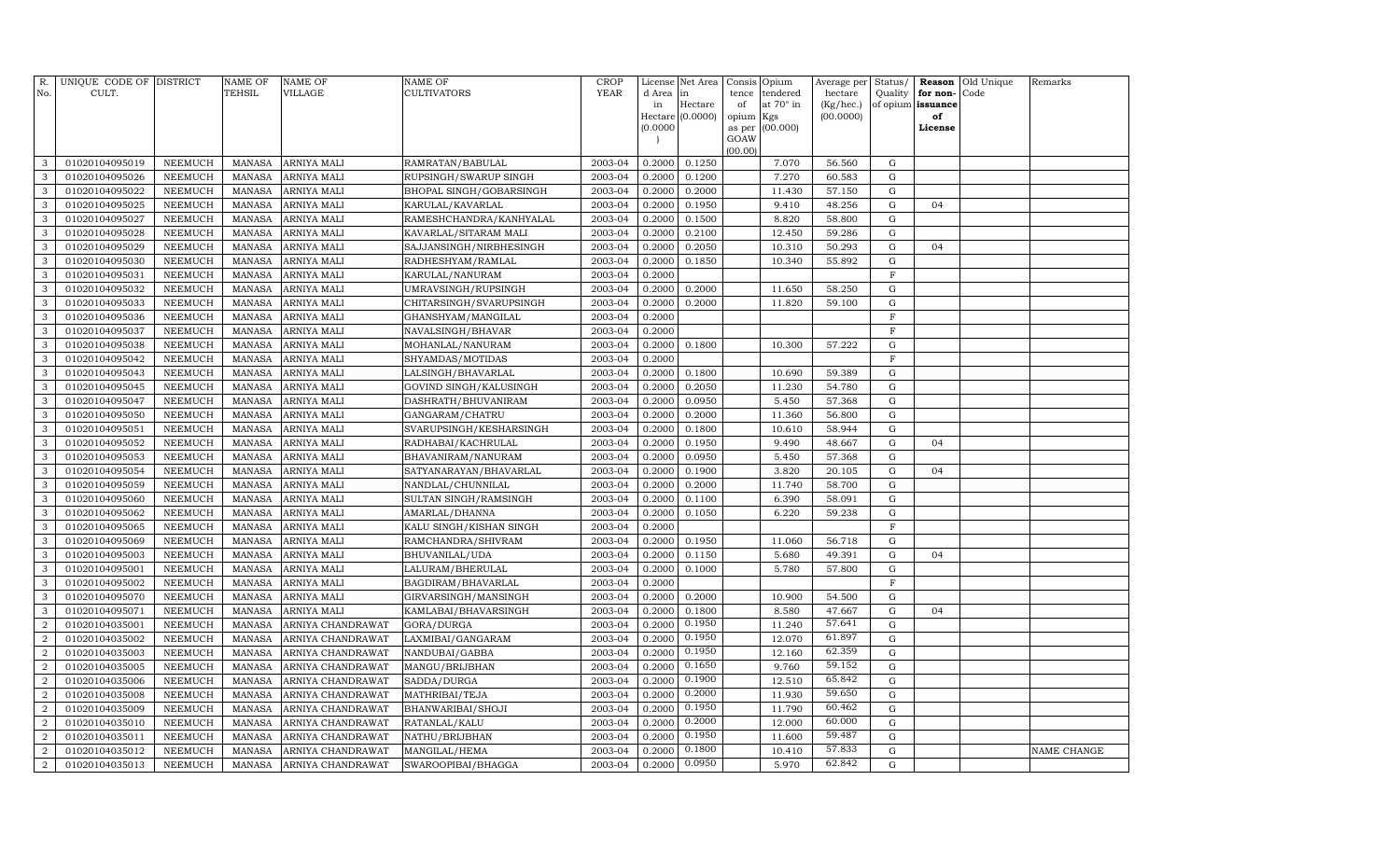| R.<br>No.      | UNIQUE CODE OF DISTRICT<br>CULT. |                | NAME OF<br><b>TEHSIL</b> | <b>NAME OF</b><br>VILLAGE | <b>NAME OF</b><br>CULTIVATORS | CROP<br><b>YEAR</b> | License<br>d Area<br>in | Net Area<br>in<br>Hectare | Consis<br>tence<br>of | Opium<br>tendered<br>at 70° in | Average per<br>hectare<br>(Kg/hec.) | Status/<br>Quality<br>of opium | Reason<br>for non-<br>issuance | Old Unique<br>Code | Remarks     |
|----------------|----------------------------------|----------------|--------------------------|---------------------------|-------------------------------|---------------------|-------------------------|---------------------------|-----------------------|--------------------------------|-------------------------------------|--------------------------------|--------------------------------|--------------------|-------------|
|                |                                  |                |                          |                           |                               |                     |                         | Hectare (0.0000)          | opium                 | Kgs                            | (00.0000)                           |                                | of                             |                    |             |
|                |                                  |                |                          |                           |                               |                     | (0.0000)                |                           | as per                | (00.000)                       |                                     |                                | License                        |                    |             |
|                |                                  |                |                          |                           |                               |                     |                         |                           | GOAW<br>(00.00)       |                                |                                     |                                |                                |                    |             |
| 3              | 01020104095019                   | NEEMUCH        | <b>MANASA</b>            | ARNIYA MALI               | RAMRATAN/BABULAL              | 2003-04             | 0.2000                  | 0.1250                    |                       | 7.070                          | 56.560                              | G                              |                                |                    |             |
| 3              | 01020104095026                   | <b>NEEMUCH</b> | <b>MANASA</b>            | ARNIYA MALI               | RUPSINGH/SWARUP SINGH         | 2003-04             | 0.2000                  | 0.1200                    |                       | 7.270                          | 60.583                              | G                              |                                |                    |             |
| 3              | 01020104095022                   | NEEMUCH        | MANASA                   | ARNIYA MALI               | BHOPAL SINGH/GOBARSINGH       | 2003-04             | 0.2000                  | 0.2000                    |                       | 11.430                         | 57.150                              | G                              |                                |                    |             |
| 3              | 01020104095025                   | NEEMUCH        | <b>MANASA</b>            | ARNIYA MALI               | KARULAL/KAVARLAL              | 2003-04             | 0.2000                  | 0.1950                    |                       | 9.410                          | 48.256                              | G                              | 04                             |                    |             |
| 3              | 01020104095027                   | NEEMUCH        | <b>MANASA</b>            | ARNIYA MALI               | RAMESHCHANDRA/KANHYALAL       | 2003-04             | 0.2000                  | 0.1500                    |                       | 8.820                          | 58.800                              | G                              |                                |                    |             |
| 3              | 01020104095028                   | <b>NEEMUCH</b> | <b>MANASA</b>            | ARNIYA MALI               | KAVARLAL/SITARAM MALI         | 2003-04             | 0.2000                  | 0.2100                    |                       | 12.450                         | 59.286                              | G                              |                                |                    |             |
| 3              | 01020104095029                   | <b>NEEMUCH</b> | <b>MANASA</b>            | ARNIYA MALI               | SAJJANSINGH/NIRBHESINGH       | 2003-04             | 0.2000                  | 0.2050                    |                       | 10.310                         | 50.293                              | $\mathbf G$                    | 04                             |                    |             |
| 3              | 01020104095030                   | NEEMUCH        | <b>MANASA</b>            | ARNIYA MALI               | RADHESHYAM/RAMLAL             | 2003-04             | 0.2000                  | 0.1850                    |                       | 10.340                         | 55.892                              | G                              |                                |                    |             |
| 3              | 01020104095031                   | NEEMUCH        | <b>MANASA</b>            | ARNIYA MALI               | KARULAL/NANURAM               | 2003-04             | 0.2000                  |                           |                       |                                |                                     | $\mathbf F$                    |                                |                    |             |
| 3              | 01020104095032                   | <b>NEEMUCH</b> | <b>MANASA</b>            | ARNIYA MALI               | UMRAVSINGH/RUPSINGH           | 2003-04             | 0.2000                  | 0.2000                    |                       | 11.650                         | 58.250                              | G                              |                                |                    |             |
| 3              | 01020104095033                   | <b>NEEMUCH</b> | <b>MANASA</b>            | ARNIYA MALI               | CHITARSINGH/SVARUPSINGH       | 2003-04             | 0.2000                  | 0.2000                    |                       | 11.820                         | 59.100                              | G                              |                                |                    |             |
| 3              | 01020104095036                   | <b>NEEMUCH</b> | <b>MANASA</b>            | ARNIYA MALI               | GHANSHYAM/MANGILAL            | 2003-04             | 0.2000                  |                           |                       |                                |                                     | $\mathbf F$                    |                                |                    |             |
| 3              | 01020104095037                   | NEEMUCH        | <b>MANASA</b>            | ARNIYA MALI               | NAVALSINGH/BHAVAR             | 2003-04             | 0.2000                  |                           |                       |                                |                                     | $_{\rm F}$                     |                                |                    |             |
| 3              | 01020104095038                   | <b>NEEMUCH</b> | <b>MANASA</b>            | ARNIYA MALI               | MOHANLAL/NANURAM              | 2003-04             | 0.2000                  | 0.1800                    |                       | 10.300                         | 57.222                              | G                              |                                |                    |             |
| $\mathbf{3}$   | 01020104095042                   | <b>NEEMUCH</b> | <b>MANASA</b>            | ARNIYA MALI               | SHYAMDAS/MOTIDAS              | 2003-04             | 0.2000                  |                           |                       |                                |                                     | $\mathbf F$                    |                                |                    |             |
| 3              | 01020104095043                   | <b>NEEMUCH</b> | <b>MANASA</b>            | ARNIYA MALI               | LALSINGH/BHAVARLAL            | 2003-04             | 0.2000                  | 0.1800                    |                       | 10.690                         | 59.389                              | G                              |                                |                    |             |
| $\mathbf{3}$   | 01020104095045                   | <b>NEEMUCH</b> | <b>MANASA</b>            | ARNIYA MALI               | GOVIND SINGH/KALUSINGH        | 2003-04             | 0.2000                  | 0.2050                    |                       | 11.230                         | 54.780                              | $\mathbf G$                    |                                |                    |             |
| $\mathbf{3}$   | 01020104095047                   | <b>NEEMUCH</b> | <b>MANASA</b>            | ARNIYA MALI               | DASHRATH/BHUVANIRAM           | 2003-04             | 0.2000                  | 0.0950                    |                       | 5.450                          | 57.368                              | G                              |                                |                    |             |
| 3              | 01020104095050                   | NEEMUCH        | <b>MANASA</b>            | ARNIYA MALI               | GANGARAM/CHATRU               | 2003-04             | 0.2000                  | 0.2000                    |                       | 11.360                         | 56.800                              | G                              |                                |                    |             |
| 3              | 01020104095051                   | <b>NEEMUCH</b> | <b>MANASA</b>            | ARNIYA MALI               | SVARUPSINGH/KESHARSINGH       | 2003-04             | 0.2000                  | 0.1800                    |                       | 10.610                         | 58.944                              | G                              |                                |                    |             |
| 3              | 01020104095052                   | <b>NEEMUCH</b> | <b>MANASA</b>            | ARNIYA MALI               | RADHABAI/KACHRULAL            | 2003-04             | 0.2000                  | 0.1950                    |                       | 9.490                          | 48.667                              | G                              | 04                             |                    |             |
| 3              | 01020104095053                   | <b>NEEMUCH</b> | <b>MANASA</b>            | ARNIYA MALI               | BHAVANIRAM/NANURAM            | 2003-04             | 0.2000                  | 0.0950                    |                       | 5.450                          | 57.368                              | G                              |                                |                    |             |
| $\mathbf{3}$   | 01020104095054                   | <b>NEEMUCH</b> | <b>MANASA</b>            | ARNIYA MALI               | SATYANARAYAN/BHAVARLAL        | 2003-04             | 0.2000                  | 0.1900                    |                       | 3.820                          | 20.105                              | G                              | 04                             |                    |             |
| 3              | 01020104095059                   | <b>NEEMUCH</b> | <b>MANASA</b>            | ARNIYA MALI               | NANDLAL/CHUNNILAL             | 2003-04             | 0.2000                  | 0.2000                    |                       | 11.740                         | 58.700                              | G                              |                                |                    |             |
| 3              | 01020104095060                   | <b>NEEMUCH</b> | <b>MANASA</b>            | ARNIYA MALI               | SULTAN SINGH/RAMSINGH         | 2003-04             | 0.2000                  | 0.1100                    |                       | 6.390                          | 58.091                              | $\mathbf G$                    |                                |                    |             |
| $\mathbf{3}$   | 01020104095062                   | <b>NEEMUCH</b> | <b>MANASA</b>            | ARNIYA MALI               | AMARLAL/DHANNA                | 2003-04             | 0.2000                  | 0.1050                    |                       | 6.220                          | 59.238                              | $\mathbf G$                    |                                |                    |             |
| $\mathbf{3}$   | 01020104095065                   | <b>NEEMUCH</b> | <b>MANASA</b>            | ARNIYA MALI               | KALU SINGH/KISHAN SINGH       | 2003-04             | 0.2000                  |                           |                       |                                |                                     | $\mathbf F$                    |                                |                    |             |
| 3              | 01020104095069                   | <b>NEEMUCH</b> | <b>MANASA</b>            | ARNIYA MALI               | RAMCHANDRA/SHIVRAM            | 2003-04             | 0.2000                  | 0.1950                    |                       | 11.060                         | 56.718                              | $\mathbf G$                    |                                |                    |             |
| 3              | 01020104095003                   | <b>NEEMUCH</b> | <b>MANASA</b>            | ARNIYA MALI               | BHUVANILAL/UDA                | 2003-04             | 0.2000                  | 0.1150                    |                       | 5.680                          | 49.391                              | G                              | 04                             |                    |             |
| 3              | 01020104095001                   | <b>NEEMUCH</b> | <b>MANASA</b>            | ARNIYA MALI               | LALURAM/BHERULAL              | 2003-04             | 0.2000                  | 0.1000                    |                       | 5.780                          | 57.800                              | G                              |                                |                    |             |
| $\mathbf{3}$   | 01020104095002                   | <b>NEEMUCH</b> | <b>MANASA</b>            | ARNIYA MALI               | BAGDIRAM/BHAVARLAL            | 2003-04             | 0.2000                  |                           |                       |                                |                                     | $_{\rm F}$                     |                                |                    |             |
| 3              | 01020104095070                   | <b>NEEMUCH</b> | <b>MANASA</b>            | ARNIYA MALI               | GIRVARSINGH/MANSINGH          | 2003-04             | 0.2000                  | 0.2000                    |                       | 10.900                         | 54.500                              | $\mathbf G$                    |                                |                    |             |
| 3              | 01020104095071                   | <b>NEEMUCH</b> | <b>MANASA</b>            | ARNIYA MALI               | KAMLABAI/BHAVARSINGH          | 2003-04             | 0.2000                  | 0.1800                    |                       | 8.580                          | 47.667                              | G                              | 04                             |                    |             |
| $\overline{2}$ | 01020104035001                   | <b>NEEMUCH</b> | <b>MANASA</b>            | ARNIYA CHANDRAWAT         | GORA/DURGA                    | 2003-04             | 0.2000                  | 0.1950                    |                       | 11.240                         | 57.641                              | G                              |                                |                    |             |
| $\overline{a}$ | 01020104035002                   | <b>NEEMUCH</b> | <b>MANASA</b>            | ARNIYA CHANDRAWAT         | LAXMIBAI/GANGARAM             | 2003-04             | 0.2000                  | 0.1950                    |                       | 12.070                         | 61.897                              | G                              |                                |                    |             |
| $\overline{a}$ | 01020104035003                   | <b>NEEMUCH</b> | <b>MANASA</b>            | ARNIYA CHANDRAWAT         | NANDUBAI/GABBA                | 2003-04             | 0.2000                  | 0.1950                    |                       | 12.160                         | 62.359                              | G                              |                                |                    |             |
| $\overline{a}$ | 01020104035005                   | <b>NEEMUCH</b> | <b>MANASA</b>            | ARNIYA CHANDRAWAT         | MANGU/BRIJBHAN                | 2003-04             | 0.2000                  | 0.1650                    |                       | 9.760                          | 59.152                              | $\mathbf G$                    |                                |                    |             |
| $\overline{a}$ | 01020104035006                   | <b>NEEMUCH</b> | <b>MANASA</b>            | ARNIYA CHANDRAWAT         | SADDA/DURGA                   | 2003-04             | 0.2000                  | 0.1900                    |                       | 12.510                         | 65.842                              | $\mathbf G$                    |                                |                    |             |
| $\overline{a}$ | 01020104035008                   | <b>NEEMUCH</b> | <b>MANASA</b>            | ARNIYA CHANDRAWAT         | MATHRIBAI/TEJA                | 2003-04             | 0.2000                  | 0.2000                    |                       | 11.930                         | 59.650                              | $\mathbf G$                    |                                |                    |             |
| $\overline{2}$ | 01020104035009                   | <b>NEEMUCH</b> | <b>MANASA</b>            | ARNIYA CHANDRAWAT         | BHANWARIBAI/SHOJI             | 2003-04             | 0.2000                  | 0.1950                    |                       | 11.790                         | 60.462                              | $\mathbf G$                    |                                |                    |             |
| $\overline{a}$ | 01020104035010                   | <b>NEEMUCH</b> | <b>MANASA</b>            | ARNIYA CHANDRAWAT         | RATANLAL/KALU                 | 2003-04             | 0.2000                  | 0.2000                    |                       | 12.000                         | 60.000                              | G                              |                                |                    |             |
| $\overline{2}$ | 01020104035011                   | <b>NEEMUCH</b> | <b>MANASA</b>            | ARNIYA CHANDRAWAT         | NATHU/BRIJBHAN                | 2003-04             | 0.2000                  | 0.1950                    |                       | 11.600                         | 59.487                              | $\mathbf G$                    |                                |                    |             |
| $\overline{a}$ | 01020104035012                   | <b>NEEMUCH</b> | <b>MANASA</b>            | ARNIYA CHANDRAWAT         | MANGILAL/HEMA                 | 2003-04             | 0.2000                  | 0.1800                    |                       | 10.410                         | 57.833                              | G                              |                                |                    | NAME CHANGE |
| $\overline{a}$ | 01020104035013                   | NEEMUCH        | MANASA                   | ARNIYA CHANDRAWAT         | SWAROOPIBAI/BHAGGA            | 2003-04             | 0.2000                  | 0.0950                    |                       | 5.970                          | 62.842                              | $\mathbf G$                    |                                |                    |             |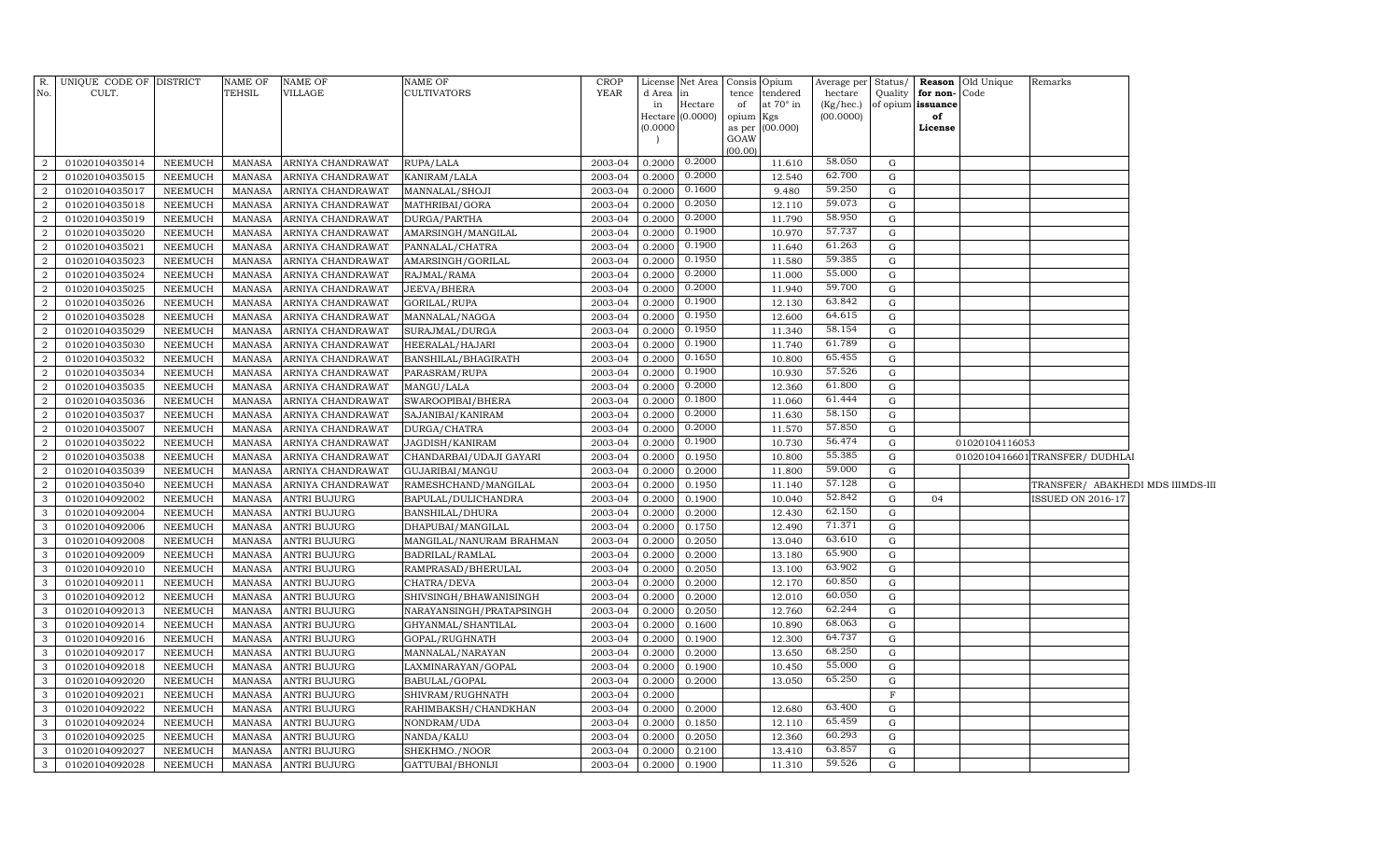| No.                     | R. UNIQUE CODE OF DISTRICT<br>CULT. |                                  | <b>NAME OF</b><br>TEHSIL       | <b>NAME OF</b><br><b>VILLAGE</b>           | <b>NAME OF</b><br><b>CULTIVATORS</b> | CROP<br><b>YEAR</b> | d Area           | License Net Area Consis Opium<br>in | tence           | tendered         | hectare          |             | Quality for non-Code | Average per Status / Reason Old Unique | Remarks                           |  |
|-------------------------|-------------------------------------|----------------------------------|--------------------------------|--------------------------------------------|--------------------------------------|---------------------|------------------|-------------------------------------|-----------------|------------------|------------------|-------------|----------------------|----------------------------------------|-----------------------------------|--|
|                         |                                     |                                  |                                |                                            |                                      |                     | in               | Hectare                             | of              | at $70^\circ$ in | (Kg/hec.)        |             | of opium issuance    |                                        |                                   |  |
|                         |                                     |                                  |                                |                                            |                                      |                     |                  | Hectare (0.0000)                    | opium Kgs       |                  | (00.0000)        |             | of                   |                                        |                                   |  |
|                         |                                     |                                  |                                |                                            |                                      |                     | (0.0000)         |                                     |                 | as per (00.000)  |                  |             | License              |                                        |                                   |  |
|                         |                                     |                                  |                                |                                            |                                      |                     |                  |                                     | GOAW<br>(00.00) |                  |                  |             |                      |                                        |                                   |  |
| $\overline{a}$          | 01020104035014                      | NEEMUCH                          | MANASA                         | ARNIYA CHANDRAWAT                          | RUPA/LALA                            | 2003-04             | 0.2000           | 0.2000                              |                 | 11.610           | 58.050           | G           |                      |                                        |                                   |  |
| $\overline{2}$          | 01020104035015                      | NEEMUCH                          | MANASA                         | ARNIYA CHANDRAWAT                          | KANIRAM/LALA                         | 2003-04             | 0.2000           | 0.2000                              |                 | 12.540           | 62.700           | G           |                      |                                        |                                   |  |
| $\overline{a}$          | 01020104035017                      | NEEMUCH                          | <b>MANASA</b>                  | ARNIYA CHANDRAWAT                          | MANNALAL/SHOJI                       | 2003-04             | 0.2000           | 0.1600                              |                 | 9.480            | 59.250           | G           |                      |                                        |                                   |  |
| $\overline{2}$          | 01020104035018                      | NEEMUCH                          | <b>MANASA</b>                  | ARNIYA CHANDRAWAT                          | MATHRIBAI/GORA                       | 2003-04             | 0.2000           | 0.2050                              |                 | 12.110           | 59.073           | G           |                      |                                        |                                   |  |
| $\overline{a}$          | 01020104035019                      | NEEMUCH                          | <b>MANASA</b>                  | ARNIYA CHANDRAWAT                          | DURGA/PARTHA                         | 2003-04             | 0.2000           | 0.2000                              |                 | 11.790           | 58.950           | G           |                      |                                        |                                   |  |
| $\overline{2}$          | 01020104035020                      | NEEMUCH                          | <b>MANASA</b>                  | ARNIYA CHANDRAWAT                          | AMARSINGH/MANGILAL                   | 2003-04             | 0.2000           | 0.1900                              |                 | 10.970           | 57.737           | G           |                      |                                        |                                   |  |
| $\overline{2}$          | 01020104035021                      | NEEMUCH                          | <b>MANASA</b>                  | ARNIYA CHANDRAWAT                          | PANNALAL/CHATRA                      | 2003-04             | 0.2000           | 0.1900                              |                 | 11.640           | 61.263           | G           |                      |                                        |                                   |  |
| $\overline{a}$          | 01020104035023                      | NEEMUCH                          | <b>MANASA</b>                  | ARNIYA CHANDRAWAT                          | AMARSINGH/GORILAL                    | 2003-04             | 0.2000           | 0.1950                              |                 | 11.580           | 59.385           | G           |                      |                                        |                                   |  |
| $\overline{2}$          | 01020104035024                      | NEEMUCH                          | <b>MANASA</b>                  | ARNIYA CHANDRAWAT                          | RAJMAL/RAMA                          | 2003-04             | 0.2000           | 0.2000                              |                 | 11.000           | 55.000           | G           |                      |                                        |                                   |  |
| $\overline{a}$          | 01020104035025                      | NEEMUCH                          | <b>MANASA</b>                  | ARNIYA CHANDRAWAT                          | JEEVA/BHERA                          | 2003-04             | 0.2000           | 0.2000                              |                 | 11.940           | 59.700           | G           |                      |                                        |                                   |  |
| $\overline{2}$          | 01020104035026                      | NEEMUCH                          | <b>MANASA</b>                  | ARNIYA CHANDRAWAT                          | GORILAL/RUPA                         | 2003-04             | 0.2000           | 0.1900                              |                 | 12.130           | 63.842           | G           |                      |                                        |                                   |  |
| $\overline{2}$          | 01020104035028                      | NEEMUCH                          | <b>MANASA</b>                  | ARNIYA CHANDRAWAT                          | MANNALAL/NAGGA                       | 2003-04             | 0.2000           | 0.1950                              |                 | 12.600           | 64.615           | $\mathbf G$ |                      |                                        |                                   |  |
| $\overline{a}$          | 01020104035029                      | NEEMUCH                          | <b>MANASA</b>                  | ARNIYA CHANDRAWAT                          | SURAJMAL/DURGA                       | 2003-04             | 0.2000           | 0.1950                              |                 | 11.340           | 58.154           | $\mathbf G$ |                      |                                        |                                   |  |
| $\overline{a}$          | 01020104035030                      | NEEMUCH                          | <b>MANASA</b>                  | ARNIYA CHANDRAWAT                          | HEERALAL/HAJARI                      | 2003-04             | 0.2000           | 0.1900                              |                 | 11.740           | 61.789           | G           |                      |                                        |                                   |  |
| $\overline{2}$          | 01020104035032                      | NEEMUCH                          | <b>MANASA</b>                  | ARNIYA CHANDRAWAT                          | BANSHILAL/BHAGIRATH                  | 2003-04             | 0.2000           | 0.1650                              |                 | 10.800           | 65.455           | G           |                      |                                        |                                   |  |
| $\overline{a}$          | 01020104035034                      | NEEMUCH                          | <b>MANASA</b>                  | ARNIYA CHANDRAWAT                          | PARASRAM/RUPA                        | 2003-04             | 0.2000           | 0.1900                              |                 | 10.930           | 57.526           | G           |                      |                                        |                                   |  |
| $\overline{2}$          | 01020104035035                      | NEEMUCH                          | <b>MANASA</b>                  | ARNIYA CHANDRAWAT                          | MANGU/LALA                           | 2003-04             | 0.2000           | 0.2000                              |                 | 12.360           | 61.800           | G           |                      |                                        |                                   |  |
| $\overline{2}$          | 01020104035036                      | <b>NEEMUCH</b>                   | <b>MANASA</b>                  | ARNIYA CHANDRAWAT                          | SWAROOPIBAI/BHERA                    | 2003-04             | 0.2000           | 0.1800                              |                 | 11.060           | 61.444           | G           |                      |                                        |                                   |  |
| $\overline{2}$          | 01020104035037                      | <b>NEEMUCH</b>                   | <b>MANASA</b>                  | ARNIYA CHANDRAWAT                          | SAJANIBAI/KANIRAM                    | 2003-04             | 0.2000           | 0.2000                              |                 | 11.630           | 58.150           | ${\rm G}$   |                      |                                        |                                   |  |
| $\overline{2}$          | 01020104035007                      | <b>NEEMUCH</b>                   | <b>MANASA</b>                  | ARNIYA CHANDRAWAT                          | DURGA/CHATRA                         | 2003-04             | 0.2000           | 0.2000                              |                 | 11.570           | 57.850           | G           |                      |                                        |                                   |  |
| $\overline{2}$          | 01020104035022                      | NEEMUCH                          | <b>MANASA</b>                  | ARNIYA CHANDRAWAT                          | JAGDISH/KANIRAM                      | 2003-04             | 0.2000           | 0.1900                              |                 | 10.730           | 56.474           | ${\rm G}$   |                      | 01020104116053                         |                                   |  |
| $\overline{2}$          | 01020104035038                      | <b>NEEMUCH</b>                   | <b>MANASA</b>                  | ARNIYA CHANDRAWAT                          | CHANDARBAI/UDAJI GAYARI              | 2003-04             | 0.2000           | 0.1950                              |                 | 10.800           | 55.385           | G           |                      |                                        | 0102010416601 TRANSFER/ DUDHLAI   |  |
| $\overline{2}$          | 01020104035039                      | <b>NEEMUCH</b>                   | <b>MANASA</b>                  | ARNIYA CHANDRAWAT                          | GUJARIBAI/MANGU                      | 2003-04             | 0.2000           | 0.2000                              |                 | 11.800           | 59.000           | G           |                      |                                        |                                   |  |
| $\overline{2}$          | 01020104035040                      | NEEMUCH                          | <b>MANASA</b>                  | ARNIYA CHANDRAWAT                          | RAMESHCHAND/MANGILAL                 | 2003-04             | 0.2000           | 0.1950                              |                 | 11.140           | 57.128           | G           |                      |                                        | TRANSFER/ ABAKHEDI MDS IIIMDS-III |  |
| 3                       | 01020104092002                      | NEEMUCH                          | <b>MANASA</b>                  | <b>ANTRI BUJURG</b>                        | BAPULAL/DULICHANDRA                  | 2003-04             | 0.2000           | 0.1900                              |                 | 10.040           | 52.842           | G           | 04                   |                                        | <b>ISSUED ON 2016-17</b>          |  |
| 3                       | 01020104092004                      | <b>NEEMUCH</b>                   | <b>MANASA</b>                  | <b>ANTRI BUJURG</b>                        | BANSHILAL/DHURA                      | 2003-04             | 0.2000           | 0.2000                              |                 | 12.430           | 62.150           | G           |                      |                                        |                                   |  |
| 3                       | 01020104092006                      | <b>NEEMUCH</b>                   | <b>MANASA</b>                  | <b>ANTRI BUJURG</b>                        | DHAPUBAI/MANGILAL                    | 2003-04             | 0.2000           | 0.1750                              |                 | 12.490           | 71.371           | G           |                      |                                        |                                   |  |
| -3                      | 01020104092008                      | NEEMUCH                          | <b>MANASA</b>                  | <b>ANTRI BUJURG</b>                        | MANGILAL/NANURAM BRAHMAN             | 2003-04             | 0.2000           | 0.2050                              |                 | 13.040           | 63.610           | G           |                      |                                        |                                   |  |
| 3<br>3                  | 01020104092009                      | <b>NEEMUCH</b>                   | <b>MANASA</b>                  | <b>ANTRI BUJURG</b>                        | BADRILAL/RAMLAL                      | 2003-04<br>2003-04  | 0.2000<br>0.2000 | 0.2000                              |                 | 13.180<br>13.100 | 65.900<br>63.902 | G<br>G      |                      |                                        |                                   |  |
| 3                       | 01020104092010<br>01020104092011    | <b>NEEMUCH</b><br><b>NEEMUCH</b> | <b>MANASA</b><br><b>MANASA</b> | <b>ANTRI BUJURG</b><br><b>ANTRI BUJURG</b> | RAMPRASAD/BHERULAL<br>CHATRA/DEVA    | 2003-04             | 0.2000           | 0.2050<br>0.2000                    |                 | 12.170           | 60.850           | G           |                      |                                        |                                   |  |
| -3                      | 01020104092012                      | <b>NEEMUCH</b>                   | <b>MANASA</b>                  | <b>ANTRI BUJURG</b>                        | SHIVSINGH/BHAWANISINGH               | 2003-04             | 0.2000           | 0.2000                              |                 | 12.010           | 60.050           | G           |                      |                                        |                                   |  |
| 3                       | 01020104092013                      | <b>NEEMUCH</b>                   | <b>MANASA</b>                  | <b>ANTRI BUJURG</b>                        | NARAYANSINGH/PRATAPSINGH             | 2003-04             | 0.2000           | 0.2050                              |                 | 12.760           | 62.244           | G           |                      |                                        |                                   |  |
| 3                       | 01020104092014                      | <b>NEEMUCH</b>                   | <b>MANASA</b>                  | <b>ANTRI BUJURG</b>                        | GHYANMAL/SHANTILAL                   | 2003-04             | 0.2000           | 0.1600                              |                 | 10.890           | 68.063           | G           |                      |                                        |                                   |  |
| $\overline{\mathbf{3}}$ | 01020104092016                      | <b>NEEMUCH</b>                   | <b>MANASA</b>                  | <b>ANTRI BUJURG</b>                        | GOPAL/RUGHNATH                       | 2003-04             | 0.2000           | 0.1900                              |                 | 12.300           | 64.737           | ${\rm G}$   |                      |                                        |                                   |  |
| $\overline{3}$          | 01020104092017                      | <b>NEEMUCH</b>                   | <b>MANASA</b>                  | <b>ANTRI BUJURG</b>                        | MANNALAL/NARAYAN                     | 2003-04             | 0.2000           | 0.2000                              |                 | 13.650           | 68.250           | G           |                      |                                        |                                   |  |
| $\overline{\mathbf{3}}$ | 01020104092018                      | <b>NEEMUCH</b>                   | <b>MANASA</b>                  | <b>ANTRI BUJURG</b>                        | LAXMINARAYAN/GOPAL                   | 2003-04             | 0.2000           | 0.1900                              |                 | 10.450           | 55.000           | ${\rm G}$   |                      |                                        |                                   |  |
| $\overline{3}$          | 01020104092020                      | <b>NEEMUCH</b>                   | <b>MANASA</b>                  | <b>ANTRI BUJURG</b>                        | BABULAL/GOPAL                        | 2003-04             | 0.2000           | 0.2000                              |                 | 13.050           | 65.250           | ${\rm G}$   |                      |                                        |                                   |  |
| $\overline{3}$          | 01020104092021                      | NEEMUCH                          | <b>MANASA</b>                  | <b>ANTRI BUJURG</b>                        | SHIVRAM/RUGHNATH                     | 2003-04             | 0.2000           |                                     |                 |                  |                  | $\mathbf F$ |                      |                                        |                                   |  |
| $\overline{3}$          | 01020104092022                      | <b>NEEMUCH</b>                   | <b>MANASA</b>                  | <b>ANTRI BUJURG</b>                        | RAHIMBAKSH/CHANDKHAN                 | 2003-04             | 0.2000           | 0.2000                              |                 | 12.680           | 63.400           | G           |                      |                                        |                                   |  |
| $\overline{3}$          | 01020104092024                      | NEEMUCH                          | <b>MANASA</b>                  | <b>ANTRI BUJURG</b>                        | NONDRAM/UDA                          | 2003-04             | 0.2000           | 0.1850                              |                 | 12.110           | 65.459           | G           |                      |                                        |                                   |  |
| $\overline{3}$          | 01020104092025                      | NEEMUCH                          | <b>MANASA</b>                  | <b>ANTRI BUJURG</b>                        | NANDA/KALU                           | 2003-04             | 0.2000           | 0.2050                              |                 | 12.360           | 60.293           | G           |                      |                                        |                                   |  |
| $\mathbf{3}$            | 01020104092027                      | NEEMUCH                          | <b>MANASA</b>                  | <b>ANTRI BUJURG</b>                        | SHEKHMO./NOOR                        | 2003-04             | 0.2000           | 0.2100                              |                 | 13.410           | 63.857           | G           |                      |                                        |                                   |  |
| $\mathbf{3}$            | 01020104092028                      | <b>NEEMUCH</b>                   | <b>MANASA</b>                  | <b>ANTRI BUJURG</b>                        | GATTUBAI/BHONIJI                     | 2003-04             | 0.2000           | 0.1900                              |                 | 11.310           | 59.526           | G           |                      |                                        |                                   |  |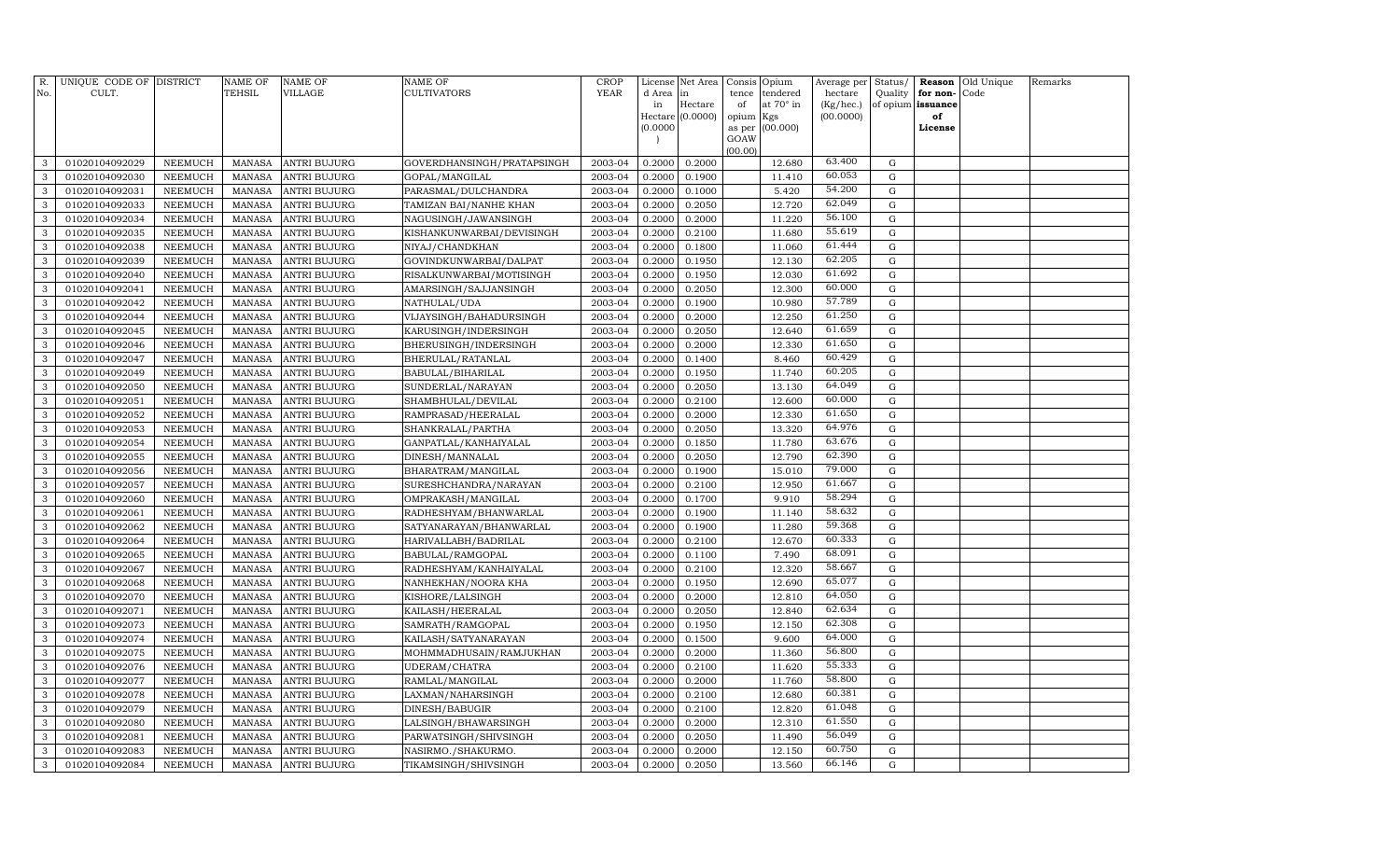| R.           | UNIQUE CODE OF DISTRICT<br>CULT. |                           | <b>NAME OF</b><br><b>TEHSIL</b> | <b>NAME OF</b><br><b>VILLAGE</b> | <b>NAME OF</b><br><b>CULTIVATORS</b> | <b>CROP</b><br><b>YEAR</b> | License      | Net Area         | Consis Opium    |                       | Average per          | Status/                      |          | <b>Reason</b> Old Unique | Remarks |
|--------------|----------------------------------|---------------------------|---------------------------------|----------------------------------|--------------------------------------|----------------------------|--------------|------------------|-----------------|-----------------------|----------------------|------------------------------|----------|--------------------------|---------|
| No.          |                                  |                           |                                 |                                  |                                      |                            | d Area<br>in | in<br>Hectare    | tence<br>of     | tendered<br>at 70° in | hectare<br>(Kg/hec.) | Quality<br>of opium issuance | for non- | Code                     |         |
|              |                                  |                           |                                 |                                  |                                      |                            |              | Hectare (0.0000) | opium Kgs       |                       | (00.0000)            |                              | of       |                          |         |
|              |                                  |                           |                                 |                                  |                                      |                            | (0.0000)     |                  | as per (00.000) |                       |                      |                              | License  |                          |         |
|              |                                  |                           |                                 |                                  |                                      |                            |              |                  | GOAW            |                       |                      |                              |          |                          |         |
| 3            | 01020104092029                   | NEEMUCH                   | <b>MANASA</b>                   | <b>ANTRI BUJURG</b>              | GOVERDHANSINGH/PRATAPSINGH           | 2003-04                    | 0.2000       | 0.2000           | (00.00)         | 12.680                | 63.400               | G                            |          |                          |         |
| 3            | 01020104092030                   | NEEMUCH                   | <b>MANASA</b>                   | <b>ANTRI BUJURG</b>              | GOPAL/MANGILAL                       | 2003-04                    | 0.2000       | 0.1900           |                 | 11.410                | 60.053               | G                            |          |                          |         |
| $\mathbf{3}$ | 01020104092031                   | NEEMUCH                   | <b>MANASA</b>                   | <b>ANTRI BUJURG</b>              | PARASMAL/DULCHANDRA                  | 2003-04                    | 0.2000       | 0.1000           |                 | 5.420                 | 54.200               | G                            |          |                          |         |
| 3            | 01020104092033                   | <b>NEEMUCH</b>            | <b>MANASA</b>                   | <b>ANTRI BUJURG</b>              | TAMIZAN BAI/NANHE KHAN               | 2003-04                    | 0.2000       | 0.2050           |                 | 12.720                | 62.049               | G                            |          |                          |         |
| 3            | 01020104092034                   | NEEMUCH                   | <b>MANASA</b>                   | <b>ANTRI BUJURG</b>              | NAGUSINGH/JAWANSINGH                 | 2003-04                    | 0.2000       | 0.2000           |                 | 11.220                | 56.100               | G                            |          |                          |         |
| 3            | 01020104092035                   | <b>NEEMUCH</b>            | <b>MANASA</b>                   | <b>ANTRI BUJURG</b>              | KISHANKUNWARBAI/DEVISINGH            | 2003-04                    | 0.2000       | 0.2100           |                 | 11.680                | 55.619               | ${\rm G}$                    |          |                          |         |
| 3            | 01020104092038                   | <b>NEEMUCH</b>            | <b>MANASA</b>                   | <b>ANTRI BUJURG</b>              | NIYAJ/CHANDKHAN                      | 2003-04                    | 0.2000       | 0.1800           |                 | 11.060                | 61.444               | G                            |          |                          |         |
| 3            | 01020104092039                   | NEEMUCH                   | <b>MANASA</b>                   | <b>ANTRI BUJURG</b>              | GOVINDKUNWARBAI/DALPAT               | 2003-04                    | 0.2000       | 0.1950           |                 | 12.130                | 62.205               | G                            |          |                          |         |
| $\mathbf{3}$ | 01020104092040                   | NEEMUCH                   | <b>MANASA</b>                   | <b>ANTRI BUJURG</b>              | RISALKUNWARBAI/MOTISINGH             | 2003-04                    | 0.2000       | 0.1950           |                 | 12.030                | 61.692               | G                            |          |                          |         |
| $\mathbf{3}$ | 01020104092041                   | <b>NEEMUCH</b>            | <b>MANASA</b>                   | <b>ANTRI BUJURG</b>              | AMARSINGH/SAJJANSINGH                | 2003-04                    | 0.2000       | 0.2050           |                 | 12.300                | 60.000               | G                            |          |                          |         |
| 3            | 01020104092042                   | NEEMUCH                   | <b>MANASA</b>                   | <b>ANTRI BUJURG</b>              | NATHULAL/UDA                         | 2003-04                    | 0.2000       | 0.1900           |                 | 10.980                | 57.789               | G                            |          |                          |         |
| 3            | 01020104092044                   | <b>NEEMUCH</b>            | <b>MANASA</b>                   | <b>ANTRI BUJURG</b>              | VIJAYSINGH/BAHADURSINGH              | 2003-04                    | 0.2000       | 0.2000           |                 | 12.250                | 61.250               | ${\rm G}$                    |          |                          |         |
| 3            | 01020104092045                   | <b>NEEMUCH</b>            | <b>MANASA</b>                   | <b>ANTRI BUJURG</b>              | KARUSINGH/INDERSINGH                 | 2003-04                    | 0.2000       | 0.2050           |                 | 12.640                | 61.659               | G                            |          |                          |         |
| 3            | 01020104092046                   | <b>NEEMUCH</b>            | <b>MANASA</b>                   | <b>ANTRI BUJURG</b>              | BHERUSINGH/INDERSINGH                | 2003-04                    | 0.2000       | 0.2000           |                 | 12.330                | 61.650               | ${\rm G}$                    |          |                          |         |
| 3            | 01020104092047                   | <b>NEEMUCH</b>            | <b>MANASA</b>                   | <b>ANTRI BUJURG</b>              | BHERULAL/RATANLAL                    | 2003-04                    | 0.2000       | 0.1400           |                 | 8.460                 | 60.429               | G                            |          |                          |         |
| 3            | 01020104092049                   | <b>NEEMUCH</b>            | <b>MANASA</b>                   | <b>ANTRI BUJURG</b>              | BABULAL/BIHARILAL                    | 2003-04                    | 0.2000       | 0.1950           |                 | 11.740                | 60.205               | ${\rm G}$                    |          |                          |         |
| 3            | 01020104092050                   | NEEMUCH                   | <b>MANASA</b>                   | <b>ANTRI BUJURG</b>              | SUNDERLAL/NARAYAN                    | 2003-04                    | 0.2000       | 0.2050           |                 | 13.130                | 64.049               | G                            |          |                          |         |
| 3            | 01020104092051                   | <b>NEEMUCH</b>            | <b>MANASA</b>                   | <b>ANTRI BUJURG</b>              | SHAMBHULAL/DEVILAL                   | 2003-04                    | 0.2000       | 0.2100           |                 | 12.600                | 60.000               | G                            |          |                          |         |
| $\mathbf{3}$ | 01020104092052                   | NEEMUCH                   | <b>MANASA</b>                   | <b>ANTRI BUJURG</b>              | RAMPRASAD/HEERALAL                   | 2003-04                    | 0.2000       | 0.2000           |                 | 12.330                | 61.650               | ${\rm G}$                    |          |                          |         |
| 3            | 01020104092053                   | <b>NEEMUCH</b>            | <b>MANASA</b>                   | <b>ANTRI BUJURG</b>              | SHANKRALAL/PARTHA                    | 2003-04                    | 0.2000       | 0.2050           |                 | 13.320                | 64.976               | G                            |          |                          |         |
| 3            | 01020104092054                   | <b>NEEMUCH</b>            | <b>MANASA</b>                   | <b>ANTRI BUJURG</b>              | GANPATLAL/KANHAIYALAL                | 2003-04                    | 0.2000       | 0.1850           |                 | 11.780                | 63.676               | G                            |          |                          |         |
| 3            | 01020104092055                   | <b>NEEMUCH</b>            | <b>MANASA</b>                   | <b>ANTRI BUJURG</b>              | DINESH/MANNALAL                      | 2003-04                    | 0.2000       | 0.2050           |                 | 12.790                | 62.390               | G                            |          |                          |         |
| 3            | 01020104092056                   | NEEMUCH                   | <b>MANASA</b>                   | <b>ANTRI BUJURG</b>              | BHARATRAM/MANGILAL                   | 2003-04                    | 0.2000       | 0.1900           |                 | 15.010                | 79.000               | ${\rm G}$                    |          |                          |         |
| 3            | 01020104092057                   | <b>NEEMUCH</b>            | <b>MANASA</b>                   | <b>ANTRI BUJURG</b>              | SURESHCHANDRA/NARAYAN                | 2003-04                    | 0.2000       | 0.2100           |                 | 12.950                | 61.667               | G                            |          |                          |         |
| 3            | 01020104092060                   | <b>NEEMUCH</b>            | <b>MANASA</b>                   | <b>ANTRI BUJURG</b>              | OMPRAKASH/MANGILAL                   | 2003-04                    | 0.2000       | 0.1700           |                 | 9.910                 | 58.294               | G                            |          |                          |         |
| 3            | 01020104092061                   | <b>NEEMUCH</b>            | <b>MANASA</b>                   | <b>ANTRI BUJURG</b>              | RADHESHYAM/BHANWARLAL                | 2003-04                    | 0.2000       | 0.1900           |                 | 11.140                | 58.632               | G                            |          |                          |         |
| 3            | 01020104092062                   | NEEMUCH                   | <b>MANASA</b>                   | <b>ANTRI BUJURG</b>              | SATYANARAYAN/BHANWARLAL              | 2003-04                    | 0.2000       | 0.1900           |                 | 11.280                | 59.368               | G                            |          |                          |         |
| 3            | 01020104092064                   | <b>NEEMUCH</b>            | <b>MANASA</b>                   | <b>ANTRI BUJURG</b>              | HARIVALLABH/BADRILAL                 | 2003-04                    | 0.2000       | 0.2100           |                 | 12.670                | 60.333               | G                            |          |                          |         |
| $\mathbf{3}$ | 01020104092065                   | <b>NEEMUCH</b>            | <b>MANASA</b>                   | <b>ANTRI BUJURG</b>              | BABULAL/RAMGOPAL                     | 2003-04                    | 0.2000       | 0.1100           |                 | 7.490                 | 68.091               | ${\rm G}$                    |          |                          |         |
| 3            | 01020104092067                   | <b>NEEMUCH</b>            | <b>MANASA</b>                   | <b>ANTRI BUJURG</b>              | RADHESHYAM/KANHAIYALAL               | 2003-04                    | 0.2000       | 0.2100           |                 | 12.320                | 58.667               | G                            |          |                          |         |
| 3            | 01020104092068                   | NEEMUCH                   | <b>MANASA</b>                   | <b>ANTRI BUJURG</b>              | NANHEKHAN/NOORA KHA                  | 2003-04                    | 0.2000       | 0.1950           |                 | 12.690                | 65.077               | G                            |          |                          |         |
| 3            | 01020104092070                   | <b>NEEMUCH</b>            | <b>MANASA</b>                   | <b>ANTRI BUJURG</b>              | KISHORE/LALSINGH                     | 2003-04                    | 0.2000       | 0.2000           |                 | 12.810                | 64.050               | G                            |          |                          |         |
| 3            | 01020104092071                   | <b>NEEMUCH</b>            | <b>MANASA</b>                   | <b>ANTRI BUJURG</b>              | KAILASH/HEERALAL                     | 2003-04                    | 0.2000       | 0.2050           |                 | 12.840                | 62.634               | G                            |          |                          |         |
| 3            | 01020104092073                   | <b>NEEMUCH</b>            | <b>MANASA</b>                   | <b>ANTRI BUJURG</b>              | SAMRATH/RAMGOPAL                     | 2003-04                    | 0.2000       | 0.1950           |                 | 12.150                | 62.308               | G                            |          |                          |         |
| 3            | 01020104092074                   | <b>NEEMUCH</b>            | <b>MANASA</b>                   | <b>ANTRI BUJURG</b>              | KAILASH/SATYANARAYAN                 | 2003-04                    | 0.2000       | 0.1500           |                 | 9.600                 | 64.000               | G                            |          |                          |         |
| 3            | 01020104092075                   | <b>NEEMUCH</b>            | <b>MANASA</b>                   | <b>ANTRI BUJURG</b>              | MOHMMADHUSAIN/RAMJUKHAN              | 2003-04                    | 0.2000       | 0.2000           |                 | 11.360                | 56.800               | G                            |          |                          |         |
| $\mathbf{3}$ | 01020104092076                   | <b>NEEMUCH</b>            | <b>MANASA</b>                   | <b>ANTRI BUJURG</b>              | UDERAM/CHATRA                        | 2003-04                    | 0.2000       | 0.2100           |                 | 11.620                | 55.333               | G                            |          |                          |         |
| 3            | 01020104092077                   | <b>NEEMUCH</b>            | <b>MANASA</b>                   | ANTRI BUJURG                     | RAMLAL/MANGILAL                      | 2003-04                    | 0.2000       | 0.2000           |                 | 11.760                | 58.800               | ${\rm G}$                    |          |                          |         |
| 3            | 01020104092078                   | <b>NEEMUCH</b>            | <b>MANASA</b>                   | <b>ANTRI BUJURG</b>              | LAXMAN/NAHARSINGH                    | 2003-04                    | 0.2000       | 0.2100           |                 | 12.680                | 60.381<br>61.048     | G                            |          |                          |         |
| 3            | 01020104092079                   | <b>NEEMUCH</b>            | <b>MANASA</b>                   | <b>ANTRI BUJURG</b>              | DINESH/BABUGIR                       | 2003-04                    | 0.2000       | 0.2100           |                 | 12.820                | 61.550               | ${\rm G}$                    |          |                          |         |
| 3            | 01020104092080                   | <b>NEEMUCH</b>            | <b>MANASA</b>                   | <b>ANTRI BUJURG</b>              | LALSINGH/BHAWARSINGH                 | 2003-04                    | 0.2000       | 0.2000           |                 | 12.310                | 56.049               | G                            |          |                          |         |
| 3            | 01020104092081                   | <b>NEEMUCH</b>            | <b>MANASA</b>                   | <b>ANTRI BUJURG</b>              | PARWATSINGH/SHIVSINGH                | 2003-04                    | 0.2000       | 0.2050           |                 | 11.490                | 60.750               | G                            |          |                          |         |
| $\mathbf{3}$ | 01020104092083<br>01020104092084 | <b>NEEMUCH</b><br>NEEMUCH | <b>MANASA</b>                   | <b>ANTRI BUJURG</b>              | NASIRMO./SHAKURMO.                   | 2003-04<br>2003-04         | 0.2000       | 0.2000           |                 | 12.150<br>13.560      | 66.146               | G<br>G                       |          |                          |         |
| $\mathbf{3}$ |                                  |                           | <b>MANASA</b>                   | <b>ANTRI BUJURG</b>              | TIKAMSINGH/SHIVSINGH                 |                            | 0.2000       | 0.2050           |                 |                       |                      |                              |          |                          |         |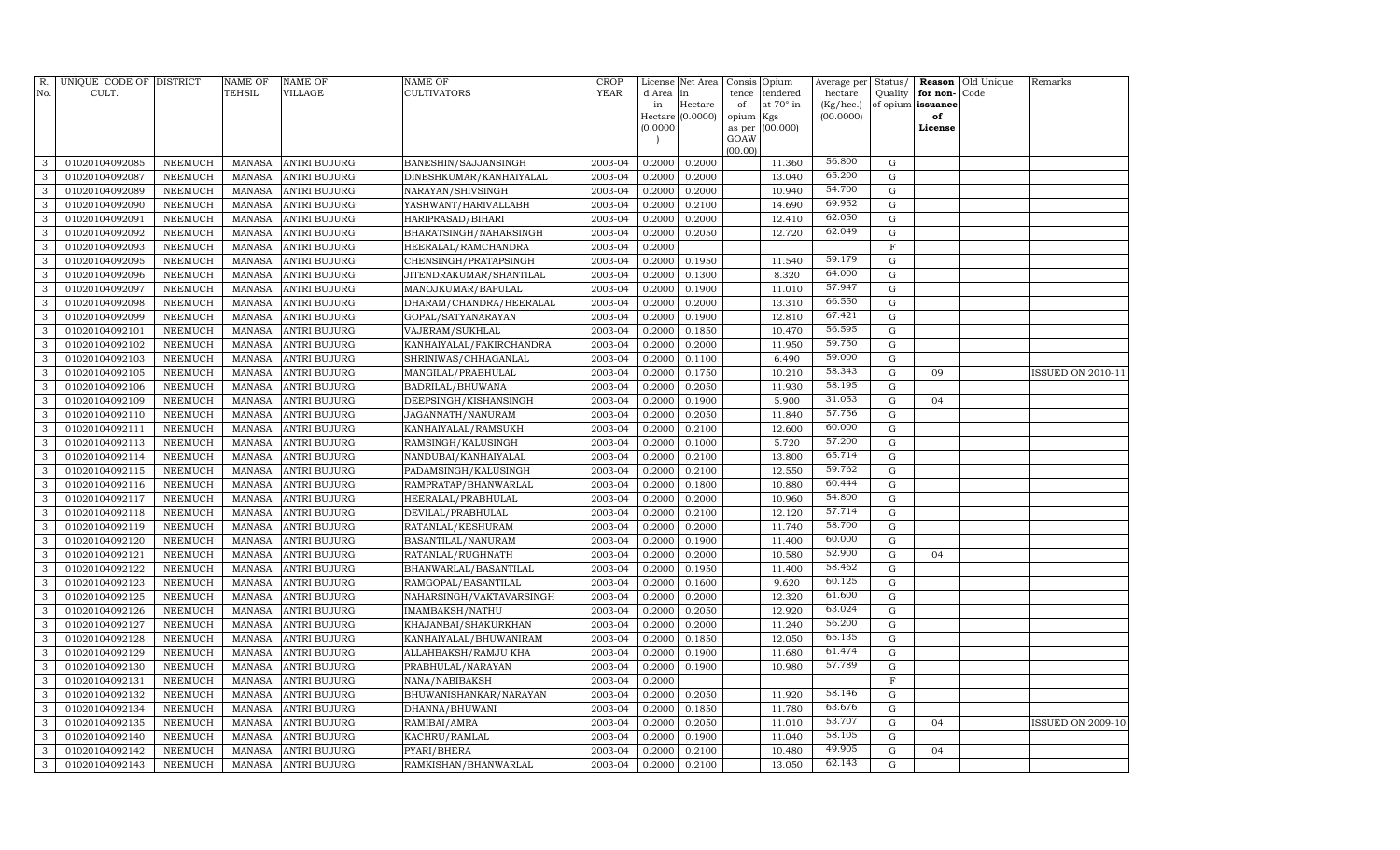| R.<br>No.         | UNIQUE CODE OF DISTRICT<br>CULT. |                           | NAME OF<br><b>TEHSIL</b> | NAME OF<br>VILLAGE           | <b>NAME OF</b><br>CULTIVATORS              | <b>CROP</b><br><b>YEAR</b> | License<br>d Area | Net Area<br>in   | Consis<br>tence | Opium<br>tendered | Average per<br>hectare | Status/<br>Quality | Reason<br>for non- | Old Unique<br>Code | Remarks                  |
|-------------------|----------------------------------|---------------------------|--------------------------|------------------------------|--------------------------------------------|----------------------------|-------------------|------------------|-----------------|-------------------|------------------------|--------------------|--------------------|--------------------|--------------------------|
|                   |                                  |                           |                          |                              |                                            |                            | in                | Hectare          | of              | at 70° in         | (Kg/hec.)              | of opium           | issuance           |                    |                          |
|                   |                                  |                           |                          |                              |                                            |                            | (0.0000)          | Hectare (0.0000) | opium<br>as per | Kgs<br>(00.000)   | (00.0000)              |                    | of<br>License      |                    |                          |
|                   |                                  |                           |                          |                              |                                            |                            |                   |                  | GOAW            |                   |                        |                    |                    |                    |                          |
|                   |                                  |                           |                          |                              |                                            |                            |                   |                  | (00.00)         |                   |                        |                    |                    |                    |                          |
| 3                 | 01020104092085                   | <b>NEEMUCH</b>            | MANASA                   | ANTRI BUJURG                 | BANESHIN/SAJJANSINGH                       | 2003-04                    | 0.2000            | 0.2000           |                 | 11.360            | 56.800                 | G                  |                    |                    |                          |
| 3                 | 01020104092087                   | <b>NEEMUCH</b>            | <b>MANASA</b>            | ANTRI BUJURG                 | DINESHKUMAR/KANHAIYALAL                    | 2003-04                    | 0.2000            | 0.2000           |                 | 13.040            | 65.200                 | $\mathbf G$        |                    |                    |                          |
| 3                 | 01020104092089                   | NEEMUCH                   | MANASA                   | <b>ANTRI BUJURG</b>          | NARAYAN/SHIVSINGH                          | 2003-04                    | 0.2000            | 0.2000           |                 | 10.940            | 54.700                 | $\mathbf G$        |                    |                    |                          |
| 3                 | 01020104092090                   | <b>NEEMUCH</b>            | MANASA                   | <b>ANTRI BUJURG</b>          | YASHWANT/HARIVALLABH                       | 2003-04                    | 0.2000            | 0.2100           |                 | 14.690            | 69.952                 | G                  |                    |                    |                          |
| 3                 | 01020104092091                   | NEEMUCH                   | <b>MANASA</b>            | <b>ANTRI BUJURG</b>          | HARIPRASAD/BIHARI                          | 2003-04                    | 0.2000            | 0.2000           |                 | 12.410            | 62.050                 | $\mathbf G$        |                    |                    |                          |
| 3                 | 01020104092092                   | <b>NEEMUCH</b>            | MANASA                   | <b>ANTRI BUJURG</b>          | BHARATSINGH/NAHARSINGH                     | 2003-04                    | 0.2000            | 0.2050           |                 | 12.720            | 62.049                 | $\mathbf G$        |                    |                    |                          |
| 3                 | 01020104092093                   | NEEMUCH                   | <b>MANASA</b>            | ANTRI BUJURG                 | HEERALAL/RAMCHANDRA                        | 2003-04                    | 0.2000            |                  |                 |                   |                        | $\mathbf F$        |                    |                    |                          |
| 3                 | 01020104092095                   | <b>NEEMUCH</b>            | MANASA                   | ANTRI BUJURG                 | CHENSINGH/PRATAPSINGH                      | 2003-04                    | 0.2000            | 0.1950           |                 | 11.540            | 59.179                 | $\mathbf G$        |                    |                    |                          |
| 3                 | 01020104092096                   | NEEMUCH                   | <b>MANASA</b>            | ANTRI BUJURG                 | JITENDRAKUMAR/SHANTILAL                    | 2003-04                    | 0.2000            | 0.1300           |                 | 8.320             | 64.000                 | G                  |                    |                    |                          |
| 3                 | 01020104092097                   | <b>NEEMUCH</b>            | MANASA                   | ANTRI BUJURG                 | MANOJKUMAR/BAPULAL                         | 2003-04                    | 0.2000            | 0.1900           |                 | 11.010            | 57.947                 | G                  |                    |                    |                          |
| 3                 | 01020104092098                   | NEEMUCH                   | MANASA                   | ANTRI BUJURG                 | DHARAM/CHANDRA/HEERALAL                    | 2003-04                    | 0.2000            | 0.2000           |                 | 13.310            | 66.550                 | $\mathbf G$        |                    |                    |                          |
| 3                 | 01020104092099                   | <b>NEEMUCH</b>            | <b>MANASA</b>            | ANTRI BUJURG                 | GOPAL/SATYANARAYAN                         | 2003-04                    | 0.2000            | 0.1900           |                 | 12.810            | 67.421                 | $\mathbf G$        |                    |                    |                          |
| 3                 | 01020104092101                   | NEEMUCH                   | <b>MANASA</b>            | <b>ANTRI BUJURG</b>          | VAJERAM/SUKHLAL                            | 2003-04                    | 0.2000            | 0.1850           |                 | 10.470            | 56.595                 | G                  |                    |                    |                          |
| 3                 | 01020104092102                   | NEEMUCH                   | MANASA                   | <b>ANTRI BUJURG</b>          | KANHAIYALAL/FAKIRCHANDRA                   | 2003-04                    | 0.2000            | 0.2000           |                 | 11.950            | 59.750                 | G                  |                    |                    |                          |
| 3                 | 01020104092103                   | NEEMUCH                   | <b>MANASA</b>            | ANTRI BUJURG                 | SHRINIWAS/CHHAGANLAL                       | 2003-04                    | 0.2000            | 0.1100           |                 | 6.490             | 59.000                 | G                  |                    |                    |                          |
| 3                 | 01020104092105                   | NEEMUCH                   | <b>MANASA</b>            | <b>ANTRI BUJURG</b>          | MANGILAL/PRABHULAL                         | 2003-04                    | 0.2000            | 0.1750           |                 | 10.210            | 58.343                 | $\mathbf G$        | 09                 |                    | <b>ISSUED ON 2010-11</b> |
| 3                 | 01020104092106                   | NEEMUCH                   | <b>MANASA</b>            | ANTRI BUJURG                 | BADRILAL/BHUWANA                           | 2003-04                    | 0.2000            | 0.2050           |                 | 11.930            | 58.195                 | ${\rm G}$          |                    |                    |                          |
| 3                 | 01020104092109                   | <b>NEEMUCH</b>            | <b>MANASA</b>            | ANTRI BUJURG                 | DEEPSINGH/KISHANSINGH                      | 2003-04                    | 0.2000            | 0.1900           |                 | 5.900             | 31.053<br>57.756       | G                  | 04                 |                    |                          |
| 3                 | 01020104092110                   | NEEMUCH                   | <b>MANASA</b>            | ANTRI BUJURG                 | JAGANNATH/NANURAM                          | 2003-04                    | 0.2000            | 0.2050           |                 | 11.840            |                        | ${\rm G}$          |                    |                    |                          |
| 3                 | 01020104092111                   | NEEMUCH                   | <b>MANASA</b>            | ANTRI BUJURG                 | KANHAIYALAL/RAMSUKH                        | 2003-04                    | 0.2000            | 0.2100           |                 | 12.600            | 60.000                 | $\mathbf G$        |                    |                    |                          |
| 3                 | 01020104092113                   | NEEMUCH                   | <b>MANASA</b>            | ANTRI BUJURG                 | RAMSINGH/KALUSINGH                         | 2003-04                    | 0.2000            | 0.1000           |                 | 5.720             | 57.200<br>65.714       | G                  |                    |                    |                          |
| 3                 | 01020104092114                   | NEEMUCH                   | <b>MANASA</b>            | ANTRI BUJURG                 | NANDUBAI/KANHAIYALAL                       | 2003-04                    | 0.2000            | 0.2100           |                 | 13.800            | 59.762                 | $\mathbf G$        |                    |                    |                          |
| 3                 | 01020104092115                   | NEEMUCH                   | <b>MANASA</b>            | <b>ANTRI BUJURG</b>          | PADAMSINGH/KALUSINGH                       | 2003-04                    | 0.2000            | 0.2100           |                 | 12.550            | 60.444                 | $\mathbf G$        |                    |                    |                          |
| 3                 | 01020104092116                   | <b>NEEMUCH</b>            | MANASA                   | ANTRI BUJURG                 | RAMPRATAP/BHANWARLAL                       | 2003-04                    | 0.2000            | 0.1800           |                 | 10.880            | 54.800                 | $\mathbf G$        |                    |                    |                          |
| 3                 | 01020104092117                   | <b>NEEMUCH</b>            | <b>MANASA</b>            | ANTRI BUJURG                 | HEERALAL/PRABHULAL                         | 2003-04                    | 0.2000            | 0.2000           |                 | 10.960            | 57.714                 | G                  |                    |                    |                          |
| 3<br>3            | 01020104092118                   | <b>NEEMUCH</b>            | <b>MANASA</b>            | ANTRI BUJURG                 | DEVILAL/PRABHULAL                          | 2003-04                    | 0.2000            | 0.2100           |                 | 12.120            | 58.700                 | $\mathbf G$        |                    |                    |                          |
|                   | 01020104092119                   | <b>NEEMUCH</b>            | <b>MANASA</b>            | ANTRI BUJURG                 | RATANLAL/KESHURAM                          | 2003-04                    | 0.2000            | 0.2000           |                 | 11.740            | 60.000                 | $\mathbf G$        |                    |                    |                          |
| $\mathbf{3}$<br>3 | 01020104092120                   | <b>NEEMUCH</b>            | <b>MANASA</b>            | ANTRI BUJURG                 | BASANTILAL/NANURAM                         | 2003-04<br>2003-04         | 0.2000            | 0.1900           |                 | 11.400<br>10.580  | 52.900                 | G                  |                    |                    |                          |
| $\mathbf{3}$      | 01020104092121<br>01020104092122 | NEEMUCH<br><b>NEEMUCH</b> | <b>MANASA</b><br>MANASA  | ANTRI BUJURG<br>ANTRI BUJURG | RATANLAL/RUGHNATH<br>BHANWARLAL/BASANTILAL | 2003-04                    | 0.2000<br>0.2000  | 0.2000<br>0.1950 |                 | 11.400            | 58.462                 | ${\rm G}$<br>G     | 04                 |                    |                          |
| 3                 | 01020104092123                   | NEEMUCH                   | <b>MANASA</b>            | ANTRI BUJURG                 | RAMGOPAL/BASANTILAL                        | 2003-04                    | 0.2000            | 0.1600           |                 | 9.620             | 60.125                 | G                  |                    |                    |                          |
| 3                 | 01020104092125                   | <b>NEEMUCH</b>            | <b>MANASA</b>            | ANTRI BUJURG                 | NAHARSINGH/VAKTAVARSINGH                   | 2003-04                    | 0.2000            | 0.2000           |                 | 12.320            | 61.600                 | $\mathbf G$        |                    |                    |                          |
| 3                 | 01020104092126                   | NEEMUCH                   | MANASA                   | ANTRI BUJURG                 | IMAMBAKSH/NATHU                            | 2003-04                    | 0.2000            | 0.2050           |                 | 12.920            | 63.024                 | G                  |                    |                    |                          |
| 3                 | 01020104092127                   | <b>NEEMUCH</b>            | <b>MANASA</b>            | ANTRI BUJURG                 | KHAJANBAI/SHAKURKHAN                       | 2003-04                    | 0.2000            | 0.2000           |                 | 11.240            | 56.200                 | G                  |                    |                    |                          |
| 3                 | 01020104092128                   | <b>NEEMUCH</b>            | <b>MANASA</b>            | ANTRI BUJURG                 | KANHAIYALAL/BHUWANIRAM                     | 2003-04                    | 0.2000            | 0.1850           |                 | 12.050            | 65.135                 | $\mathbf G$        |                    |                    |                          |
| 3                 | 01020104092129                   | <b>NEEMUCH</b>            | <b>MANASA</b>            | ANTRI BUJURG                 | ALLAHBAKSH/RAMJU KHA                       | 2003-04                    | 0.2000            | 0.1900           |                 | 11.680            | 61.474                 | $\mathbf G$        |                    |                    |                          |
| 3                 | 01020104092130                   | <b>NEEMUCH</b>            | <b>MANASA</b>            | ANTRI BUJURG                 | PRABHULAL/NARAYAN                          | 2003-04                    | 0.2000            | 0.1900           |                 | 10.980            | 57.789                 | $\mathbf G$        |                    |                    |                          |
| 3                 | 01020104092131                   | <b>NEEMUCH</b>            | <b>MANASA</b>            | ANTRI BUJURG                 | NANA/NABIBAKSH                             | 2003-04                    | 0.2000            |                  |                 |                   |                        | F                  |                    |                    |                          |
| 3                 | 01020104092132                   | <b>NEEMUCH</b>            | <b>MANASA</b>            | ANTRI BUJURG                 | BHUWANISHANKAR/NARAYAN                     | 2003-04                    | 0.2000            | 0.2050           |                 | 11.920            | 58.146                 | $\mathbf G$        |                    |                    |                          |
| 3                 | 01020104092134                   | <b>NEEMUCH</b>            | <b>MANASA</b>            | ANTRI BUJURG                 | DHANNA/BHUWANI                             | 2003-04                    | 0.2000            | 0.1850           |                 | 11.780            | 63.676                 | $\mathbf G$        |                    |                    |                          |
| 3                 | 01020104092135                   | NEEMUCH                   | <b>MANASA</b>            | ANTRI BUJURG                 | RAMIBAI/AMRA                               | 2003-04                    | 0.2000            | 0.2050           |                 | 11.010            | 53.707                 | G                  | 04                 |                    | <b>ISSUED ON 2009-10</b> |
| $\mathbf{3}$      | 01020104092140                   | <b>NEEMUCH</b>            | <b>MANASA</b>            | ANTRI BUJURG                 | KACHRU/RAMLAL                              | 2003-04                    | 0.2000            | 0.1900           |                 | 11.040            | 58.105                 | $\mathbf G$        |                    |                    |                          |
| 3                 | 01020104092142                   | <b>NEEMUCH</b>            | <b>MANASA</b>            | ANTRI BUJURG                 | PYARI/BHERA                                | 2003-04                    | 0.2000            | 0.2100           |                 | 10.480            | 49.905                 | G                  | 04                 |                    |                          |
| $\mathbf{3}$      | 01020104092143                   | <b>NEEMUCH</b>            | <b>MANASA</b>            | ANTRI BUJURG                 | RAMKISHAN/BHANWARLAL                       | 2003-04                    | 0.2000            | 0.2100           |                 | 13.050            | 62.143                 | G                  |                    |                    |                          |
|                   |                                  |                           |                          |                              |                                            |                            |                   |                  |                 |                   |                        |                    |                    |                    |                          |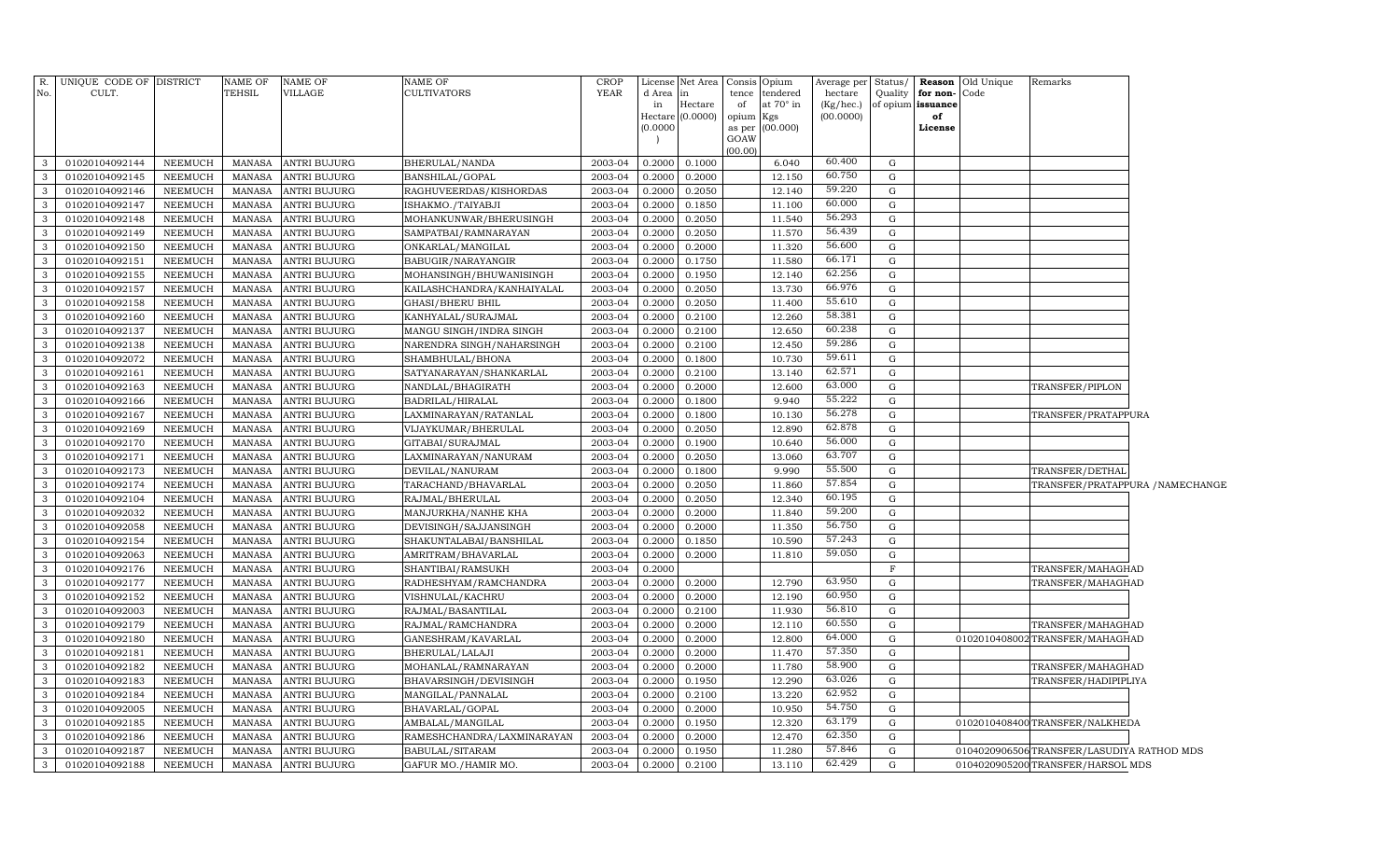| R.             | UNIQUE CODE OF DISTRICT          |                                  | NAME OF<br><b>TEHSIL</b>       | NAME OF                                    | <b>NAME OF</b>                                | <b>CROP</b><br><b>YEAR</b> |                  | License Net Area | Consis Opium                                | Average per          | Status/     |                               | <b>Reason</b> Old Unique | Remarks                                   |  |
|----------------|----------------------------------|----------------------------------|--------------------------------|--------------------------------------------|-----------------------------------------------|----------------------------|------------------|------------------|---------------------------------------------|----------------------|-------------|-------------------------------|--------------------------|-------------------------------------------|--|
| No.            | CULT.                            |                                  |                                | VILLAGE                                    | <b>CULTIVATORS</b>                            |                            | d Area<br>in     | in<br>Hectare    | tendered<br>tence<br>at $70^\circ$ in<br>of | hectare<br>(Kg/hec.) | Quality     | for non-<br>of opium issuance | Code                     |                                           |  |
|                |                                  |                                  |                                |                                            |                                               |                            | Hectare          | (0.0000)         | opium<br>Kgs                                | (00.0000)            |             | of                            |                          |                                           |  |
|                |                                  |                                  |                                |                                            |                                               |                            | (0.0000)         |                  | (00.000)<br>as per                          |                      |             | License                       |                          |                                           |  |
|                |                                  |                                  |                                |                                            |                                               |                            |                  |                  | GOAW                                        |                      |             |                               |                          |                                           |  |
| 3              | 01020104092144                   | <b>NEEMUCH</b>                   | <b>MANASA</b>                  | <b>ANTRI BUJURG</b>                        | BHERULAL/NANDA                                | 2003-04                    | 0.2000           | 0.1000           | (00.00)<br>6.040                            | 60.400               | G           |                               |                          |                                           |  |
| $\mathbf{3}$   | 01020104092145                   | <b>NEEMUCH</b>                   | <b>MANASA</b>                  | ANTRI BUJURG                               | BANSHILAL/GOPAL                               | 2003-04                    | 0.2000           | 0.2000           | 12.150                                      | 60.750               | G           |                               |                          |                                           |  |
| $\mathbf{3}$   | 01020104092146                   | <b>NEEMUCH</b>                   | <b>MANASA</b>                  | <b>ANTRI BUJURG</b>                        | RAGHUVEERDAS/KISHORDAS                        | 2003-04                    | 0.2000           | 0.2050           | 12.140                                      | 59.220               | G           |                               |                          |                                           |  |
| $\mathbf{3}$   | 01020104092147                   | <b>NEEMUCH</b>                   | <b>MANASA</b>                  | <b>ANTRI BUJURG</b>                        | ISHAKMO./TAIYABJI                             | 2003-04                    | 0.2000           | 0.1850           | 11.100                                      | 60.000               | G           |                               |                          |                                           |  |
| $\mathbf{3}$   | 01020104092148                   | <b>NEEMUCH</b>                   | <b>MANASA</b>                  | <b>ANTRI BUJURG</b>                        | MOHANKUNWAR/BHERUSINGH                        | 2003-04                    | 0.2000           | 0.2050           | 11.540                                      | 56.293               | G           |                               |                          |                                           |  |
| $\mathbf{3}$   | 01020104092149                   | <b>NEEMUCH</b>                   | <b>MANASA</b>                  | <b>ANTRI BUJURG</b>                        | SAMPATBAI/RAMNARAYAN                          | 2003-04                    | 0.2000           | 0.2050           | 11.570                                      | 56.439               | G           |                               |                          |                                           |  |
| $\mathbf{3}$   | 01020104092150                   | <b>NEEMUCH</b>                   | <b>MANASA</b>                  | <b>ANTRI BUJURG</b>                        | ONKARLAL/MANGILAL                             | 2003-04                    | 0.2000           | 0.2000           | 11.320                                      | 56.600               | G           |                               |                          |                                           |  |
| $\mathbf{3}$   | 01020104092151                   | <b>NEEMUCH</b>                   | <b>MANASA</b>                  | <b>ANTRI BUJURG</b>                        | BABUGIR/NARAYANGIR                            | 2003-04                    | 0.2000           | 0.1750           | 11.580                                      | 66.171               | G           |                               |                          |                                           |  |
| $\mathbf{3}$   | 01020104092155                   | <b>NEEMUCH</b>                   | <b>MANASA</b>                  | <b>ANTRI BUJURG</b>                        | MOHANSINGH/BHUWANISINGH                       | 2003-04                    | 0.2000           | 0.1950           | 12.140                                      | 62.256               | G           |                               |                          |                                           |  |
| $\mathbf{3}$   | 01020104092157                   | <b>NEEMUCH</b>                   | <b>MANASA</b>                  | <b>ANTRI BUJURG</b>                        | KAILASHCHANDRA/KANHAIYALAL                    | 2003-04                    | 0.2000           | 0.2050           | 13.730                                      | 66.976               | G           |                               |                          |                                           |  |
| $\mathbf{3}$   | 01020104092158                   | <b>NEEMUCH</b>                   | <b>MANASA</b>                  | <b>ANTRI BUJURG</b>                        | <b>GHASI/BHERU BHIL</b>                       | 2003-04                    | 0.2000           | 0.2050           | 11.400                                      | 55.610               | G           |                               |                          |                                           |  |
| $\mathbf{3}$   | 01020104092160                   | <b>NEEMUCH</b>                   | <b>MANASA</b>                  | <b>ANTRI BUJURG</b>                        | KANHYALAL/SURAJMAL                            | 2003-04                    | 0.2000           | 0.2100           | 12.260                                      | 58.381               | G           |                               |                          |                                           |  |
| $\mathbf{3}$   | 01020104092137                   | <b>NEEMUCH</b>                   | <b>MANASA</b>                  | <b>ANTRI BUJURG</b>                        | MANGU SINGH/INDRA SINGH                       | 2003-04                    | 0.2000           | 0.2100           | 12.650                                      | 60.238               | G           |                               |                          |                                           |  |
| 3              | 01020104092138                   | <b>NEEMUCH</b>                   | <b>MANASA</b>                  | <b>ANTRI BUJURG</b>                        | NARENDRA SINGH/NAHARSINGH                     | 2003-04                    | 0.2000           | 0.2100           | 12.450                                      | 59.286               | G           |                               |                          |                                           |  |
| $\mathbf{3}$   | 01020104092072                   | <b>NEEMUCH</b>                   | <b>MANASA</b>                  | <b>ANTRI BUJURG</b>                        | SHAMBHULAL/BHONA                              | 2003-04                    | 0.2000           | 0.1800           | 10.730                                      | 59.611               | G           |                               |                          |                                           |  |
| $\mathbf{3}$   | 01020104092161                   | <b>NEEMUCH</b>                   | <b>MANASA</b>                  | <b>ANTRI BUJURG</b>                        | SATYANARAYAN/SHANKARLAL                       | 2003-04                    | 0.2000           | 0.2100           | 13.140                                      | 62.571               | G           |                               |                          |                                           |  |
| 3              | 01020104092163                   | <b>NEEMUCH</b>                   | <b>MANASA</b>                  | <b>ANTRI BUJURG</b>                        | NANDLAL/BHAGIRATH                             | 2003-04                    | 0.2000           | 0.2000           | 12.600                                      | 63.000               | G           |                               |                          | TRANSFER/PIPLON                           |  |
| 3              | 01020104092166                   | <b>NEEMUCH</b>                   | <b>MANASA</b>                  | <b>ANTRI BUJURG</b>                        | BADRILAL/HIRALAL                              | 2003-04                    | 0.2000           | 0.1800           | 9.940                                       | 55.222               | G           |                               |                          |                                           |  |
| 3              | 01020104092167                   | <b>NEEMUCH</b>                   | <b>MANASA</b>                  | <b>ANTRI BUJURG</b>                        | LAXMINARAYAN/RATANLAL                         | 2003-04                    | 0.2000           | 0.1800           | 10.130                                      | 56.278               | G           |                               |                          | <b>TRANSFER/PRATAPPURA</b>                |  |
| 3              | 01020104092169                   | <b>NEEMUCH</b>                   | <b>MANASA</b>                  | <b>ANTRI BUJURG</b>                        | VIJAYKUMAR/BHERULAL                           | 2003-04                    | 0.2000           | 0.2050           | 12.890                                      | 62.878               | G           |                               |                          |                                           |  |
| 3              | 01020104092170                   | <b>NEEMUCH</b>                   | <b>MANASA</b>                  | <b>ANTRI BUJURG</b>                        | GITABAI/SURAJMAL                              | 2003-04                    | 0.2000           | 0.1900           | 10.640                                      | 56.000               | G           |                               |                          |                                           |  |
| 3              | 01020104092171                   | <b>NEEMUCH</b>                   | <b>MANASA</b>                  | <b>ANTRI BUJURG</b>                        | LAXMINARAYAN/NANURAM                          | 2003-04                    | 0.2000           | 0.2050           | 13.060                                      | 63.707               | G           |                               |                          |                                           |  |
| 3              | 01020104092173                   | <b>NEEMUCH</b>                   | <b>MANASA</b>                  | <b>ANTRI BUJURG</b>                        | DEVILAL/NANURAM                               | 2003-04                    | 0.2000           | 0.1800           | 9.990                                       | 55.500               | G           |                               |                          | TRANSFER/DETHAL                           |  |
| 3              | 01020104092174                   | <b>NEEMUCH</b>                   | <b>MANASA</b>                  | <b>ANTRI BUJURG</b>                        | TARACHAND/BHAVARLAL                           | 2003-04                    | 0.2000           | 0.2050           | 11.860                                      | 57.854               | G           |                               |                          | TRANSFER/PRATAPPURA / NAMECHANGE          |  |
| 3              | 01020104092104                   | <b>NEEMUCH</b>                   | <b>MANASA</b>                  | <b>ANTRI BUJURG</b>                        | RAJMAL/BHERULAL                               | 2003-04                    | 0.2000           | 0.2050           | 12.340                                      | 60.195               | G           |                               |                          |                                           |  |
| 3              | 01020104092032                   | <b>NEEMUCH</b>                   | <b>MANASA</b>                  | <b>ANTRI BUJURG</b>                        | MANJURKHA/NANHE KHA                           | 2003-04                    | 0.2000           | 0.2000           | 11.840                                      | 59.200               | G           |                               |                          |                                           |  |
| $\mathcal{E}$  | 01020104092058                   | NEEMUCH                          | <b>MANASA</b>                  | <b>ANTRI BUJURG</b>                        | DEVISINGH/SAJJANSINGH                         | 2003-04                    | 0.2000           | 0.2000           | 11.350                                      | 56.750               | G           |                               |                          |                                           |  |
| 3              | 01020104092154                   | <b>NEEMUCH</b>                   | <b>MANASA</b>                  | <b>ANTRI BUJURG</b>                        | SHAKUNTALABAI/BANSHILAL                       | 2003-04                    | 0.2000           | 0.1850           | 10.590                                      | 57.243               | G           |                               |                          |                                           |  |
| $\mathcal{E}$  | 01020104092063                   | NEEMUCH                          | <b>MANASA</b>                  | <b>ANTRI BUJURG</b>                        | AMRITRAM/BHAVARLAL                            | 2003-04                    | 0.2000           | 0.2000           | 11.810                                      | 59.050               | G           |                               |                          |                                           |  |
| 3              | 01020104092176                   | <b>NEEMUCH</b>                   | <b>MANASA</b>                  | ANTRI BUJURG                               | SHANTIBAI/RAMSUKH                             | 2003-04                    | 0.2000           |                  |                                             |                      | $\mathbf F$ |                               |                          | TRANSFER/MAHAGHAD                         |  |
| $\mathcal{E}$  | 01020104092177                   | <b>NEEMUCH</b>                   | <b>MANASA</b>                  | <b>ANTRI BUJURG</b>                        | RADHESHYAM/RAMCHANDRA                         | 2003-04                    | 0.2000           | 0.2000           | 12.790                                      | 63.950               | G           |                               |                          | TRANSFER/MAHAGHAD                         |  |
| 3              | 01020104092152                   | <b>NEEMUCH</b>                   | <b>MANASA</b>                  | <b>ANTRI BUJURG</b>                        | VISHNULAL/KACHRU                              | 2003-04                    | 0.2000           | 0.2000           | 12.190                                      | 60.950               | G           |                               |                          |                                           |  |
| $\mathcal{E}$  | 01020104092003                   | NEEMUCH                          | <b>MANASA</b>                  | ANTRI BUJURG                               | RAJMAL/BASANTILAL                             | 2003-04                    | 0.2000           | 0.2100           | 11.930                                      | 56.810<br>60.550     | G           |                               |                          |                                           |  |
| 3              | 01020104092179                   | <b>NEEMUCH</b>                   | <b>MANASA</b>                  | ANTRI BUJURG                               | RAJMAL/RAMCHANDRA                             | 2003-04                    | 0.2000           | 0.2000           | 12.110                                      | 64.000               | G           |                               |                          | TRANSFER/MAHAGHAD                         |  |
| 3              | 01020104092180                   | NEEMUCH                          | <b>MANASA</b>                  | <b>ANTRI BUJURG</b>                        | GANESHRAM/KAVARLAL                            | 2003-04                    | 0.2000           | 0.2000           | 12.800                                      | 57.350               | G           |                               |                          | 0102010408002TRANSFER/MAHAGHAD            |  |
| 3              | 01020104092181                   | <b>NEEMUCH</b>                   | <b>MANASA</b>                  | <b>ANTRI BUJURG</b>                        | BHERULAL/LALAJI                               | 2003-04                    | 0.2000           | 0.2000           | 11.470                                      | 58.900               | G           |                               |                          |                                           |  |
| 3              | 01020104092182                   | <b>NEEMUCH</b>                   | <b>MANASA</b>                  | <b>ANTRI BUJURG</b>                        | MOHANLAL/RAMNARAYAN                           | 2003-04                    | 0.2000           | 0.2000           | 11.780                                      | 63.026               | G           |                               |                          | TRANSFER/MAHAGHAD                         |  |
| 3              | 01020104092183                   | <b>NEEMUCH</b>                   | <b>MANASA</b>                  | <b>ANTRI BUJURG</b>                        | BHAVARSINGH/DEVISINGH                         | 2003-04                    | 0.2000           | 0.1950           | 12.290                                      | 62.952               | G           |                               |                          | TRANSFER/HADIPIPLIYA                      |  |
| 3<br>3         | 01020104092184                   | <b>NEEMUCH</b>                   | <b>MANASA</b>                  | <b>ANTRI BUJURG</b>                        | MANGILAL/PANNALAL                             | 2003-04                    | 0.2000           | 0.2100           | 13.220                                      | 54.750               | G           |                               |                          |                                           |  |
| 3              | 01020104092005                   | <b>NEEMUCH</b>                   | <b>MANASA</b>                  | <b>ANTRI BUJURG</b>                        | BHAVARLAL/GOPAL                               | 2003-04                    | 0.2000           | 0.2000           | 10.950                                      | 63.179               | G           |                               |                          |                                           |  |
| 3              | 01020104092185<br>01020104092186 | <b>NEEMUCH</b><br><b>NEEMUCH</b> | <b>MANASA</b><br><b>MANASA</b> | <b>ANTRI BUJURG</b><br><b>ANTRI BUJURG</b> | AMBALAL/MANGILAL                              | 2003-04<br>2003-04         | 0.2000<br>0.2000 | 0.1950<br>0.2000 | 12.320<br>12.470                            | 62.350               | G<br>G      |                               |                          | 0102010408400TRANSFER/NALKHEDA            |  |
| $\overline{3}$ | 01020104092187                   | <b>NEEMUCH</b>                   | <b>MANASA</b>                  | <b>ANTRI BUJURG</b>                        | RAMESHCHANDRA/LAXMINARAYAN<br>BABULAL/SITARAM | 2003-04                    | 0.2000           | 0.1950           | 11.280                                      | 57.846               | G           |                               |                          | 0104020906506TRANSFER/LASUDIYA RATHOD MDS |  |
| 3              | 01020104092188                   | <b>NEEMUCH</b>                   | <b>MANASA</b>                  | <b>ANTRI BUJURG</b>                        | GAFUR MO./HAMIR MO.                           | 2003-04                    | 0.2000           | 0.2100           | 13.110                                      | 62.429               | G           |                               |                          | 0104020905200 TRANSFER/HARSOL MDS         |  |
|                |                                  |                                  |                                |                                            |                                               |                            |                  |                  |                                             |                      |             |                               |                          |                                           |  |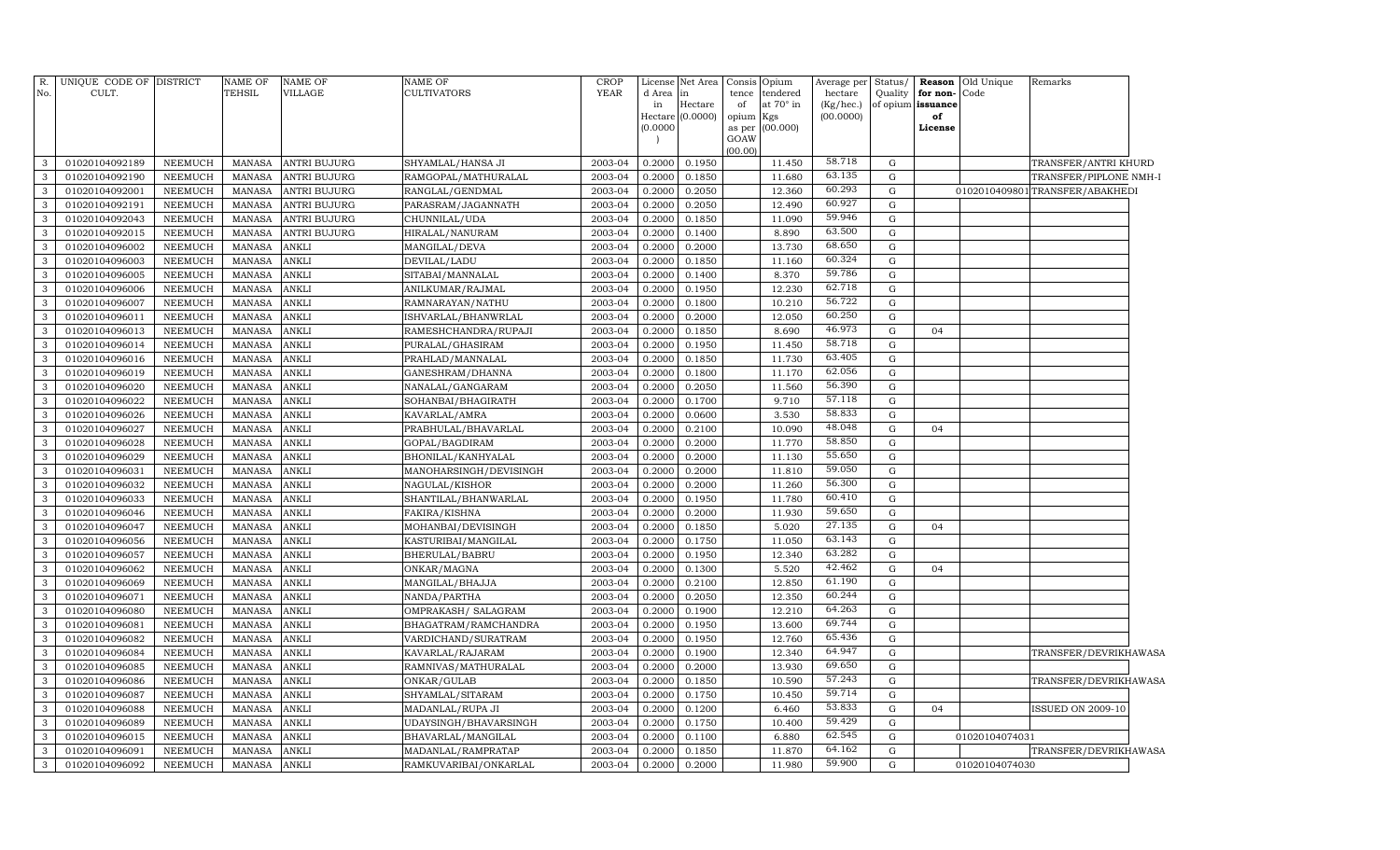| 58.718<br>2003-04<br>0.2000<br>0.1950<br>11.450<br>3<br>01020104092189<br>NEEMUCH<br>MANASA<br><b>ANTRI BUJURG</b><br>SHYAMLAL/HANSA JI<br>G<br>63.135<br>0.2000<br>0.1850<br>11.680<br>$\mathbf G$<br>3<br>01020104092190<br>NEEMUCH<br><b>MANASA</b><br><b>ANTRI BUJURG</b><br>RAMGOPAL/MATHURALAL<br>2003-04<br>60.293<br>12.360<br>3<br>01020104092001<br>NEEMUCH<br><b>MANASA</b><br><b>ANTRI BUJURG</b><br>RANGLAL/GENDMAL<br>2003-04<br>0.2000<br>0.2050<br>G<br>0102010409801 TRANSFER/ABAKHEDI<br>60.927<br>12.490<br>$\mathbf{3}$<br>01020104092191<br>NEEMUCH<br><b>MANASA</b><br><b>ANTRI BUJURG</b><br>PARASRAM/JAGANNATH<br>2003-04<br>0.2000<br>0.2050<br>G<br>59.946<br>11.090<br>3<br>01020104092043<br>NEEMUCH<br><b>MANASA</b><br>ANTRI BUJURG<br>CHUNNILAL/UDA<br>2003-04<br>0.2000<br>0.1850<br>G<br>63.500<br>$\mathbf{3}$<br>01020104092015<br>NEEMUCH<br><b>MANASA</b><br>ANTRI BUJURG<br>HIRALAL/NANURAM<br>2003-04<br>0.2000<br>0.1400<br>8.890<br>G<br>68.650<br>13.730<br>3<br>01020104096002<br>NEEMUCH<br><b>MANASA</b><br>ANKLI<br>MANGILAL/DEVA<br>2003-04<br>0.2000<br>0.2000<br>G<br>60.324<br>$\mathbf{3}$<br>01020104096003<br>NEEMUCH<br><b>MANASA</b><br>ANKLI<br>DEVILAL/LADU<br>2003-04<br>0.2000<br>0.1850<br>11.160<br>G<br>59.786<br>3<br>8.370<br>01020104096005<br>NEEMUCH<br>MANASA<br>ANKLI<br>2003-04<br>0.2000<br>0.1400<br>G<br>SITABAI/MANNALAL<br>62.718<br>3<br>01020104096006<br>NEEMUCH<br><b>MANASA</b><br>ANKLI<br>0.2000<br>0.1950<br>12.230<br>G<br>ANILKUMAR/RAJMAL<br>2003-04<br>56.722<br>10.210<br>3<br>01020104096007<br><b>NEEMUCH</b><br><b>MANASA</b><br><b>ANKLI</b><br>RAMNARAYAN/NATHU<br>2003-04<br>0.2000<br>0.1800<br>G | TRANSFER/ANTRI KHURD<br>TRANSFER/PIPLONE NMH-I |
|--------------------------------------------------------------------------------------------------------------------------------------------------------------------------------------------------------------------------------------------------------------------------------------------------------------------------------------------------------------------------------------------------------------------------------------------------------------------------------------------------------------------------------------------------------------------------------------------------------------------------------------------------------------------------------------------------------------------------------------------------------------------------------------------------------------------------------------------------------------------------------------------------------------------------------------------------------------------------------------------------------------------------------------------------------------------------------------------------------------------------------------------------------------------------------------------------------------------------------------------------------------------------------------------------------------------------------------------------------------------------------------------------------------------------------------------------------------------------------------------------------------------------------------------------------------------------------------------------------------------------------------------------------------------------------------------------|------------------------------------------------|
|                                                                                                                                                                                                                                                                                                                                                                                                                                                                                                                                                                                                                                                                                                                                                                                                                                                                                                                                                                                                                                                                                                                                                                                                                                                                                                                                                                                                                                                                                                                                                                                                                                                                                                  |                                                |
|                                                                                                                                                                                                                                                                                                                                                                                                                                                                                                                                                                                                                                                                                                                                                                                                                                                                                                                                                                                                                                                                                                                                                                                                                                                                                                                                                                                                                                                                                                                                                                                                                                                                                                  |                                                |
|                                                                                                                                                                                                                                                                                                                                                                                                                                                                                                                                                                                                                                                                                                                                                                                                                                                                                                                                                                                                                                                                                                                                                                                                                                                                                                                                                                                                                                                                                                                                                                                                                                                                                                  |                                                |
|                                                                                                                                                                                                                                                                                                                                                                                                                                                                                                                                                                                                                                                                                                                                                                                                                                                                                                                                                                                                                                                                                                                                                                                                                                                                                                                                                                                                                                                                                                                                                                                                                                                                                                  |                                                |
|                                                                                                                                                                                                                                                                                                                                                                                                                                                                                                                                                                                                                                                                                                                                                                                                                                                                                                                                                                                                                                                                                                                                                                                                                                                                                                                                                                                                                                                                                                                                                                                                                                                                                                  |                                                |
|                                                                                                                                                                                                                                                                                                                                                                                                                                                                                                                                                                                                                                                                                                                                                                                                                                                                                                                                                                                                                                                                                                                                                                                                                                                                                                                                                                                                                                                                                                                                                                                                                                                                                                  |                                                |
|                                                                                                                                                                                                                                                                                                                                                                                                                                                                                                                                                                                                                                                                                                                                                                                                                                                                                                                                                                                                                                                                                                                                                                                                                                                                                                                                                                                                                                                                                                                                                                                                                                                                                                  |                                                |
|                                                                                                                                                                                                                                                                                                                                                                                                                                                                                                                                                                                                                                                                                                                                                                                                                                                                                                                                                                                                                                                                                                                                                                                                                                                                                                                                                                                                                                                                                                                                                                                                                                                                                                  |                                                |
|                                                                                                                                                                                                                                                                                                                                                                                                                                                                                                                                                                                                                                                                                                                                                                                                                                                                                                                                                                                                                                                                                                                                                                                                                                                                                                                                                                                                                                                                                                                                                                                                                                                                                                  |                                                |
|                                                                                                                                                                                                                                                                                                                                                                                                                                                                                                                                                                                                                                                                                                                                                                                                                                                                                                                                                                                                                                                                                                                                                                                                                                                                                                                                                                                                                                                                                                                                                                                                                                                                                                  |                                                |
|                                                                                                                                                                                                                                                                                                                                                                                                                                                                                                                                                                                                                                                                                                                                                                                                                                                                                                                                                                                                                                                                                                                                                                                                                                                                                                                                                                                                                                                                                                                                                                                                                                                                                                  |                                                |
| 60.250<br>3<br><b>NEEMUCH</b><br>ANKLI<br>0.2000<br>0.2000<br>12.050<br>${\rm G}$<br>01020104096011<br><b>MANASA</b><br>ISHVARLAL/BHANWRLAL<br>2003-04                                                                                                                                                                                                                                                                                                                                                                                                                                                                                                                                                                                                                                                                                                                                                                                                                                                                                                                                                                                                                                                                                                                                                                                                                                                                                                                                                                                                                                                                                                                                           |                                                |
| 46.973<br>3<br>ANKLI<br>0.2000<br>0.1850<br>8.690<br>${\rm G}$<br>01020104096013<br>NEEMUCH<br><b>MANASA</b><br>RAMESHCHANDRA/RUPAJI<br>2003-04<br>04                                                                                                                                                                                                                                                                                                                                                                                                                                                                                                                                                                                                                                                                                                                                                                                                                                                                                                                                                                                                                                                                                                                                                                                                                                                                                                                                                                                                                                                                                                                                            |                                                |
| 58.718<br>ANKLI<br>3<br>01020104096014<br><b>NEEMUCH</b><br><b>MANASA</b><br>PURALAL/GHASIRAM<br>2003-04<br>0.2000<br>0.1950<br>11.450<br>G                                                                                                                                                                                                                                                                                                                                                                                                                                                                                                                                                                                                                                                                                                                                                                                                                                                                                                                                                                                                                                                                                                                                                                                                                                                                                                                                                                                                                                                                                                                                                      |                                                |
| 63.405<br>ANKLI<br>0.1850<br>11.730<br>3<br>01020104096016<br><b>NEEMUCH</b><br><b>MANASA</b><br>PRAHLAD/MANNALAL<br>2003-04<br>0.2000<br>G                                                                                                                                                                                                                                                                                                                                                                                                                                                                                                                                                                                                                                                                                                                                                                                                                                                                                                                                                                                                                                                                                                                                                                                                                                                                                                                                                                                                                                                                                                                                                      |                                                |
| 62.056<br>ANKLI<br>0.1800<br>11.170<br>${\rm G}$<br>$\mathbf{3}$<br>01020104096019<br>NEEMUCH<br><b>MANASA</b><br>GANESHRAM/DHANNA<br>2003-04<br>0.2000                                                                                                                                                                                                                                                                                                                                                                                                                                                                                                                                                                                                                                                                                                                                                                                                                                                                                                                                                                                                                                                                                                                                                                                                                                                                                                                                                                                                                                                                                                                                          |                                                |
| 56.390<br>ANKLI<br>11.560<br>$\mathbf{3}$<br>01020104096020<br><b>NEEMUCH</b><br><b>MANASA</b><br>NANALAL/GANGARAM<br>2003-04<br>0.2000<br>0.2050<br>G                                                                                                                                                                                                                                                                                                                                                                                                                                                                                                                                                                                                                                                                                                                                                                                                                                                                                                                                                                                                                                                                                                                                                                                                                                                                                                                                                                                                                                                                                                                                           |                                                |
| 57.118<br>$\mathbf{3}$<br>01020104096022<br>NEEMUCH<br><b>MANASA</b><br>ANKLI<br>2003-04<br>0.2000<br>0.1700<br>9.710<br>G<br>SOHANBAI/BHAGIRATH                                                                                                                                                                                                                                                                                                                                                                                                                                                                                                                                                                                                                                                                                                                                                                                                                                                                                                                                                                                                                                                                                                                                                                                                                                                                                                                                                                                                                                                                                                                                                 |                                                |
| 58.833<br>3<br>3.530<br>${\rm G}$<br>01020104096026<br>NEEMUCH<br><b>MANASA</b><br>ANKLI<br>2003-04<br>0.2000<br>0.0600<br>KAVARLAL/AMRA                                                                                                                                                                                                                                                                                                                                                                                                                                                                                                                                                                                                                                                                                                                                                                                                                                                                                                                                                                                                                                                                                                                                                                                                                                                                                                                                                                                                                                                                                                                                                         |                                                |
| 48.048<br>$\mathbf{3}$<br>01020104096027<br>NEEMUCH<br><b>MANASA</b><br>ANKLI<br>PRABHULAL/BHAVARLAL<br>2003-04<br>0.2000<br>0.2100<br>10.090<br>G<br>04                                                                                                                                                                                                                                                                                                                                                                                                                                                                                                                                                                                                                                                                                                                                                                                                                                                                                                                                                                                                                                                                                                                                                                                                                                                                                                                                                                                                                                                                                                                                         |                                                |
| 11.770<br>58.850<br>3<br>ANKLI<br>2003-04<br>0.2000<br>0.2000<br>G<br>01020104096028<br><b>NEEMUCH</b><br><b>MANASA</b><br>GOPAL/BAGDIRAM<br>55.650                                                                                                                                                                                                                                                                                                                                                                                                                                                                                                                                                                                                                                                                                                                                                                                                                                                                                                                                                                                                                                                                                                                                                                                                                                                                                                                                                                                                                                                                                                                                              |                                                |
| 3<br><b>NEEMUCH</b><br><b>MANASA</b><br>ANKLI<br>0.2000<br>0.2000<br>11.130<br>G<br>01020104096029<br>BHONILAL/KANHYALAL<br>2003-04<br>59.050                                                                                                                                                                                                                                                                                                                                                                                                                                                                                                                                                                                                                                                                                                                                                                                                                                                                                                                                                                                                                                                                                                                                                                                                                                                                                                                                                                                                                                                                                                                                                    |                                                |
| 11.810<br>3<br><b>NEEMUCH</b><br>MANASA<br>ANKLI<br>MANOHARSINGH/DEVISINGH<br>2003-04<br>0.2000<br>0.2000<br>G<br>01020104096031<br>56.300                                                                                                                                                                                                                                                                                                                                                                                                                                                                                                                                                                                                                                                                                                                                                                                                                                                                                                                                                                                                                                                                                                                                                                                                                                                                                                                                                                                                                                                                                                                                                       |                                                |
| ANKLI<br>11.260<br>3<br>01020104096032<br><b>NEEMUCH</b><br><b>MANASA</b><br>NAGULAL/KISHOR<br>2003-04<br>0.2000<br>0.2000<br>G<br>60.410                                                                                                                                                                                                                                                                                                                                                                                                                                                                                                                                                                                                                                                                                                                                                                                                                                                                                                                                                                                                                                                                                                                                                                                                                                                                                                                                                                                                                                                                                                                                                        |                                                |
| ANKLI<br>0.2000<br>0.1950<br>11.780<br>G<br>3<br>01020104096033<br><b>NEEMUCH</b><br><b>MANASA</b><br>SHANTILAL/BHANWARLAL<br>2003-04<br>59.650                                                                                                                                                                                                                                                                                                                                                                                                                                                                                                                                                                                                                                                                                                                                                                                                                                                                                                                                                                                                                                                                                                                                                                                                                                                                                                                                                                                                                                                                                                                                                  |                                                |
| ANKLI<br>0.2000<br>0.2000<br>11.930<br>$\mathbf{3}$<br>01020104096046<br>NEEMUCH<br><b>MANASA</b><br>FAKIRA/KISHNA<br>2003-04<br>G<br>27.135                                                                                                                                                                                                                                                                                                                                                                                                                                                                                                                                                                                                                                                                                                                                                                                                                                                                                                                                                                                                                                                                                                                                                                                                                                                                                                                                                                                                                                                                                                                                                     |                                                |
| ANKLI<br>5.020<br>$\mathbf G$<br>3<br>01020104096047<br>NEEMUCH<br><b>MANASA</b><br>MOHANBAI/DEVISINGH<br>2003-04<br>0.2000<br>0.1850<br>04<br>63.143                                                                                                                                                                                                                                                                                                                                                                                                                                                                                                                                                                                                                                                                                                                                                                                                                                                                                                                                                                                                                                                                                                                                                                                                                                                                                                                                                                                                                                                                                                                                            |                                                |
| $\mathbf{3}$<br>01020104096056<br>NEEMUCH<br><b>MANASA</b><br>ANKLI<br>KASTURIBAI/MANGILAL<br>2003-04<br>0.2000<br>0.1750<br>11.050<br>G<br>63.282<br>3<br>ANKLI<br>12.340<br>${\rm G}$                                                                                                                                                                                                                                                                                                                                                                                                                                                                                                                                                                                                                                                                                                                                                                                                                                                                                                                                                                                                                                                                                                                                                                                                                                                                                                                                                                                                                                                                                                          |                                                |
| 01020104096057<br><b>NEEMUCH</b><br><b>MANASA</b><br>BHERULAL/BABRU<br>2003-04<br>0.2000<br>0.1950<br>42.462<br>ANKLI<br>5.520<br>$\mathbf{3}$<br>NEEMUCH<br><b>MANASA</b><br>0.2000<br>0.1300<br>G<br>01020104096062<br>ONKAR/MAGNA<br>2003-04<br>04                                                                                                                                                                                                                                                                                                                                                                                                                                                                                                                                                                                                                                                                                                                                                                                                                                                                                                                                                                                                                                                                                                                                                                                                                                                                                                                                                                                                                                            |                                                |
| 61.190<br>12.850<br>${\rm G}$<br>$\mathbf{3}$<br><b>NEEMUCH</b><br>MANASA<br>ANKLI<br>MANGILAL/BHAJJA<br>2003-04<br>0.2000<br>0.2100<br>01020104096069                                                                                                                                                                                                                                                                                                                                                                                                                                                                                                                                                                                                                                                                                                                                                                                                                                                                                                                                                                                                                                                                                                                                                                                                                                                                                                                                                                                                                                                                                                                                           |                                                |
| 60.244<br>ANKLI<br>12.350<br><b>NEEMUCH</b><br><b>MANASA</b><br>0.2000<br>0.2050<br>G<br>3<br>01020104096071<br>NANDA/PARTHA<br>2003-04                                                                                                                                                                                                                                                                                                                                                                                                                                                                                                                                                                                                                                                                                                                                                                                                                                                                                                                                                                                                                                                                                                                                                                                                                                                                                                                                                                                                                                                                                                                                                          |                                                |
| 64.263<br>ANKLI<br>12.210<br>${\rm G}$<br>3<br>01020104096080<br><b>NEEMUCH</b><br><b>MANASA</b><br>OMPRAKASH / SALAGRAM<br>2003-04<br>0.2000<br>0.1900                                                                                                                                                                                                                                                                                                                                                                                                                                                                                                                                                                                                                                                                                                                                                                                                                                                                                                                                                                                                                                                                                                                                                                                                                                                                                                                                                                                                                                                                                                                                          |                                                |
| 69.744<br>3<br><b>NEEMUCH</b><br><b>MANASA</b><br>ANKLI<br>0.2000<br>0.1950<br>13.600<br>G<br>01020104096081<br>BHAGATRAM/RAMCHANDRA<br>2003-04                                                                                                                                                                                                                                                                                                                                                                                                                                                                                                                                                                                                                                                                                                                                                                                                                                                                                                                                                                                                                                                                                                                                                                                                                                                                                                                                                                                                                                                                                                                                                  |                                                |
| 65.436<br>3<br>ANKLI<br>0.2000<br>12.760<br>$\mathbf G$<br>01020104096082<br><b>NEEMUCH</b><br><b>MANASA</b><br>VARDICHAND/SURATRAM<br>2003-04<br>0.1950                                                                                                                                                                                                                                                                                                                                                                                                                                                                                                                                                                                                                                                                                                                                                                                                                                                                                                                                                                                                                                                                                                                                                                                                                                                                                                                                                                                                                                                                                                                                         |                                                |
| 64.947<br>3<br>ANKLI<br>12.340<br>G<br>01020104096084<br>NEEMUCH<br><b>MANASA</b><br>KAVARLAL/RAJARAM<br>2003-04<br>0.2000<br>0.1900                                                                                                                                                                                                                                                                                                                                                                                                                                                                                                                                                                                                                                                                                                                                                                                                                                                                                                                                                                                                                                                                                                                                                                                                                                                                                                                                                                                                                                                                                                                                                             | TRANSFER/DEVRIKHAWASA                          |
| 69.650<br>3<br>ANKLI<br>13.930<br>$\mathbf G$<br>01020104096085<br><b>NEEMUCH</b><br><b>MANASA</b><br>RAMNIVAS/MATHURALAL<br>2003-04<br>0.2000<br>0.2000                                                                                                                                                                                                                                                                                                                                                                                                                                                                                                                                                                                                                                                                                                                                                                                                                                                                                                                                                                                                                                                                                                                                                                                                                                                                                                                                                                                                                                                                                                                                         |                                                |
| 57.243<br>ANKLI<br>10.590<br>$\mathbf{3}$<br>01020104096086<br><b>NEEMUCH</b><br><b>MANASA</b><br>ONKAR/GULAB<br>2003-04<br>0.2000<br>0.1850<br>G                                                                                                                                                                                                                                                                                                                                                                                                                                                                                                                                                                                                                                                                                                                                                                                                                                                                                                                                                                                                                                                                                                                                                                                                                                                                                                                                                                                                                                                                                                                                                | TRANSFER/DEVRIKHAWASA                          |
| 59.714<br>ANKLI<br>10.450<br>$\mathbf G$<br>3<br>01020104096087<br>NEEMUCH<br><b>MANASA</b><br>SHYAMLAL/SITARAM<br>2003-04<br>0.2000<br>0.1750                                                                                                                                                                                                                                                                                                                                                                                                                                                                                                                                                                                                                                                                                                                                                                                                                                                                                                                                                                                                                                                                                                                                                                                                                                                                                                                                                                                                                                                                                                                                                   |                                                |
| 53.833<br>ANKLI<br>6.460<br>G<br>3<br>NEEMUCH<br><b>MANASA</b><br>MADANLAL/RUPA JI<br>0.2000<br>0.1200<br>04<br><b>ISSUED ON 2009-10</b><br>01020104096088<br>2003-04                                                                                                                                                                                                                                                                                                                                                                                                                                                                                                                                                                                                                                                                                                                                                                                                                                                                                                                                                                                                                                                                                                                                                                                                                                                                                                                                                                                                                                                                                                                            |                                                |
| 59.429<br>ANKLI<br>G<br>3<br><b>NEEMUCH</b><br>MANASA<br>UDAYSINGH/BHAVARSINGH<br>2003-04<br>0.2000<br>0.1750<br>10.400<br>01020104096089                                                                                                                                                                                                                                                                                                                                                                                                                                                                                                                                                                                                                                                                                                                                                                                                                                                                                                                                                                                                                                                                                                                                                                                                                                                                                                                                                                                                                                                                                                                                                        |                                                |
| 62.545<br>ANKLI<br>NEEMUCH<br>0.2000<br>0.1100<br>6.880<br>G<br>3<br>01020104096015<br><b>MANASA</b><br>BHAVARLAL/MANGILAL<br>2003-04<br>01020104074031                                                                                                                                                                                                                                                                                                                                                                                                                                                                                                                                                                                                                                                                                                                                                                                                                                                                                                                                                                                                                                                                                                                                                                                                                                                                                                                                                                                                                                                                                                                                          |                                                |
| 64.162<br>11.870<br>$\mathbf{3}$<br>ANKLI<br>2003-04<br>0.2000<br>0.1850<br>G<br>01020104096091<br>NEEMUCH<br><b>MANASA</b><br>MADANLAL/RAMPRATAP                                                                                                                                                                                                                                                                                                                                                                                                                                                                                                                                                                                                                                                                                                                                                                                                                                                                                                                                                                                                                                                                                                                                                                                                                                                                                                                                                                                                                                                                                                                                                |                                                |
| 59.900<br>$\mathbf{3}$<br>ANKLI<br>0.2000<br>0.2000<br>11.980<br>G<br>01020104096092<br>NEEMUCH<br>MANASA<br>RAMKUVARIBAI/ONKARLAL<br>2003-04<br>01020104074030                                                                                                                                                                                                                                                                                                                                                                                                                                                                                                                                                                                                                                                                                                                                                                                                                                                                                                                                                                                                                                                                                                                                                                                                                                                                                                                                                                                                                                                                                                                                  | TRANSFER/DEVRIKHAWASA                          |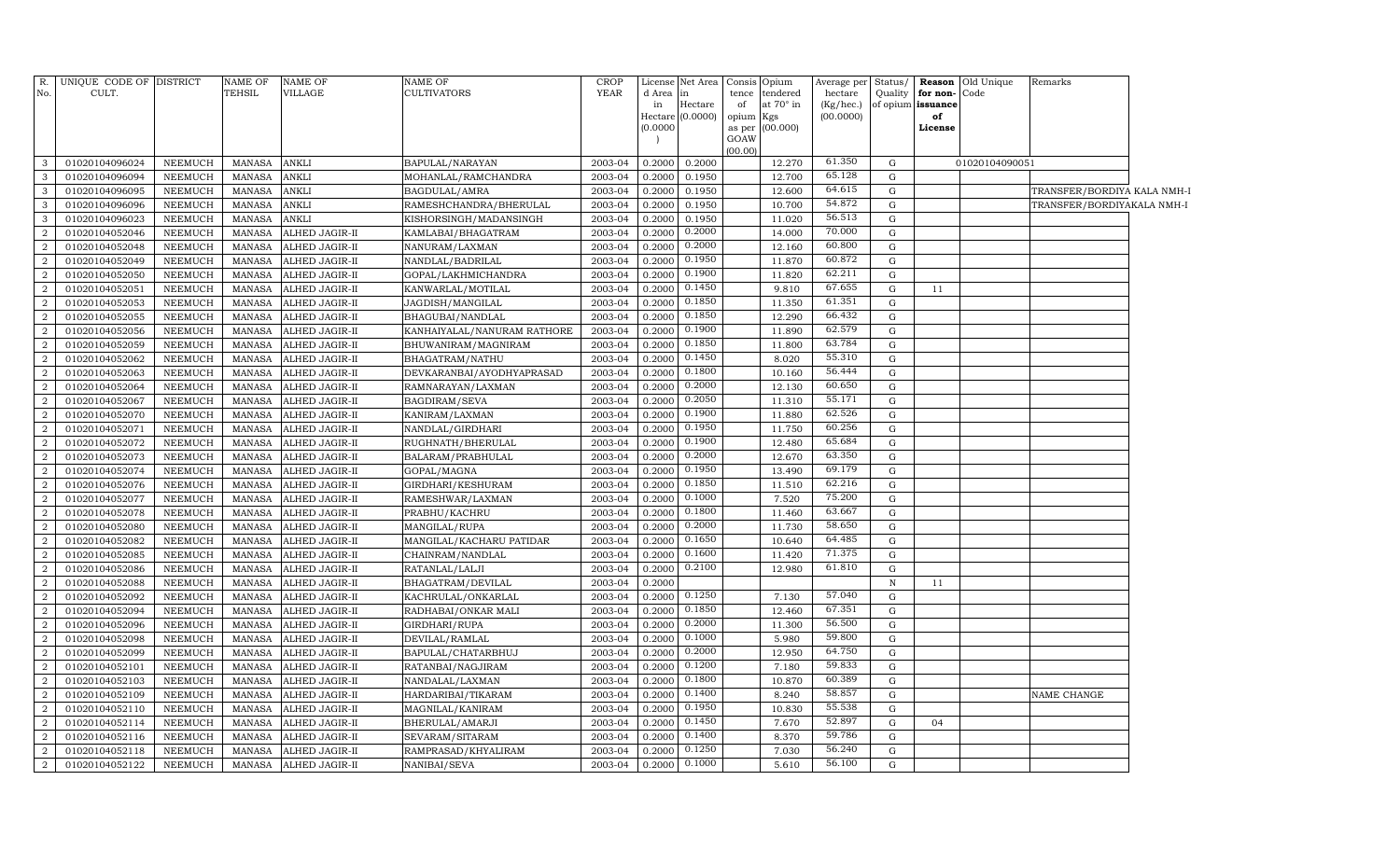| R.<br>No.      | UNIQUE CODE OF DISTRICT<br>CULT. |                 | <b>NAME OF</b><br>TEHSIL | NAME OF<br>VILLAGE    | <b>NAME OF</b><br>CULTIVATORS | CROP<br><b>YEAR</b> | d Area in | License Net Area | tence     | Consis Opium<br>tendered | Average per<br>hectare | Status/     | Quality   for non- Code | Reason Old Unique | Remarks                     |  |
|----------------|----------------------------------|-----------------|--------------------------|-----------------------|-------------------------------|---------------------|-----------|------------------|-----------|--------------------------|------------------------|-------------|-------------------------|-------------------|-----------------------------|--|
|                |                                  |                 |                          |                       |                               |                     | in        | Hectare          | of        | at 70° in                | (Kg/hec.)              |             | of opium issuance       |                   |                             |  |
|                |                                  |                 |                          |                       |                               |                     | (0.0000)  | Hectare (0.0000) | opium Kgs | as per (00.000)          | (00.0000)              |             | of<br>License           |                   |                             |  |
|                |                                  |                 |                          |                       |                               |                     |           |                  | GOAW      |                          |                        |             |                         |                   |                             |  |
|                |                                  |                 |                          |                       |                               |                     |           |                  | (00.00)   |                          |                        |             |                         |                   |                             |  |
| 3              | 01020104096024                   | NEEMUCH         | MANASA                   | <b>ANKLI</b>          | BAPULAL/NARAYAN               | 2003-04             | 0.2000    | 0.2000           |           | 12.270                   | 61.350                 | G           |                         | 01020104090051    |                             |  |
| $\mathbf{3}$   | 01020104096094                   | NEEMUCH         | MANASA                   | <b>ANKLI</b>          | MOHANLAL/RAMCHANDRA           | 2003-04             | 0.2000    | 0.1950           |           | 12.700                   | 65.128                 | G           |                         |                   |                             |  |
| $\mathbf{3}$   | 01020104096095                   | NEEMUCH         | MANASA                   | <b>ANKLI</b>          | BAGDULAL/AMRA                 | 2003-04             | 0.2000    | 0.1950           |           | 12.600                   | 64.615                 | $\mathbf G$ |                         |                   | TRANSFER/BORDIYA KALA NMH-I |  |
| $\mathbf{3}$   | 01020104096096                   | NEEMUCH         | <b>MANASA</b>            | <b>ANKLI</b>          | RAMESHCHANDRA/BHERULAL        | 2003-04             | 0.2000    | 0.1950           |           | 10.700                   | 54.872                 | $\mathbf G$ |                         |                   | TRANSFER/BORDIYAKALA NMH-I  |  |
| $\mathbf{3}$   | 01020104096023                   | NEEMUCH         | MANASA                   | <b>ANKLI</b>          | KISHORSINGH/MADANSINGH        | 2003-04             | 0.2000    | 0.1950           |           | 11.020                   | 56.513                 | $\mathbf G$ |                         |                   |                             |  |
| $\overline{2}$ | 01020104052046                   | NEEMUCH         | MANASA                   | ALHED JAGIR-II        | KAMLABAI/BHAGATRAM            | 2003-04             | 0.2000    | 0.2000           |           | 14.000                   | 70.000                 | G           |                         |                   |                             |  |
| $\overline{2}$ | 01020104052048                   | NEEMUCH         | MANASA                   | ALHED JAGIR-II        | NANURAM/LAXMAN                | 2003-04             | 0.2000    | 0.2000           |           | 12.160                   | 60.800                 | G           |                         |                   |                             |  |
| $\overline{2}$ | 01020104052049                   | NEEMUCH         | MANASA                   | ALHED JAGIR-II        | NANDLAL/BADRILAL              | 2003-04             | 0.2000    | 0.1950           |           | 11.870                   | 60.872                 | G           |                         |                   |                             |  |
| $\overline{2}$ | 01020104052050                   | <b>NEEMUCH</b>  | MANASA                   | ALHED JAGIR-II        | GOPAL/LAKHMICHANDRA           | 2003-04             | 0.2000    | 0.1900           |           | 11.820                   | 62.211                 | $\mathbf G$ |                         |                   |                             |  |
| $\overline{a}$ | 01020104052051                   | NEEMUCH         | MANASA                   | ALHED JAGIR-II        | KANWARLAL/MOTILAL             | 2003-04             | 0.2000    | 0.1450           |           | 9.810                    | 67.655                 | G           | 11                      |                   |                             |  |
| $\overline{2}$ | 01020104052053                   | <b>NEEMUCH</b>  | MANASA                   | ALHED JAGIR-II        | JAGDISH/MANGILAL              | 2003-04             | 0.2000    | 0.1850           |           | 11.350                   | 61.351                 | $\mathbf G$ |                         |                   |                             |  |
| $\overline{a}$ | 01020104052055                   | NEEMUCH         | MANASA                   | ALHED JAGIR-II        | BHAGUBAI/NANDLAL              | 2003-04             | 0.2000    | 0.1850           |           | 12.290                   | 66.432                 | G           |                         |                   |                             |  |
| $\overline{a}$ | 01020104052056                   | NEEMUCH         | MANASA                   | ALHED JAGIR-II        | KANHAIYALAL/NANURAM RATHORE   | 2003-04             | 0.2000    | 0.1900           |           | 11.890                   | 62.579                 | G           |                         |                   |                             |  |
| $\overline{2}$ | 01020104052059                   | NEEMUCH         | MANASA                   | ALHED JAGIR-II        | BHUWANIRAM/MAGNIRAM           | 2003-04             | 0.2000    | 0.1850           |           | 11.800                   | 63.784                 | G           |                         |                   |                             |  |
| $\overline{2}$ | 01020104052062                   | NEEMUCH         | <b>MANASA</b>            | ALHED JAGIR-II        | BHAGATRAM / NATHU             | 2003-04             | 0.2000    | 0.1450           |           | 8.020                    | 55.310                 | G           |                         |                   |                             |  |
| $\overline{2}$ | 01020104052063                   | NEEMUCH         | MANASA                   | ALHED JAGIR-II        | DEVKARANBAI/AYODHYAPRASAD     | 2003-04             | 0.2000    | 0.1800           |           | 10.160                   | 56.444                 | G           |                         |                   |                             |  |
| $\overline{a}$ | 01020104052064                   | NEEMUCH         | MANASA                   | ALHED JAGIR-II        | RAMNARAYAN/LAXMAN             | 2003-04             | 0.2000    | 0.2000           |           | 12.130                   | 60.650                 | G           |                         |                   |                             |  |
| $\overline{a}$ | 01020104052067                   | ${\tt NEEMUCH}$ | MANASA                   | ALHED JAGIR-II        | BAGDIRAM/SEVA                 | 2003-04             | 0.2000    | 0.2050           |           | 11.310                   | 55.171                 | G           |                         |                   |                             |  |
| $\overline{a}$ | 01020104052070                   | NEEMUCH         | MANASA                   | ALHED JAGIR-II        | KANIRAM/LAXMAN                | 2003-04             | 0.2000    | 0.1900           |           | 11.880                   | 62.526                 | G           |                         |                   |                             |  |
| $\overline{2}$ | 01020104052071                   | NEEMUCH         | <b>MANASA</b>            | ALHED JAGIR-II        | NANDLAL/GIRDHARI              | 2003-04             | 0.2000    | 0.1950           |           | 11.750                   | 60.256                 | G           |                         |                   |                             |  |
| $\overline{2}$ | 01020104052072                   | NEEMUCH         | MANASA                   | ALHED JAGIR-II        | RUGHNATH/BHERULAL             | 2003-04             | 0.2000    | 0.1900           |           | 12.480                   | 65.684                 | G           |                         |                   |                             |  |
| $\overline{2}$ | 01020104052073                   | <b>NEEMUCH</b>  | MANASA                   | ALHED JAGIR-II        | BALARAM/PRABHULAL             | 2003-04             | 0.2000    | 0.2000           |           | 12.670                   | 63.350                 | G           |                         |                   |                             |  |
| $\overline{2}$ | 01020104052074                   | <b>NEEMUCH</b>  | MANASA                   | ALHED JAGIR-II        | GOPAL/MAGNA                   | 2003-04             | 0.2000    | 0.1950           |           | 13.490                   | 69.179                 | $\mathbf G$ |                         |                   |                             |  |
| $\overline{a}$ | 01020104052076                   | NEEMUCH         | <b>MANASA</b>            | ALHED JAGIR-II        | GIRDHARI/KESHURAM             | 2003-04             | 0.2000    | 0.1850           |           | 11.510                   | 62.216                 | G           |                         |                   |                             |  |
| $\overline{2}$ | 01020104052077                   | NEEMUCH         | <b>MANASA</b>            | ALHED JAGIR-II        | RAMESHWAR/LAXMAN              | 2003-04             | 0.2000    | 0.1000           |           | 7.520                    | 75.200                 | $\mathbf G$ |                         |                   |                             |  |
| $\overline{2}$ | 01020104052078                   | NEEMUCH         | <b>MANASA</b>            | ALHED JAGIR-II        | PRABHU/KACHRU                 | 2003-04             | 0.2000    | 0.1800           |           | 11.460                   | 63.667                 | $\mathbf G$ |                         |                   |                             |  |
| $\overline{a}$ | 01020104052080                   | NEEMUCH         | MANASA                   | ALHED JAGIR-II        | MANGILAL/RUPA                 | 2003-04             | 0.2000    | 0.2000           |           | 11.730                   | 58.650                 | G           |                         |                   |                             |  |
| $\overline{a}$ | 01020104052082                   | NEEMUCH         | <b>MANASA</b>            | ALHED JAGIR-II        | MANGILAL/KACHARU PATIDAR      | 2003-04             | 0.2000    | 0.1650           |           | 10.640                   | 64.485                 | G           |                         |                   |                             |  |
| 2              | 01020104052085                   | NEEMUCH         | <b>MANASA</b>            | ALHED JAGIR-II        | CHAINRAM/NANDLAL              | 2003-04             | 0.2000    | 0.1600           |           | 11.420                   | 71.375                 | $\mathbf G$ |                         |                   |                             |  |
| $\overline{a}$ | 01020104052086                   | NEEMUCH         | MANASA                   | ALHED JAGIR-II        | RATANLAL/LALJI                | 2003-04             | 0.2000    | 0.2100           |           | 12.980                   | 61.810                 | G           |                         |                   |                             |  |
| $\overline{2}$ | 01020104052088                   | NEEMUCH         | <b>MANASA</b>            | ALHED JAGIR-II        | BHAGATRAM/DEVILAL             | 2003-04             | 0.2000    |                  |           |                          |                        | $\,$ N      | 11                      |                   |                             |  |
| $\overline{2}$ | 01020104052092                   | NEEMUCH         | <b>MANASA</b>            | ALHED JAGIR-II        | KACHRULAL/ONKARLAL            | 2003-04             | 0.2000    | 0.1250           |           | 7.130                    | 57.040                 | G           |                         |                   |                             |  |
| 2              | 01020104052094                   | NEEMUCH         | <b>MANASA</b>            | ALHED JAGIR-II        | RADHABAI/ONKAR MALI           | 2003-04             | 0.2000    | 0.1850           |           | 12.460                   | 67.351                 | G           |                         |                   |                             |  |
| $\overline{2}$ | 01020104052096                   | NEEMUCH         | MANASA                   | ALHED JAGIR-II        | GIRDHARI/RUPA                 | 2003-04             | 0.2000    | 0.2000           |           | 11.300                   | 56.500                 | G           |                         |                   |                             |  |
| $\overline{2}$ | 01020104052098                   | NEEMUCH         | <b>MANASA</b>            | ALHED JAGIR-II        | DEVILAL/RAMLAL                | 2003-04             | 0.2000    | 0.1000           |           | 5.980                    | 59.800                 | $\mathbf G$ |                         |                   |                             |  |
| $\overline{2}$ | 01020104052099                   | NEEMUCH         | <b>MANASA</b>            | ALHED JAGIR-II        | BAPULAL/CHATARBHUJ            | 2003-04             | 0.2000    | 0.2000           |           | 12.950                   | 64.750                 | $\mathbf G$ |                         |                   |                             |  |
| $\overline{2}$ | 01020104052101                   | NEEMUCH         | <b>MANASA</b>            | ALHED JAGIR-II        | RATANBAI/NAGJIRAM             | 2003-04             | 0.2000    | 0.1200           |           | 7.180                    | 59.833                 | $\mathbf G$ |                         |                   |                             |  |
| $\overline{2}$ | 01020104052103                   | NEEMUCH         | <b>MANASA</b>            | ALHED JAGIR-II        | NANDALAL/LAXMAN               | 2003-04             | 0.2000    | 0.1800           |           | 10.870                   | 60.389                 | $\mathbf G$ |                         |                   |                             |  |
| $\overline{2}$ | 01020104052109                   | NEEMUCH         | <b>MANASA</b>            | ALHED JAGIR-II        | HARDARIBAI/TIKARAM            | 2003-04             | 0.2000    | 0.1400           |           | 8.240                    | 58.857                 | G           |                         |                   | NAME CHANGE                 |  |
| $\overline{2}$ | 01020104052110                   | NEEMUCH         | <b>MANASA</b>            | ALHED JAGIR-II        | MAGNILAL/KANIRAM              | 2003-04             | 0.2000    | 0.1950           |           | 10.830                   | 55.538                 | G           |                         |                   |                             |  |
| $\overline{2}$ | 01020104052114                   | NEEMUCH         | <b>MANASA</b>            | ALHED JAGIR-II        | BHERULAL/AMARJI               | 2003-04             | 0.2000    | 0.1450           |           | 7.670                    | 52.897                 | $\mathbf G$ | 04                      |                   |                             |  |
| $\overline{2}$ | 01020104052116                   | NEEMUCH         | <b>MANASA</b>            | ALHED JAGIR-II        | SEVARAM / SITARAM             | 2003-04             | 0.2000    | 0.1400           |           | 8.370                    | 59.786                 | G           |                         |                   |                             |  |
| $\overline{a}$ | 01020104052118                   | ${\tt NEEMUCH}$ | MANASA                   | ALHED JAGIR-II        | RAMPRASAD/KHYALIRAM           | 2003-04             | 0.2000    | 0.1250           |           | 7.030                    | 56.240                 | ${\rm G}$   |                         |                   |                             |  |
| 2              | 01020104052122                   | NEEMUCH         |                          | MANASA ALHED JAGIR-II | NANIBAI/SEVA                  | 2003-04             |           | 0.2000 0.1000    |           | 5.610                    | 56.100                 | $\mathbf G$ |                         |                   |                             |  |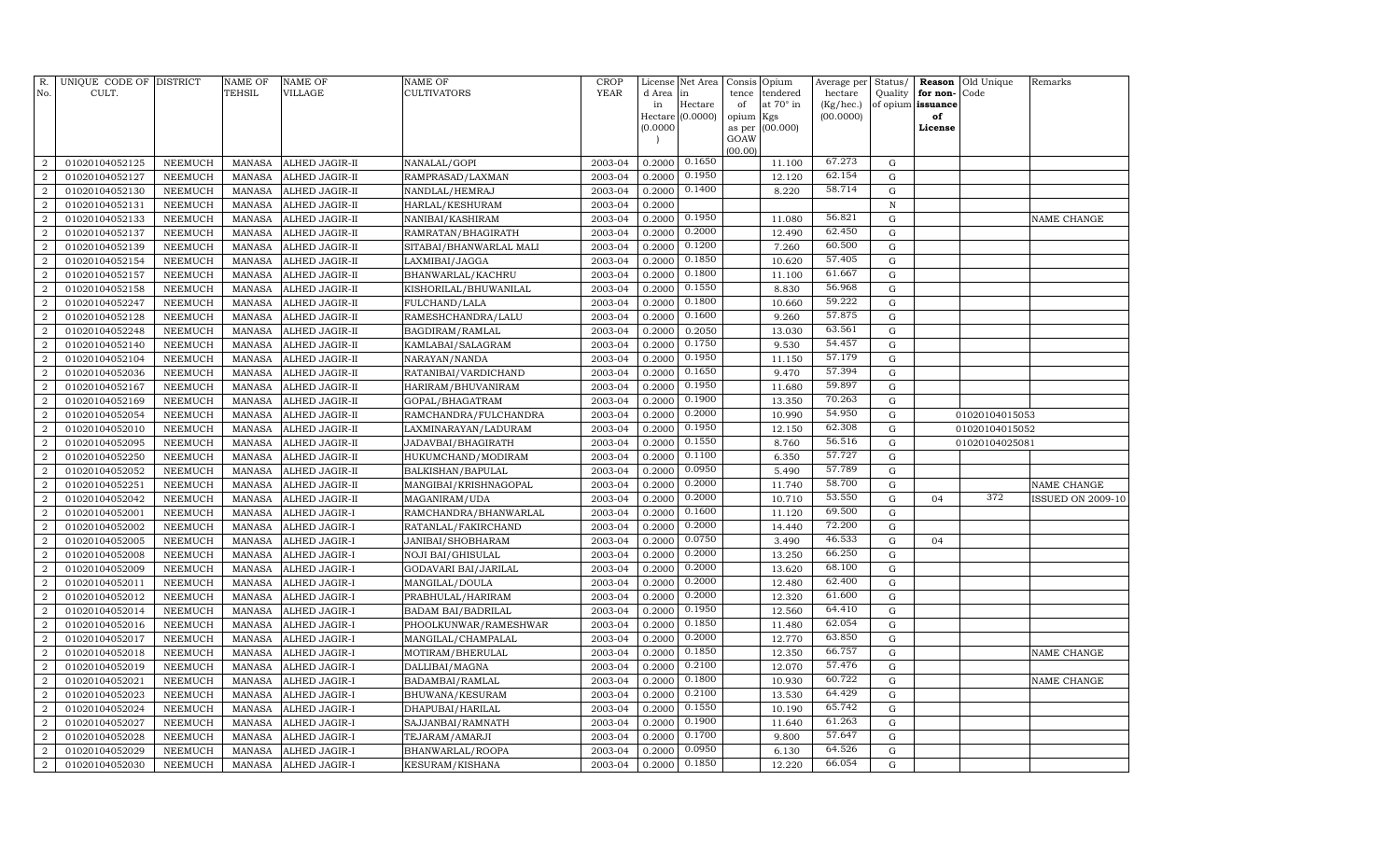| R.<br>No.             | UNIQUE CODE OF DISTRICT<br>CULT. |                                  | NAME OF<br><b>TEHSIL</b>       | <b>NAME OF</b><br>VILLAGE      | <b>NAME OF</b><br>CULTIVATORS     | CROP<br><b>YEAR</b> | d Area           | License Net Area<br>in | Consis<br>tence | Opium<br>tendered | Average per<br>hectare | Status/<br>Quality | Reason<br>for non- | Old Unique<br>Code | Remarks                  |
|-----------------------|----------------------------------|----------------------------------|--------------------------------|--------------------------------|-----------------------------------|---------------------|------------------|------------------------|-----------------|-------------------|------------------------|--------------------|--------------------|--------------------|--------------------------|
|                       |                                  |                                  |                                |                                |                                   |                     | in               | Hectare                | of              | at 70° in         | (Kg/hec.)              | of opium           | issuance           |                    |                          |
|                       |                                  |                                  |                                |                                |                                   |                     |                  | Hectare (0.0000)       | opium           | Kgs               | (00.0000)              |                    | of                 |                    |                          |
|                       |                                  |                                  |                                |                                |                                   |                     | (0.0000)         |                        | as per          | (00.000)          |                        |                    | License            |                    |                          |
|                       |                                  |                                  |                                |                                |                                   |                     |                  |                        | GOAW<br>(00.00) |                   |                        |                    |                    |                    |                          |
| $\overline{2}$        | 01020104052125                   | NEEMUCH                          | <b>MANASA</b>                  | ALHED JAGIR-II                 | NANALAL/GOPI                      | 2003-04             | 0.2000           | 0.1650                 |                 | 11.100            | 67.273                 | $\mathbf G$        |                    |                    |                          |
| $\overline{2}$        | 01020104052127                   | NEEMUCH                          | <b>MANASA</b>                  | ALHED JAGIR-II                 | RAMPRASAD/LAXMAN                  | 2003-04             | 0.2000           | 0.1950                 |                 | 12.120            | 62.154                 | $\mathbf G$        |                    |                    |                          |
| $\overline{a}$        | 01020104052130                   | NEEMUCH                          | <b>MANASA</b>                  | ALHED JAGIR-II                 | NANDLAL/HEMRAJ                    | 2003-04             | 0.2000           | 0.1400                 |                 | 8.220             | 58.714                 | G                  |                    |                    |                          |
| $\overline{2}$        | 01020104052131                   | NEEMUCH                          | <b>MANASA</b>                  | ALHED JAGIR-II                 | HARLAL/KESHURAM                   | 2003-04             | 0.2000           |                        |                 |                   |                        | $\, {\rm N}$       |                    |                    |                          |
| $\boldsymbol{2}$      | 01020104052133                   | <b>NEEMUCH</b>                   | <b>MANASA</b>                  | ALHED JAGIR-II                 | NANIBAI/KASHIRAM                  | 2003-04             | 0.2000           | 0.1950                 |                 | 11.080            | 56.821                 | G                  |                    |                    | NAME CHANGE              |
| $\overline{2}$        | 01020104052137                   | <b>NEEMUCH</b>                   | <b>MANASA</b>                  | ALHED JAGIR-II                 | RAMRATAN/BHAGIRATH                | 2003-04             | 0.2000           | 0.2000                 |                 | 12.490            | 62.450                 | G                  |                    |                    |                          |
| $\overline{2}$        | 01020104052139                   | <b>NEEMUCH</b>                   | <b>MANASA</b>                  | ALHED JAGIR-II                 | SITABAI/BHANWARLAL MALI           | 2003-04             | 0.2000           | 0.1200                 |                 | 7.260             | 60.500                 | G                  |                    |                    |                          |
| $\overline{2}$        | 01020104052154                   | <b>NEEMUCH</b>                   | <b>MANASA</b>                  | ALHED JAGIR-II                 | LAXMIBAI/JAGGA                    | 2003-04             | 0.2000           | 0.1850                 |                 | 10.620            | 57.405                 | $\mathbf G$        |                    |                    |                          |
| $\overline{2}$        | 01020104052157                   | NEEMUCH                          | <b>MANASA</b>                  | ALHED JAGIR-II                 | BHANWARLAL/KACHRU                 | 2003-04             | 0.2000           | 0.1800                 |                 | 11.100            | 61.667                 | $\mathbf G$        |                    |                    |                          |
| $\overline{2}$        | 01020104052158                   | <b>NEEMUCH</b>                   | <b>MANASA</b>                  | ALHED JAGIR-II                 | KISHORILAL/BHUWANILAL             | 2003-04             | 0.2000           | 0.1550                 |                 | 8.830             | 56.968                 | $\mathbf G$        |                    |                    |                          |
| $\overline{a}$        | 01020104052247                   | <b>NEEMUCH</b>                   | <b>MANASA</b>                  | ALHED JAGIR-II                 | FULCHAND/LALA                     | 2003-04             | 0.2000           | 0.1800                 |                 | 10.660            | 59.222                 | $\mathbf G$        |                    |                    |                          |
| $\boldsymbol{2}$      | 01020104052128                   | <b>NEEMUCH</b>                   | <b>MANASA</b>                  | ALHED JAGIR-II                 | RAMESHCHANDRA/LALU                | 2003-04             | 0.2000           | 0.1600                 |                 | 9.260             | 57.875                 | G                  |                    |                    |                          |
| $\overline{2}$        | 01020104052248                   | <b>NEEMUCH</b>                   | <b>MANASA</b>                  | ALHED JAGIR-II                 | BAGDIRAM/RAMLAL                   | 2003-04             | 0.2000           | 0.2050                 |                 | 13.030            | 63.561                 | ${\rm G}$          |                    |                    |                          |
| $\overline{2}$        | 01020104052140                   | <b>NEEMUCH</b>                   | <b>MANASA</b>                  | ALHED JAGIR-II                 | KAMLABAI/SALAGRAM                 | 2003-04             | 0.2000           | 0.1750                 |                 | 9.530             | 54.457                 | G                  |                    |                    |                          |
| 2                     | 01020104052104                   | <b>NEEMUCH</b>                   | <b>MANASA</b>                  | ALHED JAGIR-II                 | NARAYAN/NANDA                     | 2003-04             | 0.2000           | 0.1950                 |                 | 11.150            | 57.179                 | G                  |                    |                    |                          |
| $\overline{2}$        | 01020104052036                   | <b>NEEMUCH</b>                   | <b>MANASA</b>                  | ALHED JAGIR-II                 | RATANIBAI/VARDICHAND              | 2003-04             | 0.2000           | 0.1650                 |                 | 9.470             | 57.394                 | G                  |                    |                    |                          |
| 2                     | 01020104052167                   | <b>NEEMUCH</b>                   | <b>MANASA</b>                  | ALHED JAGIR-II                 | HARIRAM/BHUVANIRAM                | 2003-04             | 0.2000           | 0.1950                 |                 | 11.680            | 59.897                 | G                  |                    |                    |                          |
| $\overline{2}$        | 01020104052169                   | <b>NEEMUCH</b>                   | <b>MANASA</b>                  | ALHED JAGIR-II                 | GOPAL/BHAGATRAM                   | 2003-04             | 0.2000           | 0.1900                 |                 | 13.350            | 70.263                 | $\mathbf G$        |                    |                    |                          |
| $\overline{a}$        | 01020104052054                   | NEEMUCH                          | <b>MANASA</b>                  | ALHED JAGIR-II                 | RAMCHANDRA/FULCHANDRA             | 2003-04             | 0.2000           | 0.2000                 |                 | 10.990            | 54.950                 | $\mathbf G$        |                    | 01020104015053     |                          |
| $\overline{2}$        | 01020104052010                   | <b>NEEMUCH</b>                   | <b>MANASA</b>                  | ALHED JAGIR-II                 | LAXMINARAYAN/LADURAM              | 2003-04             | 0.2000           | 0.1950                 |                 | 12.150            | 62.308                 | $\mathbf G$        |                    | 01020104015052     |                          |
| $\overline{2}$        | 01020104052095                   | <b>NEEMUCH</b>                   | <b>MANASA</b>                  | ALHED JAGIR-II                 | JADAVBAI/BHAGIRATH                | 2003-04             | 0.2000           | 0.1550                 |                 | 8.760             | 56.516                 | ${\rm G}$          |                    | 01020104025081     |                          |
| $\overline{2}$        | 01020104052250                   | <b>NEEMUCH</b>                   | <b>MANASA</b>                  | ALHED JAGIR-II                 | HUKUMCHAND/MODIRAM                | 2003-04             | 0.2000           | 0.1100                 |                 | 6.350             | 57.727                 | $\mathbf G$        |                    |                    |                          |
| $\overline{a}$        | 01020104052052                   | <b>NEEMUCH</b>                   | <b>MANASA</b>                  | ALHED JAGIR-II                 | BALKISHAN/BAPULAL                 | 2003-04             | 0.2000           | 0.0950                 |                 | 5.490             | 57.789                 | $\mathbf G$        |                    |                    |                          |
| $\overline{2}$        | 01020104052251                   | <b>NEEMUCH</b>                   | <b>MANASA</b>                  | ALHED JAGIR-II                 | MANGIBAI/KRISHNAGOPAL             | 2003-04             | 0.2000           | 0.2000                 |                 | 11.740            | 58.700                 | G                  |                    |                    | NAME CHANGE              |
| 2                     | 01020104052042                   | <b>NEEMUCH</b>                   | <b>MANASA</b>                  | ALHED JAGIR-II                 | MAGANIRAM/UDA                     | 2003-04             | 0.2000           | 0.2000                 |                 | 10.710            | 53.550                 | G                  | 04                 | 372                | <b>ISSUED ON 2009-10</b> |
| $\overline{2}$        | 01020104052001                   | <b>NEEMUCH</b>                   | MANASA                         | ALHED JAGIR-I                  | RAMCHANDRA/BHANWARLAL             | 2003-04             | 0.2000           | 0.1600                 |                 | 11.120            | 69.500                 | G                  |                    |                    |                          |
| 2                     | 01020104052002                   | <b>NEEMUCH</b>                   | <b>MANASA</b>                  | ALHED JAGIR-I                  | RATANLAL/FAKIRCHAND               | 2003-04             | 0.2000           | 0.2000                 |                 | 14.440            | 72.200                 | G                  |                    |                    |                          |
| $\overline{2}$        | 01020104052005                   | <b>NEEMUCH</b>                   | <b>MANASA</b>                  | ALHED JAGIR-I                  | JANIBAI/SHOBHARAM                 | 2003-04             | 0.2000           | 0.0750                 |                 | 3.490             | 46.533                 | $\mathbf G$        | 04                 |                    |                          |
| $\overline{a}$        | 01020104052008                   | <b>NEEMUCH</b>                   | <b>MANASA</b>                  | ALHED JAGIR-I                  | <b>NOJI BAI/GHISULAL</b>          | 2003-04             | 0.2000           | 0.2000                 |                 | 13.250            | 66.250                 | $\mathbf G$        |                    |                    |                          |
| $\overline{2}$        | 01020104052009                   | <b>NEEMUCH</b>                   | <b>MANASA</b>                  | ALHED JAGIR-I                  | GODAVARI BAI/JARILAL              | 2003-04             | 0.2000           | 0.2000<br>0.2000       |                 | 13.620            | 68.100<br>62.400       | G                  |                    |                    |                          |
| $\overline{2}$        | 01020104052011                   | <b>NEEMUCH</b>                   | <b>MANASA</b>                  | ALHED JAGIR-I                  | MANGILAL/DOULA                    | 2003-04             | 0.2000           | 0.2000                 |                 | 12.480            | 61.600                 | $\mathbf G$        |                    |                    |                          |
| $\boldsymbol{2}$      | 01020104052012                   | NEEMUCH                          | <b>MANASA</b>                  | ALHED JAGIR-I                  | PRABHULAL/HARIRAM                 | 2003-04             | 0.2000           | 0.1950                 |                 | 12.320            | 64.410                 | ${\rm G}$          |                    |                    |                          |
| $\overline{a}$        | 01020104052014                   | <b>NEEMUCH</b>                   | <b>MANASA</b>                  | ALHED JAGIR-I                  | BADAM BAI/BADRILAL                | 2003-04             | 0.2000           | 0.1850                 |                 | 12.560            | 62.054                 | G                  |                    |                    |                          |
| $\boldsymbol{2}$<br>2 | 01020104052016                   | <b>NEEMUCH</b>                   | <b>MANASA</b>                  | ALHED JAGIR-I                  | PHOOLKUNWAR/RAMESHWAR             | 2003-04             | 0.2000           | 0.2000                 |                 | 11.480<br>12.770  | 63.850                 | ${\rm G}$          |                    |                    |                          |
| $\overline{2}$        | 01020104052017                   | <b>NEEMUCH</b><br><b>NEEMUCH</b> | <b>MANASA</b><br><b>MANASA</b> | ALHED JAGIR-I                  | MANGILAL/CHAMPALAL                | 2003-04<br>2003-04  | 0.2000<br>0.2000 | 0.1850                 |                 |                   | 66.757                 | G<br>G             |                    |                    | NAME CHANGE              |
| $\overline{a}$        | 01020104052018<br>01020104052019 |                                  | <b>MANASA</b>                  | ALHED JAGIR-I<br>ALHED JAGIR-I | MOTIRAM/BHERULAL                  | 2003-04             | 0.2000           | 0.2100                 |                 | 12.350<br>12.070  | 57.476                 | ${\rm G}$          |                    |                    |                          |
| $\overline{2}$        | 01020104052021                   | NEEMUCH<br><b>NEEMUCH</b>        | <b>MANASA</b>                  | ALHED JAGIR-I                  | DALLIBAI/MAGNA<br>BADAMBAI/RAMLAL | 2003-04             | 0.2000           | 0.1800                 |                 | 10.930            | 60.722                 | $\mathbf G$        |                    |                    | NAME CHANGE              |
| $\overline{2}$        | 01020104052023                   | <b>NEEMUCH</b>                   | <b>MANASA</b>                  | ALHED JAGIR-I                  | BHUWANA/KESURAM                   | 2003-04             | 0.2000           | 0.2100                 |                 | 13.530            | 64.429                 | $\mathbf G$        |                    |                    |                          |
| $\overline{2}$        | 01020104052024                   | NEEMUCH                          | <b>MANASA</b>                  | ALHED JAGIR-I                  | DHAPUBAI/HARILAL                  | 2003-04             | 0.2000           | 0.1550                 |                 | 10.190            | 65.742                 | $\mathbf G$        |                    |                    |                          |
| $\overline{2}$        | 01020104052027                   | <b>NEEMUCH</b>                   | <b>MANASA</b>                  | ALHED JAGIR-I                  | SAJJANBAI/RAMNATH                 | 2003-04             | 0.2000           | 0.1900                 |                 | 11.640            | 61.263                 | $\mathbf G$        |                    |                    |                          |
| $\overline{2}$        | 01020104052028                   | NEEMUCH                          | <b>MANASA</b>                  | ALHED JAGIR-I                  | TEJARAM/AMARJI                    | 2003-04             | 0.2000           | 0.1700                 |                 | 9.800             | 57.647                 | ${\rm G}$          |                    |                    |                          |
| $\overline{a}$        | 01020104052029                   | <b>NEEMUCH</b>                   | <b>MANASA</b>                  | ALHED JAGIR-I                  | BHANWARLAL/ROOPA                  | 2003-04             | 0.2000           | 0.0950                 |                 | 6.130             | 64.526                 | G                  |                    |                    |                          |
| $\overline{2}$        | 01020104052030                   | <b>NEEMUCH</b>                   | <b>MANASA</b>                  | ALHED JAGIR-I                  | KESURAM/KISHANA                   | 2003-04             | 0.2000           | 0.1850                 |                 | 12.220            | 66.054                 | G                  |                    |                    |                          |
|                       |                                  |                                  |                                |                                |                                   |                     |                  |                        |                 |                   |                        |                    |                    |                    |                          |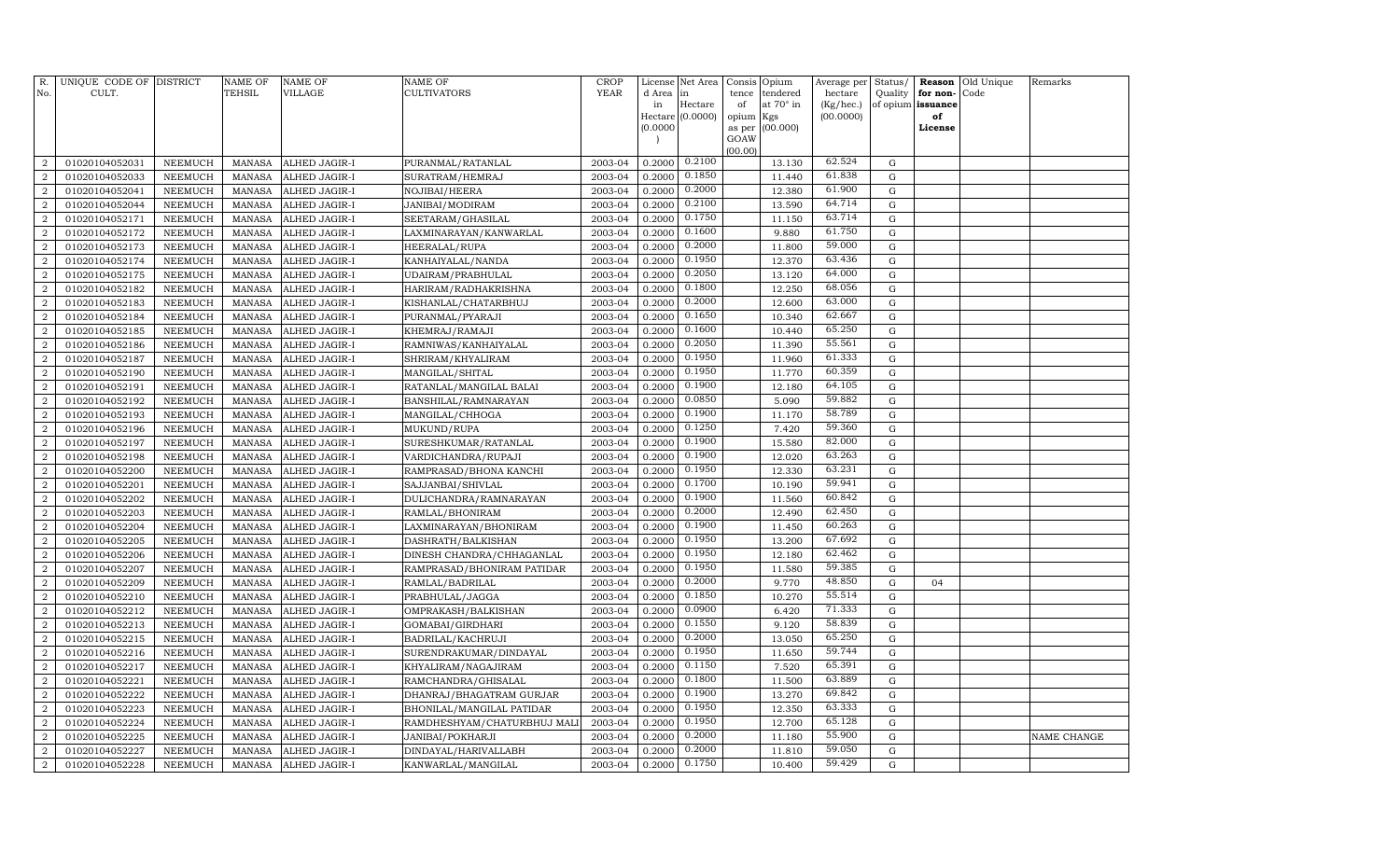| R.<br>No.                        | UNIQUE CODE OF DISTRICT<br>CULT. |                                  | NAME OF<br><b>TEHSIL</b> | <b>NAME OF</b><br>VILLAGE      | <b>NAME OF</b><br>CULTIVATORS                | <b>CROP</b><br><b>YEAR</b> | License<br>d Area | Net Area<br>in              | Consis<br>tence | Opium<br>tendered | Average per<br>hectare | Status/<br>Quality | Reason<br>for non- | Old Unique<br>Code | Remarks     |
|----------------------------------|----------------------------------|----------------------------------|--------------------------|--------------------------------|----------------------------------------------|----------------------------|-------------------|-----------------------------|-----------------|-------------------|------------------------|--------------------|--------------------|--------------------|-------------|
|                                  |                                  |                                  |                          |                                |                                              |                            | in                | Hectare<br>Hectare (0.0000) | of<br>opium     | at 70° in<br>Kgs  | (Kg/hec.)<br>(00.0000) | of opium           | issuance<br>of     |                    |             |
|                                  |                                  |                                  |                          |                                |                                              |                            | (0.0000)          |                             | as per          | (00.000)          |                        |                    | License            |                    |             |
|                                  |                                  |                                  |                          |                                |                                              |                            |                   |                             | GOAW            |                   |                        |                    |                    |                    |             |
|                                  |                                  |                                  |                          |                                |                                              |                            |                   |                             | (00.00)         |                   |                        |                    |                    |                    |             |
| $\overline{a}$                   | 01020104052031                   | NEEMUCH                          | MANASA                   | ALHED JAGIR-I                  | PURANMAL/RATANLAL                            | 2003-04                    | 0.2000            | 0.2100                      |                 | 13.130            | 62.524                 | $\mathbf G$        |                    |                    |             |
| $\overline{a}$                   | 01020104052033                   | <b>NEEMUCH</b>                   | <b>MANASA</b>            | ALHED JAGIR-I                  | SURATRAM/HEMRAJ                              | 2003-04                    | 0.2000            | 0.1850                      |                 | 11.440            | 61.838                 | $\mathbf G$        |                    |                    |             |
| $\overline{a}$                   | 01020104052041                   | NEEMUCH                          | MANASA                   | ALHED JAGIR-I                  | NOJIBAI/HEERA                                | 2003-04                    | 0.2000            | 0.2000                      |                 | 12.380            | 61.900<br>64.714       | G                  |                    |                    |             |
| $\overline{a}$                   | 01020104052044                   | <b>NEEMUCH</b>                   | MANASA                   | ALHED JAGIR-I                  | JANIBAI/MODIRAM                              | 2003-04                    | 0.2000            | 0.2100<br>0.1750            |                 | 13.590            | 63.714                 | G                  |                    |                    |             |
| $\overline{2}$                   | 01020104052171                   | <b>NEEMUCH</b>                   | <b>MANASA</b>            | ALHED JAGIR-I                  | SEETARAM/GHASILAL                            | 2003-04                    | 0.2000            | 0.1600                      |                 | 11.150            | 61.750                 | G                  |                    |                    |             |
| $\overline{2}$                   | 01020104052172                   | <b>NEEMUCH</b>                   | MANASA                   | ALHED JAGIR-I                  | LAXMINARAYAN/KANWARLAL                       | 2003-04                    | 0.2000            | 0.2000                      |                 | 9.880             | 59.000                 | $\mathbf G$        |                    |                    |             |
| 2                                | 01020104052173                   | <b>NEEMUCH</b>                   | MANASA                   | ALHED JAGIR-I                  | <b>HEERALAL/RUPA</b>                         | 2003-04                    | 0.2000            | 0.1950                      |                 | 11.800            | 63.436                 | $\mathbf G$        |                    |                    |             |
| $\overline{2}$<br>$\overline{2}$ | 01020104052174                   | <b>NEEMUCH</b><br><b>NEEMUCH</b> | MANASA<br><b>MANASA</b>  | ALHED JAGIR-I                  | KANHAIYALAL/NANDA                            | 2003-04<br>2003-04         | 0.2000<br>0.2000  | 0.2050                      |                 | 12.370<br>13.120  | 64.000                 | $\mathbf G$<br>G   |                    |                    |             |
| $\overline{2}$                   | 01020104052175                   | <b>NEEMUCH</b>                   |                          | ALHED JAGIR-I                  | UDAIRAM/PRABHULAL                            |                            | 0.2000            | 0.1800                      |                 | 12.250            | 68.056                 | G                  |                    |                    |             |
| $\overline{a}$                   | 01020104052182<br>01020104052183 | <b>NEEMUCH</b>                   | MANASA<br><b>MANASA</b>  | ALHED JAGIR-I<br>ALHED JAGIR-I | HARIRAM/RADHAKRISHNA<br>KISHANLAL/CHATARBHUJ | 2003-04<br>2003-04         | 0.2000            | 0.2000                      |                 | 12.600            | 63.000                 | $\mathbf G$        |                    |                    |             |
| $\overline{a}$                   | 01020104052184                   | <b>NEEMUCH</b>                   | <b>MANASA</b>            | ALHED JAGIR-I                  | PURANMAL/PYARAJI                             | 2003-04                    | 0.2000            | 0.1650                      |                 | 10.340            | 62.667                 | $\mathbf G$        |                    |                    |             |
| $\overline{2}$                   | 01020104052185                   | <b>NEEMUCH</b>                   | <b>MANASA</b>            | ALHED JAGIR-I                  | KHEMRAJ/RAMAJI                               | 2003-04                    | 0.2000            | 0.1600                      |                 | 10.440            | 65.250                 | $\mathbf G$        |                    |                    |             |
| $\overline{2}$                   | 01020104052186                   | NEEMUCH                          | MANASA                   | ALHED JAGIR-I                  | RAMNIWAS/KANHAIYALAL                         | 2003-04                    | 0.2000            | 0.2050                      |                 | 11.390            | 55.561                 | $\mathbf G$        |                    |                    |             |
| $\overline{2}$                   | 01020104052187                   | NEEMUCH                          | <b>MANASA</b>            | ALHED JAGIR-I                  | SHRIRAM/KHYALIRAM                            | 2003-04                    | 0.2000            | 0.1950                      |                 | 11.960            | 61.333                 | $\mathbf G$        |                    |                    |             |
| $\overline{2}$                   | 01020104052190                   | NEEMUCH                          | MANASA                   | ALHED JAGIR-I                  | MANGILAL/SHITAL                              | 2003-04                    | 0.2000            | 0.1950                      |                 | 11.770            | 60.359                 | $\mathbf G$        |                    |                    |             |
| $\overline{2}$                   | 01020104052191                   | NEEMUCH                          | <b>MANASA</b>            | ALHED JAGIR-I                  | RATANLAL/MANGILAL BALAI                      | 2003-04                    | 0.2000            | 0.1900                      |                 | 12.180            | 64.105                 | G                  |                    |                    |             |
| $\overline{a}$                   | 01020104052192                   | <b>NEEMUCH</b>                   | <b>MANASA</b>            | ALHED JAGIR-I                  | BANSHILAL/RAMNARAYAN                         | 2003-04                    | 0.2000            | 0.0850                      |                 | 5.090             | 59.882                 | ${\rm G}$          |                    |                    |             |
| $\overline{2}$                   | 01020104052193                   | NEEMUCH                          | <b>MANASA</b>            | ALHED JAGIR-I                  | MANGILAL/CHHOGA                              | 2003-04                    | 0.2000            | 0.1900                      |                 | 11.170            | 58.789                 | ${\rm G}$          |                    |                    |             |
| $\overline{a}$                   | 01020104052196                   | NEEMUCH                          | <b>MANASA</b>            | ALHED JAGIR-I                  | MUKUND/RUPA                                  | 2003-04                    | 0.2000            | 0.1250                      |                 | 7.420             | 59.360                 | $\mathbf G$        |                    |                    |             |
| $\overline{2}$                   | 01020104052197                   | NEEMUCH                          | <b>MANASA</b>            | ALHED JAGIR-I                  | SURESHKUMAR/RATANLAL                         | 2003-04                    | 0.2000            | 0.1900                      |                 | 15.580            | 82.000                 | G                  |                    |                    |             |
| $\overline{2}$                   | 01020104052198                   | <b>NEEMUCH</b>                   | <b>MANASA</b>            | ALHED JAGIR-I                  | VARDICHANDRA/RUPAJI                          | 2003-04                    | 0.2000            | 0.1900                      |                 | 12.020            | 63.263                 | $\mathbf G$        |                    |                    |             |
| $\overline{2}$                   | 01020104052200                   | NEEMUCH                          | <b>MANASA</b>            | ALHED JAGIR-I                  | RAMPRASAD/BHONA KANCHI                       | 2003-04                    | 0.2000            | 0.1950                      |                 | 12.330            | 63.231                 | $\mathbf G$        |                    |                    |             |
| $\overline{2}$                   | 01020104052201                   | <b>NEEMUCH</b>                   | MANASA                   | ALHED JAGIR-I                  | SAJJANBAI/SHIVLAL                            | 2003-04                    | 0.2000            | 0.1700                      |                 | 10.190            | 59.941                 | $\mathbf G$        |                    |                    |             |
| $\overline{2}$                   | 01020104052202                   | NEEMUCH                          | <b>MANASA</b>            | ALHED JAGIR-I                  | DULICHANDRA/RAMNARAYAN                       | 2003-04                    | 0.2000            | 0.1900                      |                 | 11.560            | 60.842                 | $\mathbf G$        |                    |                    |             |
| $\overline{2}$                   | 01020104052203                   | <b>NEEMUCH</b>                   | <b>MANASA</b>            | ALHED JAGIR-I                  | RAMLAL/BHONIRAM                              | 2003-04                    | 0.2000            | 0.2000                      |                 | 12.490            | 62.450                 | $\mathbf G$        |                    |                    |             |
| $\overline{2}$                   | 01020104052204                   | <b>NEEMUCH</b>                   | <b>MANASA</b>            | ALHED JAGIR-I                  | LAXMINARAYAN/BHONIRAM                        | 2003-04                    | 0.2000            | 0.1900                      |                 | 11.450            | 60.263                 | $\mathbf G$        |                    |                    |             |
| $\boldsymbol{2}$                 | 01020104052205                   | <b>NEEMUCH</b>                   | <b>MANASA</b>            | ALHED JAGIR-I                  | DASHRATH/BALKISHAN                           | 2003-04                    | 0.2000            | 0.1950                      |                 | 13.200            | 67.692                 | $\mathbf G$        |                    |                    |             |
| $\overline{2}$                   | 01020104052206                   | <b>NEEMUCH</b>                   | <b>MANASA</b>            | ALHED JAGIR-I                  | DINESH CHANDRA/CHHAGANLAL                    | 2003-04                    | 0.2000            | 0.1950                      |                 | 12.180            | 62.462                 | $\mathbf G$        |                    |                    |             |
| $\boldsymbol{2}$                 | 01020104052207                   | <b>NEEMUCH</b>                   | <b>MANASA</b>            | ALHED JAGIR-I                  | RAMPRASAD/BHONIRAM PATIDAR                   | 2003-04                    | 0.2000            | 0.1950                      |                 | 11.580            | 59.385                 | $\mathbf G$        |                    |                    |             |
| $\overline{a}$                   | 01020104052209                   | NEEMUCH                          | <b>MANASA</b>            | ALHED JAGIR-I                  | RAMLAL/BADRILAL                              | 2003-04                    | 0.2000            | 0.2000                      |                 | 9.770             | 48.850                 | G                  | 04                 |                    |             |
| $\overline{2}$                   | 01020104052210                   | <b>NEEMUCH</b>                   | <b>MANASA</b>            | ALHED JAGIR-I                  | PRABHULAL/JAGGA                              | 2003-04                    | 0.2000            | 0.1850                      |                 | 10.270            | 55.514                 | G                  |                    |                    |             |
| $\overline{2}$                   | 01020104052212                   | NEEMUCH                          | <b>MANASA</b>            | ALHED JAGIR-I                  | OMPRAKASH/BALKISHAN                          | 2003-04                    | 0.2000            | 0.0900                      |                 | 6.420             | 71.333                 | G                  |                    |                    |             |
| $\overline{2}$                   | 01020104052213                   | <b>NEEMUCH</b>                   | MANASA                   | ALHED JAGIR-I                  | GOMABAI/GIRDHARI                             | 2003-04                    | 0.2000            | 0.1550                      |                 | 9.120             | 58.839                 | G                  |                    |                    |             |
| $\overline{2}$                   | 01020104052215                   | NEEMUCH                          | <b>MANASA</b>            | ALHED JAGIR-I                  | BADRILAL/KACHRUJI                            | 2003-04                    | 0.2000            | 0.2000                      |                 | 13.050            | 65.250                 | $\mathbf G$        |                    |                    |             |
| $\overline{2}$                   | 01020104052216                   | <b>NEEMUCH</b>                   | <b>MANASA</b>            | ALHED JAGIR-I                  | SURENDRAKUMAR/DINDAYAL                       | 2003-04                    | 0.2000            | 0.1950                      |                 | 11.650            | 59.744                 | $\mathbf G$        |                    |                    |             |
| $\overline{2}$                   | 01020104052217                   | <b>NEEMUCH</b>                   | <b>MANASA</b>            | ALHED JAGIR-I                  | KHYALIRAM/NAGAJIRAM                          | 2003-04                    | 0.2000            | 0.1150                      |                 | 7.520             | 65.391                 | $\mathbf G$        |                    |                    |             |
| $\overline{2}$                   | 01020104052221                   | <b>NEEMUCH</b>                   | <b>MANASA</b>            | ALHED JAGIR-I                  | RAMCHANDRA/GHISALAL                          | 2003-04                    | 0.2000            | 0.1800                      |                 | 11.500            | 63.889                 | $\mathbf G$        |                    |                    |             |
| $\overline{2}$                   | 01020104052222                   | <b>NEEMUCH</b>                   | <b>MANASA</b>            | ALHED JAGIR-I                  | DHANRAJ/BHAGATRAM GURJAR                     | 2003-04                    | 0.2000            | 0.1900                      |                 | 13.270            | 69.842                 | $\mathbf G$        |                    |                    |             |
| $\boldsymbol{2}$                 | 01020104052223                   | <b>NEEMUCH</b>                   | <b>MANASA</b>            | ALHED JAGIR-I                  | BHONILAL/MANGILAL PATIDAR                    | 2003-04                    | 0.2000            | 0.1950                      |                 | 12.350            | 63.333                 | $\mathbf G$        |                    |                    |             |
| $\overline{2}$                   | 01020104052224                   | <b>NEEMUCH</b>                   | <b>MANASA</b>            | ALHED JAGIR-I                  | RAMDHESHYAM/CHATURBHUJ MALI                  | 2003-04                    | 0.2000            | 0.1950                      |                 | 12.700            | 65.128                 | G                  |                    |                    |             |
| $\boldsymbol{2}$                 | 01020104052225                   | <b>NEEMUCH</b>                   | <b>MANASA</b>            | ALHED JAGIR-I                  | JANIBAI/POKHARJI                             | 2003-04                    | 0.2000            | 0.2000                      |                 | 11.180            | 55.900                 | $\mathbf G$        |                    |                    | NAME CHANGE |
| $\overline{a}$                   | 01020104052227                   | <b>NEEMUCH</b>                   | <b>MANASA</b>            | ALHED JAGIR-I                  | DINDAYAL/HARIVALLABH                         | 2003-04                    | 0.2000            | 0.2000                      |                 | 11.810            | 59.050                 | G                  |                    |                    |             |
| $\overline{a}$                   | 01020104052228                   | <b>NEEMUCH</b>                   | <b>MANASA</b>            | ALHED JAGIR-I                  | KANWARLAL/MANGILAL                           | 2003-04                    | 0.2000            | 0.1750                      |                 | 10.400            | 59.429                 | G                  |                    |                    |             |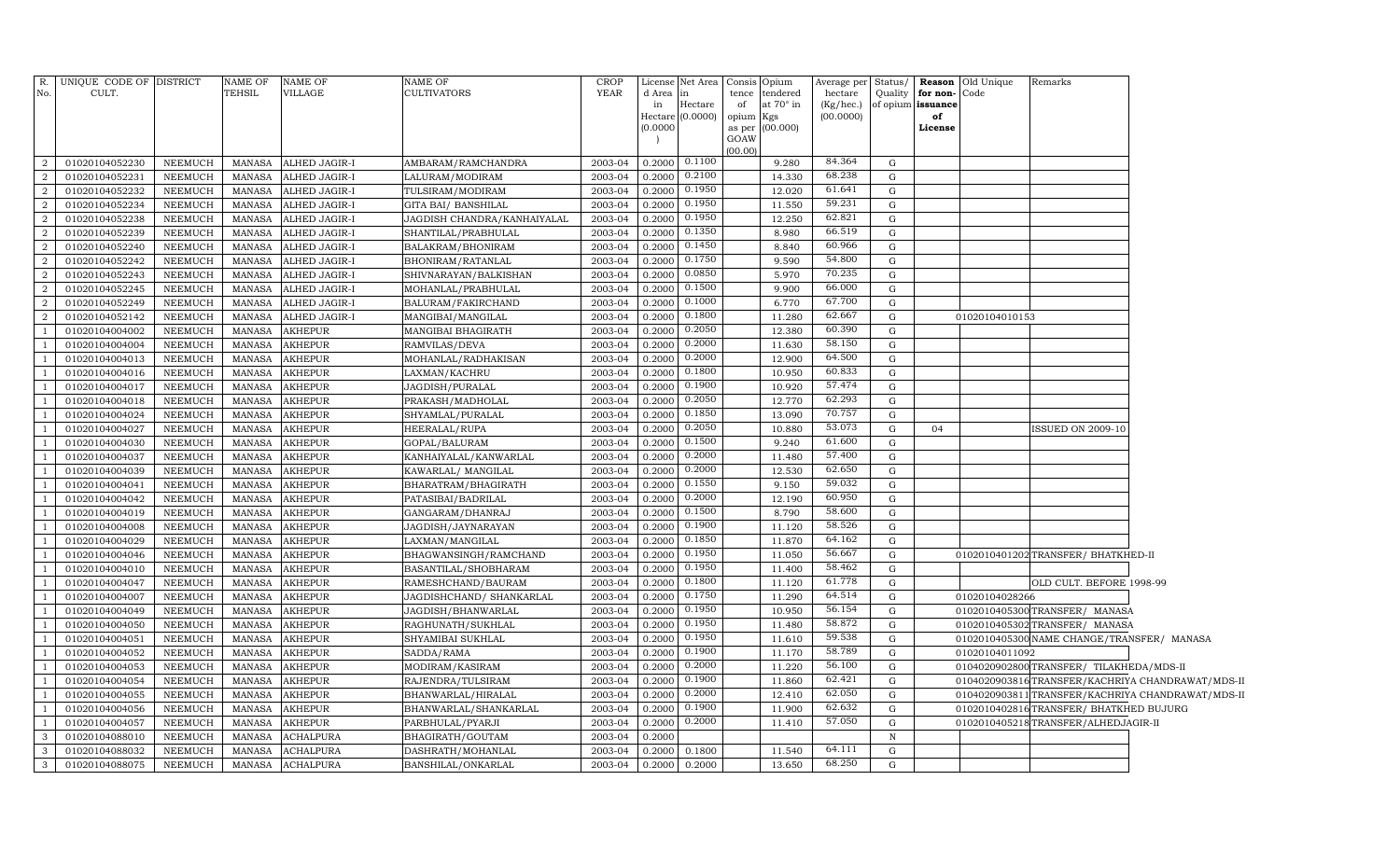| R.<br>No.      | UNIQUE CODE OF DISTRICT<br>CULT. |                           | NAME OF<br>TEHSIL       | NAME OF<br>VILLAGE             | NAME OF<br><b>CULTIVATORS</b>            | <b>CROP</b><br><b>YEAR</b> | d Area<br>in<br>Hectare  <br>(0.0000) | License Net Area<br>in<br>Hectare<br>(0.0000) | Consis Opium<br>tence tendered<br>at 70° in<br>of<br>opium Kgs<br>as per (00.000)<br>GOAW | Average per Status/<br>hectare<br>(Kg/hec.)<br>(00.0000) | Quality                | for non-<br>of opium issuance<br>of<br>License | <b>Reason</b> Old Unique<br>Code | Remarks                                    |                                                   |
|----------------|----------------------------------|---------------------------|-------------------------|--------------------------------|------------------------------------------|----------------------------|---------------------------------------|-----------------------------------------------|-------------------------------------------------------------------------------------------|----------------------------------------------------------|------------------------|------------------------------------------------|----------------------------------|--------------------------------------------|---------------------------------------------------|
|                |                                  |                           |                         |                                |                                          |                            |                                       |                                               | (00.00)                                                                                   |                                                          |                        |                                                |                                  |                                            |                                                   |
| 2              | 01020104052230                   | <b>NEEMUCH</b>            | MANASA                  | ALHED JAGIR-I                  | AMBARAM/RAMCHANDRA                       | 2003-04                    | 0.2000                                | 0.1100                                        | 9.280                                                                                     | 84.364                                                   | $\mathbf G$            |                                                |                                  |                                            |                                                   |
| 2              | 01020104052231                   | <b>NEEMUCH</b>            | MANASA                  | ALHED JAGIR-I                  | LALURAM/MODIRAM                          | 2003-04                    | 0.2000                                | 0.2100                                        | 14.330                                                                                    | 68.238                                                   | ${\rm G}$              |                                                |                                  |                                            |                                                   |
| 2              | 01020104052232                   | NEEMUCH                   | <b>MANASA</b>           | ALHED JAGIR-I                  | TULSIRAM/MODIRAM                         | 2003-04                    | 0.2000                                | 0.1950<br>0.1950                              | 12.020                                                                                    | 61.641<br>59.231                                         | $\mathbf G$            |                                                |                                  |                                            |                                                   |
| 2              | 01020104052234                   | NEEMUCH                   | MANASA                  | ALHED JAGIR-I                  | <b>GITA BAI/ BANSHILAL</b>               | 2003-04                    | 0.2000                                | 0.1950                                        | 11.550                                                                                    | 62.821                                                   | $\mathbf G$            |                                                |                                  |                                            |                                                   |
| 2<br>2         | 01020104052238<br>01020104052239 | NEEMUCH                   | MANASA                  | ALHED JAGIR-I                  | JAGDISH CHANDRA/KANHAIYALAL              | 2003-04<br>2003-04         | 0.2000<br>0.2000                      | 0.1350                                        | 12.250<br>8.980                                                                           | 66.519                                                   | ${\rm G}$<br>${\rm G}$ |                                                |                                  |                                            |                                                   |
| 2              | 01020104052240                   | NEEMUCH<br><b>NEEMUCH</b> | MANASA<br><b>MANASA</b> | ALHED JAGIR-I<br>ALHED JAGIR-I | SHANTILAL/PRABHULAL<br>BALAKRAM/BHONIRAM | 2003-04                    | 0.2000                                | 0.1450                                        | 8.840                                                                                     | 60.966                                                   | G                      |                                                |                                  |                                            |                                                   |
| 2              | 01020104052242                   | <b>NEEMUCH</b>            | MANASA                  | ALHED JAGIR-I                  | BHONIRAM/RATANLAL                        | 2003-04                    | 0.2000                                | 0.1750                                        | 9.590                                                                                     | 54.800                                                   | G                      |                                                |                                  |                                            |                                                   |
| 2              | 01020104052243                   | <b>NEEMUCH</b>            | <b>MANASA</b>           | ALHED JAGIR-I                  | SHIVNARAYAN/BALKISHAN                    | 2003-04                    | 0.2000                                | 0.0850                                        | 5.970                                                                                     | 70.235                                                   | G                      |                                                |                                  |                                            |                                                   |
| 2              | 01020104052245                   | NEEMUCH                   | MANASA                  | ALHED JAGIR-I                  | MOHANLAL/PRABHULAL                       | 2003-04                    | 0.2000                                | 0.1500                                        | 9.900                                                                                     | 66.000                                                   | ${\rm G}$              |                                                |                                  |                                            |                                                   |
| $\overline{2}$ | 01020104052249                   | <b>NEEMUCH</b>            | <b>MANASA</b>           | ALHED JAGIR-I                  | BALURAM/FAKIRCHAND                       | 2003-04                    | 0.2000                                | 0.1000                                        | 6.770                                                                                     | 67.700                                                   | G                      |                                                |                                  |                                            |                                                   |
| $\overline{2}$ | 01020104052142                   | NEEMUCH                   | MANASA                  | ALHED JAGIR-I                  | MANGIBAI/MANGILAL                        | 2003-04                    | 0.2000                                | 0.1800                                        | 11.280                                                                                    | 62.667                                                   | $\mathbf G$            |                                                | 01020104010153                   |                                            |                                                   |
| $\overline{1}$ | 01020104004002                   | NEEMUCH                   | <b>MANASA</b>           | <b>AKHEPUR</b>                 | MANGIBAI BHAGIRATH                       | 2003-04                    | 0.2000                                | 0.2050                                        | 12.380                                                                                    | 60.390                                                   | G                      |                                                |                                  |                                            |                                                   |
| $\overline{1}$ | 01020104004004                   | NEEMUCH                   | MANASA                  | <b>AKHEPUR</b>                 | RAMVILAS/DEVA                            | 2003-04                    | 0.2000                                | 0.2000                                        | 11.630                                                                                    | 58.150                                                   | G                      |                                                |                                  |                                            |                                                   |
| $\overline{1}$ | 01020104004013                   | <b>NEEMUCH</b>            | MANASA                  | <b>AKHEPUR</b>                 | MOHANLAL/RADHAKISAN                      | 2003-04                    | 0.2000                                | 0.2000                                        | 12.900                                                                                    | 64.500                                                   | G                      |                                                |                                  |                                            |                                                   |
| $\overline{1}$ | 01020104004016                   | NEEMUCH                   | MANASA                  | <b>AKHEPUR</b>                 | LAXMAN/KACHRU                            | 2003-04                    | 0.2000                                | 0.1800                                        | 10.950                                                                                    | 60.833                                                   | $\mathbf G$            |                                                |                                  |                                            |                                                   |
| <sup>1</sup>   | 01020104004017                   | <b>NEEMUCH</b>            | <b>MANASA</b>           | <b>AKHEPUR</b>                 | JAGDISH/PURALAL                          | 2003-04                    | 0.2000                                | 0.1900                                        | 10.920                                                                                    | 57.474                                                   | G                      |                                                |                                  |                                            |                                                   |
| $\overline{1}$ | 01020104004018                   | <b>NEEMUCH</b>            | MANASA                  | <b>AKHEPUR</b>                 | PRAKASH/MADHOLAL                         | 2003-04                    | 0.2000                                | 0.2050                                        | 12.770                                                                                    | 62.293                                                   | $\mathbf G$            |                                                |                                  |                                            |                                                   |
| <sup>1</sup>   | 01020104004024                   | <b>NEEMUCH</b>            | <b>MANASA</b>           | <b>AKHEPUR</b>                 | SHYAMLAL/PURALAL                         | 2003-04                    | 0.2000                                | 0.1850                                        | 13.090                                                                                    | 70.757                                                   | G                      |                                                |                                  |                                            |                                                   |
| $\overline{1}$ | 01020104004027                   | <b>NEEMUCH</b>            | MANASA                  | <b>AKHEPUR</b>                 | <b>HEERALAL/RUPA</b>                     | 2003-04                    | 0.2000                                | 0.2050                                        | 10.880                                                                                    | 53.073                                                   | ${\rm G}$              | 04                                             |                                  | ISSUED ON 2009-10                          |                                                   |
| <sup>1</sup>   | 01020104004030                   | NEEMUCH                   | <b>MANASA</b>           | <b>AKHEPUR</b>                 | GOPAL/BALURAM                            | 2003-04                    | 0.2000                                | 0.1500                                        | 9.240                                                                                     | 61.600                                                   | G                      |                                                |                                  |                                            |                                                   |
| $\overline{1}$ | 01020104004037                   | NEEMUCH                   | MANASA                  | <b>AKHEPUR</b>                 | KANHAIYALAL/KANWARLAL                    | 2003-04                    | 0.2000                                | 0.2000                                        | 11.480                                                                                    | 57.400                                                   | G                      |                                                |                                  |                                            |                                                   |
| <sup>1</sup>   | 01020104004039                   | NEEMUCH                   | <b>MANASA</b>           | <b>AKHEPUR</b>                 | KAWARLAL/ MANGILAL                       | 2003-04                    | 0.2000                                | 0.2000                                        | 12.530                                                                                    | 62.650                                                   | G                      |                                                |                                  |                                            |                                                   |
| <sup>1</sup>   | 01020104004041                   | NEEMUCH                   | <b>MANASA</b>           | <b>AKHEPUR</b>                 | BHARATRAM/BHAGIRATH                      | 2003-04                    | 0.2000                                | 0.1550                                        | 9.150                                                                                     | 59.032                                                   | G                      |                                                |                                  |                                            |                                                   |
| -1             | 01020104004042                   | NEEMUCH                   | <b>MANASA</b>           | <b>AKHEPUR</b>                 | PATASIBAI/BADRILAL                       | 2003-04                    | 0.2000                                | 0.2000                                        | 12.190                                                                                    | 60.950                                                   | G                      |                                                |                                  |                                            |                                                   |
| $\overline{1}$ | 01020104004019                   | NEEMUCH                   | <b>MANASA</b>           | <b>AKHEPUR</b>                 | GANGARAM/DHANRAJ                         | 2003-04                    | 0.2000                                | 0.1500                                        | 8.790                                                                                     | 58.600                                                   | G                      |                                                |                                  |                                            |                                                   |
| $\overline{1}$ | 01020104004008                   | NEEMUCH                   | MANASA                  | <b>AKHEPUR</b>                 | JAGDISH/JAYNARAYAN                       | 2003-04                    | 0.2000                                | 0.1900                                        | 11.120                                                                                    | 58.526                                                   | G                      |                                                |                                  |                                            |                                                   |
| $\overline{1}$ | 01020104004029                   | NEEMUCH                   | MANASA                  | <b>AKHEPUR</b>                 | LAXMAN/MANGILAL                          | 2003-04                    | 0.2000                                | 0.1850                                        | 11.870                                                                                    | 64.162                                                   | $\mathbf G$            |                                                |                                  |                                            |                                                   |
| $\overline{1}$ | 01020104004046                   | NEEMUCH                   | MANASA                  | <b>AKHEPUR</b>                 | BHAGWANSINGH/RAMCHAND                    | 2003-04                    | 0.2000                                | 0.1950                                        | 11.050                                                                                    | 56.667                                                   | G                      |                                                |                                  | 0102010401202 TRANSFER/ BHATKHED-II        |                                                   |
| $\overline{1}$ | 01020104004010                   | NEEMUCH                   | <b>MANASA</b>           | <b>AKHEPUR</b>                 | BASANTILAL/SHOBHARAM                     | 2003-04                    | 0.2000                                | 0.1950                                        | 11.400                                                                                    | 58.462                                                   | ${\rm G}$              |                                                |                                  |                                            |                                                   |
| $\overline{1}$ | 01020104004047                   | NEEMUCH                   | <b>MANASA</b>           | <b>AKHEPUR</b>                 | RAMESHCHAND/BAURAM                       | 2003-04                    | 0.2000                                | 0.1800                                        | 11.120                                                                                    | 61.778                                                   | G                      |                                                |                                  | OLD CULT. BEFORE 1998-99                   |                                                   |
| $\overline{1}$ | 01020104004007                   | NEEMUCH                   | <b>MANASA</b>           | <b>AKHEPUR</b>                 | JAGDISHCHAND/ SHANKARLAL                 | 2003-04                    | 0.2000                                | 0.1750                                        | 11.290                                                                                    | 64.514                                                   | ${\rm G}$              |                                                | 01020104028266                   |                                            |                                                   |
| $\overline{1}$ | 01020104004049                   | NEEMUCH                   | <b>MANASA</b>           | <b>AKHEPUR</b>                 | JAGDISH/BHANWARLAL                       | 2003-04                    | 0.2000                                | 0.1950                                        | 10.950                                                                                    | 56.154                                                   | ${\rm G}$              |                                                |                                  | 0102010405300 TRANSFER/ MANASA             |                                                   |
| $\overline{1}$ | 01020104004050                   | NEEMUCH                   | <b>MANASA</b>           | <b>AKHEPUR</b>                 | RAGHUNATH/SUKHLAL                        | 2003-04                    | 0.2000                                | 0.1950                                        | 11.480                                                                                    | 58.872                                                   | ${\rm G}$              |                                                |                                  | 0102010405302 TRANSFER/ MANASA             |                                                   |
| $\overline{1}$ | 01020104004051                   | NEEMUCH                   | <b>MANASA</b>           | <b>AKHEPUR</b>                 | SHYAMIBAI SUKHLAL                        | 2003-04                    | 0.2000                                | 0.1950                                        | 11.610                                                                                    | 59.538                                                   | G                      |                                                |                                  | 0102010405300 NAME CHANGE/TRANSFER/ MANASA |                                                   |
| $\overline{1}$ | 01020104004052                   | NEEMUCH                   | <b>MANASA</b>           | AKHEPUR                        | SADDA/RAMA                               | 2003-04                    | 0.2000                                | 0.1900                                        | 11.170                                                                                    | 58.789                                                   | G                      |                                                | 01020104011092                   |                                            |                                                   |
| $\overline{1}$ | 01020104004053                   | NEEMUCH                   | <b>MANASA</b>           | <b>AKHEPUR</b>                 | MODIRAM/KASIRAM                          | 2003-04                    | 0.2000                                | 0.2000                                        | 11.220                                                                                    | 56.100                                                   | ${\rm G}$              |                                                |                                  | 0104020902800TRANSFER/TILAKHEDA/MDS-II     |                                                   |
| $\overline{1}$ | 01020104004054                   | NEEMUCH                   | <b>MANASA</b>           | AKHEPUR                        | RAJENDRA/TULSIRAM                        | 2003-04                    | 0.2000                                | 0.1900                                        | 11.860                                                                                    | 62.421                                                   | ${\rm G}$              |                                                |                                  |                                            | 0104020903816TRANSFER/KACHRIYA CHANDRAWAT/MDS-II  |
| $\overline{1}$ | 01020104004055                   | NEEMUCH                   | <b>MANASA</b>           | AKHEPUR                        | BHANWARLAL/HIRALAL                       | 2003-04                    | 0.2000                                | 0.2000                                        | 12.410                                                                                    | 62.050                                                   | ${\rm G}$              |                                                |                                  |                                            | 0104020903811 TRANSFER/KACHRIYA CHANDRAWAT/MDS-II |
| $\overline{1}$ | 01020104004056                   | NEEMUCH                   | <b>MANASA</b>           | AKHEPUR                        | BHANWARLAL/SHANKARLAL                    | 2003-04                    | 0.2000                                | 0.1900                                        | 11.900                                                                                    | 62.632                                                   | ${\rm G}$              |                                                |                                  | 0102010402816 TRANSFER/ BHATKHED BUJURG    |                                                   |
| $\overline{1}$ | 01020104004057                   | <b>NEEMUCH</b>            | MANASA                  | AKHEPUR                        | PARBHULAL/PYARJI                         | 2003-04                    | 0.2000                                | 0.2000                                        | 11.410                                                                                    | 57.050                                                   | ${\rm G}$              |                                                |                                  | 0102010405218TRANSFER/ALHEDJAGIR-II        |                                                   |
| $\mathbf{3}$   | 01020104088010                   | <b>NEEMUCH</b>            | <b>MANASA</b>           | ACHALPURA                      | BHAGIRATH/GOUTAM                         | 2003-04                    | 0.2000                                |                                               |                                                                                           | 64.111                                                   | $\mathbf N$            |                                                |                                  |                                            |                                                   |
| $\mathbf{3}$   | 01020104088032                   | <b>NEEMUCH</b>            | <b>MANASA</b>           | ACHALPURA                      | DASHRATH/MOHANLAL                        | 2003-04                    | 0.2000                                | 0.1800                                        | 11.540                                                                                    | 68.250                                                   | G                      |                                                |                                  |                                            |                                                   |
| $\mathbf{3}$   | 01020104088075                   | <b>NEEMUCH</b>            | MANASA                  | <b>ACHALPURA</b>               | BANSHILAL/ONKARLAL                       | 2003-04                    | 0.2000                                | 0.2000                                        | 13.650                                                                                    |                                                          | G                      |                                                |                                  |                                            |                                                   |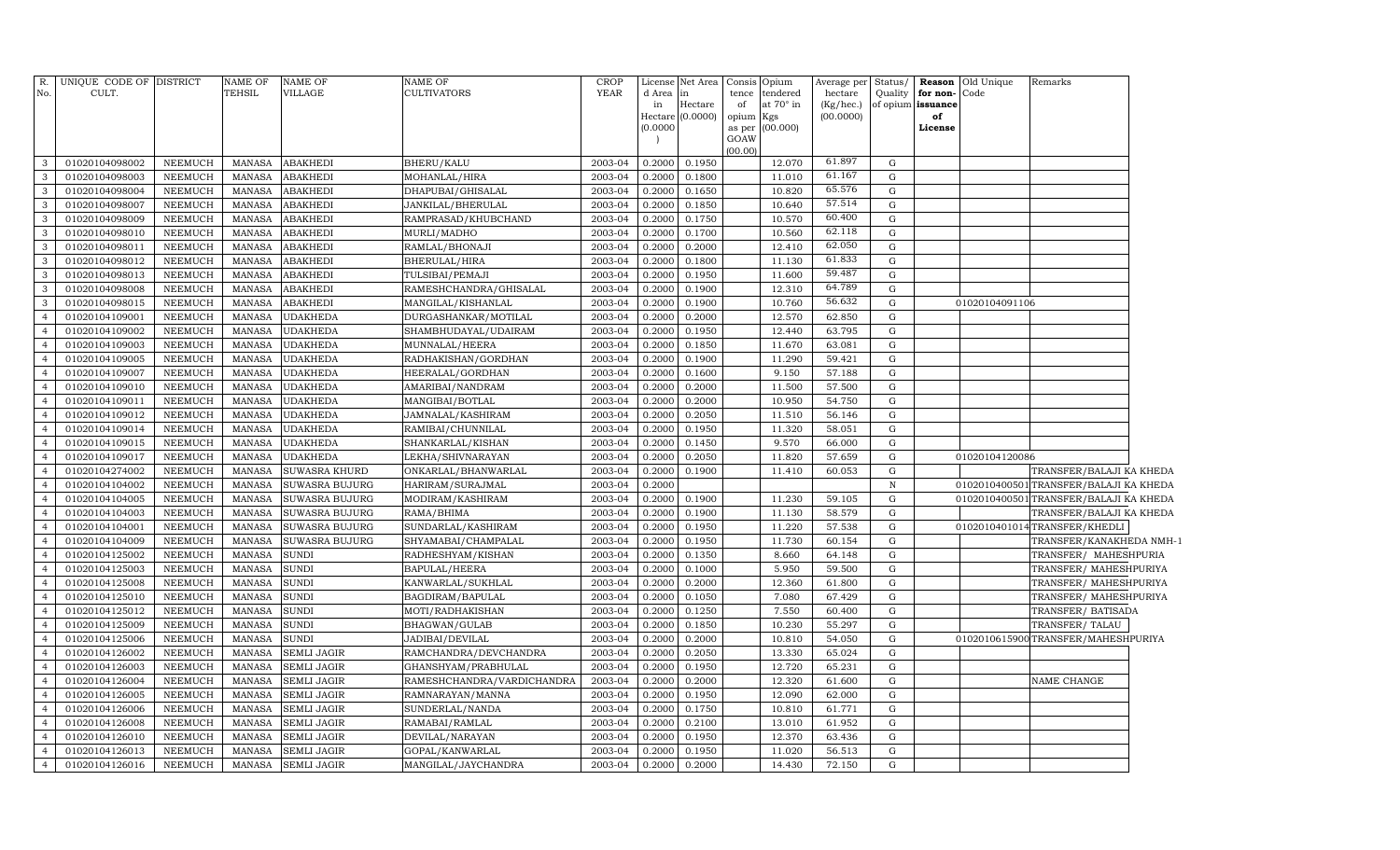| R.<br>No.                        | UNIQUE CODE OF DISTRICT<br>CULT. |                           | NAME OF<br><b>TEHSIL</b>       | <b>NAME OF</b><br>VILLAGE    | NAME OF<br>CULTIVATORS                | <b>CROP</b><br><b>YEAR</b> | License<br>d Area<br>in<br>(0.0000) | Net Area<br>in<br>Hectare<br>Hectare (0.0000) | Consis<br>tence<br>of<br>opium<br>as per<br>GOAW<br>(00.00) | Opium<br>tendered<br>at 70° in<br>Kgs<br>(00.000) | Average per<br>hectare<br>(Kg/hec.)<br>(00.0000) | Status/<br>Quality     | Reason<br>for non-<br>of opium issuance<br>of<br>License | Old Unique<br>Code | Remarks                                        |  |
|----------------------------------|----------------------------------|---------------------------|--------------------------------|------------------------------|---------------------------------------|----------------------------|-------------------------------------|-----------------------------------------------|-------------------------------------------------------------|---------------------------------------------------|--------------------------------------------------|------------------------|----------------------------------------------------------|--------------------|------------------------------------------------|--|
| 3                                | 01020104098002                   | NEEMUCH                   | MANASA                         | <b>ABAKHEDI</b>              | BHERU/KALU                            | 2003-04                    | 0.2000                              | 0.1950                                        |                                                             | 12.070                                            | 61.897                                           | G                      |                                                          |                    |                                                |  |
| $\mathbf{3}$                     | 01020104098003                   | <b>NEEMUCH</b>            | <b>MANASA</b>                  | <b>ABAKHEDI</b>              | MOHANLAL/HIRA                         | 2003-04                    | 0.2000                              | 0.1800                                        |                                                             | 11.010                                            | 61.167                                           | G                      |                                                          |                    |                                                |  |
| 3                                | 01020104098004                   | <b>NEEMUCH</b>            | MANASA                         | <b>ABAKHEDI</b>              | DHAPUBAI/GHISALAL                     | 2003-04                    | 0.2000                              | 0.1650                                        |                                                             | 10.820                                            | 65.576                                           | G                      |                                                          |                    |                                                |  |
| $\mathbf{3}$                     | 01020104098007                   | <b>NEEMUCH</b>            | <b>MANASA</b>                  | <b>ABAKHEDI</b>              | JANKILAL/BHERULAL                     | 2003-04                    | 0.2000                              | 0.1850                                        |                                                             | 10.640                                            | 57.514                                           | G                      |                                                          |                    |                                                |  |
| $\mathbf{3}$                     | 01020104098009                   | <b>NEEMUCH</b>            | <b>MANASA</b>                  | <b>ABAKHEDI</b>              | RAMPRASAD/KHUBCHAND                   | 2003-04                    | 0.2000                              | 0.1750                                        |                                                             | 10.570                                            | 60.400                                           | G                      |                                                          |                    |                                                |  |
| $\mathbf{3}$                     | 01020104098010                   | <b>NEEMUCH</b>            | <b>MANASA</b>                  | <b>ABAKHEDI</b>              | MURLI/MADHO                           | 2003-04                    | 0.2000                              | 0.1700                                        |                                                             | 10.560                                            | 62.118                                           | G                      |                                                          |                    |                                                |  |
| $\mathbf{3}$                     | 01020104098011                   | <b>NEEMUCH</b>            | <b>MANASA</b>                  | <b>ABAKHEDI</b>              | RAMLAL/BHONAJI                        | 2003-04                    | 0.2000                              | 0.2000                                        |                                                             | 12.410                                            | 62.050                                           | G                      |                                                          |                    |                                                |  |
| $\mathbf{3}$                     | 01020104098012                   | <b>NEEMUCH</b>            | <b>MANASA</b>                  | <b>ABAKHEDI</b>              | BHERULAL/HIRA                         | 2003-04                    | 0.2000                              | 0.1800                                        |                                                             | 11.130                                            | 61.833                                           | G                      |                                                          |                    |                                                |  |
| $\mathbf{3}$                     | 01020104098013                   | <b>NEEMUCH</b>            | <b>MANASA</b>                  | <b>ABAKHEDI</b>              | TULSIBAI/PEMAJI                       | 2003-04                    | 0.2000                              | 0.1950                                        |                                                             | 11.600                                            | 59.487                                           | G                      |                                                          |                    |                                                |  |
| $\mathbf{3}$                     | 01020104098008                   | NEEMUCH                   | <b>MANASA</b>                  | <b>ABAKHEDI</b>              | RAMESHCHANDRA/GHISALAL                | 2003-04                    | 0.2000                              | 0.1900                                        |                                                             | 12.310                                            | 64.789                                           | ${\rm G}$              |                                                          |                    |                                                |  |
| $\mathbf{3}$                     | 01020104098015                   | <b>NEEMUCH</b>            | <b>MANASA</b>                  | <b>ABAKHEDI</b>              | MANGILAL/KISHANLAL                    | 2003-04                    | 0.2000                              | 0.1900                                        |                                                             | 10.760                                            | 56.632                                           | G                      |                                                          | 01020104091106     |                                                |  |
| $\overline{4}$                   | 01020104109001                   | NEEMUCH                   | MANASA                         | <b>UDAKHEDA</b>              | DURGASHANKAR/MOTILAL                  | 2003-04                    | 0.2000                              | 0.2000                                        |                                                             | 12.570                                            | 62.850                                           | G                      |                                                          |                    |                                                |  |
| $\overline{4}$                   | 01020104109002                   | <b>NEEMUCH</b>            | <b>MANASA</b>                  | <b>UDAKHEDA</b>              | SHAMBHUDAYAL/UDAIRAM                  | 2003-04                    | 0.2000                              | 0.1950                                        |                                                             | 12.440                                            | 63.795                                           | G                      |                                                          |                    |                                                |  |
| $\overline{4}$                   | 01020104109003                   | <b>NEEMUCH</b>            | MANASA                         | <b>UDAKHEDA</b>              | MUNNALAL/HEERA                        | 2003-04                    | 0.2000                              | 0.1850                                        |                                                             | 11.670                                            | 63.081                                           | G                      |                                                          |                    |                                                |  |
| $\overline{4}$                   | 01020104109005                   | <b>NEEMUCH</b>            | <b>MANASA</b>                  | <b>UDAKHEDA</b>              | RADHAKISHAN/GORDHAN                   | 2003-04                    | 0.2000                              | 0.1900                                        |                                                             | 11.290                                            | 59.421                                           | G                      |                                                          |                    |                                                |  |
| $\overline{4}$                   | 01020104109007                   | <b>NEEMUCH</b>            | MANASA                         | <b>UDAKHEDA</b>              | HEERALAL/GORDHAN                      | 2003-04                    | 0.2000                              | 0.1600                                        |                                                             | 9.150                                             | 57.188                                           | G                      |                                                          |                    |                                                |  |
| $\overline{4}$                   | 01020104109010                   | <b>NEEMUCH</b>            | <b>MANASA</b>                  | <b>UDAKHEDA</b>              | AMARIBAI/NANDRAM                      | 2003-04                    | 0.2000                              | 0.2000                                        |                                                             | 11.500                                            | 57.500                                           | G                      |                                                          |                    |                                                |  |
| $\overline{4}$                   | 01020104109011                   | NEEMUCH                   | <b>MANASA</b>                  | <b>UDAKHEDA</b>              | MANGIBAI/BOTLAL                       | 2003-04                    | 0.2000                              | 0.2000                                        |                                                             | 10.950                                            | 54.750                                           | ${\rm G}$              |                                                          |                    |                                                |  |
| $\overline{4}$                   | 01020104109012                   | <b>NEEMUCH</b>            | <b>MANASA</b>                  | <b>UDAKHEDA</b>              | JAMNALAL/KASHIRAM                     | 2003-04                    | 0.2000                              | 0.2050                                        |                                                             | 11.510                                            | 56.146                                           | G                      |                                                          |                    |                                                |  |
| $\overline{4}$                   | 01020104109014                   | NEEMUCH                   | <b>MANASA</b>                  | <b>UDAKHEDA</b>              | RAMIBAI/CHUNNILAL                     | 2003-04                    | 0.2000                              | 0.1950                                        |                                                             | 11.320                                            | 58.051                                           | $\mathbf G$            |                                                          |                    |                                                |  |
| $\overline{4}$                   | 01020104109015                   | <b>NEEMUCH</b>            | MANASA                         | <b>UDAKHEDA</b>              | SHANKARLAL/KISHAN                     | 2003-04                    | 0.2000                              | 0.1450                                        |                                                             | 9.570                                             | 66.000                                           | ${\rm G}$              |                                                          |                    |                                                |  |
| $\overline{4}$                   | 01020104109017                   | NEEMUCH                   | <b>MANASA</b>                  | <b>UDAKHEDA</b>              | LEKHA/SHIVNARAYAN                     | 2003-04                    | 0.2000                              | 0.2050                                        |                                                             | 11.820                                            | 57.659                                           | G                      |                                                          | 01020104120086     |                                                |  |
| $\overline{4}$                   | 01020104274002                   | NEEMUCH                   | MANASA                         | SUWASRA KHURD                | ONKARLAL/BHANWARLAL                   | 2003-04                    | 0.2000                              | 0.1900                                        |                                                             | 11.410                                            | 60.053                                           | G                      |                                                          |                    | TRANSFER/BALAJI KA KHEDA                       |  |
| $\overline{4}$                   | 01020104104002                   | NEEMUCH                   | MANASA                         | <b>SUWASRA BUJURG</b>        | HARIRAM/SURAJMAL                      | 2003-04                    | 0.2000                              |                                               |                                                             |                                                   |                                                  | $\, {\bf N}$           |                                                          |                    | 0102010400501 TRANSFER/BALAJI KA KHEDA         |  |
| $\overline{4}$                   | 01020104104005                   | <b>NEEMUCH</b>            | <b>MANASA</b>                  | SUWASRA BUJURG               | MODIRAM/KASHIRAM                      | 2003-04                    | 0.2000                              | 0.1900                                        |                                                             | 11.230                                            | 59.105                                           | G                      |                                                          |                    | 0102010400501 TRANSFER/BALAJI KA KHEDA         |  |
| $\overline{4}$                   | 01020104104003                   | NEEMUCH                   | <b>MANASA</b>                  | SUWASRA BUJURG               | RAMA/BHIMA                            | 2003-04                    | 0.2000                              | 0.1900                                        |                                                             | 11.130                                            | 58.579                                           | ${\rm G}$              |                                                          |                    | TRANSFER/BALAJI KA KHEDA                       |  |
| $\overline{4}$                   | 01020104104001                   | NEEMUCH                   | <b>MANASA</b>                  | SUWASRA BUJURG               | SUNDARLAL/KASHIRAM                    | 2003-04                    | 0.2000                              | 0.1950                                        |                                                             | 11.220                                            | 57.538                                           | ${\rm G}$              |                                                          |                    | 0102010401014TRANSFER/KHEDLI                   |  |
| $\overline{4}$                   | 01020104104009                   | NEEMUCH                   | <b>MANASA</b>                  | SUWASRA BUJURG               | SHYAMABAI/CHAMPALAL                   | 2003-04                    | 0.2000                              | 0.1950                                        |                                                             | 11.730                                            | 60.154                                           | ${\rm G}$              |                                                          |                    | TRANSFER/KANAKHEDA NMH-1                       |  |
| $\overline{4}$                   | 01020104125002<br>01020104125003 | NEEMUCH                   | <b>MANASA</b><br><b>MANASA</b> | <b>SUNDI</b><br><b>SUNDI</b> | RADHESHYAM/KISHAN                     | 2003-04                    | 0.2000<br>0.2000                    | 0.1350                                        |                                                             | 8.660                                             | 64.148                                           | ${\rm G}$<br>${\rm G}$ |                                                          |                    | TRANSFER/ MAHESHPURIA                          |  |
| $\overline{4}$<br>$\overline{4}$ | 01020104125008                   | NEEMUCH<br><b>NEEMUCH</b> |                                | <b>SUNDI</b>                 | BAPULAL/HEERA                         | 2003-04<br>2003-04         | 0.2000                              | 0.1000<br>0.2000                              |                                                             | 5.950<br>12.360                                   | 59.500<br>61.800                                 | ${\rm G}$              |                                                          |                    | TRANSFER/ MAHESHPURIYA                         |  |
| $\overline{4}$                   | 01020104125010                   | <b>NEEMUCH</b>            | <b>MANASA</b><br><b>MANASA</b> | <b>SUNDI</b>                 | KANWARLAL/SUKHLAL<br>BAGDIRAM/BAPULAL | 2003-04                    | 0.2000                              | 0.1050                                        |                                                             | 7.080                                             | 67.429                                           | ${\rm G}$              |                                                          |                    | TRANSFER/MAHESHPURIYA<br>TRANSFER/MAHESHPURIYA |  |
| $\overline{4}$                   | 01020104125012                   | <b>NEEMUCH</b>            | <b>MANASA</b>                  | <b>SUNDI</b>                 | MOTI/RADHAKISHAN                      | 2003-04                    | 0.2000                              | 0.1250                                        |                                                             | 7.550                                             | 60.400                                           | G                      |                                                          |                    | TRANSFER/ BATISADA                             |  |
| $\overline{4}$                   | 01020104125009                   | <b>NEEMUCH</b>            | <b>MANASA</b>                  | <b>SUNDI</b>                 | BHAGWAN/GULAB                         | 2003-04                    | 0.2000                              | 0.1850                                        |                                                             | 10.230                                            | 55.297                                           | G                      |                                                          |                    | TRANSFER/TALAU                                 |  |
| $\overline{4}$                   | 01020104125006                   | <b>NEEMUCH</b>            | <b>MANASA</b>                  | <b>SUNDI</b>                 | JADIBAI/DEVILAL                       | 2003-04                    | 0.2000                              | 0.2000                                        |                                                             | 10.810                                            | 54.050                                           | $\mathbf G$            |                                                          |                    | 0102010615900TRANSFER/MAHESHPURIYA             |  |
| $\overline{4}$                   | 01020104126002                   | NEEMUCH                   | <b>MANASA</b>                  | <b>SEMLI JAGIR</b>           | RAMCHANDRA/DEVCHANDRA                 | 2003-04                    | 0.2000                              | 0.2050                                        |                                                             | 13.330                                            | 65.024                                           | G                      |                                                          |                    |                                                |  |
| $\overline{4}$                   | 01020104126003                   | <b>NEEMUCH</b>            | <b>MANASA</b>                  | <b>SEMLI JAGIR</b>           | GHANSHYAM/PRABHULAL                   | 2003-04                    | 0.2000                              | 0.1950                                        |                                                             | 12.720                                            | 65.231                                           | ${\rm G}$              |                                                          |                    |                                                |  |
| $\overline{4}$                   | 01020104126004                   | NEEMUCH                   | <b>MANASA</b>                  | <b>SEMLI JAGIR</b>           | RAMESHCHANDRA/VARDICHANDRA            | 2003-04                    | 0.2000                              | 0.2000                                        |                                                             | 12.320                                            | 61.600                                           | G                      |                                                          |                    | NAME CHANGE                                    |  |
| $\overline{4}$                   | 01020104126005                   | NEEMUCH                   | <b>MANASA</b>                  | <b>SEMLI JAGIR</b>           | RAMNARAYAN/MANNA                      | 2003-04                    | 0.2000                              | 0.1950                                        |                                                             | 12.090                                            | 62.000                                           | G                      |                                                          |                    |                                                |  |
| $\overline{4}$                   | 01020104126006                   | NEEMUCH                   | <b>MANASA</b>                  | <b>SEMLI JAGIR</b>           | SUNDERLAL/NANDA                       | 2003-04                    | 0.2000                              | 0.1750                                        |                                                             | 10.810                                            | 61.771                                           | G                      |                                                          |                    |                                                |  |
| $\overline{4}$                   | 01020104126008                   | NEEMUCH                   | <b>MANASA</b>                  | <b>SEMLI JAGIR</b>           | RAMABAI/RAMLAL                        | 2003-04                    | 0.2000                              | 0.2100                                        |                                                             | 13.010                                            | 61.952                                           | G                      |                                                          |                    |                                                |  |
| $\overline{4}$                   | 01020104126010                   | NEEMUCH                   | <b>MANASA</b>                  | SEMLI JAGIR                  | DEVILAL/NARAYAN                       | 2003-04                    | 0.2000                              | 0.1950                                        |                                                             | 12.370                                            | 63.436                                           | ${\rm G}$              |                                                          |                    |                                                |  |
| $\overline{4}$                   | 01020104126013                   | NEEMUCH                   | <b>MANASA</b>                  | <b>SEMLI JAGIR</b>           | GOPAL/KANWARLAL                       | 2003-04                    | 0.2000                              | 0.1950                                        |                                                             | 11.020                                            | 56.513                                           | G                      |                                                          |                    |                                                |  |
| $\overline{4}$                   | 01020104126016                   | NEEMUCH                   | MANASA                         | <b>SEMLI JAGIR</b>           | MANGILAL/JAYCHANDRA                   | 2003-04                    | 0.2000                              | 0.2000                                        |                                                             | 14.430                                            | 72.150                                           | G                      |                                                          |                    |                                                |  |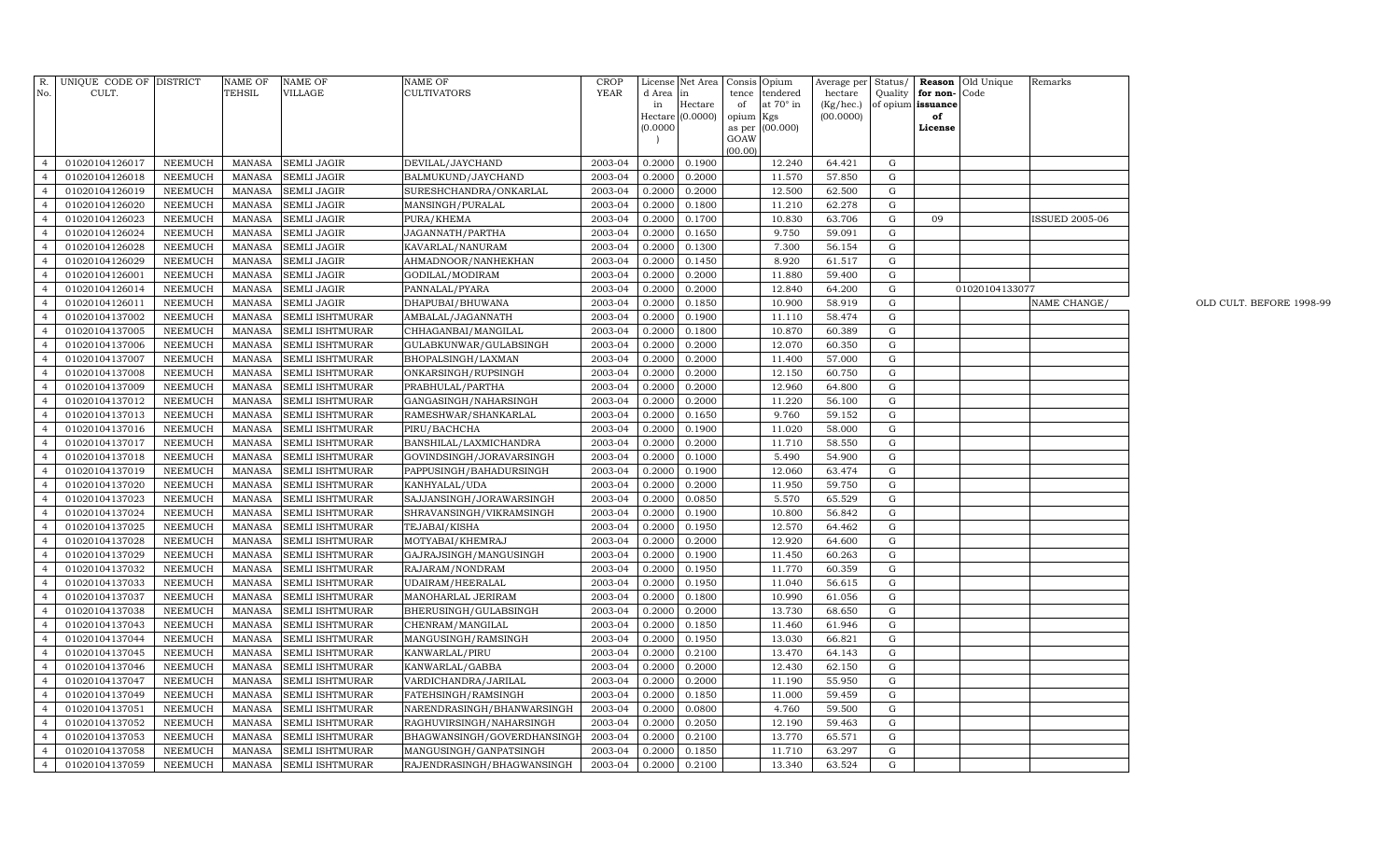| No.                              | R. UNIQUE CODE OF DISTRICT       |                           | NAME OF          | <b>NAME OF</b>                     | NAME OF                                     | <b>CROP</b><br><b>YEAR</b> | License                              | Net Area Consis Opium |                              | Average per Status/        |             |                                       | <b>Reason Old Unique</b> | Remarks               |                          |
|----------------------------------|----------------------------------|---------------------------|------------------|------------------------------------|---------------------------------------------|----------------------------|--------------------------------------|-----------------------|------------------------------|----------------------------|-------------|---------------------------------------|--------------------------|-----------------------|--------------------------|
|                                  | CULT.                            |                           | TEHSIL           | VILLAGE                            | CULTIVATORS                                 |                            | d Area<br>$\ln$<br>Hectare<br>in     | tence<br>of           | tendered<br>at $70^\circ$ in | hectare<br>$(Kg/$ hec. $)$ |             | Quality for non-<br>of opium issuance | Code                     |                       |                          |
|                                  |                                  |                           |                  |                                    |                                             |                            | Hectare (0.0000) opium Kgs           |                       |                              | (00.0000)                  |             | of                                    |                          |                       |                          |
|                                  |                                  |                           |                  |                                    |                                             |                            | (0.0000)                             |                       | as per (00.000)              |                            |             | License                               |                          |                       |                          |
|                                  |                                  |                           |                  |                                    |                                             |                            |                                      | GOAW<br>(00.00)       |                              |                            |             |                                       |                          |                       |                          |
| $\overline{4}$                   | 01020104126017                   | <b>NEEMUCH</b>            | MANASA           | <b>SEMLI JAGIR</b>                 | DEVILAL/JAYCHAND                            | 2003-04                    | 0.2000<br>0.1900                     |                       | 12.240                       | 64.421                     | G           |                                       |                          |                       |                          |
| $\overline{4}$                   | 01020104126018                   | <b>NEEMUCH</b>            | <b>MANASA</b>    | <b>SEMLI JAGIR</b>                 | BALMUKUND/JAYCHAND                          | 2003-04                    | 0.2000<br>0.2000                     |                       | 11.570                       | 57.850                     | G           |                                       |                          |                       |                          |
| $\overline{4}$                   | 01020104126019                   | NEEMUCH                   | MANASA           | <b>SEMLI JAGIR</b>                 | SURESHCHANDRA/ONKARLAL                      | 2003-04                    | 0.2000<br>0.2000                     |                       | 12.500                       | 62.500                     | G           |                                       |                          |                       |                          |
| $\overline{4}$                   | 01020104126020                   | <b>NEEMUCH</b>            | <b>MANASA</b>    | <b>SEMLI JAGIR</b>                 | MANSINGH/PURALAL                            | 2003-04                    | 0.1800<br>0.2000                     |                       | 11.210                       | 62.278                     | G           |                                       |                          |                       |                          |
| $\overline{4}$                   | 01020104126023                   | NEEMUCH                   | <b>MANASA</b>    | <b>SEMLI JAGIR</b>                 | PURA/KHEMA                                  | 2003-04                    | 0.1700<br>0.2000                     |                       | 10.830                       | 63.706                     | G           | 09                                    |                          | <b>ISSUED 2005-06</b> |                          |
|                                  | 01020104126024                   | NEEMUCH                   | <b>MANASA</b>    | <b>SEMLI JAGIR</b>                 | JAGANNATH/PARTHA                            | 2003-04                    | 0.2000<br>0.1650                     |                       | 9.750                        | 59.091                     | G           |                                       |                          |                       |                          |
| $\overline{4}$                   | 01020104126028                   | NEEMUCH                   | <b>MANASA</b>    | SEMLI JAGIR                        | KAVARLAL/NANURAM                            | 2003-04                    | 0.2000<br>0.1300                     |                       | 7.300                        | 56.154                     | G           |                                       |                          |                       |                          |
|                                  | 01020104126029                   | NEEMUCH                   | <b>MANASA</b>    | <b>SEMLI JAGIR</b>                 | AHMADNOOR/NANHEKHAN                         | 2003-04                    | 0.2000<br>0.1450                     |                       | 8.920                        | 61.517                     | G           |                                       |                          |                       |                          |
| $\overline{4}$                   | 01020104126001                   | NEEMUCH                   | <b>MANASA</b>    | <b>SEMLI JAGIR</b>                 | GODILAL/MODIRAM                             | 2003-04                    | 0.2000<br>0.2000                     |                       | 11.880                       | 59.400                     | $\mathbf G$ |                                       |                          |                       |                          |
|                                  | 01020104126014                   | NEEMUCH                   | <b>MANASA</b>    | <b>SEMLI JAGIR</b>                 | PANNALAL/PYARA                              | 2003-04                    | 0.2000<br>0.2000                     |                       | 12.840                       | 64.200                     | G           |                                       | 01020104133077           |                       |                          |
| $\overline{4}$                   | 01020104126011                   | <b>NEEMUCH</b>            | <b>MANASA</b>    | <b>SEMLI JAGIR</b>                 | DHAPUBAI/BHUWANA                            | 2003-04                    | 0.2000<br>0.1850                     |                       | 10.900                       | 58.919                     | $\mathbf G$ |                                       |                          | NAME CHANGE/          | OLD CULT. BEFORE 1998-99 |
| $\overline{4}$                   | 01020104137002                   | <b>NEEMUCH</b>            | <b>MANASA</b>    | SEMLI ISHTMURAR                    | AMBALAL/JAGANNATH                           | 2003-04                    | 0.2000<br>0.1900                     |                       | 11.110                       | 58.474                     | G           |                                       |                          |                       |                          |
| $\overline{4}$                   | 01020104137005                   | <b>NEEMUCH</b>            | <b>MANASA</b>    | SEMLI ISHTMURAR                    | CHHAGANBAI/MANGILAL                         | 2003-04                    | 0.2000<br>0.1800                     |                       | 10.870                       | 60.389                     | G           |                                       |                          |                       |                          |
| $\overline{4}$                   | 01020104137006                   | NEEMUCH                   | <b>MANASA</b>    | SEMLI ISHTMURAR                    | GULABKUNWAR/GULABSINGH                      | 2003-04                    | 0.2000<br>0.2000                     |                       | 12.070                       | 60.350                     | G           |                                       |                          |                       |                          |
| $\overline{4}$                   | 01020104137007                   | <b>NEEMUCH</b>            | <b>MANASA</b>    | SEMLI ISHTMURAR                    | BHOPALSINGH/LAXMAN                          | 2003-04                    | 0.2000<br>0.2000                     |                       | 11.400                       | 57.000                     | ${\rm G}$   |                                       |                          |                       |                          |
| $\overline{4}$                   | 01020104137008                   | NEEMUCH                   | <b>MANASA</b>    | SEMLI ISHTMURAR                    | ONKARSINGH/RUPSINGH                         | 2003-04                    | 0.2000<br>0.2000                     |                       | 12.150                       | 60.750                     | G           |                                       |                          |                       |                          |
| $\overline{4}$                   | 01020104137009                   | NEEMUCH                   | <b>MANASA</b>    | SEMLI ISHTMURAR                    | PRABHULAL/PARTHA                            | 2003-04                    | 0.2000<br>0.2000                     |                       | 12.960                       | 64.800                     | G           |                                       |                          |                       |                          |
| $\overline{4}$                   | 01020104137012                   | NEEMUCH                   | <b>MANASA</b>    | SEMLI ISHTMURAR                    | GANGASINGH/NAHARSINGH                       | 2003-04                    | 0.2000<br>0.2000                     |                       | 11.220                       | 56.100                     | G           |                                       |                          |                       |                          |
| $\overline{4}$                   | 01020104137013                   | NEEMUCH                   | <b>MANASA</b>    | SEMLI ISHTMURAR                    | RAMESHWAR/SHANKARLAL                        | 2003-04                    | 0.2000<br>0.1650                     |                       | 9.760                        | 59.152                     | G           |                                       |                          |                       |                          |
| $\overline{4}$                   | 01020104137016                   | NEEMUCH                   | <b>MANASA</b>    | SEMLI ISHTMURAR                    | PIRU/BACHCHA                                | 2003-04                    | 0.2000<br>0.1900                     |                       | 11.020                       | 58.000                     | $\mathbf G$ |                                       |                          |                       |                          |
| $\overline{4}$                   | 01020104137017                   | NEEMUCH                   | <b>MANASA</b>    | SEMLI ISHTMURAR                    | BANSHILAL/LAXMICHANDRA                      | 2003-04                    | 0.2000<br>0.2000                     |                       | 11.710                       | 58.550                     | ${\rm G}$   |                                       |                          |                       |                          |
| $\overline{4}$                   | 01020104137018                   | NEEMUCH                   | <b>MANASA</b>    | SEMLI ISHTMURAR                    | GOVINDSINGH/JORAVARSINGH                    | 2003-04                    | 0.2000<br>0.1000                     |                       | 5.490                        | 54.900                     | G           |                                       |                          |                       |                          |
| $\overline{4}$                   | 01020104137019                   | NEEMUCH                   | <b>MANASA</b>    | SEMLI ISHTMURAR                    | PAPPUSINGH/BAHADURSINGH                     | 2003-04                    | 0.2000<br>0.1900                     |                       | 12.060                       | 63.474                     | G           |                                       |                          |                       |                          |
| $\overline{4}$                   | 01020104137020                   | <b>NEEMUCH</b>            | <b>MANASA</b>    | SEMLI ISHTMURAR                    | KANHYALAL/UDA                               | 2003-04                    | 0.2000<br>0.2000                     |                       | 11.950                       | 59.750                     | G           |                                       |                          |                       |                          |
| $\overline{4}$                   | 01020104137023                   | NEEMUCH                   | <b>MANASA</b>    | SEMLI ISHTMURAR                    | SAJJANSINGH/JORAWARSINGH                    | 2003-04                    | 0.0850<br>0.2000                     |                       | 5.570                        | 65.529                     | G           |                                       |                          |                       |                          |
| $\overline{4}$                   | 01020104137024                   | <b>NEEMUCH</b>            | MANASA           | SEMLI ISHTMURAR                    | SHRAVANSINGH/VIKRAMSINGH                    | 2003-04                    | 0.2000<br>0.1900                     |                       | 10.800                       | 56.842                     | G           |                                       |                          |                       |                          |
| $\overline{4}$                   | 01020104137025                   | <b>NEEMUCH</b>            | <b>MANASA</b>    | SEMLI ISHTMURAR                    | TEJABAI/KISHA                               | 2003-04                    | 0.1950<br>0.2000                     |                       | 12.570                       | 64.462                     | G           |                                       |                          |                       |                          |
| $\overline{4}$                   | 01020104137028                   | <b>NEEMUCH</b>            | <b>MANASA</b>    | SEMLI ISHTMURAR                    | MOTYABAI/KHEMRAJ                            | 2003-04                    | 0.2000<br>0.2000                     |                       | 12.920                       | 64.600                     | G           |                                       |                          |                       |                          |
| $\overline{4}$                   | 01020104137029                   | <b>NEEMUCH</b>            | <b>MANASA</b>    | SEMLI ISHTMURAR                    | GAJRAJSINGH/MANGUSINGH                      | 2003-04                    | 0.2000<br>0.1900                     |                       | 11.450                       | 60.263                     | G           |                                       |                          |                       |                          |
| $\overline{4}$                   | 01020104137032                   | <b>NEEMUCH</b>            | MANASA           | SEMLI ISHTMURAR                    | RAJARAM/NONDRAM                             | 2003-04                    | 0.2000<br>0.1950                     |                       | 11.770                       | 60.359                     | G           |                                       |                          |                       |                          |
| $\overline{4}$                   | 01020104137033                   | <b>NEEMUCH</b>            | MANASA           | SEMLI ISHTMURAR                    | UDAIRAM/HEERALAL                            | 2003-04                    | 0.2000<br>0.1950                     |                       | 11.040                       | 56.615                     | G           |                                       |                          |                       |                          |
| $\overline{4}$                   | 01020104137037                   | <b>NEEMUCH</b>            | <b>MANASA</b>    | SEMLI ISHTMURAR                    | MANOHARLAL JERIRAM                          | 2003-04                    | 0.2000<br>0.1800                     |                       | 10.990                       | 61.056                     | G           |                                       |                          |                       |                          |
| $\overline{4}$                   | 01020104137038                   | <b>NEEMUCH</b>            | <b>MANASA</b>    | SEMLI ISHTMURAR                    | BHERUSINGH/GULABSINGH                       | 2003-04                    | 0.2000<br>0.2000                     |                       | 13.730                       | 68.650                     | G           |                                       |                          |                       |                          |
| $\overline{4}$<br>$\overline{4}$ | 01020104137043                   | NEEMUCH                   | MANASA           | SEMLI ISHTMURAR                    | CHENRAM/MANGILAL                            | 2003-04                    | 0.2000<br>0.1850                     |                       | 11.460                       | 61.946                     | G           |                                       |                          |                       |                          |
| $\overline{4}$                   | 01020104137044                   | NEEMUCH                   | <b>MANASA</b>    | SEMLI ISHTMURAR                    | MANGUSINGH/RAMSINGH                         | 2003-04                    | 0.2000<br>0.1950                     |                       | 13.030                       | 66.821                     | G           |                                       |                          |                       |                          |
| $\overline{4}$                   | 01020104137045                   | <b>NEEMUCH</b><br>NEEMUCH | MANASA<br>MANASA | SEMLI ISHTMURAR                    | KANWARLAL/PIRU                              | 2003-04<br>2003-04         | 0.2000<br>0.2100<br>0.2000           |                       | 13.470<br>12.430             | 64.143                     | G<br>G      |                                       |                          |                       |                          |
| $\overline{4}$                   | 01020104137046                   |                           |                  | SEMLI ISHTMURAR                    | KANWARLAL/GABBA                             | 2003-04                    | 0.2000                               |                       |                              | 62.150                     |             |                                       |                          |                       |                          |
| $\overline{4}$                   | 01020104137047<br>01020104137049 | <b>NEEMUCH</b><br>NEEMUCH | MANASA<br>MANASA | SEMLI ISHTMURAR<br>SEMLI ISHTMURAR | VARDICHANDRA/JARILAL<br>FATEHSINGH/RAMSINGH | 2003-04                    | 0.2000<br>0.2000<br>0.2000<br>0.1850 |                       | 11.190<br>11.000             | 55.950<br>59.459           | G<br>G      |                                       |                          |                       |                          |
| $\overline{4}$                   | 01020104137051                   | <b>NEEMUCH</b>            | MANASA           | SEMLI ISHTMURAR                    | NARENDRASINGH/BHANWARSINGH                  | 2003-04                    | 0.2000<br>0.0800                     |                       | 4.760                        | 59.500                     | G           |                                       |                          |                       |                          |
| $\overline{4}$                   | 01020104137052                   | NEEMUCH                   | MANASA           | SEMLI ISHTMURAR                    | RAGHUVIRSINGH/NAHARSINGH                    | 2003-04                    | 0.2000<br>0.2050                     |                       | 12.190                       | 59.463                     | G           |                                       |                          |                       |                          |
| $\overline{4}$                   | 01020104137053                   | <b>NEEMUCH</b>            | <b>MANASA</b>    | SEMLI ISHTMURAR                    | BHAGWANSINGH/GOVERDHANSING                  | 2003-04                    | 0.2000<br>0.2100                     |                       | 13.770                       | 65.571                     | G           |                                       |                          |                       |                          |
| $\overline{4}$                   | 01020104137058                   | <b>NEEMUCH</b>            | <b>MANASA</b>    | SEMLI ISHTMURAR                    | MANGUSINGH/GANPATSINGH                      | 2003-04                    | 0.2000<br>0.1850                     |                       | 11.710                       | 63.297                     | G           |                                       |                          |                       |                          |
| 4                                | 01020104137059                   | <b>NEEMUCH</b>            | <b>MANASA</b>    | SEMLI ISHTMURAR                    | RAJENDRASINGH/BHAGWANSINGH                  | 2003-04                    | 0.2100<br>0.2000                     |                       | 13.340                       | 63.524                     | G           |                                       |                          |                       |                          |
|                                  |                                  |                           |                  |                                    |                                             |                            |                                      |                       |                              |                            |             |                                       |                          |                       |                          |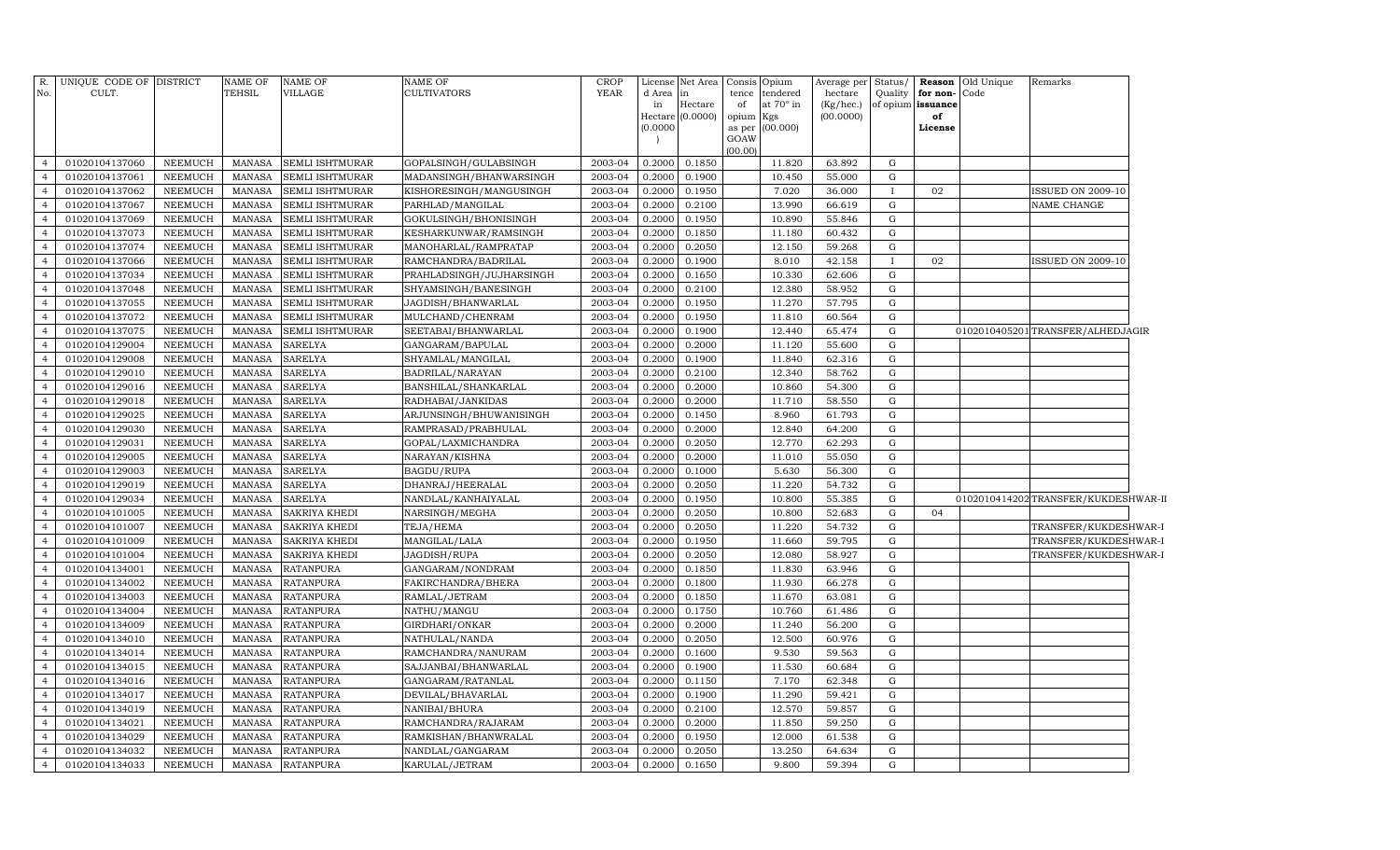| R.<br>No.                        | UNIQUE CODE OF DISTRICT<br>CULT. |                                  | <b>NAME OF</b><br>TEHSIL       | <b>NAME OF</b><br>VILLAGE            | NAME OF<br>CULTIVATORS                    | <b>CROP</b><br><b>YEAR</b> | d Area<br>in<br>Hectare<br>(0.0000) | License Net Area<br>in<br>Hectare<br>(0.0000) | Consis<br>tence<br>of<br>opium | Opium<br>tendered<br>at 70° in<br>Kgs<br>as per (00.000) | Average per<br>hectare<br>(Kg/hec.)<br>(00.0000) | Status/<br>Quality | for non-<br>of opium issuance<br>of<br>License | Reason Old Unique<br>Code | Remarks                             |
|----------------------------------|----------------------------------|----------------------------------|--------------------------------|--------------------------------------|-------------------------------------------|----------------------------|-------------------------------------|-----------------------------------------------|--------------------------------|----------------------------------------------------------|--------------------------------------------------|--------------------|------------------------------------------------|---------------------------|-------------------------------------|
|                                  |                                  |                                  |                                |                                      |                                           |                            |                                     |                                               | GOAW                           |                                                          |                                                  |                    |                                                |                           |                                     |
| $\overline{4}$                   | 01020104137060                   | NEEMUCH                          | MANASA                         | <b>SEMLI ISHTMURAR</b>               | GOPALSINGH/GULABSINGH                     | 2003-04                    | 0.2000                              | 0.1850                                        | (00.00)                        | 11.820                                                   | 63.892                                           | G                  |                                                |                           |                                     |
| $\overline{4}$                   | 01020104137061                   | <b>NEEMUCH</b>                   | <b>MANASA</b>                  | SEMLI ISHTMURAR                      | MADANSINGH/BHANWARSINGH                   | 2003-04                    | 0.2000                              | 0.1900                                        |                                | 10.450                                                   | 55.000                                           | $\mathbf G$        |                                                |                           |                                     |
| $\overline{4}$                   | 01020104137062                   | <b>NEEMUCH</b>                   | MANASA                         | SEMLI ISHTMURAR                      | KISHORESINGH/MANGUSINGH                   | 2003-04                    | 0.2000                              | 0.1950                                        |                                | 7.020                                                    | 36.000                                           | $\mathbf{I}$       | 02                                             |                           | <b>ISSUED ON 2009-10</b>            |
| $\overline{4}$                   | 01020104137067                   | <b>NEEMUCH</b>                   | <b>MANASA</b>                  | SEMLI ISHTMURAR                      | PARHLAD/MANGILAL                          | 2003-04                    | 0.2000                              | 0.2100                                        |                                | 13.990                                                   | 66.619                                           | G                  |                                                |                           | NAME CHANGE                         |
| $\overline{4}$                   | 01020104137069                   | <b>NEEMUCH</b>                   | <b>MANASA</b>                  | SEMLI ISHTMURAR                      | GOKULSINGH/BHONISINGH                     | 2003-04                    | 0.2000                              | 0.1950                                        |                                | 10.890                                                   | 55.846                                           | G                  |                                                |                           |                                     |
| $\overline{4}$                   | 01020104137073                   | <b>NEEMUCH</b>                   | <b>MANASA</b>                  | SEMLI ISHTMURAR                      | KESHARKUNWAR/RAMSINGH                     | 2003-04                    | 0.2000                              | 0.1850                                        |                                | 11.180                                                   | 60.432                                           | G                  |                                                |                           |                                     |
| $\overline{4}$                   | 01020104137074                   | <b>NEEMUCH</b>                   | <b>MANASA</b>                  | SEMLI ISHTMURAR                      | MANOHARLAL/RAMPRATAP                      | 2003-04                    | 0.2000                              | 0.2050                                        |                                | 12.150                                                   | 59.268                                           | G                  |                                                |                           |                                     |
| $\overline{4}$                   | 01020104137066                   | NEEMUCH                          | <b>MANASA</b>                  | SEMLI ISHTMURAR                      | RAMCHANDRA/BADRILAL                       | 2003-04                    | 0.2000                              | 0.1900                                        |                                | 8.010                                                    | 42.158                                           | <b>I</b>           | 02                                             |                           | ISSUED ON 2009-10                   |
| $\overline{4}$                   | 01020104137034                   | NEEMUCH                          | <b>MANASA</b>                  | SEMLI ISHTMURAR                      | PRAHLADSINGH/JUJHARSINGH                  | 2003-04                    | 0.2000                              | 0.1650                                        |                                | 10.330                                                   | 62.606                                           | G                  |                                                |                           |                                     |
| $\overline{4}$                   | 01020104137048                   | NEEMUCH                          | <b>MANASA</b>                  | SEMLI ISHTMURAR                      | SHYAMSINGH/BANESINGH                      | 2003-04                    | 0.2000                              | 0.2100                                        |                                | 12.380                                                   | 58.952                                           | G                  |                                                |                           |                                     |
| $\overline{4}$                   | 01020104137055                   | <b>NEEMUCH</b>                   | MANASA                         | SEMLI ISHTMURAR                      | JAGDISH/BHANWARLAL                        | 2003-04                    | 0.2000                              | 0.1950                                        |                                | 11.270                                                   | 57.795                                           | G                  |                                                |                           |                                     |
| $\overline{4}$                   | 01020104137072                   | <b>NEEMUCH</b>                   | MANASA                         | SEMLI ISHTMURAR                      | MULCHAND/CHENRAM                          | 2003-04                    | 0.2000                              | 0.1950                                        |                                | 11.810                                                   | 60.564                                           | G                  |                                                |                           |                                     |
| $\overline{4}$                   | 01020104137075                   | <b>NEEMUCH</b>                   | <b>MANASA</b>                  | SEMLI ISHTMURAR                      | SEETABAI/BHANWARLAL                       | 2003-04                    | 0.2000                              | 0.1900                                        |                                | 12.440                                                   | 65.474                                           | G                  |                                                |                           | 0102010405201 TRANSFER/ALHEDJAGIR   |
| $\overline{4}$                   | 01020104129004                   | <b>NEEMUCH</b>                   | MANASA                         | <b>SARELYA</b>                       | GANGARAM/BAPULAL                          | 2003-04                    | 0.2000                              | 0.2000                                        |                                | 11.120                                                   | 55.600                                           | G                  |                                                |                           |                                     |
| $\overline{4}$                   | 01020104129008                   | NEEMUCH                          | MANASA                         | SARELYA                              | SHYAMLAL/MANGILAL                         | 2003-04                    | 0.2000                              | 0.1900                                        |                                | 11.840                                                   | 62.316                                           | G                  |                                                |                           |                                     |
| $\overline{4}$                   | 01020104129010                   | <b>NEEMUCH</b>                   | MANASA                         | SARELYA                              | BADRILAL/NARAYAN                          | 2003-04                    | 0.2000                              | 0.2100                                        |                                | 12.340                                                   | 58.762                                           | G                  |                                                |                           |                                     |
| $\overline{4}$                   | 01020104129016                   | <b>NEEMUCH</b>                   | MANASA                         | <b>SARELYA</b>                       | BANSHILAL/SHANKARLAL                      | 2003-04                    | 0.2000                              | 0.2000                                        |                                | 10.860                                                   | 54.300                                           | $\mathbf G$        |                                                |                           |                                     |
| $\overline{4}$                   | 01020104129018                   | <b>NEEMUCH</b>                   | <b>MANASA</b>                  | <b>SARELYA</b>                       | RADHABAI/JANKIDAS                         | 2003-04                    | 0.2000                              | 0.2000                                        |                                | 11.710                                                   | 58.550                                           | $\mathbf G$        |                                                |                           |                                     |
| $\overline{4}$                   | 01020104129025                   | <b>NEEMUCH</b>                   | <b>MANASA</b>                  | <b>SARELYA</b>                       | ARJUNSINGH/BHUWANISINGH                   | 2003-04                    | 0.2000                              | 0.1450                                        |                                | 8.960                                                    | 61.793                                           | $\mathbf G$        |                                                |                           |                                     |
| $\overline{4}$                   | 01020104129030                   | <b>NEEMUCH</b>                   | <b>MANASA</b>                  | <b>SARELYA</b>                       | RAMPRASAD/PRABHULAL                       | 2003-04                    | 0.2000                              | 0.2000                                        |                                | 12.840                                                   | 64.200                                           | $\mathbf G$        |                                                |                           |                                     |
| $\overline{4}$                   | 01020104129031                   | <b>NEEMUCH</b>                   | <b>MANASA</b>                  | <b>SARELYA</b>                       | GOPAL/LAXMICHANDRA                        | 2003-04                    | 0.2000                              | 0.2050                                        |                                | 12.770                                                   | 62.293                                           | G                  |                                                |                           |                                     |
| $\overline{4}$                   | 01020104129005                   | <b>NEEMUCH</b>                   | <b>MANASA</b>                  | <b>SARELYA</b>                       | NARAYAN/KISHNA                            | 2003-04                    | 0.2000                              | 0.2000                                        |                                | 11.010                                                   | 55.050                                           | G                  |                                                |                           |                                     |
| $\overline{4}$                   | 01020104129003                   | <b>NEEMUCH</b>                   | <b>MANASA</b>                  | <b>SARELYA</b>                       | <b>BAGDU/RUPA</b>                         | 2003-04                    | 0.2000                              | 0.1000                                        |                                | 5.630                                                    | 56.300                                           | G                  |                                                |                           |                                     |
| $\overline{4}$                   | 01020104129019                   | <b>NEEMUCH</b>                   | <b>MANASA</b>                  | <b>SARELYA</b>                       | DHANRAJ/HEERALAL                          | 2003-04                    | 0.2000                              | 0.2050                                        |                                | 11.220                                                   | 54.732                                           | G                  |                                                |                           |                                     |
| $\overline{4}$                   | 01020104129034                   | <b>NEEMUCH</b>                   | <b>MANASA</b>                  | <b>SARELYA</b>                       | NANDLAL/KANHAIYALAL                       | 2003-04                    | 0.2000                              | 0.1950                                        |                                | 10.800                                                   | 55.385                                           | G                  |                                                |                           | 0102010414202TRANSFER/KUKDESHWAR-II |
| $\overline{4}$                   | 01020104101005                   | <b>NEEMUCH</b>                   | <b>MANASA</b>                  | SAKRIYA KHEDI                        | NARSINGH/MEGHA                            | 2003-04                    | 0.2000                              | 0.2050                                        |                                | 10.800                                                   | 52.683                                           | G                  | 04                                             |                           |                                     |
| $\overline{4}$                   | 01020104101007                   | <b>NEEMUCH</b>                   | <b>MANASA</b>                  | SAKRIYA KHEDI                        | TEJA/HEMA                                 | 2003-04                    | 0.2000                              | 0.2050                                        |                                | 11.220                                                   | 54.732                                           | G                  |                                                |                           | TRANSFER/KUKDESHWAR-I               |
| $\overline{4}$                   | 01020104101009                   | <b>NEEMUCH</b>                   | <b>MANASA</b>                  | SAKRIYA KHEDI                        | MANGILAL/LALA                             | 2003-04                    | 0.2000                              | 0.1950                                        |                                | 11.660                                                   | 59.795                                           | G                  |                                                |                           | TRANSFER/KUKDESHWAR-I               |
| $\overline{4}$                   | 01020104101004                   | NEEMUCH                          | MANASA                         | SAKRIYA KHEDI                        | JAGDISH/RUPA                              | 2003-04                    | 0.2000                              | 0.2050                                        |                                | 12.080                                                   | 58.927                                           | G                  |                                                |                           | TRANSFER/KUKDESHWAR-I               |
| $\overline{4}$                   | 01020104134001                   | NEEMUCH                          | <b>MANASA</b>                  | <b>RATANPURA</b>                     | GANGARAM/NONDRAM                          | 2003-04                    | 0.2000                              | 0.1850                                        |                                | 11.830                                                   | 63.946                                           | G                  |                                                |                           |                                     |
| $\overline{4}$                   | 01020104134002                   | <b>NEEMUCH</b>                   | MANASA                         | <b>RATANPURA</b>                     | FAKIRCHANDRA/BHERA                        | 2003-04                    | 0.2000                              | 0.1800                                        |                                | 11.930                                                   | 66.278                                           | $\mathbf G$        |                                                |                           |                                     |
| $\overline{4}$                   | 01020104134003                   | <b>NEEMUCH</b>                   | MANASA                         | <b>RATANPURA</b>                     | RAMLAL/JETRAM                             | 2003-04                    | 0.2000                              | 0.1850                                        |                                | 11.670                                                   | 63.081                                           | $\mathbf G$        |                                                |                           |                                     |
| $\overline{4}$                   | 01020104134004                   | NEEMUCH                          | <b>MANASA</b>                  | <b>RATANPURA</b>                     | NATHU/MANGU                               | 2003-04                    | 0.2000                              | 0.1750                                        |                                | 10.760                                                   | 61.486                                           | $\mathbf G$        |                                                |                           |                                     |
| $\overline{4}$                   | 01020104134009                   | <b>NEEMUCH</b>                   | <b>MANASA</b>                  | <b>RATANPURA</b>                     | GIRDHARI/ONKAR                            | 2003-04                    | 0.2000                              | 0.2000                                        |                                | 11.240                                                   | 56.200                                           | ${\rm G}$          |                                                |                           |                                     |
| $\overline{4}$<br>$\overline{4}$ | 01020104134010                   | <b>NEEMUCH</b>                   | <b>MANASA</b>                  | <b>RATANPURA</b>                     | NATHULAL/NANDA                            | 2003-04                    | 0.2000                              | 0.2050                                        |                                | 12.500                                                   | 60.976                                           | G<br>G             |                                                |                           |                                     |
| $\overline{4}$                   | 01020104134014                   | NEEMUCH                          | <b>MANASA</b>                  | <b>RATANPURA</b>                     | RAMCHANDRA/NANURAM                        | 2003-04                    | 0.2000                              | 0.1600                                        |                                | 9.530                                                    | 59.563                                           |                    |                                                |                           |                                     |
| $\overline{4}$                   | 01020104134015<br>01020104134016 | <b>NEEMUCH</b><br><b>NEEMUCH</b> | <b>MANASA</b><br><b>MANASA</b> | <b>RATANPURA</b><br><b>RATANPURA</b> | SAJJANBAI/BHANWARLAL<br>GANGARAM/RATANLAL | 2003-04<br>2003-04         | 0.2000<br>0.2000                    | 0.1900<br>0.1150                              |                                | 11.530<br>7.170                                          | 60.684<br>62.348                                 | G<br>G             |                                                |                           |                                     |
| $\overline{4}$                   | 01020104134017                   | NEEMUCH                          | <b>MANASA</b>                  | <b>RATANPURA</b>                     | DEVILAL/BHAVARLAL                         | 2003-04                    | 0.2000                              | 0.1900                                        |                                | 11.290                                                   | 59.421                                           | $\mathbf G$        |                                                |                           |                                     |
| $\overline{4}$                   | 01020104134019                   | <b>NEEMUCH</b>                   | <b>MANASA</b>                  | <b>RATANPURA</b>                     | NANIBAI/BHURA                             | 2003-04                    | 0.2000                              | 0.2100                                        |                                | 12.570                                                   | 59.857                                           | G                  |                                                |                           |                                     |
| $\overline{4}$                   | 01020104134021                   | NEEMUCH                          | <b>MANASA</b>                  | <b>RATANPURA</b>                     | RAMCHANDRA/RAJARAM                        | 2003-04                    | 0.2000                              | 0.2000                                        |                                | 11.850                                                   | 59.250                                           | G                  |                                                |                           |                                     |
| $\overline{4}$                   | 01020104134029                   | <b>NEEMUCH</b>                   | <b>MANASA</b>                  | RATANPURA                            | RAMKISHAN/BHANWRALAL                      | 2003-04                    | 0.2000                              | 0.1950                                        |                                | 12.000                                                   | 61.538                                           | G                  |                                                |                           |                                     |
| $\overline{4}$                   | 01020104134032                   | <b>NEEMUCH</b>                   | <b>MANASA</b>                  | <b>RATANPURA</b>                     | NANDLAL/GANGARAM                          | 2003-04                    | 0.2000                              | 0.2050                                        |                                | 13.250                                                   | 64.634                                           | G                  |                                                |                           |                                     |
| 4                                | 01020104134033                   | NEEMUCH                          | MANASA                         | <b>RATANPURA</b>                     | KARULAL/JETRAM                            | 2003-04                    | 0.2000                              | 0.1650                                        |                                | 9.800                                                    | 59.394                                           | G                  |                                                |                           |                                     |
|                                  |                                  |                                  |                                |                                      |                                           |                            |                                     |                                               |                                |                                                          |                                                  |                    |                                                |                           |                                     |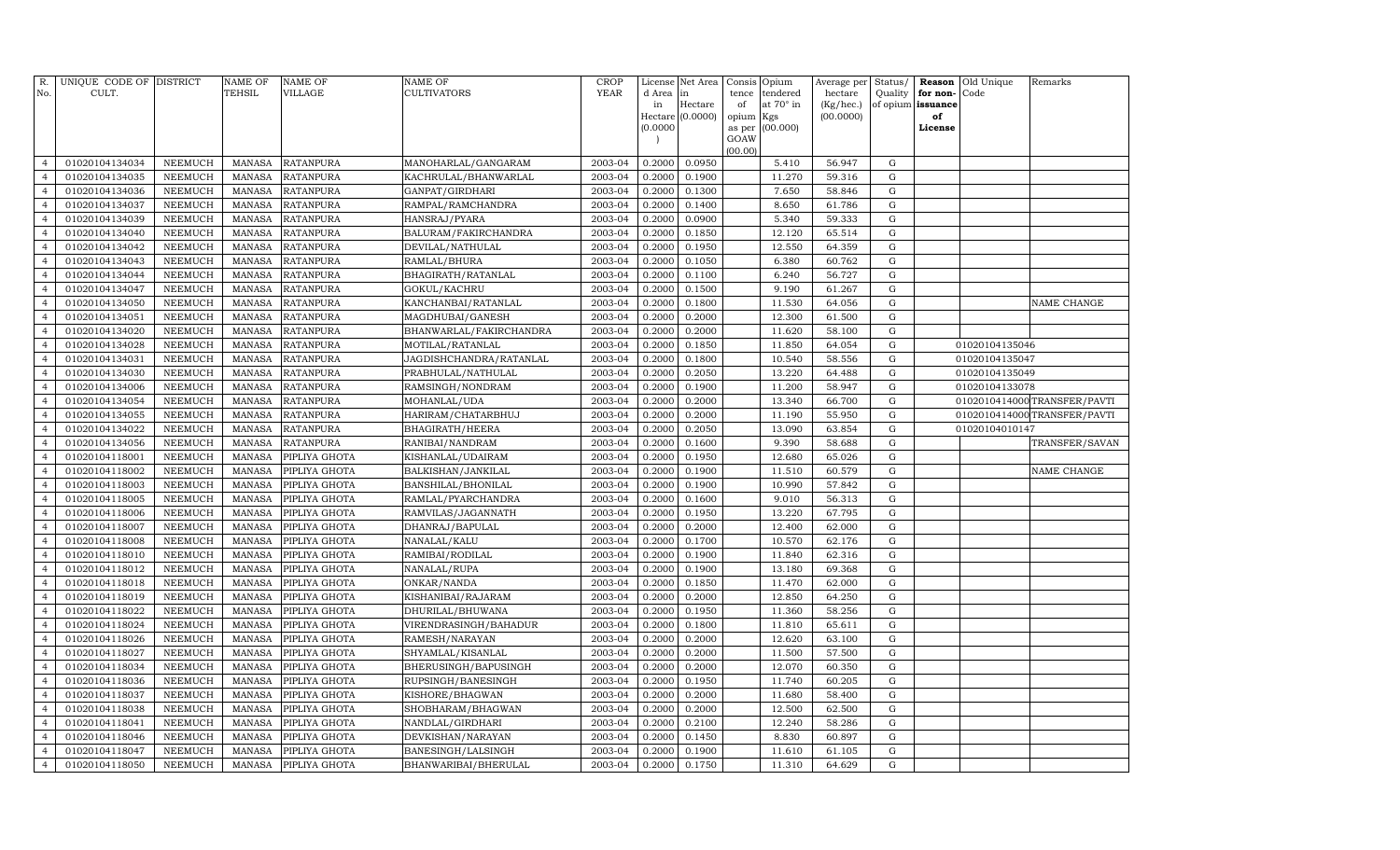| R.<br>No.                        | UNIQUE CODE OF DISTRICT<br>CULT. |                                  | NAME OF<br>TEHSIL       | <b>NAME OF</b><br>VILLAGE      | <b>NAME OF</b><br>CULTIVATORS   | CROP<br><b>YEAR</b> | License<br>d Area     | Net Area<br>in   | Consis<br>tence | Opium<br>tendered | Average per<br>hectare | Status/<br>Quality         | Reason<br>for non- | Old Unique<br>Code | Remarks                      |
|----------------------------------|----------------------------------|----------------------------------|-------------------------|--------------------------------|---------------------------------|---------------------|-----------------------|------------------|-----------------|-------------------|------------------------|----------------------------|--------------------|--------------------|------------------------------|
|                                  |                                  |                                  |                         |                                |                                 |                     | in                    | Hectare          | of              | at 70° in         | (Kg/hec.)              | of opium                   | issuance           |                    |                              |
|                                  |                                  |                                  |                         |                                |                                 |                     | Hectare  <br>(0.0000) | (0.0000)         | opium<br>as per | Kgs<br>(00.000)   | (00.0000)              |                            | of<br>License      |                    |                              |
|                                  |                                  |                                  |                         |                                |                                 |                     |                       |                  | GOAW            |                   |                        |                            |                    |                    |                              |
|                                  |                                  |                                  |                         |                                |                                 |                     |                       |                  | (00.00)         |                   |                        |                            |                    |                    |                              |
| $\overline{4}$                   | 01020104134034                   | NEEMUCH                          | MANASA                  | <b>RATANPURA</b>               | MANOHARLAL/GANGARAM             | 2003-04             | 0.2000                | 0.0950           |                 | 5.410             | 56.947                 | G                          |                    |                    |                              |
| $\overline{4}$                   | 01020104134035                   | <b>NEEMUCH</b>                   | <b>MANASA</b>           | <b>RATANPURA</b>               | KACHRULAL/BHANWARLAL            | 2003-04             | 0.2000                | 0.1900           |                 | 11.270            | 59.316                 | ${\rm G}$                  |                    |                    |                              |
| $\overline{4}$                   | 01020104134036                   | <b>NEEMUCH</b>                   | MANASA                  | <b>RATANPURA</b>               | GANPAT/GIRDHARI                 | 2003-04             | 0.2000                | 0.1300           |                 | 7.650             | 58.846                 | G                          |                    |                    |                              |
| $\overline{4}$                   | 01020104134037                   | <b>NEEMUCH</b>                   | MANASA                  | <b>RATANPURA</b>               | RAMPAL/RAMCHANDRA               | 2003-04             | 0.2000                | 0.1400           |                 | 8.650             | 61.786                 | G                          |                    |                    |                              |
| $\overline{4}$                   | 01020104134039                   | <b>NEEMUCH</b>                   | <b>MANASA</b>           | <b>RATANPURA</b>               | HANSRAJ/PYARA                   | 2003-04             | 0.2000                | 0.0900           |                 | 5.340             | 59.333                 | G                          |                    |                    |                              |
| $\overline{4}$                   | 01020104134040                   | <b>NEEMUCH</b>                   | <b>MANASA</b>           | <b>RATANPURA</b>               | BALURAM/FAKIRCHANDRA            | 2003-04             | 0.2000                | 0.1850           |                 | 12.120            | 65.514                 | G                          |                    |                    |                              |
| $\overline{4}$                   | 01020104134042                   | <b>NEEMUCH</b>                   | <b>MANASA</b>           | <b>RATANPURA</b>               | DEVILAL/NATHULAL                | 2003-04             | 0.2000                | 0.1950           |                 | 12.550            | 64.359                 | G                          |                    |                    |                              |
| $\overline{4}$                   | 01020104134043                   | <b>NEEMUCH</b>                   | <b>MANASA</b>           | <b>RATANPURA</b>               | RAMLAL/BHURA                    | 2003-04             | 0.2000                | 0.1050           |                 | 6.380             | 60.762                 | $\mathbf G$                |                    |                    |                              |
| $\overline{4}$                   | 01020104134044                   | <b>NEEMUCH</b>                   | <b>MANASA</b>           | <b>RATANPURA</b>               | BHAGIRATH/RATANLAL              | 2003-04             | 0.2000                | 0.1100           |                 | 6.240             | 56.727                 | $\mathbf G$                |                    |                    |                              |
| $\overline{4}$                   | 01020104134047                   | <b>NEEMUCH</b>                   | <b>MANASA</b>           | <b>RATANPURA</b>               | GOKUL/KACHRU                    | 2003-04             | 0.2000                | 0.1500           |                 | 9.190             | 61.267                 | ${\rm G}$                  |                    |                    |                              |
| $\overline{4}$                   | 01020104134050                   | <b>NEEMUCH</b>                   | <b>MANASA</b>           | <b>RATANPURA</b>               | KANCHANBAI/RATANLAL             | 2003-04             | 0.2000                | 0.1800           |                 | 11.530            | 64.056                 | $\mathbf G$                |                    |                    | NAME CHANGE                  |
| $\overline{4}$                   | 01020104134051                   | <b>NEEMUCH</b>                   | <b>MANASA</b>           | <b>RATANPURA</b>               | MAGDHUBAI/GANESH                | 2003-04             | 0.2000                | 0.2000           |                 | 12.300            | 61.500                 | G                          |                    |                    |                              |
| $\overline{4}$                   | 01020104134020                   | <b>NEEMUCH</b>                   | MANASA                  | <b>RATANPURA</b>               | BHANWARLAL/FAKIRCHANDRA         | 2003-04             | 0.2000                | 0.2000           |                 | 11.620            | 58.100                 | G                          |                    |                    |                              |
| $\overline{4}$                   | 01020104134028                   | <b>NEEMUCH</b>                   | MANASA                  | <b>RATANPURA</b>               | MOTILAL/RATANLAL                | 2003-04             | 0.2000                | 0.1850           |                 | 11.850            | 64.054                 | G                          |                    | 01020104135046     |                              |
| $\overline{4}$                   | 01020104134031                   | <b>NEEMUCH</b>                   | <b>MANASA</b>           | <b>RATANPURA</b>               | JAGDISHCHANDRA/RATANLAL         | 2003-04             | 0.2000                | 0.1800           |                 | 10.540            | 58.556                 | G                          |                    | 01020104135047     |                              |
| $\overline{4}$                   | 01020104134030                   | <b>NEEMUCH</b>                   | <b>MANASA</b>           | <b>RATANPURA</b>               | PRABHULAL/NATHULAL              | 2003-04             | 0.2000                | 0.2050           |                 | 13.220            | 64.488                 | G                          |                    | 01020104135049     |                              |
| $\overline{4}$                   | 01020104134006                   | <b>NEEMUCH</b>                   | MANASA                  | <b>RATANPURA</b>               | RAMSINGH/NONDRAM                | 2003-04             | 0.2000                | 0.1900           |                 | 11.200            | 58.947                 | G                          |                    | 01020104133078     |                              |
| $\overline{4}$                   | 01020104134054                   | <b>NEEMUCH</b>                   | <b>MANASA</b>           | <b>RATANPURA</b>               | MOHANLAL/UDA                    | 2003-04             | 0.2000                | 0.2000           |                 | 13.340            | 66.700                 | G                          |                    |                    | 0102010414000 TRANSFER/PAVTI |
| $\overline{4}$                   | 01020104134055                   | <b>NEEMUCH</b>                   | <b>MANASA</b>           | <b>RATANPURA</b>               | HARIRAM/CHATARBHUJ              | 2003-04             | 0.2000                | 0.2000           |                 | 11.190            | 55.950                 | $\mathbf G$                |                    |                    | 0102010414000 TRANSFER/PAVTI |
| $\overline{4}$                   | 01020104134022                   | <b>NEEMUCH</b>                   | <b>MANASA</b>           | <b>RATANPURA</b>               | BHAGIRATH/HEERA                 | 2003-04             | 0.2000                | 0.2050           |                 | 13.090            | 63.854                 | ${\rm G}$                  |                    | 01020104010147     |                              |
| $\overline{4}$                   | 01020104134056                   | <b>NEEMUCH</b>                   | <b>MANASA</b>           | <b>RATANPURA</b>               | RANIBAI/NANDRAM                 | 2003-04             | 0.2000                | 0.1600           |                 | 9.390             | 58.688                 | G                          |                    |                    | TRANSFER/SAVAN               |
| $\overline{4}$                   | 01020104118001                   | <b>NEEMUCH</b>                   | <b>MANASA</b>           | PIPLIYA GHOTA                  | KISHANLAL/UDAIRAM               | 2003-04             | 0.2000                | 0.1950           |                 | 12.680            | 65.026                 | G                          |                    |                    |                              |
| $\overline{4}$                   | 01020104118002                   | <b>NEEMUCH</b>                   | MANASA                  | PIPLIYA GHOTA                  | BALKISHAN/JANKILAL              | 2003-04             | 0.2000                | 0.1900           |                 | 11.510            | 60.579                 | ${\rm G}$                  |                    |                    | NAME CHANGE                  |
| $\overline{4}$                   | 01020104118003                   | <b>NEEMUCH</b>                   | MANASA                  | PIPLIYA GHOTA                  | BANSHILAL/BHONILAL              | 2003-04             | 0.2000                | 0.1900           |                 | 10.990            | 57.842                 | G                          |                    |                    |                              |
| $\overline{4}$                   | 01020104118005                   | <b>NEEMUCH</b>                   | MANASA                  | PIPLIYA GHOTA                  | RAMLAL/PYARCHANDRA              | 2003-04             | 0.2000                | 0.1600           |                 | 9.010             | 56.313                 | G                          |                    |                    |                              |
| $\overline{4}$                   | 01020104118006                   | <b>NEEMUCH</b>                   | <b>MANASA</b>           | PIPLIYA GHOTA                  | RAMVILAS/JAGANNATH              | 2003-04             | 0.2000                | 0.1950           |                 | 13.220            | 67.795                 | G                          |                    |                    |                              |
| $\overline{4}$                   | 01020104118007                   | <b>NEEMUCH</b>                   | MANASA                  | PIPLIYA GHOTA                  | DHANRAJ/BAPULAL                 | 2003-04             | 0.2000                | 0.2000           |                 | 12.400            | 62.000                 | G                          |                    |                    |                              |
| $\overline{4}$<br>$\overline{4}$ | 01020104118008                   | <b>NEEMUCH</b>                   | MANASA<br><b>MANASA</b> | PIPLIYA GHOTA                  | NANALAL/KALU                    | 2003-04<br>2003-04  | 0.2000                | 0.1700           |                 | 10.570            | 62.176                 | $\mathbf G$<br>$\mathbf G$ |                    |                    |                              |
| $\overline{4}$                   | 01020104118010<br>01020104118012 | <b>NEEMUCH</b><br><b>NEEMUCH</b> | MANASA                  | PIPLIYA GHOTA<br>PIPLIYA GHOTA | RAMIBAI/RODILAL<br>NANALAL/RUPA | 2003-04             | 0.2000<br>0.2000      | 0.1900<br>0.1900 |                 | 11.840<br>13.180  | 62.316<br>69.368       | G                          |                    |                    |                              |
| $\overline{4}$                   | 01020104118018                   | <b>NEEMUCH</b>                   | <b>MANASA</b>           | PIPLIYA GHOTA                  | ONKAR/NANDA                     | 2003-04             | 0.2000                | 0.1850           |                 | 11.470            | 62.000                 | G                          |                    |                    |                              |
| $\overline{4}$                   | 01020104118019                   | <b>NEEMUCH</b>                   | <b>MANASA</b>           | PIPLIYA GHOTA                  | KISHANIBAI/RAJARAM              | 2003-04             | 0.2000                | 0.2000           |                 | 12.850            | 64.250                 | G                          |                    |                    |                              |
| $\overline{4}$                   | 01020104118022                   | <b>NEEMUCH</b>                   | MANASA                  | PIPLIYA GHOTA                  | DHURILAL/BHUWANA                | 2003-04             | 0.2000                | 0.1950           |                 | 11.360            | 58.256                 | G                          |                    |                    |                              |
| $\overline{4}$                   | 01020104118024                   | <b>NEEMUCH</b>                   | MANASA                  | PIPLIYA GHOTA                  | VIRENDRASINGH/BAHADUR           | 2003-04             | 0.2000                | 0.1800           |                 | 11.810            | 65.611                 | G                          |                    |                    |                              |
| $\overline{4}$                   | 01020104118026                   | <b>NEEMUCH</b>                   | MANASA                  | PIPLIYA GHOTA                  | RAMESH/NARAYAN                  | 2003-04             | 0.2000                | 0.2000           |                 | 12.620            | 63.100                 | G                          |                    |                    |                              |
| $\overline{4}$                   | 01020104118027                   | <b>NEEMUCH</b>                   | <b>MANASA</b>           | PIPLIYA GHOTA                  | SHYAMLAL/KISANLAL               | 2003-04             | 0.2000                | 0.2000           |                 | 11.500            | 57.500                 | G                          |                    |                    |                              |
| $\overline{4}$                   | 01020104118034                   | <b>NEEMUCH</b>                   | MANASA                  | PIPLIYA GHOTA                  | BHERUSINGH/BAPUSINGH            | 2003-04             | 0.2000                | 0.2000           |                 | 12.070            | 60.350                 | G                          |                    |                    |                              |
| $\overline{4}$                   | 01020104118036                   | <b>NEEMUCH</b>                   | <b>MANASA</b>           | PIPLIYA GHOTA                  | RUPSINGH/BANESINGH              | 2003-04             | 0.2000                | 0.1950           |                 | 11.740            | 60.205                 | $\mathbf G$                |                    |                    |                              |
| $\overline{4}$                   | 01020104118037                   | <b>NEEMUCH</b>                   | <b>MANASA</b>           | PIPLIYA GHOTA                  | KISHORE/BHAGWAN                 | 2003-04             | 0.2000                | 0.2000           |                 | 11.680            | 58.400                 | ${\rm G}$                  |                    |                    |                              |
| $\overline{4}$                   | 01020104118038                   | <b>NEEMUCH</b>                   | MANASA                  | PIPLIYA GHOTA                  | SHOBHARAM/BHAGWAN               | 2003-04             | 0.2000                | 0.2000           |                 | 12.500            | 62.500                 | G                          |                    |                    |                              |
| $\overline{4}$                   | 01020104118041                   | <b>NEEMUCH</b>                   | <b>MANASA</b>           | PIPLIYA GHOTA                  | NANDLAL/GIRDHARI                | 2003-04             | 0.2000                | 0.2100           |                 | 12.240            | 58.286                 | G                          |                    |                    |                              |
| $\overline{4}$                   | 01020104118046                   | <b>NEEMUCH</b>                   | <b>MANASA</b>           | PIPLIYA GHOTA                  | DEVKISHAN/NARAYAN               | 2003-04             | 0.2000                | 0.1450           |                 | 8.830             | 60.897                 | G                          |                    |                    |                              |
| $\overline{4}$                   | 01020104118047                   | <b>NEEMUCH</b>                   | <b>MANASA</b>           | PIPLIYA GHOTA                  | BANESINGH/LALSINGH              | 2003-04             | 0.2000                | 0.1900           |                 | 11.610            | 61.105                 | G                          |                    |                    |                              |
| $\overline{4}$                   | 01020104118050                   | <b>NEEMUCH</b>                   | MANASA                  | PIPLIYA GHOTA                  | BHANWARIBAI/BHERULAL            | 2003-04             | 0.2000                | 0.1750           |                 | 11.310            | 64.629                 | ${\rm G}$                  |                    |                    |                              |
|                                  |                                  |                                  |                         |                                |                                 |                     |                       |                  |                 |                   |                        |                            |                    |                    |                              |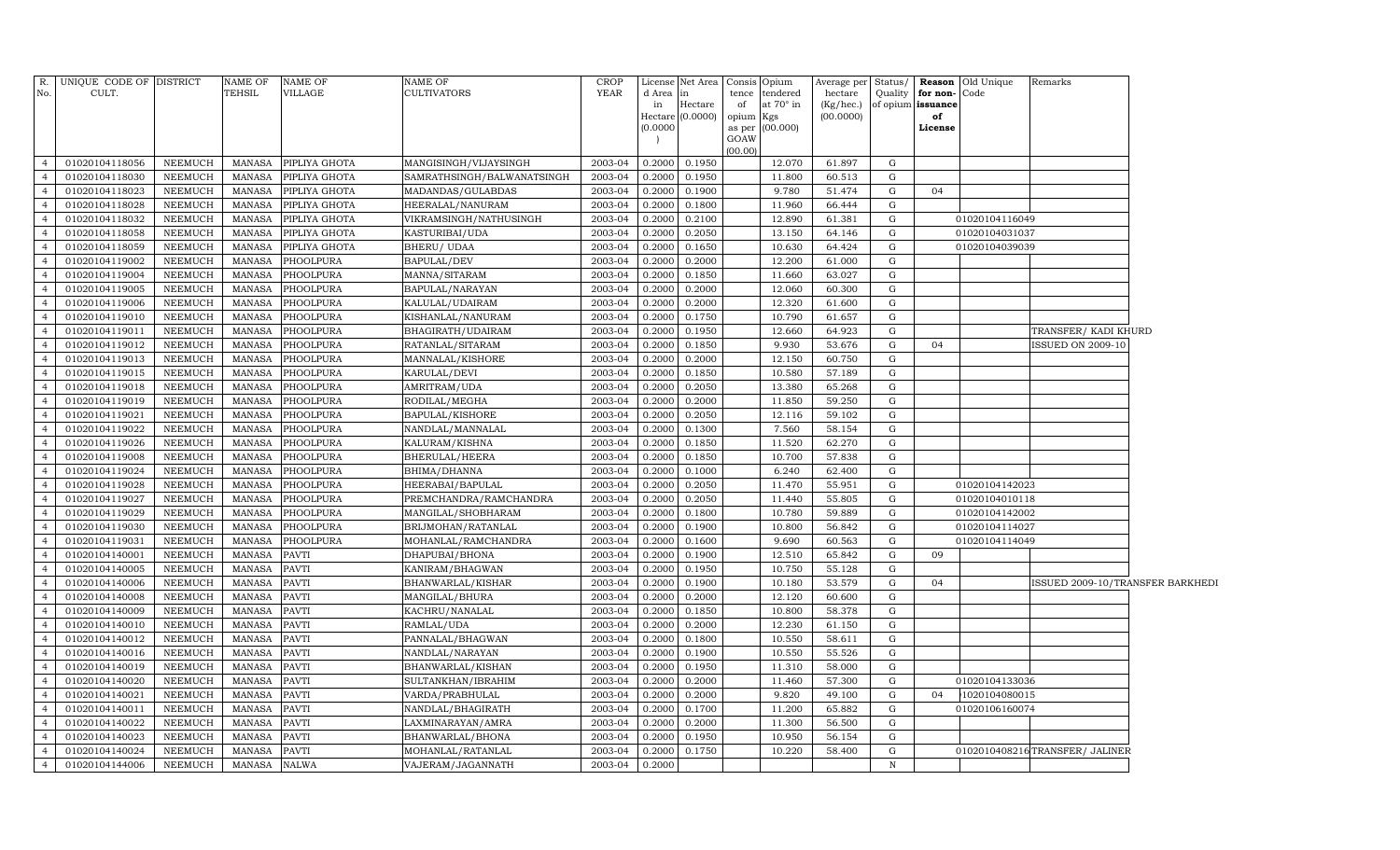| R.                               | UNIQUE CODE OF DISTRICT          |                    | NAME OF                 | <b>NAME OF</b>        | NAME OF                                | <b>CROP</b>        | License          | Net Area         | Consis Opium |                                    | Average per Status/  |              |                                   | Reason Old Unique | Remarks                          |  |
|----------------------------------|----------------------------------|--------------------|-------------------------|-----------------------|----------------------------------------|--------------------|------------------|------------------|--------------|------------------------------------|----------------------|--------------|-----------------------------------|-------------------|----------------------------------|--|
| No.                              | CULT.                            |                    | TEHSIL                  | VILLAGE               | CULTIVATORS                            | YEAR               | d Area<br>in     | in<br>Hectare    | of           | tence tendered<br>at $70^\circ$ in | hectare<br>(Kg/hec.) | Quality      | for non-Code<br>of opium issuance |                   |                                  |  |
|                                  |                                  |                    |                         |                       |                                        |                    | Hectare          | (0.0000)         | opium Kgs    |                                    | (00.0000)            |              | of                                |                   |                                  |  |
|                                  |                                  |                    |                         |                       |                                        |                    | (0.0000)         |                  |              | as per (00.000)                    |                      |              | License                           |                   |                                  |  |
|                                  |                                  |                    |                         |                       |                                        |                    |                  |                  | GOAW         |                                    |                      |              |                                   |                   |                                  |  |
| $\overline{4}$                   | 01020104118056                   | NEEMUCH            | <b>MANASA</b>           | PIPLIYA GHOTA         | MANGISINGH/VIJAYSINGH                  | 2003-04            | 0.2000           | 0.1950           | (00.00)      | 12.070                             | 61.897               | G            |                                   |                   |                                  |  |
| $\overline{4}$                   | 01020104118030                   | NEEMUCH            | <b>MANASA</b>           | PIPLIYA GHOTA         | SAMRATHSINGH/BALWANATSINGH             | 2003-04            | 0.2000           | 0.1950           |              | 11.800                             | 60.513               | G            |                                   |                   |                                  |  |
| $\overline{4}$                   | 01020104118023                   | NEEMUCH            | <b>MANASA</b>           | PIPLIYA GHOTA         | MADANDAS/GULABDAS                      | 2003-04            | 0.2000           | 0.1900           |              | 9.780                              | 51.474               | G            | 04                                |                   |                                  |  |
| $\overline{4}$                   | 01020104118028                   | NEEMUCH            | <b>MANASA</b>           | PIPLIYA GHOTA         | HEERALAL/NANURAM                       | 2003-04            | 0.2000           | 0.1800           |              | 11.960                             | 66.444               | G            |                                   |                   |                                  |  |
| $\overline{4}$                   | 01020104118032                   | NEEMUCH            | <b>MANASA</b>           | PIPLIYA GHOTA         | VIKRAMSINGH/NATHUSINGH                 | 2003-04            | 0.2000           | 0.2100           |              | 12.890                             | 61.381               | G            |                                   | 01020104116049    |                                  |  |
| $\overline{4}$                   | 01020104118058                   | NEEMUCH            | <b>MANASA</b>           | PIPLIYA GHOTA         | KASTURIBAI/UDA                         | 2003-04            | 0.2000           | 0.2050           |              | 13.150                             | 64.146               | G            |                                   | 01020104031037    |                                  |  |
| $\overline{4}$                   | 01020104118059                   | NEEMUCH            | <b>MANASA</b>           | PIPLIYA GHOTA         | BHERU/ UDAA                            | 2003-04            | 0.2000           | 0.1650           |              | 10.630                             | 64.424               | G            |                                   | 01020104039039    |                                  |  |
| $\overline{4}$                   | 01020104119002                   | NEEMUCH            | <b>MANASA</b>           | PHOOLPURA             | <b>BAPULAL/DEV</b>                     | 2003-04            | 0.2000           | 0.2000           |              | 12.200                             | 61.000               | G            |                                   |                   |                                  |  |
| $\overline{4}$                   | 01020104119004                   | NEEMUCH            | <b>MANASA</b>           | PHOOLPURA             | MANNA/SITARAM                          | 2003-04            | 0.2000           | 0.1850           |              | 11.660                             | 63.027               | G            |                                   |                   |                                  |  |
| $\overline{4}$                   | 01020104119005                   | NEEMUCH            | <b>MANASA</b>           | PHOOLPURA             | BAPULAL/NARAYAN                        | 2003-04            | 0.2000           | 0.2000           |              | 12.060                             | 60.300               | G            |                                   |                   |                                  |  |
| $\overline{4}$                   | 01020104119006                   | NEEMUCH            | <b>MANASA</b>           | PHOOLPURA             | KALULAL/UDAIRAM                        | 2003-04            | 0.2000           | 0.2000           |              | 12.320                             | 61.600               | G            |                                   |                   |                                  |  |
| $\overline{4}$                   | 01020104119010                   | NEEMUCH            | <b>MANASA</b>           | PHOOLPURA             | KISHANLAL/NANURAM                      | 2003-04            | 0.2000           | 0.1750           |              | 10.790                             | 61.657               | G            |                                   |                   |                                  |  |
| $\overline{4}$                   | 01020104119011                   | NEEMUCH            | <b>MANASA</b>           | PHOOLPURA             | BHAGIRATH/UDAIRAM                      | 2003-04            | 0.2000           | 0.1950           |              | 12.660                             | 64.923               | G            |                                   |                   | TRANSFER/ KADI KHURD             |  |
| $\overline{4}$                   | 01020104119012                   | NEEMUCH            | <b>MANASA</b>           | PHOOLPURA             | RATANLAL/SITARAM                       | 2003-04            | 0.2000           | 0.1850           |              | 9.930                              | 53.676               | G            | 04                                |                   | <b>ISSUED ON 2009-10</b>         |  |
| $\overline{4}$                   | 01020104119013                   | NEEMUCH            | <b>MANASA</b>           | PHOOLPURA             | MANNALAL/KISHORE                       | 2003-04            | 0.2000           | 0.2000           |              | 12.150                             | 60.750               | G            |                                   |                   |                                  |  |
| $\overline{4}$                   | 01020104119015                   | NEEMUCH            | <b>MANASA</b>           | PHOOLPURA             | KARULAL/DEVI                           | 2003-04            | 0.2000           | 0.1850           |              | 10.580                             | 57.189               | G            |                                   |                   |                                  |  |
| $\overline{4}$                   | 01020104119018                   | NEEMUCH            | <b>MANASA</b>           | PHOOLPURA             | AMRITRAM/UDA                           | 2003-04            | 0.2000           | 0.2050           |              | 13.380                             | 65.268               | G            |                                   |                   |                                  |  |
| $\overline{4}$                   | 01020104119019                   | NEEMUCH            | <b>MANASA</b>           | PHOOLPURA             | RODILAL/MEGHA                          | 2003-04            | 0.2000           | 0.2000           |              | 11.850                             | 59.250               | G            |                                   |                   |                                  |  |
| $\overline{4}$                   | 01020104119021                   | NEEMUCH            | <b>MANASA</b>           | PHOOLPURA             | BAPULAL/KISHORE                        | 2003-04            | 0.2000           | 0.2050           |              | 12.116                             | 59.102               | G            |                                   |                   |                                  |  |
| $\overline{4}$                   | 01020104119022                   | NEEMUCH            | <b>MANASA</b>           | PHOOLPURA             | NANDLAL/MANNALAL                       | 2003-04            | 0.2000           | 0.1300           |              | 7.560                              | 58.154               | G            |                                   |                   |                                  |  |
| $\overline{4}$                   | 01020104119026                   | NEEMUCH            | <b>MANASA</b>           | PHOOLPURA             | KALURAM/KISHNA                         | 2003-04            | 0.2000           | 0.1850           |              | 11.520                             | 62.270               | $\mathbf G$  |                                   |                   |                                  |  |
| $\overline{4}$                   | 01020104119008                   | <b>NEEMUCH</b>     | <b>MANASA</b>           | <b>PHOOLPURA</b>      | BHERULAL/HEERA                         | 2003-04            | 0.2000           | 0.1850           |              | 10.700                             | 57.838               | $\mathbf G$  |                                   |                   |                                  |  |
| $\overline{4}$                   | 01020104119024                   | <b>NEEMUCH</b>     | <b>MANASA</b>           | <b>PHOOLPURA</b>      | BHIMA/DHANNA                           | 2003-04            | 0.2000           | 0.1000           |              | 6.240                              | 62.400               | $\mathbf G$  |                                   |                   |                                  |  |
| $\overline{4}$                   | 01020104119028                   | NEEMUCH            | <b>MANASA</b>           | PHOOLPURA             | HEERABAI/BAPULAL                       | 2003-04            | 0.2000           | 0.2050           |              | 11.470                             | 55.951               | G            |                                   | 01020104142023    |                                  |  |
| $\overline{4}$                   | 01020104119027                   | <b>NEEMUCH</b>     | <b>MANASA</b>           | PHOOLPURA             | PREMCHANDRA/RAMCHANDRA                 | 2003-04            | 0.2000           | 0.2050           |              | 11.440                             | 55.805               | G            |                                   | 01020104010118    |                                  |  |
| $\overline{4}$                   | 01020104119029                   | NEEMUCH            | <b>MANASA</b>           | PHOOLPURA             | MANGILAL/SHOBHARAM                     | 2003-04            | 0.2000           | 0.1800           |              | 10.780                             | 59.889               | G            |                                   | 01020104142002    |                                  |  |
| $\overline{4}$                   | 01020104119030                   | NEEMUCH            | <b>MANASA</b>           | PHOOLPURA             | BRIJMOHAN/RATANLAL                     | 2003-04            | 0.2000           | 0.1900           |              | 10.800                             | 56.842               | G            |                                   | 01020104114027    |                                  |  |
| $\overline{4}$                   | 01020104119031                   | NEEMUCH            | <b>MANASA</b>           | PHOOLPURA             | MOHANLAL/RAMCHANDRA                    | 2003-04            | 0.2000           | 0.1600           |              | 9.690                              | 60.563               | G            |                                   | 01020104114049    |                                  |  |
| $\overline{4}$                   | 01020104140001                   | NEEMUCH            | <b>MANASA</b>           | <b>PAVTI</b>          | DHAPUBAI/BHONA                         | 2003-04            | 0.2000           | 0.1900           |              | 12.510                             | 65.842               | G            | 09                                |                   |                                  |  |
| $\overline{4}$                   | 01020104140005                   | NEEMUCH            | <b>MANASA</b>           | <b>PAVTI</b>          | KANIRAM/BHAGWAN                        | 2003-04            | 0.2000           | 0.1950           |              | 10.750                             | 55.128               | G            |                                   |                   |                                  |  |
| $\overline{4}$                   | 01020104140006                   | NEEMUCH            | <b>MANASA</b>           | <b>PAVTI</b>          | BHANWARLAL/KISHAR                      | 2003-04            | 0.2000           | 0.1900           |              | 10.180                             | 53.579               | G            | 04                                |                   | ISSUED 2009-10/TRANSFER BARKHEDI |  |
| $\overline{4}$                   | 01020104140008                   | NEEMUCH            | <b>MANASA</b>           | <b>PAVTI</b>          | MANGILAL/BHURA                         | 2003-04            | 0.2000           | 0.2000           |              | 12.120                             | 60.600               | G            |                                   |                   |                                  |  |
| $\overline{4}$                   | 01020104140009                   | NEEMUCH            | <b>MANASA</b>           | <b>PAVTI</b>          | KACHRU/NANALAL                         | 2003-04            | 0.2000           | 0.1850           |              | 10.800                             | 58.378               | G            |                                   |                   |                                  |  |
| $\overline{4}$                   | 01020104140010                   | NEEMUCH            | <b>MANASA</b>           | <b>PAVTI</b>          | RAMLAL/UDA                             | 2003-04            | 0.2000           | 0.2000           |              | 12.230                             | 61.150               | G            |                                   |                   |                                  |  |
| $\overline{4}$                   | 01020104140012                   | NEEMUCH            | <b>MANASA</b>           | PAVTI                 | PANNALAL/BHAGWAN                       | 2003-04            | 0.2000           | 0.1800           |              | 10.550                             | 58.611               | G            |                                   |                   |                                  |  |
| $\overline{4}$                   | 01020104140016                   | NEEMUCH            | <b>MANASA</b>           | <b>PAVTI</b>          | NANDLAL/NARAYAN                        | 2003-04            | 0.2000           | 0.1900           |              | 10.550                             | 55.526               | G            |                                   |                   |                                  |  |
| $\overline{4}$                   | 01020104140019                   | NEEMUCH            | <b>MANASA</b>           | <b>PAVTI</b>          | BHANWARLAL/KISHAN                      | 2003-04            | 0.2000           | 0.1950           |              | 11.310                             | 58.000               | G            |                                   |                   |                                  |  |
| $\overline{4}$                   | 01020104140020                   | NEEMUCH            | <b>MANASA</b>           | <b>PAVTI</b>          | SULTANKHAN/IBRAHIM                     | 2003-04            | 0.2000           | 0.2000           |              | 11.460                             | 57.300               | G            |                                   | 01020104133036    |                                  |  |
| $\overline{4}$                   | 01020104140021                   | NEEMUCH            | <b>MANASA</b>           | PAVTI                 | VARDA/PRABHULAL                        | 2003-04            | 0.2000           | 0.2000           |              | 9.820                              | 49.100               | G            | 04                                | 1020104080015     |                                  |  |
| $\overline{4}$                   | 01020104140011                   | NEEMUCH            | <b>MANASA</b>           | <b>PAVTI</b>          | NANDLAL/BHAGIRATH                      | 2003-04            | 0.2000           | 0.1700           |              | 11.200                             | 65.882               | G            |                                   | 01020106160074    |                                  |  |
| $\overline{4}$<br>$\overline{4}$ | 01020104140022                   | NEEMUCH            | <b>MANASA</b>           | PAVTI                 | LAXMINARAYAN/AMRA                      | 2003-04            | 0.2000           | 0.2000           |              | 11.300                             | 56.500               | G<br>G       |                                   |                   |                                  |  |
| $\overline{4}$                   | 01020104140023                   | NEEMUCH            | <b>MANASA</b>           | <b>PAVTI</b>          | BHANWARLAL/BHONA                       | 2003-04<br>2003-04 | 0.2000           | 0.1950<br>0.1750 |              | 10.950<br>10.220                   | 56.154<br>58.400     | G            |                                   |                   | 0102010408216TRANSFER/ JALINER   |  |
| $\overline{4}$                   | 01020104140024<br>01020104144006 | NEEMUCH<br>NEEMUCH | <b>MANASA</b><br>MANASA | PAVTI<br><b>NALWA</b> | MOHANLAL/RATANLAL<br>VAJERAM/JAGANNATH | 2003-04            | 0.2000<br>0.2000 |                  |              |                                    |                      | $\, {\bf N}$ |                                   |                   |                                  |  |
|                                  |                                  |                    |                         |                       |                                        |                    |                  |                  |              |                                    |                      |              |                                   |                   |                                  |  |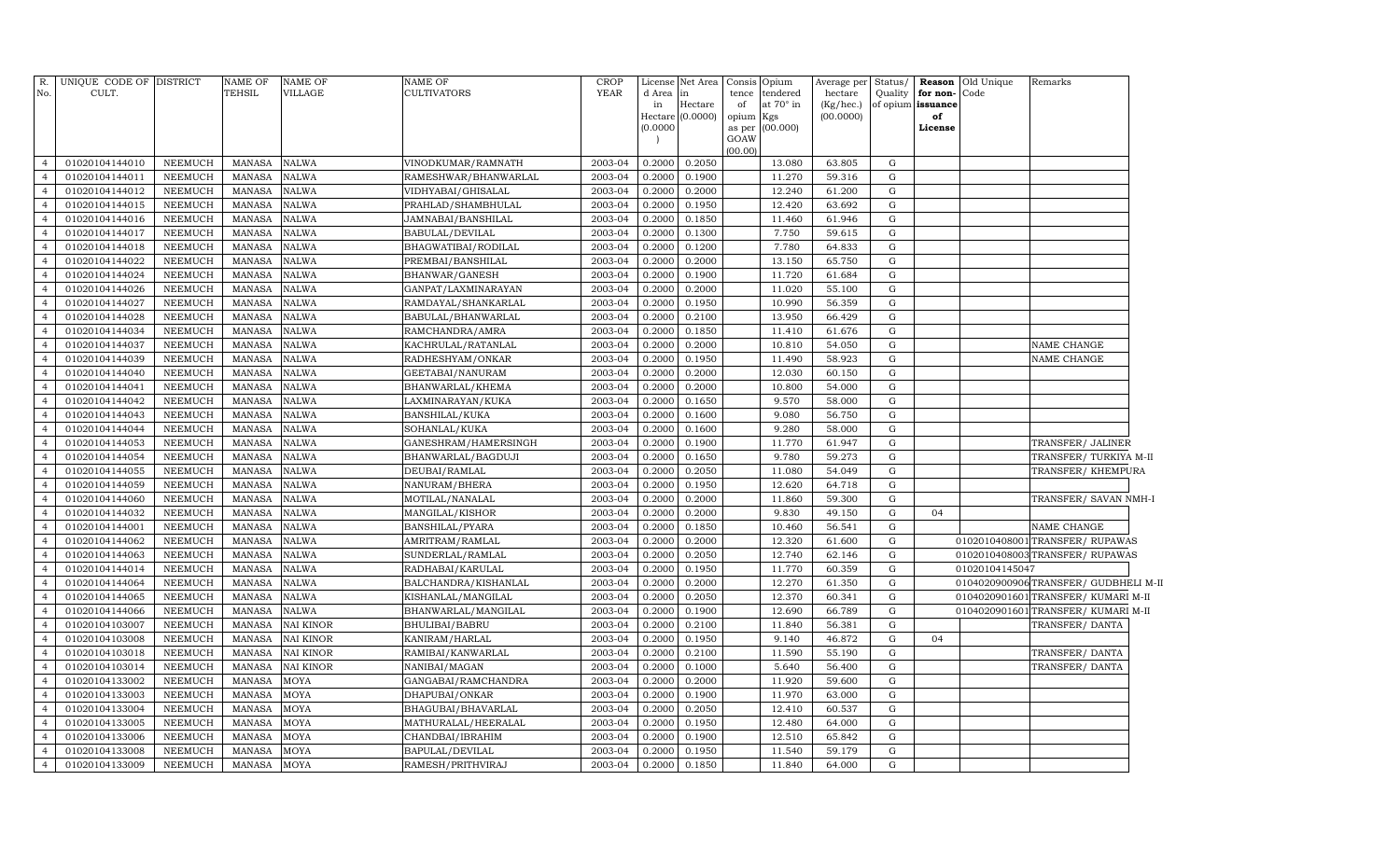| R.<br>No.      | UNIQUE CODE OF DISTRICT<br>CULT. |                | <b>NAME OF</b><br><b>TEHSIL</b> | <b>NAME OF</b><br><b>VILLAGE</b> | <b>NAME OF</b><br><b>CULTIVATORS</b> | CROP<br><b>YEAR</b> | License<br>d Area<br>in | Net Area<br>in<br>Hectare | Consis<br>tence<br>of              | Opium<br>tendered<br>at 70° in | Average per<br>hectare<br>(Kg/hec.) | Status/<br>Quality | for non-<br>of opium issuance | Reason Old Unique<br>Code | Remarks                               |
|----------------|----------------------------------|----------------|---------------------------------|----------------------------------|--------------------------------------|---------------------|-------------------------|---------------------------|------------------------------------|--------------------------------|-------------------------------------|--------------------|-------------------------------|---------------------------|---------------------------------------|
|                |                                  |                |                                 |                                  |                                      |                     | (0.0000)                | Hectare (0.0000)          | opium<br>as per<br>GOAW<br>(00.00) | Kgs<br>(00.000)                | (00.0000)                           |                    | of<br>License                 |                           |                                       |
| $\overline{4}$ | 01020104144010                   | NEEMUCH        | <b>MANASA</b>                   | <b>NALWA</b>                     | VINODKUMAR/RAMNATH                   | 2003-04             | 0.2000                  | 0.2050                    |                                    | 13.080                         | 63.805                              | G                  |                               |                           |                                       |
| $\overline{4}$ | 01020104144011                   | NEEMUCH        | <b>MANASA</b>                   | <b>NALWA</b>                     | RAMESHWAR/BHANWARLAL                 | 2003-04             | 0.2000                  | 0.1900                    |                                    | 11.270                         | 59.316                              | G                  |                               |                           |                                       |
| $\overline{4}$ | 01020104144012                   | NEEMUCH        | <b>MANASA</b>                   | <b>NALWA</b>                     | VIDHYABAI/GHISALAL                   | 2003-04             | 0.2000                  | 0.2000                    |                                    | 12.240                         | 61.200                              | G                  |                               |                           |                                       |
| $\overline{4}$ | 01020104144015                   | NEEMUCH        | <b>MANASA</b>                   | <b>NALWA</b>                     | PRAHLAD/SHAMBHULAL                   | 2003-04             | 0.2000                  | 0.1950                    |                                    | 12.420                         | 63.692                              | G                  |                               |                           |                                       |
| $\overline{4}$ | 01020104144016                   | <b>NEEMUCH</b> | <b>MANASA</b>                   | <b>NALWA</b>                     | JAMNABAI/BANSHILAL                   | 2003-04             | 0.2000                  | 0.1850                    |                                    | 11.460                         | 61.946                              | G                  |                               |                           |                                       |
| $\overline{4}$ | 01020104144017                   | <b>NEEMUCH</b> | <b>MANASA</b>                   | <b>NALWA</b>                     | BABULAL/DEVILAL                      | 2003-04             | 0.2000                  | 0.1300                    |                                    | 7.750                          | 59.615                              | G                  |                               |                           |                                       |
| $\overline{4}$ | 01020104144018                   | <b>NEEMUCH</b> | <b>MANASA</b>                   | <b>NALWA</b>                     | BHAGWATIBAI/RODILAL                  | 2003-04             | 0.2000                  | 0.1200                    |                                    | 7.780                          | 64.833                              | G                  |                               |                           |                                       |
| $\overline{4}$ | 01020104144022                   | NEEMUCH        | <b>MANASA</b>                   | <b>NALWA</b>                     | PREMBAI/BANSHILAL                    | 2003-04             | 0.2000                  | 0.2000                    |                                    | 13.150                         | 65.750                              | G                  |                               |                           |                                       |
| $\overline{4}$ | 01020104144024                   | NEEMUCH        | <b>MANASA</b>                   | <b>NALWA</b>                     | BHANWAR/GANESH                       | 2003-04             | 0.2000                  | 0.1900                    |                                    | 11.720                         | 61.684                              | $\mathbf G$        |                               |                           |                                       |
| $\overline{4}$ | 01020104144026                   | <b>NEEMUCH</b> | <b>MANASA</b>                   | <b>NALWA</b>                     | GANPAT/LAXMINARAYAN                  | 2003-04             | 0.2000                  | 0.2000                    |                                    | 11.020                         | 55.100                              | G                  |                               |                           |                                       |
| $\overline{4}$ | 01020104144027                   | <b>NEEMUCH</b> | <b>MANASA</b>                   | <b>NALWA</b>                     | RAMDAYAL/SHANKARLAL                  | 2003-04             | 0.2000                  | 0.1950                    |                                    | 10.990                         | 56.359                              | G                  |                               |                           |                                       |
| $\overline{4}$ | 01020104144028                   | <b>NEEMUCH</b> | <b>MANASA</b>                   | <b>NALWA</b>                     | BABULAL/BHANWARLAL                   | 2003-04             | 0.2000                  | 0.2100                    |                                    | 13.950                         | 66.429                              | G                  |                               |                           |                                       |
| $\overline{4}$ | 01020104144034                   | <b>NEEMUCH</b> | <b>MANASA</b>                   | <b>NALWA</b>                     | RAMCHANDRA/AMRA                      | 2003-04             | 0.2000                  | 0.1850                    |                                    | 11.410                         | 61.676                              | ${\rm G}$          |                               |                           |                                       |
| $\overline{4}$ | 01020104144037                   | <b>NEEMUCH</b> | <b>MANASA</b>                   | <b>NALWA</b>                     | KACHRULAL/RATANLAL                   | 2003-04             | 0.2000                  | 0.2000                    |                                    | 10.810                         | 54.050                              | G                  |                               |                           | NAME CHANGE                           |
| $\overline{4}$ | 01020104144039                   | <b>NEEMUCH</b> | <b>MANASA</b>                   | <b>NALWA</b>                     | RADHESHYAM/ONKAR                     | 2003-04             | 0.2000                  | 0.1950                    |                                    | 11.490                         | 58.923                              | G                  |                               |                           | NAME CHANGE                           |
| $\overline{4}$ | 01020104144040                   | <b>NEEMUCH</b> | <b>MANASA</b>                   | <b>NALWA</b>                     | GEETABAI/NANURAM                     | 2003-04             | 0.2000                  | 0.2000                    |                                    | 12.030                         | 60.150                              | G                  |                               |                           |                                       |
| $\overline{4}$ | 01020104144041                   | <b>NEEMUCH</b> | <b>MANASA</b>                   | <b>NALWA</b>                     | BHANWARLAL/KHEMA                     | 2003-04             | 0.2000                  | 0.2000                    |                                    | 10.800                         | 54.000                              | G                  |                               |                           |                                       |
| $\overline{4}$ | 01020104144042                   | <b>NEEMUCH</b> | <b>MANASA</b>                   | <b>NALWA</b>                     | LAXMINARAYAN/KUKA                    | 2003-04             | 0.2000                  | 0.1650                    |                                    | 9.570                          | 58.000                              | G                  |                               |                           |                                       |
| $\overline{4}$ | 01020104144043                   | NEEMUCH        | <b>MANASA</b>                   | <b>NALWA</b>                     | BANSHILAL/KUKA                       | 2003-04             | 0.2000                  | 0.1600                    |                                    | 9.080                          | 56.750                              | G                  |                               |                           |                                       |
| $\overline{4}$ | 01020104144044                   | NEEMUCH        | <b>MANASA</b>                   | <b>NALWA</b>                     | SOHANLAL/KUKA                        | 2003-04             | 0.2000                  | 0.1600                    |                                    | 9.280                          | 58.000                              | G                  |                               |                           |                                       |
| $\overline{4}$ | 01020104144053                   | <b>NEEMUCH</b> | <b>MANASA</b>                   | <b>NALWA</b>                     | GANESHRAM/HAMERSINGH                 | 2003-04             | 0.2000                  | 0.1900                    |                                    | 11.770                         | 61.947                              | G                  |                               |                           | TRANSFER/ JALINER                     |
| $\overline{4}$ | 01020104144054                   | <b>NEEMUCH</b> | <b>MANASA</b>                   | <b>NALWA</b>                     | BHANWARLAL/BAGDUJI                   | 2003-04             | 0.2000                  | 0.1650                    |                                    | 9.780                          | 59.273                              | G                  |                               |                           | TRANSFER/TURKIYA M-II                 |
| $\overline{4}$ | 01020104144055                   | <b>NEEMUCH</b> | <b>MANASA</b>                   | <b>NALWA</b>                     | DEUBAI/RAMLAL                        | 2003-04             | 0.2000                  | 0.2050                    |                                    | 11.080                         | 54.049                              | G                  |                               |                           | TRANSFER/KHEMPURA                     |
| $\overline{4}$ | 01020104144059                   | <b>NEEMUCH</b> | <b>MANASA</b>                   | <b>NALWA</b>                     | NANURAM/BHERA                        | 2003-04             | 0.2000                  | 0.1950                    |                                    | 12.620                         | 64.718                              | G                  |                               |                           |                                       |
| $\overline{4}$ | 01020104144060                   | <b>NEEMUCH</b> | <b>MANASA</b>                   | <b>NALWA</b>                     | MOTILAL/NANALAL                      | 2003-04             | 0.2000                  | 0.2000                    |                                    | 11.860                         | 59.300                              | G                  |                               |                           | TRANSFER/ SAVAN NMH-I                 |
| $\overline{4}$ | 01020104144032                   | <b>NEEMUCH</b> | <b>MANASA</b>                   | <b>NALWA</b>                     | MANGILAL/KISHOR                      | 2003-04             | 0.2000                  | 0.2000                    |                                    | 9.830                          | 49.150                              | G                  | 04                            |                           |                                       |
| $\overline{4}$ | 01020104144001                   | <b>NEEMUCH</b> | <b>MANASA</b>                   | <b>NALWA</b>                     | BANSHILAL/PYARA                      | 2003-04             | 0.2000                  | 0.1850                    |                                    | 10.460                         | 56.541                              | G                  |                               |                           | NAME CHANGE                           |
| $\overline{4}$ | 01020104144062                   | <b>NEEMUCH</b> | <b>MANASA</b>                   | <b>NALWA</b>                     | AMRITRAM/RAMLAL                      | 2003-04             | 0.2000                  | 0.2000                    |                                    | 12.320                         | 61.600                              | G                  |                               |                           | 0102010408001 TRANSFER/ RUPAWAS       |
| $\overline{4}$ | 01020104144063                   | <b>NEEMUCH</b> | <b>MANASA</b>                   | <b>NALWA</b>                     | SUNDERLAL/RAMLAL                     | 2003-04             | 0.2000                  | 0.2050                    |                                    | 12.740                         | 62.146                              | G                  |                               |                           | 0102010408003 TRANSFER/ RUPAWAS       |
| $\overline{4}$ | 01020104144014                   | <b>NEEMUCH</b> | <b>MANASA</b>                   | <b>NALWA</b>                     | RADHABAI/KARULAL                     | 2003-04             | 0.2000                  | 0.1950                    |                                    | 11.770                         | 60.359                              | G                  |                               | 01020104145047            |                                       |
| $\overline{4}$ | 01020104144064                   | <b>NEEMUCH</b> | <b>MANASA</b>                   | <b>NALWA</b>                     | BALCHANDRA/KISHANLAL                 | 2003-04             | 0.2000                  | 0.2000                    |                                    | 12.270                         | 61.350                              | G                  |                               |                           | 0104020900906 TRANSFER/ GUDBHELI M-II |
| $\overline{4}$ | 01020104144065                   | <b>NEEMUCH</b> | <b>MANASA</b>                   | <b>NALWA</b>                     | KISHANLAL/MANGILAL                   | 2003-04             | 0.2000                  | 0.2050                    |                                    | 12.370                         | 60.341                              | G                  |                               |                           | 0104020901601 TRANSFER/ KUMARI M-II   |
| $\overline{4}$ | 01020104144066                   | NEEMUCH        | MANASA                          | NALWA                            | BHANWARLAL/MANGILAL                  | 2003-04             | 0.2000                  | 0.1900                    |                                    | 12.690                         | 66.789                              | G                  |                               |                           | 0104020901601 TRANSFER/ KUMARI M-II   |
| $\overline{4}$ | 01020104103007                   | <b>NEEMUCH</b> | <b>MANASA</b>                   | <b>NAI KINOR</b>                 | BHULIBAI/BABRU                       | 2003-04             | 0.2000                  | 0.2100                    |                                    | 11.840                         | 56.381                              | G                  |                               |                           | TRANSFER/DANTA                        |
| $\overline{4}$ | 01020104103008                   | <b>NEEMUCH</b> | <b>MANASA</b>                   | <b>NAI KINOR</b>                 | KANIRAM/HARLAL                       | 2003-04             | 0.2000                  | 0.1950                    |                                    | 9.140                          | 46.872                              | G                  | 04                            |                           |                                       |
| $\overline{4}$ | 01020104103018                   | <b>NEEMUCH</b> | <b>MANASA</b>                   | <b>NAI KINOR</b>                 | RAMIBAI/KANWARLAL                    | 2003-04             | 0.2000                  | 0.2100                    |                                    | 11.590                         | 55.190                              | G                  |                               |                           | TRANSFER/DANTA                        |
| $\overline{4}$ | 01020104103014                   | <b>NEEMUCH</b> | <b>MANASA</b>                   | <b>NAI KINOR</b>                 | NANIBAI/MAGAN                        | 2003-04             | 0.2000                  | 0.1000                    |                                    | 5.640                          | 56.400                              | G                  |                               |                           | TRANSFER/DANTA                        |
| $\overline{4}$ | 01020104133002                   | <b>NEEMUCH</b> | <b>MANASA</b>                   | MOYA                             | GANGABAI/RAMCHANDRA                  | 2003-04             | 0.2000                  | 0.2000                    |                                    | 11.920                         | 59.600                              | $\mathbf G$        |                               |                           |                                       |
| $\overline{4}$ | 01020104133003                   | <b>NEEMUCH</b> | <b>MANASA</b>                   | MOYA                             | DHAPUBAI/ONKAR                       | 2003-04             | 0.200                   | 0.1900                    |                                    | 11.970                         | 63.000                              | G                  |                               |                           |                                       |
| $\overline{4}$ | 01020104133004                   | <b>NEEMUCH</b> | <b>MANASA</b>                   | MOYA                             | BHAGUBAI/BHAVARLAL                   | 2003-04             | 0.2000                  | 0.2050                    |                                    | 12.410                         | 60.537                              | G                  |                               |                           |                                       |
| $\overline{4}$ | 01020104133005                   | <b>NEEMUCH</b> | <b>MANASA</b>                   | MOYA                             | MATHURALAL/HEERALAL                  | 2003-04             | 0.200                   | 0.1950                    |                                    | 12.480                         | 64.000                              | G                  |                               |                           |                                       |
| $\overline{4}$ | 01020104133006                   | <b>NEEMUCH</b> | <b>MANASA</b>                   | MOYA                             | CHANDBAI/IBRAHIM                     | 2003-04             | 0.2000                  | 0.1900                    |                                    | 12.510                         | 65.842                              | G                  |                               |                           |                                       |
| $\overline{4}$ | 01020104133008                   | <b>NEEMUCH</b> | <b>MANASA</b>                   | MOYA                             | BAPULAL/DEVILAL                      | 2003-04             | 0.2000                  | 0.1950                    |                                    | 11.540                         | 59.179                              | G                  |                               |                           |                                       |
| 4              | 01020104133009                   | NEEMUCH        | MANASA                          | <b>MOYA</b>                      | RAMESH/PRITHVIRAJ                    | 2003-04             | 0.2000                  | 0.1850                    |                                    | 11.840                         | 64.000                              | G                  |                               |                           |                                       |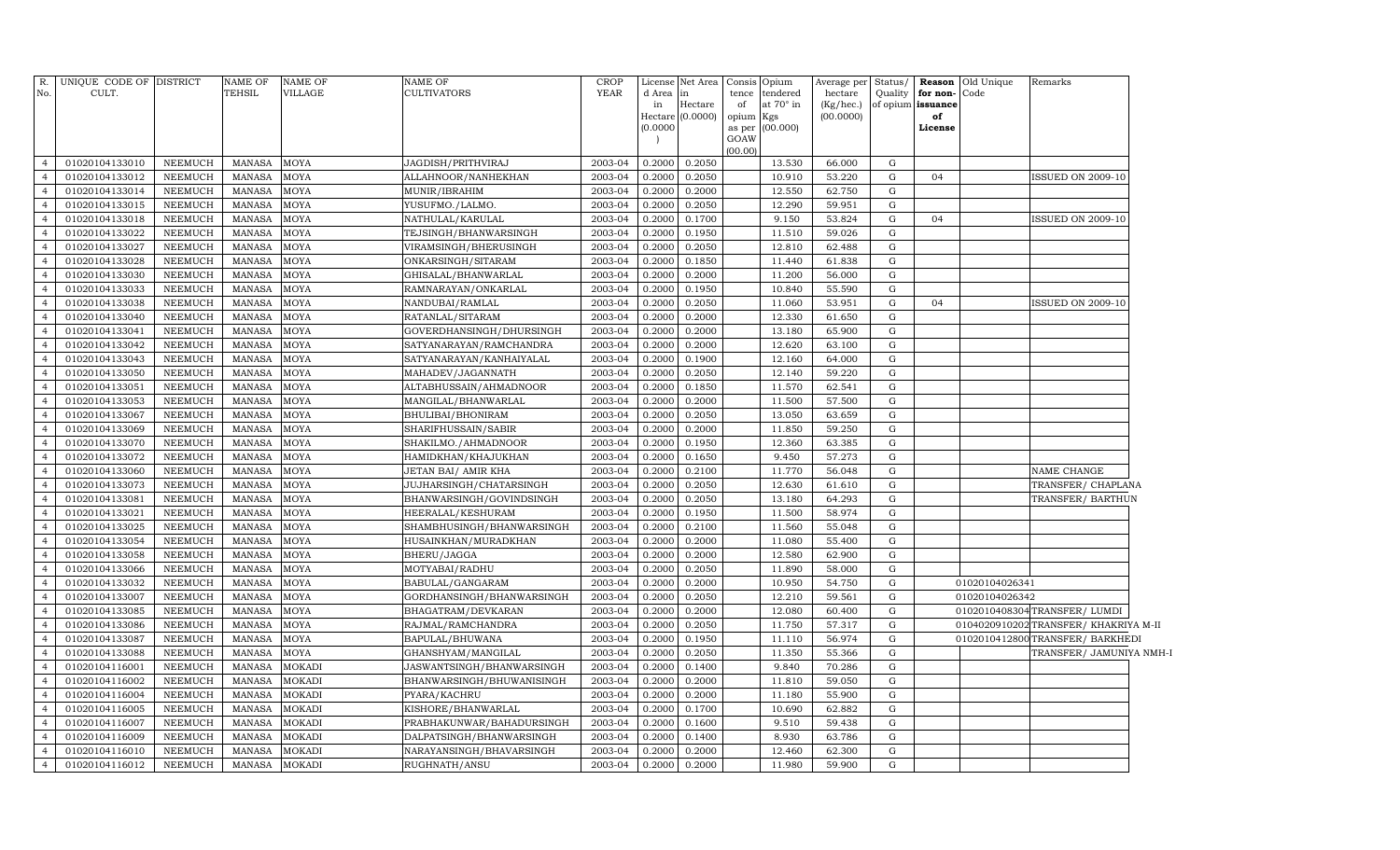| R.             | UNIQUE CODE OF DISTRICT |                | <b>NAME OF</b> | NAME OF     | <b>NAME OF</b>            | CROP        | License  | Net Area         |           | Consis Opium    | Average per | Status/     |                   | <b>Reason</b> Old Unique | Remarks                               |  |
|----------------|-------------------------|----------------|----------------|-------------|---------------------------|-------------|----------|------------------|-----------|-----------------|-------------|-------------|-------------------|--------------------------|---------------------------------------|--|
| No.            | CULT.                   |                | TEHSIL         | VILLAGE     | CULTIVATORS               | <b>YEAR</b> | d Area   | $\mathbf{in}$    | tence     | tendered        | hectare     | Quality     | for non-Code      |                          |                                       |  |
|                |                         |                |                |             |                           |             | in       | Hectare          | of        | at 70° in       | (Kg/hec.)   |             | of opium issuance |                          |                                       |  |
|                |                         |                |                |             |                           |             | (0.0000) | Hectare (0.0000) | opium Kgs | as per (00.000) | (00.0000)   |             | of<br>License     |                          |                                       |  |
|                |                         |                |                |             |                           |             |          |                  | GOAW      |                 |             |             |                   |                          |                                       |  |
|                |                         |                |                |             |                           |             |          |                  | (00.00)   |                 |             |             |                   |                          |                                       |  |
| $\overline{4}$ | 01020104133010          | <b>NEEMUCH</b> | <b>MANASA</b>  | MOYA        | <b>JAGDISH/PRITHVIRAJ</b> | 2003-04     | 0.2000   | 0.2050           |           | 13.530          | 66.000      | G           |                   |                          |                                       |  |
| $\overline{4}$ | 01020104133012          | <b>NEEMUCH</b> | <b>MANASA</b>  | MOYA        | ALLAHNOOR/NANHEKHAN       | 2003-04     | 0.2000   | 0.2050           |           | 10.910          | 53.220      | G           | 04                |                          | <b>ISSUED ON 2009-10</b>              |  |
| $\overline{4}$ | 01020104133014          | <b>NEEMUCH</b> | <b>MANASA</b>  | MOYA        | MUNIR/IBRAHIM             | 2003-04     | 0.2000   | 0.2000           |           | 12.550          | 62.750      | G           |                   |                          |                                       |  |
| $\overline{4}$ | 01020104133015          | <b>NEEMUCH</b> | <b>MANASA</b>  | MOYA        | YUSUFMO./LALMO.           | 2003-04     | 0.2000   | 0.2050           |           | 12.290          | 59.951      | G           |                   |                          |                                       |  |
| $\overline{4}$ | 01020104133018          | <b>NEEMUCH</b> | <b>MANASA</b>  | MOYA        | NATHULAL/KARULAL          | 2003-04     | 0.2000   | 0.1700           |           | 9.150           | 53.824      | ${\rm G}$   | 04                |                          | <b>ISSUED ON 2009-10</b>              |  |
| $\overline{4}$ | 01020104133022          | <b>NEEMUCH</b> | <b>MANASA</b>  | MOYA        | TEJSINGH/BHANWARSINGH     | 2003-04     | 0.2000   | 0.1950           |           | 11.510          | 59.026      | G           |                   |                          |                                       |  |
| $\overline{4}$ | 01020104133027          | <b>NEEMUCH</b> | MANASA         | MOYA        | VIRAMSINGH/BHERUSINGH     | 2003-04     | 0.2000   | 0.2050           |           | 12.810          | 62.488      | G           |                   |                          |                                       |  |
| $\overline{4}$ | 01020104133028          | <b>NEEMUCH</b> | <b>MANASA</b>  | MOYA        | ONKARSINGH/SITARAM        | 2003-04     | 0.2000   | 0.1850           |           | 11.440          | 61.838      | G           |                   |                          |                                       |  |
| $\overline{4}$ | 01020104133030          | <b>NEEMUCH</b> | MANASA         | MOYA        | GHISALAL/BHANWARLAL       | 2003-04     | 0.2000   | 0.2000           |           | 11.200          | 56.000      | G           |                   |                          |                                       |  |
| $\overline{4}$ | 01020104133033          | NEEMUCH        | <b>MANASA</b>  | MOYA        | RAMNARAYAN/ONKARLAL       | 2003-04     | 0.2000   | 0.1950           |           | 10.840          | 55.590      | G           |                   |                          |                                       |  |
| $\overline{4}$ | 01020104133038          | <b>NEEMUCH</b> | <b>MANASA</b>  | MOYA        | NANDUBAI/RAMLAL           | 2003-04     | 0.2000   | 0.2050           |           | 11.060          | 53.951      | G           | 04                |                          | <b>ISSUED ON 2009-10</b>              |  |
| $\overline{4}$ | 01020104133040          | NEEMUCH        | <b>MANASA</b>  | MOYA        | RATANLAL/SITARAM          | 2003-04     | 0.2000   | 0.2000           |           | 12.330          | 61.650      | G           |                   |                          |                                       |  |
| $\overline{4}$ | 01020104133041          | <b>NEEMUCH</b> | <b>MANASA</b>  | MOYA        | GOVERDHANSINGH/DHURSINGH  | 2003-04     | 0.2000   | 0.2000           |           | 13.180          | 65.900      | G           |                   |                          |                                       |  |
| $\overline{4}$ | 01020104133042          | NEEMUCH        | <b>MANASA</b>  | MOYA        | SATYANARAYAN/RAMCHANDRA   | 2003-04     | 0.2000   | 0.2000           |           | 12.620          | 63.100      | G           |                   |                          |                                       |  |
| $\overline{4}$ | 01020104133043          | <b>NEEMUCH</b> | <b>MANASA</b>  | MOYA        | SATYANARAYAN/KANHAIYALAL  | 2003-04     | 0.2000   | 0.1900           |           | 12.160          | 64.000      | G           |                   |                          |                                       |  |
| $\overline{4}$ | 01020104133050          | NEEMUCH        | <b>MANASA</b>  | MOYA        | MAHADEV/JAGANNATH         | 2003-04     | 0.2000   | 0.2050           |           | 12.140          | 59.220      | G           |                   |                          |                                       |  |
| $\overline{4}$ | 01020104133051          | <b>NEEMUCH</b> | MANASA         | MOYA        | ALTABHUSSAIN/AHMADNOOR    | 2003-04     | 0.2000   | 0.1850           |           | 11.570          | 62.541      | G           |                   |                          |                                       |  |
| $\overline{4}$ | 01020104133053          | NEEMUCH        | <b>MANASA</b>  | MOYA        | MANGILAL/BHANWARLAL       | 2003-04     | 0.2000   | 0.2000           |           | 11.500          | 57.500      | G           |                   |                          |                                       |  |
| $\overline{4}$ | 01020104133067          | <b>NEEMUCH</b> | MANASA         | MOYA        | BHULIBAI/BHONIRAM         | 2003-04     | 0.2000   | 0.2050           |           | 13.050          | 63.659      | G           |                   |                          |                                       |  |
| $\overline{4}$ | 01020104133069          | NEEMUCH        | <b>MANASA</b>  | MOYA        | SHARIFHUSSAIN/SABIR       | 2003-04     | 0.2000   | 0.2000           |           | 11.850          | 59.250      | G           |                   |                          |                                       |  |
| $\overline{4}$ | 01020104133070          | <b>NEEMUCH</b> | MANASA         | MOYA        | SHAKILMO./AHMADNOOR       | 2003-04     | 0.2000   | 0.1950           |           | 12.360          | 63.385      | $\mathbf G$ |                   |                          |                                       |  |
| $\overline{4}$ | 01020104133072          | <b>NEEMUCH</b> | <b>MANASA</b>  | MOYA        | HAMIDKHAN/KHAJUKHAN       | 2003-04     | 0.2000   | 0.1650           |           | 9.450           | 57.273      | $\mathbf G$ |                   |                          |                                       |  |
| $\overline{4}$ | 01020104133060          | NEEMUCH        | <b>MANASA</b>  | MOYA        | JETAN BAI/ AMIR KHA       | 2003-04     | 0.2000   | 0.2100           |           | 11.770          | 56.048      | G           |                   |                          | NAME CHANGE                           |  |
| $\overline{4}$ | 01020104133073          | <b>NEEMUCH</b> | <b>MANASA</b>  | <b>MOYA</b> | JUJHARSINGH/CHATARSINGH   | 2003-04     | 0.2000   | 0.2050           |           | 12.630          | 61.610      | $\mathbf G$ |                   |                          | TRANSFER/ CHAPLANA                    |  |
| $\overline{4}$ | 01020104133081          | <b>NEEMUCH</b> | <b>MANASA</b>  | MOYA        | BHANWARSINGH/GOVINDSINGH  | 2003-04     | 0.2000   | 0.2050           |           | 13.180          | 64.293      | G           |                   |                          | TRANSFER/BARTHUN                      |  |
| $\overline{4}$ | 01020104133021          | NEEMUCH        | <b>MANASA</b>  | MOYA        | HEERALAL/KESHURAM         | 2003-04     | 0.2000   | 0.1950           |           | 11.500          | 58.974      | G           |                   |                          |                                       |  |
| $\overline{4}$ | 01020104133025          | NEEMUCH        | <b>MANASA</b>  | MOYA        | SHAMBHUSINGH/BHANWARSINGH | 2003-04     | 0.2000   | 0.2100           |           | 11.560          | 55.048      | $\mathbf G$ |                   |                          |                                       |  |
| $\overline{4}$ | 01020104133054          | NEEMUCH        | <b>MANASA</b>  | MOYA        | HUSAINKHAN/MURADKHAN      | 2003-04     | 0.2000   | 0.2000           |           | 11.080          | 55.400      | G           |                   |                          |                                       |  |
| $\overline{4}$ | 01020104133058          | <b>NEEMUCH</b> | <b>MANASA</b>  | MOYA        | BHERU/JAGGA               | 2003-04     | 0.2000   | 0.2000           |           | 12.580          | 62.900      | G           |                   |                          |                                       |  |
| $\overline{4}$ | 01020104133066          | NEEMUCH        | <b>MANASA</b>  | MOYA        | MOTYABAI/RADHU            | 2003-04     | 0.2000   | 0.2050           |           | 11.890          | 58.000      | G           |                   |                          |                                       |  |
| $\overline{4}$ | 01020104133032          | <b>NEEMUCH</b> | <b>MANASA</b>  | MOYA        | BABULAL/GANGARAM          | 2003-04     | 0.2000   | 0.2000           |           | 10.950          | 54.750      | G           |                   | 01020104026341           |                                       |  |
| $\overline{4}$ | 01020104133007          | <b>NEEMUCH</b> | <b>MANASA</b>  | MOYA        | GORDHANSINGH/BHANWARSINGH | 2003-04     | 0.2000   | 0.2050           |           | 12.210          | 59.561      | G           |                   | 01020104026342           |                                       |  |
| $\overline{4}$ | 01020104133085          | <b>NEEMUCH</b> | <b>MANASA</b>  | MOYA        | BHAGATRAM/DEVKARAN        | 2003-04     | 0.2000   | 0.2000           |           | 12.080          | 60.400      | $\mathbf G$ |                   |                          | 0102010408304 TRANSFER/LUMDI          |  |
| $\overline{4}$ | 01020104133086          | NEEMUCH        | MANASA         | MOYA        | RAJMAL/RAMCHANDRA         | 2003-04     | 0.2000   | 0.2050           |           | 11.750          | 57.317      | G           |                   |                          | 0104020910202 TRANSFER/ KHAKRIYA M-II |  |
| $\overline{4}$ | 01020104133087          | <b>NEEMUCH</b> | <b>MANASA</b>  | <b>MOYA</b> | BAPULAL/BHUWANA           | 2003-04     | 0.2000   | 0.1950           |           | 11.110          | 56.974      | $\mathbf G$ |                   |                          | 0102010412800 TRANSFER / BARKHEDI     |  |
| $\overline{4}$ | 01020104133088          | <b>NEEMUCH</b> | <b>MANASA</b>  | MOYA        | GHANSHYAM/MANGILAL        | 2003-04     | 0.2000   | 0.2050           |           | 11.350          | 55.366      | $\mathbf G$ |                   |                          | TRANSFER/ JAMUNIYA NMH-I              |  |
| $\overline{4}$ | 01020104116001          | <b>NEEMUCH</b> | <b>MANASA</b>  | MOKADI      | JASWANTSINGH/BHANWARSINGH | 2003-04     | 0.2000   | 0.1400           |           | 9.840           | 70.286      | G           |                   |                          |                                       |  |
| $\overline{4}$ | 01020104116002          | NEEMUCH        | <b>MANASA</b>  | MOKADI      | BHANWARSINGH/BHUWANISINGH | 2003-04     | 0.2000   | 0.2000           |           | 11.810          | 59.050      | $\mathbf G$ |                   |                          |                                       |  |
| $\overline{4}$ | 01020104116004          | <b>NEEMUCH</b> | <b>MANASA</b>  | MOKADI      | PYARA/KACHRU              | 2003-04     | 0.2000   | 0.2000           |           | 11.180          | 55.900      | G           |                   |                          |                                       |  |
| $\overline{4}$ | 01020104116005          | <b>NEEMUCH</b> | <b>MANASA</b>  | MOKADI      | KISHORE/BHANWARLAL        | 2003-04     | 0.2000   | 0.1700           |           | 10.690          | 62.882      | G           |                   |                          |                                       |  |
| $\overline{4}$ | 01020104116007          | NEEMUCH        | <b>MANASA</b>  | MOKADI      | PRABHAKUNWAR/BAHADURSINGH | 2003-04     | 0.2000   | 0.1600           |           | 9.510           | 59.438      | G           |                   |                          |                                       |  |
| $\overline{4}$ | 01020104116009          | NEEMUCH        | <b>MANASA</b>  | MOKADI      | DALPATSINGH/BHANWARSINGH  | 2003-04     | 0.2000   | 0.1400           |           | 8.930           | 63.786      | G           |                   |                          |                                       |  |
| $\overline{4}$ | 01020104116010          | NEEMUCH        | MANASA         | MOKADI      | NARAYANSINGH/BHAVARSINGH  | 2003-04     | 0.2000   | 0.2000           |           | 12.460          | 62.300      | G           |                   |                          |                                       |  |
| $\overline{4}$ | 01020104116012          | NEEMUCH        | MANASA         | MOKADI      | RUGHNATH/ANSU             | 2003-04     | 0.2000   | 0.2000           |           | 11.980          | 59.900      | G           |                   |                          |                                       |  |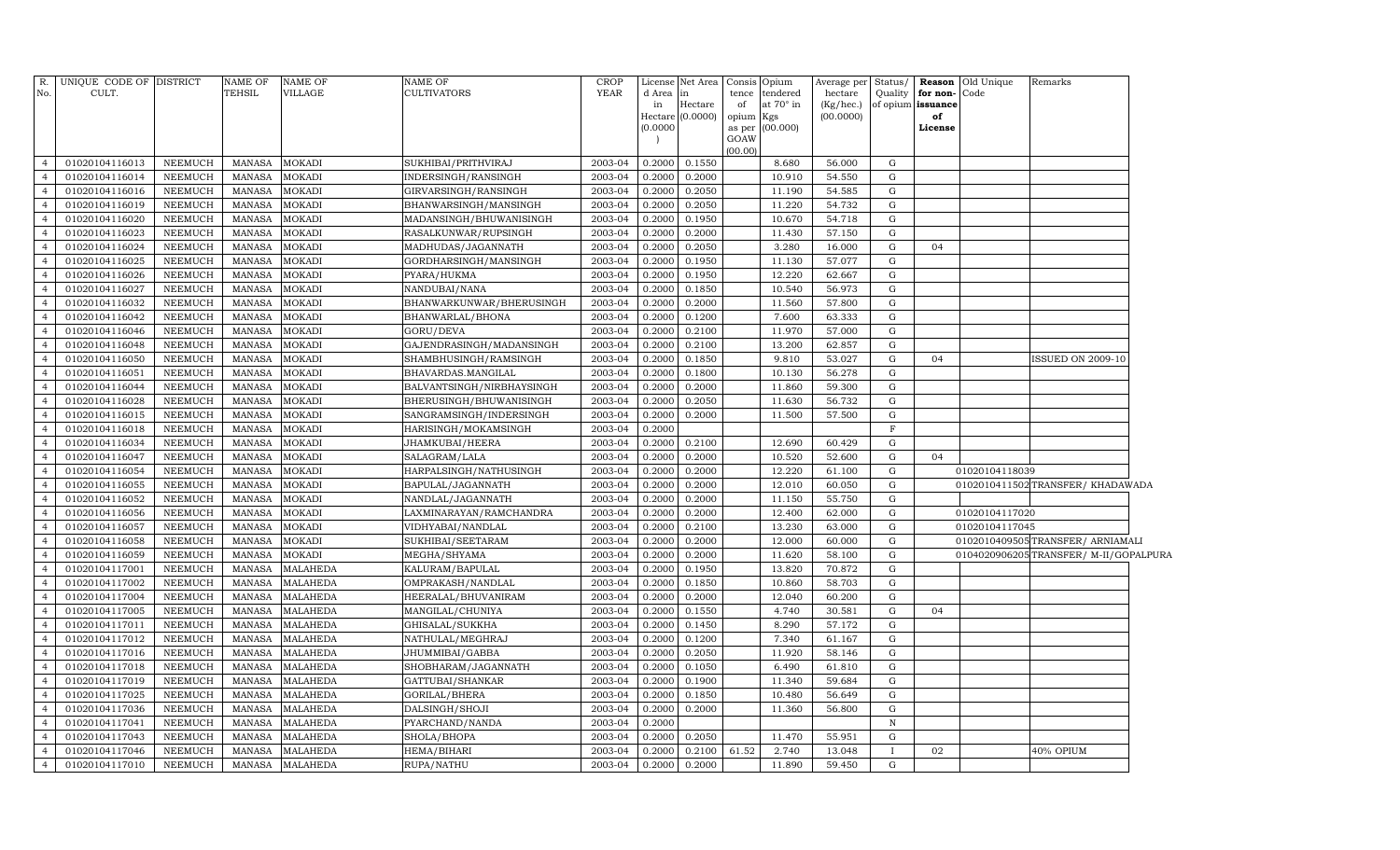| R.             | UNIQUE CODE OF DISTRICT |                | <b>NAME OF</b> | <b>NAME OF</b>  | NAME OF                   | <b>CROP</b> | License                | Net Area |                 | Consis Opium    | Average per            | Status/      |                         | Reason Old Unique | Remarks                              |  |
|----------------|-------------------------|----------------|----------------|-----------------|---------------------------|-------------|------------------------|----------|-----------------|-----------------|------------------------|--------------|-------------------------|-------------------|--------------------------------------|--|
| No.            | CULT.                   |                | <b>TEHSIL</b>  | <b>VILLAGE</b>  | <b>CULTIVATORS</b>        | <b>YEAR</b> | d Area                 | in       | tence           | tendered        | hectare                | Quality      | for non-Code            |                   |                                      |  |
|                |                         |                |                |                 |                           |             | in<br>Hectare (0.0000) | Hectare  | of<br>opium Kgs | at 70° in       | (Kg/hec.)<br>(00.0000) |              | of opium issuance<br>of |                   |                                      |  |
|                |                         |                |                |                 |                           |             | (0.0000)               |          |                 | as per (00.000) |                        |              | License                 |                   |                                      |  |
|                |                         |                |                |                 |                           |             |                        |          | GOAW            |                 |                        |              |                         |                   |                                      |  |
|                |                         |                |                |                 |                           |             |                        |          | (00.00)         |                 |                        | G            |                         |                   |                                      |  |
| $\overline{4}$ | 01020104116013          | NEEMUCH        | MANASA         | <b>MOKADI</b>   | SUKHIBAI/PRITHVIRAJ       | 2003-04     | 0.2000                 | 0.1550   |                 | 8.680           | 56.000                 |              |                         |                   |                                      |  |
| $\overline{4}$ | 01020104116014          | NEEMUCH        | MANASA         | <b>MOKADI</b>   | INDERSINGH/RANSINGH       | 2003-04     | 0.2000                 | 0.2000   |                 | 10.910          | 54.550                 | G            |                         |                   |                                      |  |
| $\overline{4}$ | 01020104116016          | <b>NEEMUCH</b> | MANASA         | <b>MOKADI</b>   | GIRVARSINGH/RANSINGH      | 2003-04     | 0.2000                 | 0.2050   |                 | 11.190          | 54.585                 | G            |                         |                   |                                      |  |
| $\overline{4}$ | 01020104116019          | <b>NEEMUCH</b> | MANASA         | MOKADI          | BHANWARSINGH/MANSINGH     | 2003-04     | 0.2000                 | 0.2050   |                 | 11.220          | 54.732                 | G            |                         |                   |                                      |  |
| $\overline{4}$ | 01020104116020          | <b>NEEMUCH</b> | MANASA         | <b>MOKADI</b>   | MADANSINGH/BHUWANISINGH   | 2003-04     | 0.2000                 | 0.1950   |                 | 10.670          | 54.718                 | G            |                         |                   |                                      |  |
| $\overline{4}$ | 01020104116023          | <b>NEEMUCH</b> | MANASA         | <b>MOKADI</b>   | RASALKUNWAR/RUPSINGH      | 2003-04     | 0.2000                 | 0.2000   |                 | 11.430          | 57.150                 | G            |                         |                   |                                      |  |
| $\overline{4}$ | 01020104116024          | <b>NEEMUCH</b> | MANASA         | <b>MOKADI</b>   | MADHUDAS/JAGANNATH        | 2003-04     | 0.2000                 | 0.2050   |                 | 3.280           | 16.000                 | G            | 04                      |                   |                                      |  |
| $\overline{4}$ | 01020104116025          | <b>NEEMUCH</b> | MANASA         | <b>MOKADI</b>   | GORDHARSINGH/MANSINGH     | 2003-04     | 0.2000                 | 0.1950   |                 | 11.130          | 57.077                 | $\mathbf G$  |                         |                   |                                      |  |
| $\overline{4}$ | 01020104116026          | <b>NEEMUCH</b> | MANASA         | <b>MOKADI</b>   | PYARA/HUKMA               | 2003-04     | 0.2000                 | 0.1950   |                 | 12.220          | 62.667                 | ${\rm G}$    |                         |                   |                                      |  |
| $\overline{4}$ | 01020104116027          | <b>NEEMUCH</b> | <b>MANASA</b>  | <b>MOKADI</b>   | NANDUBAI/NANA             | 2003-04     | 0.2000                 | 0.1850   |                 | 10.540          | 56.973                 | $\mathbf G$  |                         |                   |                                      |  |
| $\overline{4}$ | 01020104116032          | <b>NEEMUCH</b> | <b>MANASA</b>  | <b>MOKADI</b>   | BHANWARKUNWAR/BHERUSINGH  | 2003-04     | 0.2000                 | 0.2000   |                 | 11.560          | 57.800                 | ${\rm G}$    |                         |                   |                                      |  |
| $\overline{4}$ | 01020104116042          | <b>NEEMUCH</b> | MANASA         | MOKADI          | BHANWARLAL/BHONA          | 2003-04     | 0.2000                 | 0.1200   |                 | 7.600           | 63.333                 | G            |                         |                   |                                      |  |
| $\overline{4}$ | 01020104116046          | <b>NEEMUCH</b> | MANASA         | <b>MOKADI</b>   | GORU/DEVA                 | 2003-04     | 0.2000                 | 0.2100   |                 | 11.970          | 57.000                 | ${\rm G}$    |                         |                   |                                      |  |
| $\overline{4}$ | 01020104116048          | <b>NEEMUCH</b> | MANASA         | <b>MOKADI</b>   | GAJENDRASINGH/MADANSINGH  | 2003-04     | 0.2000                 | 0.2100   |                 | 13.200          | 62.857                 | G            |                         |                   |                                      |  |
| $\overline{4}$ | 01020104116050          | <b>NEEMUCH</b> | MANASA         | MOKADI          | SHAMBHUSINGH/RAMSINGH     | 2003-04     | 0.2000                 | 0.1850   |                 | 9.810           | 53.027                 | ${\rm G}$    | 04                      |                   | <b>ISSUED ON 2009-10</b>             |  |
| $\overline{4}$ | 01020104116051          | <b>NEEMUCH</b> | MANASA         | <b>MOKADI</b>   | BHAVARDAS.MANGILAL        | 2003-04     | 0.2000                 | 0.1800   |                 | 10.130          | 56.278                 | G            |                         |                   |                                      |  |
| $\overline{4}$ | 01020104116044          | <b>NEEMUCH</b> | MANASA         | <b>MOKADI</b>   | BALVANTSINGH/NIRBHAYSINGH | 2003-04     | 0.2000                 | 0.2000   |                 | 11.860          | 59.300                 | ${\rm G}$    |                         |                   |                                      |  |
| $\overline{4}$ | 01020104116028          | <b>NEEMUCH</b> | MANASA         | <b>MOKADI</b>   | BHERUSINGH/BHUWANISINGH   | 2003-04     | 0.2000                 | 0.2050   |                 | 11.630          | 56.732                 | G            |                         |                   |                                      |  |
| $\overline{4}$ | 01020104116015          | <b>NEEMUCH</b> | MANASA         | <b>MOKADI</b>   | SANGRAMSINGH/INDERSINGH   | 2003-04     | 0.2000                 | 0.2000   |                 | 11.500          | 57.500                 | ${\rm G}$    |                         |                   |                                      |  |
| $\overline{4}$ | 01020104116018          | <b>NEEMUCH</b> | MANASA         | <b>MOKADI</b>   | HARISINGH/MOKAMSINGH      | 2003-04     | 0.2000                 |          |                 |                 |                        | $\mathbf F$  |                         |                   |                                      |  |
| $\overline{4}$ | 01020104116034          | <b>NEEMUCH</b> | MANASA         | <b>MOKADI</b>   | JHAMKUBAI/HEERA           | 2003-04     | 0.2000                 | 0.2100   |                 | 12.690          | 60.429                 | ${\rm G}$    |                         |                   |                                      |  |
| $\overline{4}$ | 01020104116047          | <b>NEEMUCH</b> | <b>MANASA</b>  | <b>MOKADI</b>   | SALAGRAM/LALA             | 2003-04     | 0.2000                 | 0.2000   |                 | 10.520          | 52.600                 | G            | 04                      |                   |                                      |  |
| $\overline{4}$ | 01020104116054          | <b>NEEMUCH</b> | MANASA         | <b>MOKADI</b>   | HARPALSINGH/NATHUSINGH    | 2003-04     | 0.2000                 | 0.2000   |                 | 12.220          | 61.100                 | ${\rm G}$    |                         | 01020104118039    |                                      |  |
| $\overline{4}$ | 01020104116055          | <b>NEEMUCH</b> | <b>MANASA</b>  | MOKADI          | BAPULAL/JAGANNATH         | 2003-04     | 0.2000                 | 0.2000   |                 | 12.010          | 60.050                 | ${\rm G}$    |                         |                   | 0102010411502 TRANSFER/KHADAWADA     |  |
| $\overline{4}$ | 01020104116052          | <b>NEEMUCH</b> | MANASA         | <b>MOKADI</b>   | NANDLAL/JAGANNATH         | 2003-04     | 0.2000                 | 0.2000   |                 | 11.150          | 55.750                 | ${\rm G}$    |                         |                   |                                      |  |
| $\overline{4}$ | 01020104116056          | <b>NEEMUCH</b> | <b>MANASA</b>  | <b>MOKADI</b>   | LAXMINARAYAN/RAMCHANDRA   | 2003-04     | 0.2000                 | 0.2000   |                 | 12.400          | 62.000                 | G            |                         | 01020104117020    |                                      |  |
| $\overline{4}$ | 01020104116057          | <b>NEEMUCH</b> | MANASA         | <b>MOKADI</b>   | VIDHYABAI/NANDLAL         | 2003-04     | 0.2000                 | 0.2100   |                 | 13.230          | 63.000                 | ${\rm G}$    |                         | 01020104117045    |                                      |  |
| $\overline{4}$ | 01020104116058          | NEEMUCH        | <b>MANASA</b>  | <b>MOKADI</b>   | SUKHIBAI/SEETARAM         | 2003-04     | 0.2000                 | 0.2000   |                 | 12.000          | 60.000                 | G            |                         |                   | 0102010409505TRANSFER/ ARNIAMALI     |  |
| $\overline{4}$ | 01020104116059          | <b>NEEMUCH</b> | <b>MANASA</b>  | <b>MOKADI</b>   | MEGHA/SHYAMA              | 2003-04     | 0.2000                 | 0.2000   |                 | 11.620          | 58.100                 | G            |                         |                   | 0104020906205TRANSFER/M-II/GOPALPURA |  |
| $\overline{4}$ | 01020104117001          | <b>NEEMUCH</b> | <b>MANASA</b>  | <b>MALAHEDA</b> | KALURAM/BAPULAL           | 2003-04     | 0.2000                 | 0.1950   |                 | 13.820          | 70.872                 | G            |                         |                   |                                      |  |
| $\overline{4}$ | 01020104117002          | <b>NEEMUCH</b> | <b>MANASA</b>  | <b>MALAHEDA</b> | OMPRAKASH/NANDLAL         | 2003-04     | 0.2000                 | 0.1850   |                 | 10.860          | 58.703                 | ${\rm G}$    |                         |                   |                                      |  |
| $\overline{4}$ | 01020104117004          | <b>NEEMUCH</b> | <b>MANASA</b>  | <b>MALAHEDA</b> | HEERALAL/BHUVANIRAM       | 2003-04     | 0.2000                 | 0.2000   |                 | 12.040          | 60.200                 | G            |                         |                   |                                      |  |
| $\overline{4}$ | 01020104117005          | <b>NEEMUCH</b> | <b>MANASA</b>  | <b>MALAHEDA</b> | MANGILAL/CHUNIYA          | 2003-04     | 0.2000                 | 0.1550   |                 | 4.740           | 30.581                 | G            | 04                      |                   |                                      |  |
| $\overline{4}$ | 01020104117011          | <b>NEEMUCH</b> | <b>MANASA</b>  | <b>MALAHEDA</b> | GHISALAL/SUKKHA           | 2003-04     | 0.2000                 | 0.1450   |                 | 8.290           | 57.172                 | G            |                         |                   |                                      |  |
| $\overline{4}$ | 01020104117012          | <b>NEEMUCH</b> | <b>MANASA</b>  | <b>MALAHEDA</b> | NATHULAL/MEGHRAJ          | 2003-04     | 0.2000                 | 0.1200   |                 | 7.340           | 61.167                 | G            |                         |                   |                                      |  |
| $\overline{4}$ | 01020104117016          | <b>NEEMUCH</b> | MANASA         | <b>MALAHEDA</b> | JHUMMIBAI/GABBA           | 2003-04     | 0.2000                 | 0.2050   |                 | 11.920          | 58.146                 | G            |                         |                   |                                      |  |
| $\overline{4}$ | 01020104117018          | <b>NEEMUCH</b> | MANASA         | <b>MALAHEDA</b> | SHOBHARAM/JAGANNATH       | 2003-04     | 0.2000                 | 0.1050   |                 | 6.490           | 61.810                 | G            |                         |                   |                                      |  |
| $\overline{4}$ | 01020104117019          | <b>NEEMUCH</b> | <b>MANASA</b>  | <b>MALAHEDA</b> | GATTUBAI/SHANKAR          | 2003-04     | 0.2000                 | 0.1900   |                 | 11.340          | 59.684                 | G            |                         |                   |                                      |  |
| $\overline{4}$ | 01020104117025          | <b>NEEMUCH</b> | <b>MANASA</b>  | <b>MALAHEDA</b> | GORILAL/BHERA             | 2003-04     | 0.2000                 | 0.1850   |                 | 10.480          | 56.649                 | ${\rm G}$    |                         |                   |                                      |  |
| $\overline{4}$ | 01020104117036          | <b>NEEMUCH</b> | <b>MANASA</b>  | <b>MALAHEDA</b> | DALSINGH/SHOJI            | 2003-04     | 0.2000                 | 0.2000   |                 | 11.360          | 56.800                 | ${\rm G}$    |                         |                   |                                      |  |
| $\overline{4}$ | 01020104117041          | <b>NEEMUCH</b> | <b>MANASA</b>  | <b>MALAHEDA</b> | PYARCHAND/NANDA           | 2003-04     | 0.2000                 |          |                 |                 |                        | $\mathbf N$  |                         |                   |                                      |  |
| $\overline{4}$ | 01020104117043          | <b>NEEMUCH</b> | <b>MANASA</b>  | <b>MALAHEDA</b> | SHOLA/BHOPA               | 2003-04     | 0.2000                 | 0.2050   |                 | 11.470          | 55.951                 | ${\rm G}$    |                         |                   |                                      |  |
| $\overline{4}$ | 01020104117046          | <b>NEEMUCH</b> | <b>MANASA</b>  | <b>MALAHEDA</b> | HEMA/BIHARI               | 2003-04     | 0.2000                 | 0.2100   | 61.52           | 2.740           | 13.048                 | $\mathbf{I}$ | 02                      |                   | 40% OPIUM                            |  |
| $\overline{4}$ | 01020104117010          | <b>NEEMUCH</b> | MANASA         | <b>MALAHEDA</b> | RUPA/NATHU                | 2003-04     | 0.2000                 | 0.2000   |                 | 11.890          | 59.450                 | G            |                         |                   |                                      |  |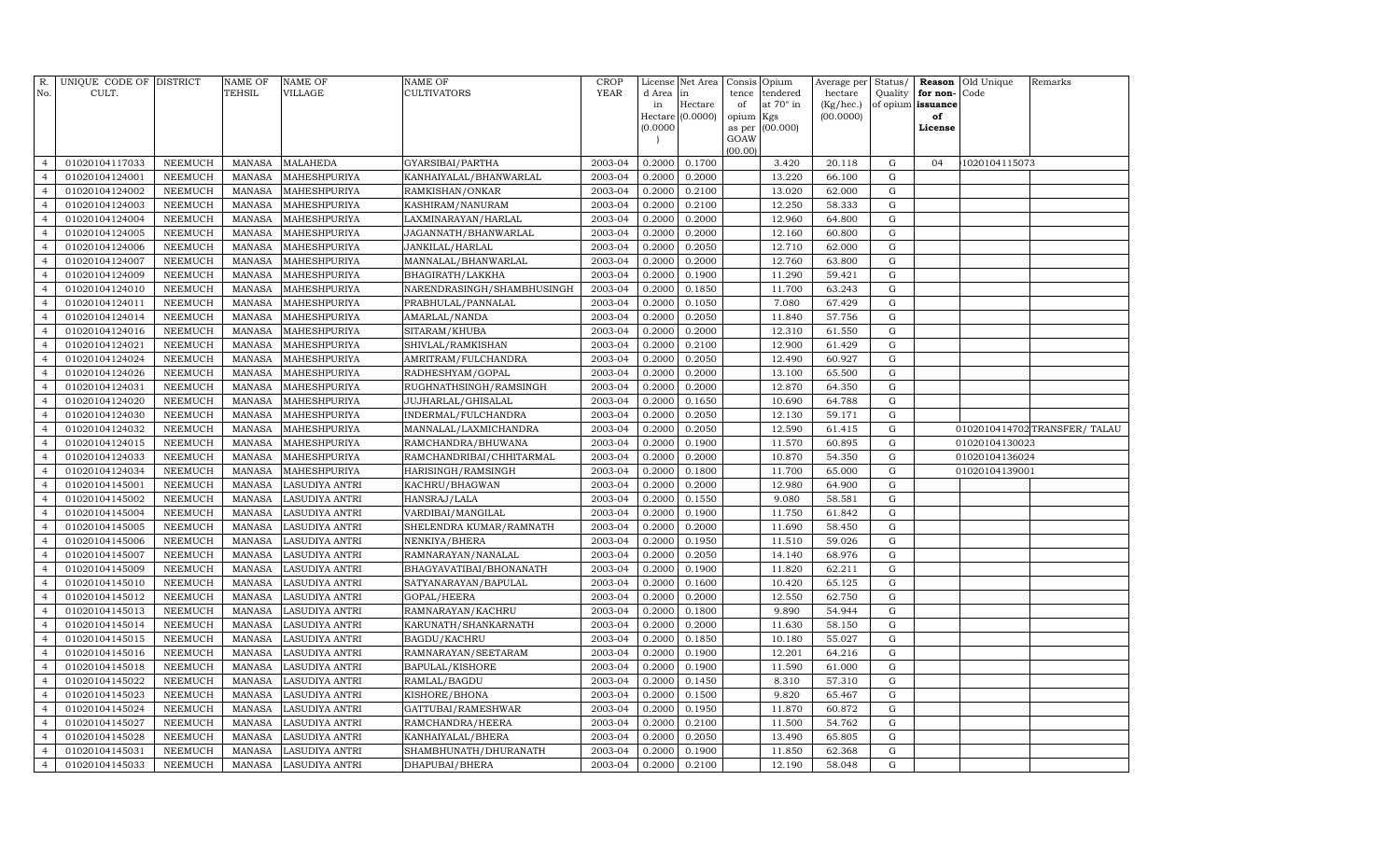| R.<br>No.      | UNIQUE CODE OF DISTRICT<br>CULT. |                | <b>NAME OF</b><br>TEHSIL | <b>NAME OF</b><br>VILLAGE | <b>NAME OF</b><br>CULTIVATORS | <b>CROP</b><br><b>YEAR</b> | d Area in | License Net Area | Consis<br>tence | Opium<br>tendered | Average per<br>hectare | Status/<br>Quality | for non-          | <b>Reason</b> Old Unique<br>Code | Remarks                       |
|----------------|----------------------------------|----------------|--------------------------|---------------------------|-------------------------------|----------------------------|-----------|------------------|-----------------|-------------------|------------------------|--------------------|-------------------|----------------------------------|-------------------------------|
|                |                                  |                |                          |                           |                               |                            | in        | Hectare          | of              | at 70° in         | (Kg/hec.)              |                    | of opium issuance |                                  |                               |
|                |                                  |                |                          |                           |                               |                            |           | Hectare (0.0000) | opium Kgs       |                   | (00.0000)              |                    | of                |                                  |                               |
|                |                                  |                |                          |                           |                               |                            | (0.0000)  |                  | as per          | (00.000)          |                        |                    | License           |                                  |                               |
|                |                                  |                |                          |                           |                               |                            |           |                  | GOAW            |                   |                        |                    |                   |                                  |                               |
| $\overline{4}$ | 01020104117033                   | NEEMUCH        | MANASA                   | <b>MALAHEDA</b>           | GYARSIBAI/PARTHA              | 2003-04                    | 0.2000    | 0.1700           | (00.00)         | 3.420             | 20.118                 | G                  | 04                | 1020104115073                    |                               |
| $\overline{4}$ | 01020104124001                   | NEEMUCH        | <b>MANASA</b>            | MAHESHPURIYA              | KANHAIYALAL/BHANWARLAL        | 2003-04                    | 0.2000    | 0.2000           |                 | 13.220            | 66.100                 | G                  |                   |                                  |                               |
| $\overline{4}$ | 01020104124002                   | NEEMUCH        | MANASA                   | MAHESHPURIYA              | RAMKISHAN/ONKAR               | 2003-04                    | 0.2000    | 0.2100           |                 | 13.020            | 62.000                 | G                  |                   |                                  |                               |
| $\overline{4}$ | 01020104124003                   | NEEMUCH        | <b>MANASA</b>            | MAHESHPURIYA              | KASHIRAM/NANURAM              | 2003-04                    | 0.2000    | 0.2100           |                 | 12.250            | 58.333                 | G                  |                   |                                  |                               |
| $\overline{4}$ | 01020104124004                   | NEEMUCH        | <b>MANASA</b>            | MAHESHPURIYA              | LAXMINARAYAN/HARLAL           | 2003-04                    | 0.2000    | 0.2000           |                 | 12.960            | 64.800                 | G                  |                   |                                  |                               |
| $\overline{4}$ | 01020104124005                   | <b>NEEMUCH</b> | <b>MANASA</b>            | MAHESHPURIYA              | JAGANNATH/BHANWARLAL          | 2003-04                    | 0.2000    | 0.2000           |                 | 12.160            | 60.800                 | G                  |                   |                                  |                               |
| $\overline{4}$ | 01020104124006                   | <b>NEEMUCH</b> | <b>MANASA</b>            | MAHESHPURIYA              | JANKILAL/HARLAL               | 2003-04                    | 0.2000    | 0.2050           |                 | 12.710            | 62.000                 | $\mathbf G$        |                   |                                  |                               |
| $\overline{4}$ | 01020104124007                   | NEEMUCH        | <b>MANASA</b>            | MAHESHPURIYA              | MANNALAL/BHANWARLAL           | 2003-04                    | 0.2000    | 0.2000           |                 | 12.760            | 63.800                 | G                  |                   |                                  |                               |
| 4              | 01020104124009                   | NEEMUCH        | <b>MANASA</b>            | MAHESHPURIYA              | BHAGIRATH/LAKKHA              | 2003-04                    | 0.2000    | 0.1900           |                 | 11.290            | 59.421                 | $\mathbf G$        |                   |                                  |                               |
| $\overline{4}$ | 01020104124010                   | NEEMUCH        | <b>MANASA</b>            | MAHESHPURIYA              | NARENDRASINGH/SHAMBHUSINGH    | 2003-04                    | 0.2000    | 0.1850           |                 | 11.700            | 63.243                 | G                  |                   |                                  |                               |
| 4              | 01020104124011                   | NEEMUCH        | <b>MANASA</b>            | MAHESHPURIYA              | PRABHULAL/PANNALAL            | 2003-04                    | 0.2000    | 0.1050           |                 | 7.080             | 67.429                 | G                  |                   |                                  |                               |
| $\overline{4}$ | 01020104124014                   | <b>NEEMUCH</b> | <b>MANASA</b>            | MAHESHPURIYA              | AMARLAL/NANDA                 | 2003-04                    | 0.2000    | 0.2050           |                 | 11.840            | 57.756                 | G                  |                   |                                  |                               |
| $\overline{4}$ | 01020104124016                   | NEEMUCH        | <b>MANASA</b>            | MAHESHPURIYA              | SITARAM/KHUBA                 | 2003-04                    | 0.2000    | 0.2000           |                 | 12.310            | 61.550                 | G                  |                   |                                  |                               |
| $\overline{4}$ | 01020104124021                   | <b>NEEMUCH</b> | <b>MANASA</b>            | MAHESHPURIYA              | SHIVLAL/RAMKISHAN             | 2003-04                    | 0.2000    | 0.2100           |                 | 12.900            | 61.429                 | G                  |                   |                                  |                               |
| $\overline{4}$ | 01020104124024                   | <b>NEEMUCH</b> | <b>MANASA</b>            | MAHESHPURIYA              | AMRITRAM/FULCHANDRA           | 2003-04                    | 0.2000    | 0.2050           |                 | 12.490            | 60.927                 | $\mathbf G$        |                   |                                  |                               |
| $\overline{4}$ | 01020104124026                   | <b>NEEMUCH</b> | <b>MANASA</b>            | MAHESHPURIYA              | RADHESHYAM/GOPAL              | 2003-04                    | 0.2000    | 0.2000           |                 | 13.100            | 65.500                 | G                  |                   |                                  |                               |
| $\overline{4}$ | 01020104124031                   | <b>NEEMUCH</b> | <b>MANASA</b>            | MAHESHPURIYA              | RUGHNATHSINGH/RAMSINGH        | 2003-04                    | 0.2000    | 0.2000           |                 | 12.870            | 64.350                 | $\mathbf G$        |                   |                                  |                               |
| $\overline{4}$ | 01020104124020                   | <b>NEEMUCH</b> | <b>MANASA</b>            | MAHESHPURIYA              | JUJHARLAL/GHISALAL            | 2003-04                    | 0.2000    | 0.1650           |                 | 10.690            | 64.788                 | G                  |                   |                                  |                               |
| 4              | 01020104124030                   | NEEMUCH        | <b>MANASA</b>            | MAHESHPURIYA              | INDERMAL/FULCHANDRA           | 2003-04                    | 0.2000    | 0.2050           |                 | 12.130            | 59.171                 | G                  |                   |                                  |                               |
| $\overline{4}$ | 01020104124032                   | NEEMUCH        | <b>MANASA</b>            | MAHESHPURIYA              | MANNALAL/LAXMICHANDRA         | 2003-04                    | 0.2000    | 0.2050           |                 | 12.590            | 61.415                 | G                  |                   |                                  | 0102010414702 TRANSFER/ TALAU |
| $\overline{4}$ | 01020104124015                   | NEEMUCH        | <b>MANASA</b>            | MAHESHPURIYA              | RAMCHANDRA/BHUWANA            | 2003-04                    | 0.2000    | 0.1900           |                 | 11.570            | 60.895                 | G                  |                   | 01020104130023                   |                               |
| $\overline{4}$ | 01020104124033                   | <b>NEEMUCH</b> | <b>MANASA</b>            | MAHESHPURIYA              | RAMCHANDRIBAI/CHHITARMAL      | 2003-04                    | 0.2000    | 0.2000           |                 | 10.870            | 54.350                 | G                  |                   | 01020104136024                   |                               |
| $\overline{4}$ | 01020104124034                   | <b>NEEMUCH</b> | <b>MANASA</b>            | MAHESHPURIYA              | HARISINGH/RAMSINGH            | 2003-04                    | 0.2000    | 0.1800           |                 | 11.700            | 65.000                 | G                  |                   | 01020104139001                   |                               |
| $\overline{4}$ | 01020104145001                   | <b>NEEMUCH</b> | <b>MANASA</b>            | LASUDIYA ANTRI            | KACHRU/BHAGWAN                | 2003-04                    | 0.2000    | 0.2000           |                 | 12.980            | 64.900                 | G                  |                   |                                  |                               |
| $\overline{4}$ | 01020104145002                   | <b>NEEMUCH</b> | <b>MANASA</b>            | LASUDIYA ANTRI            | HANSRAJ/LALA                  | 2003-04                    | 0.2000    | 0.1550           |                 | 9.080             | 58.581                 | $\mathbf G$        |                   |                                  |                               |
| $\overline{4}$ | 01020104145004                   | NEEMUCH        | <b>MANASA</b>            | LASUDIYA ANTRI            | VARDIBAI/MANGILAL             | 2003-04                    | 0.2000    | 0.1900           |                 | 11.750            | 61.842                 | G                  |                   |                                  |                               |
| 4              | 01020104145005                   | NEEMUCH        | <b>MANASA</b>            | LASUDIYA ANTRI            | SHELENDRA KUMAR/RAMNATH       | 2003-04                    | 0.2000    | 0.2000           |                 | 11.690            | 58.450                 | G                  |                   |                                  |                               |
| $\overline{4}$ | 01020104145006                   | <b>NEEMUCH</b> | <b>MANASA</b>            | LASUDIYA ANTRI            | NENKIYA/BHERA                 | 2003-04                    | 0.2000    | 0.1950           |                 | 11.510            | 59.026                 | G                  |                   |                                  |                               |
| $\overline{4}$ | 01020104145007                   | NEEMUCH        | <b>MANASA</b>            | LASUDIYA ANTRI            | RAMNARAYAN/NANALAL            | 2003-04                    | 0.2000    | 0.2050           |                 | 14.140            | 68.976                 | G                  |                   |                                  |                               |
| $\overline{4}$ | 01020104145009                   | <b>NEEMUCH</b> | <b>MANASA</b>            | LASUDIYA ANTRI            | BHAGYAVATIBAI/BHONANATH       | 2003-04                    | 0.2000    | 0.1900           |                 | 11.820            | 62.211                 | G                  |                   |                                  |                               |
| $\overline{4}$ | 01020104145010                   | NEEMUCH        | <b>MANASA</b>            | LASUDIYA ANTRI            | SATYANARAYAN/BAPULAL          | 2003-04                    | 0.2000    | 0.1600           |                 | 10.420            | 65.125                 | G                  |                   |                                  |                               |
| $\overline{4}$ | 01020104145012                   | <b>NEEMUCH</b> | <b>MANASA</b>            | LASUDIYA ANTRI            | GOPAL/HEERA                   | 2003-04                    | 0.2000    | 0.2000           |                 | 12.550            | 62.750                 | $\mathbf G$        |                   |                                  |                               |
| $\overline{4}$ | 01020104145013                   | <b>NEEMUCH</b> | <b>MANASA</b>            | LASUDIYA ANTRI            | RAMNARAYAN/KACHRU             | 2003-04                    | 0.2000    | 0.1800           |                 | 9.890             | 54.944                 | G                  |                   |                                  |                               |
| $\overline{4}$ | 01020104145014                   | <b>NEEMUCH</b> | <b>MANASA</b>            | LASUDIYA ANTRI            | KARUNATH/SHANKARNATH          | 2003-04                    | 0.2000    | 0.2000           |                 | 11.630            | 58.150                 | G                  |                   |                                  |                               |
| 4              | 01020104145015                   | NEEMUCH        | <b>MANASA</b>            | LASUDIYA ANTRI            | BAGDU/KACHRU                  | 2003-04                    | 0.2000    | 0.1850           |                 | 10.180            | 55.027                 | G                  |                   |                                  |                               |
| $\overline{4}$ | 01020104145016                   | <b>NEEMUCH</b> | <b>MANASA</b>            | LASUDIYA ANTRI            | RAMNARAYAN/SEETARAM           | 2003-04                    | 0.2000    | 0.1900           |                 | 12.201            | 64.216                 | G                  |                   |                                  |                               |
| $\overline{4}$ | 01020104145018                   | NEEMUCH        | <b>MANASA</b>            | LASUDIYA ANTRI            | <b>BAPULAL/KISHORE</b>        | 2003-04                    | 0.2000    | 0.1900           |                 | 11.590            | 61.000                 | G                  |                   |                                  |                               |
| $\overline{4}$ | 01020104145022                   | <b>NEEMUCH</b> | <b>MANASA</b>            | LASUDIYA ANTRI            | RAMLAL/BAGDU                  | 2003-04                    | 0.2000    | 0.1450           |                 | 8.310             | 57.310                 | G                  |                   |                                  |                               |
| $\overline{4}$ | 01020104145023                   | <b>NEEMUCH</b> | <b>MANASA</b>            | LASUDIYA ANTRI            | KISHORE/BHONA                 | 2003-04                    | 0.2000    | 0.1500           |                 | 9.820             | 65.467                 | $\mathbf G$        |                   |                                  |                               |
| $\overline{4}$ | 01020104145024                   | <b>NEEMUCH</b> | <b>MANASA</b>            | LASUDIYA ANTRI            | GATTUBAI/RAMESHWAR            | 2003-04                    | 0.2000    | 0.1950           |                 | 11.870            | 60.872                 | $\mathbf G$        |                   |                                  |                               |
| $\overline{4}$ | 01020104145027                   | <b>NEEMUCH</b> | <b>MANASA</b>            | LASUDIYA ANTRI            | RAMCHANDRA/HEERA              | 2003-04                    | 0.2000    | 0.2100           |                 | 11.500            | 54.762                 | G                  |                   |                                  |                               |
| $\overline{4}$ | 01020104145028                   | <b>NEEMUCH</b> | <b>MANASA</b>            | LASUDIYA ANTRI            | KANHAIYALAL/BHERA             | 2003-04                    | 0.2000    | 0.2050           |                 | 13.490            | 65.805                 | G                  |                   |                                  |                               |
| 4              | 01020104145031                   | NEEMUCH        | <b>MANASA</b>            | LASUDIYA ANTRI            | SHAMBHUNATH/DHURANATH         | 2003-04                    | 0.2000    | 0.1900           |                 | 11.850            | 62.368                 | G                  |                   |                                  |                               |
| 4              | 01020104145033                   | NEEMUCH        | MANASA                   | LASUDIYA ANTRI            | DHAPUBAI/BHERA                | 2003-04                    | 0.2000    | 0.2100           |                 | 12.190            | 58.048                 | G                  |                   |                                  |                               |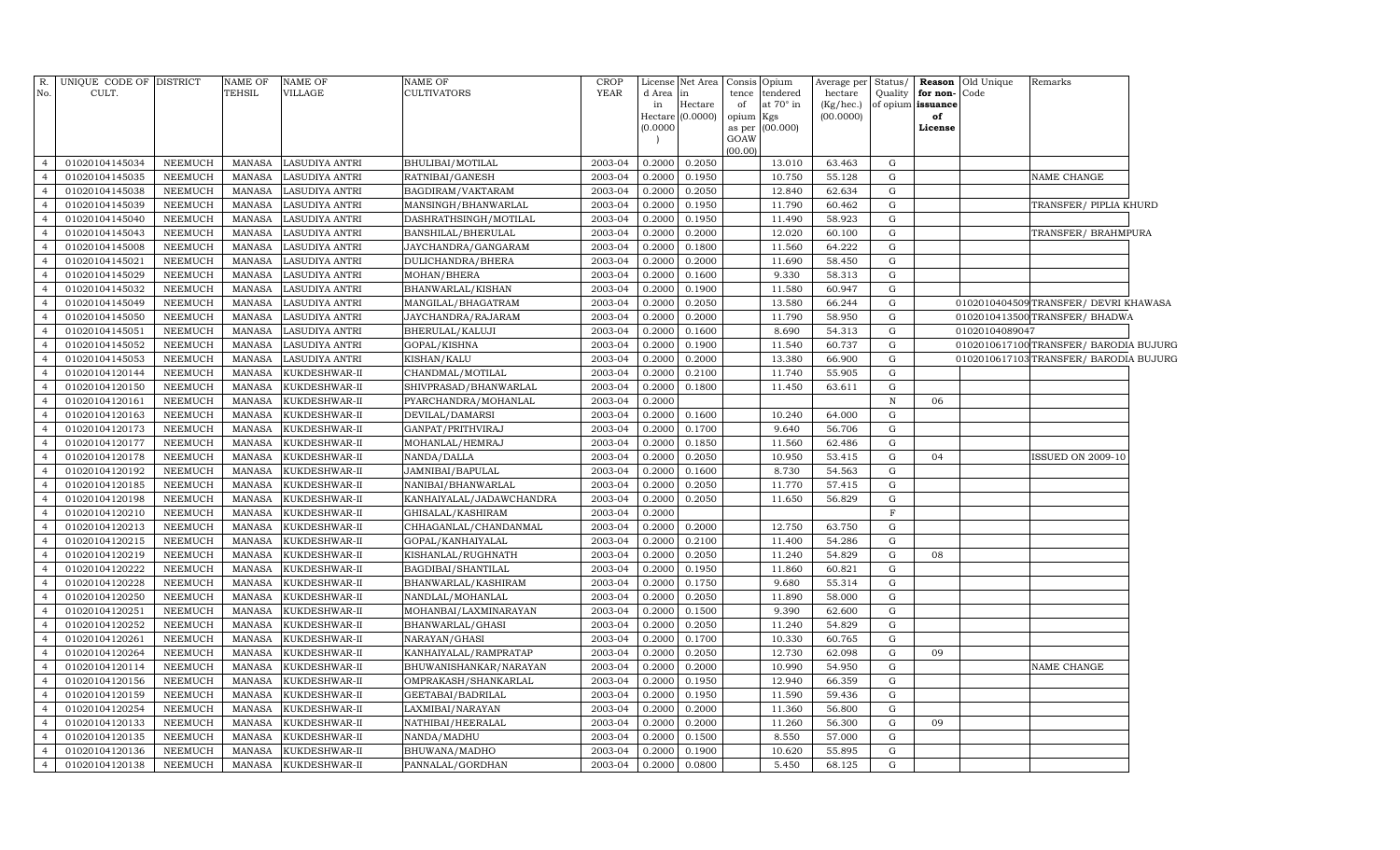| R.<br>No.                        | UNIQUE CODE OF DISTRICT<br>CULT. |                                  | <b>NAME OF</b><br>TEHSIL       | <b>NAME OF</b><br>VILLAGE      | <b>NAME OF</b><br><b>CULTIVATORS</b> | <b>CROP</b><br>YEAR | d Area<br>in<br>(0.0000) | License Net Area<br>in<br>Hectare<br>Hectare (0.0000) | of<br>opium Kgs<br>as per<br>GOAW<br>(00.00) | Consis Opium<br>tence tendered<br>at $70^\circ$ in<br>(00.000) | Average per<br>hectare<br>(Kg/hec.)<br>(00.0000) | Status/<br>Quality | for non-Code<br>of opium issuance<br>of<br>License | <b>Reason</b> Old Unique | Remarks                                |  |
|----------------------------------|----------------------------------|----------------------------------|--------------------------------|--------------------------------|--------------------------------------|---------------------|--------------------------|-------------------------------------------------------|----------------------------------------------|----------------------------------------------------------------|--------------------------------------------------|--------------------|----------------------------------------------------|--------------------------|----------------------------------------|--|
| $\overline{4}$                   | 01020104145034                   | NEEMUCH                          | MANASA                         | <b>LASUDIYA ANTRI</b>          | BHULIBAI/MOTILAL                     | 2003-04             | 0.2000                   | 0.2050                                                |                                              | 13.010                                                         | 63.463                                           | G                  |                                                    |                          |                                        |  |
| $\overline{4}$                   | 01020104145035                   | <b>NEEMUCH</b>                   | <b>MANASA</b>                  | <b>LASUDIYA ANTRI</b>          | RATNIBAI/GANESH                      | 2003-04             | 0.2000                   | 0.1950                                                |                                              | 10.750                                                         | 55.128                                           | G                  |                                                    |                          | NAME CHANGE                            |  |
| $\overline{4}$                   | 01020104145038                   | NEEMUCH                          | MANASA                         | <b>LASUDIYA ANTRI</b>          | BAGDIRAM/VAKTARAM                    | 2003-04             | 0.2000                   | 0.2050                                                |                                              | 12.840                                                         | 62.634                                           | G                  |                                                    |                          |                                        |  |
| $\overline{4}$                   | 01020104145039                   | NEEMUCH                          | MANASA                         | LASUDIYA ANTRI                 | MANSINGH/BHANWARLAL                  | 2003-04             | 0.2000                   | 0.1950                                                |                                              | 11.790                                                         | 60.462                                           | G                  |                                                    |                          | TRANSFER/ PIPLIA KHURD                 |  |
| $\overline{4}$                   | 01020104145040                   | <b>NEEMUCH</b>                   | <b>MANASA</b>                  | LASUDIYA ANTRI                 | DASHRATHSINGH/MOTILAL                | 2003-04             | 0.2000                   | 0.1950                                                |                                              | 11.490                                                         | 58.923                                           | G                  |                                                    |                          |                                        |  |
| $\overline{4}$                   | 01020104145043                   | NEEMUCH                          | <b>MANASA</b>                  | LASUDIYA ANTRI                 | BANSHILAL/BHERULAL                   | 2003-04             | 0.2000                   | 0.2000                                                |                                              | 12.020                                                         | 60.100                                           | G                  |                                                    |                          | TRANSFER/BRAHMPURA                     |  |
| $\overline{4}$                   | 01020104145008                   | <b>NEEMUCH</b>                   | <b>MANASA</b>                  | LASUDIYA ANTRI                 | JAYCHANDRA/GANGARAM                  | 2003-04             | 0.2000                   | 0.1800                                                |                                              | 11.560                                                         | 64.222                                           | G                  |                                                    |                          |                                        |  |
| $\overline{4}$                   | 01020104145021                   | NEEMUCH                          | MANASA                         | LASUDIYA ANTRI                 | DULICHANDRA/BHERA                    | 2003-04             | 0.2000                   | 0.2000                                                |                                              | 11.690                                                         | 58.450                                           | G                  |                                                    |                          |                                        |  |
| $\overline{4}$                   | 01020104145029                   | NEEMUCH                          | MANASA                         | LASUDIYA ANTRI                 | MOHAN/BHERA                          | 2003-04             | 0.2000                   | 0.1600                                                |                                              | 9.330                                                          | 58.313                                           | G                  |                                                    |                          |                                        |  |
| $\overline{4}$                   | 01020104145032                   | NEEMUCH                          | MANASA                         | <b>LASUDIYA ANTRI</b>          | BHANWARLAL/KISHAN                    | 2003-04             | 0.2000                   | 0.1900                                                |                                              | 11.580                                                         | 60.947                                           | G                  |                                                    |                          |                                        |  |
| $\overline{4}$                   | 01020104145049                   | <b>NEEMUCH</b>                   | MANASA                         | LASUDIYA ANTRI                 | MANGILAL/BHAGATRAM                   | 2003-04             | 0.2000                   | 0.2050                                                |                                              | 13.580                                                         | 66.244                                           | ${\rm G}$          |                                                    |                          | 0102010404509TRANSFER/DEVRI KHAWASA    |  |
| $\overline{4}$                   | 01020104145050                   | NEEMUCH                          | <b>MANASA</b>                  | LASUDIYA ANTRI                 | JAYCHANDRA/RAJARAM                   | 2003-04             | 0.2000                   | 0.2000                                                |                                              | 11.790                                                         | 58.950                                           | G                  |                                                    |                          | 0102010413500 TRANSFER/ BHADWA         |  |
| $\overline{4}$                   | 01020104145051                   | <b>NEEMUCH</b>                   | <b>MANASA</b>                  | LASUDIYA ANTRI                 | BHERULAL/KALUJI                      | 2003-04             | 0.2000                   | 0.1600                                                |                                              | 8.690                                                          | 54.313                                           | ${\rm G}$          |                                                    | 01020104089047           |                                        |  |
| $\overline{4}$                   | 01020104145052                   | <b>NEEMUCH</b>                   | MANASA                         | LASUDIYA ANTRI                 | GOPAL/KISHNA                         | 2003-04             | 0.2000                   | 0.1900                                                |                                              | 11.540                                                         | 60.737                                           | ${\rm G}$          |                                                    |                          | 0102010617100 TRANSFER/ BARODIA BUJURG |  |
| $\overline{4}$                   | 01020104145053                   | <b>NEEMUCH</b>                   | <b>MANASA</b>                  | LASUDIYA ANTRI                 | KISHAN/KALU                          | 2003-04             | 0.2000                   | 0.2000                                                |                                              | 13.380                                                         | 66.900                                           | $\mathbf G$        |                                                    |                          | 0102010617103TRANSFER/ BARODIA BUJURG  |  |
| $\overline{4}$                   | 01020104120144                   | <b>NEEMUCH</b>                   | <b>MANASA</b>                  | KUKDESHWAR-II                  | CHANDMAL/MOTILAL                     | 2003-04             | 0.2000                   | 0.2100                                                |                                              | 11.740                                                         | 55.905                                           | G                  |                                                    |                          |                                        |  |
| $\overline{4}$                   | 01020104120150                   | <b>NEEMUCH</b>                   | <b>MANASA</b>                  | KUKDESHWAR-II                  | SHIVPRASAD/BHANWARLAL                | 2003-04             | 0.2000                   | 0.1800                                                |                                              | 11.450                                                         | 63.611                                           | G                  |                                                    |                          |                                        |  |
| $\overline{4}$                   | 01020104120161                   | NEEMUCH                          | MANASA                         | KUKDESHWAR-II                  | PYARCHANDRA/MOHANLAL                 | 2003-04             | 0.2000                   |                                                       |                                              |                                                                |                                                  | $\, {\bf N}$       | 06                                                 |                          |                                        |  |
| $\overline{4}$                   | 01020104120163                   | NEEMUCH                          | MANASA                         | KUKDESHWAR-II                  | DEVILAL/DAMARSI                      | 2003-04             | 0.2000                   | 0.1600                                                |                                              | 10.240                                                         | 64.000                                           | G                  |                                                    |                          |                                        |  |
| $\overline{4}$                   | 01020104120173                   | NEEMUCH                          | <b>MANASA</b>                  | KUKDESHWAR-II                  | GANPAT/PRITHVIRAJ                    | 2003-04             | 0.2000                   | 0.1700                                                |                                              | 9.640                                                          | 56.706                                           | G                  |                                                    |                          |                                        |  |
| $\overline{4}$                   | 01020104120177                   | <b>NEEMUCH</b>                   | <b>MANASA</b>                  | KUKDESHWAR-II                  | MOHANLAL/HEMRAJ                      | 2003-04             | 0.2000                   | 0.1850                                                |                                              | 11.560                                                         | 62.486                                           | G                  |                                                    |                          |                                        |  |
| $\overline{4}$                   | 01020104120178                   | <b>NEEMUCH</b>                   | <b>MANASA</b>                  | KUKDESHWAR-II                  | NANDA/DALLA                          | 2003-04             | 0.2000                   | 0.2050                                                |                                              | 10.950                                                         | 53.415                                           | $\mathbf G$        | 04                                                 |                          | ISSUED ON 2009-10                      |  |
| $\overline{4}$                   | 01020104120192                   | <b>NEEMUCH</b>                   | MANASA                         | KUKDESHWAR-II                  | JAMNIBAI/BAPULAL                     | 2003-04             | 0.2000                   | 0.1600                                                |                                              | 8.730                                                          | 54.563                                           | $\mathbf G$        |                                                    |                          |                                        |  |
| $\overline{4}$                   | 01020104120185                   | <b>NEEMUCH</b>                   | MANASA                         | KUKDESHWAR-II                  | NANIBAI/BHANWARLAL                   | 2003-04             | 0.2000                   | 0.2050                                                |                                              | 11.770                                                         | 57.415                                           | $\mathbf G$        |                                                    |                          |                                        |  |
| $\overline{4}$                   | 01020104120198                   | <b>NEEMUCH</b>                   | MANASA                         | KUKDESHWAR-II                  | KANHAIYALAL/JADAWCHANDRA             | 2003-04             | 0.2000                   | 0.2050                                                |                                              | 11.650                                                         | 56.829                                           | ${\rm G}$          |                                                    |                          |                                        |  |
| $\overline{4}$                   | 01020104120210                   | NEEMUCH                          | MANASA                         | KUKDESHWAR-II                  | GHISALAL/KASHIRAM                    | 2003-04             | 0.2000                   |                                                       |                                              |                                                                |                                                  | $_{\rm F}$         |                                                    |                          |                                        |  |
| $\overline{4}$                   | 01020104120213                   | <b>NEEMUCH</b>                   | <b>MANASA</b>                  | KUKDESHWAR-II                  | CHHAGANLAL/CHANDANMAL                | 2003-04             | 0.2000                   | 0.2000                                                |                                              | 12.750                                                         | 63.750                                           | G                  |                                                    |                          |                                        |  |
| $\overline{4}$                   | 01020104120215                   | <b>NEEMUCH</b>                   | <b>MANASA</b>                  | KUKDESHWAR-II                  | GOPAL/KANHAIYALAL                    | 2003-04             | 0.2000                   | 0.2100                                                |                                              | 11.400                                                         | 54.286                                           | $\mathbf G$        |                                                    |                          |                                        |  |
| $\overline{4}$                   | 01020104120219                   | <b>NEEMUCH</b>                   | <b>MANASA</b>                  | KUKDESHWAR-II                  | KISHANLAL/RUGHNATH                   | 2003-04             | 0.2000                   | 0.2050                                                |                                              | 11.240                                                         | 54.829                                           | G                  | 08                                                 |                          |                                        |  |
| $\overline{4}$                   | 01020104120222                   | <b>NEEMUCH</b>                   | MANASA                         | KUKDESHWAR-II                  | BAGDIBAI/SHANTILAL                   | 2003-04             | 0.2000                   | 0.1950                                                |                                              | 11.860                                                         | 60.821                                           | $\mathbf G$        |                                                    |                          |                                        |  |
| $\overline{4}$                   | 01020104120228                   | <b>NEEMUCH</b>                   | MANASA                         | KUKDESHWAR-II                  | BHANWARLAL/KASHIRAM                  | 2003-04             | 0.2000                   | 0.1750                                                |                                              | 9.680                                                          | 55.314                                           | $\mathbf G$        |                                                    |                          |                                        |  |
| $\overline{4}$                   | 01020104120250                   | NEEMUCH                          | MANASA                         | KUKDESHWAR-II                  | NANDLAL/MOHANLAL                     | 2003-04             | 0.2000                   | 0.2050                                                |                                              | 11.890                                                         | 58.000                                           | G                  |                                                    |                          |                                        |  |
| $\overline{4}$                   | 01020104120251                   | <b>NEEMUCH</b>                   | <b>MANASA</b>                  | KUKDESHWAR-II                  | MOHANBAI/LAXMINARAYAN                | 2003-04             | 0.2000                   | 0.1500                                                |                                              | 9.390                                                          | 62.600                                           | ${\rm G}$          |                                                    |                          |                                        |  |
| $\overline{4}$                   | 01020104120252                   | <b>NEEMUCH</b>                   | MANASA                         | KUKDESHWAR-II                  | BHANWARLAL/GHASI                     | 2003-04             | 0.2000                   | 0.2050                                                |                                              | 11.240                                                         | 54.829                                           | G                  |                                                    |                          |                                        |  |
| $\overline{4}$                   | 01020104120261                   | <b>NEEMUCH</b>                   | MANASA                         | KUKDESHWAR-II                  | NARAYAN/GHASI                        | 2003-04             | 0.2000                   | 0.1700                                                |                                              | 10.330                                                         | 60.765                                           | $\mathbf G$        |                                                    |                          |                                        |  |
| $\overline{4}$                   | 01020104120264                   | <b>NEEMUCH</b>                   | MANASA                         | KUKDESHWAR-II                  | KANHAIYALAL/RAMPRATAP                | 2003-04             | 0.2000                   | 0.2050                                                |                                              | 12.730                                                         | 62.098                                           | $\mathbf G$        | 09                                                 |                          |                                        |  |
| $\overline{4}$<br>$\overline{4}$ | 01020104120114                   | <b>NEEMUCH</b>                   | <b>MANASA</b>                  | KUKDESHWAR-II                  | BHUWANISHANKAR/NARAYAN               | 2003-04             | 0.2000                   | 0.2000                                                |                                              | 10.990                                                         | 54.950                                           | G                  |                                                    |                          | NAME CHANGE                            |  |
| $\overline{4}$                   | 01020104120156<br>01020104120159 | <b>NEEMUCH</b><br><b>NEEMUCH</b> | <b>MANASA</b><br><b>MANASA</b> | KUKDESHWAR-II                  | OMPRAKASH/SHANKARLAL                 | 2003-04<br>2003-04  | 0.2000<br>0.2000         | 0.1950<br>0.1950                                      |                                              | 12.940<br>11.590                                               | 66.359<br>59.436                                 | G<br>$\mathbf G$   |                                                    |                          |                                        |  |
| $\overline{4}$                   | 01020104120254                   | <b>NEEMUCH</b>                   | MANASA                         | KUKDESHWAR-II                  | GEETABAI/BADRILAL                    |                     | 0.2000                   | 0.2000                                                |                                              |                                                                | 56.800                                           | G                  |                                                    |                          |                                        |  |
| $\overline{4}$                   | 01020104120133                   | <b>NEEMUCH</b>                   | MANASA                         | KUKDESHWAR-II                  | LAXMIBAI/NARAYAN                     | 2003-04<br>2003-04  | 0.2000                   | 0.2000                                                |                                              | 11.360<br>11.260                                               | 56.300                                           | ${\rm G}$          | 09                                                 |                          |                                        |  |
| $\overline{4}$                   | 01020104120135                   | <b>NEEMUCH</b>                   | <b>MANASA</b>                  | KUKDESHWAR-II                  | NATHIBAI/HEERALAL                    | 2003-04             | 0.2000                   | 0.1500                                                |                                              | 8.550                                                          | 57.000                                           | G                  |                                                    |                          |                                        |  |
| $\overline{4}$                   | 01020104120136                   | <b>NEEMUCH</b>                   | MANASA                         | KUKDESHWAR-II<br>KUKDESHWAR-II | NANDA/MADHU<br>BHUWANA/MADHO         | 2003-04             | 0.2000                   | 0.1900                                                |                                              | 10.620                                                         | 55.895                                           | G                  |                                                    |                          |                                        |  |
| $\overline{4}$                   | 01020104120138                   | NEEMUCH                          | MANASA                         | KUKDESHWAR-II                  | PANNALAL/GORDHAN                     | 2003-04             | 0.2000                   | 0.0800                                                |                                              | 5.450                                                          | 68.125                                           | G                  |                                                    |                          |                                        |  |
|                                  |                                  |                                  |                                |                                |                                      |                     |                          |                                                       |                                              |                                                                |                                                  |                    |                                                    |                          |                                        |  |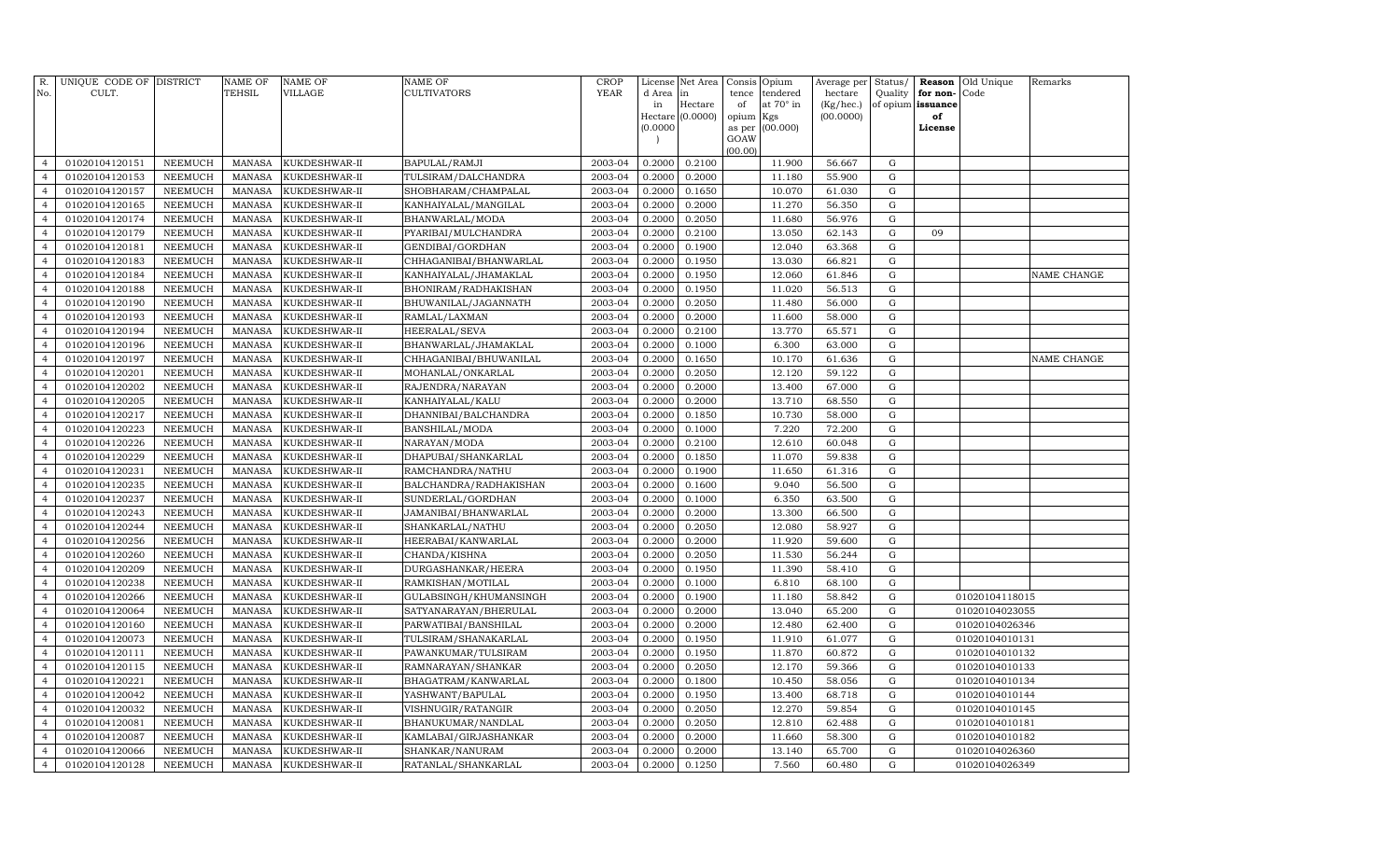| R.<br>No.                        | UNIQUE CODE OF DISTRICT<br>CULT. |                                  | <b>NAME OF</b><br>TEHSIL       | <b>NAME OF</b><br>VILLAGE      | NAME OF<br>CULTIVATORS                      | <b>CROP</b><br><b>YEAR</b> | d Area in        | License Net Area | Consis<br>tence | Opium<br>tendered | Average per<br>hectare | Status/<br>Quality | for non- | <b>Reason</b> Old Unique<br>Code | Remarks     |
|----------------------------------|----------------------------------|----------------------------------|--------------------------------|--------------------------------|---------------------------------------------|----------------------------|------------------|------------------|-----------------|-------------------|------------------------|--------------------|----------|----------------------------------|-------------|
|                                  |                                  |                                  |                                |                                |                                             |                            | in               | Hectare          | of              | at 70° in         | (Kg/hec.)              | of opium           | issuance |                                  |             |
|                                  |                                  |                                  |                                |                                |                                             |                            |                  | Hectare (0.0000) | opium Kgs       |                   | (00.0000)              |                    | of       |                                  |             |
|                                  |                                  |                                  |                                |                                |                                             |                            | (0.0000)         |                  | as per          | (00.000)          |                        |                    | License  |                                  |             |
|                                  |                                  |                                  |                                |                                |                                             |                            |                  |                  | GOAW<br>(00.00) |                   |                        |                    |          |                                  |             |
| $\overline{4}$                   | 01020104120151                   | NEEMUCH                          | MANASA                         | KUKDESHWAR-II                  | BAPULAL/RAMJI                               | 2003-04                    | 0.2000           | 0.2100           |                 | 11.900            | 56.667                 | G                  |          |                                  |             |
| $\overline{4}$                   | 01020104120153                   | NEEMUCH                          | <b>MANASA</b>                  | KUKDESHWAR-II                  | TULSIRAM/DALCHANDRA                         | 2003-04                    | 0.2000           | 0.2000           |                 | 11.180            | 55.900                 | G                  |          |                                  |             |
| $\overline{4}$                   | 01020104120157                   | NEEMUCH                          | MANASA                         | KUKDESHWAR-II                  | SHOBHARAM/CHAMPALAL                         | 2003-04                    | 0.2000           | 0.1650           |                 | 10.070            | 61.030                 | G                  |          |                                  |             |
| $\overline{4}$                   | 01020104120165                   | NEEMUCH                          | MANASA                         | KUKDESHWAR-II                  | KANHAIYALAL/MANGILAL                        | 2003-04                    | 0.2000           | 0.2000           |                 | 11.270            | 56.350                 | G                  |          |                                  |             |
| $\overline{4}$                   | 01020104120174                   | <b>NEEMUCH</b>                   | <b>MANASA</b>                  | KUKDESHWAR-II                  | BHANWARLAL/MODA                             | 2003-04                    | 0.2000           | 0.2050           |                 | 11.680            | 56.976                 | ${\rm G}$          |          |                                  |             |
| $\overline{4}$                   | 01020104120179                   | <b>NEEMUCH</b>                   | <b>MANASA</b>                  | KUKDESHWAR-II                  | PYARIBAI/MULCHANDRA                         | 2003-04                    | 0.2000           | 0.2100           |                 | 13.050            | 62.143                 | G                  | 09       |                                  |             |
| $\overline{4}$                   | 01020104120181                   | <b>NEEMUCH</b>                   | <b>MANASA</b>                  | KUKDESHWAR-II                  | GENDIBAI/GORDHAN                            | 2003-04                    | 0.2000           | 0.1900           |                 | 12.040            | 63.368                 | G                  |          |                                  |             |
| $\overline{4}$                   | 01020104120183                   | <b>NEEMUCH</b>                   | <b>MANASA</b>                  | KUKDESHWAR-II                  | CHHAGANIBAI/BHANWARLAL                      | 2003-04                    | 0.2000           | 0.1950           |                 | 13.030            | 66.821                 | $\mathbf G$        |          |                                  |             |
| $\overline{4}$                   | 01020104120184                   | NEEMUCH                          | <b>MANASA</b>                  | KUKDESHWAR-II                  | KANHAIYALAL/JHAMAKLAL                       | 2003-04                    | 0.2000           | 0.1950           |                 | 12.060            | 61.846                 | $\mathbf G$        |          |                                  | NAME CHANGE |
| $\overline{4}$                   | 01020104120188                   | <b>NEEMUCH</b>                   | <b>MANASA</b>                  | KUKDESHWAR-II                  | BHONIRAM/RADHAKISHAN                        | 2003-04                    | 0.2000           | 0.1950           |                 | 11.020            | 56.513                 | $\mathbf G$        |          |                                  |             |
| $\overline{4}$                   | 01020104120190                   | NEEMUCH                          | <b>MANASA</b>                  | KUKDESHWAR-II                  | BHUWANILAL/JAGANNATH                        | 2003-04                    | 0.2000           | 0.2050           |                 | 11.480            | 56.000                 | G                  |          |                                  |             |
| $\overline{4}$                   | 01020104120193                   | <b>NEEMUCH</b>                   | <b>MANASA</b>                  | KUKDESHWAR-II                  | RAMLAL/LAXMAN                               | 2003-04                    | 0.2000           | 0.2000           |                 | 11.600            | 58.000                 | G                  |          |                                  |             |
| $\overline{4}$                   | 01020104120194                   | <b>NEEMUCH</b>                   | <b>MANASA</b>                  | KUKDESHWAR-II                  | HEERALAL/SEVA                               | 2003-04                    | 0.2000           | 0.2100           |                 | 13.770            | 65.571                 | G                  |          |                                  |             |
| $\overline{4}$                   | 01020104120196                   | <b>NEEMUCH</b>                   | <b>MANASA</b>                  | KUKDESHWAR-II                  | BHANWARLAL/JHAMAKLAL                        | 2003-04                    | 0.2000           | 0.1000           |                 | 6.300             | 63.000                 | G                  |          |                                  |             |
| $\overline{4}$                   | 01020104120197                   | <b>NEEMUCH</b>                   | <b>MANASA</b>                  | KUKDESHWAR-II                  | CHHAGANIBAI/BHUWANILAL                      | 2003-04                    | 0.2000           | 0.1650           |                 | 10.170            | 61.636                 | G                  |          |                                  | NAME CHANGE |
| $\overline{4}$                   | 01020104120201                   | <b>NEEMUCH</b>                   | <b>MANASA</b>                  | KUKDESHWAR-II                  | MOHANLAL/ONKARLAL                           | 2003-04                    | 0.2000           | 0.2050           |                 | 12.120            | 59.122                 | G                  |          |                                  |             |
| $\overline{4}$                   | 01020104120202                   | <b>NEEMUCH</b>                   | <b>MANASA</b>                  | KUKDESHWAR-II                  | RAJENDRA/NARAYAN                            | 2003-04                    | 0.2000           | 0.2000           |                 | 13.400            | 67.000                 | G                  |          |                                  |             |
| $\overline{4}$                   | 01020104120205                   | <b>NEEMUCH</b>                   | <b>MANASA</b>                  | KUKDESHWAR-II                  | KANHAIYALAL/KALU                            | 2003-04                    | 0.2000           | 0.2000           |                 | 13.710            | 68.550                 | ${\rm G}$          |          |                                  |             |
| $\overline{4}$                   | 01020104120217                   | NEEMUCH                          | <b>MANASA</b>                  | KUKDESHWAR-II                  | DHANNIBAI/BALCHANDRA                        | 2003-04                    | 0.2000           | 0.1850           |                 | 10.730            | 58.000                 | $\mathbf G$        |          |                                  |             |
| $\overline{4}$                   | 01020104120223                   | <b>NEEMUCH</b>                   | <b>MANASA</b>                  | KUKDESHWAR-II                  | BANSHILAL/MODA                              | 2003-04                    | 0.2000           | 0.1000           |                 | 7.220             | 72.200                 | $\mathbf G$        |          |                                  |             |
| $\overline{4}$                   | 01020104120226                   | <b>NEEMUCH</b>                   | <b>MANASA</b>                  | KUKDESHWAR-II                  | NARAYAN/MODA                                | 2003-04                    | 0.2000           | 0.2100           |                 | 12.610            | 60.048                 | ${\rm G}$          |          |                                  |             |
| $\overline{4}$                   | 01020104120229                   | <b>NEEMUCH</b>                   | MANASA                         | KUKDESHWAR-II                  | DHAPUBAI/SHANKARLAL                         | 2003-04                    | 0.2000           | 0.1850           |                 | 11.070            | 59.838                 | G                  |          |                                  |             |
| $\overline{4}$                   | 01020104120231                   | <b>NEEMUCH</b>                   | <b>MANASA</b>                  | KUKDESHWAR-II                  | RAMCHANDRA/NATHU                            | 2003-04                    | 0.2000           | 0.1900           |                 | 11.650            | 61.316                 | ${\rm G}$          |          |                                  |             |
| $\overline{4}$                   | 01020104120235                   | <b>NEEMUCH</b>                   | <b>MANASA</b>                  | KUKDESHWAR-II                  | BALCHANDRA/RADHAKISHAN                      | 2003-04                    | 0.2000           | 0.1600           |                 | 9.040             | 56.500                 | G                  |          |                                  |             |
| $\overline{4}$                   | 01020104120237                   | <b>NEEMUCH</b>                   | <b>MANASA</b>                  | KUKDESHWAR-II                  | SUNDERLAL/GORDHAN                           | 2003-04                    | 0.2000           | 0.1000           |                 | 6.350             | 63.500                 | G                  |          |                                  |             |
| $\overline{4}$                   | 01020104120243                   | <b>NEEMUCH</b>                   | MANASA                         | KUKDESHWAR-II                  | JAMANIBAI/BHANWARLAL                        | 2003-04                    | 0.2000           | 0.2000           |                 | 13.300            | 66.500                 | G                  |          |                                  |             |
| $\overline{4}$                   | 01020104120244                   | NEEMUCH                          | <b>MANASA</b>                  | KUKDESHWAR-II                  | SHANKARLAL/NATHU                            | 2003-04                    | 0.2000           | 0.2050           |                 | 12.080            | 58.927                 | $\mathbf G$        |          |                                  |             |
| $\overline{4}$                   | 01020104120256                   | <b>NEEMUCH</b>                   | <b>MANASA</b>                  | KUKDESHWAR-II                  | HEERABAI/KANWARLAL                          | 2003-04                    | 0.2000           | 0.2000           |                 | 11.920            | 59.600                 | $\mathbf G$        |          |                                  |             |
| $\overline{4}$                   | 01020104120260                   | <b>NEEMUCH</b>                   | <b>MANASA</b>                  | KUKDESHWAR-II                  | CHANDA/KISHNA                               | 2003-04                    | 0.2000           | 0.2050           |                 | 11.530            | 56.244                 | ${\rm G}$          |          |                                  |             |
| $\overline{4}$                   | 01020104120209                   | <b>NEEMUCH</b>                   | <b>MANASA</b>                  | KUKDESHWAR-II                  | DURGASHANKAR/HEERA                          | 2003-04                    | 0.2000           | 0.1950           |                 | 11.390            | 58.410                 | G                  |          |                                  |             |
| $\overline{4}$                   | 01020104120238                   | <b>NEEMUCH</b>                   | <b>MANASA</b>                  | KUKDESHWAR-II                  | RAMKISHAN/MOTILAL                           | 2003-04                    | 0.2000           | 0.1000           |                 | 6.810             | 68.100                 | ${\rm G}$          |          |                                  |             |
| $\overline{4}$                   | 01020104120266                   | <b>NEEMUCH</b>                   | <b>MANASA</b>                  | KUKDESHWAR-II                  | GULABSINGH/KHUMANSINGH                      | 2003-04                    | 0.2000           | 0.1900           |                 | 11.180            | 58.842                 | G                  |          | 01020104118015                   |             |
| $\overline{4}$                   | 01020104120064                   | <b>NEEMUCH</b>                   | <b>MANASA</b>                  | KUKDESHWAR-II                  | SATYANARAYAN/BHERULAL                       | 2003-04                    | 0.2000           | 0.2000           |                 | 13.040            | 65.200                 | G                  |          | 01020104023055                   |             |
| $\overline{4}$<br>$\overline{4}$ | 01020104120160                   | <b>NEEMUCH</b>                   | <b>MANASA</b>                  | KUKDESHWAR-II                  | PARWATIBAI/BANSHILAL                        | 2003-04                    | 0.2000           | 0.2000           |                 | 12.480            | 62.400                 | G                  |          | 01020104026346                   |             |
| $\overline{4}$                   | 01020104120073                   | <b>NEEMUCH</b><br><b>NEEMUCH</b> | <b>MANASA</b><br><b>MANASA</b> | KUKDESHWAR-II                  | TULSIRAM/SHANAKARLAL                        | 2003-04<br>2003-04         | 0.2000<br>0.2000 | 0.1950           |                 | 11.910            | 61.077                 | G                  |          | 01020104010131                   |             |
| $\overline{4}$                   | 01020104120111<br>01020104120115 | NEEMUCH                          | <b>MANASA</b>                  | KUKDESHWAR-II                  | PAWANKUMAR/TULSIRAM                         | 2003-04                    | 0.2000           | 0.1950<br>0.2050 |                 | 11.870<br>12.170  | 60.872<br>59.366       | ${\rm G}$<br>G     |          | 01020104010132                   |             |
| $\overline{4}$                   | 01020104120221                   | <b>NEEMUCH</b>                   | <b>MANASA</b>                  | KUKDESHWAR-II<br>KUKDESHWAR-II | RAMNARAYAN/SHANKAR<br>BHAGATRAM / KANWARLAL | 2003-04                    | 0.2000           | 0.1800           |                 | 10.450            | 58.056                 | $\mathbf G$        |          | 01020104010133<br>01020104010134 |             |
| $\overline{4}$                   | 01020104120042                   | NEEMUCH                          | <b>MANASA</b>                  | KUKDESHWAR-II                  | YASHWANT/BAPULAL                            | 2003-04                    | 0.2000           | 0.1950           |                 | 13.400            | 68.718                 | ${\rm G}$          |          | 01020104010144                   |             |
| $\overline{4}$                   | 01020104120032                   | NEEMUCH                          | <b>MANASA</b>                  | KUKDESHWAR-II                  | VISHNUGIR/RATANGIR                          | 2003-04                    | 0.2000           | 0.2050           |                 | 12.270            | 59.854                 | G                  |          | 01020104010145                   |             |
| $\overline{4}$                   | 01020104120081                   | NEEMUCH                          | <b>MANASA</b>                  | KUKDESHWAR-II                  | BHANUKUMAR/NANDLAL                          | 2003-04                    | 0.2000           | 0.2050           |                 | 12.810            | 62.488                 | ${\rm G}$          |          | 01020104010181                   |             |
| $\overline{4}$                   | 01020104120087                   | <b>NEEMUCH</b>                   | <b>MANASA</b>                  | KUKDESHWAR-II                  | KAMLABAI/GIRJASHANKAR                       | 2003-04                    | 0.2000           | 0.2000           |                 | 11.660            | 58.300                 | G                  |          | 01020104010182                   |             |
| $\overline{4}$                   | 01020104120066                   | NEEMUCH                          | <b>MANASA</b>                  | KUKDESHWAR-II                  | SHANKAR/NANURAM                             | 2003-04                    | 0.2000           | 0.2000           |                 | 13.140            | 65.700                 | G                  |          | 01020104026360                   |             |
| $\overline{4}$                   | 01020104120128                   | NEEMUCH                          | MANASA                         | KUKDESHWAR-II                  | RATANLAL/SHANKARLAL                         | 2003-04                    | 0.2000           | 0.1250           |                 | 7.560             | 60.480                 | G                  |          | 01020104026349                   |             |
|                                  |                                  |                                  |                                |                                |                                             |                            |                  |                  |                 |                   |                        |                    |          |                                  |             |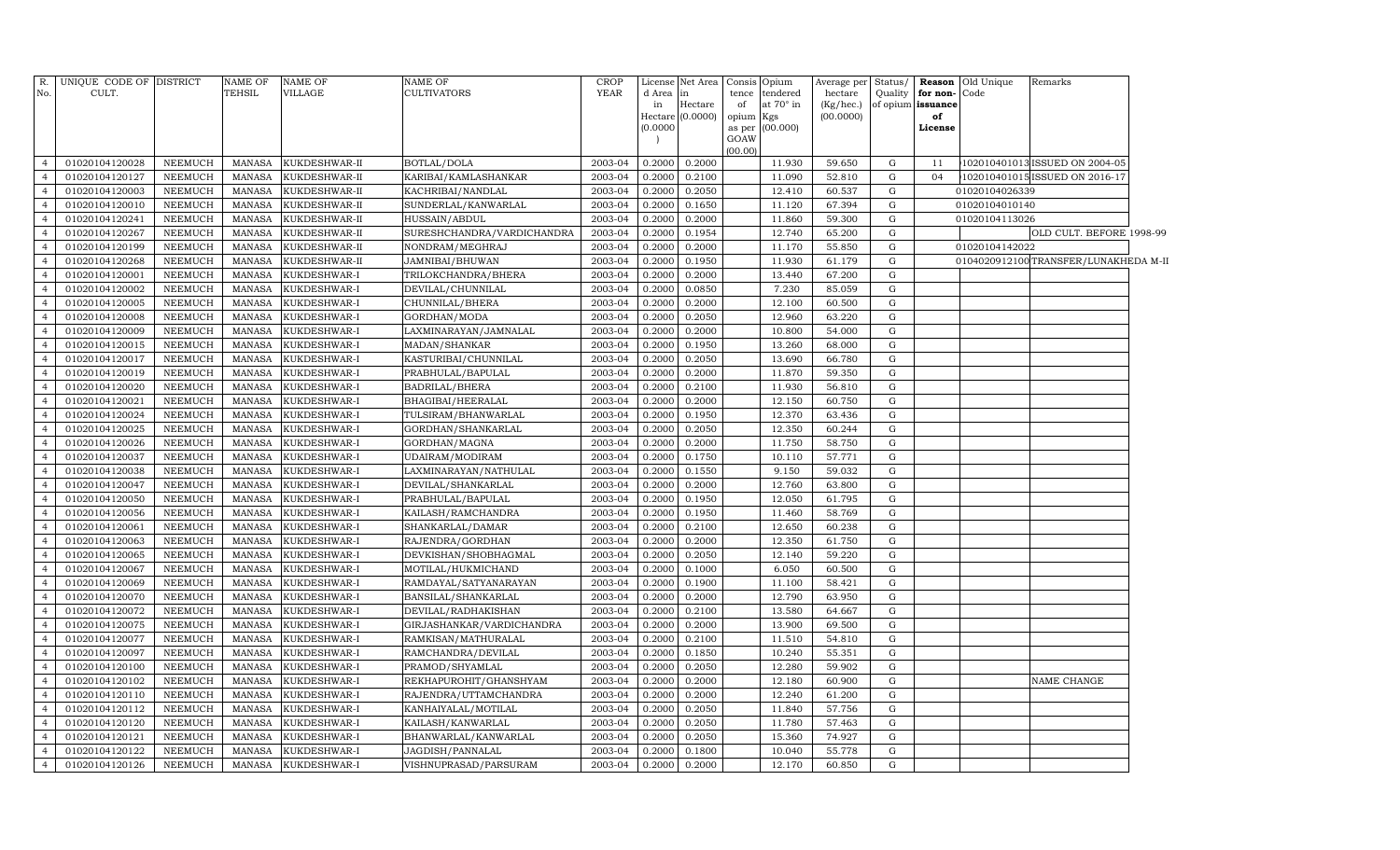| R.<br>No.      | UNIQUE CODE OF DISTRICT<br>CULT. |                | <b>NAME OF</b><br>TEHSIL | <b>NAME OF</b><br>VILLAGE | <b>NAME OF</b><br>CULTIVATORS | <b>CROP</b><br><b>YEAR</b> | d Area<br>in<br>Hectare<br>(0.0000) | License Net Area<br>in<br>Hectare<br>(0.0000) | of<br>opium Kgs<br>GOAW<br>(00.00) | Consis Opium<br>tence tendered<br>at 70° in<br>as per (00.000) | Average per<br>hectare<br>(Kg/hec.)<br>(00.0000) | Status/   | Reason<br>Quality for non-<br>of opium issuance<br>of<br>License | Old Unique<br>Code | Remarks                              |  |
|----------------|----------------------------------|----------------|--------------------------|---------------------------|-------------------------------|----------------------------|-------------------------------------|-----------------------------------------------|------------------------------------|----------------------------------------------------------------|--------------------------------------------------|-----------|------------------------------------------------------------------|--------------------|--------------------------------------|--|
| $\overline{4}$ | 01020104120028                   | NEEMUCH        | MANASA                   | KUKDESHWAR-II             | BOTLAL/DOLA                   | 2003-04                    | 0.2000                              | 0.2000                                        |                                    | 11.930                                                         | 59.650                                           | G         | 11                                                               |                    | 102010401013 ISSUED ON 2004-05       |  |
| $\overline{4}$ | 01020104120127                   | NEEMUCH        | MANASA                   | KUKDESHWAR-II             | KARIBAI/KAMLASHANKAR          | 2003-04                    | 0.2000                              | 0.2100                                        |                                    | 11.090                                                         | 52.810                                           | G         | 04                                                               |                    | 102010401015 ISSUED ON 2016-17       |  |
| $\overline{4}$ | 01020104120003                   | NEEMUCH        | MANASA                   | KUKDESHWAR-II             | KACHRIBAI/NANDLAL             | 2003-04                    | 0.2000                              | 0.2050                                        |                                    | 12.410                                                         | 60.537                                           | G         |                                                                  | 01020104026339     |                                      |  |
| $\overline{4}$ | 01020104120010                   | NEEMUCH        | MANASA                   | KUKDESHWAR-II             | SUNDERLAL/KANWARLAL           | 2003-04                    | 0.2000                              | 0.1650                                        |                                    | 11.120                                                         | 67.394                                           | ${\rm G}$ |                                                                  | 01020104010140     |                                      |  |
| $\overline{4}$ | 01020104120241                   | <b>NEEMUCH</b> | MANASA                   | KUKDESHWAR-II             | HUSSAIN/ABDUL                 | 2003-04                    | 0.2000                              | 0.2000                                        |                                    | 11.860                                                         | 59.300                                           | ${\rm G}$ |                                                                  | 01020104113026     |                                      |  |
| $\overline{4}$ | 01020104120267                   | NEEMUCH        | MANASA                   | KUKDESHWAR-II             | SURESHCHANDRA/VARDICHANDRA    | 2003-04                    | 0.2000                              | 0.1954                                        |                                    | 12.740                                                         | 65.200                                           | G         |                                                                  |                    | OLD CULT. BEFORE 1998-99             |  |
| $\overline{4}$ | 01020104120199                   | NEEMUCH        | MANASA                   | KUKDESHWAR-II             | NONDRAM/MEGHRAJ               | 2003-04                    | 0.2000                              | 0.2000                                        |                                    | 11.170                                                         | 55.850                                           | G         |                                                                  | 01020104142022     |                                      |  |
| $\overline{4}$ | 01020104120268                   | NEEMUCH        | MANASA                   | KUKDESHWAR-II             | JAMNIBAI/BHUWAN               | 2003-04                    | 0.2000                              | 0.1950                                        |                                    | 11.930                                                         | 61.179                                           | G         |                                                                  |                    | 0104020912100TRANSFER/LUNAKHEDA M-II |  |
| $\overline{4}$ | 01020104120001                   | NEEMUCH        | MANASA                   | KUKDESHWAR-I              | TRILOKCHANDRA/BHERA           | 2003-04                    | 0.2000                              | 0.2000                                        |                                    | 13.440                                                         | 67.200                                           | ${\rm G}$ |                                                                  |                    |                                      |  |
| $\overline{4}$ | 01020104120002                   | NEEMUCH        | MANASA                   | KUKDESHWAR-I              | DEVILAL/CHUNNILAL             | 2003-04                    | 0.2000                              | 0.0850                                        |                                    | 7.230                                                          | 85.059                                           | G         |                                                                  |                    |                                      |  |
| $\overline{4}$ | 01020104120005                   | NEEMUCH        | <b>MANASA</b>            | KUKDESHWAR-I              | CHUNNILAL/BHERA               | 2003-04                    | 0.2000                              | 0.2000                                        |                                    | 12.100                                                         | 60.500                                           | G         |                                                                  |                    |                                      |  |
| $\overline{4}$ | 01020104120008                   | NEEMUCH        | <b>MANASA</b>            | KUKDESHWAR-I              | GORDHAN/MODA                  | 2003-04                    | 0.2000                              | 0.2050                                        |                                    | 12.960                                                         | 63.220                                           | ${\rm G}$ |                                                                  |                    |                                      |  |
| $\overline{4}$ | 01020104120009                   | <b>NEEMUCH</b> | <b>MANASA</b>            | KUKDESHWAR-I              | LAXMINARAYAN/JAMNALAL         | 2003-04                    | 0.2000                              | 0.2000                                        |                                    | 10.800                                                         | 54.000                                           | G         |                                                                  |                    |                                      |  |
| $\overline{4}$ | 01020104120015                   | NEEMUCH        | MANASA                   | KUKDESHWAR-I              | MADAN/SHANKAR                 | 2003-04                    | 0.2000                              | 0.1950                                        |                                    | 13.260                                                         | 68.000                                           | ${\rm G}$ |                                                                  |                    |                                      |  |
| $\overline{4}$ | 01020104120017                   | NEEMUCH        | <b>MANASA</b>            | KUKDESHWAR-I              | KASTURIBAI/CHUNNILAL          | 2003-04                    | 0.2000                              | 0.2050                                        |                                    | 13.690                                                         | 66.780                                           | ${\rm G}$ |                                                                  |                    |                                      |  |
| $\overline{4}$ | 01020104120019                   | NEEMUCH        | MANASA                   | KUKDESHWAR-I              | PRABHULAL/BAPULAL             | 2003-04                    | 0.2000                              | 0.2000                                        |                                    | 11.870                                                         | 59.350                                           | G         |                                                                  |                    |                                      |  |
| $\overline{4}$ | 01020104120020                   | NEEMUCH        | MANASA                   | KUKDESHWAR-I              | <b>BADRILAL/BHERA</b>         | 2003-04                    | 0.2000                              | 0.2100                                        |                                    | 11.930                                                         | 56.810                                           | G         |                                                                  |                    |                                      |  |
| $\overline{4}$ | 01020104120021                   | NEEMUCH        | <b>MANASA</b>            | KUKDESHWAR-I              | BHAGIBAI/HEERALAL             | 2003-04                    | 0.2000                              | 0.2000                                        |                                    | 12.150                                                         | 60.750                                           | G         |                                                                  |                    |                                      |  |
| $\overline{4}$ | 01020104120024                   | NEEMUCH        | <b>MANASA</b>            | KUKDESHWAR-I              | TULSIRAM/BHANWARLAL           | 2003-04                    | 0.2000                              | 0.1950                                        |                                    | 12.370                                                         | 63.436                                           | ${\rm G}$ |                                                                  |                    |                                      |  |
| $\overline{4}$ | 01020104120025                   | NEEMUCH        | <b>MANASA</b>            | KUKDESHWAR-I              | GORDHAN/SHANKARLAL            | 2003-04                    | 0.2000                              | 0.2050                                        |                                    | 12.350                                                         | 60.244                                           | G         |                                                                  |                    |                                      |  |
| $\overline{4}$ | 01020104120026                   | <b>NEEMUCH</b> | MANASA                   | KUKDESHWAR-I              | GORDHAN/MAGNA                 | 2003-04                    | 0.2000                              | 0.2000                                        |                                    | 11.750                                                         | 58.750                                           | G         |                                                                  |                    |                                      |  |
| $\overline{4}$ | 01020104120037                   | NEEMUCH        | MANASA                   | KUKDESHWAR-I              | UDAIRAM/MODIRAM               | 2003-04                    | 0.2000                              | 0.1750                                        |                                    | 10.110                                                         | 57.771                                           | ${\rm G}$ |                                                                  |                    |                                      |  |
| $\overline{4}$ | 01020104120038                   | <b>NEEMUCH</b> | <b>MANASA</b>            | KUKDESHWAR-I              | LAXMINARAYAN/NATHULAL         | 2003-04                    | 0.2000                              | 0.1550                                        |                                    | 9.150                                                          | 59.032                                           | G         |                                                                  |                    |                                      |  |
| $\overline{4}$ | 01020104120047                   | NEEMUCH        | MANASA                   | KUKDESHWAR-I              | DEVILAL/SHANKARLAL            | 2003-04                    | 0.2000                              | 0.2000                                        |                                    | 12.760                                                         | 63.800                                           | ${\rm G}$ |                                                                  |                    |                                      |  |
| $\overline{4}$ | 01020104120050                   | NEEMUCH        | <b>MANASA</b>            | KUKDESHWAR-I              | PRABHULAL/BAPULAL             | 2003-04                    | 0.2000                              | 0.1950                                        |                                    | 12.050                                                         | 61.795                                           | G         |                                                                  |                    |                                      |  |
| $\overline{4}$ | 01020104120056                   | NEEMUCH        | MANASA                   | KUKDESHWAR-I              | KAILASH/RAMCHANDRA            | 2003-04                    | 0.2000                              | 0.1950                                        |                                    | 11.460                                                         | 58.769                                           | G         |                                                                  |                    |                                      |  |
| $\overline{4}$ | 01020104120061                   | NEEMUCH        | <b>MANASA</b>            | KUKDESHWAR-I              | SHANKARLAL/DAMAR              | 2003-04                    | 0.2000                              | 0.2100                                        |                                    | 12.650                                                         | 60.238                                           | G         |                                                                  |                    |                                      |  |
| $\overline{4}$ | 01020104120063                   | <b>NEEMUCH</b> | MANASA                   | KUKDESHWAR-I              | RAJENDRA/GORDHAN              | 2003-04                    | 0.2000                              | 0.2000                                        |                                    | 12.350                                                         | 61.750                                           | ${\rm G}$ |                                                                  |                    |                                      |  |
| $\overline{4}$ | 01020104120065                   | NEEMUCH        | <b>MANASA</b>            | KUKDESHWAR-I              | DEVKISHAN/SHOBHAGMAL          | 2003-04                    | 0.2000                              | 0.2050                                        |                                    | 12.140                                                         | 59.220                                           | ${\rm G}$ |                                                                  |                    |                                      |  |
| $\overline{4}$ | 01020104120067                   | NEEMUCH        | MANASA                   | KUKDESHWAR-I              | MOTILAL/HUKMICHAND            | 2003-04                    | 0.2000                              | 0.1000                                        |                                    | 6.050                                                          | 60.500                                           | G         |                                                                  |                    |                                      |  |
| $\overline{4}$ | 01020104120069                   | <b>NEEMUCH</b> | <b>MANASA</b>            | KUKDESHWAR-I              | RAMDAYAL/SATYANARAYAN         | 2003-04                    | 0.2000                              | 0.1900                                        |                                    | 11.100                                                         | 58.421                                           | G         |                                                                  |                    |                                      |  |
| $\overline{4}$ | 01020104120070                   | <b>NEEMUCH</b> | <b>MANASA</b>            | KUKDESHWAR-I              | BANSILAL/SHANKARLAL           | 2003-04                    | 0.2000                              | 0.2000                                        |                                    | 12.790                                                         | 63.950                                           | ${\rm G}$ |                                                                  |                    |                                      |  |
| $\overline{4}$ | 01020104120072                   | <b>NEEMUCH</b> | <b>MANASA</b>            | KUKDESHWAR-I              | DEVILAL/RADHAKISHAN           | 2003-04                    | 0.2000                              | 0.2100                                        |                                    | 13.580                                                         | 64.667                                           | ${\rm G}$ |                                                                  |                    |                                      |  |
| $\overline{4}$ | 01020104120075                   | NEEMUCH        | MANASA                   | KUKDESHWAR-I              | GIRJASHANKAR/VARDICHANDRA     | 2003-04                    | 0.2000                              | 0.2000                                        |                                    | 13.900                                                         | 69.500                                           | ${\rm G}$ |                                                                  |                    |                                      |  |
| $\overline{4}$ | 01020104120077                   | NEEMUCH        | <b>MANASA</b>            | KUKDESHWAR-I              | RAMKISAN/MATHURALAL           | 2003-04                    | 0.2000                              | 0.2100                                        |                                    | 11.510                                                         | 54.810                                           | ${\rm G}$ |                                                                  |                    |                                      |  |
| $\overline{4}$ | 01020104120097                   | NEEMUCH        | <b>MANASA</b>            | KUKDESHWAR-I              | RAMCHANDRA/DEVILAL            | 2003-04                    | 0.2000                              | 0.1850                                        |                                    | 10.240                                                         | 55.351                                           | G         |                                                                  |                    |                                      |  |
| $\overline{4}$ | 01020104120100                   | NEEMUCH        | MANASA                   | KUKDESHWAR-I              | PRAMOD/SHYAMLAL               | 2003-04                    | 0.2000                              | 0.2050                                        |                                    | 12.280                                                         | 59.902                                           | G         |                                                                  |                    |                                      |  |
| $\overline{4}$ | 01020104120102                   | NEEMUCH        | <b>MANASA</b>            | KUKDESHWAR-I              | REKHAPUROHIT/GHANSHYAM        | 2003-04                    | 0.2000                              | 0.2000                                        |                                    | 12.180                                                         | 60.900                                           | ${\rm G}$ |                                                                  |                    | NAME CHANGE                          |  |
| $\overline{4}$ | 01020104120110                   | <b>NEEMUCH</b> | <b>MANASA</b>            | KUKDESHWAR-I              | RAJENDRA/UTTAMCHANDRA         | 2003-04                    | 0.2000                              | 0.2000                                        |                                    | 12.240                                                         | 61.200                                           | G         |                                                                  |                    |                                      |  |
| $\overline{4}$ | 01020104120112                   | <b>NEEMUCH</b> | <b>MANASA</b>            | KUKDESHWAR-I              | KANHAIYALAL/MOTILAL           | 2003-04                    | 0.2000                              | 0.2050                                        |                                    | 11.840                                                         | 57.756                                           | G         |                                                                  |                    |                                      |  |
| $\overline{4}$ | 01020104120120                   | <b>NEEMUCH</b> | <b>MANASA</b>            | KUKDESHWAR-I              | KAILASH/KANWARLAL             | 2003-04                    | 0.2000                              | 0.2050                                        |                                    | 11.780                                                         | 57.463                                           | G         |                                                                  |                    |                                      |  |
| $\overline{4}$ | 01020104120121                   | NEEMUCH        | MANASA                   | KUKDESHWAR-I              | BHANWARLAL/KANWARLAL          | 2003-04                    | 0.2000                              | 0.2050                                        |                                    | 15.360                                                         | 74.927                                           | G         |                                                                  |                    |                                      |  |
| $\overline{4}$ | 01020104120122                   | NEEMUCH        | MANASA                   | KUKDESHWAR-I              | JAGDISH/PANNALAL              | 2003-04                    | 0.2000                              | 0.1800                                        |                                    | 10.040                                                         | 55.778                                           | G         |                                                                  |                    |                                      |  |
| $\overline{4}$ | 01020104120126                   | NEEMUCH        | MANASA                   | KUKDESHWAR-I              | VISHNUPRASAD/PARSURAM         | 2003-04                    | 0.2000                              | 0.2000                                        |                                    | 12.170                                                         | 60.850                                           | G         |                                                                  |                    |                                      |  |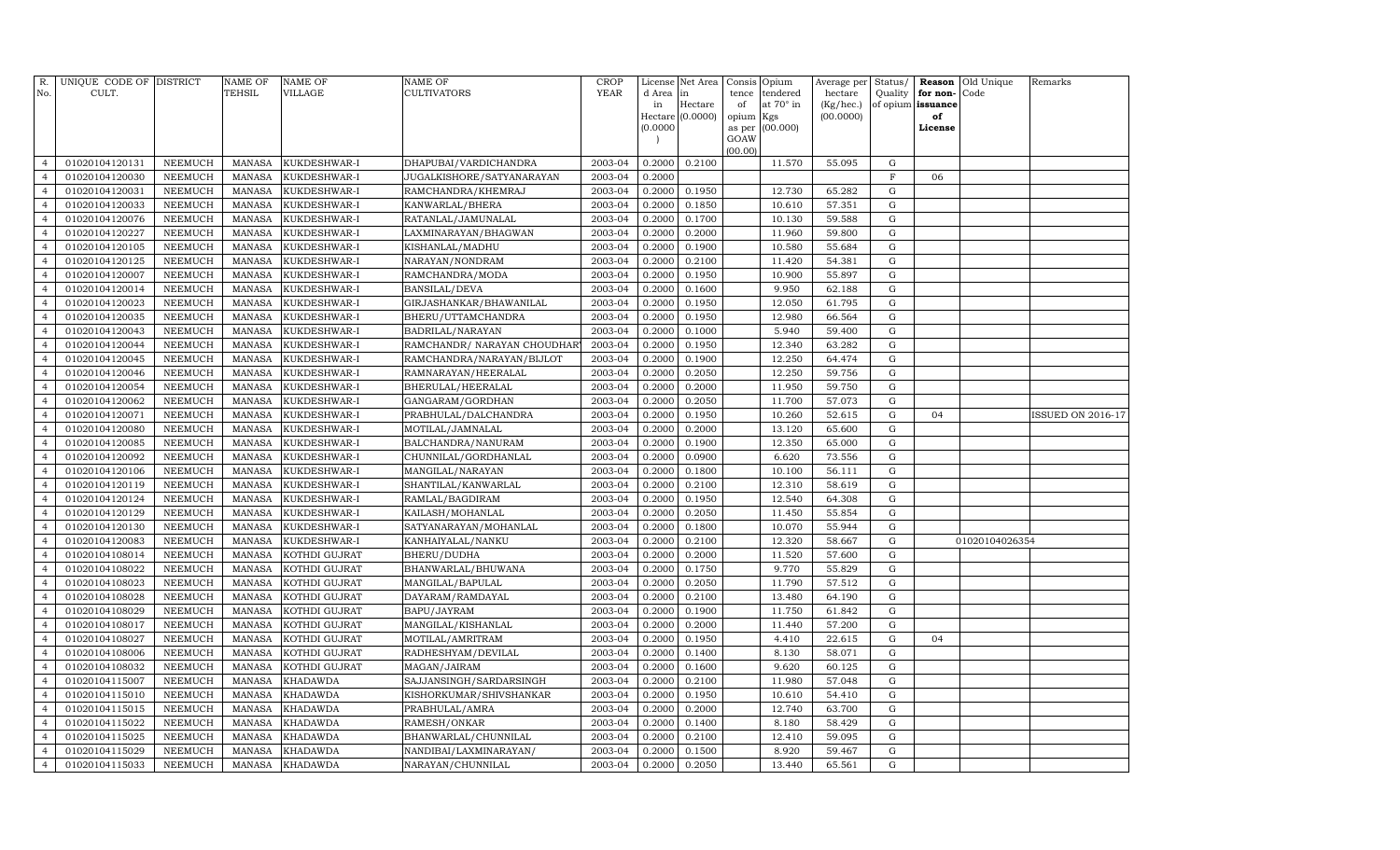| R.<br>No.      | UNIQUE CODE OF DISTRICT<br>CULT. |                | NAME OF<br><b>TEHSIL</b> | <b>NAME OF</b><br>VILLAGE | <b>NAME OF</b><br>CULTIVATORS | <b>CROP</b><br><b>YEAR</b> | License<br>d Area | Net Area<br>in   | Consis<br>tence | Opium<br>tendered | Average per<br>hectare | Status/<br>Quality | Reason<br>for non- | Old Unique<br>Code | Remarks                  |
|----------------|----------------------------------|----------------|--------------------------|---------------------------|-------------------------------|----------------------------|-------------------|------------------|-----------------|-------------------|------------------------|--------------------|--------------------|--------------------|--------------------------|
|                |                                  |                |                          |                           |                               |                            | in                | Hectare          | of              | at 70° in         | (Kg/hec.)              |                    | of opium issuance  |                    |                          |
|                |                                  |                |                          |                           |                               |                            |                   | Hectare (0.0000) | opium           | Kgs               | (00.0000)              |                    | of                 |                    |                          |
|                |                                  |                |                          |                           |                               |                            | (0.0000)          |                  | as per          | (00.000)          |                        |                    | License            |                    |                          |
|                |                                  |                |                          |                           |                               |                            |                   |                  | GOAW<br>(00.00) |                   |                        |                    |                    |                    |                          |
| $\overline{4}$ | 01020104120131                   | NEEMUCH        | <b>MANASA</b>            | KUKDESHWAR-I              | DHAPUBAI/VARDICHANDRA         | 2003-04                    | 0.2000            | 0.2100           |                 | 11.570            | 55.095                 | G                  |                    |                    |                          |
| $\overline{4}$ | 01020104120030                   | NEEMUCH        | <b>MANASA</b>            | KUKDESHWAR-I              | JUGALKISHORE/SATYANARAYAN     | 2003-04                    | 0.2000            |                  |                 |                   |                        | $\mathbf F$        | 06                 |                    |                          |
| $\overline{4}$ | 01020104120031                   | <b>NEEMUCH</b> | MANASA                   | KUKDESHWAR-I              | RAMCHANDRA/KHEMRAJ            | 2003-04                    | 0.2000            | 0.1950           |                 | 12.730            | 65.282                 | G                  |                    |                    |                          |
| $\overline{4}$ | 01020104120033                   | <b>NEEMUCH</b> | MANASA                   | KUKDESHWAR-I              | KANWARLAL/BHERA               | 2003-04                    | 0.2000            | 0.1850           |                 | 10.610            | 57.351                 | G                  |                    |                    |                          |
| $\overline{4}$ | 01020104120076                   | NEEMUCH        | <b>MANASA</b>            | KUKDESHWAR-I              | RATANLAL/JAMUNALAL            | 2003-04                    | 0.2000            | 0.1700           |                 | 10.130            | 59.588                 | G                  |                    |                    |                          |
| $\overline{4}$ | 01020104120227                   | <b>NEEMUCH</b> | MANASA                   | KUKDESHWAR-I              | LAXMINARAYAN/BHAGWAN          | 2003-04                    | 0.2000            | 0.2000           |                 | 11.960            | 59.800                 | G                  |                    |                    |                          |
| $\overline{4}$ | 01020104120105                   | <b>NEEMUCH</b> | <b>MANASA</b>            | KUKDESHWAR-I              | KISHANLAL/MADHU               | 2003-04                    | 0.2000            | 0.1900           |                 | 10.580            | 55.684                 | $\mathbf G$        |                    |                    |                          |
| $\overline{4}$ | 01020104120125                   | NEEMUCH        | MANASA                   | KUKDESHWAR-I              | NARAYAN/NONDRAM               | 2003-04                    | 0.2000            | 0.2100           |                 | 11.420            | 54.381                 | G                  |                    |                    |                          |
| $\overline{4}$ | 01020104120007                   | NEEMUCH        | <b>MANASA</b>            | KUKDESHWAR-I              | RAMCHANDRA/MODA               | 2003-04                    | 0.2000            | 0.1950           |                 | 10.900            | 55.897                 | $\mathbf G$        |                    |                    |                          |
| $\overline{4}$ | 01020104120014                   | <b>NEEMUCH</b> | <b>MANASA</b>            | KUKDESHWAR-I              | BANSILAL/DEVA                 | 2003-04                    | 0.2000            | 0.1600           |                 | 9.950             | 62.188                 | G                  |                    |                    |                          |
| $\overline{4}$ | 01020104120023                   | NEEMUCH        | <b>MANASA</b>            | KUKDESHWAR-I              | GIRJASHANKAR/BHAWANILAL       | 2003-04                    | 0.2000            | 0.1950           |                 | 12.050            | 61.795                 | G                  |                    |                    |                          |
| $\overline{4}$ | 01020104120035                   | NEEMUCH        | <b>MANASA</b>            | KUKDESHWAR-I              | BHERU/UTTAMCHANDRA            | 2003-04                    | 0.2000            | 0.1950           |                 | 12.980            | 66.564                 | G                  |                    |                    |                          |
| $\overline{4}$ | 01020104120043                   | <b>NEEMUCH</b> | <b>MANASA</b>            | KUKDESHWAR-I              | BADRILAL/NARAYAN              | 2003-04                    | 0.2000            | 0.1000           |                 | 5.940             | 59.400                 | G                  |                    |                    |                          |
| $\overline{4}$ | 01020104120044                   | <b>NEEMUCH</b> | <b>MANASA</b>            | KUKDESHWAR-I              | RAMCHANDR/ NARAYAN CHOUDHAR   | 2003-04                    | 0.2000            | 0.1950           |                 | 12.340            | 63.282                 | G                  |                    |                    |                          |
| $\overline{4}$ | 01020104120045                   | NEEMUCH        | <b>MANASA</b>            | KUKDESHWAR-I              | RAMCHANDRA/NARAYAN/BIJLOT     | 2003-04                    | 0.2000            | 0.1900           |                 | 12.250            | 64.474                 | $\mathbf G$        |                    |                    |                          |
| $\overline{4}$ | 01020104120046                   | <b>NEEMUCH</b> | <b>MANASA</b>            | KUKDESHWAR-I              | RAMNARAYAN/HEERALAL           | 2003-04                    | 0.2000            | 0.2050           |                 | 12.250            | 59.756                 | G                  |                    |                    |                          |
| $\overline{4}$ | 01020104120054                   | <b>NEEMUCH</b> | <b>MANASA</b>            | KUKDESHWAR-I              | BHERULAL/HEERALAL             | 2003-04                    | 0.2000            | 0.2000           |                 | 11.950            | 59.750                 | $\mathbf G$        |                    |                    |                          |
| $\overline{4}$ | 01020104120062                   | <b>NEEMUCH</b> | <b>MANASA</b>            | KUKDESHWAR-I              | GANGARAM/GORDHAN              | 2003-04                    | 0.2000            | 0.2050           |                 | 11.700            | 57.073                 | G                  |                    |                    |                          |
| $\overline{4}$ | 01020104120071                   | NEEMUCH        | <b>MANASA</b>            | KUKDESHWAR-I              | PRABHULAL/DALCHANDRA          | 2003-04                    | 0.2000            | 0.1950           |                 | 10.260            | 52.615                 | G                  | 04                 |                    | <b>ISSUED ON 2016-17</b> |
| $\overline{4}$ | 01020104120080                   | <b>NEEMUCH</b> | <b>MANASA</b>            | KUKDESHWAR-I              | MOTILAL/JAMNALAL              | 2003-04                    | 0.2000            | 0.2000           |                 | 13.120            | 65.600                 | G                  |                    |                    |                          |
| $\overline{4}$ | 01020104120085                   | <b>NEEMUCH</b> | <b>MANASA</b>            | KUKDESHWAR-I              | BALCHANDRA/NANURAM            | 2003-04                    | 0.2000            | 0.1900           |                 | 12.350            | 65.000                 | G                  |                    |                    |                          |
| $\overline{4}$ | 01020104120092                   | <b>NEEMUCH</b> | <b>MANASA</b>            | KUKDESHWAR-I              | CHUNNILAL/GORDHANLAL          | 2003-04                    | 0.2000            | 0.0900           |                 | 6.620             | 73.556                 | G                  |                    |                    |                          |
| $\overline{4}$ | 01020104120106                   | <b>NEEMUCH</b> | <b>MANASA</b>            | KUKDESHWAR-I              | MANGILAL/NARAYAN              | 2003-04                    | 0.2000            | 0.1800           |                 | 10.100            | 56.111                 | G                  |                    |                    |                          |
| $\overline{4}$ | 01020104120119                   | <b>NEEMUCH</b> | MANASA                   | KUKDESHWAR-I              | SHANTILAL/KANWARLAL           | 2003-04                    | 0.2000            | 0.2100           |                 | 12.310            | 58.619                 | G                  |                    |                    |                          |
| $\overline{4}$ | 01020104120124                   | NEEMUCH        | <b>MANASA</b>            | KUKDESHWAR-I              | RAMLAL/BAGDIRAM               | 2003-04                    | 0.2000            | 0.1950           |                 | 12.540            | 64.308                 | ${\rm G}$          |                    |                    |                          |
| $\overline{4}$ | 01020104120129                   | <b>NEEMUCH</b> | <b>MANASA</b>            | KUKDESHWAR-I              | KAILASH/MOHANLAL              | 2003-04                    | 0.2000            | 0.2050           |                 | 11.450            | 55.854                 | G                  |                    |                    |                          |
| $\overline{4}$ | 01020104120130                   | NEEMUCH        | <b>MANASA</b>            | KUKDESHWAR-I              | SATYANARAYAN/MOHANLAL         | 2003-04                    | 0.2000            | 0.1800           |                 | 10.070            | 55.944                 | G                  |                    |                    |                          |
| $\overline{4}$ | 01020104120083                   | <b>NEEMUCH</b> | <b>MANASA</b>            | KUKDESHWAR-I              | KANHAIYALAL/NANKU             | 2003-04                    | 0.2000            | 0.2100           |                 | 12.320            | 58.667                 | G                  |                    | 01020104026354     |                          |
| $\overline{4}$ | 01020104108014                   | NEEMUCH        | <b>MANASA</b>            | KOTHDI GUJRAT             | BHERU/DUDHA                   | 2003-04                    | 0.2000            | 0.2000           |                 | 11.520            | 57.600                 | G                  |                    |                    |                          |
| $\overline{4}$ | 01020104108022                   | <b>NEEMUCH</b> | <b>MANASA</b>            | KOTHDI GUJRAT             | BHANWARLAL/BHUWANA            | 2003-04                    | 0.2000            | 0.1750           |                 | 9.770             | 55.829                 | G                  |                    |                    |                          |
| $\overline{4}$ | 01020104108023                   | <b>NEEMUCH</b> | <b>MANASA</b>            | KOTHDI GUJRAT             | MANGILAL/BAPULAL              | 2003-04                    | 0.2000            | 0.2050           |                 | 11.790            | 57.512                 | G                  |                    |                    |                          |
| $\overline{4}$ | 01020104108028                   | <b>NEEMUCH</b> | MANASA                   | KOTHDI GUJRAT             | DAYARAM/RAMDAYAL              | 2003-04                    | 0.2000            | 0.2100           |                 | 13.480            | 64.190                 | $\mathbf G$        |                    |                    |                          |
| $\overline{4}$ | 01020104108029                   | <b>NEEMUCH</b> | <b>MANASA</b>            | KOTHDI GUJRAT             | BAPU/JAYRAM                   | 2003-04                    | 0.2000            | 0.1900           |                 | 11.750            | 61.842                 | G                  |                    |                    |                          |
| $\overline{4}$ | 01020104108017                   | <b>NEEMUCH</b> | <b>MANASA</b>            | KOTHDI GUJRAT             | MANGILAL/KISHANLAL            | 2003-04                    | 0.2000            | 0.2000           |                 | 11.440            | 57.200                 | G                  |                    |                    |                          |
| $\overline{4}$ | 01020104108027                   | <b>NEEMUCH</b> | <b>MANASA</b>            | KOTHDI GUJRAT             | MOTILAL/AMRITRAM              | 2003-04                    | 0.2000            | 0.1950           |                 | 4.410             | 22.615                 | G                  | 04                 |                    |                          |
| $\overline{4}$ | 01020104108006                   | <b>NEEMUCH</b> | <b>MANASA</b>            | KOTHDI GUJRAT             | RADHESHYAM/DEVILAL            | 2003-04                    | 0.2000            | 0.1400           |                 | 8.130             | 58.071                 | G                  |                    |                    |                          |
| $\overline{4}$ | 01020104108032                   | NEEMUCH        | <b>MANASA</b>            | KOTHDI GUJRAT             | MAGAN/JAIRAM                  | 2003-04                    | 0.2000            | 0.1600           |                 | 9.620             | 60.125                 | G                  |                    |                    |                          |
| $\overline{4}$ | 01020104115007                   | <b>NEEMUCH</b> | <b>MANASA</b>            | KHADAWDA                  | SAJJANSINGH/SARDARSINGH       | 2003-04                    | 0.2000            | 0.2100           |                 | 11.980            | 57.048                 | G                  |                    |                    |                          |
| $\overline{4}$ | 01020104115010                   | <b>NEEMUCH</b> | <b>MANASA</b>            | KHADAWDA                  | KISHORKUMAR/SHIVSHANKAR       | 2003-04                    | 0.2000            | 0.1950           |                 | 10.610            | 54.410                 | $\mathbf G$        |                    |                    |                          |
| $\overline{4}$ | 01020104115015                   | <b>NEEMUCH</b> | <b>MANASA</b>            | KHADAWDA                  | PRABHULAL/AMRA                | 2003-04                    | 0.2000            | 0.2000           |                 | 12.740            | 63.700                 | $\mathbf G$        |                    |                    |                          |
| $\overline{4}$ | 01020104115022                   | <b>NEEMUCH</b> | <b>MANASA</b>            | KHADAWDA                  | RAMESH/ONKAR                  | 2003-04                    | 0.2000            | 0.1400           |                 | 8.180             | 58.429                 | G                  |                    |                    |                          |
| $\overline{4}$ | 01020104115025                   | <b>NEEMUCH</b> | <b>MANASA</b>            | KHADAWDA                  | BHANWARLAL/CHUNNILAL          | 2003-04                    | 0.2000            | 0.2100           |                 | 12.410            | 59.095                 | G                  |                    |                    |                          |
| $\overline{4}$ | 01020104115029                   | <b>NEEMUCH</b> | <b>MANASA</b>            | KHADAWDA                  | NANDIBAI/LAXMINARAYAN/        | 2003-04                    | 0.2000            | 0.1500           |                 | 8.920             | 59.467                 | G                  |                    |                    |                          |
| 4              | 01020104115033                   | NEEMUCH        | MANASA                   | <b>KHADAWDA</b>           | NARAYAN/CHUNNILAL             | 2003-04                    | 0.2000            | 0.2050           |                 | 13.440            | 65.561                 | G                  |                    |                    |                          |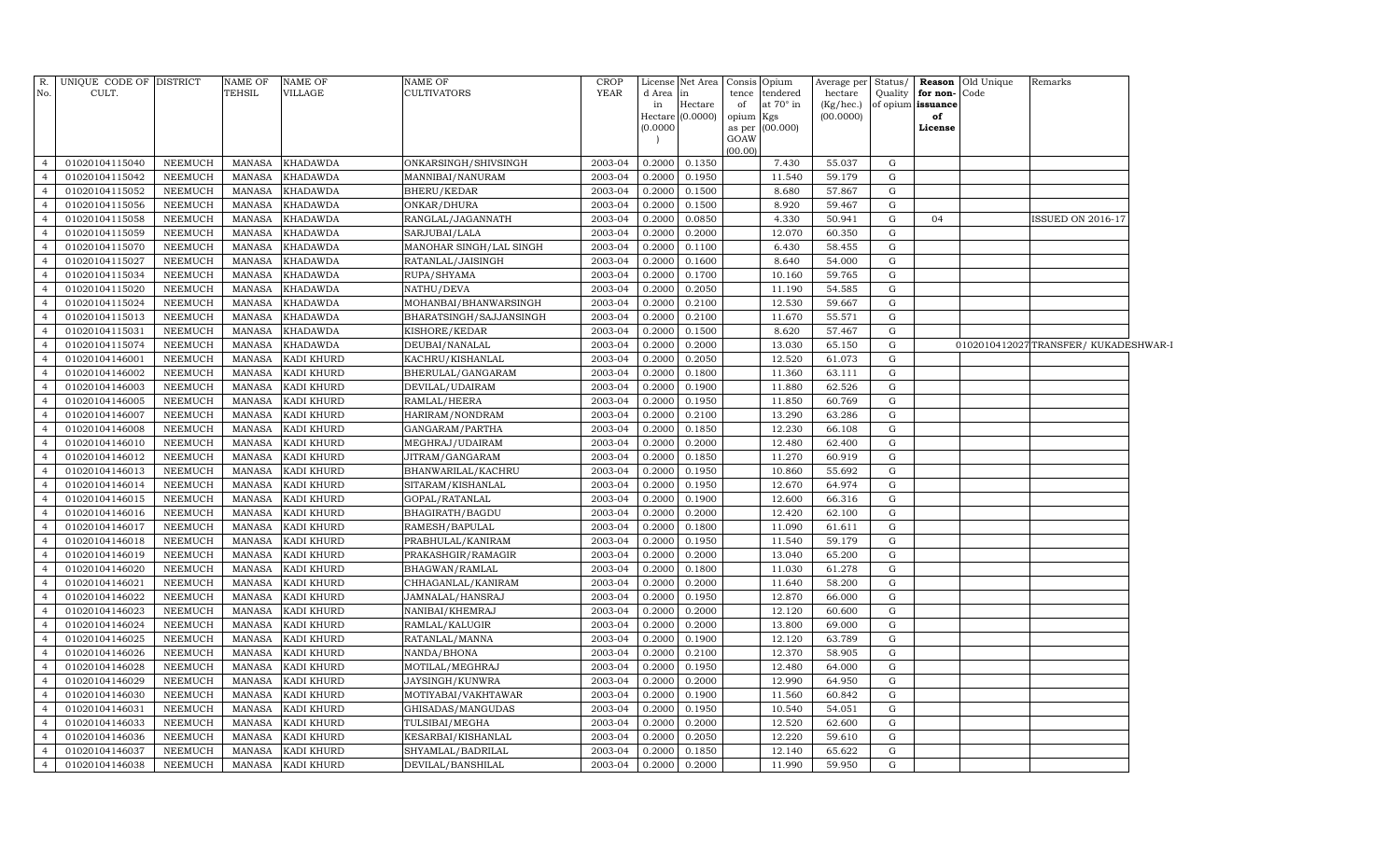| R.<br>No.                        | UNIQUE CODE OF DISTRICT<br>CULT. |                                  | <b>NAME OF</b><br><b>TEHSIL</b> | <b>NAME OF</b><br>VILLAGE | <b>NAME OF</b><br><b>CULTIVATORS</b> | <b>CROP</b><br><b>YEAR</b> | License<br>d Area<br>in<br>(0.0000) | Net Area<br>lin<br>Hectare<br>Hectare (0.0000) | tence<br>of<br>opium Kgs<br>GOAW | Consis Opium<br>tendered<br>at 70° in<br>as per (00.000) | Average per Status/<br>hectare<br>(Kg/hec.)<br>(00.0000) | Quality | for non-Code<br>of opium issuance<br>of<br>License | <b>Reason</b> Old Unique | Remarks                             |  |
|----------------------------------|----------------------------------|----------------------------------|---------------------------------|---------------------------|--------------------------------------|----------------------------|-------------------------------------|------------------------------------------------|----------------------------------|----------------------------------------------------------|----------------------------------------------------------|---------|----------------------------------------------------|--------------------------|-------------------------------------|--|
| 4                                | 01020104115040                   | NEEMUCH                          | <b>MANASA</b>                   | <b>KHADAWDA</b>           | ONKARSINGH/SHIVSINGH                 | 2003-04                    | 0.2000                              | 0.1350                                         | (00.00)                          | 7.430                                                    | 55.037                                                   | G       |                                                    |                          |                                     |  |
| $\overline{4}$                   | 01020104115042                   | NEEMUCH                          | <b>MANASA</b>                   | <b>KHADAWDA</b>           | MANNIBAI/NANURAM                     | 2003-04                    | 0.2000                              | 0.1950                                         |                                  | 11.540                                                   | 59.179                                                   | G       |                                                    |                          |                                     |  |
| $\overline{4}$                   | 01020104115052                   | NEEMUCH                          | <b>MANASA</b>                   | <b>KHADAWDA</b>           | <b>BHERU/KEDAR</b>                   | 2003-04                    | 0.2000                              | 0.1500                                         |                                  | 8.680                                                    | 57.867                                                   | G       |                                                    |                          |                                     |  |
| $\overline{4}$                   | 01020104115056                   | NEEMUCH                          | MANASA                          | KHADAWDA                  | ONKAR/DHURA                          | 2003-04                    | 0.2000                              | 0.1500                                         |                                  | 8.920                                                    | 59.467                                                   | G       |                                                    |                          |                                     |  |
| $\overline{4}$                   | 01020104115058                   | NEEMUCH                          | MANASA                          | <b>KHADAWDA</b>           | RANGLAL/JAGANNATH                    | 2003-04                    | 0.2000                              | 0.0850                                         |                                  | 4.330                                                    | 50.941                                                   | G       | 04                                                 |                          | <b>ISSUED ON 2016-17</b>            |  |
| $\overline{4}$                   | 01020104115059                   | <b>NEEMUCH</b>                   | <b>MANASA</b>                   | <b>KHADAWDA</b>           | SARJUBAI/LALA                        | 2003-04                    | 0.2000                              | 0.2000                                         |                                  | 12.070                                                   | 60.350                                                   | G       |                                                    |                          |                                     |  |
| $\overline{4}$                   | 01020104115070                   | <b>NEEMUCH</b>                   | <b>MANASA</b>                   | <b>KHADAWDA</b>           | MANOHAR SINGH/LAL SINGH              | 2003-04                    | 0.2000                              | 0.1100                                         |                                  | 6.430                                                    | 58.455                                                   | G       |                                                    |                          |                                     |  |
| $\overline{4}$                   | 01020104115027                   | NEEMUCH                          | <b>MANASA</b>                   | <b>KHADAWDA</b>           | RATANLAL/JAISINGH                    | 2003-04                    | 0.2000                              | 0.1600                                         |                                  | 8.640                                                    | 54.000                                                   | G       |                                                    |                          |                                     |  |
| $\overline{4}$                   | 01020104115034                   | NEEMUCH                          | <b>MANASA</b>                   | <b>KHADAWDA</b>           | RUPA/SHYAMA                          | 2003-04                    | 0.2000                              | 0.1700                                         |                                  | 10.160                                                   | 59.765                                                   | G       |                                                    |                          |                                     |  |
| $\overline{4}$                   | 01020104115020                   | NEEMUCH                          | <b>MANASA</b>                   | KHADAWDA                  | NATHU/DEVA                           | 2003-04                    | 0.2000                              | 0.2050                                         |                                  | 11.190                                                   | 54.585                                                   | G       |                                                    |                          |                                     |  |
| $\overline{4}$                   | 01020104115024                   | NEEMUCH                          | <b>MANASA</b>                   | KHADAWDA                  | MOHANBAI/BHANWARSINGH                | 2003-04                    | 0.2000                              | 0.2100                                         |                                  | 12.530                                                   | 59.667                                                   | G       |                                                    |                          |                                     |  |
| $\overline{4}$                   | 01020104115013                   | NEEMUCH                          | <b>MANASA</b>                   | KHADAWDA                  | BHARATSINGH/SAJJANSINGH              | 2003-04                    | 0.2000                              | 0.2100                                         |                                  | 11.670                                                   | 55.571                                                   | G       |                                                    |                          |                                     |  |
| $\overline{4}$                   | 01020104115031                   | NEEMUCH                          | <b>MANASA</b>                   | KHADAWDA                  | KISHORE/KEDAR                        | 2003-04                    | 0.2000                              | 0.1500                                         |                                  | 8.620                                                    | 57.467                                                   | G       |                                                    |                          |                                     |  |
| $\overline{4}$                   | 01020104115074                   | <b>NEEMUCH</b>                   | MANASA                          | <b>KHADAWDA</b>           | DEUBAI/NANALAL                       | 2003-04                    | 0.2000                              | 0.2000                                         |                                  | 13.030                                                   | 65.150                                                   | G       |                                                    |                          | 0102010412027TRANSFER/KUKADESHWAR-I |  |
| $\overline{4}$                   | 01020104146001                   | <b>NEEMUCH</b>                   | <b>MANASA</b>                   | KADI KHURD                | KACHRU/KISHANLAL                     | 2003-04                    | 0.2000                              | 0.2050                                         |                                  | 12.520                                                   | 61.073                                                   | G       |                                                    |                          |                                     |  |
| $\overline{4}$                   | 01020104146002                   | <b>NEEMUCH</b>                   | <b>MANASA</b>                   | KADI KHURD                | BHERULAL/GANGARAM                    | 2003-04                    | 0.2000                              | 0.1800                                         |                                  | 11.360                                                   | 63.111                                                   | G       |                                                    |                          |                                     |  |
| $\overline{4}$                   | 01020104146003                   | NEEMUCH                          | <b>MANASA</b>                   | KADI KHURD                | DEVILAL/UDAIRAM                      | 2003-04                    | 0.2000                              | 0.1900                                         |                                  | 11.880                                                   | 62.526                                                   | G       |                                                    |                          |                                     |  |
| $\overline{4}$                   | 01020104146005                   | NEEMUCH                          | <b>MANASA</b>                   | KADI KHURD                | RAMLAL/HEERA                         | 2003-04                    | 0.2000                              | 0.1950                                         |                                  | 11.850                                                   | 60.769                                                   | G       |                                                    |                          |                                     |  |
| $\overline{4}$                   | 01020104146007                   | NEEMUCH                          | <b>MANASA</b>                   | KADI KHURD                | HARIRAM/NONDRAM                      | 2003-04                    | 0.2000                              | 0.2100                                         |                                  | 13.290                                                   | 63.286                                                   | G       |                                                    |                          |                                     |  |
| $\overline{4}$                   | 01020104146008                   | NEEMUCH                          | <b>MANASA</b>                   | KADI KHURD                | GANGARAM/PARTHA                      | 2003-04                    | 0.2000                              | 0.1850                                         |                                  | 12.230                                                   | 66.108                                                   | G       |                                                    |                          |                                     |  |
| $\overline{4}$                   | 01020104146010                   | NEEMUCH                          | MANASA                          | KADI KHURD                | MEGHRAJ/UDAIRAM                      | 2003-04                    | 0.2000                              | 0.2000                                         |                                  | 12.480                                                   | 62.400                                                   | G       |                                                    |                          |                                     |  |
| $\overline{4}$                   | 01020104146012                   | NEEMUCH                          | MANASA                          | KADI KHURD                | JITRAM/GANGARAM                      | 2003-04                    | 0.2000                              | 0.1850                                         |                                  | 11.270                                                   | 60.919                                                   | G       |                                                    |                          |                                     |  |
| $\overline{4}$                   | 01020104146013                   | <b>NEEMUCH</b>                   | <b>MANASA</b>                   | KADI KHURD                | BHANWARILAL/KACHRU                   | 2003-04                    | 0.2000                              | 0.1950                                         |                                  | 10.860                                                   | 55.692                                                   | G       |                                                    |                          |                                     |  |
| $\overline{4}$                   | 01020104146014                   | NEEMUCH                          | <b>MANASA</b>                   | KADI KHURD                | SITARAM/KISHANLAL                    | 2003-04                    | 0.2000                              | 0.1950                                         |                                  | 12.670                                                   | 64.974                                                   | G       |                                                    |                          |                                     |  |
| $\overline{4}$                   | 01020104146015                   | <b>NEEMUCH</b>                   | <b>MANASA</b>                   | KADI KHURD                | GOPAL/RATANLAL                       | 2003-04                    | 0.2000                              | 0.1900                                         |                                  | 12.600                                                   | 66.316                                                   | G       |                                                    |                          |                                     |  |
| $\overline{4}$                   | 01020104146016                   | NEEMUCH                          | <b>MANASA</b>                   | KADI KHURD                | BHAGIRATH/BAGDU                      | 2003-04                    | 0.2000                              | 0.2000                                         |                                  | 12.420                                                   | 62.100                                                   | G       |                                                    |                          |                                     |  |
| $\overline{4}$                   | 01020104146017                   | NEEMUCH                          | <b>MANASA</b>                   | KADI KHURD                | RAMESH/BAPULAL                       | 2003-04                    | 0.2000                              | 0.1800                                         |                                  | 11.090                                                   | 61.611                                                   | G       |                                                    |                          |                                     |  |
| $\overline{4}$                   | 01020104146018                   | NEEMUCH                          | <b>MANASA</b>                   | KADI KHURD                | PRABHULAL/KANIRAM                    | 2003-04                    | 0.2000                              | 0.1950                                         |                                  | 11.540                                                   | 59.179                                                   | G       |                                                    |                          |                                     |  |
| $\overline{4}$                   | 01020104146019                   | NEEMUCH                          | <b>MANASA</b>                   | KADI KHURD                | PRAKASHGIR/RAMAGIR                   | 2003-04                    | 0.2000                              | 0.2000                                         |                                  | 13.040                                                   | 65.200                                                   | G       |                                                    |                          |                                     |  |
| $\overline{4}$                   | 01020104146020                   | NEEMUCH                          | MANASA                          | KADI KHURD                | BHAGWAN/RAMLAL                       | 2003-04                    | 0.2000                              | 0.1800                                         |                                  | 11.030                                                   | 61.278                                                   | G       |                                                    |                          |                                     |  |
| $\overline{4}$                   | 01020104146021                   | <b>NEEMUCH</b>                   | <b>MANASA</b>                   | KADI KHURD                | CHHAGANLAL/KANIRAM                   | 2003-04                    | 0.2000                              | 0.2000                                         |                                  | 11.640                                                   | 58.200                                                   | G       |                                                    |                          |                                     |  |
| $\overline{4}$                   | 01020104146022                   | <b>NEEMUCH</b>                   | <b>MANASA</b>                   | KADI KHURD                | JAMNALAL/HANSRAJ                     | 2003-04                    | 0.2000                              | 0.1950                                         |                                  | 12.870                                                   | 66.000                                                   | G       |                                                    |                          |                                     |  |
| $\overline{4}$                   | 01020104146023                   | NEEMUCH                          | <b>MANASA</b>                   | KADI KHURD                | NANIBAI/KHEMRAJ                      | 2003-04                    | 0.2000                              | 0.2000                                         |                                  | 12.120                                                   | 60.600                                                   | G       |                                                    |                          |                                     |  |
| $\overline{4}$                   | 01020104146024                   | <b>NEEMUCH</b>                   | <b>MANASA</b>                   | KADI KHURD                | RAMLAL/KALUGIR                       | 2003-04                    | 0.2000                              | 0.2000                                         |                                  | 13.800                                                   | 69.000                                                   | G       |                                                    |                          |                                     |  |
| $\overline{4}$                   | 01020104146025                   | NEEMUCH                          | <b>MANASA</b>                   | KADI KHURD                | RATANLAL/MANNA                       | 2003-04                    | 0.2000                              | 0.1900                                         |                                  | 12.120                                                   | 63.789                                                   | G       |                                                    |                          |                                     |  |
| $\overline{4}$                   | 01020104146026                   | NEEMUCH                          | <b>MANASA</b>                   | KADI KHURD                | NANDA/BHONA                          | 2003-04                    | 0.2000                              | 0.2100                                         |                                  | 12.370                                                   | 58.905                                                   | G       |                                                    |                          |                                     |  |
| $\overline{4}$                   | 01020104146028                   | NEEMUCH                          | <b>MANASA</b>                   | KADI KHURD                | MOTILAL/MEGHRAJ                      | 2003-04                    | 0.2000                              | 0.1950                                         |                                  | 12.480                                                   | 64.000                                                   | G       |                                                    |                          |                                     |  |
| $\overline{4}$                   | 01020104146029                   | NEEMUCH                          | <b>MANASA</b>                   | KADI KHURD                | JAYSINGH/KUNWRA                      | 2003-04<br>2003-04         | 0.2000                              | 0.2000                                         |                                  | 12.990                                                   | 64.950                                                   | G       |                                                    |                          |                                     |  |
| $\overline{4}$<br>$\overline{4}$ | 01020104146030<br>01020104146031 | <b>NEEMUCH</b><br><b>NEEMUCH</b> | MANASA                          | KADI KHURD                | MOTIYABAI/VAKHTAWAR                  | 2003-04                    | 0.2000<br>0.2000                    | 0.1900<br>0.1950                               |                                  | 11.560<br>10.540                                         | 60.842                                                   | G<br>G  |                                                    |                          |                                     |  |
| $\overline{4}$                   | 01020104146033                   | NEEMUCH                          | <b>MANASA</b><br><b>MANASA</b>  | KADI KHURD<br>KADI KHURD  | GHISADAS/MANGUDAS<br>TULSIBAI/MEGHA  | 2003-04                    | 0.2000                              | 0.2000                                         |                                  | 12.520                                                   | 54.051<br>62.600                                         | G       |                                                    |                          |                                     |  |
| $\overline{4}$                   | 01020104146036                   | NEEMUCH                          | <b>MANASA</b>                   | KADI KHURD                | KESARBAI/KISHANLAL                   | 2003-04                    | 0.2000                              | 0.2050                                         |                                  | 12.220                                                   | 59.610                                                   | G       |                                                    |                          |                                     |  |
| $\overline{4}$                   | 01020104146037                   | NEEMUCH                          | <b>MANASA</b>                   | KADI KHURD                | SHYAMLAL/BADRILAL                    | 2003-04                    | 0.2000                              | 0.1850                                         |                                  | 12.140                                                   | 65.622                                                   | G       |                                                    |                          |                                     |  |
| $\overline{4}$                   | 01020104146038                   | NEEMUCH                          |                                 | MANASA KADI KHURD         | DEVILAL/BANSHILAL                    | 2003-04                    | 0.2000                              | 0.2000                                         |                                  | 11.990                                                   | 59.950                                                   | G       |                                                    |                          |                                     |  |
|                                  |                                  |                                  |                                 |                           |                                      |                            |                                     |                                                |                                  |                                                          |                                                          |         |                                                    |                          |                                     |  |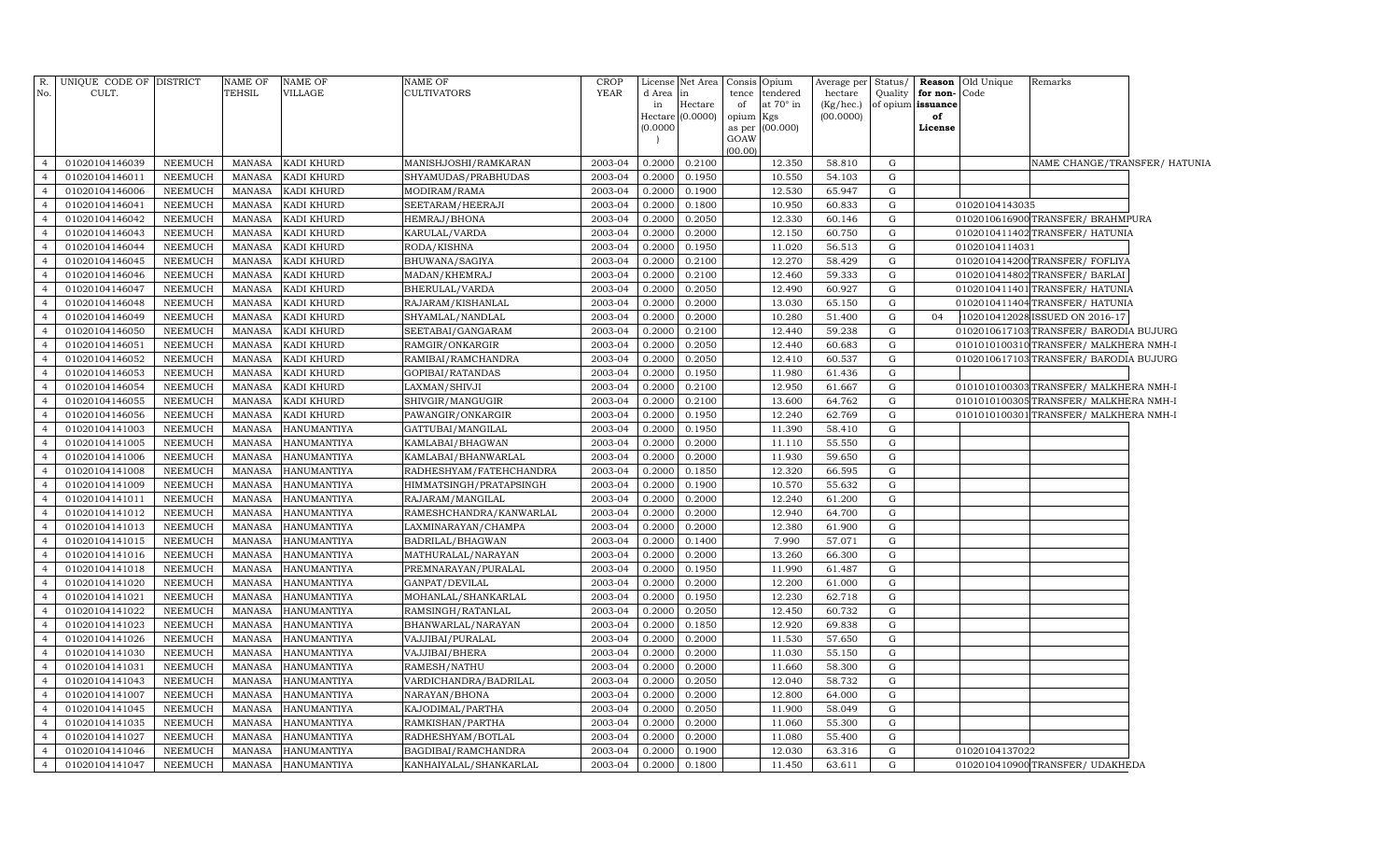| R.<br>No.      | UNIQUE CODE OF DISTRICT<br>CULT. |                 | NAME OF<br>TEHSIL | NAME OF<br>VILLAGE | NAME OF<br>CULTIVATORS  | <b>CROP</b><br><b>YEAR</b> | License<br>d Area   | Net Area<br>in | Consis<br>tence | Opium<br>tendered | Average per<br>hectare | Status/<br>Quality | for non-Code      | <b>Reason</b> Old Unique | Remarks                                |  |
|----------------|----------------------------------|-----------------|-------------------|--------------------|-------------------------|----------------------------|---------------------|----------------|-----------------|-------------------|------------------------|--------------------|-------------------|--------------------------|----------------------------------------|--|
|                |                                  |                 |                   |                    |                         |                            | in                  | Hectare        | of              | at 70° in         | (Kg/hec.)              |                    | of opium issuance |                          |                                        |  |
|                |                                  |                 |                   |                    |                         |                            | Hectare<br>(0.0000) | (0.0000)       | opium           | Kgs<br>(00.000)   | (00.0000)              |                    | of<br>License     |                          |                                        |  |
|                |                                  |                 |                   |                    |                         |                            |                     |                | as per<br>GOAW  |                   |                        |                    |                   |                          |                                        |  |
|                |                                  |                 |                   |                    |                         |                            |                     |                | (00.00)         |                   |                        |                    |                   |                          |                                        |  |
| $\overline{4}$ | 01020104146039                   | NEEMUCH         | <b>MANASA</b>     | KADI KHURD         | MANISHJOSHI/RAMKARAN    | 2003-04                    | 0.2000              | 0.2100         |                 | 12.350            | 58.810                 | G                  |                   |                          | NAME CHANGE/TRANSFER/ HATUNIA          |  |
| $\overline{4}$ | 01020104146011                   | NEEMUCH         | <b>MANASA</b>     | KADI KHURD         | SHYAMUDAS/PRABHUDAS     | 2003-04                    | 0.2000              | 0.1950         |                 | 10.550            | 54.103                 | G                  |                   |                          |                                        |  |
| $\overline{4}$ | 01020104146006                   | NEEMUCH         | <b>MANASA</b>     | KADI KHURD         | MODIRAM/RAMA            | 2003-04                    | 0.2000              | 0.1900         |                 | 12.530            | 65.947                 | ${\rm G}$          |                   |                          |                                        |  |
| $\overline{4}$ | 01020104146041                   | NEEMUCH         | <b>MANASA</b>     | KADI KHURD         | SEETARAM/HEERAJI        | 2003-04                    | 0.2000              | 0.1800         |                 | 10.950            | 60.833                 | G                  |                   | 01020104143035           |                                        |  |
| $\overline{4}$ | 01020104146042                   | NEEMUCH         | <b>MANASA</b>     | KADI KHURD         | HEMRAJ/BHONA            | 2003-04                    | 0.2000              | 0.2050         |                 | 12.330            | 60.146                 | ${\rm G}$          |                   |                          | 0102010616900TRANSFER/BRAHMPURA        |  |
| $\overline{4}$ | 01020104146043                   | NEEMUCH         | <b>MANASA</b>     | KADI KHURD         | KARULAL/VARDA           | 2003-04                    | 0.2000              | 0.2000         |                 | 12.150            | 60.750                 | G                  |                   |                          | 0102010411402 TRANSFER/ HATUNIA        |  |
| $\overline{4}$ | 01020104146044                   | NEEMUCH         | <b>MANASA</b>     | KADI KHURD         | RODA/KISHNA             | 2003-04                    | 0.2000              | 0.1950         |                 | 11.020            | 56.513                 | G                  |                   | 01020104114031           |                                        |  |
| $\overline{4}$ | 01020104146045                   | <b>NEEMUCH</b>  | <b>MANASA</b>     | KADI KHURD         | BHUWANA/SAGIYA          | 2003-04                    | 0.2000              | 0.2100         |                 | 12.270            | 58.429                 | G                  |                   |                          | 0102010414200 TRANSFER/ FOFLIYA        |  |
| $\overline{4}$ | 01020104146046                   | <b>NEEMUCH</b>  | <b>MANASA</b>     | KADI KHURD         | MADAN/KHEMRAJ           | 2003-04                    | 0.2000              | 0.2100         |                 | 12.460            | 59.333                 | G                  |                   |                          | 0102010414802 TRANSFER/ BARLAI         |  |
| $\overline{4}$ | 01020104146047                   | <b>NEEMUCH</b>  | <b>MANASA</b>     | KADI KHURD         | BHERULAL/VARDA          | 2003-04                    | 0.2000              | 0.2050         |                 | 12.490            | 60.927                 | ${\rm G}$          |                   |                          | 0102010411401 TRANSFER/ HATUNIA        |  |
| $\overline{4}$ | 01020104146048                   | ${\tt NEEMUCH}$ | <b>MANASA</b>     | KADI KHURD         | RAJARAM/KISHANLAL       | 2003-04                    | 0.2000              | 0.2000         |                 | 13.030            | 65.150                 | ${\rm G}$          |                   |                          | 0102010411404 TRANSFER/ HATUNIA        |  |
| $\overline{4}$ | 01020104146049                   | NEEMUCH         | <b>MANASA</b>     | KADI KHURD         | SHYAMLAL/NANDLAL        | 2003-04                    | 0.2000              | 0.2000         |                 | 10.280            | 51.400                 | G                  | 04                |                          | 102010412028 ISSUED ON 2016-17         |  |
| $\overline{4}$ | 01020104146050                   | NEEMUCH         | <b>MANASA</b>     | KADI KHURD         | SEETABAI/GANGARAM       | 2003-04                    | 0.2000              | 0.2100         |                 | 12.440            | 59.238                 | ${\rm G}$          |                   |                          | 0102010617103 TRANSFER/ BARODIA BUJURG |  |
| $\overline{4}$ | 01020104146051                   | NEEMUCH         | <b>MANASA</b>     | KADI KHURD         | RAMGIR/ONKARGIR         | 2003-04                    | 0.2000              | 0.2050         |                 | 12.440            | 60.683                 | G                  |                   |                          | 0101010100310TRANSFER/ MALKHERA NMH-I  |  |
| $\overline{4}$ | 01020104146052                   | NEEMUCH         | MANASA            | KADI KHURD         | RAMIBAI/RAMCHANDRA      | 2003-04                    | 0.2000              | 0.2050         |                 | 12.410            | 60.537                 | G                  |                   |                          | 0102010617103TRANSFER/ BARODIA BUJURG  |  |
| $\overline{4}$ | 01020104146053                   | NEEMUCH         | <b>MANASA</b>     | KADI KHURD         | GOPIBAI/RATANDAS        | 2003-04                    | 0.2000              | 0.1950         |                 | 11.980            | 61.436                 | G                  |                   |                          |                                        |  |
| $\overline{4}$ | 01020104146054                   | NEEMUCH         | <b>MANASA</b>     | KADI KHURD         | LAXMAN/SHIVJI           | 2003-04                    | 0.2000              | 0.2100         |                 | 12.950            | 61.667                 | G                  |                   |                          | 0101010100303 TRANSFER/ MALKHERA NMH-I |  |
| $\overline{4}$ | 01020104146055                   | NEEMUCH         | MANASA            | KADI KHURD         | SHIVGIR/MANGUGIR        | 2003-04                    | 0.2000              | 0.2100         |                 | 13.600            | 64.762                 | ${\rm G}$          |                   |                          | 0101010100305TRANSFER/MALKHERA NMH-I   |  |
| $\overline{4}$ | 01020104146056                   | <b>NEEMUCH</b>  | <b>MANASA</b>     | KADI KHURD         | PAWANGIR/ONKARGIR       | 2003-04                    | 0.2000              | 0.1950         |                 | 12.240            | 62.769                 | G                  |                   |                          | 0101010100301 TRANSFER/ MALKHERA NMH-I |  |
| $\overline{4}$ | 01020104141003                   | ${\tt NEEMUCH}$ | <b>MANASA</b>     | <b>HANUMANTIYA</b> | GATTUBAI/MANGILAL       | 2003-04                    | 0.2000              | 0.1950         |                 | 11.390            | 58.410                 | $\mathbf G$        |                   |                          |                                        |  |
| $\overline{4}$ | 01020104141005                   | NEEMUCH         | <b>MANASA</b>     | HANUMANTIYA        | KAMLABAI/BHAGWAN        | 2003-04                    | 0.2000              | 0.2000         |                 | 11.110            | 55.550                 | G                  |                   |                          |                                        |  |
| $\overline{4}$ | 01020104141006                   | NEEMUCH         | <b>MANASA</b>     | <b>HANUMANTIYA</b> | KAMLABAI/BHANWARLAL     | 2003-04                    | 0.2000              | 0.2000         |                 | 11.930            | 59.650                 | G                  |                   |                          |                                        |  |
| $\overline{4}$ | 01020104141008                   | NEEMUCH         | <b>MANASA</b>     | <b>HANUMANTIYA</b> | RADHESHYAM/FATEHCHANDRA | 2003-04                    | 0.2000              | 0.1850         |                 | 12.320            | 66.595                 | ${\rm G}$          |                   |                          |                                        |  |
| $\overline{4}$ | 01020104141009                   | NEEMUCH         | <b>MANASA</b>     | <b>HANUMANTIYA</b> | HIMMATSINGH/PRATAPSINGH | 2003-04                    | 0.2000              | 0.1900         |                 | 10.570            | 55.632                 | G                  |                   |                          |                                        |  |
| $\overline{4}$ | 01020104141011                   | NEEMUCH         | <b>MANASA</b>     | <b>HANUMANTIYA</b> | RAJARAM/MANGILAL        | 2003-04                    | 0.2000              | 0.2000         |                 | 12.240            | 61.200                 | ${\rm G}$          |                   |                          |                                        |  |
| $\overline{4}$ | 01020104141012                   | NEEMUCH         | <b>MANASA</b>     | <b>HANUMANTIYA</b> | RAMESHCHANDRA/KANWARLAL | 2003-04                    | 0.2000              | 0.2000         |                 | 12.940            | 64.700                 | G                  |                   |                          |                                        |  |
| $\overline{4}$ | 01020104141013                   | NEEMUCH         | <b>MANASA</b>     | HANUMANTIYA        | LAXMINARAYAN/CHAMPA     | 2003-04                    | 0.2000              | 0.2000         |                 | 12.380            | 61.900                 | G                  |                   |                          |                                        |  |
| $\overline{4}$ | 01020104141015                   | <b>NEEMUCH</b>  | <b>MANASA</b>     | HANUMANTIYA        | BADRILAL/BHAGWAN        | 2003-04                    | 0.2000              | 0.1400         |                 | 7.990             | 57.071                 | $\mathbf G$        |                   |                          |                                        |  |
| $\overline{4}$ | 01020104141016                   | <b>NEEMUCH</b>  | <b>MANASA</b>     | <b>HANUMANTIYA</b> | MATHURALAL/NARAYAN      | 2003-04                    | 0.2000              | 0.2000         |                 | 13.260            | 66.300                 | G                  |                   |                          |                                        |  |
| $\overline{4}$ | 01020104141018                   | <b>NEEMUCH</b>  | <b>MANASA</b>     | HANUMANTIYA        | PREMNARAYAN/PURALAL     | 2003-04                    | 0.2000              | 0.1950         |                 | 11.990            | 61.487                 | G                  |                   |                          |                                        |  |
| $\overline{4}$ | 01020104141020                   | NEEMUCH         | <b>MANASA</b>     | <b>HANUMANTIYA</b> | GANPAT/DEVILAL          | 2003-04                    | 0.2000              | 0.2000         |                 | 12.200            | 61.000                 | G                  |                   |                          |                                        |  |
| $\overline{4}$ | 01020104141021                   | NEEMUCH         | <b>MANASA</b>     | <b>HANUMANTIYA</b> | MOHANLAL/SHANKARLAL     | 2003-04                    | 0.2000              | 0.1950         |                 | 12.230            | 62.718                 | G                  |                   |                          |                                        |  |
| $\overline{4}$ | 01020104141022                   | NEEMUCH         | <b>MANASA</b>     | <b>HANUMANTIYA</b> | RAMSINGH/RATANLAL       | 2003-04                    | 0.2000              | 0.2050         |                 | 12.450            | 60.732                 | ${\rm G}$          |                   |                          |                                        |  |
| $\overline{4}$ | 01020104141023                   | NEEMUCH         | MANASA            | HANUMANTIYA        | BHANWARLAL/NARAYAN      | 2003-04                    | 0.2000              | 0.1850         |                 | 12.920            | 69.838                 | G                  |                   |                          |                                        |  |
| $\overline{4}$ | 01020104141026                   | NEEMUCH         | <b>MANASA</b>     | <b>HANUMANTIYA</b> | VAJJIBAI/PURALAL        | 2003-04                    | 0.2000              | 0.2000         |                 | 11.530            | 57.650                 | ${\rm G}$          |                   |                          |                                        |  |
| $\overline{4}$ | 01020104141030                   | NEEMUCH         | <b>MANASA</b>     | HANUMANTIYA        | VAJJIBAI/BHERA          | 2003-04                    | 0.2000              | 0.2000         |                 | 11.030            | 55.150                 | G                  |                   |                          |                                        |  |
| $\overline{4}$ | 01020104141031                   | NEEMUCH         | <b>MANASA</b>     | HANUMANTIYA        | RAMESH/NATHU            | 2003-04                    | 0.2000              | 0.2000         |                 | 11.660            | 58.300                 | G                  |                   |                          |                                        |  |
| $\overline{4}$ | 01020104141043                   | <b>NEEMUCH</b>  | <b>MANASA</b>     | HANUMANTIYA        | VARDICHANDRA/BADRILAL   | 2003-04                    | 0.2000              | 0.2050         |                 | 12.040            | 58.732                 | $\mathbf G$        |                   |                          |                                        |  |
| $\overline{4}$ | 01020104141007                   | NEEMUCH         | <b>MANASA</b>     | <b>HANUMANTIYA</b> | NARAYAN/BHONA           | 2003-04                    | 0.2000              | 0.2000         |                 | 12.800            | 64.000                 | G                  |                   |                          |                                        |  |
| $\overline{4}$ | 01020104141045                   | <b>NEEMUCH</b>  | <b>MANASA</b>     | <b>HANUMANTIYA</b> | KAJODIMAL/PARTHA        | 2003-04                    | 0.2000              | 0.2050         |                 | 11.900            | 58.049                 | G                  |                   |                          |                                        |  |
| $\overline{4}$ | 01020104141035                   | NEEMUCH         | <b>MANASA</b>     | <b>HANUMANTIYA</b> | RAMKISHAN/PARTHA        | 2003-04                    | 0.2000              | 0.2000         |                 | 11.060            | 55.300                 | ${\rm G}$          |                   |                          |                                        |  |
| $\overline{4}$ | 01020104141027                   | NEEMUCH         | <b>MANASA</b>     | HANUMANTIYA        | RADHESHYAM/BOTLAL       | 2003-04                    | 0.2000              | 0.2000         |                 | 11.080            | 55.400                 | G                  |                   |                          |                                        |  |
| $\overline{4}$ | 01020104141046                   | NEEMUCH         | <b>MANASA</b>     | HANUMANTIYA        | BAGDIBAI/RAMCHANDRA     | 2003-04                    | 0.2000              | 0.1900         |                 | 12.030            | 63.316                 | G                  |                   | 01020104137022           |                                        |  |
| $\overline{4}$ | 01020104141047                   | NEEMUCH         | MANASA            | <b>HANUMANTIYA</b> | KANHAIYALAL/SHANKARLAL  | 2003-04                    | 0.2000              | 0.1800         |                 | 11.450            | 63.611                 | G                  |                   |                          | 0102010410900 TRANSFER/ UDAKHEDA       |  |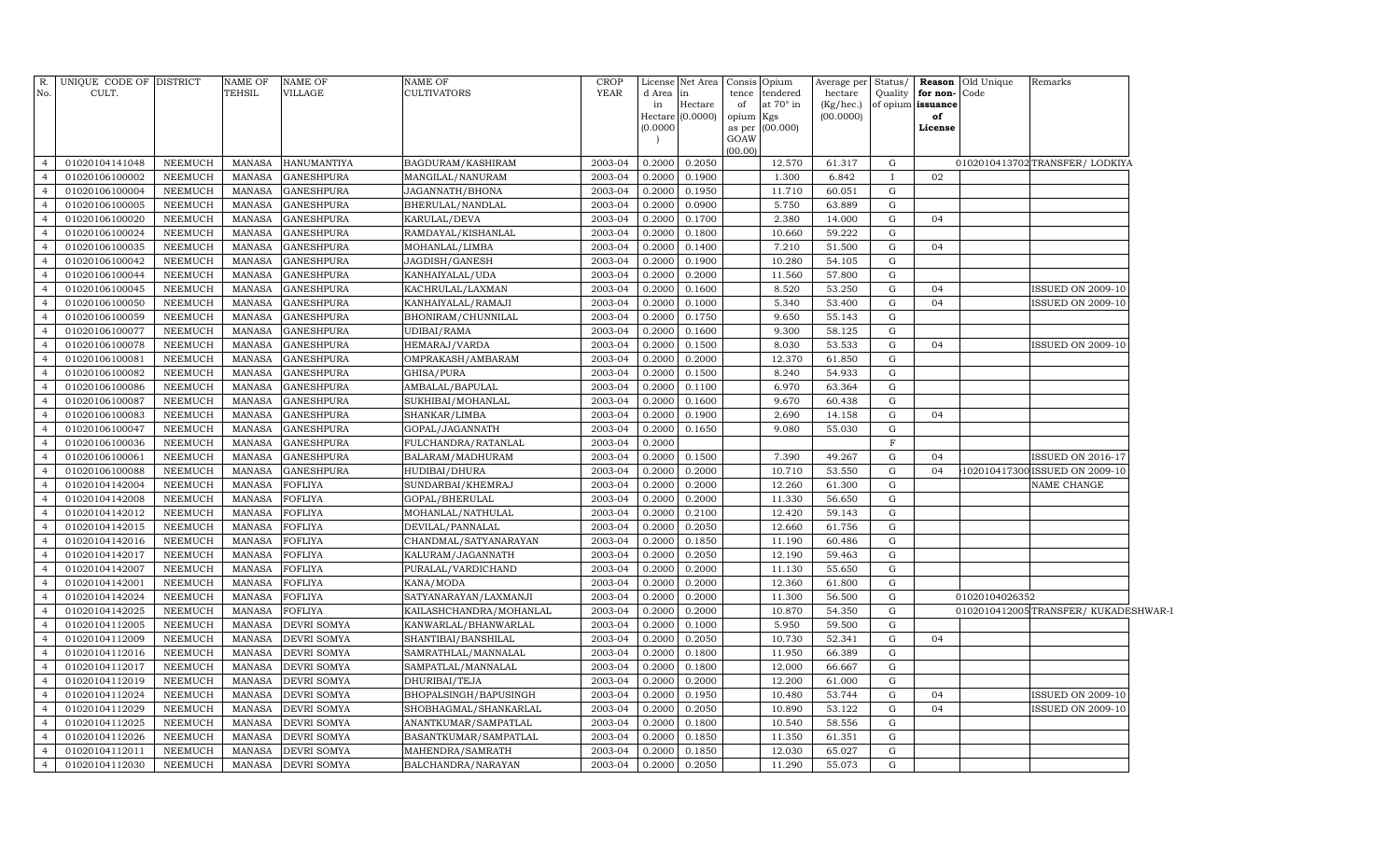| No.                              | R. UNIQUE CODE OF DISTRICT<br>CULT. |                           | <b>NAME OF</b><br><b>TEHSIL</b> | <b>NAME OF</b><br>VILLAGE              | <b>NAME OF</b><br><b>CULTIVATORS</b> | <b>CROP</b><br><b>YEAR</b> | License<br>d Area<br>in<br>(0.0000) | Net Area<br>in<br>Hectare<br>Hectare (0.0000) | tence<br>of<br>opium Kgs<br>GOAW | Consis Opium<br>tendered<br>at 70° in<br>as per (00.000) | Average per Status/<br>hectare<br>(Kg/hec.)<br>(00.0000) |                   | Quality for non-Code<br>of opium issuance<br>of<br>License | <b>Reason</b> Old Unique | Remarks                             |
|----------------------------------|-------------------------------------|---------------------------|---------------------------------|----------------------------------------|--------------------------------------|----------------------------|-------------------------------------|-----------------------------------------------|----------------------------------|----------------------------------------------------------|----------------------------------------------------------|-------------------|------------------------------------------------------------|--------------------------|-------------------------------------|
|                                  | 01020104141048                      |                           |                                 |                                        |                                      | 2003-04                    | 0.2000                              | 0.2050                                        | (00.00)                          | 12.570                                                   |                                                          |                   |                                                            |                          |                                     |
| $\overline{4}$                   |                                     | NEEMUCH                   | MANASA                          | <b>HANUMANTIYA</b>                     | <b>BAGDURAM/KASHIRAM</b>             |                            |                                     |                                               |                                  |                                                          | 61.317                                                   | G                 | 02                                                         |                          | 0102010413702 TRANSFER/LODKIYA      |
| $\overline{4}$<br>$\overline{4}$ | 01020106100002<br>01020106100004    | NEEMUCH<br><b>NEEMUCH</b> | MANASA<br>MANASA                | <b>GANESHPURA</b><br><b>GANESHPURA</b> | MANGILAL/NANURAM<br>JAGANNATH/BHONA  | 2003-04<br>2003-04         | 0.2000<br>0.2000                    | 0.1900<br>0.1950                              |                                  | 1.300<br>11.710                                          | 6.842<br>60.051                                          | $\mathbf{I}$<br>G |                                                            |                          |                                     |
| $\overline{4}$                   | 01020106100005                      | <b>NEEMUCH</b>            | MANASA                          | <b>GANESHPURA</b>                      | BHERULAL/NANDLAL                     | 2003-04                    | 0.2000                              | 0.0900                                        |                                  | 5.750                                                    | 63.889                                                   | G                 |                                                            |                          |                                     |
| $\overline{4}$                   | 01020106100020                      | <b>NEEMUCH</b>            | MANASA                          | <b>GANESHPURA</b>                      | KARULAL/DEVA                         | 2003-04                    | 0.2000                              | 0.1700                                        |                                  | 2.380                                                    | 14.000                                                   | ${\rm G}$         | 04                                                         |                          |                                     |
| $\overline{4}$                   | 01020106100024                      | <b>NEEMUCH</b>            | MANASA                          | <b>GANESHPURA</b>                      | RAMDAYAL/KISHANLAL                   | 2003-04                    | 0.2000                              | 0.1800                                        |                                  | 10.660                                                   | 59.222                                                   | G                 |                                                            |                          |                                     |
| $\overline{4}$                   | 01020106100035                      | <b>NEEMUCH</b>            | MANASA                          | <b>GANESHPURA</b>                      | MOHANLAL/LIMBA                       | 2003-04                    | 0.2000                              | 0.1400                                        |                                  | 7.210                                                    | 51.500                                                   | G                 | 04                                                         |                          |                                     |
| $\overline{4}$                   | 01020106100042                      | <b>NEEMUCH</b>            | MANASA                          | <b>GANESHPURA</b>                      | JAGDISH/GANESH                       | 2003-04                    | 0.2000                              | 0.1900                                        |                                  | 10.280                                                   | 54.105                                                   | G                 |                                                            |                          |                                     |
| $\overline{4}$                   | 01020106100044                      | <b>NEEMUCH</b>            | MANASA                          | <b>GANESHPURA</b>                      | KANHAIYALAL/UDA                      | 2003-04                    | 0.2000                              | 0.2000                                        |                                  | 11.560                                                   | 57.800                                                   | G                 |                                                            |                          |                                     |
| $\overline{4}$                   | 01020106100045                      | <b>NEEMUCH</b>            | MANASA                          | <b>GANESHPURA</b>                      | KACHRULAL/LAXMAN                     | 2003-04                    | 0.2000                              | 0.1600                                        |                                  | 8.520                                                    | 53.250                                                   | G                 | 04                                                         |                          | <b>ISSUED ON 2009-10</b>            |
| $\overline{4}$                   | 01020106100050                      | NEEMUCH                   | MANASA                          | <b>GANESHPURA</b>                      | KANHAIYALAL/RAMAJI                   | 2003-04                    | 0.2000                              | 0.1000                                        |                                  | 5.340                                                    | 53.400                                                   | G                 | 04                                                         |                          | <b>ISSUED ON 2009-10</b>            |
| $\overline{4}$                   | 01020106100059                      | <b>NEEMUCH</b>            | MANASA                          | <b>GANESHPURA</b>                      | BHONIRAM/CHUNNILAL                   | 2003-04                    | 0.2000                              | 0.1750                                        |                                  | 9.650                                                    | 55.143                                                   | G                 |                                                            |                          |                                     |
| $\overline{4}$                   | 01020106100077                      | <b>NEEMUCH</b>            | MANASA                          | <b>GANESHPURA</b>                      | UDIBAI/RAMA                          | 2003-04                    | 0.2000                              | 0.1600                                        |                                  | 9.300                                                    | 58.125                                                   | $\mathbf G$       |                                                            |                          |                                     |
| $\overline{4}$                   | 01020106100078                      | <b>NEEMUCH</b>            | <b>MANASA</b>                   | <b>GANESHPURA</b>                      | HEMARAJ/VARDA                        | 2003-04                    | 0.2000                              | 0.1500                                        |                                  | 8.030                                                    | 53.533                                                   | G                 | 04                                                         |                          | <b>ISSUED ON 2009-10</b>            |
| $\overline{4}$                   | 01020106100081                      | <b>NEEMUCH</b>            | MANASA                          | <b>GANESHPURA</b>                      | OMPRAKASH/AMBARAM                    | 2003-04                    | 0.2000                              | 0.2000                                        |                                  | 12.370                                                   | 61.850                                                   | $\mathbf G$       |                                                            |                          |                                     |
| $\overline{4}$                   | 01020106100082                      | <b>NEEMUCH</b>            | MANASA                          | GANESHPURA                             | GHISA/PURA                           | 2003-04                    | 0.2000                              | 0.1500                                        |                                  | 8.240                                                    | 54.933                                                   | G                 |                                                            |                          |                                     |
| $\overline{4}$                   | 01020106100086                      | <b>NEEMUCH</b>            | MANASA                          | GANESHPURA                             | AMBALAL/BAPULAL                      | 2003-04                    | 0.2000                              | 0.1100                                        |                                  | 6.970                                                    | 63.364                                                   | G                 |                                                            |                          |                                     |
| $\overline{4}$                   | 01020106100087                      | NEEMUCH                   | <b>MANASA</b>                   | GANESHPURA                             | SUKHIBAI/MOHANLAL                    | 2003-04                    | 0.2000                              | 0.1600                                        |                                  | 9.670                                                    | 60.438                                                   | G                 |                                                            |                          |                                     |
| $\overline{4}$                   | 01020106100083                      | <b>NEEMUCH</b>            | <b>MANASA</b>                   | <b>GANESHPURA</b>                      | SHANKAR/LIMBA                        | 2003-04                    | 0.2000                              | 0.1900                                        |                                  | 2.690                                                    | 14.158                                                   | G                 | 04                                                         |                          |                                     |
| $\overline{4}$                   | 01020106100047                      | <b>NEEMUCH</b>            | <b>MANASA</b>                   | GANESHPURA                             | GOPAL/JAGANNATH                      | 2003-04                    | 0.2000                              | 0.1650                                        |                                  | 9.080                                                    | 55.030                                                   | G                 |                                                            |                          |                                     |
| $\overline{4}$                   | 01020106100036                      | <b>NEEMUCH</b>            | <b>MANASA</b>                   | <b>GANESHPURA</b>                      | FULCHANDRA/RATANLAL                  | 2003-04                    | 0.2000                              |                                               |                                  |                                                          |                                                          | $\mathbf F$       |                                                            |                          |                                     |
| $\overline{4}$                   | 01020106100061                      | <b>NEEMUCH</b>            | <b>MANASA</b>                   | <b>GANESHPURA</b>                      | BALARAM/MADHURAM                     | 2003-04                    | 0.2000                              | 0.1500                                        |                                  | 7.390                                                    | 49.267                                                   | G                 | 04                                                         |                          | ISSUED ON 2016-17                   |
| $\overline{4}$                   | 01020106100088                      | <b>NEEMUCH</b>            | <b>MANASA</b>                   | <b>GANESHPURA</b>                      | HUDIBAI/DHURA                        | 2003-04                    | 0.2000                              | 0.2000                                        |                                  | 10.710                                                   | 53.550                                                   | $\mathbf G$       | 04                                                         |                          | 102010417300 ISSUED ON 2009-10      |
| $\overline{4}$                   | 01020104142004                      | <b>NEEMUCH</b>            | <b>MANASA</b>                   | FOFLIYA                                | SUNDARBAI/KHEMRAJ                    | 2003-04                    | 0.2000                              | 0.2000                                        |                                  | 12.260                                                   | 61.300                                                   | $\mathbf G$       |                                                            |                          | NAME CHANGE                         |
| $\overline{4}$                   | 01020104142008                      | <b>NEEMUCH</b>            | <b>MANASA</b>                   | FOFLIYA                                | GOPAL/BHERULAL                       | 2003-04                    | 0.2000                              | 0.2000                                        |                                  | 11.330                                                   | 56.650                                                   | $\mathbf G$       |                                                            |                          |                                     |
| $\overline{4}$                   | 01020104142012                      | <b>NEEMUCH</b>            | <b>MANASA</b>                   | FOFLIYA                                | MOHANLAL/NATHULAL                    | 2003-04                    | 0.2000                              | 0.2100                                        |                                  | 12.420                                                   | 59.143                                                   | G                 |                                                            |                          |                                     |
| $\overline{4}$                   | 01020104142015                      | <b>NEEMUCH</b>            | MANASA                          | FOFLIYA                                | DEVILAL/PANNALAL                     | 2003-04                    | 0.2000                              | 0.2050                                        |                                  | 12.660                                                   | 61.756                                                   | ${\rm G}$         |                                                            |                          |                                     |
| $\overline{4}$                   | 01020104142016                      | <b>NEEMUCH</b>            | <b>MANASA</b>                   | FOFLIYA                                | CHANDMAL/SATYANARAYAN                | 2003-04                    | 0.2000                              | 0.1850                                        |                                  | 11.190                                                   | 60.486                                                   | G                 |                                                            |                          |                                     |
| $\overline{4}$                   | 01020104142017                      | <b>NEEMUCH</b>            | <b>MANASA</b>                   | FOFLIYA                                | KALURAM/JAGANNATH                    | 2003-04                    | 0.2000                              | 0.2050                                        |                                  | 12.190                                                   | 59.463                                                   | G                 |                                                            |                          |                                     |
| $\overline{4}$                   | 01020104142007                      | <b>NEEMUCH</b>            | <b>MANASA</b>                   | <b>FOFLIYA</b>                         | PURALAL/VARDICHAND                   | 2003-04                    | 0.2000                              | 0.2000                                        |                                  | 11.130                                                   | 55.650                                                   | $\mathbf G$       |                                                            |                          |                                     |
| $\overline{4}$                   | 01020104142001                      | <b>NEEMUCH</b>            | <b>MANASA</b>                   | FOFLIYA                                | KANA/MODA                            | 2003-04                    | 0.2000                              | 0.2000                                        |                                  | 12.360                                                   | 61.800                                                   | G                 |                                                            |                          |                                     |
| $\overline{4}$                   | 01020104142024                      | <b>NEEMUCH</b>            | <b>MANASA</b>                   | <b>FOFLIYA</b>                         | SATYANARAYAN/LAXMANJI                | 2003-04                    | 0.2000                              | 0.2000                                        |                                  | 11.300                                                   | 56.500                                                   | G                 |                                                            | 01020104026352           |                                     |
| $\overline{4}$                   | 01020104142025                      | <b>NEEMUCH</b>            | <b>MANASA</b>                   | FOFLIYA                                | KAILASHCHANDRA/MOHANLAL              | 2003-04                    | 0.2000                              | 0.2000                                        |                                  | 10.870                                                   | 54.350                                                   | $\mathbf G$       |                                                            |                          | 0102010412005TRANSFER/KUKADESHWAR-I |
| $\overline{4}$                   | 01020104112005                      | <b>NEEMUCH</b>            | <b>MANASA</b>                   | DEVRI SOMYA                            | KANWARLAL/BHANWARLAL                 | 2003-04                    | 0.2000                              | 0.1000                                        |                                  | 5.950                                                    | 59.500                                                   | G                 |                                                            |                          |                                     |
| $\overline{4}$                   | 01020104112009                      | <b>NEEMUCH</b>            | <b>MANASA</b>                   | <b>DEVRI SOMYA</b>                     | SHANTIBAI/BANSHILAL                  | 2003-04                    | 0.2000                              | 0.2050                                        |                                  | 10.730                                                   | 52.341                                                   | G                 | 04                                                         |                          |                                     |
| $\overline{4}$                   | 01020104112016                      | <b>NEEMUCH</b>            | <b>MANASA</b>                   | <b>DEVRI SOMYA</b>                     | SAMRATHLAL/MANNALAL                  | 2003-04                    | 0.2000                              | 0.1800                                        |                                  | 11.950                                                   | 66.389                                                   | G                 |                                                            |                          |                                     |
| $\overline{4}$                   | 01020104112017                      | <b>NEEMUCH</b>            | MANASA                          | <b>DEVRI SOMYA</b>                     | SAMPATLAL/MANNALAL                   | 2003-04                    | 0.2000                              | 0.1800                                        |                                  | 12.000                                                   | 66.667                                                   | G                 |                                                            |                          |                                     |
| $\overline{4}$                   | 01020104112019                      | <b>NEEMUCH</b>            | MANASA                          | <b>DEVRI SOMYA</b>                     | DHURIBAI/TEJA                        | 2003-04                    | 0.2000                              | 0.2000                                        |                                  | 12.200                                                   | 61.000                                                   | G                 |                                                            |                          |                                     |
| $\overline{4}$                   | 01020104112024                      | <b>NEEMUCH</b>            | <b>MANASA</b>                   | DEVRI SOMYA                            | BHOPALSINGH/BAPUSINGH                | 2003-04                    | 0.2000                              | 0.1950                                        |                                  | 10.480                                                   | 53.744                                                   | G                 | 04                                                         |                          | <b>ISSUED ON 2009-10</b>            |
| $\overline{4}$                   | 01020104112029                      | <b>NEEMUCH</b>            | <b>MANASA</b>                   | DEVRI SOMYA                            | SHOBHAGMAL/SHANKARLAL                | 2003-04                    | 0.2000                              | 0.2050                                        |                                  | 10.890                                                   | 53.122                                                   | G                 | 04                                                         |                          | <b>ISSUED ON 2009-10</b>            |
| $\overline{4}$                   | 01020104112025                      | NEEMUCH                   | <b>MANASA</b>                   | DEVRI SOMYA                            | ANANTKUMAR/SAMPATLAL                 | 2003-04                    | 0.2000                              | 0.1800                                        |                                  | 10.540                                                   | 58.556                                                   | G                 |                                                            |                          |                                     |
| $\overline{4}$                   | 01020104112026                      | <b>NEEMUCH</b>            | <b>MANASA</b>                   | DEVRI SOMYA                            | BASANTKUMAR/SAMPATLAL                | 2003-04                    | 0.2000                              | 0.1850                                        |                                  | 11.350                                                   | 61.351                                                   | G                 |                                                            |                          |                                     |
| $\overline{4}$                   | 01020104112011                      | <b>NEEMUCH</b>            | <b>MANASA</b>                   | <b>DEVRI SOMYA</b>                     | MAHENDRA/SAMRATH                     | 2003-04                    | 0.2000                              | 0.1850                                        |                                  | 12.030                                                   | 65.027                                                   | $\mathbf G$       |                                                            |                          |                                     |
| $\overline{4}$                   | 01020104112030                      | NEEMUCH                   | MANASA                          | <b>DEVRI SOMYA</b>                     | BALCHANDRA/NARAYAN                   | 2003-04                    | 0.2000                              | 0.2050                                        |                                  | 11.290                                                   | 55.073                                                   | G                 |                                                            |                          |                                     |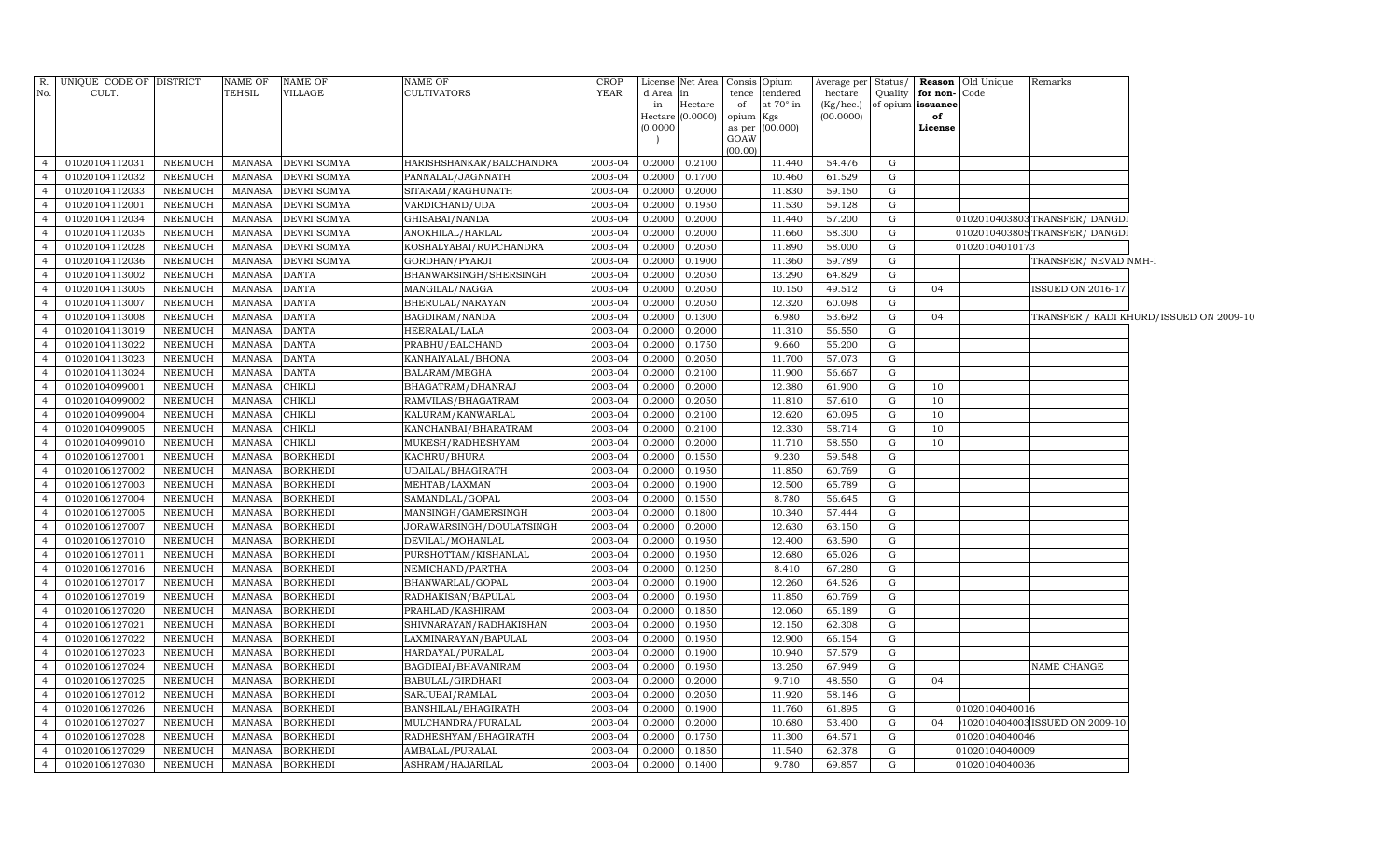| R.                               | UNIQUE CODE OF DISTRICT          |                                  | NAME OF                        | <b>NAME OF</b>                     | <b>NAME OF</b>                           | <b>CROP</b>        | License          | Net Area Consis             |             | Opium                   | Average per            | Status/     |                         | <b>Reason</b> Old Unique         | Remarks                        |                                         |
|----------------------------------|----------------------------------|----------------------------------|--------------------------------|------------------------------------|------------------------------------------|--------------------|------------------|-----------------------------|-------------|-------------------------|------------------------|-------------|-------------------------|----------------------------------|--------------------------------|-----------------------------------------|
| No.                              | CULT.                            |                                  | TEHSIL                         | VILLAGE                            | <b>CULTIVATORS</b>                       | <b>YEAR</b>        | d Area           | in                          | tence       | tendered                | hectare                | Quality     | for non-                | Code                             |                                |                                         |
|                                  |                                  |                                  |                                |                                    |                                          |                    | in               | Hectare<br>Hectare (0.0000) | of<br>opium | at $70^\circ$ in<br>Kgs | (Kg/hec.)<br>(00.0000) |             | of opium issuance<br>of |                                  |                                |                                         |
|                                  |                                  |                                  |                                |                                    |                                          |                    | (0.0000)         |                             | as per      | (00.000)                |                        |             | License                 |                                  |                                |                                         |
|                                  |                                  |                                  |                                |                                    |                                          |                    |                  |                             | GOAW        |                         |                        |             |                         |                                  |                                |                                         |
|                                  |                                  |                                  |                                |                                    |                                          |                    |                  |                             | (00.00)     |                         |                        |             |                         |                                  |                                |                                         |
| $\overline{4}$                   | 01020104112031                   | NEEMUCH                          | MANASA                         | <b>DEVRI SOMYA</b>                 | HARISHSHANKAR/BALCHANDRA                 | 2003-04            | 0.2000           | 0.2100                      |             | 11.440                  | 54.476                 | G           |                         |                                  |                                |                                         |
| $\overline{4}$                   | 01020104112032                   | NEEMUCH                          | MANASA                         | <b>DEVRI SOMYA</b>                 | PANNALAL/JAGNNATH                        | 2003-04            | 0.2000           | 0.1700                      |             | 10.460                  | 61.529                 | G           |                         |                                  |                                |                                         |
| $\overline{4}$                   | 01020104112033                   | NEEMUCH                          | MANASA                         | DEVRI SOMYA                        | SITARAM/RAGHUNATH                        | 2003-04            | 0.2000           | 0.2000                      |             | 11.830                  | 59.150                 | G           |                         |                                  |                                |                                         |
| $\overline{4}$                   | 01020104112001                   | NEEMUCH                          | MANASA                         | DEVRI SOMYA                        | VARDICHAND/UDA                           | 2003-04            | 0.2000           | 0.1950                      |             | 11.530                  | 59.128                 | G           |                         |                                  |                                |                                         |
| $\overline{4}$                   | 01020104112034                   | NEEMUCH                          | MANASA                         | DEVRI SOMYA                        | GHISABAI/NANDA                           | 2003-04            | 0.2000           | 0.2000                      |             | 11.440                  | 57.200                 | G           |                         |                                  | 0102010403803TRANSFER/DANGDI   |                                         |
| $\overline{4}$<br>$\overline{4}$ | 01020104112035<br>01020104112028 | <b>NEEMUCH</b><br><b>NEEMUCH</b> | MANASA<br><b>MANASA</b>        | DEVRI SOMYA<br>DEVRI SOMYA         | ANOKHILAL/HARLAL                         | 2003-04<br>2003-04 | 0.2000<br>0.2000 | 0.2000<br>0.2050            |             | 11.660<br>11.890        | 58.300<br>58.000       | G<br>G      |                         | 01020104010173                   | 0102010403805TRANSFER/DANGDI   |                                         |
| $\overline{4}$                   | 01020104112036                   | <b>NEEMUCH</b>                   | <b>MANASA</b>                  | DEVRI SOMYA                        | KOSHALYABAI/RUPCHANDRA<br>GORDHAN/PYARJI | 2003-04            | 0.2000           | 0.1900                      |             | 11.360                  | 59.789                 | G           |                         |                                  | TRANSFER/ NEVAD NMH-I          |                                         |
| $\overline{4}$                   | 01020104113002                   | NEEMUCH                          | <b>MANASA</b>                  | <b>DANTA</b>                       | BHANWARSINGH/SHERSINGH                   | 2003-04            | 0.2000           | 0.2050                      |             | 13.290                  | 64.829                 | $\mathbf G$ |                         |                                  |                                |                                         |
| $\overline{4}$                   | 01020104113005                   | <b>NEEMUCH</b>                   | <b>MANASA</b>                  | <b>DANTA</b>                       | MANGILAL/NAGGA                           | 2003-04            | 0.2000           | 0.2050                      |             | 10.150                  | 49.512                 | G           | 04                      |                                  | ISSUED ON 2016-17              |                                         |
| $\overline{4}$                   | 01020104113007                   | NEEMUCH                          | <b>MANASA</b>                  | <b>DANTA</b>                       | BHERULAL/NARAYAN                         | 2003-04            | 0.2000           | 0.2050                      |             | 12.320                  | 60.098                 | $\mathbf G$ |                         |                                  |                                |                                         |
| $\overline{4}$                   | 01020104113008                   | NEEMUCH                          | <b>MANASA</b>                  | <b>DANTA</b>                       | BAGDIRAM/NANDA                           | 2003-04            | 0.2000           | 0.1300                      |             | 6.980                   | 53.692                 | G           | 04                      |                                  |                                | TRANSFER / KADI KHURD/ISSUED ON 2009-10 |
| $\overline{4}$                   | 01020104113019                   | NEEMUCH                          | <b>MANASA</b>                  | <b>DANTA</b>                       | HEERALAL/LALA                            | 2003-04            | 0.2000           | 0.2000                      |             | 11.310                  | 56.550                 | $\mathbf G$ |                         |                                  |                                |                                         |
| $\overline{4}$                   | 01020104113022                   | NEEMUCH                          | <b>MANASA</b>                  | <b>DANTA</b>                       | PRABHU/BALCHAND                          | 2003-04            | 0.2000           | 0.1750                      |             | 9.660                   | 55.200                 | G           |                         |                                  |                                |                                         |
| $\overline{4}$                   | 01020104113023                   | NEEMUCH                          | <b>MANASA</b>                  | <b>DANTA</b>                       | KANHAIYALAL/BHONA                        | $2003 - 04$        | 0.2000           | 0.2050                      |             | 11.700                  | 57.073                 | $\mathbf G$ |                         |                                  |                                |                                         |
| $\overline{4}$                   | 01020104113024                   | NEEMUCH                          | <b>MANASA</b>                  | <b>DANTA</b>                       | BALARAM/MEGHA                            | 2003-04            | 0.2000           | 0.2100                      |             | 11.900                  | 56.667                 | G           |                         |                                  |                                |                                         |
| $\overline{4}$                   | 01020104099001                   | NEEMUCH                          | <b>MANASA</b>                  | <b>CHIKLI</b>                      | BHAGATRAM/DHANRAJ                        | 2003-04            | 0.2000           | 0.2000                      |             | 12.380                  | 61.900                 | $\mathbf G$ | 10                      |                                  |                                |                                         |
| $\overline{4}$                   | 01020104099002                   | NEEMUCH                          | <b>MANASA</b>                  | CHIKLI                             | RAMVILAS/BHAGATRAM                       | 2003-04            | 0.2000           | 0.2050                      |             | 11.810                  | 57.610                 | G           | 10                      |                                  |                                |                                         |
| $\overline{4}$                   | 01020104099004                   | NEEMUCH                          | <b>MANASA</b>                  | CHIKLI                             | KALURAM/KANWARLAL                        | 2003-04            | 0.2000           | 0.2100                      |             | 12.620                  | 60.095                 | $\mathbf G$ | 10                      |                                  |                                |                                         |
| $\overline{4}$                   | 01020104099005                   | NEEMUCH                          | <b>MANASA</b>                  | CHIKLI                             | KANCHANBAI/BHARATRAM                     | 2003-04            | 0.2000           | 0.2100                      |             | 12.330                  | 58.714                 | G           | 10                      |                                  |                                |                                         |
| $\overline{4}$                   | 01020104099010                   | NEEMUCH                          | <b>MANASA</b>                  | CHIKLI                             | MUKESH/RADHESHYAM                        | 2003-04            | 0.2000           | 0.2000                      |             | 11.710                  | 58.550                 | G           | 10                      |                                  |                                |                                         |
| $\overline{4}$                   | 01020106127001                   | <b>NEEMUCH</b>                   | <b>MANASA</b>                  | BORKHEDI                           | KACHRU/BHURA                             | 2003-04            | 0.2000           | 0.1550                      |             | 9.230                   | 59.548                 | G           |                         |                                  |                                |                                         |
| $\overline{4}$                   | 01020106127002                   | NEEMUCH                          | <b>MANASA</b>                  | <b>BORKHEDI</b>                    | UDAILAL/BHAGIRATH                        | 2003-04            | 0.2000           | 0.1950                      |             | 11.850                  | 60.769                 | G           |                         |                                  |                                |                                         |
|                                  | 01020106127003                   | NEEMUCH                          | <b>MANASA</b>                  | <b>BORKHEDI</b>                    | MEHTAB/LAXMAN                            | 2003-04            | 0.2000           | 0.1900                      |             | 12.500                  | 65.789                 | G           |                         |                                  |                                |                                         |
| $\overline{4}$                   | 01020106127004                   | NEEMUCH                          | <b>MANASA</b>                  | <b>BORKHEDI</b>                    | SAMANDLAL/GOPAL                          | 2003-04            | 0.2000           | 0.1550                      |             | 8.780                   | 56.645                 | G           |                         |                                  |                                |                                         |
| $\overline{4}$                   | 01020106127005                   | NEEMUCH                          | <b>MANASA</b>                  | <b>BORKHEDI</b>                    | MANSINGH/GAMERSINGH                      | 2003-04            | 0.2000           | 0.1800                      |             | 10.340                  | 57.444                 | G           |                         |                                  |                                |                                         |
| $\overline{4}$                   | 01020106127007                   | NEEMUCH                          | <b>MANASA</b>                  | <b>BORKHEDI</b>                    | JORAWARSINGH/DOULATSINGH                 | 2003-04            | 0.2000           | 0.2000                      |             | 12.630                  | 63.150                 | G           |                         |                                  |                                |                                         |
| $\overline{4}$                   | 01020106127010                   | <b>NEEMUCH</b>                   | <b>MANASA</b>                  | <b>BORKHEDI</b>                    | DEVILAL/MOHANLAL                         | 2003-04            | 0.2000           | 0.1950                      |             | 12.400                  | 63.590                 | G           |                         |                                  |                                |                                         |
| $\overline{4}$                   | 01020106127011                   | NEEMUCH                          | <b>MANASA</b>                  | <b>BORKHEDI</b>                    | PURSHOTTAM/KISHANLAL                     | 2003-04            | 0.2000           | 0.1950                      |             | 12.680                  | 65.026                 | G           |                         |                                  |                                |                                         |
| $\overline{4}$                   | 01020106127016                   | <b>NEEMUCH</b>                   | <b>MANASA</b>                  | <b>BORKHEDI</b>                    | NEMICHAND/PARTHA                         | 2003-04            | 0.2000           | 0.1250                      |             | 8.410                   | 67.280                 | G           |                         |                                  |                                |                                         |
| $\overline{4}$                   | 01020106127017                   | <b>NEEMUCH</b>                   | <b>MANASA</b>                  | <b>BORKHEDI</b>                    | BHANWARLAL/GOPAL                         | 2003-04            | 0.2000           | 0.1900                      |             | 12.260                  | 64.526                 | ${\rm G}$   |                         |                                  |                                |                                         |
|                                  | 01020106127019                   | <b>NEEMUCH</b>                   | <b>MANASA</b>                  | <b>BORKHEDI</b>                    | RADHAKISAN/BAPULAL                       | 2003-04            | 0.2000           | 0.1950                      |             | 11.850                  | 60.769                 | G           |                         |                                  |                                |                                         |
| $\overline{4}$                   | 01020106127020                   | <b>NEEMUCH</b>                   | <b>MANASA</b>                  | <b>BORKHEDI</b>                    | PRAHLAD/KASHIRAM                         | 2003-04            | 0.2000           | 0.1850                      |             | 12.060                  | 65.189                 | G           |                         |                                  |                                |                                         |
| $\overline{4}$                   | 01020106127021                   | <b>NEEMUCH</b>                   | <b>MANASA</b>                  | <b>BORKHEDI</b>                    | SHIVNARAYAN/RADHAKISHAN                  | 2003-04            | 0.2000           | 0.1950                      |             | 12.150                  | 62.308                 | G           |                         |                                  |                                |                                         |
| $\overline{4}$                   | 01020106127022                   | <b>NEEMUCH</b>                   | <b>MANASA</b>                  | <b>BORKHEDI</b>                    | LAXMINARAYAN/BAPULAL                     | 2003-04            | 0.2000           | 0.1950                      |             | 12.900                  | 66.154                 | G           |                         |                                  |                                |                                         |
| $\overline{4}$                   | 01020106127023                   | <b>NEEMUCH</b>                   | <b>MANASA</b>                  | <b>BORKHEDI</b>                    | HARDAYAL/PURALAL                         | 2003-04            | 0.2000           | 0.1900                      |             | 10.940                  | 57.579                 | G           |                         |                                  |                                |                                         |
| $\overline{4}$                   | 01020106127024                   | <b>NEEMUCH</b>                   | <b>MANASA</b>                  | <b>BORKHEDI</b>                    | BAGDIBAI/BHAVANIRAM                      | 2003-04            | 0.2000           | 0.1950                      |             | 13.250                  | 67.949                 | G           |                         |                                  | NAME CHANGE                    |                                         |
| $\overline{4}$                   | 01020106127025                   | <b>NEEMUCH</b>                   | <b>MANASA</b>                  | <b>BORKHEDI</b>                    | BABULAL/GIRDHARI                         | 2003-04            | 0.2000           | 0.2000                      |             | 9.710                   | 48.550                 | G           | 04                      |                                  |                                |                                         |
| $\overline{4}$                   | 01020106127012                   | <b>NEEMUCH</b>                   | <b>MANASA</b>                  | <b>BORKHEDI</b>                    | SARJUBAI/RAMLAL                          | 2003-04            | 0.2000           | 0.2050                      |             | 11.920                  | 58.146                 | G           |                         |                                  |                                |                                         |
| $\overline{4}$<br>$\overline{4}$ | 01020106127026                   | <b>NEEMUCH</b>                   | <b>MANASA</b>                  | <b>BORKHEDI</b>                    | BANSHILAL/BHAGIRATH                      | 2003-04            | 0.2000           | 0.1900                      |             | 11.760                  | 61.895                 | G           |                         | 01020104040016                   |                                |                                         |
| $\overline{4}$                   | 01020106127027                   | <b>NEEMUCH</b>                   | <b>MANASA</b>                  | <b>BORKHEDI</b>                    | MULCHANDRA/PURALAL                       | 2003-04<br>2003-04 | 0.2000<br>0.2000 | 0.2000                      |             | 10.680                  | 53.400                 | G<br>G      | 04                      | 01020104040046                   | 102010404003 ISSUED ON 2009-10 |                                         |
| $\overline{4}$                   | 01020106127028                   | <b>NEEMUCH</b>                   | <b>MANASA</b><br><b>MANASA</b> | <b>BORKHEDI</b><br><b>BORKHEDI</b> | RADHESHYAM/BHAGIRATH                     |                    | 0.2000           | 0.1750                      |             | 11.300                  | 64.571                 | G           |                         |                                  |                                |                                         |
| $\overline{4}$                   | 01020106127029<br>01020106127030 | <b>NEEMUCH</b><br><b>NEEMUCH</b> | MANASA                         | <b>BORKHEDI</b>                    | AMBALAL/PURALAL                          | 2003-04<br>2003-04 | 0.2000           | 0.1850<br>0.1400            |             | 11.540<br>9.780         | 62.378<br>69.857       |             |                         | 01020104040009<br>01020104040036 |                                |                                         |
|                                  |                                  |                                  |                                |                                    | ASHRAM/HAJARILAL                         |                    |                  |                             |             |                         |                        | G           |                         |                                  |                                |                                         |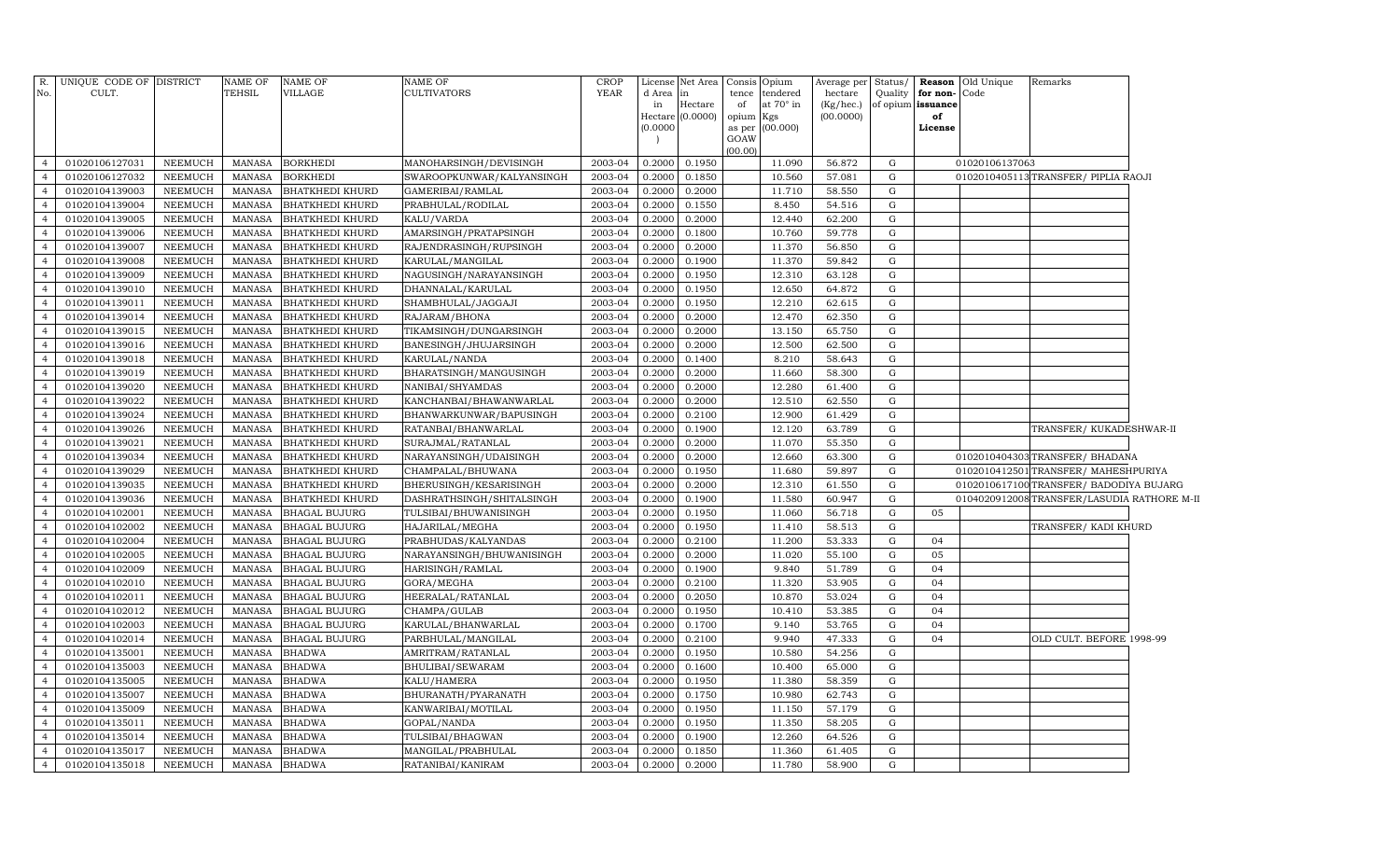| R.<br>No.      | UNIQUE CODE OF DISTRICT<br>CULT. |                | <b>NAME OF</b><br>TEHSIL | <b>NAME OF</b><br>VILLAGE | NAME OF<br>CULTIVATORS    | <b>CROP</b><br><b>YEAR</b> | License      | Net Area         | Consis          | Opium                 | Average per          | Status/                      |          | <b>Reason</b> Old Unique | Remarks                                    |  |
|----------------|----------------------------------|----------------|--------------------------|---------------------------|---------------------------|----------------------------|--------------|------------------|-----------------|-----------------------|----------------------|------------------------------|----------|--------------------------|--------------------------------------------|--|
|                |                                  |                |                          |                           |                           |                            | d Area<br>in | in<br>Hectare    | tence<br>of     | tendered<br>at 70° in | hectare<br>(Kg/hec.) | Quality<br>of opium issuance | for non- | Code                     |                                            |  |
|                |                                  |                |                          |                           |                           |                            |              | Hectare (0.0000) | opium Kgs       |                       | (00.0000)            |                              | of       |                          |                                            |  |
|                |                                  |                |                          |                           |                           |                            | (0.0000)     |                  |                 | as per (00.000)       |                      |                              | License  |                          |                                            |  |
|                |                                  |                |                          |                           |                           |                            |              |                  | GOAW<br>(00.00) |                       |                      |                              |          |                          |                                            |  |
| $\overline{4}$ | 01020106127031                   | NEEMUCH        | MANASA                   | <b>BORKHEDI</b>           | MANOHARSINGH/DEVISINGH    | 2003-04                    | 0.2000       | 0.1950           |                 | 11.090                | 56.872               | G                            |          | 01020106137063           |                                            |  |
| $\overline{4}$ | 01020106127032                   | NEEMUCH        | <b>MANASA</b>            | <b>BORKHEDI</b>           | SWAROOPKUNWAR/KALYANSINGH | 2003-04                    | 0.2000       | 0.1850           |                 | 10.560                | 57.081               | G                            |          |                          | 0102010405113TRANSFER/ PIPLIA RAOJI        |  |
| $\overline{4}$ | 01020104139003                   | NEEMUCH        | MANASA                   | <b>BHATKHEDI KHURD</b>    | GAMERIBAI/RAMLAL          | 2003-04                    | 0.2000       | 0.2000           |                 | 11.710                | 58.550               | G                            |          |                          |                                            |  |
| $\overline{4}$ | 01020104139004                   | NEEMUCH        | <b>MANASA</b>            | <b>BHATKHEDI KHURD</b>    | PRABHULAL/RODILAL         | 2003-04                    | 0.2000       | 0.1550           |                 | 8.450                 | 54.516               | G                            |          |                          |                                            |  |
| $\overline{4}$ | 01020104139005                   | NEEMUCH        | <b>MANASA</b>            | <b>BHATKHEDI KHURD</b>    | KALU/VARDA                | 2003-04                    | 0.2000       | 0.2000           |                 | 12.440                | 62.200               | G                            |          |                          |                                            |  |
| $\overline{4}$ | 01020104139006                   | <b>NEEMUCH</b> | <b>MANASA</b>            | <b>BHATKHEDI KHURD</b>    | AMARSINGH/PRATAPSINGH     | 2003-04                    | 0.2000       | 0.1800           |                 | 10.760                | 59.778               | G                            |          |                          |                                            |  |
| $\overline{4}$ | 01020104139007                   | <b>NEEMUCH</b> | <b>MANASA</b>            | <b>BHATKHEDI KHURD</b>    | RAJENDRASINGH/RUPSINGH    | 2003-04                    | 0.2000       | 0.2000           |                 | 11.370                | 56.850               | G                            |          |                          |                                            |  |
| $\overline{4}$ | 01020104139008                   | NEEMUCH        | <b>MANASA</b>            | <b>BHATKHEDI KHURD</b>    | KARULAL/MANGILAL          | 2003-04                    | 0.2000       | 0.1900           |                 | 11.370                | 59.842               | G                            |          |                          |                                            |  |
| $\overline{4}$ | 01020104139009                   | NEEMUCH        | MANASA                   | <b>BHATKHEDI KHURD</b>    | NAGUSINGH/NARAYANSINGH    | 2003-04                    | 0.2000       | 0.1950           |                 | 12.310                | 63.128               | G                            |          |                          |                                            |  |
| $\overline{4}$ | 01020104139010                   | NEEMUCH        | <b>MANASA</b>            | <b>BHATKHEDI KHURD</b>    | DHANNALAL/KARULAL         | 2003-04                    | 0.2000       | 0.1950           |                 | 12.650                | 64.872               | G                            |          |                          |                                            |  |
| $\overline{4}$ | 01020104139011                   | NEEMUCH        | <b>MANASA</b>            | <b>BHATKHEDI KHURD</b>    | SHAMBHULAL/JAGGAJI        | 2003-04                    | 0.2000       | 0.1950           |                 | 12.210                | 62.615               | G                            |          |                          |                                            |  |
| $\overline{4}$ | 01020104139014                   | NEEMUCH        | <b>MANASA</b>            | <b>BHATKHEDI KHURD</b>    | RAJARAM/BHONA             | 2003-04                    | 0.2000       | 0.2000           |                 | 12.470                | 62.350               | G                            |          |                          |                                            |  |
| $\overline{4}$ | 01020104139015                   | NEEMUCH        | MANASA                   | <b>BHATKHEDI KHURD</b>    | TIKAMSINGH/DUNGARSINGH    | 2003-04                    | 0.2000       | 0.2000           |                 | 13.150                | 65.750               | G                            |          |                          |                                            |  |
| $\overline{4}$ | 01020104139016                   | NEEMUCH        | <b>MANASA</b>            | <b>BHATKHEDI KHURD</b>    | BANESINGH/JHUJARSINGH     | 2003-04                    | 0.2000       | 0.2000           |                 | 12.500                | 62.500               | G                            |          |                          |                                            |  |
| $\overline{4}$ | 01020104139018                   | <b>NEEMUCH</b> | <b>MANASA</b>            | <b>BHATKHEDI KHURD</b>    | KARULAL/NANDA             | 2003-04                    | 0.2000       | 0.1400           |                 | 8.210                 | 58.643               | G                            |          |                          |                                            |  |
| $\overline{4}$ | 01020104139019                   | NEEMUCH        | <b>MANASA</b>            | <b>BHATKHEDI KHURD</b>    | BHARATSINGH/MANGUSINGH    | 2003-04                    | 0.2000       | 0.2000           |                 | 11.660                | 58.300               | G                            |          |                          |                                            |  |
| $\overline{4}$ | 01020104139020                   | NEEMUCH        | <b>MANASA</b>            | <b>BHATKHEDI KHURD</b>    | NANIBAI/SHYAMDAS          | 2003-04                    | 0.2000       | 0.2000           |                 | 12.280                | 61.400               | G                            |          |                          |                                            |  |
| $\overline{4}$ | 01020104139022                   | NEEMUCH        | <b>MANASA</b>            | <b>BHATKHEDI KHURD</b>    | KANCHANBAI/BHAWANWARLAL   | 2003-04                    | 0.2000       | 0.2000           |                 | 12.510                | 62.550               | G                            |          |                          |                                            |  |
| $\overline{4}$ | 01020104139024                   | <b>NEEMUCH</b> | <b>MANASA</b>            | <b>BHATKHEDI KHURD</b>    | BHANWARKUNWAR/BAPUSINGH   | 2003-04                    | 0.2000       | 0.2100           |                 | 12.900                | 61.429               | G                            |          |                          |                                            |  |
| $\overline{4}$ | 01020104139026                   | NEEMUCH        | <b>MANASA</b>            | <b>BHATKHEDI KHURD</b>    | RATANBAI/BHANWARLAL       | 2003-04                    | 0.2000       | 0.1900           |                 | 12.120                | 63.789               | G                            |          |                          | TRANSFER/ KUKADESHWAR-II                   |  |
| $\overline{4}$ | 01020104139021                   | <b>NEEMUCH</b> | <b>MANASA</b>            | <b>BHATKHEDI KHURD</b>    | SURAJMAL/RATANLAL         | 2003-04                    | 0.2000       | 0.2000           |                 | 11.070                | 55.350               | G                            |          |                          |                                            |  |
| $\overline{4}$ | 01020104139034                   | NEEMUCH        | <b>MANASA</b>            | <b>BHATKHEDI KHURD</b>    | NARAYANSINGH/UDAISINGH    | 2003-04                    | 0.2000       | 0.2000           |                 | 12.660                | 63.300               | G                            |          |                          | 0102010404303 TRANSFER/ BHADANA            |  |
| $\overline{4}$ | 01020104139029                   | <b>NEEMUCH</b> | <b>MANASA</b>            | <b>BHATKHEDI KHURD</b>    | CHAMPALAL/BHUWANA         | 2003-04                    | 0.2000       | 0.1950           |                 | 11.680                | 59.897               | G                            |          |                          | 0102010412501 TRANSFER/MAHESHPURIYA        |  |
| $\overline{4}$ | 01020104139035                   | NEEMUCH        | <b>MANASA</b>            | <b>BHATKHEDI KHURD</b>    | BHERUSINGH/KESARISINGH    | 2003-04                    | 0.2000       | 0.2000           |                 | 12.310                | 61.550               | G                            |          |                          | 0102010617100 TRANSFER/ BADODIYA BUJARG    |  |
| $\overline{4}$ | 01020104139036                   | NEEMUCH        | <b>MANASA</b>            | <b>BHATKHEDI KHURD</b>    | DASHRATHSINGH/SHITALSINGH | 2003-04                    | 0.2000       | 0.1900           |                 | 11.580                | 60.947               | G                            |          |                          | 0104020912008TRANSFER/LASUDIA RATHORE M-II |  |
| $\overline{4}$ | 01020104102001                   | <b>NEEMUCH</b> | <b>MANASA</b>            | <b>BHAGAL BUJURG</b>      | TULSIBAI/BHUWANISINGH     | 2003-04                    | 0.2000       | 0.1950           |                 | 11.060                | 56.718               | G                            | 05       |                          |                                            |  |
| $\overline{4}$ | 01020104102002                   | <b>NEEMUCH</b> | <b>MANASA</b>            | <b>BHAGAL BUJURG</b>      | HAJARILAL/MEGHA           | 2003-04                    | 0.2000       | 0.1950           |                 | 11.410                | 58.513               | G                            |          |                          | TRANSFER/KADI KHURD                        |  |
| $\overline{4}$ | 01020104102004                   | NEEMUCH        | <b>MANASA</b>            | <b>BHAGAL BUJURG</b>      | PRABHUDAS/KALYANDAS       | 2003-04                    | 0.2000       | 0.2100           |                 | 11.200                | 53.333               | G                            | 04       |                          |                                            |  |
| $\overline{4}$ | 01020104102005                   | <b>NEEMUCH</b> | <b>MANASA</b>            | <b>BHAGAL BUJURG</b>      | NARAYANSINGH/BHUWANISINGH | 2003-04                    | 0.2000       | 0.2000           |                 | 11.020                | 55.100               | G                            | 05       |                          |                                            |  |
| $\overline{4}$ | 01020104102009                   | <b>NEEMUCH</b> | <b>MANASA</b>            | <b>BHAGAL BUJURG</b>      | HARISINGH/RAMLAL          | 2003-04                    | 0.2000       | 0.1900           |                 | 9.840                 | 51.789               | G                            | 04       |                          |                                            |  |
| $\overline{4}$ | 01020104102010                   | <b>NEEMUCH</b> | <b>MANASA</b>            | <b>BHAGAL BUJURG</b>      | GORA/MEGHA                | 2003-04                    | 0.2000       | 0.2100           |                 | 11.320                | 53.905               | G                            | 04       |                          |                                            |  |
| $\overline{4}$ | 01020104102011                   | <b>NEEMUCH</b> | <b>MANASA</b>            | <b>BHAGAL BUJURG</b>      | HEERALAL/RATANLAL         | 2003-04                    | 0.2000       | 0.2050           |                 | 10.870                | 53.024               | G                            | 04       |                          |                                            |  |
| $\overline{4}$ | 01020104102012                   | NEEMUCH        | <b>MANASA</b>            | <b>BHAGAL BUJURG</b>      | CHAMPA/GULAB              | 2003-04                    | 0.2000       | 0.1950           |                 | 10.410                | 53.385               | G                            | 04       |                          |                                            |  |
| $\overline{4}$ | 01020104102003                   | <b>NEEMUCH</b> | <b>MANASA</b>            | <b>BHAGAL BUJURG</b>      | KARULAL/BHANWARLAL        | 2003-04                    | 0.2000       | 0.1700           |                 | 9.140                 | 53.765               | G                            | 04       |                          |                                            |  |
| $\overline{4}$ | 01020104102014                   | <b>NEEMUCH</b> | <b>MANASA</b>            | <b>BHAGAL BUJURG</b>      | PARBHULAL/MANGILAL        | 2003-04                    | 0.2000       | 0.2100           |                 | 9.940                 | 47.333               | G                            | 04       |                          | OLD CULT. BEFORE 1998-99                   |  |
| $\overline{4}$ | 01020104135001                   | <b>NEEMUCH</b> | <b>MANASA</b>            | <b>BHADWA</b>             | AMRITRAM / RATANLAL       | 2003-04                    | 0.2000       | 0.1950           |                 | 10.580                | 54.256               | G                            |          |                          |                                            |  |
| $\overline{4}$ | 01020104135003                   | <b>NEEMUCH</b> | <b>MANASA</b>            | <b>BHADWA</b>             | BHULIBAI/SEWARAM          | 2003-04                    | 0.2000       | 0.1600           |                 | 10.400                | 65.000               | G                            |          |                          |                                            |  |
| $\overline{4}$ | 01020104135005                   | <b>NEEMUCH</b> | <b>MANASA</b>            | <b>BHADWA</b>             | KALU/HAMERA               | 2003-04                    | 0.2000       | 0.1950           |                 | 11.380                | 58.359               | G                            |          |                          |                                            |  |
| $\overline{4}$ | 01020104135007                   | <b>NEEMUCH</b> | <b>MANASA</b>            | <b>BHADWA</b>             | BHURANATH/PYARANATH       | 2003-04                    | 0.2000       | 0.1750           |                 | 10.980                | 62.743               | G                            |          |                          |                                            |  |
| $\overline{4}$ | 01020104135009                   | <b>NEEMUCH</b> | <b>MANASA</b>            | <b>BHADWA</b>             | KANWARIBAI/MOTILAL        | 2003-04                    | 0.2000       | 0.1950           |                 | 11.150                | 57.179               | G                            |          |                          |                                            |  |
| $\overline{4}$ | 01020104135011                   | <b>NEEMUCH</b> | <b>MANASA</b>            | <b>BHADWA</b>             | GOPAL/NANDA               | 2003-04                    | 0.2000       | 0.1950           |                 | 11.350                | 58.205               | G                            |          |                          |                                            |  |
| $\overline{4}$ | 01020104135014                   | <b>NEEMUCH</b> | <b>MANASA</b>            | <b>BHADWA</b>             | TULSIBAI/BHAGWAN          | 2003-04                    | 0.2000       | 0.1900           |                 | 12.260                | 64.526               | G<br>$\mathbf{G}$            |          |                          |                                            |  |
| $\overline{4}$ | 01020104135017                   | <b>NEEMUCH</b> | <b>MANASA</b>            | <b>BHADWA</b>             | MANGILAL/PRABHULAL        | 2003-04                    | 0.2000       | 0.1850           |                 | 11.360                | 61.405               | $\mathbf{G}$                 |          |                          |                                            |  |
| 4              | 01020104135018                   | NEEMUCH        | MANASA                   | <b>BHADWA</b>             | RATANIBAI/KANIRAM         | 2003-04                    | 0.2000       | 0.2000           |                 | 11.780                | 58.900               |                              |          |                          |                                            |  |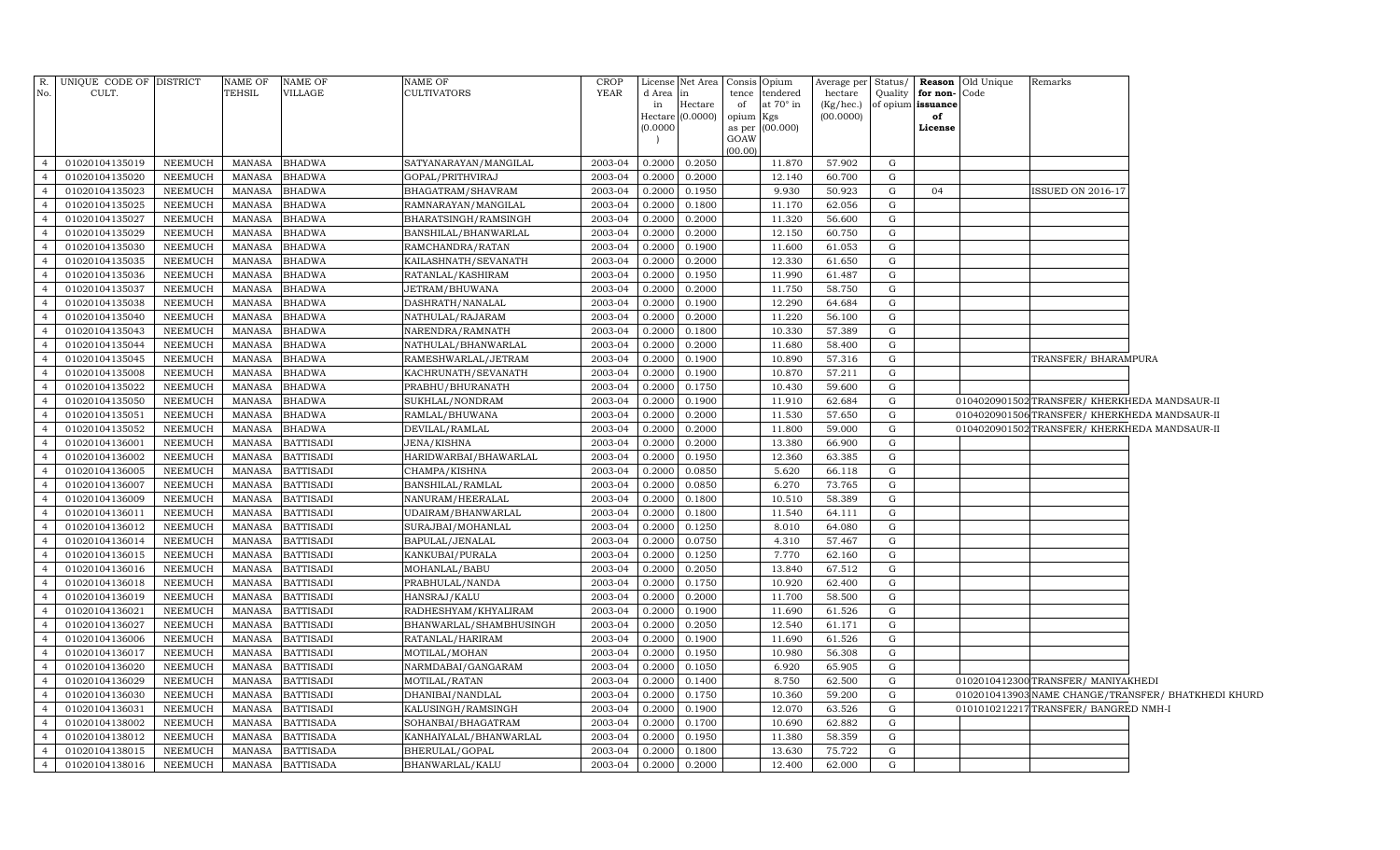| $R$ .          | UNIQUE CODE OF DISTRICT |                | NAME OF       | NAME OF          | NAME OF                 | <b>CROP</b> |          | License Net Area   | Consis         | Opium            | Average per | Status/     |                   | <b>Reason</b> Old Unique | Remarks                                       |                                                     |
|----------------|-------------------------|----------------|---------------|------------------|-------------------------|-------------|----------|--------------------|----------------|------------------|-------------|-------------|-------------------|--------------------------|-----------------------------------------------|-----------------------------------------------------|
| No.            | CULT.                   |                | TEHSIL        | VILLAGE          | CULTIVATORS             | <b>YEAR</b> | d Area   | in                 | tence          | tendered         | hectare     | Quality     | for non-          | Code                     |                                               |                                                     |
|                |                         |                |               |                  |                         |             | in       | Hectare            | of             | at $70^\circ$ in | (Kg/hec.)   |             | of opium issuance |                          |                                               |                                                     |
|                |                         |                |               |                  |                         |             |          | Hectare $(0.0000)$ | opium<br>Kgs   |                  | (00.0000)   |             | of                |                          |                                               |                                                     |
|                |                         |                |               |                  |                         |             | (0.0000) |                    | as per<br>GOAW | (00.000)         |             |             | License           |                          |                                               |                                                     |
|                |                         |                |               |                  |                         |             |          |                    | (00.00)        |                  |             |             |                   |                          |                                               |                                                     |
| $\overline{4}$ | 01020104135019          | NEEMUCH        | <b>MANASA</b> | <b>BHADWA</b>    | SATYANARAYAN/MANGILAL   | 2003-04     | 0.2000   | 0.2050             |                | 11.870           | 57.902      | $\mathbf G$ |                   |                          |                                               |                                                     |
| $\overline{4}$ | 01020104135020          | NEEMUCH        | <b>MANASA</b> | <b>BHADWA</b>    | GOPAL/PRITHVIRAJ        | 2003-04     | 0.2000   | 0.2000             |                | 12.140           | 60.700      | G           |                   |                          |                                               |                                                     |
| $\overline{4}$ | 01020104135023          | <b>NEEMUCH</b> | MANASA        | <b>BHADWA</b>    | BHAGATRAM/SHAVRAM       | 2003-04     | 0.2000   | 0.1950             |                | 9.930            | 50.923      | G           | 04                |                          | ISSUED ON 2016-17                             |                                                     |
| $\overline{4}$ | 01020104135025          | NEEMUCH        | <b>MANASA</b> | <b>BHADWA</b>    | RAMNARAYAN/MANGILAL     | 2003-04     | 0.2000   | 0.1800             |                | 11.170           | 62.056      | G           |                   |                          |                                               |                                                     |
| $\overline{4}$ | 01020104135027          | NEEMUCH        | <b>MANASA</b> | <b>BHADWA</b>    | BHARATSINGH/RAMSINGH    | 2003-04     | 0.2000   | 0.2000             |                | 11.320           | 56.600      | G           |                   |                          |                                               |                                                     |
| $\overline{4}$ | 01020104135029          | <b>NEEMUCH</b> | <b>MANASA</b> | <b>BHADWA</b>    | BANSHILAL/BHANWARLAL    | 2003-04     | 0.2000   | 0.2000             |                | 12.150           | 60.750      | G           |                   |                          |                                               |                                                     |
| $\overline{4}$ | 01020104135030          | NEEMUCH        | <b>MANASA</b> | <b>BHADWA</b>    | RAMCHANDRA/RATAN        | 2003-04     | 0.2000   | 0.1900             |                | 11.600           | 61.053      | G           |                   |                          |                                               |                                                     |
| $\overline{4}$ | 01020104135035          | NEEMUCH        | <b>MANASA</b> | <b>BHADWA</b>    | KAILASHNATH/SEVANATH    | 2003-04     | 0.2000   | 0.2000             |                | 12.330           | 61.650      | G           |                   |                          |                                               |                                                     |
| $\overline{4}$ | 01020104135036          | NEEMUCH        | <b>MANASA</b> | <b>BHADWA</b>    | RATANLAL/KASHIRAM       | 2003-04     | 0.2000   | 0.1950             |                | 11.990           | 61.487      | G           |                   |                          |                                               |                                                     |
| $\overline{4}$ | 01020104135037          | NEEMUCH        | <b>MANASA</b> | <b>BHADWA</b>    | JETRAM/BHUWANA          | 2003-04     | 0.2000   | 0.2000             |                | 11.750           | 58.750      | G           |                   |                          |                                               |                                                     |
| $\overline{4}$ | 01020104135038          | NEEMUCH        | <b>MANASA</b> | <b>BHADWA</b>    | DASHRATH/NANALAL        | 2003-04     | 0.2000   | 0.1900             |                | 12.290           | 64.684      | G           |                   |                          |                                               |                                                     |
| $\overline{4}$ | 01020104135040          | NEEMUCH        | <b>MANASA</b> | <b>BHADWA</b>    | NATHULAL/RAJARAM        | 2003-04     | 0.2000   | 0.2000             |                | 11.220           | 56.100      | G           |                   |                          |                                               |                                                     |
| $\overline{4}$ | 01020104135043          | NEEMUCH        | <b>MANASA</b> | <b>BHADWA</b>    | NARENDRA/RAMNATH        | 2003-04     | 0.2000   | 0.1800             |                | 10.330           | 57.389      | G           |                   |                          |                                               |                                                     |
| $\overline{4}$ | 01020104135044          | NEEMUCH        | MANASA        | <b>BHADWA</b>    | NATHULAL/BHANWARLAL     | 2003-04     | 0.2000   | 0.2000             |                | 11.680           | 58.400      | G           |                   |                          |                                               |                                                     |
| $\overline{4}$ | 01020104135045          | NEEMUCH        | <b>MANASA</b> | <b>BHADWA</b>    | RAMESHWARLAL/JETRAM     | 2003-04     | 0.2000   | 0.1900             |                | 10.890           | 57.316      | G           |                   |                          | TRANSFER/ BHARAMPURA                          |                                                     |
| $\overline{4}$ | 01020104135008          | NEEMUCH        | <b>MANASA</b> | <b>BHADWA</b>    | KACHRUNATH/SEVANATH     | 2003-04     | 0.2000   | 0.1900             |                | 10.870           | 57.211      | G           |                   |                          |                                               |                                                     |
| $\overline{4}$ | 01020104135022          | NEEMUCH        | MANASA        | <b>BHADWA</b>    | PRABHU/BHURANATH        | 2003-04     | 0.2000   | 0.1750             |                | 10.430           | 59.600      | G           |                   |                          |                                               |                                                     |
| $\overline{4}$ | 01020104135050          | NEEMUCH        | MANASA        | <b>BHADWA</b>    | SUKHLAL/NONDRAM         | 2003-04     | 0.2000   | 0.1900             |                | 11.910           | 62.684      | G           |                   |                          | 0104020901502 TRANSFER/ KHERKHEDA MANDSAUR-II |                                                     |
| $\overline{4}$ | 01020104135051          | NEEMUCH        | <b>MANASA</b> | <b>BHADWA</b>    | RAMLAL/BHUWANA          | 2003-04     | 0.2000   | 0.2000             |                | 11.530           | 57.650      | $\mathbf G$ |                   |                          | 0104020901506 TRANSFER/KHERKHEDA MANDSAUR-II  |                                                     |
| $\overline{4}$ | 01020104135052          | NEEMUCH        | <b>MANASA</b> | <b>BHADWA</b>    | DEVILAL/RAMLAL          | 2003-04     | 0.2000   | 0.2000             |                | 11.800           | 59.000      | G           |                   |                          | 0104020901502 TRANSFER/ KHERKHEDA MANDSAUR-II |                                                     |
| $\overline{4}$ | 01020104136001          | NEEMUCH        | <b>MANASA</b> | <b>BATTISADI</b> | <b>JENA/KISHNA</b>      | 2003-04     | 0.2000   | 0.2000             |                | 13.380           | 66.900      | G           |                   |                          |                                               |                                                     |
| $\overline{4}$ | 01020104136002          | NEEMUCH        | <b>MANASA</b> | <b>BATTISADI</b> | HARIDWARBAI/BHAWARLAL   | 2003-04     | 0.2000   | 0.1950             |                | 12.360           | 63.385      | G           |                   |                          |                                               |                                                     |
| $\overline{4}$ | 01020104136005          | NEEMUCH        | <b>MANASA</b> | <b>BATTISADI</b> | CHAMPA/KISHNA           | 2003-04     | 0.2000   | 0.0850             |                | 5.620            | 66.118      | G           |                   |                          |                                               |                                                     |
| $\overline{4}$ | 01020104136007          | NEEMUCH        | <b>MANASA</b> | <b>BATTISADI</b> | BANSHILAL/RAMLAL        | 2003-04     | 0.2000   | 0.0850             |                | 6.270            | 73.765      | G           |                   |                          |                                               |                                                     |
| $\overline{4}$ | 01020104136009          | NEEMUCH        | <b>MANASA</b> | <b>BATTISADI</b> | NANURAM/HEERALAL        | 2003-04     | 0.2000   | 0.1800             |                | 10.510           | 58.389      | G           |                   |                          |                                               |                                                     |
| $\overline{4}$ | 01020104136011          | NEEMUCH        | <b>MANASA</b> | <b>BATTISADI</b> | UDAIRAM/BHANWARLAL      | 2003-04     | 0.2000   | 0.1800             |                | 11.540           | 64.111      | G           |                   |                          |                                               |                                                     |
| $\overline{4}$ | 01020104136012          | NEEMUCH        | <b>MANASA</b> | <b>BATTISADI</b> | SURAJBAI/MOHANLAL       | 2003-04     | 0.2000   | 0.1250             |                | 8.010            | 64.080      | G           |                   |                          |                                               |                                                     |
| $\overline{4}$ | 01020104136014          | NEEMUCH        | <b>MANASA</b> | <b>BATTISADI</b> | BAPULAL/JENALAL         | 2003-04     | 0.2000   | 0.0750             |                | 4.310            | 57.467      | G           |                   |                          |                                               |                                                     |
| $\overline{4}$ | 01020104136015          | NEEMUCH        | <b>MANASA</b> | <b>BATTISADI</b> | KANKUBAI/PURALA         | 2003-04     | 0.2000   | 0.1250             |                | 7.770            | 62.160      | G           |                   |                          |                                               |                                                     |
| $\overline{4}$ | 01020104136016          | NEEMUCH        | MANASA        | <b>BATTISADI</b> | MOHANLAL/BABU           | 2003-04     | 0.2000   | 0.2050             |                | 13.840           | 67.512      | G           |                   |                          |                                               |                                                     |
| $\overline{4}$ | 01020104136018          | NEEMUCH        | MANASA        | <b>BATTISADI</b> | PRABHULAL/NANDA         | 2003-04     | 0.2000   | 0.1750             |                | 10.920           | 62.400      | G           |                   |                          |                                               |                                                     |
| $\overline{4}$ | 01020104136019          | NEEMUCH        | MANASA        | <b>BATTISADI</b> | HANSRAJ/KALU            | 2003-04     | 0.2000   | 0.2000             |                | 11.700           | 58.500      | G           |                   |                          |                                               |                                                     |
| $\overline{4}$ | 01020104136021          | <b>NEEMUCH</b> | MANASA        | <b>BATTISADI</b> | RADHESHYAM/KHYALIRAM    | 2003-04     | 0.2000   | 0.1900             |                | 11.690           | 61.526      | G           |                   |                          |                                               |                                                     |
| $\overline{4}$ | 01020104136027          | NEEMUCH        | MANASA        | <b>BATTISADI</b> | BHANWARLAL/SHAMBHUSINGH | 2003-04     | 0.2000   | 0.2050             |                | 12.540           | 61.171      | G           |                   |                          |                                               |                                                     |
| $\overline{4}$ | 01020104136006          | NEEMUCH        | <b>MANASA</b> | <b>BATTISADI</b> | RATANLAL/HARIRAM        | 2003-04     | 0.2000   | 0.1900             |                | 11.690           | 61.526      | G           |                   |                          |                                               |                                                     |
| $\overline{4}$ | 01020104136017          | NEEMUCH        | MANASA        | <b>BATTISADI</b> | MOTILAL/MOHAN           | 2003-04     | 0.2000   | 0.1950             |                | 10.980           | 56.308      | G           |                   |                          |                                               |                                                     |
| $\overline{4}$ | 01020104136020          | NEEMUCH        | <b>MANASA</b> | <b>BATTISADI</b> | NARMDABAI/GANGARAM      | 2003-04     | 0.2000   | 0.1050             |                | 6.920            | 65.905      | G           |                   |                          |                                               |                                                     |
| $\overline{4}$ | 01020104136029          | NEEMUCH        | <b>MANASA</b> | <b>BATTISADI</b> | MOTILAL/RATAN           | 2003-04     | 0.2000   | 0.1400             |                | 8.750            | 62.500      | G           |                   |                          | 0102010412300 TRANSFER/ MANIYAKHEDI           |                                                     |
| $\overline{4}$ | 01020104136030          | NEEMUCH        | <b>MANASA</b> | <b>BATTISADI</b> | DHANIBAI/NANDLAL        | 2003-04     | 0.2000   | 0.1750             |                | 10.360           | 59.200      | G           |                   |                          |                                               | 0102010413903 NAME CHANGE/TRANSFER/ BHATKHEDI KHURD |
| $\overline{4}$ | 01020104136031          | NEEMUCH        | <b>MANASA</b> | <b>BATTISADI</b> | KALUSINGH/RAMSINGH      | 2003-04     | 0.2000   | 0.1900             |                | 12.070           | 63.526      | G           |                   |                          | 0101010212217TRANSFER/ BANGRED NMH-I          |                                                     |
| $\overline{4}$ | 01020104138002          | NEEMUCH        | <b>MANASA</b> | <b>BATTISADA</b> | SOHANBAI/BHAGATRAM      | 2003-04     | 0.2000   | 0.1700             |                | 10.690           | 62.882      | G           |                   |                          |                                               |                                                     |
| $\overline{4}$ | 01020104138012          | NEEMUCH        | <b>MANASA</b> | <b>BATTISADA</b> | KANHAIYALAL/BHANWARLAL  | 2003-04     | 0.2000   | 0.1950             |                | 11.380           | 58.359      | G           |                   |                          |                                               |                                                     |
| $\overline{4}$ | 01020104138015          | NEEMUCH        | <b>MANASA</b> | <b>BATTISADA</b> | BHERULAL/GOPAL          | 2003-04     | 0.2000   | 0.1800             |                | 13.630           | 75.722      | G           |                   |                          |                                               |                                                     |
| 4              | 01020104138016          | NEEMUCH        |               | MANASA BATTISADA | BHANWARLAL/KALU         | 2003-04     | 0.2000   | 0.2000             |                | 12.400           | 62.000      | G           |                   |                          |                                               |                                                     |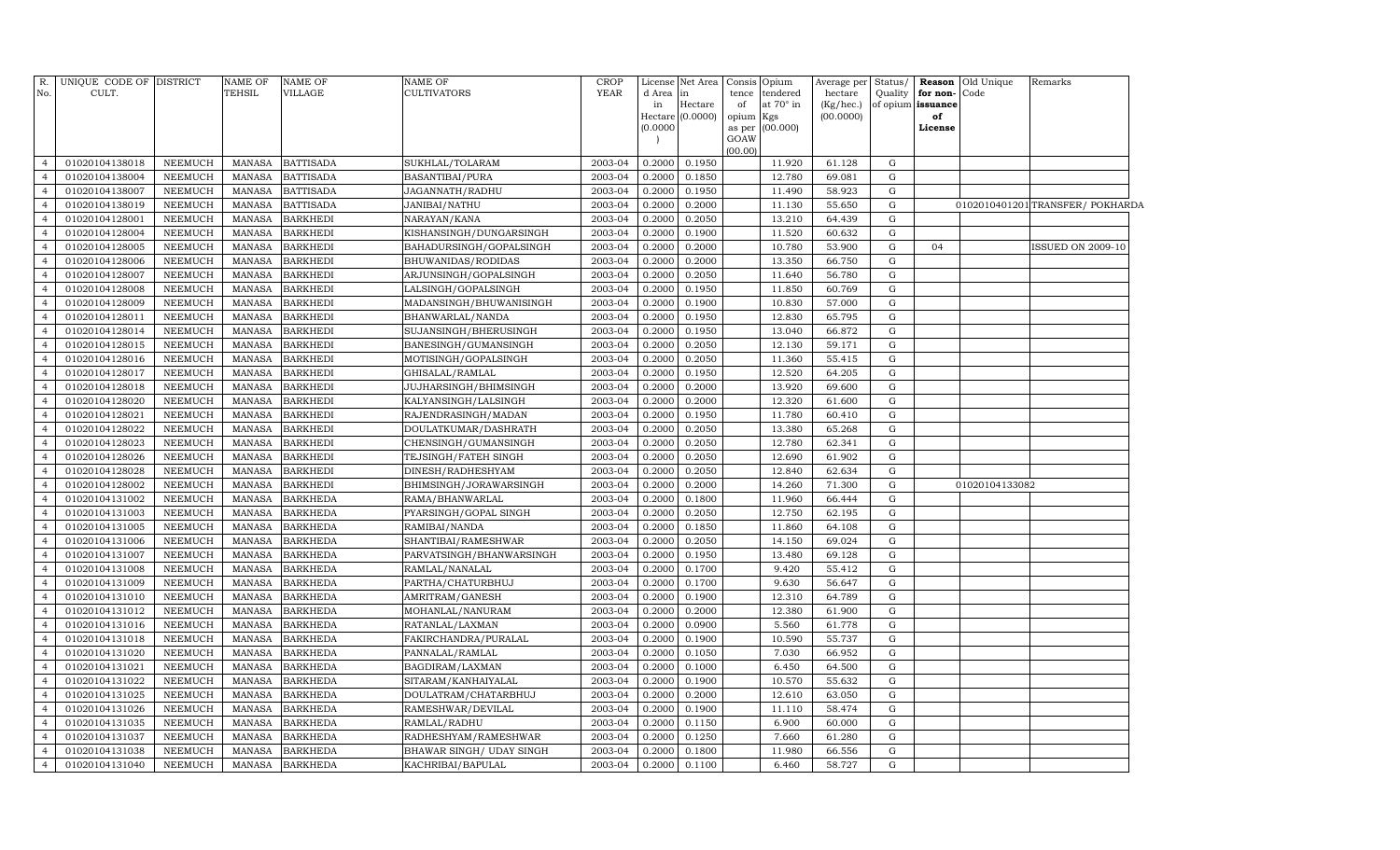| No.            | R. UNIQUE CODE OF DISTRICT<br>CULT. |                | <b>NAME OF</b><br>TEHSIL | <b>NAME OF</b><br>VILLAGE | <b>NAME OF</b><br>CULTIVATORS | <b>CROP</b><br><b>YEAR</b> | d Area<br>in<br>(0.0000) | License Net Area<br>in<br>Hectare<br>Hectare (0.0000) | Consis Opium<br>tence<br>of<br>opium<br>GOAW | tendered<br>at $70^\circ$ in<br>Kgs<br>as per (00.000) | Average per<br>hectare<br>(Kg/hec.)<br>(00.0000) | Status/<br>Quality | for non-<br>of opium issuance<br>of<br>License | <b>Reason</b> Old Unique<br>Code | Remarks                          |
|----------------|-------------------------------------|----------------|--------------------------|---------------------------|-------------------------------|----------------------------|--------------------------|-------------------------------------------------------|----------------------------------------------|--------------------------------------------------------|--------------------------------------------------|--------------------|------------------------------------------------|----------------------------------|----------------------------------|
| $\overline{4}$ | 01020104138018                      | <b>NEEMUCH</b> | <b>MANASA</b>            | <b>BATTISADA</b>          | SUKHLAL/TOLARAM               | 2003-04                    | 0.2000                   | 0.1950                                                | (00.00)                                      | 11.920                                                 | 61.128                                           | G                  |                                                |                                  |                                  |
| $\overline{4}$ | 01020104138004                      | NEEMUCH        | <b>MANASA</b>            | <b>BATTISADA</b>          | <b>BASANTIBAI/PURA</b>        | 2003-04                    | 0.2000                   | 0.1850                                                |                                              | 12.780                                                 | 69.081                                           | G                  |                                                |                                  |                                  |
| $\overline{4}$ | 01020104138007                      | NEEMUCH        | <b>MANASA</b>            | <b>BATTISADA</b>          | JAGANNATH/RADHU               | 2003-04                    | 0.2000                   | 0.1950                                                |                                              | 11.490                                                 | 58.923                                           | G                  |                                                |                                  |                                  |
| $\overline{4}$ | 01020104138019                      | <b>NEEMUCH</b> | <b>MANASA</b>            | <b>BATTISADA</b>          | JANIBAI/NATHU                 | 2003-04                    | 0.2000                   | 0.2000                                                |                                              | 11.130                                                 | 55.650                                           | G                  |                                                |                                  | 0102010401201 TRANSFER/ POKHARDA |
| $\overline{4}$ | 01020104128001                      | NEEMUCH        | <b>MANASA</b>            | <b>BARKHEDI</b>           | NARAYAN/KANA                  | 2003-04                    | 0.2000                   | 0.2050                                                |                                              | 13.210                                                 | 64.439                                           | G                  |                                                |                                  |                                  |
| $\overline{4}$ | 01020104128004                      | NEEMUCH        | <b>MANASA</b>            | <b>BARKHEDI</b>           | KISHANSINGH/DUNGARSINGH       | 2003-04                    | 0.2000                   | 0.1900                                                |                                              | 11.520                                                 | 60.632                                           | G                  |                                                |                                  |                                  |
| $\overline{4}$ | 01020104128005                      | <b>NEEMUCH</b> | <b>MANASA</b>            | <b>BARKHEDI</b>           | BAHADURSINGH/GOPALSINGH       | 2003-04                    | 0.2000                   | 0.2000                                                |                                              | 10.780                                                 | 53.900                                           | G                  | 04                                             |                                  | <b>ISSUED ON 2009-10</b>         |
| 4              | 01020104128006                      | <b>NEEMUCH</b> | <b>MANASA</b>            | <b>BARKHEDI</b>           | BHUWANIDAS/RODIDAS            | 2003-04                    | 0.2000                   | 0.2000                                                |                                              | 13.350                                                 | 66.750                                           | G                  |                                                |                                  |                                  |
| $\overline{4}$ | 01020104128007                      | <b>NEEMUCH</b> | <b>MANASA</b>            | <b>BARKHEDI</b>           | ARJUNSINGH/GOPALSINGH         | 2003-04                    | 0.2000                   | 0.2050                                                |                                              | 11.640                                                 | 56.780                                           | G                  |                                                |                                  |                                  |
| $\overline{4}$ | 01020104128008                      | <b>NEEMUCH</b> | <b>MANASA</b>            | <b>BARKHEDI</b>           | LALSINGH/GOPALSINGH           | 2003-04                    | 0.2000                   | 0.1950                                                |                                              | 11.850                                                 | 60.769                                           | G                  |                                                |                                  |                                  |
| $\overline{4}$ | 01020104128009                      | NEEMUCH        | <b>MANASA</b>            | <b>BARKHEDI</b>           | MADANSINGH/BHUWANISINGH       | 2003-04                    | 0.2000                   | 0.1900                                                |                                              | 10.830                                                 | 57.000                                           | G                  |                                                |                                  |                                  |
| $\overline{4}$ | 01020104128011                      | NEEMUCH        | <b>MANASA</b>            | <b>BARKHEDI</b>           | BHANWARLAL/NANDA              | 2003-04                    | 0.2000                   | 0.1950                                                |                                              | 12.830                                                 | 65.795                                           | G                  |                                                |                                  |                                  |
| $\overline{4}$ | 01020104128014                      | NEEMUCH        | <b>MANASA</b>            | <b>BARKHEDI</b>           | SUJANSINGH/BHERUSINGH         | 2003-04                    | 0.2000                   | 0.1950                                                |                                              | 13.040                                                 | 66.872                                           | G                  |                                                |                                  |                                  |
| $\overline{4}$ | 01020104128015                      | NEEMUCH        | <b>MANASA</b>            | <b>BARKHEDI</b>           | BANESINGH/GUMANSINGH          | 2003-04                    | 0.2000                   | 0.2050                                                |                                              | 12.130                                                 | 59.171                                           | G                  |                                                |                                  |                                  |
| $\overline{4}$ | 01020104128016                      | NEEMUCH        | <b>MANASA</b>            | <b>BARKHEDI</b>           | MOTISINGH/GOPALSINGH          | 2003-04                    | 0.2000                   | 0.2050                                                |                                              | 11.360                                                 | 55.415                                           | G                  |                                                |                                  |                                  |
| $\overline{4}$ | 01020104128017                      | NEEMUCH        | <b>MANASA</b>            | <b>BARKHEDI</b>           | GHISALAL/RAMLAL               | 2003-04                    | 0.2000                   | 0.1950                                                |                                              | 12.520                                                 | 64.205                                           | G                  |                                                |                                  |                                  |
| $\overline{4}$ | 01020104128018                      | <b>NEEMUCH</b> | <b>MANASA</b>            | <b>BARKHEDI</b>           | JUJHARSINGH/BHIMSINGH         | 2003-04                    | 0.2000                   | 0.2000                                                |                                              | 13.920                                                 | 69.600                                           | G                  |                                                |                                  |                                  |
| $\overline{4}$ | 01020104128020                      | NEEMUCH        | <b>MANASA</b>            | <b>BARKHEDI</b>           | KALYANSINGH/LALSINGH          | 2003-04                    | 0.2000                   | 0.2000                                                |                                              | 12.320                                                 | 61.600                                           | G                  |                                                |                                  |                                  |
| $\overline{4}$ | 01020104128021                      | NEEMUCH        | <b>MANASA</b>            | <b>BARKHEDI</b>           | RAJENDRASINGH/MADAN           | 2003-04                    | 0.2000                   | 0.1950                                                |                                              | 11.780                                                 | 60.410                                           | G                  |                                                |                                  |                                  |
| $\overline{4}$ | 01020104128022                      | NEEMUCH        | <b>MANASA</b>            | <b>BARKHEDI</b>           | DOULATKUMAR/DASHRATH          | 2003-04                    | 0.2000                   | 0.2050                                                |                                              | 13.380                                                 | 65.268                                           | G                  |                                                |                                  |                                  |
| $\overline{4}$ | 01020104128023                      | NEEMUCH        | <b>MANASA</b>            | <b>BARKHEDI</b>           | CHENSINGH/GUMANSINGH          | 2003-04                    | 0.2000                   | 0.2050                                                |                                              | 12.780                                                 | 62.341                                           | G                  |                                                |                                  |                                  |
| $\overline{4}$ | 01020104128026                      | NEEMUCH        | <b>MANASA</b>            | <b>BARKHEDI</b>           | TEJSINGH/FATEH SINGH          | 2003-04                    | 0.2000                   | 0.2050                                                |                                              | 12.690                                                 | 61.902                                           | G                  |                                                |                                  |                                  |
| $\overline{4}$ | 01020104128028                      | NEEMUCH        | <b>MANASA</b>            | <b>BARKHEDI</b>           | DINESH/RADHESHYAM             | 2003-04                    | 0.2000                   | 0.2050                                                |                                              | 12.840                                                 | 62.634                                           | G                  |                                                |                                  |                                  |
| $\overline{4}$ | 01020104128002                      | <b>NEEMUCH</b> | <b>MANASA</b>            | <b>BARKHEDI</b>           | BHIMSINGH/JORAWARSINGH        | 2003-04                    | 0.2000                   | 0.2000                                                |                                              | 14.260                                                 | 71.300                                           | G                  |                                                | 01020104133082                   |                                  |
| $\overline{4}$ | 01020104131002                      | <b>NEEMUCH</b> | <b>MANASA</b>            | <b>BARKHEDA</b>           | RAMA/BHANWARLAL               | 2003-04                    | 0.2000                   | 0.1800                                                |                                              | 11.960                                                 | 66.444                                           | G                  |                                                |                                  |                                  |
| $\overline{4}$ | 01020104131003                      | <b>NEEMUCH</b> | <b>MANASA</b>            | <b>BARKHEDA</b>           | PYARSINGH/GOPAL SINGH         | 2003-04                    | 0.2000                   | 0.2050                                                |                                              | 12.750                                                 | 62.195                                           | G                  |                                                |                                  |                                  |
| $\overline{4}$ | 01020104131005                      | <b>NEEMUCH</b> | <b>MANASA</b>            | <b>BARKHEDA</b>           | RAMIBAI/NANDA                 | 2003-04                    | 0.2000                   | 0.1850                                                |                                              | 11.860                                                 | 64.108                                           | G                  |                                                |                                  |                                  |
| $\overline{4}$ | 01020104131006                      | <b>NEEMUCH</b> | <b>MANASA</b>            | <b>BARKHEDA</b>           | SHANTIBAI/RAMESHWAR           | 2003-04                    | 0.2000                   | 0.2050                                                |                                              | 14.150                                                 | 69.024                                           | G                  |                                                |                                  |                                  |
| $\overline{4}$ | 01020104131007                      | NEEMUCH        | <b>MANASA</b>            | <b>BARKHEDA</b>           | PARVATSINGH/BHANWARSINGH      | 2003-04                    | 0.2000                   | 0.1950                                                |                                              | 13.480                                                 | 69.128                                           | G                  |                                                |                                  |                                  |
| $\overline{4}$ | 01020104131008                      | NEEMUCH        | <b>MANASA</b>            | <b>BARKHEDA</b>           | RAMLAL/NANALAL                | 2003-04                    | 0.2000                   | 0.1700                                                |                                              | 9.420                                                  | 55.412                                           | G                  |                                                |                                  |                                  |
| $\overline{4}$ | 01020104131009                      | NEEMUCH        | <b>MANASA</b>            | <b>BARKHEDA</b>           | PARTHA/CHATURBHUJ             | 2003-04                    | 0.2000                   | 0.1700                                                |                                              | 9.630                                                  | 56.647                                           | G                  |                                                |                                  |                                  |
| $\overline{4}$ | 01020104131010                      | NEEMUCH        | <b>MANASA</b>            | <b>BARKHEDA</b>           | AMRITRAM/GANESH               | 2003-04                    | 0.2000                   | 0.1900                                                |                                              | 12.310                                                 | 64.789                                           | G                  |                                                |                                  |                                  |
| $\overline{4}$ | 01020104131012                      | NEEMUCH        | <b>MANASA</b>            | <b>BARKHEDA</b>           | MOHANLAL/NANURAM              | 2003-04                    | 0.2000                   | 0.2000                                                |                                              | 12.380                                                 | 61.900                                           | G                  |                                                |                                  |                                  |
| $\overline{4}$ | 01020104131016                      | NEEMUCH        | <b>MANASA</b>            | <b>BARKHEDA</b>           | RATANLAL/LAXMAN               | 2003-04                    | 0.2000                   | 0.0900                                                |                                              | 5.560                                                  | 61.778                                           | G                  |                                                |                                  |                                  |
| $\overline{4}$ | 01020104131018                      | NEEMUCH        | <b>MANASA</b>            | <b>BARKHEDA</b>           | FAKIRCHANDRA/PURALAL          | 2003-04                    | 0.2000                   | 0.1900                                                |                                              | 10.590                                                 | 55.737                                           | G                  |                                                |                                  |                                  |
| $\overline{4}$ | 01020104131020                      | NEEMUCH        | <b>MANASA</b>            | <b>BARKHEDA</b>           | PANNALAL/RAMLAL               | 2003-04                    | 0.2000                   | 0.1050                                                |                                              | 7.030                                                  | 66.952                                           | G                  |                                                |                                  |                                  |
| $\overline{4}$ | 01020104131021                      | NEEMUCH        | <b>MANASA</b>            | <b>BARKHEDA</b>           | BAGDIRAM/LAXMAN               | 2003-04                    | 0.2000                   | 0.1000                                                |                                              | 6.450                                                  | 64.500                                           | G                  |                                                |                                  |                                  |
| $\overline{4}$ | 01020104131022                      | NEEMUCH        | <b>MANASA</b>            | <b>BARKHEDA</b>           | SITARAM / KANHAIYALAL         | 2003-04                    | 0.2000                   | 0.1900                                                |                                              | 10.570                                                 | 55.632                                           | G                  |                                                |                                  |                                  |
| $\overline{4}$ | 01020104131025                      | NEEMUCH        | <b>MANASA</b>            | <b>BARKHEDA</b>           | DOULATRAM/CHATARBHUJ          | 2003-04                    | 0.2000                   | 0.2000                                                |                                              | 12.610                                                 | 63.050                                           | G                  |                                                |                                  |                                  |
| $\overline{4}$ | 01020104131026                      | <b>NEEMUCH</b> | <b>MANASA</b>            | <b>BARKHEDA</b>           | RAMESHWAR/DEVILAL             | 2003-04                    | 0.2000                   | 0.1900                                                |                                              | 11.110                                                 | 58.474                                           | G                  |                                                |                                  |                                  |
| $\overline{4}$ | 01020104131035                      | <b>NEEMUCH</b> | <b>MANASA</b>            | <b>BARKHEDA</b>           | RAMLAL/RADHU                  | 2003-04                    | 0.2000                   | 0.1150                                                |                                              | 6.900                                                  | 60.000                                           | G                  |                                                |                                  |                                  |
| $\overline{4}$ | 01020104131037                      | NEEMUCH        | <b>MANASA</b>            | <b>BARKHEDA</b>           | RADHESHYAM/RAMESHWAR          | 2003-04                    | 0.2000                   | 0.1250                                                |                                              | 7.660                                                  | 61.280                                           | G                  |                                                |                                  |                                  |
| $\overline{4}$ | 01020104131038                      | <b>NEEMUCH</b> | <b>MANASA</b>            | <b>BARKHEDA</b>           | BHAWAR SINGH/ UDAY SINGH      | 2003-04                    | 0.2000                   | 0.1800                                                |                                              | 11.980                                                 | 66.556                                           | G                  |                                                |                                  |                                  |
| $\overline{4}$ | 01020104131040                      | NEEMUCH        | MANASA                   | <b>BARKHEDA</b>           | KACHRIBAI/BAPULAL             | 2003-04                    | 0.2000                   | 0.1100                                                |                                              | 6.460                                                  | 58.727                                           | G                  |                                                |                                  |                                  |